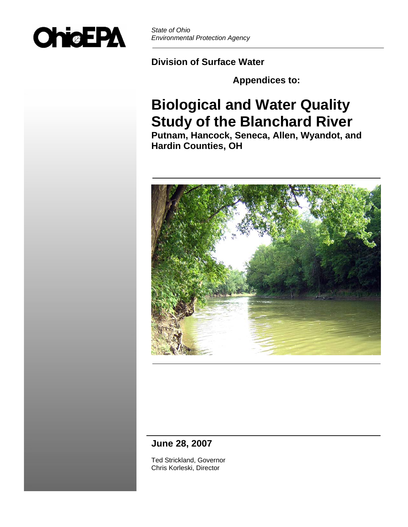

*State of Ohio Environmental Protection Agency* 

## **Division of Surface Water**

**Appendices to:** 

# **Biological and Water Quality Study of the Blanchard River**

**Putnam, Hancock, Seneca, Allen, Wyandot, and Hardin Counties, OH**  



## **June 28, 2007**

Ted Strickland, Governor Chris Korleski, Director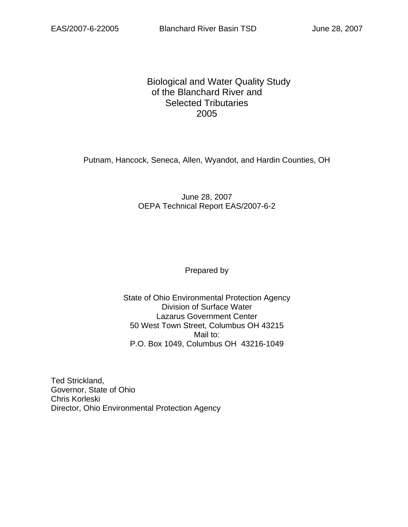## Biological and Water Quality Study of the Blanchard River and Selected Tributaries 2005

Putnam, Hancock, Seneca, Allen, Wyandot, and Hardin Counties, OH

## June 28, 2007 OEPA Technical Report EAS/2007-6-2

Prepared by

State of Ohio Environmental Protection Agency Division of Surface Water Lazarus Government Center 50 West Town Street, Columbus OH 43215 Mail to: P.O. Box 1049, Columbus OH 43216-1049

Ted Strickland, Governor, State of Ohio Chris Korleski Director, Ohio Environmental Protection Agency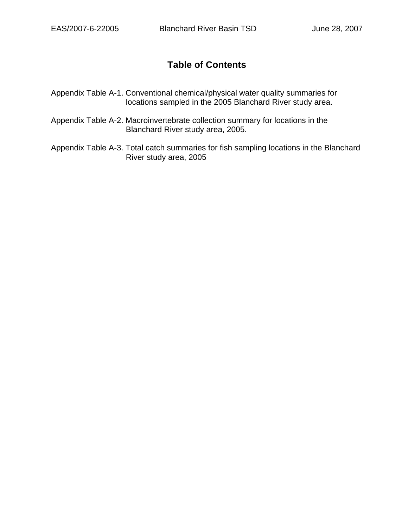## **Table of Contents**

Appendix Table A-1. Conventional chemical/physical water quality summaries for locations sampled in the 2005 Blanchard River study area.

- Appendix Table A-2. Macroinvertebrate collection summary for locations in the Blanchard River study area, 2005.
- Appendix Table A-3. Total catch summaries for fish sampling locations in the Blanchard River study area, 2005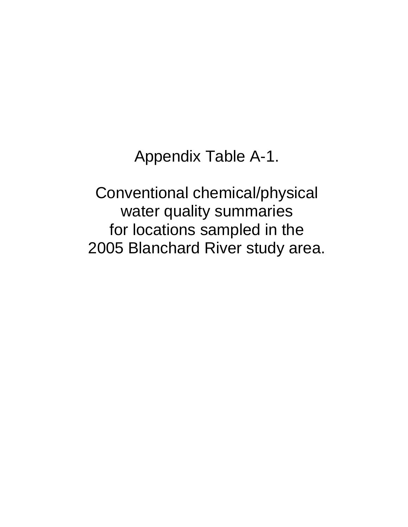Appendix Table A-1.

Conventional chemical/physical water quality summaries for locations sampled in the 2005 Blanchard River study area.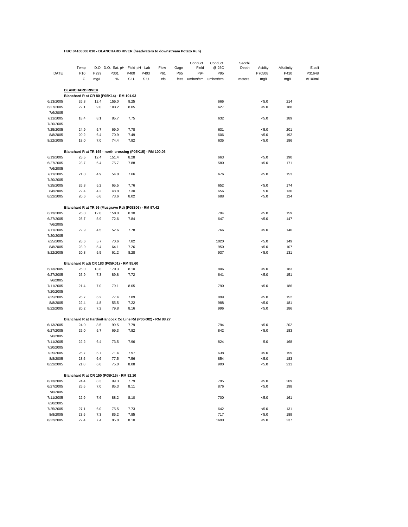## **HUC 04100008 010 - BLANCHARD RIVER (headwaters to downstream Potato Run)**

|                       |                        |      |                                                              |              |      |      |      | Conduct. | Conduct. | Secchi |         |            |         |  |
|-----------------------|------------------------|------|--------------------------------------------------------------|--------------|------|------|------|----------|----------|--------|---------|------------|---------|--|
|                       | Temp                   |      | D.O. D.O. Sat. pH - Field pH - Lab                           |              |      | Flow | Gage | Field    | @ 25C    | Depth  | Acidity | Alkalinity | E.coli  |  |
| DATE                  | P10                    | P299 | P301                                                         | P400         | P403 | P61  | P65  | P94      | P95      |        | P70508  | P410       | P31648  |  |
|                       | C                      | mg/L | $\%$                                                         | S.U.         | S.U. | cfs  | feet | umhos/cm | umhos/cm | meters | mg/L    | mg/L       | #/100ml |  |
|                       | <b>BLANCHARD RIVER</b> |      |                                                              |              |      |      |      |          |          |        |         |            |         |  |
|                       |                        |      | Blanchard R at CR 80 (P05K14) - RM 101.03                    |              |      |      |      |          |          |        |         |            |         |  |
| 6/13/2005             | 26.8                   | 12.4 | 155.0                                                        | 8.25         |      |      |      |          | 666      |        | < 5.0   | 214        |         |  |
| 6/27/2005             | 22.1                   | 9.0  | 103.2                                                        | 8.05         |      |      |      |          | 627      |        | < 5.0   | 188        |         |  |
| 7/6/2005              |                        |      |                                                              |              |      |      |      |          |          |        |         |            |         |  |
| 7/11/2005             | 18.4                   | 8.1  | 85.7                                                         | 7.75         |      |      |      |          | 632      |        | < 5.0   | 189        |         |  |
| 7/20/2005             |                        |      |                                                              |              |      |      |      |          |          |        |         |            |         |  |
| 7/25/2005             | 24.9                   | 5.7  | 69.0                                                         | 7.78         |      |      |      |          | 631      |        | < 5.0   | 201        |         |  |
| 8/8/2005              | 20.2                   | 6.4  | 70.9                                                         | 7.49         |      |      |      |          | 606      |        | < 5.0   | 192        |         |  |
| 8/22/2005             | 18.0                   | 7.0  | 74.4                                                         | 7.82         |      |      |      |          | 635      |        | < 5.0   | 186        |         |  |
|                       |                        |      |                                                              |              |      |      |      |          |          |        |         |            |         |  |
|                       |                        |      | Blanchard R at TR 165 - north crossing (P05K15) - RM 100.05  |              |      |      |      |          |          |        |         |            |         |  |
| 6/13/2005             | 25.5                   | 12.4 | 151.4                                                        | 8.28<br>7.88 |      |      |      |          | 663      |        | < 5.0   | 190        |         |  |
| 6/27/2005             | 23.7                   | 6.4  | 75.7                                                         |              |      |      |      |          | 580      |        | < 5.0   | 171        |         |  |
| 7/6/2005<br>7/11/2005 | 21.0                   | 4.9  | 54.8                                                         | 7.66         |      |      |      |          | 676      |        | < 5.0   | 153        |         |  |
| 7/20/2005             |                        |      |                                                              |              |      |      |      |          |          |        |         |            |         |  |
| 7/25/2005             | 26.8                   | 5.2  | 65.5                                                         | 7.76         |      |      |      |          | 652      |        | < 5.0   | 174        |         |  |
| 8/8/2005              | 22.4                   | 4.2  | 48.8                                                         | 7.30         |      |      |      |          | 656      |        | 5.0     | 130        |         |  |
| 8/22/2005             | 20.6                   | 6.6  | 73.6                                                         | 8.02         |      |      |      |          | 688      |        | < 5.0   | 124        |         |  |
|                       |                        |      |                                                              |              |      |      |      |          |          |        |         |            |         |  |
|                       |                        |      | Blanchard R at TR 56 (Musgrave Rd) (P05S06) - RM 97.42       |              |      |      |      |          |          |        |         |            |         |  |
| 6/13/2005             | 26.0                   | 12.8 | 158.0                                                        | 8.30         |      |      |      |          | 794      |        | < 5.0   | 159        |         |  |
| 6/27/2005             | 25.7                   | 5.9  | 72.6                                                         | 7.84         |      |      |      |          | 647      |        | < 5.0   | 147        |         |  |
| 7/6/2005              |                        |      |                                                              |              |      |      |      |          |          |        |         |            |         |  |
| 7/11/2005             | 22.9                   | 4.5  | 52.6                                                         | 7.78         |      |      |      |          | 766      |        | < 5.0   | 140        |         |  |
| 7/20/2005             |                        |      |                                                              |              |      |      |      |          |          |        |         |            |         |  |
| 7/25/2005             | 26.6                   | 5.7  | 70.6                                                         | 7.82         |      |      |      |          | 1020     |        | < 5.0   | 149        |         |  |
| 8/8/2005              | 23.9                   | 5.4  | 64.1                                                         | 7.26         |      |      |      |          | 950      |        | < 5.0   | 107        |         |  |
| 8/22/2005             | 20.8                   | 5.5  | 61.2                                                         | 8.28         |      |      |      |          | 937      |        | < 5.0   | 131        |         |  |
|                       |                        |      | Blanchard R adj CR 183 (P05K01) - RM 95.60                   |              |      |      |      |          |          |        |         |            |         |  |
| 6/13/2005             | 26.0                   | 13.8 | 170.3                                                        | 8.10         |      |      |      |          | 806      |        | < 5.0   | 183        |         |  |
| 6/27/2005             | 25.9                   | 7.3  | 89.8                                                         | 7.72         |      |      |      |          | 641      |        | < 5.0   | 151        |         |  |
| 7/6/2005              |                        |      |                                                              |              |      |      |      |          |          |        |         |            |         |  |
| 7/11/2005             | 21.4                   | 7.0  | 79.1                                                         | 8.05         |      |      |      |          | 790      |        | < 5.0   | 186        |         |  |
| 7/20/2005             |                        |      |                                                              |              |      |      |      |          |          |        |         |            |         |  |
| 7/25/2005             | 26.7                   | 6.2  | 77.4                                                         | 7.89         |      |      |      |          | 899      |        | < 5.0   | 152        |         |  |
| 8/8/2005              | 22.4                   | 4.8  | 55.5                                                         | 7.22         |      |      |      |          | 988      |        | < 5.0   | 181        |         |  |
| 8/22/2005             | 20.2                   | 7.2  | 79.8                                                         | 8.16         |      |      |      |          | 996      |        | < 5.0   | 186        |         |  |
|                       |                        |      | Blanchard R at Hardin/Hancock Co Line Rd (P05K02) - RM 88.27 |              |      |      |      |          |          |        |         |            |         |  |
| 6/13/2005             | 24.0                   | 8.5  | 99.5                                                         | 7.79         |      |      |      |          | 794      |        | < 5.0   | 202        |         |  |
| 6/27/2005             | 25.0                   | 5.7  | 69.3                                                         | 7.82         |      |      |      |          | 842      |        | < 5.0   | 183        |         |  |
| 7/6/2005              |                        |      |                                                              |              |      |      |      |          |          |        |         |            |         |  |
| 7/11/2005             | 22.2                   | 6.4  | 73.5                                                         | 7.96         |      |      |      |          | 824      |        | 5.0     | 168        |         |  |
| 7/20/2005             |                        |      |                                                              |              |      |      |      |          |          |        |         |            |         |  |
| 7/25/2005             | 26.7                   | 5.7  | 71.4                                                         | 7.97         |      |      |      |          | 638      |        | < 5.0   | 159        |         |  |
| 8/8/2005              | 23.5                   | 6.6  | 77.5                                                         | 7.56         |      |      |      |          | 854      |        | <5.0    | 183        |         |  |
| 8/22/2005             | 21.8                   | 6.6  | 75.0                                                         | 8.08         |      |      |      |          | 900      |        | < 5.0   | 211        |         |  |
|                       |                        |      |                                                              |              |      |      |      |          |          |        |         |            |         |  |
|                       |                        |      | Blanchard R at CR 150 (P05K16) - RM 82.10                    |              |      |      |      |          |          |        |         |            |         |  |
| 6/13/2005             | 24.4                   | 8.3  | 99.3                                                         | 7.79         |      |      |      |          | 795      |        | < 5.0   | 209        |         |  |
| 6/27/2005<br>7/6/2005 | 25.5                   | 7.0  | 85.3                                                         | 8.11         |      |      |      |          | 876      |        | < 5.0   | 198        |         |  |
| 7/11/2005             | 22.9                   | 7.6  | 88.2                                                         | 8.10         |      |      |      |          | 700      |        | < 5.0   | 161        |         |  |
| 7/20/2005             |                        |      |                                                              |              |      |      |      |          |          |        |         |            |         |  |
| 7/25/2005             | 27.1                   | 6.0  | 75.5                                                         | 7.73         |      |      |      |          | 642      |        | < 5.0   | 131        |         |  |
| 8/8/2005              | 23.5                   | 7.3  | 86.2                                                         | 7.85         |      |      |      |          | 717      |        | < 5.0   | 189        |         |  |
| 8/22/2005             | 22.4                   | 7.4  | 85.8                                                         | 8.10         |      |      |      |          | 1690     |        | < 5.0   | 237        |         |  |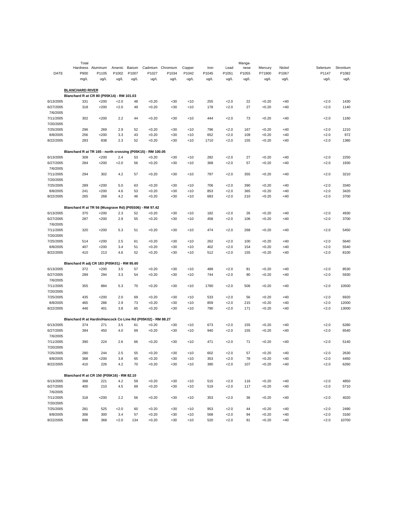|                        | Total                                                        |              |            |          |        |                  |             |            |            | Manga-    |                  |            |            |              |
|------------------------|--------------------------------------------------------------|--------------|------------|----------|--------|------------------|-------------|------------|------------|-----------|------------------|------------|------------|--------------|
|                        | Hardness                                                     | Aluminum     | Arsenic    | Barium   |        | Cadmium Chromium | Copper      | Iron       | Lead       | nese      | Mercury          | Nickel     | Selenium   | Strontium    |
| DATE                   | P900                                                         | P1105        | P1002      | P1007    | P1027  | P1034            | P1042       | P1045      | P1051      | P1055     | P71900           | P1067      | P1147      | P1082        |
|                        | mg/L                                                         | ug/L         | ug/L       | ug/L     | ug/L   | ug/L             | ug/L        | ug/L       | ug/L       | ug/L      | ug/L             | ug/L       | ug/L       | ug/L         |
|                        | <b>BLANCHARD RIVER</b>                                       |              |            |          |        |                  |             |            |            |           |                  |            |            |              |
|                        | Blanchard R at CR 80 (P05K14) - RM 101.03                    |              |            |          |        |                  |             |            |            |           |                  |            |            |              |
| 6/13/2005              | 331                                                          | 200          | 2.0        | 48       | < 0.20 | $30$             | < 10        | 255        | 2.0        | 22        | < 0.20           | <40        | 2.0        | 1430         |
| 6/27/2005              | 318                                                          | $200$        | 2.0        | 49       | < 0.20 | $30$             | < 10        | 178        | 2.0        | 27        | < 0.20           | <40        | 2.0        | 1140         |
| 7/6/2005               |                                                              |              |            |          |        |                  |             |            |            |           |                  |            |            |              |
| 7/11/2005              | 302                                                          | $200$        | 2.2        | 44       | < 0.20 | $<30$            | <10         | 444        | 2.0        | 73        | < 0.20           | <40        | 2.0        | 1160         |
| 7/20/2005              |                                                              |              |            |          |        |                  |             |            |            |           |                  |            |            |              |
| 7/25/2005              | 296                                                          | 269          | 2.9        | 52       | <0.20  | $30$             | < 10        | 796        | 2.0        | 167       | < 0.20           | <40        | 2.0        | 1210         |
| 8/8/2005               | 256                                                          | $200$        | 3.3        | 43       | < 0.20 | $30$             | < 10        | 652        | 2.0        | 109       | < 0.20           | <40        | 2.0        | 972          |
| 8/22/2005              | 283                                                          | 838          | 2.3        | 52       | < 0.20 | $30$             | < 10        | 1710       | 2.0        | 155       | < 0.20           | <40        | 2.0        | 1380         |
|                        |                                                              |              |            |          |        |                  |             |            |            |           |                  |            |            |              |
|                        | Blanchard R at TR 165 - north crossing (P05K15) - RM 100.05  |              |            |          |        |                  |             |            |            |           |                  |            |            |              |
| 6/13/2005              | 308                                                          | $200$        | 2.4        | 53       | < 0.20 | $<30$            | < 10        | 282        | 2.0        | 27        | < 0.20           | <40        | 2.0        | 2250         |
| 6/27/2005              | 284                                                          | $200$        | 2.0        | 56       | <0.20  | $30$             | <10         | 368        | 2.0        | 57        | < 0.20           | <40        | 2.0        | 1930         |
| 7/6/2005               |                                                              |              |            |          |        |                  |             |            |            |           |                  |            |            |              |
| 7/11/2005              | 294                                                          | 302          | 4.2        | 57       | < 0.20 | <30              | <10         | 797        | 2.0        | 355       | < 0.20           | <40        | 2.0        | 3210         |
| 7/20/2005              |                                                              |              |            |          |        |                  |             |            |            |           |                  |            |            |              |
| 7/25/2005              | 289                                                          | $<$ 200      | 5.0        | 63       | <0.20  | $30$             | < 10        | 706        | 2.0        | 390       | < 0.20           | <40        | 2.0        | 3340         |
| 8/8/2005               | 241                                                          | $200$        | 4.6        | 53       | < 0.20 | $30$             | <10         | 853        | 2.0        | 365       | < 0.20           | <40        | 2.0        | 3420         |
| 8/22/2005              | 265                                                          | 268          | 4.2        | 46       | < 0.20 | $30$             | < 10        | 683        | 2.0        | 210       | < 0.20           | <40        | 2.0        | 3700         |
|                        | Blanchard R at TR 56 (Musgrave Rd) (P05S06) - RM 97.42       |              |            |          |        |                  |             |            |            |           |                  |            |            |              |
|                        |                                                              |              |            |          |        |                  |             |            |            |           |                  |            |            |              |
| 6/13/2005<br>6/27/2005 | 370<br>287                                                   | 200<br>$200$ | 2.3<br>2.9 | 52<br>55 | < 0.20 | $30$<br><30      | < 10<br><10 | 182<br>458 | 2.0<br>2.0 | 26<br>106 | < 0.20<br>< 0.20 | <40<br><40 | 2.0<br>2.0 | 4930<br>3700 |
| 7/6/2005               |                                                              |              |            |          | <0.20  |                  |             |            |            |           |                  |            |            |              |
| 7/11/2005              | 320                                                          | $200$        | 5.3        | 51       | < 0.20 | $<30$            | <10         | 474        | 2.0        | 268       | < 0.20           | <40        | 2.0        | 5450         |
| 7/20/2005              |                                                              |              |            |          |        |                  |             |            |            |           |                  |            |            |              |
| 7/25/2005              | 514                                                          | $200$        | 2.5        | 61       | <0.20  | $30$             | < 10        | 262        | 2.0        | 100       | < 0.20           | <40        | 2.0        | 5640         |
| 8/8/2005               | 407                                                          | $200$        | 3.4        | 51       | < 0.20 | $30$             | <10         | 402        | 2.0        | 154       | < 0.20           | <40        | 2.0        | 5540         |
| 8/22/2005              | 410                                                          | 213          | 4.6        | 52       | < 0.20 | $30$             | < 10        | 512        | 2.0        | 155       | < 0.20           | <40        | 2.0        | 8100         |
|                        |                                                              |              |            |          |        |                  |             |            |            |           |                  |            |            |              |
|                        | Blanchard R adj CR 183 (P05K01) - RM 95.60                   |              |            |          |        |                  |             |            |            |           |                  |            |            |              |
| 6/13/2005              | 372                                                          | $200$        | 3.5        | 57       | < 0.20 | $30$             | < 10        | 489        | 2.0        | 81        | < 0.20           | <40        | 2.0        | 8530         |
| 6/27/2005              | 289                                                          | 294          | 3.3        | 54       | <0.20  | $30$             | < 10        | 744        | 2.0        | 90        | < 0.20           | <40        | 2.0        | 5930         |
| 7/6/2005               |                                                              |              |            |          |        |                  |             |            |            |           |                  |            |            |              |
| 7/11/2005              | 355                                                          | 884          | 5.3        | 70       | < 0.20 | $<30$            | < 10        | 1780       | 2.0        | 506       | < 0.20           | <40        | 2.0        | 10500        |
| 7/20/2005              |                                                              |              |            |          |        |                  |             |            |            |           |                  |            |            |              |
| 7/25/2005              | 435                                                          | $<$ 200      | 2.0        | 69       | <0.20  | $30$             | < 10        | 533        | 2.0        | 56        | < 0.20           | <40        | 2.0        | 6920         |
| 8/8/2005               | 465                                                          | 286          | 2.9        | 73       | <0.20  | $30$             | <10         | 859        | 2.0        | 215       | < 0.20           | <40        | 2.0        | 12000        |
| 8/22/2005              | 446                                                          | 401          | 3.8        | 65       | < 0.20 | $30$             | < 10        | 790        | 2.0        | 171       | < 0.20           | <40        | 2.0        | 13000        |
|                        | Blanchard R at Hardin/Hancock Co Line Rd (P05K02) - RM 88.27 |              |            |          |        |                  |             |            |            |           |                  |            |            |              |
| 6/13/2005              | 374                                                          | 271          | 3.5        | 61       | < 0.20 | $30$             | < 10        | 673        | 2.0        | 155       | < 0.20           | <40        | 2.0        | 6280         |
| 6/27/2005              | 394                                                          | 450          | 4.0        | 69       | <0.20  | <30              | < 10        | 940        | 2.0        | 155       | <0.20            | <40        | 2.0        | 6540         |
| 7/6/2005               |                                                              |              |            |          |        |                  |             |            |            |           |                  |            |            |              |
| 7/11/2005              | 390                                                          | 224          | 2.6        | 66       | <0.20  | $30$             | < 10        | 471        | 2.0        | 71        | < 0.20           | <40        | 2.0        | 5140         |
| 7/20/2005              |                                                              |              |            |          |        |                  |             |            |            |           |                  |            |            |              |
| 7/25/2005              | 280                                                          | 244          | 2.5        | 55       | < 0.20 | $30$             | < 10        | 602        | 2.0        | 57        | < 0.20           | <40        | 2.0        | 2630         |
| 8/8/2005               | 368                                                          | -200         | 3.8        | 65       | <ሰ 20  | -30              | <10         | 353        | 0 2-       | 78        | < 0.20           | <40        | 200        | 4450         |
| 8/22/2005              | 410                                                          | 226          | 4.2        | 70       | < 0.20 | $30$             | <10         | 390        | 2.0        | 107       | < 0.20           | <40        | 2.0        | 6260         |
|                        |                                                              |              |            |          |        |                  |             |            |            |           |                  |            |            |              |
|                        | Blanchard R at CR 150 (P05K16) - RM 82.10                    |              |            |          |        |                  |             |            |            |           |                  |            |            |              |
| 6/13/2005              | 368                                                          | 221          | 4.2        | 59       | <0.20  | $30$             | <10         | 515        | 2.0        | 116       | < 0.20           | <40        | 2.0        | 4850         |
| 6/27/2005              | 400                                                          | 210          | 4.5        | 69       | <0.20  | $30$             | <10         | 519        | 2.0        | 117       | < 0.20           | <40        | 2.0        | 5710         |
| 7/6/2005               |                                                              |              |            |          |        |                  |             |            |            |           |                  |            |            |              |
| 7/11/2005              | 318                                                          | $<$ 200      | 2.2        | 56       | < 0.20 | $30$             | <10         | 353        | 2.0        | 36        | < 0.20           | <40        | 2.0        | 4020         |
| 7/20/2005              |                                                              |              |            |          |        |                  |             |            |            |           |                  |            |            |              |
| 7/25/2005              | 281                                                          | 525          | 2.0        | 60       | <0.20  | $30$             | <10         | 953        | 2.0        | 44        | < 0.20           | <40        | 2.0        | 2490         |
| 8/8/2005               | 306                                                          | 300          | 3.4        | 57       | <0.20  | $30$             | <10         | 568        | 2.0        | 94        | < 0.20           | <40        | 2.0        | 3160         |
| 8/22/2005              | 898                                                          | 368          | 2.0        | 134      | < 0.20 | $30$             | $<$ 10      | 520        | 2.0        | 91        | < 0.20           | <40        | 2.0        | 10700        |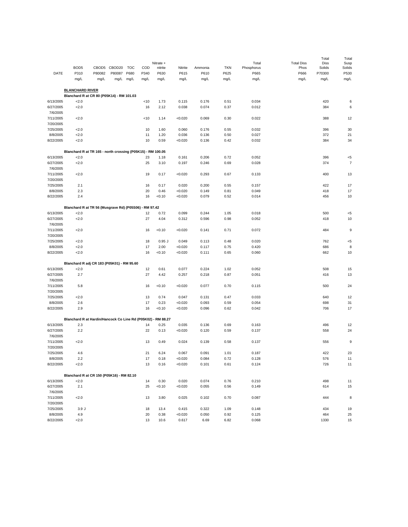|           |                                                              |        |              |            |      |                      |         |         |            |                     |                           | Total          | Total          |
|-----------|--------------------------------------------------------------|--------|--------------|------------|------|----------------------|---------|---------|------------|---------------------|---------------------------|----------------|----------------|
|           | BOD <sub>5</sub>                                             |        | CBOD5 CBOD20 | <b>TOC</b> | COD  | Nitrate +<br>nitrite | Nitrite | Ammonia | <b>TKN</b> | Total<br>Phosphorus | <b>Total Diss</b><br>Phos | Diss<br>Solids | Susp<br>Solids |
|           |                                                              |        |              |            |      |                      |         |         |            |                     |                           |                |                |
| DATE      | P310                                                         | P80082 | P80087       | P680       | P340 | P630                 | P615    | P610    | P625       | P665                | P666                      | P70300         | P530           |
|           | mg/L                                                         | mg/L   |              | mg/L mg/L  | mg/L | mg/L                 | mg/L    | mg/L    | mg/L       | mg/L                | mg/L                      | mg/L           | mg/L           |
|           | <b>BLANCHARD RIVER</b>                                       |        |              |            |      |                      |         |         |            |                     |                           |                |                |
|           | Blanchard R at CR 80 (P05K14) - RM 101.03                    |        |              |            |      |                      |         |         |            |                     |                           |                |                |
| 6/13/2005 | 2.0                                                          |        |              |            | <10  | 1.73                 | 0.115   | 0.176   | 0.51       | 0.034               |                           | 420            | 6              |
| 6/27/2005 | 2.0                                                          |        |              |            | 16   | 2.12                 | 0.038   | 0.074   | 0.37       | 0.012               |                           | 384            | 6              |
| 7/6/2005  |                                                              |        |              |            |      |                      |         |         |            |                     |                           |                |                |
| 7/11/2005 | 2.0                                                          |        |              |            | < 10 | 1.14                 | < 0.020 | 0.069   | 0.30       | 0.022               |                           | 388            | 12             |
| 7/20/2005 |                                                              |        |              |            |      |                      |         |         |            |                     |                           |                |                |
|           |                                                              |        |              |            |      |                      |         |         |            |                     |                           |                |                |
| 7/25/2005 | 2.0                                                          |        |              |            | 10   | 1.60                 | 0.060   | 0.176   | 0.55       | 0.032               |                           | 396            | 30             |
| 8/8/2005  | 2.0                                                          |        |              |            | 11   | 1.20                 | 0.036   | 0.136   | 0.50       | 0.027               |                           | 372            | 21             |
| 8/22/2005 | 2.0                                                          |        |              |            | 10   | 0.59                 | < 0.020 | 0.136   | 0.42       | 0.032               |                           | 384            | 34             |
|           | Blanchard R at TR 165 - north crossing (P05K15) - RM 100.05  |        |              |            |      |                      |         |         |            |                     |                           |                |                |
| 6/13/2005 | 2.0                                                          |        |              |            | 23   | 1.18                 | 0.161   | 0.206   | 0.72       | 0.052               |                           | 396            | $5$            |
| 6/27/2005 | 2.0                                                          |        |              |            | 25   | 3.10                 | 0.197   | 0.246   | 0.69       | 0.028               |                           | 374            | $\overline{7}$ |
| 7/6/2005  |                                                              |        |              |            |      |                      |         |         |            |                     |                           |                |                |
| 7/11/2005 | 2.0                                                          |        |              |            | 19   | 0.17                 | < 0.020 | 0.293   | 0.67       | 0.133               |                           | 400            | 13             |
| 7/20/2005 |                                                              |        |              |            |      |                      |         |         |            |                     |                           |                |                |
| 7/25/2005 | 2.1                                                          |        |              |            | 16   | 0.17                 | 0.020   | 0.200   | 0.55       | 0.157               |                           | 422            | 17             |
| 8/8/2005  | 2.3                                                          |        |              |            | 20   | 0.46                 | <0.020  | 0.149   | 0.81       | 0.049               |                           | 418            | 17             |
| 8/22/2005 | 2.4                                                          |        |              |            | 16   | <0.10                | < 0.020 | 0.079   | 0.52       | 0.014               |                           | 456            | 10             |
|           |                                                              |        |              |            |      |                      |         |         |            |                     |                           |                |                |
|           | Blanchard R at TR 56 (Musgrave Rd) (P05S06) - RM 97.42       |        |              |            |      |                      |         |         |            |                     |                           |                |                |
| 6/13/2005 | 2.0                                                          |        |              |            | 12   | 0.72                 | 0.099   | 0.244   | 1.05       | 0.018               |                           | 500            | $5$            |
| 6/27/2005 | 2.0                                                          |        |              |            | 27   | 4.04                 | 0.312   | 0.596   | 0.98       | 0.052               |                           | 418            | 10             |
| 7/6/2005  |                                                              |        |              |            |      |                      |         |         |            |                     |                           |                |                |
| 7/11/2005 | 2.0                                                          |        |              |            | 16   | < 0.10               | < 0.020 | 0.141   | 0.71       | 0.072               |                           | 484            | 9              |
| 7/20/2005 |                                                              |        |              |            |      |                      |         |         |            |                     |                           |                |                |
| 7/25/2005 | 2.0                                                          |        |              |            | 18   | $0.95$ J             | 0.049   | 0.113   | 0.48       | 0.020               |                           | 762            | $5$            |
| 8/8/2005  | 2.0                                                          |        |              |            | 17   | 2.00                 | < 0.020 | 0.117   | 0.75       | 0.420               |                           | 686            | 8              |
| 8/22/2005 | 2.0                                                          |        |              |            | 16   | < 0.10               | < 0.020 | 0.111   | 0.65       | 0.060               |                           | 662            | 10             |
|           |                                                              |        |              |            |      |                      |         |         |            |                     |                           |                |                |
|           | Blanchard R adj CR 183 (P05K01) - RM 95.60                   |        |              |            |      |                      |         |         |            |                     |                           |                |                |
| 6/13/2005 | 2.0                                                          |        |              |            | 12   | 0.61                 | 0.077   | 0.224   | 1.02       | 0.052               |                           | 508            | 15             |
| 6/27/2005 | 2.7                                                          |        |              |            | 27   | 4.42                 | 0.257   | 0.218   | 0.87       | 0.051               |                           | 416            | 13             |
| 7/6/2005  |                                                              |        |              |            |      |                      |         |         |            |                     |                           |                |                |
| 7/11/2005 | 5.8                                                          |        |              |            | 16   | < 0.10               | <0.020  | 0.077   | 0.70       | 0.115               |                           | 500            | 24             |
| 7/20/2005 |                                                              |        |              |            |      |                      |         |         |            |                     |                           |                |                |
| 7/25/2005 | 2.0                                                          |        |              |            | 13   | 0.74                 | 0.047   | 0.131   | 0.47       | 0.033               |                           | 640            | 12             |
| 8/8/2005  | 2.6                                                          |        |              |            | 17   | 0.23                 | <0.020  | 0.093   | 0.59       | 0.054               |                           | 698            | 31             |
| 8/22/2005 | 2.9                                                          |        |              |            | 16   | < 0.10               | < 0.020 | 0.096   | 0.62       | 0.042               |                           | 706            | 17             |
|           |                                                              |        |              |            |      |                      |         |         |            |                     |                           |                |                |
|           | Blanchard R at Hardin/Hancock Co Line Rd (P05K02) - RM 88.27 |        |              |            |      |                      |         |         |            |                     |                           |                |                |
| 6/13/2005 | 2.3                                                          |        |              |            | 14   | 0.25                 | 0.035   | 0.136   | 0.69       | 0.163               |                           | 496            | 12             |
| 6/27/2005 | 2.2                                                          |        |              |            | 22   | 0.13                 | < 0.020 | 0.120   | 0.59       | 0.137               |                           | 558            | 24             |
| 7/6/2005  |                                                              |        |              |            |      |                      |         |         |            |                     |                           |                |                |
| 7/11/2005 | 2.0                                                          |        |              |            | 13   | 0.49                 | 0.024   | 0.139   | 0.58       | 0.137               |                           | 556            | 9              |
| 7/20/2005 |                                                              |        |              |            |      |                      |         |         |            |                     |                           |                |                |
| 7/25/2005 | 4.6                                                          |        |              |            | 21   | 6.24                 | 0.067   | 0.091   | 1.01       | 0.187               |                           | 422            | 23             |
| 8/8/2005  | 2.2                                                          |        |              |            | 17   | 0.18                 | <0.020  | 0.084   | 0.72       | 0.128               |                           | 576            | 11             |
| 8/22/2005 | 2.0                                                          |        |              |            | 13   | 0.16                 | <0.020  | 0.101   | 0.61       | 0.124               |                           | 726            | 11             |
|           |                                                              |        |              |            |      |                      |         |         |            |                     |                           |                |                |
|           | Blanchard R at CR 150 (P05K16) - RM 82.10                    |        |              |            |      |                      |         |         |            |                     |                           |                |                |
| 6/13/2005 | 2.0                                                          |        |              |            | 14   | 0.30                 | 0.020   | 0.074   | 0.76       | 0.210               |                           | 498            | 11             |
| 6/27/2005 | 2.1                                                          |        |              |            | 25   | < 0.10               | <0.020  | 0.055   | 0.56       | 0.149               |                           | 614            | 15             |
| 7/6/2005  |                                                              |        |              |            |      |                      |         |         |            |                     |                           |                |                |
| 7/11/2005 | 2.0                                                          |        |              |            | 13   | 3.80                 | 0.025   | 0.102   | 0.70       | 0.087               |                           | 444            | 8              |
| 7/20/2005 |                                                              |        |              |            |      |                      |         |         |            |                     |                           |                |                |
| 7/25/2005 | 3.9J                                                         |        |              |            | 18   | 13.4                 | 0.415   | 0.322   | 1.09       | 0.148               |                           | 434            | 19             |
| 8/8/2005  | 4.9                                                          |        |              |            | 20   | 0.38                 | < 0.020 | 0.050   | 0.92       | 0.125               |                           | 464            | 25             |
| 8/22/2005 | 2.0                                                          |        |              |            | 13   | 10.6                 | 0.617   | 6.69    | 6.82       | 0.068               |                           | 1330           | 15             |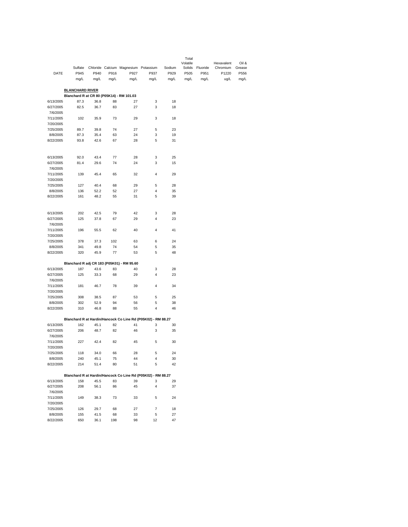|           |                                                              |      |      |                                      |                         |        | Total    |          |            |        |
|-----------|--------------------------------------------------------------|------|------|--------------------------------------|-------------------------|--------|----------|----------|------------|--------|
|           |                                                              |      |      |                                      |                         |        | Volatile |          | Hexavalent | Oil &  |
|           | Sulfate                                                      |      |      | Chloride Calcium Magnesium Potassium |                         | Sodium | Solids   | Fluoride | Chromium   | Grease |
| DATE      | P945                                                         | P940 | P916 | P927                                 | P937                    | P929   | P505     | P951     | P1220      | P556   |
|           | mg/L                                                         | mg/L | mg/L | mg/L                                 | mg/L                    | mg/L   | mg/L     | mg/L     | ug/L       | mg/L   |
|           |                                                              |      |      |                                      |                         |        |          |          |            |        |
|           | <b>BLANCHARD RIVER</b>                                       |      |      |                                      |                         |        |          |          |            |        |
|           | Blanchard R at CR 80 (P05K14) - RM 101.03                    |      |      |                                      |                         |        |          |          |            |        |
| 6/13/2005 | 87.3                                                         | 36.8 | 88   | 27                                   | 3                       | 18     |          |          |            |        |
| 6/27/2005 | 82.5                                                         | 36.7 | 83   | 27                                   | 3                       | 18     |          |          |            |        |
| 7/6/2005  |                                                              |      |      |                                      |                         |        |          |          |            |        |
| 7/11/2005 | 102                                                          | 35.9 | 73   | 29                                   | 3                       | 18     |          |          |            |        |
| 7/20/2005 |                                                              |      |      |                                      |                         |        |          |          |            |        |
| 7/25/2005 | 89.7                                                         | 39.8 | 74   | 27                                   | 5                       | 23     |          |          |            |        |
| 8/8/2005  | 87.3                                                         | 35.4 | 63   | 24                                   | 3                       | 19     |          |          |            |        |
| 8/22/2005 | 93.8                                                         | 42.6 | 67   | 28                                   | 5                       | 31     |          |          |            |        |
|           |                                                              |      |      |                                      |                         |        |          |          |            |        |
|           |                                                              |      |      |                                      |                         |        |          |          |            |        |
| 6/13/2005 | 92.0                                                         | 43.4 | 77   | 28                                   | 3                       | 25     |          |          |            |        |
| 6/27/2005 | 81.4                                                         | 29.6 | 74   | 24                                   | 3                       | 15     |          |          |            |        |
| 7/6/2005  |                                                              |      |      |                                      |                         |        |          |          |            |        |
| 7/11/2005 | 139                                                          | 45.4 | 65   | 32                                   | $\overline{\mathbf{4}}$ | 29     |          |          |            |        |
| 7/20/2005 |                                                              |      |      |                                      |                         |        |          |          |            |        |
| 7/25/2005 | 127                                                          | 40.4 | 68   | 29                                   | 5                       | 28     |          |          |            |        |
| 8/8/2005  | 136                                                          | 52.2 | 52   | 27                                   | 4                       | 35     |          |          |            |        |
| 8/22/2005 | 161                                                          | 48.2 | 55   | 31                                   | 5                       | 39     |          |          |            |        |
|           |                                                              |      |      |                                      |                         |        |          |          |            |        |
|           |                                                              |      |      |                                      |                         |        |          |          |            |        |
| 6/13/2005 | 202                                                          | 42.5 | 79   | 42                                   | 3                       | 28     |          |          |            |        |
| 6/27/2005 | 125                                                          | 37.8 | 67   | 29                                   | 4                       | 23     |          |          |            |        |
| 7/6/2005  |                                                              |      |      |                                      |                         |        |          |          |            |        |
| 7/11/2005 | 196                                                          | 55.5 | 62   | 40                                   | $\overline{\mathbf{4}}$ | 41     |          |          |            |        |
| 7/20/2005 |                                                              |      |      |                                      |                         |        |          |          |            |        |
|           |                                                              |      |      |                                      |                         |        |          |          |            |        |
| 7/25/2005 | 378                                                          | 37.3 | 102  | 63                                   | 6                       | 24     |          |          |            |        |
| 8/8/2005  | 341                                                          | 49.8 | 74   | 54                                   | 5                       | 35     |          |          |            |        |
| 8/22/2005 | 320                                                          | 45.9 | 77   | 53                                   | 5                       | 48     |          |          |            |        |
|           |                                                              |      |      |                                      |                         |        |          |          |            |        |
|           | Blanchard R adj CR 183 (P05K01) - RM 95.60                   |      |      |                                      |                         |        |          |          |            |        |
| 6/13/2005 | 187                                                          | 43.6 | 83   | 40                                   | 3                       | 28     |          |          |            |        |
| 6/27/2005 | 125                                                          | 33.3 | 68   | 29                                   | 4                       | 23     |          |          |            |        |
| 7/6/2005  |                                                              |      |      |                                      |                         |        |          |          |            |        |
| 7/11/2005 | 181                                                          | 46.7 | 78   | 39                                   | $\overline{\mathbf{4}}$ | 34     |          |          |            |        |
| 7/20/2005 |                                                              |      |      |                                      |                         |        |          |          |            |        |
| 7/25/2005 | 308                                                          | 38.5 | 87   | 53                                   | 5                       | 25     |          |          |            |        |
| 8/8/2005  | 302                                                          | 52.9 | 94   | 56                                   | 5                       | 38     |          |          |            |        |
| 8/22/2005 | 310                                                          | 46.8 | 88   | 55                                   | 4                       | 46     |          |          |            |        |
|           |                                                              |      |      |                                      |                         |        |          |          |            |        |
|           | Blanchard R at Hardin/Hancock Co Line Rd (P05K02) - RM 88.27 |      |      |                                      |                         |        |          |          |            |        |
| 6/13/2005 | 162                                                          | 45.1 | 82   | 41                                   | 3                       | 30     |          |          |            |        |
| 6/27/2005 | 206                                                          | 48.7 | 82   | 46                                   | 3                       | 35     |          |          |            |        |
| 7/6/2005  |                                                              |      |      |                                      |                         |        |          |          |            |        |
| 7/11/2005 | 227                                                          | 42.4 | 82   | 45                                   | 5                       | 30     |          |          |            |        |
| 7/20/2005 |                                                              |      |      |                                      |                         |        |          |          |            |        |
| 7/25/2005 | 118                                                          | 34.0 | 66   | 28                                   | 5                       | 24     |          |          |            |        |
| 8/8/2005  | 240                                                          | 45.1 | 75   | 44                                   | 4                       | 30     |          |          |            |        |
| 8/22/2005 | 214                                                          | 51.4 | 80   | 51                                   | 5                       | 42     |          |          |            |        |
|           |                                                              |      |      |                                      |                         |        |          |          |            |        |
|           | Blanchard R at Hardin/Hancock Co Line Rd (P05K02) - RM 88.27 |      |      |                                      |                         |        |          |          |            |        |
| 6/13/2005 | 158                                                          | 45.5 | 83   | 39                                   | 3                       | 29     |          |          |            |        |
| 6/27/2005 | 208                                                          | 56.1 | 86   | 45                                   | 4                       | 37     |          |          |            |        |
| 7/6/2005  |                                                              |      |      |                                      |                         |        |          |          |            |        |
| 7/11/2005 | 149                                                          | 38.3 | 73   | 33                                   | 5                       | 24     |          |          |            |        |
| 7/20/2005 |                                                              |      |      |                                      |                         |        |          |          |            |        |
| 7/25/2005 | 126                                                          | 29.7 | 68   | 27                                   | 7                       | 18     |          |          |            |        |
| 8/8/2005  | 155                                                          | 41.5 | 68   | 33                                   | 5                       | 27     |          |          |            |        |
| 8/22/2005 | 650                                                          | 36.1 | 198  | 98                                   | 12                      | 47     |          |          |            |        |
|           |                                                              |      |      |                                      |                         |        |          |          |            |        |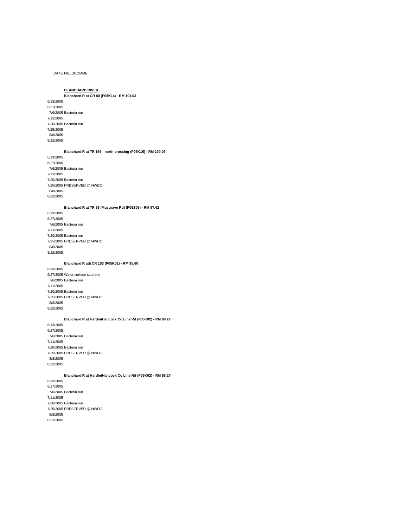## **BLANCHARD RIVER**

**Blanchard R at CR 80 (P05K14) - RM 101.03** 6/13/2005 6/27/2005 7/6/2005 Bacteria run 7/11/2005 7/20/2005 Bacteria run 7/25/2005 8/8/2005 8/22/2005 **Blanchard R at TR 165 - north crossing (P05K15) - RM 100.05** 6/13/2005 6/27/2005 7/6/2005 Bacteria run 7/11/2005 7/20/2005 Bacteria run 7/25/2005 PRESERVED @ NWDO 8/8/2005 8/22/2005 **Blanchard R at TR 56 (Musgrave Rd) (P05S06) - RM 97.42** 6/13/2005 6/27/2005 7/6/2005 Bacteria run 7/11/2005 7/20/2005 Bacteria run 7/25/2005 PRESERVED @ NWDO 8/8/2005 8/22/2005 **Blanchard R adj CR 183 (P05K01) - RM 95.60** 6/13/2005 6/27/2005 Water surface scummy 7/6/2005 Bacteria run 7/11/2005 7/20/2005 Bacteria run 7/25/2005 PRESERVED @ NWDO 8/8/2005 8/22/2005 **Blanchard R at Hardin/Hancock Co Line Rd (P05K02) - RM 88.27** 6/13/2005 6/27/2005 7/6/2005 Bacteria run 7/11/2005 7/20/2005 Bacteria run 7/25/2005 PRESERVED @ NWDO 8/8/2005 8/22/2005 **Blanchard R at Hardin/Hancock Co Line Rd (P05K02) - RM 88.27** 6/13/2005 6/27/2005 7/6/2005 Bacteria run 7/11/2005 7/20/2005 Bacteria run 7/25/2005 PRESERVED @ NWDO 8/8/2005 8/22/2005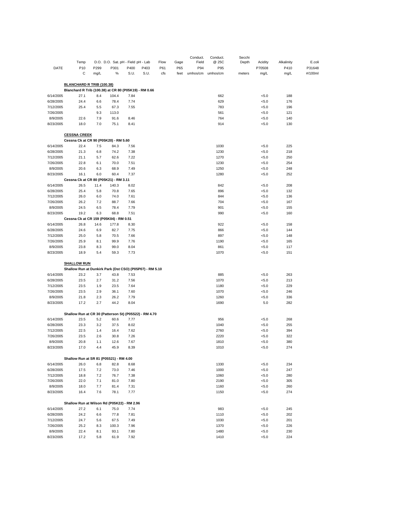|                       |                                                                                           |      | D.O. D.O. Sat. pH - Field pH - Lab |              |      |             |             | Conduct.<br>Field | Conduct.<br>@ 25C | Secchi |                   |                    |                  |
|-----------------------|-------------------------------------------------------------------------------------------|------|------------------------------------|--------------|------|-------------|-------------|-------------------|-------------------|--------|-------------------|--------------------|------------------|
| DATE                  | Temp<br>P <sub>10</sub>                                                                   | P299 | P301                               | P400         | P403 | Flow<br>P61 | Gage<br>P65 | P94               | P95               | Depth  | Acidity<br>P70508 | Alkalinity<br>P410 | E.coli<br>P31648 |
|                       | с                                                                                         | mg/L | %                                  | S.U.         | S.U. | cfs         | feet        | umhos/cm          | umhos/cm          | meters | mg/L              | mg/L               | #/100ml          |
|                       |                                                                                           |      |                                    |              |      |             |             |                   |                   |        |                   |                    |                  |
|                       | <b>BLANCHARD R TRIB (100.38)</b><br>Blanchard R Trib (100.38) at CR 80 (P05K19) - RM 0.66 |      |                                    |              |      |             |             |                   |                   |        |                   |                    |                  |
| 6/14/2005             | 27.1                                                                                      | 8.4  | 104.4                              | 7.84         |      |             |             |                   | 662               |        | < 5.0             | 188                |                  |
| 6/28/2005             | 24.4                                                                                      | 6.6  | 78.4                               | 7.74         |      |             |             |                   | 629               |        | < 5.0             | 176                |                  |
| 7/12/2005             | 25.4                                                                                      | 5.5  | 67.3                               | 7.55         |      |             |             |                   | 783               |        | < 5.0             | 196                |                  |
| 7/26/2005             |                                                                                           | 9.3  | 113.0                              |              |      |             |             |                   | 561               |        | < 5.0             | 121                |                  |
|                       |                                                                                           | 7.9  |                                    |              |      |             |             |                   |                   |        |                   |                    |                  |
| 8/9/2005<br>8/23/2005 | 22.6<br>18.0                                                                              | 7.0  | 91.6<br>75.1                       | 8.46<br>8.41 |      |             |             |                   | 764<br>914        |        | < 5.0<br>< 5.0    | 140<br>130         |                  |
|                       |                                                                                           |      |                                    |              |      |             |             |                   |                   |        |                   |                    |                  |
|                       | <b>CESSNA CREEK</b><br>Cessna Ck at CR 90 (P05K20) - RM 5.60                              |      |                                    |              |      |             |             |                   |                   |        |                   |                    |                  |
| 6/14/2005             | 22.4                                                                                      | 7.5  | 84.3                               | 7.56         |      |             |             |                   | 1030              |        | < 5.0             | 225                |                  |
| 6/28/2005             | 21.3                                                                                      | 6.8  | 74.2                               | 7.38         |      |             |             |                   | 1230              |        | < 5.0             | 218                |                  |
| 7/12/2005             | 21.1                                                                                      | 5.7  | 62.6                               | 7.22         |      |             |             |                   | 1270              |        | < 5.0             | 250                |                  |
| 7/26/2005             | 22.8                                                                                      | 6.1  | 70.0                               | 7.51         |      |             |             |                   | 1230              |        | < 5.0             | 254                |                  |
| 8/9/2005              | 20.6                                                                                      | 6.3  | 68.9                               | 7.49         |      |             |             |                   | 1250              |        | < 5.0             | 248                |                  |
| 8/23/2005             | 16.1                                                                                      | 6.0  | 60.4                               | 7.37         |      |             |             |                   | 1280              |        | < 5.0             | 252                |                  |
|                       | Cessna Ck at CR 80 (P05K21) - RM 3.11                                                     |      |                                    |              |      |             |             |                   |                   |        |                   |                    |                  |
| 6/14/2005             | 26.5                                                                                      | 11.4 | 140.3                              | 8.02         |      |             |             |                   | 842               |        | < 5.0             | 208                |                  |
|                       |                                                                                           |      |                                    |              |      |             |             |                   |                   |        |                   |                    |                  |
| 6/28/2005             | 25.4                                                                                      | 5.8  | 70.8                               | 7.65         |      |             |             |                   | 896               |        | < 5.0             | 132                |                  |
| 7/12/2005             | 26.0                                                                                      | 6.0  | 74.0                               | 7.61         |      |             |             |                   | 844               |        | < 5.0             | 136                |                  |
| 7/26/2005             | 26.2                                                                                      | 7.2  | 88.7                               | 7.66         |      |             |             |                   | 704               |        | < 5.0             | 167                |                  |
| 8/9/2005              | 24.5                                                                                      | 6.5  | 78.4                               | 7.79         |      |             |             |                   | 901               |        | < 5.0             | 155                |                  |
| 8/23/2005             | 19.2                                                                                      | 6.3  | 68.8                               | 7.51         |      |             |             |                   | 990               |        | < 5.0             | 160                |                  |
|                       | Cessna Ck at CR 159 (P05K04) - RM 0.51                                                    |      |                                    |              |      |             |             |                   |                   |        |                   |                    |                  |
| 6/14/2005             | 26.8                                                                                      | 14.6 | 177.8                              | 8.30         |      |             |             |                   | 922               |        | < 5.0             | 158                |                  |
| 6/28/2005             | 24.6                                                                                      | 6.9  | 82.7                               | 7.75         |      |             |             |                   | 866               |        | < 5.0             | 144                |                  |
| 7/12/2005             | 25.0                                                                                      | 5.8  | 70.5                               | 7.66         |      |             |             |                   | 897               |        | < 5.0             | 148                |                  |
| 7/26/2005             | 25.9                                                                                      | 8.1  | 99.9                               | 7.76         |      |             |             |                   | 1190              |        | < 5.0             | 165                |                  |
| 8/9/2005              | 23.8                                                                                      | 8.3  | 99.0                               | 8.04         |      |             |             |                   | 861               |        | < 5.0             | 117                |                  |
| 8/23/2005             | 18.9                                                                                      | 5.4  | 59.3                               | 7.73         |      |             |             |                   | 1070              |        | < 5.0             | 151                |                  |
|                       | <b>SHALLOW RUN</b>                                                                        |      |                                    |              |      |             |             |                   |                   |        |                   |                    |                  |
|                       | Shallow Run at Dunkirk Park (Dst CSO) (P05P07) - RM 5.10                                  |      |                                    |              |      |             |             |                   |                   |        |                   |                    |                  |
| 6/14/2005             | 23.2                                                                                      | 3.7  | 43.8                               | 7.53         |      |             |             |                   | 885               |        | < 5.0             | 263                |                  |
| 6/28/2005             | 23.5                                                                                      | 2.7  | 31.2                               | 7.56         |      |             |             |                   | 1070              |        | < 5.0             | 213                |                  |
| 7/12/2005             | 23.5                                                                                      | 1.9  | 23.5                               | 7.64         |      |             |             |                   | 1180              |        | < 5.0             | 229                |                  |
| 7/26/2005             | 23.5                                                                                      | 2.9  | 36.1                               | 7.60         |      |             |             |                   | 1070              |        | < 5.0             | 246                |                  |
| 8/9/2005              | 21.8                                                                                      | 2.3  | 26.2                               | 7.79         |      |             |             |                   | 1260              |        | < 5.0             | 336                |                  |
| 8/23/2005             | 17.2                                                                                      | 2.7  | 44.2                               | 8.04         |      |             |             |                   | 1690              |        | 5.0               | 282                |                  |
|                       |                                                                                           |      |                                    |              |      |             |             |                   |                   |        |                   |                    |                  |
|                       | Shallow Run at CR 30 (Patterson St) (P05S22) - RM 4.70                                    |      |                                    |              |      |             |             |                   |                   |        |                   |                    |                  |
| 6/14/2005             | 23.5                                                                                      | 5.2  | 60.6                               | 7.77         |      |             |             |                   | 956               |        | < 5.0             | 268                |                  |
| 6/28/2005             | 23.3                                                                                      | 3.2  | 37.5                               | 8.02         |      |             |             |                   | 1040              |        | < 5.0             | 255                |                  |
| 7/12/2005             | 22.5                                                                                      | 1.4  | 16.4                               | 7.62         |      |             |             |                   | 2760              |        | < 5.0             | 394                |                  |
| 7/26/2005             | 23.5                                                                                      | 2.6  | 30.8                               | 7.26         |      |             |             |                   | 2220              |        | < 5.0             | 322                |                  |
| 8/9/2005              | 20.8                                                                                      | 1.1  | 12.6                               | 7.67         |      |             |             |                   | 1810              |        | < 5.0             | 380                |                  |
| 8/23/2005             | 17.0                                                                                      | 4.4  | 45.9                               | 8.39         |      |             |             |                   | 1010              |        | < 5.0             | 274                |                  |
|                       | Shallow Run at SR 81 (P05S21) - RM 4.00                                                   |      |                                    |              |      |             |             |                   |                   |        |                   |                    |                  |
| 6/14/2005             | 26.0                                                                                      | 6.8  | 82.8                               | 8.68         |      |             |             |                   | 1330              |        | < 5.0             | 234                |                  |
| 6/28/2005             | 17.5                                                                                      | 7.2  | 73.0                               | 7.46         |      |             |             |                   | 1000              |        | < 5.0             | 247                |                  |
| 7/12/2005             | 18.8                                                                                      | 7.2  | 76.7                               | 7.38         |      |             |             |                   | 1060              |        | 5.0               | 280                |                  |
| 7/26/2005             | 22.0                                                                                      | 7.1  | 81.0                               | 7.80         |      |             |             |                   | 2190              |        | < 5.0             | 305                |                  |
| 8/9/2005              | 18.0                                                                                      | 7.7  | 81.4                               | 7.31         |      |             |             |                   | 1160              |        | 5.0               | 260                |                  |
| 8/23/2005             | 16.4                                                                                      | 7.6  | 78.1                               | 7.77         |      |             |             |                   | 1150              |        | 5.0               | 274                |                  |
|                       |                                                                                           |      |                                    |              |      |             |             |                   |                   |        |                   |                    |                  |
|                       | Shallow Run at Wilson Rd (P05K22) - RM 2.96                                               |      |                                    |              |      |             |             |                   |                   |        |                   |                    |                  |
| 6/14/2005             | 27.2                                                                                      | 6.1  | 75.0                               | 7.74         |      |             |             |                   | 983               |        | < 5.0             | 245                |                  |
| 6/28/2005             | 24.2                                                                                      | 6.6  | 77.8                               | 7.81         |      |             |             |                   | 1110              |        | 5.0               | 202                |                  |
| 7/12/2005             | 24.7                                                                                      | 5.6  | 67.5                               | 7.49         |      |             |             |                   | 1030              |        | 5.0               | 201                |                  |
| 7/26/2005             | 25.2                                                                                      | 8.3  | 100.3                              | 7.96         |      |             |             |                   | 1370              |        | < 5.0             | 226                |                  |
| 8/9/2005              | 22.4                                                                                      | 8.1  | 93.1                               | 7.80         |      |             |             |                   | 1480              |        | 5.0               | 230                |                  |
| 8/23/2005             | 17.2                                                                                      | 5.8  | 61.9                               | 7.92         |      |             |             |                   | 1410              |        | < 5.0             | 224                |                  |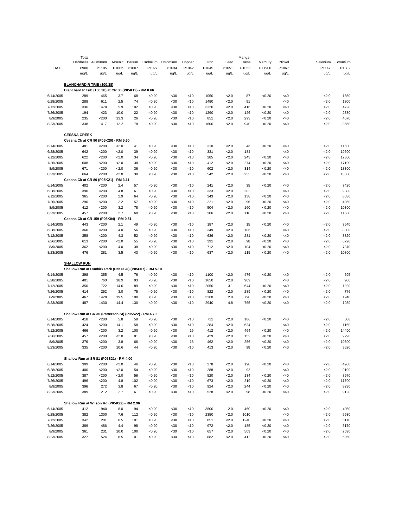|                        | Total                                                    |            |                  |          |                  |                  |              |              |            | Manga-     |         |               |            |             |
|------------------------|----------------------------------------------------------|------------|------------------|----------|------------------|------------------|--------------|--------------|------------|------------|---------|---------------|------------|-------------|
|                        | Hardness                                                 | Aluminum   | Arsenic          | Barium   |                  | Cadmium Chromium | Copper       | Iron         | Lead       | nese       | Mercury | Nickel        | Selenium   | Strontium   |
| DATE                   | P900                                                     | P1105      | P1002            | P1007    | P1027            | P1034            | P1042        | P1045        | P1051      | P1055      | P71900  | P1067         | P1147      | P1082       |
|                        | mg/L                                                     | ug/L       | ug/L             | ug/L     | ug/L             | ug/L             | ug/L         | ug/L         | ug/L       | ug/L       | ug/L    | ug/L          | ug/L       | ug/L        |
|                        |                                                          |            |                  |          |                  |                  |              |              |            |            |         |               |            |             |
|                        | <b>BLANCHARD R TRIB (100.38)</b>                         |            |                  |          |                  |                  |              |              |            |            |         |               |            |             |
|                        | Blanchard R Trib (100.38) at CR 80 (P05K19) - RM 0.66    |            | 3.7              |          |                  |                  |              |              | 2.0        | 87         |         |               | 2.0        | 1650        |
| 6/14/2005<br>6/28/2005 | 289<br>288                                               | 465<br>611 | 2.5              | 68<br>74 | <0.20<br>< 0.20  | $30$<br>$30$     | < 10<br>< 10 | 1050<br>1480 | 2.0        | 91         | <0.20   | <40<br>$<$ 40 | 2.0        | 1800        |
| 7/12/2005              | 336                                                      | 1470       | 5.9              | 102      | <0.20            | $30$             | < 10         | 3320         | 2.0        | 416        | <0.20   | <40           | 2.0        | 4720        |
| 7/26/2005              | 194                                                      | 423        | 10.0             | 22       | < 0.20           | $30$             | < 10         | 1290         | 2.0        | 126        | <0.20   | <40           | 2.0        | 2780        |
| 8/9/2005               | 235                                                      | $200$      | 13.3             | 26       | <0.20            | -30              | <10          | 851          | 2.0        | 293        | <0.20   | <40           | 2.0        | 4070        |
| 8/23/2005              | 338                                                      | 417        | 12.2             | 78       | <0.20            | $30$             | < 10         | 1600         | 2.0        | 940        | <0.20   | $<$ 40        | 2.0        | 8550        |
|                        |                                                          |            |                  |          |                  |                  |              |              |            |            |         |               |            |             |
|                        | <b>CESSNA CREEK</b>                                      |            |                  |          |                  |                  |              |              |            |            |         |               |            |             |
|                        | Cessna Ck at CR 90 (P05K20) - RM 5.60                    |            |                  |          |                  |                  |              |              |            |            |         |               |            |             |
| 6/14/2005              | 481                                                      | $200$      | 2.0              | 41       | <0.20            | $30$             | < 10         | 310          | 2.0        | 43         | <0.20   | $<$ 40        | 2.0        | 11600       |
| 6/28/2005              | 642                                                      | 200        | 2.0              | 39       | <0.20            | $30$             | <10          | 331          | 2.0        | 184        |         | $<$ 40        | 2.0        | 19500       |
| 7/12/2005              | 622                                                      | 200        | 2.0              | 34       | < 0.20           | $30$             | <10          | 285          | 2.0        | 243        | <0.20   | <40           | 2.0        | 17300       |
| 7/26/2005              | 608                                                      | $200$      | 2.0              | 38       | <0.20            | $30$             | < 10         | 412          | 2.0        | 274        | <0.20   | <40           | 2.0        | 17100       |
| 8/9/2005               | 671                                                      | $200$      | 2.0              | 36       | <0.20            | $30$             | < 10         | 602          | 2.0        | 314        | <0.20   | <40           | 2.0        | 18300       |
| 8/23/2005              | 664                                                      | 200        | 2.0              | 30       | <0.20            | <30              | $<$ 10       | 542          | 2.0        | 253        | <0.20   | <40           | 2.0        | 18800       |
|                        | Cessna Ck at CR 80 (P05K21) - RM 3.11                    |            |                  |          |                  |                  |              |              |            |            |         |               |            |             |
| 6/14/2005              | 402                                                      | 200        | 2.4              | 57       | < 0.20           | $30$             | <10          | 241          | 2.0        | 35         | <0.20   | <40           | 2.0        | 7420        |
| 6/28/2005              | 390                                                      | $<$ 200    | 4.8              | 61       | <0.20            | $30$             | < 10         | 333          | 2.0        | 202        |         | <40           | 2.0        | 9880        |
| 7/12/2005              | 365                                                      | 200        | 2.9              | 64       | <0.20            | $30$             | < 10         | 343          | 2.0        | 138        | <0.20   | <40           | 2.0        | 8030        |
| 7/26/2005              | 290                                                      | $200$      | 2.2              | 57       | <0.20            | $30$             | < 10         | 221          | 2.0        | 96         | <0.20   | $<$ 40        | 2.0        | 4860        |
| 8/9/2005               | 412                                                      | $200$      | 3.2              | 78       | <0.20            | $30$             | < 10         | 504          | 2.0        | 160        | <0.20   | <40           | 2.0        | 10300       |
| 8/23/2005              | 457                                                      | 200        | 2.7<br>- RM 0.51 | 60       | <0.20            | $30$             | <10          | 306          | 2.0        | 110        | <0.20   | <40           | 2.0        | 11600       |
| 6/14/2005              | Cessna Ck at CR 159 (P05K04)<br>443                      | $200$      | 2.1              | 49       |                  | $30$             | <10          | 187          | 2.0        | 15         | <0.20   | <40           | 2.0        | 7540        |
| 6/28/2005              | 360                                                      | $200$      | 4.0              | 56       | < 0.20<br><0.20  | $30$             | $<$ 10       | 349          | 2.0        | 186        |         | <40           | 2.0        | 8800        |
| 7/12/2005              | 358                                                      | $200$      | 4.3              | 52       | < 0.20           | $30$             | < 10         | 636          | 2.0        | 281        | <0.20   | $<$ 40        | 2.0        | 8820        |
| 7/26/2005              | 613                                                      | 200        | 2.0              | 55       | <0.20            | $30$             | <10          | 391          | 2.0        | 98         | <0.20   | $<$ 40        | 2.0        | 6720        |
| 8/9/2005               | 362                                                      | $200$      | 4.0              | 38       | <0.20            | $30$             | <10          | 712          | 2.0        | 104        | <0.20   | $<$ 40        | 2.0        | 7370        |
| 8/23/2005              | 476                                                      | 281        | 3.5              | 43       | <0.20            | $30$             | < 10         | 637          | 2.0        | 115        | <0.20   | $<$ 40        | 2.0        | 10800       |
|                        |                                                          |            |                  |          |                  |                  |              |              |            |            |         |               |            |             |
|                        | <b>SHALLOW RUN</b>                                       |            |                  |          |                  |                  |              |              |            |            |         |               |            |             |
|                        | Shallow Run at Dunkirk Park (Dst CSO) (P05P07) - RM 5.10 |            |                  |          |                  |                  |              |              |            |            |         |               |            |             |
| 6/14/2005              | 398                                                      | 355        | 4.5              | 76       | <0.20            | $30$             | <10          | 1100         | 2.0        | 476        | <0.20   | $<$ 40        | 2.0        | 595         |
| 6/28/2005              | 401                                                      | 760        | 18.9             | 93       | <0.20            | $30$             | < 10         | 1650         | 2.0        | 909        |         | <40           | 2.0        | 900         |
| 7/12/2005              | 350                                                      | 722        | 14.0             | 89       | <0.20            | <30              | <10          | 2050         | 3.1        | 644        | <0.20   | $<$ 40        | 2.0        | 1020        |
| 7/26/2005              | 414                                                      | 252        | 3.0              | 75       | < 0.20           | $30$             | < 10         | 822          | 2.0        | 289        | <0.20   | $<$ 40        | 2.0        | 776         |
| 8/9/2005               | 467                                                      | 1420       | 19.5             | 100      | <0.20            | $30$             | < 10         | 3360         | 2.8        | 790        | <0.20   | $<$ 40        | 2.0        | 1240        |
| 8/23/2005              | 487                                                      | 1430       | 14.4             | 130      | <0.20            | $30$             | <10          | 2940         | 4.8        | 765        | <0.20   | <40           | 2.0        | 1980        |
|                        |                                                          |            |                  |          |                  |                  |              |              |            |            |         |               |            |             |
|                        | Shallow Run at CR 30 (Patterson St) (P05S22)             |            |                  |          | - RM 4.70        |                  |              |              |            |            |         |               |            |             |
| 6/14/2005              | 418<br>424                                               | 200<br>200 | 5.8<br>14.1      | 58<br>58 | < 0.20<br>< 0.20 | $30$<br>$30$     | < 10<br>< 10 | 711<br>284   | 2.0<br>2.0 | 186<br>634 | <0.20   | <40<br>$<$ 40 | 2.0<br>2.0 | 808<br>1160 |
| 6/28/2005<br>7/12/2005 | 466                                                      | $<$ 200    | 3.2              | 100      | < 0.20           | $30$             | 19           | 412          | 2.0        | 464        | <0.20   | <40           | 2.0        | 14400       |
| 7/26/2005              | 457                                                      | 200        | 2.0              | 81       | <0.20            | $30$             | < 10         | 429          | 2.0        | 152        | <0.20   | <40           | 2.0        | 9290        |
| 8/9/2005               | 376                                                      | $200$      | 3.8              | 66       | <0.20            | <30              | 18           | 462          | 2.0        | 256        | <0.20   | $<$ 40        | 2.0        | 10300       |
| 8/23/2005              | 335                                                      | 200        | 10.6             | 44       | <0.20            | $30$             | < 10         | 413          | 2.0        | 98         | <0.20   | $<$ 40        | 2.0        | 3520        |
|                        |                                                          |            |                  |          |                  |                  |              |              |            |            |         |               |            |             |
|                        | Shallow Run at SR 81 (P05S21) - RM 4.00                  |            |                  |          |                  |                  |              |              |            |            |         |               |            |             |
| 6/14/2005              | 309                                                      | 200        | 2.0              | 46       | < 0.20           | $30$             | $<$ 10       | 278          | 2.0        | 120        | <0.20   | <40           | 2.0        | 4960        |
| 6/28/2005              | 400                                                      | $<$ 200    | 2.0              | 54       | <0.20            | $30$             | <10          | 288          | 2.0        | 92         |         | <40           | 2.0        | 9190        |
| 7/12/2005              | 387                                                      | $<$ 200    | 2.0              | 56       | <0.20            | $30$             | <10          | 520          | 2.0        | 134        | <0.20   | <40           | 2.0        | 8970        |
| 7/26/2005              | 496                                                      | $<$ 200    | 4.8              | 102      | <0.20            | $30$             | <10          | 673          | 2.0        | 219        | <0.20   | <40           | 2.0        | 11700       |
| 8/9/2005               | 396                                                      | 272        | 3.8              | 67       | <0.20            | $30$             | <10          | 924          | 2.0        | 244        | <0.20   | <40           | 2.0        | 8230        |
| 8/23/2005              | 389                                                      | 212        | 2.7              | 61       | <0.20            | $30$             | $<$ 10       | 528          | 2.0        | 98         | <0.20   | <40           | 2.0        | 9120        |
|                        |                                                          |            |                  |          |                  |                  |              |              |            |            |         |               |            |             |
|                        | Shallow Run at Wilson Rd (P05K22) - RM 2.96              |            |                  |          |                  |                  |              |              |            |            |         |               |            |             |
| 6/14/2005              | 412                                                      | 1940       | 8.0              | 94       | < 0.20           | $30$             | <10          | 3800         | 2.0        | 460        | <0.20   | <40           | 2.0        | 4050        |
| 6/28/2005              | 382                                                      | 1300       | 7.6              | 112      | <0.20            | $30$             | <10          | 2350         | 2.0        | 1010       |         | <40           | 2.0        | 5930        |
| 7/12/2005              | 342                                                      | 281        | 8.5              | 101      | < 0.20           | $30$             | <10          | 851          | 2.0        | 1240       | <0.20   | <40           | 2.0        | 5110        |
| 7/26/2005              | 389                                                      | 486        | 4.4              | 98       | <0.20            | $30$             | <10          | 972          | 2.0        | 185        | <0.20   | <40           | 2.0        | 5170        |
| 8/9/2005               | 361                                                      | 231        | 10.0             | 100      | <0.20            | $30$             | <10          | 657          | 2.0        | 509        | <0.20   | <40           | 2.0        | 7690        |
| 8/23/2005              | 327                                                      | 524        | 8.5              | 101      | <0.20            | $30$             | <10          | 882          | 2.0        | 412        | <0.20   | <40           | 2.0        | 6960        |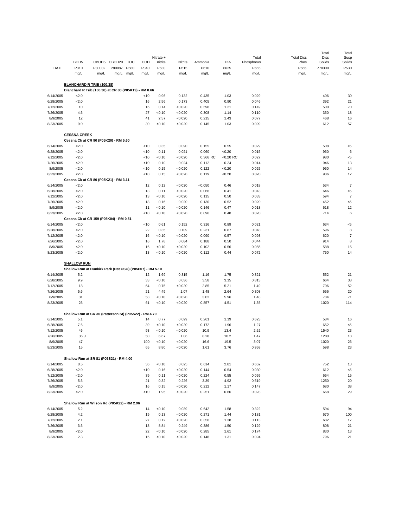|           |                                                          |        |              |            |        |           |         |          |             |            |                   | Total       | Total          |
|-----------|----------------------------------------------------------|--------|--------------|------------|--------|-----------|---------|----------|-------------|------------|-------------------|-------------|----------------|
|           |                                                          |        |              |            |        | Nitrate + |         |          |             | Total      | <b>Total Diss</b> | <b>Diss</b> | Susp           |
|           | BOD <sub>5</sub>                                         |        | CBOD5 CBOD20 | <b>TOC</b> | COD    | nitrite   | Nitrite | Ammonia  | <b>TKN</b>  | Phosphorus | Phos              | Solids      | Solids         |
| DATE      | P310                                                     | P80082 | P80087       | P680       | P340   | P630      | P615    | P610     | P625        | P665       | P666              | P70300      | P530           |
|           | mg/L                                                     | mg/L   | mg/L mg/L    |            | mg/L   | mg/L      | mg/L    | mg/L     | mg/L        | mg/L       | mg/L              | mg/L        | mg/L           |
|           |                                                          |        |              |            |        |           |         |          |             |            |                   |             |                |
|           |                                                          |        |              |            |        |           |         |          |             |            |                   |             |                |
|           | <b>BLANCHARD R TRIB (100.38)</b>                         |        |              |            |        |           |         |          |             |            |                   |             |                |
|           | Blanchard R Trib (100.38) at CR 80 (P05K19) - RM 0.66    |        |              |            |        |           |         |          |             |            |                   |             |                |
| 6/14/2005 | 2.0                                                      |        |              |            | <10    | 0.96      | 0.132   | 0.435    | 1.03        | 0.029      |                   | 406         | 30             |
| 6/28/2005 | 2.0                                                      |        |              |            | 16     | 2.56      | 0.173   | 0.405    | 0.90        | 0.046      |                   | 392         | 21             |
| 7/12/2005 | 10                                                       |        |              |            | 16     | 0.14      | < 0.020 | 0.598    | 1.21        | 0.149      |                   | 500         | 70             |
|           |                                                          |        |              |            |        |           |         |          |             |            |                   |             |                |
| 7/26/2005 | 4.5                                                      |        |              |            | 27     | < 0.10    | < 0.020 | 0.308    | 1.14        | 0.110      |                   | 350         | 18             |
| 8/9/2005  | 12                                                       |        |              |            | 41     | 2.57      | <0.020  | 0.215    | 1.43        | 0.077      |                   | 468         | 16             |
| 8/23/2005 | 9.0                                                      |        |              |            | 30     | < 0.10    | < 0.020 | 0.145    | 1.03        | 0.099      |                   | 612         | 57             |
|           |                                                          |        |              |            |        |           |         |          |             |            |                   |             |                |
|           | <b>CESSNA CREEK</b>                                      |        |              |            |        |           |         |          |             |            |                   |             |                |
|           |                                                          |        |              |            |        |           |         |          |             |            |                   |             |                |
|           | Cessna Ck at CR 90 (P05K20) - RM 5.60                    |        |              |            |        |           |         |          |             |            |                   |             |                |
| 6/14/2005 | 2.0                                                      |        |              |            | $<$ 10 | 0.35      | 0.090   | 0.155    | 0.55        | 0.029      |                   | 508         | $<$ 5          |
| 6/28/2005 | 2.0                                                      |        |              |            | < 10   | 0.11      | 0.021   | 0.060    | < 0.20      | 0.015      |                   | 960         | 6              |
| 7/12/2005 | 2.0                                                      |        |              |            | < 10   | < 0.10    | <0.020  | 0.366 RC | $< 0.20$ RC | 0.027      |                   | 980         | $5$            |
| 7/26/2005 | 2.0                                                      |        |              |            | 10     | 0.10      | 0.024   | 0.112    | 0.24        | 0.014      |                   | 946         | 13             |
|           |                                                          |        |              |            |        |           |         |          |             |            |                   |             |                |
| 8/9/2005  | 2.0                                                      |        |              |            | <10    | 0.15      | <0.020  | 0.122    | < 0.20      | 0.025      |                   | 960         | 14             |
| 8/23/2005 | 2.0                                                      |        |              |            | $<$ 10 | 0.15      | < 0.020 | 0.119    | < 0.20      | 0.020      |                   | 986         | 12             |
|           | Cessna Ck at CR 80 (P05K21) - RM 3.11                    |        |              |            |        |           |         |          |             |            |                   |             |                |
| 6/14/2005 | 2.0                                                      |        |              |            | 12     | 0.12      | <0.020  | < 0.050  | 0.46        | 0.018      |                   | 534         | $\overline{7}$ |
|           |                                                          |        |              |            |        |           |         |          |             |            |                   |             |                |
| 6/28/2005 | 2.0                                                      |        |              |            | 13     | 0.11      | < 0.020 | 0.066    | 0.41        | 0.043      |                   | 646         | $<$ 5          |
| 7/12/2005 | 2.0                                                      |        |              |            | 13     | < 0.10    | < 0.020 | 0.115    | 0.50        | 0.033      |                   | 594         | $\overline{7}$ |
| 7/26/2005 | 2.0                                                      |        |              |            | 18     | 0.16      | 0.020   | 0.130    | 0.52        | 0.020      |                   | 452         | $5$            |
| 8/9/2005  | 2.0                                                      |        |              |            | 11     | < 0.10    | < 0.020 | 0.146    | 0.47        | 0.018      |                   | 618         | 12             |
| 8/23/2005 |                                                          |        |              |            |        |           |         |          |             |            |                   |             | 6              |
|           | 2.0                                                      |        |              |            | <10    | < 0.10    | < 0.020 | 0.096    | 0.48        | 0.020      |                   | 714         |                |
|           | Cessna Ck at CR 159 (P05K04) - RM 0.51                   |        |              |            |        |           |         |          |             |            |                   |             |                |
| 6/14/2005 | 2.0                                                      |        |              |            | < 10   | 0.61      | 0.152   | 0.316    | 0.89        | 0.021      |                   | 634         | $5$            |
| 6/28/2005 | 2.0                                                      |        |              |            | 22     | 0.35      | 0.109   | 0.231    | 0.87        | 0.048      |                   | 596         | 8              |
| 7/12/2005 | 2.0                                                      |        |              |            | 16     | < 0.10    | <0.020  | 0.090    | 0.57        | 0.093      |                   | 620         | $\overline{7}$ |
|           |                                                          |        |              |            |        |           |         |          |             |            |                   |             |                |
| 7/26/2005 | 2.0                                                      |        |              |            | 16     | 1.78      | 0.084   | 0.188    | 0.50        | 0.044      |                   | 914         | 8              |
| 8/9/2005  | 2.0                                                      |        |              |            | 16     | < 0.10    | < 0.020 | 0.102    | 0.56        | 0.056      |                   | 588         | 15             |
| 8/23/2005 | 2.0                                                      |        |              |            | 13     | < 0.10    | < 0.020 | 0.112    | 0.44        | 0.072      |                   | 760         | 14             |
|           |                                                          |        |              |            |        |           |         |          |             |            |                   |             |                |
|           | <b>SHALLOW RUN</b>                                       |        |              |            |        |           |         |          |             |            |                   |             |                |
|           | Shallow Run at Dunkirk Park (Dst CSO) (P05P07) - RM 5.10 |        |              |            |        |           |         |          |             |            |                   |             |                |
|           |                                                          |        |              |            |        |           |         |          |             |            |                   |             |                |
| 6/14/2005 | 5.2                                                      |        |              |            | 12     | 1.69      | 0.315   | 1.16     | 1.75        | 0.321      |                   | 552         | 21             |
| 6/28/2005 | 9.9                                                      |        |              |            | 33     | < 0.10    | 0.036   | 3.58     | 3.15        | 0.813      |                   | 664         | 38             |
| 7/12/2005 | 18                                                       |        |              |            | 64     | 0.75      | < 0.020 | 2.85     | 5.21        | 1.49       |                   | 706         | 52             |
| 7/26/2005 | 5.6                                                      |        |              |            | 21     | 4.49      | 1.07    | 1.48     | 2.64        | 0.308      |                   | 656         | 20             |
|           |                                                          |        |              |            |        |           |         |          |             |            |                   |             |                |
| 8/9/2005  | 31                                                       |        |              |            | 58     | < 0.10    | < 0.020 | 3.02     | 5.96        | 1.48       |                   | 784         | 71             |
| 8/23/2005 | 25                                                       |        |              |            | 61     | < 0.10    | <0.020  | 0.857    | 4.51        | 1.35       |                   | 1020        | 114            |
|           |                                                          |        |              |            |        |           |         |          |             |            |                   |             |                |
|           | Shallow Run at CR 30 (Patterson St) (P05S22) - RM 4.70   |        |              |            |        |           |         |          |             |            |                   |             |                |
| 6/14/2005 | 5.1                                                      |        |              |            | 14     | 0.77      | 0.099   | 0.261    | 1.19        | 0.623      |                   | 584         | 16             |
| 6/28/2005 | 7.6                                                      |        |              |            | 39     | < 0.10    | < 0.020 | 0.172    | 1.96        | 1.27       |                   | 652         | $5$            |
|           |                                                          |        |              |            |        |           |         |          |             |            |                   |             |                |
| 7/12/2005 | 46                                                       |        |              |            | 93     | < 0.10    | <0.020  | 10.9     | 13.4        | 2.52       |                   | 1540        | 23             |
| 7/26/2005 | 36 J                                                     |        |              |            | 50     | 6.67      | 1.06    | 8.28     | 10.2        | 1.47       |                   | 1280        | 18             |
| 8/9/2005  | 47                                                       |        |              |            | 100    | < 0.10    | <0.020  | 16.6     | 19.5        | 3.07       |                   | 1020        | 26             |
| 8/23/2005 | 15                                                       |        |              |            | 65     | 8.80      | < 0.020 | 1.61     | 3.76        | 0.958      |                   | 598         | 23             |
|           |                                                          |        |              |            |        |           |         |          |             |            |                   |             |                |
|           |                                                          |        |              |            |        |           |         |          |             |            |                   |             |                |
|           | Shallow Run at SR 81 (P05S21) - RM 4.00                  |        |              |            |        |           |         |          |             |            |                   |             |                |
| 6/14/2005 | 8.5                                                      |        |              |            | 36     | < 0.10    | 0.025   | 0.614    | 2.81        | 0.652      |                   | 752         | 13             |
| 6/28/2005 | 2.0                                                      |        |              |            | $<$ 10 | 0.16      | < 0.020 | 0.144    | 0.54        | 0.030      |                   | 612         | $< 5$          |
| 7/12/2005 | 2.0                                                      |        |              |            | 39     | 0.11      | < 0.020 | 0.224    | 0.55        | 0.055      |                   | 664         | 15             |
|           |                                                          |        |              |            |        |           |         |          |             |            |                   |             |                |
| 7/26/2005 | 5.5                                                      |        |              |            | 21     | 0.32      | 0.226   | 3.39     | 4.92        | 0.519      |                   | 1250        | 20             |
| 8/9/2005  | 2.0                                                      |        |              |            | 16     | 0.15      | < 0.020 | 0.212    | 1.17        | 0.147      |                   | 680         | 38             |
| 8/23/2005 | 2.0                                                      |        |              |            | <10    | 1.95      | < 0.020 | 0.251    | 0.66        | 0.028      |                   | 668         | 29             |
|           |                                                          |        |              |            |        |           |         |          |             |            |                   |             |                |
|           | Shallow Run at Wilson Rd (P05K22) - RM 2.96              |        |              |            |        |           |         |          |             |            |                   |             |                |
|           |                                                          |        |              |            |        |           |         |          |             |            |                   |             |                |
| 6/14/2005 | 5.2                                                      |        |              |            | 14     | < 0.10    | 0.039   | 0.642    | 1.58        | 0.322      |                   | 594         | 94             |
| 6/28/2005 | 4.2                                                      |        |              |            | 19     | 0.13      | < 0.020 | 0.271    | 1.44        | 0.181      |                   | 670         | 100            |
| 7/12/2005 | 2.1                                                      |        |              |            | 27     | 0.12      | < 0.020 | 0.356    | 1.38        | 0.113      |                   | 682         | 17             |
| 7/26/2005 | 3.5                                                      |        |              |            | 18     | 8.84      | 0.249   | 0.386    | 1.50        | 0.129      |                   | 808         | 21             |
|           |                                                          |        |              |            |        |           |         |          |             |            |                   |             |                |
| 8/9/2005  | 2.0                                                      |        |              |            | 22     | < 0.10    | < 0.020 | 0.285    | 1.61        | 0.174      |                   | 830         | 13             |
| 8/23/2005 | 2.3                                                      |        |              |            | 16     | < 0.10    | < 0.020 | 0.148    | 1.31        | 0.094      |                   | 796         | 21             |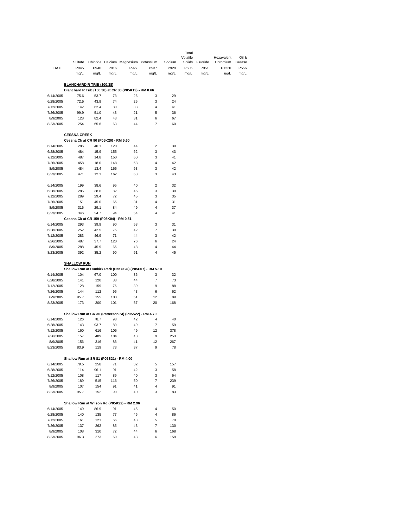|                        |                                         |              |            |                                                          |                                |            | Total<br>Volatile |          | Hexavalent | Oil &  |
|------------------------|-----------------------------------------|--------------|------------|----------------------------------------------------------|--------------------------------|------------|-------------------|----------|------------|--------|
|                        | Sulfate                                 |              |            | Chloride Calcium Magnesium Potassium                     |                                | Sodium     | Solids            | Fluoride | Chromium   | Grease |
| DATE                   | P945                                    | P940         | P916       | P927                                                     | P937                           | P929       | P505              | P951     | P1220      | P556   |
|                        | mg/L                                    | mg/L         | mg/L       | mg/L                                                     | mg/L                           | mg/L       | mg/L              | mg/L     | ug/L       | mg/L   |
|                        | <b>BLANCHARD R TRIB (100.38)</b>        |              |            |                                                          |                                |            |                   |          |            |        |
|                        |                                         |              |            | Blanchard R Trib (100.38) at CR 80 (P05K19) - RM 0.66    |                                |            |                   |          |            |        |
| 6/14/2005              | 75.6                                    | 53.7         | 73         | 26                                                       | 3                              | 29         |                   |          |            |        |
| 6/28/2005              | 72.5                                    | 43.9         | 74         | 25                                                       | 3                              | 24         |                   |          |            |        |
| 7/12/2005              | 142                                     | 62.4         | 80         | 33                                                       | $\overline{\mathbf{4}}$        | 41         |                   |          |            |        |
| 7/26/2005              | 99.9                                    | 51.0         | 43         | 21                                                       | 5                              | 36         |                   |          |            |        |
| 8/9/2005               | 128                                     | 82.4         | 43         | 31                                                       | 6                              | 67         |                   |          |            |        |
| 8/23/2005              | 254                                     | 65.6         | 63         | 44                                                       | $\overline{7}$                 | 60         |                   |          |            |        |
|                        |                                         |              |            |                                                          |                                |            |                   |          |            |        |
|                        | <b>CESSNA CREEK</b>                     |              |            |                                                          |                                |            |                   |          |            |        |
|                        | Cessna Ck at CR 90 (P05K20) - RM 5.60   |              |            |                                                          |                                |            |                   |          |            |        |
| 6/14/2005<br>6/28/2005 | 286<br>484                              | 40.1<br>15.9 | 120<br>155 | 44<br>62                                                 | 2<br>3                         | 39<br>43   |                   |          |            |        |
| 7/12/2005              | 487                                     | 14.8         |            | 60                                                       | 3                              | 41         |                   |          |            |        |
| 7/26/2005              | 458                                     | 18.0         | 150<br>148 | 58                                                       | $\overline{\mathbf{4}}$        | 42         |                   |          |            |        |
| 8/9/2005               | 484                                     | 13.4         | 165        | 63                                                       | 3                              | 42         |                   |          |            |        |
| 8/23/2005              | 471                                     | 12.1         | 162        | 63                                                       | 3                              | 43         |                   |          |            |        |
|                        |                                         |              |            |                                                          |                                |            |                   |          |            |        |
| 6/14/2005              | 199                                     | 38.6         | 95         | 40                                                       | $\boldsymbol{2}$               | 32         |                   |          |            |        |
| 6/28/2005              | 285                                     | 38.6         | 82         | 45                                                       | 3                              | 39         |                   |          |            |        |
| 7/12/2005              | 289                                     | 29.4         | 72         | 45                                                       | 3                              | 35         |                   |          |            |        |
| 7/26/2005              | 151                                     | 45.0         | 65         | 31                                                       | 4                              | 31         |                   |          |            |        |
| 8/9/2005               | 316                                     | 29.1         | 84         | 49                                                       | 4                              | 37         |                   |          |            |        |
| 8/23/2005              | 346                                     | 24.7         | 94         | 54                                                       | 4                              | 41         |                   |          |            |        |
|                        | Cessna Ck at CR 159 (P05K04) - RM 0.51  |              |            |                                                          |                                |            |                   |          |            |        |
| 6/14/2005              | 293                                     | 39.9         | 90         | 53                                                       | 3                              | 31         |                   |          |            |        |
| 6/28/2005<br>7/12/2005 | 252<br>283                              | 42.5<br>46.9 | 75<br>71   | 42<br>44                                                 | $\overline{\mathfrak{c}}$<br>3 | 39<br>42   |                   |          |            |        |
| 7/26/2005              | 487                                     | 37.7         | 120        | 76                                                       | 6                              | 24         |                   |          |            |        |
| 8/9/2005               | 288                                     | 45.9         | 66         | 48                                                       | $\overline{\mathbf{4}}$        | 44         |                   |          |            |        |
| 8/23/2005              | 392                                     | 35.2         | 90         | 61                                                       | 4                              | 45         |                   |          |            |        |
|                        |                                         |              |            |                                                          |                                |            |                   |          |            |        |
|                        | <b>SHALLOW RUN</b>                      |              |            |                                                          |                                |            |                   |          |            |        |
|                        |                                         |              |            | Shallow Run at Dunkirk Park (Dst CSO) (P05P07) - RM 5.10 |                                |            |                   |          |            |        |
| 6/14/2005              | 104                                     | 67.0         | 100        | 36                                                       | 3                              | 32         |                   |          |            |        |
| 6/28/2005              | 141                                     | 120          | 88         | 44                                                       | $\overline{7}$                 | 73         |                   |          |            |        |
| 7/12/2005              | 128                                     | 159          | 76         | 39                                                       | 9                              | 88         |                   |          |            |        |
| 7/26/2005              | 144                                     | 112          | 95         | 43                                                       | 6                              | 62         |                   |          |            |        |
| 8/9/2005<br>8/23/2005  | 95.7<br>173                             | 155<br>300   | 103<br>101 | 51<br>57                                                 | 12<br>20                       | 89<br>168  |                   |          |            |        |
|                        |                                         |              |            |                                                          |                                |            |                   |          |            |        |
|                        |                                         |              |            | Shallow Run at CR 30 (Patterson St) (P05S22) - RM 4.70   |                                |            |                   |          |            |        |
| 6/14/2005              | 126                                     | 78.7         | 98         | 42                                                       | 4                              | 40         |                   |          |            |        |
| 6/28/2005              | 143                                     | 93.7         | 89         | 49                                                       | $\overline{7}$                 | 59         |                   |          |            |        |
| 7/12/2005              | 160                                     | 616          | 106        | 49                                                       | 12                             | 378        |                   |          |            |        |
| 7/26/2005              | 157                                     | 489          | 104        | 48                                                       | 9                              | 253        |                   |          |            |        |
| 8/9/2005               | 156                                     | 316          | 83         | 41                                                       | 12                             | 267        |                   |          |            |        |
| 8/23/2005              | 83.9                                    | 119          | 73         | 37                                                       |                                | 78         |                   |          |            |        |
|                        | Shallow Run at SR 81 (P05S21) - RM 4.00 |              |            |                                                          |                                |            |                   |          |            |        |
| 6/14/2005              | 79.5                                    | 258          | 71         | 32                                                       | 5                              | 157        |                   |          |            |        |
| 6/28/2005              | 114                                     | 96.1         | 91         | 42                                                       | 3                              | 58         |                   |          |            |        |
| 7/12/2005              | 108                                     | 117          | 89         | 40                                                       | 3                              | 64         |                   |          |            |        |
| 7/26/2005              | 189                                     | 515          | 116        | 50                                                       | 7                              | 239        |                   |          |            |        |
| 8/9/2005               | 107                                     | 154          | 91         | 41                                                       | 4                              | 91         |                   |          |            |        |
| 8/23/2005              | 95.7                                    | 152          | 90         | 40                                                       | 3                              | 83         |                   |          |            |        |
|                        |                                         |              |            |                                                          |                                |            |                   |          |            |        |
|                        |                                         |              |            | Shallow Run at Wilson Rd (P05K22) - RM 2.96              |                                |            |                   |          |            |        |
| 6/14/2005              | 149                                     | 86.9         | 91         | 45                                                       | 4                              | 50         |                   |          |            |        |
| 6/28/2005              | 140                                     | 135          | 77         | 46                                                       | 4                              | 86         |                   |          |            |        |
| 7/12/2005              | 161                                     | 121          | 66         | 43                                                       | 5                              | 70         |                   |          |            |        |
| 7/26/2005<br>8/9/2005  | 137<br>108                              | 262<br>310   | 85<br>72   | 43<br>44                                                 | 7<br>6                         | 130<br>168 |                   |          |            |        |
| 8/23/2005              | 96.3                                    | 273          | 60         | 43                                                       | 6                              | 159        |                   |          |            |        |
|                        |                                         |              |            |                                                          |                                |            |                   |          |            |        |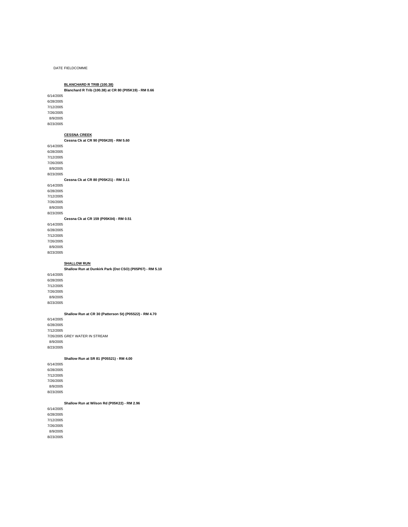## **BLANCHARD R TRIB (100.38)**

**Blanchard R Trib (100.38) at CR 80 (P05K19) - RM 0.66** 6/14/2005 6/28/2005 7/12/2005 7/26/2005 8/9/2005 8/23/2005 **CESSNA CREEK Cessna Ck at CR 90 (P05K20) - RM 5.60** 6/14/2005 6/28/2005 7/12/2005 7/26/2005 8/9/2005 8/23/2005 **Cessna Ck at CR 80 (P05K21) - RM 3.11** 6/14/2005 6/28/2005 7/12/2005 7/26/2005 8/9/2005 8/23/2005 **Cessna Ck at CR 159 (P05K04) - RM 0.51** 6/14/2005 6/28/2005 7/12/2005 7/26/2005 8/9/2005 8/23/2005 **SHALLOW RUN Shallow Run at Dunkirk Park (Dst CSO) (P05P07) - RM 5.10** 6/14/2005 6/28/2005 7/12/2005 7/26/2005 8/9/2005 8/23/2005 **Shallow Run at CR 30 (Patterson St) (P05S22) - RM 4.70**

6/14/2005 6/28/2005 7/12/2005 7/26/2005 GREY WATER IN STREAM 8/9/2005 8/23/2005

**Shallow Run at SR 81 (P05S21) - RM 4.00**

6/14/2005 6/28/2005 7/12/2005 7/26/2005 8/9/2005 8/23/2005

**Shallow Run at Wilson Rd (P05K22) - RM 2.96**

6/14/2005 6/28/2005 7/12/2005 7/26/2005 8/9/2005 8/23/2005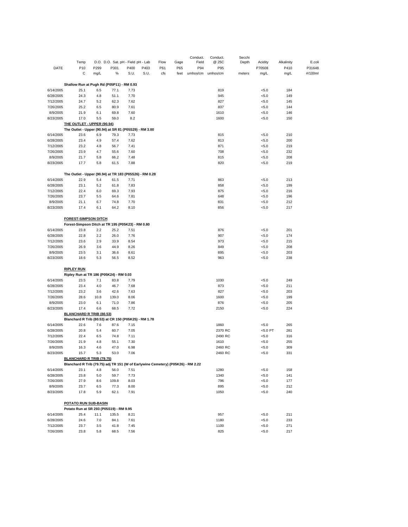|           |                                                                                  |      |                                    |      |      |      |      | Conduct. | Conduct. | Secchi |           |            |         |
|-----------|----------------------------------------------------------------------------------|------|------------------------------------|------|------|------|------|----------|----------|--------|-----------|------------|---------|
|           | Temp                                                                             |      | D.O. D.O. Sat. pH - Field pH - Lab |      |      | Flow | Gage | Field    | @ 25C    | Depth  | Acidity   | Alkalinity | E.coli  |
| DATE      | P <sub>10</sub>                                                                  | P299 | P301                               | P400 | P403 | P61  | P65  | P94      | P95      |        | P70508    | P410       | P31648  |
|           | C                                                                                | mg/L | %                                  | S.U. | S.U. | cfs  | feet | umhos/cm | umhos/cm | meters | mg/L      | mg/L       | #/100ml |
|           |                                                                                  |      |                                    |      |      |      |      |          |          |        |           |            |         |
|           | Shallow Run at Pugh Rd (P05P11) - RM 0.93                                        |      |                                    |      |      |      |      |          |          |        |           |            |         |
| 6/14/2005 | 25.1                                                                             | 6.5  | 77.1                               | 7.73 |      |      |      |          | 819      |        | < 5.0     | 184        |         |
| 6/28/2005 | 24.3                                                                             | 4.8  | 51.1                               | 7.70 |      |      |      |          | 945      |        | < 5.0     | 149        |         |
| 7/12/2005 | 24.7                                                                             | 5.2  | 62.3                               | 7.62 |      |      |      |          | 827      |        | < 5.0     | 145        |         |
| 7/26/2005 | 25.2                                                                             | 6.5  | 80.9                               | 7.61 |      |      |      |          | 837      |        | < 5.0     | 144        |         |
| 8/9/2005  | 21.9                                                                             | 6.1  | 69.8                               | 7.60 |      |      |      |          | 1610     |        | < 5.0     | 146        |         |
| 8/23/2005 | 17.0                                                                             | 5.5  | 59.0                               | 8.2  |      |      |      |          | 1600     |        | < 5.0     | 150        |         |
|           | THE OUTLET - UPPER (90.94)                                                       |      |                                    |      |      |      |      |          |          |        |           |            |         |
|           | The Outlet - Upper (90.94) at SR 81 (P05S29) - RM 3.00                           |      |                                    |      |      |      |      |          |          |        |           |            |         |
| 6/14/2005 | 23.6                                                                             | 6.9  | 79.3                               | 7.73 |      |      |      |          | 815      |        | < 5.0     | 210        |         |
| 6/28/2005 | 23.4                                                                             | 4.9  | 57.4                               | 7.62 |      |      |      |          | 813      |        | < 5.0     | 200        |         |
| 7/12/2005 | 23.2                                                                             | 4.8  | 56.7                               | 7.41 |      |      |      |          | 871      |        | < 5.0     | 219        |         |
| 7/26/2005 | 23.9                                                                             | 4.7  | 55.6                               | 7.60 |      |      |      |          | 708      |        | < 5.0     | 232        |         |
| 8/9/2005  | 21.7                                                                             | 5.8  | 66.2                               | 7.48 |      |      |      |          | 815      |        | < 5.0     | 208        |         |
| 8/23/2005 | 17.7                                                                             | 5.8  | 61.5                               | 7.88 |      |      |      |          | 820      |        | < 5.0     | 219        |         |
|           |                                                                                  |      |                                    |      |      |      |      |          |          |        |           |            |         |
|           | The Outlet - Upper (90.94) at TR 183 (P05S26) - RM 0.28                          |      |                                    |      |      |      |      |          |          |        |           |            |         |
| 6/14/2005 | 22.9                                                                             | 5.4  | 61.5                               | 7.71 |      |      |      |          | 863      |        | < 5.0     | 213        |         |
| 6/28/2005 | 23.1                                                                             | 5.2  | 61.8                               | 7.83 |      |      |      |          | 858      |        | < 5.0     | 199        |         |
| 7/12/2005 | 22.4                                                                             | 6.0  | 69.3                               | 7.93 |      |      |      |          | 875      |        | < 5.0     | 216        |         |
| 7/26/2005 | 23.7                                                                             | 5.5  | 64.6                               | 7.81 |      |      |      |          | 648      |        | < 5.0     | 196        |         |
| 8/9/2005  | 21.1                                                                             | 6.7  | 74.8                               | 7.70 |      |      |      |          | 831      |        | < 5.0     | 212        |         |
| 8/23/2005 | 17.4                                                                             | 6.1  | 64.2                               | 8.10 |      |      |      |          | 856      |        | < 5.0     | 217        |         |
|           |                                                                                  |      |                                    |      |      |      |      |          |          |        |           |            |         |
|           | <b>FOREST-SIMPSON DITCH</b>                                                      |      |                                    |      |      |      |      |          |          |        |           |            |         |
|           | Forest-Simpson Ditch at TR 195 (P05K23) - RM 0.80                                |      |                                    |      |      |      |      |          |          |        |           |            |         |
| 6/14/2005 | 23.8                                                                             | 2.2  | 25.2                               | 7.51 |      |      |      |          | 876      |        | < 5.0     | 201        |         |
| 6/28/2005 | 22.8                                                                             | 2.2  | 26.0                               | 7.76 |      |      |      |          | 907      |        | < 5.0     | 174        |         |
| 7/12/2005 | 23.6                                                                             | 2.9  | 33.9                               | 8.54 |      |      |      |          | 973      |        | < 5.0     | 215        |         |
| 7/26/2005 | 26.9                                                                             | 3.6  | 44.9                               | 8.26 |      |      |      |          | 849      |        | < 5.0     | 208        |         |
| 8/9/2005  | 23.5                                                                             | 3.1  | 36.6                               | 8.61 |      |      |      |          | 895      |        | < 5.0     | 203        |         |
| 8/23/2005 | 18.6                                                                             | 5.3  | 56.5                               | 8.52 |      |      |      |          | 963      |        | < 5.0     | 238        |         |
|           |                                                                                  |      |                                    |      |      |      |      |          |          |        |           |            |         |
|           | <b>RIPLEY RUN</b>                                                                |      |                                    |      |      |      |      |          |          |        |           |            |         |
|           | Ripley Run at TR 186 (P05K24) - RM 0.03                                          |      |                                    |      |      |      |      |          |          |        |           |            |         |
| 6/14/2005 | 23.5                                                                             | 7.1  | 83.8                               | 7.79 |      |      |      |          | 1030     |        | < 5.0     | 249        |         |
| 6/28/2005 | 23.4                                                                             | 4.0  | 46.7                               | 7.68 |      |      |      |          | 873      |        | < 5.0     | 211        |         |
| 7/12/2005 | 23.2                                                                             | 3.6  | 42.6                               | 7.63 |      |      |      |          | 827      |        | < 5.0     | 203        |         |
| 7/26/2005 | 28.6                                                                             | 10.8 | 139.0                              | 8.06 |      |      |      |          | 1600     |        | < 5.0     | 199        |         |
| 8/9/2005  | 23.0                                                                             | 6.1  | 71.0                               | 7.86 |      |      |      |          | 876      |        | < 5.0     | 205        |         |
| 8/23/2005 | 17.4                                                                             | 6.6  | 68.5                               | 7.72 |      |      |      |          | 2150     |        | < 5.0     | 224        |         |
|           | <b>BLANCHARD R TRIB (80.53)</b>                                                  |      |                                    |      |      |      |      |          |          |        |           |            |         |
|           | Blanchard R Trib (80.53) at CR 150 (P05K25) - RM 1.78                            |      |                                    |      |      |      |      |          |          |        |           |            |         |
| 6/14/2005 | 22.6                                                                             | 7.6  | 87.6                               | 7.15 |      |      |      |          | 1860     |        | < 5.0     | 265        |         |
| 6/28/2005 | 20.8                                                                             | 5.4  | 60.7                               | 7.05 |      |      |      |          | 2370 RC  |        | $<5.0$ PT | 281        |         |
| 7/12/2005 | 22.4                                                                             | 6.5  | 74.8                               | 7.11 |      |      |      |          | 2490 RC  |        | < 5.0     | 316        |         |
| 7/26/2005 | 21.9                                                                             | 4.8  | 55.1                               | 7.30 |      |      |      |          | 1610     |        | 5.0       | 255        |         |
| 8/9/2005  | 16.3                                                                             | 4.6  | 47.0                               | 6.98 |      |      |      |          | 2460 RC  |        | < 5.0     | 309        |         |
| 8/23/2005 | 15.7                                                                             | 5.3  | 53.0                               | 7.06 |      |      |      |          | 2460 RC  |        | 5.0       | 331        |         |
|           | <b>BLANCHARD R TRIB (79.75)</b>                                                  |      |                                    |      |      |      |      |          |          |        |           |            |         |
|           | Blanchard R Trib (79.75) adj TR 151 (W of Earlywine Cemetery) (P05K26) - RM 2.22 |      |                                    |      |      |      |      |          |          |        |           |            |         |
| 6/14/2005 | 23.1                                                                             | 4.8  | 56.0                               | 7.51 |      |      |      |          | 1280     |        | < 5.0     | 158        |         |
| 6/28/2005 | 23.8                                                                             | 5.0  | 59.7                               | 7.73 |      |      |      |          | 1340     |        | 5.0       | 141        |         |
| 7/26/2005 | 27.9                                                                             | 8.6  | 109.8                              | 8.03 |      |      |      |          | 796      |        | < 5.0     | 177        |         |
| 8/9/2005  | 23.7                                                                             | 6.5  | 77.3                               | 8.00 |      |      |      |          | 895      |        | 5.0       | 212        |         |
| 8/23/2005 | 17.8                                                                             | 5.9  | 62.1                               | 7.91 |      |      |      |          | 1050     |        | 5.0       | 240        |         |
|           |                                                                                  |      |                                    |      |      |      |      |          |          |        |           |            |         |
|           | POTATO RUN SUB-BASIN                                                             |      |                                    |      |      |      |      |          |          |        |           |            |         |
|           | Potato Run at SR 293 (P05S19) - RM 9.95                                          |      |                                    |      |      |      |      |          |          |        |           |            |         |
| 6/14/2005 | 25.4                                                                             | 11.1 | 135.5                              | 8.21 |      |      |      |          | 957      |        | < 5.0     | 211        |         |
| 6/28/2005 | 24.6                                                                             | 7.0  | 84.1                               | 7.61 |      |      |      |          | 1180     |        | 5.0       | 233        |         |
| 7/12/2005 | 23.7                                                                             | 3.5  | 41.8                               | 7.45 |      |      |      |          | 1100     |        | < 5.0     | 271        |         |
| 7/26/2005 | 23.8                                                                             | 5.8  | 68.5                               | 7.56 |      |      |      |          | 825      |        | 5.0       | 217        |         |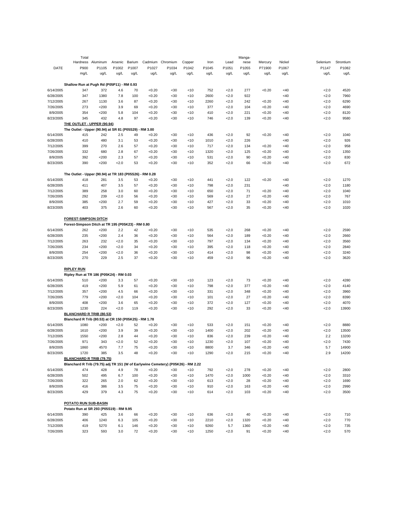|           | Total                                                                            |          |         |        |        |                  |        |       |       | Manga- |         |               |          |           |
|-----------|----------------------------------------------------------------------------------|----------|---------|--------|--------|------------------|--------|-------|-------|--------|---------|---------------|----------|-----------|
|           | Hardness                                                                         | Aluminum | Arsenic | Barium |        | Cadmium Chromium | Copper | Iron  | Lead  | nese   | Mercury | Nickel        | Selenium | Strontium |
| DATE      | P900                                                                             | P1105    | P1002   | P1007  | P1027  | P1034            | P1042  | P1045 | P1051 | P1055  | P71900  | P1067         | P1147    | P1082     |
|           | mg/L                                                                             | ug/L     | ug/L    | ug/L   | ug/L   | ug/L             | ug/L   | ug/L  | ug/L  | ug/L   | ug/L    | ug/L          | ug/L     | ug/L      |
|           |                                                                                  |          |         |        |        |                  |        |       |       |        |         |               |          |           |
| 6/14/2005 | Shallow Run at Pugh Rd (P05P11) - RM 0.93<br>347                                 | 372      | 4.6     | 70     | <0.20  | $30$             | < 10   | 752   | 2.0   | 277    | <0.20   |               | 2.0      | 4520      |
| 6/28/2005 | 347                                                                              | 1380     | 7.8     | 100    | <0.20  | $30$             | < 10   | 2600  | 2.0   | 922    |         | <40<br>$<$ 40 | 2.0      | 7960      |
| 7/12/2005 | 267                                                                              | 1130     | 3.6     | 87     | <0.20  | $30$             | <10    | 2260  | 2.0   | 242    | <0.20   | $<$ 40        | 2.0      | 6290      |
| 7/26/2005 | 273                                                                              | $200$    | 3.9     | 69     | <0.20  | $30$             | < 10   | 377   | 2.0   | 104    | <0.20   | <40           | 2.0      | 4690      |
| 8/9/2005  | 354                                                                              | $200$    | 5.8     | 104    | <0.20  | $30$             | < 10   | 410   | 2.0   | 221    | <0.20   | <40           | 2.0      | 8120      |
| 8/23/2005 | 345                                                                              | 432      | 4.8     | 97     | <0.20  | $30$             | <10    | 746   | 2.0   | 139    | <0.20   | $<$ 40        | 2.0      | 9580      |
|           | THE OUTLET - UPPER (90.94)                                                       |          |         |        |        |                  |        |       |       |        |         |               |          |           |
|           | The Outlet - Upper (90.94) at SR 81 (P05S29) - RM 3.00                           |          |         |        |        |                  |        |       |       |        |         |               |          |           |
| 6/14/2005 | 415                                                                              | 242      | 2.5     | 49     | <0.20  | $30$             | < 10   | 436   | 2.0   | 92     | <0.20   | <40           | 2.0      | 1040      |
| 6/28/2005 | 410                                                                              | 480      | 3.1     | 53     | < 0.20 | $30$             | <10    | 1010  | 2.0   | 226    |         | $<$ 40        | 2.0      | 926       |
| 7/12/2005 | 399                                                                              | 270      | 2.6     | 57     | <0.20  | $30$             | $<$ 10 | 717   | 2.0   | 134    | <0.20   | <40           | 2.0      | 958       |
| 7/26/2005 | 332                                                                              | 680      | 2.8     | 67     | < 0.20 | $30$             | < 10   | 1320  | 2.0   | 125    | <0.20   | $<$ 40        | 2.0      | 1350      |
| 8/9/2005  | 392                                                                              | 200      | 2.3     | 57     | <0.20  | $30$             | < 10   | 531   | 2.0   | 90     | <0.20   | $<$ 40        | 2.0      | 830       |
| 8/23/2005 | 390                                                                              | $200$    | 2.0     | 53     | <0.20  | $30$             | < 10   | 352   | 2.0   | 66     | <0.20   | $<$ 40        | 2.0      | 672       |
|           |                                                                                  |          |         |        |        |                  |        |       |       |        |         |               |          |           |
| 6/14/2005 | The Outlet - Upper (90.94) at TR 183 (P05S26) - RM 0.28<br>418                   | 281      | 3.5     | 53     | <0.20  | $30$             | < 10   | 441   | 2.0   | 122    | <0.20   | <40           | 2.0      | 1270      |
| 6/28/2005 | 411                                                                              | 407      | 3.5     | 57     | < 0.20 | $30$             | <10    | 798   | 2.0   | 231    |         | <40           | 2.0      | 1180      |
| 7/12/2005 | 389                                                                              | 258      | 3.0     | 60     | <0.20  | $30$             | < 10   | 650   | 2.0   | 71     | <0.20   | <40           | 2.0      | 1040      |
| 7/26/2005 | 292                                                                              | 239      | 2.0     | 56     | <0.20  | $30$             | <10    | 569   | 2.0   | 27     | <0.20   | $<$ 40        | 2.0      | 767       |
| 8/9/2005  | 385                                                                              | $200$    | 2.7     | 59     | <0.20  | $30$             | <10    | 427   | 2.0   | 33     | <0.20   | $<$ 40        | 2.0      | 1010      |
| 8/23/2005 | 403                                                                              | 375      | 2.6     | 60     | <0.20  | $30$             | < 10   | 567   | 2.0   | 35     | <0.20   | $<$ 40        | 2.0      | 1020      |
|           |                                                                                  |          |         |        |        |                  |        |       |       |        |         |               |          |           |
|           | <b>FOREST-SIMPSON DITCH</b>                                                      |          |         |        |        |                  |        |       |       |        |         |               |          |           |
|           | Forest-Simpson Ditch at TR 195 (P05K23) - RM 0.80                                |          |         |        |        |                  |        |       |       |        |         |               |          |           |
| 6/14/2005 | 262                                                                              | $200$    | 2.2     | 42     | <0.20  | $30$             | <10    | 535   | 2.0   | 268    | <0.20   | <40           | 2.0      | 2590      |
| 6/28/2005 | 235                                                                              | $200$    | 2.4     | 36     | < 0.20 | $30$             | <10    | 564   | 2.0   | 189    | <0.20   | $<$ 40        | 2.0      | 2660      |
| 7/12/2005 | 263                                                                              | 232      | 2.0     | 35     | < 0.20 | $30$             | <10    | 797   | 2.0   | 134    | <0.20   | <40           | 2.0      | 3560      |
| 7/26/2005 | 234                                                                              | $200$    | 2.0     | 34     | <0.20  | $30$             | < 10   | 395   | 2.0   | 118    | <0.20   | <40           | 2.0      | 2840      |
| 8/9/2005  | 254                                                                              | $200$    | 2.0     | 36     | <0.20  | $30$             | < 10   | 414   | 2.0   | 98     | <0.20   | $<$ 40        | 2.0      | 3240      |
| 8/23/2005 | 270                                                                              | 229      | 2.5     | 37     | <0.20  | $30$             | < 10   | 459   | 2.0   | 96     | <0.20   | $<$ 40        | 2.0      | 3620      |
|           | <b>RIPLEY RUN</b>                                                                |          |         |        |        |                  |        |       |       |        |         |               |          |           |
|           | Ripley Run at TR 186 (P05K24) - RM 0.03                                          |          |         |        |        |                  |        |       |       |        |         |               |          |           |
| 6/14/2005 | 510                                                                              | 200      | 3.3     | 57     | < 0.20 | <30              | <10    | 123   | 2.0   | 73     | <0.20   | <40           | 2.0      | 4280      |
| 6/28/2005 | 419                                                                              | $200$    | 5.9     | 61     | <0.20  | $30$             | $<$ 10 | 798   | 2.0   | 377    | <0.20   | <40           | 2.0      | 4140      |
| 7/12/2005 | 357                                                                              | 200      | 4.5     | 66     | < 0.20 | $30$             | <10    | 331   | 2.0   | 348    | <0.20   | <40           | 2.0      | 3960      |
| 7/26/2005 | 779                                                                              | 200      | 2.0     | 104    | <0.20  | $30$             | < 10   | 101   | 2.0   | 27     | <0.20   | $<$ 40        | 2.0      | 8390      |
| 8/9/2005  | 408                                                                              | $200$    | 3.6     | 65     | <0.20  | $30$             | <10    | 372   | 2.0   | 127    | <0.20   | <40           | 2.0      | 4070      |
| 8/23/2005 | 1230                                                                             | 224      | 2.0     | 119    | <0.20  | $30$             | < 10   | 292   | 2.0   | 33     | <0.20   | $<$ 40        | 2.0      | 13900     |
|           | <b>BLANCHARD R TRIB (80.53)</b>                                                  |          |         |        |        |                  |        |       |       |        |         |               |          |           |
| 6/14/2005 | Blanchard R Trib (80.53) at CR 150 (P05K25) - RM 1.78<br>1080                    | $200$    | 2.0     | 52     | <0.20  | $30$             | < 10   | 533   | 2.0   | 151    | <0.20   | <40           | 2.0      | 8880      |
| 6/28/2005 | 1610                                                                             | $200$    | 3.9     | 39     | < 0.20 | $30$             | < 10   | 1400  | 2.0   | 202    | <0.20   | $<$ 40        | 2.0      | 13500     |
| 7/12/2005 | 1550                                                                             | $200$    | 2.8     | 44     | <0.20  | $30$             | <10    | 836   | 2.0   | 239    | <0.20   | <40           | 2.2      | 13200     |
| 7/26/2005 | 971                                                                              | 343      | 2.0     | 52     | <0.20  | $30$             | < 10   | 1230  | 2.0   | 107    | <0.20   | $<$ 40        | 2.0      | 7430      |
| 8/9/2005  | 1860                                                                             | 4570     | 7.7     | 75     | <0.20  | $30$             | < 10   | 8800  | 3.7   | 346    | <0.20   | $<$ 40        | 5.7      | 14900     |
| 8/23/2005 | 1720                                                                             | 385      | 3.5     | 48     | <0.20  | $30$             | <10    | 1290  | 2.0   | 215    | < 0.20  | <40           | 2.9      | 14200     |
|           | <b>BLANCHARD R TRIB (79.75)</b>                                                  |          |         |        |        |                  |        |       |       |        |         |               |          |           |
|           | Blanchard R Trib (79.75) adj TR 151 (W of Earlywine Cemetery) (P05K26) - RM 2.22 |          |         |        |        |                  |        |       |       |        |         |               |          |           |
| 6/14/2005 | 474                                                                              | 428      | 4.9     | 78     | <0.20  | $30$             | $<$ 10 | 792   | 2.0   | 278    | <0.20   | <40           | 2.0      | 2800      |
| 6/28/2005 | 502                                                                              | 495      | 6.7     | 100    | <0.20  | $30$             | <10    | 1470  | 2.0   | 1000   | <0.20   | $<$ 40        | 2.0      | 3310      |
| 7/26/2005 | 322                                                                              | 265      | 2.0     | 62     | < 0.20 | $30$             | <10    | 613   | 2.0   | 28     | <0.20   | <40           | 2.0      | 1690      |
| 8/9/2005  | 416                                                                              | 386      | $3.5\,$ | 75     | <0.20  | $30$             | <10    | 910   | 2.0   | 163    | <0.20   | $<$ 40        | 2.0      | 2990      |
| 8/23/2005 | 429                                                                              | 379      | 4.3     | 75     | <0.20  | $30$             | $<$ 10 | 614   | 2.0   | 103    | <0.20   | <40           | 2.0      | 3500      |
|           | POTATO RUN SUB-BASIN                                                             |          |         |        |        |                  |        |       |       |        |         |               |          |           |
|           | Potato Run at SR 293 (P05S19) - RM 9.95                                          |          |         |        |        |                  |        |       |       |        |         |               |          |           |
| 6/14/2005 | 390                                                                              | 425      | 3.6     | 66     | < 0.20 | $30$             | <10    | 636   | 2.0   | 40     | <0.20   | <40           | 2.0      | 710       |
| 6/28/2005 | 406                                                                              | 1240     | 6.3     | 105    | <0.20  | $30$             | <10    | 2210  | 2.0   | 1320   | <0.20   | <40           | 2.0      | 770       |
| 7/12/2005 | 419                                                                              | 5270     | 6.1     | 146    | <0.20  | $30$             | <10    | 9260  | 5.7   | 1360   | <0.20   | <40           | 2.0      | 735       |
| 7/26/2005 | 323                                                                              | 593      | $3.0\,$ | 72     | <0.20  | $30$             | <10    | 1250  | 2.0   | 91     | <0.20   | <40           | 2.0      | 570       |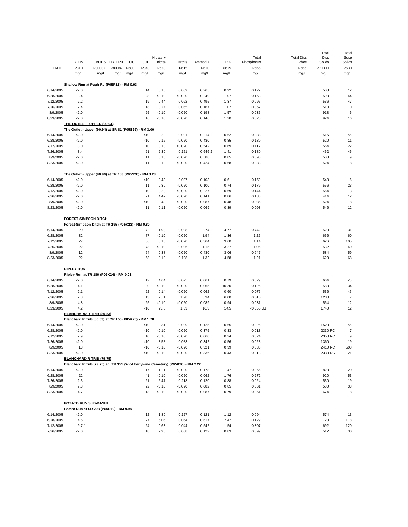|           |                                                                                  |        |        |            |        |                      |         |           |            |                     |                           | Total                 | Total            |
|-----------|----------------------------------------------------------------------------------|--------|--------|------------|--------|----------------------|---------|-----------|------------|---------------------|---------------------------|-----------------------|------------------|
|           | BOD <sub>5</sub>                                                                 | CBOD5  | CBOD20 | <b>TOC</b> | COD    | Nitrate +<br>nitrite | Nitrite |           | <b>TKN</b> | Total<br>Phosphorus | <b>Total Diss</b><br>Phos | <b>Diss</b><br>Solids | Susp<br>Solids   |
|           |                                                                                  |        |        |            |        |                      |         | Ammonia   |            |                     |                           |                       |                  |
| DATE      | P310                                                                             | P80082 | P80087 | P680       | P340   | P630                 | P615    | P610      | P625       | P665                | P666                      | P70300                | P530             |
|           | mg/L                                                                             | mg/L   |        | mg/L mg/L  | mg/L   | mg/L                 | mg/L    | mg/L      | mg/L       | mg/L                | mg/L                      | mg/L                  | mg/L             |
|           |                                                                                  |        |        |            |        |                      |         |           |            |                     |                           |                       |                  |
|           | Shallow Run at Pugh Rd (P05P11) - RM 0.93                                        |        |        |            |        |                      |         |           |            |                     |                           |                       |                  |
| 6/14/2005 | 2.0                                                                              |        |        |            | 14     | 0.10                 | 0.039   | 0.265     | 0.92       | 0.122               |                           | 508                   | 12               |
| 6/28/2005 | 3.4J                                                                             |        |        |            | 28     | < 0.10               | < 0.020 | 0.249     | 1.07       | 0.153               |                           | 598                   | 44               |
| 7/12/2005 | 2.2                                                                              |        |        |            | 19     | 0.44                 | 0.092   | 0.495     | 1.37       | 0.095               |                           | 536                   | 47               |
| 7/26/2005 | 2.4                                                                              |        |        |            | 18     | 0.24                 | 0.055   | 0.167     | 1.02       | 0.052               |                           | 510                   | 10               |
| 8/9/2005  | 2.0                                                                              |        |        |            | 25     | < 0.10               | < 0.020 | 0.198     | 1.57       | 0.035               |                           | 918                   | 5                |
| 8/23/2005 | 2.0                                                                              |        |        |            | 16     | < 0.10               | < 0.020 | 0.146     | 1.20       | 0.023               |                           | 924                   | 16               |
|           | THE OUTLET - UPPER (90.94)                                                       |        |        |            |        |                      |         |           |            |                     |                           |                       |                  |
|           | The Outlet - Upper (90.94) at SR 81 (P05S29) - RM 3.00                           |        |        |            |        |                      |         |           |            |                     |                           |                       |                  |
| 6/14/2005 | 2.0                                                                              |        |        |            | < 10   | 0.23                 | 0.021   | 0.214     | 0.62       | 0.038               |                           | 516                   | $<$ 5            |
| 6/28/2005 | 2.0                                                                              |        |        |            | <10    | 0.16                 | < 0.020 | 0.430     | 0.85       | 0.180               |                           | 520                   | 11               |
|           |                                                                                  |        |        |            |        |                      |         |           |            |                     |                           |                       |                  |
| 7/12/2005 | 3.0                                                                              |        |        |            | 10     | 0.18                 | < 0.020 | 0.542     | 0.69       | 0.117               |                           | 564                   | 22               |
| 7/26/2005 | 3.4                                                                              |        |        |            | 21     | 2.30                 | 0.151   | $0.646$ J | 1.41       | 0.180               |                           | 452                   | 45               |
| 8/9/2005  | 2.0                                                                              |        |        |            | 11     | 0.15                 | < 0.020 | 0.588     | 0.85       | 0.098               |                           | 508                   | 9                |
| 8/23/2005 | 2.0                                                                              |        |        |            | 11     | 0.13                 | < 0.020 | 0.424     | 0.68       | 0.083               |                           | 524                   | 8                |
|           |                                                                                  |        |        |            |        |                      |         |           |            |                     |                           |                       |                  |
|           | The Outlet - Upper (90.94) at TR 183 (P05S26) - RM 0.28                          |        |        |            |        |                      |         |           |            |                     |                           |                       |                  |
| 6/14/2005 | 2.0                                                                              |        |        |            | < 10   | 0.43                 | 0.037   | 0.103     | 0.61       | 0.159               |                           | 548                   | 6                |
| 6/28/2005 | 2.0                                                                              |        |        |            | 11     | 0.30                 | < 0.020 | 0.100     | 0.74       | 0.179               |                           | 556                   | 23               |
| 7/12/2005 | 2.0                                                                              |        |        |            | 10     | 0.29                 | < 0.020 | 0.227     | 0.69       | 0.144               |                           | 564                   | 13               |
| 7/26/2005 | 2.0                                                                              |        |        |            | 21     | 4.42                 | < 0.020 | 0.141     | 0.86       | 0.133               |                           | 414                   | 12               |
| 8/9/2005  | 2.0                                                                              |        |        |            | < 10   | 0.43                 | < 0.020 | 0.087     | 0.48       | 0.085               |                           | 524                   | 8                |
| 8/23/2005 | 2.0                                                                              |        |        |            | 11     | 0.11                 | < 0.020 | 0.069     | 0.39       | 0.093               |                           | 546                   | 12               |
|           |                                                                                  |        |        |            |        |                      |         |           |            |                     |                           |                       |                  |
|           | <b>FOREST-SIMPSON DITCH</b>                                                      |        |        |            |        |                      |         |           |            |                     |                           |                       |                  |
|           |                                                                                  |        |        |            |        |                      |         |           |            |                     |                           |                       |                  |
|           | Forest-Simpson Ditch at TR 195 (P05K23) - RM 0.80                                |        |        |            |        |                      |         |           |            |                     |                           |                       |                  |
| 6/14/2005 | 20                                                                               |        |        |            | 72     | 1.98                 | 0.028   | 2.74      | 4.77       | 0.742               |                           | 520                   | 31               |
| 6/28/2005 | 32                                                                               |        |        |            | 77     | < 0.10               | < 0.020 | 1.94      | 1.36       | 1.26                |                           | 656                   | 60               |
| 7/12/2005 | 27                                                                               |        |        |            | 56     | 0.13                 | < 0.020 | 0.364     | 3.60       | 1.14                |                           | 626                   | 105              |
| 7/26/2005 | 22                                                                               |        |        |            | 73     | < 0.10               | 0.026   | 1.15      | 3.27       | 1.06                |                           | 532                   | 40               |
| 8/9/2005  | 12                                                                               |        |        |            | 64     | 0.38                 | <0.020  | 0.430     | 3.06       | 0.947               |                           | 584                   | 59               |
| 8/23/2005 | 22                                                                               |        |        |            | 58     | 0.13                 | 0.108   | 1.32      | 4.58       | 1.21                |                           | 620                   | 68               |
|           |                                                                                  |        |        |            |        |                      |         |           |            |                     |                           |                       |                  |
|           | <b>RIPLEY RUN</b>                                                                |        |        |            |        |                      |         |           |            |                     |                           |                       |                  |
|           | Ripley Run at TR 186 (P05K24) - RM 0.03                                          |        |        |            |        |                      |         |           |            |                     |                           |                       |                  |
| 6/14/2005 | 2.0                                                                              |        |        |            | 12     | 4.64                 | 0.025   | 0.061     | 0.79       | 0.029               |                           | 664                   | $<$ 5            |
| 6/28/2005 | 4.1                                                                              |        |        |            | 30     | < 0.10               | < 0.020 | 0.065     | <0.20      | 0.126               |                           | 588                   | 34               |
| 7/12/2005 | 2.1                                                                              |        |        |            | 22     | 0.14                 | < 0.020 | 0.062     | 0.60       | 0.076               |                           | 536                   | $5$              |
| 7/26/2005 | 2.8                                                                              |        |        |            | 13     | 25.1                 |         | 5.34      | 6.00       | 0.010               |                           | 1230                  | $\overline{7}$   |
|           |                                                                                  |        |        |            |        |                      | 1.98    |           |            |                     |                           |                       |                  |
| 8/9/2005  | 4.8                                                                              |        |        |            | 25     | < 0.10               | < 0.020 | 0.089     | 0.94       | 0.031               |                           | 564                   | 12               |
| 8/23/2005 | 4.2                                                                              |        |        |            | < 10   | 23.8                 | 1.33    | 16.3      | 14.5       | $< 0.050$ UJ        |                           | 1740                  | 12               |
|           | <b>BLANCHARD R TRIB (80.53)</b>                                                  |        |        |            |        |                      |         |           |            |                     |                           |                       |                  |
|           | Blanchard R Trib (80.53) at CR 150 (P05K25) - RM 1.78                            |        |        |            |        |                      |         |           |            |                     |                           |                       |                  |
| 6/14/2005 | 2.0                                                                              |        |        |            | < 10   | 0.31                 | 0.029   | 0.125     | 0.65       | 0.026               |                           | 1520                  | $5$              |
| 6/28/2005 | 2.0                                                                              |        |        |            | < 10   | < 0.10               | < 0.020 | 0.375     | 0.33       | 0.013               |                           | 2330 RC               | $\overline{7}$   |
| 7/12/2005 | 2.9                                                                              |        |        |            | 10     | < 0.10               | < 0.020 | 0.060     | 0.24       | 0.024               |                           | 2350 RC               | $\boldsymbol{9}$ |
| 7/26/2005 | 2.0                                                                              |        |        |            | < 10   | 3.58                 | 0.083   | 0.342     | 0.56       | 0.023               |                           | 1360                  | 19               |
| 8/9/2005  | 13                                                                               |        |        |            | < 10   | < 0.10               | < 0.020 | 0.321     | 0.39       | 0.033               |                           | 2410 RC               | 508              |
| 8/23/2005 | 2.0                                                                              |        |        |            | $<$ 10 | <0.10                | < 0.020 | 0.336     | 0.43       | 0.013               |                           | 2330 RC               | 21               |
|           | <b>BLANCHARD R TRIB (79.75)</b>                                                  |        |        |            |        |                      |         |           |            |                     |                           |                       |                  |
|           | Blanchard R Trib (79.75) adj TR 151 (W of Earlywine Cemetery) (P05K26) - RM 2.22 |        |        |            |        |                      |         |           |            |                     |                           |                       |                  |
| 6/14/2005 | 2.0                                                                              |        |        |            | 17     | 12.1                 | < 0.020 | 0.178     | 1.47       | 0.066               |                           | 828                   | 20               |
|           | 22                                                                               |        |        |            | 41     |                      |         |           |            |                     |                           | 920                   |                  |
| 6/28/2005 |                                                                                  |        |        |            |        | < 0.10               | < 0.020 | 0.062     | 1.76       | 0.272               |                           |                       | 53               |
| 7/26/2005 | 2.3                                                                              |        |        |            | 21     | 5.47                 | 0.218   | 0.120     | 0.88       | 0.024               |                           | 530                   | 19               |
| 8/9/2005  | 9.3                                                                              |        |        |            | 22     | < 0.10               | < 0.020 | 0.082     | 0.85       | 0.061               |                           | 580                   | 33               |
| 8/23/2005 | 4.7                                                                              |        |        |            | 13     | < 0.10               | < 0.020 | 0.087     | 0.79       | 0.051               |                           | 674                   | 18               |
|           |                                                                                  |        |        |            |        |                      |         |           |            |                     |                           |                       |                  |
|           | POTATO RUN SUB-BASIN                                                             |        |        |            |        |                      |         |           |            |                     |                           |                       |                  |
|           | Potato Run at SR 293 (P05S19) - RM 9.95                                          |        |        |            |        |                      |         |           |            |                     |                           |                       |                  |
| 6/14/2005 | 2.0                                                                              |        |        |            | 12     | 1.80                 | 0.127   | 0.121     | 1.12       | 0.094               |                           | 574                   | 13               |
| 6/28/2005 | 4.5                                                                              |        |        |            | 27     | 5.06                 | 0.054   | 0.617     | 2.47       | 0.129               |                           | 728                   | 118              |
| 7/12/2005 | 9.7J                                                                             |        |        |            | 24     | 0.63                 | 0.044   | 0.542     | 1.54       | 0.307               |                           | 692                   | 120              |
| 7/26/2005 | 2.0                                                                              |        |        |            | 18     | 2.95                 | 0.068   | 0.122     | 0.83       | 0.099               |                           | 512                   | 30               |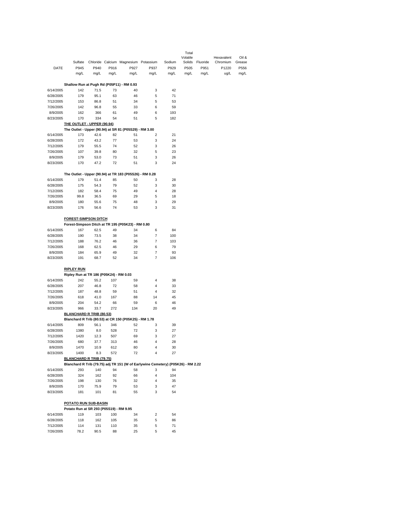|                        |                                                                                  |              |            |                                      |                              |          | Total<br>Volatile |          | Hexavalent | Oil &  |
|------------------------|----------------------------------------------------------------------------------|--------------|------------|--------------------------------------|------------------------------|----------|-------------------|----------|------------|--------|
|                        | Sulfate                                                                          |              |            | Chloride Calcium Magnesium Potassium |                              | Sodium   | Solids            | Fluoride | Chromium   | Grease |
| DATE                   | P945                                                                             | P940         | P916       | P927                                 | P937                         | P929     | P505              | P951     | P1220      | P556   |
|                        | mg/L                                                                             | mg/L         | mg/L       | mg/L                                 | mg/L                         | mg/L     | mg/L              | mg/L     | ug/L       | mg/L   |
|                        |                                                                                  |              |            |                                      |                              |          |                   |          |            |        |
|                        | Shallow Run at Pugh Rd (P05P11) - RM 0.93                                        |              |            |                                      |                              |          |                   |          |            |        |
| 6/14/2005              | 142                                                                              | 71.5         | 73         | 40                                   | 3                            | 42       |                   |          |            |        |
| 6/28/2005              | 179                                                                              | 95.1         | 63         | 46                                   | 5                            | 71       |                   |          |            |        |
| 7/12/2005              | 153                                                                              | 86.8         | 51         | 34                                   | 5                            | 53       |                   |          |            |        |
| 7/26/2005              | 142                                                                              | 96.8         | 55         | 33                                   | 6                            | 59       |                   |          |            |        |
| 8/9/2005               | 162                                                                              | 366          | 61         | 49                                   | 6                            | 193      |                   |          |            |        |
| 8/23/2005              | 170                                                                              | 334          | 54         | 51                                   | 5                            | 182      |                   |          |            |        |
|                        | THE OUTLET - UPPER (90.94)                                                       |              |            |                                      |                              |          |                   |          |            |        |
|                        | The Outlet - Upper (90.94) at SR 81 (P05S29) - RM 3.00                           |              |            |                                      |                              |          |                   |          |            |        |
| 6/14/2005              | 173                                                                              | 42.6         | 82         | 51                                   | 2                            | 21       |                   |          |            |        |
| 6/28/2005              | 172                                                                              | 43.2         | 77         | 53                                   | 3                            | 24       |                   |          |            |        |
| 7/12/2005              | 179                                                                              | 55.5         | 74         | 52                                   | 3                            | 26       |                   |          |            |        |
| 7/26/2005              | 107                                                                              | 39.8         | 80         | 32                                   | 5                            | 23       |                   |          |            |        |
| 8/9/2005               | 179                                                                              | 53.0         | 73         | 51                                   | 3                            | 26       |                   |          |            |        |
| 8/23/2005              | 170                                                                              | 47.2         | 72         | 51                                   | 3                            | 24       |                   |          |            |        |
|                        |                                                                                  |              |            |                                      |                              |          |                   |          |            |        |
| 6/14/2005              | The Outlet - Upper (90.94) at TR 183 (P05S26) - RM 0.28<br>179                   | 51.4         | 85         | 50                                   | 3                            | 28       |                   |          |            |        |
| 6/28/2005              | 175                                                                              | 54.3         | 79         | 52                                   | 3                            | 30       |                   |          |            |        |
| 7/12/2005              | 182                                                                              | 58.4         | 75         | 49                                   | 4                            | 28       |                   |          |            |        |
| 7/26/2005              | 99.8                                                                             | 36.5         | 69         | 29                                   | 5                            | 18       |                   |          |            |        |
| 8/9/2005               | 180                                                                              | 55.6         | 75         | 48                                   | 3                            | 29       |                   |          |            |        |
| 8/23/2005              | 176                                                                              | 56.6         | 74         | 53                                   | 3                            | 31       |                   |          |            |        |
|                        |                                                                                  |              |            |                                      |                              |          |                   |          |            |        |
|                        | <b>FOREST-SIMPSON DITCH</b>                                                      |              |            |                                      |                              |          |                   |          |            |        |
|                        | Forest-Simpson Ditch at TR 195 (P05K23) - RM 0.80                                |              |            |                                      |                              |          |                   |          |            |        |
| 6/14/2005              | 167                                                                              | 62.5         | 49         | 34                                   | 6                            | 84       |                   |          |            |        |
| 6/28/2005              | 190                                                                              | 73.5         | 38         | 34                                   | 7                            | 100      |                   |          |            |        |
| 7/12/2005              | 188                                                                              | 76.2         | 46         | 36                                   | $\overline{7}$               | 103      |                   |          |            |        |
| 7/26/2005              | 168                                                                              | 62.5         | 46         | 29                                   | 6                            | 79       |                   |          |            |        |
| 8/9/2005               | 184                                                                              | 65.9         | 49         | 32                                   | 7                            | 93       |                   |          |            |        |
| 8/23/2005              | 191                                                                              | 68.7         | 52         | 34                                   | 7                            | 106      |                   |          |            |        |
|                        |                                                                                  |              |            |                                      |                              |          |                   |          |            |        |
|                        | <b>RIPLEY RUN</b>                                                                |              |            |                                      |                              |          |                   |          |            |        |
|                        | Ripley Run at TR 186 (P05K24) - RM 0.03                                          |              |            |                                      |                              |          |                   |          |            |        |
| 6/14/2005              | 242                                                                              | 55.2         | 107        | 59                                   | 4                            | 38       |                   |          |            |        |
| 6/28/2005              | 207                                                                              | 46.8         | 72         | 58                                   | 4<br>$\overline{\mathbf{4}}$ | 33       |                   |          |            |        |
| 7/12/2005              | 187                                                                              | 48.8         | 59         | 51                                   |                              | 32       |                   |          |            |        |
| 7/26/2005<br>8/9/2005  | 618<br>204                                                                       | 41.0         | 167        | 88<br>59                             | 14<br>6                      | 45<br>46 |                   |          |            |        |
| 8/23/2005              | 966                                                                              | 54.2<br>33.7 | 66<br>272  | 134                                  | 20                           | 49       |                   |          |            |        |
|                        | <b>BLANCHARD R TRIB (80.53)</b>                                                  |              |            |                                      |                              |          |                   |          |            |        |
|                        | Blanchard R Trib (80.53) at CR 150 (P05K25) - RM 1.78                            |              |            |                                      |                              |          |                   |          |            |        |
| 6/14/2005              | 809                                                                              | 56.1         | 346        | 52                                   | 3                            | 39       |                   |          |            |        |
| 6/28/2005              | 1380                                                                             | 8.0          | 528        | 72                                   | 3                            | 27       |                   |          |            |        |
| 7/12/2005              | 1420                                                                             | 12.3         | 507        | 69                                   | 3                            | 27       |                   |          |            |        |
| 7/26/2005              | 680                                                                              | 37.7         | 313        | 46                                   | 4                            | 28       |                   |          |            |        |
| 8/9/2005               | 1470                                                                             | 10.9         | 612        | 80                                   | $\overline{\mathbf{4}}$      | 30       |                   |          |            |        |
| 8/23/2005              | 1400                                                                             | 8.3          | 572        | 72                                   | 4                            | 27       |                   |          |            |        |
|                        | <b>BLANCHARD R TRIB (79.75)</b>                                                  |              |            |                                      |                              |          |                   |          |            |        |
|                        | Blanchard R Trib (79.75) adj TR 151 (W of Earlywine Cemetery) (P05K26) - RM 2.22 |              |            |                                      |                              |          |                   |          |            |        |
| 6/14/2005              | 293                                                                              | 140          | 94         | 58                                   | 3                            | 94       |                   |          |            |        |
| 6/28/2005              | 324                                                                              | 162          | 92         | 66                                   | 4                            | 104      |                   |          |            |        |
| 7/26/2005              | 198                                                                              | 130          | 76         | 32                                   | 4                            | 35       |                   |          |            |        |
| 8/9/2005               | 170                                                                              | 75.9         | 79         | 53                                   | 3                            | 47       |                   |          |            |        |
| 8/23/2005              | 181                                                                              | 101          | 81         | 55                                   | 3                            | 54       |                   |          |            |        |
|                        |                                                                                  |              |            |                                      |                              |          |                   |          |            |        |
|                        | POTATO RUN SUB-BASIN                                                             |              |            |                                      |                              |          |                   |          |            |        |
|                        | Potato Run at SR 293 (P05S19) - RM 9.95                                          |              |            |                                      |                              |          |                   |          |            |        |
| 6/14/2005              | 119                                                                              | 103          | 100        | 34                                   | 2                            | 54       |                   |          |            |        |
| 6/28/2005<br>7/12/2005 | 118<br>114                                                                       | 162<br>131   | 105<br>110 | 35<br>35                             | 5<br>5                       | 86<br>71 |                   |          |            |        |
|                        |                                                                                  |              |            |                                      |                              |          |                   |          |            |        |

7/26/2005 78.2 90.5 88 25 5 45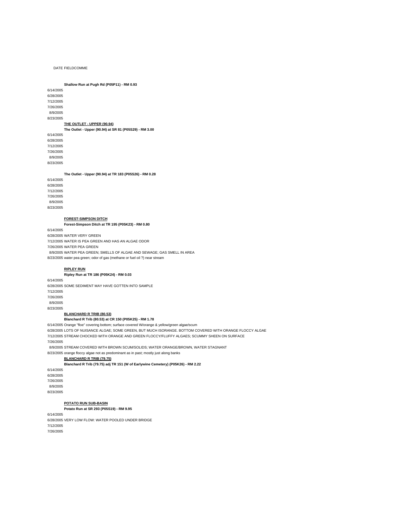**Shallow Run at Pugh Rd (P05P11) - RM 0.93**

6/14/2005 6/28/2005 7/12/2005 7/26/2005 8/9/2005 8/23/2005 **THE OUTLET - UPPER (90.94) The Outlet - Upper (90.94) at SR 81 (P05S29) - RM 3.00** 6/14/2005 6/28/2005

7/12/2005 7/26/2005 8/9/2005 8/23/2005

## **The Outlet - Upper (90.94) at TR 183 (P05S26) - RM 0.28**

6/14/2005 6/28/2005 7/12/2005 7/26/2005 8/9/2005 8/23/2005

## **FOREST-SIMPSON DITCH**

## **Forest-Simpson Ditch at TR 195 (P05K23) - RM 0.80**

6/14/2005

6/28/2005 WATER VERY GREEN

7/12/2005 WATER IS PEA GREEN AND HAS AN ALGAE ODOR

7/26/2005 WATER PEA GREEN

8/9/2005 WATER PEA GREEN; SMELLS OF ALGAE AND SEWAGE; GAS SMELL IN AREA 8/23/2005 water pea green; odor of gas (methane or fuel oil ?) near stream

## **RIPLEY RUN**

**Ripley Run at TR 186 (P05K24) - RM 0.03** 6/14/2005

6/28/2005 SOME SEDIMENT MAY HAVE GOTTEN INTO SAMPLE 7/12/2005 7/26/2005 8/9/2005 8/23/2005 **BLANCHARD R TRIB (80.53) Blanchard R Trib (80.53) at CR 150 (P05K25) - RM 1.78** 6/14/2005 Orange "floe" covering bottom; surface covered W/orange & yellow/green algae/scum

6/28/2005 LOTS OF NUISANCE ALGAE; SOME GREEN, BUT MUCH ISORANGE. BOTTOM COVERED WITH ORANGE FLOCCY ALGAE 7/12/2005 STREAM CHOCKED WITH ORANGE AND GREEN FLOCCY/FLUFFY ALGAES; SCUMMY SHEEN ON SURFACE 7/26/2005

8/9/2005 STREAM COVERED WITH BROWN SCUM/SOLIDS; WATER ORANGE/BROWN, WATER STAGNANT

8/23/2005 orange floccy algae not as predominant as in past; mostly just along banks

## **BLANCHARD R TRIB (79.75)**

## **Blanchard R Trib (79.75) adj TR 151 (W of Earlywine Cemetery) (P05K26) - RM 2.22**

6/14/2005 6/28/2005 7/26/2005 8/9/2005 8/23/2005

## **POTATO RUN SUB-BASIN**

**Potato Run at SR 293 (P05S19) - RM 9.95** 6/14/2005

6/28/2005 VERY LOW FLOW: WATER POOLED UNDER BRIDGE 7/12/2005 7/26/2005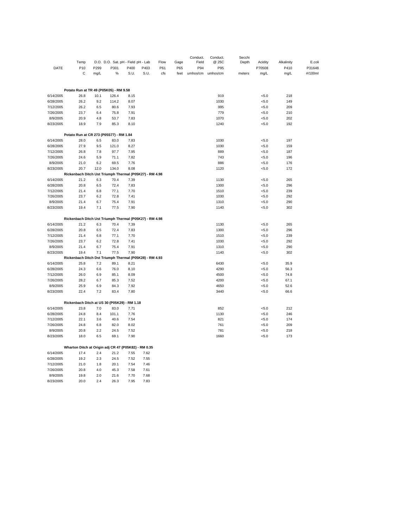|                       |                                                                 |             |                                    |              |      |      |      | Conduct. | Conduct. | Secchi |                |            |         |
|-----------------------|-----------------------------------------------------------------|-------------|------------------------------------|--------------|------|------|------|----------|----------|--------|----------------|------------|---------|
|                       | Temp                                                            |             | D.O. D.O. Sat. pH - Field pH - Lab |              |      | Flow | Gage | Field    | @ 25C    | Depth  | Acidity        | Alkalinity | E.coli  |
| DATE                  | P <sub>10</sub>                                                 | P299        | P301                               | P400         | P403 | P61  | P65  | P94      | P95      |        | P70508         | P410       | P31648  |
|                       | C                                                               | mg/L        | %                                  | S.U.         | S.U. | cfs  | feet | umhos/cm | umhos/cm | meters | mg/L           | mg/L       | #/100ml |
|                       | Potato Run at TR 49 (P05K05) - RM 9.58                          |             |                                    |              |      |      |      |          |          |        |                |            |         |
| 6/14/2005             | 26.8                                                            | 10.1        | 126.4                              | 8.15         |      |      |      |          | 919      |        | < 5.0          | 218        |         |
| 6/28/2005             | 26.2                                                            | 9.2         | 114.2                              | 8.07         |      |      |      |          | 1030     |        | < 5.0          | 149        |         |
| 7/12/2005             | 26.2                                                            | 6.5         | 80.6                               | 7.93         |      |      |      |          | 995      |        | < 5.0          | 209        |         |
| 7/26/2005             | 23.7                                                            | 6.4         | 75.8                               | 7.91         |      |      |      |          | 779      |        | < 5.0          | 210        |         |
| 8/9/2005              | 20.9                                                            | 4.8         | 53.7                               | 7.83         |      |      |      |          | 1070     |        | < 5.0          | 202        |         |
| 8/23/2005             | 18.9                                                            | 7.9         | 85.3                               | 8.10         |      |      |      |          | 1240     |        | < 5.0          | 192        |         |
|                       | Potato Run at CR 273 (P05S77) - RM 1.84                         |             |                                    |              |      |      |      |          |          |        |                |            |         |
| 6/14/2005             | 28.0                                                            | 6.5         | 83.0                               | 7.83         |      |      |      |          | 1030     |        | < 5.0          | 197        |         |
| 6/28/2005             | 27.9                                                            | 9.5         | 121.0                              | 8.27         |      |      |      |          | 1030     |        | < 5.0          | 159        |         |
| 7/12/2005             | 26.8                                                            | 7.8         | 97.7                               | 7.95         |      |      |      |          | 889      |        | < 5.0          | 187        |         |
| 7/26/2005             | 24.6                                                            | 5.9         | 71.1                               | 7.82         |      |      |      |          | 743      |        | < 5.0          | 196        |         |
| 8/9/2005<br>8/23/2005 | 21.0<br>20.7                                                    | 6.2<br>12.0 | 69.5<br>134.0                      | 7.76<br>8.08 |      |      |      |          | 886      |        | < 5.0<br>< 5.0 | 176<br>172 |         |
|                       | Rickenbach Ditch Ust Triumph Thermal (P05K27) - RM 4.98         |             |                                    |              |      |      |      |          | 1120     |        |                |            |         |
| 6/14/2005             | 21.2                                                            | 6.3         | 70.4                               | 7.39         |      |      |      |          | 1130     |        | < 5.0          | 265        |         |
| 6/28/2005             | 20.8                                                            | 6.5         | 72.4                               | 7.83         |      |      |      |          | 1300     |        | < 5.0          | 296        |         |
| 7/12/2005             | 21.4                                                            | 6.8         | 77.1                               | 7.70         |      |      |      |          | 1510     |        | < 5.0          | 239        |         |
| 7/26/2005             | 23.7                                                            | 6.2         | 72.8                               | 7.41         |      |      |      |          | 1030     |        | < 5.0          | 292        |         |
| 8/9/2005              | 21.4                                                            | 6.7         | 75.4                               | 7.91         |      |      |      |          | 1310     |        | < 5.0          | 290        |         |
| 8/23/2005             | 19.4                                                            | 7.1         | 77.5                               | 7.90         |      |      |      |          | 1140     |        | < 5.0          | 302        |         |
|                       |                                                                 |             |                                    |              |      |      |      |          |          |        |                |            |         |
| 6/14/2005             | Rickenbach Ditch Ust Triumph Thermal (P05K27) - RM 4.98<br>21.2 | 6.3         | 70.4                               | 7.39         |      |      |      |          | 1130     |        | < 5.0          | 265        |         |
| 6/28/2005             | 20.8                                                            | 6.5         | 72.4                               | 7.83         |      |      |      |          | 1300     |        | < 5.0          | 296        |         |
| 7/12/2005             | 21.4                                                            | 6.8         | 77.1                               | 7.70         |      |      |      |          | 1510     |        | < 5.0          | 239        |         |
| 7/26/2005             | 23.7                                                            | 6.2         | 72.8                               | 7.41         |      |      |      |          | 1030     |        | < 5.0          | 292        |         |
| 8/9/2005              | 21.4                                                            | 6.7         | 75.4                               | 7.91         |      |      |      |          | 1310     |        | < 5.0          | 290        |         |
| 8/23/2005             | 19.4                                                            | 7.1         | 77.5                               | 7.90         |      |      |      |          | 1140     |        | < 5.0          | 302        |         |
|                       | Rickenbach Ditch Dst Triumph Thermal (P05K28) - RM 4.93         |             |                                    |              |      |      |      |          |          |        |                |            |         |
| 6/14/2005             | 25.8                                                            | 7.2         | 89.1                               | 8.21         |      |      |      |          | 6430     |        | < 5.0          | 35.9       |         |
| 6/28/2005             | 24.3                                                            | 6.6         | 76.0                               | 8.10         |      |      |      |          | 4290     |        | < 5.0          | 56.3       |         |
| 7/12/2005             | 26.0                                                            | 6.9         | 85.1                               | 8.09         |      |      |      |          | 4500     |        | < 5.0          | 74.8       |         |
| 7/26/2005             | 28.2                                                            | 6.7         | 85.3                               | 7.52         |      |      |      |          | 4200     |        | < 5.0          | 67.1       |         |
| 8/9/2005              | 25.9                                                            | 6.9         | 84.3                               | 7.92         |      |      |      |          | 4650     |        | < 5.0          | 52.6       |         |
| 8/23/2005             | 22.4                                                            | 7.2         | 83.4                               | 7.80         |      |      |      |          | 3440     |        | < 5.0          | 66.6       |         |
|                       | Rickenbach Ditch at US 30 (P05K29) - RM 1.18                    |             |                                    |              |      |      |      |          |          |        |                |            |         |
| 6/14/2005             | 23.8                                                            | 7.0         | 83.0                               | 7.71         |      |      |      |          | 852      |        | < 5.0          | 212        |         |
| 6/28/2005             | 24.8                                                            | 8.4         | 101.1                              | 7.76         |      |      |      |          | 1130     |        | < 5.0          | 246        |         |
| 7/12/2005             | 22.1                                                            | 3.6         | 40.6                               | 7.54         |      |      |      |          | 821      |        | < 5.0          | 174        |         |
| 7/26/2005             | 24.8                                                            | 6.8         | 82.0                               | 8.02         |      |      |      |          | 761      |        | < 5.0          | 209        |         |
| 8/9/2005              | 20.8                                                            | 2.2         | 24.5                               | 7.52         |      |      |      |          | 781      |        | < 5.0          | 218        |         |
| 8/23/2005             | 18.0                                                            | 6.5         | 69.1                               | 7.90         |      |      |      |          | 1660     |        | < 5.0          | 173        |         |

|           | Wharton Ditch at Origin adj CR 47 (P05K82) - RM 0.35 |     |      |      |      |
|-----------|------------------------------------------------------|-----|------|------|------|
| 6/14/2005 | 17.4                                                 | 2.4 | 212  | 7.55 | 7.62 |
|           |                                                      |     |      |      |      |
| 6/28/2005 | 19.2                                                 | 2.3 | 24.5 | 7.52 | 7.55 |
| 7/12/2005 | 21.0                                                 | 1.8 | 20.1 | 7.54 | 7.46 |
| 7/26/2005 | 20.8                                                 | 4.0 | 45.3 | 7.58 | 7.61 |
| 8/9/2005  | 19.8                                                 | 2.0 | 21.6 | 7.70 | 7.68 |
| 8/23/2005 | 20.0                                                 | 2.4 | 26.3 | 7.95 | 7.83 |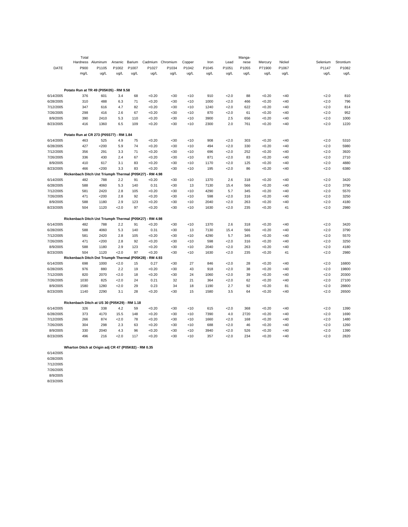|           | Total                                                   |          |         |        |        |                  |        |       |       | Manga- |         |        |          |           |
|-----------|---------------------------------------------------------|----------|---------|--------|--------|------------------|--------|-------|-------|--------|---------|--------|----------|-----------|
|           | Hardness                                                | Aluminum | Arsenic | Barium |        | Cadmium Chromium | Copper | Iron  | Lead  | nese   | Mercury | Nickel | Selenium | Strontium |
| DATE      | P900                                                    | P1105    | P1002   | P1007  | P1027  | P1034            | P1042  | P1045 | P1051 | P1055  | P71900  | P1067  | P1147    | P1082     |
|           | mg/L                                                    | ug/L     | ug/L    | ug/L   | ug/L   | ug/L             | ug/L   | ug/L  | ug/L  | ug/L   | ug/L    | ug/L   | ug/L     | ug/L      |
|           | Potato Run at TR 49 (P05K05) - RM 9.58                  |          |         |        |        |                  |        |       |       |        |         |        |          |           |
| 6/14/2005 | 376                                                     | 601      | 3.4     | 68     | < 0.20 | <30              | <10    | 910   | 2.0   | 88     | <0.20   | <40    | 2.0      | 810       |
| 6/28/2005 | 310                                                     | 488      | 6.3     | 71     | < 0.20 | <30              | <10    | 1000  | 2.0   | 466    | <0.20   | <40    | 2.0      | 796       |
| 7/12/2005 | 347                                                     | 616      | 4.7     | 82     | <0.20  | $30$             | 10     | 1240  | 2.0   | 622    | < 0.20  | $<$ 40 | 2.0      | 814       |
| 7/26/2005 | 298                                                     | 416      | 2.6     | 67     | <0.20  | $30$             | < 10   | 870   | 2.0   | 61     | < 0.20  | $<$ 40 | 2.0      | 952       |
| 8/9/2005  | 390                                                     | 2410     | 5.3     | 110    | <0.20  | $30$             | <10    | 3900  | 2.5   | 656    | <0.20   | <40    | 2.0      | 1000      |
| 8/23/2005 | 416                                                     | 1360     | 6.5     | 109    | < 0.20 | $30$             | < 10   | 2300  | 2.0   | 761    | <0.20   | <40    | 2.0      | 1220      |
|           | Potato Run at CR 273 (P05S77) - RM 1.84                 |          |         |        |        |                  |        |       |       |        |         |        |          |           |
| 6/14/2005 | 463                                                     | 525      | 4.9     | 75     | < 0.20 | $30$             | < 10   | 908   | 2.0   | 303    | <0.20   | <40    | 2.0      | 5310      |
| 6/28/2005 | 427                                                     | 200      | 5.9     | 74     | < 0.20 | $30$             | < 10   | 494   | 2.0   | 330    | <0.20   | <40    | 2.0      | 5980      |
| 7/12/2005 | 356                                                     | 291      | 3.3     | 71     | <0.20  | $30$             | < 10   | 696   | 2.0   | 252    | < 0.20  | <40    | 2.0      | 3920      |
| 7/26/2005 | 336                                                     | 430      | 2.4     | 67     | <0.20  | $30$             | 10     | 871   | 2.0   | 83     | < 0.20  | <40    | 2.0      | 2710      |
| 8/9/2005  | 410                                                     | 617      | 3.1     | 83     | < 0.20 | $30$             | < 10   | 1170  | 2.0   | 125    | <0.20   | $<$ 40 | 2.0      | 4880      |
| 8/23/2005 | 466                                                     | 200      | 3.3     | 83     | < 0.20 | $30$             | < 10   | 195   | 2.0   | 86     | < 0.20  | $<$ 40 | 2.0      | 6380      |
|           | Rickenbach Ditch Ust Triumph Thermal (P05K27) - RM 4.98 |          |         |        |        |                  |        |       |       |        |         |        |          |           |
| 6/14/2005 | 482                                                     | 788      | 2.2     | 91     | < 0.20 | $30$             | < 10   | 1370  | 2.6   | 318    | <0.20   | $<$ 40 | 2.0      | 3420      |
| 6/28/2005 | 588                                                     | 4060     | 5.3     | 140    | 0.31   | $30$             | 13     | 7130  | 15.4  | 566    | < 0.20  | $<$ 40 | 2.0      | 3790      |
| 7/12/2005 | 581                                                     | 2420     | 2.8     | 105    | <0.20  | $30$             | < 10   | 4290  | 5.7   | 345    | < 0.20  | $<$ 40 | 2.0      | 5570      |
| 7/26/2005 | 471                                                     | $200$    | 2.8     | 92     | < 0.20 | $30$             | < 10   | 598   | 2.0   | 316    | < 0.20  | <40    | 2.0      | 3250      |
| 8/9/2005  | 588                                                     | 1180     | 2.9     | 123    | < 0.20 | $30$             | < 10   | 2040  | 2.0   | 263    | < 0.20  | $<$ 40 | 2.0      | 4180      |
| 8/23/2005 | 504                                                     | 1120     | 2.0     | 97     | < 0.20 | $30$             | < 10   | 1630  | 2.0   | 235    | <0.20   | 41     | 2.0      | 2980      |
|           | Rickenbach Ditch Ust Triumph Thermal (P05K27) - RM 4.98 |          |         |        |        |                  |        |       |       |        |         |        |          |           |
| 6/14/2005 | 482                                                     | 788      | 2.2     | 91     | <0.20  | $30$             | < 10   | 1370  | 2.6   | 318    | <0.20   | $<$ 40 | 2.0      | 3420      |
| 6/28/2005 | 588                                                     | 4060     | 5.3     | 140    | 0.31   | $30$             | 13     | 7130  | 15.4  | 566    | < 0.20  | $<$ 40 | 2.0      | 3790      |
| 7/12/2005 | 581                                                     | 2420     | 2.8     | 105    | < 0.20 | $30$             | <10    | 4290  | 5.7   | 345    | < 0.20  | <40    | 2.0      | 5570      |
| 7/26/2005 | 471                                                     | $<$ 200  | 2.8     | 92     | < 0.20 | $30$             | <10    | 598   | 2.0   | 316    | < 0.20  | <40    | 2.0      | 3250      |
| 8/9/2005  | 588                                                     | 1180     | 2.9     | 123    | < 0.20 | $30$             | < 10   | 2040  | 2.0   | 263    | <0.20   | $<$ 40 | 2.0      | 4180      |
| 8/23/2005 | 504                                                     | 1120     | 2.0     | 97     | < 0.20 | $30$             | < 10   | 1630  | 2.0   | 235    | <0.20   | 41     | 2.0      | 2980      |
|           | Rickenbach Ditch Dst Triumph Thermal (P05K28) - RM 4.93 |          |         |        |        |                  |        |       |       |        |         |        |          |           |
| 6/14/2005 | 698                                                     | 1000     | 2.0     | 15     | 0.27   | $30$             | 27     | 846   | 2.0   | 28     | < 0.20  | <40    | 2.0      | 16800     |
| 6/28/2005 | 976                                                     | 880      | 2.2     | 19     | < 0.20 | $30$             | 43     | 918   | 2.0   | 38     | <0.20   | $<$ 40 | 2.0      | 19800     |
| 7/12/2005 | 820                                                     | 2070     | 2.0     | 18     | <0.20  | $30$             | 24     | 1060  | 2.0   | 39     | < 0.20  | $<$ 40 | 2.0      | 20300     |
| 7/26/2005 | 1030                                                    | 825      | 2.0     | 24     | 0.21   | 32               | 21     | 364   | 2.0   | 62     | <0.20   | $<$ 40 | 2.0      | 27100     |
| 8/9/2005  | 1580                                                    | 1280     | 2.0     | 29     | 0.23   | 34               | 18     | 1190  | 2.7   | 92     | <0.20   | 81     | 2.0      | 28800     |
| 8/23/2005 | 1140                                                    | 2290     | 3.1     | 28     | < 0.20 | $30$             | 15     | 1580  | 3.5   | 64     | <0.20   | $<$ 40 | 2.0      | 26500     |
|           | Rickenbach Ditch at US 30 (P05K29) - RM 1.18            |          |         |        |        |                  |        |       |       |        |         |        |          |           |
| 6/14/2005 | 326                                                     | 338      | 4.2     | 59     | < 0.20 | $30$             | < 10   | 615   | 2.0   | 368    | < 0.20  | $<$ 40 | 2.0      | 1390      |
| 6/28/2005 | 373                                                     | 4170     | 15.5    | 148    | <0.20  | $30$             | < 10   | 7390  | 4.0   | 2720   | < 0.20  | $<$ 40 | 2.0      | 1690      |
| 7/12/2005 | 266                                                     | 874      | 2.0     | 78     | <0.20  | $30$             | < 10   | 1660  | 2.0   | 168    | < 0.20  | $<$ 40 | 2.0      | 1480      |
| 7/26/2005 | 304                                                     | 298      | 2.3     | 63     | <0.20  | $30$             | < 10   | 688   | 2.0   | 46     | <0.20   | <40    | 2.0      | 1260      |
| 8/9/2005  | 330                                                     | 2040     | 4.3     | 96     | <0.20  | $30$             | < 10   | 3940  | 2.0   | 526    | <0.20   | <40    | 2.0      | 1390      |
| 8/23/2005 | 496                                                     | 216      | 2.0     | 117    | <0.20  | $30$             | < 10   | 357   | 2.0   | 234    | <0.20   | <40    | 2.0      | 2820      |

**Wharton Ditch at Origin adj CR 47 (P05K82) - RM 0.35**

6/14/2005 6/28/2005 7/12/2005

7/26/2005 8/9/2005

8/23/2005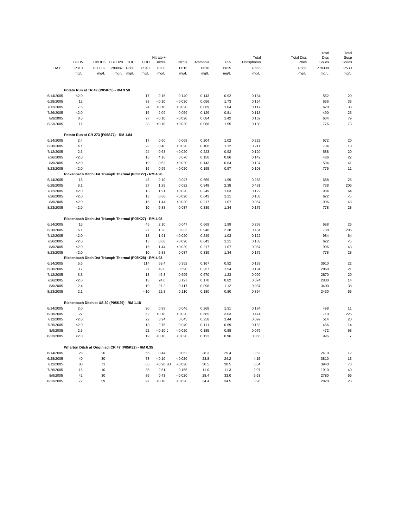|                       |                                                                |        |        |            |          |              |                  |                |              |                |                   | Total  | Total          |
|-----------------------|----------------------------------------------------------------|--------|--------|------------|----------|--------------|------------------|----------------|--------------|----------------|-------------------|--------|----------------|
|                       |                                                                |        |        |            |          | Nitrate +    |                  |                |              | Total          | <b>Total Diss</b> | Diss   | Susp           |
|                       | BOD <sub>5</sub>                                               | CBOD5  | CBOD20 | <b>TOC</b> | COD      | nitrite      | Nitrite          | Ammonia        | <b>TKN</b>   | Phosphorus     | Phos              | Solids | Solids         |
| DATE                  | P310                                                           | P80082 | P80087 | P680       | P340     | P630         | P615             | P610           | P625         | P665           | P666              | P70300 | P530           |
|                       | mg/L                                                           | mg/L   | mg/L   | mg/L       | mg/L     | mg/L         | mg/L             | mg/L           | mg/L         | mg/L           | mg/L              | mg/L   | mg/L           |
|                       |                                                                |        |        |            |          |              |                  |                |              |                |                   |        |                |
|                       | Potato Run at TR 49 (P05K05) - RM 9.58                         |        |        |            |          |              |                  |                |              |                |                   |        |                |
| 6/14/2005             | 2.0                                                            |        |        |            | 17       | 2.16         | 0.140            | 0.143          | 0.92         | 0.134          |                   | 552    | 20             |
| 6/28/2005             | 12                                                             |        |        |            | 38       | < 0.10       | < 0.020          | 0.056          | 1.73         | 0.164          |                   | 636    | 33             |
| 7/12/2005             | 7.6                                                            |        |        |            | 24       | < 0.10       | < 0.020          | 0.069          | 1.04         | 0.117          |                   | 620    | 38             |
| 7/26/2005             | 2.0                                                            |        |        |            | 16       | 2.09         | 0.059            | 0.129          | 0.81         | 0.118          |                   | 490    | 25             |
| 8/9/2005              | 8.3                                                            |        |        |            | 27       | < 0.10       | < 0.020          | 0.084          | 1.42         | 0.162          |                   | 634    | 79             |
| 8/23/2005             | 11                                                             |        |        |            | 33       | < 0.10       | < 0.020          | 0.086          | 1.55         | 0.188          |                   | 776    | 73             |
|                       |                                                                |        |        |            |          |              |                  |                |              |                |                   |        |                |
|                       | Potato Run at CR 273 (P05S77) - RM 1.84                        |        |        |            | 17       |              |                  |                |              | 0.222          |                   | 672    | 20             |
| 6/14/2005             | 2.4                                                            |        |        |            | 22       | 0.60         | 0.068            | 0.204          | 1.02         |                |                   |        |                |
| 6/28/2005             | 4.1                                                            |        |        |            |          | 0.40         | < 0.020          | 0.106          | 1.12         | 0.211          |                   | 734    | 10             |
| 7/12/2005             | 2.6                                                            |        |        |            | 24       | 0.63         | < 0.020          | 0.223          | 0.92         | 0.120          |                   | 588    | 20             |
| 7/26/2005             | 2.0                                                            |        |        |            | 16       | 4.16         | 0.070            | 0.150          | 0.86         | 0.142          |                   | 486    | 22             |
| 8/9/2005              | 2.0                                                            |        |        |            | 19       | 0.62         | <0.020           | 0.143          | 0.84         | 0.137          |                   | 594    | 41             |
| 8/23/2005             | 2.0<br>Rickenbach Ditch Ust Triumph Thermal (P05K27) - RM 4.98 |        |        |            | 16       | 0.95         | < 0.020          | 0.195          | 0.97         | 0.108          |                   | 776    | 11             |
| 6/14/2005             | 16                                                             |        |        |            | 45       | 2.10         | 0.047            | 0.669          | 1.99         | 0.268          |                   | 688    | 26             |
| 6/28/2005             | 6.1                                                            |        |        |            | 27       | 1.28         | 0.032            | 0.948          | 2.38         | 0.481          |                   | 738    | 206            |
| 7/12/2005             | 2.0                                                            |        |        |            | 13       | 1.91         | < 0.020          | 0.249          | 1.03         | 0.122          |                   | 984    | 64             |
|                       |                                                                |        |        |            |          |              |                  |                |              |                |                   | 622    |                |
| 7/26/2005<br>8/9/2005 | 2.0                                                            |        |        |            | 13       | 0.68<br>1.44 | < 0.020          | 0.643          | 1.21         | 0.103          |                   | 906    | $5$<br>43      |
| 8/23/2005             | 2.0<br>2.0                                                     |        |        |            | 16<br>10 | 5.88         | < 0.020<br>0.037 | 0.217<br>0.339 | 1.07<br>1.34 | 0.067<br>0.175 |                   | 778    | 28             |
|                       |                                                                |        |        |            |          |              |                  |                |              |                |                   |        |                |
|                       | Rickenbach Ditch Ust Triumph Thermal (P05K27) - RM 4.98        |        |        |            |          |              |                  |                |              |                |                   |        |                |
| 6/14/2005             | 16                                                             |        |        |            | 45       | 2.10         | 0.047            | 0.669          | 1.99         | 0.268          |                   | 688    | 26             |
| 6/28/2005             | 6.1                                                            |        |        |            | 27       | 1.28         | 0.032            | 0.948          | 2.38         | 0.481          |                   | 738    | 206            |
| 7/12/2005             | 2.0                                                            |        |        |            | 13       | 1.91         | < 0.020          | 0.249          | 1.03         | 0.122          |                   | 984    | 64             |
| 7/26/2005             | 2.0                                                            |        |        |            | 13       | 0.68         | < 0.020          | 0.643          | 1.21         | 0.103          |                   | 622    | $5$            |
| 8/9/2005              | 2.0                                                            |        |        |            | 16       | 1.44         | < 0.020          | 0.217          | 1.07         | 0.067          |                   | 906    | 43             |
| 8/23/2005             | 2.0                                                            |        |        |            | 10       | 5.88         | 0.037            | 0.339          | 1.34         | 0.175          |                   | 778    | 28             |
|                       | Rickenbach Ditch Dst Triumph Thermal (P05K28) - RM 4.93        |        |        |            |          |              |                  |                |              |                |                   |        |                |
| 6/14/2005             | 5.6                                                            |        |        |            | 114      | 59.4         | 0.352            | 0.167          | 0.92         | 0.139          |                   | 3910   | 22             |
| 6/28/2005             | 3.7                                                            |        |        |            | 27       | 49.0         | 0.590            | 0.257          | 1.54         | 0.194          |                   | 2960   | 21             |
| 7/12/2005             | 3.3                                                            |        |        |            | 13       | 46.3         | 0.695            | 0.670          | 1.23         | 0.099          |                   | 2870   | 20             |
| 7/26/2005             | 2.0                                                            |        |        |            | 13       | 24.0         | 0.127            | 0.170          | 0.82         | 0.074          |                   | 2830   | 14             |
| 8/9/2005              | 2.4                                                            |        |        |            | 19       | 27.2         | 0.117            | 0.098          | 1.12         | 0.087          |                   | 3400   | 38             |
| 8/23/2005             | 2.1                                                            |        |        |            | < 10     | 22.8         | 0.110            | 0.180          | 0.80         | 0.394          |                   | 2430   | 56             |
|                       | Rickenbach Ditch at US 30 (P05K29) - RM 1.18                   |        |        |            |          |              |                  |                |              |                |                   |        |                |
| 6/14/2005             | 2.0                                                            |        |        |            | 20       | 0.98         | 0.046            | 0.268          | 1.31         | 0.184          |                   | 498    | 11             |
| 6/28/2005             | 27                                                             |        |        |            | 52       | < 0.10       | < 0.020          | 0.685          | 3.03         | 0.474          |                   | 710    | 225            |
| 7/12/2005             | 2.0                                                            |        |        |            | 22       | 3.24         | 0.045            | 0.258          | 1.44         | 0.097          |                   | 514    | 20             |
| 7/26/2005             | 2.0                                                            |        |        |            | 13       | 2.75         | 0.040            | 0.111          | 0.69         | 0.152          |                   | 466    | 14             |
| 8/9/2005              | 2.5                                                            |        |        |            | 22       | $< 0.10$ J   | < 0.020          | 0.185          | 0.88         | 0.079          |                   | 472    | 68             |
| 8/23/2005             | 2.0                                                            |        |        |            | 19       | < 0.10       | < 0.020          | 0.123          | 0.96         | $0.065$ J      |                   | 996    | $\overline{7}$ |
|                       |                                                                |        |        |            |          |              |                  |                |              |                |                   |        |                |
|                       | Wharton Ditch at Origin adj CR 47 (P05K82) - RM 0.35           |        |        |            |          |              |                  |                |              |                |                   |        |                |
| 6/14/2005             | 26                                                             | 20     |        |            | 56       | 0.44         | 0.052            | 28.3           | 25.4         | 3.52           |                   | 2410   | 12             |
| 6/28/2005             | 40                                                             | 30     |        |            | 78       | < 0.10       | < 0.020          | 23.8           | 24.2         | 4.15           |                   | 3810   | 13             |
| 7/12/2005             | 80                                                             | 71     |        |            | 85       | $<0.20$ UJ   | < 0.020          | 30.5           | 30.5         | 3.84           |                   | 3940   | 73             |
| 7/26/2005             | 15                                                             | 10     |        |            | 36       | 2.51         | 0.155            | 11.0           | 11.3         | 2.07           |                   | 1910   | 40             |
| 8/9/2005              | 42                                                             | 30     |        |            | 86       | 0.43         | <0.020           | 28.4           | 33.0         | 5.63           |                   | 2780   | 56             |
| 8/23/2005             | 72                                                             | 59     |        |            | 97       | < 0.10       | < 0.020          | 34.4           | 34.5         | 3.96           |                   | 2820   | 23             |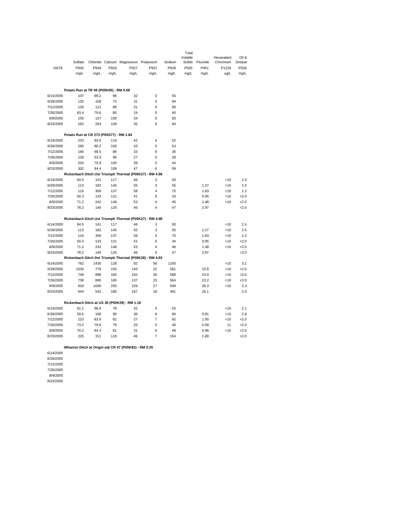|           |                                               |      |      |                                                         |                              |        | Total    |          |            |        |
|-----------|-----------------------------------------------|------|------|---------------------------------------------------------|------------------------------|--------|----------|----------|------------|--------|
|           |                                               |      |      |                                                         |                              |        | Volatile |          | Hexavalent | Oil &  |
|           | Sulfate                                       |      |      | Chloride Calcium Magnesium Potassium                    |                              | Sodium | Solids   | Fluoride | Chromium   | Grease |
| DATE      | P945                                          | P940 | P916 | P927                                                    | P937                         | P929   | P505     | P951     | P1220      | P556   |
|           | mg/L                                          | mg/L | mg/L | mg/L                                                    | mg/L                         | mg/L   | mg/L     | mg/L     | ug/L       | mg/L   |
|           |                                               |      |      |                                                         |                              |        |          |          |            |        |
|           |                                               |      |      |                                                         |                              |        |          |          |            |        |
|           | Potato Run at TR 49 (P05K05) - RM 9.58<br>107 |      | 98   | 32                                                      |                              | 55     |          |          |            |        |
| 6/14/2005 | 125                                           | 99.2 | 73   | 31                                                      | 3<br>$\overline{\mathbf{4}}$ | 94     |          |          |            |        |
| 6/28/2005 |                                               | 158  |      |                                                         |                              |        |          |          |            |        |
| 7/12/2005 | 130                                           | 121  | 88   | 31                                                      | 4                            | 69     |          |          |            |        |
| 7/26/2005 | 83.4                                          | 79.6 | 80   | 24                                                      | 5                            | 40     |          |          |            |        |
| 8/9/2005  | 100                                           | 157  | 100  | 34                                                      | 6<br>9                       | 83     |          |          |            |        |
| 8/23/2005 | 162                                           | 204  | 109  | 35                                                      |                              | 94     |          |          |            |        |
|           | Potato Run at CR 273 (P05S77) - RM 1.84       |      |      |                                                         |                              |        |          |          |            |        |
| 6/14/2005 | 233                                           | 83.6 | 116  | 42                                                      | 4                            | 52     |          |          |            |        |
| 6/28/2005 | 260                                           | 90.2 | 100  | 43                                                      | 5                            | 53     |          |          |            |        |
| 7/12/2005 | 190                                           | 68.5 | 88   | 33                                                      | 6                            | 36     |          |          |            |        |
| 7/26/2005 | 128                                           | 53.9 | 90   | 27                                                      | 5                            | 28     |          |          |            |        |
| 8/9/2005  | 204                                           | 70.9 | 100  | 39                                                      | 5                            | 44     |          |          |            |        |
| 8/23/2005 | 302                                           | 94.4 | 109  | 47                                                      | 6                            | 59     |          |          |            |        |
|           |                                               |      |      | Rickenbach Ditch Ust Triumph Thermal (P05K27) - RM 4.98 |                              |        |          |          |            |        |
| 6/14/2005 | 94.5                                          | 141  | 117  | 46                                                      | 3                            | 50     |          |          | <10        | 2.4    |
| 6/28/2005 | 113                                           | 182  | 145  | 55                                                      | 3                            | 55     |          | 1.27     | <10        | 2.5    |
| 7/12/2005 | 116                                           | 306  | 137  | 58                                                      | $\overline{\mathbf{4}}$      | 75     |          | 1.83     | < 10       | 2.2    |
| 7/26/2005 | 50.3                                          | 133  | 121  | 41                                                      | 6                            | 34     |          | 0.95     | < 10       | 2.0    |
| 8/9/2005  | 71.2                                          | 242  | 148  | 53                                                      | $\overline{\mathbf{4}}$      | 46     |          | 1.48     | <10        | 2.0    |
| 8/23/2005 | 78.2                                          | 140  | 126  | 46                                                      | 4                            | 47     |          | 2.97     |            | 2.0    |
|           |                                               |      |      |                                                         |                              |        |          |          |            |        |
|           |                                               |      |      | Rickenbach Ditch Ust Triumph Thermal (P05K27) - RM 4.98 |                              |        |          |          |            |        |
| 6/14/2005 | 94.5                                          | 141  | 117  | 46                                                      | 3                            | 50     |          |          | <10        | 2.4    |
| 6/28/2005 | 113                                           | 182  | 145  | 55                                                      | 3                            | 55     |          | 1.27     | <10        | 2.5    |
| 7/12/2005 | 116                                           | 306  | 137  | 58                                                      | 4                            | 75     |          | 1.83     | < 10       | 2.2    |
| 7/26/2005 | 50.3                                          | 133  | 121  | 41                                                      | 6                            | 34     |          | 0.95     | <10        | 2.0    |
| 8/9/2005  | 71.2                                          | 242  | 148  | 53                                                      | 4                            | 46     |          | 1.48     | <10        | 2.0    |
| 8/23/2005 | 78.2                                          | 140  | 126  | 46                                                      | $\overline{4}$               | 47     |          | 2.97     |            | 2.0    |
|           |                                               |      |      | Rickenbach Ditch Dst Triumph Thermal (P05K28) - RM 4.93 |                              |        |          |          |            |        |
| 6/14/2005 | 762                                           | 1430 | 128  | 92                                                      | 56                           | 1160   |          |          | <10        | 3.1    |
| 6/28/2005 | 1030                                          | 778  | 155  | 143                                                     | 22                           | 581    |          | 15.8     | <10        | 2.0    |
| 7/12/2005 | 748                                           | 898  | 160  | 102                                                     | 26                           | 598    |          | 23.9     | <10        | 2.0    |
| 7/26/2005 | 738                                           | 890  | 185  | 137                                                     | 23                           | 564    |          | 23.2     | $<$ 10     | 2.0    |
| 8/9/2005  | 918                                           | 1000 | 255  | 229                                                     | 27                           | 549    |          | 26.3     | <10        | 2.3    |
| 8/23/2005 | 944                                           | 542  | 180  | 167                                                     | 18                           | 391    |          | 26.1     |            | 2.0    |
|           |                                               |      |      |                                                         |                              |        |          |          |            |        |
|           |                                               |      |      | Rickenbach Ditch at US 30 (P05K29) - RM 1.18            |                              |        |          |          |            |        |
| 6/14/2005 | 81.1                                          | 96.6 | 78   | 32                                                      | 4                            | 55     |          |          | <10        | 2.1    |
| 6/28/2005 | 59.6                                          | 166  | 90   | 36                                                      | 8                            | 94     |          | 0.81     | < 10       | 2.8    |
| 7/12/2005 | 123                                           | 83.6 | 62   | 27                                                      | $\overline{7}$               | 62     |          | 1.00     | <10        | 2.0    |
| 7/26/2005 | 73.2                                          | 79.8 | 79   | 26                                                      | 5                            | 46     |          | 0.58     | 11         | 2.0    |
| 8/9/2005  | 70.2                                          | 84.3 | 81   | 31                                                      | 6                            | 49     |          | 0.96     | <10        | 2.0    |
| 8/23/2005 | 225                                           | 311  | 118  | 49                                                      | $\overline{7}$               | 154    |          | 1.89     |            | 2.0    |

**Wharton Ditch at Origin adj CR 47 (P05K82) - RM 0.35**

6/14/2005 6/28/2005 7/12/2005 7/26/2005

8/9/2005

8/23/2005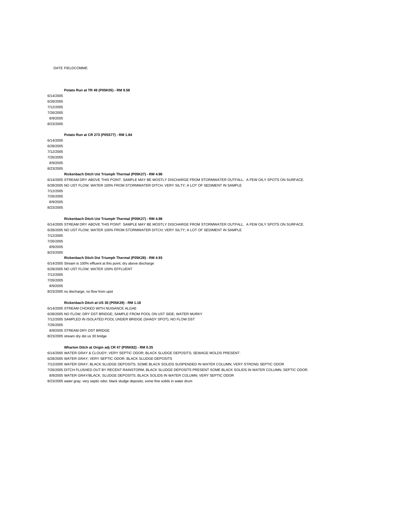### **Potato Run at TR 49 (P05K05) - RM 9.58**

6/14/2005 6/28/2005 7/12/2005 7/26/2005 8/9/2005 8/23/2005

**Potato Run at CR 273 (P05S77) - RM 1.84**

6/14/2005 6/28/2005 7/12/2005 7/26/2005 8/9/2005

8/23/2005

### **Rickenbach Ditch Ust Triumph Thermal (P05K27) - RM 4.98**

6/14/2005 STREAM DRY ABOVE THIS POINT. SAMPLE MAY BE MOSTLY DISCHARGE FROM STORMWATER OUTFALL. A FEW OILY SPOTS ON SURFACE. 6/28/2005 NO UST FLOW; WATER 100% FROM STORMWATER DITCH; VERY SILTY; A LOT OF SEDIMENT IN SAMPLE

7/12/2005

7/26/2005

8/9/2005 8/23/2005

## **Rickenbach Ditch Ust Triumph Thermal (P05K27) - RM 4.98**

6/14/2005 STREAM DRY ABOVE THIS POINT. SAMPLE MAY BE MOSTLY DISCHARGE FROM STORMWATER OUTFALL. A FEW OILY SPOTS ON SURFACE. 6/28/2005 NO UST FLOW; WATER 100% FROM STORMWATER DITCH; VERY SILTY; A LOT OF SEDIMENT IN SAMPLE 7/12/2005

7/26/2005

8/9/2005

8/23/2005

## **Rickenbach Ditch Dst Triumph Thermal (P05K28) - RM 4.93**

6/14/2005 Stream is 100% effluent at this point; dry above discharge 6/28/2005 NO UST FLOW; WATER 100% EFFLUENT 7/12/2005 7/26/2005 8/9/2005 8/23/2005 no discharge; no flow from upst

**Rickenbach Ditch at US 30 (P05K29) - RM 1.18**

6/14/2005 STREAM CHOKED WITH NUISANCE ALGAE 6/28/2005 NO FLOW; DRY DST BRIDGE; SAMPLE FROM POOL ON UST SIDE; WATER MURKY 7/12/2005 SAMPLED IN ISOLATED POOL UNDER BRIDGE (SHADY SPOT); NO FLOW DST 7/26/2005 8/9/2005 STREAM DRY DST BRIDGE

8/23/2005 stream dry dst us 30 bridge

## **Wharton Ditch at Origin adj CR 47 (P05K82) - RM 0.35**

6/14/2005 WATER GRAY & CLOUDY; VERY SEPTIC ODOR; BLACK SLUDGE DEPOSITS; SEWAGE MOLDS PRESENT.

6/28/2005 WATER GRAY; VERY SEPTIC ODOR; BLACK SLUDGE DEPOSITS

7/12/2005 WATER GRAY; BLACK SLUDGE DEPOSITS; SOME BLACK SOLIDS SUSPENDED IN WATER COLUMN; VERY STRONG SEPTIC ODOR

7/26/2005 DITCH FLUSHED OUT BY RECENT RAINSTORM; BLACK SLUDGE DEPOSITS PRESENT SOME BLACK SOLIDS IN WATER COLUMN; SEPTIC ODOR.

8/9/2005 WATER GRAY/BLACK; SLUDGE DEPOSITS; BLACK SOLIDS IN WATER COLUMN; VERY SEPTIC ODOR

8/23/2005 water gray; very septic odor; black sludge deposits; some fine solids in water drum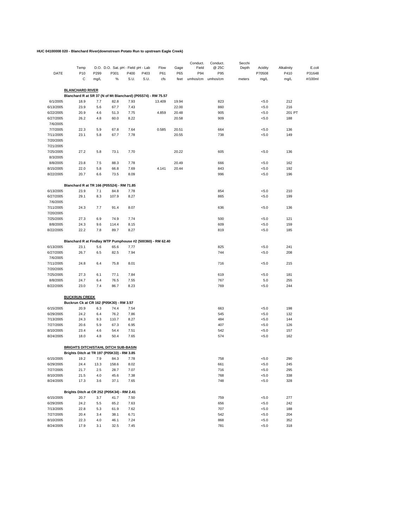## **HUC 04100008 020 - Blanchard River(downstream Potato Run to upstream Eagle Creek)**

|                       |                                                                 |            |                                    |              |      |        |       | Conduct. | Conduct.   | Secchi |                |            |         |
|-----------------------|-----------------------------------------------------------------|------------|------------------------------------|--------------|------|--------|-------|----------|------------|--------|----------------|------------|---------|
|                       | Temp                                                            |            | D.O. D.O. Sat. pH - Field pH - Lab |              |      | Flow   | Gage  | Field    | @ 25C      | Depth  | Acidity        | Alkalinity | E.coli  |
| DATE                  | P10                                                             | P299       | P301                               | P400         | P403 | P61    | P65   | P94      | P95        |        | P70508         | P410       | P31648  |
|                       | С                                                               | mg/L       | $\%$                               | S.U.         | S.U. | cfs    | feet  | umhos/cm | umhos/cm   | meters | mg/L           | mg/L       | #/100ml |
|                       | <b>BLANCHARD RIVER</b>                                          |            |                                    |              |      |        |       |          |            |        |                |            |         |
|                       | Blanchard R at SR 37 (N of Mt Blanchard) (P05S74) - RM 75.57    |            |                                    |              |      |        |       |          |            |        |                |            |         |
| 6/1/2005              | 18.9                                                            | 7.7        | 82.8                               | 7.93         |      | 13.409 | 19.94 |          | 823        |        | < 5.0          | 212        |         |
| 6/13/2005             | 23.9                                                            | 5.6        | 67.7                               | 7.43         |      |        | 22.00 |          | 860        |        | < 5.0          | 216        |         |
| 6/22/2005             | 20.9                                                            | 4.6        | 51.3                               | 7.75         |      | 4.859  | 20.48 |          | 905        |        | < 5.0          | 201 PT     |         |
| 6/27/2005             | 26.2                                                            | 4.8        | 60.0                               | 8.22         |      |        | 20.58 |          | 909        |        | < 5.0          | 188        |         |
| 7/6/2005              |                                                                 |            |                                    |              |      |        |       |          |            |        |                |            |         |
| 7/7/2005              | 22.3                                                            | 5.9        | 67.8                               | 7.64         |      | 0.585  | 20.51 |          | 664        |        | < 5.0          | 136        |         |
| 7/11/2005             | 23.1                                                            | 5.8        | 67.7                               | 7.78         |      |        | 20.55 |          | 738        |        | < 5.0          | 149        |         |
| 7/20/2005             |                                                                 |            |                                    |              |      |        |       |          |            |        |                |            |         |
| 7/21/2005             |                                                                 |            |                                    |              |      |        |       |          |            |        |                |            |         |
| 7/25/2005             | 27.2                                                            | 5.8        | 73.1                               | 7.70         |      |        | 20.22 |          | 605        |        | < 5.0          | 136        |         |
| 8/3/2005              |                                                                 |            |                                    |              |      |        |       |          |            |        |                |            |         |
| 8/8/2005              | 23.8                                                            | 7.5        | 88.3                               | 7.78         |      |        | 20.49 |          | 666        |        | < 5.0          | 162        |         |
| 8/15/2005             | 22.0                                                            | 5.8        | 66.8                               | 7.69         |      | 4.141  | 20.44 |          | 843        |        | < 5.0          | 192        |         |
| 8/22/2005             | 20.7                                                            | 6.6        | 73.5                               | 8.09         |      |        |       |          | 996        |        | < 5.0          | 196        |         |
|                       |                                                                 |            |                                    |              |      |        |       |          |            |        |                |            |         |
|                       | Blanchard R at TR 166 (P05S24) - RM 71.85                       |            |                                    |              |      |        |       |          | 854        |        |                | 210        |         |
| 6/13/2005             | 23.9                                                            | 7.1        | 84.8                               | 7.78         |      |        |       |          |            |        | < 5.0          |            |         |
| 6/27/2005             | 29.1                                                            | 8.3        | 107.9                              | 8.27         |      |        |       |          | 865        |        | < 5.0          | 199        |         |
| 7/6/2005              | 24.3                                                            | 7.7        | 91.4                               | 8.07         |      |        |       |          | 636        |        | < 5.0          | 136        |         |
| 7/11/2005             |                                                                 |            |                                    |              |      |        |       |          |            |        |                |            |         |
| 7/20/2005             |                                                                 | 6.9        | 74.9                               | 7.74         |      |        |       |          | 500        |        |                | 121        |         |
| 7/25/2005             | 27.3                                                            |            |                                    |              |      |        |       |          |            |        | < 5.0          |            |         |
| 8/8/2005<br>8/22/2005 | 24.3<br>22.2                                                    | 9.6<br>7.8 | 114.4<br>89.7                      | 8.15<br>8.27 |      |        |       |          | 609<br>819 |        | < 5.0<br>< 5.0 | 159<br>185 |         |
|                       |                                                                 |            |                                    |              |      |        |       |          |            |        |                |            |         |
|                       | Blanchard R at Findlay WTP Pumphouse #2 (500360) - RM 62.40     |            |                                    |              |      |        |       |          |            |        |                |            |         |
| 6/13/2005             | 23.1                                                            | 5.6        | 65.6                               | 7.77         |      |        |       |          | 825        |        | < 5.0          | 241        |         |
| 6/27/2005             | 26.7                                                            | 6.5        | 82.5                               | 7.94         |      |        |       |          | 744        |        | < 5.0          | 208        |         |
| 7/6/2005              |                                                                 |            |                                    |              |      |        |       |          |            |        |                |            |         |
| 7/11/2005             | 24.8                                                            | 6.4        | 75.8                               | 8.01         |      |        |       |          | 716        |        | < 5.0          | 215        |         |
| 7/20/2005             |                                                                 |            |                                    |              |      |        |       |          |            |        |                |            |         |
| 7/25/2005             | 27.3                                                            | 6.1        | 77.1                               | 7.84         |      |        |       |          | 619        |        | < 5.0          | 181        |         |
| 8/8/2005              | 24.7                                                            | 6.4        | 76.5                               | 7.55         |      |        |       |          | 767        |        | 5.0            | 255        |         |
| 8/22/2005             | 23.0                                                            | 7.4        | 86.7                               | 8.23         |      |        |       |          | 769        |        | < 5.0          | 244        |         |
|                       |                                                                 |            |                                    |              |      |        |       |          |            |        |                |            |         |
|                       | <b>BUCKRUN CREEK</b><br>Buckrun Ck at CR 162 (P05K30) - RM 3.57 |            |                                    |              |      |        |       |          |            |        |                |            |         |
| 6/15/2005             | 20.9                                                            | 6.3        | 74.4                               | 7.54         |      |        |       |          | 663        |        | < 5.0          | 198        |         |
| 6/29/2005             | 24.2                                                            | 6.4        | 76.2                               | 7.86         |      |        |       |          | 545        |        | < 5.0          | 132        |         |
| 7/13/2005             | 24.3                                                            | 9.3        | 110.7                              | 8.27         |      |        |       |          | 484        |        | < 5.0          | 144        |         |
| 7/27/2005             | 20.6                                                            | 5.9        | 67.3                               | 6.95         |      |        |       |          | 407        |        | < 5.0          | 126        |         |
| 8/10/2005             | 23.4                                                            | 4.6        | 54.4                               | 7.51         |      |        |       |          | 542        |        | < 5.0          | 157        |         |
| 8/24/2005             | 18.0                                                            | 4.8        | 50.4                               | 7.65         |      |        |       |          | 574        |        | < 5.0          | 162        |         |
|                       |                                                                 |            |                                    |              |      |        |       |          |            |        |                |            |         |
|                       | <b>BRIGHTS DITCH/STAHL DITCH SUB-BASIN</b>                      |            |                                    |              |      |        |       |          |            |        |                |            |         |
|                       | Brights Ditch at TR 197 (P05K33) - RM 3.85                      |            |                                    |              |      |        |       |          |            |        |                |            |         |
| 6/15/2005             | 19.2                                                            |            | 7.9 84.3                           | 7.78         |      |        |       |          | 758        |        | < 5.0          | 290        |         |
| 6/29/2005             | 24.4                                                            | 13.3       | 158.6                              | 8.02         |      |        |       |          | 661        |        | < 5.0          | 245        |         |
| 7/27/2005             | 21.7                                                            | 2.5        | 28.7                               | 7.07         |      |        |       |          | 716        |        | < 5.0          | 295        |         |
| 8/10/2005             | 21.5                                                            | 4.0        | 45.6                               | 7.38         |      |        |       |          | 768        |        | < 5.0          | 338        |         |
| 8/24/2005             | 17.3                                                            | 3.6        | 37.1                               | 7.65         |      |        |       |          | 748        |        | < 5.0          | 328        |         |
|                       | Brights Ditch at CR 252 (P05K34) - RM 2.41                      |            |                                    |              |      |        |       |          |            |        |                |            |         |
| 6/15/2005             | 20.7                                                            | 3.7        | 41.7                               | 7.50         |      |        |       |          | 759        |        | < 5.0          | 277        |         |
| 6/29/2005             | 24.2                                                            | 5.5        | 65.2                               | 7.63         |      |        |       |          | 656        |        | < 5.0          | 242        |         |
| 7/13/2005             | 22.8                                                            | 5.3        | 61.9                               | 7.62         |      |        |       |          | 707        |        | < 5.0          | 188        |         |
| 7/27/2005             | 20.4                                                            | 3.4        | 38.1                               | 6.71         |      |        |       |          | 542        |        | < 5.0          | 204        |         |
| 8/10/2005             | 22.3                                                            | 4.0        | 46.1                               | 7.24         |      |        |       |          | 868        |        | < 5.0          | 352        |         |
| 8/24/2005             | 17.9                                                            | 3.1        | 32.5                               | 7.45         |      |        |       |          | 781        |        | < 5.0          | 318        |         |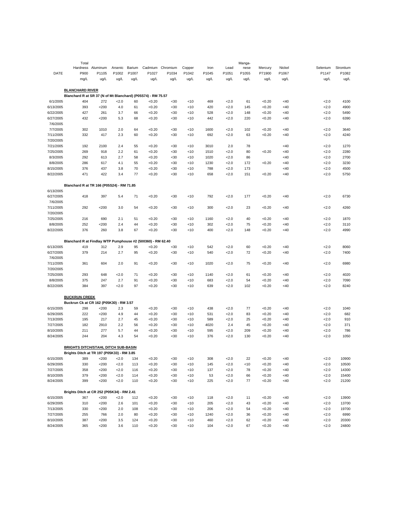|                        | Total                                                        |              |            |          |                  |                  |             |             |            | Manga-     |                  |               |            |              |
|------------------------|--------------------------------------------------------------|--------------|------------|----------|------------------|------------------|-------------|-------------|------------|------------|------------------|---------------|------------|--------------|
|                        | Hardness                                                     | Aluminum     | Arsenic    | Barium   |                  | Cadmium Chromium | Copper      | Iron        | Lead       | nese       | Mercury          | Nickel        | Selenium   | Strontium    |
| DATE                   | P900                                                         | P1105        | P1002      | P1007    | P1027            | P1034            | P1042       | P1045       | P1051      | P1055      | P71900           | P1067         | P1147      | P1082        |
|                        | mg/L                                                         | ug/L         | ug/L       | ug/L     | ug/L             | ug/L             | ug/L        | ug/L        | ug/L       | ug/L       | ug/L             | ug/L          | ug/L       | ug/L         |
|                        |                                                              |              |            |          |                  |                  |             |             |            |            |                  |               |            |              |
|                        | <b>BLANCHARD RIVER</b>                                       |              |            |          |                  |                  |             |             |            |            |                  |               |            |              |
|                        | Blanchard R at SR 37 (N of Mt Blanchard) (P05S74) - RM 75.57 |              |            |          |                  |                  |             |             |            |            |                  |               |            |              |
| 6/1/2005               | 404                                                          | 272          | 2.0        | 60       | <0.20            | $30$             | ~10         | 469         | 2.0        | 61         | < 0.20           | $<$ 40        | 2.0        | 4100         |
| 6/13/2005              | 393                                                          | $200$        | 4.0<br>3.7 | 61       | <0.20            | $30$             | <10         | 420         | 2.0        | 145        | < 0.20           | <40           | 2.0        | 4900         |
| 6/22/2005<br>6/27/2005 | 427<br>432                                                   | 261<br>$200$ | 5.3        | 66<br>68 | < 0.20<br><0.20  | $30$<br>$30$     | < 10<br><10 | 528<br>442  | 2.0<br>2.0 | 148<br>220 | < 0.20<br>< 0.20 | <40<br><40    | 2.0<br>2.0 | 5490<br>6390 |
| 7/6/2005               |                                                              |              |            |          |                  |                  |             |             |            |            |                  |               |            |              |
| 7/7/2005               | 302                                                          | 1010         | 2.0        | 64       | < 0.20           | $30$             | <10         | 1600        | 2.0        | 102        | < 0.20           | <40           | 2.0        | 3640         |
| 7/11/2005              | 332                                                          | 417          | 2.3        | 60       | < 0.20           | $30$             | <10         | 692         | 2.0        | 63         | < 0.20           | <40           | 2.0        | 4240         |
| 7/20/2005              |                                                              |              |            |          |                  |                  |             |             |            |            |                  |               |            |              |
| 7/21/2005              | 192                                                          | 2100         | 2.4        | 55       | < 0.20           | $30$             | < 10        | 3010        | 2.0        | 78         |                  | <40           | 2.0        | 1270         |
| 7/25/2005              | 269                                                          | 918          | 2.2        | 61       | < 0.20           | $30$             | < 10        | 1510        | 2.0        | 80         | < 0.20           | <40           | 2.0        | 2280         |
| 8/3/2005               | 292                                                          | 613          | 2.7        | 58       | < 0.20           | $30$             | <10         | 1020        | 2.0        | 86         |                  | $<$ 40        | 2.0        | 2700         |
| 8/8/2005               | 286                                                          | 617          | 4.1        | 55       | < 0.20           | $30$             | < 10        | 1230        | 2.0        | 172        | <0.20            | <40           | 2.0        | 3230         |
| 8/15/2005              | 376                                                          | 437          | 3.8        | 70       | < 0.20           | $30$             | < 10        | 788         | 2.0        | 173        |                  | <40           | 2.0        | 4500         |
| 8/22/2005              | 471                                                          | 422          | 3.4        | 77       | <0.20            | $30$             | <10         | 658         | 2.0        | 151        | < 0.20           | <40           | 2.0        | 5750         |
|                        |                                                              |              |            |          |                  |                  |             |             |            |            |                  |               |            |              |
|                        | Blanchard R at TR 166 (P05S24) - RM 71.85                    |              |            |          |                  |                  |             |             |            |            |                  |               |            |              |
| 6/13/2005              |                                                              |              |            |          |                  |                  |             |             |            |            |                  |               |            |              |
| 6/27/2005              | 418                                                          | 397          | 5.4        | 71       | < 0.20           | $30$             | < 10        | 792         | 2.0        | 177        | < 0.20           | <40           | 2.0        | 6730         |
| 7/6/2005               |                                                              |              |            |          |                  |                  |             |             |            |            |                  |               |            |              |
| 7/11/2005              | 292                                                          | $200$        | 3.0        | 54       | < 0.20           | $30$             | < 10        | 300         | 2.0        | 23         | < 0.20           | <40           | 2.0        | 4260         |
| 7/20/2005<br>7/25/2005 | 216                                                          |              | 2.1        | 51       |                  |                  | < 10        |             | 2.0        | 40         |                  | <40           | 2.0        | 1870         |
| 8/8/2005               | 252                                                          | 690<br>$200$ | 2.4        | 44       | < 0.20<br>< 0.20 | $30$<br>$30$     | < 10        | 1160<br>302 | 2.0        | 75         | < 0.20<br>< 0.20 | <40           | 2.0        | 3110         |
| 8/22/2005              | 376                                                          | 260          | 3.8        | 67       | <0.20            | $30$             | ~10         | 400         | 2.0        | 148        | < 0.20           | <40           | 2.0        | 4990         |
|                        |                                                              |              |            |          |                  |                  |             |             |            |            |                  |               |            |              |
|                        | Blanchard R at Findlay WTP Pumphouse #2 (500360) - RM 62.40  |              |            |          |                  |                  |             |             |            |            |                  |               |            |              |
| 6/13/2005              | 419                                                          | 312          | 2.9        | 95       | <0.20            | $30$             | <10         | 542         | 2.0        | 60         | < 0.20           | <40           | 2.0        | 8060         |
| 6/27/2005              | 379                                                          | 214          | 2.7        | 95       | < 0.20           | $30$             | < 10        | 540         | 2.0        | 72         | < 0.20           | <40           | 2.0        | 7400         |
| 7/6/2005               |                                                              |              |            |          |                  |                  |             |             |            |            |                  |               |            |              |
| 7/11/2005              | 361                                                          | 604          | 2.0        | 91       | < 0.20           | $30$             | < 10        | 1020        | 2.0        | 75         | < 0.20           | <40           | 2.0        | 6980         |
| 7/20/2005              |                                                              |              |            |          |                  |                  |             |             |            |            |                  |               |            |              |
| 7/25/2005              | 293                                                          | 648          | 2.0        | 71       | < 0.20           | $30$             | < 10        | 1140        | 2.0        | 61         | < 0.20           | <40           | 2.0        | 4020         |
| 8/8/2005               | 375                                                          | 247          | 2.7        | 91       | < 0.20           | $30$             | < 10        | 683         | 2.0        | 54         | < 0.20           | <40           | 2.0        | 7090         |
| 8/22/2005              | 384                                                          | 397          | 2.0        | 97       | < 0.20           | $30$             | ~10         | 639         | 2.0        | 102        | < 0.20           | <40           | 2.0        | 8240         |
|                        |                                                              |              |            |          |                  |                  |             |             |            |            |                  |               |            |              |
|                        | <b>BUCKRUN CREEK</b>                                         |              |            |          |                  |                  |             |             |            |            |                  |               |            |              |
|                        | Buckrun Ck at CR 162 (P05K30) - RM 3.57                      |              |            |          |                  |                  |             |             |            |            |                  |               |            |              |
| 6/15/2005              | 298                                                          | $200$        | 2.3        | 59       | < 0.20           | $30$             | <10         | 438         | 2.0        | 77         | < 0.20           | <40           | 2.0        | 1040         |
| 6/29/2005              | 222                                                          | 200          | 4.9        | 44       | < 0.20           | $30$             | <10         | 531         | 2.0        | 83         | < 0.20           | <40           | 2.0        | 682          |
| 7/13/2005              | 195                                                          | 217          | 2.7        | 45       | < 0.20           | <30              | <10         | 589         | 2.0        | 25         | < 0.20           | <40           | 2.0        | 910          |
| 7/27/2005<br>8/10/2005 | 182                                                          | 2910         | 2.2        | 56<br>44 | < 0.20           | $30$             | $<$ 10      | 4020        | 2.4        | 45         | < 0.20           | $<$ 40<br><40 | 2.0        | 371          |
| 8/24/2005              | 211<br>244                                                   | 277<br>204   | 5.7<br>4.3 | 54       | <0.20<br>< 0.20  | $30$<br>$30$     | <10<br>< 10 | 595<br>376  | 2.0<br>2.0 | 209<br>130 | < 0.20<br>< 0.20 | <40           | 2.0<br>2.0 | 786<br>1050  |
|                        |                                                              |              |            |          |                  |                  |             |             |            |            |                  |               |            |              |
|                        | <b>BRIGHTS DITCH/STAHL DITCH SUB-BASIN</b>                   |              |            |          |                  |                  |             |             |            |            |                  |               |            |              |
|                        | Brights Ditch at TR 197 (P05K33) - RM 3.85                   |              |            |          |                  |                  |             |             |            |            |                  |               |            |              |
| 6/15/2005              | 389                                                          | $<$ 200      | 2.0        | 134      | <0.20            | $30$             | <10         | 308         | 2.0        | 22         | <0.20            | <40           | 2.0        | 10900        |
| 6/29/2005              | 330                                                          | <200         | 2.0        | 113      | < 0.20           | $30$             | < 10        | 145         | 2.0        | <10        | < 0.20           | <40           | 2.0        | 10500        |
| 7/27/2005              | 358                                                          | $200$        | 2.0        | 116      | < 0.20           | $30$             | <10         | 137         | 2.0        | 78         | < 0.20           | <40           | 2.0        | 14300        |
| 8/10/2005              | 379                                                          | $200$        | 2.0        | 114      | <0.20            | $30$             | < 10        | 53          | 2.0        | 66         | < 0.20           | <40           | 2.0        | 15400        |
| 8/24/2005              | 399                                                          | <200         | 2.0        | 110      | <0.20            | $30$             | <10         | 225         | 2.0        | 77         | < 0.20           | <40           | 2.0        | 21200        |
|                        |                                                              |              |            |          |                  |                  |             |             |            |            |                  |               |            |              |
|                        | Brights Ditch at CR 252 (P05K34) - RM 2.41                   |              |            |          |                  |                  |             |             |            |            |                  |               |            |              |
| 6/15/2005              | 367                                                          | 200          | 2.0        | 112      | < 0.20           | $30$             | <10         | 118         | 2.0        | 11         | < 0.20           | $<40$         | 2.0        | 13900        |
| 6/29/2005              | 310                                                          | <200         | 2.6        | 101      | < 0.20           | $30$             | < 10        | 205         | 2.0        | 43         | < 0.20           | <40           | 2.0        | 13700        |
| 7/13/2005              | 330                                                          | <200         | 2.0        | 108      | <0.20            | $30$             | <10         | 206         | 2.0        | 54         | < 0.20           | <40           | 2.0        | 19700        |
| 7/27/2005              | 255                                                          | 766          | 2.0        | 80       | <0.20            | <30              | <10         | 1240        | 2.0        | 36         | < 0.20           | <40           | 2.0        | 6990         |
| 8/10/2005              | 387                                                          | <200         | 3.5        | 124      | < 0.20           | $30$             | < 10        | 460         | 2.0        | 62         | < 0.20           | <40           | 2.0        | 20300        |
| 8/24/2005              | 365                                                          | $200$        | 3.6        | 110      | <0.20            | $30$             | <10         | 104         | 2.0        | 67         | < 0.20           | <40           | 2.0        | 24800        |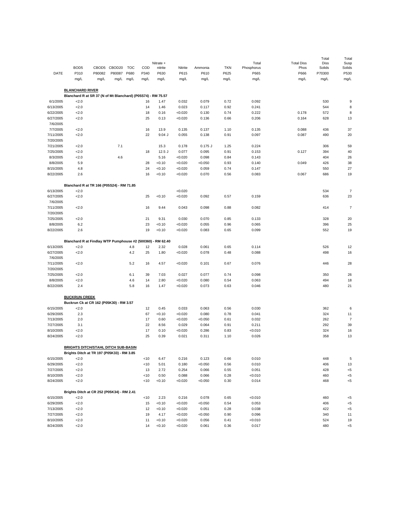|           |                                                              |        |              |           |        |                      |         |           |            |                     |                           | Total          | Total          |
|-----------|--------------------------------------------------------------|--------|--------------|-----------|--------|----------------------|---------|-----------|------------|---------------------|---------------------------|----------------|----------------|
|           | BOD <sub>5</sub>                                             |        | CBOD5 CBOD20 | TOC       | COD    | Nitrate +<br>nitrite | Nitrite | Ammonia   | <b>TKN</b> | Total<br>Phosphorus | <b>Total Diss</b><br>Phos | Diss<br>Solids | Susp<br>Solids |
| DATE      | P310                                                         | P80082 | P80087       | P680      | P340   | P630                 | P615    | P610      | P625       | P665                | P666                      | P70300         | P530           |
|           | mg/L                                                         | mg/L   |              | mg/L mg/L | mg/L   | mg/L                 | mg/L    | mg/L      | mg/L       | mg/L                | mg/L                      | mg/L           | mg/L           |
|           |                                                              |        |              |           |        |                      |         |           |            |                     |                           |                |                |
|           | <b>BLANCHARD RIVER</b>                                       |        |              |           |        |                      |         |           |            |                     |                           |                |                |
|           | Blanchard R at SR 37 (N of Mt Blanchard) (P05S74) - RM 75.57 |        |              |           |        |                      |         |           |            |                     |                           |                |                |
| 6/1/2005  | 2.0                                                          |        |              |           | 16     | 1.47                 | 0.032   | 0.079     | 0.72       | 0.092               |                           | 530            | 9              |
| 6/13/2005 | 2.0                                                          |        |              |           | 14     | 1.46                 | 0.023   | 0.117     | 0.92       | 0.241               |                           | 544            | 8              |
| 6/22/2005 | 2.0                                                          |        |              |           | 18     | 0.16                 | <0.020  | 0.130     | 0.74       | 0.222               | 0.178                     | 572            | 8              |
| 6/27/2005 | 2.0                                                          |        |              |           | 25     | 0.13                 | < 0.020 | 0.136     | 0.66       | 0.206               | 0.164                     | 628            | 13             |
| 7/6/2005  |                                                              |        |              |           |        |                      |         |           |            |                     |                           |                |                |
| 7/7/2005  | 2.0                                                          |        |              |           | 16     | 13.9                 | 0.135   | 0.137     | 1.10       | 0.135               | 0.088                     | 436            | 37             |
| 7/11/2005 | 2.0                                                          |        |              |           | 22     | $9.04$ J             | 0.055   | 0.138     | 0.91       | 0.097               | 0.087                     | 490            | 20             |
| 7/20/2005 |                                                              |        |              |           |        |                      |         |           |            |                     |                           |                |                |
| 7/21/2005 | 2.0                                                          |        | 7.1          |           |        | 15.3                 | 0.178   | $0.175$ J | 1.25       | 0.224               |                           | 306            | 59             |
| 7/25/2005 | 2.0                                                          |        |              |           | 18     | $12.5$ J             | 0.077   | 0.095     | 0.91       | 0.153               | 0.127                     | 394            | 40             |
| 8/3/2005  | 2.0                                                          |        | 4.6          |           |        | 5.16                 | <0.020  | 0.098     | 0.84       | 0.143               |                           | 404            | 26             |
| 8/8/2005  | 5.9                                                          |        |              |           | 28     | < 0.10               | < 0.020 | < 0.050   | 0.93       | 0.140               | 0.049                     | 426            | 38             |
| 8/15/2005 | 4.8                                                          |        |              |           | 24     | < 0.10               | <0.020  | 0.059     | 0.74       | 0.147               |                           | 550            | 27             |
| 8/22/2005 | 2.6                                                          |        |              |           | 16     | < 0.10               | < 0.020 | 0.070     | 0.56       | 0.083               | 0.067                     | 686            | 19             |
|           |                                                              |        |              |           |        |                      |         |           |            |                     |                           |                |                |
|           | Blanchard R at TR 166 (P05S24) - RM 71.85                    |        |              |           |        |                      |         |           |            |                     |                           |                |                |
| 6/13/2005 | 2.0                                                          |        |              |           |        |                      | <0.020  |           |            |                     |                           | 534            | $\overline{7}$ |
| 6/27/2005 | 2.0                                                          |        |              |           | 25     | < 0.10               | <0.020  | 0.092     | 0.57       | 0.159               |                           | 636            | 23             |
| 7/6/2005  |                                                              |        |              |           |        |                      |         |           |            |                     |                           |                |                |
| 7/11/2005 | 2.0                                                          |        |              |           | 16     | 9.44                 | 0.043   | 0.098     | 0.88       | 0.082               |                           | 414            | $\overline{7}$ |
| 7/20/2005 |                                                              |        |              |           |        |                      |         |           |            |                     |                           |                |                |
| 7/25/2005 | 2.0                                                          |        |              |           | 21     | 9.31                 | 0.030   | 0.070     | 0.85       | 0.133               |                           | 328            | 20             |
| 8/8/2005  | 6.2                                                          |        |              |           | 23     | < 0.10               | <0.020  | 0.055     | 0.96       | 0.065               |                           | 396            | 25             |
| 8/22/2005 | 2.6                                                          |        |              |           | 19     | < 0.10               | < 0.020 | 0.083     | 0.65       | 0.099               |                           | 552            | 19             |
|           |                                                              |        |              |           |        |                      |         |           |            |                     |                           |                |                |
|           | Blanchard R at Findlay WTP Pumphouse #2 (500360) - RM 62.40  |        |              |           |        |                      |         |           |            |                     |                           |                |                |
| 6/13/2005 | 2.0                                                          |        |              | 4.8       | 12     | 2.32                 | 0.028   | 0.061     | 0.65       | 0.114               |                           | 526            | 12             |
| 6/27/2005 | 2.0                                                          |        |              | 4.2       | 25     | 1.80                 | <0.020  | 0.078     | 0.48       | 0.088               |                           | 498            | 16             |
| 7/6/2005  |                                                              |        |              |           |        |                      |         |           |            |                     |                           |                |                |
| 7/11/2005 | 2.0                                                          |        |              | 5.2       | 16     | 4.57                 | <0.020  | 0.101     | 0.67       | 0.076               |                           | 446            | 28             |
| 7/20/2005 |                                                              |        |              |           |        |                      |         |           |            |                     |                           |                |                |
| 7/25/2005 | 2.0                                                          |        |              | 6.1       | 39     | 7.03                 | 0.027   | 0.077     | 0.74       | 0.098               |                           | 350            | 26             |
| 8/8/2005  | 2.0                                                          |        |              | 4.6       | 14     | 2.80                 | <0.020  | 0.080     | 0.54       | 0.063               |                           | 494            | 18             |
| 8/22/2005 | 2.4                                                          |        |              | 5.8       | 16     | 1.47                 | < 0.020 | 0.073     | 0.63       | 0.046               |                           | 480            | 21             |
|           |                                                              |        |              |           |        |                      |         |           |            |                     |                           |                |                |
|           | <b>BUCKRUN CREEK</b>                                         |        |              |           |        |                      |         |           |            |                     |                           |                |                |
|           | Buckrun Ck at CR 162 (P05K30) - RM 3.57                      |        |              |           |        |                      |         |           |            |                     |                           |                |                |
| 6/15/2005 | 2.0                                                          |        |              |           | 12     | 0.45                 | 0.033   | 0.063     | 0.56       | 0.030               |                           | 362            | 6              |
| 6/29/2005 | 2.3                                                          |        |              |           | 67     | < 0.10               | <0.020  | 0.080     | 0.78       | 0.041               |                           | 324            | 11             |
| 7/13/2005 | 2.0                                                          |        |              |           | 17     | 0.60                 | < 0.020 | < 0.050   | 0.61       | 0.032               |                           | 262            | $\overline{7}$ |
| 7/27/2005 | 3.1                                                          |        |              |           | 22     | 8.56                 | 0.029   | 0.064     | 0.91       | 0.211               |                           | 292            | 39             |
| 8/10/2005 | 2.0                                                          |        |              |           | 17     | 0.10                 | <0.020  | 0.286     | 0.83       | <0.010              |                           | 324            | 16             |
| 8/24/2005 | 2.0                                                          |        |              |           | 25     | 0.39                 | 0.021   | 0.311     | 1.10       | 0.026               |                           | 358            | 13             |
|           |                                                              |        |              |           |        |                      |         |           |            |                     |                           |                |                |
|           | <b>BRIGHTS DITCH/STAHL DITCH SUB-BASIN</b>                   |        |              |           |        |                      |         |           |            |                     |                           |                |                |
|           | Brights Ditch at TR 197 (P05K33) - RM 3.85                   |        |              |           |        |                      |         |           |            |                     |                           |                |                |
| 6/15/2005 | 2.0                                                          |        |              |           | <10    | 6.47                 | 0.216   | 0.123     | 0.66       | 0.010               |                           | 448            | 5              |
| 6/29/2005 | 2.0                                                          |        |              |           | $<$ 10 | 5.01                 | 0.180   | < 0.050   | 0.56       | 0.010               |                           | 406            | 13             |
| 7/27/2005 | 2.0                                                          |        |              |           | 13     | 2.72                 | 0.254   | 0.066     | 0.55       | 0.051               |                           | 428            | $< 5$          |
| 8/10/2005 | 2.0                                                          |        |              |           | <10    | 0.50                 | 0.088   | 0.066     | 0.28       | < 0.010             |                           | 460            | $5$            |
| 8/24/2005 | 2.0                                                          |        |              |           | < 10   | < 0.10               | < 0.020 | < 0.050   | 0.30       | 0.014               |                           | 468            | $< 5$          |
|           |                                                              |        |              |           |        |                      |         |           |            |                     |                           |                |                |
|           | Brights Ditch at CR 252 (P05K34) - RM 2.41                   |        |              |           |        |                      |         |           |            |                     |                           |                |                |
| 6/15/2005 | 2.0                                                          |        |              |           | < 10   | 2.23                 | 0.216   | 0.078     | 0.65       | < 0.010             |                           | 460            | $5$            |
| 6/29/2005 | 2.0                                                          |        |              |           | 15     | < 0.10               | < 0.020 | < 0.050   | 0.54       | 0.053               |                           | 406            | $< 5$          |
| 7/13/2005 | 2.0                                                          |        |              |           | 12     | < 0.10               | < 0.020 | 0.051     | 0.28       | 0.038               |                           | 422            | $<$ 5          |
| 7/27/2005 | 2.0                                                          |        |              |           | 19     | 4.17                 | < 0.020 | < 0.050   | 0.90       | 0.096               |                           | 340            | 11             |
| 8/10/2005 | 2.0                                                          |        |              |           | 11     | < 0.10               | < 0.020 | 0.056     | 0.41       | < 0.010             |                           | 524            | 19             |
| 8/24/2005 | 2.0                                                          |        |              |           | 14     | < 0.10               | < 0.020 | 0.061     | 0.36       | 0.017               |                           | 480            | $<$ 5          |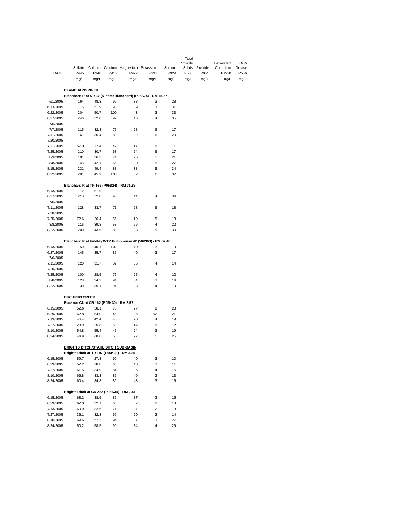|                        |                                                                    |              |           |                                      |                         |          | Total<br>Volatile |          | Hexavalent | Oil &  |
|------------------------|--------------------------------------------------------------------|--------------|-----------|--------------------------------------|-------------------------|----------|-------------------|----------|------------|--------|
|                        | Sulfate                                                            |              |           | Chloride Calcium Magnesium Potassium |                         | Sodium   | Solids            | Fluoride | Chromium   | Grease |
| DATE                   | P945                                                               | P940         | P916      | P927                                 | P937                    | P929     | P505              | P951     | P1220      | P556   |
|                        | mg/L                                                               | mg/L         | mg/L      | mg/L                                 | mg/L                    | mg/L     | mg/L              | mg/L     | ug/L       | mg/L   |
|                        | <b>BLANCHARD RIVER</b>                                             |              |           |                                      |                         |          |                   |          |            |        |
|                        | Blanchard R at SR 37 (N of Mt Blanchard) (P05S74) - RM 75.57       |              |           |                                      |                         |          |                   |          |            |        |
| 6/1/2005               | 164                                                                | 48.3         | 99        | 38                                   | 3                       | 28       |                   |          |            |        |
| 6/13/2005              | 176                                                                | 51.9         | 93        | 39                                   | 3                       | 31       |                   |          |            |        |
| 6/22/2005              | 204                                                                | 50.7         | 100       | 43                                   | 3                       | 33       |                   |          |            |        |
| 6/27/2005              | 246                                                                | 52.0         | 97        | 46                                   | 4                       | 35       |                   |          |            |        |
| 7/6/2005               |                                                                    |              |           |                                      |                         |          |                   |          |            |        |
| 7/7/2005               | 115                                                                | 32.8         | 75        | 28                                   | 6                       | 17       |                   |          |            |        |
| 7/11/2005              | 161                                                                | 36.4         | 80        | 32                                   | 6                       | 20       |                   |          |            |        |
| 7/20/2005              |                                                                    |              |           |                                      |                         |          |                   |          |            |        |
| 7/21/2005              | 57.0                                                               | 22.4         | 49        | 17                                   | 6                       | 11       |                   |          |            |        |
| 7/25/2005              | 110                                                                | 30.7         | 68        | 24                                   | 6                       | 17       |                   |          |            |        |
| 8/3/2005               | 101                                                                | 36.2         | 74        | 26                                   | 5                       | 21       |                   |          |            |        |
| 8/8/2005               | 145                                                                | 42.1         | 65        | 30                                   | 5                       | 27       |                   |          |            |        |
| 8/15/2005<br>8/22/2005 | 231<br>291                                                         | 49.4<br>45.9 | 88<br>103 | 38<br>52                             | 5<br>6                  | 34<br>37 |                   |          |            |        |
|                        |                                                                    |              |           |                                      |                         |          |                   |          |            |        |
|                        | Blanchard R at TR 166 (P05S24) - RM 71.85                          |              |           |                                      |                         |          |                   |          |            |        |
| 6/13/2005              | 172                                                                | 51.9         |           |                                      |                         |          |                   |          |            |        |
| 6/27/2005              | 218                                                                | 52.0         | 95        | 44                                   | 4                       | 34       |                   |          |            |        |
| 7/6/2005               |                                                                    |              |           |                                      |                         |          |                   |          |            |        |
| 7/11/2005              | 128                                                                | 33.7         | 71        | 28                                   | 6                       | 18       |                   |          |            |        |
| 7/20/2005              |                                                                    |              |           |                                      |                         |          |                   |          |            |        |
| 7/25/2005              | 72.6                                                               | 26.4         | 55        | 19                                   | 5                       | 13       |                   |          |            |        |
| 8/8/2005               | 116                                                                | 39.8         | 58        | 26                                   | 4                       | 22       |                   |          |            |        |
| 8/22/2005              | 200                                                                | 43.6         | 88        | 38                                   | 5                       | 30       |                   |          |            |        |
|                        |                                                                    |              |           |                                      |                         |          |                   |          |            |        |
| 6/13/2005              | Blanchard R at Findlay WTP Pumphouse #2 (500360) - RM 62.40<br>150 | 40.1         | 102       | 40                                   | 3                       | 19       |                   |          |            |        |
| 6/27/2005              | 145                                                                | 35.7         | 86        | 40                                   | 3                       | 17       |                   |          |            |        |
| 7/6/2005               |                                                                    |              |           |                                      |                         |          |                   |          |            |        |
| 7/11/2005              | 120                                                                | 31.7         | 87        | 35                                   | 4                       | 14       |                   |          |            |        |
| 7/20/2005              |                                                                    |              |           |                                      |                         |          |                   |          |            |        |
| 7/25/2005              | 100                                                                | 28.5         | 76        | 25                                   | 4                       | 12       |                   |          |            |        |
| 8/8/2005               | 128                                                                | 34.2         | 94        | 34                                   | 3                       | 14       |                   |          |            |        |
| 8/22/2005              | 130                                                                | 35.1         | 91        | 38                                   | 4                       | 19       |                   |          |            |        |
|                        |                                                                    |              |           |                                      |                         |          |                   |          |            |        |
|                        | <b>BUCKRUN CREEK</b>                                               |              |           |                                      |                         |          |                   |          |            |        |
| 6/15/2005              | Buckrun Ck at CR 162 (P05K30) - RM 3.57<br>52.6                    | 58.1         | 75        | 27                                   | $\overline{2}$          | 28       |                   |          |            |        |
| 6/29/2005              | 62.8                                                               | 54.0         | 46        | 26                                   | $2$                     | 21       |                   |          |            |        |
| 7/13/2005              | 46.4                                                               | 42.4         | 45        | 20                                   | 4                       | 19       |                   |          |            |        |
| 7/27/2005              | 28.9                                                               | 25.8         | 50        | 14                                   | 5                       | 12       |                   |          |            |        |
| 8/10/2005              | 54.8                                                               | 55.4         | 45        | 24                                   | 3                       | 19       |                   |          |            |        |
| 8/24/2005              | 44.9                                                               | 68.0         | 53        | 27                                   | 5                       | 25       |                   |          |            |        |
|                        |                                                                    |              |           |                                      |                         |          |                   |          |            |        |
|                        | <b>BRIGHTS DITCH/STAHL DITCH SUB-BASIN</b>                         |              |           |                                      |                         |          |                   |          |            |        |
|                        | Brights Ditch at TR 197 (P05K33) - RM 3.85                         |              |           |                                      |                         |          |                   |          |            |        |
| 6/15/2005              | 59.7                                                               | 27.3         | 90        | 40                                   | 3                       | 10       |                   |          |            |        |
| 6/29/2005              | 52.2<br>61.5                                                       | 28.0         | 66        | 40                                   | 3<br>4                  | 11       |                   |          |            |        |
| 7/27/2005<br>8/10/2005 | 66.8                                                               | 34.9<br>33.3 | 84<br>86  | 36<br>40                             | 2                       | 15<br>13 |                   |          |            |        |
| 8/24/2005              | 60.4                                                               | 34.8         | 89        | 43                                   | 3                       | 16       |                   |          |            |        |
|                        |                                                                    |              |           |                                      |                         |          |                   |          |            |        |
|                        | Brights Ditch at CR 252 (P05K34) - RM 2.41                         |              |           |                                      |                         |          |                   |          |            |        |
| 6/15/2005              | 68.2                                                               | 38.6         | 86        | 37                                   | $\overline{\mathbf{c}}$ | 15       |                   |          |            |        |
| 6/29/2005              | 62.0                                                               | 32.1         | 63        | 37                                   | $\overline{\mathbf{c}}$ | 13       |                   |          |            |        |
| 7/13/2005              | 60.9                                                               | 32.6         | 71        | 37                                   | $\overline{\mathbf{c}}$ | 13       |                   |          |            |        |
| 7/27/2005              | 36.1                                                               | 32.8         | 69        | 20                                   | 3                       | 14       |                   |          |            |        |
| 8/10/2005              | 69.6                                                               | 57.3         | 94        | 37                                   | 3                       | 27       |                   |          |            |        |
| 8/24/2005              | 50.2                                                               | 58.5         | 90        | 34                                   | 4                       | 29       |                   |          |            |        |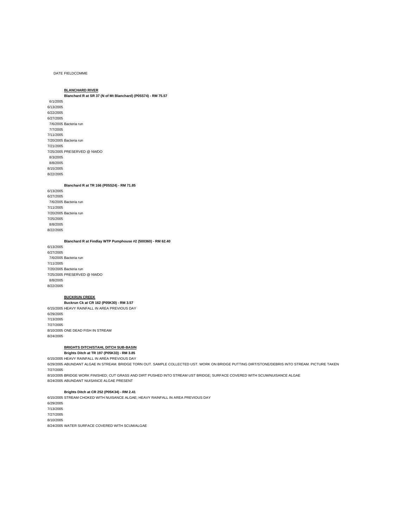### **BLANCHARD RIVER**

**Blanchard R at SR 37 (N of Mt Blanchard) (P05S74) - RM 75.57** 6/1/2005 6/13/2005 6/22/2005 6/27/2005 7/6/2005 Bacteria run 7/7/2005 7/11/2005 7/20/2005 Bacteria run 7/21/2005 7/25/2005 PRESERVED @ NWDO 8/3/2005 8/8/2005 8/15/2005 8/22/2005

## **Blanchard R at TR 166 (P05S24) - RM 71.85**

6/13/2005 6/27/2005 7/6/2005 Bacteria run 7/11/2005 7/20/2005 Bacteria run 7/25/2005 8/8/2005 8/22/2005

## **Blanchard R at Findlay WTP Pumphouse #2 (500360) - RM 62.40**

6/13/2005 6/27/2005 7/6/2005 Bacteria run 7/11/2005 7/20/2005 Bacteria run 7/25/2005 PRESERVED @ NWDO 8/8/2005 8/22/2005

## **BUCKRUN CREEK**

**Buckrun Ck at CR 162 (P05K30) - RM 3.57** 6/15/2005 HEAVY RAINFALL IN AREA PREVIOUS DAY 6/29/2005 7/13/2005 7/27/2005 8/10/2005 ONE DEAD FISH IN STREAM 8/24/2005

## **BRIGHTS DITCH/STAHL DITCH SUB-BASIN**

**Brights Ditch at TR 197 (P05K33) - RM 3.85** 6/15/2005 HEAVY RAINFALL IN AREA PREVIOUS DAY

6/29/2005 ABUNDANT ALGAE IN STREAM. BRIDGE TORN OUT. SAMPLE COLLECTED UST. WORK ON BRIDGE PUTTING DIRT/STONE/DEBRIS INTO STREAM. PICTURE TAKEN 7/27/2005

8/10/2005 BRIDGE WORK FINISHED; CUT GRASS AND DIRT PUSHED INTO STREAM UST BRIDGE; SURFACE COVERED WITH SCUM/NUISANCE ALGAE 8/24/2005 ABUNDANT NUISANCE ALGAE PRESENT

## **Brights Ditch at CR 252 (P05K34) - RM 2.41**

6/15/2005 STREAM CHOKED WITH NUISANCE ALGAE; HEAVY RAINFALL IN AREA PREVIOUS DAY 6/29/2005 7/13/2005 7/27/2005 8/10/2005 8/24/2005 WATER SURFACE COVERED WITH SCUM/ALGAE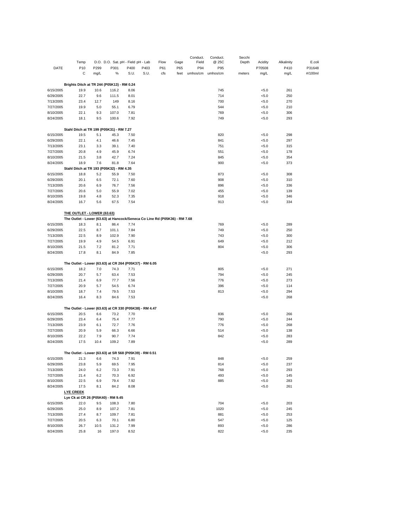|           |                            |      |                                                                            |      |      |      |      | Conduct. | Conduct. | Secchi |         |            |         |
|-----------|----------------------------|------|----------------------------------------------------------------------------|------|------|------|------|----------|----------|--------|---------|------------|---------|
|           | Temp                       |      | D.O. D.O. Sat. pH - Field pH - Lab                                         |      |      | Flow | Gage | Field    | @ 25C    | Depth  | Acidity | Alkalinity | E.coli  |
| DATE      | P <sub>10</sub>            | P299 | P301                                                                       | P400 | P403 | P61  | P65  | P94      | P95      |        | P70508  | P410       | P31648  |
|           | C                          | mg/L | %                                                                          | S.U. | S.U. | cfs  | feet | umhos/cm | umhos/cm | meters | mg/L    | mg/L       | #/100ml |
|           |                            |      |                                                                            |      |      |      |      |          |          |        |         |            |         |
|           |                            |      | Brights Ditch at TR 244 (P05K13) - RM 0.24                                 |      |      |      |      |          |          |        |         |            |         |
| 6/15/2005 | 19.9                       | 10.6 | 116.2                                                                      | 8.06 |      |      |      |          | 745      |        | < 5.0   | 261        |         |
| 6/29/2005 | 22.7                       | 9.6  | 111.5                                                                      | 8.01 |      |      |      |          | 714      |        | < 5.0   | 250        |         |
|           |                            |      |                                                                            |      |      |      |      |          |          |        |         |            |         |
| 7/13/2005 | 23.4                       | 12.7 | 149                                                                        | 8.16 |      |      |      |          | 700      |        | < 5.0   | 270        |         |
| 7/27/2005 | 19.9                       | 5.0  | 55.1                                                                       | 6.79 |      |      |      |          | 544      |        | < 5.0   | 210        |         |
| 8/10/2005 | 22.1                       | 9.3  | 107.0                                                                      | 7.81 |      |      |      |          | 769      |        | < 5.0   | 306        |         |
| 8/24/2005 | 18.1                       | 9.5  | 100.6                                                                      | 7.92 |      |      |      |          | 749      |        | < 5.0   | 293        |         |
|           |                            |      |                                                                            |      |      |      |      |          |          |        |         |            |         |
|           |                            |      | Stahl Ditch at TR 199 (P05K31) - RM 7.27                                   |      |      |      |      |          |          |        |         |            |         |
| 6/15/2005 | 19.5                       | 5.1  | 45.3                                                                       | 7.50 |      |      |      |          | 820      |        | < 5.0   | 298        |         |
| 6/29/2005 | 22.1                       | 4.1  | 46.6                                                                       | 7.45 |      |      |      |          | 841      |        | < 5.0   | 297        |         |
| 7/13/2005 | 23.1                       | 3.3  | 39.1                                                                       | 7.40 |      |      |      |          | 751      |        | < 5.0   | 315        |         |
| 7/27/2005 | 20.8                       | 4.9  | 45.9                                                                       | 6.74 |      |      |      |          | 551      |        | < 5.0   | 178        |         |
| 8/10/2005 | 21.5                       | 3.8  | 42.7                                                                       | 7.24 |      |      |      |          | 845      |        | < 5.0   | 354        |         |
| 8/24/2005 | 18.9                       | 7.6  | 81.8                                                                       | 7.64 |      |      |      |          | 900      |        | < 5.0   | 373        |         |
|           |                            |      |                                                                            |      |      |      |      |          |          |        |         |            |         |
|           |                            |      | Stahl Ditch at TR 193 (P05K32) - RM 4.35                                   |      |      |      |      |          |          |        |         |            |         |
| 6/15/2005 | 18.8                       | 5.2  | 55.9                                                                       | 7.50 |      |      |      |          | 873      |        | < 5.0   | 308        |         |
| 6/29/2005 | 20.1                       | 6.5  | 72.1                                                                       | 7.60 |      |      |      |          | 908      |        | < 5.0   | 310        |         |
| 7/13/2005 | 20.6                       | 6.9  | 76.7                                                                       | 7.56 |      |      |      |          | 896      |        | < 5.0   | 336        |         |
| 7/27/2005 | 20.6                       | 5.0  | 55.9                                                                       | 7.02 |      |      |      |          | 455      |        | < 5.0   | 139        |         |
| 8/10/2005 | 19.8                       | 4.8  | 52.3                                                                       | 7.35 |      |      |      |          | 918      |        | < 5.0   | 346        |         |
| 8/24/2005 | 16.7                       | 5.6  | 67.5                                                                       | 7.54 |      |      |      |          | 913      |        | < 5.0   | 334        |         |
|           |                            |      |                                                                            |      |      |      |      |          |          |        |         |            |         |
|           | THE OUTLET - LOWER (63.63) |      |                                                                            |      |      |      |      |          |          |        |         |            |         |
|           |                            |      | The Outlet - Lower (63.63) at Hancock/Seneca Co Line Rd (P05K36) - RM 7.68 |      |      |      |      |          |          |        |         |            |         |
| 6/15/2005 | 18.3                       | 8.1  | 86.4                                                                       | 7.74 |      |      |      |          | 769      |        | < 5.0   | 289        |         |
| 6/29/2005 | 22.5                       | 8.7  | 101.1                                                                      | 7.84 |      |      |      |          | 749      |        | < 5.0   | 250        |         |
| 7/13/2005 | 22.5                       | 8.9  | 102.9                                                                      | 7.90 |      |      |      |          | 743      |        | < 5.0   | 300        |         |
| 7/27/2005 | 19.9                       | 4.9  | 54.5                                                                       | 6.91 |      |      |      |          | 649      |        | < 5.0   |            |         |
|           |                            |      |                                                                            |      |      |      |      |          |          |        |         | 212        |         |
| 8/10/2005 | 21.5                       | 7.2  | 81.2                                                                       | 7.71 |      |      |      |          | 804      |        | < 5.0   | 306        |         |
| 8/24/2005 | 17.8                       | 8.1  | 84.9                                                                       | 7.85 |      |      |      |          |          |        | < 5.0   | 293        |         |
|           |                            |      |                                                                            |      |      |      |      |          |          |        |         |            |         |
|           |                            |      | The Outlet - Lower (63.63) at CR 264 (P05K37) - RM 6.05                    |      |      |      |      |          |          |        |         |            |         |
| 6/15/2005 | 18.2                       | 7.0  | 74.3                                                                       | 7.71 |      |      |      |          | 805      |        | < 5.0   | 271        |         |
| 6/29/2005 | 20.7                       | 5.7  | 63.4                                                                       | 7.53 |      |      |      |          | 794      |        | < 5.0   | 245        |         |
| 7/13/2005 | 21.4                       | 6.9  | 77.7                                                                       | 7.56 |      |      |      |          | 776      |        | < 5.0   | 273        |         |
| 7/27/2005 | 20.9                       | 5.7  | 54.5                                                                       | 6.74 |      |      |      |          | 396      |        | < 5.0   | 114        |         |
| 8/10/2005 | 18.7                       | 7.4  | 79.5                                                                       | 7.53 |      |      |      |          | 813      |        | < 5.0   | 294        |         |
| 8/24/2005 | 16.4                       | 8.3  | 84.6                                                                       | 7.53 |      |      |      |          |          |        | < 5.0   | 268        |         |
|           |                            |      |                                                                            |      |      |      |      |          |          |        |         |            |         |
|           |                            |      | The Outlet - Lower (63.63) at CR 330 (P05K38) - RM 4.47                    |      |      |      |      |          |          |        |         |            |         |
| 6/15/2005 | 20.5                       | 6.6  | 73.2                                                                       | 7.70 |      |      |      |          | 836      |        | < 5.0   | 266        |         |
| 6/29/2005 | 23.4                       | 6.4  | 75.4                                                                       | 7.77 |      |      |      |          | 790      |        | < 5.0   | 244        |         |
| 7/13/2005 | 23.9                       | 6.1  | 72.7                                                                       | 7.76 |      |      |      |          | 776      |        | < 5.0   | 268        |         |
| 7/27/2005 | 20.9                       | 5.9  | 66.3                                                                       | 6.66 |      |      |      |          | 514      |        | < 5.0   | 138        |         |
|           |                            |      |                                                                            |      |      |      |      |          |          |        |         |            |         |
| 8/10/2005 | 22.2                       | 7.9  | 90.7                                                                       | 7.74 |      |      |      |          | 842      |        | < 5.0   | 283        |         |
| 8/24/2005 | 17.5                       | 10.4 | 109.2                                                                      | 7.89 |      |      |      |          |          |        | < 5.0   | 289        |         |
|           |                            |      |                                                                            |      |      |      |      |          |          |        |         |            |         |
|           |                            |      | The Outlet - Lower (63.63) at SR 568 (P05K39) - RM 0.51                    |      |      |      |      |          |          |        |         |            |         |
| 6/15/2005 | 21.3                       | 6.6  | 74.3                                                                       | 7.91 |      |      |      |          | 848      |        | < 5.0   | 259        |         |
| 6/29/2005 | 23.8                       | 5.9  | 69.5                                                                       | 7.95 |      |      |      |          | 814      |        | < 5.0   | 237        |         |
| 7/13/2005 | 24.0                       | 6.2  | 73.3                                                                       | 7.91 |      |      |      |          | 768      |        | < 5.0   | 293        |         |
| 7/27/2005 | 21.4                       | 6.2  | 70.3                                                                       | 6.92 |      |      |      |          | 493      |        | < 5.0   | 145        |         |
| 8/10/2005 | 22.5                       | 6.9  | 79.4                                                                       | 7.92 |      |      |      |          | 885      |        | < 5.0   | 283        |         |
| 8/24/2005 | 17.5                       | 8.1  | 84.2                                                                       | 8.08 |      |      |      |          |          |        | < 5.0   | 261        |         |
|           | <b>LYE CREEK</b>           |      |                                                                            |      |      |      |      |          |          |        |         |            |         |
|           |                            |      | Lye Ck at CR 26 (P05K40) - RM 9.45                                         |      |      |      |      |          |          |        |         |            |         |
| 6/15/2005 | 22.0                       | 9.5  | 108.3                                                                      | 7.80 |      |      |      |          | 704      |        | < 5.0   | 203        |         |
|           |                            |      |                                                                            |      |      |      |      |          |          |        |         |            |         |
| 6/29/2005 | 25.0                       | 8.9  | 107.2                                                                      | 7.81 |      |      |      |          | 1020     |        | < 5.0   | 245        |         |
| 7/13/2005 | 27.4                       | 8.7  | 109.7                                                                      | 7.81 |      |      |      |          | 881      |        | 5.0     | 253        |         |
| 7/27/2005 | 20.5                       | 6.3  | 70.1                                                                       | 6.80 |      |      |      |          | 547      |        | < 5.0   | 125        |         |
| 8/10/2005 | 26.7                       | 10.5 | 131.2                                                                      | 7.99 |      |      |      |          | 893      |        | < 5.0   | 286        |         |
| 8/24/2005 | 25.8                       | 16   | 197.0                                                                      | 8.52 |      |      |      |          | 822      |        | < 5.0   | 235        |         |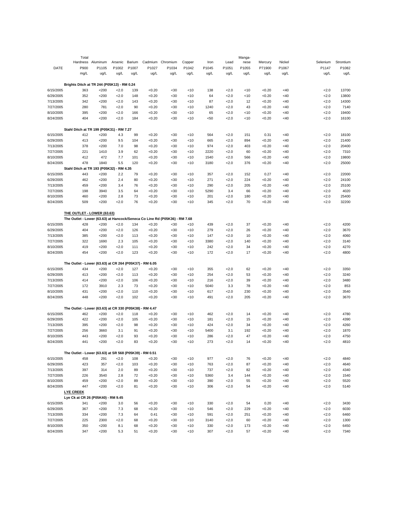|           | Total                                                                      |          |           |        |        |                  |        |       |       | Manga- |         |        |          |           |
|-----------|----------------------------------------------------------------------------|----------|-----------|--------|--------|------------------|--------|-------|-------|--------|---------|--------|----------|-----------|
|           | Hardness                                                                   | Aluminum | Arsenic   | Barium |        | Cadmium Chromium | Copper | Iron  | Lead  | nese   | Mercury | Nickel | Selenium | Strontium |
| DATE      | P900                                                                       | P1105    | P1002     | P1007  | P1027  | P1034            | P1042  | P1045 | P1051 | P1055  | P71900  | P1067  | P1147    | P1082     |
|           | mg/L                                                                       | ug/L     | ug/L      | ug/L   | ug/L   | ug/L             | ug/L   | ug/L  | ug/L  | ug/L   | ug/L    | ug/L   | ug/L     | ug/L      |
|           | Brights Ditch at TR 244 (P05K13) - RM 0.24                                 |          |           |        |        |                  |        |       |       |        |         |        |          |           |
| 6/15/2005 | 363                                                                        | $<$ 200  | 2.0       | 139    | <0.20  | $30$             | <10    | 138   | 2.0   | <10    | <0.20   | <40    | 2.0      | 13700     |
| 6/29/2005 | 352                                                                        | 200      | 2.0       | 148    | < 0.20 | $30$             | < 10   | 64    | 2.0   | < 10   | <0.20   | $<$ 40 | 2.0      | 13800     |
| 7/13/2005 | 342                                                                        | 200      | 2.0       | 143    | < 0.20 | $30$             | < 10   | 87    | 2.0   | 12     | <0.20   | <40    | 2.0      | 14300     |
| 7/27/2005 | 280                                                                        | 781      | 2.0       | 90     | <0.20  | $30$             | < 10   | 1240  | 2.0   | 43     | <0.20   | <40    | 2.0      | 7140      |
| 8/10/2005 | 395                                                                        | $200$    | 2.0       | 166    | <0.20  | $30$             | < 10   | 65    | 2.0   | < 10   | <0.20   | <40    | 2.0      | 19400     |
| 8/24/2005 | 404                                                                        | $200$    | 2.0       | 184    | <0.20  | <30              | <10    | <50   | 2.0   | < 10   | <0.20   | $<$ 40 | 2.0      | 16100     |
|           |                                                                            |          |           |        |        |                  |        |       |       |        |         |        |          |           |
| 6/15/2005 | Stahl Ditch at TR 199 (P05K31) - RM 7.27<br>412                            | $200$    | 4.3       | 99     | < 0.20 | $30$             | < 10   | 564   | 2.0   | 151    | 0.31    | <40    | 2.0      | 18100     |
| 6/29/2005 | 413                                                                        | $<$ 200  | 9.5       | 104    | <0.20  | $30$             | < 10   | 665   | 2.0   | 894    | <0.20   | <40    | 2.0      | 21400     |
| 7/13/2005 | 378                                                                        | $200$    | 7.0       | 98     | <0.20  | <30              | <10    | 974   | 2.0   | 403    | <0.20   | <40    | 2.0      | 20400     |
| 7/27/2005 | 221                                                                        | 1410     | 3.9       | 62     | < 0.20 | $30$             | < 10   | 2220  | 2.0   | 60     | <0.20   | $<$ 40 | 2.0      | 7310      |
| 8/10/2005 | 412                                                                        | 472      | 7.7       | 101    | <0.20  | $30$             | < 10   | 1540  | 2.0   | 566    | <0.20   | <40    | 2.0      | 19800     |
| 8/24/2005 | 478                                                                        | 1840     | 5.5       | 120    | <0.20  | $30$             | < 10   | 3180  | 2.0   | 376    | <0.20   | $<$ 40 | 2.0      | 25000     |
|           | Stahl Ditch at TR 193 (P05K32)                                             |          | - RM 4.35 |        |        |                  |        |       |       |        |         |        |          |           |
| 6/15/2005 | 443                                                                        | $200$    | 2.2       | 79     | <0.20  | $30$             | <10    | 357   | 2.0   | 152    | 0.27    | <40    | 2.0      | 22000     |
| 6/29/2005 | 462                                                                        | < 200    | 2.4       | 80     | < 0.20 | $30$             | < 10   | 271   | 2.0   | 224    | <0.20   | <40    | 2.0      | 24100     |
| 7/13/2005 | 459                                                                        | 200      | 3.4       | 76     | < 0.20 | $30$             | < 10   | 290   | 2.0   | 205    | <0.20   | <40    | 2.0      | 25100     |
| 7/27/2005 | 198                                                                        | 3940     | 3.5       | 64     | <0.20  | $30$             | < 10   | 5290  | 3.4   | 66     | <0.20   | <40    | 2.0      | 4020      |
| 8/10/2005 | 460                                                                        | 200      | 2.8       | 73     | <0.20  | $30$             | < 10   | 201   | 2.0   | 180    | <0.20   | <40    | 2.0      | 25400     |
| 8/24/2005 | 509                                                                        | $200$    | 2.0       | 76     | <0.20  | $30$             | <10    | 345   | 2.0   | 70     | <0.20   | $<$ 40 | 2.0      | 32200     |
|           | THE OUTLET - LOWER (63.63)                                                 |          |           |        |        |                  |        |       |       |        |         |        |          |           |
|           | The Outlet - Lower (63.63) at Hancock/Seneca Co Line Rd (P05K36) - RM 7.68 |          |           |        |        |                  |        |       |       |        |         |        |          |           |
| 6/15/2005 | 428                                                                        | $200$    | 2.0       | 134    | <0.20  | $30$             | < 10   | 439   | 2.0   | 37     | <0.20   | <40    | 2.0      | 4200      |
| 6/29/2005 | 404                                                                        | $200$    | 2.0       | 126    | <0.20  | <30              | ~10    | 279   | 2.0   | 26     | <0.20   | <40    | 2.0      | 3670      |
| 7/13/2005 | 385                                                                        | 200      | 2.0       | 113    | < 0.20 | $30$             | < 10   | 147   | 2.0   | 10     | <0.20   | $<$ 40 | 2.0      | 4060      |
| 7/27/2005 | 322                                                                        | 1690     | 2.3       | 105    | < 0.20 | $30$             | < 10   | 3380  | 2.0   | 140    | <0.20   | $<$ 40 | 2.0      | 3140      |
| 8/10/2005 | 419                                                                        | $<$ 200  | 2.0       | 111    | <0.20  | $30$             | < 10   | 242   | 2.0   | 34     | <0.20   | $<$ 40 | 2.0      | 4270      |
| 8/24/2005 | 454                                                                        | $200$    | 2.0       | 123    | <0.20  | $30$             | < 10   | 172   | 2.0   | 17     | <0.20   | $<$ 40 | 2.0      | 4800      |
|           | The Outlet - Lower (63.63) at CR 264 (P05K37) - RM 6.05                    |          |           |        |        |                  |        |       |       |        |         |        |          |           |
| 6/15/2005 | 434                                                                        | 200      | 2.0       | 127    | <0.20  | $30$             | < 10   | 355   | 2.0   | 62     | <0.20   | <40    | 2.0      | 3350      |
| 6/29/2005 | 413                                                                        | $<$ 200  | 2.0       | 113    | < 0.20 | $30$             | <10    | 254   | 2.0   | 53     | <0.20   | $<$ 40 | 2.0      | 3240      |
| 7/13/2005 | 414                                                                        | $200$    | 2.0       | 106    | < 0.20 | $30$             | < 10   | 216   | 2.0   | 39     | <0.20   | <40    | 2.0      | 3480      |
| 7/27/2005 | 172                                                                        | 3910     | 2.3       | 73     | <0.20  | <30              | $<$ 10 | 5040  | 3.3   | 78     | <0.20   | <40    | 2.0      | 853       |
| 8/10/2005 | 431                                                                        | 200      | 2.0       | 110    | < 0.20 | $30$             | < 10   | 617   | 2.0   | 230    | <0.20   | $<$ 40 | 2.0      | 3540      |
| 8/24/2005 | 448                                                                        | 200      | 2.0       | 102    | <0.20  | $30$             | < 10   | 491   | 2.0   | 205    | <0.20   | $<$ 40 | 2.0      | 3670      |
|           | The Outlet - Lower (63.63) at CR 330 (P05K38) - RM 4.47                    |          |           |        |        |                  |        |       |       |        |         |        |          |           |
| 6/15/2005 | 462                                                                        | $200$    | 2.0       | 118    | <0.20  | $30$             | <10    | 462   | 2.0   | 14     | <0.20   | <40    | 2.0      | 4780      |
| 6/29/2005 | 422                                                                        | < 200    | 2.0       | 105    | < 0.20 | $30$             | < 10   | 181   | 2.0   | 15     | <0.20   | $<$ 40 | 2.0      | 4390      |
| 7/13/2005 | 395                                                                        | 200      | 2.0       | 98     | < 0.20 | $30$             | < 10   | 424   | 2.0   | 34     | <0.20   | <40    | 2.0      | 4260      |
| 7/27/2005 | 256                                                                        | 3660     | 3.1       | 91     | < 0.20 | $30$             | < 10   | 5400  | 3.1   | 192    | <0.20   | <40    | 2.0      | 1870      |
| 8/10/2005 | 443                                                                        | $200$    | 2.0       | 93     | <0.20  | $30$             | < 10   | 286   | 2.0   | 47     | <0.20   | <40    | 2.0      | 4750      |
| 8/24/2005 | 441                                                                        | $200$    | 2.0       | 83     | <0.20  | $30$             | $<$ 10 | 273   | 2.0   | 14     | <0.20   | $<$ 40 | 2.0      | 4810      |
|           | The Outlet - Lower (63.63) at SR 568 (P05K39) - RM 0.51                    |          |           |        |        |                  |        |       |       |        |         |        |          |           |
| 6/15/2005 | 458                                                                        | 291      | 2.0       | 108    | < 0.20 | $30$             | <10    | 977   | 2.0   | 76     | <0.20   | <40    | 2.0      | 4840      |
| 6/29/2005 | 423                                                                        | 357      | 2.0       | 103    | <0.20  | $30$             | <10    | 763   | 2.0   | 87     | <0.20   | <40    | 2.0      | 4640      |
| 7/13/2005 | 397                                                                        | 314      | 2.0       | 89     | <0.20  | $30$             | <10    | 737   | 2.0   | 82     | <0.20   | <40    | 2.0      | 4340      |
| 7/27/2005 | 226                                                                        | 3540     | 2.8       | 72     | <0.20  | $30$             | $<$ 10 | 5360  | 3.4   | 144    | <0.20   | <40    | 2.0      | 1540      |
| 8/10/2005 | 459                                                                        | $200$    | 2.0       | 89     | <0.20  | $30$             | <10    | 390   | 2.0   | 55     | <0.20   | <40    | 2.0      | 5520      |
| 8/24/2005 | 447                                                                        | $<$ 200  | 2.0       | 81     | <0.20  | $30$             | <10    | 306   | 2.0   | 54     | <0.20   | <40    | 2.0      | 5140      |
|           | <b>LYE CREEK</b><br>Lye Ck at CR 26 (P05K40) - RM 9.45                     |          |           |        |        |                  |        |       |       |        |         |        |          |           |
| 6/15/2005 | 341                                                                        | $200$    | 3.0       | 56     | <0.20  | $30$             | ~10    | 330   | 2.0   | 54     | 0.20    | <40    | 2.0      | 3430      |
| 6/29/2005 | 367                                                                        | $<$ 200  | 7.3       | 68     | <0.20  | $30$             | <10    | 546   | 2.0   | 229    | <0.20   | <40    | 2.0      | 6030      |
| 7/13/2005 | 334                                                                        | $<$ 200  | 7.3       | 64     | 0.41   | $30$             | <10    | 591   | 2.0   | 251    | <0.20   | <40    | 2.0      | 6460      |
| 7/27/2005 | 225                                                                        | 2300     | 2.0       | 68     | <0.20  | $30$             | <10    | 3140  | 2.0   | 60     | <0.20   | <40    | 2.0      | 1300      |
| 8/10/2005 | 350                                                                        | $200$    | 8.1       | 68     | <0.20  | $30$             | <10    | 330   | 2.0   | 173    | <0.20   | <40    | 2.0      | 6450      |
| 8/24/2005 | 347                                                                        | $200$    | 5.3       | 51     | <0.20  | $30$             | <10    | 307   | 2.0   | 57     | <0.20   | <40    | 2.0      | 7340      |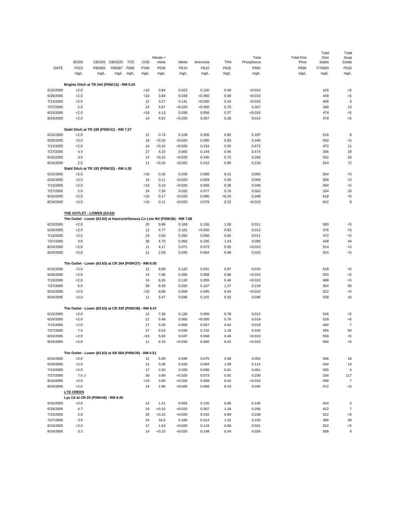|           |                                                                            |        |              |            |        |                      |         |         |            |                     |                           | Total          | Total            |
|-----------|----------------------------------------------------------------------------|--------|--------------|------------|--------|----------------------|---------|---------|------------|---------------------|---------------------------|----------------|------------------|
|           | BOD <sub>5</sub>                                                           |        | CBOD5 CBOD20 | <b>TOC</b> | COD    | Nitrate +<br>nitrite | Nitrite | Ammonia | <b>TKN</b> | Total<br>Phosphorus | <b>Total Diss</b><br>Phos | Diss<br>Solids | Susp<br>Solids   |
| DATE      | P310                                                                       |        |              | P680       | P340   | P630                 | P615    | P610    | P625       | P665                | P666                      | P70300         | P530             |
|           |                                                                            | P80082 | P80087       |            |        |                      |         |         |            |                     |                           |                |                  |
|           | mg/L                                                                       | mg/L   |              | mg/L mg/L  | mg/L   | mg/L                 | mg/L    | mg/L    | mg/L       | mg/L                | mg/L                      | mg/L           | mg/L             |
|           |                                                                            |        |              |            |        |                      |         |         |            |                     |                           |                |                  |
|           | Brights Ditch at TR 244 (P05K13) - RM 0.24                                 |        |              |            |        |                      |         |         |            |                     |                           |                |                  |
| 6/15/2005 | 2.0                                                                        |        |              |            | < 10   | 3.84                 | 0.023   | 0.100   | 0.49       | < 0.010             |                           | 416            | $<$ 5            |
| 6/29/2005 | 2.0                                                                        |        |              |            | $<10$  | 3.84                 | 0.038   | < 0.050 | 0.58       | < 0.010             |                           | 448            | $5$              |
| 7/13/2005 | 2.0                                                                        |        |              |            | 12     | 3.27                 | 0.141   | < 0.050 | 0.43       | < 0.010             |                           | 406            | 5                |
| 7/27/2005 | 2.0                                                                        |        |              |            | 24     | 4.97                 | <0.020  | < 0.050 | 0.70       | 0.057               |                           | 348            | 13               |
| 8/10/2005 | 2.0                                                                        |        |              |            | <10    | 4.13                 | 0.038   | 0.058   | 0.37       | < 0.010             |                           | 474            | $< 5$            |
| 8/24/2005 | 2.0                                                                        |        |              |            | 14     | 4.91                 | < 0.020 | 0.057   | 0.28       | 0.014               |                           | 478            | $<$ 5            |
|           |                                                                            |        |              |            |        |                      |         |         |            |                     |                           |                |                  |
|           | Stahl Ditch at TR 199 (P05K31) - RM 7.27                                   |        |              |            |        |                      |         |         |            |                     |                           |                |                  |
| 6/15/2005 | 2.0                                                                        |        |              |            | 12     | 0.74                 | 0.108   | 0.355   | 0.82       | 0.187               |                           | 516            | 6                |
| 6/29/2005 | 2.0                                                                        |        |              |            | 18     | < 0.10               | < 0.020 | 0.095   | 0.83       | 0.340               |                           | 550            | $5$              |
| 7/13/2005 | 2.0                                                                        |        |              |            | 14     | < 0.10               | < 0.020 | 0.154   | 0.55       | 0.672               |                           | 470            | 11               |
| 7/27/2005 | 4.4                                                                        |        |              |            | 27     | 4.23                 | 0.065   | 0.144   | 0.94       | 0.474               |                           | 346            | 29               |
| 8/10/2005 | 3.5                                                                        |        |              |            | 14     | < 0.10               | < 0.020 | 0.430   | 0.75       | 0.269               |                           | 532            | 26               |
| 8/24/2005 | 2.5                                                                        |        |              |            | 11     | < 0.10               | <0.020  | 0.412   | 0.85       | 0.216               |                           | 614            | 72               |
|           |                                                                            |        |              |            |        |                      |         |         |            |                     |                           |                |                  |
|           | Stahl Ditch at TR 193 (P05K32) - RM 4.35                                   |        |              |            |        |                      |         |         |            |                     |                           |                |                  |
| 6/15/2005 | 2.0                                                                        |        |              |            | < 10   | 0.30                 | 0.039   | 0.085   | 0.41       | 0.050               |                           | 564            | $<$ 5            |
| 6/29/2005 | 2.0                                                                        |        |              |            | 15     | 0.11                 | < 0.020 | 0.059   | 0.56       | 0.059               |                           | 608            | $5$              |
| 7/13/2005 | 2.0                                                                        |        |              |            | <10    | 0.10                 | < 0.020 | 0.056   | 0.36       | 0.049               |                           | 594            | $5$              |
| 7/27/2005 | 2.9                                                                        |        |              |            | 24     | 7.56                 | 0.032   | 0.077   | 0.76       | 0.503               |                           | 334            | 33               |
| 8/10/2005 | 2.0                                                                        |        |              |            | $<$ 10 | 0.17                 | <0.020  | 0.086   | < 0.20     | 0.048               |                           | 618            | $< 5$            |
| 8/24/2005 | 2.0                                                                        |        |              |            | <10    | 0.11                 | < 0.020 | 0.079   | 0.22       | < 0.010             |                           | 642            | 8                |
|           |                                                                            |        |              |            |        |                      |         |         |            |                     |                           |                |                  |
|           | THE OUTLET - LOWER (63.63)                                                 |        |              |            |        |                      |         |         |            |                     |                           |                |                  |
|           | The Outlet - Lower (63.63) at Hancock/Seneca Co Line Rd (P05K36) - RM 7.68 |        |              |            |        |                      |         |         |            |                     |                           |                |                  |
| 6/15/2005 | 2.0                                                                        |        |              |            | 20     | 5.88                 | 0.169   | 0.156   | 1.00       | 0.011               |                           | 500            | $5$              |
| 6/29/2005 | 2.0                                                                        |        |              |            | 12     | 4.77                 | 0.161   | < 0.050 | 0.83       | 0.013               |                           | 476            | $5$              |
| 7/13/2005 | 2.0                                                                        |        |              |            | 23     | 3.93                 | 0.282   | 0.056   | 0.65       | 0.011               |                           | 472            | $5$              |
| 7/27/2005 | 4.8                                                                        |        |              |            | 30     | 4.70                 | 0.050   | 0.335   | 1.43       | 0.095               |                           | 448            | 44               |
| 8/10/2005 | 2.0                                                                        |        |              |            | 11     | 4.17                 | 0.071   | 0.073   | 0.55       | <0.010              |                           | 514            | <5               |
|           |                                                                            |        |              |            | 11     |                      |         |         |            |                     |                           |                |                  |
| 8/24/2005 | 2.0                                                                        |        |              |            |        | 2.59                 | 0.045   | 0.064   | 0.48       | 0.025               |                           | 524            | $5$              |
|           |                                                                            |        |              |            |        |                      |         |         |            |                     |                           |                |                  |
|           | The Outlet - Lower (63.63) at CR 264 (P05K37) - RM 6.05                    |        |              |            |        |                      |         |         |            |                     |                           |                |                  |
| 6/15/2005 | 2.0                                                                        |        |              |            | 12     | 8.89                 | 0.125   | 0.091   | 0.87       | 0.015               |                           | 518            | $<$ 5            |
| 6/29/2005 | 2.0                                                                        |        |              |            | 15     | 7.96                 | 0.090   | 0.058   | 0.96       | < 0.010             |                           | 520            | $<$ 5            |
| 7/13/2005 | 2.0                                                                        |        |              |            | 14     | 6.35                 | 0.110   | 0.055   | 0.46       | < 0.010             |                           | 488            | $< 5$            |
| 7/27/2005 | 6.6                                                                        |        |              |            | 30     | 8.29                 | 0.032   | 0.107   | 1.27       | 0.218               |                           | 304            | 60               |
| 8/10/2005 | 2.0                                                                        |        |              |            | <10    | 6.96                 | 0.069   | 0.095   | 0.44       | < 0.010             |                           | 522            | $5$              |
| 8/24/2005 | 2.0                                                                        |        |              |            | 11     | 5.47                 | 0.046   | 0.101   | 0.42       | 0.040               |                           | 528            | 10               |
|           |                                                                            |        |              |            |        |                      |         |         |            |                     |                           |                |                  |
|           | The Outlet - Lower (63.63) at CR 330 (P05K38) - RM 4.47                    |        |              |            |        |                      |         |         |            |                     |                           |                |                  |
| 6/15/2005 | 2.0                                                                        |        |              |            | 12     | 7.36                 | 0.126   | 0.056   | 0.79       | 0.012               |                           | 546            | $<$ 5            |
| 6/29/2005 | 2.0                                                                        |        |              |            | 21     | 5.48                 | 0.060   | < 0.050 | 0.76       | 0.019               |                           | 528            | $< 5$            |
| 7/13/2005 | 2.0                                                                        |        |              |            | 17     | 5.58                 | 0.060   | 0.057   | 0.64       | 0.018               |                           | 492            | $\overline{7}$   |
| 7/27/2005 | 7.5                                                                        |        |              |            | 27     | 8.53                 | 0.030   | 0.132   | 1.18       | 0.326               |                           | 356            | 94               |
| 8/10/2005 | 2.0                                                                        |        |              |            | $<$ 10 | 5.60                 | 0.047   | 0.058   | 0.46       | < 0.010             |                           | 558            | $<$ 5            |
| 8/24/2005 | 2.0                                                                        |        |              |            | 11     | 4.15                 | < 0.020 | 0.060   | 0.42       | < 0.010             |                           | 566            | <5               |
|           |                                                                            |        |              |            |        |                      |         |         |            |                     |                           |                |                  |
|           |                                                                            |        |              |            |        |                      |         |         |            |                     |                           |                |                  |
|           | The Outlet - Lower (63.63) at SR 568 (P05K39) - RM 0.51                    |        |              |            |        |                      |         |         |            |                     |                           |                |                  |
| 6/15/2005 | 2.0                                                                        |        |              |            | 12     | 5.89                 | 0.046   | 0.075   | 0.68       | 0.052               |                           | 556            | 18               |
| 6/29/2005 | 2.0                                                                        |        |              |            | 21     | 3.38                 | 0.030   | 0.084   | 1.00       | 0.114               |                           | 544            | 14               |
| 7/13/2005 | 2.0                                                                        |        |              |            | 17     | 3.50                 | 0.028   | 0.098   | 0.61       | 0.061               |                           | 500            | 6                |
| 7/27/2005 | 7.5J                                                                       |        |              |            | 30     | 3.89                 | <0.020  | 0.073   | 0.92       | 0.230               |                           | 334            | 117              |
| 8/10/2005 | 2.0                                                                        |        |              |            | <10    | 3.80                 | < 0.020 | 0.089   | 0.42       | < 0.010             |                           | 598            | $\boldsymbol{7}$ |
| 8/24/2005 | 2.0                                                                        |        |              |            | 14     | 1.96                 | <0.020  | 0.068   | 0.43       | 0.045               |                           | 572            | $< 5$            |
|           | <b>LYE CREEK</b>                                                           |        |              |            |        |                      |         |         |            |                     |                           |                |                  |
|           | Lye Ck at CR 26 (P05K40) - RM 9.45                                         |        |              |            |        |                      |         |         |            |                     |                           |                |                  |
| 6/15/2005 | 2.0                                                                        |        |              |            | 12     | 1.21                 | 0.093   | 0.135   | 0.66       | 0.145               |                           | 434            | 5                |
| 6/29/2005 | 4.7                                                                        |        |              |            | 24     | < 0.10               | < 0.020 | 0.307   | 1.34       | 0.266               |                           | 622            | $\boldsymbol{7}$ |
| 7/13/2005 | 2.9                                                                        |        |              |            | 20     | < 0.10               | < 0.020 | 0.242   | 0.89       | 0.238               |                           | 522            | $< 5$            |
| 7/27/2005 | 3.9                                                                        |        |              |            | 24     | 16.6                 | 0.166   | 0.314   | 1.31       | 0.220               |                           | 366            | 40               |
| 8/10/2005 |                                                                            |        |              |            | 17     |                      |         |         |            |                     |                           |                |                  |
|           | 2.0                                                                        |        |              |            |        | 1.63                 | < 0.020 | 0.119   | 0.68       | 0.031               |                           | 522            | $<$ 5            |
| 8/24/2005 | 3.3                                                                        |        |              |            | 14     | < 0.10               | < 0.020 | 0.148   | 0.54       | 0.026               |                           | 508            | 9                |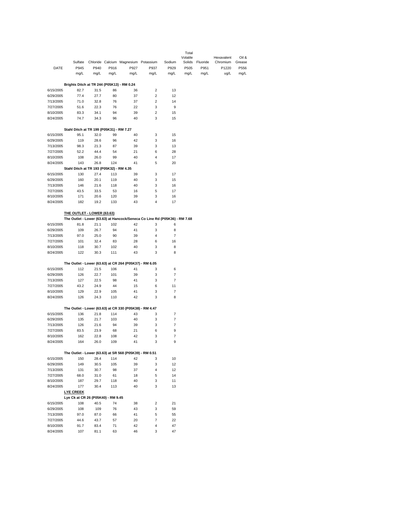|                        |                                                  |      |            |                                                                            |                         |                | Total              |          |                        |                 |
|------------------------|--------------------------------------------------|------|------------|----------------------------------------------------------------------------|-------------------------|----------------|--------------------|----------|------------------------|-----------------|
|                        | Sulfate                                          |      |            | Chloride Calcium Magnesium Potassium                                       |                         | Sodium         | Volatile<br>Solids | Fluoride | Hexavalent<br>Chromium | Oil &<br>Grease |
| DATE                   | P945                                             | P940 | P916       | P927                                                                       | P937                    | P929           | P505               | P951     | P1220                  | P556            |
|                        |                                                  |      |            |                                                                            |                         |                |                    |          |                        |                 |
|                        | mg/L                                             | mg/L | mg/L       | mg/L                                                                       | mg/L                    | mg/L           | mg/L               | mg/L     | ug/L                   | mg/L            |
|                        | Brights Ditch at TR 244 (P05K13) - RM 0.24       |      |            |                                                                            |                         |                |                    |          |                        |                 |
| 6/15/2005              | 82.7                                             | 31.5 | 86         | 36                                                                         | $\overline{2}$          | 13             |                    |          |                        |                 |
| 6/29/2005              | 77.4                                             | 27.7 | 80         | 37                                                                         | $\overline{2}$          | 12             |                    |          |                        |                 |
| 7/13/2005              | 71.0                                             | 32.8 | 76         | 37                                                                         | $\overline{2}$          | 14             |                    |          |                        |                 |
|                        |                                                  |      |            | 22                                                                         | 3                       | 9              |                    |          |                        |                 |
| 7/27/2005              | 51.6                                             | 22.3 | 76         |                                                                            |                         |                |                    |          |                        |                 |
| 8/10/2005              | 83.3                                             | 34.1 | 94         | 39                                                                         | $\overline{2}$<br>3     | 15             |                    |          |                        |                 |
| 8/24/2005              | 74.7                                             | 34.3 | 96         | 40                                                                         |                         | 15             |                    |          |                        |                 |
|                        |                                                  |      |            |                                                                            |                         |                |                    |          |                        |                 |
| 6/15/2005              | Stahl Ditch at TR 199 (P05K31) - RM 7.27<br>95.1 | 32.0 | 99         | 40                                                                         | 3                       | 15             |                    |          |                        |                 |
|                        |                                                  |      |            |                                                                            |                         |                |                    |          |                        |                 |
| 6/29/2005              | 119                                              | 28.6 | 96         | 42                                                                         | 3                       | 16             |                    |          |                        |                 |
| 7/13/2005              | 98.3                                             | 21.3 | 87         | 39                                                                         | 3                       | 13             |                    |          |                        |                 |
| 7/27/2005              | 52.2                                             | 44.4 | 54         | 21                                                                         | 6                       | 28             |                    |          |                        |                 |
| 8/10/2005              | 108                                              | 26.0 | 99         | 40                                                                         | 4<br>5                  | 17             |                    |          |                        |                 |
| 8/24/2005              | 143                                              | 26.8 | 124        | 41                                                                         |                         | 20             |                    |          |                        |                 |
|                        | Stahl Ditch at TR 193 (P05K32) - RM 4.35<br>130  |      |            |                                                                            |                         |                |                    |          |                        |                 |
| 6/15/2005              |                                                  | 27.4 | 113        | 39                                                                         | 3                       | 17             |                    |          |                        |                 |
| 6/29/2005              | 160                                              | 20.1 | 119        | 40                                                                         | 3                       | 15             |                    |          |                        |                 |
| 7/13/2005              | 146                                              | 21.6 | 118        | 40                                                                         | 3                       | 16             |                    |          |                        |                 |
| 7/27/2005              | 43.5                                             | 33.5 | 53         | 16                                                                         | 5                       | 17             |                    |          |                        |                 |
| 8/10/2005              | 171                                              | 20.6 | 120        | 39                                                                         | 3                       | 16             |                    |          |                        |                 |
| 8/24/2005              | 182                                              | 19.2 | 133        | 43                                                                         | $\overline{4}$          | 17             |                    |          |                        |                 |
|                        |                                                  |      |            |                                                                            |                         |                |                    |          |                        |                 |
|                        | THE OUTLET - LOWER (63.63)                       |      |            |                                                                            |                         |                |                    |          |                        |                 |
|                        |                                                  |      |            | The Outlet - Lower (63.63) at Hancock/Seneca Co Line Rd (P05K36) - RM 7.68 |                         |                |                    |          |                        |                 |
| 6/15/2005              | 81.8                                             | 21.1 | 102        | 42                                                                         | 3                       | 6              |                    |          |                        |                 |
| 6/29/2005              | 109                                              | 26.7 | 94         | 41                                                                         | 3                       | 8              |                    |          |                        |                 |
| 7/13/2005              | 97.0                                             | 25.0 | 90         | 39                                                                         | 4                       | $\overline{7}$ |                    |          |                        |                 |
| 7/27/2005              | 101                                              | 32.4 | 83         | 28                                                                         | 6                       | 16             |                    |          |                        |                 |
| 8/10/2005              | 118                                              | 30.7 | 102        | 40                                                                         | 3                       | 8              |                    |          |                        |                 |
| 8/24/2005              | 122                                              | 30.3 | 111        | 43                                                                         | 3                       | 8              |                    |          |                        |                 |
|                        |                                                  |      |            |                                                                            |                         |                |                    |          |                        |                 |
|                        |                                                  |      |            | The Outlet - Lower (63.63) at CR 264 (P05K37) - RM 6.05                    |                         |                |                    |          |                        |                 |
| 6/15/2005              | 112                                              | 21.5 | 106        | 41                                                                         | 3                       | 6              |                    |          |                        |                 |
| 6/29/2005              | 126                                              | 22.7 | 101        | 39                                                                         | 3                       | $\overline{7}$ |                    |          |                        |                 |
| 7/13/2005              | 127                                              | 22.5 | 98         | 41                                                                         | 3                       | $\overline{7}$ |                    |          |                        |                 |
| 7/27/2005              | 43.2                                             | 24.9 | 44         | 15                                                                         | 6                       | 11             |                    |          |                        |                 |
| 8/10/2005              | 129                                              | 22.9 | 105        | 41                                                                         | 3                       | 7              |                    |          |                        |                 |
| 8/24/2005              | 126                                              | 24.3 | 110        | 42                                                                         | 3                       | 8              |                    |          |                        |                 |
|                        |                                                  |      |            |                                                                            |                         |                |                    |          |                        |                 |
|                        |                                                  | 21.8 |            | The Outlet - Lower (63.63) at CR 330 (P05K38) - RM 4.47                    |                         | $\overline{7}$ |                    |          |                        |                 |
| 6/15/2005<br>6/29/2005 | 136<br>135                                       | 21.7 | 114<br>103 | 43<br>40                                                                   | 3<br>3                  | 7              |                    |          |                        |                 |
|                        |                                                  |      |            |                                                                            |                         |                |                    |          |                        |                 |
| 7/13/2005              | 126                                              | 21.6 | 94         | 39<br>21                                                                   | 3<br>6                  | $\overline{7}$ |                    |          |                        |                 |
| 7/27/2005              | 83.5                                             | 23.9 | 68         |                                                                            |                         | 9              |                    |          |                        |                 |
| 8/10/2005              | 162                                              | 22.8 | 108<br>109 | 42<br>41                                                                   | 3<br>3                  | 7<br>9         |                    |          |                        |                 |
| 8/24/2005              | 164                                              | 26.0 |            |                                                                            |                         |                |                    |          |                        |                 |
|                        |                                                  |      |            | The Outlet - Lower (63.63) at SR 568 (P05K39) - RM 0.51                    |                         |                |                    |          |                        |                 |
| 6/15/2005              | 150                                              | 28.4 | 114        | 42                                                                         | 3                       | 10             |                    |          |                        |                 |
| 6/29/2005              | 149                                              | 30.5 |            | 39                                                                         | 3                       | 12             |                    |          |                        |                 |
| 7/13/2005              | 131                                              | 30.7 | 105<br>98  | 37                                                                         | 4                       | 12             |                    |          |                        |                 |
| 7/27/2005              | 68.0                                             | 31.0 | 61         | 18                                                                         | 5                       | 14             |                    |          |                        |                 |
| 8/10/2005              | 187                                              | 29.7 | 118        | 40                                                                         | 3                       | 11             |                    |          |                        |                 |
| 8/24/2005              | 177                                              | 30.4 | 113        | 40                                                                         | 3                       | 13             |                    |          |                        |                 |
|                        | <b>LYE CREEK</b>                                 |      |            |                                                                            |                         |                |                    |          |                        |                 |
|                        | Lye Ck at CR 26 (P05K40) - RM 9.45               |      |            |                                                                            |                         |                |                    |          |                        |                 |
| 6/15/2005              | 108                                              | 40.5 | 74         | 38                                                                         | $\overline{\mathbf{c}}$ | 21             |                    |          |                        |                 |
| 6/29/2005              | 108                                              | 109  | 76         | 43                                                                         | 3                       | 59             |                    |          |                        |                 |
| 7/13/2005              | 97.0                                             | 87.0 | 66         | 41                                                                         | 5                       | 55             |                    |          |                        |                 |
| 7/27/2005              | 44.6                                             | 43.7 | 57         | 20                                                                         | 7                       | 22             |                    |          |                        |                 |
| 8/10/2005              | 91.7                                             | 83.4 | 71         | 42                                                                         | 4                       | 47             |                    |          |                        |                 |
| 8/24/2005              | 107                                              | 81.1 | 63         | 46                                                                         | 3                       | 47             |                    |          |                        |                 |
|                        |                                                  |      |            |                                                                            |                         |                |                    |          |                        |                 |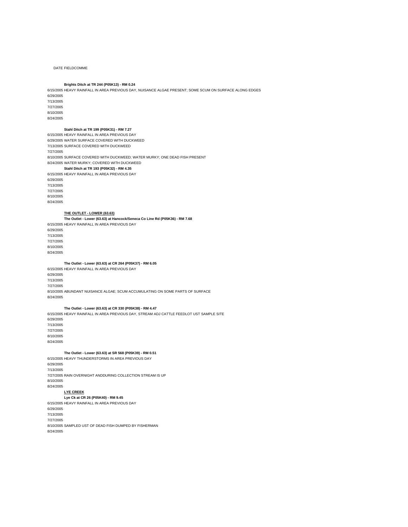## **Brights Ditch at TR 244 (P05K13) - RM 0.24**

6/15/2005 HEAVY RAINFALL IN AREA PREVIOUS DAY, NUISANCE ALGAE PRESENT; SOME SCUM ON SURFACE ALONG EDGES 6/29/2005 7/13/2005

7/27/2005 8/10/2005 8/24/2005

### **Stahl Ditch at TR 199 (P05K31) - RM 7.27**

6/15/2005 HEAVY RAINFALL IN AREA PREVIOUS DAY 6/29/2005 WATER SURFACE COVERED WITH DUCKWEED 7/13/2005 SURFACE COVERED WITH DUCKWEED 7/27/2005 8/10/2005 SURFACE COVERED WITH DUCKWEED; WATER MURKY; ONE DEAD FISH PRESENT 8/24/2005 WATER MURKY; COVERED WITH DUCKWEED **Stahl Ditch at TR 193 (P05K32) - RM 4.35** 6/15/2005 HEAVY RAINFALL IN AREA PREVIOUS DAY 6/29/2005 7/13/2005 7/27/2005 8/10/2005 8/24/2005

#### **THE OUTLET - LOWER (63.63)**

**The Outlet - Lower (63.63) at Hancock/Seneca Co Line Rd (P05K36) - RM 7.68** 6/15/2005 HEAVY RAINFALL IN AREA PREVIOUS DAY 6/29/2005 7/13/2005 7/27/2005 8/10/2005 8/24/2005

## **The Outlet - Lower (63.63) at CR 264 (P05K37) - RM 6.05**

6/15/2005 HEAVY RAINFALL IN AREA PREVIOUS DAY 6/29/2005 7/13/2005 7/27/2005 8/10/2005 ABUNDANT NUISANCE ALGAE; SCUM ACCUMULATING ON SOME PARTS OF SURFACE 8/24/2005

### **The Outlet - Lower (63.63) at CR 330 (P05K38) - RM 4.47**

6/15/2005 HEAVY RAINFALL IN AREA PREVIOUS DAY, STREAM ADJ CATTLE FEEDLOT UST SAMPLE SITE 6/29/2005 7/13/2005 7/27/2005 8/10/2005

8/24/2005

## **The Outlet - Lower (63.63) at SR 568 (P05K39) - RM 0.51**

6/15/2005 HEAVY THUNDERSTORMS IN AREA PREVIOUS DAY 6/29/2005 7/13/2005 7/27/2005 RAIN OVERNIGHT ANDDURING COLLECTION STREAM IS UP 8/10/2005 8/24/2005 **LYE CREEK Lye Ck at CR 26 (P05K40) - RM 9.45** 6/15/2005 HEAVY RAINFALL IN AREA PREVIOUS DAY 6/29/2005 7/13/2005 7/27/2005 8/10/2005 SAMPLED UST OF DEAD FISH DUMPED BY FISHERMAN

8/24/2005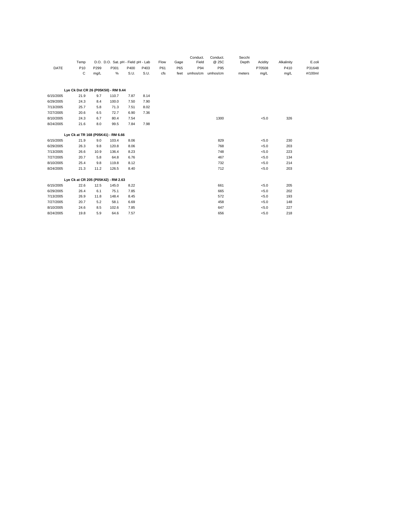|           | Temp            |      | D.O. D.O. Sat. pH - Field pH - Lab  |      |      | Flow | Gage | Conduct.<br>Field | Conduct.<br>@ 25C | Secchi<br>Depth | Acidity | Alkalinity | E.coli  |
|-----------|-----------------|------|-------------------------------------|------|------|------|------|-------------------|-------------------|-----------------|---------|------------|---------|
| DATE      | P <sub>10</sub> | P299 | P301                                | P400 | P403 | P61  | P65  | P94               | P95               |                 | P70508  | P410       | P31648  |
|           | C               | mg/L | $\%$                                | S.U. | S.U. | cfs  | feet | umhos/cm umhos/cm |                   | meters          | mg/L    | mg/L       | #/100ml |
|           |                 |      |                                     |      |      |      |      |                   |                   |                 |         |            |         |
|           |                 |      |                                     |      |      |      |      |                   |                   |                 |         |            |         |
|           |                 |      | Lye Ck Dst CR 26 (P05K50) - RM 9.44 |      |      |      |      |                   |                   |                 |         |            |         |
| 6/15/2005 | 21.9            | 9.7  | 110.7                               | 7.87 | 8.14 |      |      |                   |                   |                 |         |            |         |
| 6/29/2005 | 24.3            | 8.4  | 100.0                               | 7.50 | 7.90 |      |      |                   |                   |                 |         |            |         |
| 7/13/2005 | 25.7            | 5.8  | 71.3                                | 7.51 | 8.02 |      |      |                   |                   |                 |         |            |         |
| 7/27/2005 | 20.6            | 6.5  | 72.7                                | 6.90 | 7.36 |      |      |                   |                   |                 |         |            |         |
| 8/10/2005 | 24.3            | 6.7  | 80.4                                | 7.54 |      |      |      |                   | 1300              |                 | < 5.0   | 326        |         |
| 8/24/2005 | 21.6            | 8.0  | 99.5                                | 7.84 | 7.98 |      |      |                   |                   |                 |         |            |         |
|           |                 |      |                                     |      |      |      |      |                   |                   |                 |         |            |         |
|           |                 |      | Lye Ck at TR 168 (P05K41) - RM 6.66 |      |      |      |      |                   |                   |                 |         |            |         |
| 6/15/2005 | 21.9            | 9.0  | 103.4                               | 8.06 |      |      |      |                   | 829               |                 | < 5.0   | 230        |         |
| 6/29/2005 | 26.3            | 9.8  | 120.8                               | 8.06 |      |      |      |                   | 768               |                 | < 5.0   | 203        |         |
| 7/13/2005 | 26.6            | 10.9 | 136.4                               | 8.23 |      |      |      |                   | 748               |                 | < 5.0   | 223        |         |
| 7/27/2005 | 20.7            | 5.8  | 64.8                                | 6.76 |      |      |      |                   | 467               |                 | < 5.0   | 134        |         |
| 8/10/2005 | 25.4            | 9.8  | 119.8                               | 8.12 |      |      |      |                   | 732               |                 | < 5.0   | 214        |         |
| 8/24/2005 | 21.3            | 11.2 | 126.5                               | 8.40 |      |      |      |                   | 712               |                 | < 5.0   | 203        |         |
|           |                 |      | Lye Ck at CR 205 (P05K42) - RM 2.63 |      |      |      |      |                   |                   |                 |         |            |         |
|           |                 |      |                                     |      |      |      |      |                   | 661               |                 |         |            |         |
| 6/15/2005 | 22.6            | 12.5 | 145.0                               | 8.22 |      |      |      |                   |                   |                 | < 5.0   | 205        |         |
| 6/29/2005 | 26.4            | 6.1  | 75.1                                | 7.85 |      |      |      |                   | 665               |                 | < 5.0   | 202        |         |
| 7/13/2005 | 26.9            | 11.8 | 148.4                               | 8.45 |      |      |      |                   | 572               |                 | < 5.0   | 193        |         |
| 7/27/2005 | 20.7            | 5.2  | 58.1                                | 6.69 |      |      |      |                   | 458               |                 | < 5.0   | 148        |         |
| 8/10/2005 | 24.6            | 8.5  | 102.6                               | 7.85 |      |      |      |                   | 647               |                 | < 5.0   | 227        |         |
| 8/24/2005 | 19.8            | 5.9  | 64.6                                | 7.57 |      |      |      |                   | 656               |                 | < 5.0   | 218        |         |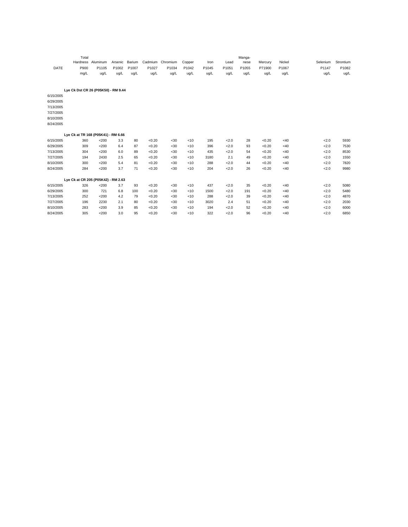|           | Total                               |                   |         |        |        |                  |        |       |       | Manga- |         |        |          |           |
|-----------|-------------------------------------|-------------------|---------|--------|--------|------------------|--------|-------|-------|--------|---------|--------|----------|-----------|
|           |                                     | Hardness Aluminum | Arsenic | Barium |        | Cadmium Chromium | Copper | Iron  | Lead  | nese   | Mercury | Nickel | Selenium | Strontium |
| DATE      | P900                                | P1105             | P1002   | P1007  | P1027  | P1034            | P1042  | P1045 | P1051 | P1055  | P71900  | P1067  | P1147    | P1082     |
|           | mq/L                                | ug/L              | ug/L    | ug/L   | ug/L   | ug/L             | ug/L   | ug/L  | ug/L  | ug/L   | ug/L    | ug/L   | ug/L     | ug/L      |
|           |                                     |                   |         |        |        |                  |        |       |       |        |         |        |          |           |
|           | Lye Ck Dst CR 26 (P05K50) - RM 9.44 |                   |         |        |        |                  |        |       |       |        |         |        |          |           |
| 6/15/2005 |                                     |                   |         |        |        |                  |        |       |       |        |         |        |          |           |
| 6/29/2005 |                                     |                   |         |        |        |                  |        |       |       |        |         |        |          |           |
| 7/13/2005 |                                     |                   |         |        |        |                  |        |       |       |        |         |        |          |           |
| 7/27/2005 |                                     |                   |         |        |        |                  |        |       |       |        |         |        |          |           |
| 8/10/2005 |                                     |                   |         |        |        |                  |        |       |       |        |         |        |          |           |
| 8/24/2005 |                                     |                   |         |        |        |                  |        |       |       |        |         |        |          |           |
|           |                                     |                   |         |        |        |                  |        |       |       |        |         |        |          |           |
|           | Lye Ck at TR 168 (P05K41) - RM 6.66 |                   |         |        |        |                  |        |       |       |        |         |        |          |           |
| 6/15/2005 | 360                                 | $<$ 200           | 3.3     | 80     | < 0.20 | $30$             | < 10   | 195   | 2.0   | 28     | <0.20   | <40    | 2.0      | 5930      |
| 6/29/2005 | 309                                 | < 200             | 6.4     | 87     | < 0.20 | <30              | < 10   | 396   | 2.0   | 93     | < 0.20  | <40    | 2.0      | 7530      |
| 7/13/2005 | 304                                 | < 200             | 6.0     | 89     | < 0.20 | <30              | < 10   | 435   | 2.0   | 54     | <0.20   | <40    | 2.0      | 8530      |
| 7/27/2005 | 194                                 | 2430              | 2.5     | 65     | < 0.20 | $30$             | < 10   | 3180  | 2.1   | 49     | < 0.20  | $<$ 40 | 2.0      | 1550      |
| 8/10/2005 | 300                                 | $<$ 200           | 5.4     | 81     | < 0.20 | <30              | <10    | 288   | 2.0   | 44     | < 0.20  | <40    | 2.0      | 7820      |
| 8/24/2005 | 284                                 | $<$ 200           | 3.7     | 71     | < 0.20 | $30$             | < 10   | 204   | 2.0   | 26     | <0.20   | <40    | 2.0      | 9980      |
|           |                                     |                   |         |        |        |                  |        |       |       |        |         |        |          |           |
|           | Lye Ck at CR 205 (P05K42) - RM 2.63 |                   |         |        |        |                  |        |       |       |        |         |        |          |           |
| 6/15/2005 | 326                                 | $<$ 200           | 3.7     | 93     | < 0.20 | $30$             | < 10   | 437   | 2.0   | 35     | <0.20   | <40    | 2.0      | 5080      |
| 6/29/2005 | 300                                 | 721               | 6.8     | 100    | < 0.20 | $30$             | < 10   | 1500  | 2.0   | 191    | <0.20   | $<$ 40 | 2.0      | 5480      |
| 7/13/2005 | 252                                 | < 200             | 4.2     | 79     | < 0.20 | $30$             | < 10   | 288   | 2.0   | 39     | < 0.20  | < 40   | 2.0      | 4870      |
| 7/27/2005 | 196                                 | 2230              | 2.1     | 80     | < 0.20 | <30              | <10    | 3020  | 2.4   | 51     | <0.20   | <40    | 2.0      | 2030      |
| 8/10/2005 | 283                                 | < 200             | 3.9     | 85     | < 0.20 | $30$             | < 10   | 194   | 2.0   | 52     | <0.20   | $<$ 40 | 2.0      | 6000      |
| 8/24/2005 | 305                                 | $<$ 200           | 3.0     | 95     | < 0.20 | <30              | < 10   | 322   | 2.0   | 96     | <0.20   | <40    | 2.0      | 6850      |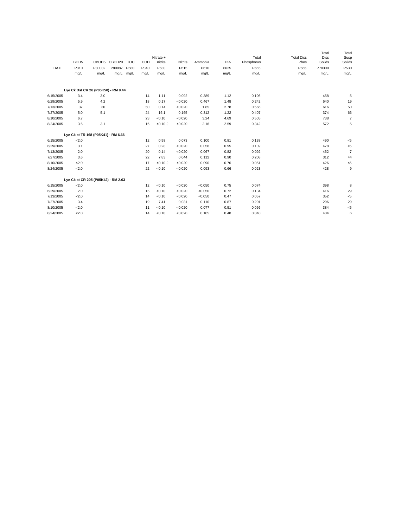|           | BOD <sub>5</sub>                    |        | CBOD5 CBOD20 | <b>TOC</b> | COD  | Nitrate +<br>nitrite | Nitrite | Ammonia | <b>TKN</b> | Total<br>Phosphorus | <b>Total Diss</b><br>Phos | Total<br><b>Diss</b><br>Solids | Total<br>Susp<br>Solids |
|-----------|-------------------------------------|--------|--------------|------------|------|----------------------|---------|---------|------------|---------------------|---------------------------|--------------------------------|-------------------------|
| DATE      | P310                                | P80082 | P80087       | P680       | P340 | P630                 | P615    | P610    | P625       | P665                | P666                      | P70300                         | P530                    |
|           | mq/L                                | mg/L   | mg/L         | mg/L       | mg/L | mg/L                 | mg/L    | mg/L    | mg/L       | mg/L                | mq/L                      | mg/L                           | mg/L                    |
|           |                                     |        |              |            |      |                      |         |         |            |                     |                           |                                |                         |
|           | Lye Ck Dst CR 26 (P05K50) - RM 9.44 |        |              |            |      |                      |         |         |            |                     |                           |                                |                         |
| 6/15/2005 | 3.4                                 | 3.0    |              |            | 14   | 1.11                 | 0.092   | 0.389   | 1.12       | 0.106               |                           | 458                            | 5                       |
| 6/29/2005 | 5.9                                 | 4.2    |              |            | 18   | 0.17                 | < 0.020 | 0.467   | 1.48       | 0.242               |                           | 640                            | 19                      |
| 7/13/2005 | 37                                  | 30     |              |            | 50   | 0.14                 | < 0.020 | 1.85    | 2.78       | 0.566               |                           | 616                            | 50                      |
| 7/27/2005 | 5.0                                 | 5.1    |              |            | 24   | 16.1                 | 0.165   | 0.312   | 1.22       | 0.407               |                           | 374                            | 66                      |
| 8/10/2005 | 6.7                                 |        |              |            | 23   | < 0.10               | < 0.020 | 3.24    | 4.69       | 0.505               |                           | 738                            | $\overline{7}$          |
| 8/24/2005 | 3.6                                 | 3.1    |              |            | 16   | < 0.10 J             | < 0.020 | 2.16    | 2.59       | 0.342               |                           | 572                            | 5                       |
|           | Lye Ck at TR 168 (P05K41) - RM 6.66 |        |              |            |      |                      |         |         |            |                     |                           |                                |                         |
| 6/15/2005 | 2.0                                 |        |              |            | 12   | 0.98                 | 0.073   | 0.100   | 0.81       | 0.138               |                           | 490                            | $< 5$                   |
| 6/29/2005 | 3.1                                 |        |              |            | 27   | 0.28                 | < 0.020 | 0.058   | 0.95       | 0.139               |                           | 478                            | $5$                     |
| 7/13/2005 | 2.0                                 |        |              |            | 20   | 0.14                 | < 0.020 | 0.067   | 0.82       | 0.092               |                           | 452                            | $\overline{7}$          |
| 7/27/2005 | 3.6                                 |        |              |            | 22   | 7.83                 | 0.044   | 0.112   | 0.90       | 0.208               |                           | 312                            | 44                      |
| 8/10/2005 | 2.0                                 |        |              |            | 17   | $< 0.10$ J           | < 0.020 | 0.090   | 0.76       | 0.051               |                           | 426                            | $5$                     |
| 8/24/2005 | 2.0                                 |        |              |            | 22   | < 0.10               | < 0.020 | 0.093   | 0.66       | 0.023               |                           | 428                            | 9                       |
|           | Lye Ck at CR 205 (P05K42) - RM 2.63 |        |              |            |      |                      |         |         |            |                     |                           |                                |                         |
| 6/15/2005 | 2.0                                 |        |              |            | 12   | < 0.10               | < 0.020 | < 0.050 | 0.75       | 0.074               |                           | 398                            | 8                       |
| 6/29/2005 | 2.0                                 |        |              |            | 15   | < 0.10               | < 0.020 | < 0.050 | 0.72       | 0.134               |                           | 416                            | 29                      |
| 7/13/2005 | 2.0                                 |        |              |            | 14   | < 0.10               | < 0.020 | < 0.050 | 0.47       | 0.057               |                           | 352                            | $5$                     |
| 7/27/2005 | 3.4                                 |        |              |            | 19   | 7.41                 | 0.031   | 0.110   | 0.87       | 0.201               |                           | 296                            | 29                      |
| 8/10/2005 | 2.0                                 |        |              |            | 11   | < 0.10               | < 0.020 | 0.077   | 0.51       | 0.066               |                           | 384                            | < 5                     |
| 8/24/2005 | 2.0                                 |        |              |            | 14   | < 0.10               | < 0.020 | 0.105   | 0.48       | 0.040               |                           | 404                            | 6                       |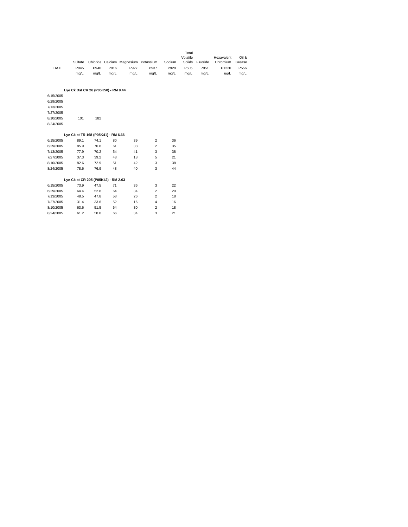|      |         |      |      |                                      |      |        | Total            |          |            |        |
|------|---------|------|------|--------------------------------------|------|--------|------------------|----------|------------|--------|
|      |         |      |      |                                      |      |        | Volatile         |          | Hexavalent | Oil &  |
|      | Sulfate |      |      | Chloride Calcium Magnesium Potassium |      | Sodium | Solids           | Fluoride | Chromium   | Grease |
| DATE | P945    | P940 | P916 | P927                                 | P937 | P929   | P <sub>505</sub> | P951     | P1220      | P556   |
|      | mg/L    | ma/L | ma/L | ma/L                                 | mg/L | mg/L   | ma/L             | ma/L     | ug/L       | mg/L   |

## **Lye Ck Dst CR 26 (P05K50) - RM 9.44**

| 6/15/2005 |     |     |
|-----------|-----|-----|
| 6/29/2005 |     |     |
| 7/13/2005 |     |     |
| 7/27/2005 |     |     |
| 8/10/2005 | 101 | 182 |
| 8/24/2005 |     |     |

## **Lye Ck at TR 168 (P05K41) - RM 6.66**

| 6/15/2005 | 89.1                                | 74.1 | 80 | 39 | $\overline{2}$ | 36 |
|-----------|-------------------------------------|------|----|----|----------------|----|
| 6/29/2005 | 85.9                                | 70.8 | 61 | 38 | $\overline{2}$ | 35 |
| 7/13/2005 | 77.9                                | 70.2 | 54 | 41 | 3              | 38 |
| 7/27/2005 | 37.3                                | 39.2 | 48 | 18 | 5              | 21 |
| 8/10/2005 | 82.6                                | 72.9 | 51 | 42 | 3              | 38 |
| 8/24/2005 | 78.6                                | 76.9 | 48 | 40 | 3              | 44 |
|           |                                     |      |    |    |                |    |
|           | Lye Ck at CR 205 (P05K42) - RM 2.63 |      |    |    |                |    |
| 6/15/2005 | 73.9                                | 47.5 | 71 | 36 | 3              | 22 |
| 6/29/2005 | 64.4                                | 52.8 | 64 | 34 | $\overline{2}$ | 20 |
| 7/13/2005 | 48.5                                | 47.8 | 58 | 26 | $\overline{2}$ | 18 |
| 7/27/2005 | 31.4                                | 33.6 | 52 | 16 | 4              | 16 |

8/10/2005 63.6 51.5 64 30 2 18 8/24/2005 61.2 58.8 66 34 3 21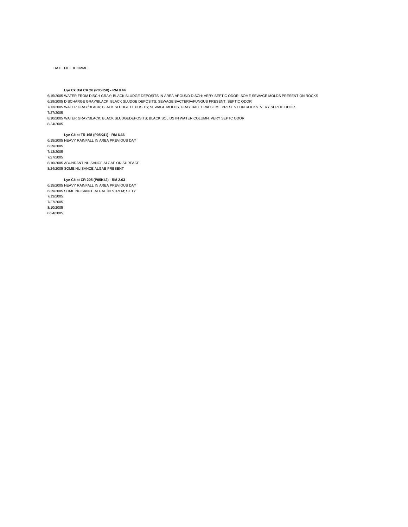## **Lye Ck Dst CR 26 (P05K50) - RM 9.44**

6/15/2005 WATER FROM DISCH GRAY; BLACK SLUDGE DEPOSITS IN AREA AROUND DISCH; VERY SEPTIC ODOR; SOME SEWAGE MOLDS PRESENT ON ROCKS 6/29/2005 DISCHARGE GRAY/BLACK; BLACK SLUDGE DEPOSITS; SEWAGE BACTERIA/FUNGUS PRESENT; SEPTIC ODOR 7/13/2005 WATER GRAY/BLACK; BLACK SLUDGE DEPOSITS; SEWAGE MOLDS, GRAY BACTERIA SLIME PRESENT ON ROCKS. VERY SEPTIC ODOR. 7/27/2005 8/10/2005 WATER GRAY/BLACK; BLACK SLUDGEDEPOSITS; BLACK SOLIDS IN WATER COLUMN; VERY SEPTC ODOR 8/24/2005

## **Lye Ck at TR 168 (P05K41) - RM 6.66**

6/15/2005 HEAVY RAINFALL IN AREA PREVIOUS DAY 6/29/2005 7/13/2005

7/27/2005 8/10/2005 ABUNDANT NUISANCE ALGAE ON SURFACE 8/24/2005 SOME NUISANCE ALGAE PRESENT

## **Lye Ck at CR 205 (P05K42) - RM 2.63**

6/15/2005 HEAVY RAINFALL IN AREA PREVIOUS DAY 6/29/2005 SOME NUISANCE ALGAE IN STREM; SILTY 7/13/2005 7/27/2005 8/10/2005 8/24/2005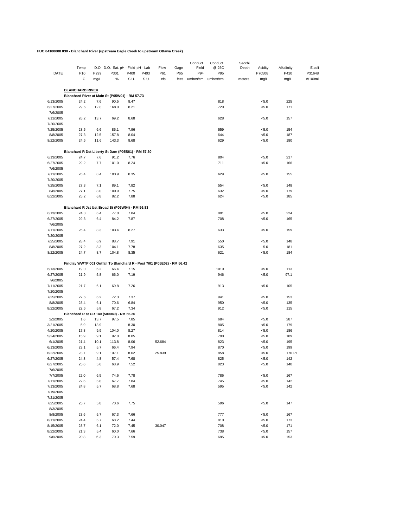## **HUC 04100008 030 - Blanchard River (upstream Eagle Creek to upstream Ottawa Creek)**

|                        |                                                                         |              |                                    |      |              | Flow       | Gage        | Conduct.<br>Field | Conduct.<br>@ 25C | Secchi<br>Depth |                |              | E.coli            |
|------------------------|-------------------------------------------------------------------------|--------------|------------------------------------|------|--------------|------------|-------------|-------------------|-------------------|-----------------|----------------|--------------|-------------------|
|                        | Temp                                                                    |              | D.O. D.O. Sat. pH - Field pH - Lab | P400 |              |            |             | P94               |                   |                 | Acidity        | Alkalinity   |                   |
| DATE                   | P10<br>С                                                                | P299<br>mg/L | P301<br>%                          | S.U. | P403<br>S.U. | P61<br>cfs | P65<br>feet | umhos/cm          | P95<br>umhos/cm   | meters          | P70508<br>mg/L | P410<br>mg/L | P31648<br>#/100ml |
|                        | <b>BLANCHARD RIVER</b>                                                  |              |                                    |      |              |            |             |                   |                   |                 |                |              |                   |
|                        | Blanchard River at Main St (P05W01) - RM 57.73                          |              |                                    |      |              |            |             |                   |                   |                 |                |              |                   |
| 6/13/2005              | 24.2                                                                    | 7.6          | 90.5                               | 8.47 |              |            |             |                   | 818               |                 | < 5.0          | 225          |                   |
| 6/27/2005<br>7/6/2005  | 29.6                                                                    | 12.8         | 168.0                              | 8.21 |              |            |             |                   | 720               |                 | < 5.0          | 171          |                   |
| 7/11/2005<br>7/20/2005 | 26.2                                                                    | 13.7         | 69.2                               | 8.68 |              |            |             |                   | 628               |                 | < 5.0          | 157          |                   |
| 7/25/2005              | 28.5                                                                    | 6.6          | 85.1                               | 7.96 |              |            |             |                   | 559               |                 | < 5.0          | 154          |                   |
| 8/8/2005               | 27.3                                                                    | 12.5         | 157.8                              | 8.04 |              |            |             |                   | 644               |                 | < 5.0          | 187          |                   |
| 8/22/2005              | 24.6                                                                    | 11.6         | 143.3                              | 8.68 |              |            |             |                   | 629               |                 | < 5.0          | 180          |                   |
|                        | Blanchard R Dst Liberty St Dam (P05S61) - RM 57.30                      |              |                                    |      |              |            |             |                   |                   |                 |                |              |                   |
| 6/13/2005              | 24.7                                                                    | 7.6          | 91.2                               | 7.76 |              |            |             |                   | 804               |                 | < 5.0          | 217          |                   |
| 6/27/2005<br>7/6/2005  | 29.2                                                                    | 7.7          | 101.0                              | 8.24 |              |            |             |                   | 711               |                 | < 5.0          | 166          |                   |
| 7/11/2005              | 26.4                                                                    | 8.4          | 103.9                              | 8.35 |              |            |             |                   | 629               |                 | < 5.0          | 155          |                   |
| 7/20/2005              |                                                                         |              |                                    |      |              |            |             |                   |                   |                 |                |              |                   |
| 7/25/2005              | 27.3                                                                    | 7.1          | 89.1                               | 7.82 |              |            |             |                   | 554               |                 | < 5.0          | 148          |                   |
| 8/8/2005               | 27.1                                                                    | 8.0          | 100.9                              | 7.75 |              |            |             |                   | 632               |                 | < 5.0          | 179          |                   |
| 8/22/2005              | 25.2                                                                    | 6.8          | 82.2                               | 7.88 |              |            |             |                   | 624               |                 | < 5.0          | 185          |                   |
|                        | Blanchard R Jst Ust Broad St (P05W04) - RM 56.83                        |              |                                    |      |              |            |             |                   |                   |                 |                |              |                   |
| 6/13/2005              | 24.8                                                                    | 6.4          | 77.0                               | 7.84 |              |            |             |                   | 801               |                 | < 5.0          | 224          |                   |
| 6/27/2005<br>7/6/2005  | 29.3                                                                    | 6.4          | 84.2                               | 7.87 |              |            |             |                   | 708               |                 | < 5.0          | 165          |                   |
| 7/11/2005              | 26.4                                                                    | 8.3          | 103.4                              | 8.27 |              |            |             |                   | 633               |                 | < 5.0          | 159          |                   |
| 7/20/2005              |                                                                         |              |                                    |      |              |            |             |                   |                   |                 |                |              |                   |
| 7/25/2005              | 28.4                                                                    | 6.9          | 88.7                               | 7.91 |              |            |             |                   | 550               |                 | < 5.0          | 148          |                   |
| 8/8/2005               | 27.2                                                                    | 8.3          | 104.1                              | 7.78 |              |            |             |                   | 635               |                 | 5.0            | 181          |                   |
| 8/22/2005              | 24.7                                                                    | 8.7          | 104.8                              | 8.35 |              |            |             |                   | 621               |                 | < 5.0          | 184          |                   |
|                        | Findlay WWTP 001 Outfall To Blanchard R - Post 7/01 (P05E02) - RM 56.42 |              |                                    |      |              |            |             |                   |                   |                 |                |              |                   |
| 6/13/2005              | 19.0                                                                    | 6.2          | 66.4                               | 7.15 |              |            |             |                   | 1010              |                 | < 5.0          | 113          |                   |
| 6/27/2005<br>7/6/2005  | 21.9                                                                    | 5.8          | 66.0                               | 7.19 |              |            |             |                   | 946               |                 | < 5.0          | 97.1         |                   |
| 7/11/2005              | 21.7                                                                    | 6.1          | 69.8                               | 7.26 |              |            |             |                   | 913               |                 | < 5.0          | 105          |                   |
| 7/20/2005              |                                                                         |              |                                    |      |              |            |             |                   |                   |                 |                |              |                   |
| 7/25/2005              | 22.6                                                                    | 6.2          | 72.3                               | 7.37 |              |            |             |                   | 941               |                 | < 5.0          | 153          |                   |
| 8/8/2005               | 23.4                                                                    | 6.1          | 70.6                               | 6.84 |              |            |             |                   | 950               |                 | < 5.0          | 135          |                   |
| 8/22/2005              | 22.6<br>Blanchard R at CR 140 (500040) - RM 55.26                       | 5.8          | 67.2                               | 7.34 |              |            |             |                   | 912               |                 | < 5.0          | 115          |                   |
| 2/2/2005               | 1.6                                                                     | 13.7         | 97.5                               | 7.85 |              |            |             |                   | 684               |                 | < 5.0          | 287          |                   |
| 3/21/2005              | 5.9                                                                     | 13.9         |                                    | 8.30 |              |            |             |                   | 805               |                 | < 5.0          | 179          |                   |
| 4/20/2005              | 17.8                                                                    | 9.9          | 104.0                              | 8.27 |              |            |             |                   | 814               |                 | < 5.0          | 186          |                   |
| 5/24/2005              | 15.9                                                                    | 9.1          | 92.0                               | 8.05 |              |            |             |                   | 790               |                 | < 5.0          | 189          |                   |
| 6/1/2005               | 21.4                                                                    | 10.1         | 113.8                              | 8.06 |              | 52.684     |             |                   | 823               |                 | < 5.0          | 195          |                   |
| 6/13/2005              | 23.1                                                                    | 5.7          | 66.4                               | 7.94 |              |            |             |                   | 870               |                 | < 5.0          | 199          |                   |
| 6/22/2005              | 23.7                                                                    | 9.1          | 107.1                              | 8.02 |              | 25.839     |             |                   | 858               |                 | < 5.0          | 170 PT       |                   |
| 6/27/2005              | 24.8                                                                    | 4.8          | 57.4                               | 7.68 |              |            |             |                   | 825               |                 | < 5.0          | 142          |                   |
| 6/27/2005<br>7/6/2005  | 25.6                                                                    | 5.6          | 68.9                               | 7.52 |              |            |             |                   | 823               |                 | < 5.0          | 140          |                   |
| 7/7/2005               | 22.0                                                                    | 6.5          | 74.6                               | 7.78 |              |            |             |                   | 786               |                 | < 5.0          | 167          |                   |
| 7/11/2005              | 22.6                                                                    | 5.8          | 67.7                               | 7.84 |              |            |             |                   | 745               |                 | < 5.0          | 142          |                   |
| 7/13/2005              | 24.8                                                                    | 5.7          | 68.8                               | 7.68 |              |            |             |                   | 595               |                 | < 5.0          | 142          |                   |
| 7/19/2005<br>7/21/2005 |                                                                         |              |                                    |      |              |            |             |                   |                   |                 |                |              |                   |
| 7/25/2005              | 25.7                                                                    | 5.8          | 70.6                               | 7.75 |              |            |             |                   | 596               |                 | < 5.0          | 147          |                   |
| 8/3/2005               |                                                                         |              |                                    |      |              |            |             |                   |                   |                 |                |              |                   |
| 8/8/2005               | 23.6                                                                    | 5.7          | 67.3                               | 7.66 |              |            |             |                   | 777               |                 | < 5.0          | 167          |                   |
| 8/11/2005              | 24.4                                                                    | 5.7          | 68.2                               | 7.44 |              |            |             |                   | 810               |                 | < 5.0          | 173          |                   |
| 8/15/2005              | 23.7                                                                    | 6.1          | 72.0                               | 7.45 |              | 30.047     |             |                   | 708               |                 | < 5.0          | 171          |                   |
| 8/22/2005              | 21.3                                                                    | 5.4          | 60.0                               | 7.66 |              |            |             |                   | 738               |                 | < 5.0          | 157          |                   |
| 9/6/2005               | 20.8                                                                    | 6.3          | 70.3                               | 7.59 |              |            |             |                   | 685               |                 | < 5.0          | 153          |                   |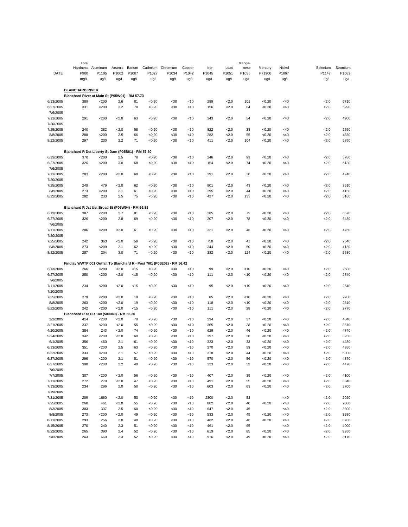|                        | Total                                                                    |                |            |          |                |                  |             |            |            | Manga-   |                 |               |            |              |
|------------------------|--------------------------------------------------------------------------|----------------|------------|----------|----------------|------------------|-------------|------------|------------|----------|-----------------|---------------|------------|--------------|
|                        | Hardness                                                                 | Aluminum       | Arsenic    | Barium   |                | Cadmium Chromium | Copper      | Iron       | Lead       | nese     | Mercury         | Nickel        | Selenium   | Strontium    |
| DATE                   | P900                                                                     | P1105          | P1002      | P1007    | P1027          | P1034            | P1042       | P1045      | P1051      | P1055    | P71900          | P1067         | P1147      | P1082        |
|                        | mg/L                                                                     | ug/L           | ug/L       | ug/L     | ug/L           | ug/L             | ug/L        | ug/L       | ug/L       | ug/L     | ug/L            | ug/L          | ug/L       | ug/L         |
|                        |                                                                          |                |            |          |                |                  |             |            |            |          |                 |               |            |              |
|                        | <b>BLANCHARD RIVER</b><br>Blanchard River at Main St (P05W01) - RM 57.73 |                |            |          |                |                  |             |            |            |          |                 |               |            |              |
| 6/13/2005              | 389                                                                      | $200$          | 2.6        | 81       | <0.20          | $30$             | < 10        | 289        | 2.0        | 101      | < 0.20          | <40           | 2.0        | 6710         |
| 6/27/2005              | 331                                                                      | 200            | 3.2        | 70       | <0.20          | $30$             | < 10        | 156        | 2.0        | 84       | <0.20           | <40           | 2.0        | 5990         |
| 7/6/2005               |                                                                          |                |            |          |                |                  |             |            |            |          |                 |               |            |              |
| 7/11/2005              | 291                                                                      | $200$          | 2.0        | 63       | < 0.20         | $30$             | < 10        | 343        | 2.0        | 54       | <0.20           | <40           | 2.0        | 4900         |
| 7/20/2005              |                                                                          |                |            |          |                |                  |             |            |            |          |                 |               |            |              |
| 7/25/2005              | 240                                                                      | 382            | 2.0        | 58       | < 0.20         | $30$             | < 10        | 822        | 2.0        | 38       | < 0.20          | <40           | 2.0        | 2550         |
| 8/8/2005               | 288                                                                      | $200$          | 2.5        | 66       | <0.20          | $30$             | < 10        | 282        | 2.0        | 55       | <0.20           | <40           | 2.0        | 4530         |
| 8/22/2005              | 297                                                                      | 230            | 2.2        | 71       | <0.20          | $30$             | < 10        | 411        | 2.0        | 104      | < 0.20          | <40           | 2.0        | 5890         |
|                        |                                                                          |                |            |          |                |                  |             |            |            |          |                 |               |            |              |
|                        | Blanchard R Dst Liberty St Dam (P05S61) - RM 57.30                       |                |            |          |                |                  |             |            |            |          |                 |               |            |              |
| 6/13/2005              | 370                                                                      | $200$          | 2.5        | 78       | <0.20          | $30$             | < 10        | 246        | 2.0        | 93       | < 0.20          | <40           | 2.0        | 5780         |
| 6/27/2005              | 326                                                                      | 200            | 3.0        | 68       | <0.20          | $30$             | < 10        | 154        | 2.0        | 74       | <0.20           | <40           | 2.0        | 6130         |
| 7/6/2005               |                                                                          |                |            |          |                |                  |             |            |            |          |                 |               |            |              |
| 7/11/2005              | 283                                                                      | $200$          | 2.0        | 60       | <0.20          | $30$             | < 10        | 291        | 2.0        | 38       | <0.20           | <40           | 2.0        | 4740         |
| 7/20/2005              |                                                                          |                |            |          |                |                  |             |            |            |          |                 |               |            |              |
| 7/25/2005              | 249                                                                      | 479            | 2.0        | 62       | <0.20          | $30$             | $<10$       | 901        | 2.0        | 43       | <0.20           | <40           | 2.0        | 2610         |
| 8/8/2005               | 273                                                                      | $200$          | 2.1        | 61       | <0.20          | $30$             | < 10        | 295        | 2.0        | 44       | <0.20           | <40           | 2.0        | 4150         |
| 8/22/2005              | 282                                                                      | 233            | 2.5        | 75       | <0.20          | $30$             | < 10        | 427        | 2.0        | 133      | <0.20           | <40           | 2.0        | 5160         |
|                        |                                                                          |                |            |          |                |                  |             |            |            |          |                 |               |            |              |
|                        | Blanchard R Jst Ust Broad St (P05W04) - RM 56.83                         |                |            |          |                |                  |             |            |            |          |                 |               |            |              |
| 6/13/2005              | 387                                                                      | $200$          | 2.7        | 81       | <0.20          | $30$             | < 10        | 285        | 2.0        | 75       | < 0.20          | <40           | 2.0        | 6570         |
| 6/27/2005              | 326                                                                      | $200$          | 2.8        | 69       | <0.20          | $30$             | < 10        | 207        | 2.0        | 78       | <0.20           | <40           | 2.0        | 6430         |
| 7/6/2005               |                                                                          |                |            |          |                |                  |             |            |            |          |                 |               |            |              |
| 7/11/2005              | 286                                                                      | $200$          | 2.0        | 61       | <0.20          | $30$             | < 10        | 321        | 2.0        | 46       | <0.20           | <40           | 2.0        | 4760         |
| 7/20/2005              |                                                                          |                |            |          |                |                  |             |            |            |          |                 |               |            |              |
| 7/25/2005              | 242                                                                      | 363            | 2.0        | 59       | < 0.20         | $30$             | < 10        | 758        | 2.0        | 41       | < 0.20          | <40           | 2.0        | 2540         |
| 8/8/2005               | 273                                                                      | $200$          | 2.1        | 62       | <0.20          | $30$             | < 10        | 344        | 2.0        | 50       | <0.20           | <40           | 2.0        | 4130         |
| 8/22/2005              | 287                                                                      | 204            | 3.0        | 71       | <0.20          | $30$             | < 10        | 332        | 2.0        | 124      | <0.20           | <40           | 2.0        | 5630         |
|                        |                                                                          |                |            |          |                |                  |             |            |            |          |                 |               |            |              |
|                        | Findlay WWTP 001 Outfall To Blanchard R - Post 7/01 (P05E02) - RM 56.42  |                |            |          |                |                  |             |            |            |          |                 |               |            |              |
| 6/13/2005              | 266                                                                      | $200$          | 2.0        | $<$ 15   | <0.20          | $30$             | < 10        | 99         | 2.0        | < 10     | <0.20           | <40           | 2.0        | 2580         |
| 6/27/2005              | 250                                                                      | 200            | 2.0        | $<$ 15   | <0.20          | $30$             | < 10        | 111        | 2.0        | < 10     | <0.20           | <40           | 2.0        | 2740         |
| 7/6/2005               |                                                                          |                |            |          |                |                  |             |            |            |          |                 |               |            |              |
| 7/11/2005              | 234                                                                      | $200$          | 2.0        | $<$ 15   | <0.20          | $30$             | < 10        | 95         | 2.0        | < 10     | <0.20           | <40           | 2.0        | 2640         |
| 7/20/2005              |                                                                          |                |            |          |                |                  |             |            |            |          |                 |               |            |              |
| 7/25/2005              | 279                                                                      | $200$          | 2.0        | 19       | < 0.20         | $30$             | < 10        | 65         | 2.0        | < 10     | < 0.20          | <40           | 2.0        | 2700         |
| 8/8/2005               | 263                                                                      | $200$          | 2.0        | 19       | <0.20          | $30$             | < 10        | 118        | 2.0        | <10      | <0.20           | <40           | 2.0        | 2810         |
| 8/22/2005              | 242                                                                      | 200            | 2.0        | $<$ 15   | <0.20          | $30$             | < 10        | 111        | 2.0        | 28       | <0.20           | <40           | 2.0        | 2770         |
|                        | Blanchard R at CR 140 (500040) - RM 55.26                                |                |            |          |                |                  |             |            |            |          |                 |               |            |              |
| 2/2/2005               | 414                                                                      | $200$          | 2.0        | 70       | <0.20          | $30$             | ~10         | 234        | 2.0        | 37       | <0.20           | <40           | 2.0        | 4840         |
| 3/21/2005              | 337                                                                      | $200$          | 2.0        | 55       | <0.20          | $30$             | < 10        | 365        | 2.0        | 28       | <0.20           | <40           | 2.0        | 3670         |
| 4/20/2005              | 384                                                                      | 243            | 2.0        | 74       | <0.20          | $30$             | < 10        | 629        | 2.0        | 46       | <0.20           | <40           | 2.0        | 4740         |
| 5/24/2005              | 342                                                                      | $200$          | 2.0        | 60       | <0.20          | $30$             | < 10        | 397        | 2.0        | 30       | <0.20           | <40           | 2.0        | 3950         |
| 6/1/2005               | 356                                                                      | 460            | 2.1        | 61       | <0.20          | $30$             | < 10        | 323        | 2.0        | 33       | <0.20           | <40           | 2.0        | 4480         |
| 6/13/2005<br>6/22/2005 | 351                                                                      | 200            | 2.5        | 63       | <0.20          | $30$             | < 10        | 270        | 2.0        | 53       | <0.20           | <40           | 2.0        | 4950         |
| 6/27/2005              | 333<br>296                                                               | $200$<br>$200$ | 2.1<br>2.1 | 57<br>51 | <0.20<br><0.20 | $30$<br>$30$     | <10<br>< 10 | 318<br>570 | 2.0<br>2.0 | 44<br>56 | <0.20<br>< 0.20 | <40<br>$<$ 40 | 2.0<br>2.0 | 5000<br>4370 |
| 6/27/2005              | 300                                                                      | $<$ 200        | 2.2        | 49       | <0.20          |                  |             | 333        | 2.0        | 52       | <0.20           | <40           | 2.0        | 4470         |
| 7/6/2005               |                                                                          |                |            |          |                | $30$             | ~10         |            |            |          |                 |               |            |              |
| 7/7/2005               | 307                                                                      | $<$ 200        | 2.0        | 56       | <0.20          | $30$             | < 10        | 407        | 2.0        | 39       | <0.20           | <40           | 2.0        | 4100         |
| 7/11/2005              | 272                                                                      | 279            | 2.0        | 47       | <0.20          | $30$             | <10         | 491        | 2.0        | 55       | <0.20           | <40           | 2.0        | 3840         |
| 7/13/2005              | 234                                                                      | 296            | 2.0        | 50       | <0.20          | $30$             | <10         | 603        | 2.0        | 63       | <0.20           | <40           | 2.0        | 3700         |
| 7/19/2005              |                                                                          |                |            |          |                |                  |             |            |            |          |                 |               |            |              |
| 7/21/2005              | 209                                                                      | 1660           | 2.0        | 53       | < 0.20         | $30$             | <10         | 2300       | 2.0        | 53       |                 | <40           | 2.0        | 2020         |
| 7/25/2005              | 260                                                                      | 461            | 2.0        | 55       | <0.20          | $30$             | < 10        | 882        | 2.0        | 40       | <0.20           | <40           | 2.0        | 2580         |
| 8/3/2005               | 303                                                                      | 337            | 2.5        | 60       | < 0.20         | $30$             | <10         | 647        | 2.0        | 45       |                 | <40           | 2.0        | 3300         |
| 8/8/2005               | 273                                                                      | $<$ 200        | 2.0        | 49       | <0.20          | $30$             | <10         | 533        | 2.0        | 49       | <0.20           | <40           | 2.0        | 3580         |
| 8/11/2005              | 293                                                                      | 256            | 2.0        | 49       | < 0.20         | $30$             | <10         | 462        | 2.0        | 46       | <0.20           | <40           | 2.0        | 3780         |
| 8/15/2005              | 270                                                                      | 240            | 2.3        | 51       | <0.20          | $30$             | <10         | 461        | 2.0        | 65       |                 | <40           | 2.0        | 4000         |
| 8/22/2005              | 265                                                                      | 390            | 2.4        | 52       | < 0.20         | $30$             | <10         | 619        | 2.0        | 85       | <0.20           | <40           | 2.0        | 3950         |
| 9/6/2005               | 263                                                                      | 660            | 2.3        | 52       | < 0.20         | $30$             | < 10        | 916        | 2.0        | 49       | < 0.20          | <40           | 2.0        | 3110         |
|                        |                                                                          |                |            |          |                |                  |             |            |            |          |                 |               |            |              |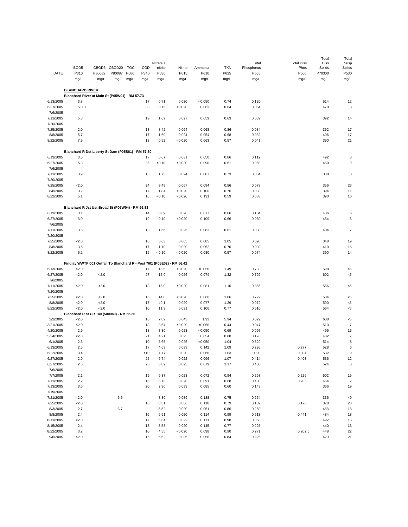|                        |                                                                         |        |                    |            |          |                      |                |                  |              |                     |                           | Total          | Total                |
|------------------------|-------------------------------------------------------------------------|--------|--------------------|------------|----------|----------------------|----------------|------------------|--------------|---------------------|---------------------------|----------------|----------------------|
|                        | BOD <sub>5</sub>                                                        | CBOD5  | CBOD <sub>20</sub> | <b>TOC</b> | COD      | Nitrate +<br>nitrite | Nitrite        | Ammonia          | <b>TKN</b>   | Total<br>Phosphorus | <b>Total Diss</b><br>Phos | Diss<br>Solids | Susp<br>Solids       |
| DATE                   | P310                                                                    | P80082 | P80087             | P680       | P340     | P630                 | P615           | P610             | P625         | P665                | P666                      | P70300         | P530                 |
|                        | mg/L                                                                    | mg/L   |                    | mg/L mg/L  | mg/L     | mg/L                 | mg/L           | mg/L             | mg/L         | mg/L                | mg/L                      | mg/L           | mg/L                 |
|                        | <b>BLANCHARD RIVER</b>                                                  |        |                    |            |          |                      |                |                  |              |                     |                           |                |                      |
|                        | Blanchard River at Main St (P05W01) - RM 57.73                          |        |                    |            |          |                      |                |                  |              |                     |                           |                |                      |
| 6/13/2005              | 3.8                                                                     |        |                    |            | 17       | 0.71                 | 0.030          | < 0.050          | 0.74         | 0.120               |                           | 514            | 12                   |
| 6/27/2005              | 5.0J                                                                    |        |                    |            | 33       | 0.15                 | < 0.020        | 0.063            | 0.64         | 0.054               |                           | 470            | 8                    |
| 7/6/2005               |                                                                         |        |                    |            |          |                      |                |                  |              |                     |                           |                |                      |
| 7/11/2005              | 5.8                                                                     |        |                    |            | 19       | 1.69                 | 0.027          | 0.059            | 0.63         | 0.039               |                           | 392            | 14                   |
| 7/20/2005              |                                                                         |        |                    |            |          |                      |                |                  |              |                     |                           |                |                      |
| 7/25/2005              | 2.0                                                                     |        |                    |            | 18       | 8.42                 | 0.064          | 0.068            | 0.86         | 0.084               |                           | 352            | 17                   |
| 8/8/2005               | 5.7                                                                     |        |                    |            | 17       | 1.60                 | 0.024          | 0.054            | 0.68         | 0.032               |                           | 406            | 17                   |
| 8/22/2005              | 7.9                                                                     |        |                    |            | 13       | 0.52                 | < 0.020        | 0.063            | 0.57         | 0.041               |                           | 390            | 21                   |
|                        | Blanchard R Dst Liberty St Dam (P05S61) - RM 57.30                      |        |                    |            |          |                      |                |                  |              |                     |                           |                |                      |
| 6/13/2005              | 3.6                                                                     |        |                    |            | 17       | 0.67                 | 0.031          | 0.050            | 0.86         | 0.112               |                           | 492            | 8                    |
| 6/27/2005              | 5.3                                                                     |        |                    |            | 25       | < 0.10               | < 0.020        | 0.090            | 0.61         | 0.069               |                           | 460            | 9                    |
| 7/6/2005               |                                                                         |        |                    |            |          |                      |                |                  |              |                     |                           |                |                      |
| 7/11/2005              | 3.9                                                                     |        |                    |            | 13       | 1.75                 | 0.024          | 0.087            | 0.73         | 0.034               |                           | 388            | 8                    |
| 7/20/2005              |                                                                         |        |                    |            |          |                      |                |                  |              |                     |                           |                |                      |
| 7/25/2005              | 2.0                                                                     |        |                    |            | 24       | 8.49                 | 0.067          | 0.094            | 0.86         | 0.078               |                           | 356            | 23                   |
| 8/8/2005               | 3.2                                                                     |        |                    |            | 17       | 1.84                 | < 0.020        | 0.100            | 0.76         | 0.033               |                           | 394            | 11                   |
| 8/22/2005              | 5.1                                                                     |        |                    |            | 16       | < 0.10               | < 0.020        | 0.131            | 0.59         | 0.083               |                           | 390            | 16                   |
|                        | Blanchard R Jst Ust Broad St (P05W04) - RM 56.83                        |        |                    |            |          |                      |                |                  |              |                     |                           |                |                      |
| 6/13/2005              | 3.1                                                                     |        |                    |            | 14       | 0.69                 | 0.028          | 0.077            | 0.86         | 0.104               |                           | 486            | 6                    |
| 6/27/2005              | 3.0                                                                     |        |                    |            | 19       | 0.10                 | < 0.020        | 0.109            | 0.66         | 0.060               |                           | 454            | 5                    |
| 7/6/2005               |                                                                         |        |                    |            |          |                      |                |                  |              |                     |                           |                |                      |
| 7/11/2005              | 3.5                                                                     |        |                    |            | 13       | 1.66                 | 0.026          | 0.083            | 0.61         | 0.038               |                           | 404            | $\overline{7}$       |
| 7/20/2005              |                                                                         |        |                    |            |          |                      |                |                  |              |                     |                           |                |                      |
| 7/25/2005              | 2.0                                                                     |        |                    |            | 18       | 8.63                 | 0.065          | 0.085            | 1.05         | 0.098               |                           | 348            | 19                   |
| 8/8/2005               | 3.5                                                                     |        |                    |            | 17       | 1.70                 | 0.020          | 0.062            | 0.70         | 0.039               |                           | 410            | 15                   |
| 8/22/2005              | 6.2                                                                     |        |                    |            | 16       | < 0.10               | < 0.020        | 0.080            | 0.57         | 0.074               |                           | 390            | 14                   |
|                        | Findlay WWTP 001 Outfall To Blanchard R - Post 7/01 (P05E02) - RM 56.42 |        |                    |            |          |                      |                |                  |              |                     |                           |                |                      |
| 6/13/2005              | 2.0                                                                     |        |                    |            | 17       | 15.5                 | < 0.020        | < 0.050          | 1.49         | 0.733               |                           | 598            | $<$ 5                |
| 6/27/2005              | 2.0                                                                     | 2.0    |                    |            | 27       | 15.0                 | 0.026          | 0.074            | 1.32         | 0.792               |                           | 602            | $<$ 5                |
| 7/6/2005               |                                                                         |        |                    |            |          |                      |                |                  |              |                     |                           |                |                      |
| 7/11/2005              | 2.0                                                                     | 2.0    |                    |            | 13       | 15.0                 | < 0.020        | 0.081            | 1.10         | 0.856               |                           | 556            | $<$ 5                |
| 7/20/2005              |                                                                         |        |                    |            |          |                      |                |                  |              |                     |                           |                |                      |
| 7/25/2005              | 2.0                                                                     | 2.0    |                    |            | 16       | 14.0                 | < 0.020        | 0.066            | 1.06         | 0.722               |                           | 584            | $<$ 5                |
| 8/8/2005               | 2.0                                                                     | 2.0    |                    |            | 17       | 49.1                 | 0.029          | 0.077            | 1.29         | 0.972               |                           | 590            | $<$ 5                |
| 8/22/2005              | 2.0                                                                     | 2.0    |                    |            | 10       | 11.3                 | 0.031          | 0.106            | 0.77         | 0.510               |                           | 564            | $5$                  |
|                        | Blanchard R at CR 140 (500040) - RM 55.26                               |        |                    |            |          |                      |                |                  |              |                     |                           |                |                      |
| 2/2/2005               | 2.0                                                                     |        |                    |            | 16       | 7.89                 | 0.043          | 1.92             | 5.94         | 0.029               |                           | 608            | $5$                  |
| 3/21/2005              | 2.0                                                                     |        |                    |            | 18       | 3.64                 | < 0.020        | < 0.050          | 0.44         | 0.047               |                           | 510            | $\overline{7}$       |
| 4/20/2005<br>5/24/2005 | 2.9                                                                     |        |                    |            | 18<br>21 | 3.30                 | 0.023<br>0.025 | < 0.050<br>0.054 | 0.69         | 0.097<br>0.178      |                           | 496            | 16<br>$\overline{7}$ |
| 6/1/2005               | 2.0<br>2.3                                                              |        |                    |            | 10       | 4.21<br>5.65         | 0.025          | < 0.050          | 0.88<br>1.04 | 0.329               |                           | 482<br>514     | 8                    |
| 6/13/2005              | 2.5                                                                     |        |                    |            | 17       | 4.63                 | 0.033          | 0.142            | 1.09         | 0.295               | 0.277                     | 528            | 6                    |
| 6/22/2005              | 3.4                                                                     |        |                    |            | <10      | 4.77                 | 0.020          | 0.068            | 1.03         | 1.90                | 0.304                     | 532            | 9                    |
| 6/27/2005              | 2.9                                                                     |        |                    |            | 25       | 6.74                 | 0.022          | 0.096            | 1.07         | 0.414               | 0.403                     | 536            | 12                   |
| 6/27/2005              | 2.6                                                                     |        |                    |            | 25       | 6.89                 | 0.023          | 0.079            | 1.17         | 0.430               |                           | 524            | $\bf8$               |
| 7/6/2005               |                                                                         |        |                    |            |          |                      |                |                  |              |                     |                           |                |                      |
| 7/7/2005               | 2.1                                                                     |        |                    |            | 19       | 6.37                 | 0.023          | 0.072            | 0.94         | 0.268               | 0.226                     | 502            | 15                   |
| 7/11/2005              | 2.2                                                                     |        |                    |            | 16       | 6.13                 | 0.020          | 0.091            | 0.68         | 0.408               | 0.285                     | 464            | $\overline{7}$       |
| 7/13/2005              | 3.6                                                                     |        |                    |            | 20       | 2.90                 | 0.039          | 0.085            | 0.60         | 0.148               |                           | 366            | 19                   |
| 7/19/2005              |                                                                         |        |                    |            |          |                      |                |                  |              |                     |                           |                |                      |
| 7/21/2005              | 2.0                                                                     |        | 6.5                |            |          | 8.80                 | 0.089          | 0.188            | 0.75         | 0.254               |                           | 336            | 49                   |
| 7/25/2005              | 2.0                                                                     |        |                    |            | 16       | 8.51                 | 0.056          | 0.118            | 0.79         | 0.189               | 0.176                     | 378            | 23                   |
| 8/3/2005               | 2.7                                                                     |        | 6.7                |            |          | 6.52                 | 0.020          | 0.051            | 0.86         | 0.250               |                           | 458            | 18                   |
| 8/8/2005               | 2.4                                                                     |        |                    |            | 16       | 6.91                 | 0.020          | 0.114            | 0.99         | 0.613               | 0.441                     | 484            | 18                   |
| 8/11/2005<br>8/15/2005 | 2.0<br>2.4                                                              |        |                    |            | 17<br>13 | 6.64<br>3.58         | 0.022<br>0.020 | 0.111<br>0.145   | 0.98<br>0.77 | 0.063<br>0.225      |                           | 492<br>440     | 15<br>13             |
| 8/22/2005              | 3.2                                                                     |        |                    |            | 10       | 4.55                 | < 0.020        | 0.098            | 0.90         | 0.271               | $0.202$ J                 | 448            | 22                   |
| 9/6/2005               | 2.0                                                                     |        |                    |            | 16       | 6.62                 | 0.036          | 0.058            | 0.84         | 0.226               |                           | 420            | 21                   |
|                        |                                                                         |        |                    |            |          |                      |                |                  |              |                     |                           |                |                      |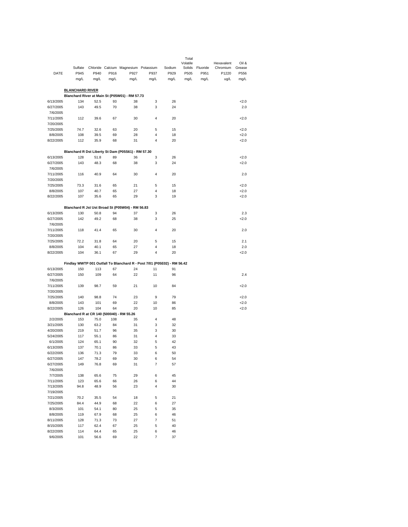|                        |                                           |              |          |                                                                         |                              |          | Total<br>Volatile |          | Hexavalent | Oil &      |
|------------------------|-------------------------------------------|--------------|----------|-------------------------------------------------------------------------|------------------------------|----------|-------------------|----------|------------|------------|
|                        | Sulfate                                   |              |          | Chloride Calcium Magnesium Potassium                                    |                              | Sodium   | Solids            | Fluoride | Chromium   | Grease     |
| DATE                   | P945                                      | P940         | P916     | P927                                                                    | P937                         | P929     | P505              | P951     | P1220      | P556       |
|                        | mg/L                                      | mg/L         | mg/L     | mg/L                                                                    | mg/L                         | mg/L     | mg/L              | mg/L     | ug/L       | mg/L       |
|                        | <b>BLANCHARD RIVER</b>                    |              |          |                                                                         |                              |          |                   |          |            |            |
|                        |                                           |              |          | Blanchard River at Main St (P05W01) - RM 57.73                          |                              |          |                   |          |            |            |
| 6/13/2005              | 134                                       | 52.5         | 93       | 38                                                                      | 3                            | 26       |                   |          |            | 2.0        |
| 6/27/2005              | 143                                       | 49.5         | 70       | 38                                                                      | 3                            | 24       |                   |          |            | 2.0        |
| 7/6/2005               |                                           |              |          |                                                                         |                              |          |                   |          |            |            |
| 7/11/2005              | 112                                       | 39.6         | 67       | 30                                                                      | 4                            | 20       |                   |          |            | 2.0        |
| 7/20/2005              |                                           |              |          |                                                                         |                              |          |                   |          |            |            |
| 7/25/2005              | 74.7                                      | 32.6         | 63       | 20                                                                      | 5                            | 15       |                   |          |            | 2.0        |
| 8/8/2005               | 108                                       | 39.5         | 69       | 28                                                                      | 4                            | 18       |                   |          |            | 2.0        |
| 8/22/2005              | 112                                       | 35.9         | 68       | 31                                                                      | $\overline{\mathbf{4}}$      | 20       |                   |          |            | 2.0        |
|                        |                                           |              |          | Blanchard R Dst Liberty St Dam (P05S61) - RM 57.30                      |                              |          |                   |          |            |            |
| 6/13/2005              | 128                                       | 51.8         | 89       | 36                                                                      | 3                            | 26       |                   |          |            | 2.0        |
| 6/27/2005              | 143                                       | 48.3         | 68       | 38                                                                      | 3                            | 24       |                   |          |            | 2.0        |
| 7/6/2005               |                                           |              |          |                                                                         |                              |          |                   |          |            |            |
| 7/11/2005              | 116                                       | 40.9         | 64       | 30                                                                      | 4                            | 20       |                   |          |            | 2.0        |
| 7/20/2005              |                                           |              |          |                                                                         |                              |          |                   |          |            |            |
| 7/25/2005              | 73.3                                      | 31.6         | 65       | 21                                                                      | 5                            | 15       |                   |          |            | 2.0        |
| 8/8/2005<br>8/22/2005  | 107<br>107                                | 40.7<br>35.6 | 65<br>65 | 27<br>29                                                                | 4<br>3                       | 18<br>19 |                   |          |            | 2.0<br>2.0 |
|                        |                                           |              |          |                                                                         |                              |          |                   |          |            |            |
|                        |                                           |              |          | Blanchard R Jst Ust Broad St (P05W04) - RM 56.83                        |                              |          |                   |          |            |            |
| 6/13/2005              | 130                                       | 50.8         | 94       | 37                                                                      | 3                            | 26       |                   |          |            | 2.3        |
| 6/27/2005              | 142                                       | 49.2         | 68       | 38                                                                      | 3                            | 25       |                   |          |            | 2.0        |
| 7/6/2005               |                                           |              |          |                                                                         |                              |          |                   |          |            |            |
| 7/11/2005              | 118                                       | 41.4         | 65       | 30                                                                      | 4                            | 20       |                   |          |            | 2.0        |
| 7/20/2005              |                                           |              |          |                                                                         |                              |          |                   |          |            |            |
| 7/25/2005              | 72.2                                      | 31.8         | 64       | 20                                                                      | 5                            | 15       |                   |          |            | 2.1        |
| 8/8/2005               | 104                                       | 40.1         | 65       | 27                                                                      | 4<br>$\overline{\mathbf{4}}$ | 18       |                   |          |            | 2.0<br>2.0 |
| 8/22/2005              | 104                                       | 36.1         | 67       | 29                                                                      |                              | 20       |                   |          |            |            |
|                        |                                           |              |          | Findlay WWTP 001 Outfall To Blanchard R - Post 7/01 (P05E02) - RM 56.42 |                              |          |                   |          |            |            |
| 6/13/2005              | 150                                       | 113          | 67       | 24                                                                      | 11                           | 91       |                   |          |            |            |
| 6/27/2005              | 150                                       | 109          | 64       | 22                                                                      | 11                           | 96       |                   |          |            | 2.4        |
| 7/6/2005               |                                           |              |          |                                                                         |                              |          |                   |          |            |            |
| 7/11/2005              | 139                                       | 98.7         | 59       | 21                                                                      | 10                           | 84       |                   |          |            | 2.0        |
| 7/20/2005              |                                           |              |          |                                                                         |                              |          |                   |          |            |            |
| 7/25/2005              | 140                                       | 98.8         | 74<br>69 | 23<br>22                                                                | 9                            | 79       |                   |          |            | 2.0        |
| 8/8/2005<br>8/22/2005  | 143<br>126                                | 101<br>104   | 64       | 20                                                                      | 10<br>10                     | 86<br>85 |                   |          |            | 2.0<br>2.0 |
|                        | Blanchard R at CR 140 (500040) - RM 55.26 |              |          |                                                                         |                              |          |                   |          |            |            |
| 2/2/2005               | 153                                       | 75.0         | 108      | 35                                                                      | 4                            | 48       |                   |          |            |            |
| 3/21/2005              | 130                                       | 63.2         | 84       | 31                                                                      | 3                            | 32       |                   |          |            |            |
| 4/20/2005              | 219                                       | 51.7         | 96       | 35                                                                      | 3                            | 30       |                   |          |            |            |
| 5/24/2005              | 117                                       | 55.1         | 86       | 31                                                                      | 4                            | 33       |                   |          |            |            |
| 6/1/2005               | 124                                       | 65.1         | 90       | 32                                                                      | 5                            | 42       |                   |          |            |            |
| 6/13/2005              | 137                                       | 70.1         | 86       | 33                                                                      | 5                            | 43       |                   |          |            |            |
| 6/22/2005              | 136                                       | 71.3         | 79       | 33                                                                      | 6                            | 50       |                   |          |            |            |
| 6/27/2005              | 147                                       | 78.2         | 69       | 30                                                                      | 6                            | 54       |                   |          |            |            |
| 6/27/2005<br>7/6/2005  | 149                                       | 76.8         | 69       | 31                                                                      | 7                            | 57       |                   |          |            |            |
| 7/7/2005               | 138                                       | 65.6         | 75       | 29                                                                      | 6                            | 45       |                   |          |            |            |
| 7/11/2005              | 123                                       | 65.6         | 66       | 26                                                                      | 6                            | 44       |                   |          |            |            |
| 7/13/2005              | 94.8                                      | 48.9         | 56       | 23                                                                      | 4                            | 30       |                   |          |            |            |
| 7/19/2005              |                                           |              |          |                                                                         |                              |          |                   |          |            |            |
| 7/21/2005              | 70.2                                      | 35.5         | 54       | 18                                                                      | 5                            | 21       |                   |          |            |            |
| 7/25/2005              | 84.4                                      | 44.9         | 68       | 22                                                                      | 6                            | 27       |                   |          |            |            |
| 8/3/2005               | 101                                       | 54.1         | 80       | 25                                                                      | 5                            | 35       |                   |          |            |            |
| 8/8/2005               | 119                                       | 67.9         | 68       | 25                                                                      | 6                            | 46       |                   |          |            |            |
| 8/11/2005              | 128                                       | 71.3         | 73       | 27                                                                      | 7                            | 51       |                   |          |            |            |
| 8/15/2005<br>8/22/2005 | 117<br>114                                | 62.4<br>64.4 | 67       | 25                                                                      | 5                            | 40<br>46 |                   |          |            |            |
| 9/6/2005               | 101                                       | 56.6         | 65<br>69 | 25<br>22                                                                | 6<br>7                       | 37       |                   |          |            |            |
|                        |                                           |              |          |                                                                         |                              |          |                   |          |            |            |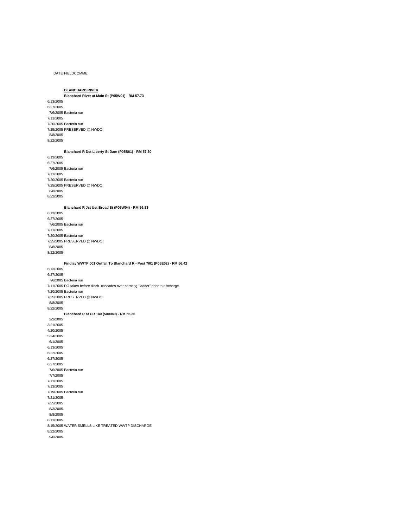### **BLANCHARD RIVER**

**Blanchard River at Main St (P05W01) - RM 57.73** 6/13/2005 6/27/2005 7/6/2005 Bacteria run 7/11/2005 7/20/2005 Bacteria run 7/25/2005 PRESERVED @ NWDO 8/8/2005 8/22/2005 **Blanchard R Dst Liberty St Dam (P05S61) - RM 57.30** 6/13/2005 6/27/2005 7/6/2005 Bacteria run 7/11/2005 7/20/2005 Bacteria run 7/25/2005 PRESERVED @ NWDO 8/8/2005 8/22/2005 **Blanchard R Jst Ust Broad St (P05W04) - RM 56.83** 6/13/2005 6/27/2005 7/6/2005 Bacteria run 7/11/2005 7/20/2005 Bacteria run 7/25/2005 PRESERVED @ NWDO 8/8/2005 8/22/2005 **Findlay WWTP 001 Outfall To Blanchard R - Post 7/01 (P05E02) - RM 56.42** 6/13/2005 6/27/2005 7/6/2005 Bacteria run 7/11/2005 DO taken before disch. cascades over aerating "ladder" prior to discharge. 7/20/2005 Bacteria run 7/25/2005 PRESERVED @ NWDO 8/8/2005 8/22/2005 **Blanchard R at CR 140 (500040) - RM 55.26** 2/2/2005 3/21/2005 4/20/2005 5/24/2005 6/1/2005 6/13/2005 6/22/2005 6/27/2005 6/27/2005 7/6/2005 Bacteria run 7/7/2005 7/11/2005 7/13/2005 7/19/2005 Bacteria run 7/21/2005 7/25/2005 8/3/2005 8/8/2005 8/11/2005 8/15/2005 WATER SMELLS LIKE TREATED WWTP DISCHARGE 8/22/2005 9/6/2005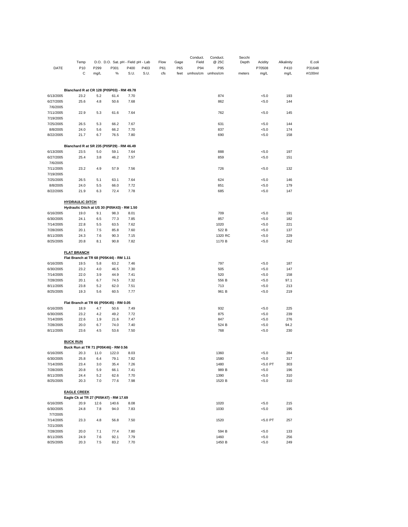|           |                                             |      |                                    |      |      |      |      | Conduct. | Conduct. | Secchi |           |            |         |
|-----------|---------------------------------------------|------|------------------------------------|------|------|------|------|----------|----------|--------|-----------|------------|---------|
|           | Temp                                        |      | D.O. D.O. Sat. pH - Field pH - Lab |      |      | Flow | Gage | Field    | @ 25C    | Depth  | Acidity   | Alkalinity | E.coli  |
| DATE      | P10                                         | P299 | P301                               | P400 | P403 | P61  | P65  | P94      | P95      |        | P70508    | P410       | P31648  |
|           | C                                           | mg/L | $\%$                               | S.U. | S.U. | cfs  | feet | umhos/cm | umhos/cm | meters | mg/L      | mg/L       | #/100ml |
|           |                                             |      |                                    |      |      |      |      |          |          |        |           |            |         |
|           |                                             |      |                                    |      |      |      |      |          |          |        |           |            |         |
|           | Blanchard R at CR 128 (P05P03) - RM 49.78   |      |                                    |      |      |      |      |          |          |        |           |            |         |
| 6/13/2005 | 23.2                                        | 5.2  | 61.4                               | 7.70 |      |      |      |          | 874      |        | < 5.0     | 193        |         |
| 6/27/2005 | 25.6                                        | 4.8  | 50.6                               | 7.68 |      |      |      |          | 862      |        | < 5.0     | 144        |         |
| 7/6/2005  |                                             |      |                                    |      |      |      |      |          |          |        |           |            |         |
| 7/11/2005 | 22.9                                        | 5.3  | 61.6                               | 7.64 |      |      |      |          | 762      |        | < 5.0     | 145        |         |
| 7/19/2005 |                                             |      |                                    |      |      |      |      |          |          |        |           |            |         |
| 7/25/2005 | 26.5                                        | 5.3  | 66.2                               | 7.67 |      |      |      |          | 631      |        | < 5.0     | 144        |         |
| 8/8/2005  | 24.0                                        | 5.6  | 66.2                               | 7.70 |      |      |      |          | 837      |        | < 5.0     | 174        |         |
| 8/22/2005 | 21.7                                        | 6.7  | 76.5                               | 7.80 |      |      |      |          | 690      |        | < 5.0     | 158        |         |
|           |                                             |      |                                    |      |      |      |      |          |          |        |           |            |         |
|           | Blanchard R at SR 235 (P05P29) - RM 46.49   |      |                                    |      |      |      |      |          |          |        |           |            |         |
| 6/13/2005 | 23.5                                        | 5.0  | 59.1                               | 7.64 |      |      |      |          | 888      |        | < 5.0     | 197        |         |
| 6/27/2005 | 25.4                                        | 3.8  | 46.2                               | 7.57 |      |      |      |          | 859      |        | < 5.0     | 151        |         |
| 7/6/2005  |                                             |      |                                    |      |      |      |      |          |          |        |           |            |         |
|           |                                             |      |                                    |      |      |      |      |          |          |        |           |            |         |
| 7/11/2005 | 23.2                                        | 4.9  | 57.9                               | 7.56 |      |      |      |          | 726      |        | < 5.0     | 132        |         |
| 7/19/2005 |                                             |      |                                    |      |      |      |      |          |          |        |           |            |         |
| 7/25/2005 | 26.5                                        | 5.1  | 63.1                               | 7.64 |      |      |      |          | 624      |        | < 5.0     | 146        |         |
| 8/8/2005  | 24.0                                        | 5.5  | 66.0                               | 7.72 |      |      |      |          | 851      |        | < 5.0     | 179        |         |
| 8/22/2005 | 21.9                                        | 6.3  | 72.4                               | 7.78 |      |      |      |          | 685      |        | < 5.0     | 147        |         |
|           |                                             |      |                                    |      |      |      |      |          |          |        |           |            |         |
|           | <b>HYDRAULIC DITCH</b>                      |      |                                    |      |      |      |      |          |          |        |           |            |         |
|           | Hydraulic Ditch at US 30 (P05K43) - RM 1.50 |      |                                    |      |      |      |      |          |          |        |           |            |         |
| 6/16/2005 | 19.0                                        | 9.1  | 98.3                               | 8.01 |      |      |      |          | 709      |        | < 5.0     | 191        |         |
| 6/30/2005 | 24.1                                        | 6.5  | 77.3                               | 7.85 |      |      |      |          | 857      |        | < 5.0     | 182        |         |
| 7/14/2005 | 22.8                                        | 5.5  | 63.5                               | 7.62 |      |      |      |          | 1020     |        | < 5.0     | 221        |         |
| 7/28/2005 | 20.1                                        | 7.5  | 85.8                               | 7.60 |      |      |      |          | 522 B    |        | < 5.0     | 137        |         |
| 8/11/2005 | 24.3                                        | 7.6  | 90.3                               | 7.15 |      |      |      |          | 1320 RC  |        | < 5.0     | 229        |         |
| 8/25/2005 | 20.8                                        | 8.1  | 90.8                               | 7.82 |      |      |      |          | 1170 B   |        |           | 242        |         |
|           |                                             |      |                                    |      |      |      |      |          |          |        | < 5.0     |            |         |
|           |                                             |      |                                    |      |      |      |      |          |          |        |           |            |         |
|           | <b>FLAT BRANCH</b>                          |      |                                    |      |      |      |      |          |          |        |           |            |         |
|           | Flat Branch at TR 68 (P05K44) - RM 1.11     |      |                                    |      |      |      |      |          |          |        |           |            |         |
| 6/16/2005 | 19.5                                        | 5.8  | 63.2                               | 7.46 |      |      |      |          | 797      |        | < 5.0     | 187        |         |
| 6/30/2005 | 23.2                                        | 4.0  | 46.5                               | 7.30 |      |      |      |          | 505      |        | < 5.0     | 147        |         |
| 7/14/2005 | 22.0                                        | 3.9  | 44.9                               | 7.41 |      |      |      |          | 520      |        | < 5.0     | 158        |         |
| 7/28/2005 | 20.1                                        | 6.7  | 74.5                               | 7.32 |      |      |      |          | 556 B    |        | < 5.0     | 97.1       |         |
| 8/11/2005 | 23.8                                        | 5.2  | 62.0                               | 7.51 |      |      |      |          | 713      |        | < 5.0     | 213        |         |
| 8/25/2005 | 19.3                                        | 5.6  | 60.5                               | 7.77 |      |      |      |          | 961 B    |        | < 5.0     | 219        |         |
|           |                                             |      |                                    |      |      |      |      |          |          |        |           |            |         |
|           | Flat Branch at TR 66 (P05K45) - RM 0.05     |      |                                    |      |      |      |      |          |          |        |           |            |         |
| 6/16/2005 | 18.9                                        | 4.7  | 50.6                               | 7.49 |      |      |      |          | 932      |        | < 5.0     | 225        |         |
| 6/30/2005 | 23.2                                        | 4.2  | 49.2                               | 7.72 |      |      |      |          | 875      |        | < 5.0     | 239        |         |
| 7/14/2005 | 22.6                                        | 1.9  | 21.6                               | 7.47 |      |      |      |          | 847      |        | < 5.0     | 276        |         |
| 7/28/2005 | 20.0                                        | 6.7  | 74.0                               | 7.40 |      |      |      |          | 524 B    |        | < 5.0     | 94.2       |         |
| 8/11/2005 | 23.6                                        | 4.5  | 53.6                               | 7.50 |      |      |      |          | 768      |        | < 5.0     | 230        |         |
|           |                                             |      |                                    |      |      |      |      |          |          |        |           |            |         |
|           | <b>BUCK RUN</b>                             |      |                                    |      |      |      |      |          |          |        |           |            |         |
|           | Buck Run at TR 71 (P05K46) - RM 0.56        |      |                                    |      |      |      |      |          |          |        |           |            |         |
| 6/16/2005 | 20.3                                        |      | 11.0 122.0                         | 8.03 |      |      |      |          | 1360     |        | < 5.0     | 284        |         |
| 6/30/2005 | 25.8                                        | 6.4  | 79.1                               | 7.82 |      |      |      |          | 1580     |        | 5.0       | 317        |         |
| 7/14/2005 | 23.4                                        | 3.0  | 35.4                               | 7.26 |      |      |      |          | 1480     |        | $<5.0$ PT | 303        |         |
|           |                                             |      |                                    |      |      |      |      |          |          |        |           |            |         |
| 7/28/2005 | 20.8                                        | 5.9  | 66.1                               | 7.41 |      |      |      |          | 989 B    |        | < 5.0     | 196        |         |
| 8/11/2005 | 24.4                                        | 5.2  | 62.6                               | 7.70 |      |      |      |          | 1390     |        | < 5.0     | 310        |         |
| 8/25/2005 | 20.3                                        | 7.0  | 77.6                               | 7.98 |      |      |      |          | 1520 B   |        | < 5.0     | 310        |         |
|           |                                             |      |                                    |      |      |      |      |          |          |        |           |            |         |
|           | <b>EAGLE CREEK</b>                          |      |                                    |      |      |      |      |          |          |        |           |            |         |
|           | Eagle Ck at TR 27 (P05K47) - RM 17.69       |      |                                    |      |      |      |      |          |          |        |           |            |         |
| 6/16/2005 | 20.9                                        | 12.6 | 140.6                              | 8.08 |      |      |      |          | 1020     |        | < 5.0     | 215        |         |
| 6/30/2005 | 24.8                                        | 7.8  | 94.0                               | 7.83 |      |      |      |          | 1030     |        | < 5.0     | 195        |         |
| 7/7/2005  |                                             |      |                                    |      |      |      |      |          |          |        |           |            |         |
| 7/14/2005 | 23.3                                        | 4.8  | 56.8                               | 7.50 |      |      |      |          | 1520     |        | <5.0 PT   | 257        |         |
| 7/21/2005 |                                             |      |                                    |      |      |      |      |          |          |        |           |            |         |
| 7/28/2005 | 20.0                                        | 7.1  | 77.4                               | 7.80 |      |      |      |          | 594 B    |        | < 5.0     | 133        |         |
| 8/11/2005 | 24.9                                        | 7.6  | 92.1                               | 7.79 |      |      |      |          | 1460     |        | 5.0       | 256        |         |
| 8/25/2005 | 20.3                                        | 7.5  | 83.2                               | 7.70 |      |      |      |          | 1450 B   |        | < 5.0     | 249        |         |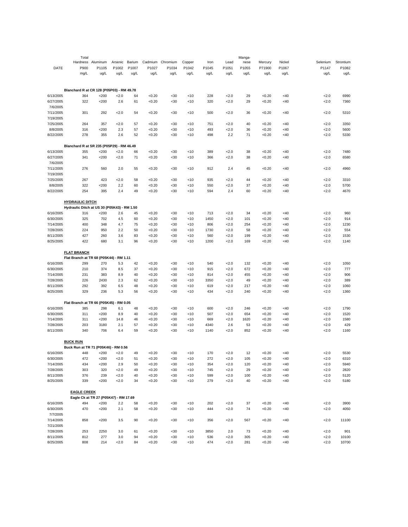|                        | Total                                                   |                                       |         |        |       |                  |        |       |       | Manga- |         |        |          |           |
|------------------------|---------------------------------------------------------|---------------------------------------|---------|--------|-------|------------------|--------|-------|-------|--------|---------|--------|----------|-----------|
|                        | Hardness                                                | Aluminum                              | Arsenic | Barium |       | Cadmium Chromium | Copper | Iron  | Lead  | nese   | Mercury | Nickel | Selenium | Strontium |
| DATE                   | P900                                                    | P1105                                 | P1002   | P1007  | P1027 | P1034            | P1042  | P1045 | P1051 | P1055  | P71900  | P1067  | P1147    | P1082     |
|                        | mg/L                                                    | ug/L                                  | ug/L    | ug/L   | ug/L  | ug/L             | ug/L   | ug/L  | ug/L  | ug/L   | ug/L    | ug/L   | ug/L     | ug/L      |
|                        |                                                         |                                       |         |        |       |                  |        |       |       |        |         |        |          |           |
|                        | Blanchard R at CR 128 (P05P03) - RM 49.78               |                                       |         |        |       |                  |        |       |       |        |         |        |          |           |
| 6/13/2005              | 364                                                     | $200$                                 | 2.0     | 64     | <0.20 | $30$             | <10    | 228   | 2.0   | 29     | <0.20   | <40    | 2.0      | 6990      |
| 6/27/2005<br>7/6/2005  | 322                                                     | $200$                                 | 2.6     | 61     | <0.20 | $30$             | < 10   | 320   | 2.0   | 29     | < 0.20  | <40    | 2.0      | 7360      |
| 7/11/2005              | 301                                                     | 292                                   | 2.0     | 54     | <0.20 | $30$             | < 10   | 500   | 2.0   | 36     | < 0.20  | <40    | 2.0      | 5310      |
| 7/19/2005<br>7/25/2005 | 264                                                     | 357                                   | 2.0     | 57     | <0.20 | $30$             | < 10   | 751   | 2.0   | 40     | < 0.20  | <40    | 2.0      | 3350      |
| 8/8/2005               | 316                                                     | $200$                                 | 2.3     | 57     | <0.20 | $30$             | < 10   | 493   | 2.0   | 36     | < 0.20  | <40    | 2.0      | 5600      |
| 8/22/2005              | 278                                                     | 355                                   | 2.6     | 52     | <0.20 | $30$             | <10    | 498   | 2.2   | 71     | < 0.20  | <40    | 2.0      | 5330      |
|                        | Blanchard R at SR 235 (P05P29) - RM 46.49               |                                       |         |        |       |                  |        |       |       |        |         |        |          |           |
| 6/13/2005              | 355                                                     | $200$                                 | 2.0     | 66     | <0.20 | $30$             | <10    | 389   | 2.0   | 38     | <0.20   | <40    | 2.0      | 7480      |
| 6/27/2005              | 341                                                     | $200$                                 | 2.0     | 71     | <0.20 | $30$             | < 10   | 366   | 2.0   | 38     | < 0.20  | <40    | 2.0      | 6580      |
| 7/6/2005               |                                                         |                                       |         |        |       |                  |        |       |       |        |         |        |          |           |
| 7/11/2005<br>7/19/2005 | 276                                                     | 560                                   | 2.0     | 55     | <0.20 | $30$             | < 10   | 912   | 2.4   | 45     | < 0.20  | <40    | 2.0      | 4960      |
| 7/25/2005              | 267                                                     | 423                                   | 2.0     | 58     | <0.20 | $30$             | < 10   | 935   | 2.0   | 44     | < 0.20  | <40    | 2.0      | 3310      |
| 8/8/2005               | 322                                                     | $200$                                 | 2.2     | 60     | <0.20 | $30$             | < 10   | 550   | 2.0   | 37     | < 0.20  | <40    | 2.0      | 5700      |
| 8/22/2005              | 254                                                     | 395                                   | 2.4     | 49     | <0.20 | $30$             | <10    | 594   | 2.4   | 60     | < 0.20  | <40    | 2.0      | 4670      |
|                        | <b>HYDRAULIC DITCH</b>                                  |                                       |         |        |       |                  |        |       |       |        |         |        |          |           |
|                        | Hydraulic Ditch at US 30 (P05K43) - RM 1.50             |                                       |         |        |       |                  |        |       |       |        |         |        |          |           |
| 6/16/2005              | 316                                                     | < 200                                 | 2.6     | 45     | <0.20 | $30$             | < 10   | 713   | 2.0   | 34     | < 0.20  | <40    | 2.0      | 960       |
| 6/30/2005              | 325                                                     | 702                                   | 4.5     | 60     | <0.20 | $30$             | < 10   | 1450  | 2.0   | 101    | < 0.20  | <40    | 2.0      | 914       |
| 7/14/2005              | 400                                                     | 348                                   | 4.7     | 75     | <0.20 | $30$             | < 10   | 806   | 2.0   | 254    | < 0.20  | <40    | 2.0      | 1230      |
| 7/28/2005              | 224                                                     | 950                                   | 2.2     | 50     | <0.20 | <30              | <10    | 1730  | 2.0   | 58     | < 0.20  | <40    | 2.0      | 554       |
| 8/11/2005              | 427                                                     | 260                                   | 3.6     | 83     | <0.20 | $30$             | < 10   | 560   | 2.0   | 199    | < 0.20  | <40    | 2.0      | 1530      |
| 8/25/2005              | 422                                                     | 680                                   | 3.1     | 96     | <0.20 | $30$             | < 10   | 1200  | 2.0   | 169    | < 0.20  | <40    | 2.0      | 1140      |
|                        | <b>FLAT BRANCH</b>                                      |                                       |         |        |       |                  |        |       |       |        |         |        |          |           |
|                        | Flat Branch at TR 68 (P05K44) - RM 1.11                 |                                       |         |        |       |                  |        |       |       |        |         |        |          |           |
| 6/16/2005              | 299                                                     | 270                                   | 5.3     | 42     | <0.20 | $30$             | < 10   | 540   | 2.0   | 132    | < 0.20  | <40    | 2.0      | 1050      |
| 6/30/2005              | 210                                                     | 374                                   | 8.5     | 37     | <0.20 | $30$             | < 10   | 915   | 2.0   | 672    | < 0.20  | <40    | 2.0      | 777       |
| 7/14/2005              | 231                                                     | 383                                   | 8.9     | 40     | <0.20 | $30$             | <10    | 814   | 2.0   | 455    | < 0.20  | <40    | 2.0      | 906       |
| 7/28/2005              | 226                                                     | 2430                                  | 2.3     | 62     | <0.20 | $30$             | < 10   | 3350  | 2.0   | 49     | < 0.20  | <40    | 2.0      | 389       |
| 8/11/2005              | 292                                                     | 392                                   | 6.5     | 48     | <0.20 | <30              | <10    | 619   | 2.0   | 217    | < 0.20  | <40    | 2.0      | 1060      |
| 8/25/2005              | 329                                                     | 236                                   | 5.3     | 56     | <0.20 | $30$             | < 10   | 434   | 2.0   | 240    | < 0.20  | <40    | 2.0      | 1360      |
|                        | Flat Branch at TR 66 (P05K45) - RM 0.05                 |                                       |         |        |       |                  |        |       |       |        |         |        |          |           |
| 6/16/2005              | 385                                                     | 298                                   | 6.1     | 48     | <0.20 | $30$             | < 10   | 600   | 2.0   | 246    | < 0.20  | <40    | 2.0      | 1790      |
| 6/30/2005              | 311                                                     | $200$                                 | 8.9     | 40     | <0.20 | $30$             | < 10   | 507   | 2.0   | 654    | < 0.20  | <40    | 2.0      | 1520      |
| 7/14/2005              | 311                                                     | $200$                                 | 14.8    | 46     | <0.20 | $30$             | < 10   | 669   | 2.0   | 1620   | < 0.20  | <40    | 2.0      | 1580      |
| 7/28/2005              | 203                                                     | 3180                                  | 2.1     | 57     | <0.20 | $30$             | < 10   | 4340  | 2.6   | 53     | < 0.20  | <40    | 2.0      | 429       |
| 8/11/2005              | 340                                                     | 706                                   | 6.4     | 59     | <0.20 | $30$             | <10    | 1140  | 2.0   | 852    | <0.20   | <40    | 2.0      | 1160      |
|                        |                                                         |                                       |         |        |       |                  |        |       |       |        |         |        |          |           |
|                        | <b>BUCK RUN</b><br>Buck Run at TR 71 (P05K46) - RM 0.56 |                                       |         |        |       |                  |        |       |       |        |         |        |          |           |
| 6/16/2005              | 448                                                     | <200                                  | 2.0     | 49     | <0.20 | -30              | <10    | 170   | 2.0   | 12     | <0.20   | <40    | 2.0      | 5530      |
| 6/30/2005              | 472                                                     | $200$                                 | 2.0     | 51     | <0.20 | $30$             | < 10   | 272   | 2.0   | 105    | < 0.20  | <40    | 2.0      | 6310      |
| 7/14/2005              | 434                                                     | $<$ 200                               | 2.9     | 50     | <0.20 | $30$             | < 10   | 354   | 2.0   | 120    | < 0.20  | <40    | 2.0      | 5940      |
| 7/28/2005              | 303                                                     | 320                                   | 2.0     | 49     | <0.20 | $30$             | <10    | 745   | 2.0   | 29     | < 0.20  | <40    | 2.0      | 2820      |
| 8/11/2005              | 376                                                     | 239                                   | 2.0     | 40     | <0.20 | $30$             | <10    | 599   | 2.0   | 100    | < 0.20  | <40    | 2.0      | 5120      |
| 8/25/2005              | 339                                                     | $200$                                 | 2.0     | 34     | <0.20 | $30$             | <10    | 279   | 2.0   | 40     | <0.20   | <40    | 2.0      | 5180      |
|                        | <b>EAGLE CREEK</b>                                      |                                       |         |        |       |                  |        |       |       |        |         |        |          |           |
|                        |                                                         | Eagle Ck at TR 27 (P05K47) - RM 17.69 |         |        |       |                  |        |       |       |        |         |        |          |           |
| 6/16/2005              | 494                                                     | $200$                                 | 2.2     | 58     | <0.20 | $30$             | < 10   | 202   | 2.0   | 37     | < 0.20  | $<40$  | 2.0      | 3900      |
| 6/30/2005              | 470                                                     | $200$                                 | 2.1     | 58     | <0.20 | $30$             | < 10   | 444   | 2.0   | 74     | <0.20   | <40    | 2.0      | 4050      |
| 7/7/2005               |                                                         |                                       |         |        |       |                  |        |       |       |        |         |        |          |           |
| 7/14/2005              | 858                                                     | $200$                                 | 3.5     | 90     | <0.20 | $30$             | <10    | 356   | 2.0   | 567    | <0.20   | <40    | 2.0      | 11100     |
| 7/21/2005              |                                                         |                                       |         |        |       |                  |        |       |       |        |         |        |          |           |
| 7/28/2005              | 253                                                     | 2250                                  | 3.0     | 61     | <0.20 | $30$             | < 10   | 3850  | 2.0   | 73     | <0.20   | <40    | 2.0      | 901       |
| 8/11/2005              | 812                                                     | 277                                   | 3.0     | 94     | <0.20 | $30$             | < 10   | 536   | 2.0   | 305    | <0.20   | <40    | 2.0      | 10100     |
| 8/25/2005              | 808                                                     | 214                                   | 2.0     | 84     | <0.20 | $30$             | < 10   | 474   | 2.0   | 281    | < 0.20  | <40    | 2.0      | 10700     |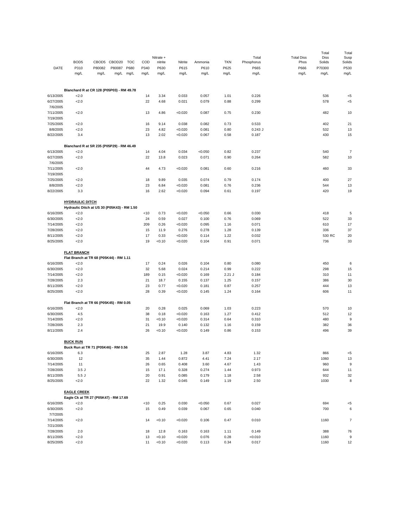|           |                                             |        |        |            |      |                      |         |         |            |                     |                           | Total          | Total                    |
|-----------|---------------------------------------------|--------|--------|------------|------|----------------------|---------|---------|------------|---------------------|---------------------------|----------------|--------------------------|
|           | BOD <sub>5</sub>                            | CBOD5  | CBOD20 | <b>TOC</b> | COD  | Nitrate +<br>nitrite | Nitrite | Ammonia | <b>TKN</b> | Total<br>Phosphorus | <b>Total Diss</b><br>Phos | Diss<br>Solids | Susp<br>Solids           |
| DATE      | P310                                        | P80082 | P80087 | P680       | P340 | P630                 | P615    | P610    | P625       | P665                | P666                      | P70300         | P530                     |
|           | mg/L                                        | mg/L   |        | mg/L mg/L  | mg/L | mg/L                 | mg/L    | mg/L    | mg/L       | mg/L                | mg/L                      | mg/L           | mg/L                     |
|           |                                             |        |        |            |      |                      |         |         |            |                     |                           |                |                          |
|           |                                             |        |        |            |      |                      |         |         |            |                     |                           |                |                          |
|           | Blanchard R at CR 128 (P05P03) - RM 49.78   |        |        |            |      |                      |         |         |            |                     |                           |                |                          |
| 6/13/2005 | 2.0                                         |        |        |            | 14   | 3.34                 | 0.033   | 0.057   | 1.01       | 0.226               |                           | 536            | $<$ 5                    |
| 6/27/2005 | 2.0                                         |        |        |            | 22   | 4.68                 | 0.021   | 0.079   | 0.88       | 0.299               |                           | 578            | $<$ 5                    |
| 7/6/2005  |                                             |        |        |            |      |                      |         |         |            |                     |                           |                |                          |
| 7/11/2005 | 2.0                                         |        |        |            | 13   | 4.86                 | < 0.020 | 0.087   | 0.75       | 0.230               |                           | 482            | 10                       |
| 7/19/2005 |                                             |        |        |            |      |                      |         |         |            |                     |                           |                |                          |
| 7/25/2005 | 2.0                                         |        |        |            | 16   | 9.14                 | 0.038   | 0.082   | 0.73       | 0.533               |                           | 402            | 21                       |
| 8/8/2005  | 2.0                                         |        |        |            | 23   | 4.82                 | < 0.020 | 0.081   | 0.80       | $0.243$ J           |                           | 532            | 13                       |
| 8/22/2005 | 3.4                                         |        |        |            | 13   | 2.02                 | < 0.020 | 0.067   | 0.58       | 0.187               |                           | 430            | 15                       |
|           | Blanchard R at SR 235 (P05P29) - RM 46.49   |        |        |            |      |                      |         |         |            |                     |                           |                |                          |
| 6/13/2005 | 2.0                                         |        |        |            | 14   | 4.04                 | 0.034   | < 0.050 | 0.82       | 0.237               |                           | 540            | $\overline{7}$           |
| 6/27/2005 | 2.0                                         |        |        |            | 22   | 13.8                 | 0.023   | 0.071   | 0.90       | 0.264               |                           | 582            | 10                       |
| 7/6/2005  |                                             |        |        |            |      |                      |         |         |            |                     |                           |                |                          |
| 7/11/2005 | 2.0                                         |        |        |            | 44   | 4.73                 | < 0.020 | 0.081   | 0.60       | 0.216               |                           | 460            | 33                       |
| 7/19/2005 |                                             |        |        |            |      |                      |         |         |            |                     |                           |                |                          |
| 7/25/2005 | 2.0                                         |        |        |            | 18   | 9.89                 | 0.035   | 0.074   | 0.79       | 0.174               |                           | 400            | 27                       |
| 8/8/2005  |                                             |        |        |            | 23   | 6.84                 | < 0.020 | 0.081   | 0.76       | 0.236               |                           | 544            | 13                       |
| 8/22/2005 | 2.0                                         |        |        |            | 16   | 2.62                 | < 0.020 | 0.094   | 0.61       | 0.197               |                           | 420            | 19                       |
|           | 3.3                                         |        |        |            |      |                      |         |         |            |                     |                           |                |                          |
|           | <b>HYDRAULIC DITCH</b>                      |        |        |            |      |                      |         |         |            |                     |                           |                |                          |
|           | Hydraulic Ditch at US 30 (P05K43) - RM 1.50 |        |        |            |      |                      |         |         |            |                     |                           |                |                          |
| 6/16/2005 | 2.0                                         |        |        |            | < 10 | 0.73                 | < 0.020 | < 0.050 | 0.66       | 0.030               |                           | 418            | 5                        |
| 6/30/2005 | 2.0                                         |        |        |            | 24   | 0.59                 | 0.027   | 0.100   | 0.76       | 0.069               |                           | 522            | 33                       |
| 7/14/2005 | 2.0                                         |        |        |            | 209  | 0.26                 | < 0.020 | 0.095   | 1.16       | 0.071               |                           | 610            | 17                       |
| 7/28/2005 | 2.0                                         |        |        |            | 15   | 11.9                 | 0.276   | 0.278   | 1.28       | 0.139               |                           | 336            | 37                       |
| 8/11/2005 | 2.0                                         |        |        |            | 17   | 0.33                 | < 0.020 | 0.114   | 1.22       | 0.032               |                           | 530 RC         | 20                       |
| 8/25/2005 | 2.0                                         |        |        |            | 19   | <0.10                | < 0.020 | 0.104   | 0.91       | 0.071               |                           | 736            | 33                       |
|           |                                             |        |        |            |      |                      |         |         |            |                     |                           |                |                          |
|           | <b>FLAT BRANCH</b>                          |        |        |            |      |                      |         |         |            |                     |                           |                |                          |
|           | Flat Branch at TR 68 (P05K44) - RM 1.11     |        |        |            |      |                      |         |         |            |                     |                           |                |                          |
| 6/16/2005 | 2.0                                         |        |        |            | 17   | 0.24                 | 0.026   | 0.104   | 0.80       | 0.080               |                           | 450            | 6                        |
| 6/30/2005 | 2.0                                         |        |        |            | 32   | 5.68                 | 0.024   | 0.214   | 0.99       | 0.222               |                           | 298            | 15                       |
| 7/14/2005 | 2.0                                         |        |        |            | 189  | 0.15                 | < 0.020 | 0.169   | $2.21$ J   | 0.184               |                           | 310            | 11                       |
| 7/28/2005 | 2.3                                         |        |        |            | 21   | 18.7                 | 0.155   | 0.137   | 1.25       | 0.157               |                           | 386            | 30                       |
| 8/11/2005 | 2.0                                         |        |        |            | 23   | 0.77                 | < 0.020 | 0.181   | 0.87       | 0.257               |                           | 444            | 13<br>11                 |
| 8/25/2005 | 2.0                                         |        |        |            | 28   | 0.39                 | < 0.020 | 0.145   | 1.24       | 0.164               |                           | 606            |                          |
|           | Flat Branch at TR 66 (P05K45) - RM 0.05     |        |        |            |      |                      |         |         |            |                     |                           |                |                          |
| 6/16/2005 | 2.0                                         |        |        |            | 20   | 0.28                 | 0.025   | 0.069   | 1.03       | 0.223               |                           | 570            | 10                       |
| 6/30/2005 | 4.5                                         |        |        |            | 38   | 0.18                 | < 0.020 | 0.163   | 1.27       | 0.412               |                           | 512            | 12                       |
| 7/14/2005 | 2.0                                         |        |        |            | 31   | <0.10                | < 0.020 | 0.314   | 0.64       | 0.310               |                           | 480            | 9                        |
| 7/28/2005 | 2.3                                         |        |        |            | 21   | 19.9                 | 0.140   | 0.132   | 1.16       | 0.159               |                           | 382            | 36                       |
| 8/11/2005 | 2.4                                         |        |        |            | 26   | < 0.10               | < 0.020 | 0.149   | 0.86       | 0.153               |                           | 496            | 39                       |
|           |                                             |        |        |            |      |                      |         |         |            |                     |                           |                |                          |
|           | <b>BUCK RUN</b>                             |        |        |            |      |                      |         |         |            |                     |                           |                |                          |
|           | Buck Run at TR 71 (P05K46) - RM 0.56        |        |        |            |      |                      |         |         |            |                     |                           |                |                          |
| 6/16/2005 | 6.3                                         |        |        |            | 25   | 2.87                 | 1.28    | 3.87    | 4.83       | 1.32                |                           | 866            | $<$ 5                    |
| 6/30/2005 | 12                                          |        |        |            | 35   | 1.44                 | 0.872   | 4.41    | 7.24       | 2.17                |                           | 1060           | 13                       |
| 7/14/2005 | 11                                          |        |        |            | 26   | 0.65                 | 0.408   | 3.60    | 4.67       | 1.43                |                           | 960            | $\mathsf g$              |
| 7/28/2005 | 3.5J                                        |        |        |            | 15   | 17.1                 | 0.328   | 0.274   | 1.44       | 0.973               |                           | 644            | 11                       |
| 8/11/2005 | 5.5J                                        |        |        |            | 20   | 0.91                 | 0.085   | 0.179   | 1.18       | 2.58                |                           | 932            | 32                       |
| 8/25/2005 | 2.0                                         |        |        |            | 22   | 1.32                 | 0.045   | 0.149   | 1.19       | 2.50                |                           | 1030           | 8                        |
|           | <b>EAGLE CREEK</b>                          |        |        |            |      |                      |         |         |            |                     |                           |                |                          |
|           | Eagle Ck at TR 27 (P05K47) - RM 17.69       |        |        |            |      |                      |         |         |            |                     |                           |                |                          |
| 6/16/2005 | 2.0                                         |        |        |            | < 10 | 0.25                 | 0.030   | < 0.050 | 0.67       | 0.027               |                           | 694            | $<$ 5                    |
| 6/30/2005 | 2.0                                         |        |        |            | 15   | 0.49                 | 0.039   | 0.067   | 0.65       | 0.040               |                           | 700            | 6                        |
| 7/7/2005  |                                             |        |        |            |      |                      |         |         |            |                     |                           |                |                          |
| 7/14/2005 | 2.0                                         |        |        |            | 14   | < 0.10               | < 0.020 | 0.106   | 0.47       | 0.010               |                           | 1160           | $\overline{\mathcal{I}}$ |
| 7/21/2005 |                                             |        |        |            |      |                      |         |         |            |                     |                           |                |                          |
| 7/28/2005 | 2.0                                         |        |        |            | 18   | 12.8                 | 0.163   | 0.163   | 1.11       | 0.149               |                           | 388            | 76                       |
| 8/11/2005 | 2.0                                         |        |        |            | 13   | < 0.10               | < 0.020 | 0.076   | 0.28       | < 0.010             |                           | 1160           | 9                        |
| 8/25/2005 | 2.0                                         |        |        |            | 11   | < 0.10               | < 0.020 | 0.113   | 0.34       | 0.017               |                           | 1160           | 12                       |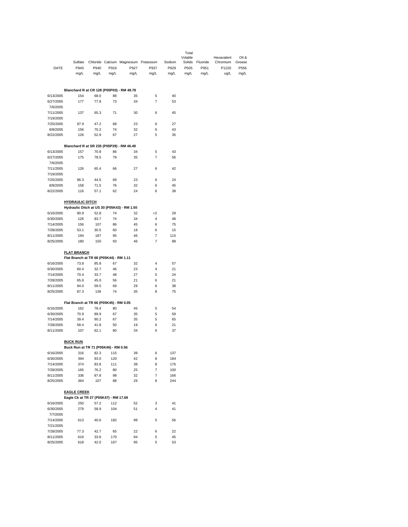|           |                                                             |      |      |                                      |      |        | Total    |          |            |        |
|-----------|-------------------------------------------------------------|------|------|--------------------------------------|------|--------|----------|----------|------------|--------|
|           |                                                             |      |      |                                      |      |        | Volatile |          | Hexavalent | Oil &  |
|           | Sulfate                                                     |      |      | Chloride Calcium Magnesium Potassium |      | Sodium | Solids   | Fluoride | Chromium   | Grease |
| DATE      | P945                                                        | P940 | P916 | P927                                 | P937 | P929   | P505     | P951     | P1220      | P556   |
|           | mg/L                                                        | mg/L | mg/L | mg/L                                 | mg/L | mg/L   | mg/L     | mg/L     | ug/L       | mg/L   |
|           |                                                             |      |      |                                      |      |        |          |          |            |        |
|           |                                                             |      |      |                                      |      |        |          |          |            |        |
|           | Blanchard R at CR 128 (P05P03) - RM 49.78                   |      |      |                                      |      |        |          |          |            |        |
| 6/13/2005 | 154                                                         | 68.0 | 88   | 35                                   | 5    | 40     |          |          |            |        |
| 6/27/2005 | 177                                                         | 77.8 | 73   | 34                                   | 7    | 53     |          |          |            |        |
| 7/6/2005  |                                                             |      |      |                                      |      |        |          |          |            |        |
| 7/11/2005 | 137                                                         | 65.3 | 71   | 30                                   | 6    | 45     |          |          |            |        |
| 7/19/2005 |                                                             |      |      |                                      |      |        |          |          |            |        |
| 7/25/2005 | 97.9                                                        | 47.2 | 68   | 23                                   | 6    | 27     |          |          |            |        |
|           |                                                             |      | 74   |                                      |      | 43     |          |          |            |        |
| 8/8/2005  | 156                                                         | 70.2 |      | 32                                   | 6    |        |          |          |            |        |
| 8/22/2005 | 126                                                         | 52.9 | 67   | 27                                   | 5    | 35     |          |          |            |        |
|           |                                                             |      |      |                                      |      |        |          |          |            |        |
|           | Blanchard R at SR 235 (P05P29) - RM 46.49                   |      |      |                                      |      |        |          |          |            |        |
| 6/13/2005 | 157                                                         | 70.8 | 86   | 34                                   | 5    | 43     |          |          |            |        |
| 6/27/2005 | 175                                                         | 78.5 | 79   | 35                                   | 7    | 56     |          |          |            |        |
| 7/6/2005  |                                                             |      |      |                                      |      |        |          |          |            |        |
| 7/11/2005 | 126                                                         | 65.4 | 66   | 27                                   | 6    | 42     |          |          |            |        |
| 7/19/2005 |                                                             |      |      |                                      |      |        |          |          |            |        |
| 7/25/2005 | 96.3                                                        | 44.5 | 69   | 23                                   | 6    | 24     |          |          |            |        |
| 8/8/2005  | 158                                                         | 71.5 | 76   | 32                                   | 6    | 45     |          |          |            |        |
| 8/22/2005 | 116                                                         | 57.1 | 62   | 24                                   | 6    | 39     |          |          |            |        |
|           |                                                             |      |      |                                      |      |        |          |          |            |        |
|           | <b>HYDRAULIC DITCH</b>                                      |      |      |                                      |      |        |          |          |            |        |
|           | Hydraulic Ditch at US 30 (P05K43) - RM 1.50                 |      |      |                                      |      |        |          |          |            |        |
| 6/16/2005 | 90.9                                                        | 52.8 | 74   | 32                                   | <2   | 29     |          |          |            |        |
| 6/30/2005 | 126                                                         | 83.7 | 74   | 34                                   | 4    | 48     |          |          |            |        |
| 7/14/2005 | 156                                                         | 107  | 86   | 45                                   | 6    | 75     |          |          |            |        |
| 7/28/2005 | 53.1                                                        | 30.5 | 60   | 18                                   | 6    | 15     |          |          |            |        |
| 8/11/2005 | 194                                                         | 187  | 95   | 46                                   | 7    | 115    |          |          |            |        |
|           | 180                                                         |      | 93   | 46                                   | 7    | 88     |          |          |            |        |
| 8/25/2005 |                                                             | 150  |      |                                      |      |        |          |          |            |        |
|           | <b>FLAT BRANCH</b>                                          |      |      |                                      |      |        |          |          |            |        |
|           |                                                             |      |      |                                      |      |        |          |          |            |        |
|           | Flat Branch at TR 68 (P05K44) - RM 1.11                     |      |      |                                      |      |        |          |          |            |        |
| 6/16/2005 | 73.8                                                        | 85.8 | 67   | 32                                   | 4    | 57     |          |          |            |        |
| 6/30/2005 | 60.4                                                        | 32.7 | 46   | 23                                   | 4    | 21     |          |          |            |        |
| 7/14/2005 | 70.4                                                        | 33.7 | 48   | 27                                   | 5    | 24     |          |          |            |        |
| 7/28/2005 | 65.6                                                        | 45.0 | 56   | 21                                   | 6    | 21     |          |          |            |        |
| 8/11/2005 | 94.0                                                        | 59.5 | 69   | 29                                   | 6    | 38     |          |          |            |        |
| 8/25/2005 | 87.3                                                        | 136  | 74   | 35                                   | 8    | 75     |          |          |            |        |
|           |                                                             |      |      |                                      |      |        |          |          |            |        |
|           | Flat Branch at TR 66 (P05K45) - RM 0.05                     |      |      |                                      |      |        |          |          |            |        |
| 6/16/2005 | 162                                                         | 78.4 | 80   | 45                                   | 5    | 54     |          |          |            |        |
| 6/30/2005 | 70.9                                                        | 89.9 | 67   | 35                                   | 5    | 59     |          |          |            |        |
| 7/14/2005 | 39.4                                                        | 90.2 | 67   | 35                                   | 5    | 65     |          |          |            |        |
| 7/28/2005 | 58.4                                                        | 41.8 | 50   | 19                                   | 6    | 21     |          |          |            |        |
| 8/11/2005 | 107                                                         | 62.1 | 80   | 34                                   | 6    | 37     |          |          |            |        |
|           |                                                             |      |      |                                      |      |        |          |          |            |        |
|           | <b>BUCK RUN</b>                                             |      |      |                                      |      |        |          |          |            |        |
|           | Buck Run at TR 71 (P05K46) - RM 0.56                        |      |      |                                      |      |        |          |          |            |        |
| 6/16/2005 | 316                                                         | 82.3 | 115  | 39                                   | 6    | 137    |          |          |            |        |
| 6/30/2005 | 394                                                         | 93.0 | 120  | 42                                   | 8    | 184    |          |          |            |        |
| 7/14/2005 | 374                                                         | 83.8 | 111  | 38                                   | 8    | 176    |          |          |            |        |
| 7/28/2005 | 165                                                         | 76.2 | 80   | 25                                   | 7    | 100    |          |          |            |        |
| 8/11/2005 | 336                                                         | 87.8 | 98   | 32                                   | 7    | 166    |          |          |            |        |
| 8/25/2005 | 364                                                         | 107  | 88   | 29                                   | 8    | 244    |          |          |            |        |
|           |                                                             |      |      |                                      |      |        |          |          |            |        |
|           |                                                             |      |      |                                      |      |        |          |          |            |        |
|           | <b>EAGLE CREEK</b><br>Eagle Ck at TR 27 (P05K47) - RM 17.69 |      |      |                                      |      |        |          |          |            |        |
|           |                                                             |      |      |                                      |      | 41     |          |          |            |        |
| 6/16/2005 | 250                                                         | 57.2 | 112  | 52                                   | 3    |        |          |          |            |        |
| 6/30/2005 | 279                                                         | 58.9 | 104  | 51                                   | 4    | 41     |          |          |            |        |
| 7/7/2005  |                                                             |      |      |                                      |      |        |          |          |            |        |
| 7/14/2005 | 613                                                         | 40.6 | 182  | 98                                   | 5    | 56     |          |          |            |        |
| 7/21/2005 |                                                             |      |      |                                      |      |        |          |          |            |        |
| 7/28/2005 | 77.3                                                        | 42.7 | 65   | 22                                   | 6    | 22     |          |          |            |        |
| 8/11/2005 | 619                                                         | 33.6 | 170  | 94                                   | 5    | 45     |          |          |            |        |
| 8/25/2005 | 618                                                         | 42.0 | 167  | 95                                   | 5    | 53     |          |          |            |        |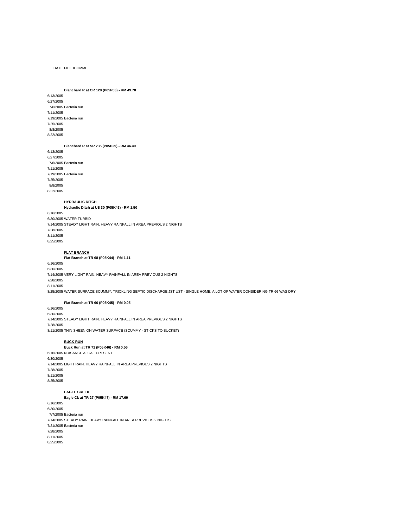#### **Blanchard R at CR 128 (P05P03) - RM 49.78**

6/13/2005 6/27/2005 7/6/2005 Bacteria run 7/11/2005 7/19/2005 Bacteria run 7/25/2005 8/8/2005 8/22/2005

## **Blanchard R at SR 235 (P05P29) - RM 46.49**

6/13/2005 6/27/2005 7/6/2005 Bacteria run 7/11/2005 7/19/2005 Bacteria run 7/25/2005 8/8/2005 8/22/2005

## **HYDRAULIC DITCH**

**Hydraulic Ditch at US 30 (P05K43) - RM 1.50** 6/16/2005 6/30/2005 WATER TURBID 7/14/2005 STEADY LIGHT RAIN. HEAVY RAINFALL IN AREA PREVIOUS 2 NIGHTS 7/28/2005 8/11/2005 8/25/2005

#### **FLAT BRANCH**

**Flat Branch at TR 68 (P05K44) - RM 1.11** 6/16/2005 6/30/2005 7/14/2005 VERY LIGHT RAIN. HEAVY RAINFALL IN AREA PREVIOUS 2 NIGHTS 7/28/2005 8/11/2005 8/25/2005 WATER SURFACE SCUMMY; TRICKLING SEPTIC DISCHARGE JST UST - SINGLE HOME; A LOT OF WATER CONSIDERING TR 66 WAS DRY

#### **Flat Branch at TR 66 (P05K45) - RM 0.05**

6/16/2005 6/30/2005 7/14/2005 STEADY LIGHT RAIN. HEAVY RAINFALL IN AREA PREVIOUS 2 NIGHTS 7/28/2005 8/11/2005 THIN SHEEN ON WATER SURFACE (SCUMMY - STICKS TO BUCKET)

#### **BUCK RUN**

**Buck Run at TR 71 (P05K46) - RM 0.56** 6/16/2005 NUISANCE ALGAE PRESENT 6/30/2005 7/14/2005 LIGHT RAIN. HEAVY RAINFALL IN AREA PREVIOUS 2 NIGHTS 7/28/2005 8/11/2005 8/25/2005

### **EAGLE CREEK**

**Eagle Ck at TR 27 (P05K47) - RM 17.69**

6/16/2005 6/30/2005 7/7/2005 Bacteria run 7/14/2005 STEADY RAIN. HEAVY RAINFALL IN AREA PREVIOUS 2 NIGHTS 7/21/2005 Bacteria run 7/28/2005 8/11/2005 8/25/2005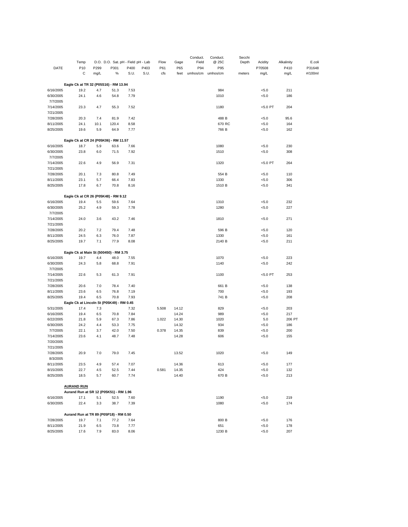|           |                                           |      |                                    |      |      |       |       | Conduct. | Conduct. | Secchi |           |            |         |
|-----------|-------------------------------------------|------|------------------------------------|------|------|-------|-------|----------|----------|--------|-----------|------------|---------|
|           | Temp                                      |      | D.O. D.O. Sat. pH - Field pH - Lab |      |      | Flow  | Gage  | Field    | @ 25C    | Depth  | Acidity   | Alkalinity | E.coli  |
| DATE      | P10                                       | P299 | P301                               | P400 | P403 | P61   | P65   | P94      | P95      |        | P70508    | P410       | P31648  |
|           | С                                         | mg/L | $\%$                               | S.U. | S.U. | cfs   | feet  | umhos/cm | umhos/cm | meters | mg/L      | mg/L       | #/100ml |
|           | Eagle Ck at TR 32 (P05S16) - RM 13.94     |      |                                    |      |      |       |       |          |          |        |           |            |         |
| 6/16/2005 | 19.2                                      | 4.7  | 51.3                               | 7.53 |      |       |       |          | 984      |        | <5.0      | 211        |         |
| 6/30/2005 | 24.1                                      | 4.6  | 54.8                               | 7.79 |      |       |       |          | 1010     |        | <5.0      | 186        |         |
| 7/7/2005  |                                           |      |                                    |      |      |       |       |          |          |        |           |            |         |
| 7/14/2005 | 23.3                                      | 4.7  | 55.3                               | 7.52 |      |       |       |          | 1180     |        | $<5.0$ PT | 204        |         |
| 7/21/2005 |                                           |      |                                    |      |      |       |       |          |          |        |           |            |         |
|           |                                           |      |                                    |      |      |       |       |          |          |        |           | 95.6       |         |
| 7/28/2005 | 20.3                                      | 7.4  | 81.9                               | 7.42 |      |       |       |          | 488 B    |        | < 5.0     |            |         |
| 8/11/2005 | 24.1                                      | 10.1 | 120.4                              | 8.58 |      |       |       |          | 670 RC   |        | <5.0      | 164        |         |
| 8/25/2005 | 19.6                                      | 5.9  | 64.9                               | 7.77 |      |       |       |          | 766 B    |        | < 5.0     | 162        |         |
|           | Eagle Ck at CR 24 (P05K06) - RM 11.57     |      |                                    |      |      |       |       |          |          |        |           |            |         |
| 6/16/2005 | 18.7                                      | 5.9  | 63.6                               | 7.66 |      |       |       |          | 1080     |        | <5.0      | 230        |         |
| 6/30/2005 | 23.8                                      | 6.0  | 71.5                               | 7.92 |      |       |       |          | 1510     |        | <5.0      | 308        |         |
| 7/7/2005  |                                           |      |                                    |      |      |       |       |          |          |        |           |            |         |
| 7/14/2005 | 22.6                                      | 4.9  | 56.9                               | 7.31 |      |       |       |          | 1320     |        | $<5.0$ PT | 264        |         |
| 7/21/2005 |                                           |      |                                    |      |      |       |       |          |          |        |           |            |         |
| 7/28/2005 | 20.1                                      | 7.3  | 80.8                               | 7.49 |      |       |       |          | 554 B    |        | < 5.0     | 110        |         |
| 8/11/2005 | 23.1                                      | 5.7  | 66.4                               | 7.83 |      |       |       |          | 1330     |        | <5.0      | 306        |         |
| 8/25/2005 | 17.8                                      | 6.7  | 70.8                               | 8.16 |      |       |       |          | 1510 B   |        | 5.0       | 341        |         |
|           | Eagle Ck at CR 26 (P05K48) - RM 9.12      |      |                                    |      |      |       |       |          |          |        |           |            |         |
|           |                                           |      |                                    |      |      |       |       |          |          |        |           |            |         |
| 6/16/2005 | 19.4                                      | 5.5  | 59.6                               | 7.64 |      |       |       |          | 1310     |        | <5.0      | 232        |         |
| 6/30/2005 | 25.2                                      | 4.9  | 59.3                               | 7.78 |      |       |       |          | 1280     |        | 5.0       | 227        |         |
| 7/7/2005  |                                           |      |                                    |      |      |       |       |          |          |        |           |            |         |
| 7/14/2005 | 24.0                                      | 3.6  | 43.2                               | 7.46 |      |       |       |          | 1810     |        | < 5.0     | 271        |         |
| 7/21/2005 |                                           |      |                                    |      |      |       |       |          |          |        |           |            |         |
| 7/28/2005 | 20.2                                      | 7.2  | 79.4                               | 7.48 |      |       |       |          | 596 B    |        | <5.0      | 120        |         |
| 8/11/2005 | 24.5                                      | 6.3  | 76.0                               | 7.87 |      |       |       |          | 1330     |        | <5.0      | 161        |         |
| 8/25/2005 | 19.7                                      | 7.1  | 77.9                               | 8.08 |      |       |       |          | 2140 B   |        | 5.0       | 211        |         |
|           | Eagle Ck at Main St (500450) - RM 3.75    |      |                                    |      |      |       |       |          |          |        |           |            |         |
| 6/16/2005 | 19.7                                      | 4.4  | 48.0                               | 7.55 |      |       |       |          | 1070     |        | <5.0      | 223        |         |
| 6/30/2005 | 24.3                                      | 5.8  | 68.8                               | 7.91 |      |       |       |          | 1140     |        | <5.0      | 242        |         |
| 7/7/2005  |                                           |      |                                    |      |      |       |       |          |          |        |           |            |         |
| 7/14/2005 | 22.6                                      | 5.3  | 61.3                               | 7.91 |      |       |       |          | 1100     |        | $<5.0$ PT | 253        |         |
| 7/21/2005 |                                           |      |                                    |      |      |       |       |          |          |        |           |            |         |
| 7/28/2005 | 20.6                                      | 7.0  | 78.4                               | 7.40 |      |       |       |          | 661 B    |        | < 5.0     | 138        |         |
| 8/11/2005 | 23.6                                      | 6.5  | 76.8                               | 7.19 |      |       |       |          | 700      |        | <5.0      | 193        |         |
| 8/25/2005 | 19.4                                      | 6.5  | 70.8                               | 7.93 |      |       |       |          | 741 B    |        | < 5.0     | 208        |         |
|           | Eagle Ck at Lincoln St (P05K49) - RM 0.45 |      |                                    |      |      |       |       |          |          |        |           |            |         |
| 5/31/2005 | 17.4                                      | 7.3  |                                    | 7.32 |      | 5.508 | 14.12 |          | 829      |        | < 5.0     | 203        |         |
|           |                                           |      |                                    |      |      |       |       |          |          |        |           |            |         |
| 6/16/2005 | 19.4                                      | 6.5  | 70.8                               | 7.84 |      |       | 14.24 |          | 989      |        | <5.0      | 217        |         |
| 6/22/2005 | 21.8                                      | 5.9  | 67.3                               | 7.86 |      | 1.022 | 14.30 |          | 1020     |        | 5.0       | 206 PT     |         |
| 6/30/2005 | 24.2                                      | 4.4  | 53.3                               | 7.75 |      |       | 14.32 |          | 934      |        | 5.0       | 186        |         |
| 7/7/2005  | 22.1                                      | 3.7  | 42.0                               | 7.50 |      | 0.378 | 14.35 |          | 839      |        | < 5.0     | 200        |         |
| 7/14/2005 | 23.6                                      | 4.1  | 48.7                               | 7.48 |      |       | 14.28 |          | 606      |        | <5.0      | 155        |         |
| 7/20/2005 |                                           |      |                                    |      |      |       |       |          |          |        |           |            |         |
| 7/21/2005 |                                           |      |                                    |      |      |       |       |          |          |        |           |            |         |
| 7/28/2005 | 20.9                                      | 7.0  | 79.0                               | 7.45 |      |       | 13.52 |          | 1020     |        | < 5.0     | 149        |         |
| 8/3/2005  |                                           |      |                                    |      |      |       |       |          |          |        |           |            |         |
| 8/11/2005 | 23.5                                      | 4.9  | 57.4                               | 7.07 |      |       | 14.36 |          | 613      |        | < 5.0     | 177        |         |
| 8/15/2005 | 22.7                                      | 4.5  | 52.5                               | 7.44 |      | 0.581 | 14.35 |          | 424      |        | <5.0      | 132        |         |
| 8/25/2005 | 18.5                                      | 5.7  | 60.7                               | 7.74 |      |       | 14.40 |          | 670 B    |        | < 5.0     | 213        |         |
|           | <b>AURAND RUN</b>                         |      |                                    |      |      |       |       |          |          |        |           |            |         |
|           | Aurand Run at SR 12 (P05K51) - RM 1.96    |      |                                    |      |      |       |       |          |          |        |           |            |         |
| 6/16/2005 | 17.1                                      | 5.1  | 52.5                               | 7.60 |      |       |       |          | 1190     |        | < 5.0     | 219        |         |
| 6/30/2005 | 22.4                                      | 3.3  | 38.7                               | 7.39 |      |       |       |          | 1080     |        | 5.0       | 174        |         |
|           | Aurand Run at TR 89 (P05P18) - RM 0.50    |      |                                    |      |      |       |       |          |          |        |           |            |         |
| 7/28/2005 | 19.7                                      | 7.1  | 77.2                               | 7.64 |      |       |       |          | 800 B    |        | < 5.0     | 176        |         |
| 8/11/2005 | 21.9                                      | 6.5  | 73.8                               | 7.77 |      |       |       |          | 651      |        | < 5.0     | 178        |         |
| 8/25/2005 | 17.6                                      | 7.9  | 83.0                               | 8.06 |      |       |       |          | 1230 B   |        | < 5.0     | 207        |         |
|           |                                           |      |                                    |      |      |       |       |          |          |        |           |            |         |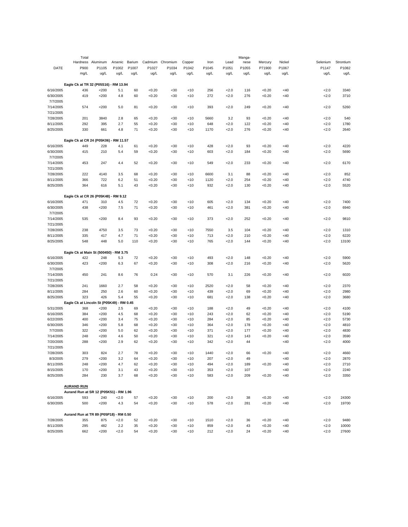|                        | Total                                                       |            |            |          |                  |                  |             |             |            | Manga-   |                  |            |            |               |
|------------------------|-------------------------------------------------------------|------------|------------|----------|------------------|------------------|-------------|-------------|------------|----------|------------------|------------|------------|---------------|
|                        | Hardness                                                    | Aluminum   | Arsenic    | Barium   |                  | Cadmium Chromium | Copper      | Iron        | Lead       | nese     | Mercury          | Nickel     | Selenium   | Strontium     |
| DATE                   | P900                                                        | P1105      | P1002      | P1007    | P1027            | P1034            | P1042       | P1045       | P1051      | P1055    | P71900           | P1067      | P1147      | P1082         |
|                        | mg/L                                                        | ug/L       | ug/L       | ug/L     | ug/L             | ug/L             | ug/L        | ug/L        | ug/L       | ug/L     | ug/L             | ug/L       | ug/L       | ug/L          |
|                        |                                                             |            |            |          |                  |                  |             |             |            |          |                  |            |            |               |
|                        | Eagle Ck at TR 32 (P05S16) - RM 13.94                       |            |            |          |                  |                  |             |             |            |          |                  |            |            |               |
| 6/16/2005              | 436                                                         | $200$      | 5.1        | 60       | < 0.20           | $30$             | < 10        | 256         | 2.0        | 116      | < 0.20           | <40        | 2.0        | 3340          |
| 6/30/2005              | 419                                                         | $200$      | 4.8        | 60       | <0.20            | $30$             | <10         | 272         | 2.0        | 276      | < 0.20           | <40        | 2.0        | 3710          |
| 7/7/2005               |                                                             |            |            |          |                  |                  |             |             |            |          |                  |            |            |               |
| 7/14/2005              | 574                                                         | 200        | 5.0        | 81       | < 0.20           | $30$             | < 10        | 393         | 2.0        | 249      | < 0.20           | <40        | 2.0        | 5260          |
| 7/21/2005              |                                                             |            |            |          |                  |                  |             |             |            |          |                  |            |            |               |
| 7/28/2005              | 201                                                         | 3840       | 2.8        | 65       | < 0.20           | $30$             | < 10        | 5660        | 3.2        | 93       | < 0.20           | <40        | 2.0        | 540           |
| 8/11/2005              | 292                                                         | 395        | 2.7        | 55       | <0.20            | $30$             | <10         | 648         | 2.0        | 122      | < 0.20           | <40        | 2.0        | 1780          |
| 8/25/2005              | 330                                                         | 661        | 4.8        | 71       | < 0.20           | $30$             | < 10        | 1170        | 2.0        | 276      | < 0.20           | <40        | 2.0        | 2640          |
|                        | Eagle Ck at CR 24 (P05K06) - RM 11.57                       |            |            |          |                  |                  |             |             |            |          |                  |            |            |               |
| 6/16/2005              | 449                                                         | 228        | 4.1        | 61       | < 0.20           | $30$             | < 10        | 428         | 2.0        | 93       | < 0.20           | <40        | 2.0        | 4220          |
| 6/30/2005              | 415                                                         | 210        | 5.4        | 59       | < 0.20           | $30$             | <10         | 603         | 2.0        | 184      | < 0.20           | <40        | 2.0        | 5690          |
| 7/7/2005               |                                                             |            |            |          |                  |                  |             |             |            |          |                  |            |            |               |
| 7/14/2005              | 453                                                         | 247        | 4.4        | 52       | < 0.20           | $30$             | < 10        | 549         | 2.0        | 233      | < 0.20           | <40        | 2.0        | 6170          |
| 7/21/2005              |                                                             |            |            |          |                  |                  |             |             |            |          |                  |            |            |               |
| 7/28/2005              | 222                                                         | 4140       | 3.5        | 68       | < 0.20           | $30$             | < 10        | 6600        | 3.1        | 88       | < 0.20           | <40        | 2.0        | 852           |
| 8/11/2005              | 366                                                         | 722        | 6.2        | 51       | <0.20            | $30$             | < 10        | 1120        | 2.0        | 254      | < 0.20           | <40        | 2.0        | 4740          |
| 8/25/2005              | 364                                                         | 616        | 5.1        | 43       | < 0.20           | $30$             | < 10        | 932         | 2.0        | 130      | < 0.20           | <40        | 2.0        | 5520          |
|                        | Eagle Ck at CR 26 (P05K48) - RM 9.12                        |            |            |          |                  |                  |             |             |            |          |                  |            |            |               |
| 6/16/2005              | 471                                                         | 310        | 4.5        | 72       | < 0.20           | $30$             | < 10        | 605         | 2.0        | 134      | < 0.20           | <40        | 2.0        | 7400          |
| 6/30/2005              | 438                                                         | $200$      | 7.5        | 71       | < 0.20           | $30$             | <10         | 461         | 2.0        | 381      | < 0.20           | <40        | 2.0        | 6940          |
| 7/7/2005               |                                                             |            |            |          |                  |                  |             |             |            |          |                  |            |            |               |
| 7/14/2005              | 535                                                         | 200        | 8.4        | 93       | < 0.20           | $30$             | < 10        | 373         | 2.0        | 252      | < 0.20           | <40        | 2.0        | 9810          |
| 7/21/2005              |                                                             |            |            |          |                  |                  |             |             |            |          |                  |            |            |               |
| 7/28/2005              | 238                                                         | 4750       | 3.5        | 73       | < 0.20           | $30$             | < 10        | 7550        | 3.5        | 104      | < 0.20           | <40        | 2.0        | 1310          |
| 8/11/2005              | 335                                                         | 417        | 4.7        | 71       | <0.20            | $30$             | < 10        | 713         | 2.0        | 210      | < 0.20           | <40        | 2.0        | 6220          |
| 8/25/2005              | 548                                                         | 448        | 5.0        | 110      | < 0.20           | $30$             | < 10        | 765         | 2.0        | 144      | < 0.20           | <40        | 2.0        | 13100         |
|                        |                                                             |            |            |          |                  |                  |             |             |            |          |                  |            |            |               |
|                        | Eagle Ck at Main St (500450) - RM 3.75                      |            |            |          |                  |                  |             |             |            |          |                  |            |            |               |
| 6/16/2005              | 422                                                         | 248        | 5.3        | 72       | < 0.20           | $30$             | < 10        | 493         | 2.0        | 148      | < 0.20           | <40        | 2.0        | 5900          |
| 6/30/2005              | 423                                                         | 200        | 6.3        | 67       | < 0.20           | $30$             | <10         | 308         | 2.0        | 216      | < 0.20           | <40        | 2.0        | 5620          |
| 7/7/2005               |                                                             |            |            |          |                  |                  |             | 570         |            |          |                  |            |            | 6020          |
| 7/14/2005              | 450                                                         | 241        | 8.6        | 76       | 0.24             | $30$             | < 10        |             | 3.1        | 226      | < 0.20           | <40        | 2.0        |               |
| 7/21/2005<br>7/28/2005 | 241                                                         | 1660       | 2.7        | 58       | < 0.20           | $30$             | < 10        | 2520        | 2.0        | 58       | < 0.20           | <40        | 2.0        | 2370          |
| 8/11/2005              | 284                                                         | 250        | 2.6        | 60       | < 0.20           | $30$             | < 10        | 439         | 2.0        | 69       | < 0.20           | <40        | 2.0        | 2980          |
| 8/25/2005              | 323                                                         | 426        | 5.4        | 55       | <0.20            | $30$             | < 10        | 681         | 2.0        | 138      | < 0.20           | <40        | 2.0        | 3680          |
|                        | Eagle Ck at Lincoln St (P05K49) - RM 0.45                   |            |            |          |                  |                  |             |             |            |          |                  |            |            |               |
| 5/31/2005              | 368                                                         | 200        | 2.5        | 69       | < 0.20           | $30$             | <10         | 188         | 2.0        | 49       | < 0.20           | <40        | 2.0        | 4100          |
| 6/16/2005              | 384                                                         | 200        | 4.5        | 68       | < 0.20           | $30$             | < 10        | 243         | 2.0        | 62       | < 0.20           | <40        | 2.0        | 5190          |
| 6/22/2005              | 400                                                         | <200       | 3.4        | 75       | < 0.20           | $30$             | < 10        | 284         | 2.0        | 85       | < 0.20           | <40        | 2.0        | 5730          |
| 6/30/2005              | 346                                                         | 200        | 5.8        | 68       | < 0.20           | $30$             | < 10        | 364         | 2.0        | 178      | < 0.20           | <40        | 2.0        | 4810          |
| 7/7/2005               | 322                                                         | $200$      | 5.0        | 62       | < 0.20           | $30$             | < 10        | 371         | 2.0        | 177      | < 0.20           | $<$ 40     | 2.0        | 4830          |
| 7/14/2005              | 248                                                         | $200$      | 4.6        | 50       | <0.20            | $30$             | < 10        | 321         | 2.0        | 143      | < 0.20           | <40        | 2.0        | 3590          |
| 7/20/2005              | 288                                                         | 200        | 2.9        | 62       | < 0.20           | $30$             | < 10        | 342         | 2.0        | 44       |                  | <40        | 2.0        | 4000          |
| 7/21/2005              |                                                             |            |            |          |                  |                  |             |             |            |          |                  |            |            |               |
| 7/28/2005              | 303                                                         | 824        | 2.7        | 78       | < 0.20           | $30$             | <10         | 1440        | 2.0        | 66       | <0.20            | <40        | 2.0        | 4660          |
| 8/3/2005               | 279                                                         | <200       | 3.2        | 64       | <0.20            | $30$             | ~10         | 207         | 2.0        | 49       |                  | <40        | 2.0        | 2870          |
| 8/11/2005              | 248                                                         | <200       | 4.7        | 62       | < 0.20           | $30$             | <10         | 494         | 2.0        | 189      | < 0.20           | <40        | 2.0        | 2710          |
| 8/15/2005              | 170                                                         | <200       | 3.1        | 43       | <0.20            | $30$             | <10         | 353         | 2.0        | 107      |                  | <40        | 2.0        | 2240          |
| 8/25/2005              | 284                                                         | 230        | 3.7        | 68       | < 0.20           | $30$             | <10         | 583         | 2.0        | 209      | < 0.20           | <40        | 2.0        | 3350          |
|                        |                                                             |            |            |          |                  |                  |             |             |            |          |                  |            |            |               |
|                        | <b>AURAND RUN</b><br>Aurand Run at SR 12 (P05K51) - RM 1.96 |            |            |          |                  |                  |             |             |            |          |                  |            |            |               |
| 6/16/2005              | 593                                                         | 240        | 2.0        | 57       | < 0.20           | <30              | < 10        | 200         | 2.0        | 38       | < 0.20           | <40        | 2.0        | 24300         |
| 6/30/2005              | 500                                                         | $<$ 200    | 4.3        | 54       | <0.20            | <30              | $<$ 10      | 578         | 2.0        | 281      | < 0.20           | <40        | 2.0        | 19700         |
|                        |                                                             |            |            |          |                  |                  |             |             |            |          |                  |            |            |               |
|                        | Aurand Run at TR 89 (P05P18) - RM 0.50                      |            |            |          |                  |                  |             |             |            |          |                  |            |            |               |
| 7/28/2005<br>8/11/2005 | 355<br>295                                                  | 875<br>482 | 2.0<br>2.2 | 52<br>35 | < 0.20<br>< 0.20 | $30$<br><30      | <10<br>< 10 | 1510<br>859 | 2.0<br>2.0 | 36<br>43 | < 0.20<br>< 0.20 | <40<br><40 | 2.0<br>2.0 | 9480<br>10000 |
| 8/25/2005              | 662                                                         | $<$ 200    | 2.0        | 54       | <0.20            | $30$             | $<$ 10      | 212         | 2.0        | 24       | < 0.20           | <40        | 2.0        | 27600         |
|                        |                                                             |            |            |          |                  |                  |             |             |            |          |                  |            |            |               |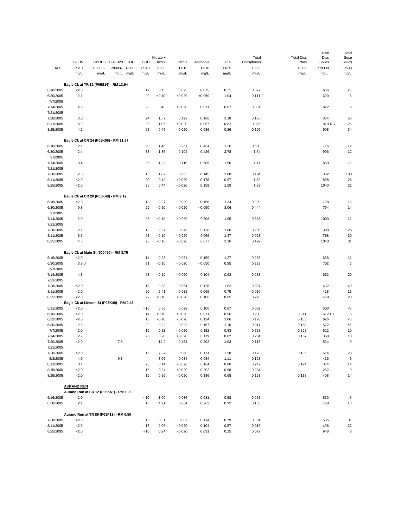|           |                                              |        |              |            |        |           |         |         |            |            |                   | Total  | Total          |
|-----------|----------------------------------------------|--------|--------------|------------|--------|-----------|---------|---------|------------|------------|-------------------|--------|----------------|
|           |                                              |        |              |            |        | Nitrate + |         |         |            | Total      | <b>Total Diss</b> | Diss   | Susp           |
|           | BOD <sub>5</sub>                             |        | CBOD5 CBOD20 | <b>TOC</b> | COD    | nitrite   | Nitrite | Ammonia | <b>TKN</b> | Phosphorus | Phos              | Solids | Solids         |
| DATE      | P310                                         | P80082 | P80087       | P680       | P340   | P630      | P615    | P610    | P625       | P665       | P666              | P70300 | P530           |
|           | mg/L                                         | mg/L   |              | mg/L mg/L  | mg/L   | mg/L      | mg/L    | mg/L    | mg/L       | mg/L       | mg/L              | mg/L   | mg/L           |
|           | Eagle Ck at TR 32 (P05S16) - RM 13.94        |        |              |            |        |           |         |         |            |            |                   |        |                |
| 6/16/2005 | 2.0                                          |        |              |            | 17     | 0.15      |         | 0.075   | 0.71       | 0.077      |                   | 636    |                |
|           |                                              |        |              |            |        |           | 0.023   |         |            |            |                   |        | $<$ 5          |
| 6/30/2005 | 2.1                                          |        |              |            | 29     | < 0.10    | <0.020  | < 0.050 | 1.04       | 0.111 J    |                   | 690    | 6              |
| 7/7/2005  |                                              |        |              |            |        |           |         |         |            |            |                   |        |                |
| 7/14/2005 | 4.9                                          |        |              |            | 23     | 0.48      | < 0.020 | 0.071   | 0.87       | 0.081      |                   | 822    | 9              |
| 7/21/2005 |                                              |        |              |            |        |           |         |         |            |            |                   |        |                |
| 7/28/2005 | 3.0                                          |        |              |            | 24     | 15.7      | 0.129   | 0.166   | 1.18       | 0.176      |                   | 364    | 53             |
| 8/11/2005 | 6.9                                          |        |              |            | 20     | 1.06      | <0.020  | 0.057   | 0.82       | 0.025      |                   | 820 RC | 26             |
| 8/25/2005 | 4.2                                          |        |              |            | 28     | 0.46      | < 0.020 | 0.086   | 0.86       | 0.107      |                   | 508    | 34             |
|           |                                              |        |              |            |        |           |         |         |            |            |                   |        |                |
| 6/16/2005 | Eagle Ck at CR 24 (P05K06) - RM 11.57<br>2.1 |        |              |            | 20     | 1.46      | 0.261   | 0.434   | 1.26       | 0.500      |                   | 716    | 12             |
|           |                                              |        |              |            |        |           |         |         |            |            |                   |        |                |
| 6/30/2005 | 2.4                                          |        |              |            | 38     | 1.35      | 0.104   | 0.426   | 2.78       | 1.64       |                   | 996    | 12             |
| 7/7/2005  |                                              |        |              |            |        |           |         |         |            |            |                   |        |                |
| 7/14/2005 | 3.4                                          |        |              |            | 26     | 1.33      | 0.115   | 0.686   | 1.50       | 1.11       |                   | 880    | 12             |
| 7/21/2005 |                                              |        |              |            |        |           |         |         |            |            |                   |        |                |
| 7/28/2005 | 2.8                                          |        |              |            | 18     | 12.2      | 0.083   | 0.145   | 1.08       | 0.194      |                   | 382    | 103            |
| 8/11/2005 | 2.0                                          |        |              |            | 20     | 0.42      | <0.020  | 0.176   | 0.97       | 1.89       |                   | 898    | 28             |
| 8/25/2005 | 2.0                                          |        |              |            | 25     | 0.44      | < 0.020 | 0.159   | 1.09       | 1.98       |                   | 1040   | 22             |
|           |                                              |        |              |            |        |           |         |         |            |            |                   |        |                |
|           | Eagle Ck at CR 26 (P05K48) - RM 9.12         |        |              |            |        |           |         |         |            |            |                   |        |                |
| 6/16/2005 | 2.0                                          |        |              |            | 18     | 0.27      | 0.039   | 0.158   | 1.34       | 0.309      |                   | 798    | 12             |
| 6/30/2005 | 9.8                                          |        |              |            | 29     | < 0.10    | <0.020  | < 0.050 | 3.06       | 0.444      |                   | 794    | 14             |
| 7/7/2005  |                                              |        |              |            |        |           |         |         |            |            |                   |        |                |
| 7/14/2005 | 2.0                                          |        |              |            | 26     | < 0.10    | < 0.020 | 0.306   | 1.05       | 0.356      |                   | 1090   | 11             |
| 7/21/2005 |                                              |        |              |            |        |           |         |         |            |            |                   |        |                |
| 7/28/2005 | 2.1                                          |        |              |            | 18     | 9.97      | 0.046   | 0.120   | 1.00       | 0.206      |                   | 398    | 126            |
| 8/11/2005 | 6.5                                          |        |              |            | 28     | < 0.10    | <0.020  | 0.066   | 1.47       | 0.023      |                   | 788    | 30             |
| 8/25/2005 | 4.6                                          |        |              |            | 25     | < 0.10    | < 0.020 | 0.077   | 1.16       | 0.199      |                   | 1340   | 31             |
|           |                                              |        |              |            |        |           |         |         |            |            |                   |        |                |
|           | Eagle Ck at Main St (500450) - RM 3.75       |        |              |            |        |           |         |         |            |            |                   |        |                |
| 6/16/2005 | 2.0                                          |        |              |            | 14     | 0.23      | 0.031   | 0.159   | 1.27       | 0.265      |                   | 658    | 11             |
| 6/30/2005 | 3.8J                                         |        |              |            | 21     | < 0.10    | <0.020  | < 0.050 | 0.85       | 0.229      |                   | 702    | $\overline{7}$ |
| 7/7/2005  |                                              |        |              |            |        |           |         |         |            |            |                   |        |                |
| 7/14/2005 | 4.8                                          |        |              |            | 23     | < 0.10    | < 0.020 | 0.104   | 0.93       | 0.238      |                   | 662    | 20             |
| 7/21/2005 |                                              |        |              |            |        |           |         |         |            |            |                   |        |                |
| 7/28/2005 | 2.0                                          |        |              |            | 15     | 9.88      | 0.054   | 0.128   | 1.02       | 0.327      |                   | 432    | 49             |
| 8/11/2005 | 2.0                                          |        |              |            | 20     | 2.41      | 0.031   | 0.069   | 0.75       | < 0.010    |                   | 418    | 13             |
| 8/25/2005 | 2.0                                          |        |              |            | 22     | < 0.10    | < 0.020 | 0.106   | 0.65       | 0.228      |                   | 468    | 20             |
|           | Eagle Ck at Lincoln St (P05K49) - RM 0.45    |        |              |            |        |           |         |         |            |            |                   |        |                |
| 5/31/2005 | 2.0                                          |        |              |            | <10    | 0.66      | 0.028   | 0.100   | 0.87       | 0.062      |                   | 500    | $<$ 5          |
| 6/16/2005 | 2.0                                          |        |              |            | 14     | < 0.10    | < 0.020 | 0.071   | 0.96       | 0.230      | 0.211             | 612 PT | 5              |
| 6/22/2005 | 2.0                                          |        |              |            | 15     | < 0.10    | < 0.020 | 0.124   | 1.06       | 0.170      | 0.133             | 626    | $5$            |
| 6/30/2005 | 2.6                                          |        |              |            | 32     | 0.23      | 0.023   | 0.167   | 1.10       | 0.217      | 0.158             | 572    | < 5            |
| 7/7/2005  | 2.0                                          |        |              |            | 16     | 0.13      | <0.020  | 0.152   | 0.83       | 0.728      | 0.262             | 512    | 10             |
| 7/14/2005 | 2.7                                          |        |              |            | 26     | 0.20      | <0.020  | 0.179   | 0.82       | 0.204      | 0.167             | 358    | 10             |
| 7/20/2005 | 2.0                                          |        | 7.8          |            |        | 14.2      | 0.454   | 0.202   | 1.03       | 0.116      |                   | 524    | 9              |
|           |                                              |        |              |            |        |           |         |         |            |            |                   |        |                |
| 7/21/2005 |                                              |        |              |            |        |           |         |         |            |            |                   |        |                |
| 7/28/2005 | 2.0                                          |        |              |            | 15     | 7.37      | 0.058   | 0.111   | 1.58       | 0.178      | 0.136             | 614    | 28             |
| 8/3/2005  | 4.0                                          |        | 9.3          |            |        | 3.06      | 0.034   | 0.084   | 1.11       | 0.128      |                   | 416    | $\sqrt{5}$     |
| 8/11/2005 | 3.1                                          |        |              |            | 23     | 0.14      | < 0.020 | 0.164   | 0.80       | 0.247      | 0.124             | 374    | 14             |
| 8/15/2005 | 2.0                                          |        |              |            | 16     | 0.24      | < 0.020 | 0.202   | 0.58       | 0.234      |                   | 252    | 9              |
| 8/25/2005 | 2.0                                          |        |              |            | 19     | 0.16      | <0.020  | 0.186   | 0.68       | 0.161      | 0.118             | 408    | 14             |
|           | <b>AURAND RUN</b>                            |        |              |            |        |           |         |         |            |            |                   |        |                |
|           | Aurand Run at SR 12 (P05K51) - RM 1.96       |        |              |            |        |           |         |         |            |            |                   |        |                |
| 6/16/2005 | 2.0                                          |        |              |            | $<$ 10 | 1.00      | 0.036   | 0.081   | 0.58       | 0.051      |                   | 830    | $<$ 5          |
| 6/30/2005 | 2.1                                          |        |              |            | 18     | 4.21      | 0.034   | 0.263   | 0.92       | 0.185      |                   | 768    | 13             |
|           |                                              |        |              |            |        |           |         |         |            |            |                   |        |                |
|           | Aurand Run at TR 89 (P05P18) - RM 0.50       |        |              |            |        |           |         |         |            |            |                   |        |                |
| 7/28/2005 | 2.0                                          |        |              |            | 15     | 8.31      | 0.087   | 0.114   | 0.79       | 0.084      |                   | 536    | 31             |
| 8/11/2005 | 2.0                                          |        |              |            | 17     | 2.06      | < 0.020 | 0.104   | 0.57       | 0.016      |                   | 406    | 22             |
| 8/25/2005 | 2.0                                          |        |              |            | <10    | 0.24      | < 0.020 | 0.091   | 0.25       | 0.027      |                   | 948    | 8              |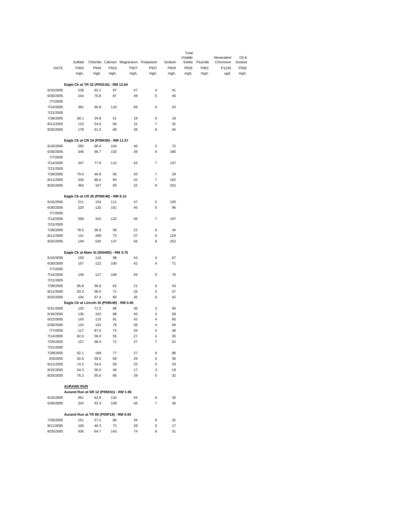|           |                                           |      |      |                                      |                         |        | Total    |          |            |        |
|-----------|-------------------------------------------|------|------|--------------------------------------|-------------------------|--------|----------|----------|------------|--------|
|           |                                           |      |      |                                      |                         |        | Volatile |          | Hexavalent | Oil &  |
|           | Sulfate                                   |      |      | Chloride Calcium Magnesium Potassium |                         | Sodium | Solids   | Fluoride | Chromium   | Grease |
| DATE      | P945                                      | P940 | P916 | P927                                 | P937                    | P929   | P505     | P951     | P1220      | P556   |
|           | mg/L                                      | mg/L | mg/L | mg/L                                 | mg/L                    | mg/L   | mg/L     | mg/L     | ug/L       | mg/L   |
|           |                                           |      |      |                                      |                         |        |          |          |            |        |
|           | Eagle Ck at TR 32 (P05S16) - RM 13.94     |      |      |                                      |                         |        |          |          |            |        |
| 6/16/2005 | 228                                       | 62.1 | 97   | 47                                   | $\overline{\mathbf{4}}$ | 41     |          |          |            |        |
| 6/30/2005 |                                           |      |      | 49                                   | 5                       | 46     |          |          |            |        |
|           | 244                                       | 70.8 | 87   |                                      |                         |        |          |          |            |        |
| 7/7/2005  |                                           |      |      |                                      |                         |        |          |          |            |        |
| 7/14/2005 | 381                                       | 60.8 | 116  | 69                                   | 6                       | 53     |          |          |            |        |
| 7/21/2005 |                                           |      |      |                                      |                         |        |          |          |            |        |
| 7/28/2005 | 58.1                                      | 34.8 | 51   | 18                                   | 6                       | 18     |          |          |            |        |
| 8/11/2005 | 123                                       | 54.0 | 66   | 31                                   | $\overline{7}$          | 32     |          |          |            |        |
| 8/25/2005 | 178                                       | 61.5 | 68   | 39                                   | 8                       | 40     |          |          |            |        |
|           |                                           |      |      |                                      |                         |        |          |          |            |        |
|           | Eagle Ck at CR 24 (P05K06) - RM 11.57     |      |      |                                      |                         |        |          |          |            |        |
|           |                                           |      |      |                                      |                         |        |          |          |            |        |
| 6/16/2005 | 255                                       | 66.4 | 104  | 46                                   | 5                       | 72     |          |          |            |        |
| 6/30/2005 | 346                                       | 96.7 | 102  | 39                                   | 9                       | 185    |          |          |            |        |
| 7/7/2005  |                                           |      |      |                                      |                         |        |          |          |            |        |
| 7/14/2005 | 347                                       | 77.6 | 112  | 42                                   | $\overline{7}$          | 137    |          |          |            |        |
| 7/21/2005 |                                           |      |      |                                      |                         |        |          |          |            |        |
| 7/28/2005 | 79.0                                      | 46.8 | 56   | 20                                   | $\overline{7}$          | 29     |          |          |            |        |
| 8/11/2005 | 334                                       | 86.6 | 94   | 32                                   | $\overline{7}$          | 162    |          |          |            |        |
| 8/25/2005 | 354                                       | 107  | 93   | 32                                   | 9                       | 252    |          |          |            |        |
|           |                                           |      |      |                                      |                         |        |          |          |            |        |
|           | Eagle Ck at CR 26 (P05K48) - RM 9.12      |      |      |                                      |                         |        |          |          |            |        |
|           |                                           |      |      |                                      | 5                       |        |          |          |            |        |
| 6/16/2005 | 211                                       | 154  | 111  | 47                                   |                         | 100    |          |          |            |        |
| 6/30/2005 | 225                                       | 132  | 101  | 45                                   | 5                       | 96     |          |          |            |        |
| 7/7/2005  |                                           |      |      |                                      |                         |        |          |          |            |        |
| 7/14/2005 | 258                                       | 310  | 122  | 56                                   | $\overline{7}$          | 197    |          |          |            |        |
| 7/21/2005 |                                           |      |      |                                      |                         |        |          |          |            |        |
| 7/28/2005 | 78.5                                      | 58.9 | 59   | 22                                   | 6                       | 34     |          |          |            |        |
| 8/11/2005 | 141                                       | 268  | 73   | 37                                   | 6                       | 129    |          |          |            |        |
| 8/25/2005 | 149                                       | 526  | 127  | 56                                   | 8                       | 252    |          |          |            |        |
|           |                                           |      |      |                                      |                         |        |          |          |            |        |
|           | Eagle Ck at Main St (500450) - RM 3.75    |      |      |                                      |                         |        |          |          |            |        |
| 6/16/2005 | 150                                       | 116  | 98   | 43                                   | 4                       | 67     |          |          |            |        |
| 6/30/2005 | 157                                       | 122  | 100  | 42                                   | $\overline{\mathbf{4}}$ | 71     |          |          |            |        |
|           |                                           |      |      |                                      |                         |        |          |          |            |        |
| 7/7/2005  |                                           |      |      |                                      |                         |        |          |          |            |        |
| 7/14/2005 | 149                                       | 117  | 106  | 45                                   | 5                       | 76     |          |          |            |        |
| 7/21/2005 |                                           |      |      |                                      |                         |        |          |          |            |        |
| 7/28/2005 | 85.8                                      | 58.9 | 62   | 21                                   | 6                       | 43     |          |          |            |        |
| 8/11/2005 | 93.3                                      | 58.0 | 71   | 26                                   | 5                       | 37     |          |          |            |        |
| 8/25/2005 | 104                                       | 67.4 | 80   | 30                                   | 6                       | 42     |          |          |            |        |
|           | Eagle Ck at Lincoln St (P05K49) - RM 0.45 |      |      |                                      |                         |        |          |          |            |        |
| 5/31/2005 | 125                                       | 71.5 | 88   | 36                                   | 3                       | 40     |          |          |            |        |
| 6/16/2005 | 135                                       | 102  | 88   | 40                                   | 4                       | 58     |          |          |            |        |
| 6/22/2005 | 143                                       | 110  | 91   | 42                                   | $\overline{\mathbf{4}}$ | 60     |          |          |            |        |
|           |                                           |      |      |                                      |                         |        |          |          |            |        |
| 6/30/2005 | 124                                       | 102  | 76   | 38                                   | 4                       | 58     |          |          |            |        |
| 7/7/2005  | 117                                       | 87.6 | 73   | 34                                   | 4                       | 48     |          |          |            |        |
| 7/14/2005 | 82.6                                      | 58.0 | 55   | 27                                   | 4                       | 35     |          |          |            |        |
| 7/20/2005 | 127                                       | 58.4 | 71   | 27                                   | $\overline{7}$          | 52     |          |          |            |        |
| 7/21/2005 |                                           |      |      |                                      |                         |        |          |          |            |        |
| 7/28/2005 | 82.1                                      | 168  | 77   | 27                                   | 6                       | 88     |          |          |            |        |
| 8/3/2005  | 92.6                                      | 59.5 | 69   | 26                                   | 6                       | 36     |          |          |            |        |
| 8/11/2005 | 74.2                                      | 54.6 | 58   | 25                                   | 5                       | 33     |          |          |            |        |
| 8/15/2005 | 54.3                                      | 30.0 | 40   | 17                                   | 3                       | 19     |          |          |            |        |
|           |                                           |      |      |                                      |                         |        |          |          |            |        |
| 8/25/2005 | 76.2                                      | 55.6 | 66   | 29                                   | 5                       | 32     |          |          |            |        |
|           |                                           |      |      |                                      |                         |        |          |          |            |        |
|           | <b>AURAND RUN</b>                         |      |      |                                      |                         |        |          |          |            |        |
|           | Aurand Run at SR 12 (P05K51) - RM 1.96    |      |      |                                      |                         |        |          |          |            |        |
| 6/16/2005 | 361                                       | 62.6 | 132  | 64                                   | 6                       | 30     |          |          |            |        |
| 6/30/2005 | 324                                       | 62.4 | 108  | 56                                   | $\overline{7}$          | 30     |          |          |            |        |
|           |                                           |      |      |                                      |                         |        |          |          |            |        |
|           | Aurand Run at TR 89 (P05P18) - RM 0.50    |      |      |                                      |                         |        |          |          |            |        |
| 7/28/2005 | 151                                       | 57.2 | 86   | 34                                   | 6                       | 32     |          |          |            |        |
| 8/11/2005 | 109                                       | 40.3 | 72   | 28                                   | 5                       | 17     |          |          |            |        |
| 8/25/2005 | 436                                       | 64.7 | 143  | 74                                   | 8                       | 31     |          |          |            |        |
|           |                                           |      |      |                                      |                         |        |          |          |            |        |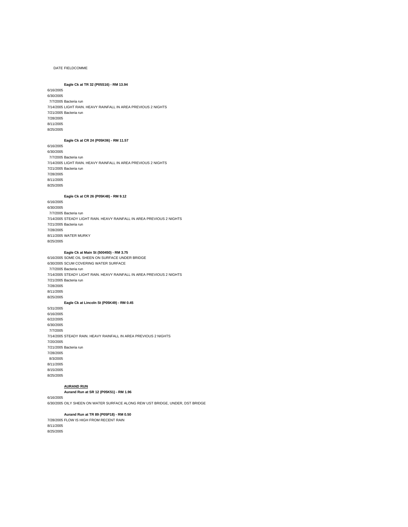## **Eagle Ck at TR 32 (P05S16) - RM 13.94**

6/16/2005 6/30/2005 7/7/2005 Bacteria run 7/14/2005 LIGHT RAIN. HEAVY RAINFALL IN AREA PREVIOUS 2 NIGHTS 7/21/2005 Bacteria run 7/28/2005 8/11/2005 8/25/2005 **Eagle Ck at CR 24 (P05K06) - RM 11.57** 6/16/2005

6/30/2005 7/7/2005 Bacteria run 7/14/2005 LIGHT RAIN. HEAVY RAINFALL IN AREA PREVIOUS 2 NIGHTS 7/21/2005 Bacteria run 7/28/2005 8/11/2005 8/25/2005

## **Eagle Ck at CR 26 (P05K48) - RM 9.12**

6/16/2005 6/30/2005 7/7/2005 Bacteria run 7/14/2005 STEADY LIGHT RAIN. HEAVY RAINFALL IN AREA PREVIOUS 2 NIGHTS 7/21/2005 Bacteria run 7/28/2005 8/11/2005 WATER MURKY 8/25/2005

## **Eagle Ck at Main St (500450) - RM 3.75**

6/16/2005 SOME OIL SHEEN ON SURFACE UNDER BRIDGE 6/30/2005 SCUM COVERING WATER SURFACE 7/7/2005 Bacteria run 7/14/2005 STEADY LIGHT RAIN. HEAVY RAINFALL IN AREA PREVIOUS 2 NIGHTS 7/21/2005 Bacteria run 7/28/2005 8/11/2005 8/25/2005 **Eagle Ck at Lincoln St (P05K49) - RM 0.45** 5/31/2005 6/16/2005 6/22/2005 6/30/2005 7/7/2005 7/14/2005 STEADY RAIN. HEAVY RAINFALL IN AREA PREVIOUS 2 NIGHTS 7/20/2005 7/21/2005 Bacteria run 7/28/2005 8/3/2005 8/11/2005 8/15/2005 8/25/2005

#### **AURAND RUN**

**Aurand Run at SR 12 (P05K51) - RM 1.96** 6/16/2005 6/30/2005 OILY SHEEN ON WATER SURFACE ALONG REW UST BRIDGE, UNDER, DST BRIDGE

## **Aurand Run at TR 89 (P05P18) - RM 0.50**

7/28/2005 FLOW IS HIGH FROM RECENT RAIN 8/11/2005 8/25/2005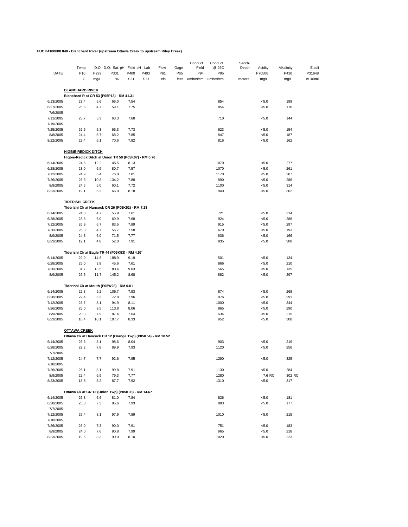## **HUC 04100008 040 - Blanchard River (upstream Ottawa Creek to upstream Riley Creek)**

|                        |                                                             |            |                                    |              |      |      |      | Conduct. | Conduct.   | Secchi |                |            |         |  |
|------------------------|-------------------------------------------------------------|------------|------------------------------------|--------------|------|------|------|----------|------------|--------|----------------|------------|---------|--|
|                        | Temp                                                        |            | D.O. D.O. Sat. pH - Field pH - Lab |              |      | Flow | Gage | Field    | @ 25C      | Depth  | Acidity        | Alkalinity | E.coli  |  |
| DATE                   | P <sub>10</sub>                                             | P299       | P301                               | P400         | P403 | P61  | P65  | P94      | P95        |        | P70508         | P410       | P31648  |  |
|                        | С                                                           | mg/L       | $\%$                               | S.U.         | S.U. | cfs  | feet | umhos/cm | umhos/cm   | meters | mg/L           | mg/L       | #/100ml |  |
|                        | <b>BLANCHARD RIVER</b>                                      |            |                                    |              |      |      |      |          |            |        |                |            |         |  |
|                        | Blanchard R at CR 53 (P05P13) - RM 41.31                    |            |                                    |              |      |      |      |          |            |        |                |            |         |  |
| 6/13/2005              | 23.4                                                        | 5.6        | 66.0                               | 7.54         |      |      |      |          | 854        |        | < 5.0          | 199        |         |  |
| 6/27/2005              | 26.6                                                        | 4.7        | 59.1                               | 7.75         |      |      |      |          | 854        |        | < 5.0          | 170        |         |  |
| 7/6/2005               |                                                             |            |                                    |              |      |      |      |          |            |        |                |            |         |  |
| 7/11/2005              | 23.7                                                        | 5.3        | 63.3                               | 7.68         |      |      |      |          | 710        |        | < 5.0          | 144        |         |  |
| 7/19/2005              |                                                             |            |                                    |              |      |      |      |          |            |        |                |            |         |  |
| 7/25/2005              | 26.5                                                        | 5.3        | 66.3                               | 7.73         |      |      |      |          | 623        |        | < 5.0          | 154        |         |  |
| 8/8/2005               | 24.4                                                        | 5.7        | 68.2                               | 7.85         |      |      |      |          | 847        |        | < 5.0          | 187        |         |  |
| 8/22/2005              | 22.4                                                        | 6.1        | 70.6                               | 7.82         |      |      |      |          | 816        |        | < 5.0          | 162        |         |  |
|                        |                                                             |            |                                    |              |      |      |      |          |            |        |                |            |         |  |
|                        | <b>HIGBIE-REDICK DITCH</b>                                  |            |                                    |              |      |      |      |          |            |        |                |            |         |  |
|                        | Higbie-Redick Ditch at Union TR 59 (P05K07) - RM 0.76       |            |                                    |              |      |      |      |          |            |        |                |            |         |  |
| 6/14/2005              | 24.6                                                        | 12.2       | 145.5                              | 8.13         |      |      |      |          | 1070       |        | < 5.0          | 277        |         |  |
| 6/28/2005              | 23.0                                                        | 6.9        | 80.7                               | 7.57         |      |      |      |          | 1070       |        | < 5.0          | 261        |         |  |
| 7/12/2005              | 24.9                                                        | 6.4        | 76.8                               | 7.81         |      |      |      |          | 1170       |        | < 5.0          | 287        |         |  |
| 7/26/2005              | 26.5                                                        | 10.8       | 134.2                              | 7.88         |      |      |      |          | 890        |        | < 5.0          | 286        |         |  |
| 8/9/2005               | 24.5                                                        | 5.0        | 60.1                               | 7.72         |      |      |      |          | 1100       |        | < 5.0          | 314        |         |  |
| 8/23/2005              | 19.1                                                        | 6.2        | 66.8                               | 8.18         |      |      |      |          | 940        |        | < 5.0          | 302        |         |  |
|                        |                                                             |            |                                    |              |      |      |      |          |            |        |                |            |         |  |
|                        | <b>TIDERISHI CREEK</b>                                      |            |                                    |              |      |      |      |          |            |        |                |            |         |  |
|                        | Tiderishi Ck at Hancock CR 26 (P05K52) - RM 7.28            |            |                                    |              |      |      |      |          |            |        |                |            |         |  |
| 6/14/2005<br>6/28/2005 | 24.0<br>23.3                                                | 4.7        | 55.9                               | 7.61         |      |      |      |          | 721<br>924 |        | < 5.0<br>< 5.0 | 214<br>286 |         |  |
| 7/12/2005              | 26.9                                                        | 6.0        | 69.9                               | 7.68         |      |      |      |          | 915        |        |                | 297        |         |  |
| 7/26/2005              | 25.0                                                        | 6.7<br>4.7 | 83.5<br>56.7                       | 7.89<br>7.58 |      |      |      |          | 670        |        | < 5.0<br>< 5.0 | 193        |         |  |
| 8/9/2005               | 24.3                                                        | 6.0        | 71.5                               | 7.77         |      |      |      |          | 636        |        | < 5.0          | 166        |         |  |
| 8/23/2005              | 19.1                                                        | 4.8        | 52.0                               | 7.91         |      |      |      |          | 835        |        | < 5.0          | 308        |         |  |
|                        |                                                             |            |                                    |              |      |      |      |          |            |        |                |            |         |  |
|                        | Tiderishi Ck at Eagle TR 44 (P05K53) - RM 4.57              |            |                                    |              |      |      |      |          |            |        |                |            |         |  |
| 6/14/2005              | 29.0                                                        | 14.6       | 188.9                              | 9.19         |      |      |      |          | 501        |        | < 5.0          | 134        |         |  |
| 6/28/2005              | 25.0                                                        | 3.8        | 45.6                               | 7.61         |      |      |      |          | 866        |        | < 5.0          | 210        |         |  |
| 7/26/2005              | 31.7                                                        | 13.5       | 183.4                              | 9.03         |      |      |      |          | 565        |        | < 5.0          | 135        |         |  |
| 8/9/2005               | 26.5                                                        | 11.7       | 145.2                              | 8.68         |      |      |      |          | 882        |        | < 5.0          | 297        |         |  |
|                        |                                                             |            |                                    |              |      |      |      |          |            |        |                |            |         |  |
|                        | Tiderishi Ck at Mouth (P05W28) - RM 0.01                    |            |                                    |              |      |      |      |          |            |        |                |            |         |  |
| 6/14/2005              | 22.8                                                        | 9.2        | 106.7                              | 7.93         |      |      |      |          | 874        |        | < 5.0          | 268        |         |  |
| 6/28/2005              | 22.4                                                        | 6.3        | 72.8                               | 7.96         |      |      |      |          | 976        |        | < 5.0          | 291        |         |  |
| 7/12/2005              | 23.7                                                        | 8.1        | 94.9                               | 8.11         |      |      |      |          | 1000       |        | < 5.0          | 344        |         |  |
| 7/26/2005              | 25.0                                                        | 9.5        | 113.8                              | 8.06         |      |      |      |          | 865        |        | < 5.0          | 290        |         |  |
| 8/9/2005               | 20.3                                                        | 7.9        | 87.4                               | 7.64         |      |      |      |          | 634        |        | < 5.0          | 215        |         |  |
| 8/23/2005              | 18.4                                                        | 10.1       | 107.7                              | 8.33         |      |      |      |          | 952        |        | < 5.0          | 308        |         |  |
|                        | <b>OTTAWA CREEK</b>                                         |            |                                    |              |      |      |      |          |            |        |                |            |         |  |
|                        | Ottawa Ck at Hancock CR 12 (Orange Twp) (P05K54) - RM 18.52 |            |                                    |              |      |      |      |          |            |        |                |            |         |  |
| 6/14/2005              | 25.6                                                        | 8.1        | 98.6                               | 8.04         |      |      |      |          | 903        |        | < 5.0          | 219        |         |  |
| 6/28/2005              | 22.2                                                        | 7.8        | 89.9                               | 7.93         |      |      |      |          | 1120       |        | < 5.0          | 256        |         |  |
| 7/7/2005               |                                                             |            |                                    |              |      |      |      |          |            |        |                |            |         |  |
| 7/12/2005              | 24.7                                                        | 7.7        | 92.6                               | 7.95         |      |      |      |          | 1290       |        | 5.0            | 325        |         |  |
| 7/18/2005              |                                                             |            |                                    |              |      |      |      |          |            |        |                |            |         |  |
| 7/26/2005              | 26.1                                                        | 8.1        | 99.8                               | 7.91         |      |      |      |          | 1130       |        | < 5.0          | 284        |         |  |
| 8/9/2005               | 22.4                                                        | 6.9        | 79.3                               | 7.77         |      |      |      |          | 1280       |        | 7.6 RC         | 302 RC     |         |  |
| 8/23/2005              | 18.8                                                        | 8.2        | 87.7                               | 7.92         |      |      |      |          | 1310       |        | < 5.0          | 317        |         |  |
|                        |                                                             |            |                                    |              |      |      |      |          |            |        |                |            |         |  |
|                        | Ottawa Ck at CR 12 (Union Twp) (P05K08) - RM 14.67          |            |                                    |              |      |      |      |          |            |        |                |            |         |  |
| 6/14/2005              | 25.8                                                        | 6.6        | 81.0                               | 7.84         |      |      |      |          | 826        |        | < 5.0          | 181        |         |  |
| 6/28/2005              | 23.0                                                        | 7.3        | 85.6                               | 7.93         |      |      |      |          | 883        |        | < 5.0          | 177        |         |  |
| 7/7/2005               |                                                             |            |                                    |              |      |      |      |          |            |        |                |            |         |  |
| 7/12/2005              | 25.4                                                        | 8.1        | 97.9                               | 7.89         |      |      |      |          | 1010       |        | < 5.0          | 215        |         |  |
| 7/18/2005              |                                                             |            |                                    |              |      |      |      |          |            |        |                |            |         |  |
| 7/26/2005<br>8/9/2005  | 26.0<br>24.0                                                | 7.3        | 90.0                               | 7.91<br>7.99 |      |      |      |          | 751<br>965 |        | < 5.0          | 183<br>218 |         |  |
| 8/23/2005              | 19.5                                                        | 7.6<br>8.3 | 90.8<br>90.0                       | 8.10         |      |      |      |          | 1020       |        | < 5.0<br>< 5.0 | 223        |         |  |
|                        |                                                             |            |                                    |              |      |      |      |          |            |        |                |            |         |  |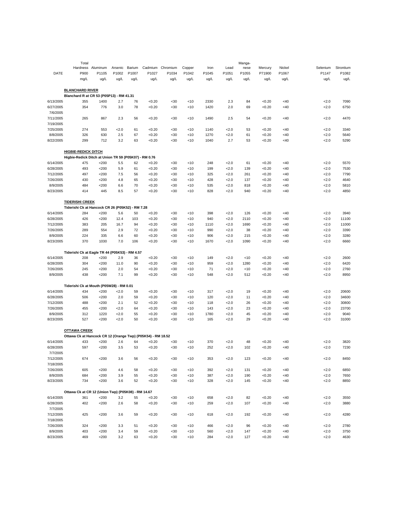|                       | Total                                                              |              |            |          |                |                  |              |             |            | Manga-     |                  |            |            |                |
|-----------------------|--------------------------------------------------------------------|--------------|------------|----------|----------------|------------------|--------------|-------------|------------|------------|------------------|------------|------------|----------------|
|                       | Hardness                                                           | Aluminum     | Arsenic    | Barium   |                | Cadmium Chromium | Copper       | Iron        | Lead       | nese       | Mercury          | Nickel     | Selenium   | Strontium      |
| DATE                  | P900                                                               | P1105        | P1002      | P1007    | P1027          | P1034            | P1042        | P1045       | P1051      | P1055      | P71900           | P1067      | P1147      | P1082          |
|                       | mg/L                                                               | ug/L         | ug/L       | ug/L     | ug/L           | ug/L             | ug/L         | ug/L        | ug/L       | ug/L       | ug/L             | ug/L       | ug/L       | ug/L           |
|                       |                                                                    |              |            |          |                |                  |              |             |            |            |                  |            |            |                |
|                       | <b>BLANCHARD RIVER</b><br>Blanchard R at CR 53 (P05P13) - RM 41.31 |              |            |          |                |                  |              |             |            |            |                  |            |            |                |
| 6/13/2005             | 355                                                                | 1400         | 2.7        | 76       | <0.20          | $30$             | < 10         | 2330        | 2.3        | 84         | <0.20            | $<40$      | 2.0        | 7090           |
| 6/27/2005             | 354                                                                | 776          | 3.0        | 78       | <0.20          | $30$             | < 10         | 1420        | 2.0        | 69         | < 0.20           | <40        | 2.0        | 6750           |
| 7/6/2005              |                                                                    |              |            |          |                |                  |              |             |            |            |                  |            |            |                |
| 7/11/2005             | 265                                                                | 867          | 2.3        | 56       | < 0.20         | $30$             | < 10         | 1490        | 2.5        | 54         | < 0.20           | <40        | 2.0        | 4470           |
| 7/19/2005             |                                                                    |              |            |          |                |                  |              |             |            |            |                  |            |            |                |
| 7/25/2005             | 274                                                                | 553          | 2.0        | 61       | <0.20          | $30$             | < 10         | 1140        | 2.0        | 53         | <0.20            | <40        | 2.0        | 3340           |
| 8/8/2005              | 326                                                                | 630          | 2.5        | 67       | < 0.20         | $30$             | < 10         | 1270        | 2.0        | 61         | <0.20            | <40        | 2.0        | 5640           |
| 8/22/2005             | 299                                                                | 712          | 3.2        | 63       | <0.20          | $30$             | < 10         | 1040        | 2.7        | 53         | <0.20            | <40        | 2.0        | 5290           |
|                       |                                                                    |              |            |          |                |                  |              |             |            |            |                  |            |            |                |
|                       | <b>HIGBIE-REDICK DITCH</b>                                         |              |            |          |                |                  |              |             |            |            |                  |            |            |                |
| 6/14/2005             | Higbie-Redick Ditch at Union TR 59 (P05K07) - RM 0.76<br>475       | $200$        | 5.5        | 62       |                | $30$             | < 10         | 248         | 2.0        | 61         | <0.20            | <40        | 2.0        | 5570           |
| 6/28/2005             | 493                                                                | 200          | 5.9        | 61       | <0.20<br><0.20 | $30$             | < 10         | 199         | 2.0        | 139        | <0.20            | <40        | 2.0        | 7530           |
| 7/12/2005             | 497                                                                | 200          | 7.5        | 56       | <0.20          | $30$             | < 10         | 325         | 2.0        | 261        | < 0.20           | <40        | 2.0        | 7790           |
| 7/26/2005             | 430                                                                | 200          | 4.8        | 65       | <0.20          | $30$             | < 10         | 428         | 2.0        | 137        | <0.20            | <40        | 2.0        | 4640           |
| 8/9/2005              | 484                                                                | <200         | 6.6        | 70       | <0.20          | $30$             | < 10         | 535         | 2.0        | 818        | <0.20            | $<40$      | 2.0        | 5810           |
| 8/23/2005             | 414                                                                | 445          | 8.5        | 57       | <0.20          | $30$             | < 10         | 828         | 2.0        | 940        | <0.20            | <40        | 2.0        | 4850           |
|                       |                                                                    |              |            |          |                |                  |              |             |            |            |                  |            |            |                |
|                       | <b>TIDERISHI CREEK</b>                                             |              |            |          |                |                  |              |             |            |            |                  |            |            |                |
|                       | Tiderishi Ck at Hancock CR 26 (P05K52) - RM 7.28                   |              |            |          |                |                  |              |             |            |            |                  |            |            |                |
| 6/14/2005             | 284                                                                | <200         | 5.6        | 50       | <0.20          | $30$             | < 10         | 398         | 2.0        | 126        | < 0.20           | <40        | 2.0        | 3940           |
| 6/28/2005             | 426                                                                | 200          | 12.4       | 103      | <0.20          | $30$             | < 10         | 940         | 2.0        | 2110       | <0.20            | <40        | 2.0        | 11100          |
| 7/12/2005             | 383                                                                | 205          | 16.7       | 94       | <0.20          | $30$             | < 10         | 1110        | 2.0        | 1690       | <0.20            | <40        | 2.0        | 11000          |
| 7/26/2005             | 289                                                                | 554          | 2.9        | 72       | < 0.20         | $30$             | < 10         | 990         | 2.0        | 38         | <0.20            | <40        | 2.0        | 3390           |
| 8/9/2005              | 224                                                                | 335          | 6.6        | 60       | <0.20          | $30$             | < 10         | 906         | 2.0        | 215        | <0.20            | <40        | 2.0        | 3280           |
| 8/23/2005             | 370                                                                | 1030         | 7.0        | 106      | <0.20          | $30$             | < 10         | 1670        | 2.0        | 1090       | < 0.20           | <40        | 2.0        | 6660           |
|                       | Tiderishi Ck at Eagle TR 44 (P05K53) - RM 4.57                     |              |            |          |                |                  |              |             |            |            |                  |            |            |                |
| 6/14/2005             | 208                                                                | 200          | 2.9        | 36       | < 0.20         | $30$             | < 10         | 149         | 2.0        | < 10       | <0.20            | <40        | 2.0        | 2600           |
| 6/28/2005             | 304                                                                | 200          | 11.0       | 90       | <0.20          | $30$             | < 10         | 959         | 2.0        | 1280       | <0.20            | <40        | 2.0        | 6420           |
| 7/26/2005             | 245                                                                | <200         | 2.0        | 54       | <0.20          | $30$             | < 10         | 71          | 2.0        | <10        | <0.20            | <40        | 2.0        | 2760           |
| 8/9/2005              | 438                                                                | $200$        | 7.1        | 99       | < 0.20         | $30$             | < 10         | 548         | 2.0        | 512        | < 0.20           | <40        | 2.0        | 8950           |
|                       |                                                                    |              |            |          |                |                  |              |             |            |            |                  |            |            |                |
|                       | Tiderishi Ck at Mouth (P05W28) - RM 0.01                           |              |            |          |                |                  |              |             |            |            |                  |            |            |                |
| 6/14/2005             | 434                                                                | 200          | 2.0        | 59       | <0.20          | $30$             | < 10         | 317         | 2.0        | 19         | < 0.20           | <40        | 2.0        | 20600          |
| 6/28/2005             | 506                                                                | $200$        | 2.0        | 59       | <0.20          | $30$             | < 10         | 120         | 2.0        | 11         | < 0.20           | <40        | 2.0        | 34600          |
| 7/12/2005             | 488                                                                | 200          | 2.1        | 52       | <0.20          | $30$             | < 10         | 118         | 2.0        | 26         | < 0.20           | <40        | 2.0        | 30800<br>23700 |
| 7/26/2005<br>8/9/2005 | 455<br>312                                                         | 200<br>1220  | 2.0<br>2.0 | 64<br>55 | <0.20<br><0.20 | $30$<br>$30$     | < 10<br>< 10 | 143<br>1780 | 2.0<br>2.0 | 23<br>45   | < 0.20<br>< 0.20 | <40<br><40 | 2.0<br>2.0 | 9040           |
| 8/23/2005             | 527                                                                | 200          | 2.0        | 50       | <0.20          | $30$             | < 10         | 165         | 2.0        | 29         | <0.20            | <40        | 2.0        | 31000          |
|                       |                                                                    |              |            |          |                |                  |              |             |            |            |                  |            |            |                |
|                       | <b>OTTAWA CREEK</b>                                                |              |            |          |                |                  |              |             |            |            |                  |            |            |                |
|                       | Ottawa Ck at Hancock CR 12 (Orange Twp) (P05K54) - RM 18.52        |              |            |          |                |                  |              |             |            |            |                  |            |            |                |
| 6/14/2005             | 433                                                                | $200$        | 2.6        | 64       | <0.20          | $30$             | < 10         | 370         | 2.0        | 48         | < 0.20           | <40        | 2.0        | 3820           |
| 6/28/2005             | 597                                                                | 200          | 3.5        | 53       | <0.20          | <30              | < 10         | 252         | 2.0        | 102        | < 0.20           | <40        | 2.0        | 7230           |
| 7/7/2005              |                                                                    |              |            |          |                |                  |              |             |            |            |                  |            |            |                |
| 7/12/2005             | 674                                                                | $<$ 200      | 36         | 56       | <0.20          | $30$             | <10          | 353         | 2.0        | 123        | <0.20            | <40        | 2.0        | 8450           |
| 7/18/2005             |                                                                    |              |            |          |                |                  |              |             |            |            |                  |            |            |                |
| 7/26/2005             | 605                                                                | $200$        | 4.6        | 58       | <0.20          | $30$             | < 10         | 392         | 2.0        | 131        | < 0.20           | <40        | 2.0        | 6850           |
| 8/9/2005<br>8/23/2005 | 684<br>734                                                         | <200<br><200 | 3.9<br>3.6 | 55<br>52 | <0.20<br><0.20 | $30$             | <10          | 387<br>328  | 2.0<br>2.0 | 190<br>145 | <0.20<br>< 0.20  | <40<br><40 | 2.0<br>2.0 | 7650<br>8850   |
|                       |                                                                    |              |            |          |                | $30$             | <10          |             |            |            |                  |            |            |                |
|                       | Ottawa Ck at CR 12 (Union Twp) (P05K08) - RM 14.67                 |              |            |          |                |                  |              |             |            |            |                  |            |            |                |
| 6/14/2005             | 361                                                                | $200$        | 3.2        | 55       | <0.20          | $30$             | < 10         | 658         | 2.0        | 82         | < 0.20           | <40        | 2.0        | 3550           |
| 6/28/2005             | 402                                                                | <200         | 2.6        | 58       | <0.20          | $30$             | < 10         | 259         | 2.0        | 107        | < 0.20           | <40        | 2.0        | 3880           |
| 7/7/2005              |                                                                    |              |            |          |                |                  |              |             |            |            |                  |            |            |                |
| 7/12/2005             | 425                                                                | $200$        | 3.6        | 59       | <0.20          | $30$             | < 10         | 618         | 2.0        | 192        | <0.20            | <40        | 2.0        | 4280           |
| 7/18/2005             |                                                                    |              |            |          |                |                  |              |             |            |            |                  |            |            |                |
| 7/26/2005             | 324                                                                | $200$        | 3.3        | 51       | < 0.20         | $30$             | < 10         | 466         | 2.0        | 96         | <0.20            | <40        | 2.0        | 2780           |
| 8/9/2005              | 403                                                                | $<$ 200      | 3.4        | 59       | <0.20          | $30$             | < 10         | 560         | 2.0        | 147        | <0.20            | <40        | 2.0        | 3750           |
| 8/23/2005             | 469                                                                | <200         | 3.2        | 63       | <0.20          | $30$             | < 10         | 284         | 2.0        | 127        | < 0.20           | <40        | 2.0        | 4630           |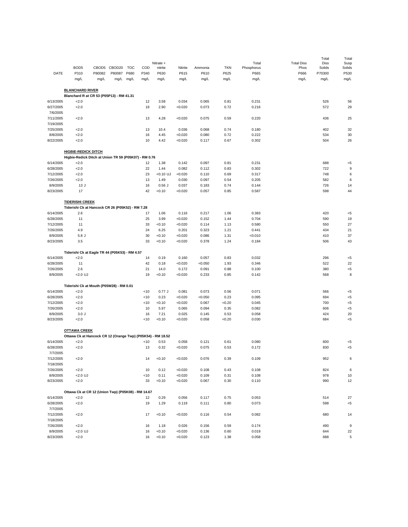|           |                                                             |        |              |            |      |                      |         |         |            |            |                           | Total                 | Total          |
|-----------|-------------------------------------------------------------|--------|--------------|------------|------|----------------------|---------|---------|------------|------------|---------------------------|-----------------------|----------------|
|           | BOD <sub>5</sub>                                            |        | CBOD5 CBOD20 | <b>TOC</b> | COD  | Nitrate +<br>nitrite | Nitrite |         | <b>TKN</b> | Total      | <b>Total Diss</b><br>Phos | <b>Diss</b><br>Solids | Susp<br>Solids |
|           |                                                             |        |              |            |      |                      |         | Ammonia |            | Phosphorus |                           |                       |                |
| DATE      | P310                                                        | P80082 | P80087       | P680       | P340 | P630                 | P615    | P610    | P625       | P665       | P666                      | P70300                | P530           |
|           | mg/L                                                        | mg/L   |              | mg/L mg/L  | mg/L | mg/L                 | mg/L    | mg/L    | mg/L       | mg/L       | mg/L                      | mg/L                  | mg/L           |
|           |                                                             |        |              |            |      |                      |         |         |            |            |                           |                       |                |
|           | <b>BLANCHARD RIVER</b>                                      |        |              |            |      |                      |         |         |            |            |                           |                       |                |
|           | Blanchard R at CR 53 (P05P13) - RM 41.31                    |        |              |            |      |                      |         |         |            |            |                           |                       |                |
| 6/13/2005 | 2.0                                                         |        |              |            | 12   | 3.58                 | 0.034   | 0.065   | 0.81       | 0.231      |                           | 526                   | 56             |
| 6/27/2005 | 2.0                                                         |        |              |            | 19   | 2.90                 | < 0.020 | 0.073   | 0.72       | 0.216      |                           | 572                   | 29             |
| 7/6/2005  |                                                             |        |              |            |      |                      |         |         |            |            |                           |                       |                |
| 7/11/2005 | 2.0                                                         |        |              |            | 13   | 4.28                 | <0.020  | 0.075   | 0.59       | 0.220      |                           | 436                   | 25             |
| 7/19/2005 |                                                             |        |              |            |      |                      |         |         |            |            |                           |                       |                |
| 7/25/2005 | 2.0                                                         |        |              |            | 13   | 10.4                 | 0.036   | 0.068   | 0.74       | 0.180      |                           | 402                   | 32             |
| 8/8/2005  | 2.0                                                         |        |              |            | 16   | 4.45                 | < 0.020 | 0.080   | 0.72       | 0.222      |                           | 534                   | 30             |
| 8/22/2005 | 2.0                                                         |        |              |            | 10   | 4.42                 | < 0.020 | 0.117   | 0.67       | 0.302      |                           | 504                   | 26             |
|           |                                                             |        |              |            |      |                      |         |         |            |            |                           |                       |                |
|           | <b>HIGBIE-REDICK DITCH</b>                                  |        |              |            |      |                      |         |         |            |            |                           |                       |                |
|           | Higbie-Redick Ditch at Union TR 59 (P05K07) - RM 0.76       |        |              |            |      |                      |         |         |            |            |                           |                       |                |
| 6/14/2005 | 2.0                                                         |        |              |            | 12   | 1.38                 | 0.142   | 0.097   | 0.81       | 0.231      |                           | 688                   | $5$            |
|           |                                                             |        |              |            |      |                      |         |         |            |            |                           |                       | $\mathsf g$    |
| 6/28/2005 | 2.0                                                         |        |              |            | 22   | 1.44                 | 0.082   | 0.112   | 0.83       | 0.302      |                           | 722                   |                |
| 7/12/2005 | 2.0                                                         |        |              |            | 23   | $<0.10$ UJ           | < 0.020 | 0.110   | 0.69       | 0.317      |                           | 748                   | 6              |
| 7/26/2005 | 2.0                                                         |        |              |            | 13   | 1.49                 | 0.030   | 0.097   | 0.54       | 0.205      |                           | 582                   | 6              |
| 8/9/2005  | 13J                                                         |        |              |            | 16   | 0.56J                | 0.037   | 0.183   | 0.74       | 0.144      |                           | 726                   | 14             |
| 8/23/2005 | 17                                                          |        |              |            | 42   | < 0.10               | < 0.020 | 0.057   | 0.85       | 0.587      |                           | 598                   | 44             |
|           |                                                             |        |              |            |      |                      |         |         |            |            |                           |                       |                |
|           | <b>TIDERISHI CREEK</b>                                      |        |              |            |      |                      |         |         |            |            |                           |                       |                |
|           | Tiderishi Ck at Hancock CR 26 (P05K52) - RM 7.28            |        |              |            |      |                      |         |         |            |            |                           |                       |                |
| 6/14/2005 | 2.6                                                         |        |              |            | 17   | 1.06                 | 0.116   | 0.217   | 1.06       | 0.383      |                           | 420                   | $<$ 5          |
| 6/28/2005 | 11                                                          |        |              |            | 25   | 3.99                 | < 0.020 | 0.152   | 1.44       | 0.704      |                           | 590                   | 19             |
| 7/12/2005 | 11                                                          |        |              |            | 33   | < 0.10               | < 0.020 | 0.114   | 1.13       | 0.580      |                           | 550                   | 27             |
| 7/26/2005 | 4.9                                                         |        |              |            | 24   | 6.25                 | 0.201   | 0.323   | 1.21       | 0.441      |                           | 434                   | 21             |
| 8/9/2005  | 5.8J                                                        |        |              |            | 30   | < 0.10               | < 0.020 | 0.086   | 1.31       | <0.010     |                           | 410                   | 37             |
| 8/23/2005 | 3.5                                                         |        |              |            | 33   | < 0.10               | <0.020  | 0.378   | 1.24       | 0.184      |                           | 506                   | 43             |
|           |                                                             |        |              |            |      |                      |         |         |            |            |                           |                       |                |
|           | Tiderishi Ck at Eagle TR 44 (P05K53) - RM 4.57              |        |              |            |      |                      |         |         |            |            |                           |                       |                |
| 6/14/2005 |                                                             |        |              |            |      |                      |         | 0.057   | 0.83       | 0.032      |                           | 296                   |                |
|           | 2.0                                                         |        |              |            | 14   | 0.19                 | 0.160   |         |            |            |                           |                       | $<$ 5          |
| 6/28/2005 | 11                                                          |        |              |            | 42   | 0.18                 | < 0.020 | < 0.050 | 1.93       | 0.346      |                           | 522                   | 22             |
| 7/26/2005 | 2.6                                                         |        |              |            | 21   | 14.0                 | 0.172   | 0.091   | 0.88       | 0.100      |                           | 380                   | $5$            |
| 8/9/2005  | $<$ 2.0 UJ                                                  |        |              |            | 19   | < 0.10               | < 0.020 | 0.233   | 0.85       | 0.142      |                           | 568                   | 8              |
|           |                                                             |        |              |            |      |                      |         |         |            |            |                           |                       |                |
|           | Tiderishi Ck at Mouth (P05W28) - RM 0.01                    |        |              |            |      |                      |         |         |            |            |                           |                       |                |
| 6/14/2005 | 2.0                                                         |        |              |            | <10  | 0.77J                | 0.081   | 0.073   | 0.56       | 0.071      |                           | 566                   | $<$ 5          |
| 6/28/2005 | 2.0                                                         |        |              |            | < 10 | 0.23                 | <0.020  | < 0.050 | 0.23       | 0.095      |                           | 694                   | $5$            |
| 7/12/2005 | 2.0                                                         |        |              |            | < 10 | <0.10                | < 0.020 | 0.067   | < 0.20     | 0.045      |                           | 700                   | $<$ 5          |
| 7/26/2005 | 2.0                                                         |        |              |            | 10   | 5.97                 | 0.065   | 0.094   | 0.35       | 0.082      |                           | 606                   | $5$            |
| 8/9/2005  | 3.0J                                                        |        |              |            | 16   | 7.21                 | 0.025   | 0.145   | 0.53       | 0.058      |                           | 424                   | 20             |
| 8/23/2005 | 2.0                                                         |        |              |            | <10  | < 0.10               | < 0.020 | 0.058   | < 0.20     | 0.030      |                           | 684                   | $5$            |
|           |                                                             |        |              |            |      |                      |         |         |            |            |                           |                       |                |
|           | OTTAWA CREEK                                                |        |              |            |      |                      |         |         |            |            |                           |                       |                |
|           | Ottawa Ck at Hancock CR 12 (Orange Twp) (P05K54) - RM 18.52 |        |              |            |      |                      |         |         |            |            |                           |                       |                |
| 6/14/2005 | 2.0                                                         |        |              |            | < 10 | 0.53                 | 0.058   | 0.121   | 0.61       | 0.080      |                           | 600                   | $<$ 5          |
| 6/28/2005 | 2.0                                                         |        |              |            | 13   | 0.32                 | < 0.020 | 0.075   | 0.53       | 0.172      |                           | 830                   | $5$            |
| 7/7/2005  |                                                             |        |              |            |      |                      |         |         |            |            |                           |                       |                |
| 7/12/2005 | 2.0                                                         |        |              |            |      | <0.10                |         | 0.076   | 0.39       | 0.109      |                           | 952                   | 6              |
|           |                                                             |        |              |            | 14   |                      | <0.020  |         |            |            |                           |                       |                |
| 7/18/2005 |                                                             |        |              |            |      |                      |         |         |            |            |                           |                       |                |
| 7/26/2005 | 2.0                                                         |        |              |            | 10   | 0.12                 | <0.020  | 0.108   | 0.43       | 0.108      |                           | 824                   | 6              |
| 8/9/2005  | <2.0 UJ                                                     |        |              |            | <10  | 0.11                 | <0.020  | 0.109   | 0.31       | 0.108      |                           | 978                   | $10$           |
| 8/23/2005 | 2.0                                                         |        |              |            | 33   | < 0.10               | <0.020  | 0.067   | 0.30       | 0.110      |                           | 990                   | 12             |
|           |                                                             |        |              |            |      |                      |         |         |            |            |                           |                       |                |
|           | Ottawa Ck at CR 12 (Union Twp) (P05K08) - RM 14.67          |        |              |            |      |                      |         |         |            |            |                           |                       |                |
| 6/14/2005 | 2.0                                                         |        |              |            | 12   | 0.29                 | 0.056   | 0.117   | 0.75       | 0.053      |                           | 514                   | 27             |
| 6/28/2005 | 2.0                                                         |        |              |            | 19   | 1.29                 | 0.119   | 0.111   | 0.80       | 0.073      |                           | 598                   | $< 5$          |
| 7/7/2005  |                                                             |        |              |            |      |                      |         |         |            |            |                           |                       |                |
| 7/12/2005 | 2.0                                                         |        |              |            | 17   | < 0.10               | < 0.020 | 0.116   | 0.54       | 0.082      |                           | 680                   | 14             |
| 7/18/2005 |                                                             |        |              |            |      |                      |         |         |            |            |                           |                       |                |
| 7/26/2005 | 2.0                                                         |        |              |            | 16   | 1.18                 | 0.026   | 0.156   | 0.59       | 0.174      |                           | 490                   | 9              |
| 8/9/2005  | <2.0 UJ                                                     |        |              |            | 16   | < 0.10               | <0.020  | 0.136   | 0.60       | 0.019      |                           | 644                   | 22             |
| 8/23/2005 | 2.0                                                         |        |              |            | 16   | < 0.10               | < 0.020 | 0.123   | 1.38       | 0.058      |                           | 688                   | 5              |
|           |                                                             |        |              |            |      |                      |         |         |            |            |                           |                       |                |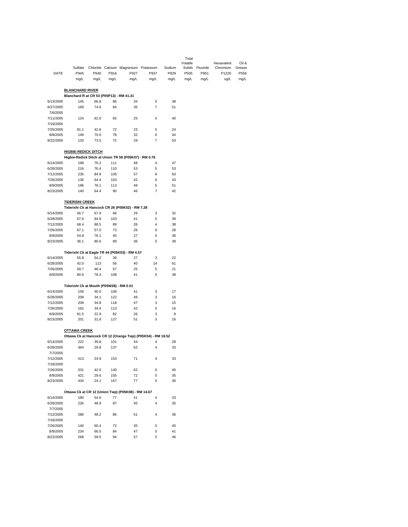|           |                                          |      |      |                                                             |                |        | Total    |          |            |        |
|-----------|------------------------------------------|------|------|-------------------------------------------------------------|----------------|--------|----------|----------|------------|--------|
|           |                                          |      |      |                                                             |                |        | Volatile |          | Hexavalent | Oil &  |
|           | Sulfate                                  |      |      | Chloride Calcium Magnesium Potassium                        |                | Sodium | Solids   | Fluoride | Chromium   | Grease |
| DATE      | P945                                     | P940 | P916 | P927                                                        | P937           | P929   | P505     | P951     | P1220      | P556   |
|           | mg/L                                     | mg/L | mg/L | mg/L                                                        | mg/L           | mg/L   | mg/L     | mg/L     | ug/L       | mg/L   |
|           |                                          |      |      |                                                             |                |        |          |          |            |        |
|           | <b>BLANCHARD RIVER</b>                   |      |      |                                                             |                |        |          |          |            |        |
|           | Blanchard R at CR 53 (P05P13) - RM 41.31 |      |      |                                                             |                |        |          |          |            |        |
| 6/13/2005 | 145                                      | 66.8 | 86   | 34                                                          | 5              | 38     |          |          |            |        |
| 6/27/2005 | 169                                      | 74.6 | 84   | 35                                                          | $\overline{7}$ | 51     |          |          |            |        |
| 7/6/2005  |                                          |      |      |                                                             |                |        |          |          |            |        |
| 7/11/2005 | 124                                      | 62.0 | 65   | 25                                                          | 5              | 40     |          |          |            |        |
| 7/19/2005 |                                          |      |      |                                                             |                |        |          |          |            |        |
| 7/25/2005 | 91.1                                     | 42.6 | 72   | 23                                                          | 5              | 24     |          |          |            |        |
| 8/8/2005  | 149                                      | 70.0 | 78   | 32                                                          | 6              | 44     |          |          |            |        |
| 8/22/2005 | 133                                      | 73.5 | 72   | 29                                                          | $\overline{7}$ | 53     |          |          |            |        |
|           |                                          |      |      |                                                             |                |        |          |          |            |        |
|           | <b>HIGBIE-REDICK DITCH</b>               |      |      |                                                             |                |        |          |          |            |        |
|           |                                          |      |      | Higbie-Redick Ditch at Union TR 59 (P05K07) - RM 0.76       |                |        |          |          |            |        |
| 6/14/2005 | 198                                      | 76.2 | 111  | 48                                                          | 4              | 47     |          |          |            |        |
| 6/28/2005 | 216                                      | 76.4 | 110  | 53                                                          | 5              | 53     |          |          |            |        |
| 7/12/2005 | 235                                      | 84.9 | 105  | 57                                                          | 6              | 63     |          |          |            |        |
| 7/26/2005 | 136                                      | 64.4 | 103  | 42                                                          | 6              | 43     |          |          |            |        |
| 8/9/2005  | 196                                      | 78.1 | 113  | 49                                                          | 5              | 51     |          |          |            |        |
| 8/23/2005 | 140                                      | 64.4 | 90   | 46                                                          | $\overline{7}$ | 42     |          |          |            |        |
|           |                                          |      |      |                                                             |                |        |          |          |            |        |
|           | <b>TIDERISHI CREEK</b>                   |      |      |                                                             |                |        |          |          |            |        |
|           |                                          |      |      | Tiderishi Ck at Hancock CR 26 (P05K52) - RM 7.28            |                |        |          |          |            |        |
| 6/14/2005 | 56.7                                     | 67.9 | 66   | 29                                                          | 3              | 32     |          |          |            |        |
| 6/28/2005 | 67.6                                     | 94.9 | 103  | 41                                                          | 5              | 39     |          |          |            |        |
| 7/12/2005 | 68.4                                     | 88.5 | 89   | 39                                                          | 4              | 38     |          |          |            |        |
| 7/26/2005 | 67.1                                     | 57.0 | 73   | 26                                                          | 9              | 28     |          |          |            |        |
| 8/9/2005  | 54.8                                     | 76.1 | 45   | 27                                                          | 5              | 36     |          |          |            |        |
| 8/23/2005 | 36.1                                     | 80.6 | 89   | 36                                                          | 5              | 39     |          |          |            |        |
|           |                                          |      |      |                                                             |                |        |          |          |            |        |
|           |                                          |      |      | Tiderishi Ck at Eagle TR 44 (P05K53) - RM 4.57              |                |        |          |          |            |        |
| 6/14/2005 | 55.8                                     | 54.2 | 39   | 27                                                          | 3              | 22     |          |          |            |        |
| 6/28/2005 | 42.0                                     | 113  | 56   | 40                                                          | 14             | 61     |          |          |            |        |
| 7/26/2005 | 59.7                                     | 48.4 | 57   | 25                                                          | 5              | 21     |          |          |            |        |
| 8/9/2005  | 80.6                                     | 78.4 | 108  | 41                                                          | 5              | 38     |          |          |            |        |
|           |                                          |      |      |                                                             |                |        |          |          |            |        |
|           | Tiderishi Ck at Mouth (P05W28) - RM 0.01 |      |      |                                                             |                |        |          |          |            |        |
| 6/14/2005 | 159                                      | 40.0 | 106  | 41                                                          | 3              | 17     |          |          |            |        |
| 6/28/2005 | 208                                      | 34.1 | 122  | 49                                                          | 3              | 16     |          |          |            |        |
| 7/12/2005 | 209                                      | 34.8 | 118  | 47                                                          | 3              | 15     |          |          |            |        |
| 7/26/2005 | 162                                      | 34.4 | 113  | 42                                                          | 5              | 16     |          |          |            |        |
| 8/9/2005  | 81.5                                     | 22.9 | 82   | 26                                                          | 3              | 8      |          |          |            |        |
| 8/23/2005 | 201                                      | 31.8 | 127  | 51                                                          | 3              | 16     |          |          |            |        |
|           |                                          |      |      |                                                             |                |        |          |          |            |        |
|           | <b>OTTAWA CREEK</b>                      |      |      |                                                             |                |        |          |          |            |        |
|           |                                          |      |      | Ottawa Ck at Hancock CR 12 (Orange Twp) (P05K54) - RM 18.52 |                |        |          |          |            |        |
| 6/14/2005 | 222                                      | 39.8 | 101  | 44                                                          | 4              | 28     |          |          |            |        |
| 6/28/2005 | 364                                      | 29.8 | 137  | 62                                                          | 4              | 33     |          |          |            |        |
| 7/7/2005  |                                          |      |      |                                                             |                |        |          |          |            |        |
| 7/12/2005 | 413                                      | 24.9 | 153  | 71                                                          | 4              | 33     |          |          |            |        |
| 7/18/2005 |                                          |      |      |                                                             |                |        |          |          |            |        |
| 7/26/2005 | 331                                      | 42.0 | 140  | 62                                                          | 6              | 40     |          |          |            |        |
| 8/9/2005  | 421                                      | 29.6 | 155  | 72                                                          | 5              | 35     |          |          |            |        |
| 8/23/2005 | 434                                      | 24.1 | 167  | 77                                                          | 5              | 36     |          |          |            |        |
|           |                                          |      |      |                                                             |                |        |          |          |            |        |
|           |                                          |      |      | Ottawa Ck at CR 12 (Union Twp) (P05K08) - RM 14.67          |                |        |          |          |            |        |
| 6/14/2005 | 180                                      | 54.6 | 77   | 41                                                          | 4              | 33     |          |          |            |        |
| 6/28/2005 | 226                                      | 48.9 | 87   | 45                                                          | 4              | 35     |          |          |            |        |
| 7/7/2005  |                                          |      |      |                                                             |                |        |          |          |            |        |
| 7/12/2005 | 286                                      | 48.2 | 86   | 51                                                          | 4              | 36     |          |          |            |        |
| 7/18/2005 |                                          |      |      |                                                             |                |        |          |          |            |        |
| 7/26/2005 | 140                                      | 60.4 | 72   | 35                                                          | 5              | 40     |          |          |            |        |
| 8/9/2005  | 234                                      | 66.5 | 84   | 47                                                          | 5              | 41     |          |          |            |        |
| 8/23/2005 | 268                                      | 59.5 | 94   | 57                                                          | 5              | 46     |          |          |            |        |
|           |                                          |      |      |                                                             |                |        |          |          |            |        |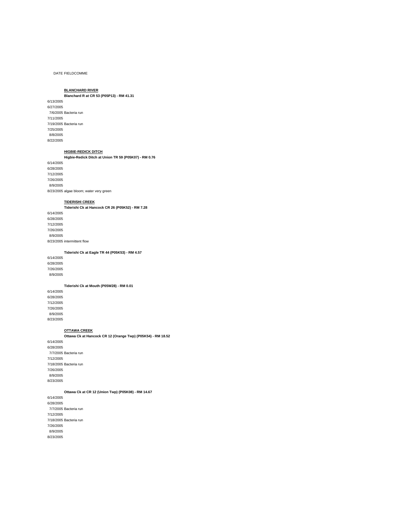### **BLANCHARD RIVER**

**Blanchard R at CR 53 (P05P13) - RM 41.31** 6/13/2005 6/27/2005 7/6/2005 Bacteria run 7/11/2005 7/19/2005 Bacteria run 7/25/2005 8/8/2005 8/22/2005

### **HIGBIE-REDICK DITCH**

**Higbie-Redick Ditch at Union TR 59 (P05K07) - RM 0.76**

6/14/2005 6/28/2005 7/12/2005 7/26/2005 8/9/2005 8/23/2005 algae bloom; water very green

## **TIDERISHI CREEK**

**Tiderishi Ck at Hancock CR 26 (P05K52) - RM 7.28** 6/14/2005 6/28/2005 7/12/2005 7/26/2005 8/9/2005 8/23/2005 intermittent flow **Tiderishi Ck at Eagle TR 44 (P05K53) - RM 4.57**

#### 6/14/2005

6/28/2005 7/26/2005 8/9/2005

**Tiderishi Ck at Mouth (P05W28) - RM 0.01**

### 6/14/2005 6/28/2005 7/12/2005 7/26/2005 8/9/2005

8/23/2005

## **OTTAWA CREEK**

**Ottawa Ck at Hancock CR 12 (Orange Twp) (P05K54) - RM 18.52** 6/14/2005 6/28/2005 7/7/2005 Bacteria run 7/12/2005 7/18/2005 Bacteria run 7/26/2005 8/9/2005 8/23/2005

## **Ottawa Ck at CR 12 (Union Twp) (P05K08) - RM 14.67**

6/14/2005 6/28/2005 7/7/2005 Bacteria run 7/12/2005 7/18/2005 Bacteria run 7/26/2005 8/9/2005 8/23/2005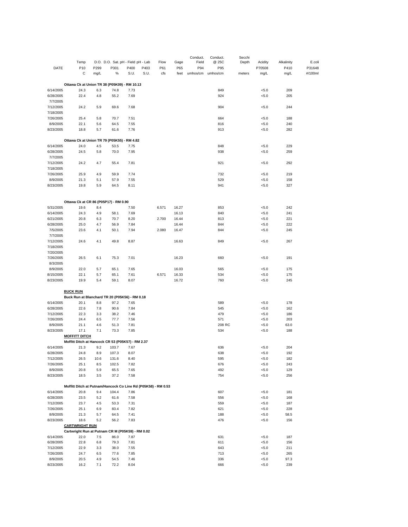|           |                                                               |      |       |                                    |      |       |       | Conduct. | Conduct. | Secchi |         |            |         |
|-----------|---------------------------------------------------------------|------|-------|------------------------------------|------|-------|-------|----------|----------|--------|---------|------------|---------|
|           | Temp                                                          |      |       | D.O. D.O. Sat. pH - Field pH - Lab |      | Flow  | Gage  | Field    | @ 25C    | Depth  | Acidity | Alkalinity | E.coli  |
| DATE      | P10                                                           | P299 | P301  | P400                               | P403 | P61   | P65   | P94      | P95      |        | P70508  | P410       | P31648  |
|           | с                                                             | mg/L | %     | S.U.                               | S.U. | cfs   | feet  | umhos/cm | umhos/cm | meters | mg/L    | mg/L       | #/100ml |
|           |                                                               |      |       |                                    |      |       |       |          |          |        |         |            |         |
|           | Ottawa Ck at Union TR 38 (P05K09) - RM 10.13                  |      |       |                                    |      |       |       |          |          |        |         |            |         |
| 6/14/2005 | 24.3                                                          | 6.3  | 74.8  | 7.73                               |      |       |       |          | 849      |        | <5.0    | 209        |         |
| 6/28/2005 | 22.4                                                          | 4.8  | 55.2  | 7.69                               |      |       |       |          | 924      |        | < 5.0   | 205        |         |
| 7/7/2005  |                                                               |      |       |                                    |      |       |       |          |          |        |         |            |         |
| 7/12/2005 | 24.2                                                          | 5.9  | 69.6  | 7.68                               |      |       |       |          | 904      |        | < 5.0   | 244        |         |
| 7/18/2005 |                                                               |      |       |                                    |      |       |       |          |          |        |         |            |         |
| 7/26/2005 | 25.4                                                          | 5.8  | 70.7  | 7.51                               |      |       |       |          | 664      |        | 5.0     | 188        |         |
|           |                                                               |      |       |                                    |      |       |       |          |          |        |         |            |         |
| 8/9/2005  | 22.1                                                          | 5.6  | 64.5  | 7.55                               |      |       |       |          | 816      |        | < 5.0   | 240        |         |
| 8/23/2005 | 18.8                                                          | 5.7  | 61.6  | 7.76                               |      |       |       |          | 913      |        | < 5.0   | 282        |         |
|           | Ottawa Ck at Union TR 79 (P05K55) - RM 4.82                   |      |       |                                    |      |       |       |          |          |        |         |            |         |
| 6/14/2005 | 24.0                                                          | 4.5  | 53.5  | 7.75                               |      |       |       |          | 848      |        | <5.0    | 229        |         |
| 6/28/2005 | 24.5                                                          | 5.8  | 70.0  | 7.95                               |      |       |       |          | 938      |        | < 5.0   | 259        |         |
| 7/7/2005  |                                                               |      |       |                                    |      |       |       |          |          |        |         |            |         |
|           |                                                               |      |       |                                    |      |       |       |          |          |        |         |            |         |
| 7/12/2005 | 24.2                                                          | 4.7  | 55.4  | 7.81                               |      |       |       |          | 921      |        | < 5.0   | 292        |         |
| 7/18/2005 |                                                               |      |       |                                    |      |       |       |          |          |        |         |            |         |
| 7/26/2005 | 25.9                                                          | 4.9  | 59.9  | 7.74                               |      |       |       |          | 732      |        | < 5.0   | 219        |         |
| 8/9/2005  | 21.3                                                          | 5.1  | 57.9  | 7.55                               |      |       |       |          | 529      |        | < 5.0   | 158        |         |
| 8/23/2005 | 19.8                                                          | 5.9  | 64.5  | 8.11                               |      |       |       |          | 941      |        | <5.0    | 327        |         |
|           |                                                               |      |       |                                    |      |       |       |          |          |        |         |            |         |
|           | Ottawa Ck at CR 86 (P05P17) - RM 0.90                         |      |       |                                    |      |       |       |          |          |        |         |            |         |
|           |                                                               |      |       |                                    |      |       |       |          |          |        |         |            |         |
| 5/31/2005 | 19.6                                                          | 8.4  |       | 7.50                               |      | 6.571 | 16.27 |          | 853      |        | < 5.0   | 242        |         |
| 6/14/2005 | 24.3                                                          | 4.9  | 58.1  | 7.69                               |      |       | 16.13 |          | 840      |        | < 5.0   | 241        |         |
| 6/21/2005 | 20.8                                                          | 6.3  | 70.7  | 8.20                               |      | 2.700 | 16.44 |          | 813      |        | < 5.0   | 221        |         |
| 6/28/2005 | 25.0                                                          | 4.7  | 56.9  | 7.84                               |      |       | 16.44 |          | 844      |        | < 5.0   | 222        |         |
| 7/5/2005  | 23.6                                                          | 4.1  | 50.1  | 7.94                               |      | 2.080 | 16.47 |          | 844      |        | <5.0    | 245        |         |
| 7/7/2005  |                                                               |      |       |                                    |      |       |       |          |          |        |         |            |         |
|           | 24.6                                                          | 4.1  | 49.8  | 8.87                               |      |       |       |          | 849      |        | < 5.0   | 267        |         |
| 7/12/2005 |                                                               |      |       |                                    |      |       | 16.63 |          |          |        |         |            |         |
| 7/18/2005 |                                                               |      |       |                                    |      |       |       |          |          |        |         |            |         |
| 7/20/2005 |                                                               |      |       |                                    |      |       |       |          |          |        |         |            |         |
| 7/26/2005 | 26.5                                                          | 6.1  | 75.3  | 7.01                               |      |       | 16.23 |          | 660      |        | <5.0    | 191        |         |
| 8/3/2005  |                                                               |      |       |                                    |      |       |       |          |          |        |         |            |         |
| 8/9/2005  | 22.0                                                          | 5.7  | 65.1  | 7.65                               |      |       | 16.03 |          | 565      |        | < 5.0   | 175        |         |
| 8/15/2005 | 22.1                                                          | 5.7  | 65.1  | 7.61                               |      | 6.571 | 16.33 |          | 534      |        | < 5.0   | 175        |         |
|           |                                                               |      |       |                                    |      |       |       |          |          |        |         |            |         |
| 8/23/2005 | 19.9                                                          | 5.4  | 59.1  | 8.07                               |      |       | 16.72 |          | 760      |        | < 5.0   | 245        |         |
|           | <b>BUCK RUN</b>                                               |      |       |                                    |      |       |       |          |          |        |         |            |         |
|           | Buck Run at Blanchard TR 20 (P05K56) - RM 0.18                |      |       |                                    |      |       |       |          |          |        |         |            |         |
| 6/14/2005 | 20.1                                                          | 8.8  | 97.2  | 7.65                               |      |       |       |          | 589      |        | < 5.0   | 178        |         |
| 6/28/2005 | 22.6                                                          | 7.8  | 90.6  | 7.84                               |      |       |       |          | 545      |        | < 5.0   | 162        |         |
| 7/12/2005 | 22.3                                                          | 3.3  | 38.2  | 7.46                               |      |       |       |          | 479      |        | < 5.0   | 186        |         |
|           |                                                               |      |       |                                    |      |       |       |          |          |        |         |            |         |
| 7/26/2005 | 24.4                                                          | 6.5  | 77.7  | 7.56                               |      |       |       |          | 571      |        | < 5.0   | 203        |         |
| 8/9/2005  | 21.1                                                          | 4.6  | 51.3  | 7.81                               |      |       |       |          | 208 RC   |        | <5.0    | 63.0       |         |
| 8/23/2005 | 17.1                                                          | 7.1  | 73.3  | 7.85                               |      |       |       |          | 534      |        | <5.0    | 188        |         |
|           | <b>MOFFITT DITCH</b>                                          |      |       |                                    |      |       |       |          |          |        |         |            |         |
|           | Moffitt Ditch at Hancock CR 53 (P05K57) - RM 2.37             |      |       |                                    |      |       |       |          |          |        |         |            |         |
| 6/14/2005 | 21.3                                                          | 9.2  | 103.7 | 7.67                               |      |       |       |          | 636      |        | < 5.0   | 204        |         |
| 6/28/2005 | 24.8                                                          | 8.9  | 107.3 | 8.07                               |      |       |       |          | 638      |        | < 5.0   | 192        |         |
| 7/12/2005 | 26.5                                                          | 10.6 | 131.6 | 8.40                               |      |       |       |          | 595      |        | < 5.0   | 182        |         |
| 7/26/2005 | 25.1                                                          | 8.5  | 102.5 | 7.82                               |      |       |       |          | 676      |        | < 5.0   | 243        |         |
| 8/9/2005  | 20.8                                                          | 5.9  | 65.5  | 7.65                               |      |       |       |          | 492      |        | < 5.0   | 129        |         |
|           |                                                               |      |       |                                    |      |       |       |          |          |        |         |            |         |
| 8/23/2005 | 18.5                                                          | 3.5  | 37.2  | 7.58                               |      |       |       |          | 754      |        | < 5.0   | 256        |         |
|           | Moffitt Ditch at Putnam/Hancock Co Line Rd (P05K58) - RM 0.53 |      |       |                                    |      |       |       |          |          |        |         |            |         |
| 6/14/2005 | 20.8                                                          | 9.4  | 104.4 | 7.86                               |      |       |       |          | 607      |        | < 5.0   | 181        |         |
| 6/28/2005 | 23.5                                                          | 5.2  | 61.6  | 7.58                               |      |       |       |          | 556      |        | < 5.0   | 168        |         |
| 7/12/2005 | 23.7                                                          | 4.5  | 53.3  | 7.31                               |      |       |       |          | 559      |        | 5.0     | 187        |         |
|           |                                                               |      |       |                                    |      |       |       |          |          |        |         |            |         |
| 7/26/2005 | 25.1                                                          | 6.9  | 83.4  | 7.82                               |      |       |       |          | 621      |        | < 5.0   | 228        |         |
| 8/9/2005  | 21.3                                                          | 5.7  | 64.5  | 7.41                               |      |       |       |          | 188      |        | 5.0     | 58.5       |         |
| 8/23/2005 | 18.6                                                          | 5.2  | 56.2  | 7.83                               |      |       |       |          | 476      |        | < 5.0   | 156        |         |
|           | <b>CARTWRIGHT RUN</b>                                         |      |       |                                    |      |       |       |          |          |        |         |            |         |
|           | Cartwright Run at Putnam CR M (P05K59) - RM 0.02              |      |       |                                    |      |       |       |          |          |        |         |            |         |
| 6/14/2005 | 22.0                                                          | 7.5  | 86.0  | 7.87                               |      |       |       |          | 631      |        | < 5.0   | 187        |         |
| 6/28/2005 | 22.8                                                          | 6.8  | 79.3  | 7.81                               |      |       |       |          | 611      |        | < 5.0   | 156        |         |
| 7/12/2005 | 22.9                                                          | 3.3  | 38.0  | 7.55                               |      |       |       |          | 643      |        | < 5.0   | 211        |         |
| 7/26/2005 | 24.7                                                          |      | 77.6  | 7.85                               |      |       |       |          | 713      |        | < 5.0   | 265        |         |
|           |                                                               | 6.5  |       |                                    |      |       |       |          |          |        |         |            |         |
| 8/9/2005  | 20.5                                                          | 4.9  | 54.5  | 7.46                               |      |       |       |          | 336      |        | 5.0     | 97.3       |         |
| 8/23/2005 | 16.2                                                          | 7.1  | 72.2  | 8.04                               |      |       |       |          | 666      |        | <5.0    | 239        |         |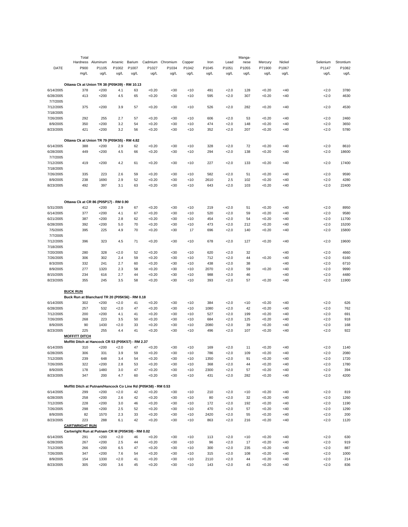|                        | Total                                                         |              |         |        |                |                  |            |            |            | Manga-    |                |                  |            |              |
|------------------------|---------------------------------------------------------------|--------------|---------|--------|----------------|------------------|------------|------------|------------|-----------|----------------|------------------|------------|--------------|
|                        | Hardness                                                      | Aluminum     | Arsenic | Barium |                | Cadmium Chromium | Copper     | Iron       | Lead       | nese      | Mercury        | Nickel           | Selenium   | Strontium    |
| DATE                   | P900                                                          | P1105        | P1002   | P1007  | P1027          | P1034            | P1042      | P1045      | P1051      | P1055     | P71900         | P1067            | P1147      | P1082        |
|                        | mg/L                                                          | ug/L         | ug/L    | ug/L   | ug/L           | ug/L             | ug/L       | ug/L       | ug/L       | ug/L      | ug/L           | ug/L             | ug/L       | ug/L         |
|                        |                                                               |              |         |        |                |                  |            |            |            |           |                |                  |            |              |
|                        | Ottawa Ck at Union TR 38 (P05K09) - RM 10.13                  |              |         |        |                |                  |            |            |            |           |                |                  |            |              |
| 6/14/2005              | 378                                                           | $200$        | 4.1     | 63     | <0.20          | $30$             | <10        | 491        | 2.0        | 128       | <0.20          | <40              | 2.0        | 3780         |
| 6/28/2005              | 413                                                           | 200          | 4.5     | 65     | <0.20          | $30$             | <10        | 595        | 2.0        | 307       | <0.20          | $<$ 40           | 2.0        | 4630         |
| 7/7/2005<br>7/12/2005  |                                                               | $200$        | 3.9     |        | <0.20          | $30$             |            | 526        | 2.0        | 282       | <0.20          |                  | 2.0        |              |
|                        | 375                                                           |              |         | 57     |                |                  | <10        |            |            |           |                | <40              |            | 4530         |
| 7/18/2005<br>7/26/2005 | 292                                                           |              | 2.7     | 57     |                |                  |            |            |            |           |                |                  |            |              |
| 8/9/2005               | 350                                                           | 255<br>$200$ | 3.2     | 54     | <0.20<br><0.20 | $30$<br>$30$     | <10<br><10 | 606<br>474 | 2.0<br>2.0 | 53<br>148 | <0.20<br><0.20 | $<$ 40<br>$<$ 40 | 2.0<br>2.0 | 2460<br>3650 |
|                        | 421                                                           | 200          | 3.2     | 56     |                | $30$             | < 10       | 352        |            | 207       |                | <40              |            |              |
| 8/23/2005              |                                                               |              |         |        | <0.20          |                  |            |            | 2.0        |           | <0.20          |                  | 2.0        | 5780         |
|                        | Ottawa Ck at Union TR 79 (P05K55) - RM 4.82                   |              |         |        |                |                  |            |            |            |           |                |                  |            |              |
| 6/14/2005              | 388                                                           | $200$        | 2.9     | 62     | <0.20          | $30$             | <10        | 328        | 2.0        | 72        | <0.20          | <40              | 2.0        | 8610         |
| 6/28/2005              | 449                                                           | $200$        | 4.5     | 66     | <0.20          | $30$             | <10        | 294        | 2.0        | 138       | <0.20          | <40              | 2.0        | 18600        |
| 7/7/2005               |                                                               |              |         |        |                |                  |            |            |            |           |                |                  |            |              |
| 7/12/2005              | 419                                                           | $200$        | 4.2     | 61     | <0.20          | $30$             | <10        | 227        | 2.0        | 133       | <0.20          | <40              | 2.0        | 17400        |
| 7/18/2005              |                                                               |              |         |        |                |                  |            |            |            |           |                |                  |            |              |
| 7/26/2005              | 335                                                           | 223          | 2.6     | 59     | <0.20          | $30$             | ~10        | 582        | 2.0        | 51        | <0.20          | <40              | 2.0        | 9590         |
| 8/9/2005               | 238                                                           | 1690         | 2.9     | 52     | <0.20          | $30$             | <10        | 2610       | 2.5        | 102       | <0.20          | $<$ 40           | 2.0        | 4280         |
| 8/23/2005              | 492                                                           | 397          | 3.1     | 63     | <0.20          | $30$             | < 10       | 643        | 2.0        | 103       | <0.20          | $<$ 40           | 2.0        | 22400        |
|                        |                                                               |              |         |        |                |                  |            |            |            |           |                |                  |            |              |
|                        |                                                               |              |         |        |                |                  |            |            |            |           |                |                  |            |              |
|                        | Ottawa Ck at CR 86 (P05P17) - RM 0.90                         |              |         |        |                |                  |            |            |            |           |                |                  |            |              |
| 5/31/2005              | 412                                                           | 200          | 2.9     | 67     | <0.20          | $30$             | <10        | 219        | 2.0        | 51        | <0.20          | <40              | 2.0        | 8950         |
| 6/14/2005              | 377                                                           | 200          | 4.1     | 67     | <0.20          | $30$             | < 10       | 520        | 2.0        | 59        | <0.20          | <40              | 2.0        | 9580         |
| 6/21/2005              | 387                                                           | $200$        | 2.8     | 62     | <0.20          | <30              | <10        | 454        | 2.0        | 54        | <0.20          | <40              | 2.0        | 11700        |
| 6/28/2005              | 392                                                           | $200$        | 5.0     | 70     | <0.20          | $30$             | < 10       | 473        | 2.0        | 212       | <0.20          | $<$ 40           | 2.0        | 15200        |
| 7/5/2005               | 395                                                           | 225          | 4.9     | 70     | <0.20          | <30              | 17         | 696        | 2.0        | 140       | <0.20          | <40              | 2.0        | 15800        |
| 7/7/2005               |                                                               |              |         |        |                |                  |            |            |            |           |                |                  |            |              |
| 7/12/2005              | 396                                                           | 323          | 4.5     | 71     | <0.20          | $30$             | < 10       | 678        | 2.0        | 127       | <0.20          | <40              | 2.0        | 19600        |
| 7/18/2005              |                                                               |              |         |        |                |                  |            |            |            |           |                |                  |            |              |
| 7/20/2005              | 280                                                           | 328          | 2.0     | 52     | < 0.20         | $30$             | < 10       | 620        | 2.0        | 32        |                | <40              | 2.0        | 4660         |
| 7/26/2005              | 306                                                           | 302          | 2.4     | 59     | <0.20          | $30$             | <10        | 712        | 2.0        | 44        | <0.20          | <40              | 2.0        | 6160         |
| 8/3/2005               | 332                                                           | 241          | 2.7     | 60     | <0.20          | $30$             | < 10       | 438        | 2.0        | 38        |                | $<$ 40           | 2.0        | 6710         |
| 8/9/2005               | 277                                                           | 1320         | 2.3     | 58     | <0.20          | $30$             | < 10       | 2070       | 2.0        | 59        | <0.20          | $<$ 40           | 2.0        | 9990         |
| 8/15/2005              | 234                                                           | 616          | 2.7     | 44     | <0.20          | <30              | <10        | 988        | 2.0        | 46        |                | <40              | 2.0        | 4480         |
| 8/23/2005              | 355                                                           | 245          | 3.5     | 58     | <0.20          | $30$             | < 10       | 393        | 2.0        | 57        | <0.20          | $<$ 40           | 2.0        | 11900        |
|                        |                                                               |              |         |        |                |                  |            |            |            |           |                |                  |            |              |
|                        | <b>BUCK RUN</b>                                               |              |         |        |                |                  |            |            |            |           |                |                  |            |              |
|                        | Buck Run at Blanchard TR 20 (P05K56) - RM 0.18                |              |         |        |                |                  |            |            |            |           |                |                  |            |              |
| 6/14/2005              | 302                                                           | $200$        | 2.0     | 41     | <0.20          | $30$             | <10        | 384        | 2.0        | <10       | <0.20          | <40              | 2.0        | 626          |
| 6/28/2005              | 257                                                           | 532          | 2.0     | 47     | <0.20          | $30$             | <10        | 1080       | 2.0        | 42        | <0.20          | <40              | 2.0        | 762          |
| 7/12/2005              | 200                                                           | $200$        | 4.1     | 41     | <0.20          | <30              | <10        | 527        | 2.0        | 199       | <0.20          | <40              | 2.0        | 691          |
| 7/26/2005              | 268                                                           | 223          | 3.5     | 50     | < 0.20         | $30$             | <10        | 684        | 2.0        | 125       | <0.20          | <40              | 2.0        | 918          |
| 8/9/2005               | 90                                                            | 1430         | 2.0     | 33     | <0.20          | $30$             | <10        | 2080       | 2.0        | 39        | <0.20          | $<$ 40           | 2.0        | 168          |
| 8/23/2005              | 225                                                           | 255          | 4.4     | 41     | <0.20          | $30$             | <10        | 496        | 2.0        | 107       | <0.20          | $<$ 40           | 2.0        | 922          |
|                        | <b>MOFFITT DITCH</b>                                          |              |         |        |                |                  |            |            |            |           |                |                  |            |              |
|                        | Moffitt Ditch at Hancock CR 53 (P05K57) - RM 2.37             |              |         |        |                |                  |            |            |            |           |                |                  |            |              |
| 6/14/2005              | 310                                                           | 200          | 2.0     | 47     | <0.20          | $30$             | <10        | 169        | 2.0        | 11        | <0.20          | $<$ 40           | 2.0        | 1140         |
| 6/28/2005              | 306                                                           | 331          | 3.9     | 59     | <0.20          | $30$             | 10         | 786        | 2.0        | 109       | <0.20          | <40              | 2.0        | 2080         |
| 7/12/2005              | 239                                                           | 648          | 3.4     | 54     | <0.20          | $30$             | <10        | 1350       | 2.0        | 91        | <0.20          | <40              | 2.0        | 1720         |
| 7/26/2005              | 322                                                           | $<$ 200      | 2.8     | 53     | <0.20          | $30$             | <10        | 368        | 2.0        | 44        | <0.20          | <40              | 2.0        | 1780         |
| 8/9/2005               | 178                                                           | 1480         | 3.0     | 47     | <0.20          | $30$             | <10        | 2300       | 2.0        | 57        | <0.20          | <40              | 2.0        | 394          |
| 8/23/2005              | 347                                                           | 200          | 4.7     | 60     | <0.20          | $30$             | <10        | 431        | 2.0        | 282       | <0.20          | <40              | 2.0        | 4200         |
|                        |                                                               |              |         |        |                |                  |            |            |            |           |                |                  |            |              |
|                        | Moffitt Ditch at Putnam/Hancock Co Line Rd (P05K58) - RM 0.53 |              |         |        |                |                  |            |            |            |           |                |                  |            |              |
| 6/14/2005              | 299                                                           | $200$        | 2.0     | 42     | <0.20          | $30$             | <10        | 210        | 2.0        | $<$ 10    | <0.20          | <40              | 2.0        | 819          |
| 6/28/2005              | 258                                                           | $200$        | 2.6     | 42     | <0.20          | $30$             | <10        | 80         | 2.0        | 32        | <0.20          | <40              | 2.0        | 1260         |
| 7/12/2005              | 228                                                           | $200$        | 3.0     | 46     | <0.20          | $30$             | <10        | 172        | 2.0        | 192       | <0.20          | <40              | 2.0        | 1190         |
| 7/26/2005              | 298                                                           | $200$        | 2.5     | 52     | < 0.20         | $30$             | <10        | 470        | 2.0        | 57        | <0.20          | <40              | 2.0        | 1290         |
| 8/9/2005               | 82                                                            | 1570         | 2.3     | 33     | <0.20          | $30$             | <10        | 2420       | 2.0        | 55        | <0.20          | $<$ 40           | 2.0        | 200          |
| 8/23/2005              | 223                                                           | 288          | 6.1     | 42     | <0.20          | $30$             | <10        | 863        | 2.0        | 216       | <0.20          | $<$ 40           | 2.0        | 1120         |
|                        | <b>CARTWRIGHT RUN</b>                                         |              |         |        |                |                  |            |            |            |           |                |                  |            |              |
|                        | Cartwright Run at Putnam CR M (P05K59) - RM 0.02              |              |         |        |                |                  |            |            |            |           |                |                  |            |              |
| 6/14/2005              | 291                                                           | $200$        | 2.0     | 46     | <0.20          | $30$             | <10        | 113        | 2.0        | <10       | <0.20          | <40              | 2.0        | 630          |
| 6/28/2005              | 267                                                           | $<$ 200      | 2.5     | 44     | <0.20          | $30$             | <10        | 96         | 2.0        | 17        | <0.20          | $<$ 40           | 2.0        | 919          |
| 7/12/2005              | 266                                                           | $<$ 200      | 6.5     | 47     | <0.20          | $30$             | <10        | 300        | 2.0        | 235       | <0.20          | <40              | 2.0        | 887          |
| 7/26/2005              | 347                                                           | $200$        | 7.6     | 54     | <0.20          | <30              | <10        | 315        | 2.0        | 108       | <0.20          | <40              | 2.0        | 1000         |
| 8/9/2005               | 154                                                           | 1330         | 2.0     | 41     | <0.20          | $30$             | <10        | 2110       | 2.0        | 44        | <0.20          | <40              | 2.0        | 214          |
| 8/23/2005              | 305                                                           | $200$        | 3.6     | 45     | <0.20          | <30              | <10        | 143        | 2.0        | 43        | <0.20          | <40              | 2.0        | 836          |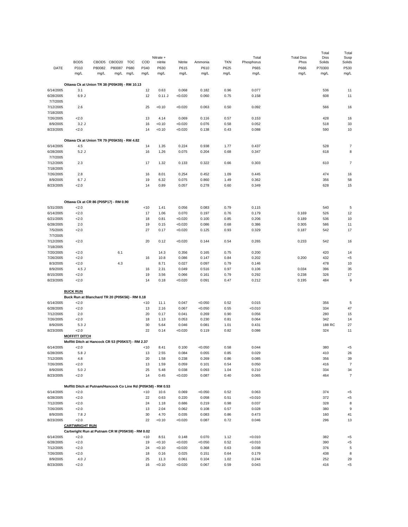|           |                                                               |        |              |              |              |         |         |            |            |                   | Total       | Total                     |
|-----------|---------------------------------------------------------------|--------|--------------|--------------|--------------|---------|---------|------------|------------|-------------------|-------------|---------------------------|
|           |                                                               |        |              |              | Nitrate +    |         |         |            | Total      | <b>Total Diss</b> | <b>Diss</b> | Susp                      |
|           | BOD <sub>5</sub>                                              |        | CBOD5 CBOD20 | COD<br>TOC   | nitrite      | Nitrite | Ammonia | <b>TKN</b> | Phosphorus | Phos              | Solids      | Solids                    |
| DATE      | P310                                                          | P80082 | P80087       | P680<br>P340 | P630         | P615    | P610    | P625       | P665       | P666              | P70300      | P530                      |
|           | mg/L                                                          | mg/L   | mg/L mg/L    | mg/L         | mg/L         | mg/L    | mg/L    | mg/L       | mg/L       | mg/L              | mg/L        | mg/L                      |
|           |                                                               |        |              |              |              |         |         |            |            |                   |             |                           |
|           | Ottawa Ck at Union TR 38 (P05K09) - RM 10.13                  |        |              |              |              |         |         |            |            |                   |             |                           |
| 6/14/2005 | 3.1                                                           |        |              | 12           | 0.63         | 0.068   | 0.182   | 0.96       | 0.077      |                   | 536         | 11                        |
| 6/28/2005 | 6.9J                                                          |        |              | 12           | 0.11 J       | <0.020  | 0.060   | 0.75       | 0.158      |                   | 608         | 11                        |
| 7/7/2005  |                                                               |        |              |              |              |         |         |            |            |                   |             |                           |
|           |                                                               |        |              |              |              |         |         |            |            |                   |             |                           |
| 7/12/2005 | 2.6                                                           |        |              | 25           | < 0.10       | <0.020  | 0.063   | 0.50       | 0.092      |                   | 566         | 16                        |
| 7/18/2005 |                                                               |        |              |              |              |         |         |            |            |                   |             |                           |
| 7/26/2005 | 2.0                                                           |        |              | 13           | 4.14         | 0.069   | 0.116   | 0.57       | 0.153      |                   | 428         | 16                        |
| 8/9/2005  | 3.2J                                                          |        |              | 16           | < 0.10       | < 0.020 | 0.076   | 0.58       | 0.052      |                   | 518         | 33                        |
| 8/23/2005 | 2.0                                                           |        |              | 14           | < 0.10       | < 0.020 | 0.138   | 0.43       | 0.088      |                   | 590         | 10                        |
|           |                                                               |        |              |              |              |         |         |            |            |                   |             |                           |
|           | Ottawa Ck at Union TR 79 (P05K55) - RM 4.82                   |        |              |              |              |         |         |            |            |                   |             |                           |
| 6/14/2005 | 4.5                                                           |        |              | 14           | 1.35         | 0.224   | 0.938   | 1.77       | 0.437      |                   | 528         | $\overline{7}$            |
| 6/28/2005 |                                                               |        |              | 16           |              | 0.075   |         |            |            |                   | 618         | 8                         |
|           | 5.2J                                                          |        |              |              | 1.26         |         | 0.204   | 0.68       | 0.347      |                   |             |                           |
| 7/7/2005  |                                                               |        |              |              |              |         |         |            |            |                   |             |                           |
| 7/12/2005 | 2.3                                                           |        |              | 17           | 1.32         | 0.133   | 0.322   | 0.66       | 0.303      |                   | 610         | $\boldsymbol{7}$          |
| 7/18/2005 |                                                               |        |              |              |              |         |         |            |            |                   |             |                           |
| 7/26/2005 | 2.8                                                           |        |              | 16           | 8.01         | 0.254   | 0.452   | 1.09       | 0.445      |                   | 474         | 16                        |
| 8/9/2005  | 6.7J                                                          |        |              | 19           | 6.32         | 0.075   | 0.860   | 1.49       | 0.362      |                   | 356         | 58                        |
| 8/23/2005 | 2.0                                                           |        |              | 14           | 0.89         | 0.057   | 0.278   | 0.60       | 0.349      |                   | 628         | 15                        |
|           |                                                               |        |              |              |              |         |         |            |            |                   |             |                           |
|           |                                                               |        |              |              |              |         |         |            |            |                   |             |                           |
|           | Ottawa Ck at CR 86 (P05P17) - RM 0.90                         |        |              |              |              |         |         |            |            |                   |             |                           |
|           |                                                               |        |              |              |              |         |         |            |            |                   |             |                           |
| 5/31/2005 | 2.0                                                           |        |              | $<$ 10       | 1.41         | 0.056   | 0.083   | 0.79       | 0.115      |                   | 540         | 5                         |
| 6/14/2005 | 2.0                                                           |        |              | 17           | 1.06         | 0.070   | 0.197   | 0.76       | 0.179      | 0.169             | 526         | 12                        |
| 6/21/2005 | 2.0                                                           |        |              | 18           | 0.81         | < 0.020 | 0.100   | 0.85       | 0.206      | 0.189             | 536         | 10                        |
| 6/28/2005 | 2.0                                                           |        |              | 19           | 0.15         | < 0.020 | 0.086   | 0.68       | 0.386      | 0.305             | 586         | 11                        |
| 7/5/2005  | 2.0                                                           |        |              | 27           | 0.17         | <0.020  | 0.125   | 0.93       | 0.329      | 0.187             | 542         | 17                        |
| 7/7/2005  |                                                               |        |              |              |              |         |         |            |            |                   |             |                           |
|           |                                                               |        |              |              |              |         |         |            |            |                   |             |                           |
| 7/12/2005 | 2.0                                                           |        |              | 20           | 0.12         | < 0.020 | 0.144   | 0.54       | 0.265      | 0.233             | 542         | 16                        |
| 7/18/2005 |                                                               |        |              |              |              |         |         |            |            |                   |             |                           |
| 7/20/2005 | 2.0                                                           |        | 6.1          |              | 14.3         | 0.356   | 0.165   | 0.75       | 0.200      |                   | 420         | 14                        |
| 7/26/2005 | 2.0                                                           |        |              | 16           | 10.8         | 0.086   | 0.147   | 0.84       | 0.202      | 0.200             | 432         | $<$ 5                     |
| 8/3/2005  | 2.0                                                           |        | 4.3          |              | 8.71         | 0.027   | 0.097   | 0.79       | 0.146      |                   | 478         | 10                        |
| 8/9/2005  | 4.5J                                                          |        |              | 16           | 2.31         | 0.049   | 0.516   | 0.97       | 0.106      | 0.034             | 396         | 35                        |
| 8/15/2005 |                                                               |        |              | 19           |              | 0.066   |         | 0.79       | 0.292      | 0.238             |             | 17                        |
|           | 2.0                                                           |        |              |              | 3.56         |         | 0.161   |            |            |                   | 326         |                           |
| 8/23/2005 | 2.0                                                           |        |              | 14           | 0.18         | <0.020  | 0.091   | 0.47       | 0.212      | 0.195             | 484         | $\boldsymbol{9}$          |
|           |                                                               |        |              |              |              |         |         |            |            |                   |             |                           |
|           | <b>BUCK RUN</b>                                               |        |              |              |              |         |         |            |            |                   |             |                           |
|           | Buck Run at Blanchard TR 20 (P05K56) - RM 0.18                |        |              |              |              |         |         |            |            |                   |             |                           |
| 6/14/2005 | 2.0                                                           |        |              | <10          | 11.1         | 0.047   | < 0.050 | 0.52       | 0.015      |                   | 356         | 5                         |
| 6/28/2005 | 2.0                                                           |        |              | 13           | 2.16         | 0.067   | < 0.050 | 0.55       | <0.010     |                   | 334         | 47                        |
| 7/12/2005 | 2.0                                                           |        |              | 20           | 0.17         | 0.041   | 0.269   | 0.90       | 0.056      |                   | 280         | 15                        |
| 7/26/2005 | 2.0                                                           |        |              | 18           | 1.13         | 0.053   | 0.230   | 0.81       | 0.064      |                   | 342         | 14                        |
| 8/9/2005  | 5.3J                                                          |        |              | 30           | 5.64         | 0.046   | 0.081   | 1.01       | 0.431      |                   | 188 RC      | 27                        |
| 8/23/2005 | 2.0                                                           |        |              | 22           | 0.14         | <0.020  | 0.119   | 0.82       | 0.086      |                   | 324         | 11                        |
|           |                                                               |        |              |              |              |         |         |            |            |                   |             |                           |
|           | <b>MOFFITT DITCH</b>                                          |        |              |              |              |         |         |            |            |                   |             |                           |
|           | Moffitt Ditch at Hancock CR 53 (P05K57) - RM 2.37             |        |              |              |              |         |         |            |            |                   |             |                           |
| 6/14/2005 | 2.0                                                           |        |              | <10          | 8.41         | 0.100   | < 0.050 | 0.58       | 0.044      |                   | 380         | $<$ 5                     |
| 6/28/2005 | 5.8J                                                          |        |              | 13           | 2.55         | 0.084   | 0.055   | 0.85       | 0.029      |                   | 410         | 26                        |
| 7/12/2005 | 4.8                                                           |        |              | 20           | 1.58         | 0.238   | 0.269   | 0.86       | 0.085      |                   | 356         | 39                        |
| 7/26/2005 | 2.0                                                           |        |              | 13           | 1.59         | 0.059   | 0.101   | 0.54       | 0.050      |                   | 416         | $\overline{7}$            |
| 8/9/2005  | 5.0J                                                          |        |              | 25           | 5.48         | 0.038   | 0.093   | 1.04       | 0.210      |                   | 334         | 34                        |
| 8/23/2005 | 2.0                                                           |        |              | 14           | 0.45         | <0.020  | 0.087   | 0.40       | 0.065      |                   | 464         | $\overline{\mathfrak{c}}$ |
|           |                                                               |        |              |              |              |         |         |            |            |                   |             |                           |
|           |                                                               |        |              |              |              |         |         |            |            |                   |             |                           |
|           | Moffitt Ditch at Putnam/Hancock Co Line Rd (P05K58) - RM 0.53 |        |              |              |              |         |         |            |            |                   |             |                           |
| 6/14/2005 | 2.0                                                           |        |              | < 10         | 10.6         | 0.069   | < 0.050 | 0.52       | 0.063      |                   | 374         | $<$ 5                     |
| 6/28/2005 | 2.0                                                           |        |              | 22           | 0.63         | 0.220   | 0.058   | 0.51       | < 0.010    |                   | 372         | $< 5$                     |
| 7/12/2005 | 2.0                                                           |        |              | 24           | 1.18         | 0.686   | 0.219   | 0.98       | 0.037      |                   | 328         | 8                         |
| 7/26/2005 | 2.0                                                           |        |              | 13           | 2.04         | 0.062   | 0.108   | 0.57       | 0.028      |                   | 380         | 9                         |
| 8/9/2005  | 7.8 J                                                         |        |              | 30           | 4.70         | 0.035   | 0.083   | 0.86       | 0.473      |                   | 160         | 41                        |
| 8/23/2005 | 2.0                                                           |        |              | 22           | < 0.10       | <0.020  | 0.087   | 0.72       | 0.046      |                   | 296         | 13                        |
|           | <b>CARTWRIGHT RUN</b>                                         |        |              |              |              |         |         |            |            |                   |             |                           |
|           |                                                               |        |              |              |              |         |         |            |            |                   |             |                           |
|           | Cartwright Run at Putnam CR M (P05K59) - RM 0.02              |        |              |              |              |         |         |            |            |                   |             |                           |
| 6/14/2005 | 2.0                                                           |        |              | $<$ 10       | 8.51         | 0.148   | 0.070   | 1.12       | < 0.010    |                   | 382         | $<$ 5                     |
| 6/28/2005 | 2.0                                                           |        |              | 19           | <0.10        | < 0.020 | < 0.050 | 0.52       | < 0.010    |                   | 390         | $< 5$                     |
| 7/12/2005 | 2.0                                                           |        |              | 24           | < 0.10       | < 0.020 | 0.368   | 0.63       | 0.038      |                   | 376         | 5                         |
| 7/26/2005 | 2.0                                                           |        |              | 18           | 0.16         | 0.025   | 0.151   | 0.64       | 0.179      |                   | 438         | 8                         |
| 8/9/2005  | 4.0J                                                          |        |              | 25           | 11.3         | 0.061   | 0.104   | 1.02       | 0.244      |                   | 252         | 29                        |
| 8/23/2005 | 2.0                                                           |        |              |              | 16<br>< 0.10 | < 0.020 | 0.067   | 0.59       | 0.043      |                   | 416         | $<$ 5                     |
|           |                                                               |        |              |              |              |         |         |            |            |                   |             |                           |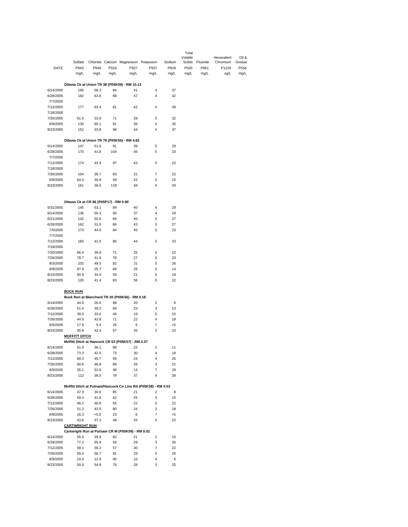|           |                                                               |              |          |                                      |                         |        | Total    |          |            |        |
|-----------|---------------------------------------------------------------|--------------|----------|--------------------------------------|-------------------------|--------|----------|----------|------------|--------|
|           |                                                               |              |          | Chloride Calcium Magnesium Potassium |                         |        | Volatile |          | Hexavalent | Oil &  |
| DATE      | Sulfate                                                       |              | P916     |                                      | P937                    | Sodium | Solids   | Fluoride | Chromium   | Grease |
|           | P945                                                          | P940         |          | P927                                 |                         | P929   | P505     | P951     | P1220      | P556   |
|           | mg/L                                                          | mg/L         | mg/L     | mg/L                                 | mg/L                    | mg/L   | mg/L     | mg/L     | ug/L       | mg/L   |
|           | Ottawa Ck at Union TR 38 (P05K09) - RM 10.13                  |              |          |                                      |                         |        |          |          |            |        |
| 6/14/2005 | 166                                                           | 58.3         | 84       | 41                                   | 4                       | 37     |          |          |            |        |
| 6/28/2005 | 192                                                           | 63.6         | 88       | 47                                   | $\overline{\mathbf{4}}$ | 42     |          |          |            |        |
| 7/7/2005  |                                                               |              |          |                                      |                         |        |          |          |            |        |
| 7/12/2005 | 177                                                           | 63.4         | 81       | 42                                   | 4                       | 39     |          |          |            |        |
| 7/18/2005 |                                                               |              |          |                                      |                         |        |          |          |            |        |
| 7/26/2005 | 91.5                                                          | 53.9         | 71       | 28                                   | 5                       | 32     |          |          |            |        |
| 8/9/2005  | 130                                                           |              |          |                                      | 4                       | 35     |          |          |            |        |
| 8/23/2005 | 152                                                           | 60.1<br>53.8 | 81<br>96 | 36<br>44                             | 4                       | 37     |          |          |            |        |
|           |                                                               |              |          |                                      |                         |        |          |          |            |        |
|           | Ottawa Ck at Union TR 79 (P05K55) - RM 4.82                   |              |          |                                      |                         |        |          |          |            |        |
| 6/14/2005 | 147                                                           | 51.9         | 91       | 39                                   | 5                       | 29     |          |          |            |        |
| 6/28/2005 | 170                                                           | 41.8         | 104      | 46                                   | 5                       | 23     |          |          |            |        |
| 7/7/2005  |                                                               |              |          |                                      |                         |        |          |          |            |        |
| 7/12/2005 | 174                                                           | 43.9         | 97       | 43                                   | 5                       | 22     |          |          |            |        |
| 7/18/2005 |                                                               |              |          |                                      |                         |        |          |          |            |        |
| 7/26/2005 | 104                                                           | 39.7         | 83       | 31                                   | 7                       | 22     |          |          |            |        |
| 8/9/2005  | 64.0                                                          | 30.8         | 59       | 22                                   | 5                       | 15     |          |          |            |        |
| 8/23/2005 | 161                                                           | 36.5         | 118      | 48                                   | 6                       | 20     |          |          |            |        |
|           |                                                               |              |          |                                      |                         |        |          |          |            |        |
|           |                                                               |              |          |                                      |                         |        |          |          |            |        |
|           | Ottawa Ck at CR 86 (P05P17) - RM 0.90                         |              |          |                                      |                         |        |          |          |            |        |
| 5/31/2005 | 145                                                           | 53.1         | 99       | 40                                   | 4                       | 29     |          |          |            |        |
| 6/14/2005 | 136                                                           | 56.3         | 90       | 37                                   | $\overline{\mathbf{4}}$ | 29     |          |          |            |        |
| 6/21/2005 | 142                                                           | 50.6         | 89       | 40                                   | 5                       | 27     |          |          |            |        |
| 6/28/2005 | 162                                                           | 51.0         | 86       | 43                                   | 5                       | 27     |          |          |            |        |
| 7/5/2005  | 173                                                           | 44.6         | 84       | 45                                   | 5                       | 23     |          |          |            |        |
| 7/7/2005  |                                                               |              |          |                                      |                         |        |          |          |            |        |
| 7/12/2005 | 160                                                           | 41.0         | 86       | 44                                   | 5                       | 23     |          |          |            |        |
| 7/18/2005 |                                                               |              |          |                                      |                         |        |          |          |            |        |
| 7/20/2005 | 86.4                                                          | 39.9         | 71       | 25                                   | 6                       | 22     |          |          |            |        |
| 7/26/2005 | 78.7                                                          | 41.9         | 78       | 27                                   | 6                       | 23     |          |          |            |        |
| 8/3/2005  | 102                                                           | 49.0         | 82       | 31                                   | 5                       | 26     |          |          |            |        |
| 8/9/2005  | 87.8                                                          | 25.7         | 68       | 26                                   | 6                       | 14     |          |          |            |        |
| 8/15/2005 | 60.9                                                          | 34.0         | 59       | 21                                   | 5                       | 18     |          |          |            |        |
| 8/23/2005 | 120                                                           | 41.4         | 83       | 36                                   | 5                       | 22     |          |          |            |        |
|           |                                                               |              |          |                                      |                         |        |          |          |            |        |
|           | <b>BUCK RUN</b>                                               |              |          |                                      |                         |        |          |          |            |        |
|           | Buck Run at Blanchard TR 20 (P05K56) - RM 0.18                |              |          |                                      |                         |        |          |          |            |        |
| 6/14/2005 | 44.6                                                          | 26.6         | 88       | 20                                   | 2                       | 6      |          |          |            |        |
| 6/28/2005 | 51.4                                                          | 39.2         | 65       | 23                                   | 3                       | 13     |          |          |            |        |
| 7/12/2005 | 39.0                                                          | 33.0         | 49       | 19                                   | 5                       | 15     |          |          |            |        |
| 7/26/2005 | 44.5                                                          | 43.8         | 71       | 22                                   | 4                       | 18     |          |          |            |        |
| 8/9/2005  | 17.8                                                          | 5.4          | 26       | 6                                    | $\overline{7}$          | $<$ 5  |          |          |            |        |
| 8/23/2005 | 35.8                                                          | 42.4         | 57       | 20                                   | 3                       | 23     |          |          |            |        |
|           | <b>MOFFITT DITCH</b>                                          |              |          |                                      |                         |        |          |          |            |        |
|           | Moffitt Ditch at Hancock CR 53 (P05K57) - RM 2.37             |              |          |                                      |                         |        |          |          |            |        |
| 6/14/2005 | 51.9                                                          | 36.1         | 88       | 22                                   | $\overline{\mathbf{c}}$ | 11     |          |          |            |        |
| 6/28/2005 | 73.3                                                          | 42.5         | 73       | 30                                   | 4                       | 18     |          |          |            |        |
| 7/12/2005 | 69.3                                                          | 49.7         | 56       | 24                                   | 4                       | 25     |          |          |            |        |
| 7/26/2005 | 60.6                                                          | 48.8         | 86       | 26                                   | 3                       | 21     |          |          |            |        |
| 8/9/2005  | 35.1                                                          | 53.5         | 48       | 14                                   | 7                       | 29     |          |          |            |        |
| 8/23/2005 | 112                                                           | 38.5         | 78       | 37                                   | 4                       | 28     |          |          |            |        |
|           |                                                               |              |          |                                      |                         |        |          |          |            |        |
|           | Moffitt Ditch at Putnam/Hancock Co Line Rd (P05K58) - RM 0.53 |              |          |                                      |                         |        |          |          |            |        |
| 6/14/2005 | 47.3                                                          | 30.6         | 85       | 21                                   | $\overline{\mathbf{c}}$ | 8      |          |          |            |        |
| 6/28/2005 | 59.3                                                          | 41.6         | 62       | 25                                   | 3                       | 15     |          |          |            |        |
| 7/12/2005 | 46.1                                                          | 46.8         | 55       | 22                                   | 5                       | 22     |          |          |            |        |
| 7/26/2005 | 51.2                                                          | 43.5         | 80       | 24                                   | 3                       | 18     |          |          |            |        |
| 8/9/2005  | 16.3                                                          | < 5.0        | 23       | 6                                    | 7                       | $<$ 5  |          |          |            |        |
| 8/23/2005 | 43.8                                                          | 37.3         | 48       | 25                                   | 4                       | 22     |          |          |            |        |
|           | <b>CARTWRIGHT RUN</b>                                         |              |          |                                      |                         |        |          |          |            |        |
|           | Cartwright Run at Putnam CR M (P05K59) - RM 0.02              |              |          |                                      |                         |        |          |          |            |        |
| 6/14/2005 | 55.0                                                          | 39.9         | 82       | 21                                   | $\overline{2}$          | 15     |          |          |            |        |
| 6/28/2005 | 77.2                                                          | 55.9         | 59       | 29                                   | 3                       | 26     |          |          |            |        |
| 7/12/2005 | 58.1                                                          | 56.2         | 57       | 30                                   | 7                       | 22     |          |          |            |        |
| 7/26/2005 | 55.4                                                          | 56.7         | 91       | 29                                   | 5                       | 25     |          |          |            |        |
| 8/9/2005  | 24.4                                                          | 12.9         | 45       | 10                                   | 4                       | 6      |          |          |            |        |
| 8/23/2005 | 59.9                                                          | 54.8         | 76       | 28                                   | 3                       | 25     |          |          |            |        |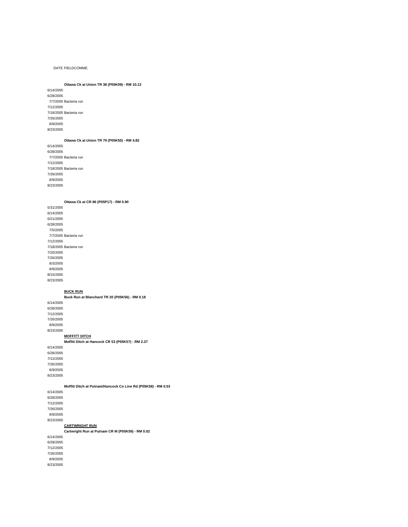## **Ottawa Ck at Union TR 38 (P05K09) - RM 10.13**

6/14/2005 6/28/2005 7/7/2005 Bacteria run 7/12/2005 7/18/2005 Bacteria run 7/26/2005 8/9/2005 8/23/2005

#### **Ottawa Ck at Union TR 79 (P05K55) - RM 4.82**

6/14/2005 6/28/2005 7/7/2005 Bacteria run 7/12/2005 7/18/2005 Bacteria run 7/26/2005 8/9/2005 8/23/2005

## **Ottawa Ck at CR 86 (P05P17) - RM 0.90**

5/31/2005 6/14/2005 6/21/2005 6/28/2005 7/5/2005 7/7/2005 Bacteria run 7/12/2005 7/18/2005 Bacteria run 7/20/2005 7/26/2005 8/3/2005 8/9/2005 8/15/2005 8/23/2005

#### **BUCK RUN**

**Buck Run at Blanchard TR 20 (P05K56) - RM 0.18** 6/14/2005 6/28/2005 7/12/2005 7/26/2005 8/9/2005 8/23/2005 **MOFFITT DITCH Moffitt Ditch at Hancock CR 53 (P05K57) - RM 2.37** 6/14/2005 6/28/2005 7/12/2005 7/26/2005

# 8/9/2005 8/23/2005

**Moffitt Ditch at Putnam/Hancock Co Line Rd (P05K58) - RM 0.53** 6/14/2005 6/28/2005 7/12/2005 7/26/2005 8/9/2005 8/23/2005 **CARTWRIGHT RUN Cartwright Run at Putnam CR M (P05K59) - RM 0.02** 6/14/2005

6/28/2005 7/12/2005 7/26/2005 8/9/2005 8/23/2005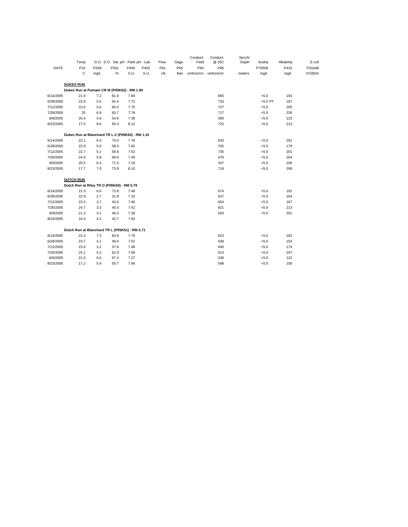|           |                                                  |      |                                    |      |      |      |      | Conduct. | Conduct.          | Secchi |           |            |         |
|-----------|--------------------------------------------------|------|------------------------------------|------|------|------|------|----------|-------------------|--------|-----------|------------|---------|
|           | Temp                                             |      | D.O. D.O. Sat. pH - Field pH - Lab |      |      | Flow | Gage | Field    | @ 25C             | Depth  | Acidity   | Alkalinity | E.coli  |
| DATE      | P <sub>10</sub>                                  | P299 | P301                               | P400 | P403 | P61  | P65  | P94      | P95               |        | P70508    | P410       | P31648  |
|           | $\mathsf{C}$                                     | mg/L | $\%$                               | S.U. | S.U. | cfs  | feet |          | umhos/cm umhos/cm | meters | mg/L      | mg/L       | #/100ml |
|           |                                                  |      |                                    |      |      |      |      |          |                   |        |           |            |         |
|           | <b>DUKES RUN</b>                                 |      |                                    |      |      |      |      |          |                   |        |           |            |         |
|           | Dukes Run at Putnam CR M (P05K62) - RM 1.90      |      |                                    |      |      |      |      |          | 665               |        | < 5.0     | 193        |         |
| 6/14/2005 | 21.9                                             | 7.2  | 81.9                               | 7.84 |      |      |      |          |                   |        |           |            |         |
| 6/28/2005 | 22.9                                             | 5.5  | 64.4                               | 7.72 |      |      |      |          | 733               |        | $<5.0$ PT | 187        |         |
| 7/12/2005 | 23.6                                             | 5.6  | 66.0                               | 7.75 |      |      |      |          | 727               |        | < 5.0     | 205        |         |
| 7/26/2005 | 25                                               | 6.9  | 83.7                               | 7.78 |      |      |      |          | 717               |        | < 5.0     | 226        |         |
| 8/9/2005  | 20.4                                             | 4.9  | 54.6                               | 7.38 |      |      |      |          | 390               |        | < 5.0     | 123        |         |
| 8/23/2005 | 17.5                                             | 8.6  | 90.3                               | 8.12 |      |      |      |          | 723               |        | < 5.0     | 213        |         |
|           | Dukes Run at Blanchard TR L-2 (P05K63) - RM 1.10 |      |                                    |      |      |      |      |          |                   |        |           |            |         |
| 6/14/2005 | 22.1                                             | 6.4  | 73.0                               | 7.78 |      |      |      |          | 633               |        | < 5.0     | 181        |         |
| 6/28/2005 | 22.9                                             | 5.0  | 58.4                               | 7.65 |      |      |      |          | 705               |        | < 5.0     | 179        |         |
| 7/12/2005 | 22.7                                             | 5.1  | 58.8                               | 7.52 |      |      |      |          | 735               |        | < 5.0     | 201        |         |
| 7/26/2005 | 24.9                                             | 5.8  | 69.9                               | 7.49 |      |      |      |          | 678               |        | < 5.0     | 204        |         |
| 8/9/2005  | 20.5                                             | 6.4  | 71.5                               | 7.19 |      |      |      |          | 347               |        | < 5.0     | 106        |         |
| 8/23/2005 | 17.7                                             | 7.0  | 73.9                               | 8.10 |      |      |      |          | 719               |        | < 5.0     | 209        |         |
|           |                                                  |      |                                    |      |      |      |      |          |                   |        |           |            |         |
|           | <b>DUTCH RUN</b>                                 |      |                                    |      |      |      |      |          |                   |        |           |            |         |
|           | Dutch Run at Riley TR O (P05K60) - RM 5.79       |      |                                    |      |      |      |      |          |                   |        |           |            |         |
| 6/14/2005 | 21.3                                             | 6.6  | 73.8                               | 7.48 |      |      |      |          | 674               |        | < 5.0     | 192        |         |
| 6/28/2005 | 22.9                                             | 2.7  | 31.9                               | 7.33 |      |      |      |          | 637               |        | < 5.0     | 164        |         |
| 7/12/2005 | 23.3                                             | 3.7  | 43.6                               | 7.46 |      |      |      |          | 654               |        | < 5.0     | 167        |         |
| 7/26/2005 | 24.7                                             | 3.3  | 40.0                               | 7.42 |      |      |      |          | 621               |        | < 5.0     | 213        |         |
| 8/9/2005  | 21.3                                             | 4.1  | 46.0                               | 7.39 |      |      |      |          | 593               |        | < 5.0     | 201        |         |
| 8/23/2005 | 16.0                                             | 4.2  | 42.7                               | 7.60 |      |      |      |          |                   |        |           |            |         |
|           | Dutch Run at Blanchard TR L (P05K61) - RM 2.71   |      |                                    |      |      |      |      |          |                   |        |           |            |         |
| 6/14/2005 | 22.4                                             | 7.3  | 83.8                               | 7.75 |      |      |      |          | 623               |        | < 5.0     | 182        |         |
| 6/28/2005 | 23.7                                             | 4.1  | 49.0                               | 7.52 |      |      |      |          | 638               |        | < 5.0     | 154        |         |
| 7/12/2005 | 23.6                                             | 3.2  | 37.6                               | 7.48 |      |      |      |          | 640               |        | < 5.0     | 174        |         |
| 7/26/2005 | 25.1                                             | 5.2  | 62.9                               | 7.56 |      |      |      |          | 613               |        | < 5.0     | 197        |         |
| 8/9/2005  | 21.0                                             | 6.0  | 67.4                               | 7.27 |      |      |      |          | 438               |        | < 5.0     | 122        |         |
| 8/23/2005 | 17.2                                             | 5.4  | 55.7                               | 7.66 |      |      |      |          | 598               |        | < 5.0     | 156        |         |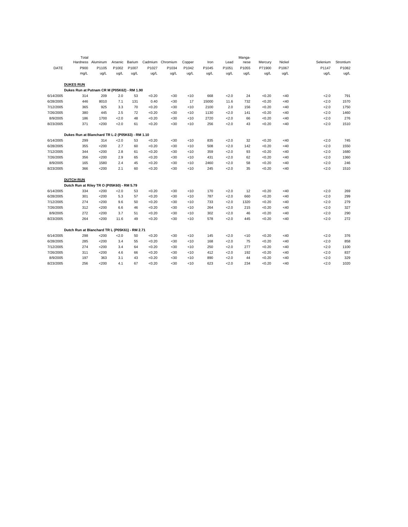|           | Total                                            |                   |         |        |        |                  |        |       |       | Manga- |         |        |          |           |
|-----------|--------------------------------------------------|-------------------|---------|--------|--------|------------------|--------|-------|-------|--------|---------|--------|----------|-----------|
|           |                                                  | Hardness Aluminum | Arsenic | Barium |        | Cadmium Chromium | Copper | Iron  | Lead  | nese   | Mercury | Nickel | Selenium | Strontium |
| DATE      | P900                                             | P1105             | P1002   | P1007  | P1027  | P1034            | P1042  | P1045 | P1051 | P1055  | P71900  | P1067  | P1147    | P1082     |
|           | mg/L                                             | ug/L              | ug/L    | ug/L   | ug/L   | ug/L             | ug/L   | ug/L  | ug/L  | ug/L   | ug/L    | ug/L   | ug/L     | ug/L      |
|           | <b>DUKES RUN</b>                                 |                   |         |        |        |                  |        |       |       |        |         |        |          |           |
|           | Dukes Run at Putnam CR M (P05K62) - RM 1.90      |                   |         |        |        |                  |        |       |       |        |         |        |          |           |
| 6/14/2005 | 314                                              | 209               | 2.0     | 53     | <0.20  | $30$             | $<$ 10 | 668   | 2.0   | 24     | < 0.20  | $<$ 40 | 2.0      | 791       |
| 6/28/2005 | 446                                              | 8010              | 7.1     | 131    | 0.40   | $30$             | 17     | 15000 | 11.6  | 732    | < 0.20  | <40    | 2.0      | 1570      |
| 7/12/2005 | 365                                              | 925               | 3.3     | 70     | < 0.20 | $30$             | $<$ 10 | 2100  | 2.0   | 156    | < 0.20  | <40    | 2.0      | 1750      |
| 7/26/2005 | 380                                              | 445               | 2.5     | 72     | <0.20  | <30              | $<$ 10 | 1130  | 2.0   | 141    | < 0.20  | <40    | 2.0      | 1460      |
| 8/9/2005  | 186                                              | 1700              | 2.0     | 48     | <0.20  | $30$             | < 10   | 2720  | 2.0   | 66     | < 0.20  | <40    | 2.0      | 276       |
| 8/23/2005 | 371                                              | < 200             | 2.0     | 61     | < 0.20 | $30$             | $<$ 10 | 256   | 2.0   | 43     | < 0.20  | <40    | 2.0      | 1510      |
|           | Dukes Run at Blanchard TR L-2 (P05K63) - RM 1.10 |                   |         |        |        |                  |        |       |       |        |         |        |          |           |
| 6/14/2005 | 299                                              | 314               | 2.0     | 53     | <0.20  | $30$             | $<$ 10 | 835   | 2.0   | 32     | < 0.20  | $<$ 40 | 2.0      | 745       |
| 6/28/2005 | 355                                              | < 200             | 2.7     | 60     | <0.20  | $30$             | $<$ 10 | 508   | 2.0   | 142    | < 0.20  | <40    | 2.0      | 1550      |
| 7/12/2005 | 344                                              | < 200             | 2.8     | 61     | <0.20  | $30$             | $<$ 10 | 359   | 2.0   | 93     | < 0.20  | <40    | 2.0      | 1680      |
| 7/26/2005 | 356                                              | < 200             | 2.9     | 65     | <0.20  | $30$             | < 10   | 431   | 2.0   | 62     | < 0.20  | $<$ 40 | 2.0      | 1360      |
| 8/9/2005  | 165                                              | 1580              | 2.4     | 45     | <0.20  | $30$             | < 10   | 2460  | 2.0   | 58     | < 0.20  | $<$ 40 | 2.0      | 246       |
| 8/23/2005 | 366                                              | $200$             | 2.1     | 60     | < 0.20 | $30$             | <10    | 245   | 2.0   | 35     | < 0.20  | $<$ 40 | 2.0      | 1510      |
|           | <b>DUTCH RUN</b>                                 |                   |         |        |        |                  |        |       |       |        |         |        |          |           |
|           | Dutch Run at Riley TR O (P05K60) - RM 5.79       |                   |         |        |        |                  |        |       |       |        |         |        |          |           |
| 6/14/2005 | 334                                              | < 200             | 2.0     | 53     | <0.20  | $30$             | $<$ 10 | 170   | 2.0   | 12     | < 0.20  | <40    | 2.0      | 269       |
| 6/28/2005 | 301                                              | < 200             | 5.3     | 57     | <0.20  | $30$             | <10    | 787   | 2.0   | 660    | < 0.20  | $<$ 40 | 2.0      | 299       |
| 7/12/2005 | 274                                              | < 200             | 9.6     | 50     | <0.20  | <30              | $<$ 10 | 733   | 2.0   | 1320   | < 0.20  | <40    | 2.0      | 279       |
| 7/26/2005 | 312                                              | < 200             | 6.6     | 46     | <0.20  | $30$             | 10     | 264   | 2.0   | 215    | < 0.20  | $<$ 40 | 2.0      | 327       |
| 8/9/2005  | 272                                              | $200$             | 3.7     | 51     | < 0.20 | $30$             | 10     | 302   | 2.0   | 46     | < 0.20  | $<$ 40 | 2.0      | 290       |
| 8/23/2005 | 264                                              | $200$             | 11.6    | 49     | < 0.20 | $30$             | <10    | 578   | 2.0   | 445    | < 0.20  | <40    | 2.0      | 272       |
|           | Dutch Run at Blanchard TR L (P05K61) - RM 2.71   |                   |         |        |        |                  |        |       |       |        |         |        |          |           |
| 6/14/2005 | 298                                              | < 200             | 2.0     | 50     | <0.20  | $30$             | $<$ 10 | 145   | 2.0   | $<$ 10 | < 0.20  | <40    | 2.0      | 376       |
| 6/28/2005 | 285                                              | $200$             | 3.4     | 55     | < 0.20 | $30$             | <10    | 168   | 2.0   | 75     | < 0.20  | <40    | 2.0      | 858       |
| 7/12/2005 | 274                                              | < 200             | 3.4     | 64     | < 0.20 | $30$             | $<$ 10 | 250   | 2.0   | 277    | < 0.20  | $<$ 40 | 2.0      | 1100      |
| 7/26/2005 | 311                                              | < 200             | 4.6     | 66     | < 0.20 | $30$             | $<$ 10 | 412   | 2.0   | 192    | < 0.20  | <40    | 2.0      | 837       |
| 8/9/2005  | 197                                              | 363               | 3.1     | 43     | < 0.20 | $30$             | <10    | 890   | 2.0   | 44     | < 0.20  | <40    | 2.0      | 329       |
| 8/23/2005 | 256                                              | < 200             | 4.1     | 67     | <0.20  | $30$             | < 10   | 623   | 2.0   | 234    | < 0.20  | <40    | 2.0      | 1020      |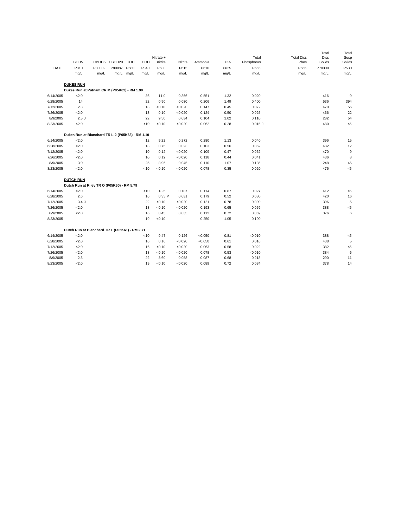|           | BOD <sub>5</sub>                                 |        | CBOD5 CBOD20 | <b>TOC</b> | COD    | Nitrate +<br>nitrite | Nitrite | Ammonia | <b>TKN</b> | Total<br>Phosphorus | <b>Total Diss</b><br>Phos | Total<br>Diss<br>Solids | Total<br>Susp<br>Solids |
|-----------|--------------------------------------------------|--------|--------------|------------|--------|----------------------|---------|---------|------------|---------------------|---------------------------|-------------------------|-------------------------|
| DATE      | P310                                             | P80082 | P80087       | P680       | P340   | P630                 | P615    | P610    | P625       | P665                | P666                      | P70300                  | P530                    |
|           | mg/L                                             | mg/L   | mg/L         | mg/L       | mg/L   | mg/L                 | mg/L    | mg/L    | mg/L       | mg/L                | mg/L                      | mg/L                    | mg/L                    |
|           |                                                  |        |              |            |        |                      |         |         |            |                     |                           |                         |                         |
|           | <b>DUKES RUN</b>                                 |        |              |            |        |                      |         |         |            |                     |                           |                         |                         |
|           | Dukes Run at Putnam CR M (P05K62) - RM 1.90      |        |              |            |        |                      |         |         |            |                     |                           |                         |                         |
| 6/14/2005 | 2.0                                              |        |              |            | 36     | 11.0                 | 0.366   | 0.551   | 1.32       | 0.020               |                           | 416                     | 9                       |
| 6/28/2005 | 14                                               |        |              |            | 22     | 0.90                 | 0.030   | 0.206   | 1.49       | 0.400               |                           | 536                     | 394                     |
| 7/12/2005 | 2.3                                              |        |              |            | 13     | 0.10                 | < 0.020 | 0.147   | 0.45       | 0.072               |                           | 470                     | 56                      |
| 7/26/2005 | 2.0                                              |        |              |            | 13     | 0.10                 | < 0.020 | 0.124   | 0.50       | 0.025               |                           | 466                     | 22                      |
| 8/9/2005  | 2.5J                                             |        |              |            | 22     | 9.50                 | 0.034   | 0.104   | 1.02       | 0.110               |                           | 282                     | 54                      |
| 8/23/2005 | 2.0                                              |        |              |            | <10    | <0.10                | < 0.020 | 0.062   | 0.28       | $0.015$ $J$         |                           | 480                     | $< 5$                   |
|           | Dukes Run at Blanchard TR L-2 (P05K63) - RM 1.10 |        |              |            |        |                      |         |         |            |                     |                           |                         |                         |
| 6/14/2005 | 2.0                                              |        |              |            | 12     | 9.22                 | 0.272   | 0.280   | 1.13       | 0.040               |                           | 396                     | 15                      |
| 6/28/2005 | 2.0                                              |        |              |            | 13     | 0.75                 | 0.023   | 0.103   | 0.56       | 0.052               |                           | 482                     | 12                      |
| 7/12/2005 | 2.0                                              |        |              |            | 10     | 0.12                 | < 0.020 | 0.109   | 0.47       | 0.052               |                           | 470                     | $\mathsf g$             |
| 7/26/2005 | 2.0                                              |        |              |            | 10     | 0.12                 | < 0.020 | 0.118   | 0.44       | 0.041               |                           | 436                     | 8                       |
| 8/9/2005  | 3.0                                              |        |              |            | 25     | 8.96                 | 0.045   | 0.110   | 1.07       | 0.185               |                           | 248                     | 45                      |
| 8/23/2005 | 2.0                                              |        |              |            | <10    | <0.10                | < 0.020 | 0.078   | 0.35       | 0.020               |                           | 476                     | $< 5$                   |
|           | <b>DUTCH RUN</b>                                 |        |              |            |        |                      |         |         |            |                     |                           |                         |                         |
|           | Dutch Run at Riley TR O (P05K60) - RM 5.79       |        |              |            |        |                      |         |         |            |                     |                           |                         |                         |
| 6/14/2005 | 2.0                                              |        |              |            | <10    | 13.5                 | 0.187   | 0.114   | 0.87       | 0.027               |                           | 412                     | $< 5$                   |
| 6/28/2005 | 2.6                                              |        |              |            | 16     | 0.35 PT              | 0.031   | 0.179   | 0.52       | 0.080               |                           | 420                     | 16                      |
| 7/12/2005 | 3.4J                                             |        |              |            | 22     | <0.10                | < 0.020 | 0.121   | 0.78       | 0.090               |                           | 396                     | 5                       |
| 7/26/2005 | 2.0                                              |        |              |            | 18     | <0.10                | < 0.020 | 0.193   | 0.65       | 0.059               |                           | 388                     | $< 5$                   |
| 8/9/2005  | 2.0                                              |        |              |            | 16     | 0.45                 | 0.035   | 0.112   | 0.72       | 0.069               |                           | 376                     | 6                       |
| 8/23/2005 |                                                  |        |              |            | 19     | < 0.10               |         | 0.250   | 1.05       | 0.190               |                           |                         |                         |
|           | Dutch Run at Blanchard TR L (P05K61) - RM 2.71   |        |              |            |        |                      |         |         |            |                     |                           |                         |                         |
| 6/14/2005 | 2.0                                              |        |              |            | $<$ 10 | 9.47                 | 0.126   | < 0.050 | 0.81       | < 0.010             |                           | 388                     | $< 5$                   |
| 6/28/2005 | 2.0                                              |        |              |            | 16     | 0.16                 | < 0.020 | < 0.050 | 0.61       | 0.016               |                           | 438                     | 5                       |
| 7/12/2005 | 2.0                                              |        |              |            | 16     | <0.10                | < 0.020 | 0.063   | 0.58       | 0.022               |                           | 382                     | $< 5\,$                 |
| 7/26/2005 | 2.0                                              |        |              |            | 18     | <0.10                | < 0.020 | 0.078   | 0.53       | < 0.010             |                           | 384                     | 6                       |
| 8/9/2005  | 2.5                                              |        |              |            | 22     | 3.60                 | 0.088   | 0.087   | 0.68       | 0.218               |                           | 290                     | 11                      |
| 8/23/2005 | 2.0                                              |        |              |            | 19     | < 0.10               | < 0.020 | 0.089   | 0.72       | 0.034               |                           | 378                     | 14                      |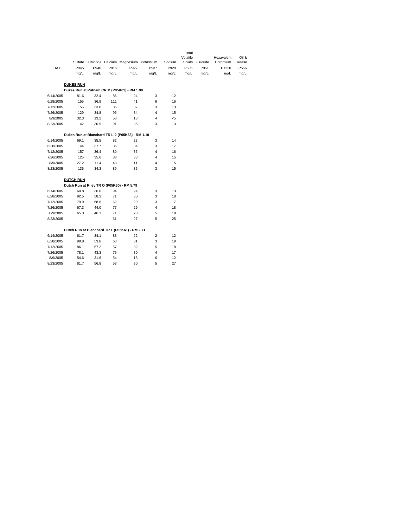|           |                                                  |      |      |                                      |                |        | Total              |          |                        |                 |
|-----------|--------------------------------------------------|------|------|--------------------------------------|----------------|--------|--------------------|----------|------------------------|-----------------|
|           | Sulfate                                          |      |      | Chloride Calcium Magnesium Potassium |                | Sodium | Volatile<br>Solids | Fluoride | Hexavalent<br>Chromium | Oil &<br>Grease |
| DATE      | P945                                             | P940 | P916 | P927                                 | P937           |        |                    |          |                        |                 |
|           |                                                  |      |      |                                      |                | P929   | P505               | P951     | P1220                  | P556            |
|           | mg/L                                             | mg/L | mg/L | mg/L                                 | mg/L           | mg/L   | mg/L               | mg/L     | ug/L                   | mg/L            |
|           | <b>DUKES RUN</b>                                 |      |      |                                      |                |        |                    |          |                        |                 |
|           | Dukes Run at Putnam CR M (P05K62) - RM 1.90      |      |      |                                      |                |        |                    |          |                        |                 |
| 6/14/2005 | 81.6                                             | 32.4 | 86   | 24                                   | 3              | 12     |                    |          |                        |                 |
| 6/28/2005 | 155                                              | 36.9 | 111  | 41                                   | 6              | 16     |                    |          |                        |                 |
| 7/12/2005 | 155                                              | 33.0 | 85   | 37                                   | 3              | 13     |                    |          |                        |                 |
| 7/26/2005 | 129                                              | 34.8 | 96   | 34                                   | 4              | 15     |                    |          |                        |                 |
| 8/9/2005  | 32.3                                             | 13.2 | 53   | 13                                   | 4              | $<$ 5  |                    |          |                        |                 |
| 8/23/2005 | 142                                              | 30.9 | 91   | 35                                   | 3              | 13     |                    |          |                        |                 |
|           |                                                  |      |      |                                      |                |        |                    |          |                        |                 |
|           | Dukes Run at Blanchard TR L-2 (P05K63) - RM 1.10 |      |      |                                      |                |        |                    |          |                        |                 |
| 6/14/2005 | 69.1                                             | 35.5 | 82   | 23                                   | 3              | 14     |                    |          |                        |                 |
| 6/28/2005 | 144                                              | 37.7 | 86   | 34                                   | 3              | 17     |                    |          |                        |                 |
| 7/12/2005 | 157                                              | 36.4 | 80   | 35                                   | 4              | 16     |                    |          |                        |                 |
| 7/26/2005 | 125                                              | 35.6 | 88   | 33                                   | 4              | 15     |                    |          |                        |                 |
| 8/9/2005  | 27.2                                             | 11.4 | 48   | 11                                   | 4              | 5      |                    |          |                        |                 |
| 8/23/2005 | 136                                              | 34.3 | 89   | 35                                   | 3              | 15     |                    |          |                        |                 |
|           | <b>DUTCH RUN</b>                                 |      |      |                                      |                |        |                    |          |                        |                 |
|           | Dutch Run at Riley TR O (P05K60) - RM 5.79       |      |      |                                      |                |        |                    |          |                        |                 |
| 6/14/2005 | 60.8                                             | 36.0 | 94   | 24                                   | 3              | 13     |                    |          |                        |                 |
| 6/28/2005 | 92.5                                             | 58.3 | 71   | 30                                   | 3              | 18     |                    |          |                        |                 |
| 7/12/2005 | 79.9                                             | 68.6 | 62   | 29                                   | 3              | 17     |                    |          |                        |                 |
| 7/26/2005 | 67.3                                             | 44.0 | 77   | 29                                   | 4              | 18     |                    |          |                        |                 |
| 8/9/2005  | 65.3                                             | 46.1 | 71   | 23                                   | 5              | 18     |                    |          |                        |                 |
| 8/23/2005 |                                                  |      | 61   | 27                                   | 5              | 25     |                    |          |                        |                 |
|           |                                                  |      |      |                                      |                |        |                    |          |                        |                 |
|           | Dutch Run at Blanchard TR L (P05K61) - RM 2.71   |      |      |                                      |                |        |                    |          |                        |                 |
| 6/14/2005 | 61.7                                             | 34.1 | 83   | 22                                   | $\overline{2}$ | 12     |                    |          |                        |                 |
| 6/28/2005 | 98.8                                             | 53.8 | 63   | 31                                   | 3              | 19     |                    |          |                        |                 |
| 7/12/2005 | 86.1                                             | 57.2 | 57   | 32                                   | 5              | 18     |                    |          |                        |                 |
| 7/26/2005 | 78.1                                             | 43.3 | 75   | 30                                   | 4              | 17     |                    |          |                        |                 |
| 8/9/2005  | 54.6                                             | 31.6 | 54   | 15                                   | 6              | 12     |                    |          |                        |                 |
| 8/23/2005 | 81.7                                             | 56.8 | 53   | 30                                   | 5              | 27     |                    |          |                        |                 |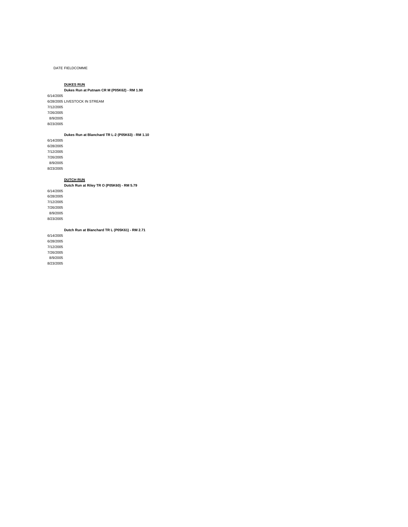## **DUKES RUN**

**Dukes Run at Putnam CR M (P05K62) - RM 1.90** 6/14/2005 6/28/2005 LIVESTOCK IN STREAM

7/12/2005 7/26/2005 8/9/2005 8/23/2005

**Dukes Run at Blanchard TR L-2 (P05K63) - RM 1.10**

6/14/2005 6/28/2005 7/12/2005 7/26/2005 8/9/2005

8/23/2005

**DUTCH RUN**

**Dutch Run at Riley TR O (P05K60) - RM 5.79** 6/14/2005

6/28/2005 7/12/2005 7/26/2005

8/9/2005 8/23/2005

## **Dutch Run at Blanchard TR L (P05K61) - RM 2.71**

6/14/2005 6/28/2005 7/12/2005 7/26/2005

8/9/2005

8/23/2005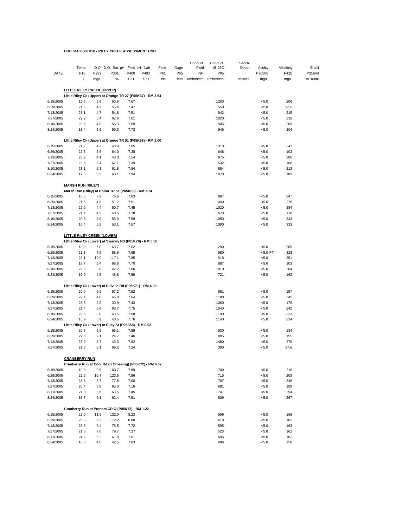# **HUC 04100008 050 - RILEY CREEK ASSESSMENT UNIT**

|                        |                                   |              |                                                                   |              |              |            |             | Conduct.        | Conduct.        | Secchi |                    |              |                   |
|------------------------|-----------------------------------|--------------|-------------------------------------------------------------------|--------------|--------------|------------|-------------|-----------------|-----------------|--------|--------------------|--------------|-------------------|
|                        | Temp                              |              | D.O. D.O. Sat. pH - Field pH - Lab                                |              |              | Flow       | Gage        | Field           | @ 25C           | Depth  | Acidity            | Alkalinity   | E.coli            |
| DATE                   | P <sub>10</sub><br>C              | P299<br>mg/L | P301<br>%                                                         | P400<br>S.U. | P403<br>S.U. | P61<br>cfs | P65<br>feet | P94<br>umhos/cm | P95<br>umhos/cm | meters | P70508<br>mg/L     | P410<br>mg/L | P31648<br>#/100ml |
|                        |                                   |              |                                                                   |              |              |            |             |                 |                 |        |                    |              |                   |
|                        | <b>LITTLE RILEY CREEK (UPPER)</b> |              |                                                                   |              |              |            |             |                 |                 |        |                    |              |                   |
|                        |                                   |              | Little Riley Ck (Upper) at Orange TR 27 (P05K67) - RM 2.64        |              |              |            |             |                 |                 |        |                    |              |                   |
| 6/15/2005              | 19.6                              | 5.6          | 60.6                                                              | 7.67         |              |            |             |                 | 1200            |        | < 5.0              | 206          |                   |
| 6/29/2005              | 21.5                              | 4.9          | 55.4                                                              | 7.47         |              |            |             |                 | 550             |        | < 5.0              | 93.5         |                   |
| 7/13/2005              | 23.1                              | 4.7          | 54.8                                                              | 7.51         |              |            |             |                 | 942             |        | < 5.0              | 215          |                   |
| 7/27/2005              | 22.2                              | 5.4          | 62.6                                                              | 7.61         |              |            |             |                 | 1020            |        | < 5.0              | 218          |                   |
| 8/10/2005              | 23.6                              | 4.8          | 56.3                                                              | 7.69         |              |            |             |                 | 905             |        | < 5.0              | 209          |                   |
| 8/24/2005              | 18.4                              | 5.6          | 59.3                                                              | 7.73         |              |            |             |                 | 946             |        | < 5.0              | 204          |                   |
|                        |                                   |              | Little Riley Ck (Upper) at Orange TR 51 (P05K68) - RM 1.00        |              |              |            |             |                 |                 |        |                    |              |                   |
| 6/15/2005              | 21.2                              | 4.3          | 48.9                                                              | 7.65         |              |            |             |                 | 1310            |        | < 5.0              | 241          |                   |
| 6/29/2005              | 22.3                              | 5.6          | 64.0                                                              | 7.38         |              |            |             |                 | 648             |        | < 5.0              | 102          |                   |
| 7/13/2005              | 23.2                              | 4.1          | 48.3                                                              | 7.54         |              |            |             |                 | 975             |        | < 5.0              | 206          |                   |
| 7/27/2005              | 22.5                              | 5.4          | 62.7                                                              | 7.39         |              |            |             |                 | 532             |        | < 5.0              | 108          |                   |
| 8/10/2005              | 23.1                              | 5.3          | 61.8                                                              | 7.84         |              |            |             |                 | 884             |        | < 5.0              | 213          |                   |
| 8/24/2005              | 17.8                              | 6.5          | 68.1                                                              | 7.94         |              |            |             |                 | 1070            |        | < 5.0              | 189          |                   |
|                        |                                   |              |                                                                   |              |              |            |             |                 |                 |        |                    |              |                   |
|                        | <b>MARSH RUN (RILEY)</b>          |              | Marsh Run (Riley) at Union TR 51 (P05K69) - RM 1.74               |              |              |            |             |                 |                 |        |                    |              |                   |
| 6/15/2005              | 18.5                              | 7.2          | 76.6                                                              | 7.63         |              |            |             |                 | 887             |        | < 5.0              | 247          |                   |
| 6/29/2005              | 21.5                              | 4.5          | 51.2                                                              | 7.51         |              |            |             |                 | 1040            |        | < 5.0              | 275          |                   |
| 7/13/2005              | 22.6                              | 4.4          | 50.7                                                              | 7.45         |              |            |             |                 | 1020            |        | < 5.0              | 284          |                   |
| 7/27/2005              | 21.4                              | 4.3          | 48.5                                                              | 7.28         |              |            |             |                 | 678             |        | < 5.0              | 178          |                   |
| 8/10/2005              | 20.8                              | 5.0          | 55.9                                                              | 7.59         |              |            |             |                 | 1050            |        | < 5.0              | 343          |                   |
| 8/24/2005              | 16.4                              | 5.2          | 53.1                                                              | 7.57         |              |            |             |                 | 1090            |        | < 5.0              | 333          |                   |
|                        |                                   |              |                                                                   |              |              |            |             |                 |                 |        |                    |              |                   |
|                        | <b>LITTLE RILEY CREEK (LOWER)</b> |              |                                                                   |              |              |            |             |                 |                 |        |                    |              |                   |
|                        |                                   |              | Little Riley Ck (Lower) at Swaney Rd (P05K70) - RM 5.50           |              |              |            |             |                 |                 |        |                    |              |                   |
| 6/15/2005              | 18.2                              | 6.0          | 63.7                                                              | 7.62         |              |            |             |                 | 1290            |        | < 5.0<br>$<5.0$ PT | 285          |                   |
| 6/29/2005<br>7/13/2005 | 21.3<br>23.1                      | 7.9<br>10.0  | 88.6                                                              | 7.65         |              |            |             |                 | 980<br>918      |        | < 5.0              | 323<br>351   |                   |
| 7/27/2005              | 18.7                              | 6.4          | 117.1<br>68.8                                                     | 7.85<br>7.70 |              |            |             |                 | 887             |        | < 5.0              | 303          |                   |
| 8/10/2005              | 22.8                              | 3.6          | 42.2                                                              | 7.66         |              |            |             |                 | 1810            |        | < 5.0              | 284          |                   |
| 8/24/2005              | 16.9                              | 4.5          | 46.8                                                              | 7.59         |              |            |             |                 | 721             |        | < 5.0              | 162          |                   |
|                        |                                   |              |                                                                   |              |              |            |             |                 |                 |        |                    |              |                   |
|                        |                                   |              | Little Riley Ck (Lower) at Hillville Rd (P05K71) - RM 4.30        |              |              |            |             |                 |                 |        |                    |              |                   |
| 6/15/2005              | 20.0                              | 5.2          | 57.2                                                              | 7.52         |              |            |             |                 | 881             |        | < 5.0              | 157          |                   |
| 6/29/2005              | 22.4                              | 4.0          | 46.0                                                              | 7.64         |              |            |             |                 | 1180            |        | < 5.0              | 245          |                   |
| 7/13/2005              | 23.5                              | 2.6          | 30.9                                                              | 7.43         |              |            |             |                 | 1060            |        | < 5.0              | 176          |                   |
| 7/27/2005              | 21.4                              | 5.6          | 63.7                                                              | 7.75         |              |            |             |                 | 1040            |        | < 5.0              | 242          |                   |
| 8/10/2005              | 22.5                              | 3.8          | 43.5                                                              | 7.68         |              |            |             |                 | 1190            |        | < 5.0              | 323          |                   |
| 8/24/2005              | 16.9                              | 3.9          | 40.5                                                              | 7.76         |              |            |             |                 | 1140            |        | < 5.0              | 214          |                   |
| 6/15/2005              | 20.7                              | 5.9          | Little Riley Ck (Lower) at Riley St (P05S58) - RM 0.03<br>66.1    | 7.59         |              |            |             |                 | 830             |        | < 5.0              | 134          |                   |
| 6/29/2005              | 22.6                              |              |                                                                   |              |              |            |             |                 | 805             |        |                    | 155          |                   |
| 7/13/2005              | 23.9                              | 2.1<br>3.7   | 24.7<br>43.3                                                      | 7.46<br>7.62 |              |            |             |                 | 1480            |        | < 5.0<br>< 5.0     | 270          |                   |
| 7/27/2005              | 21.3                              | 6.1          | 69.2                                                              | 7.24         |              |            |             |                 | 390             |        | < 5.0              | 97.6         |                   |
|                        |                                   |              |                                                                   |              |              |            |             |                 |                 |        |                    |              |                   |
|                        | <b>CRANBERRY RUN</b>              |              |                                                                   |              |              |            |             |                 |                 |        |                    |              |                   |
| 6/15/2005              | 19.8                              | 9.5          | Cranberry Run at Cool Rd (S Crossing) (P05K72) - RM 6.67<br>103.7 | 7.89         |              |            |             |                 | 700             |        | < 5.0              | 216          |                   |
| 6/29/2005              | 22.6                              | 10.7         | 123.5                                                             | 7.86         |              |            |             |                 | 715             |        | < 5.0              | 209          |                   |
| 7/13/2005              | 23.5                              | 6.7          | 77.8                                                              | 7.00         |              |            |             |                 | 767             |        | 5.0                | 246          |                   |
| 7/27/2005              | 20.4                              | 5.8          | 65.0                                                              | 7.16         |              |            |             |                 | 681             |        | < 5.0              | 199          |                   |
| 8/11/2005              | 21.5                              | 5.6          | 63.5                                                              | 7.45         |              |            |             |                 | 747             |        | < 5.0              | 254          |                   |
| 8/24/2005              | 16.7                              | 6.1          | 62.4                                                              | 7.51         |              |            |             |                 | 809             |        | < 5.0              | 267          |                   |
|                        |                                   |              |                                                                   |              |              |            |             |                 |                 |        |                    |              |                   |
|                        |                                   |              | Cranberry Run at Putnam CR O (P05K73) - RM 1.22                   |              |              |            |             |                 |                 |        |                    |              |                   |
| 6/15/2005              | 22.0                              | 11.6         | 132.0                                                             | 8.23         |              |            |             |                 | 599             |        | < 5.0              | 168          |                   |
| 6/29/2005              | 25.3                              | 9.2          | 112.2                                                             | 8.00         |              |            |             |                 | 618             |        | < 5.0              | 162          |                   |
| 7/13/2005              | 26.8                              | 6.4          | 78.5                                                              | 7.72         |              |            |             |                 | 595             |        | < 5.0              | 163          |                   |
| 7/27/2005              | 21.5                              | 7.0          | 79.7                                                              | 7.37         |              |            |             |                 | 523             |        | < 5.0              | 162          |                   |
| 8/11/2005<br>8/24/2005 | 24.5<br>18.6                      | 5.2<br>4.0   | 61.9<br>42.5                                                      | 7.61<br>7.63 |              |            |             |                 | 645<br>686      |        | < 5.0<br>< 5.0     | 162<br>150   |                   |
|                        |                                   |              |                                                                   |              |              |            |             |                 |                 |        |                    |              |                   |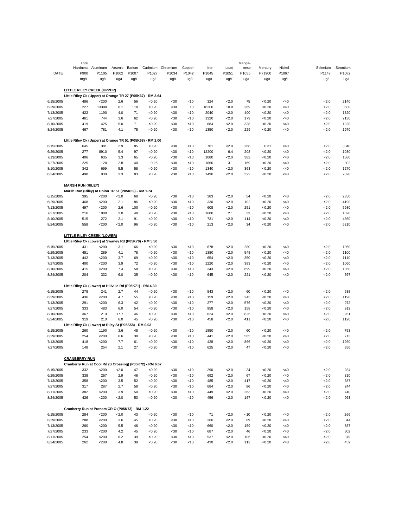|                        | Total                                                          |            |            |          |                  |                  |              |             |            | Manga-     |                  |            |            |              |
|------------------------|----------------------------------------------------------------|------------|------------|----------|------------------|------------------|--------------|-------------|------------|------------|------------------|------------|------------|--------------|
|                        | Hardness                                                       | Aluminum   | Arsenic    | Barium   |                  | Cadmium Chromium | Copper       | Iron        | Lead       | nese       | Mercury          | Nickel     | Selenium   | Strontium    |
| DATE                   | P900                                                           | P1105      | P1002      | P1007    | P1027            | P1034            | P1042        | P1045       | P1051      | P1055      | P71900           | P1067      | P1147      | P1082        |
|                        | mg/L                                                           | ug/L       | ug/L       | ug/L     | ug/L             | ug/L             | ug/L         | ug/L        | ug/L       | ug/L       | ug/L             | ug/L       | ug/L       | ug/L         |
|                        |                                                                |            |            |          |                  |                  |              |             |            |            |                  |            |            |              |
|                        | <b>LITTLE RILEY CREEK (UPPER)</b>                              |            |            |          |                  |                  |              |             |            |            |                  |            |            |              |
|                        | Little Riley Ck (Upper) at Orange TR 27 (P05K67) - RM 2.64     |            |            |          |                  |                  |              |             |            |            |                  |            |            |              |
| 6/15/2005              | 486                                                            | 200        | 2.6        | 56       | < 0.20           | $30$             | < 10         | 324         | 2.0        | 75         | < 0.20           | <40        | 2.0        | 2140         |
| 6/29/2005              | 227                                                            | 13300      | 6.1        | 110      | < 0.20           | $30$             | 13           | 18200       | 10.0       | 269        | < 0.20           | <40        | 2.0        | 680          |
| 7/13/2005              | 422                                                            | 1190       | 4.0        | 71       | <0.20            | $30$             | < 10         | 2040        | 2.0        | 400        | < 0.20           | $<$ 40     | 2.0        | 1320         |
| 7/27/2005<br>8/10/2005 | 461<br>419                                                     | 744<br>425 | 3.6<br>5.0 | 62<br>71 | < 0.20<br>< 0.20 | $30$<br>$30$     | < 10<br>< 10 | 1320<br>884 | 2.0<br>2.0 | 179<br>338 | < 0.20<br>< 0.20 | <40<br><40 | 2.0<br>2.0 | 2130<br>1820 |
| 8/24/2005              | 467                                                            | 781        | 4.1        | 75       | < 0.20           | $30$             | < 10         | 1350        | 2.0        | 229        | < 0.20           | <40        | 2.0        | 1970         |
|                        |                                                                |            |            |          |                  |                  |              |             |            |            |                  |            |            |              |
|                        | Little Riley Ck (Upper) at Orange TR 51 (P05K68) - RM 1.00     |            |            |          |                  |                  |              |             |            |            |                  |            |            |              |
| 6/15/2005              | 645                                                            | 381        | 2.9        | 85       | < 0.20           | <30              | < 10         | 761         | 2.0        | 268        | 0.31             | <40        | 2.0        | 3040         |
| 6/29/2005              | 277                                                            | 8910       | 5.4        | 97       | < 0.20           | $30$             | < 10         | 12200       | 6.4        | 208        | < 0.20           | <40        | 2.0        | 1030         |
| 7/13/2005              | 406                                                            | 635        | 3.3        | 65       | < 0.20           | $30$             | < 10         | 1080        | 2.0        | 382        | < 0.20           | <40        | 2.0        | 1580         |
| 7/27/2005              | 225                                                            | 1120       | 2.8        | 40       | 0.26             | $30$             | < 10         | 1860        | 3.1        | 169        | < 0.20           | <40        | 2.0        | 802          |
| 8/10/2005              | 342                                                            | 699        | 5.5        | 58       | <0.20            | $30$             | < 10         | 1340        | 2.0        | 363        | < 0.20           | <40        | 2.0        | 1270         |
| 8/24/2005              | 498                                                            | 938        | 3.3        | 83       | < 0.20           | $30$             | < 10         | 1490        | 2.0        | 322        | < 0.20           | $<$ 40     | 2.0        | 2020         |
|                        |                                                                |            |            |          |                  |                  |              |             |            |            |                  |            |            |              |
|                        | <b>MARSH RUN (RILEY)</b>                                       |            |            |          |                  |                  |              |             |            |            |                  |            |            |              |
|                        | Marsh Run (Riley) at Union TR 51 (P05K69) - RM 1.74            |            |            |          |                  |                  |              |             |            |            |                  |            |            |              |
| 6/15/2005              | 395                                                            | $200$      | 2.0        | 68       | < 0.20           | $30$             | < 10         | 383         | 2.0        | 54         | < 0.20           | <40        | 2.0        | 2350         |
| 6/29/2005              | 468                                                            | $200$      | 2.1        | 86       | < 0.20           | <30              | < 10         | 330         | 2.0        | 102        | < 0.20           | <40        | 2.0        | 4190         |
| 7/13/2005              | 497                                                            | 200        | 2.6        | 100      | < 0.20           | $30$             | < 10         | 608         | 2.0        | 251        | < 0.20           | <40        | 2.0        | 5980         |
| 7/27/2005              | 216                                                            | 1080       | 3.0        | 48       | < 0.20           | $30$             | < 10         | 1680        | 2.1        | 33         | < 0.20           | <40        | 2.0        | 1020         |
| 8/10/2005              | 515                                                            | 272        | 2.1        | 91       | <0.20            | $30$             | < 10         | 731         | 2.0        | 114        | < 0.20           | <40        | 2.0        | 4360         |
| 8/24/2005              | 558                                                            | 200        | 2.0        | 96       | < 0.20           | $30$             | < 10         | 213         | 2.0        | 34         | < 0.20           | <40        | 2.0        | 5210         |
|                        |                                                                |            |            |          |                  |                  |              |             |            |            |                  |            |            |              |
|                        | LITTLE RILEY CREEK (LOWER)                                     |            |            |          |                  |                  |              |             |            |            |                  |            |            |              |
| 6/15/2005              | Little Riley Ck (Lower) at Swaney Rd (P05K70) - RM 5.50<br>431 | $200$      | 3.1        | 66       | < 0.20           | $<30$            | < 10         | 678         | 2.0        | 280        | < 0.20           | <40        | 2.0        | 1060         |
| 6/29/2005              | 451                                                            | 289        | 4.1        | 78       | < 0.20           | <30              | < 10         | 1380        | 2.0        | 548        | < 0.20           | $<$ 40     | 2.0        | 1100         |
| 7/13/2005              | 442                                                            | $200$      | 3.7        | 69       | < 0.20           | $30$             | < 10         | 654         | 2.0        | 350        | < 0.20           | <40        | 2.0        | 1110         |
| 7/27/2005              | 400                                                            | 200        | 3.9        | 72       | < 0.20           | $30$             | 10           | 1220        | 2.0        | 383        | < 0.20           | <40        | 2.0        | 1060         |
| 8/10/2005              | 415                                                            | 200        | 7.4        | 58       | < 0.20           | $30$             | < 10         | 343         | 2.0        | 699        | < 0.20           | <40        | 2.0        | 1860         |
| 8/24/2005              | 204                                                            | 332        | 6.0        | 35       | <0.20            | <30              | < 10         | 645         | 2.0        | 221        | < 0.20           | <40        | 2.0        | 567          |
|                        |                                                                |            |            |          |                  |                  |              |             |            |            |                  |            |            |              |
|                        | Little Riley Ck (Lower) at Hillville Rd (P05K71) - RM 4.30     |            |            |          |                  |                  |              |             |            |            |                  |            |            |              |
| 6/15/2005              | 278                                                            | 241        | 2.7        | 44       | < 0.20           | $30$             | < 10         | 543         | 2.0        | 60         | <0.20            | <40        | 2.0        | 638          |
| 6/29/2005              | 436                                                            | 200        | 4.7        | 55       | < 0.20           | $30$             | < 10         | 159         | 2.0        | 243        | < 0.20           | <40        | 2.0        | 1190         |
| 7/13/2005              | 291                                                            | 200        | 6.3        | 42       | <0.20            | $30$             | < 10         | 277         | 2.0        | 576        | < 0.20           | <40        | 2.0        | 972          |
| 7/27/2005              | 333                                                            | 483        | 6.0        | 54       | < 0.20           | $30$             | < 10         | 958         | 2.0        | 158        | < 0.20           | <40        | 2.0        | 912          |
| 8/10/2005              | 367                                                            | 210        | 17.7       | 46       | < 0.20           | $30$             | < 10         | 624         | 2.0        | 825        | < 0.20           | <40        | 2.0        | 951          |
| 8/24/2005              | 319                                                            | 210        | 6.0        | 45       | < 0.20           | $30$             | < 10         | 458         | 2.0        | 411        | < 0.20           | <40        | 2.0        | 1120         |
|                        | Little Riley Ck (Lower) at Riley St (P05S58) - RM 0.03         |            |            |          |                  |                  |              |             |            |            |                  |            |            |              |
| 6/15/2005              | 260                                                            | 1190       | 3.6        | 48       | <0.20            | <30              | < 10         | 1850        | 2.0        | 60         | < 0.20           | <40        | 2.0        | 753          |
| 6/29/2005              | 254                                                            | $200$      | 6.6        | 38       | <0.20            | <30              | < 10         | 441         | 2.0        | 565        | < 0.20           | $<$ 40     | 2.0        | 713          |
| 7/13/2005              | 418                                                            | $200$      | 7.7        | 61       | < 0.20           | $30$             | < 10         | 428         | 2.0        | 866        | < 0.20           | <40        | 2.0        | 1260         |
| 7/27/2005              | 148                                                            | 254        | 2.1        | 27       | <0.20            | $30$             | < 10         | 625         | 2.0        | 47         | <0.20            | <40        | 2.0        | 356          |
|                        | <b>CRANBERRY RUN</b>                                           |            |            |          |                  |                  |              |             |            |            |                  |            |            |              |
|                        | Cranberry Run at Cool Rd (S Crossing) (P05K72) - RM 6.67       |            |            |          |                  |                  |              |             |            |            |                  |            |            |              |
| 6/15/2005              | 332                                                            | <200       | 2.0        | 47       | < 0.20           | <30              | < 10         | 290         | 2.0        | 24         | <0.20            | <40        | 2.0        | 284          |
| 6/29/2005              | 338                                                            | 267        | 2.9        | 46       | < 0.20           | <30              | < 10         | 692         | 2.0        | 67         | <0.20            | <40        | 2.0        | 310          |
| 7/13/2005              | 358                                                            | <200       | 3.5        | 52       | <0.20            | $30$             | < 10         | 485         | 2.0        | 417        | < 0.20           | <40        | 2.0        | 687          |
| 7/27/2005              | 317                                                            | 287        | 2.7        | 59       | <0.20            | $30$             | <10          | 684         | 2.0        | 86         | < 0.20           | <40        | 2.0        | 244          |
| 8/11/2005              | 382                                                            | <200       | $3.9\,$    | 50       | < 0.20           | <30              | <10          | 449         | 2.0        | 263        | < 0.20           | <40        | 2.0        | 740          |
| 8/24/2005              | 426                                                            | 200        | 2.0        | 53       | < 0.20           | $30$             | <10          | 456         | 2.0        | 167        | < 0.20           | <40        | 2.0        | 963          |
|                        |                                                                |            |            |          |                  |                  |              |             |            |            |                  |            |            |              |
|                        | Cranberry Run at Putnam CR O (P05K73) - RM 1.22                |            |            |          |                  |                  |              |             |            |            |                  |            |            |              |
| 6/15/2005              | 284                                                            | $200$      | 2.0        | 43       | < 0.20           | <30              | <10          | 71          | 2.0        | $<$ 10     | < 0.20           | <40        | 2.0        | 266          |
| 6/29/2005              | 288                                                            | $200$      | 3.6        | 45       | < 0.20           | <30              | <10          | 366         | 2.0        | 69         | < 0.20           | <40        | 2.0        | 344          |
| 7/13/2005              | 260                                                            | <200       | 5.5        | 46       | <0.20            | <30              | <10          | 660         | 2.0        | 159        | < 0.20           | <40        | 2.0        | 387          |
| 7/27/2005              | 233                                                            | $200$      | 4.2        | 45       | <0.20            | <30              | <10          | 687         | 2.0        | 46         | <0.20            | <40        | 2.0        | 302          |
| 8/11/2005              | 254                                                            | <200       | 6.2        | 39       | <0.20            | $30$             | <10          | 537         | 2.0        | 106        | <0.20            | <40        | 2.0        | 379          |
| 8/24/2005              | 262                                                            | $200$      | 4.8        | 39       | < 0.20           | $<30$            | < 10         | 430         | 2.0        | 112        | < 0.20           | $<40$      | 2.0        | 459          |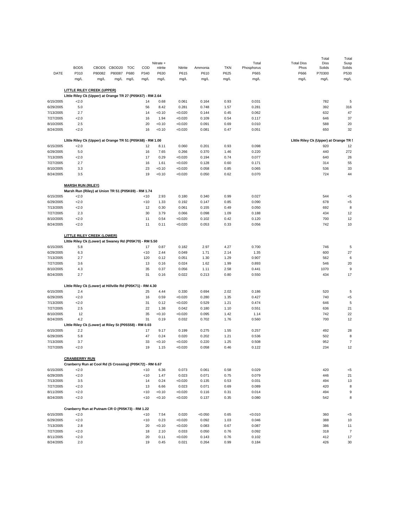|           |                                                            |        |              |           |        |                      |         |         |            |                     |                           | Total                                  | Total            |
|-----------|------------------------------------------------------------|--------|--------------|-----------|--------|----------------------|---------|---------|------------|---------------------|---------------------------|----------------------------------------|------------------|
|           | BOD <sub>5</sub>                                           |        | CBOD5 CBOD20 | TOC       | COD    | Nitrate +<br>nitrite | Nitrite | Ammonia | <b>TKN</b> | Total<br>Phosphorus | <b>Total Diss</b><br>Phos | <b>Diss</b><br>Solids                  | Susp<br>Solids   |
|           |                                                            |        |              |           |        |                      |         |         |            |                     |                           |                                        |                  |
| DATE      | P310                                                       | P80082 | P80087       | P680      | P340   | P630                 | P615    | P610    | P625       | P665                | P666                      | P70300                                 | P530             |
|           | mg/L                                                       | mg/L   |              | mg/L mg/L | mg/L   | mg/L                 | mg/L    | mg/L    | mg/L       | mg/L                | mg/L                      | mg/L                                   | mg/L             |
|           |                                                            |        |              |           |        |                      |         |         |            |                     |                           |                                        |                  |
|           | <b>LITTLE RILEY CREEK (UPPER)</b>                          |        |              |           |        |                      |         |         |            |                     |                           |                                        |                  |
|           | Little Riley Ck (Upper) at Orange TR 27 (P05K67) - RM 2.64 |        |              |           |        |                      |         |         |            |                     |                           |                                        |                  |
| 6/15/2005 | 2.0                                                        |        |              |           | 14     | 0.68                 | 0.061   | 0.164   | 0.93       | 0.031               |                           | 782                                    | 5                |
| 6/29/2005 | 5.0                                                        |        |              |           | 56     | 8.42                 | 0.281   | 0.748   | 1.57       | 0.281               |                           | 392                                    | 316              |
| 7/13/2005 | 2.7                                                        |        |              |           | 14     | < 0.10               | < 0.020 | 0.144   | 0.45       | 0.062               |                           | 632                                    | 47               |
| 7/27/2005 | 2.0                                                        |        |              |           | 16     | 1.94                 | < 0.020 | 0.109   | 0.54       | 0.117               |                           | 646                                    | 37               |
| 8/10/2005 | 2.5                                                        |        |              |           | 20     | < 0.10               | <0.020  | 0.091   | 0.69       | 0.010               |                           | 588                                    | 20               |
| 8/24/2005 | 2.0                                                        |        |              |           | 16     | < 0.10               | < 0.020 | 0.081   | 0.47       | 0.051               |                           | 650                                    | 32               |
|           |                                                            |        |              |           |        |                      |         |         |            |                     |                           |                                        |                  |
|           | Little Riley Ck (Upper) at Orange TR 51 (P05K68) - RM 1.00 |        |              |           |        |                      |         |         |            |                     |                           | Little Riley Ck (Upper) at Orange TR ! |                  |
| 6/15/2005 | 2.0                                                        |        |              |           | 12     | 8.11                 | 0.060   | 0.201   | 0.93       | 0.098               |                           | 920                                    | 12               |
| 6/29/2005 | 5.0                                                        |        |              |           | 16     | 7.65                 | 0.266   | 0.370   | 1.46       | 0.220               |                           | 440                                    | 272              |
| 7/13/2005 | 2.0                                                        |        |              |           | 17     | 0.29                 | <0.020  | 0.194   | 0.74       | 0.077               |                           | 640                                    | 26               |
| 7/27/2005 | 2.7                                                        |        |              |           | 16     | 1.61                 | < 0.020 | 0.128   | 0.60       | 0.171               |                           | 314                                    | 55               |
| 8/10/2005 | 3.3                                                        |        |              |           | 23     | < 0.10               | <0.020  | 0.058   | 0.85       | 0.065               |                           | 536                                    | 33               |
| 8/24/2005 | 3.5                                                        |        |              |           | 19     | < 0.10               | < 0.020 | 0.050   | 0.62       | 0.070               |                           | 724                                    | 44               |
|           |                                                            |        |              |           |        |                      |         |         |            |                     |                           |                                        |                  |
|           | <b>MARSH RUN (RILEY)</b>                                   |        |              |           |        |                      |         |         |            |                     |                           |                                        |                  |
|           | Marsh Run (Riley) at Union TR 51 (P05K69) - RM 1.74        |        |              |           |        |                      |         |         |            |                     |                           |                                        |                  |
| 6/15/2005 | 2.0                                                        |        |              |           | <10    | 2.93                 | 0.180   | 0.340   | 0.99       | 0.027               |                           | 544                                    | $<$ 5            |
| 6/29/2005 | 2.0                                                        |        |              |           | <10    | 1.33                 | 0.192   | 0.147   | 0.85       | 0.090               |                           | 678                                    | $<$ 5            |
| 7/13/2005 | 2.0                                                        |        |              |           | 12     | 0.30                 | 0.061   | 0.155   | 0.49       | 0.050               |                           | 692                                    | 8                |
|           |                                                            |        |              |           |        |                      |         |         |            |                     |                           |                                        |                  |
| 7/27/2005 | 2.3                                                        |        |              |           | 30     | 3.79                 | 0.066   | 0.098   | 1.09       | 0.188               |                           | 434                                    | 12               |
| 8/10/2005 | 2.0                                                        |        |              |           | 11     | 0.54                 | < 0.020 | 0.102   | 0.42       | 0.120               |                           | 700                                    | 12               |
| 8/24/2005 | 2.0                                                        |        |              |           | 11     | 0.11                 | <0.020  | 0.053   | 0.33       | 0.056               |                           | 742                                    | 10               |
|           |                                                            |        |              |           |        |                      |         |         |            |                     |                           |                                        |                  |
|           | LITTLE RILEY CREEK (LOWER)                                 |        |              |           |        |                      |         |         |            |                     |                           |                                        |                  |
|           | Little Riley Ck (Lower) at Swaney Rd (P05K70) - RM 5.50    |        |              |           |        |                      |         |         |            |                     |                           |                                        |                  |
| 6/15/2005 | 5.8                                                        |        |              |           | 17     | 0.87                 | 0.182   | 2.97    | 4.27       | 0.700               |                           | 746                                    | 5                |
| 6/29/2005 | 6.3                                                        |        |              |           | $<$ 10 | 2.44                 | 0.049   | 1.71    | 2.14       | 1.35                |                           | 600                                    | 27               |
| 7/13/2005 | 2.7                                                        |        |              |           | 120    | 0.12                 | 0.051   | 1.30    | 1.29       | 0.907               |                           | 562                                    | 6                |
| 7/27/2005 | 3.6                                                        |        |              |           | 13     | 0.16                 | 0.024   | 1.62    | 1.99       | 0.893               |                           | 546                                    | 20               |
| 8/10/2005 | 4.3                                                        |        |              |           | 35     | 0.37                 | 0.056   | 1.11    | 2.58       | 0.441               |                           | 1070                                   | $\boldsymbol{9}$ |
| 8/24/2005 | 2.7                                                        |        |              |           | 31     | 0.16                 | 0.022   | 0.213   | 0.80       | 0.550               |                           | 434                                    | 17               |
|           |                                                            |        |              |           |        |                      |         |         |            |                     |                           |                                        |                  |
|           | Little Riley Ck (Lower) at Hillville Rd (P05K71) - RM 4.30 |        |              |           |        |                      |         |         |            |                     |                           |                                        |                  |
| 6/15/2005 | 2.4                                                        |        |              |           | 25     | 4.44                 | 0.330   | 0.694   | 2.02       | 0.186               |                           | 520                                    | 5                |
| 6/29/2005 | 2.0                                                        |        |              |           | 16     | 0.59                 | <0.020  | 0.280   | 1.35       | 0.427               |                           | 740                                    | $5$              |
| 7/13/2005 | 2.0                                                        |        |              |           | 31     | 0.12                 | < 0.020 | 0.529   | 1.21       | 0.474               |                           | 646                                    | 5                |
| 7/27/2005 | 2.5                                                        |        |              |           | 22     | 1.38                 | 0.042   | 0.180   | 1.10       | 0.551               |                           | 636                                    | 21               |
| 8/10/2005 | 12                                                         |        |              |           | 35     | < 0.10               | <0.020  | 0.095   | 1.42       | 1.14                |                           | 742                                    | 22               |
| 8/24/2005 | 4.2                                                        |        |              |           | 31     | 0.19                 | 0.032   | 0.702   | 1.76       | 0.560               |                           | 700                                    | 12               |
|           | Little Riley Ck (Lower) at Riley St (P05S58) - RM 0.03     |        |              |           |        |                      |         |         |            |                     |                           |                                        |                  |
| 6/15/2005 | 2.2                                                        |        |              |           | 17     | 9.17                 | 0.199   | 0.275   | 1.55       | 0.257               |                           | 492                                    | 28               |
| 6/29/2005 | 5.8                                                        |        |              |           | 47     | 0.24                 | 0.020   | 0.202   | 1.21       | 0.536               |                           | 502                                    | 8                |
| 7/13/2005 | 3.7                                                        |        |              |           | 33     | < 0.10               | <0.020  | 0.220   | 1.25       | 0.508               |                           | 952                                    | $\overline{7}$   |
| 7/27/2005 | 2.0                                                        |        |              |           | 19     | 1.15                 | < 0.020 | 0.058   | 0.46       | 0.122               |                           | 234                                    | 12               |
|           |                                                            |        |              |           |        |                      |         |         |            |                     |                           |                                        |                  |
|           | <b>CRANBERRY RUN</b>                                       |        |              |           |        |                      |         |         |            |                     |                           |                                        |                  |
|           | Cranberry Run at Cool Rd (S Crossing) (P05K72) - RM 6.67   |        |              |           |        |                      |         |         |            |                     |                           |                                        |                  |
| 6/15/2005 | 2.0                                                        |        |              |           | <10    | 6.36                 | 0.073   | 0.061   | 0.58       | 0.029               |                           | 420                                    | $<$ 5            |
| 6/29/2005 | 2.0                                                        |        |              |           | $<$ 10 | 1.47                 | 0.023   | 0.071   | 0.75       | 0.079               |                           | 446                                    | 21               |
| 7/13/2005 | $3.5\,$                                                    |        |              |           | 14     | 0.24                 | <0.020  | 0.135   | 0.53       | 0.031               |                           | 494                                    | 13               |
| 7/27/2005 | 2.0                                                        |        |              |           | 13     | 6.66                 | 0.023   | 0.071   | 0.69       | 0.089               |                           | 420                                    | 8                |
| 8/11/2005 | 2.0                                                        |        |              |           | $<$ 10 | < 0.10               | <0.020  | 0.116   | 0.31       | 0.014               |                           | 494                                    | 9                |
| 8/24/2005 | 2.0                                                        |        |              |           | < 10   | < 0.10               | < 0.020 |         | 0.35       | 0.080               |                           | 542                                    | 8                |
|           |                                                            |        |              |           |        |                      |         | 0.137   |            |                     |                           |                                        |                  |
|           | Cranberry Run at Putnam CR O (P05K73) - RM 1.22            |        |              |           |        |                      |         |         |            |                     |                           |                                        |                  |
| 6/15/2005 |                                                            |        |              |           |        |                      |         |         |            |                     |                           |                                        |                  |
|           | 2.0                                                        |        |              |           | <10    | 7.54                 | 0.020   | < 0.050 | 0.65       | < 0.010             |                           | 360                                    | $<$ 5            |
| 6/29/2005 | 2.0                                                        |        |              |           | $<$ 10 | 0.23                 | < 0.020 | 0.092   | 1.03       | 0.046               |                           | 388                                    | 10               |
| 7/13/2005 | 2.8                                                        |        |              |           | 20     | <0.10                | < 0.020 | 0.083   | 0.67       | 0.087               |                           | 386                                    | 11               |
| 7/27/2005 | 2.0                                                        |        |              |           | 18     | 2.10                 | 0.033   | 0.050   | 0.76       | 0.092               |                           | 318                                    | $\overline{7}$   |
| 8/11/2005 | 2.0                                                        |        |              |           | 20     | 0.11                 | <0.020  | 0.143   | 0.76       | 0.102               |                           | 412                                    | 17               |
| 8/24/2005 | 2.0                                                        |        |              |           | 19     | 0.45                 | 0.021   | 0.264   | 0.99       | 0.184               |                           | 426                                    | 30               |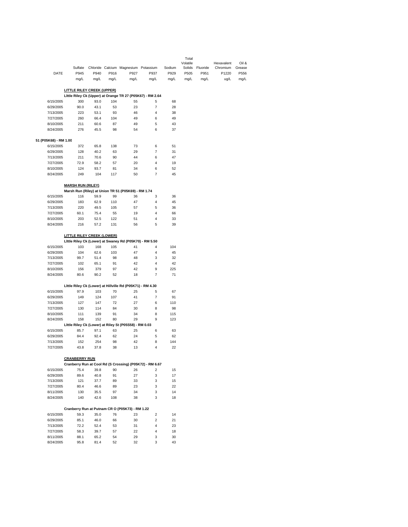|                       |                        |                                   |              |           |                                                              |                         |          | Total              |          |                        |                   |
|-----------------------|------------------------|-----------------------------------|--------------|-----------|--------------------------------------------------------------|-------------------------|----------|--------------------|----------|------------------------|-------------------|
|                       |                        | Sulfate                           |              |           | Chloride Calcium Magnesium Potassium                         |                         | Sodium   | Volatile<br>Solids | Fluoride | Hexavalent<br>Chromium | $Oil$ &<br>Grease |
|                       | DATE                   | P945                              | P940         | P916      | P927                                                         | P937                    | P929     | P505               | P951     | P1220                  | P556              |
|                       |                        | mg/L                              | mg/L         | mg/L      | mg/L                                                         | mg/L                    | mg/L     | mg/L               | mg/L     | ug/L                   | mg/L              |
|                       |                        |                                   |              |           |                                                              |                         |          |                    |          |                        |                   |
|                       |                        | <b>LITTLE RILEY CREEK (UPPER)</b> |              |           |                                                              |                         |          |                    |          |                        |                   |
|                       |                        |                                   |              |           | Little Riley Ck (Upper) at Orange TR 27 (P05K67) - RM 2.64   |                         |          |                    |          |                        |                   |
|                       | 6/15/2005              | 300                               | 93.0<br>43.1 | 104<br>53 | 55<br>23                                                     | 5<br>$\overline{7}$     | 68<br>28 |                    |          |                        |                   |
|                       | 6/29/2005<br>7/13/2005 | 90.0<br>223                       | 53.1         | 93        | 46                                                           | 4                       | 38       |                    |          |                        |                   |
|                       | 7/27/2005              | 260                               | 66.4         | 104       | 49                                                           | 6                       | 49       |                    |          |                        |                   |
|                       | 8/10/2005              | 211                               | 60.6         | 87        | 49                                                           | 5                       | 43       |                    |          |                        |                   |
|                       | 8/24/2005              | 276                               | 45.5         | 98        | 54                                                           | 6                       | 37       |                    |          |                        |                   |
|                       |                        |                                   |              |           |                                                              |                         |          |                    |          |                        |                   |
| 51 (P05K68) - RM 1.00 |                        |                                   |              |           |                                                              |                         |          |                    |          |                        |                   |
|                       | 6/15/2005<br>6/29/2005 | 372<br>128                        | 65.8<br>40.2 | 138<br>63 | 73<br>29                                                     | 6<br>$\overline{7}$     | 51<br>31 |                    |          |                        |                   |
|                       | 7/13/2005              | 211                               | 70.6         | 90        | 44                                                           | 6                       | 47       |                    |          |                        |                   |
|                       | 7/27/2005              | 72.9                              | 58.2         | 57        | 20                                                           | 4                       | 19       |                    |          |                        |                   |
|                       | 8/10/2005              | 124                               | 93.7         | 81        | 34                                                           | 6                       | 52       |                    |          |                        |                   |
|                       | 8/24/2005              | 249                               | 104          | 117       | 50                                                           | 7                       | 45       |                    |          |                        |                   |
|                       |                        |                                   |              |           |                                                              |                         |          |                    |          |                        |                   |
|                       |                        | <b>MARSH RUN (RILEY)</b>          |              |           |                                                              |                         |          |                    |          |                        |                   |
|                       | 6/15/2005              | 116                               | 59.9         | 99        | Marsh Run (Riley) at Union TR 51 (P05K69) - RM 1.74<br>36    | 3                       | 36       |                    |          |                        |                   |
|                       | 6/29/2005              | 183                               | 62.9         | 110       | 47                                                           | 4                       | 45       |                    |          |                        |                   |
|                       | 7/13/2005              | 220                               | 49.5         | 105       | 57                                                           | 5                       | 36       |                    |          |                        |                   |
|                       | 7/27/2005              | 60.1                              | 75.4         | 55        | 19                                                           | 4                       | 66       |                    |          |                        |                   |
|                       | 8/10/2005              | 203                               | 52.5         | 122       | 51                                                           | 4                       | 33       |                    |          |                        |                   |
|                       | 8/24/2005              | 216                               | 57.2         | 131       | 56                                                           | 5                       | 39       |                    |          |                        |                   |
|                       |                        | <b>LITTLE RILEY CREEK (LOWER)</b> |              |           |                                                              |                         |          |                    |          |                        |                   |
|                       |                        |                                   |              |           | Little Riley Ck (Lower) at Swaney Rd (P05K70) - RM 5.50      |                         |          |                    |          |                        |                   |
|                       | 6/15/2005              | 103                               | 168          | 105       | 41                                                           | 4                       | 104      |                    |          |                        |                   |
|                       | 6/29/2005              | 104                               | 62.6         | 103       | 47                                                           | 4                       | 45       |                    |          |                        |                   |
|                       | 7/13/2005              | 99.7                              | 51.4         | 98        | 48                                                           | 3                       | 32       |                    |          |                        |                   |
|                       | 7/27/2005              | 102                               | 65.1         | 91        | 42                                                           | 4                       | 42       |                    |          |                        |                   |
|                       | 8/10/2005              | 156                               | 379          | 97        | 42                                                           | 9                       | 225      |                    |          |                        |                   |
|                       | 8/24/2005              | 80.6                              | 90.2         | 52        | 18                                                           | $\overline{7}$          | 71       |                    |          |                        |                   |
|                       |                        |                                   |              |           | Little Riley Ck (Lower) at Hillville Rd (P05K71) - RM 4.30   |                         |          |                    |          |                        |                   |
|                       | 6/15/2005              | 97.9                              | 103          | 70        | 25                                                           | 5                       | 67       |                    |          |                        |                   |
|                       | 6/29/2005              | 149                               | 124          | 107       | 41                                                           | $\overline{7}$          | 91       |                    |          |                        |                   |
|                       | 7/13/2005              | 127                               | 147          | 72        | 27                                                           | 6                       | 110      |                    |          |                        |                   |
|                       | 7/27/2005              | 130                               | 114          | 84        | 30                                                           | 8                       | 98       |                    |          |                        |                   |
|                       | 8/10/2005              | 111                               | 139          | 91        | 34                                                           | 8                       | 115      |                    |          |                        |                   |
|                       | 8/24/2005              | 158                               | 152          | 80        | 29<br>Little Riley Ck (Lower) at Riley St (P05S58) - RM 0.03 | 9                       | 123      |                    |          |                        |                   |
|                       | 6/15/2005              | 85.7                              | 97.1         | 63        | 25                                                           | 6                       | 63       |                    |          |                        |                   |
|                       | 6/29/2005              | 84.4                              | 92.4         | 62        | 24                                                           | 5                       | 62       |                    |          |                        |                   |
|                       | 7/13/2005              | 152                               | 254          | 98        | 42                                                           | 8                       | 144      |                    |          |                        |                   |
|                       | 7/27/2005              | 43.8                              | 37.8         | 38        | 13                                                           | 4                       | 22       |                    |          |                        |                   |
|                       |                        |                                   |              |           |                                                              |                         |          |                    |          |                        |                   |
|                       |                        | <b>CRANBERRY RUN</b>              |              |           | Cranberry Run at Cool Rd (S Crossing) (P05K72) - RM 6.67     |                         |          |                    |          |                        |                   |
|                       | 6/15/2005              | 75.4                              | 39.8         | 90        | 26                                                           | $\overline{2}$          | 15       |                    |          |                        |                   |
|                       | 6/29/2005              | 89.6                              | 40.8         | 91        | 27                                                           | 3                       | 17       |                    |          |                        |                   |
|                       | 7/13/2005              | 121                               | 37.7         | 89        | 33                                                           | 3                       | 15       |                    |          |                        |                   |
|                       | 7/27/2005              | 80.4                              | 46.6         | 89        | 23                                                           | 3                       | 22       |                    |          |                        |                   |
|                       | 8/11/2005              | 130                               | 35.5         | 97        | 34                                                           | 3                       | 14       |                    |          |                        |                   |
|                       | 8/24/2005              | 140                               | 42.6         | 108       | 38                                                           | 3                       | 18       |                    |          |                        |                   |
|                       |                        |                                   |              |           | Cranberry Run at Putnam CR O (P05K73) - RM 1.22              |                         |          |                    |          |                        |                   |
|                       | 6/15/2005              | 59.3                              | 35.0         | 76        | 23                                                           | $\overline{\mathbf{c}}$ | 14       |                    |          |                        |                   |
|                       | 6/29/2005              | 85.1                              | 46.0         | 66        | 30                                                           | $\overline{a}$          | 21       |                    |          |                        |                   |
|                       | 7/13/2005              | 72.2                              | 52.4         | 53        | 31                                                           | 4                       | 23       |                    |          |                        |                   |
|                       | 7/27/2005              | 58.3                              | 39.7         | 57        | 22                                                           | 4                       | 18       |                    |          |                        |                   |
|                       | 8/11/2005              | 88.1                              | 65.2         | 54        | 29                                                           | 3                       | 30       |                    |          |                        |                   |
|                       | 8/24/2005              | 95.8                              | 81.4         | 52        | 32                                                           | 3                       | 43       |                    |          |                        |                   |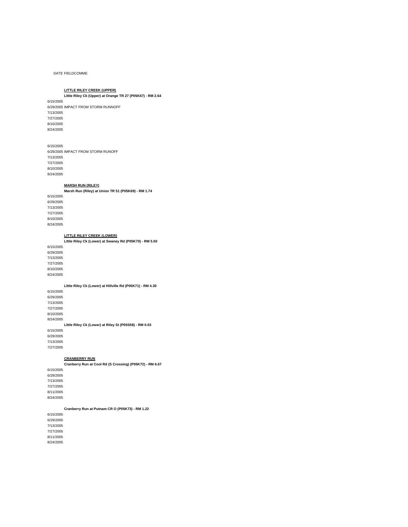### **LITTLE RILEY CREEK (UPPER)**

**Llttle Riley Ck (Upper) at Orange TR 27 (P05K67) - RM 2.64** 6/15/2005 6/29/2005 IMPACT FROM STORM RUNNOFF 7/13/2005 7/27/2005 8/10/2005 8/24/2005 6/15/2005

6/29/2005 IMPACT FROM STORM RUNOFF 7/13/2005 7/27/2005 8/10/2005 8/24/2005

### **MARSH RUN (RILEY)**

**Marsh Run (Riley) at Union TR 51 (P05K69) - RM 1.74**

6/15/2005 6/29/2005 7/13/2005 7/27/2005 8/10/2005 8/24/2005

**LITTLE RILEY CREEK (LOWER)**

**Llttle Riley Ck (Lower) at Swaney Rd (P05K70) - RM 5.50** 6/15/2005 6/29/2005 7/13/2005 7/27/2005 8/10/2005 8/24/2005

**Llttle Riley Ck (Lower) at Hillville Rd (P05K71) - RM 4.30**

6/15/2005 6/29/2005

7/13/2005 7/27/2005

8/10/2005

8/24/2005

**Llttle Riley Ck (Lower) at Riley St (P05S58) - RM 0.03** 6/15/2005 6/29/2005

7/13/2005 7/27/2005

# **CRANBERRY RUN**

**Cranberry Run at Cool Rd (S Crossing) (P05K72) - RM 6.67**

6/15/2005 6/29/2005 7/13/2005 7/27/2005 8/11/2005 8/24/2005

**Cranberry Run at Putnam CR O (P05K73) - RM 1.22**

6/15/2005 6/29/2005 7/13/2005 7/27/2005 8/11/2005

8/24/2005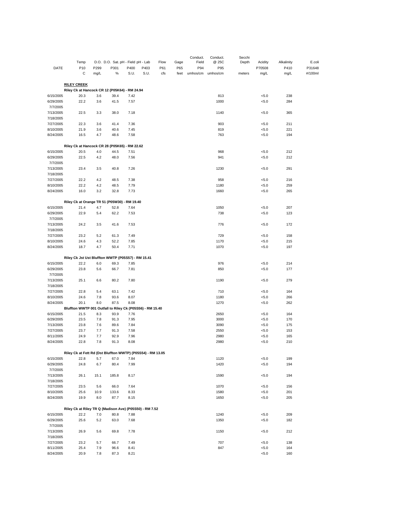|           |                    |      |                                                             |      |      |      |      | Conduct. | Conduct. | Secchi |         |            |         |
|-----------|--------------------|------|-------------------------------------------------------------|------|------|------|------|----------|----------|--------|---------|------------|---------|
|           | Temp               |      | D.O. D.O. Sat. pH - Field pH - Lab                          |      |      | Flow | Gage | Field    | @ 25C    | Depth  | Acidity | Alkalinity | E.coli  |
| DATE      | P <sub>10</sub>    | P299 | P301                                                        | P400 | P403 | P61  | P65  | P94      | P95      |        | P70508  | P410       | P31648  |
|           | C                  | mg/L | %                                                           | S.U. | S.U. | cfs  | feet | umhos/cm | umhos/cm | meters | mg/L    | mg/L       | #/100ml |
|           |                    |      |                                                             |      |      |      |      |          |          |        |         |            |         |
|           | <b>RILEY CREEK</b> |      |                                                             |      |      |      |      |          |          |        |         |            |         |
|           |                    |      | Riley Ck at Hancock CR 12 (P05K64) - RM 24.94               |      |      |      |      |          |          |        |         |            |         |
|           |                    |      |                                                             |      |      |      |      |          |          |        |         |            |         |
| 6/15/2005 | 20.3               | 3.6  | 39.4                                                        | 7.42 |      |      |      |          | 813      |        | < 5.0   | 238        |         |
| 6/29/2005 | 22.2               | 3.6  | 41.5                                                        | 7.57 |      |      |      |          | 1000     |        | < 5.0   | 284        |         |
| 7/7/2005  |                    |      |                                                             |      |      |      |      |          |          |        |         |            |         |
| 7/13/2005 | 22.5               | 3.3  | 38.0                                                        | 7.18 |      |      |      |          | 1140     |        | < 5.0   | 365        |         |
| 7/18/2005 |                    |      |                                                             |      |      |      |      |          |          |        |         |            |         |
| 7/27/2005 | 22.3               | 3.6  | 41.4                                                        | 7.36 |      |      |      |          | 903      |        | < 5.0   | 211        |         |
|           |                    |      |                                                             |      |      |      |      |          |          |        |         |            |         |
| 8/10/2005 | 21.9               | 3.6  | 40.6                                                        | 7.45 |      |      |      |          | 819      |        | < 5.0   | 221        |         |
| 8/24/2005 | 16.5               | 4.7  | 48.6                                                        | 7.58 |      |      |      |          | 763      |        | < 5.0   | 194        |         |
|           |                    |      |                                                             |      |      |      |      |          |          |        |         |            |         |
|           |                    |      | Riley Ck at Hancock CR 28 (P05K65) - RM 22.62               |      |      |      |      |          |          |        |         |            |         |
| 6/15/2005 | 20.5               | 4.0  | 44.5                                                        | 7.51 |      |      |      |          | 968      |        | < 5.0   | 212        |         |
| 6/29/2005 | 22.5               | 4.2  | 48.0                                                        | 7.56 |      |      |      |          | 941      |        | < 5.0   | 212        |         |
| 7/7/2005  |                    |      |                                                             |      |      |      |      |          |          |        |         |            |         |
| 7/13/2005 | 23.4               | 3.5  | 40.8                                                        | 7.26 |      |      |      |          | 1230     |        | < 5.0   | 291        |         |
| 7/18/2005 |                    |      |                                                             |      |      |      |      |          |          |        |         |            |         |
|           |                    |      |                                                             |      |      |      |      |          |          |        |         |            |         |
| 7/27/2005 | 22.2               | 4.2  | 48.5                                                        | 7.38 |      |      |      |          | 958      |        | < 5.0   | 216        |         |
| 8/10/2005 | 22.2               | 4.2  | 48.5                                                        | 7.79 |      |      |      |          | 1180     |        | < 5.0   | 259        |         |
| 8/24/2005 | 16.0               | 3.2  | 32.8                                                        | 7.73 |      |      |      |          | 1660     |        | < 5.0   | 265        |         |
|           |                    |      |                                                             |      |      |      |      |          |          |        |         |            |         |
|           |                    |      | Riley Ck at Orange TR 51 (P05W30) - RM 19.40                |      |      |      |      |          |          |        |         |            |         |
| 6/15/2005 | 21.4               | 4.7  | 52.8                                                        | 7.64 |      |      |      |          | 1050     |        | < 5.0   | 207        |         |
| 6/29/2005 | 22.9               | 5.4  | 62.2                                                        | 7.53 |      |      |      |          | 738      |        | < 5.0   | 123        |         |
|           |                    |      |                                                             |      |      |      |      |          |          |        |         |            |         |
| 7/7/2005  |                    |      |                                                             |      |      |      |      |          |          |        |         |            |         |
| 7/13/2005 | 24.2               | 3.5  | 41.6                                                        | 7.53 |      |      |      |          | 776      |        | < 5.0   | 172        |         |
| 7/18/2005 |                    |      |                                                             |      |      |      |      |          |          |        |         |            |         |
| 7/27/2005 | 23.2               | 5.2  | 61.3                                                        | 7.49 |      |      |      |          | 729      |        | < 5.0   | 158        |         |
| 8/10/2005 | 24.6               | 4.3  | 52.2                                                        | 7.85 |      |      |      |          | 1170     |        | < 5.0   | 215        |         |
| 8/24/2005 | 18.7               | 4.7  | 50.4                                                        | 7.71 |      |      |      |          | 1070     |        | < 5.0   | 197        |         |
|           |                    |      |                                                             |      |      |      |      |          |          |        |         |            |         |
|           |                    |      |                                                             |      |      |      |      |          |          |        |         |            |         |
|           |                    |      | Riley Ck Jst Ust Bluffton WWTP (P05S57) - RM 15.41          |      |      |      |      |          |          |        |         |            |         |
| 6/15/2005 | 22.2               | 6.0  | 69.3                                                        | 7.85 |      |      |      |          | 976      |        | < 5.0   | 214        |         |
| 6/29/2005 | 23.8               | 5.6  | 66.7                                                        | 7.81 |      |      |      |          | 850      |        | < 5.0   | 177        |         |
| 7/7/2005  |                    |      |                                                             |      |      |      |      |          |          |        |         |            |         |
| 7/13/2005 | 25.1               | 6.6  | 80.2                                                        | 7.80 |      |      |      |          | 1190     |        | < 5.0   | 279        |         |
| 7/18/2005 |                    |      |                                                             |      |      |      |      |          |          |        |         |            |         |
|           |                    |      |                                                             |      |      |      |      |          |          |        |         | 164        |         |
| 7/27/2005 | 22.8               | 5.4  | 63.1                                                        | 7.42 |      |      |      |          | 710      |        | < 5.0   |            |         |
| 8/10/2005 | 24.6               | 7.8  | 93.6                                                        | 8.07 |      |      |      |          | 1180     |        | < 5.0   | 266        |         |
| 8/24/2005 | 20.1               | 8.0  | 87.5                                                        | 8.08 |      |      |      |          | 1270     |        | < 5.0   | 262        |         |
|           |                    |      | Bluffton WWTP 001 Outfall to Riley Ck (P05S56) - RM 15.40   |      |      |      |      |          |          |        |         |            |         |
| 6/15/2005 | 21.5               | 8.3  | 93.9                                                        | 7.76 |      |      |      |          | 2650     |        | < 5.0   | 164        |         |
| 6/29/2005 | 23.5               | 7.8  | 91.3                                                        | 7.95 |      |      |      |          | 3000     |        | < 5.0   | 170        |         |
| 7/13/2005 | 23.8               | 7.6  | 89.6                                                        | 7.84 |      |      |      |          | 3090     |        | < 5.0   | 175        |         |
|           |                    |      |                                                             |      |      |      |      |          |          |        |         |            |         |
| 7/27/2005 | 23.7               | 7.7  | 91.3                                                        | 7.58 |      |      |      |          | 2550     |        | < 5.0   | 153        |         |
| 8/11/2005 | 24.9               | 7.7  | 92.9                                                        | 7.96 |      |      |      |          | 2980     |        | < 5.0   | 165        |         |
| 8/24/2005 | 22.8               | 7.8  | 91.3                                                        | 8.08 |      |      |      |          | 2980     |        | < 5.0   | 210        |         |
|           |                    |      |                                                             |      |      |      |      |          |          |        |         |            |         |
|           |                    |      | Riley Ck at Fett Rd (Dst Bluffton WWTP) (P05S54) - RM 13.05 |      |      |      |      |          |          |        |         |            |         |
| 6/15/2005 | 22.8               | 5.7  | 67.0                                                        | 7.84 |      |      |      |          | 1120     |        | < 5.0   | 199        |         |
|           |                    |      |                                                             |      |      |      |      |          |          |        |         |            |         |
| 6/29/2005 | 24.8               | 6.7  | 80.4                                                        | 7.99 |      |      |      |          | 1420     |        | < 5.0   | 194        |         |
| 7/7/2005  |                    |      |                                                             |      |      |      |      |          |          |        |         |            |         |
| 7/13/2005 | 26.1               | 15.1 | 185.8                                                       | 8.17 |      |      |      |          | 1590     |        | < 5.0   | 194        |         |
| 7/18/2005 |                    |      |                                                             |      |      |      |      |          |          |        |         |            |         |
| 7/27/2005 | 23.5               | 5.6  | 66.0                                                        | 7.64 |      |      |      |          | 1070     |        | < 5.0   | 156        |         |
| 8/10/2005 | 25.6               | 10.9 | 133.6                                                       | 8.33 |      |      |      |          | 1580     |        | < 5.0   | 201        |         |
| 8/24/2005 | 19.9               | 8.0  | 87.7                                                        | 8.15 |      |      |      |          | 1650     |        | < 5.0   | 205        |         |
|           |                    |      |                                                             |      |      |      |      |          |          |        |         |            |         |
|           |                    |      |                                                             |      |      |      |      |          |          |        |         |            |         |
|           |                    |      | Riley Ck at Riley TR Q (Madison Ave) (P05S50) - RM 7.52     |      |      |      |      |          |          |        |         |            |         |
| 6/15/2005 | 22.2               | 7.0  | 80.8                                                        | 7.88 |      |      |      |          | 1240     |        | < 5.0   | 209        |         |
| 6/29/2005 | 25.6               | 5.2  | 63.0                                                        | 7.68 |      |      |      |          | 1350     |        | < 5.0   | 182        |         |
| 7/7/2005  |                    |      |                                                             |      |      |      |      |          |          |        |         |            |         |
| 7/13/2005 | 26.9               | 5.6  | 69.8                                                        | 7.78 |      |      |      |          | 1150     |        | < 5.0   | 212        |         |
|           |                    |      |                                                             |      |      |      |      |          |          |        |         |            |         |
| 7/18/2005 |                    |      |                                                             |      |      |      |      |          |          |        |         |            |         |
| 7/27/2005 | 23.2               | 5.7  | 66.7                                                        | 7.49 |      |      |      |          | 707      |        | 5.0     | 138        |         |
| 8/11/2005 | 25.4               | 7.9  | 96.6                                                        | 8.41 |      |      |      |          | 847      |        | < 5.0   | 164        |         |
| 8/24/2005 | 20.9               | 7.8  | 87.3                                                        | 8.21 |      |      |      |          |          |        | < 5.0   | 160        |         |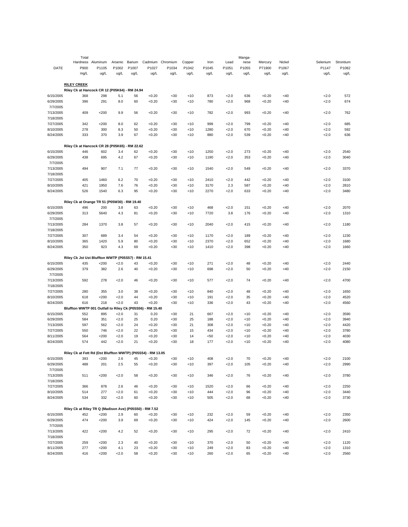|           | Total                                                       |          |         |        |        |                  |        |       |       | Manga- |         |        |          |           |
|-----------|-------------------------------------------------------------|----------|---------|--------|--------|------------------|--------|-------|-------|--------|---------|--------|----------|-----------|
|           | Hardness                                                    | Aluminum | Arsenic | Barium |        | Cadmium Chromium | Copper | Iron  | Lead  | nese   | Mercury | Nickel | Selenium | Strontium |
| DATE      | P900                                                        | P1105    | P1002   | P1007  | P1027  | P1034            | P1042  | P1045 | P1051 | P1055  | P71900  | P1067  | P1147    | P1082     |
|           | mg/L                                                        | ug/L     | ug/L    | ug/L   | ug/L   | ug/L             | ug/L   | ug/L  | ug/L  | ug/L   | ug/L    | ug/L   | ug/L     | ug/L      |
|           |                                                             |          |         |        |        |                  |        |       |       |        |         |        |          |           |
|           | <b>RILEY CREEK</b>                                          |          |         |        |        |                  |        |       |       |        |         |        |          |           |
|           | Riley Ck at Hancock CR 12 (P05K64) - RM 24.94               |          |         |        |        |                  |        |       |       |        |         |        |          |           |
| 6/15/2005 | 368                                                         | 298      | 5.1     | 56     | < 0.20 | $30$             | <10    | 873   | 2.0   | 636    | <0.20   | <40    | 2.0      | 572       |
| 6/29/2005 | 396                                                         | 291      | 8.0     | 60     | < 0.20 | $30$             | < 10   | 780   | 2.0   | 968    | < 0.20  | <40    | 2.0      | 674       |
| 7/7/2005  |                                                             |          |         |        |        |                  |        |       |       |        |         |        |          |           |
|           |                                                             |          |         |        |        |                  |        |       |       |        |         |        |          |           |
| 7/13/2005 | 409                                                         | $200$    | 9.9     | 56     | <0.20  | $30$             | < 10   | 782   | 2.0   | 993    | < 0.20  | <40    | 2.0      | 762       |
| 7/18/2005 |                                                             |          |         |        |        |                  |        |       |       |        |         |        |          |           |
| 7/27/2005 | 342                                                         | $200$    | 8.0     | 62     | <0.20  | $30$             | < 10   | 999   | 2.0   | 799    | < 0.20  | <40    | 2.0      | 685       |
| 8/10/2005 | 278                                                         | 300      | 8.3     | 50     | < 0.20 | $30$             | < 10   | 1280  | 2.0   | 670    | < 0.20  | $<$ 40 | 2.0      | 592       |
| 8/24/2005 | 333                                                         | 370      | 3.9     | 67     | < 0.20 | $30$             | < 10   | 880   | 2.0   | 539    | < 0.20  | <40    | 2.0      | 636       |
|           |                                                             |          |         |        |        |                  |        |       |       |        |         |        |          |           |
|           | Riley Ck at Hancock CR 28 (P05K65) - RM 22.62               |          |         |        |        |                  |        |       |       |        |         |        |          |           |
| 6/15/2005 | 446                                                         | 602      | 3.4     | 62     | < 0.20 | <30              | <10    | 1250  | 2.0   | 273    | <0.20   | <40    | 2.0      | 2540      |
| 6/29/2005 | 438                                                         | 695      | 4.2     | 67     | < 0.20 | $30$             | < 10   | 1190  | 2.0   | 353    | < 0.20  | $<$ 40 | 2.0      | 3040      |
| 7/7/2005  |                                                             |          |         |        |        |                  |        |       |       |        |         |        |          |           |
| 7/13/2005 | 494                                                         | 907      | 7.1     | 77     | <0.20  | $<30$            | < 10   | 1540  | 2.0   | 549    | < 0.20  | <40    | 2.0      | 3370      |
| 7/18/2005 |                                                             |          |         |        |        |                  |        |       |       |        |         |        |          |           |
| 7/27/2005 | 405                                                         | 1460     | 6.2     | 70     | <0.20  | $30$             | < 10   | 2410  | 2.0   | 442    | <0.20   | $<$ 40 | 2.0      | 3100      |
|           |                                                             |          |         |        |        |                  |        |       |       |        |         |        |          |           |
| 8/10/2005 | 421                                                         | 1950     | 7.6     | 76     | < 0.20 | $30$             | < 10   | 3170  | 2.3   | 587    | < 0.20  | $<$ 40 | 2.0      | 2810      |
| 8/24/2005 | 526                                                         | 1540     | 6.3     | 95     | < 0.20 | $30$             | < 10   | 2270  | 2.0   | 633    | < 0.20  | <40    | 2.0      | 3480      |
|           |                                                             |          |         |        |        |                  |        |       |       |        |         |        |          |           |
|           | Riley Ck at Orange TR 51 (P05W30) - RM 19.40                |          |         |        |        |                  |        |       |       |        |         |        |          |           |
| 6/15/2005 | 496                                                         | 200      | 3.8     | 63     | < 0.20 | <30              | <10    | 468   | 2.0   | 151    | <0.20   | <40    | 2.0      | 2070      |
| 6/29/2005 | 313                                                         | 5640     | 4.3     | 81     | < 0.20 | $30$             | < 10   | 7720  | 3.8   | 176    | < 0.20  | $<$ 40 | 2.0      | 1310      |
| 7/7/2005  |                                                             |          |         |        |        |                  |        |       |       |        |         |        |          |           |
| 7/13/2005 | 284                                                         | 1370     | 3.8     | 57     | <0.20  | $<30$            | < 10   | 2040  | 2.0   | 415    | < 0.20  | <40    | 2.0      | 1180      |
| 7/18/2005 |                                                             |          |         |        |        |                  |        |       |       |        |         |        |          |           |
| 7/27/2005 | 307                                                         | 689      | 3.4     | 54     | <0.20  | $30$             | <10    | 1170  | 2.0   | 189    | <0.20   | <40    | 2.0      | 1230      |
| 8/10/2005 | 365                                                         | 1420     | 5.9     | 80     | < 0.20 | $30$             | < 10   | 2370  | 2.0   | 652    | < 0.20  | $<$ 40 | 2.0      | 1680      |
| 8/24/2005 | 350                                                         | 923      | 4.3     | 69     | < 0.20 | $30$             | < 10   | 1410  | 2.0   | 398    | < 0.20  | <40    | 2.0      | 1660      |
|           |                                                             |          |         |        |        |                  |        |       |       |        |         |        |          |           |
|           |                                                             |          |         |        |        |                  |        |       |       |        |         |        |          |           |
|           | Riley Ck Jst Ust Bluffton WWTP (P05S57) - RM 15.41          |          |         |        |        |                  |        |       |       |        |         |        |          |           |
| 6/15/2005 | 435                                                         | 200      | 2.0     | 43     | < 0.20 | $30$             | <10    | 271   | 2.0   | 48     | <0.20   | <40    | 2.0      | 2440      |
| 6/29/2005 | 379                                                         | 382      | 2.6     | 40     | < 0.20 | $30$             | < 10   | 698   | 2.0   | 50     | < 0.20  | $<$ 40 | 2.0      | 2150      |
| 7/7/2005  |                                                             |          |         |        |        |                  |        |       |       |        |         |        |          |           |
| 7/13/2005 | 592                                                         | 278      | 2.0     | 46     | < 0.20 | <30              | < 10   | 577   | 2.0   | 74     | < 0.20  | <40    | 2.0      | 4700      |
| 7/18/2005 |                                                             |          |         |        |        |                  |        |       |       |        |         |        |          |           |
| 7/27/2005 | 280                                                         | 355      | 3.0     | 38     | <0.20  | $30$             | < 10   | 840   | 2.0   | 48     | < 0.20  | <40    | 2.0      | 1650      |
| 8/10/2005 | 618                                                         | 200      | 2.0     | 44     | < 0.20 | $30$             | < 10   | 191   | 2.0   | 35     | < 0.20  | $<$ 40 | 2.0      | 4520      |
| 8/24/2005 | 616                                                         | 218      | 2.0     | 43     | < 0.20 | $30$             | <10    | 336   | 2.0   | 43     | < 0.20  | <40    | 2.0      | 4560      |
|           | Bluffton WWTP 001 Outfall to Riley Ck (P05S56) - RM 15.40   |          |         |        |        |                  |        |       |       |        |         |        |          |           |
| 6/15/2005 | 552                                                         | 895      |         |        | 0.20   |                  |        |       |       | <10    |         |        |          |           |
|           |                                                             |          | 2.0     | 31     |        | $30$             | 21     | 667   | 2.0   |        | < 0.20  | $<$ 40 | 2.0      | 3590      |
| 6/29/2005 | 584                                                         | 351      | 2.0     | 25     | 0.20   | <30              | 25     | 188   | 2.0   | <10    | < 0.20  | <40    | 2.0      | 3940      |
| 7/13/2005 | 597                                                         | 562      | 2.0     | 24     | < 0.20 | $30$             | 21     | 308   | 2.0   | < 10   | < 0.20  | <40    | 2.0      | 4420      |
| 7/27/2005 | 550                                                         | 746      | 2.0     | 22     | < 0.20 | $30$             | 15     | 434   | 2.0   | <10    | < 0.20  | <40    | 2.0      | 3780      |
| 8/11/2005 | 564                                                         | $200$    | 2.0     | 19     | <0.20  | $30$             | 14     | $50$  | 2.0   | <10    | < 0.20  | <40    | 2.0      | 4030      |
| 8/24/2005 | 574                                                         | 442      | 2.0     | 21     | < 0.20 | $30$             | 18     | 177   | 2.0   | <10    | < 0.20  | <40    | 2.0      | 4080      |
|           |                                                             |          |         |        |        |                  |        |       |       |        |         |        |          |           |
|           | Riley Ck at Fett Rd (Dst Bluffton WWTP) (P05S54) - RM 13.05 |          |         |        |        |                  |        |       |       |        |         |        |          |           |
| 6/15/2005 | 393                                                         | 200      | 2.6     | 45     | <0.20  | $30$             | < 10   | 408   | 2.0   | 70     | < 0.20  | <40    | 2.0      | 2100      |
| 6/29/2005 | 488                                                         | 201      | 2.5     | 55     | < 0.20 | <30              | < 10   | 397   | 2.0   | 105    | < 0.20  | <40    | 2.0      | 2990      |
| 7/7/2005  |                                                             |          |         |        |        |                  |        |       |       |        |         |        |          |           |
| 7/13/2005 | 511                                                         | $200$    | 2.0     | 58     | < 0.20 | <30              | <10    | 346   | 2.0   | 76     | < 0.20  | <40    | 2.0      | 3780      |
|           |                                                             |          |         |        |        |                  |        |       |       |        |         |        |          |           |
| 7/18/2005 |                                                             |          |         |        |        |                  |        |       |       |        |         |        |          |           |
| 7/27/2005 | 366                                                         | 878      | 2.6     | 46     | < 0.20 | $30$             | <10    | 1520  | 2.0   | 66     | < 0.20  | <40    | 2.0      | 2250      |
| 8/10/2005 | 514                                                         | 277      | 2.0     | 61     | <0.20  | $30$             | <10    | 444   | 2.0   | 96     | < 0.20  | <40    | 2.0      | 3440      |
| 8/24/2005 | 534                                                         | 332      | 2.0     | 60     | <0.20  | $30$             | <10    | 505   | 2.0   | 68     | < 0.20  | <40    | 2.0      | 3730      |
|           |                                                             |          |         |        |        |                  |        |       |       |        |         |        |          |           |
|           | Riley Ck at Riley TR Q (Madison Ave) (P05S50) - RM 7.52     |          |         |        |        |                  |        |       |       |        |         |        |          |           |
| 6/15/2005 | 452                                                         | $200$    | 2.9     | 60     | < 0.20 | $30$             | < 10   | 232   | 2.0   | 59     | < 0.20  | <40    | 2.0      | 2350      |
| 6/29/2005 | 474                                                         | $<$ 200  | 3.9     | 69     | <0.20  | <30              | <10    | 424   | 2.0   | 145    | < 0.20  | <40    | 2.0      | 2600      |
| 7/7/2005  |                                                             |          |         |        |        |                  |        |       |       |        |         |        |          |           |
| 7/13/2005 | 422                                                         | $200$    | 4.2     | 52     | < 0.20 | $30$             | <10    | 295   | 2.0   | 72     | < 0.20  | <40    | 2.0      | 2410      |
| 7/18/2005 |                                                             |          |         |        |        |                  |        |       |       |        |         |        |          |           |
| 7/27/2005 | 259                                                         | $200$    | 2.3     | 40     | < 0.20 | $30$             | <10    | 370   | 2.0   | 50     | < 0.20  | $<$ 40 | 2.0      | 1120      |
|           |                                                             |          |         |        |        |                  |        |       |       |        |         |        |          |           |
| 8/11/2005 | 277                                                         | $<$ 200  | 4.1     | 23     | <0.20  | <30              | <10    | 249   | 2.0   | 83     | <0.20   | $<$ 40 | 2.0      | 1310      |
| 8/24/2005 | 416                                                         | $<$ 200  | 2.0     | 58     | <0.20  | $30$             | ~10    | 260   | 2.0   | 65     | < 0.20  | <40    | 2.0      | 2560      |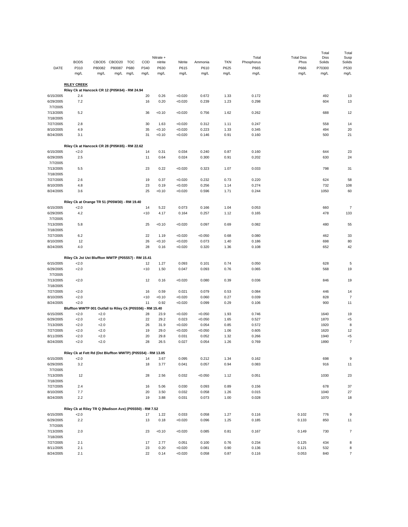|                        |                                                             |        |              |            |          |              |                  |                |              |                |                   | Total      | Total          |
|------------------------|-------------------------------------------------------------|--------|--------------|------------|----------|--------------|------------------|----------------|--------------|----------------|-------------------|------------|----------------|
|                        |                                                             |        |              |            |          | Nitrate +    |                  |                |              | Total          | <b>Total Diss</b> | Diss       | Susp           |
|                        | BOD <sub>5</sub>                                            |        | CBOD5 CBOD20 | <b>TOC</b> | COD      | nitrite      | Nitrite          | Ammonia        | <b>TKN</b>   | Phosphorus     | Phos              | Solids     | Solids         |
| DATE                   | P310                                                        | P80082 | P80087       | P680       | P340     | P630         | P615             | P610           | P625         | P665           | P666              | P70300     | P530           |
|                        | mg/L                                                        | mg/L   | mg/L mg/L    |            | mg/L     | mg/L         | mg/L             | mg/L           | mg/L         | mg/L           | mg/L              | mg/L       | mg/L           |
|                        | <b>RILEY CREEK</b>                                          |        |              |            |          |              |                  |                |              |                |                   |            |                |
|                        | Riley Ck at Hancock CR 12 (P05K64) - RM 24.94               |        |              |            |          |              |                  |                |              |                |                   |            |                |
| 6/15/2005              | 2.4                                                         |        |              |            | 20       | 0.26         | <0.020           | 0.672          | 1.33         | 0.172          |                   | 492        | 13             |
| 6/29/2005              | 7.2                                                         |        |              |            | 16       | 0.20         | < 0.020          | 0.239          | 1.23         | 0.298          |                   | 604        | 13             |
| 7/7/2005               |                                                             |        |              |            |          |              |                  |                |              |                |                   |            |                |
|                        |                                                             |        |              |            |          |              |                  |                |              |                |                   |            |                |
| 7/13/2005              | 5.2                                                         |        |              |            | 36       | < 0.10       | < 0.020          | 0.756          | 1.62         | 0.262          |                   | 688        | 12             |
| 7/18/2005              |                                                             |        |              |            |          |              |                  |                |              |                |                   |            |                |
| 7/27/2005              | 2.8                                                         |        |              |            | 30       | 1.63         | < 0.020          | 0.312          | 1.11         | 0.247          |                   | 558        | 14             |
| 8/10/2005              | 4.9                                                         |        |              |            | 35       | < 0.10       | < 0.020          | 0.223          | 1.33         | 0.345          |                   | 494        | 20             |
| 8/24/2005              | 3.1                                                         |        |              |            | 31       | < 0.10       | <0.020           | 0.146          | 0.91         | 0.160          |                   | 500        | 21             |
|                        |                                                             |        |              |            |          |              |                  |                |              |                |                   |            |                |
|                        | Riley Ck at Hancock CR 28 (P05K65) - RM 22.62               |        |              |            |          |              |                  |                |              |                |                   |            |                |
| 6/15/2005              | 2.0                                                         |        |              |            | 14       | 0.31         | 0.034            | 0.240          | 0.87         | 0.160          |                   | 644        | 23             |
| 6/29/2005              | 2.5                                                         |        |              |            | 11       | 0.64         | 0.024            | 0.300          | 0.91         | 0.202          |                   | 630        | 24             |
|                        |                                                             |        |              |            |          |              |                  |                |              |                |                   |            |                |
| 7/7/2005               |                                                             |        |              |            |          |              |                  |                |              |                |                   |            |                |
| 7/13/2005              | 5.5                                                         |        |              |            | 23       | 0.22         | < 0.020          | 0.323          | 1.07         | 0.033          |                   | 798        | 31             |
| 7/18/2005              |                                                             |        |              |            |          |              |                  |                |              |                |                   |            |                |
| 7/27/2005              | 2.6                                                         |        |              |            | 19       | 0.37         | < 0.020          | 0.232          | 0.73         | 0.220          |                   | 624        | 58             |
| 8/10/2005              | 4.8                                                         |        |              |            | 23       | 0.19         | < 0.020          | 0.256          | 1.14         | 0.274          |                   | 732        | 108            |
| 8/24/2005              | 3.6                                                         |        |              |            | 25       | < 0.10       | <0.020           | 0.596          | 1.71         | 0.244          |                   | 1050       | 60             |
|                        |                                                             |        |              |            |          |              |                  |                |              |                |                   |            |                |
|                        | Riley Ck at Orange TR 51 (P05W30) - RM 19.40                |        |              |            |          |              |                  |                |              |                |                   |            |                |
| 6/15/2005              | 2.0                                                         |        |              |            | 14       | 5.22         | 0.073            | 0.166          | 1.04         | 0.053          |                   | 660        | $\overline{7}$ |
| 6/29/2005              | 4.2                                                         |        |              |            | < 10     | 4.17         | 0.164            | 0.257          | 1.12         | 0.165          |                   | 478        | 133            |
| 7/7/2005               |                                                             |        |              |            |          |              |                  |                |              |                |                   |            |                |
|                        |                                                             |        |              |            |          |              |                  |                |              |                |                   |            |                |
| 7/13/2005              | 5.8                                                         |        |              |            | 25       | < 0.10       | <0.020           | 0.097          | 0.69         | 0.082          |                   | 480        | 55             |
| 7/18/2005              |                                                             |        |              |            |          |              |                  |                |              |                |                   |            |                |
| 7/27/2005              | 6.2                                                         |        |              |            | 22       | 1.19         | < 0.020          | < 0.050        | 0.68         | 0.080          |                   | 462        | 33             |
| 8/10/2005              | 12                                                          |        |              |            | 26       | < 0.10       | < 0.020          | 0.073          | 1.40         | 0.186          |                   | 698        | 80             |
| 8/24/2005              | 4.0                                                         |        |              |            | 28       | 0.16         | <0.020           | 0.320          | 1.36         | 0.108          |                   | 652        | 42             |
|                        |                                                             |        |              |            |          |              |                  |                |              |                |                   |            |                |
|                        | Riley Ck Jst Ust Bluffton WWTP (P05S57) - RM 15.41          |        |              |            |          |              |                  |                |              |                |                   |            |                |
| 6/15/2005              | 2.0                                                         |        |              |            | 12       | 1.27         | 0.093            | 0.101          | 0.74         | 0.050          |                   | 628        | 5              |
|                        | 2.0                                                         |        |              |            | < 10     |              |                  |                |              |                |                   | 568        | 19             |
| 6/29/2005              |                                                             |        |              |            |          | 1.50         | 0.047            | 0.093          | 0.76         | 0.065          |                   |            |                |
|                        |                                                             |        |              |            |          |              |                  |                |              |                |                   |            |                |
| 7/7/2005               |                                                             |        |              |            |          |              |                  |                |              |                |                   |            |                |
| 7/13/2005              | 2.0                                                         |        |              |            | 12       | 0.16         | <0.020           | 0.080          | 0.39         | 0.036          |                   | 846        | 19             |
| 7/18/2005              |                                                             |        |              |            |          |              |                  |                |              |                |                   |            |                |
|                        |                                                             |        |              |            | 16       |              |                  | 0.079          |              |                |                   | 446        |                |
| 7/27/2005              | 2.0                                                         |        |              |            |          | 0.59         | 0.021            |                | 0.53         | 0.084          |                   |            | 14             |
| 8/10/2005              | 2.0                                                         |        |              |            | $<10$    | < 0.10       | < 0.020          | 0.060          | 0.27         | 0.039          |                   | 828        | $\overline{7}$ |
| 8/24/2005              | 2.0                                                         |        |              |            | 11       | 0.92         | <0.020           | 0.099          | 0.29         | 0.106          |                   | 900        | 11             |
|                        | Bluffton WWTP 001 Outfall to Riley Ck (P05S56) - RM 15.40   |        |              |            |          |              |                  |                |              |                |                   |            |                |
| 6/15/2005              | 2.0                                                         | 2.0    |              |            | 28       | 23.9         | < 0.020          | < 0.050        | 1.93         | 0.746          |                   | 1640       | 19             |
| 6/29/2005              | 2.0                                                         | 2.0    |              |            | 22       | 29.2         | 0.023            | < 0.050        | 1.65         | 0.527          |                   | 1870       | $5$            |
|                        | 2.0                                                         | 2.0    |              |            | 26       |              |                  |                |              |                |                   | 1920       | 8              |
| 7/13/2005              |                                                             |        |              |            |          | 31.9         | < 0.020          | 0.054          | 0.85         | 0.572          |                   |            |                |
| 7/27/2005              | 2.0                                                         | 2.0    |              |            | 19       | 29.0         | <0.020           | < 0.050        | 1.06         | 0.605          |                   | 1620       | 12             |
| 8/11/2005              | 2.0                                                         | 2.0    |              |            | 20       | 29.8         | 0.031            | 0.052          | 1.32         | 0.266          |                   | 1940       | $5$            |
| 8/24/2005              | 2.0                                                         | 2.0    |              |            | 28       | 26.5         | 0.027            | 0.054          | 1.26         | 0.769          |                   | 1890       | $\overline{7}$ |
|                        |                                                             |        |              |            |          |              |                  |                |              |                |                   |            |                |
|                        | Riley Ck at Fett Rd (Dst Bluffton WWTP) (P05S54) - RM 13.05 |        |              |            |          |              |                  |                |              |                |                   |            |                |
| 6/15/2005              | 2.0                                                         |        |              |            | 14       | 3.67         | 0.095            | 0.212          | 1.34         | 0.162          |                   | 698        | 9              |
| 6/29/2005              | 3.2                                                         |        |              |            | 18       | 3.77         | 0.041            | 0.057          | 0.94         | 0.083          |                   | 916        | 11             |
| 7/7/2005               |                                                             |        |              |            |          |              |                  |                |              |                |                   |            |                |
| 7/13/2005              | 12                                                          |        |              |            | 28       | 2.56         | 0.032            | < 0.050        | 1.12         | 0.051          |                   | 1030       |                |
|                        |                                                             |        |              |            |          |              |                  |                |              |                |                   |            | 23             |
| 7/18/2005              |                                                             |        |              |            |          |              |                  |                |              |                |                   |            |                |
| 7/27/2005              | 2.4                                                         |        |              |            | 16       | 5.06         | 0.030            | 0.093          | 0.89         | 0.156          |                   | 678        | 37             |
| 8/10/2005              | 7.7                                                         |        |              |            | 20       | 3.50         | 0.032            | 0.058          | 1.26         | 0.015          |                   | 1040       | 27             |
| 8/24/2005              | 2.2                                                         |        |              |            | 19       | 3.88         | 0.031            | 0.073          | 1.00         | 0.028          |                   | 1070       | 18             |
|                        |                                                             |        |              |            |          |              |                  |                |              |                |                   |            |                |
|                        | Riley Ck at Riley TR Q (Madison Ave) (P05S50) - RM 7.52     |        |              |            |          |              |                  |                |              |                |                   |            |                |
| 6/15/2005              | 2.0                                                         |        |              |            | 17       | 1.22         | 0.033            | 0.058          | 1.27         | 0.116          | 0.102             | 776        | 9              |
| 6/29/2005              | 2.2                                                         |        |              |            | 13       | 0.18         | < 0.020          | 0.096          | 1.25         | 0.185          | 0.133             | 850        | 11             |
| 7/7/2005               |                                                             |        |              |            |          |              |                  |                |              |                |                   |            |                |
| 7/13/2005              | 2.0                                                         |        |              |            | 23       | < 0.10       | <0.020           | 0.085          | 0.81         | 0.167          | 0.149             | 730        | $\overline{7}$ |
|                        |                                                             |        |              |            |          |              |                  |                |              |                |                   |            |                |
| 7/18/2005              |                                                             |        |              |            |          |              |                  |                |              |                |                   |            |                |
| 7/27/2005              | 2.1                                                         |        |              |            | 17       | 2.77         | 0.051            | 0.100          | 0.76         | 0.234          | 0.125             | 434        | 8              |
| 8/11/2005<br>8/24/2005 | 2.1<br>2.1                                                  |        |              |            | 23<br>22 | 0.20<br>0.14 | <0.020<br><0.020 | 0.081<br>0.058 | 0.90<br>0.87 | 0.136<br>0.116 | 0.121<br>0.053    | 532<br>840 | 8<br>7         |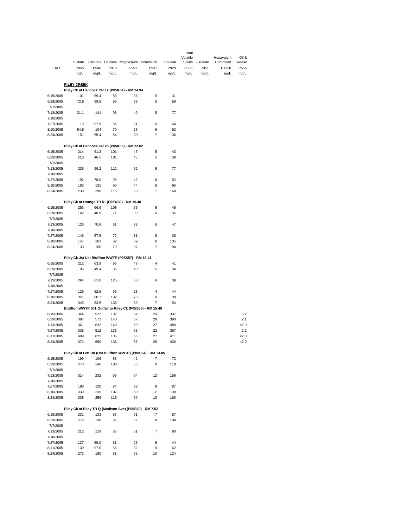|           |                                                                     |      |      |                                      |                |        | Total    |          |            |        |
|-----------|---------------------------------------------------------------------|------|------|--------------------------------------|----------------|--------|----------|----------|------------|--------|
|           |                                                                     |      |      |                                      |                |        | Volatile |          | Hexavalent | Oil &  |
|           | Sulfate                                                             |      |      | Chloride Calcium Magnesium Potassium |                | Sodium | Solids   | Fluoride | Chromium   | Grease |
| DATE      | P945                                                                | P940 | P916 | P927                                 | P937           | P929   | P505     | P951     | P1220      | P556   |
|           | mg/L                                                                | mg/L | mg/L | mg/L                                 | mg/L           | mg/L   | mg/L     | mg/L     | ug/L       | mg/L   |
|           | <b>RILEY CREEK</b><br>Riley Ck at Hancock CR 12 (P05K64) - RM 24.94 |      |      |                                      |                |        |          |          |            |        |
| 6/15/2005 | 101                                                                 | 59.4 | 88   | 36                                   | 5              | 31     |          |          |            |        |
|           | 72.6                                                                | 99.6 | 96   | 38                                   | 5              | 59     |          |          |            |        |
| 6/29/2005 |                                                                     |      |      |                                      |                |        |          |          |            |        |
| 7/7/2005  |                                                                     |      |      |                                      |                |        |          |          |            |        |
| 7/13/2005 | 31.1                                                                | 141  | 98   | 40                                   | 5              | 77     |          |          |            |        |
| 7/18/2005 |                                                                     |      |      |                                      |                |        |          |          |            |        |
| 7/27/2005 | 119                                                                 | 97.9 | 86   | 31                                   | 6              | 64     |          |          |            |        |
| 8/10/2005 | 54.5                                                                | 104  | 70   | 25                                   | 6              | 62     |          |          |            |        |
| 8/24/2005 | 151                                                                 | 55.4 | 84   | 30                                   | $\overline{7}$ | 36     |          |          |            |        |
|           | Riley Ck at Hancock CR 28 (P05K65) - RM 22.62                       |      |      |                                      |                |        |          |          |            |        |
| 6/15/2005 | 214                                                                 | 61.2 | 101  | 47                                   | 5              | 43     |          |          |            |        |
| 6/29/2005 | 218                                                                 | 46.5 | 101  | 45                                   | 5              | 39     |          |          |            |        |
| 7/7/2005  |                                                                     |      |      |                                      |                |        |          |          |            |        |
|           |                                                                     |      |      |                                      |                |        |          |          |            |        |
| 7/13/2005 | 235                                                                 | 99.2 | 112  | 52                                   | 5              | 77     |          |          |            |        |
| 7/18/2005 |                                                                     |      |      |                                      |                |        |          |          |            |        |
| 7/27/2005 | 192                                                                 | 78.0 | 93   | 42                                   | 6              | 52     |          |          |            |        |
| 8/10/2005 | 182                                                                 | 131  | 96   | 44                                   | 6              | 95     |          |          |            |        |
| 8/24/2005 | 239                                                                 | 296  | 115  | 58                                   | $\overline{7}$ | 168    |          |          |            |        |
|           | Riley Ck at Orange TR 51 (P05W30) - RM 19.40                        |      |      |                                      |                |        |          |          |            |        |
| 6/15/2005 | 253                                                                 | 66.6 | 108  | 55                                   | 5              | 45     |          |          |            |        |
| 6/29/2005 | 162                                                                 | 48.9 | 71   | 33                                   | 6              | 35     |          |          |            |        |
| 7/7/2005  |                                                                     |      |      |                                      |                |        |          |          |            |        |
| 7/13/2005 | 126                                                                 | 70.6 | 61   | 32                                   | 5              | 47     |          |          |            |        |
|           |                                                                     |      |      |                                      |                |        |          |          |            |        |
| 7/18/2005 |                                                                     |      |      |                                      |                |        |          |          |            |        |
| 7/27/2005 | 146                                                                 | 57.5 | 72   | 31                                   | 6              | 36     |          |          |            |        |
| 8/10/2005 | 147                                                                 | 161  | 82   | 39                                   | 6              | 105    |          |          |            |        |
| 8/24/2005 | 133                                                                 | 150  | 79   | 37                                   | $\overline{7}$ | 94     |          |          |            |        |
|           | Riley Ck Jst Ust Bluffton WWTP (P05S57) - RM 15.41                  |      |      |                                      |                |        |          |          |            |        |
| 6/15/2005 | 212                                                                 | 63.9 | 95   | 48                                   | 4              | 41     |          |          |            |        |
| 6/29/2005 | 196                                                                 | 49.4 | 86   | 40                                   | 5              | 34     |          |          |            |        |
| 7/7/2005  |                                                                     |      |      |                                      |                |        |          |          |            |        |
| 7/13/2005 | 294                                                                 | 61.0 | 125  | 68                                   | 6              | 39     |          |          |            |        |
| 7/18/2005 |                                                                     |      |      |                                      |                |        |          |          |            |        |
| 7/27/2005 | 126                                                                 | 62.6 | 66   | 28                                   | 4              | 44     |          |          |            |        |
|           |                                                                     | 60.7 |      |                                      | 6              |        |          |          |            |        |
| 8/10/2005 | 341                                                                 |      | 132  | 70                                   |                | 38     |          |          |            |        |
| 8/24/2005 | 345                                                                 | 83.5 | 133  | 69                                   | $\overline{7}$ | 54     |          |          |            |        |
|           | Bluffton WWTP 001 Outfall to Riley Ck (P05S56) - RM 15.40           | 522  |      |                                      |                |        |          |          |            |        |
| 6/15/2005 | 344                                                                 |      | 132  | 54                                   | 23             | 337    |          |          |            | 3.2    |
| 6/29/2005 | 387                                                                 | 571  | 140  | 57                                   | 28             | 390    |          |          |            | 2.1    |
| 7/13/2005 | 361                                                                 | 632  | 140  | 60                                   | 27             | 480    |          |          |            | 2.0    |
| 7/27/2005 | 338                                                                 | 512  | 133  | 53                                   | 22             | 367    |          |          |            | 2.2    |
| 8/11/2005 | 409                                                                 | 623  | 135  | 55                                   | 27             | 411    |          |          |            | 2.0    |
| 8/24/2005 | 374                                                                 | 660  | 136  | 57                                   | 29             | 430    |          |          |            | 2.0    |
|           | Riley Ck at Fett Rd (Dst Bluffton WWTP) (P05S54) - RM 13.05         |      |      |                                      |                |        |          |          |            |        |
| 6/15/2005 | 199                                                                 | 106  | 88   | 42                                   | 7              | 72     |          |          |            |        |
| 6/29/2005 | 278                                                                 | 146  | 108  | 53                                   | 9              | 110    |          |          |            |        |
|           |                                                                     |      |      |                                      |                |        |          |          |            |        |
| 7/7/2005  |                                                                     |      |      |                                      |                |        |          |          |            |        |
| 7/13/2005 | 314                                                                 | 232  | 99   | 64                                   | 12             | 156    |          |          |            |        |
| 7/18/2005 |                                                                     |      |      |                                      |                |        |          |          |            |        |
| 7/27/2005 | 198                                                                 | 120  | 84   | 38                                   | 8              | 87     |          |          |            |        |
| 8/10/2005 | 339                                                                 | 235  | 107  | 60                                   | 12             | 138    |          |          |            |        |
| 8/24/2005 | 338                                                                 | 256  | 115  | 60                                   | 13             | 160    |          |          |            |        |
|           | Riley Ck at Riley TR Q (Madison Ave) (P05S50) - RM 7.52             |      |      |                                      |                |        |          |          |            |        |
| 6/15/2005 | 231                                                                 | 123  | 97   | 51                                   | $\overline{7}$ | 87     |          |          |            |        |
|           |                                                                     |      |      | 57                                   | 8              |        |          |          |            |        |
| 6/29/2005 | 272                                                                 | 138  | 96   |                                      |                | 104    |          |          |            |        |
| 7/7/2005  |                                                                     |      |      |                                      |                |        |          |          |            |        |
| 7/13/2005 | 212                                                                 | 119  | 85   | 51                                   | 7              | 90     |          |          |            |        |
| 7/18/2005 |                                                                     |      |      |                                      |                |        |          |          |            |        |
| 7/27/2005 | 127                                                                 | 69.0 | 61   | 26                                   | 6              | 44     |          |          |            |        |
| 8/11/2005 | 139                                                                 | 97.0 | 58   | 32                                   | 5              | 62     |          |          |            |        |
| 8/24/2005 | 272                                                                 | 180  | 81   | 52                                   | 10             | 124    |          |          |            |        |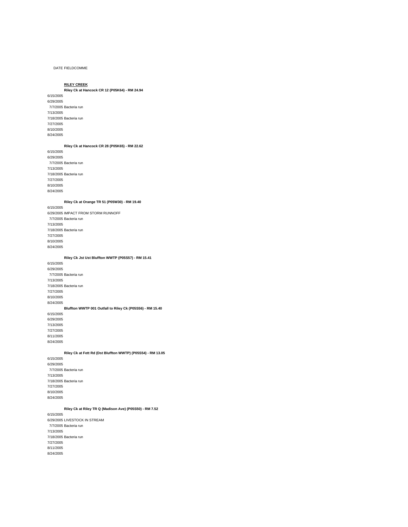### **RILEY CREEK**

**Riley Ck at Hancock CR 12 (P05K64) - RM 24.94** 6/15/2005 6/29/2005 7/7/2005 Bacteria run 7/13/2005 7/18/2005 Bacteria run 7/27/2005 8/10/2005 8/24/2005 **Riley Ck at Hancock CR 28 (P05K65) - RM 22.62** 6/15/2005 6/29/2005 7/7/2005 Bacteria run 7/13/2005 7/18/2005 Bacteria run 7/27/2005 8/10/2005 8/24/2005 **Riley Ck at Orange TR 51 (P05W30) - RM 19.40** 6/15/2005 6/29/2005 IMPACT FROM STORM RUNNOFF 7/7/2005 Bacteria run 7/13/2005 7/18/2005 Bacteria run 7/27/2005 8/10/2005 8/24/2005 **Riley Ck Jst Ust Bluffton WWTP (P05S57) - RM 15.41** 6/15/2005 6/29/2005 7/7/2005 Bacteria run 7/13/2005 7/18/2005 Bacteria run 7/27/2005 8/10/2005 8/24/2005 **Bluffton WWTP 001 Outfall to Riley Ck (P05S56) - RM 15.40** 6/15/2005 6/29/2005 7/13/2005 7/27/2005 8/11/2005 8/24/2005 **Riley Ck at Fett Rd (Dst Bluffton WWTP) (P05S54) - RM 13.05** 6/15/2005 6/29/2005 7/7/2005 Bacteria run 7/13/2005 7/18/2005 Bacteria run 7/27/2005 8/10/2005 8/24/2005 **Riley Ck at Riley TR Q (Madison Ave) (P05S50) - RM 7.52** 6/15/2005 6/29/2005 LIVESTOCK IN STREAM 7/7/2005 Bacteria run 7/13/2005 7/18/2005 Bacteria run 7/27/2005

8/11/2005 8/24/2005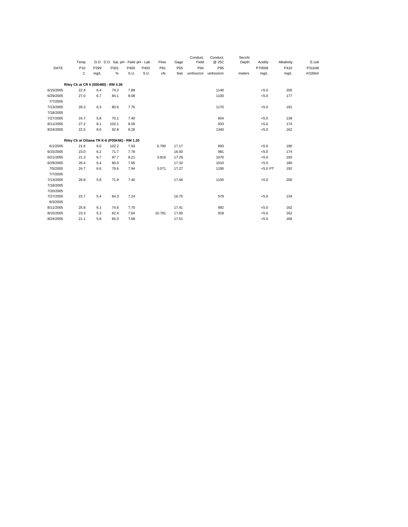|           |                                              |      |                                    |      |      |        |       | Conduct. | Conduct. | Secchi |         |            |         |
|-----------|----------------------------------------------|------|------------------------------------|------|------|--------|-------|----------|----------|--------|---------|------------|---------|
|           | Temp                                         |      | D.O. D.O. Sat. pH - Field pH - Lab |      |      | Flow   | Gage  | Field    | @ 25C    | Depth  | Acidity | Alkalinity | E.coli  |
| DATE      | P <sub>10</sub>                              | P299 | P301                               | P400 | P403 | P61    | P65   | P94      | P95      |        | P70508  | P410       | P31648  |
|           | C                                            | mg/L | $\%$                               | S.U. | S.U. | cfs    | feet  | umhos/cm | umhos/cm | meters | mg/L    | mg/L       | #/100ml |
|           | Riley Ck at CR 6 (500480) - RM 4.36          |      |                                    |      |      |        |       |          |          |        |         |            |         |
| 6/15/2005 | 22.9                                         | 6.4  | 74.2                               | 7.89 |      |        |       |          | 1140     |        | < 5.0   | 205        |         |
| 6/29/2005 | 27.0                                         | 6.7  | 84.1                               | 8.08 |      |        |       |          | 1100     |        | < 5.0   | 177        |         |
| 7/7/2005  |                                              |      |                                    |      |      |        |       |          |          |        |         |            |         |
| 7/13/2005 | 28.3                                         | 6.3  | 80.6                               | 7.76 |      |        |       |          | 1170     |        | < 5.0   | 191        |         |
| 7/18/2005 |                                              |      |                                    |      |      |        |       |          |          |        |         |            |         |
| 7/27/2005 | 24.7                                         | 5.8  | 70.1                               | 7.40 |      |        |       |          | 604      |        | < 5.0   | 139        |         |
| 8/11/2005 | 27.2                                         | 8.1  | 102.1                              | 8.59 |      |        |       |          | 933      |        | < 5.0   | 174        |         |
| 8/24/2005 | 22.5                                         | 8.0  | 92.8                               | 8.26 |      |        |       |          | 1340     |        | < 5.0   | 162        |         |
|           |                                              |      |                                    |      |      |        |       |          |          |        |         |            |         |
|           | Riley Ck at Ottawa TR K-6 (P05K66) - RM 1.20 |      |                                    |      |      |        |       |          |          |        |         |            |         |
| 6/1/2005  | 21.6                                         | 9.0  | 102.2                              | 7.93 |      | 6.790  | 17.17 |          | 993      |        | < 5.0   | 190        |         |
| 6/15/2005 | 23.0                                         | 6.2  | 71.7                               | 7.78 |      |        | 16.93 |          | 981      |        | < 5.0   | 174        |         |
| 6/21/2005 | 21.3                                         | 8.7  | 97.7                               | 8.21 |      | 3.816  | 17.29 |          | 1070     |        | < 5.0   | 193        |         |
| 6/29/2005 | 26.4                                         | 6.4  | 80.0                               | 7.95 |      |        | 17.32 |          | 1010     |        | < 5.0   | 180        |         |
| 7/5/2005  | 24.7                                         | 6.6  | 79.6                               | 7.94 |      | 3.071  | 17.27 |          | 1190     |        | <5.0 PT | 192        |         |
| 7/7/2005  |                                              |      |                                    |      |      |        |       |          |          |        |         |            |         |
| 7/13/2005 | 26.8                                         | 5.8  | 71.9                               | 7.40 |      |        | 17.46 |          | 1150     |        | < 5.0   | 200        |         |
| 7/18/2005 |                                              |      |                                    |      |      |        |       |          |          |        |         |            |         |
| 7/20/2005 |                                              |      |                                    |      |      |        |       |          |          |        |         |            |         |
| 7/27/2005 | 23.7                                         | 5.4  | 64.3                               | 7.24 |      |        | 16.75 |          | 578      |        | < 5.0   | 134        |         |
| 8/3/2005  |                                              |      |                                    |      |      |        |       |          |          |        |         |            |         |
| 8/11/2005 | 25.8                                         | 6.1  | 74.6                               | 7.70 |      |        | 17.41 |          | 992      |        | < 5.0   | 162        |         |
| 8/15/2005 | 23.3                                         | 5.3  | 62.4                               | 7.64 |      | 10.791 | 17.00 |          | 918      |        | < 5.0   | 162        |         |
| 8/24/2005 | 21.1                                         | 5.8  | 65.0                               | 7.68 |      |        | 17.51 |          |          |        | < 5.0   | 166        |         |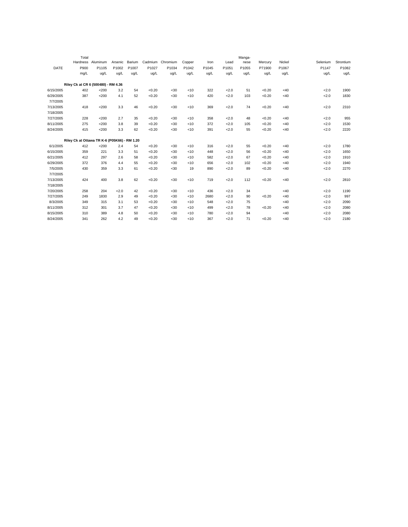|           | Total                                        |                   |         |        |         |          |        |       |       | Manga- |         |        |          |           |
|-----------|----------------------------------------------|-------------------|---------|--------|---------|----------|--------|-------|-------|--------|---------|--------|----------|-----------|
|           |                                              | Hardness Aluminum | Arsenic | Barium | Cadmium | Chromium | Copper | Iron  | Lead  | nese   | Mercury | Nickel | Selenium | Strontium |
| DATE      | P900                                         | P1105             | P1002   | P1007  | P1027   | P1034    | P1042  | P1045 | P1051 | P1055  | P71900  | P1067  | P1147    | P1082     |
|           | mg/L                                         | ug/L              | ug/L    | ug/L   | ug/L    | ug/L     | ug/L   | ug/L  | ug/L  | ug/L   | ug/L    | ug/L   | ug/L     | ug/L      |
|           | Riley Ck at CR 6 (500480) - RM 4.36          |                   |         |        |         |          |        |       |       |        |         |        |          |           |
| 6/15/2005 | 402                                          | < 200             | 3.2     | 54     | < 0.20  | $30$     | <10    | 322   | 2.0   | 51     | < 0.20  | <40    | 2.0      | 1900      |
| 6/29/2005 | 387                                          | $<$ 200           | 4.1     | 52     | <0.20   | <30      | <10    | 420   | 2.0   | 103    | < 0.20  | <40    | 2.0      | 1830      |
| 7/7/2005  |                                              |                   |         |        |         |          |        |       |       |        |         |        |          |           |
| 7/13/2005 | 418                                          | < 200             | 3.3     | 46     | <0.20   | $30$     | <10    | 369   | 2.0   | 74     | < 0.20  | <40    | 2.0      | 2310      |
| 7/18/2005 |                                              |                   |         |        |         |          |        |       |       |        |         |        |          |           |
| 7/27/2005 | 228                                          | < 200             | 2.7     | 35     | <0.20   | $30$     | <10    | 358   | 2.0   | 48     | < 0.20  | <40    | 2.0      | 955       |
| 8/11/2005 | 275                                          | < 200             | 3.8     | 39     | < 0.20  | $30$     | <10    | 372   | 2.0   | 105    | < 0.20  | <40    | 2.0      | 1530      |
| 8/24/2005 | 415                                          | < 200             | 3.3     | 62     | <0.20   | $30$     | < 10   | 391   | 2.0   | 55     | < 0.20  | $<$ 40 | 2.0      | 2220      |
|           | Riley Ck at Ottawa TR K-6 (P05K66) - RM 1.20 |                   |         |        |         |          |        |       |       |        |         |        |          |           |
| 6/1/2005  | 412                                          | < 200             | 2.4     | 54     | < 0.20  | $30$     | <10    | 316   | 2.0   | 55     | < 0.20  | <40    | 2.0      | 1780      |
| 6/15/2005 | 359                                          | 221               | 3.3     | 51     | <0.20   | $30$     | <10    | 448   | 2.0   | 56     | < 0.20  | $<$ 40 | 2.0      | 1650      |
| 6/21/2005 | 412                                          | 297               | 2.6     | 58     | <0.20   | $30$     | <10    | 582   | 2.0   | 67     | < 0.20  | <40    | 2.0      | 1910      |
| 6/29/2005 | 372                                          | 376               | 4.4     | 55     | < 0.20  | $30$     | < 10   | 656   | 2.0   | 102    | < 0.20  | $<$ 40 | 2.0      | 1940      |
| 7/5/2005  | 430                                          | 359               | 3.3     | 61     | <0.20   | $30$     | 19     | 890   | 2.0   | 89     | < 0.20  | $<$ 40 | 2.0      | 2270      |
| 7/7/2005  |                                              |                   |         |        |         |          |        |       |       |        |         |        |          |           |
| 7/13/2005 | 424                                          | 400               | 3.8     | 62     | <0.20   | $30$     | <10    | 719   | 2.0   | 112    | < 0.20  | <40    | 2.0      | 2810      |
| 7/18/2005 |                                              |                   |         |        |         |          |        |       |       |        |         |        |          |           |
| 7/20/2005 | 258                                          | 204               | 2.0     | 42     | <0.20   | $30$     | <10    | 436   | 2.0   | 34     |         | <40    | 2.0      | 1190      |
| 7/27/2005 | 249                                          | 1830              | 2.9     | 49     | < 0.20  | $30$     | < 10   | 2680  | 2.0   | 90     | < 0.20  | $<$ 40 | 2.0      | 997       |
| 8/3/2005  | 349                                          | 315               | 3.1     | 53     | <0.20   | $30$     | < 10   | 548   | 2.0   | 75     |         | $<$ 40 | 2.0      | 2090      |
| 8/11/2005 | 312                                          | 301               | 3.7     | 47     | <0.20   | $30$     | <10    | 499   | 2.0   | 78     | < 0.20  | <40    | 2.0      | 2080      |
| 8/15/2005 | 310                                          | 389               | 4.8     | 50     | <0.20   | $30$     | < 10   | 780   | 2.0   | 94     |         | <40    | 2.0      | 2080      |
| 8/24/2005 | 341                                          | 262               | 4.2     | 49     | < 0.20  | $30$     | < 10   | 367   | 2.0   | 71     | < 0.20  | $<$ 40 | 2.0      | 2180      |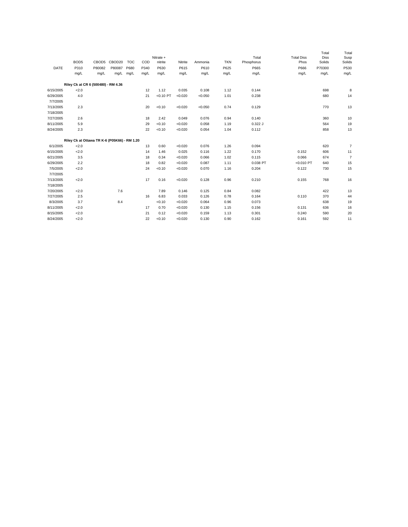|           | BOD <sub>5</sub>                             |        | CBOD5 CBOD20 | <b>TOC</b> | COD  | Nitrate +<br>nitrite | Nitrite | Ammonia | <b>TKN</b> | Total<br>Phosphorus | <b>Total Diss</b><br>Phos | Total<br><b>Diss</b><br>Solids | Total<br>Susp<br>Solids |
|-----------|----------------------------------------------|--------|--------------|------------|------|----------------------|---------|---------|------------|---------------------|---------------------------|--------------------------------|-------------------------|
| DATE      | P310                                         | P80082 | P80087       | P680       | P340 | P630                 | P615    | P610    | P625       | P665                | P666                      | P70300                         | P530                    |
|           | mq/L                                         | mg/L   | mg/L         | mg/L       | mg/L | mg/L                 | mg/L    | mg/L    | mg/L       | mg/L                | mq/L                      | mg/L                           | mg/L                    |
|           | Riley Ck at CR 6 (500480) - RM 4.36          |        |              |            |      |                      |         |         |            |                     |                           |                                |                         |
| 6/15/2005 | 2.0                                          |        |              |            | 12   | 1.12                 | 0.035   | 0.108   | 1.12       | 0.144               |                           | 698                            | 8                       |
| 6/29/2005 | 4.0                                          |        |              |            | 21   | $<0.10$ PT           | < 0.020 | < 0.050 | 1.01       | 0.238               |                           | 680                            | 14                      |
| 7/7/2005  |                                              |        |              |            |      |                      |         |         |            |                     |                           |                                |                         |
| 7/13/2005 | 2.3                                          |        |              |            | 20   | < 0.10               | < 0.020 | < 0.050 | 0.74       | 0.129               |                           | 770                            | 13                      |
| 7/18/2005 |                                              |        |              |            |      |                      |         |         |            |                     |                           |                                |                         |
| 7/27/2005 | 2.6                                          |        |              |            | 18   | 2.42                 | 0.049   | 0.076   | 0.94       | 0.140               |                           | 360                            | 10                      |
| 8/11/2005 | 5.9                                          |        |              |            | 29   | < 0.10               | < 0.020 | 0.058   | 1.19       | 0.322J              |                           | 564                            | 19                      |
| 8/24/2005 | 2.3                                          |        |              |            | 22   | < 0.10               | < 0.020 | 0.054   | 1.04       | 0.112               |                           | 858                            | 13                      |
|           | Riley Ck at Ottawa TR K-6 (P05K66) - RM 1.20 |        |              |            |      |                      |         |         |            |                     |                           |                                |                         |
| 6/1/2005  | 2.0                                          |        |              |            | 13   | 0.60                 | < 0.020 | 0.076   | 1.26       | 0.094               |                           | 620                            | $\overline{7}$          |
| 6/15/2005 | 2.0                                          |        |              |            | 14   | 1.46                 | 0.025   | 0.116   | 1.22       | 0.170               | 0.152                     | 606                            | 11                      |
| 6/21/2005 | 3.5                                          |        |              |            | 18   | 0.34                 | < 0.020 | 0.066   | 1.02       | 0.115               | 0.066                     | 674                            | $\overline{7}$          |
| 6/29/2005 | 2.2                                          |        |              |            | 18   | 0.82                 | < 0.020 | 0.087   | 1.11       | 0.038 PT            | $<0.010$ PT               | 640                            | 15                      |
| 7/5/2005  | 2.0                                          |        |              |            | 24   | < 0.10               | < 0.020 | 0.070   | 1.16       | 0.204               | 0.122                     | 730                            | 15                      |
| 7/7/2005  |                                              |        |              |            |      |                      |         |         |            |                     |                           |                                |                         |
| 7/13/2005 | 2.0                                          |        |              |            | 17   | 0.16                 | < 0.020 | 0.128   | 0.96       | 0.210               | 0.155                     | 768                            | 16                      |
| 7/18/2005 |                                              |        |              |            |      |                      |         |         |            |                     |                           |                                |                         |
| 7/20/2005 | 2.0                                          |        | 7.6          |            |      | 7.89                 | 0.146   | 0.125   | 0.84       | 0.082               |                           | 422                            | 13                      |
| 7/27/2005 | 2.5                                          |        |              |            | 16   | 6.83                 | 0.033   | 0.126   | 0.78       | 0.164               | 0.110                     | 370                            | 44                      |
| 8/3/2005  | 3.7                                          |        | 8.4          |            |      | < 0.10               | < 0.020 | 0.064   | 0.96       | 0.073               |                           | 638                            | 19                      |
| 8/11/2005 | 2.0                                          |        |              |            | 17   | 0.70                 | < 0.020 | 0.130   | 1.15       | 0.156               | 0.131                     | 636                            | 16                      |
| 8/15/2005 | 2.0                                          |        |              |            | 21   | 0.12                 | < 0.020 | 0.159   | 1.13       | 0.301               | 0.240                     | 590                            | 20                      |
| 8/24/2005 | 2.0                                          |        |              |            | 22   | < 0.10               | < 0.020 | 0.130   | 0.90       | 0.162               | 0.161                     | 592                            | 11                      |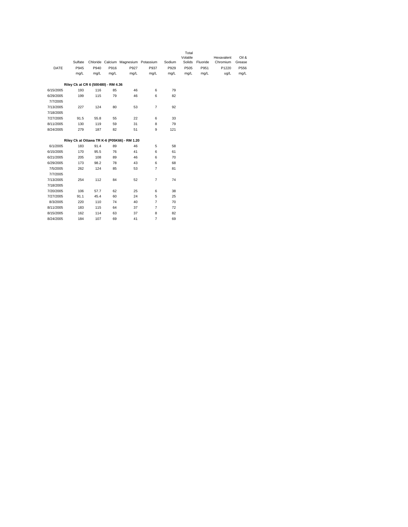|                      |                                     |             |      |                                              |                |        | Total              |          |                        |                 |
|----------------------|-------------------------------------|-------------|------|----------------------------------------------|----------------|--------|--------------------|----------|------------------------|-----------------|
|                      | Sulfate                             |             |      | Chloride Calcium Magnesium Potassium         |                | Sodium | Volatile<br>Solids | Fluoride | Hexavalent<br>Chromium | Oil &<br>Grease |
| DATE                 | P945                                | P940        | P916 | P927                                         | P937           | P929   | P505               | P951     | P1220                  | P556            |
|                      |                                     |             |      |                                              |                |        |                    |          |                        |                 |
|                      | mg/L                                | mg/L        | mq/L | mg/L                                         | mg/L           | mg/L   | mg/L               | mg/L     | ug/L                   | mg/L            |
|                      | Riley Ck at CR 6 (500480) - RM 4.36 |             |      |                                              |                |        |                    |          |                        |                 |
| 6/15/2005            | 193                                 | 116         | 85   | 46                                           | 6              | 79     |                    |          |                        |                 |
| 6/29/2005            | 199                                 | 115         | 79   | 46                                           | 6              | 82     |                    |          |                        |                 |
| 7/7/2005             |                                     |             |      |                                              |                |        |                    |          |                        |                 |
| 7/13/2005            | 227                                 | 124         | 80   | 53                                           | $\overline{7}$ | 92     |                    |          |                        |                 |
|                      |                                     |             |      |                                              |                |        |                    |          |                        |                 |
| 7/18/2005            |                                     |             |      | 22                                           |                | 33     |                    |          |                        |                 |
| 7/27/2005            | 91.5                                | 55.8<br>119 | 55   | 31                                           | 6<br>8         |        |                    |          |                        |                 |
| 8/11/2005            | 130                                 |             | 59   |                                              |                | 79     |                    |          |                        |                 |
| 8/24/2005            | 279                                 | 187         | 82   | 51                                           | 9              | 121    |                    |          |                        |                 |
|                      |                                     |             |      | Riley Ck at Ottawa TR K-6 (P05K66) - RM 1.20 |                |        |                    |          |                        |                 |
| 6/1/2005             | 183                                 | 91.4        | 89   | 46                                           | 5              | 58     |                    |          |                        |                 |
| 6/15/2005            | 170                                 | 95.5        | 76   | 41                                           | 6              | 61     |                    |          |                        |                 |
| 6/21/2005            | 205                                 | 108         | 89   | 46                                           | 6              | 70     |                    |          |                        |                 |
| 6/29/2005            | 173                                 | 98.2        | 78   | 43                                           | 6              | 68     |                    |          |                        |                 |
|                      | 262                                 |             | 85   |                                              | $\overline{7}$ | 81     |                    |          |                        |                 |
| 7/5/2005<br>7/7/2005 |                                     | 124         |      | 53                                           |                |        |                    |          |                        |                 |
|                      |                                     | 112         |      | 52                                           | $\overline{7}$ | 74     |                    |          |                        |                 |
| 7/13/2005            | 254                                 |             | 84   |                                              |                |        |                    |          |                        |                 |
| 7/18/2005            |                                     |             |      |                                              |                |        |                    |          |                        |                 |
| 7/20/2005            | 106                                 | 57.7        | 62   | 25                                           | 6              | 38     |                    |          |                        |                 |
| 7/27/2005            | 91.1                                | 45.4        | 60   | 24                                           | 5              | 25     |                    |          |                        |                 |
| 8/3/2005             | 220                                 | 110         | 74   | 40                                           | $\overline{7}$ | 70     |                    |          |                        |                 |
| 8/11/2005            | 183                                 | 115         | 64   | 37                                           | $\overline{7}$ | 72     |                    |          |                        |                 |
| 8/15/2005            | 162                                 | 114         | 63   | 37                                           | 8              | 82     |                    |          |                        |                 |
| 8/24/2005            | 184                                 | 107         | 69   | 41                                           | $\overline{7}$ | 69     |                    |          |                        |                 |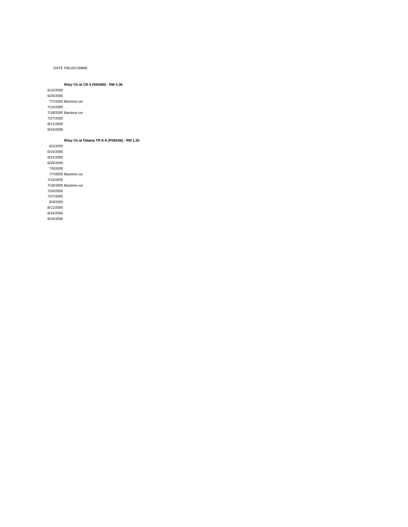**Riley Ck at CR 6 (500480) - RM 4.36** 6/15/2005 6/29/2005 7/7/2005 Bacteria run 7/13/2005 7/18/2005 Bacteria run 7/27/2005 8/11/2005 8/24/2005 **Riley Ck at Ottawa TR K-6 (P05K66) - RM 1.20** 6/1/2005 6/15/2005 6/21/2005 6/29/2005 7/5/2005 7/7/2005 Bacteria run 7/13/2005 7/18/2005 Bacteria run 7/20/2005 7/27/2005 8/3/2005 8/11/2005 8/15/2005 8/24/2005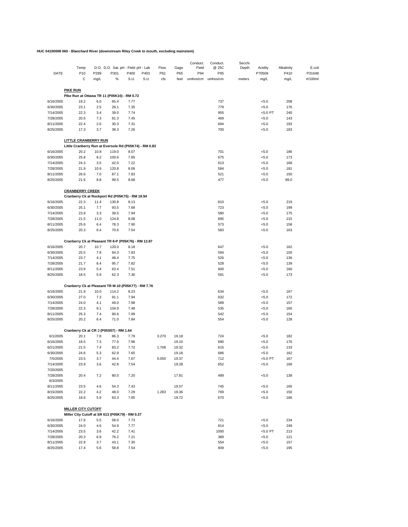# **HUC 04100008 060 - Blanchard River (downstream Riley Creek to mouth, excluding mainstem)**

|                        |                                                        |             |                                    |              |      |       |       | Conduct. | Conduct.   | Secchi |                    |            |         |
|------------------------|--------------------------------------------------------|-------------|------------------------------------|--------------|------|-------|-------|----------|------------|--------|--------------------|------------|---------|
|                        | Temp                                                   |             | D.O. D.O. Sat. pH - Field pH - Lab |              |      | Flow  | Gage  | Field    | @ 25C      | Depth  | Acidity            | Alkalinity | E.coli  |
| DATE                   | P <sub>10</sub>                                        | P299        | P301                               | P400         | P403 | P61   | P65   | P94      | P95        |        | P70508             | P410       | P31648  |
|                        | C                                                      | mg/L        | %                                  | S.U.         | S.U. | cfs   | feet  | umhos/cm | umhos/cm   | meters | mg/L               | mg/L       | #/100ml |
|                        | <b>PIKE RUN</b>                                        |             |                                    |              |      |       |       |          |            |        |                    |            |         |
|                        | Pike Run at Ottawa TR 11 (P05K10) - RM 0.72            |             |                                    |              |      |       |       |          |            |        |                    |            |         |
| 6/16/2005              | 19.2                                                   | 6.0         | 65.4                               | 7.77         |      |       |       |          | 737        |        | < 5.0              | 208        |         |
| 6/30/2005              | 23.1                                                   | 2.5         | 29.1                               | 7.35         |      |       |       |          | 779        |        | < 5.0              | 176        |         |
| 7/14/2005              | 22.3                                                   | 3.4         | 39.0                               | 7.74         |      |       |       |          | 955        |        | $<5.0$ PT          | 240        |         |
| 7/28/2005              | 20.5                                                   | 7.3         | 81.3                               | 7.45         |      |       |       |          | 469        |        | < 5.0              | 143        |         |
| 8/11/2005              | 22.4                                                   | 2.6         | 30.3                               | 7.31         |      |       |       |          | 694        |        | < 5.0              | 193        |         |
| 8/25/2005              | 17.3                                                   | 3.7         | 38.3                               | 7.26         |      |       |       |          | 700        |        | < 5.0              | 183        |         |
|                        | <b>LITTLE CRANBERRY RUN</b>                            |             |                                    |              |      |       |       |          |            |        |                    |            |         |
|                        | Little Cranberry Run at Eversole Rd (P05K74) - RM 0.83 |             |                                    |              |      |       |       |          |            |        |                    |            |         |
| 6/16/2005              | 20.2                                                   | 10.8        | 119.0                              | 8.07         |      |       |       |          | 701        |        | < 5.0              | 186        |         |
| 6/30/2005              | 25.8                                                   | 8.2         | 100.6                              | 7.85         |      |       |       |          | 675        |        | < 5.0              | 173        |         |
| 7/14/2005<br>7/28/2005 | 24.3<br>21.9                                           | 3.5<br>10.6 | 42.0<br>120.8                      | 7.22<br>8.06 |      |       |       |          | 613<br>584 |        | < 5.0<br>< 5.0     | 168<br>181 |         |
| 8/11/2005              | 26.6                                                   | 7.0         | 87.1                               | 7.83         |      |       |       |          | 521        |        | < 5.0              | 150        |         |
| 8/25/2005              | 21.6                                                   | 8.8         | 99.5                               | 8.68         |      |       |       |          | 477        |        | < 5.0              | 89.0       |         |
|                        | <b>CRANBERRY CREEK</b>                                 |             |                                    |              |      |       |       |          |            |        |                    |            |         |
|                        | Cranberry Ck at Rockport Rd (P05K75) - RM 19.94        |             |                                    |              |      |       |       |          |            |        |                    |            |         |
| 6/16/2005              | 22.3                                                   | 11.4        | 130.8                              | 8.13         |      |       |       |          | 810        |        | < 5.0              | 219        |         |
| 6/30/2005              | 25.1                                                   | 7.7         | 93.5                               | 7.68         |      |       |       |          | 723        |        | < 5.0              | 199        |         |
| 7/14/2005              | 23.9                                                   | 3.3         | 39.5                               | 7.94         |      |       |       |          | 580        |        | < 5.0              | 175        |         |
| 7/28/2005              | 21.5                                                   | 11.0        | 124.8                              | 8.08         |      |       |       |          | 895        |        | < 5.0              | 215        |         |
| 8/11/2005              | 25.6                                                   | 6.4         | 78.3                               | 7.90         |      |       |       |          | 573        |        | < 5.0              | 158        |         |
| 8/25/2005              | 20.3                                                   | 6.4         | 70.6                               | 7.54         |      |       |       |          | 583        |        | < 5.0              | 163        |         |
|                        | Cranberry Ck at Pleasant TR 8-P (P05K76) - RM 12.87    |             |                                    |              |      |       |       |          |            |        |                    |            |         |
| 6/16/2005              | 20.7                                                   | 10.7        | 120.0                              | 8.18         |      |       |       |          | 647        |        | < 5.0              | 162        |         |
| 6/30/2005              | 25.5                                                   | 7.8         | 94.3                               | 7.83         |      |       |       |          | 594        |        | < 5.0              | 150        |         |
| 7/14/2005              | 23.7                                                   | 4.1         | 48.4                               | 7.75         |      |       |       |          | 526        |        | < 5.0              | 136        |         |
| 7/28/2005              | 21.7                                                   | 8.4         | 95.7                               | 7.82         |      |       |       |          | 528        |        | < 5.0              | 139        |         |
| 8/11/2005              | 23.9                                                   | 5.4         | 63.4                               | 7.51         |      |       |       |          | 600        |        | < 5.0              | 160        |         |
| 8/25/2005              | 18.5                                                   | 5.9         | 62.3                               | 7.36         |      |       |       |          | 591        |        | < 5.0              | 173        |         |
|                        | Cranberry Ck at Pleasant TR M-10 (P05K77) - RM 7.76    |             |                                    |              |      |       |       |          |            |        |                    |            |         |
| 6/16/2005              | 21.9                                                   | 10.0        | 114.2                              | 8.23         |      |       |       |          | 634        |        | < 5.0              | 167        |         |
| 6/30/2005              | 27.0                                                   | 7.3         | 91.1                               | 7.94         |      |       |       |          | 632        |        | < 5.0              | 172        |         |
| 7/14/2005              | 24.0                                                   | 4.1         | 49.0                               | 7.98         |      |       |       |          | 589        |        | < 5.0              | 157        |         |
| 7/28/2005              | 22.3                                                   | 9.1         | 104.9                              | 7.48         |      |       |       |          | 535        |        | < 5.0              | 165        |         |
| 8/11/2005              | 25.3                                                   | 7.4         | 90.6                               | 7.99         |      |       |       |          | 542        |        | < 5.0              | 154        |         |
| 8/25/2005              | 20.2                                                   | 6.4         | 71.0                               | 7.84         |      |       |       |          | 554        |        | < 5.0              | 128        |         |
|                        | Cranberry Ck at CR J (P05S07) - RM 1.64                |             |                                    |              |      |       |       |          |            |        |                    |            |         |
| 6/1/2005               | 20.1                                                   | 7.8         | 86.3                               | 7.79         |      | 3.270 | 19.18 |          | 724        |        | < 5.0              | 182        |         |
| 6/16/2005              | 18.5                                                   | 7.3         | 77.9                               | 7.96         |      |       | 19.10 |          | 690        |        | < 5.0              | 176        |         |
| 6/21/2005              | 21.5                                                   | 7.4         | 83.2                               | 7.72         |      | 1.708 | 19.32 |          | 615        |        | < 5.0              | 133        |         |
| 6/30/2005              | 24.6                                                   | 5.3         | 62.9                               | 7.65         |      |       | 19.18 |          | 686        |        | < 5.0              | 162        |         |
| 7/5/2005               | 23.5                                                   | 3.7         | 44.4                               | 7.67         |      | 0.050 | 19.37 |          | 712        |        | <5.0 PT            | 167        |         |
| 7/14/2005              | 23.9                                                   | 3.6         | 42.8                               | 7.54         |      |       | 19.28 |          | 652        |        | < 5.0              | 169        |         |
| 7/20/2005              |                                                        |             |                                    |              |      |       |       |          |            |        |                    |            |         |
| 7/28/2005              | 20.4                                                   | 7.2         | 80.0                               | 7.20         |      |       | 17.81 |          | 489        |        | < 5.0              | 138        |         |
| 8/3/2005               |                                                        |             |                                    |              |      |       |       |          |            |        |                    |            |         |
| 8/11/2005              | 23.5                                                   | 4.6         | 54.3                               | 7.43         |      |       | 19.57 |          | 745        |        | < 5.0              | 165        |         |
| 8/15/2005              | 22.2                                                   | 4.2         | 48.0                               | 7.29         |      | 1.283 | 19.36 |          | 769        |        | < 5.0              | 150        |         |
| 8/25/2005              | 18.6                                                   | 5.9         | 63.3                               | 7.65         |      |       | 19.72 |          | 670        |        | < 5.0              | 166        |         |
|                        | <b>MILLER CITY CUTOFF</b>                              |             |                                    |              |      |       |       |          |            |        |                    |            |         |
|                        | Miller City Cutoff at SR 613 (P05K79) - RM 0.37        |             |                                    |              |      |       |       |          |            |        |                    |            |         |
| 6/16/2005              | 17.6                                                   | 5.5         | 58.0                               | 7.73         |      |       |       |          | 721        |        | < 5.0              | 234        |         |
| 6/30/2005              | 24.0                                                   | 4.6         | 54.9                               | 7.77         |      |       |       |          | 814        |        | < 5.0<br>$<5.0$ PT | 249        |         |
| 7/14/2005              | 23.5                                                   | 3.6         | 42.2                               | 7.41         |      |       |       |          | 1000       |        |                    | 213        |         |
| 7/28/2005              | 20.3                                                   | 6.9         | 76.2                               | 7.21         |      |       |       |          | 389        |        | < 5.0              | 121        |         |
| 8/11/2005<br>8/25/2005 | 22.9<br>17.4                                           | 3.7<br>5.6  | 43.1<br>58.8                       | 7.30<br>7.54 |      |       |       |          | 554<br>849 |        | < 5.0<br>< 5.0     | 157<br>195 |         |
|                        |                                                        |             |                                    |              |      |       |       |          |            |        |                    |            |         |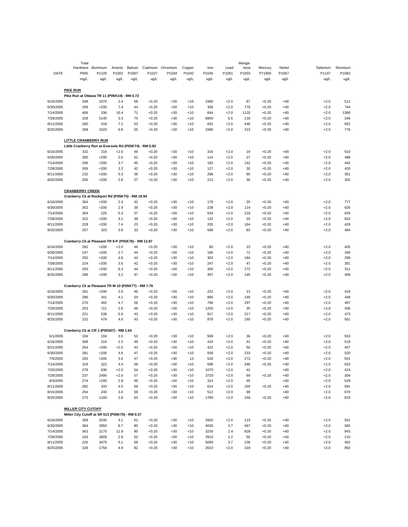|                        | Total                                                          |              |             |          |                 |                  |              |              |            | Manga-     |                 |            |            |            |
|------------------------|----------------------------------------------------------------|--------------|-------------|----------|-----------------|------------------|--------------|--------------|------------|------------|-----------------|------------|------------|------------|
|                        | Hardness                                                       | Aluminum     | Arsenic     | Barium   |                 | Cadmium Chromium | Copper       | Iron         | Lead       | nese       | Mercury         | Nickel     | Selenium   | Strontium  |
| DATE                   | P900                                                           | P1105        | P1002       | P1007    | P1027           | P1034            | P1042        | P1045        | P1051      | P1055      | P71900          | P1067      | P1147      | P1082      |
|                        | mg/L                                                           | ug/L         | ug/L        | ug/L     | ug/L            | ug/L             | ug/L         | ug/L         | ug/L       | ug/L       | ug/L            | ug/L       | ug/L       | ug/L       |
|                        |                                                                |              |             |          |                 |                  |              |              |            |            |                 |            |            |            |
|                        | <b>PIKE RUN</b><br>Pike Run at Ottawa TR 11 (P05K10) - RM 0.72 |              |             |          |                 |                  |              |              |            |            |                 |            |            |            |
|                        | 348                                                            | 1070         | 2.4         |          |                 | $30$             | < 10         | 1580         | 2.0        | 87         | <0.20           | <40        | 2.0        | 511        |
| 6/16/2005<br>6/30/2005 | 299                                                            | $200$        | 7.4         | 58<br>44 | <0.20<br><0.20  | $30$             | < 10         | 356          | 2.0        | 779        | < 0.20          | <40        | 2.0        | 744        |
| 7/14/2005              | 406                                                            | 336          | 10.4        | 71       | < 0.20          | $30$             | < 10         | 644          | 2.0        | 1120       | <0.20           | <40        | 2.0        | 1380       |
| 7/28/2005              | 228                                                            | 5140         | 3.3         | 75       | <0.20           | $30$             | < 10         | 6800         | 5.5        | 118        | <0.20           | <40        | 2.0        | 246        |
| 8/11/2005              | 260                                                            | 418          | 7.1         | 53       | <0.20           | $30$             | < 10         | 691          | 2.0        | 446        | < 0.20          | <40        | 2.0        | 652        |
| 8/25/2005              | 268                                                            | 1020         | 6.6         | 55       | <0.20           | $30$             | < 10         | 1580         | 2.0        | 315        | <0.20           | <40        | 2.0        | 776        |
|                        |                                                                |              |             |          |                 |                  |              |              |            |            |                 |            |            |            |
|                        | <b>LITTLE CRANBERRY RUN</b>                                    |              |             |          |                 |                  |              |              |            |            |                 |            |            |            |
|                        | Little Cranberry Run at Eversole Rd (P05K74) - RM 0.83         |              |             |          |                 |                  |              |              |            |            |                 |            |            |            |
| 6/16/2005              | 332                                                            | 216          | 2.0         | 48       | <0.20           | $30$             | < 10         | 316          | 2.0        | 19         | < 0.20          | <40        | 2.0        | 510        |
| 6/30/2005              | 300                                                            | 200          | 2.0         | 52       | <0.20           | $30$             | < 10         | 114          | 2.0        | 27         | <0.20           | <40        | 2.0        | 488        |
| 7/14/2005              | 296                                                            | <200         | 3.7         | 45       | <0.20           | $30$             | < 10         | 183          | 2.0        | 142        | < 0.20          | <40        | 2.0        | 442        |
| 7/28/2005              | 269                                                            | $200$        | 3.2         | 42       | <0.20           | $30$             | < 10         | 127          | 2.0        | 30         | < 0.20          | <40        | 2.0        | 420        |
| 8/11/2005              | 232                                                            | 200          | 5.3         | 36       | <0.20           | $30$             | < 10         | 296          | 2.0        | 90         | <0.20           | <40        | 2.0        | 351        |
| 8/25/2005              | 205                                                            | 200          | 2.8         | 27       | < 0.20          | $30$             | < 10         | 213          | 2.0        | 36         | <0.20           | <40        | 2.0        | 302        |
|                        |                                                                |              |             |          |                 |                  |              |              |            |            |                 |            |            |            |
|                        | <b>CRANBERRY CREEK</b>                                         |              |             |          |                 |                  |              |              |            |            |                 |            |            |            |
|                        | Cranberry Ck at Rockport Rd (P05K75) - RM 19.94                |              |             |          |                 |                  |              |              |            |            |                 |            |            |            |
| 6/16/2005              | 364                                                            | 200          | 2.4         | 42       | <0.20           | $30$             | < 10         | 179          | 2.0        | 25         | <0.20           | <40        | 2.0        | 777        |
| 6/30/2005              | 302                                                            | $200$        | 2.9         | 39       | <0.20           | $30$             | <10          | 228          | 2.0        | 114        | < 0.20          | <40        | 2.0        | 626        |
| 7/14/2005<br>7/28/2005 | 304<br>322                                                     | 225<br>$200$ | 5.3<br>4.1  | 37<br>38 | <0.20<br><0.20  | $30$<br>$30$     | < 10<br>< 10 | 534<br>132   | 2.0<br>2.0 | 218<br>20  | < 0.20<br><0.20 | <40<br><40 | 2.0<br>2.0 | 629<br>832 |
| 8/11/2005              | 228                                                            | $200$        | 7.4         | 23       | < 0.20          | $30$             | <10          | 205          | 2.0        | 164        | < 0.20          | <40        | 2.0        | 429        |
| 8/25/2005              | 257                                                            | 323          | 3.8         | 33       | <0.20           | $30$             | < 10         | 568          | 2.0        | 83         | <0.20           | <40        | 2.0        | 484        |
|                        |                                                                |              |             |          |                 |                  |              |              |            |            |                 |            |            |            |
|                        | Cranberry Ck at Pleasant TR 8-P (P05K76) - RM 12.87            |              |             |          |                 |                  |              |              |            |            |                 |            |            |            |
| 6/16/2005              | 292                                                            | 200          | 2.0         | 46       | <0.20           | $30$             | < 10         | 80           | 2.0        | 10         | <0.20           | <40        | 2.0        | 405        |
| 6/30/2005              | 247                                                            | 200          | 2.7         | 44       | < 0.20          | $30$             | < 10         | 185          | 2.0        | 72         | < 0.20          | <40        | 2.0        | 340        |
| 7/14/2005              | 250                                                            | 200          | 4.8         | 44       | <0.20           | $30$             | < 10         | 303          | 2.0        | 184        | < 0.20          | <40        | 2.0        | 299        |
| 7/28/2005              | 224                                                            | $200$        | 3.6         | 42       | <0.20           | $30$             | < 10         | 247          | 2.0        | 47         | <0.20           | <40        | 2.0        | 301        |
| 8/11/2005              | 250                                                            | 200          | 6.3         | 44       | <0.20           | $30$             | < 10         | 356          | 2.0        | 172        | < 0.20          | <40        | 2.0        | 311        |
| 8/25/2005              | 288                                                            | 200          | 3.2         | 47       | <0.20           | $30$             | < 10         | 397          | 2.0        | 145        | < 0.20          | <40        | 2.0        | 408        |
|                        |                                                                |              |             |          |                 |                  |              |              |            |            |                 |            |            |            |
|                        | Cranberry Ck at Pleasant TR M-10 (P05K77) - RM 7.76            |              |             |          |                 |                  |              |              |            |            |                 |            |            |            |
| 6/16/2005              | 281                                                            | $200$        | 2.0         | 46       | <0.20           | $30$             | < 10         | 222          | 2.0        | 13         | <0.20           | <40        | 2.0        | 419        |
| 6/30/2005              | 286                                                            | 341          | 4.1         | 54       | <0.20           | $30$             | < 10         | 866          | 2.0        | 149        | < 0.20          | <40        | 2.0        | 448        |
| 7/14/2005              | 270                                                            | 402          | 4.7         | 56       | <0.20           | $30$             | < 10         | 799          | 2.0        | 297        | < 0.20          | <40        | 2.0        | 497        |
| 7/28/2005              | 253                                                            | 721          | 2.6         | 49       | <0.20           | $30$             | < 10         | 1250         | 2.0        | 35         | <0.20           | <40        | 2.0        | 306        |
| 8/11/2005              | 221                                                            | 538          | 5.9         | 43       | <0.20           | $30$             | < 10         | 917          | 2.0        | 217        | < 0.20          | <40        | 2.0        | 473        |
| 8/25/2005              | 232                                                            | 479          | 4.6         | 43       | <0.20           | $30$             | < 10         | 878          | 2.0        | 160        | < 0.20          | <40        | 2.0        | 501        |
|                        | Cranberry Ck at CR J (P05S07) - RM 1.64                        |              |             |          |                 |                  |              |              |            |            |                 |            |            |            |
| 6/1/2005               | 334                                                            | 316          | 2.0         | 53       | <0.20           | $30$             | < 10         | 569          | 2.0        | 36         | <0.20           | <40        | 2.0        | 553        |
| 6/16/2005              | 308                                                            | 219          | 2.3         | 49       | <0.20           | $30$             | < 10         | 419          | 2.0        | 41         | <0.20           | <40        | 2.0        | 519        |
| 6/21/2005              | 254                                                            | $200$        | 2.0         | 43       | <0.20           | $30$             | < 10         | 422          | 2.0        | 50         | < 0.20          | <40        | 2.0        | 457        |
| 6/30/2005              | 281                                                            | $200$        | 4.6         | 47       | <0.20           | $30$             | < 10         | 558          | 2.0        | 233        | <0.20           | <40        | 2.0        | 520        |
| 7/5/2005               | 293                                                            | 200          | 3.4         | 47       | <0.20           | $30$             | 13           | 518          | 2.0        | 272        | <0.20           | $<$ 40     | 2.0        | 551        |
| 7/14/2005              | 319                                                            | 322          | 4.4         | 58       | < 0.20          | $30$             | < 10         | 698          | 2.0        | 346        | < 0.20          | <40        | 2.0        | 633        |
| 7/20/2005              | 279                                                            | 636          | 2.0         | 54       | <0.20           | $30$             | < 10         | 1070         | 2.0        | 41         |                 | <40        | 2.0        | 424        |
| 7/28/2005              | 237                                                            | 2490         | 2.0         | 57       | < 0.20          | $30$             | < 10         | 3720         | 2.0        | 69         | <0.20           | <40        | 2.0        | 304        |
| 8/3/2005               | 274                                                            | $<$ 200      | 2.9         | 49       | <0.20           | $30$             | < 10         | 314          | 2.0        | 45         |                 | <40        | 2.0        | 529        |
| 8/11/2005              | 282                                                            | 333          | 4.0         | 59       | <0.20           | $30$             | < 10         | 614          | 2.0        | 104        | <0.20           | <40        | 2.0        | 581        |
| 8/15/2005              | 254                                                            | 240          | 3.6         | 58       | <0.20           | $30$             | < 10         | 512          | 2.0        | 98         |                 | <40        | 2.0        | 670        |
| 8/25/2005              | 273                                                            | 1100         | 2.8         | 63       | <0.20           | $30$             | < 10         | 1780         | 2.0        | 159        | <0.20           | <40        | 2.0        | 623        |
|                        |                                                                |              |             |          |                 |                  |              |              |            |            |                 |            |            |            |
|                        | <b>MILLER CITY CUTOFF</b>                                      |              |             |          |                 |                  |              |              |            |            |                 |            |            |            |
|                        | Miller City Cutoff at SR 613 (P05K79) - RM 0.37                |              |             |          |                 |                  |              |              |            |            |                 |            |            |            |
| 6/16/2005              | 358<br>364                                                     | 2030         | 4.1         | 61       | < 0.20          | $30$             | < 10<br>< 10 | 2920         | 2.0<br>2.7 | 115        | < 0.20          | <40<br><40 | 2.0        | 501        |
| 6/30/2005<br>7/14/2005 | 363                                                            | 2850<br>2170 | 8.7<br>11.9 | 80<br>90 | <0.20<br>< 0.20 | $30$<br>$30$     | < 10         | 4030<br>3230 | 2.4        | 467<br>828 | <0.20<br><0.20  | <40        | 2.0<br>2.0 | 565<br>943 |
| 7/28/2005              | 193                                                            | 3000         | 2.9         | 52       | <0.20           | $30$             | < 10         | 3910         | 2.2        | 56         | <0.20           | <40        | 2.0        | 210        |
| 8/11/2005              | 226                                                            | 3470         | 5.1         | 68       | <0.20           | $30$             | < 10         | 5090         | 3.7        | 236        | <0.20           | <40        | 2.0        | 462        |
| 8/25/2005              | 328                                                            | 1750         | 4.9         | 82       | < 0.20          | $30$             | < 10         | 2610         | 2.0        | 319        | < 0.20          | <40        | 2.0        | 892        |
|                        |                                                                |              |             |          |                 |                  |              |              |            |            |                 |            |            |            |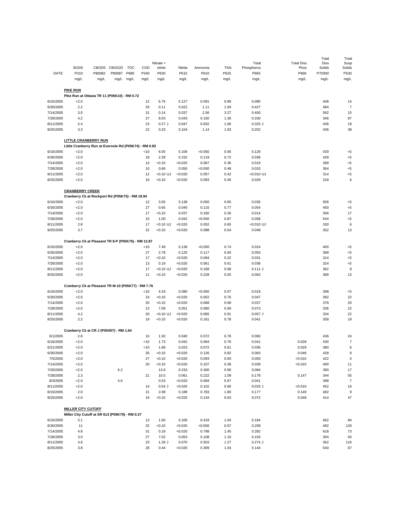|           |                                                                              |        |              |           |        |                      |         |         |            |                     |                           | Total          | Total            |
|-----------|------------------------------------------------------------------------------|--------|--------------|-----------|--------|----------------------|---------|---------|------------|---------------------|---------------------------|----------------|------------------|
|           | BOD <sub>5</sub>                                                             |        | CBOD5 CBOD20 | TOC       | COD    | Nitrate +<br>nitrite | Nitrite | Ammonia | <b>TKN</b> | Total<br>Phosphorus | <b>Total Diss</b><br>Phos | Diss<br>Solids | Susp<br>Solids   |
| DATE      | P310                                                                         |        |              | P680      |        | P630                 | P615    | P610    | P625       | P665                | P666                      | P70300         | P530             |
|           |                                                                              | P80082 | P80087       |           | P340   |                      |         |         |            |                     |                           |                |                  |
|           | mg/L                                                                         | mg/L   |              | mg/L mg/L | mg/L   | mg/L                 | mg/L    | mg/L    | mg/L       | mg/L                | mg/L                      | mg/L           | mg/L             |
|           | <b>PIKE RUN</b><br>Pike Run at Ottawa TR 11 (P05K10) - RM 0.72               |        |              |           |        |                      |         |         |            |                     |                           |                |                  |
|           |                                                                              |        |              |           |        |                      |         |         |            |                     |                           |                |                  |
| 6/16/2005 | 2.0                                                                          |        |              |           | 12     | 6.76                 | 0.127   | 0.091   | 0.89       | 0.085               |                           | 448            | 14               |
| 6/30/2005 | 2.2                                                                          |        |              |           | 29     | 0.11                 | 0.022   | 1.11    | 1.94       | 0.427               |                           | 484            | $\overline{7}$   |
| 7/14/2005 | 3.0                                                                          |        |              |           | 31     | 0.14                 | 0.037   | 2.56    | 3.27       | 0.400               |                           | 592            | 15               |
| 7/28/2005 | 4.2                                                                          |        |              |           | 27     | 8.03                 | 0.043   | 0.150   | 1.36       | 0.330               |                           | 346            | 87               |
| 8/11/2005 | 2.4                                                                          |        |              |           | 23     | $0.27$ J             | 0.047   | 0.832   | 1.66       | $0.320$ J           |                           | 436            | 18               |
| 8/25/2005 | 3.3                                                                          |        |              |           | 22     | 0.23                 | 0.104   | 1.14    | 1.93       | 0.202               |                           | 436            | 38               |
|           | <b>LITTLE CRANBERRY RUN</b>                                                  |        |              |           |        |                      |         |         |            |                     |                           |                |                  |
|           | Little Cranberry Run at Eversole Rd (P05K74) - RM 0.83                       |        |              |           |        |                      |         |         |            |                     |                           |                |                  |
| 6/16/2005 | 2.0                                                                          |        |              |           | <10    | 6.05                 | 0.106   | < 0.050 | 0.56       | 0.129               |                           | 430            | $<$ 5            |
| 6/30/2005 | 2.0                                                                          |        |              |           | 18     | 2.39                 | 0.232   | 0.119   | 0.72       | 0.036               |                           | 428            | $5$              |
| 7/14/2005 | 2.0                                                                          |        |              |           | 14     | < 0.10               | < 0.020 | 0.067   | 0.36       | 0.019               |                           | 368            | $5$              |
| 7/28/2005 | 2.0                                                                          |        |              |           | 10     | 0.66                 | 0.050   | < 0.050 | 0.48       | 0.033               |                           | 364            | $<$ 5            |
| 8/11/2005 | 2.0                                                                          |        |              |           | 12     | $< 0.10$ UJ          | <0.020  | 0.057   | 0.42       | <0.010 UJ           |                           | 314            | $5$              |
| 8/25/2005 | 2.0                                                                          |        |              |           | 16     | < 0.10               | <0.020  | 0.093   | 0.45       | 0.029               |                           | 318            | 6                |
|           | <b>CRANBERRY CREEK</b>                                                       |        |              |           |        |                      |         |         |            |                     |                           |                |                  |
|           | Cranberry Ck at Rockport Rd (P05K75) - RM 19.94                              |        |              |           |        |                      |         |         |            |                     |                           |                |                  |
| 6/16/2005 | 2.0                                                                          |        |              |           | 12     | 3.05                 | 0.138   | 0.050   | 0.65       | 0.035               |                           | 506            | $<$ 5            |
| 6/30/2005 | 2.0                                                                          |        |              |           | 27     | 0.65                 | 0.045   | 0.115   | 0.77       | 0.054               |                           | 450            | $5$              |
| 7/14/2005 | 2.0                                                                          |        |              |           | 17     | < 0.10               | 0.037   | 0.160   | 0.26       | 0.014               |                           | 356            | 17               |
| 7/28/2005 | 2.0                                                                          |        |              |           | 15     | 1.00                 | 0.042   | < 0.050 | 0.87       | 0.058               |                           | 544            | $5$              |
| 8/11/2005 | 2.8                                                                          |        |              |           | 17     | $<0.10$ UJ           | < 0.020 | 0.052   | 0.65       | <0.010 UJ           |                           | 330            | 6                |
| 8/25/2005 | 3.7                                                                          |        |              |           | 22     | < 0.10               | <0.020  | 0.088   | 0.54       | 0.048               |                           | 352            | 13               |
|           |                                                                              |        |              |           |        |                      |         |         |            |                     |                           |                |                  |
|           | Cranberry Ck at Pleasant TR 8-P (P05K76) - RM 12.87                          |        |              |           |        |                      |         |         |            |                     |                           |                |                  |
| 6/16/2005 | 2.0                                                                          |        |              |           | $<$ 10 | 7.49                 | 0.138   | < 0.050 | 0.74       | 0.024               |                           | 400            | $<$ 5            |
| 6/30/2005 | 2.0                                                                          |        |              |           | 27     | 2.78                 | 0.125   | 0.117   | 0.94       | 0.053               |                           | 368            | <5               |
| 7/14/2005 | 2.0                                                                          |        |              |           | 17     | < 0.10               | < 0.020 | 0.094   | 0.22       | 0.031               |                           | 314            | $5$              |
| 7/28/2005 | 2.0                                                                          |        |              |           | 13     | 0.19                 | <0.020  | 0.061   | 0.61       | 0.036               |                           | 324            | $<$ 5            |
| 8/11/2005 | 2.0                                                                          |        |              |           | 17     | $<0.10$ UJ           | < 0.020 | 0.168   | 0.68       | 0.111 J             |                           | 362            | 8                |
| 8/25/2005 | 2.0                                                                          |        |              |           | 11     | < 0.10               | < 0.020 | 0.228   | 0.55       | 0.062               |                           | 368            | 13               |
|           |                                                                              |        |              |           |        |                      |         |         |            |                     |                           |                |                  |
|           | Cranberry Ck at Pleasant TR M-10 (P05K77) - RM 7.76                          |        |              |           |        |                      |         |         |            |                     |                           |                |                  |
| 6/16/2005 | 2.0                                                                          |        |              |           | <10    | 4.33                 | 0.080   | < 0.050 | 0.57       | 0.019               |                           | 398            | $<$ 5            |
| 6/30/2005 | 2.0                                                                          |        |              |           | 24     | < 0.10               | <0.020  | 0.052   | 0.70       | 0.047               |                           | 392            | 22               |
| 7/14/2005 | 2.0                                                                          |        |              |           | 20     | < 0.10               | <0.020  | 0.068   | 0.68       | 0.037               |                           | 378            | 20               |
| 7/28/2005 | 2.0                                                                          |        |              |           | 13     | 7.09                 | 0.051   | 0.060   | 0.69       | 0.073               |                           | 336            | 22               |
| 8/11/2005 | 4.2                                                                          |        |              |           | 20     | $<0.10$ UJ           | < 0.020 | 0.065   | 0.91       | $0.057$ J           |                           | 334            | 22               |
| 8/25/2005 | 2.2                                                                          |        |              |           | 19     | < 0.10               | <0.020  | 0.161   | 0.78       | 0.041               |                           | 358            | 19               |
|           | Cranberry Ck at CR J (P05S07) - RM 1.64                                      |        |              |           |        |                      |         |         |            |                     |                           |                |                  |
| 6/1/2005  | 2.8                                                                          |        |              |           | 10     | 1.50                 | 0.040   | 0.072   | 0.78       | 0.060               |                           | 436            | 24               |
| 6/16/2005 | 2.0                                                                          |        |              |           | <10    | 1.73                 | 0.042   | 0.064   | 0.76       | 0.041               | 0.028                     | 430            | $\overline{7}$   |
| 6/21/2005 | 2.0                                                                          |        |              |           | $<$ 10 | 1.68                 | 0.023   | 0.072   | 0.61       | 0.036               | 0.029                     | 380            | 6                |
| 6/30/2005 | 2.0                                                                          |        |              |           | 35     | < 0.10               | <0.020  | 0.126   | 0.82       | 0.083               | 0.046                     | 428            | $\boldsymbol{9}$ |
| 7/5/2005  | 2.0                                                                          |        |              |           | 27     | <0.10                | <0.020  | 0.093   | 0.83       | 0.050               | < 0.010                   | 422            | 5                |
| 7/14/2005 | 2.0                                                                          |        |              |           | 20     | < 0.10               | <0.020  | 0.107   | 0.38       | 0.039               | < 0.010                   | 400            | 11               |
| 7/20/2005 | 2.0                                                                          |        | 6.2          |           |        | 13.6                 | 0.233   | 0.300   | 0.90       | 0.084               |                           | 390            | $17$             |
| 7/28/2005 | 2.3                                                                          |        |              |           | 21     | 10.5                 | 0.061   | 0.222   | 1.09       | 0.178               | 0.147                     | 344            | 55               |
| 8/3/2005  | 2.0                                                                          |        | 4.6          |           |        | 0.53                 | <0.020  | 0.094   | 0.67       | 0.041               |                           | 398            | $\overline{7}$   |
| 8/11/2005 | 2.0                                                                          |        |              |           | 14     | $0.54$ J             | <0.020  | 0.102   | 0.66       | 0.033J              | < 0.010                   | 452            | 16               |
| 8/15/2005 | 2.0                                                                          |        |              |           | 21     | 2.08                 | 0.188   | 0.783   | 1.80       | 0.177               | 0.149                     | 482            | 9                |
| 8/25/2005 | 2.0                                                                          |        |              |           | 16     | < 0.10               | < 0.020 | 0.134   | 0.63       | 0.072               | 0.048                     | 414            | 47               |
|           |                                                                              |        |              |           |        |                      |         |         |            |                     |                           |                |                  |
|           | <b>MILLER CITY CUTOFF</b><br>Miller City Cutoff at SR 613 (P05K79) - RM 0.37 |        |              |           |        |                      |         |         |            |                     |                           |                |                  |
| 6/16/2005 | 3.1                                                                          |        |              |           | 12     | 1.60                 | 0.106   | 0.419   | 1.04       | 0.184               |                           | 462            | 84               |
| 6/30/2005 | 11                                                                           |        |              |           | 32     | < 0.10               | < 0.020 | < 0.050 | 0.67       | 0.209               |                           | 492            | 129              |
| 7/14/2005 | 4.8                                                                          |        |              |           | 31     | 0.18                 | < 0.020 | 0.798   | 1.45       | 0.282               |                           | 618            | 73               |
| 7/28/2005 | 3.0                                                                          |        |              |           | 27     | 7.02                 | 0.053   | 0.108   | 1.10       | 0.163               |                           | 304            | 50               |
| 8/11/2005 | 4.6                                                                          |        |              |           | 23     | $1.28$ J             | 0.070   | 0.503   | 1.27       | $0.274$ J           |                           | 362            | 116              |
| 8/25/2005 | 3.8                                                                          |        |              |           | 28     | 0.44                 | < 0.020 | 0.309   | 1.04       | 0.144               |                           | 540            | 67               |
|           |                                                                              |        |              |           |        |                      |         |         |            |                     |                           |                |                  |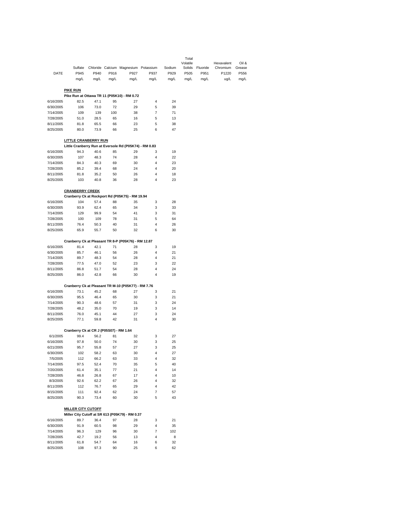|                        |                                                             |              |          |                                      |                         |          | Total              |          |                        |                 |
|------------------------|-------------------------------------------------------------|--------------|----------|--------------------------------------|-------------------------|----------|--------------------|----------|------------------------|-----------------|
|                        | Sulfate                                                     |              |          | Chloride Calcium Magnesium Potassium |                         | Sodium   | Volatile<br>Solids | Fluoride | Hexavalent<br>Chromium | Oil &<br>Grease |
| DATE                   | P945                                                        | P940         | P916     | P927                                 | P937                    | P929     | P505               | P951     | P1220                  | P556            |
|                        | mg/L                                                        | mg/L         | mg/L     | mg/L                                 | mg/L                    | mg/L     | mg/L               | mg/L     | ug/L                   | mg/L            |
|                        |                                                             |              |          |                                      |                         |          |                    |          |                        |                 |
|                        | <b>PIKE RUN</b>                                             |              |          |                                      |                         |          |                    |          |                        |                 |
|                        | Pike Run at Ottawa TR 11 (P05K10) - RM 0.72                 |              |          |                                      |                         |          |                    |          |                        |                 |
| 6/16/2005<br>6/30/2005 | 82.5<br>106                                                 | 47.1         | 95<br>72 | 27<br>29                             | 4<br>5                  | 24<br>39 |                    |          |                        |                 |
| 7/14/2005              | 109                                                         | 73.0<br>139  | 100      | 38                                   | $\overline{7}$          | 71       |                    |          |                        |                 |
| 7/28/2005              | 51.0                                                        | 28.5         | 65       | 16                                   | 5                       | 13       |                    |          |                        |                 |
| 8/11/2005              | 81.8                                                        | 65.5         | 66       | 23                                   | 5                       | 38       |                    |          |                        |                 |
| 8/25/2005              | 80.0                                                        | 73.9         | 66       | 25                                   | 6                       | 47       |                    |          |                        |                 |
|                        |                                                             |              |          |                                      |                         |          |                    |          |                        |                 |
|                        | <b>LITTLE CRANBERRY RUN</b>                                 |              |          |                                      |                         |          |                    |          |                        |                 |
|                        | Little Cranberry Run at Eversole Rd (P05K74) - RM 0.83      |              |          |                                      |                         |          |                    |          |                        |                 |
| 6/16/2005              | 94.3                                                        | 40.6         | 85       | 29                                   | 3                       | 19       |                    |          |                        |                 |
| 6/30/2005              | 107                                                         | 48.3         | 74       | 28                                   | 4                       | 22       |                    |          |                        |                 |
| 7/14/2005              | 84.3                                                        | 40.3         | 69       | 30                                   | 4                       | 23       |                    |          |                        |                 |
| 7/28/2005<br>8/11/2005 | 85.2<br>81.8                                                | 39.4<br>35.2 | 68<br>50 | 24<br>26                             | 4<br>4                  | 20<br>18 |                    |          |                        |                 |
| 8/25/2005              | 103                                                         | 40.8         | 36       | 28                                   | $\overline{4}$          | 23       |                    |          |                        |                 |
|                        |                                                             |              |          |                                      |                         |          |                    |          |                        |                 |
|                        | <b>CRANBERRY CREEK</b>                                      |              |          |                                      |                         |          |                    |          |                        |                 |
|                        | Cranberry Ck at Rockport Rd (P05K75) - RM 19.94             |              |          |                                      |                         |          |                    |          |                        |                 |
| 6/16/2005              | 104                                                         | 57.4         | 88       | 35                                   | 3                       | 28       |                    |          |                        |                 |
| 6/30/2005              | 93.9                                                        | 62.4         | 65       | 34                                   | 3                       | 33       |                    |          |                        |                 |
| 7/14/2005              | 129                                                         | 99.9         | 54       | 41                                   | 3                       | 31       |                    |          |                        |                 |
| 7/28/2005              | 100                                                         | 109          | 78       | 31                                   | 5                       | 64       |                    |          |                        |                 |
| 8/11/2005              | 76.4                                                        | 50.3         | 40       | 31                                   | 4                       | 26       |                    |          |                        |                 |
| 8/25/2005              | 65.9                                                        | 55.7         | 50       | 32                                   | 6                       | 30       |                    |          |                        |                 |
|                        | Cranberry Ck at Pleasant TR 8-P (P05K76) - RM 12.87         |              |          |                                      |                         |          |                    |          |                        |                 |
| 6/16/2005              | 81.4                                                        | 42.1         | 71       | 28                                   | 3                       | 19       |                    |          |                        |                 |
| 6/30/2005              | 85.7                                                        | 46.1         | 56       | 26                                   | 4                       | 21       |                    |          |                        |                 |
| 7/14/2005              | 89.7                                                        | 48.3         | 54       | 28                                   | 4                       | 21       |                    |          |                        |                 |
| 7/28/2005              | 77.5                                                        | 47.0         | 52       | 23                                   | 3                       | 22       |                    |          |                        |                 |
| 8/11/2005              | 86.8                                                        | 51.7         | 54       | 28                                   | $\overline{\mathbf{4}}$ | 24       |                    |          |                        |                 |
| 8/25/2005              | 86.0                                                        | 42.8         | 66       | 30                                   | 4                       | 19       |                    |          |                        |                 |
|                        |                                                             |              |          |                                      |                         |          |                    |          |                        |                 |
| 6/16/2005              | Cranberry Ck at Pleasant TR M-10 (P05K77) - RM 7.76<br>73.1 | 45.2         | 68       | 27                                   | 3                       | 21       |                    |          |                        |                 |
| 6/30/2005              | 95.5                                                        | 46.4         | 65       | 30                                   | 3                       | 21       |                    |          |                        |                 |
| 7/14/2005              | 90.3                                                        | 48.6         | 57       | 31                                   | 3                       | 24       |                    |          |                        |                 |
| 7/28/2005              | 48.2                                                        | 35.0         | 70       | 19                                   | 3                       | 14       |                    |          |                        |                 |
| 8/11/2005              | 76.0                                                        | 45.1         | 44       | 27                                   | 3                       | 24       |                    |          |                        |                 |
| 8/25/2005              | 77.1                                                        | 59.8         | 42       | 31                                   | $\overline{\mathbf{4}}$ | 30       |                    |          |                        |                 |
|                        |                                                             |              |          |                                      |                         |          |                    |          |                        |                 |
|                        | Cranberry Ck at CR J (P05S07) - RM 1.64                     |              |          |                                      |                         |          |                    |          |                        |                 |
| 6/1/2005               | 99.4                                                        | 56.2         | 81       | 32                                   | 3                       | 27       |                    |          |                        |                 |
| 6/16/2005              | 97.8                                                        | 50.0         | 74       | 30                                   | 3                       | 25       |                    |          |                        |                 |
| 6/21/2005              | 95.7                                                        | 55.8         | 57       | 27                                   | 3<br>4                  | 25<br>27 |                    |          |                        |                 |
| 6/30/2005<br>7/5/2005  | 102<br>112                                                  | 58.2<br>66.2 | 63<br>63 | 30<br>33                             | 4                       | 32       |                    |          |                        |                 |
| 7/14/2005              | 97.5                                                        | 52.4         | 70       | 35                                   | 5                       | 40       |                    |          |                        |                 |
| 7/20/2005              | 61.4                                                        | 35.1         | 77       | 21                                   | 4                       | 14       |                    |          |                        |                 |
| 7/28/2005              | 46.8                                                        | 26.8         | 67       | 17                                   | 4                       | 10       |                    |          |                        |                 |
| 8/3/2005               | 92.6                                                        | 62.2         | 67       | 26                                   | 4                       | 32       |                    |          |                        |                 |
| 8/11/2005              | 112                                                         | 76.7         | 65       | 29                                   | 4                       | 42       |                    |          |                        |                 |
| 8/15/2005              | 111                                                         | 92.4         | 62       | 24                                   | 7                       | 57       |                    |          |                        |                 |
| 8/25/2005              | 90.3                                                        | 73.4         | 60       | 30                                   | 5                       | 43       |                    |          |                        |                 |
|                        |                                                             |              |          |                                      |                         |          |                    |          |                        |                 |
|                        | <b>MILLER CITY CUTOFF</b>                                   |              |          |                                      |                         |          |                    |          |                        |                 |
| 6/16/2005              | Miller City Cutoff at SR 613 (P05K79) - RM 0.37<br>89.7     | 36.4         | 97       | 28                                   |                         | 21       |                    |          |                        |                 |
| 6/30/2005              | 91.9                                                        | 60.5         | 98       | 29                                   | 3<br>4                  | 35       |                    |          |                        |                 |
| 7/14/2005              | 96.3                                                        | 129          | 96       | 30                                   | 7                       | 102      |                    |          |                        |                 |
| 7/28/2005              | 42.7                                                        | 19.2         | 56       | 13                                   | 4                       | 8        |                    |          |                        |                 |
| 8/11/2005              | 61.8                                                        | 54.7         | 64       | 16                                   | 6                       | 32       |                    |          |                        |                 |
| 8/25/2005              | 108                                                         | 97.3         | 90       | 25                                   | 6                       | 62       |                    |          |                        |                 |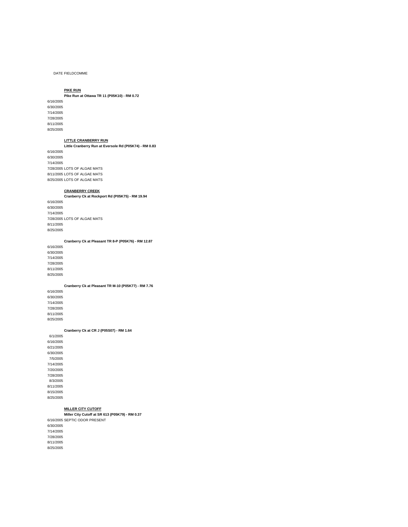#### **PIKE RUN**

**Pike Run at Ottawa TR 11 (P05K10) - RM 0.72** 6/16/2005 6/30/2005 7/14/2005 7/28/2005 8/11/2005 8/25/2005 **LITTLE CRANBERRY RUN Little Cranberry Run at Eversole Rd (P05K74) - RM 0.83** 6/16/2005 6/30/2005

7/14/2005 7/28/2005 LOTS OF ALGAE MATS 8/11/2005 LOTS OF ALGAE MATS 8/25/2005 LOTS OF ALGAE MATS

#### **CRANBERRY CREEK**

**Cranberry Ck at Rockport Rd (P05K75) - RM 19.94** 6/16/2005 6/30/2005 7/14/2005 7/28/2005 LOTS OF ALGAE MATS 8/11/2005 8/25/2005

### **Cranberry Ck at Pleasant TR 8-P (P05K76) - RM 12.87**

6/16/2005 6/30/2005 7/14/2005 7/28/2005 8/11/2005 8/25/2005

### **Cranberry Ck at Pleasant TR M-10 (P05K77) - RM 7.76**

6/16/2005 6/30/2005 7/14/2005 7/28/2005 8/11/2005 8/25/2005

**Cranberry Ck at CR J (P05S07) - RM 1.64**

6/1/2005 6/16/2005 6/21/2005 6/30/2005 7/5/2005 7/14/2005 7/20/2005 7/28/2005 8/3/2005 8/11/2005 8/15/2005 8/25/2005

### **MILLER CITY CUTOFF**

**Miller City Cutoff at SR 613 (P05K79) - RM 0.37** 6/16/2005 SEPTIC ODOR PRESENT 6/30/2005 7/14/2005 7/28/2005 8/11/2005 8/25/2005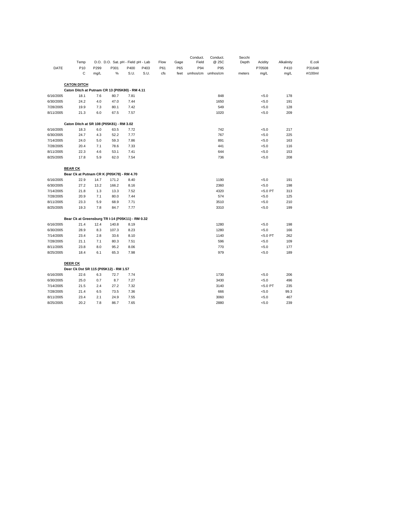|           |                                                  |      |                                    |      |      |      |      | Conduct. | Conduct. | Secchi |           |            |         |
|-----------|--------------------------------------------------|------|------------------------------------|------|------|------|------|----------|----------|--------|-----------|------------|---------|
|           | Temp                                             |      | D.O. D.O. Sat. pH - Field pH - Lab |      |      | Flow | Gage | Field    | @ 25C    | Depth  | Acidity   | Alkalinity | E.coli  |
| DATE      | P <sub>10</sub>                                  | P299 | P301                               | P400 | P403 | P61  | P65  | P94      | P95      |        | P70508    | P410       | P31648  |
|           | $\mathsf{C}$                                     | mg/L | $\%$                               | S.U. | S.U. | cfs  | feet | umhos/cm | umhos/cm | meters | mg/L      | mg/L       | #/100ml |
|           | <b>CATON DITCH</b>                               |      |                                    |      |      |      |      |          |          |        |           |            |         |
|           | Caton Ditch at Putnam CR 13 (P05K80) - RM 4.11   |      |                                    |      |      |      |      |          |          |        |           |            |         |
| 6/16/2005 | 18.1                                             | 7.6  | 80.7                               | 7.81 |      |      |      |          | 848      |        | < 5.0     | 178        |         |
| 6/30/2005 | 24.2                                             | 4.0  | 47.0                               | 7.44 |      |      |      |          | 1650     |        | < 5.0     | 191        |         |
| 7/28/2005 | 19.9                                             | 7.3  | 80.1                               | 7.42 |      |      |      |          | 549      |        | < 5.0     | 128        |         |
| 8/11/2005 | 21.3                                             | 6.0  | 67.5                               | 7.57 |      |      |      |          | 1020     |        | < 5.0     | 209        |         |
|           | Caton Ditch at SR 108 (P05K81) - RM 3.02         |      |                                    |      |      |      |      |          |          |        |           |            |         |
| 6/16/2005 | 18.3                                             | 6.0  | 63.5                               | 7.72 |      |      |      |          | 742      |        | < 5.0     | 217        |         |
| 6/30/2005 | 24.7                                             | 4.3  | 52.2                               | 7.77 |      |      |      |          | 767      |        | < 5.0     | 225        |         |
| 7/14/2005 | 24.0                                             | 5.0  | 59.3                               | 7.86 |      |      |      |          | 891      |        | < 5.0     | 163        |         |
| 7/28/2005 | 20.4                                             | 7.1  | 78.6                               | 7.33 |      |      |      |          | 441      |        | < 5.0     | 116        |         |
| 8/11/2005 | 22.3                                             | 4.6  | 53.1                               | 7.41 |      |      |      |          | 644      |        | < 5.0     | 153        |         |
| 8/25/2005 | 17.8                                             | 5.9  | 62.0                               | 7.54 |      |      |      |          | 736      |        | < 5.0     | 208        |         |
|           | <b>BEAR CK</b>                                   |      |                                    |      |      |      |      |          |          |        |           |            |         |
|           | Bear Ck at Putnam CR K (P05K78) - RM 4.70        |      |                                    |      |      |      |      |          |          |        |           |            |         |
| 6/16/2005 | 22.9                                             | 14.7 | 171.2                              | 8.40 |      |      |      |          | 1190     |        | < 5.0     | 191        |         |
| 6/30/2005 | 27.2                                             | 13.2 | 166.2                              | 8.16 |      |      |      |          | 2360     |        | < 5.0     | 198        |         |
| 7/14/2005 | 21.8                                             | 1.3  | 13.3                               | 7.52 |      |      |      |          | 4320     |        | <5.0 PT   | 313        |         |
| 7/28/2005 | 20.9                                             | 7.1  | 80.0                               | 7.44 |      |      |      |          | 574      |        | < 5.0     | 125        |         |
| 8/11/2005 | 23.3                                             | 5.9  | 68.9                               | 7.71 |      |      |      |          | 3510     |        | < 5.0     | 210        |         |
| 8/25/2005 | 19.3                                             | 7.8  | 84.7                               | 7.77 |      |      |      |          | 3310     |        | < 5.0     | 199        |         |
|           | Bear Ck at Greensburg TR I-14 (P05K11) - RM 0.32 |      |                                    |      |      |      |      |          |          |        |           |            |         |
| 6/16/2005 | 21.4                                             | 12.4 | 140.8                              | 8.19 |      |      |      |          | 1280     |        | < 5.0     | 198        |         |
| 6/30/2005 | 28.9                                             | 8.3  | 107.3                              | 8.23 |      |      |      |          | 1280     |        | < 5.0     | 166        |         |
| 7/14/2005 | 23.4                                             | 2.8  | 33.6                               | 8.10 |      |      |      |          | 1140     |        | $<5.0$ PT | 262        |         |
| 7/28/2005 | 21.1                                             | 7.1  | 80.3                               | 7.51 |      |      |      |          | 596      |        | < 5.0     | 109        |         |
| 8/11/2005 | 23.8                                             | 8.0  | 95.2                               | 8.06 |      |      |      |          | 770      |        | < 5.0     | 177        |         |
| 8/25/2005 | 18.4                                             | 6.1  | 65.3                               | 7.98 |      |      |      |          | 979      |        | < 5.0     | 189        |         |
|           | <b>DEER CK</b>                                   |      |                                    |      |      |      |      |          |          |        |           |            |         |
|           | Deer Ck Dst SR 115 (P05K12) - RM 1.57            |      |                                    |      |      |      |      |          |          |        |           |            |         |
| 6/16/2005 | 22.6                                             | 6.3  | 72.7                               | 7.74 |      |      |      |          | 1730     |        | < 5.0     | 206        |         |
| 6/30/2005 | 25.0                                             | 0.7  | 8.7                                | 7.27 |      |      |      |          | 3430     |        | < 5.0     | 496        |         |
| 7/14/2005 | 21.5                                             | 2.4  | 27.2                               | 7.32 |      |      |      |          | 3140     |        | $<5.0$ PT | 235        |         |
| 7/28/2005 | 21.4                                             | 6.5  | 73.5                               | 7.36 |      |      |      |          | 666      |        | < 5.0     | 99.3       |         |
| 8/11/2005 | 23.4                                             | 2.1  | 24.9                               | 7.55 |      |      |      |          | 3060     |        | < 5.0     | 467        |         |
| 8/25/2005 | 20.2                                             | 7.8  | 86.7                               | 7.65 |      |      |      |          | 2880     |        | < 5.0     | 239        |         |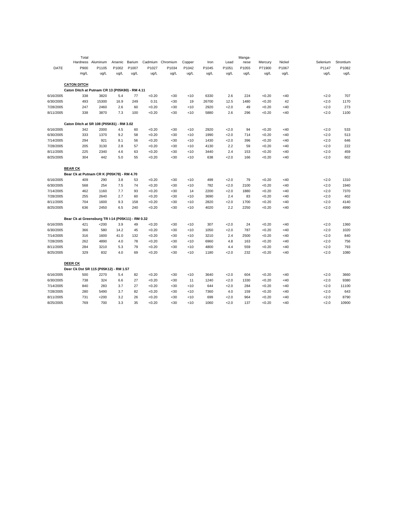|           | Total                                            |          |         |        |        |                  |        |       |       | Manga- |         |        |          |           |
|-----------|--------------------------------------------------|----------|---------|--------|--------|------------------|--------|-------|-------|--------|---------|--------|----------|-----------|
|           | Hardness                                         | Aluminum | Arsenic | Barium |        | Cadmium Chromium | Copper | Iron  | Lead  | nese   | Mercury | Nickel | Selenium | Strontium |
| DATE      | P900                                             | P1105    | P1002   | P1007  | P1027  | P1034            | P1042  | P1045 | P1051 | P1055  | P71900  | P1067  | P1147    | P1082     |
|           | mq/L                                             | ug/L     | ug/L    | ug/L   | ug/L   | ug/L             | ug/L   | ug/L  | ug/L  | ug/L   | ug/L    | ug/L   | ug/L     | ug/L      |
|           | <b>CATON DITCH</b>                               |          |         |        |        |                  |        |       |       |        |         |        |          |           |
|           | Caton Ditch at Putnam CR 13 (P05K80) - RM 4.11   |          |         |        |        |                  |        |       |       |        |         |        |          |           |
| 6/16/2005 | 338                                              | 3820     | 5.4     | 77     | <0.20  | $30$             | <10    | 6330  | 2.6   | 224    | < 0.20  | <40    | 2.0      | 707       |
| 6/30/2005 | 493                                              | 15300    | 16.9    | 249    | 0.31   | $30$             | 19     | 26700 | 12.5  | 1480   | <0.20   | 42     | 2.0      | 1170      |
| 7/28/2005 | 247                                              | 2460     | 2.6     | 60     | <0.20  | $30$             | 10     | 2920  | 2.0   | 49     | < 0.20  | $<$ 40 | 2.0      | 273       |
| 8/11/2005 | 338                                              | 3870     | 7.3     | 100    | <0.20  | $30$             | <10    | 5880  | 2.6   | 296    | < 0.20  | <40    | 2.0      | 1100      |
|           | Caton Ditch at SR 108 (P05K81) - RM 3.02         |          |         |        |        |                  |        |       |       |        |         |        |          |           |
| 6/16/2005 | 342                                              | 2000     | 4.5     | 60     | <0.20  | $30$             | < 10   | 2920  | 2.0   | 94     | <0.20   | $<$ 40 | 2.0      | 533       |
| 6/30/2005 | 333                                              | 1370     | 9.2     | 58     | <0.20  | <30              | 10     | 1990  | 2.0   | 714    | < 0.20  | <40    | 2.0      | 513       |
| 7/14/2005 | 294                                              | 921      | 8.1     | 56     | <0.20  | $30$             | <10    | 1430  | 2.0   | 396    | <0.20   | <40    | 2.0      | 646       |
| 7/28/2005 | 205                                              | 3130     | 2.8     | 57     | <0.20  | $30$             | < 10   | 4130  | 2.2   | 59     | <0.20   | $<$ 40 | 2.0      | 222       |
| 8/11/2005 | 225                                              | 2340     | 4.6     | 63     | <0.20  | <30              | 10     | 3440  | 2.4   | 153    | < 0.20  | <40    | 2.0      | 459       |
| 8/25/2005 | 304                                              | 442      | 5.0     | 55     | <0.20  | $30$             | < 10   | 638   | 2.0   | 166    | < 0.20  | $<$ 40 | 2.0      | 602       |
|           | <b>BEAR CK</b>                                   |          |         |        |        |                  |        |       |       |        |         |        |          |           |
|           | Bear Ck at Putnam CR K (P05K78) - RM 4.70        |          |         |        |        |                  |        |       |       |        |         |        |          |           |
| 6/16/2005 | 409                                              | 290      | 3.8     | 53     | <0.20  | <30              | 10     | 499   | 2.0   | 79     | < 0.20  | $<$ 40 | 2.0      | 1310      |
| 6/30/2005 | 568                                              | 254      | 7.5     | 74     | <0.20  | $30$             | < 10   | 782   | 2.0   | 2100   | < 0.20  | $<$ 40 | 2.0      | 1940      |
| 7/14/2005 | 462                                              | 1160     | 7.7     | 93     | <0.20  | $30$             | 14     | 2200  | 2.0   | 1880   | < 0.20  | <40    | 2.0      | 7370      |
| 7/28/2005 | 255                                              | 2640     | 2.7     | 60     | <0.20  | $30$             | < 10   | 3690  | 2.4   | 83     | <0.20   | <40    | 2.0      | 402       |
| 8/11/2005 | 704                                              | 1600     | 9.3     | 158    | <0.20  | $30$             | < 10   | 2820  | 2.0   | 1700   | <0.20   | <40    | 2.0      | 4140      |
| 8/25/2005 | 636                                              | 2450     | 6.5     | 240    | < 0.20 | <30              | <10    | 4020  | 2.2   | 2250   | < 0.20  | <40    | 2.0      | 4990      |
|           | Bear Ck at Greensburg TR I-14 (P05K11) - RM 0.32 |          |         |        |        |                  |        |       |       |        |         |        |          |           |
| 6/16/2005 | 421                                              | < 200    | 3.9     | 49     | < 0.20 | $30$             | < 10   | 307   | 2.0   | 24     | < 0.20  | <40    | 2.0      | 1360      |
| 6/30/2005 | 366                                              | 580      | 14.2    | 45     | <0.20  | $30$             | < 10   | 1050  | 2.0   | 787    | <0.20   | $<$ 40 | 2.0      | 1020      |
| 7/14/2005 | 316                                              | 1600     | 41.0    | 132    | <0.20  | $30$             | < 10   | 3210  | 2.4   | 2500   | < 0.20  | <40    | 2.0      | 840       |
| 7/28/2005 | 262                                              | 4890     | 4.0     | 78     | < 0.20 | $30$             | < 10   | 6960  | 4.8   | 163    | < 0.20  | $<$ 40 | 2.0      | 756       |
| 8/11/2005 | 284                                              | 3210     | 5.3     | 79     | <0.20  | <30              | 10     | 4800  | 4.4   | 559    | < 0.20  | <40    | 2.0      | 793       |
| 8/25/2005 | 329                                              | 832      | 4.0     | 69     | <0.20  | $30$             | < 10   | 1180  | 2.0   | 232    | < 0.20  | <40    | 2.0      | 1080      |
|           | <b>DEER CK</b>                                   |          |         |        |        |                  |        |       |       |        |         |        |          |           |
|           | Deer Ck Dst SR 115 (P05K12) - RM 1.57            |          |         |        |        |                  |        |       |       |        |         |        |          |           |
| 6/16/2005 | 500                                              | 2270     | 5.4     | 82     | <0.20  | $30$             | < 10   | 3640  | 2.0   | 604    | < 0.20  | $<$ 40 | 2.0      | 3660      |
| 6/30/2005 | 738                                              | 324      | 6.6     | 27     | <0.20  | $30$             | 11     | 1240  | 2.0   | 1330   | < 0.20  | <40    | 2.0      | 9380      |
| 7/14/2005 | 840                                              | 283      | 3.7     | 27     | <0.20  | $30$             | < 10   | 644   | 2.0   | 284    | <0.20   | <40    | 2.0      | 11100     |
| 7/28/2005 | 280                                              | 5490     | 3.7     | 82     | <0.20  | $30$             | < 10   | 7360  | 4.0   | 159    | < 0.20  | $<$ 40 | 2.0      | 643       |
| 8/11/2005 | 731                                              | $<$ 200  | 3.2     | 26     | <0.20  | $30$             | < 10   | 699   | 2.0   | 964    | <0.20   | < 40   | 2.0      | 8790      |
| 8/25/2005 | 769                                              | 700      | 3.3     | 35     | <0.20  | $30$             | 10     | 1060  | 2.0   | 137    | < 0.20  | <40    | 2.0      | 10900     |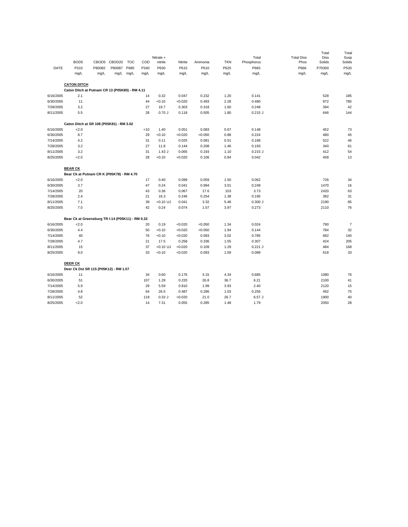|           |                                                  |        |              |            |      | Nitrate +   |         |         |            | Total       | <b>Total Diss</b> | Total<br><b>Diss</b> | Total<br>Susp  |
|-----------|--------------------------------------------------|--------|--------------|------------|------|-------------|---------|---------|------------|-------------|-------------------|----------------------|----------------|
|           | BOD <sub>5</sub>                                 |        | CBOD5 CBOD20 | <b>TOC</b> | COD  | nitrite     | Nitrite | Ammonia | <b>TKN</b> | Phosphorus  | Phos              | Solids               | Solids         |
| DATE      | P310                                             | P80082 | P80087       | P680       | P340 | P630        | P615    | P610    | P625       | P665        | P666              | P70300               | P530           |
|           | mg/L                                             | mg/L   |              | mg/L mg/L  | mg/L | mg/L        | mg/L    | mg/L    | mg/L       | mg/L        | mg/L              | mg/L                 | mg/L           |
|           | <b>CATON DITCH</b>                               |        |              |            |      |             |         |         |            |             |                   |                      |                |
|           | Caton Ditch at Putnam CR 13 (P05K80) - RM 4.11   |        |              |            |      |             |         |         |            |             |                   |                      |                |
| 6/16/2005 | 2.1                                              |        |              |            | 14   | 0.32        | 0.047   | 0.232   | 1.20       | 0.141       |                   | 528                  | 185            |
| 6/30/2005 | 11                                               |        |              |            | 44   | <0.10       | < 0.020 | 0.493   | 2.28       | 0.480       |                   | 972                  | 785            |
| 7/28/2005 | 3.2                                              |        |              |            | 27   | 19.7        | 0.303   | 0.318   | 1.60       | 0.248       |                   | 394                  | 42             |
| 8/11/2005 | 5.5                                              |        |              |            | 28   | 0.70J       | 0.118   | 0.505   | 1.80       | $0.215$ $J$ |                   | 646                  | 144            |
|           | Caton Ditch at SR 108 (P05K81) - RM 3.02         |        |              |            |      |             |         |         |            |             |                   |                      |                |
| 6/16/2005 | 2.0                                              |        |              |            | <10  | 1.40        | 0.051   | 0.083   | 0.67       | 0.148       |                   | 452                  | 73             |
| 6/30/2005 | 8.7                                              |        |              |            | 29   | <0.10       | < 0.020 | < 0.050 | 0.88       | 0.224       |                   | 480                  | 45             |
| 7/14/2005 | 4.2                                              |        |              |            | 31   | 0.11        | 0.025   | 0.081   | 0.51       | 0.168       |                   | 522                  | 46             |
| 7/28/2005 | 3.2                                              |        |              |            | 27   | 11.8        | 0.144   | 0.208   | 1.46       | 0.193       |                   | 340                  | 61             |
| 8/11/2005 | 3.2                                              |        |              |            | 31   | 1.43J       | 0.065   | 0.193   | 1.10       | $0.215$ J   |                   | 412                  | 54             |
| 8/25/2005 | 2.0                                              |        |              |            | 28   | <0.10       | < 0.020 | 0.106   | 0.84       | 0.042       |                   | 458                  | 13             |
|           | <b>BEAR CK</b>                                   |        |              |            |      |             |         |         |            |             |                   |                      |                |
|           | Bear Ck at Putnam CR K (P05K78) - RM 4.70        |        |              |            |      |             |         |         |            |             |                   |                      |                |
| 6/16/2005 | 2.0                                              |        |              |            | 17   | 0.40        | 0.099   | 0.059   | 1.50       | 0.062       |                   | 726                  | 34             |
| 6/30/2005 | 3.7                                              |        |              |            | 47   | 0.24        | 0.041   | 0.994   | 3.01       | 0.249       |                   | 1470                 | 16             |
| 7/14/2005 | 20                                               |        |              |            | 43   | 0.36        | 0.067   | 17.6    | 103        | 3.73        |                   | 2420                 | 63             |
| 7/28/2005 | 2.4                                              |        |              |            | 21   | 16.3        | 0.246   | 0.254   | 1.38       | 0.195       |                   | 382                  | 31             |
| 8/11/2005 | 7.1                                              |        |              |            | 39   | <0.10 UJ    | 0.041   | 3.32    | 5.48       | 0.300 J     |                   | 2190                 | 85             |
| 8/25/2005 | 7.0                                              |        |              |            | 42   | 0.24        | 0.074   | 1.57    | 3.97       | 0.273       |                   | 2110                 | 76             |
|           | Bear Ck at Greensburg TR I-14 (P05K11) - RM 0.32 |        |              |            |      |             |         |         |            |             |                   |                      |                |
| 6/16/2005 | 2.0                                              |        |              |            | 20   | 0.19        | < 0.020 | < 0.050 | 1.34       | 0.024       |                   | 790                  | $\overline{7}$ |
| 6/30/2005 | 4.4                                              |        |              |            | 50   | < 0.10      | < 0.020 | < 0.050 | 1.94       | 0.144       |                   | 784                  | 32             |
| 7/14/2005 | 40                                               |        |              |            | 76   | < 0.10      | < 0.020 | 0.093   | 3.02       | 0.785       |                   | 682                  | 140            |
| 7/28/2005 | 4.7                                              |        |              |            | 21   | 17.5        | 0.258   | 0.336   | 1.55       | 0.307       |                   | 424                  | 205            |
| 8/11/2005 | 15                                               |        |              |            | 37   | $< 0.10$ UJ | < 0.020 | 0.109   | 1.29       | $0.221$ J   |                   | 484                  | 168            |
| 8/25/2005 | 9.0                                              |        |              |            | 33   | < 0.10      | < 0.020 | 0.093   | 1.59       | 0.089       |                   | 618                  | 33             |
|           | <b>DEER CK</b>                                   |        |              |            |      |             |         |         |            |             |                   |                      |                |
|           | Deer Ck Dst SR 115 (P05K12) - RM 1.57            |        |              |            |      |             |         |         |            |             |                   |                      |                |
| 6/16/2005 | 11                                               |        |              |            | 34   | 0.60        | 0.176   | 3.15    | 4.34       | 0.685       |                   | 1080                 | 76             |
| 6/30/2005 | 51                                               |        |              |            | 107  | 1.28        | 0.220   | 26.8    | 36.7       | 6.21        |                   | 2100                 | 41             |
| 7/14/2005 | 5.9                                              |        |              |            | 29   | 5.59        | 0.810   | 1.99    | 3.93       | 2.40        |                   | 2120                 | 15             |
| 7/28/2005 | 4.8                                              |        |              |            | 64   | 26.5        | 0.487   | 0.286   | 1.03       | 0.256       |                   | 492                  | 75             |
| 8/11/2005 | 52                                               |        |              |            | 118  | 0.33J       | < 0.020 | 21.0    | 26.7       | $6.57$ J    |                   | 1900                 | 40             |
| 8/25/2005 | 2.0                                              |        |              |            | 14   | 7.31        | 0.055   | 0.285   | 1.48       | 1.79        |                   | 2050                 | 28             |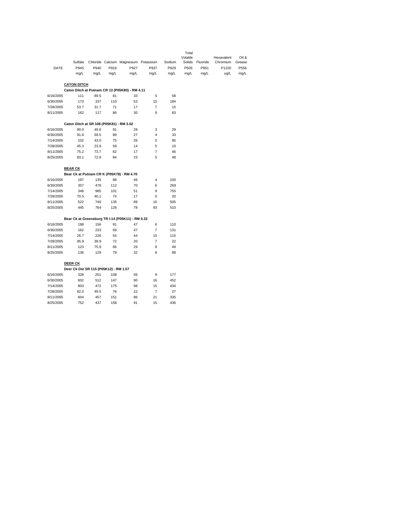|           | Sulfate                                               |      |      | Chloride Calcium Magnesium Potassium |                | Sodium | Total<br>Volatile<br>Solids | Fluoride | Hexavalent<br>Chromium | Oil &<br>Grease |
|-----------|-------------------------------------------------------|------|------|--------------------------------------|----------------|--------|-----------------------------|----------|------------------------|-----------------|
| DATE      | P945                                                  | P940 | P916 | P927                                 | P937           | P929   | P505                        | P951     | P1220                  | P556            |
|           | mg/L                                                  | mg/L | mg/L | mg/L                                 | mg/L           | mg/L   | mg/L                        | mg/L     | ug/L                   | mg/L            |
|           |                                                       |      |      |                                      |                |        |                             |          |                        |                 |
|           | <b>CATON DITCH</b>                                    |      |      |                                      |                |        |                             |          |                        |                 |
| 6/16/2005 | Caton Ditch at Putnam CR 13 (P05K80) - RM 4.11<br>111 | 89.5 | 81   | 33                                   | 5              | 58     |                             |          |                        |                 |
| 6/30/2005 | 173                                                   | 337  | 110  | 53                                   | 15             | 184    |                             |          |                        |                 |
| 7/28/2005 | 53.7                                                  | 31.7 | 71   | 17                                   | $\overline{7}$ | 15     |                             |          |                        |                 |
| 8/11/2005 | 162                                                   | 117  | 86   | 30                                   | 9              | 83     |                             |          |                        |                 |
|           |                                                       |      |      |                                      |                |        |                             |          |                        |                 |
|           | Caton Ditch at SR 108 (P05K81) - RM 3.02              |      |      |                                      |                |        |                             |          |                        |                 |
| 6/16/2005 | 90.0                                                  | 49.6 | 91   | 28                                   | 3              | 29     |                             |          |                        |                 |
| 6/30/2005 | 91.6                                                  | 59.5 | 89   | 27                                   | 4              | 33     |                             |          |                        |                 |
| 7/14/2005 | 102                                                   | 43.0 | 75   | 26                                   | 5              | 85     |                             |          |                        |                 |
| 7/28/2005 | 45.3                                                  | 23.9 | 59   | 14                                   | 5              | 10     |                             |          |                        |                 |
| 8/11/2005 | 75.2                                                  | 73.7 | 62   | 17                                   | 7              | 46     |                             |          |                        |                 |
| 8/25/2005 | 83.1                                                  | 72.9 | 84   | 23                                   | 5              | 48     |                             |          |                        |                 |
|           | <b>BEAR CK</b>                                        |      |      |                                      |                |        |                             |          |                        |                 |
|           | Bear Ck at Putnam CR K (P05K78) - RM 4.70             |      |      |                                      |                |        |                             |          |                        |                 |
| 6/16/2005 | 197                                                   | 135  | 88   | 46                                   | 4              | 100    |                             |          |                        |                 |
| 6/30/2005 | 357                                                   | 478  | 112  | 70                                   | 6              | 269    |                             |          |                        |                 |
| 7/14/2005 | 348                                                   | 985  | 101  | 51                                   | 9              | 755    |                             |          |                        |                 |
| 7/28/2005 | 70.5                                                  | 40.1 | 74   | 17                                   | 5              | 20     |                             |          |                        |                 |
| 8/11/2005 | 522                                                   | 740  | 135  | 89                                   | 10             | 505    |                             |          |                        |                 |
| 8/25/2005 | 445                                                   | 764  | 126  | 78                                   | 93             | 510    |                             |          |                        |                 |
|           | Bear Ck at Greensburg TR I-14 (P05K11) - RM 0.32      |      |      |                                      |                |        |                             |          |                        |                 |
| 6/16/2005 | 198                                                   | 156  | 91   | 47                                   | 6              | 110    |                             |          |                        |                 |
| 6/30/2005 | 162                                                   | 233  | 69   | 47                                   | $\overline{7}$ | 131    |                             |          |                        |                 |
| 7/14/2005 | 26.7                                                  | 226  | 54   | 44                                   | 15             | 115    |                             |          |                        |                 |
| 7/28/2005 | 95.9                                                  | 39.9 | 72   | 20                                   | 7              | 22     |                             |          |                        |                 |
| 8/11/2005 | 123                                                   | 75.9 | 66   | 29                                   | 8              | 49     |                             |          |                        |                 |
| 8/25/2005 | 136                                                   | 129  | 79   | 32                                   | 8              | 88     |                             |          |                        |                 |
|           | <b>DEER CK</b>                                        |      |      |                                      |                |        |                             |          |                        |                 |
|           | Deer Ck Dst SR 115 (P05K12) - RM 1.57                 |      |      |                                      |                |        |                             |          |                        |                 |
| 6/16/2005 | 328                                                   | 251  | 108  | 56                                   | 9              | 177    |                             |          |                        |                 |
| 6/30/2005 | 602                                                   | 512  | 147  | 90                                   | 16             | 452    |                             |          |                        |                 |
| 7/14/2005 | 803                                                   | 472  | 175  | 98                                   | 15             | 434    |                             |          |                        |                 |
| 7/28/2005 | 92.0                                                  | 49.5 | 76   | 22                                   | 7              | 27     |                             |          |                        |                 |
| 8/11/2005 | 604                                                   | 457  | 151  | 86                                   | 21             | 335    |                             |          |                        |                 |
| 8/25/2005 | 752                                                   | 437  | 158  | 91                                   | 15             | 436    |                             |          |                        |                 |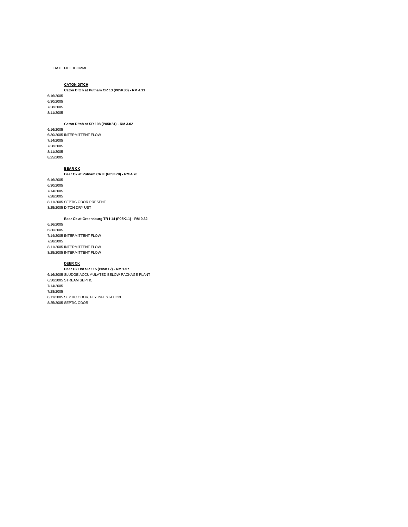### **CATON DITCH**

**Caton Ditch at Putnam CR 13 (P05K80) - RM 4.11** 6/16/2005 6/30/2005 7/28/2005 8/11/2005

**Caton Ditch at SR 108 (P05K81) - RM 3.02** 6/16/2005 6/30/2005 INTERMITTENT FLOW 7/14/2005 7/28/2005 8/11/2005

8/25/2005

## **BEAR CK**

**Bear Ck at Putnam CR K (P05K78) - RM 4.70** 6/16/2005 6/30/2005 7/14/2005 7/28/2005 8/11/2005 SEPTIC ODOR PRESENT 8/25/2005 DITCH DRY UST

## **Bear Ck at Greensburg TR I-14 (P05K11) - RM 0.32**

6/16/2005 6/30/2005 7/14/2005 INTERMITTENT FLOW 7/28/2005 8/11/2005 INTERMITTENT FLOW 8/25/2005 INTERMITTENT FLOW

# **DEER CK**

**Deer Ck Dst SR 115 (P05K12) - RM 1.57** 6/16/2005 SLUDGE ACCUMULATED BELOW PACKAGE PLANT 6/30/2005 STREAM SEPTIC 7/14/2005 7/28/2005 8/11/2005 SEPTIC ODOR, FLY INFESTATION 8/25/2005 SEPTIC ODOR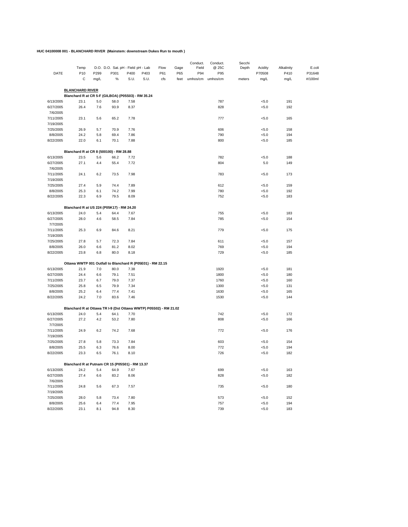# **HUC 04100008 001 - BLANCHARD RIVER (Mainstem: downstream Dukes Run to mouth )**

|           |                                                                   |      |                                    |      |      |      |      | Conduct. | Conduct. | Secchi |         |            |         |
|-----------|-------------------------------------------------------------------|------|------------------------------------|------|------|------|------|----------|----------|--------|---------|------------|---------|
|           | Temp                                                              |      | D.O. D.O. Sat. pH - Field pH - Lab |      |      | Flow | Gage | Field    | @ 25C    | Depth  | Acidity | Alkalinity | E.coli  |
| DATE      | P10                                                               | P299 | P301                               | P400 | P403 | P61  | P65  | P94      | P95      |        | P70508  | P410       | P31648  |
|           | С                                                                 | mg/L | %                                  | S.U. | S.U. | cfs  | feet | umhos/cm | umhos/cm | meters | mg/L    | mg/L       | #/100ml |
|           | <b>BLANCHARD RIVER</b>                                            |      |                                    |      |      |      |      |          |          |        |         |            |         |
|           | Blanchard R at CR 5-F (GILBOA) (P05S03) - RM 35.24                |      |                                    |      |      |      |      |          |          |        |         |            |         |
| 6/13/2005 | 23.1                                                              | 5.0  | 58.0                               | 7.58 |      |      |      |          | 787      |        | < 5.0   | 191        |         |
| 6/27/2005 | 26.4                                                              | 7.6  | 93.9                               | 8.37 |      |      |      |          | 828      |        | < 5.0   | 192        |         |
| 7/6/2005  |                                                                   |      |                                    |      |      |      |      |          |          |        |         |            |         |
| 7/11/2005 | 23.1                                                              | 5.6  | 65.2                               | 7.78 |      |      |      |          | 777      |        | < 5.0   | 165        |         |
| 7/19/2005 |                                                                   |      |                                    |      |      |      |      |          |          |        |         |            |         |
| 7/25/2005 | 26.9                                                              | 5.7  | 70.9                               | 7.76 |      |      |      |          | 606      |        | < 5.0   | 158        |         |
| 8/8/2005  | 24.2                                                              | 5.8  | 69.4                               | 7.86 |      |      |      |          | 790      |        | < 5.0   | 194        |         |
| 8/22/2005 | 22.0                                                              | 6.1  | 70.1                               | 7.88 |      |      |      |          | 800      |        | < 5.0   | 185        |         |
|           | Blanchard R at CR 8 (500100) - RM 28.88                           |      |                                    |      |      |      |      |          |          |        |         |            |         |
| 6/13/2005 | 23.5                                                              | 5.6  | 66.2                               | 7.72 |      |      |      |          | 782      |        | < 5.0   | 188        |         |
| 6/27/2005 | 27.1                                                              | 4.4  | 55.4                               | 7.72 |      |      |      |          | 804      |        | 5.0     | 149        |         |
| 7/6/2005  |                                                                   |      |                                    |      |      |      |      |          |          |        |         |            |         |
| 7/11/2005 | 24.1                                                              | 6.2  | 73.5                               | 7.98 |      |      |      |          | 783      |        | < 5.0   | 173        |         |
| 7/19/2005 |                                                                   |      |                                    |      |      |      |      |          |          |        |         |            |         |
|           |                                                                   |      |                                    |      |      |      |      |          |          |        |         |            |         |
| 7/25/2005 | 27.4                                                              | 5.9  | 74.4                               | 7.89 |      |      |      |          | 612      |        | < 5.0   | 159        |         |
| 8/8/2005  | 25.3                                                              | 6.1  | 74.2                               | 7.99 |      |      |      |          | 780      |        | < 5.0   | 192        |         |
| 8/22/2005 | 22.3                                                              | 6.9  | 79.5                               | 8.09 |      |      |      |          | 752      |        | < 5.0   | 183        |         |
|           | Blanchard R at US 224 (P05K17) - RM 24.20                         |      |                                    |      |      |      |      |          |          |        |         |            |         |
| 6/13/2005 | 24.0                                                              | 5.4  | 64.4                               | 7.67 |      |      |      |          | 755      |        | < 5.0   | 183        |         |
| 6/27/2005 | 28.0                                                              | 4.6  | 58.5                               | 7.84 |      |      |      |          | 785      |        | < 5.0   | 154        |         |
| 7/7/2005  |                                                                   |      |                                    |      |      |      |      |          |          |        |         |            |         |
| 7/11/2005 | 25.3                                                              | 6.9  | 84.6                               | 8.21 |      |      |      |          | 779      |        | < 5.0   | 175        |         |
| 7/19/2005 |                                                                   |      |                                    |      |      |      |      |          |          |        |         |            |         |
| 7/25/2005 | 27.8                                                              | 5.7  | 72.3                               | 7.84 |      |      |      |          | 611      |        | < 5.0   | 157        |         |
| 8/8/2005  | 26.0                                                              | 6.6  | 81.2                               | 8.02 |      |      |      |          | 769      |        | < 5.0   | 194        |         |
| 8/22/2005 | 23.8                                                              | 6.8  | 80.0                               | 8.18 |      |      |      |          | 729      |        | < 5.0   | 185        |         |
|           | Ottawa WWTP 001 Outfall to Blanchard R (P05E01) - RM 22.15        |      |                                    |      |      |      |      |          |          |        |         |            |         |
| 6/13/2005 | 21.9                                                              | 7.0  | 80.0                               | 7.38 |      |      |      |          | 1920     |        | < 5.0   | 181        |         |
| 6/27/2005 | 24.4                                                              | 6.6  | 79.1                               | 7.51 |      |      |      |          | 1800     |        | < 5.0   | 180        |         |
| 7/11/2005 | 23.7                                                              | 6.7  | 79.0                               | 7.37 |      |      |      |          | 1760     |        | < 5.0   | 160        |         |
| 7/25/2005 | 25.8                                                              | 6.5  | 79.9                               | 7.34 |      |      |      |          | 1300     |        | < 5.0   | 131        |         |
| 8/8/2005  | 25.2                                                              | 6.4  | 77.4                               | 7.41 |      |      |      |          | 1630     |        | < 5.0   | 165        |         |
| 8/22/2005 | 24.2                                                              | 7.0  | 83.6                               | 7.46 |      |      |      |          | 1530     |        | < 5.0   | 144        |         |
|           | Blanchard R at Ottawa TR I-9 (Dst Ottawa WWTP) P05S02) - RM 21.02 |      |                                    |      |      |      |      |          |          |        |         |            |         |
| 6/13/2005 | 24.0                                                              | 5.4  | 64.1                               | 7.70 |      |      |      |          | 742      |        | < 5.0   | 172        |         |
| 6/27/2005 | 27.2                                                              | 4.2  | 53.2                               | 7.80 |      |      |      |          | 808      |        | < 5.0   | 166        |         |
| 7/7/2005  |                                                                   |      |                                    |      |      |      |      |          |          |        |         |            |         |
| 7/11/2005 | 24.9                                                              | 6.2  | 74.2                               | 7.68 |      |      |      |          | 772      |        | < 5.0   | 176        |         |
| 7/19/2005 |                                                                   |      |                                    |      |      |      |      |          |          |        |         |            |         |
| 7/25/2005 | 27.8                                                              | 5.8  | 73.3                               | 7.84 |      |      |      |          | 603      |        | < 5.0   | 154        |         |
| 8/8/2005  | 25.5                                                              | 6.3  | 76.6                               | 8.00 |      |      |      |          | 772      |        | < 5.0   | 194        |         |
| 8/22/2005 | 23.3                                                              | 6.5  | 76.1                               | 8.10 |      |      |      |          | 726      |        | < 5.0   | 182        |         |
|           |                                                                   |      |                                    |      |      |      |      |          |          |        |         |            |         |
|           | Blanchard R at Putnam CR 15 (P05S01) - RM 13.37                   |      |                                    |      |      |      |      |          |          |        |         |            |         |
| 6/13/2005 | 24.2                                                              | 5.4  | 64.9                               | 7.67 |      |      |      |          | 699      |        | < 5.0   | 163        |         |
| 6/27/2005 | 27.4                                                              | 6.6  | 83.2                               | 8.06 |      |      |      |          | 828      |        | 5.0     | 182        |         |
| 7/6/2005  |                                                                   |      |                                    |      |      |      |      |          |          |        |         |            |         |
| 7/11/2005 | 24.8                                                              | 5.6  | 67.3                               | 7.57 |      |      |      |          | 735      |        | 5.0     | 180        |         |
| 7/19/2005 |                                                                   |      |                                    |      |      |      |      |          |          |        |         |            |         |
| 7/25/2005 | 28.0                                                              | 5.8  | 73.4                               | 7.80 |      |      |      |          | 573      |        | < 5.0   | 152        |         |
| 8/8/2005  | 25.6                                                              | 6.4  | 77.4                               | 7.95 |      |      |      |          | 757      |        | < 5.0   | 194        |         |
| 8/22/2005 | 23.1                                                              | 8.1  | 94.8                               | 8.30 |      |      |      |          | 739      |        | < 5.0   | 183        |         |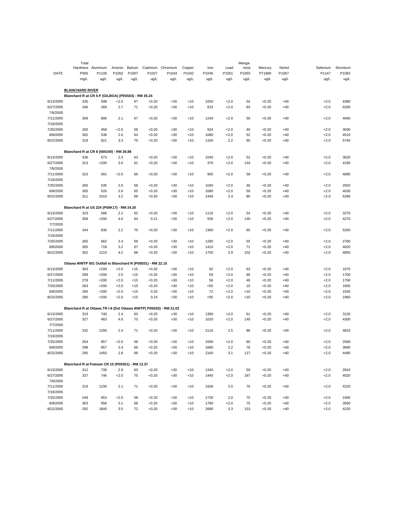|                        | Total                                                                        |              |            |          |                |                  |             |              |            | Manga-    |                  |            |            |              |
|------------------------|------------------------------------------------------------------------------|--------------|------------|----------|----------------|------------------|-------------|--------------|------------|-----------|------------------|------------|------------|--------------|
|                        | Hardness                                                                     | Aluminum     | Arsenic    | Barium   |                | Cadmium Chromium | Copper      | Iron         | Lead       | nese      | Mercury          | Nickel     | Selenium   | Strontium    |
| DATE                   | P900                                                                         | P1105        | P1002      | P1007    | P1027          | P1034            | P1042       | P1045        | P1051      | P1055     | P71900           | P1067      | P1147      | P1082        |
|                        | mg/L                                                                         | ug/L         | ug/L       | ug/L     | ug/L           | ug/L             | ug/L        | ug/L         | ug/L       | ug/L      | ug/L             | ug/L       | ug/L       | ug/L         |
|                        |                                                                              |              |            |          |                |                  |             |              |            |           |                  |            |            |              |
|                        | <b>BLANCHARD RIVER</b><br>Blanchard R at CR 5-F (GILBOA) (P05S03) - RM 35.24 |              |            |          |                |                  |             |              |            |           |                  |            |            |              |
| 6/13/2005              | 335                                                                          | 598          | 2.0        | 67       | <0.20          | $30$             | < 10        | 1050         | 2.0        | 54        | < 0.20           | <40        | 2.0        | 4390         |
| 6/27/2005              | 346                                                                          | 269          | 2.7        | 71       | <0.20          | $30$             | < 10        | 623          | 2.0        | 93        | <0.20            | <40        | 2.0        | 6200         |
| 7/6/2005               |                                                                              |              |            |          |                |                  |             |              |            |           |                  |            |            |              |
| 7/11/2005              | 309                                                                          | 806          | 2.1        | 67       | < 0.20         | <30              | < 10        | 1240         | 2.0        | 56        | < 0.20           | <40        | 2.0        | 4940         |
| 7/19/2005              |                                                                              |              |            |          |                |                  |             |              |            |           |                  |            |            |              |
| 7/25/2005              | 260                                                                          | 458          | 2.0        | 58       | < 0.20         | $30$             | < 10        | 924          | 2.0        | 40        | < 0.20           | <40        | 2.0        | 3030         |
| 8/8/2005               | 302                                                                          | 538          | 2.6        | 64       | <0.20          | $30$             | < 10        | 1080         | 2.0        | 52        | <0.20            | <40        | 2.0        | 4510         |
| 8/22/2005              | 318                                                                          | 821          | 3.3        | 70       | <0.20          | $30$             | <10         | 1160         | 2.2        | 60        | <0.20            | <40        | 2.0        | 5740         |
|                        |                                                                              |              |            |          |                |                  |             |              |            |           |                  |            |            |              |
|                        | Blanchard R at CR 8 (500100) - RM 28.88                                      |              |            |          |                |                  |             |              |            |           |                  |            |            |              |
| 6/13/2005              | 336                                                                          | 573          | 2.4        | 63       | <0.20          | $30$             | < 10        | 1040         | 2.0        | 52        | < 0.20           | <40        | 2.0        | 3620         |
| 6/27/2005              | 313                                                                          | 200          | 3.0        | 61       | <0.20          | $30$             | < 10        | 370          | 2.0        | 144       | < 0.20           | <40        | 2.0        | 4180         |
| 7/6/2005               |                                                                              |              |            |          |                |                  |             |              |            |           |                  |            |            |              |
| 7/11/2005              | 323                                                                          | 591          | 2.0        | 66       | <0.20          | $30$             | < 10        | 955          | 2.0        | 58        | <0.20            | <40        | 2.0        | 4890         |
| 7/19/2005              |                                                                              |              |            |          |                |                  |             |              |            |           |                  |            |            |              |
| 7/25/2005              | 265                                                                          | 535          | 2.0        | 58       | < 0.20         | $30$             | < 10        | 1040         | 2.0        | 46        | < 0.20           | <40        | 2.0        | 2920         |
| 8/8/2005               | 305                                                                          | 526          | 2.6        | 65       | <0.20          | $30$             | < 10        | 1080         | 2.0        | 59        | <0.20            | <40        | 2.0        | 4030         |
| 8/22/2005              | 311                                                                          | 1010         | 3.2        | 68       | <0.20          | $30$             | <10         | 1440         | 2.4        | 80        | <0.20            | <40        | 2.0        | 5280         |
|                        |                                                                              |              |            |          |                |                  |             |              |            |           |                  |            |            |              |
|                        | Blanchard R at US 224 (P05K17) - RM 24.20                                    |              |            |          |                |                  | < 10        |              | 2.0        |           |                  |            | 2.0        |              |
| 6/13/2005<br>6/27/2005 | 323<br>308                                                                   | 586<br>$200$ | 2.1<br>4.0 | 62<br>64 | <0.20<br>0.21  | $30$<br>$30$     | < 10        | 1110<br>556  | 2.0        | 54<br>140 | < 0.20<br>< 0.20 | <40<br><40 | 2.0        | 3270<br>4270 |
|                        |                                                                              |              |            |          |                |                  |             |              |            |           |                  |            |            |              |
| 7/7/2005               | 344                                                                          |              | 2.2        | 70       |                | <30              |             |              |            | 65        |                  |            |            | 5260         |
| 7/11/2005<br>7/19/2005 |                                                                              | 836          |            |          | <0.20          |                  | < 10        | 1360         | 2.0        |           | <0.20            | <40        | 2.0        |              |
|                        |                                                                              |              |            |          |                |                  | < 10        |              |            |           |                  |            |            |              |
| 7/25/2005              | 265                                                                          | 662          | 2.4        | 59       | < 0.20         | $30$             |             | 1280         | 2.0        | 55<br>71  | < 0.20           | <40        | 2.0        | 2760         |
| 8/8/2005<br>8/22/2005  | 305<br>302                                                                   | 718<br>1210  | 3.2<br>4.2 | 67<br>68 | <0.20<br><0.20 | $30$<br>$30$     | < 10<br><10 | 1410<br>1750 | 2.0<br>2.9 | 102       | <0.20<br><0.20   | <40<br><40 | 2.0<br>2.0 | 4020<br>4850 |
|                        |                                                                              |              |            |          |                |                  |             |              |            |           |                  |            |            |              |
|                        | Ottawa WWTP 001 Outfall to Blanchard R (P05E01) - RM 22.15                   |              |            |          |                |                  |             |              |            |           |                  |            |            |              |
| 6/13/2005              | 303                                                                          | $200$        | 2.0        | $<$ 15   | <0.20          | $30$             | < 10        | 92           | 2.0        | 63        | < 0.20           | <40        | 2.0        | 1670         |
| 6/27/2005              | 289                                                                          | 200          | 2.0        | < 15     | <0.20          | $30$             | < 10        | 59           | 2.0        | 66        | <0.20            | <40        | 2.0        | 1700         |
| 7/11/2005              | 278                                                                          | <200         | 2.0        | $<$ 15   | <0.20          | $30$             | < 10        | 56           | 2.0        | 40        | <0.20            | <40        | 2.0        | 1790         |
| 7/25/2005              | 283                                                                          | $200$        | 2.0        | $<$ 15   | < 0.20         | $30$             | < 10        | < 50         | 2.0        | 10        | <0.20            | <40        | 2.0        | 1600         |
| 8/8/2005               | 266                                                                          | <200         | 2.0        | <15      | 0.20           | $30$             | <10         | 72           | 2.0        | <10       | <0.20            | <40        | 2.0        | 1630         |
| 8/22/2005              | 280                                                                          | $200$        | 2.0        | $<$ 15   | 0.24           | $30$             | < 10        | < 50         | 2.0        | <10       | <0.20            | <40        | 2.0        | 1960         |
|                        |                                                                              |              |            |          |                |                  |             |              |            |           |                  |            |            |              |
|                        | Blanchard R at Ottawa TR I-9 (Dst Ottawa WWTP) P05S02) - RM 21.02            |              |            |          |                |                  |             |              |            |           |                  |            |            |              |
| 6/13/2005              | 319                                                                          | 740          | 2.4        | 63       | <0.20          | $30$             | < 10        | 1390         | 2.0        | 61        | < 0.20           | <40        | 2.0        | 3120         |
| 6/27/2005              | 327                                                                          | 463          | 4.6        | 70       | <0.20          | $30$             | < 10        | 1020         | 2.0        | 140       | <0.20            | <40        | 2.0        | 4300         |
| 7/7/2005               |                                                                              |              |            |          |                |                  |             |              |            |           |                  |            |            |              |
| 7/11/2005              | 332                                                                          | 1290         | 2.4        | 71       | <0.20          | $30$             | < 10        | 2110         | 2.5        | 86        | <0.20            | <40        | 2.0        | 4810         |
| 7/19/2005              |                                                                              |              |            |          |                |                  |             |              |            |           |                  |            |            |              |
| 7/25/2005              | 254                                                                          | 857          | 2.0        | 58       | <0.20          | $30$             | < 10        | 1590         | 2.0        | 60        | <0.20            | <40        | 2.0        | 2560         |
| 8/8/2005               | 298                                                                          | 857          | 3.4        | 66       | <0.20          | $30$             | < 10        | 1680         | 2.2        | 76        | <0.20            | <40        | 2.0        | 3690         |
| 8/22/2005              | 295                                                                          | 1450         | 2.8        | 69       | <0.20          | $30$             | < 10        | 2160         | 3.1        | 127       | <0.20            | <40        | 2.0        | 4490         |
|                        |                                                                              |              |            |          |                |                  |             |              |            |           |                  |            |            |              |
| 6/13/2005              | Blanchard R at Putnam CR 15 (P05S01) - RM 13.37<br>312                       | 739          | 2.9        | 63       | < 0.20         | $30$             | < 10        | 1340         | 2.0        | 59        | < 0.20           | <40        | 2.0        | 2810         |
| 6/27/2005              | 337                                                                          | 746          | 2.0        | 75       | < 0.20         |                  |             |              |            | 187       |                  | <40        |            | 4020         |
| 7/6/2005               |                                                                              |              |            |          |                | $30$             | < 10        | 1440         | 2.0        |           | <0.20            |            | 2.0        |              |
| 7/11/2005              | 319                                                                          | 1230         | 2.1        | 71       | <0.20          | $30$             | < 10        | 1930         | 2.0        | 76        | <0.20            | <40        | 2.0        | 4220         |
| 7/19/2005              |                                                                              |              |            |          |                |                  |             |              |            |           |                  |            |            |              |
| 7/25/2005              | 249                                                                          | 953          | 2.0        | 58       | < 0.20         | $30$             | <10         | 1730         | 2.0        | 70        | < 0.20           | <40        | 2.0        | 2400         |
| 8/8/2005               | 303                                                                          | 956          | 3.1        | 68       | <0.20          | $30$             | < 10        | 1780         | 2.0        | 75        | <0.20            | <40        | 2.0        | 3560         |
| 8/22/2005              | 292                                                                          | 1840         | $3.5\,$    | 72       | < 0.20         | $30$             | < 10        | 2680         | 3.3        | 153       | < 0.20           | <40        | 2.0        | 4220         |
|                        |                                                                              |              |            |          |                |                  |             |              |            |           |                  |            |            |              |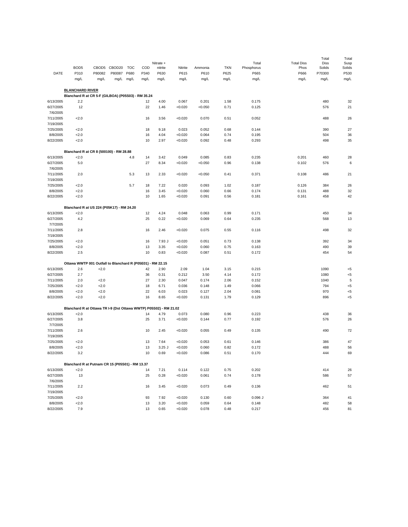|           |                                                                   |        |              |           |      |           |         |         |            |             |                   | Total  | Total      |
|-----------|-------------------------------------------------------------------|--------|--------------|-----------|------|-----------|---------|---------|------------|-------------|-------------------|--------|------------|
|           |                                                                   |        |              |           |      | Nitrate + |         |         |            | Total       | <b>Total Diss</b> | Diss   | Susp       |
|           | BOD <sub>5</sub>                                                  |        | CBOD5 CBOD20 | TOC       | COD  | nitrite   | Nitrite | Ammonia | <b>TKN</b> | Phosphorus  | Phos              | Solids | Solids     |
| DATE      | P310                                                              | P80082 | P80087       | P680      | P340 | P630      | P615    | P610    | P625       | P665        | P666              | P70300 | P530       |
|           | mg/L                                                              | mg/L   |              | mg/L mg/L | mg/L | mg/L      | mg/L    | mg/L    | mg/L       | mg/L        | mg/L              | mg/L   | mg/L       |
|           |                                                                   |        |              |           |      |           |         |         |            |             |                   |        |            |
|           | <b>BLANCHARD RIVER</b>                                            |        |              |           |      |           |         |         |            |             |                   |        |            |
|           | Blanchard R at CR 5-F (GILBOA) (P05S03) - RM 35.24                |        |              |           |      |           |         |         |            |             |                   |        |            |
| 6/13/2005 | 2.2                                                               |        |              |           | 12   | 4.00      | 0.067   | 0.201   | 1.58       | 0.175       |                   | 480    | 32         |
| 6/27/2005 | 12                                                                |        |              |           | 22   | 1.46      | < 0.020 | < 0.050 | 0.71       | 0.125       |                   | 576    | 21         |
|           |                                                                   |        |              |           |      |           |         |         |            |             |                   |        |            |
| 7/6/2005  |                                                                   |        |              |           |      |           |         |         |            |             |                   |        |            |
| 7/11/2005 | 2.0                                                               |        |              |           | 16   | 3.56      | < 0.020 | 0.070   | 0.51       | 0.052       |                   | 488    | 26         |
| 7/19/2005 |                                                                   |        |              |           |      |           |         |         |            |             |                   |        |            |
| 7/25/2005 | 2.0                                                               |        |              |           | 18   | 9.18      | 0.023   | 0.052   | 0.68       | 0.144       |                   | 390    | 27         |
| 8/8/2005  | 2.0                                                               |        |              |           | 16   | 4.04      | < 0.020 | 0.064   | 0.74       | 0.195       |                   | 504    | 36         |
| 8/22/2005 | 2.0                                                               |        |              |           | 10   | 2.97      | < 0.020 | 0.092   | 0.48       | 0.293       |                   | 498    | 35         |
|           |                                                                   |        |              |           |      |           |         |         |            |             |                   |        |            |
|           | Blanchard R at CR 8 (500100) - RM 28.88                           |        |              |           |      |           |         |         |            |             |                   |        |            |
| 6/13/2005 | 2.0                                                               |        |              | 4.8       | 14   | 3.42      | 0.049   | 0.085   | 0.83       | 0.235       | 0.201             | 460    | 28         |
| 6/27/2005 | 5.0                                                               |        |              |           | 27   | 8.34      | < 0.020 | < 0.050 | 0.96       | 0.138       | 0.102             | 576    | 6          |
|           |                                                                   |        |              |           |      |           |         |         |            |             |                   |        |            |
| 7/6/2005  |                                                                   |        |              |           |      |           |         |         |            |             |                   |        |            |
| 7/11/2005 | 2.0                                                               |        |              | 5.3       | 13   | 2.33      | < 0.020 | < 0.050 | 0.41       | 0.371       | 0.108             | 486    | 21         |
| 7/19/2005 |                                                                   |        |              |           |      |           |         |         |            |             |                   |        |            |
| 7/25/2005 | 2.0                                                               |        |              | 5.7       | 18   | 7.22      | 0.020   | 0.093   | 1.02       | 0.187       | 0.126             | 384    | 26         |
| 8/8/2005  | 2.0                                                               |        |              |           | 16   | 3.45      | < 0.020 | 0.060   | 0.66       | 0.174       | 0.131             | 488    | 32         |
| 8/22/2005 | 2.0                                                               |        |              |           | 10   | 1.65      | < 0.020 | 0.091   | 0.56       | 0.181       | 0.161             | 458    | 42         |
|           |                                                                   |        |              |           |      |           |         |         |            |             |                   |        |            |
|           | Blanchard R at US 224 (P05K17) - RM 24.20                         |        |              |           |      |           |         |         |            |             |                   |        |            |
| 6/13/2005 | 2.0                                                               |        |              |           | 12   | 4.24      | 0.048   | 0.063   | 0.99       | 0.171       |                   | 450    | 34         |
| 6/27/2005 | 4.2                                                               |        |              |           | 25   | 0.22      | < 0.020 | 0.069   | 0.64       | 0.235       |                   | 568    | 13         |
|           |                                                                   |        |              |           |      |           |         |         |            |             |                   |        |            |
| 7/7/2005  |                                                                   |        |              |           |      |           |         |         |            |             |                   |        |            |
| 7/11/2005 | 2.8                                                               |        |              |           | 16   | 2.46      | < 0.020 | 0.075   | 0.55       | 0.116       |                   | 498    | 32         |
| 7/19/2005 |                                                                   |        |              |           |      |           |         |         |            |             |                   |        |            |
| 7/25/2005 | 2.0                                                               |        |              |           | 16   | 7.93 J    | < 0.020 | 0.051   | 0.73       | 0.138       |                   | 392    | 34         |
| 8/8/2005  | 2.0                                                               |        |              |           | 13   | 3.35      | < 0.020 | 0.060   | 0.75       | 0.163       |                   | 490    | 39         |
| 8/22/2005 | 2.5                                                               |        |              |           | 10   | 0.83      | < 0.020 | 0.087   | 0.51       | 0.172       |                   | 454    | 54         |
|           |                                                                   |        |              |           |      |           |         |         |            |             |                   |        |            |
|           | Ottawa WWTP 001 Outfall to Blanchard R (P05E01) - RM 22.15        |        |              |           |      |           |         |         |            |             |                   |        |            |
| 6/13/2005 | 2.6                                                               | 2.0    |              |           | 42   | 2.90      | 2.09    | 1.04    | 3.15       | 0.215       |                   | 1090   | $<$ 5      |
| 6/27/2005 | 2.7                                                               |        |              |           | 36   | 0.31      | 0.212   | 3.50    | 4.14       | 0.172       |                   | 1080   | $5$        |
| 7/11/2005 | 2.0                                                               | 2.0    |              |           | 27   | 2.30      | 0.047   | 0.174   | 2.06       | 0.152       |                   | 1040   | $\sqrt{5}$ |
|           |                                                                   |        |              |           |      |           |         |         |            |             |                   |        |            |
| 7/25/2005 | 2.0                                                               | 2.0    |              |           | 18   | 6.71      | 0.036   | 0.148   | 1.49       | 0.066       |                   | 794    | $<$ 5      |
| 8/8/2005  | 2.0                                                               | 2.0    |              |           | 22   | 6.03      | 0.023   | 0.127   | 2.04       | 0.081       |                   | 970    | $<$ 5      |
| 8/22/2005 | 2.0                                                               | 2.0    |              |           | 16   | 8.65      | <0.020  | 0.131   | 1.79       | 0.129       |                   | 896    | $5$        |
|           |                                                                   |        |              |           |      |           |         |         |            |             |                   |        |            |
|           | Blanchard R at Ottawa TR I-9 (Dst Ottawa WWTP) P05S02) - RM 21.02 |        |              |           |      |           |         |         |            |             |                   |        |            |
| 6/13/2005 | 2.0                                                               |        |              |           | 14   | 4.79      | 0.073   | 0.080   | 0.96       | 0.223       |                   | 438    | 36         |
| 6/27/2005 | 3.8                                                               |        |              |           | 25   | 3.71      | < 0.020 | 0.144   | 0.77       | 0.192       |                   | 576    | 26         |
| 7/7/2005  |                                                                   |        |              |           |      |           |         |         |            |             |                   |        |            |
| 7/11/2005 | 2.6                                                               |        |              |           | 10   | 2.45      | < 0.020 | 0.055   | 0.49       | 0.135       |                   | 490    | 72         |
| 7/19/2005 |                                                                   |        |              |           |      |           |         |         |            |             |                   |        |            |
| 7/25/2005 | 2.0                                                               |        |              |           | 13   | 7.64      | < 0.020 | 0.053   | 0.61       | 0.146       |                   | 386    | 47         |
|           |                                                                   |        |              |           |      |           |         |         |            |             |                   |        |            |
| 8/8/2005  | 2.0                                                               |        |              |           | 13   | $3.25$ J  | < 0.020 | 0.060   | 0.82       | 0.172       |                   | 488    | 56         |
| 8/22/2005 | 3.2                                                               |        |              |           | 10   | 0.69      | <0.020  | 0.086   | 0.51       | 0.170       |                   | 444    | 69         |
|           |                                                                   |        |              |           |      |           |         |         |            |             |                   |        |            |
|           | Blanchard R at Putnam CR 15 (P05S01) - RM 13.37                   |        |              |           |      |           |         |         |            |             |                   |        |            |
| 6/13/2005 | 2.0                                                               |        |              |           | 14   | 7.21      | 0.114   | 0.122   | 0.75       | 0.202       |                   | 414    | 26         |
| 6/27/2005 | 13                                                                |        |              |           | 25   | 0.28      | < 0.020 | 0.061   | 0.74       | 0.178       |                   | 586    | 57         |
| 7/6/2005  |                                                                   |        |              |           |      |           |         |         |            |             |                   |        |            |
| 7/11/2005 | 2.2                                                               |        |              |           | 16   | 3.45      | < 0.020 | 0.073   | 0.49       | 0.136       |                   | 462    | 51         |
| 7/19/2005 |                                                                   |        |              |           |      |           |         |         |            |             |                   |        |            |
| 7/25/2005 | 2.0                                                               |        |              |           | 93   | 7.92      | < 0.020 | 0.130   | 0.60       | $0.096$ $J$ |                   | 364    | 41         |
| 8/8/2005  | 2.0                                                               |        |              |           | 13   | 3.20      | < 0.020 | 0.059   | 0.64       | 0.148       |                   | 482    | 58         |
|           |                                                                   |        |              |           |      |           |         |         |            |             |                   |        |            |
| 8/22/2005 | 7.9                                                               |        |              |           | 13   | 0.65      | < 0.020 | 0.078   | 0.48       | 0.217       |                   | 456    | 81         |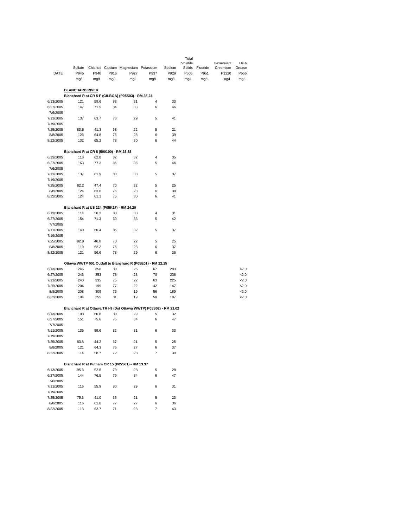|                       |                                                                   |      |      |                                      |                         |        | Total    |          |            |        |
|-----------------------|-------------------------------------------------------------------|------|------|--------------------------------------|-------------------------|--------|----------|----------|------------|--------|
|                       |                                                                   |      |      |                                      |                         |        | Volatile |          | Hexavalent | Oil &  |
|                       | Sulfate                                                           |      |      | Chloride Calcium Magnesium Potassium |                         | Sodium | Solids   | Fluoride | Chromium   | Grease |
| DATE                  | P945                                                              | P940 | P916 | P927                                 | P937                    | P929   | P505     | P951     | P1220      | P556   |
|                       | mg/L                                                              | mg/L | mg/L | mg/L                                 | mg/L                    | mg/L   | mg/L     | mg/L     | ug/L       | mg/L   |
|                       | <b>BLANCHARD RIVER</b>                                            |      |      |                                      |                         |        |          |          |            |        |
|                       | Blanchard R at CR 5-F (GILBOA) (P05S03) - RM 35.24                |      |      |                                      |                         |        |          |          |            |        |
| 6/13/2005             | 121                                                               | 59.6 | 83   | 31                                   | $\overline{\mathbf{4}}$ | 33     |          |          |            |        |
| 6/27/2005             | 147                                                               | 71.5 | 84   | 33                                   | 6                       | 46     |          |          |            |        |
| 7/6/2005              |                                                                   |      |      |                                      |                         |        |          |          |            |        |
| 7/11/2005             | 137                                                               | 63.7 | 76   | 29                                   | 5                       | 41     |          |          |            |        |
| 7/19/2005             |                                                                   |      |      |                                      |                         |        |          |          |            |        |
|                       | 83.5                                                              | 41.3 | 68   | 22                                   | 5                       | 21     |          |          |            |        |
| 7/25/2005             |                                                                   |      | 75   | 28                                   | 6                       | 39     |          |          |            |        |
| 8/8/2005<br>8/22/2005 | 126                                                               | 64.8 | 78   | 30                                   | 6                       | 44     |          |          |            |        |
|                       | 132                                                               | 65.2 |      |                                      |                         |        |          |          |            |        |
|                       | Blanchard R at CR 8 (500100) - RM 28.88                           |      |      |                                      |                         |        |          |          |            |        |
| 6/13/2005             | 118                                                               | 62.0 | 82   | 32                                   | $\overline{\mathbf{4}}$ | 35     |          |          |            |        |
| 6/27/2005             | 163                                                               | 77.3 | 66   | 36                                   | 5                       | 46     |          |          |            |        |
| 7/6/2005              |                                                                   |      |      |                                      |                         |        |          |          |            |        |
| 7/11/2005             | 137                                                               | 61.9 | 80   | 30                                   | 5                       | 37     |          |          |            |        |
| 7/19/2005             |                                                                   |      |      |                                      |                         |        |          |          |            |        |
| 7/25/2005             | 82.2                                                              | 47.4 | 70   | 22                                   | 5                       | 25     |          |          |            |        |
| 8/8/2005              | 124                                                               | 63.6 | 76   | 28                                   | 6                       | 38     |          |          |            |        |
| 8/22/2005             | 124                                                               | 61.1 | 75   | 30                                   | 6                       | 41     |          |          |            |        |
|                       |                                                                   |      |      |                                      |                         |        |          |          |            |        |
|                       | Blanchard R at US 224 (P05K17) - RM 24.20                         |      |      |                                      |                         |        |          |          |            |        |
| 6/13/2005             | 114                                                               | 58.3 | 80   | 30                                   | $\overline{\mathbf{4}}$ | 31     |          |          |            |        |
| 6/27/2005             | 154                                                               | 71.3 | 69   | 33                                   | 5                       | 42     |          |          |            |        |
| 7/7/2005              |                                                                   |      |      |                                      |                         |        |          |          |            |        |
| 7/11/2005             | 140                                                               | 60.4 | 85   | 32                                   | 5                       | 37     |          |          |            |        |
| 7/19/2005             |                                                                   |      |      |                                      |                         |        |          |          |            |        |
| 7/25/2005             | 82.8                                                              | 46.8 | 70   | 22                                   | 5                       | 25     |          |          |            |        |
| 8/8/2005              | 119                                                               | 62.2 | 76   | 28                                   | 6                       | 37     |          |          |            |        |
| 8/22/2005             | 121                                                               | 56.6 | 73   | 29                                   | 6                       | 36     |          |          |            |        |
|                       | Ottawa WWTP 001 Outfall to Blanchard R (P05E01) - RM 22.15        |      |      |                                      |                         |        |          |          |            |        |
| 6/13/2005             | 246                                                               | 358  | 80   | 25                                   | 67                      | 283    |          |          |            | 2.0    |
| 6/27/2005             | 246                                                               | 353  | 78   | 23                                   | 70                      | 236    |          |          |            | 2.0    |
| 7/11/2005             | 240                                                               | 335  | 75   | 22                                   | 63                      | 225    |          |          |            | 2.0    |
| 7/25/2005             | 204                                                               | 199  | 77   | 22                                   | 42                      | 147    |          |          |            | 2.0    |
| 8/8/2005              | 208                                                               | 309  | 75   | 19                                   | 56                      | 189    |          |          |            | 2.0    |
| 8/22/2005             | 194                                                               | 255  | 81   | 19                                   | 50                      | 187    |          |          |            | 2.0    |
|                       | Blanchard R at Ottawa TR I-9 (Dst Ottawa WWTP) P05S02) - RM 21.02 |      |      |                                      |                         |        |          |          |            |        |
| 6/13/2005             | 108                                                               | 60.8 | 80   | 29                                   | 5                       | 32     |          |          |            |        |
| 6/27/2005             | 151                                                               | 75.6 | 75   | 34                                   | 6                       | 47     |          |          |            |        |
| 7/7/2005              |                                                                   |      |      |                                      |                         |        |          |          |            |        |
| 7/11/2005             | 135                                                               | 59.6 | 82   | 31                                   | 6                       | 33     |          |          |            |        |
| 7/19/2005             |                                                                   |      |      |                                      |                         |        |          |          |            |        |
| 7/25/2005             | 83.8                                                              | 44.2 | 67   | 21                                   | 5                       | 25     |          |          |            |        |
| 8/8/2005              | 121                                                               | 64.3 | 75   | 27                                   | 6                       | 37     |          |          |            |        |
| 8/22/2005             | 114                                                               | 58.7 | 72   | 28                                   | $\overline{7}$          | 39     |          |          |            |        |
|                       |                                                                   |      |      |                                      |                         |        |          |          |            |        |
|                       | Blanchard R at Putnam CR 15 (P05S01) - RM 13.37                   |      |      |                                      |                         |        |          |          |            |        |
| 6/13/2005             | 95.3                                                              | 52.6 | 79   | 28                                   | 5                       | 28     |          |          |            |        |
| 6/27/2005             | 144                                                               | 76.5 | 79   | 34                                   | 6                       | 47     |          |          |            |        |
| 7/6/2005              |                                                                   |      |      |                                      |                         |        |          |          |            |        |
| 7/11/2005             | 116                                                               | 55.9 | 80   | 29                                   | 6                       | 31     |          |          |            |        |
| 7/19/2005             |                                                                   |      |      |                                      |                         |        |          |          |            |        |
| 7/25/2005             | 75.6                                                              | 41.0 | 65   | 21                                   | 5                       | 23     |          |          |            |        |
| 8/8/2005              | 116                                                               | 61.8 | 77   | 27                                   | 6                       | 36     |          |          |            |        |
| 8/22/2005             | 113                                                               | 62.7 | 71   | 28                                   | $\overline{7}$          | 43     |          |          |            |        |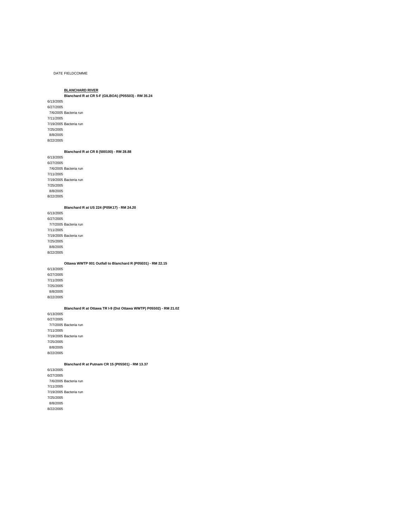#### **BLANCHARD RIVER**

**Blanchard R at CR 5-F (GILBOA) (P05S03) - RM 35.24** 6/13/2005 6/27/2005 7/6/2005 Bacteria run 7/11/2005 7/19/2005 Bacteria run 7/25/2005 8/8/2005 8/22/2005 **Blanchard R at CR 8 (500100) - RM 28.88** 6/13/2005 6/27/2005 7/6/2005 Bacteria run 7/11/2005 7/19/2005 Bacteria run 7/25/2005 8/8/2005 8/22/2005 **Blanchard R at US 224 (P05K17) - RM 24.20** 6/13/2005 6/27/2005 7/7/2005 Bacteria run 7/11/2005 7/19/2005 Bacteria run 7/25/2005 8/8/2005 8/22/2005 **Ottawa WWTP 001 Outfall to Blanchard R (P05E01) - RM 22.15** 6/13/2005 6/27/2005 7/11/2005 7/25/2005 8/8/2005 8/22/2005 **Blanchard R at Ottawa TR I-9 (Dst Ottawa WWTP) P05S02) - RM 21.02** 6/13/2005 6/27/2005 7/7/2005 Bacteria run 7/11/2005 7/19/2005 Bacteria run 7/25/2005 8/8/2005 8/22/2005

### **Blanchard R at Putnam CR 15 (P05S01) - RM 13.37**

6/13/2005 6/27/2005 7/6/2005 Bacteria run 7/11/2005 7/19/2005 Bacteria run 7/25/2005 8/8/2005 8/22/2005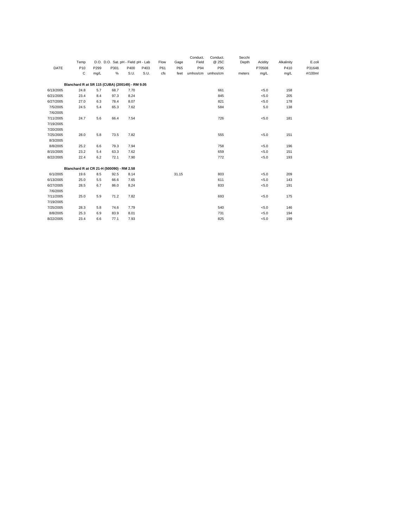|           |                                                 |      |                                    |      |      |      |       | Conduct. | Conduct. | Secchi |         |            |         |
|-----------|-------------------------------------------------|------|------------------------------------|------|------|------|-------|----------|----------|--------|---------|------------|---------|
|           | Temp                                            |      | D.O. D.O. Sat. pH - Field pH - Lab |      |      | Flow | Gage  | Field    | @ 25C    | Depth  | Acidity | Alkalinity | E.coli  |
| DATE      | P <sub>10</sub>                                 | P299 | P301                               | P400 | P403 | P61  | P65   | P94      | P95      |        | P70508  | P410       | P31648  |
|           | С                                               | mg/L | $\%$                               | S.U. | S.U. | cfs  | feet  | umhos/cm | umhos/cm | meters | mg/L    | mq/L       | #/100ml |
|           | Blanchard R at SR 115 (CUBA) (200149) - RM 9.05 |      |                                    |      |      |      |       |          |          |        |         |            |         |
| 6/13/2005 | 24.8                                            | 5.7  | 68.7                               | 7.70 |      |      |       |          | 661      |        | < 5.0   | 158        |         |
| 6/21/2005 | 23.4                                            | 8.4  | 97.3                               | 8.24 |      |      |       |          | 845      |        | < 5.0   | 205        |         |
| 6/27/2005 | 27.0                                            | 6.3  | 78.4                               | 8.07 |      |      |       |          | 821      |        | < 5.0   | 178        |         |
| 7/5/2005  | 24.5                                            | 5.4  | 65.3                               | 7.62 |      |      |       |          | 584      |        | 5.0     | 138        |         |
| 7/6/2005  |                                                 |      |                                    |      |      |      |       |          |          |        |         |            |         |
| 7/11/2005 | 24.7                                            | 5.6  | 66.4                               | 7.54 |      |      |       |          | 726      |        | < 5.0   | 181        |         |
| 7/19/2005 |                                                 |      |                                    |      |      |      |       |          |          |        |         |            |         |
| 7/20/2005 |                                                 |      |                                    |      |      |      |       |          |          |        |         |            |         |
| 7/25/2005 | 28.0                                            | 5.8  | 73.5                               | 7.82 |      |      |       |          | 555      |        | < 5.0   | 151        |         |
| 8/3/2005  |                                                 |      |                                    |      |      |      |       |          |          |        |         |            |         |
| 8/8/2005  | 25.2                                            | 6.6  | 79.3                               | 7.94 |      |      |       |          | 758      |        | < 5.0   | 196        |         |
| 8/15/2005 | 23.2                                            | 5.4  | 63.3                               | 7.62 |      |      |       |          | 659      |        | < 5.0   | 151        |         |
| 8/22/2005 | 22.4                                            | 6.2  | 72.1                               | 7.90 |      |      |       |          | 772      |        | < 5.0   | 193        |         |
|           | Blanchard R at CR 21-H (500090) - RM 2.58       |      |                                    |      |      |      |       |          |          |        |         |            |         |
| 6/1/2005  | 19.6                                            | 8.5  | 92.5                               | 8.14 |      |      | 31.15 |          | 803      |        | < 5.0   | 209        |         |
| 6/13/2005 | 25.0                                            | 5.5  | 66.6                               | 7.65 |      |      |       |          | 611      |        | < 5.0   | 143        |         |
| 6/27/2005 | 28.5                                            | 6.7  | 86.0                               | 8.24 |      |      |       |          | 833      |        | < 5.0   | 191        |         |
| 7/6/2005  |                                                 |      |                                    |      |      |      |       |          |          |        |         |            |         |
| 7/11/2005 | 25.0                                            | 5.9  | 71.2                               | 7.82 |      |      |       |          | 693      |        | < 5.0   | 175        |         |
| 7/19/2005 |                                                 |      |                                    |      |      |      |       |          |          |        |         |            |         |
| 7/25/2005 | 28.3                                            | 5.8  | 74.6                               | 7.79 |      |      |       |          | 540      |        | < 5.0   | 146        |         |
| 8/8/2005  | 25.3                                            | 6.9  | 83.9                               | 8.01 |      |      |       |          | 731      |        | < 5.0   | 194        |         |
| 8/22/2005 | 23.4                                            | 6.6  | 77.1                               | 7.93 |      |      |       |          | 825      |        | < 5.0   | 199        |         |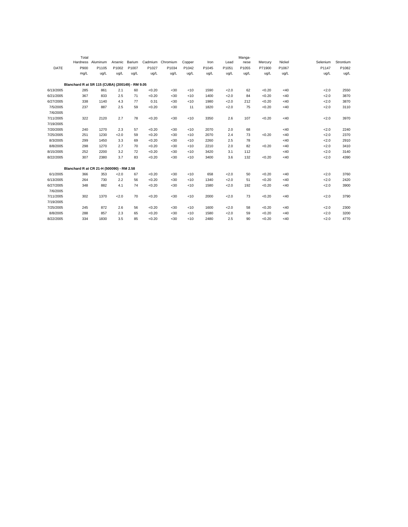|           | Total                                           |                   |         |        |        |                  |        |       |       | Manga- |         |        |          |           |
|-----------|-------------------------------------------------|-------------------|---------|--------|--------|------------------|--------|-------|-------|--------|---------|--------|----------|-----------|
|           |                                                 | Hardness Aluminum | Arsenic | Barium |        | Cadmium Chromium | Copper | Iron  | Lead  | nese   | Mercury | Nickel | Selenium | Strontium |
| DATE      | P900                                            | P1105             | P1002   | P1007  | P1027  | P1034            | P1042  | P1045 | P1051 | P1055  | P71900  | P1067  | P1147    | P1082     |
|           | mg/L                                            | ug/L              | ug/L    | ug/L   | ug/L   | ug/L             | ug/L   | ug/L  | ug/L  | ug/L   | ug/L    | ug/L   | ug/L     | ug/L      |
|           |                                                 |                   |         |        |        |                  |        |       |       |        |         |        |          |           |
|           | Blanchard R at SR 115 (CUBA) (200149) - RM 9.05 |                   |         |        |        |                  |        |       |       |        |         |        |          |           |
| 6/13/2005 | 285                                             | 861               | 2.1     | 60     | < 0.20 | $30$             | < 10   | 1590  | 2.0   | 62     | < 0.20  | <40    | 2.0      | 2550      |
| 6/21/2005 | 367                                             | 833               | 2.5     | 71     | < 0.20 | <30              | < 10   | 1400  | 2.0   | 84     | < 0.20  | < 40   | 2.0      | 3870      |
| 6/27/2005 | 338                                             | 1140              | 4.3     | 77     | 0.31   | <30              | < 10   | 1980  | 2.0   | 212    | < 0.20  | <40    | 2.0      | 3870      |
| 7/5/2005  | 237                                             | 887               | 2.5     | 59     | < 0.20 | $30$             | 11     | 1820  | 2.0   | 75     | < 0.20  | <40    | 2.0      | 3110      |
| 7/6/2005  |                                                 |                   |         |        |        |                  |        |       |       |        |         |        |          |           |
| 7/11/2005 | 322                                             | 2120              | 2.7     | 78     | < 0.20 | $30$             | < 10   | 3350  | 2.6   | 107    | < 0.20  | < 40   | 2.0      | 3970      |
| 7/19/2005 |                                                 |                   |         |        |        |                  |        |       |       |        |         |        |          |           |
| 7/20/2005 | 240                                             | 1270              | 2.3     | 57     | < 0.20 | <30              | < 10   | 2070  | 2.0   | 68     |         | < 40   | 2.0      | 2240      |
| 7/25/2005 | 251                                             | 1230              | 2.0     | 59     | < 0.20 | <30              | 10     | 2070  | 2.4   | 73     | < 0.20  | <40    | 2.0      | 2370      |
| 8/3/2005  | 299                                             | 1450              | 3.3     | 69     | < 0.20 | $30$             | < 10   | 2260  | 2.5   | 78     |         | <40    | 2.0      | 2910      |
| 8/8/2005  | 298                                             | 1270              | 2.7     | 70     | < 0.20 | $30$             | < 10   | 2210  | 2.0   | 82     | < 0.20  | <40    | 2.0      | 3410      |
| 8/15/2005 | 252                                             | 2200              | 3.2     | 72     | < 0.20 | <30              | < 10   | 3420  | 3.1   | 112    |         | <40    | 2.0      | 3140      |
| 8/22/2005 | 307                                             | 2380              | 3.7     | 83     | < 0.20 | <30              | <10    | 3400  | 3.6   | 132    | < 0.20  | <40    | 2.0      | 4390      |
|           |                                                 |                   |         |        |        |                  |        |       |       |        |         |        |          |           |
|           | Blanchard R at CR 21-H (500090) - RM 2.58       |                   |         |        |        |                  |        |       |       |        |         |        |          |           |
| 6/1/2005  | 366                                             | 353               | 2.0     | 67     | < 0.20 | $30$             | < 10   | 658   | 2.0   | 50     | < 0.20  | <40    | 2.0      | 3760      |
| 6/13/2005 | 264                                             | 730               | 2.2     | 56     | < 0.20 | <30              | < 10   | 1340  | 2.0   | 51     | < 0.20  | <40    | 2.0      | 2420      |
| 6/27/2005 | 348                                             | 882               | 4.1     | 74     | < 0.20 | <30              | <10    | 1580  | 2.0   | 192    | < 0.20  | <40    | 2.0      | 3900      |
| 7/6/2005  |                                                 |                   |         |        |        |                  |        |       |       |        |         |        |          |           |
| 7/11/2005 | 302                                             | 1370              | 2.0     | 70     | < 0.20 | $30$             | < 10   | 2000  | 2.0   | 73     | < 0.20  | <40    | 2.0      | 3790      |
| 7/19/2005 |                                                 |                   |         |        |        |                  |        |       |       |        |         |        |          |           |
| 7/25/2005 | 245                                             | 872               | 2.6     | 56     | < 0.20 | <30              | <10    | 1600  | 2.0   | 58     | < 0.20  | <40    | 2.0      | 2300      |
| 8/8/2005  | 288                                             | 857               | 2.3     | 65     | < 0.20 | <30              | < 10   | 1580  | 2.0   | 59     | < 0.20  | <40    | 2.0      | 3200      |
| 8/22/2005 | 334                                             | 1830              | 3.5     | 85     | < 0.20 | <30              | <10    | 2480  | 2.5   | 90     | < 0.20  | < 40   | 2.0      | 4770      |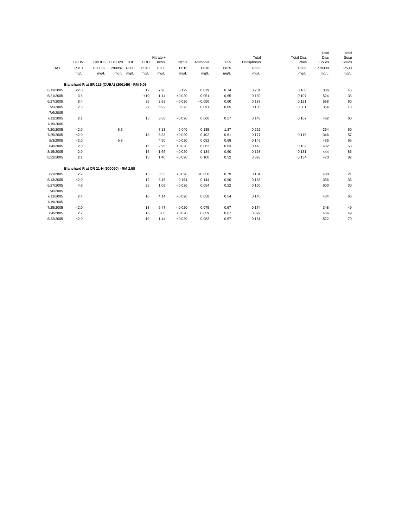|           | BOD <sub>5</sub>                                |        | CBOD5 CBOD20 | <b>TOC</b> | COD  | Nitrate +<br>nitrite | Nitrite | Ammonia | <b>TKN</b> | Total<br>Phosphorus | <b>Total Diss</b><br>Phos | Total<br><b>Diss</b><br>Solids | Total<br>Susp<br>Solids |
|-----------|-------------------------------------------------|--------|--------------|------------|------|----------------------|---------|---------|------------|---------------------|---------------------------|--------------------------------|-------------------------|
| DATE      | P310                                            | P80082 | P80087       | P680       | P340 | P630                 | P615    | P610    | P625       | P665                | P666                      | P70300                         | P530                    |
|           | mg/L                                            | mg/L   | mg/L         | mg/L       | mg/L | mg/L                 | mg/L    | mg/L    | mg/L       | mg/L                | mg/L                      | mg/L                           | mg/L                    |
|           |                                                 |        |              |            |      |                      |         |         |            |                     |                           |                                |                         |
|           | Blanchard R at SR 115 (CUBA) (200149) - RM 9.05 |        |              |            |      |                      |         |         |            |                     |                           |                                |                         |
| 6/13/2005 | 2.0                                             |        |              |            | 12   | 7.90                 | 0.129   | 0.079   | 0.74       | 0.201               | 0.160                     | 386                            | 45                      |
| 6/21/2005 | 3.6                                             |        |              |            | < 10 | 1.14                 | < 0.020 | 0.051   | 0.65       | 0.139               | 0.107                     | 524                            | 36                      |
| 6/27/2005 | 8.4                                             |        |              |            | 25   | 2.62                 | < 0.020 | < 0.050 | 0.60       | 0.187               | 0.121                     | 568                            | 80                      |
| 7/5/2005  | 2.5                                             |        |              |            | 27   | 6.92                 | 0.073   | 0.091   | 0.85       | 0.105               | 0.081                     | 354                            | 18                      |
| 7/6/2005  |                                                 |        |              |            |      |                      |         |         |            |                     |                           |                                |                         |
| 7/11/2005 | 2.1                                             |        |              |            | 13   | 3.68                 | < 0.020 | 0.060   | 0.57       | 0.148               | 0.107                     | 462                            | 60                      |
| 7/19/2005 |                                                 |        |              |            |      |                      |         |         |            |                     |                           |                                |                         |
| 7/20/2005 | 2.0                                             |        | 6.5          |            |      | 7.18                 | 0.040   | 0.135   | 1.37       | 0.262               |                           | 354                            | 60                      |
| 7/25/2005 | 2.0                                             |        |              |            | 13   | 6.33                 | < 0.020 | 0.102   | 0.61       | 0.177               | 0.116                     | 346                            | 57                      |
| 8/3/2005  | 2.0                                             |        | 5.8          |            |      | 4.90                 | < 0.020 | 0.052   | 0.68       | 0.146               |                           | 436                            | 65                      |
| 8/8/2005  | 2.0                                             |        |              |            | 16   | 2.96                 | < 0.020 | 0.062   | 0.63       | 0.143               | 0.102                     | 482                            | 53                      |
| 8/15/2005 | 2.0                                             |        |              |            | 16   | 1.65                 | < 0.020 | 0.134   | 0.60       | 0.168               | 0.131                     | 444                            | 85                      |
| 8/22/2005 | 2.1                                             |        |              |            | 13   | 1.40                 | < 0.020 | 0.100   | 0.52       | 0.328               | 0.134                     | 470                            | 82                      |
|           | Blanchard R at CR 21-H (500090) - RM 2.58       |        |              |            |      |                      |         |         |            |                     |                           |                                |                         |
| 6/1/2005  | 2.2                                             |        |              |            | 13   | 3.53                 | < 0.020 | < 0.050 | 0.79       | 0.104               |                           | 488                            | 21                      |
| 6/13/2005 | 2.0                                             |        |              |            | 12   | 8.46                 | 0.154   | 0.144   | 0.90       | 0.183               |                           | 366                            | 35                      |
| 6/27/2005 | 4.9                                             |        |              |            | 25   | 1.09                 | < 0.020 | 0.054   | 0.52       | 0.160               |                           | 600                            | 30                      |
| 7/6/2005  |                                                 |        |              |            |      |                      |         |         |            |                     |                           |                                |                         |
| 7/11/2005 | 2.4                                             |        |              |            | 10   | 4.14                 | < 0.020 | 0.058   | 0.54       | 0.140               |                           | 434                            | 66                      |
| 7/19/2005 |                                                 |        |              |            |      |                      |         |         |            |                     |                           |                                |                         |
| 7/25/2005 | 2.0                                             |        |              |            | 18   | 6.47                 | < 0.020 | 0.075   | 0.67       | 0.174               |                           | 348                            | 49                      |
| 8/8/2005  | 2.2                                             |        |              |            | 16   | 3.06                 | < 0.020 | 0.059   | 0.67       | 0.099               |                           | 466                            | 49                      |
| 8/22/2005 | 2.0                                             |        |              |            | 10   | 1.44                 | < 0.020 | 0.082   | 0.57       | 0.181               |                           | 522                            | 70                      |
|           |                                                 |        |              |            |      |                      |         |         |            |                     |                           |                                |                         |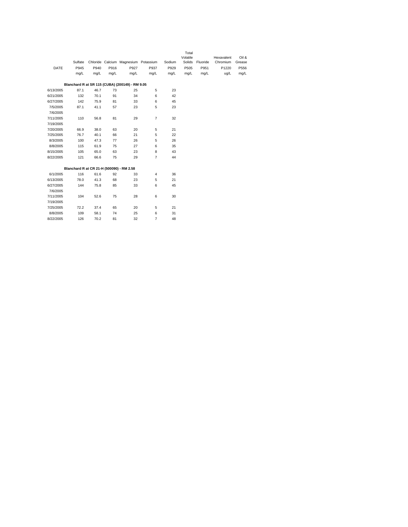|           |                                                 |      |      |                                      |                |        | Total              |          |                        |                 |
|-----------|-------------------------------------------------|------|------|--------------------------------------|----------------|--------|--------------------|----------|------------------------|-----------------|
|           | Sulfate                                         |      |      | Chloride Calcium Magnesium Potassium |                | Sodium | Volatile<br>Solids | Fluoride | Hexavalent<br>Chromium | Oil &<br>Grease |
| DATE      | P945                                            | P940 | P916 | P927                                 | P937           | P929   | P505               | P951     | P1220                  | P556            |
|           | mg/L                                            | mg/L | mg/L | mg/L                                 | mg/L           | mg/L   | mg/L               | mg/L     | ug/L                   | mg/L            |
|           |                                                 |      |      |                                      |                |        |                    |          |                        |                 |
|           | Blanchard R at SR 115 (CUBA) (200149) - RM 9.05 |      |      |                                      |                |        |                    |          |                        |                 |
| 6/13/2005 | 87.1                                            | 46.7 | 73   | 25                                   | 5              | 23     |                    |          |                        |                 |
| 6/21/2005 | 132                                             | 70.1 | 91   | 34                                   | 6              | 42     |                    |          |                        |                 |
| 6/27/2005 | 142                                             | 75.9 | 81   | 33                                   | 6              | 45     |                    |          |                        |                 |
| 7/5/2005  | 87.1                                            | 41.1 | 57   | 23                                   | 5              | 23     |                    |          |                        |                 |
| 7/6/2005  |                                                 |      |      |                                      |                |        |                    |          |                        |                 |
| 7/11/2005 | 110                                             | 56.8 | 81   | 29                                   | $\overline{7}$ | 32     |                    |          |                        |                 |
| 7/19/2005 |                                                 |      |      |                                      |                |        |                    |          |                        |                 |
| 7/20/2005 | 66.9                                            | 38.0 | 63   | 20                                   | 5              | 21     |                    |          |                        |                 |
| 7/25/2005 | 76.7                                            | 40.1 | 66   | 21                                   | 5              | 22     |                    |          |                        |                 |
| 8/3/2005  | 100                                             | 47.3 | 77   | 26                                   | 5              | 26     |                    |          |                        |                 |
| 8/8/2005  | 115                                             | 61.9 | 75   | 27                                   | 6              | 35     |                    |          |                        |                 |
| 8/15/2005 | 105                                             | 65.0 | 63   | 23                                   | 8              | 43     |                    |          |                        |                 |
| 8/22/2005 | 121                                             | 66.6 | 75   | 29                                   | $\overline{7}$ | 44     |                    |          |                        |                 |
|           |                                                 |      |      |                                      |                |        |                    |          |                        |                 |
|           | Blanchard R at CR 21-H (500090) - RM 2.58       |      |      |                                      |                |        |                    |          |                        |                 |
| 6/1/2005  | 116                                             | 61.6 | 92   | 33                                   | 4              | 36     |                    |          |                        |                 |
| 6/13/2005 | 78.0                                            | 41.3 | 68   | 23                                   | 5              | 21     |                    |          |                        |                 |
| 6/27/2005 | 144                                             | 75.8 | 85   | 33                                   | 6              | 45     |                    |          |                        |                 |
| 7/6/2005  |                                                 |      |      |                                      |                |        |                    |          |                        |                 |
| 7/11/2005 | 104                                             | 52.6 | 75   | 28                                   | 6              | 30     |                    |          |                        |                 |
| 7/19/2005 |                                                 |      |      |                                      |                |        |                    |          |                        |                 |
| 7/25/2005 | 72.2                                            | 37.4 | 65   | 20                                   | 5              | 21     |                    |          |                        |                 |
| 8/8/2005  | 109                                             | 58.1 | 74   | 25                                   | 6              | 31     |                    |          |                        |                 |
| 8/22/2005 | 126                                             | 70.2 | 81   | 32                                   | $\overline{7}$ | 48     |                    |          |                        |                 |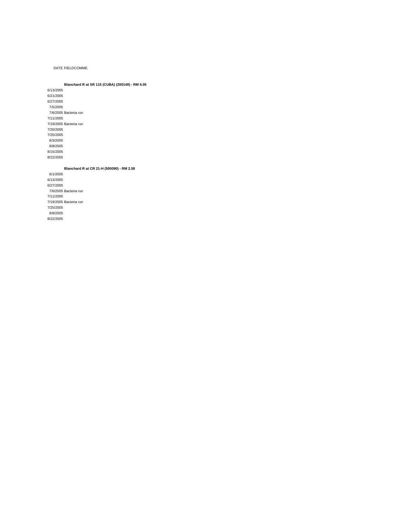# **Blanchard R at SR 115 (CUBA) (200149) - RM 9.05**

6/13/2005 6/21/2005 6/27/2005 7/5/2005 7/6/2005 Bacteria run 7/11/2005 7/19/2005 Bacteria run 7/20/2005 7/25/2005 8/3/2005 8/8/2005 8/15/2005 8/22/2005

## **Blanchard R at CR 21-H (500090) - RM 2.58**

6/1/2005 6/13/2005 6/27/2005 7/6/2005 Bacteria run 7/11/2005 7/19/2005 Bacteria run 7/25/2005 8/8/2005 8/22/2005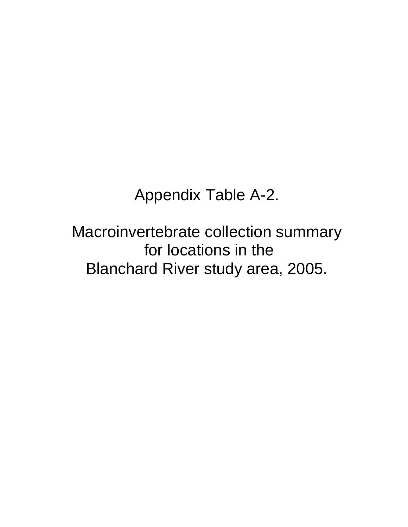# Appendix Table A-2.

Macroinvertebrate collection summary for locations in the Blanchard River study area, 2005.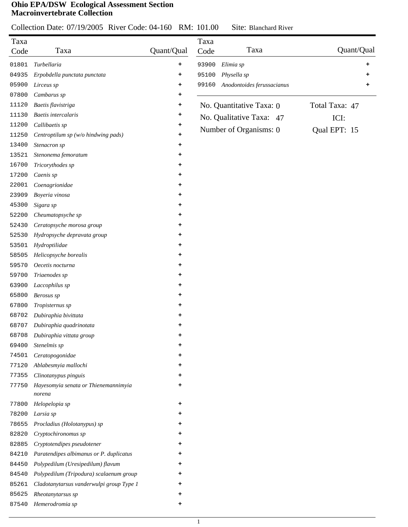|                                                                                                                                                                                                                      | <b>Ohio EPA/DSW Ecological Assessment Section</b><br><b>Macroinvertebrate Collection</b>                                                                                                                                                                                                                                                                                                                                                                                                                       |            |                                                                                                          |                         |                          |                                                                                                              |                                        |                     |  |
|----------------------------------------------------------------------------------------------------------------------------------------------------------------------------------------------------------------------|----------------------------------------------------------------------------------------------------------------------------------------------------------------------------------------------------------------------------------------------------------------------------------------------------------------------------------------------------------------------------------------------------------------------------------------------------------------------------------------------------------------|------------|----------------------------------------------------------------------------------------------------------|-------------------------|--------------------------|--------------------------------------------------------------------------------------------------------------|----------------------------------------|---------------------|--|
|                                                                                                                                                                                                                      | Collection Date: 07/19/2005 River Code: 04-160<br>RM: 101.00                                                                                                                                                                                                                                                                                                                                                                                                                                                   |            |                                                                                                          |                         |                          | Site: Blanchard River                                                                                        |                                        |                     |  |
| Taxa<br>Code                                                                                                                                                                                                         | Taxa                                                                                                                                                                                                                                                                                                                                                                                                                                                                                                           | Quant/Qual |                                                                                                          | Taxa<br>Code            |                          | Taxa                                                                                                         | Quant/Qual                             |                     |  |
| 01801<br>04935<br>05900<br>07800<br>11120<br>11130<br>11200<br>11250<br>13400<br>13521<br>16700<br>17200<br>22001<br>23909<br>45300<br>52200<br>52430<br>52530<br>53501<br>58505<br>59570<br>59700<br>63900<br>65800 | Turbellaria<br>Erpobdella punctata punctata<br>Lirceus sp<br>Cambarus sp<br>Baetis flavistriga<br><b>Baetis</b> intercalaris<br>Callibaetis sp<br>Centroptilum sp (w/o hindwing pads)<br>Stenacron sp<br>Stenonema femoratum<br>Tricorythodes sp<br>Caenis sp<br>Coenagrionidae<br>Boyeria vinosa<br>Sigara sp<br>Cheumatopsyche sp<br>Ceratopsyche morosa group<br>Hydropsyche depravata group<br>Hydroptilidae<br>Helicopsyche borealis<br>Oecetis nocturna<br>Triaenodes sp<br>Laccophilus sp<br>Berosus sp |            | ٠<br>٠<br>٠<br>÷<br>+<br>٠<br>٠<br>٠<br>٠<br>÷<br>÷<br>٠<br>٠<br>÷<br>٠<br>٠<br>٠<br>÷<br>٠<br>$\ddot{}$ | 93900<br>95100<br>99160 | Elimia sp<br>Physella sp | Anodontoides ferussacianus<br>No. Quantitative Taxa: 0<br>No. Qualitative Taxa: 47<br>Number of Organisms: 0 | Total Taxa: 47<br>ICI:<br>Qual EPT: 15 | ۰<br>+<br>$\ddot{}$ |  |
| 67800<br>68702<br>68707<br>68708                                                                                                                                                                                     | Tropisternus sp<br>Dubiraphia bivittata<br>Dubiraphia quadrinotata<br>Dubiraphia vittata group                                                                                                                                                                                                                                                                                                                                                                                                                 |            | ٠<br>٠<br>٠                                                                                              |                         |                          |                                                                                                              |                                        |                     |  |

 *Stenelmis sp* **+** *Ceratopogonidae* **+** *Ablabesmyia mallochi* **+** *Clinotanypus pinguis* **+**

 *Helopelopia sp* **+** *Larsia sp* **+** *Procladius (Holotanypus) sp* **+** *Cryptochironomus sp* **+** *Cryptotendipes pseudotener* **+** *Paratendipes albimanus or P. duplicatus* **+** *Polypedilum (Uresipedilum) flavum* **+** *Polypedilum (Tripodura) scalaenum group* **+** *Cladotanytarsus vanderwulpi group Type 1* **+** *Rheotanytarsus sp* **+** *Hemerodromia sp* **+**

*Hayesomyia senata or Thienemannimyia*

*norena*

 **+**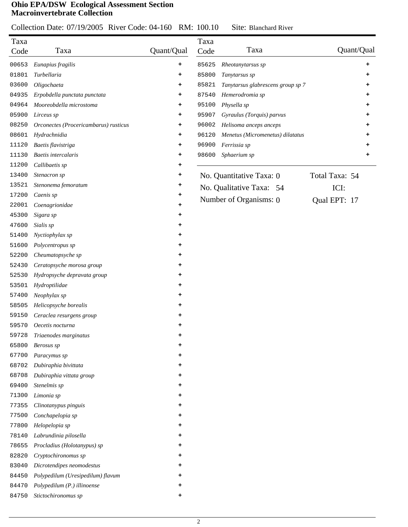Collection Date: 07/19/2005 River Code: 04-160 RM: 100.10 Site: Blanchard River

| Taxa  |                                       |            | Taxa  |                                   |                |
|-------|---------------------------------------|------------|-------|-----------------------------------|----------------|
| Code  | Taxa                                  | Quant/Qual | Code  | Taxa                              | Quant/Qual     |
| 00653 | Eunapius fragilis                     | +          | 85625 | Rheotanytarsus sp                 | +              |
| 01801 | Turbellaria                           | +          | 85800 | Tanytarsus sp                     | +              |
| 03600 | Oligochaeta                           | +          | 85821 | Tanytarsus glabrescens group sp 7 |                |
| 04935 | Erpobdella punctata punctata          | +          | 87540 | Hemerodromia sp                   |                |
| 04964 | Mooreobdella microstoma               | ٠          | 95100 | Physella sp                       |                |
| 05900 | Lirceus sp                            | +          | 95907 | Gyraulus (Torquis) parvus         |                |
| 08250 | Orconectes (Procericambarus) rusticus | ٠          | 96002 | Helisoma anceps anceps            |                |
| 08601 | Hydrachnidia                          | +          | 96120 | Menetus (Micromenetus) dilatatus  |                |
| 11120 | Baetis flavistriga                    | +          | 96900 | Ferrissia sp                      |                |
| 11130 | <b>Baetis</b> intercalaris            | +          | 98600 | Sphaerium sp                      | +              |
| 11200 | Callibaetis sp                        | ٠          |       |                                   |                |
| 13400 | Stenacron sp                          | +          |       | No. Quantitative Taxa: 0          | Total Taxa: 54 |
| 13521 | Stenonema femoratum                   | ٠          |       | No. Qualitative Taxa: 54          | ICI:           |
| 17200 | Caenis sp                             | ٠          |       | Number of Organisms: 0            | Qual EPT: 17   |
| 22001 | Coenagrionidae                        | ٠          |       |                                   |                |
| 45300 | Sigara sp                             | ٠          |       |                                   |                |
| 47600 | Sialis sp                             | ٠          |       |                                   |                |
| 51400 | Nyctiophylax sp                       | ٠          |       |                                   |                |
| 51600 | Polycentropus sp                      | ٠          |       |                                   |                |
| 52200 | Cheumatopsyche sp                     | ٠          |       |                                   |                |
| 52430 | Ceratopsyche morosa group             | ٠          |       |                                   |                |
| 52530 | Hydropsyche depravata group           | ٠          |       |                                   |                |
| 53501 | Hydroptilidae                         | ٠          |       |                                   |                |
| 57400 | Neophylax sp                          | ٠          |       |                                   |                |
| 58505 | Helicopsyche borealis                 | ٠          |       |                                   |                |
| 59150 | Ceraclea resurgens group              | ٠          |       |                                   |                |
| 59570 | Oecetis nocturna                      | ٠          |       |                                   |                |
| 59728 | Triaenodes marginatus                 | ٠          |       |                                   |                |
| 65800 | Berosus sp                            | ٠          |       |                                   |                |
| 67700 | Paracymus sp                          | ٠          |       |                                   |                |
| 68702 | Dubiraphia bivittata                  | +          |       |                                   |                |
| 68708 | Dubiraphia vittata group              |            |       |                                   |                |
| 69400 | Stenelmis sp                          | ٠          |       |                                   |                |
| 71300 | Limonia sp                            | ٠          |       |                                   |                |
| 77355 | Clinotanypus pinguis                  | +          |       |                                   |                |
| 77500 | Conchapelopia sp                      |            |       |                                   |                |
| 77800 | Helopelopia sp                        | ٠          |       |                                   |                |
| 78140 | Labrundinia pilosella                 |            |       |                                   |                |
| 78655 | Procladius (Holotanypus) sp           | +          |       |                                   |                |
| 82820 | Cryptochironomus sp                   |            |       |                                   |                |
| 83040 | Dicrotendipes neomodestus             |            |       |                                   |                |
| 84450 | Polypedilum (Uresipedilum) flavum     | ٠          |       |                                   |                |
| 84470 | Polypedilum (P.) illinoense           | ٠          |       |                                   |                |
| 84750 | Stictochironomus sp                   | +          |       |                                   |                |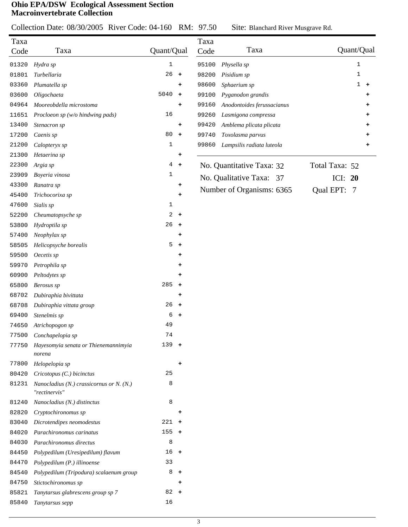Collection Date: 08/30/2005 River Code: 04-160 RM: 97.50 Site: Blanchard River Musgrave Rd.

| Taxa  |                                                             |                |                      | Taxa  |                             |                |
|-------|-------------------------------------------------------------|----------------|----------------------|-------|-----------------------------|----------------|
| Code  | Taxa                                                        | Quant/Qual     |                      | Code  | Taxa                        | Quant/Qual     |
| 01320 | Hydra sp                                                    | $\mathbf{1}$   |                      | 95100 | Physella sp                 | 1              |
| 01801 | Turbellaria                                                 | 26             | $\ddot{}$            | 98200 | Pisidium sp                 | 1              |
| 03360 | Plumatella sp                                               |                | +                    | 98600 | Sphaerium sp                | 1<br>$\ddot{}$ |
| 03600 | Oligochaeta                                                 | 5040           | $\pm$                | 99100 | Pyganodon grandis           | +              |
| 04964 | Mooreobdella microstoma                                     |                | ٠                    | 99160 | Anodontoides ferussacianus  | +              |
| 11651 | Procloeon sp (w/o hindwing pads)                            | 16             |                      | 99260 | Lasmigona compressa         | +              |
| 13400 | Stenacron sp                                                |                | $\ddot{}$            | 99420 | Amblema plicata plicata     | +              |
| 17200 | Caenis sp                                                   | 80             | $\pm$                | 99740 | Toxolasma parvus            | +              |
| 21200 | Calopteryx sp                                               | $1\,$          |                      | 99860 | Lampsilis radiata luteola   | +              |
| 21300 | Hetaerina sp                                                |                | ٠                    |       |                             |                |
| 22300 | Argia sp                                                    | $\overline{4}$ | $\ddag$              |       | No. Quantitative Taxa: 32   | Total Taxa: 52 |
| 23909 | Boyeria vinosa                                              | $\mathbf{1}$   |                      |       | No. Qualitative Taxa:<br>37 | <b>ICI: 20</b> |
| 43300 | Ranatra sp                                                  |                | ٠                    |       |                             |                |
| 45400 | Trichocorixa sp                                             |                | ٠                    |       | Number of Organisms: 6365   | Qual EPT: 7    |
| 47600 | Sialis sp                                                   | 1              |                      |       |                             |                |
| 52200 | Cheumatopsyche sp                                           | 2              | $\ddot{\phantom{1}}$ |       |                             |                |
| 53800 | Hydroptila sp                                               | 26             | $\ddot{}$            |       |                             |                |
| 57400 | Neophylax sp                                                |                | +                    |       |                             |                |
| 58505 | Helicopsyche borealis                                       | 5              | $\ddot{\phantom{1}}$ |       |                             |                |
| 59500 | Oecetis sp                                                  |                | ٠                    |       |                             |                |
| 59970 | Petrophila sp                                               |                | +                    |       |                             |                |
| 60900 | Peltodytes sp                                               |                | +                    |       |                             |                |
| 65800 | Berosus sp                                                  | 285            | $\ddot{\phantom{1}}$ |       |                             |                |
| 68702 | Dubiraphia bivittata                                        |                | +                    |       |                             |                |
| 68708 | Dubiraphia vittata group                                    | 26             | $\ddot{\phantom{1}}$ |       |                             |                |
| 69400 | Stenelmis sp                                                | 6              | $\ddot{}$            |       |                             |                |
| 74650 | Atrichopogon sp                                             | 49             |                      |       |                             |                |
| 77500 | Conchapelopia sp                                            | 74             |                      |       |                             |                |
| 77750 | Hayesomyia senata or Thienemannimyia<br>norena              | $139 +$        |                      |       |                             |                |
| 77800 | Helopelopia sp                                              |                | ٠                    |       |                             |                |
| 80420 | Cricotopus (C.) bicinctus                                   | 25             |                      |       |                             |                |
| 81231 | Nanocladius (N.) crassicornus or $N. (N.)$<br>"rectinervis" | 8              |                      |       |                             |                |
| 81240 | Nanocladius (N.) distinctus                                 | 8              |                      |       |                             |                |
| 82820 | Cryptochironomus sp                                         |                | ٠                    |       |                             |                |
| 83040 | Dicrotendipes neomodestus                                   | 221            | $\ddot{\phantom{1}}$ |       |                             |                |
| 84020 | Parachironomus carinatus                                    | 155            | $\ddot{}$            |       |                             |                |
| 84030 | Parachironomus directus                                     | 8              |                      |       |                             |                |
| 84450 | Polypedilum (Uresipedilum) flavum                           | 16             | $+$                  |       |                             |                |
| 84470 | Polypedilum (P.) illinoense                                 | 33             |                      |       |                             |                |
| 84540 | Polypedilum (Tripodura) scalaenum group                     | 8              | $\ddot{\phantom{1}}$ |       |                             |                |
| 84750 | Stictochironomus sp                                         |                | ٠                    |       |                             |                |
| 85821 | Tanytarsus glabrescens group sp 7                           | $82 +$         |                      |       |                             |                |
| 85840 | Tanytarsus sepp                                             | 16             |                      |       |                             |                |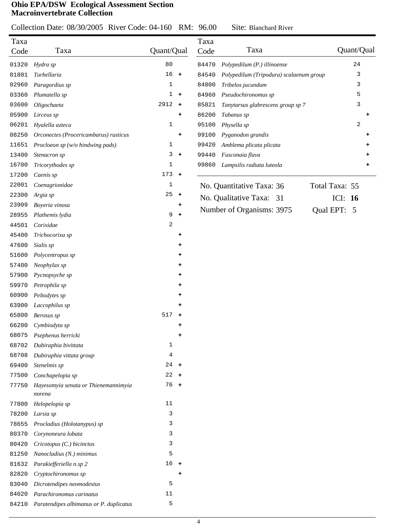Collection Date: 08/30/2005 River Code: 04-160 RM: 96.00 Site: Blanchard River

| Taxa  |                                                |            |           | Taxa  |                                         |                |
|-------|------------------------------------------------|------------|-----------|-------|-----------------------------------------|----------------|
| Code  | Taxa                                           | Quant/Qual |           | Code  | Taxa                                    | Quant/Qual     |
| 01320 | Hydra sp                                       | 80         |           | 84470 | Polypedilum (P.) illinoense             | 24             |
| 01801 | Turbellaria                                    | 16         | $+$       | 84540 | Polypedilum (Tripodura) scalaenum group | 3              |
| 02960 | Paragordius sp                                 | 1          |           | 84800 | Tribelos jucundum                       | 3              |
| 03360 | Plumatella sp                                  | $1 -$      | $\ddot{}$ | 84960 | Pseudochironomus sp                     | 5              |
| 03600 | Oligochaeta                                    | $2912 +$   |           | 85821 | Tanytarsus glabrescens group sp 7       | 3              |
| 05900 | Lirceus sp                                     |            | +         | 86200 | Tabanus sp                              | +              |
| 06201 | Hyalella azteca                                | 1          |           | 95100 | Physella sp                             | 2              |
| 08250 | Orconectes (Procericambarus) rusticus          |            | +         | 99100 | Pyganodon grandis                       | +              |
| 11651 | Procloeon sp (w/o hindwing pads)               | 1          |           | 99420 | Amblema plicata plicata                 | ٠              |
| 13400 | Stenacron sp                                   | 3          | $\pm$     | 99440 | Fusconaia flava                         | +              |
| 16700 | Tricorythodes sp                               | 1          |           | 99860 | Lampsilis radiata luteola               | +              |
| 17200 | Caenis sp                                      | 173        | $\ddot{}$ |       |                                         |                |
| 22001 | Coenagrionidae                                 | 1          |           |       | No. Quantitative Taxa: 36               | Total Taxa: 55 |
| 22300 | Argia sp                                       | $25 +$     |           |       | No. Qualitative Taxa:<br>31             | ICI: 16        |
| 23909 | Boyeria vinosa                                 |            | ٠         |       |                                         |                |
| 28955 | Plathemis lydia                                | 9          | $\ddot{}$ |       | Number of Organisms: 3975               | Qual EPT: 5    |
| 44501 | Corixidae                                      | 2          |           |       |                                         |                |
| 45400 | Trichocorixa sp                                |            | $\ddot{}$ |       |                                         |                |
| 47600 | Sialis sp                                      |            | ٠         |       |                                         |                |
| 51600 | Polycentropus sp                               |            | ٠         |       |                                         |                |
| 57400 | Neophylax sp                                   |            | $\ddot{}$ |       |                                         |                |
| 57900 | Pycnopsyche sp                                 |            | ٠         |       |                                         |                |
| 59970 | Petrophila sp                                  |            | ٠         |       |                                         |                |
| 60900 | Peltodytes sp                                  |            | ٠         |       |                                         |                |
| 63900 | Laccophilus sp                                 |            | ٠         |       |                                         |                |
| 65800 | Berosus sp                                     | 517        | $\ddot{}$ |       |                                         |                |
| 66200 | Cymbiodyta sp                                  |            | ٠         |       |                                         |                |
| 68075 | Psephenus herricki                             |            | $\ddot{}$ |       |                                         |                |
| 68702 | Dubiraphia bivittata                           | 1          |           |       |                                         |                |
| 68708 | Dubiraphia vittata group                       | 4          |           |       |                                         |                |
| 69400 | Stenelmis sp                                   | $24 +$     |           |       |                                         |                |
| 77500 | Conchapelopia sp                               | $22 +$     |           |       |                                         |                |
| 77750 | Hayesomyia senata or Thienemannimyia<br>norena | $76 +$     |           |       |                                         |                |
| 77800 | Helopelopia sp                                 | 11         |           |       |                                         |                |
| 78200 | Larsia sp                                      | 3          |           |       |                                         |                |
| 78655 | Procladius (Holotanypus) sp                    | 3          |           |       |                                         |                |
| 80370 | Corynoneura lobata                             | 3          |           |       |                                         |                |
| 80420 | Cricotopus (C.) bicinctus                      | 3          |           |       |                                         |                |
| 81250 | Nanocladius (N.) minimus                       | 5          |           |       |                                         |                |
| 81632 | Parakiefferiella n.sp 2                        | $16 +$     |           |       |                                         |                |
| 82820 | Cryptochironomus sp                            |            |           |       |                                         |                |
| 83040 | Dicrotendipes neomodestus                      | 5          |           |       |                                         |                |
| 84020 | Parachironomus carinatus                       | 11         |           |       |                                         |                |
| 84210 | Paratendipes albimanus or P. duplicatus        | 5          |           |       |                                         |                |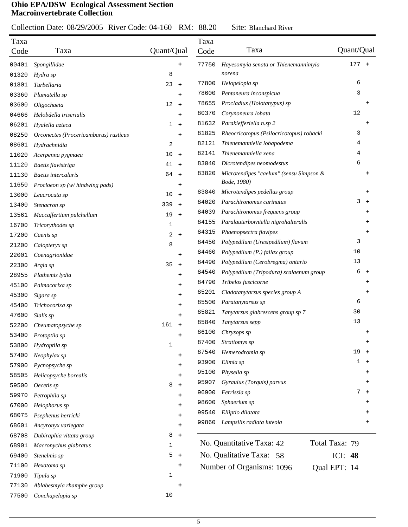Collection Date: 08/29/2005 River Code: 04-160 RM: 88.20 Site: Blanchard River

| Taxa  |                                       |                                      | Taxa  |                                          |                 |
|-------|---------------------------------------|--------------------------------------|-------|------------------------------------------|-----------------|
| Code  | Taxa                                  | Quant/Qual                           | Code  | Taxa                                     | Quant/Qual      |
| 00401 | Spongillidae                          | ٠                                    | 77750 | Hayesomyia senata or Thienemannimyia     | 177             |
| 01320 | Hydra sp                              | 8                                    |       | norena                                   |                 |
| 01801 | Turbellaria                           | 23<br>$\ddot{}$                      | 77800 | Helopelopia sp                           | 6               |
| 03360 | Plumatella sp                         | ٠                                    | 78600 | Pentaneura inconspicua                   | 3               |
| 03600 | Oligochaeta                           | 12<br>$\ddot{\phantom{1}}$           | 78655 | Procladius (Holotanypus) sp              |                 |
| 04666 | Helobdella triserialis                | <sup>+</sup>                         | 80370 | Corynoneura lobata                       | 12              |
| 06201 | Hyalella azteca                       | $\mathbf{1}$<br>$\ddot{\phantom{1}}$ | 81632 | Parakiefferiella n.sp 2                  | +               |
| 08250 | Orconectes (Procericambarus) rusticus | ٠                                    | 81825 | Rheocricotopus (Psilocricotopus) robacki | 3               |
| 08601 | Hydrachnidia                          | $\overline{c}$                       | 82121 | Thienemanniella lobapodema               | 4               |
| 11020 | Acerpenna pygmaea                     | 10<br>$\ddot{}$                      | 82141 | Thienemanniella xena                     | 4               |
| 11120 | Baetis flavistriga                    | 41<br>$\ddot{}$                      | 83040 | Dicrotendipes neomodestus                | 6               |
| 11130 | <b>Baetis</b> intercalaris            | 64<br>$\ddot{}$                      | 83820 | Microtendipes "caelum" (sensu Simpson &  |                 |
| 11650 | Procloeon sp (w/hindwing pads)        | ٠                                    |       | Bode, 1980)                              |                 |
| 13000 | Leucrocuta sp                         | 10<br>$\ddot{}$                      | 83840 | Microtendipes pedellus group             | ٠               |
| 13400 | Stenacron sp                          | 339<br>$\ddot{}$                     | 84020 | Parachironomus carinatus                 | 3<br>$\ddot{}$  |
| 13561 | Maccaffertium pulchellum              | 19<br>$\ddot{}$                      | 84039 | Parachironomus frequens group            |                 |
| 16700 | Tricorythodes sp                      | 1                                    | 84155 | Paralauterborniella nigrohalteralis      |                 |
| 17200 | Caenis sp                             | 2<br>$\ddot{}$                       | 84315 | Phaenopsectra flavipes                   |                 |
| 21200 | Calopteryx sp                         | 8                                    | 84450 | Polypedilum (Uresipedilum) flavum        | 3               |
| 22001 | Coenagrionidae                        | ٠                                    | 84460 | Polypedilum (P.) fallax group            | 10              |
| 22300 | Argia sp                              | 35<br>$\ddot{}$                      | 84490 | Polypedilum (Cerobregma) ontario         | 13              |
| 28955 | Plathemis lydia                       | ٠                                    | 84540 | Polypedilum (Tripodura) scalaenum group  | 6               |
| 45100 | Palmacorixa sp                        | ٠                                    | 84790 | Tribelos fuscicorne                      | ÷               |
| 45300 | Sigara sp                             | ٠                                    | 85201 | Cladotanytarsus species group A          | ÷               |
| 45400 | Trichocorixa sp                       | ٠                                    | 85500 | Paratanytarsus sp                        | 6               |
| 47600 | Sialis sp                             |                                      | 85821 | Tanytarsus glabrescens group sp 7        | 30              |
| 52200 | Cheumatopsyche sp                     | 161<br>$\ddot{}$                     | 85840 | Tanytarsus sepp                          | 13              |
| 53400 | Protoptila sp                         | ٠                                    |       | 86100 Chrysops sp                        |                 |
| 53800 | Hydroptila sp                         | $\mathbf 1$                          | 87400 | Stratiomys sp                            | +               |
| 57400 | Neophylax sp                          | ٠                                    | 87540 | Hemerodromia sp                          | 19<br>$\ddot{}$ |
| 57900 | Pycnopsyche sp                        | ٠                                    | 93900 | Elimia sp                                | 1<br>$\ddot{}$  |
| 58505 | Helicopsyche borealis                 | ٠                                    | 95100 | Physella sp                              | ٠               |
| 59500 | Oecetis sp                            | 8<br>$\ddot{}$                       | 95907 | Gyraulus (Torquis) parvus                | +               |
| 59970 | Petrophila sp                         | ٠                                    | 96900 | Ferrissia sp                             | 7<br>$\ddot{}$  |
| 67000 | Helophorus sp                         | +                                    | 98600 | Sphaerium sp                             |                 |
| 68075 | Psephenus herricki                    | ٠                                    | 99540 | Elliptio dilatata                        |                 |
| 68601 | Ancyronyx variegata                   | ٠                                    | 99860 | Lampsilis radiata luteola                | +               |
| 68708 | Dubiraphia vittata group              | 8<br>$\ddot{}$                       |       |                                          |                 |
| 68901 | Macronychus glabratus                 | $\mathbf{1}$                         |       | No. Quantitative Taxa: 42                | Total Taxa: 79  |
| 69400 | Stenelmis sp                          | 5<br>$\ddot{}$                       |       | No. Qualitative Taxa: 58                 | ICI: 48         |
| 71100 | Hexatoma sp                           | +                                    |       | Number of Organisms: 1096                | Qual EPT: 14    |
| 71900 | Tipula sp                             | 1                                    |       |                                          |                 |
| 77130 | Ablabesmyia rhamphe group             | +                                    |       |                                          |                 |
| 77500 | Conchapelopia sp                      | 10                                   |       |                                          |                 |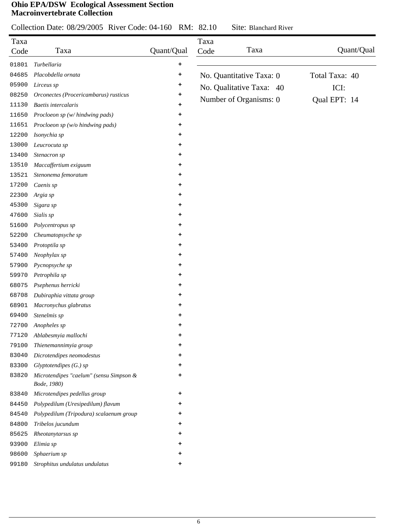|  | Collection Date: 08/29/2005 River Code: 04-160 RM: 82.10 |  |  | Site: Blanchard River |
|--|----------------------------------------------------------|--|--|-----------------------|
|--|----------------------------------------------------------|--|--|-----------------------|

|              |                                                        |            | Taxa |                          |                |
|--------------|--------------------------------------------------------|------------|------|--------------------------|----------------|
| Taxa<br>Code | Taxa                                                   | Quant/Qual | Code | Taxa                     | Quant/Qual     |
|              |                                                        |            |      |                          |                |
| 01801        | Turbellaria                                            | ٠          |      |                          |                |
| 04685        | Placobdella ornata                                     | ۰          |      | No. Quantitative Taxa: 0 | Total Taxa: 40 |
| 05900        | Lirceus sp                                             | ٠          |      | No. Qualitative Taxa: 40 | ICI:           |
| 08250        | Orconectes (Procericambarus) rusticus                  | +          |      | Number of Organisms: 0   | Qual EPT: 14   |
| 11130        | <b>Baetis</b> intercalaris                             | ٠          |      |                          |                |
| 11650        | Procloeon sp (w/hindwing pads)                         | ۰          |      |                          |                |
| 11651        | Procloeon sp (w/o hindwing pads)                       | ۰          |      |                          |                |
| 12200        | Isonychia sp                                           | ۰          |      |                          |                |
| 13000        | Leucrocuta sp                                          | ٠          |      |                          |                |
| 13400        | Stenacron sp                                           |            |      |                          |                |
| 13510        | Maccaffertium exiguum                                  | ٠          |      |                          |                |
| 13521        | Stenonema femoratum                                    | ٠          |      |                          |                |
| 17200        | Caenis sp                                              | ٠          |      |                          |                |
| 22300        | Argia sp                                               |            |      |                          |                |
| 45300        | Sigara sp                                              |            |      |                          |                |
| 47600        | Sialis sp                                              | ٠          |      |                          |                |
| 51600        | Polycentropus sp                                       | ٠          |      |                          |                |
| 52200        | Cheumatopsyche sp                                      | ٠          |      |                          |                |
| 53400        | Protoptila sp                                          | ٠          |      |                          |                |
| 57400        | Neophylax sp                                           | ۰          |      |                          |                |
| 57900        | Pycnopsyche sp                                         | ٠          |      |                          |                |
| 59970        | Petrophila sp                                          | ٠          |      |                          |                |
| 68075        | Psephenus herricki                                     | ٠          |      |                          |                |
| 68708        | Dubiraphia vittata group                               | ٠          |      |                          |                |
| 68901        | Macronychus glabratus                                  |            |      |                          |                |
| 69400        | Stenelmis sp                                           |            |      |                          |                |
| 72700        | Anopheles sp                                           |            |      |                          |                |
| 77120        | Ablabesmyia mallochi                                   | ٠          |      |                          |                |
| 79100        | Thienemannimyia group                                  |            |      |                          |                |
| 83040        | Dicrotendipes neomodestus                              | ÷          |      |                          |                |
| 83300        | Glyptotendipes (G.) sp                                 |            |      |                          |                |
| 83820        | Microtendipes "caelum" (sensu Simpson &<br>Bode, 1980) | ٠          |      |                          |                |
| 83840        | Microtendipes pedellus group                           | ٠          |      |                          |                |
| 84450        | Polypedilum (Uresipedilum) flavum                      |            |      |                          |                |
| 84540        | Polypedilum (Tripodura) scalaenum group                |            |      |                          |                |
| 84800        | Tribelos jucundum                                      |            |      |                          |                |
| 85625        | Rheotanytarsus sp                                      |            |      |                          |                |
| 93900        | Elimia sp                                              |            |      |                          |                |
| 98600        | Sphaerium sp                                           |            |      |                          |                |
| 99180        | Strophitus undulatus undulatus                         |            |      |                          |                |
|              |                                                        |            |      |                          |                |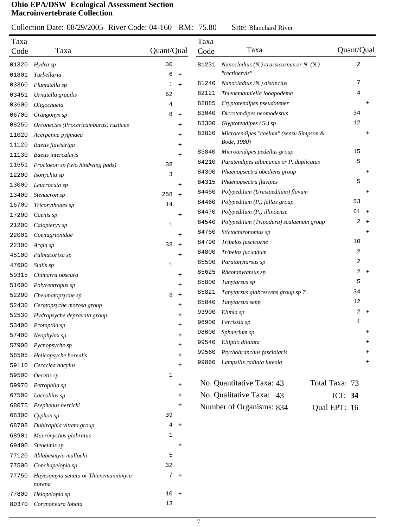*Corynoneura lobata* 13

Collection Date: 08/29/2005 River Code: 04-160 RM: 75.80 Site: Blanchard River

| Taxa  |                                                |             |                      | Taxa  |                                            |                |   |
|-------|------------------------------------------------|-------------|----------------------|-------|--------------------------------------------|----------------|---|
| Code  | Taxa                                           | Quant/Qual  |                      | Code  | Taxa                                       | Quant/Qual     |   |
| 01320 | Hydra sp                                       | 30          |                      | 81231 | Nanocladius (N.) crassicornus or $N. (N.)$ | 2              |   |
| 01801 | Turbellaria                                    | 6           |                      |       | "rectinervis"                              |                |   |
| 03360 | Plumatella sp                                  | 1           | $\ddot{}$            | 81240 | Nanocladius (N.) distinctus                | 7              |   |
| 03451 | Urnatella gracilis                             | 52          |                      | 82121 | Thienemanniella lobapodema                 | 4              |   |
| 03600 | Oligochaeta                                    | 4           |                      | 82885 | Cryptotendipes pseudotener                 |                |   |
| 06700 | Crangonyx sp                                   | 8           | $\ddot{}$            | 83040 | Dicrotendipes neomodestus                  | 34             |   |
| 08250 | Orconectes (Procericambarus) rusticus          |             | $\ddot{}$            | 83300 | $Glyptotendipes(G.)$ sp                    | 12             |   |
| 11020 | Acerpenna pygmaea                              |             | $\ddot{}$            | 83820 | Microtendipes "caelum" (sensu Simpson &    |                |   |
| 11120 | Baetis flavistriga                             |             | ٠                    |       | Bode, 1980)                                |                |   |
| 11130 | Baetis intercalaris                            |             | ÷                    | 83840 | Microtendipes pedellus group               | 15             |   |
| 11651 | Procloeon sp (w/o hindwing pads)               | 38          |                      | 84210 | Paratendipes albimanus or P. duplicatus    | 5              |   |
| 12200 | Isonychia sp                                   | 3           |                      | 84300 | Phaenopsectra obediens group               |                |   |
| 13000 | Leucrocuta sp                                  |             | ٠                    | 84315 | Phaenopsectra flavipes                     | 5              |   |
| 13400 | Stenacron sp                                   | 258         | ÷                    | 84450 | Polypedilum (Uresipedilum) flavum          |                |   |
| 16700 | Tricorythodes sp                               | 14          |                      | 84460 | Polypedilum (P.) fallax group              | 53             |   |
| 17200 | Caenis sp                                      |             |                      | 84470 | Polypedilum (P.) illinoense                | 61             |   |
| 21200 | Calopteryx sp                                  | $\mathbf 1$ |                      | 84540 | Polypedilum (Tripodura) scalaenum group    | 2              |   |
| 22001 | Coenagrionidae                                 |             | ÷                    | 84750 | Stictochironomus sp                        |                |   |
| 22300 | Argia sp                                       | 33          |                      | 84790 | Tribelos fuscicorne                        | 10             |   |
| 45100 | Palmacorixa sp                                 |             |                      | 84800 | Tribelos jucundum                          | 2              |   |
| 47600 | Sialis sp                                      | $\mathbf 1$ |                      | 85500 | Paratanytarsus sp                          | 2              |   |
| 50315 | Chimarra obscura                               |             | ٠                    | 85625 | Rheotanytarsus sp                          | 2              |   |
| 51600 | Polycentropus sp                               |             |                      | 85800 | Tanytarsus sp                              | 5              |   |
| 52200 | Cheumatopsyche sp                              | 3           | $\ddot{}$            | 85821 | Tanytarsus glabrescens group sp 7          | 34             |   |
| 52430 | Ceratopsyche morosa group                      |             |                      | 85840 | Tanytarsus sepp                            | 12             |   |
| 52530 | Hydropsyche depravata group                    |             |                      | 93900 | Elimia sp                                  | 2              |   |
| 53400 | Protoptila sp                                  |             | ٠                    | 96900 | Ferrissia sp                               | 1              |   |
| 57400 | Neophylax sp                                   |             | ٠                    | 98600 | Sphaerium sp                               |                |   |
| 57900 | Pycnopsyche sp                                 |             | ٠                    | 99540 | Elliptio dilatata                          |                |   |
| 58505 | Helicopsyche borealis                          |             | ٠                    | 99560 | Ptychobranchus fasciolaris                 |                |   |
| 59110 | Ceraclea ancylus                               |             | $\ddot{}$            | 99860 | Lampsilis radiata luteola                  |                | ٠ |
| 59500 | Oecetis sp                                     | $\mathbf 1$ |                      |       |                                            |                |   |
| 59970 | Petrophila sp                                  |             | $\ddot{}$            |       | No. Quantitative Taxa: 43                  | Total Taxa: 73 |   |
| 67500 | Laccobius sp                                   |             | ٠                    |       | No. Qualitative Taxa: 43                   | ICI: 34        |   |
| 68075 | Psephenus herricki                             |             | ٠                    |       | Number of Organisms: 834                   | Qual EPT: 16   |   |
| 68300 | Cyphon sp                                      | 39          |                      |       |                                            |                |   |
| 68708 | Dubiraphia vittata group                       | 4           | $\ddot{}$            |       |                                            |                |   |
| 68901 | Macronychus glabratus                          | 1           |                      |       |                                            |                |   |
| 69400 | Stenelmis sp                                   |             | ٠                    |       |                                            |                |   |
| 77120 | Ablabesmyia mallochi                           | 5           |                      |       |                                            |                |   |
| 77500 | Conchapelopia sp                               | 32          |                      |       |                                            |                |   |
| 77750 | Hayesomyia senata or Thienemannimyia<br>norena | 7           | $\ddot{\phantom{1}}$ |       |                                            |                |   |
| 77800 | Helopelopia sp                                 | $10 +$      |                      |       |                                            |                |   |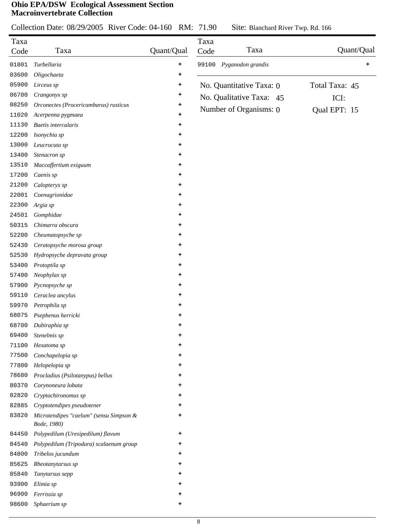Collection Date: 08/29/2005 River Code: 04-160 RM: 71.90 Site: Blanchard River Twp. Rd. 166

| Taxa  |                                                        |            | Taxa  |                          |                |
|-------|--------------------------------------------------------|------------|-------|--------------------------|----------------|
| Code  | Taxa                                                   | Quant/Qual | Code  | Taxa                     | Quant/Qual     |
| 01801 | Turbellaria                                            | +          | 99100 | Pyganodon grandis        | $\ddot{}$      |
| 03600 | Oligochaeta                                            | +          |       |                          |                |
| 05900 | Lirceus sp                                             | +          |       | No. Quantitative Taxa: 0 | Total Taxa: 45 |
| 06700 | Crangonyx sp                                           | ٠          |       | No. Qualitative Taxa: 45 | ICI:           |
| 08250 | Orconectes (Procericambarus) rusticus                  | +          |       |                          |                |
| 11020 | Acerpenna pygmaea                                      | $\ddot{}$  |       | Number of Organisms: 0   | Qual EPT: 15   |
| 11130 | Baetis intercalaris                                    | ٠          |       |                          |                |
| 12200 | Isonychia sp                                           | ٠          |       |                          |                |
| 13000 | Leucrocuta sp                                          | ٠          |       |                          |                |
| 13400 | Stenacron sp                                           | $\ddot{}$  |       |                          |                |
| 13510 | Maccaffertium exiguum                                  | ۰,         |       |                          |                |
| 17200 | Caenis sp                                              | ٠          |       |                          |                |
| 21200 | Calopteryx sp                                          | $\ddot{}$  |       |                          |                |
| 22001 | Coenagrionidae                                         | $\ddot{}$  |       |                          |                |
| 22300 | Argia sp                                               | ۰,         |       |                          |                |
| 24501 | Gomphidae                                              | ٠          |       |                          |                |
| 50315 | Chimarra obscura                                       | ٠          |       |                          |                |
| 52200 | Cheumatopsyche sp                                      | ٠          |       |                          |                |
| 52430 | Ceratopsyche morosa group                              | ٠          |       |                          |                |
| 52530 | Hydropsyche depravata group                            | ٠          |       |                          |                |
| 53400 | Protoptila sp                                          | ۰,         |       |                          |                |
| 57400 | Neophylax sp                                           | ٠          |       |                          |                |
| 57900 | Pycnopsyche sp                                         | ٠          |       |                          |                |
| 59110 | Ceraclea ancylus                                       | ٠          |       |                          |                |
| 59970 | Petrophila sp                                          | ٠          |       |                          |                |
| 68075 | Psephenus herricki                                     | ٠          |       |                          |                |
| 68700 | Dubiraphia sp                                          | ٠          |       |                          |                |
| 69400 | Stenelmis sp                                           | ٠          |       |                          |                |
| 71100 | Hexatoma sp                                            |            |       |                          |                |
| 77500 | Conchapelopia sp                                       |            |       |                          |                |
| 77800 | Helopelopia sp                                         |            |       |                          |                |
| 78680 | Procladius (Psilotanypus) bellus                       | ٠          |       |                          |                |
| 80370 | Corynoneura lobata                                     |            |       |                          |                |
| 82820 | Cryptochironomus sp                                    |            |       |                          |                |
| 82885 | Cryptotendipes pseudotener                             |            |       |                          |                |
| 83820 | Microtendipes "caelum" (sensu Simpson &<br>Bode, 1980) | ٠          |       |                          |                |
| 84450 | Polypedilum (Uresipedilum) flavum                      | ٠          |       |                          |                |
| 84540 | Polypedilum (Tripodura) scalaenum group                | ٠          |       |                          |                |
| 84800 | Tribelos jucundum                                      | ٠          |       |                          |                |
| 85625 | Rheotanytarsus sp                                      | ٠          |       |                          |                |
| 85840 | Tanytarsus sepp                                        | +          |       |                          |                |
| 93900 | Elimia sp                                              |            |       |                          |                |
| 96900 | Ferrissia sp                                           |            |       |                          |                |
| 98600 | Sphaerium sp                                           |            |       |                          |                |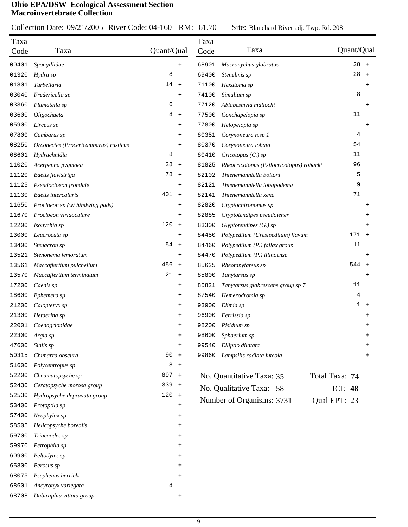*Psephenus herricki* **+** *Ancyronyx variegata* 8 *Dubiraphia vittata group* **+**

Collection Date: 09/21/2005 River Code: 04-160 RM: 61.70 Site: Blanchard River adj. Twp. Rd. 208

| Taxa  |                                       |            |           | Taxa  |                                          |                           |
|-------|---------------------------------------|------------|-----------|-------|------------------------------------------|---------------------------|
| Code  | Taxa                                  | Quant/Qual |           | Code  | Taxa                                     | Quant/Qual                |
| 00401 | Spongillidae                          |            | $\ddot{}$ | 68901 | Macronychus glabratus                    | 28<br>$\ddot{}$           |
| 01320 | Hydra sp                              | 8          |           | 69400 | Stenelmis sp                             | 28<br>$\ddot{}$           |
| 01801 | Turbellaria                           | $14 +$     |           | 71100 | Hexatoma sp                              | +                         |
| 03040 | Fredericella sp                       |            | $\ddot{}$ | 74100 | Simulium sp                              | 8                         |
| 03360 | Plumatella sp                         | 6          |           | 77120 | Ablabesmyia mallochi                     | +                         |
| 03600 | Oligochaeta                           | 8          | $\ddot{}$ | 77500 | Conchapelopia sp                         | 11                        |
| 05900 | Lirceus sp                            |            | $\ddot{}$ | 77800 | Helopelopia sp                           | +                         |
| 07800 | Cambarus sp                           |            | $\ddot{}$ | 80351 | Corynoneura n.sp 1                       | 4                         |
| 08250 | Orconectes (Procericambarus) rusticus |            | $\ddot{}$ | 80370 | Corynoneura lobata                       | 54                        |
| 08601 | Hydrachnidia                          | 8          |           | 80410 | Cricotopus (C.) sp                       | 11                        |
| 11020 | Acerpenna pygmaea                     | 28         | $\ddot{}$ | 81825 | Rheocricotopus (Psilocricotopus) robacki | 96                        |
| 11120 | Baetis flavistriga                    | 78         | $\ddot{}$ | 82102 | Thienemanniella boltoni                  | 5                         |
| 11125 | Pseudocloeon frondale                 |            | ٠         | 82121 | Thienemanniella lobapodema               | 9                         |
| 11130 | <b>Baetis</b> intercalaris            | 401        | $\ddot{}$ | 82141 | Thienemanniella xena                     | 71                        |
| 11650 | Procloeon sp (w/hindwing pads)        |            | ٠         | 82820 | Cryptochironomus sp                      | ٠                         |
| 11670 | Procloeon viridoculare                |            | ٠         | 82885 | Cryptotendipes pseudotener               | ٠                         |
| 12200 | Isonychia sp                          | 120        | $\ddot{}$ | 83300 | $Glyptotendipes(G.)$ sp                  | +                         |
| 13000 | Leucrocuta sp                         |            | $\ddot{}$ | 84450 | Polypedilum (Uresipedilum) flavum        | 171<br>$+$                |
| 13400 | Stenacron sp                          | 54         | $\ddot{}$ | 84460 | Polypedilum (P.) fallax group            | 11                        |
| 13521 | Stenonema femoratum                   |            | $\ddot{}$ | 84470 | Polypedilum (P.) illinoense              | +                         |
| 13561 | Maccaffertium pulchellum              | 456        | $\ddot{}$ | 85625 | Rheotanytarsus sp                        | 544<br>$+$                |
| 13570 | Maccaffertium terminatum              | 21         | $\ddot{}$ | 85800 | Tanytarsus sp                            | +                         |
| 17200 | Caenis sp                             |            | ٠         | 85821 | Tanytarsus glabrescens group sp 7        | 11                        |
| 18600 | Ephemera sp                           |            | $\ddot{}$ | 87540 | Hemerodromia sp                          | 4                         |
| 21200 | Calopteryx sp                         |            | $\ddot{}$ | 93900 | Elimia sp                                | $\mathbf{1}$<br>$\ddot{}$ |
| 21300 | Hetaerina sp                          |            | $\ddot{}$ | 96900 | Ferrissia sp                             | +                         |
| 22001 | Coenagrionidae                        |            | ٠         | 98200 | Pisidium sp                              | +                         |
| 22300 | Argia sp                              |            | ٠         | 98600 | Sphaerium sp                             | ٠                         |
| 47600 | Sialis sp                             |            | ٠         | 99540 | Elliptio dilatata                        |                           |
| 50315 | Chimarra obscura                      | 90         | $\ddot{}$ | 99860 | Lampsilis radiata luteola                | +                         |
| 51600 | Polycentropus sp                      | 8          | $\ddot{}$ |       |                                          |                           |
| 52200 | Cheumatopsyche sp                     | 897        | $\ddag$   |       | No. Quantitative Taxa: 35                | Total Taxa: 74            |
| 52430 | Ceratopsyche morosa group             | 339        | $\ddag$   |       | No. Qualitative Taxa: 58                 | <b>ICI:</b> 48            |
| 52530 | Hydropsyche depravata group           | 120        | $\bf{+}$  |       |                                          |                           |
| 53400 | Protoptila sp                         |            | ٠         |       | Number of Organisms: 3731                | Qual EPT: 23              |
| 57400 | Neophylax sp                          |            | ٠         |       |                                          |                           |
| 58505 | Helicopsyche borealis                 |            | ٠         |       |                                          |                           |
| 59700 | Triaenodes sp                         |            | ٠         |       |                                          |                           |
| 59970 | Petrophila sp                         |            | ٠         |       |                                          |                           |
| 60900 | Peltodytes sp                         |            | ٠         |       |                                          |                           |
| 65800 | Berosus sp                            |            | ٠         |       |                                          |                           |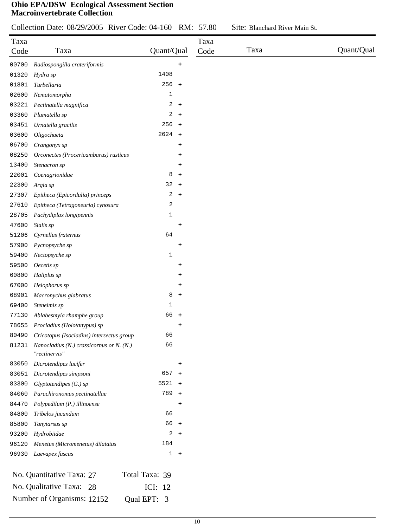Collection Date: 08/29/2005 River Code: 04-160 RM: 57.80 Site: Blanchard River Main St.

| Taxa  |                                                           |                |           | Taxa |      |            |
|-------|-----------------------------------------------------------|----------------|-----------|------|------|------------|
| Code  | Taxa                                                      | Quant/Qual     |           | Code | Taxa | Quant/Qual |
| 00700 | Radiospongilla crateriformis                              |                | $\ddot{}$ |      |      |            |
| 01320 | Hydra sp                                                  | 1408           |           |      |      |            |
| 01801 | Turbellaria                                               | 256            | $+$       |      |      |            |
| 02600 | Nematomorpha                                              | $\mathbf 1$    |           |      |      |            |
| 03221 | Pectinatella magnifica                                    | 2              | $\ddot{}$ |      |      |            |
| 03360 | Plumatella sp                                             | 2              | $\ddag$   |      |      |            |
| 03451 | Urnatella gracilis                                        | $256 +$        |           |      |      |            |
| 03600 | Oligochaeta                                               | $2624 +$       |           |      |      |            |
| 06700 | Crangonyx sp                                              |                | $\ddot{}$ |      |      |            |
| 08250 | Orconectes (Procericambarus) rusticus                     |                | +         |      |      |            |
| 13400 | Stenacron sp                                              |                | ٠         |      |      |            |
| 22001 | Coenagrionidae                                            | 8              | $\pm$     |      |      |            |
| 22300 | Argia sp                                                  | $32 +$         |           |      |      |            |
| 27307 | Epitheca (Epicordulia) princeps                           | 2              | $\ddot{}$ |      |      |            |
| 27610 | Epitheca (Tetragoneuria) cynosura                         | 2              |           |      |      |            |
| 28705 | Pachydiplax longipennis                                   | 1              |           |      |      |            |
| 47600 | Sialis sp                                                 |                | ÷         |      |      |            |
| 51206 | Cyrnellus fraternus                                       | 64             |           |      |      |            |
| 57900 | Pycnopsyche sp                                            |                | ٠         |      |      |            |
| 59400 | Nectopsyche sp                                            | $\mathbf 1$    |           |      |      |            |
| 59500 | Oecetis sp                                                |                | $\ddot{}$ |      |      |            |
| 60800 | Haliplus sp                                               |                | ٠         |      |      |            |
| 67000 | Helophorus sp                                             |                | ٠         |      |      |            |
| 68901 | Macronychus glabratus                                     | 8              | $\ddot{}$ |      |      |            |
| 69400 | Stenelmis sp                                              | 1              |           |      |      |            |
| 77130 | Ablabesmyia rhamphe group                                 | 66             | $+$       |      |      |            |
| 78655 | Procladius (Holotanypus) sp                               |                | $\ddot{}$ |      |      |            |
| 80490 | Cricotopus (Isocladius) intersectus group                 | 66             |           |      |      |            |
| 81231 | Nanocladius (N.) crassicornus or N. (N.)<br>"rectinervis" | 66             |           |      |      |            |
| 83050 | Dicrotendipes lucifer                                     |                | ٠         |      |      |            |
| 83051 | Dicrotendipes simpsoni                                    | $657 +$        |           |      |      |            |
| 83300 | Glyptotendipes (G.) sp                                    | $5521 +$       |           |      |      |            |
| 84060 | Parachironomus pectinatellae                              | 789            | $\ddot{}$ |      |      |            |
| 84470 | Polypedilum (P.) illinoense                               |                | ٠         |      |      |            |
| 84800 | Tribelos jucundum                                         | 66             |           |      |      |            |
| 85800 | Tanytarsus sp                                             | 66             | $+$       |      |      |            |
| 93200 | Hydrobiidae                                               | 2              | $\ddot{}$ |      |      |            |
| 96120 | Menetus (Micromenetus) dilatatus                          | 184            |           |      |      |            |
| 96930 | Laevapex fuscus                                           |                | $1 +$     |      |      |            |
|       | No. Quantitative Taxa: 27                                 | Total Taxa: 39 |           |      |      |            |
|       | No. Qualitative Taxa: 28                                  | ICI: 12        |           |      |      |            |
|       | Number of Organisms: 12152                                | Qual EPT: 3    |           |      |      |            |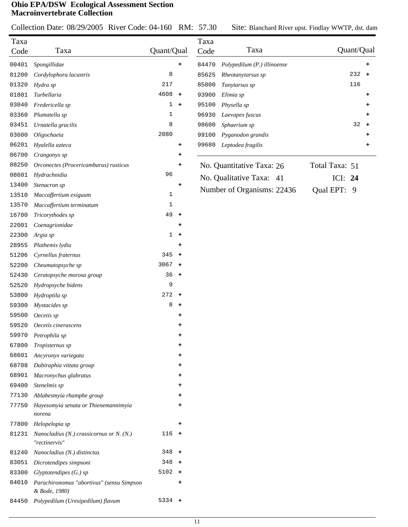Collection Date: 08/29/2005 River Code: 04-160 RM: 57.30 Site: Blanchard River upst. Findlay WWTP, dst. dam

| Taxa  |                                                             |            |                      | Taxa  |                             |                  |
|-------|-------------------------------------------------------------|------------|----------------------|-------|-----------------------------|------------------|
| Code  | Taxa                                                        | Quant/Qual |                      | Code  | Taxa                        | Quant/Qual       |
| 00401 | Spongillidae                                                |            | ٠                    | 84470 | Polypedilum (P.) illinoense | +                |
| 01200 | Cordylophora lacustris                                      | 8          |                      | 85625 | Rheotanytarsus sp           | 232<br>$\ddot{}$ |
| 01320 | Hydra sp                                                    | 217        |                      | 85800 | Tanytarsus sp               | 116              |
| 01801 | Turbellaria                                                 | 4608       | $\ddot{\phantom{1}}$ | 93900 | Elimia sp                   | +                |
| 03040 | Fredericella sp                                             | 1          | $\ddot{}$            | 95100 | Physella sp                 | +                |
| 03360 | Plumatella sp                                               | 1          |                      | 96930 | Laevapex fuscus             | +                |
| 03451 | Urnatella gracilis                                          | 8          |                      | 98600 | Sphaerium sp                | 32<br>$\ddot{}$  |
| 03600 | Oligochaeta                                                 | 2080       |                      | 99100 | Pyganodon grandis           | +                |
| 06201 | Hyalella azteca                                             |            | $\ddot{}$            | 99680 | Leptodea fragilis           | ۰,               |
| 06700 | Crangonyx sp                                                |            | ٠                    |       |                             |                  |
| 08250 | Orconectes (Procericambarus) rusticus                       |            | ٠                    |       | No. Quantitative Taxa: 26   | Total Taxa: 51   |
| 08601 | Hydrachnidia                                                | 96         |                      |       | No. Qualitative Taxa: 41    | ICI: 24          |
| 13400 | Stenacron sp                                                |            | +                    |       | Number of Organisms: 22436  | Qual EPT: 9      |
| 13510 | Maccaffertium exiguum                                       | 1          |                      |       |                             |                  |
| 13570 | Maccaffertium terminatum                                    | 1          |                      |       |                             |                  |
| 16700 | Tricorythodes sp                                            | 49         | $\ddot{}$            |       |                             |                  |
| 22001 | Coenagrionidae                                              |            | +                    |       |                             |                  |
| 22300 | Argia sp                                                    | 1          | $\ddag$              |       |                             |                  |
| 28955 | Plathemis lydia                                             |            | +                    |       |                             |                  |
| 51206 | Cyrnellus fraternus                                         | 345        | $\pm$                |       |                             |                  |
| 52200 | Cheumatopsyche sp                                           | 3067       | $\ddot{\phantom{1}}$ |       |                             |                  |
| 52430 | Ceratopsyche morosa group                                   | 36         | $\ddot{}$            |       |                             |                  |
| 52520 | Hydropsyche bidens                                          | 9          |                      |       |                             |                  |
| 53800 | Hydroptila sp                                               | 272        | $\ddot{\phantom{1}}$ |       |                             |                  |
| 59300 | Mystacides sp                                               | 8          | $\ddot{}$            |       |                             |                  |
| 59500 | Oecetis sp                                                  |            | ٠                    |       |                             |                  |
| 59520 | Oecetis cinerascens                                         |            | ٠                    |       |                             |                  |
| 59970 | Petrophila sp                                               |            | +                    |       |                             |                  |
| 67800 | Tropisternus sp                                             |            | ٠                    |       |                             |                  |
| 68601 | Ancyronyx variegata                                         |            | ٠                    |       |                             |                  |
| 68708 | Dubiraphia vittata group                                    |            | ٠                    |       |                             |                  |
| 68901 | Macronychus glabratus                                       |            | ٠                    |       |                             |                  |
| 69400 | Stenelmis sp                                                |            | ٠                    |       |                             |                  |
| 77130 | Ablabesmyia rhamphe group                                   |            | ٠                    |       |                             |                  |
| 77750 | Hayesomyia senata or Thienemannimyia<br>norena              |            | ٠                    |       |                             |                  |
| 77800 | Helopelopia sp                                              |            | ٠                    |       |                             |                  |
| 81231 | Nanocladius (N.) crassicornus or $N. (N.)$<br>"rectinervis" | $116 +$    |                      |       |                             |                  |
| 81240 | Nanocladius (N.) distinctus                                 | 348        | $\ddot{\phantom{1}}$ |       |                             |                  |
| 83051 | Dicrotendipes simpsoni                                      | 348        | $\ddot{}$            |       |                             |                  |
| 83300 | Glyptotendipes (G.) sp                                      | $5102 +$   |                      |       |                             |                  |
| 84010 | Parachironomus "abortivus" (sensu Simpson<br>& Bode, 1980)  |            | +                    |       |                             |                  |
| 84450 | Polypedilum (Uresipedilum) flavum                           | $5334 +$   |                      |       |                             |                  |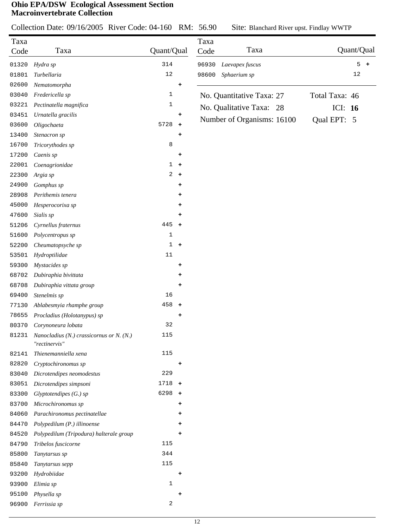Collection Date: 09/16/2005 River Code: 04-160 RM: 56.90 Site: Blanchard River upst. Findlay WWTP

| Taxa  |                                                              |                                      | Taxa  |                            |                |
|-------|--------------------------------------------------------------|--------------------------------------|-------|----------------------------|----------------|
| Code  | Taxa                                                         | Quant/Qual                           | Code  | Taxa                       | Quant/Qual     |
| 01320 | Hydra sp                                                     | 314                                  | 96930 | Laevapex fuscus            | 5<br>$\ddot{}$ |
| 01801 | Turbellaria                                                  | 12                                   | 98600 | Sphaerium sp               | 12             |
| 02600 | Nematomorpha                                                 | ٠                                    |       |                            |                |
| 03040 | Fredericella sp                                              | $\mathbf 1$                          |       | No. Quantitative Taxa: 27  | Total Taxa: 46 |
| 03221 | Pectinatella magnifica                                       | $\mathbf{1}$                         |       | No. Qualitative Taxa: 28   | ICI: 16        |
| 03451 | Urnatella gracilis                                           | $\ddot{}$                            |       |                            |                |
| 03600 | Oligochaeta                                                  | 5728<br>$\ddot{}$                    |       | Number of Organisms: 16100 | Qual EPT: 5    |
| 13400 | Stenacron sp                                                 |                                      |       |                            |                |
| 16700 | Tricorythodes sp                                             | 8                                    |       |                            |                |
| 17200 | Caenis sp                                                    | $\ddot{}$                            |       |                            |                |
| 22001 | Coenagrionidae                                               | $\mathbf{1}$<br>$\ddot{}$            |       |                            |                |
| 22300 | Argia sp                                                     | 2<br>$\ddot{\phantom{1}}$            |       |                            |                |
| 24900 | Gomphus sp                                                   | ٠                                    |       |                            |                |
| 28908 | Perithemis tenera                                            | ٠                                    |       |                            |                |
| 45000 | Hesperocorixa sp                                             | ٠                                    |       |                            |                |
| 47600 | Sialis sp                                                    | ٠                                    |       |                            |                |
| 51206 | Cyrnellus fraternus                                          | 445<br>$\ddot{}$                     |       |                            |                |
| 51600 | Polycentropus sp                                             | $\mathbf{1}$                         |       |                            |                |
| 52200 | Cheumatopsyche sp                                            | $\mathbf{1}$<br>$\ddot{\phantom{1}}$ |       |                            |                |
| 53501 | Hydroptilidae                                                | 11                                   |       |                            |                |
| 59300 | Mystacides sp                                                | ۰                                    |       |                            |                |
| 68702 | Dubiraphia bivittata                                         | ۰                                    |       |                            |                |
| 68708 | Dubiraphia vittata group                                     | ٠                                    |       |                            |                |
| 69400 | Stenelmis sp                                                 | 16                                   |       |                            |                |
| 77130 | Ablabesmyia rhamphe group                                    | 458<br>$+$                           |       |                            |                |
| 78655 | Procladius (Holotanypus) sp                                  | $\ddot{}$                            |       |                            |                |
| 80370 | Corynoneura lobata                                           | 32                                   |       |                            |                |
| 81231 | Nanocladius (N.) crassicornus or N. $(N. )$<br>"rectinervis" | 115                                  |       |                            |                |
| 82141 | Thienemanniella xena                                         | 115                                  |       |                            |                |
| 82820 | Cryptochironomus sp                                          | $\ddot{}$                            |       |                            |                |
| 83040 | Dicrotendipes neomodestus                                    | 229                                  |       |                            |                |
| 83051 | Dicrotendipes simpsoni                                       | $1718 +$                             |       |                            |                |
| 83300 | $Glyptotendipes(G.)$ sp                                      | $6298 +$                             |       |                            |                |
| 83700 | Microchironomus sp                                           | ۰                                    |       |                            |                |
| 84060 | Parachironomus pectinatellae                                 | ٠                                    |       |                            |                |
| 84470 | Polypedilum (P.) illinoense                                  |                                      |       |                            |                |
| 84520 | Polypedilum (Tripodura) halterale group                      |                                      |       |                            |                |
| 84790 | Tribelos fuscicorne                                          | 115                                  |       |                            |                |
| 85800 | Tanytarsus sp                                                | 344                                  |       |                            |                |
| 85840 | Tanytarsus sepp                                              | 115                                  |       |                            |                |
| 93200 | Hydrobiidae                                                  | ÷                                    |       |                            |                |
| 93900 | Elimia sp                                                    | $\mathbf{1}$                         |       |                            |                |
| 95100 | Physella sp                                                  | $\ddot{}$                            |       |                            |                |
| 96900 | Ferrissia sp                                                 | 2                                    |       |                            |                |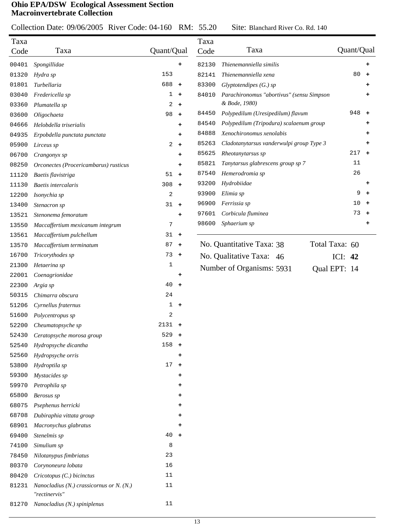Collection Date: 09/06/2005 River Code: 04-160 RM: 55.20 Site: Blanchard River Co. Rd. 140

| Taxa  |                                                             |            |                      | Taxa  |                                           |                |            |           |
|-------|-------------------------------------------------------------|------------|----------------------|-------|-------------------------------------------|----------------|------------|-----------|
| Code  | Taxa                                                        | Quant/Qual |                      | Code  | Taxa                                      |                | Quant/Qual |           |
| 00401 | Spongillidae                                                |            | ٠                    | 82130 | Thienemanniella similis                   |                |            | +         |
| 01320 | Hydra sp                                                    | 153        |                      | 82141 | Thienemanniella xena                      |                | 80         | $\ddot{}$ |
| 01801 | Turbellaria                                                 | 688        | $\ddot{}$            | 83300 | $Glyptotendipes(G.)$ sp                   |                |            |           |
| 03040 | Fredericella sp                                             | 1          | $\ddot{}$            | 84010 | Parachironomus "abortivus" (sensu Simpson |                |            | +         |
| 03360 | Plumatella sp                                               | 2          | $\ddot{}$            |       | & Bode, 1980)                             |                |            |           |
| 03600 | Oligochaeta                                                 | 98         | $\ddot{}$            | 84450 | Polypedilum (Uresipedilum) flavum         |                | 948        | $\ddot{}$ |
| 04666 | Helobdella triserialis                                      |            | $\ddot{}$            | 84540 | Polypedilum (Tripodura) scalaenum group   |                |            |           |
| 04935 | Erpobdella punctata punctata                                |            | ٠                    | 84888 | Xenochironomus xenolabis                  |                |            |           |
| 05900 | Lirceus sp                                                  | 2          | $\ddot{}$            | 85263 | Cladotanytarsus vanderwulpi group Type 3  |                |            | +         |
| 06700 | Crangonyx sp                                                |            | ٠                    | 85625 | Rheotanytarsus sp                         |                | 217        | $\ddot{}$ |
| 08250 | Orconectes (Procericambarus) rusticus                       |            | $\ddot{}$            | 85821 | Tanytarsus glabrescens group sp 7         |                | 11         |           |
| 11120 | Baetis flavistriga                                          | 51         | $\ddot{}$            | 87540 | Hemerodromia sp                           |                | 26         |           |
| 11130 | Baetis intercalaris                                         | 308        | $\ddot{}$            | 93200 | Hydrobiidae                               |                |            | ٠         |
| 12200 | Isonychia sp                                                | 2          |                      | 93900 | Elimia sp                                 |                | 9          | $\ddot{}$ |
| 13400 | Stenacron sp                                                | 31         | $\ddot{}$            | 96900 | Ferrissia sp                              |                | 10         |           |
| 13521 | Stenonema femoratum                                         |            | ٠                    | 97601 | Corbicula fluminea                        |                | 73         |           |
| 13550 | Maccaffertium mexicanum integrum                            | 7          |                      | 98600 | Sphaerium sp                              |                |            | +         |
| 13561 | Maccaffertium pulchellum                                    | 31         | $\ddot{}$            |       |                                           |                |            |           |
| 13570 | Maccaffertium terminatum                                    | 87         | $\ddot{}$            |       | No. Quantitative Taxa: 38                 | Total Taxa: 60 |            |           |
| 16700 | Tricorythodes sp                                            | 73         | $\ddot{\phantom{1}}$ |       | No. Qualitative Taxa: 46                  | ICI: 42        |            |           |
| 21300 | Hetaerina sp                                                | 1          |                      |       | Number of Organisms: 5931                 | Qual EPT: 14   |            |           |
| 22001 | Coenagrionidae                                              |            | ٠                    |       |                                           |                |            |           |
| 22300 | Argia sp                                                    | 40         | $\ddot{}$            |       |                                           |                |            |           |
| 50315 | Chimarra obscura                                            | 24         |                      |       |                                           |                |            |           |
| 51206 | Cyrnellus fraternus                                         | 1          | $\ddot{}$            |       |                                           |                |            |           |
| 51600 | Polycentropus sp                                            | 2          |                      |       |                                           |                |            |           |
| 52200 | Cheumatopsyche sp                                           | $2131 +$   |                      |       |                                           |                |            |           |
| 52430 | Ceratopsyche morosa group                                   | 529        | $\ddot{}$            |       |                                           |                |            |           |
| 52540 | Hydropsyche dicantha                                        | 158        | $\ddot{}$            |       |                                           |                |            |           |
| 52560 | Hydropsyche orris                                           |            | $\ddot{}$            |       |                                           |                |            |           |
| 53800 | Hydroptila sp                                               | 17         | $\ddot{}$            |       |                                           |                |            |           |
| 59300 | Mystacides sp                                               |            | +                    |       |                                           |                |            |           |
| 59970 | Petrophila sp                                               |            | ٠                    |       |                                           |                |            |           |
| 65800 | Berosus sp                                                  |            | +                    |       |                                           |                |            |           |
| 68075 | Psephenus herricki                                          |            | ٠                    |       |                                           |                |            |           |
| 68708 | Dubiraphia vittata group                                    |            | ٠                    |       |                                           |                |            |           |
| 68901 | Macronychus glabratus                                       |            | ٠                    |       |                                           |                |            |           |
| 69400 | Stenelmis sp                                                | 40         | $\ddot{}$            |       |                                           |                |            |           |
| 74100 | Simulium sp                                                 | 8          |                      |       |                                           |                |            |           |
| 78450 | Nilotanypus fimbriatus                                      | 23         |                      |       |                                           |                |            |           |
| 80370 | Corynoneura lobata                                          | 16         |                      |       |                                           |                |            |           |
| 80420 | Cricotopus (C.) bicinctus                                   | 11         |                      |       |                                           |                |            |           |
| 81231 | Nanocladius (N.) crassicornus or $N. (N.)$<br>"rectinervis" | 11         |                      |       |                                           |                |            |           |
| 81270 | Nanocladius (N.) spiniplenus                                | 11         |                      |       |                                           |                |            |           |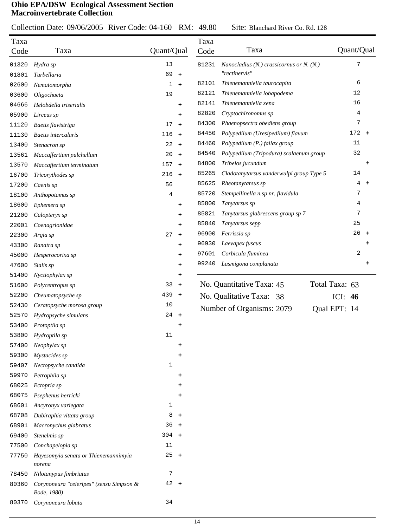Collection Date: 09/06/2005 River Code: 04-160 RM: 49.80 Site: Blanchard River Co. Rd. 128

| Taxa  |                                                         |                |           | Taxa  |                                          |                |           |
|-------|---------------------------------------------------------|----------------|-----------|-------|------------------------------------------|----------------|-----------|
| Code  | Taxa                                                    | Quant/Qual     |           | Code  | Taxa                                     | Quant/Qual     |           |
| 01320 | Hydra sp                                                | 13             |           | 81231 | Nanocladius (N.) crassicornus or N. (N.) | 7              |           |
| 01801 | Turbellaria                                             | 69             | $\ddot{}$ |       | "rectinervis"                            |                |           |
| 02600 | Nematomorpha                                            | $\mathbf{1}$   | $+$       | 82101 | Thienemanniella taurocapita              | 6              |           |
| 03600 | Oligochaeta                                             | 19             |           | 82121 | Thienemanniella lobapodema               | 12             |           |
| 04666 | Helobdella triserialis                                  |                | ٠         | 82141 | Thienemanniella xena                     | 16             |           |
| 05900 | Lirceus sp                                              |                | ٠         | 82820 | Cryptochironomus sp                      | 4              |           |
| 11120 | Baetis flavistriga                                      | 17             | $\ddot{}$ | 84300 | Phaenopsectra obediens group             | 7              |           |
| 11130 | <b>Baetis</b> intercalaris                              | 116            | $\ddot{}$ | 84450 | Polypedilum (Uresipedilum) flavum        | 172            | $+$       |
| 13400 | Stenacron sp                                            | 22             | $\ddot{}$ | 84460 | Polypedilum (P.) fallax group            | 11             |           |
| 13561 | Maccaffertium pulchellum                                | 20             | $\ddot{}$ | 84540 | Polypedilum (Tripodura) scalaenum group  | 32             |           |
| 13570 | Maccaffertium terminatum                                | 157            | $\ddot{}$ | 84800 | Tribelos jucundum                        |                | +         |
| 16700 | Tricorythodes sp                                        | 216            | $\ddot{}$ | 85265 | Cladotanytarsus vanderwulpi group Type 5 | 14             |           |
| 17200 | Caenis sp                                               | 56             |           | 85625 | Rheotanytarsus sp                        | 4              | $\ddot{}$ |
| 18100 | Anthopotamus sp                                         | $\overline{4}$ |           | 85720 | Stempellinella n.sp nr. flavidula        | 7              |           |
| 18600 | Ephemera sp                                             |                | ٠         | 85800 | Tanytarsus sp                            | 4              |           |
| 21200 | Calopteryx sp                                           |                | ٠         | 85821 | Tanytarsus glabrescens group sp 7        | 7              |           |
| 22001 | Coenagrionidae                                          |                | $\ddot{}$ | 85840 | Tanytarsus sepp                          | 25             |           |
| 22300 | Argia sp                                                | 27             | $\ddot{}$ | 96900 | Ferrissia sp                             | 26             | $\ddot{}$ |
| 43300 | Ranatra sp                                              |                | $\ddot{}$ | 96930 | Laevapex fuscus                          |                | +         |
| 45000 | Hesperocorixa sp                                        |                | ٠         | 97601 | Corbicula fluminea                       | 2              |           |
| 47600 | Sialis sp                                               |                | ٠         | 99240 | Lasmigona complanata                     |                | +         |
| 51400 | Nyctiophylax sp                                         |                | ٠         |       |                                          |                |           |
| 51600 | Polycentropus sp                                        | 33             | $+$       |       | No. Quantitative Taxa: 45                | Total Taxa: 63 |           |
| 52200 | Cheumatopsyche sp                                       | 439            | $\ddot{}$ |       | No. Qualitative Taxa:<br>-38             | ICI: $46$      |           |
| 52430 | Ceratopsyche morosa group                               | 10             |           |       | Number of Organisms: 2079                | Qual EPT: 14   |           |
| 52570 | Hydropsyche simulans                                    | $24 +$         |           |       |                                          |                |           |
| 53400 | Protoptila sp                                           |                | +         |       |                                          |                |           |
| 53800 | Hydroptila sp                                           | 11             |           |       |                                          |                |           |
| 57400 | Neophylax sp                                            |                |           |       |                                          |                |           |
| 59300 | Mystacides sp                                           |                | ٠         |       |                                          |                |           |
| 59407 | Nectopsyche candida                                     | $\mathbf{1}$   |           |       |                                          |                |           |
| 59970 | Petrophila sp                                           |                | ٠         |       |                                          |                |           |
| 68025 | Ectopria sp                                             |                |           |       |                                          |                |           |
| 68075 | Psephenus herricki                                      |                |           |       |                                          |                |           |
| 68601 | Ancyronyx variegata                                     | 1              |           |       |                                          |                |           |
| 68708 | Dubiraphia vittata group                                | 8              | $\ddot{}$ |       |                                          |                |           |
| 68901 | Macronychus glabratus                                   | 36             | $\ddot{}$ |       |                                          |                |           |
| 69400 | Stenelmis sp                                            | $304 +$        |           |       |                                          |                |           |
| 77500 | Conchapelopia sp                                        | 11             |           |       |                                          |                |           |
| 77750 | Hayesomyia senata or Thienemannimyia<br>norena          | 25             | $+$       |       |                                          |                |           |
| 78450 | Nilotanypus fimbriatus                                  | 7              |           |       |                                          |                |           |
| 80360 | Corynoneura "celeripes" (sensu Simpson &<br>Bode, 1980) | $42 +$         |           |       |                                          |                |           |
| 80370 | Corynoneura lobata                                      | 34             |           |       |                                          |                |           |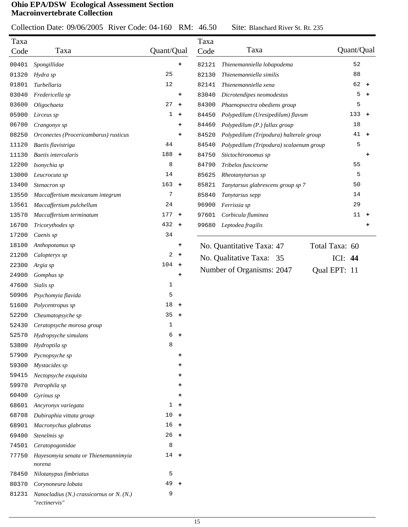*"rectinervis"*

Collection Date: 09/06/2005 River Code: 04-160 RM: 46.50 Site: Blanchard River St. Rt. 235

| Taxa  | Taxa                                       | Quant/Qual   |                      | Taxa<br>Code | Taxa                                    | Quant/Qual       |  |
|-------|--------------------------------------------|--------------|----------------------|--------------|-----------------------------------------|------------------|--|
| Code  |                                            |              |                      |              |                                         |                  |  |
| 00401 | Spongillidae                               |              | ٠.                   | 82121        | Thienemanniella lobapodema              | 52               |  |
| 01320 | Hydra sp                                   | 25           |                      | 82130        | Thienemanniella similis                 | 88               |  |
| 01801 | Turbellaria                                | 12           |                      | 82141        | Thienemanniella xena                    | $62 +$           |  |
| 03040 | Fredericella sp                            |              | ٠                    | 83040        | Dicrotendipes neomodestus               | 5                |  |
| 03600 | Oligochaeta                                | 27           | $\ddot{\phantom{1}}$ | 84300        | Phaenopsectra obediens group            | 5                |  |
| 05900 | Lirceus sp                                 | $\mathbf{1}$ | $\ddot{}$            | 84450        | Polypedilum (Uresipedilum) flavum       | 133<br>$\ddot{}$ |  |
| 06700 | Crangonyx sp                               |              | ٠.                   | 84460        | Polypedilum (P.) fallax group           | 18               |  |
| 08250 | Orconectes (Procericambarus) rusticus      |              | ÷                    | 84520        | Polypedilum (Tripodura) halterale group | 41<br>$\ddot{}$  |  |
| 11120 | Baetis flavistriga                         | 44           |                      | 84540        | Polypedilum (Tripodura) scalaenum group | 5                |  |
| 11130 | Baetis intercalaris                        | 188          | $\ddot{}$            | 84750        | Stictochironomus sp                     | +                |  |
| 12200 | Isonychia sp                               | 8            |                      | 84790        | Tribelos fuscicorne                     | 55               |  |
| 13000 | Leucrocuta sp                              | 14           |                      | 85625        | Rheotanytarsus sp                       | 5                |  |
| 13400 | Stenacron sp                               | 163<br>$+$   |                      | 85821        | Tanytarsus glabrescens group sp 7       | 50               |  |
| 13550 | Maccaffertium mexicanum integrum           | 7            |                      | 85840        | Tanytarsus sepp                         | 14               |  |
| 13561 | Maccaffertium pulchellum                   | 24           |                      | 96900        | Ferrissia sp                            | 29               |  |
| 13570 | Maccaffertium terminatum                   | 177          | $\ddot{\phantom{1}}$ | 97601        | Corbicula fluminea                      | 11<br>$\ddot{}$  |  |
| 16700 | Tricorythodes sp                           | 432          | $\ddot{\phantom{1}}$ | 99680        | Leptodea fragilis                       | +                |  |
| 17200 | Caenis sp                                  | 34           |                      |              |                                         |                  |  |
| 18100 | Anthopotamus sp                            |              | ٠                    |              | No. Quantitative Taxa: 47               | Total Taxa: 60   |  |
| 21200 | Calopteryx sp                              | 2            | $\pm$                |              | No. Qualitative Taxa:<br>35             | ICI: 44          |  |
| 22300 | Argia sp                                   | $104 +$      |                      |              | Number of Organisms: 2047               | Qual EPT: 11     |  |
| 24900 | Gomphus sp                                 |              | ٠                    |              |                                         |                  |  |
| 47600 | Sialis sp                                  | 1            |                      |              |                                         |                  |  |
| 50906 | Psychomyia flavida                         | 5            |                      |              |                                         |                  |  |
| 51600 | Polycentropus sp                           | 18           | $\ddot{\phantom{1}}$ |              |                                         |                  |  |
| 52200 | Cheumatopsyche sp                          | 35           | $\ddot{\phantom{1}}$ |              |                                         |                  |  |
| 52430 | Ceratopsyche morosa group                  | 1            |                      |              |                                         |                  |  |
| 52570 | Hydropsyche simulans                       | 6            | $\boldsymbol{+}$     |              |                                         |                  |  |
| 53800 | Hydroptila sp                              | 8            |                      |              |                                         |                  |  |
| 57900 | Pycnopsyche sp                             |              | +                    |              |                                         |                  |  |
| 59300 | Mystacides sp                              |              | ٠                    |              |                                         |                  |  |
| 59415 | Nectopsyche exquisita                      |              | ٠                    |              |                                         |                  |  |
| 59970 | Petrophila sp                              |              | ٠                    |              |                                         |                  |  |
| 60400 | Gyrinus sp                                 |              | ٠                    |              |                                         |                  |  |
| 68601 | Ancyronyx variegata                        | 1            | $\ddot{\phantom{1}}$ |              |                                         |                  |  |
| 68708 | Dubiraphia vittata group                   | 10           | $\ddot{\phantom{1}}$ |              |                                         |                  |  |
| 68901 | Macronychus glabratus                      | 16           | $\ddot{\phantom{1}}$ |              |                                         |                  |  |
| 69400 | Stenelmis sp                               | 26<br>$+$    |                      |              |                                         |                  |  |
| 74501 | Ceratopogonidae                            | 8            |                      |              |                                         |                  |  |
| 77750 | Hayesomyia senata or Thienemannimyia       | $14 +$       |                      |              |                                         |                  |  |
| 78450 | norena<br>Nilotanypus fimbriatus           | 5            |                      |              |                                         |                  |  |
| 80370 | Corynoneura lobata                         | $49 +$       |                      |              |                                         |                  |  |
|       |                                            | 9            |                      |              |                                         |                  |  |
| 81231 | Nanocladius (N.) crassicornus or $N. (N.)$ |              |                      |              |                                         |                  |  |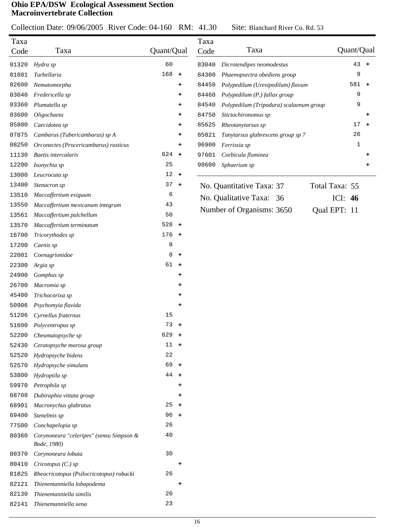Collection Date: 09/06/2005 River Code: 04-160 RM: 41.30 Site: Blanchard River Co. Rd. 53

| Taxa  |                                                         |                             | Taxa  |                                         |                |             |           |
|-------|---------------------------------------------------------|-----------------------------|-------|-----------------------------------------|----------------|-------------|-----------|
| Code  | Taxa                                                    | Quant/Qual                  | Code  | Taxa                                    | Quant/Qual     |             |           |
| 01320 | Hydra sp                                                | 60                          | 83040 | Dicrotendipes neomodestus               |                | 43          | $+$       |
| 01801 | Turbellaria                                             | 168<br>$\ddot{}$            | 84300 | Phaenopsectra obediens group            |                | 9           |           |
| 02600 | Nematomorpha                                            | +                           | 84450 | Polypedilum (Uresipedilum) flavum       |                | 581         | $+$       |
| 03040 | Fredericella sp                                         | $\ddot{}$                   | 84460 | Polypedilum (P.) fallax group           |                | 9           |           |
| 03360 | Plumatella sp                                           | ٠                           | 84540 | Polypedilum (Tripodura) scalaenum group |                | 9           |           |
| 03600 | Oligochaeta                                             | $\ddot{}$                   | 84750 | Stictochironomus sp                     |                |             | +         |
| 05800 | Caecidotea sp                                           | ٠                           | 85625 | Rheotanytarsus sp                       |                | 17          | $\ddot{}$ |
| 07875 | Cambarus (Tubericambarus) sp A                          | ٠                           | 85821 | Tanytarsus glabrescens group sp 7       |                | 26          |           |
| 08250 | Orconectes (Procericambarus) rusticus                   | ٠                           | 96900 | Ferrissia sp                            |                | $\mathbf 1$ |           |
| 11130 | <b>Baetis</b> intercalaris                              | 624<br>$\pm$                | 97601 | Corbicula fluminea                      |                |             | ٠         |
| 12200 | Isonychia sp                                            | 25                          | 98600 | Sphaerium sp                            |                |             |           |
| 13000 | Leucrocuta sp                                           | 12<br>$\ddot{\phantom{1}}$  |       |                                         |                |             |           |
| 13400 | Stenacron sp                                            | 37<br>$\ddot{}$             |       | No. Quantitative Taxa: 37               | Total Taxa: 55 |             |           |
| 13510 | Maccaffertium exiguum                                   | 6                           |       | No. Qualitative Taxa:<br>36             | <b>ICI: 46</b> |             |           |
| 13550 | Maccaffertium mexicanum integrum                        | 43                          |       |                                         |                |             |           |
| 13561 | Maccaffertium pulchellum                                | 50                          |       | Number of Organisms: 3650               | Qual EPT: 11   |             |           |
| 13570 | Maccaffertium terminatum                                | 528<br>$\ddot{}$            |       |                                         |                |             |           |
| 16700 | Tricorythodes sp                                        | 176<br>$\ddot{\phantom{1}}$ |       |                                         |                |             |           |
| 17200 | Caenis sp                                               | 8                           |       |                                         |                |             |           |
| 22001 | Coenagrionidae                                          | 8<br>$\ddot{\phantom{1}}$   |       |                                         |                |             |           |
| 22300 | Argia sp                                                | 61<br>$\ddot{\phantom{1}}$  |       |                                         |                |             |           |
| 24900 | Gomphus sp                                              | +                           |       |                                         |                |             |           |
| 26700 | Macromia sp                                             | ٠                           |       |                                         |                |             |           |
| 45400 | Trichocorixa sp                                         | ٠                           |       |                                         |                |             |           |
| 50906 | Psychomyia flavida                                      | ٠                           |       |                                         |                |             |           |
| 51206 | Cyrnellus fraternus                                     | 15                          |       |                                         |                |             |           |
| 51600 | Polycentropus sp                                        | 73<br>$\ddot{\phantom{1}}$  |       |                                         |                |             |           |
| 52200 | Cheumatopsyche sp                                       | 629<br>$\pm$                |       |                                         |                |             |           |
| 52430 | Ceratopsyche morosa group                               | 11<br>$\ddot{}$             |       |                                         |                |             |           |
| 52520 | Hydropsyche bidens                                      | 22                          |       |                                         |                |             |           |
| 52570 | Hydropsyche simulans                                    | 69<br>$\pm$                 |       |                                         |                |             |           |
| 53800 | Hydroptila sp                                           | 44<br>$\pm$                 |       |                                         |                |             |           |
| 59970 | Petrophila sp                                           | ٠                           |       |                                         |                |             |           |
| 68708 | Dubiraphia vittata group                                | +                           |       |                                         |                |             |           |
| 68901 | Macronychus glabratus                                   | 25<br>$\ddot{}$             |       |                                         |                |             |           |
| 69400 | Stenelmis sp                                            | 96<br>$\pm$                 |       |                                         |                |             |           |
| 77500 | Conchapelopia sp                                        | 26                          |       |                                         |                |             |           |
| 80360 | Corynoneura "celeripes" (sensu Simpson &<br>Bode, 1980) | 40                          |       |                                         |                |             |           |
| 80370 | Corynoneura lobata                                      | 30                          |       |                                         |                |             |           |
| 80410 | Cricotopus (C.) sp                                      | ٠                           |       |                                         |                |             |           |
| 81825 | Rheocricotopus (Psilocricotopus) robacki                | 26                          |       |                                         |                |             |           |
| 82121 | Thienemanniella lobapodema                              | $\ddot{}$                   |       |                                         |                |             |           |
| 82130 | Thienemanniella similis                                 | 20                          |       |                                         |                |             |           |
| 82141 | Thienemanniella xena                                    | 23                          |       |                                         |                |             |           |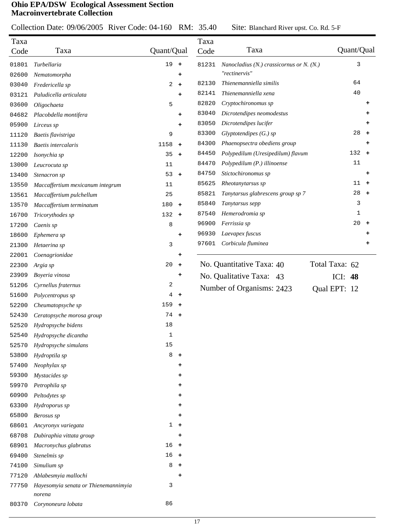Collection Date: 09/06/2005 River Code: 04-160 RM: 35.40 Site: Blanchard River upst. Co. Rd. 5-F

| Taxa  |                                                |                |           | Taxa  |                                          |                |            |           |
|-------|------------------------------------------------|----------------|-----------|-------|------------------------------------------|----------------|------------|-----------|
| Code  | Taxa                                           | Quant/Qual     |           | Code  | Taxa                                     |                | Quant/Qual |           |
| 01801 | Turbellaria                                    | 19             | $+$       | 81231 | Nanocladius (N.) crassicornus or N. (N.) |                | 3          |           |
| 02600 | Nematomorpha                                   |                | $\ddot{}$ |       | "rectinervis"                            |                |            |           |
| 03040 | Fredericella sp                                | $\overline{2}$ | $\ddot{}$ | 82130 | Thienemanniella similis                  |                | 64         |           |
| 03121 | Paludicella articulata                         |                | $\ddot{}$ | 82141 | Thienemanniella xena                     |                | 40         |           |
| 03600 | Oligochaeta                                    | 5              |           | 82820 | Cryptochironomus sp                      |                |            |           |
| 04682 | Placobdella montifera                          |                | $\ddot{}$ | 83040 | Dicrotendipes neomodestus                |                |            |           |
| 05900 | Lirceus sp                                     |                | ÷         | 83050 | Dicrotendipes lucifer                    |                |            | ٠         |
| 11120 | Baetis flavistriga                             | 9              |           | 83300 | $Glyptotendipes(G.)$ sp                  |                | 28         | $\ddot{}$ |
| 11130 | <b>Baetis</b> intercalaris                     | 1158           | $\ddot{}$ | 84300 | Phaenopsectra obediens group             |                |            | ۰         |
| 12200 | Isonychia sp                                   | 35             | $\ddot{}$ | 84450 | Polypedilum (Uresipedilum) flavum        |                | 132        | $\ddot{}$ |
| 13000 | Leucrocuta sp                                  | 11             |           | 84470 | Polypedilum (P.) illinoense              |                | 11         |           |
| 13400 | Stenacron sp                                   | 53             | $+$       | 84750 | Stictochironomus sp                      |                |            | +         |
| 13550 | Maccaffertium mexicanum integrum               | 11             |           | 85625 | Rheotanytarsus sp                        |                | 11         | $+$       |
| 13561 | Maccaffertium pulchellum                       | 25             |           | 85821 | Tanytarsus glabrescens group sp 7        |                | 28         | $\ddot{}$ |
| 13570 | Maccaffertium terminatum                       | 180            | $\ddot{}$ | 85840 | Tanytarsus sepp                          |                | 3          |           |
| 16700 | Tricorythodes sp                               | 132            | $\ddot{}$ | 87540 | Hemerodromia sp                          |                | 1          |           |
| 17200 | Caenis sp                                      | 8              |           | 96900 | Ferrissia sp                             |                | 20         | $+$       |
| 18600 | Ephemera sp                                    |                | $\ddot{}$ | 96930 | Laevapex fuscus                          |                |            | ۰         |
| 21300 | Hetaerina sp                                   | 3              |           | 97601 | Corbicula fluminea                       |                |            | ÷         |
| 22001 | Coenagrionidae                                 |                | ٠         |       |                                          |                |            |           |
| 22300 | Argia sp                                       | 20             | $\ddot{}$ |       | No. Quantitative Taxa: 40                | Total Taxa: 62 |            |           |
| 23909 | Boyeria vinosa                                 |                | ٠         |       | No. Qualitative Taxa: 43                 | <b>ICI:</b> 48 |            |           |
| 51206 | Cyrnellus fraternus                            | 2              |           |       | Number of Organisms: 2423                | Qual EPT: 12   |            |           |
| 51600 | Polycentropus sp                               | 4              | ÷         |       |                                          |                |            |           |
| 52200 | Cheumatopsyche sp                              | 159            | $\ddot{}$ |       |                                          |                |            |           |
| 52430 | Ceratopsyche morosa group                      | 74             | $\ddot{}$ |       |                                          |                |            |           |
| 52520 | Hydropsyche bidens                             | 18             |           |       |                                          |                |            |           |
| 52540 | Hydropsyche dicantha                           | 1              |           |       |                                          |                |            |           |
| 52570 | Hydropsyche simulans                           | 15             |           |       |                                          |                |            |           |
| 53800 | Hydroptila sp                                  | 8              | $\ddot{}$ |       |                                          |                |            |           |
| 57400 | Neophylax sp                                   |                | ٠         |       |                                          |                |            |           |
| 59300 | Mystacides sp                                  |                | ٠         |       |                                          |                |            |           |
| 59970 | Petrophila sp                                  |                |           |       |                                          |                |            |           |
| 60900 | Peltodytes sp                                  |                | ٠         |       |                                          |                |            |           |
| 63300 | Hydroporus sp                                  |                | ٠         |       |                                          |                |            |           |
| 65800 | Berosus sp                                     |                | ٠         |       |                                          |                |            |           |
| 68601 | Ancyronyx variegata                            | 1              | $\ddot{}$ |       |                                          |                |            |           |
| 68708 | Dubiraphia vittata group                       |                | ٠         |       |                                          |                |            |           |
| 68901 | Macronychus glabratus                          | $16 +$         |           |       |                                          |                |            |           |
| 69400 | Stenelmis sp                                   | 16             | $\ddot{}$ |       |                                          |                |            |           |
| 74100 | Simulium sp                                    | 8              | $\ddot{}$ |       |                                          |                |            |           |
| 77120 | Ablabesmyia mallochi                           |                | ٠         |       |                                          |                |            |           |
| 77750 | Hayesomyia senata or Thienemannimyia<br>norena | 3              |           |       |                                          |                |            |           |
| 80370 | Corynoneura lobata                             | 86             |           |       |                                          |                |            |           |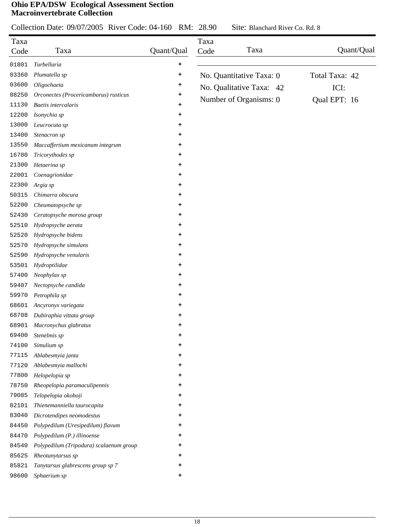Collection Date: 09/07/2005 River Code: 04-160 RM: 28.90 Site: Blanchard River Co. Rd. 8

| Taxa  |                                         |            | Taxa |                          |                |            |
|-------|-----------------------------------------|------------|------|--------------------------|----------------|------------|
| Code  | Taxa                                    | Quant/Qual | Code | Taxa                     |                | Quant/Qual |
|       |                                         |            |      |                          |                |            |
| 01801 | Turbellaria                             | ٠          |      |                          |                |            |
| 03360 | Plumatella sp                           | $\ddot{}$  |      | No. Quantitative Taxa: 0 | Total Taxa: 42 |            |
| 03600 | Oligochaeta                             | ٠          |      | No. Qualitative Taxa: 42 | ICI:           |            |
| 08250 | Orconectes (Procericambarus) rusticus   | ٠          |      | Number of Organisms: 0   | Qual EPT: 16   |            |
| 11130 | <b>Baetis</b> intercalaris              | ٠          |      |                          |                |            |
| 12200 | Isonychia sp                            | ٠          |      |                          |                |            |
| 13000 | Leucrocuta sp                           | ٠          |      |                          |                |            |
| 13400 | Stenacron sp                            | ٠          |      |                          |                |            |
| 13550 | Maccaffertium mexicanum integrum        | ٠          |      |                          |                |            |
| 16700 | Tricorythodes sp                        |            |      |                          |                |            |
| 21300 | Hetaerina sp                            |            |      |                          |                |            |
| 22001 | Coenagrionidae                          |            |      |                          |                |            |
| 22300 | Argia sp                                | ٠          |      |                          |                |            |
| 50315 | Chimarra obscura                        |            |      |                          |                |            |
| 52200 | Cheumatopsyche sp                       |            |      |                          |                |            |
| 52430 | Ceratopsyche morosa group               | ٠          |      |                          |                |            |
| 52510 | Hydropsyche aerata                      | ٠          |      |                          |                |            |
| 52520 | Hydropsyche bidens                      | ٠          |      |                          |                |            |
| 52570 | Hydropsyche simulans                    | ٠          |      |                          |                |            |
| 52590 | Hydropsyche venularis                   | ٠          |      |                          |                |            |
| 53501 | Hydroptilidae                           | ٠          |      |                          |                |            |
| 57400 | Neophylax sp                            | ٠          |      |                          |                |            |
| 59407 | Nectopsyche candida                     |            |      |                          |                |            |
| 59970 | Petrophila sp                           |            |      |                          |                |            |
| 68601 | Ancyronyx variegata                     |            |      |                          |                |            |
| 68708 | Dubiraphia vittata group                |            |      |                          |                |            |
| 68901 | Macronychus glabratus                   |            |      |                          |                |            |
| 69400 | Stenelmis sp                            | ٠          |      |                          |                |            |
| 74100 | Simulium sp                             |            |      |                          |                |            |
| 77115 | Ablabesmyia janta                       |            |      |                          |                |            |
| 77120 | Ablabesmyia mallochi                    | ٠          |      |                          |                |            |
| 77800 | Helopelopia sp                          |            |      |                          |                |            |
| 78750 | Rheopelopia paramaculipennis            |            |      |                          |                |            |
| 79085 | Telopelopia okoboji                     |            |      |                          |                |            |
| 82101 | Thienemanniella taurocapita             |            |      |                          |                |            |
| 83040 | Dicrotendipes neomodestus               |            |      |                          |                |            |
| 84450 | Polypedilum (Uresipedilum) flavum       |            |      |                          |                |            |
| 84470 | Polypedilum (P.) illinoense             |            |      |                          |                |            |
| 84540 | Polypedilum (Tripodura) scalaenum group |            |      |                          |                |            |
| 85625 | Rheotanytarsus sp                       |            |      |                          |                |            |
| 85821 | Tanytarsus glabrescens group sp 7       |            |      |                          |                |            |
| 98600 | Sphaerium sp                            | +          |      |                          |                |            |
|       |                                         |            |      |                          |                |            |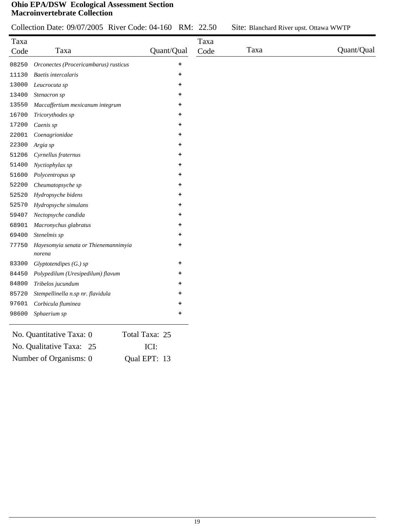Collection Date: 09/07/2005 River Code: 04-160 RM: 22.50 Site: Blanchard River upst. Ottawa WWTP

| Taxa<br>Code | Taxa                                                  | Quant/Qual     | Taxa<br>Code | Taxa | Quant/Qual |
|--------------|-------------------------------------------------------|----------------|--------------|------|------------|
| 08250        | Orconectes (Procericambarus) rusticus                 | +              |              |      |            |
| 11130        | <b>Baetis</b> intercalaris                            | ٠              |              |      |            |
| 13000        | Leucrocuta sp                                         |                |              |      |            |
| 13400        | Stenacron sp                                          |                |              |      |            |
| 13550        | Maccaffertium mexicanum integrum                      |                |              |      |            |
| 16700        | Tricorythodes sp                                      |                |              |      |            |
| 17200        | Caenis sp                                             |                |              |      |            |
| 22001        | Coenagrionidae                                        |                |              |      |            |
| 22300        | Argia sp                                              |                |              |      |            |
| 51206        | Cyrnellus fraternus                                   |                |              |      |            |
| 51400        | Nyctiophylax sp                                       |                |              |      |            |
| 51600        | Polycentropus sp                                      |                |              |      |            |
| 52200        | Cheumatopsyche sp                                     |                |              |      |            |
| 52520        | Hydropsyche bidens                                    |                |              |      |            |
| 52570        | Hydropsyche simulans                                  |                |              |      |            |
| 59407        | Nectopsyche candida                                   |                |              |      |            |
| 68901        | Macronychus glabratus                                 | +              |              |      |            |
| 69400        | Stenelmis sp                                          | ÷              |              |      |            |
| 77750        | Hayesomyia senata or Thienemannimyia<br>norena        |                |              |      |            |
| 83300        | Glyptotendipes (G.) sp                                | $\ddot{}$      |              |      |            |
| 84450        | Polypedilum (Uresipedilum) flavum                     |                |              |      |            |
| 84800        | Tribelos jucundum                                     | ٠              |              |      |            |
| 85720        | Stempellinella n.sp nr. flavidula                     | ÷              |              |      |            |
| 97601        | Corbicula fluminea                                    |                |              |      |            |
| 98600        | Sphaerium sp                                          | ٠              |              |      |            |
|              | No. Quantitative Taxa: 0<br>$\sim$ $\cdots$<br>$\sim$ | Total Taxa: 25 |              |      |            |

| No. Qualitative Taxa: 25 | ICI:         |
|--------------------------|--------------|
| Number of Organisms: 0   | Qual EPT: 13 |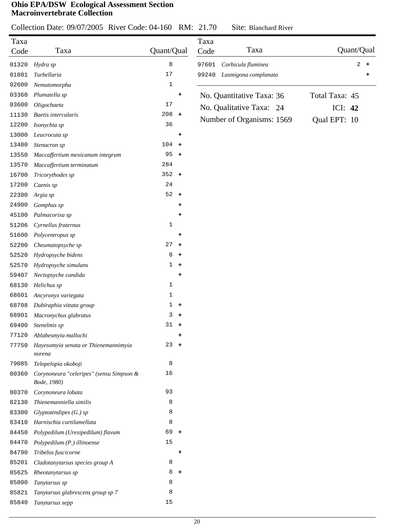| Collection Date: 09/07/2005 River Code: 04-160 RM: 21.70<br>Site: Blanchard River |
|-----------------------------------------------------------------------------------|
|-----------------------------------------------------------------------------------|

| Taxa  |                                                         |                           | Taxa  |                           |                |
|-------|---------------------------------------------------------|---------------------------|-------|---------------------------|----------------|
| Code  | Taxa                                                    | Quant/Qual                | Code  | Taxa                      | Quant/Qual     |
| 01320 | Hydra sp                                                | 8                         | 97601 | Corbicula fluminea        | $2 +$          |
| 01801 | Turbellaria                                             | 17                        | 99240 | Lasmigona complanata      | ٠              |
| 02600 | Nematomorpha                                            | $\mathbf 1$               |       |                           |                |
| 03360 | Plumatella sp                                           | ÷                         |       | No. Quantitative Taxa: 36 | Total Taxa: 45 |
| 03600 | Oligochaeta                                             | $17$                      |       | No. Qualitative Taxa: 24  | ICI: 42        |
| 11130 | <b>Baetis</b> intercalaris                              | 208<br>$+$                |       |                           |                |
| 12200 | Isonychia sp                                            | 36                        |       | Number of Organisms: 1569 | Qual EPT: 10   |
| 13000 | Leucrocuta sp                                           | +                         |       |                           |                |
| 13400 | Stenacron sp                                            | $104 +$                   |       |                           |                |
| 13550 | Maccaffertium mexicanum integrum                        | 95<br>$+$                 |       |                           |                |
| 13570 | Maccaffertium terminatum                                | 284                       |       |                           |                |
| 16700 | Tricorythodes sp                                        | 352<br>$+$                |       |                           |                |
| 17200 | Caenis sp                                               | $2\sqrt{4}$               |       |                           |                |
| 22300 | Argia sp                                                | 52<br>$+$                 |       |                           |                |
| 24900 | Gomphus sp                                              | ٠                         |       |                           |                |
| 45100 | Palmacorixa sp                                          | +                         |       |                           |                |
| 51206 | Cyrnellus fraternus                                     | $\mathbf{1}$              |       |                           |                |
| 51600 | Polycentropus sp                                        | +                         |       |                           |                |
| 52200 | Cheumatopsyche sp                                       | 27<br>$\pm$               |       |                           |                |
| 52520 | Hydropsyche bidens                                      | 8<br>$\ddot{}$            |       |                           |                |
| 52570 | Hydropsyche simulans                                    | $\mathbf{1}$<br>$\pm$     |       |                           |                |
| 59407 | Nectopsyche candida                                     | ٠                         |       |                           |                |
| 68130 | Helichus sp                                             | $\mathbf{1}$              |       |                           |                |
| 68601 | Ancyronyx variegata                                     | $\mathbf{1}$              |       |                           |                |
| 68708 | Dubiraphia vittata group                                | $\mathbf{1}$<br>$\ddot{}$ |       |                           |                |
| 68901 | Macronychus glabratus                                   | 3<br>٠                    |       |                           |                |
| 69400 | Stenelmis sp                                            | $31 +$                    |       |                           |                |
| 77120 | Ablabesmyia mallochi                                    | ٠                         |       |                           |                |
| 77750 | Hayesomyia senata or Thienemannimyia<br>norena          | 23<br>$+$                 |       |                           |                |
| 79085 | Telopelopia okoboji                                     | 8                         |       |                           |                |
| 80360 | Corynoneura "celeripes" (sensu Simpson &<br>Bode, 1980) | 16                        |       |                           |                |
| 80370 | Corynoneura lobata                                      | 93                        |       |                           |                |
| 82130 | Thienemanniella similis                                 | 8                         |       |                           |                |
| 83300 | Glyptotendipes (G.) sp                                  | 8                         |       |                           |                |
| 83410 | Harnischia curtilamellata                               | 8                         |       |                           |                |
| 84450 | Polypedilum (Uresipedilum) flavum                       | 69<br>$+$                 |       |                           |                |
| 84470 | Polypedilum (P.) illinoense                             | 15                        |       |                           |                |
| 84790 | Tribelos fuscicorne                                     | ٠                         |       |                           |                |
| 85201 | Cladotanytarsus species group A                         | 8                         |       |                           |                |
| 85625 | Rheotanytarsus sp                                       | 8<br>$\ddot{}$            |       |                           |                |
| 85800 | Tanytarsus sp                                           | 8                         |       |                           |                |
| 85821 | Tanytarsus glabrescens group sp 7                       | 8                         |       |                           |                |
| 85840 | Tanytarsus sepp                                         | 15                        |       |                           |                |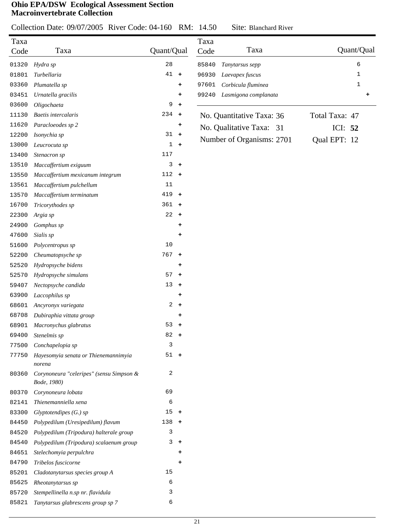Collection Date: 09/07/2005 River Code: 04-160 RM: 14.50 Site: Blanchard River

| Taxa  |                                                         |                |     | Taxa  |                             |                |
|-------|---------------------------------------------------------|----------------|-----|-------|-----------------------------|----------------|
| Code  | Taxa                                                    | Quant/Qual     |     | Code  | Taxa                        | Quant/Qual     |
| 01320 | Hydra sp                                                | 28             |     | 85840 | Tanytarsus sepp             | 6              |
| 01801 | Turbellaria                                             | 41             | $+$ | 96930 | Laevapex fuscus             | 1              |
| 03360 | Plumatella sp                                           |                | ٠   | 97601 | Corbicula fluminea          | 1              |
| 03451 | Urnatella gracilis                                      |                | ٠   | 99240 | Lasmigona complanata        | +              |
| 03600 | Oligochaeta                                             | 9              | $+$ |       |                             |                |
| 11130 | <b>Baetis</b> intercalaris                              | $234 +$        |     |       | No. Quantitative Taxa: 36   | Total Taxa: 47 |
| 11620 | Paracloeodes sp 2                                       |                | +   |       | No. Qualitative Taxa:<br>31 | ICI: 52        |
| 12200 | Isonychia sp                                            | $31 +$         |     |       | Number of Organisms: 2701   | Qual EPT: 12   |
| 13000 | Leucrocuta sp                                           | $\mathbf{1}$   | $+$ |       |                             |                |
| 13400 | Stenacron sp                                            | 117            |     |       |                             |                |
| 13510 | Maccaffertium exiguum                                   | 3              | $+$ |       |                             |                |
| 13550 | Maccaffertium mexicanum integrum                        | $112 +$        |     |       |                             |                |
| 13561 | Maccaffertium pulchellum                                | 11             |     |       |                             |                |
| 13570 | Maccaffertium terminatum                                | $419 +$        |     |       |                             |                |
| 16700 | Tricorythodes sp                                        | $361 +$        |     |       |                             |                |
| 22300 | Argia sp                                                | $22 +$         |     |       |                             |                |
| 24900 | Gomphus sp                                              |                | +   |       |                             |                |
| 47600 | Sialis sp                                               |                | +   |       |                             |                |
| 51600 | Polycentropus sp                                        | 10             |     |       |                             |                |
| 52200 | Cheumatopsyche sp                                       | $767 +$        |     |       |                             |                |
| 52520 | Hydropsyche bidens                                      |                | +   |       |                             |                |
| 52570 | Hydropsyche simulans                                    | 57             | $+$ |       |                             |                |
| 59407 | Nectopsyche candida                                     | 13             | $+$ |       |                             |                |
| 63900 | Laccophilus sp                                          |                | ٠   |       |                             |                |
| 68601 | Ancyronyx variegata                                     | $\overline{a}$ | $+$ |       |                             |                |
| 68708 | Dubiraphia vittata group                                |                | ٠   |       |                             |                |
| 68901 | Macronychus glabratus                                   | 53             | $+$ |       |                             |                |
| 69400 | Stenelmis sp                                            | $82 +$         |     |       |                             |                |
| 77500 | Conchapelopia sp                                        | 3              |     |       |                             |                |
| 77750 | Hayesomyia senata or Thienemannimyia<br>norena          | $51 +$         |     |       |                             |                |
| 80360 | Corynoneura "celeripes" (sensu Simpson &<br>Bode, 1980) | 2              |     |       |                             |                |
| 80370 | Corynoneura lobata                                      | 69             |     |       |                             |                |
| 82141 | Thienemanniella xena                                    | 6              |     |       |                             |                |
| 83300 | $Glyptotendipes$ $(G.)$ sp                              | 15             | $+$ |       |                             |                |
| 84450 | Polypedilum (Uresipedilum) flavum                       | $138 +$        |     |       |                             |                |
| 84520 | Polypedilum (Tripodura) halterale group                 | 3              |     |       |                             |                |
| 84540 | Polypedilum (Tripodura) scalaenum group                 | 3              | $+$ |       |                             |                |
| 84651 | Stelechomyia perpulchra                                 |                | ٠   |       |                             |                |
| 84790 | Tribelos fuscicorne                                     |                | +   |       |                             |                |
| 85201 | Cladotanytarsus species group A                         | 15             |     |       |                             |                |
| 85625 | Rheotanytarsus sp                                       | 6              |     |       |                             |                |
| 85720 | Stempellinella n.sp nr. flavidula                       | 3              |     |       |                             |                |
| 85821 | Tanytarsus glabrescens group sp 7                       | 6              |     |       |                             |                |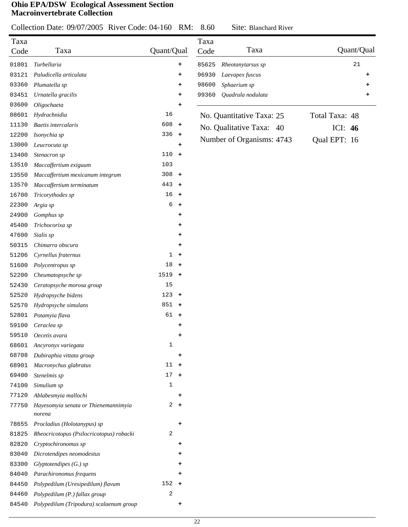Collection Date: 09/07/2005 River Code: 04-160 RM: 8.60 Site: Blanchard River

| Taxa  |                                                |                              | Taxa  |                           |                |
|-------|------------------------------------------------|------------------------------|-------|---------------------------|----------------|
| Code  | Taxa                                           | Quant/Qual                   | Code  | Taxa                      | Quant/Qual     |
| 01801 | Turbellaria                                    | ٠                            | 85625 | Rheotanytarsus sp         | 21             |
| 03121 | Paludicella articulata                         | ٠                            | 96930 | Laevapex fuscus           | +              |
| 03360 | Plumatella sp                                  | ٠                            | 98600 | Sphaerium sp              | ٠              |
| 03451 | Urnatella gracilis                             | ٠                            | 99360 | Quadrula nodulata         | +              |
| 03600 | Oligochaeta                                    | ٠                            |       |                           |                |
| 08601 | Hydrachnidia                                   | 16                           |       | No. Quantitative Taxa: 25 | Total Taxa: 48 |
| 11130 | <b>Baetis</b> intercalaris                     | 608<br>$\pm$                 |       | No. Qualitative Taxa: 40  | <b>ICI: 46</b> |
| 12200 | Isonychia sp                                   | 336<br>$+$                   |       |                           |                |
| 13000 | Leucrocuta sp                                  | ٠                            |       | Number of Organisms: 4743 | Qual EPT: 16   |
| 13400 | Stenacron sp                                   | 110<br>$\ddot{}$             |       |                           |                |
| 13510 | Maccaffertium exiguum                          | 103                          |       |                           |                |
| 13550 | Maccaffertium mexicanum integrum               | 308<br>$\ddot{\phantom{1}}$  |       |                           |                |
| 13570 | Maccaffertium terminatum                       | 443<br>$\ddot{\phantom{1}}$  |       |                           |                |
| 16700 | Tricorythodes sp                               | 16<br>$+$                    |       |                           |                |
| 22300 | Argia sp                                       | 6<br>$+$                     |       |                           |                |
| 24900 | Gomphus sp                                     | ٠                            |       |                           |                |
| 45400 | Trichocorixa sp                                | +                            |       |                           |                |
| 47600 | Sialis sp                                      | ٠                            |       |                           |                |
| 50315 | Chimarra obscura                               | ٠                            |       |                           |                |
| 51206 | Cyrnellus fraternus                            | $\mathbf{1}$<br>$\pm$        |       |                           |                |
| 51600 | Polycentropus sp                               | 18<br>$\ddot{\phantom{1}}$   |       |                           |                |
| 52200 | Cheumatopsyche sp                              | 1519<br>$\ddot{\phantom{1}}$ |       |                           |                |
| 52430 | Ceratopsyche morosa group                      | 15                           |       |                           |                |
| 52520 | Hydropsyche bidens                             | 123<br>$\ddot{\phantom{1}}$  |       |                           |                |
| 52570 | Hydropsyche simulans                           | 851<br>$\ddot{\phantom{1}}$  |       |                           |                |
| 52801 | Potamyia flava                                 | 61<br>$\ddot{\phantom{1}}$   |       |                           |                |
| 59100 | Ceraclea sp                                    | ٠                            |       |                           |                |
| 59510 | Oecetis avara                                  | ٠                            |       |                           |                |
| 68601 | Ancyronyx variegata                            | $\mathbf 1$                  |       |                           |                |
| 68708 | Dubiraphia vittata group                       | ٠                            |       |                           |                |
| 68901 | Macronychus glabratus                          | 11<br>$+$                    |       |                           |                |
| 69400 | Stenelmis sp                                   | 17<br>$\ddot{\phantom{1}}$   |       |                           |                |
| 74100 | Simulium sp                                    | $\mathbf 1$                  |       |                           |                |
| 77120 | Ablabesmyia mallochi                           | ٠                            |       |                           |                |
| 77750 | Hayesomyia senata or Thienemannimyia<br>norena | 2<br>$\ddot{\phantom{1}}$    |       |                           |                |
| 78655 | Procladius (Holotanypus) sp                    | +                            |       |                           |                |
| 81825 | Rheocricotopus (Psilocricotopus) robacki       | $\overline{2}$               |       |                           |                |
| 82820 | Cryptochironomus sp                            | +                            |       |                           |                |
| 83040 | Dicrotendipes neomodestus                      | ٠                            |       |                           |                |
| 83300 | Glyptotendipes (G.) sp                         | ٠                            |       |                           |                |
| 84040 | Parachironomus frequens                        | ٠                            |       |                           |                |
| 84450 | Polypedilum (Uresipedilum) flavum              | 152<br>$\ddot{\phantom{1}}$  |       |                           |                |
| 84460 | Polypedilum (P.) fallax group                  | $\overline{c}$               |       |                           |                |
| 84540 | Polypedilum (Tripodura) scalaenum group        | +                            |       |                           |                |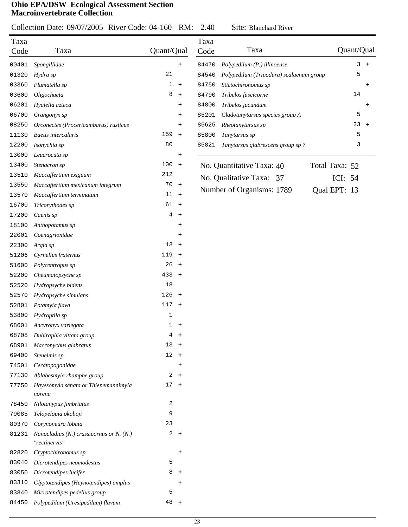Collection Date: 09/07/2005 River Code: 04-160 RM: 2.40 Site: Blanchard River

| Taxa  |                                                             |                             | Taxa  |                                         |                 |
|-------|-------------------------------------------------------------|-----------------------------|-------|-----------------------------------------|-----------------|
| Code  | Taxa                                                        | Quant/Qual                  | Code  | Taxa                                    | Quant/Qual      |
| 00401 | Spongillidae                                                | ٠                           | 84470 | Polypedilum (P.) illinoense             | 3<br>$\ddot{}$  |
| 01320 | Hydra sp                                                    | 21                          | 84540 | Polypedilum (Tripodura) scalaenum group | 5               |
| 03360 | Plumatella sp                                               | 1<br>$\ddot{}$              | 84750 | Stictochironomus sp                     | +               |
| 03600 | Oligochaeta                                                 | 8<br>$\ddot{}$              | 84790 | Tribelos fuscicorne                     | 14              |
| 06201 | Hyalella azteca                                             | +                           | 84800 | Tribelos jucundum                       | +               |
| 06700 | Crangonyx sp                                                | +                           | 85201 | Cladotanytarsus species group A         | 5               |
| 08250 | Orconectes (Procericambarus) rusticus                       | +                           | 85625 | Rheotanytarsus sp                       | 23<br>$\ddot{}$ |
| 11130 | <b>Baetis</b> intercalaris                                  | 159<br>$\ddot{}$            | 85800 | Tanytarsus sp                           | 5               |
| 12200 | Isonychia sp                                                | 80                          | 85821 | Tanytarsus glabrescens group sp 7       | 3               |
| 13000 | Leucrocuta sp                                               | ٠                           |       |                                         |                 |
| 13400 | Stenacron sp                                                | $100 +$                     |       | No. Quantitative Taxa: 40               | Total Taxa: 52  |
| 13510 | Maccaffertium exiguum                                       | 212                         |       | No. Qualitative Taxa: 37                | ICI: 54         |
| 13550 | Maccaffertium mexicanum integrum                            | 70<br>$+$                   |       | Number of Organisms: 1789               | Qual EPT: 13    |
| 13570 | Maccaffertium terminatum                                    | 11<br>$+$                   |       |                                         |                 |
| 16700 | Tricorythodes sp                                            | $61 +$                      |       |                                         |                 |
| 17200 | Caenis sp                                                   | $\overline{4}$<br>$\ddot{}$ |       |                                         |                 |
| 18100 | Anthopotamus sp                                             | ٠                           |       |                                         |                 |
| 22001 | Coenagrionidae                                              | ٠                           |       |                                         |                 |
| 22300 | Argia sp                                                    | 13<br>$\ddot{}$             |       |                                         |                 |
| 51206 | Cyrnellus fraternus                                         | 119<br>$\ddot{}$            |       |                                         |                 |
| 51600 | Polycentropus sp                                            | 26<br>$\ddot{}$             |       |                                         |                 |
| 52200 | Cheumatopsyche sp                                           | 433<br>$\ddot{\phantom{1}}$ |       |                                         |                 |
| 52520 | Hydropsyche bidens                                          | 18                          |       |                                         |                 |
| 52570 | Hydropsyche simulans                                        | 126<br>$+$                  |       |                                         |                 |
| 52801 | Potamyia flava                                              | 117<br>$\bf{+}$             |       |                                         |                 |
| 53800 | Hydroptila sp                                               | 1                           |       |                                         |                 |
| 68601 | Ancyronyx variegata                                         | 1<br>$\bf{+}$               |       |                                         |                 |
| 68708 | Dubiraphia vittata group                                    | 4<br>$+$                    |       |                                         |                 |
| 68901 | Macronychus glabratus                                       | $13 +$                      |       |                                         |                 |
| 69400 | Stenelmis sp                                                | 12<br>$+$                   |       |                                         |                 |
| 74501 | Ceratopogonidae                                             | +                           |       |                                         |                 |
| 77130 | Ablabesmyia rhamphe group                                   | 2<br>٠                      |       |                                         |                 |
| 77750 | Hayesomyia senata or Thienemannimyia<br>norena              | $17 +$                      |       |                                         |                 |
| 78450 | Nilotanypus fimbriatus                                      | 2                           |       |                                         |                 |
| 79085 | Telopelopia okoboji                                         | 9                           |       |                                         |                 |
| 80370 | Corynoneura lobata                                          | 23                          |       |                                         |                 |
| 81231 | Nanocladius (N.) crassicornus or N. $(N.)$<br>"rectinervis" | 2<br>$+$                    |       |                                         |                 |
| 82820 | Cryptochironomus sp                                         | +                           |       |                                         |                 |
| 83040 | Dicrotendipes neomodestus                                   | 5                           |       |                                         |                 |
| 83050 | Dicrotendipes lucifer                                       | 8<br>$\ddot{}$              |       |                                         |                 |
| 83310 | Glyptotendipes (Heynotendipes) amplus                       | ٠                           |       |                                         |                 |
| 83840 | Microtendipes pedellus group                                | 5                           |       |                                         |                 |
| 84450 | Polypedilum (Uresipedilum) flavum                           | $48 +$                      |       |                                         |                 |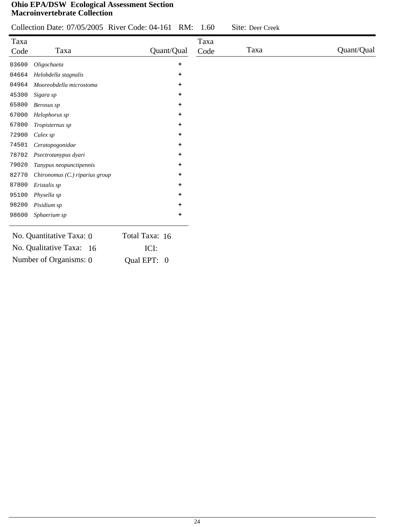Collection Date: 07/05/2005 River Code: 04-161 RM: 1.60 Site: Deer Creek

| Taxa  |                                |                |            | Taxa |      |
|-------|--------------------------------|----------------|------------|------|------|
| Code  | Taxa                           |                | Quant/Qual | Code | Taxa |
| 03600 | Oligochaeta                    |                | +          |      |      |
| 04664 | Helobdella stagnalis           |                | ٠          |      |      |
| 04964 | Mooreobdella microstoma        |                | ٠          |      |      |
| 45300 | Sigara sp                      |                | ٠          |      |      |
| 65800 | Berosus sp                     |                | ٠          |      |      |
| 67000 | Helophorus sp                  |                | ٠          |      |      |
| 67800 | Tropisternus sp                |                | ٠          |      |      |
| 72900 | Culex sp                       |                | ٠          |      |      |
| 74501 | Ceratopogonidae                |                | ٠          |      |      |
| 78702 | Psectrotanypus dyari           |                | ٠          |      |      |
| 79020 | Tanypus neopunctipennis        |                | ٠          |      |      |
| 82770 | Chironomus (C.) riparius group |                | +          |      |      |
| 87800 | Eristalis sp                   |                | ٠          |      |      |
| 95100 | Physella sp                    |                | +          |      |      |
| 98200 | Pisidium sp                    |                | ٠          |      |      |
| 98600 | Sphaerium sp                   |                | $\ddot{}$  |      |      |
|       |                                |                |            |      |      |
|       | No. Quantitative Taxa: 0       | Total Taxa: 16 |            |      |      |
|       | No. Qualitative Taxa: 16       | ICI:           |            |      |      |
|       | Number of Organisms: 0         | Qual EPT: 0    |            |      |      |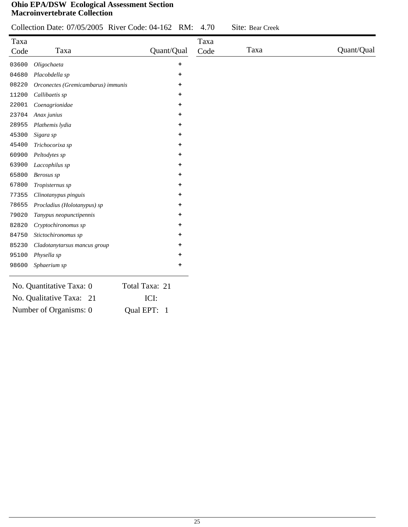Collection Date: 07/05/2005 River Code: 04-162 RM: 4.70 Site: Bear Creek

| Taxa  |                                    |                             | Taxa |      |            |
|-------|------------------------------------|-----------------------------|------|------|------------|
| Code  | Taxa                               | Quant/Qual                  | Code | Taxa | Quant/Qual |
| 03600 | Oligochaeta                        | ÷                           |      |      |            |
| 04680 | Placobdella sp                     | ÷                           |      |      |            |
| 08220 | Orconectes (Gremicambarus) immunis | ٠                           |      |      |            |
| 11200 | Callibaetis sp                     | ٠                           |      |      |            |
| 22001 | Coenagrionidae                     | ٠                           |      |      |            |
| 23704 | Anax junius                        | ٠                           |      |      |            |
| 28955 | Plathemis lydia                    | ٠                           |      |      |            |
| 45300 | Sigara sp                          | ٠                           |      |      |            |
| 45400 | Trichocorixa sp                    | ٠                           |      |      |            |
| 60900 | Peltodytes sp                      | ٠.                          |      |      |            |
| 63900 | Laccophilus sp                     | ٠                           |      |      |            |
| 65800 | Berosus sp                         | ٠                           |      |      |            |
| 67800 | Tropisternus sp                    | ٠                           |      |      |            |
| 77355 | Clinotanypus pinguis               | +                           |      |      |            |
| 78655 | Procladius (Holotanypus) sp        | ٠                           |      |      |            |
| 79020 | Tanypus neopunctipennis            | ٠                           |      |      |            |
| 82820 | Cryptochironomus sp                | ٠                           |      |      |            |
| 84750 | Stictochironomus sp                | +                           |      |      |            |
| 85230 | Cladotanytarsus mancus group       | ٠                           |      |      |            |
| 95100 | Physella sp                        | ٠                           |      |      |            |
| 98600 | Sphaerium sp                       | ٠                           |      |      |            |
|       | No. Quantitative Taxa: 0           | Total Taxa: 21              |      |      |            |
|       | No. Qualitative Taxa: 21           | ICI:                        |      |      |            |
|       | Number of Organisms: 0             | Qual EPT:<br>$\overline{1}$ |      |      |            |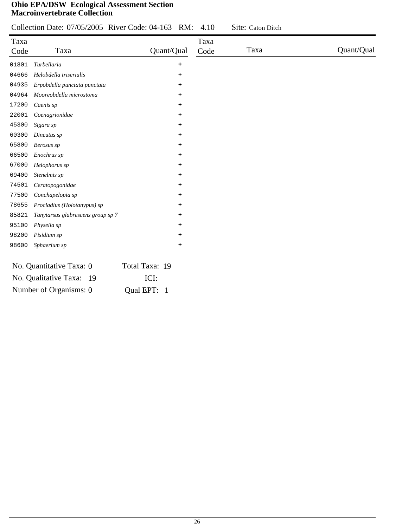Collection Date: 07/05/2005 River Code: 04-163 RM: 4.10 Site: Caton Ditch

| Taxa  |                                   |                |            | Taxa |      |            |
|-------|-----------------------------------|----------------|------------|------|------|------------|
| Code  | Taxa                              |                | Quant/Qual | Code | Taxa | Quant/Qual |
| 01801 | Turbellaria                       |                | +          |      |      |            |
| 04666 | Helobdella triserialis            |                | +          |      |      |            |
| 04935 | Erpobdella punctata punctata      |                | ٠          |      |      |            |
| 04964 | Mooreobdella microstoma           |                | ٠          |      |      |            |
| 17200 | Caenis sp                         |                | ٠          |      |      |            |
| 22001 | Coenagrionidae                    |                | +          |      |      |            |
| 45300 | Sigara sp                         |                | $\ddot{}$  |      |      |            |
| 60300 | Dineutus sp                       |                | +          |      |      |            |
| 65800 | Berosus sp                        |                | ٠          |      |      |            |
| 66500 | Enochrus sp                       |                | ٠          |      |      |            |
| 67000 | Helophorus sp                     |                | +          |      |      |            |
| 69400 | Stenelmis sp                      |                | +          |      |      |            |
| 74501 | Ceratopogonidae                   |                | ٠          |      |      |            |
| 77500 | Conchapelopia sp                  |                | +          |      |      |            |
| 78655 | Procladius (Holotanypus) sp       |                | +          |      |      |            |
| 85821 | Tanytarsus glabrescens group sp 7 |                | ٠          |      |      |            |
| 95100 | Physella sp                       |                | ٠          |      |      |            |
| 98200 | Pisidium sp                       |                | ٠          |      |      |            |
| 98600 | Sphaerium sp                      |                | ٠          |      |      |            |
|       | No. Quantitative Taxa: 0          | Total Taxa: 19 |            |      |      |            |
|       | No. Qualitative Taxa: 19          | ICI:           |            |      |      |            |
|       | Number of Organisms: 0            | Qual EPT: 1    |            |      |      |            |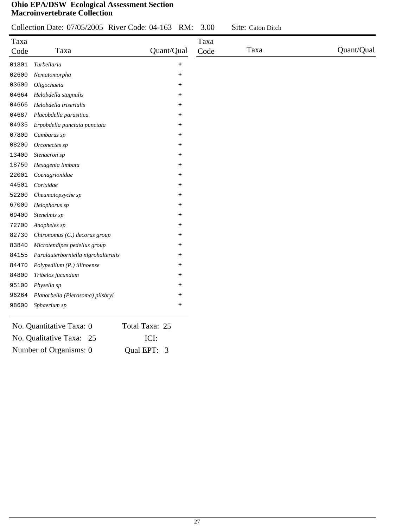Collection Date: 07/05/2005 River Code: 04-163 RM: 3.00 Site: Caton Ditch

| Taxa  |                                     |                | Taxa |      |            |
|-------|-------------------------------------|----------------|------|------|------------|
| Code  | Taxa                                | Quant/Qual     | Code | Taxa | Quant/Qual |
| 01801 | Turbellaria                         | $\ddot{}$      |      |      |            |
| 02600 | Nematomorpha                        | ٠              |      |      |            |
| 03600 | Oligochaeta                         | ٠              |      |      |            |
| 04664 | Helobdella stagnalis                | ٠              |      |      |            |
| 04666 | Helobdella triserialis              | ٠              |      |      |            |
| 04687 | Placobdella parasitica              | ٠              |      |      |            |
| 04935 | Erpobdella punctata punctata        | ٠              |      |      |            |
| 07800 | Cambarus sp                         | ٠              |      |      |            |
| 08200 | Orconectes sp                       | ٠              |      |      |            |
| 13400 | Stenacron sp                        | ٠              |      |      |            |
| 18750 | Hexagenia limbata                   | ٠              |      |      |            |
| 22001 | Coenagrionidae                      | ٠              |      |      |            |
| 44501 | Corixidae                           | ٠              |      |      |            |
| 52200 | Cheumatopsyche sp                   |                |      |      |            |
| 67000 | Helophorus sp                       |                |      |      |            |
| 69400 | Stenelmis sp                        | ÷              |      |      |            |
| 72700 | Anopheles sp                        | ٠              |      |      |            |
| 82730 | Chironomus (C.) decorus group       |                |      |      |            |
| 83840 | Microtendipes pedellus group        |                |      |      |            |
| 84155 | Paralauterborniella nigrohalteralis | ٠              |      |      |            |
| 84470 | Polypedilum (P.) illinoense         | ٠              |      |      |            |
| 84800 | Tribelos jucundum                   | ÷              |      |      |            |
| 95100 | Physella sp                         |                |      |      |            |
| 96264 | Planorbella (Pierosoma) pilsbryi    | ٠              |      |      |            |
| 98600 | Sphaerium sp                        | $\ddot{}$      |      |      |            |
|       | No. Quantitative Taxa: 0            | Total Taxa: 25 |      |      |            |

| No. Qualitative Taxa: 25 | ICI:          |  |
|--------------------------|---------------|--|
| Number of Organisms: 0   | Qual EPT: $3$ |  |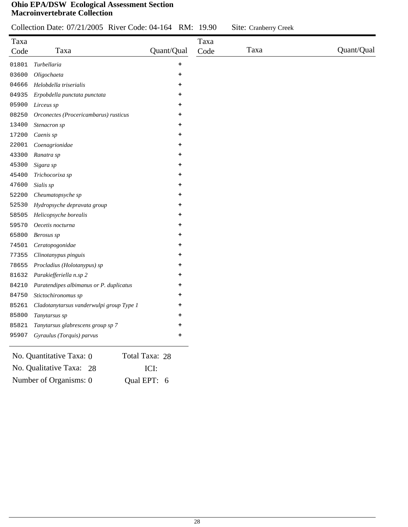Collection Date: 07/21/2005 River Code: 04-164 RM: 19.90 Site: Cranberry Creek

| Taxa<br>Code | Taxa                                     | Quant/Qual     | Taxa<br>Code | Taxa | Quant/Qual |
|--------------|------------------------------------------|----------------|--------------|------|------------|
| 01801        | Turbellaria                              | ٠              |              |      |            |
| 03600        | Oligochaeta                              | ٠              |              |      |            |
| 04666        | Helobdella triserialis                   | ٠              |              |      |            |
| 04935        | Erpobdella punctata punctata             | ٠              |              |      |            |
| 05900        | Lirceus sp                               |                |              |      |            |
| 08250        | Orconectes (Procericambarus) rusticus    |                |              |      |            |
| 13400        | Stenacron sp                             |                |              |      |            |
| 17200        | Caenis sp                                | ÷              |              |      |            |
| 22001        | Coenagrionidae                           | ÷              |              |      |            |
| 43300        | Ranatra sp                               | 4              |              |      |            |
| 45300        | Sigara sp                                | ÷              |              |      |            |
| 45400        | Trichocorixa sp                          | ÷              |              |      |            |
| 47600        | Sialis sp                                |                |              |      |            |
| 52200        | Cheumatopsyche sp                        |                |              |      |            |
| 52530        | Hydropsyche depravata group              |                |              |      |            |
| 58505        | Helicopsyche borealis                    |                |              |      |            |
| 59570        | Oecetis nocturna                         |                |              |      |            |
| 65800        | Berosus sp                               | ÷              |              |      |            |
| 74501        | Ceratopogonidae                          |                |              |      |            |
| 77355        | Clinotanypus pinguis                     |                |              |      |            |
| 78655        | Procladius (Holotanypus) sp              | ٠              |              |      |            |
| 81632        | Parakiefferiella n.sp 2                  |                |              |      |            |
| 84210        | Paratendipes albimanus or P. duplicatus  |                |              |      |            |
| 84750        | Stictochironomus sp                      |                |              |      |            |
| 85261        | Cladotanytarsus vanderwulpi group Type 1 |                |              |      |            |
| 85800        | Tanytarsus sp                            |                |              |      |            |
| 85821        | Tanytarsus glabrescens group sp 7        |                |              |      |            |
| 95907        | Gyraulus (Torquis) parvus                |                |              |      |            |
|              | No. Quantitative Taxa: 0                 | Total Taxa: 28 |              |      |            |

| No. Qualitative Taxa: 28 | ICI:          |  |
|--------------------------|---------------|--|
| Number of Organisms: 0   | Qual EPT: $6$ |  |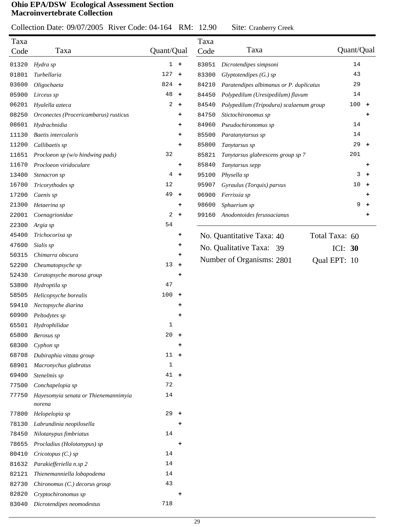Collection Date: 09/07/2005 River Code: 04-164 RM: 12.90 Site: Cranberry Creek

| Taxa  |                                                |                           | Taxa  |                                         |                |           |
|-------|------------------------------------------------|---------------------------|-------|-----------------------------------------|----------------|-----------|
| Code  | Taxa                                           | Quant/Qual                | Code  | Taxa                                    | Quant/Qual     |           |
| 01320 | Hydra sp                                       | 1<br>$\pm$                | 83051 | Dicrotendipes simpsoni                  | 14             |           |
| 01801 | Turbellaria                                    | 127<br>$\ddot{}$          | 83300 | $Glyptotendipes(G.)$ sp                 | 43             |           |
| 03600 | Oligochaeta                                    | 824<br>$\ddot{}$          | 84210 | Paratendipes albimanus or P. duplicatus | 29             |           |
| 05900 | Lirceus sp                                     | 48<br>$\ddot{}$           | 84450 | Polypedilum (Uresipedilum) flavum       | 14             |           |
| 06201 | Hyalella azteca                                | 2<br>$\ddot{}$            | 84540 | Polypedilum (Tripodura) scalaenum group | 100            | $+$       |
| 08250 | Orconectes (Procericambarus) rusticus          | ٠                         | 84750 | Stictochironomus sp                     |                | ٠         |
| 08601 | Hydrachnidia                                   | $\ddot{}$                 | 84960 | Pseudochironomus sp                     | 14             |           |
| 11130 | Baetis intercalaris                            | $\ddot{}$                 | 85500 | Paratanytarsus sp                       | 14             |           |
| 11200 | Callibaetis sp                                 | $\ddot{}$                 | 85800 | Tanytarsus sp                           | 29             | $+$       |
| 11651 | Procloeon sp (w/o hindwing pads)               | 32                        | 85821 | Tanytarsus glabrescens group sp 7       | 201            |           |
| 11670 | Procloeon viridoculare                         | ÷                         | 85840 | Tanytarsus sepp                         |                |           |
| 13400 | Stenacron sp                                   | 4<br>$\ddot{\phantom{1}}$ | 95100 | Physella sp                             | 3              | $\ddot{}$ |
| 16700 | Tricorythodes sp                               | 12                        | 95907 | Gyraulus (Torquis) parvus               | 10             | $\ddot{}$ |
| 17200 | Caenis sp                                      | 49<br>$\ddot{}$           | 96900 | Ferrissia sp                            |                |           |
| 21300 | Hetaerina sp                                   | ٠                         | 98600 | Sphaerium sp                            | 9              |           |
| 22001 | Coenagrionidae                                 | 2<br>$\ddot{}$            | 99160 | Anodontoides ferussacianus              |                |           |
| 22300 | Argia sp                                       | 54                        |       |                                         |                |           |
| 45400 | Trichocorixa sp                                | $\ddot{}$                 |       | No. Quantitative Taxa: 40               | Total Taxa: 60 |           |
| 47600 | Sialis sp                                      | $\ddot{}$                 |       | No. Qualitative Taxa: 39                | ICI: $30$      |           |
| 50315 | Chimarra obscura                               | $\ddot{}$                 |       |                                         |                |           |
| 52200 | Cheumatopsyche sp                              | 13<br>$\pm$               |       | Number of Organisms: 2801               | Qual EPT: 10   |           |
| 52430 | Ceratopsyche morosa group                      | ٠                         |       |                                         |                |           |
| 53800 | Hydroptila sp                                  | 47                        |       |                                         |                |           |
| 58505 | Helicopsyche borealis                          | 100<br>$\ddot{}$          |       |                                         |                |           |
| 59410 | Nectopsyche diarina                            | ٠                         |       |                                         |                |           |
| 60900 | Peltodytes sp                                  | ٠                         |       |                                         |                |           |
| 65501 | Hydrophilidae                                  | 1                         |       |                                         |                |           |
| 65800 | Berosus sp                                     | $20 +$                    |       |                                         |                |           |
| 68300 | Cyphon sp                                      |                           |       |                                         |                |           |
| 68708 | Dubiraphia vittata group                       | $11 +$                    |       |                                         |                |           |
| 68901 | Macronychus glabratus                          | 1                         |       |                                         |                |           |
| 69400 | Stenelmis sp                                   | $41 +$                    |       |                                         |                |           |
| 77500 | Conchapelopia sp                               | 72                        |       |                                         |                |           |
| 77750 | Hayesomyia senata or Thienemannimyia<br>norena | 14                        |       |                                         |                |           |
| 77800 | Helopelopia sp                                 | $29 +$                    |       |                                         |                |           |
| 78130 | Labrundinia neopilosella                       |                           |       |                                         |                |           |
| 78450 | Nilotanypus fimbriatus                         | 14                        |       |                                         |                |           |
| 78655 | Procladius (Holotanypus) sp                    | ÷                         |       |                                         |                |           |
| 80410 | Cricotopus (C.) sp                             | 14                        |       |                                         |                |           |
| 81632 | Parakiefferiella n.sp 2                        | 14                        |       |                                         |                |           |
| 82121 | Thienemanniella lobapodema                     | 14                        |       |                                         |                |           |
| 82730 | Chironomus (C.) decorus group                  | 43                        |       |                                         |                |           |
| 82820 | Cryptochironomus sp                            | +                         |       |                                         |                |           |
| 83040 | Dicrotendipes neomodestus                      | 718                       |       |                                         |                |           |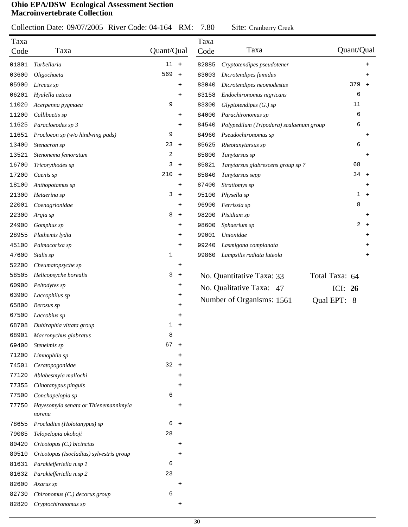Collection Date: 09/07/2005 River Code: 04-164 RM: 7.80 Site: Cranberry Creek

| Taxa<br>Code | Taxa                                           | Quant/Qual                           | Taxa<br>Code | Taxa                                    | Quant/Qual       |
|--------------|------------------------------------------------|--------------------------------------|--------------|-----------------------------------------|------------------|
| 01801        | Turbellaria                                    | 11<br>$\ddot{\phantom{1}}$           | 82885        | Cryptotendipes pseudotener              | +                |
| 03600        | Oligochaeta                                    | 569<br>$\ddot{\phantom{1}}$          | 83003        | Dicrotendipes fumidus                   | +                |
| 05900        | Lirceus sp                                     | +                                    | 83040        | Dicrotendipes neomodestus               | 379<br>$\ddot{}$ |
| 06201        | Hyalella azteca                                | ٠                                    | 83158        | Endochironomus nigricans                | 6                |
| 11020        | Acerpenna pygmaea                              | 9                                    | 83300        | $Glyptotendipes(G.)$ sp                 | 11               |
| 11200        | Callibaetis sp                                 | ٠                                    | 84000        | Parachironomus sp                       | 6                |
| 11625        | Paracloeodes sp 3                              | +                                    | 84540        | Polypedilum (Tripodura) scalaenum group | 6                |
| 11651        | Procloeon sp (w/o hindwing pads)               | 9                                    | 84960        | Pseudochironomus sp                     |                  |
| 13400        | Stenacron sp                                   | 23<br>$\ddot{\phantom{1}}$           | 85625        | Rheotanytarsus sp                       | 6                |
| 13521        | Stenonema femoratum                            | $\overline{c}$                       | 85800        | Tanytarsus sp                           | ٠                |
| 16700        | Tricorythodes sp                               | 3<br>$\ddot{\phantom{1}}$            | 85821        | Tanytarsus glabrescens group sp 7       | 68               |
| 17200        | Caenis sp                                      | 210<br>$\ddot{\phantom{1}}$          | 85840        | Tanytarsus sepp                         | 34<br>$\ddot{}$  |
| 18100        | Anthopotamus sp                                | ٠                                    | 87400        | Stratiomys sp                           | +                |
| 21300        | Hetaerina sp                                   | 3<br>$\ddot{\phantom{1}}$            | 95100        | Physella sp                             | 1<br>$\ddot{}$   |
| 22001        | Coenagrionidae                                 | +                                    | 96900        | Ferrissia sp                            | 8                |
| 22300        | Argia sp                                       | 8<br>$\ddot{}$                       | 98200        | Pisidium sp                             | ٠                |
| 24900        | Gomphus sp                                     | ٠                                    | 98600        | Sphaerium sp                            | 2<br>$\ddot{}$   |
| 28955        | Plathemis lydia                                | +                                    | 99001        | Unionidae                               | ۰                |
| 45100        | Palmacorixa sp                                 | ٠.                                   | 99240        | Lasmigona complanata                    |                  |
| 47600        | Sialis sp                                      | 1                                    | 99860        | Lampsilis radiata luteola               | +                |
| 52200        | Cheumatopsyche sp                              | +                                    |              |                                         |                  |
| 58505        | Helicopsyche borealis                          | 3<br>$\pm$                           |              | No. Quantitative Taxa: 33               | Total Taxa: 64   |
| 60900        | Peltodytes sp                                  | +                                    |              |                                         |                  |
| 63900        | Laccophilus sp                                 | ٠                                    |              | No. Qualitative Taxa: 47                | ICI: 26          |
| 65800        | Berosus sp                                     | ٠                                    |              | Number of Organisms: 1561               | Qual EPT: 8      |
| 67500        | Laccobius sp                                   | ٠                                    |              |                                         |                  |
| 68708        | Dubiraphia vittata group                       | $\mathbf{1}$<br>$\ddot{\phantom{1}}$ |              |                                         |                  |
| 68901        | Macronychus glabratus                          | 8                                    |              |                                         |                  |
| 69400        | Stenelmis sp                                   | 67<br>$\ddot{\phantom{1}}$           |              |                                         |                  |
| 71200        | Limnophila sp                                  |                                      |              |                                         |                  |
| 74501        | Ceratopogonidae                                | 32<br>$\ddot{}$                      |              |                                         |                  |
| 77120        | Ablabesmyia mallochi                           | +                                    |              |                                         |                  |
| 77355        | Clinotanypus pinguis                           |                                      |              |                                         |                  |
| 77500        | Conchapelopia sp                               | 6                                    |              |                                         |                  |
| 77750        | Hayesomyia senata or Thienemannimyia<br>norena | ٠                                    |              |                                         |                  |
| 78655        | Procladius (Holotanypus) sp                    | 6<br>$\ddot{\phantom{1}}$            |              |                                         |                  |
| 79085        | Telopelopia okoboji                            | 28                                   |              |                                         |                  |
| 80420        | Cricotopus (C.) bicinctus                      | +                                    |              |                                         |                  |
| 80510        | Cricotopus (Isocladius) sylvestris group       | +                                    |              |                                         |                  |
| 81631        | Parakiefferiella n.sp 1                        | 6                                    |              |                                         |                  |
| 81632        | Parakiefferiella n.sp 2                        | 23                                   |              |                                         |                  |
| 82600        | Axarus sp                                      | ٠                                    |              |                                         |                  |
| 82730        | Chironomus (C.) decorus group                  | 6                                    |              |                                         |                  |
| 82820        | Cryptochironomus sp                            | +                                    |              |                                         |                  |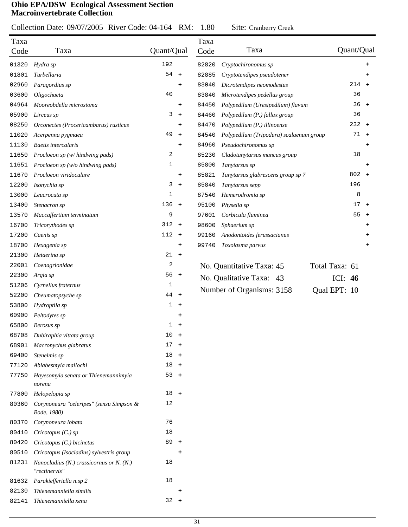Collection Date: 09/07/2005 River Code: 04-164 RM: 1.80 Site: Cranberry Creek

| Taxa  |                                                             |              |                      | Taxa  |                                         |                |            |     |
|-------|-------------------------------------------------------------|--------------|----------------------|-------|-----------------------------------------|----------------|------------|-----|
| Code  | Taxa                                                        | Quant/Qual   |                      | Code  | Taxa                                    |                | Quant/Qual |     |
| 01320 | Hydra sp                                                    | 192          |                      | 82820 | Cryptochironomus sp                     |                |            |     |
| 01801 | Turbellaria                                                 | $54 +$       |                      | 82885 | Cryptotendipes pseudotener              |                |            | ٠   |
| 02960 | Paragordius sp                                              |              | ٠                    | 83040 | Dicrotendipes neomodestus               |                | 214        | $+$ |
| 03600 | Oligochaeta                                                 | 40           |                      | 83840 | Microtendipes pedellus group            |                | 36         |     |
| 04964 | Mooreobdella microstoma                                     |              | +                    | 84450 | Polypedilum (Uresipedilum) flavum       |                | 36         | $+$ |
| 05900 | Lirceus sp                                                  | 3            | $\ddot{}$            | 84460 | Polypedilum (P.) fallax group           |                | 36         |     |
| 08250 | Orconectes (Procericambarus) rusticus                       |              | +                    | 84470 | Polypedilum (P.) illinoense             |                | 232        | $+$ |
| 11020 | Acerpenna pygmaea                                           | 49           | $\ddot{}$            | 84540 | Polypedilum (Tripodura) scalaenum group |                | 71         | $+$ |
| 11130 | <b>Baetis</b> intercalaris                                  |              | +                    | 84960 | Pseudochironomus sp                     |                |            | +   |
| 11650 | Procloeon sp (w/hindwing pads)                              | 2            |                      | 85230 | Cladotanytarsus mancus group            |                | 18         |     |
| 11651 | Procloeon sp (w/o hindwing pads)                            | 1            |                      | 85800 | Tanytarsus sp                           |                |            |     |
| 11670 | Procloeon viridoculare                                      |              | +                    | 85821 | Tanytarsus glabrescens group sp 7       |                | 802        | $+$ |
| 12200 | Isonychia sp                                                | 3            | $\ddot{}$            | 85840 | Tanytarsus sepp                         |                | 196        |     |
| 13000 | Leucrocuta sp                                               | 1            |                      | 87540 | Hemerodromia sp                         |                | 8          |     |
| 13400 | Stenacron sp                                                | 136          | $\ddot{\phantom{1}}$ | 95100 | Physella sp                             |                | 17         |     |
| 13570 | Maccaffertium terminatum                                    | 9            |                      | 97601 | Corbicula fluminea                      |                | 55         |     |
| 16700 | Tricorythodes sp                                            | 312          | $\pm$                | 98600 | Sphaerium sp                            |                |            | +   |
| 17200 | Caenis sp                                                   | 112          | $\ddot{}$            | 99160 | Anodontoides ferussacianus              |                |            |     |
| 18700 | Hexagenia sp                                                |              | ٠                    | 99740 | Toxolasma parvus                        |                |            | +   |
| 21300 | Hetaerina sp                                                | 21           | $\ddot{}$            |       |                                         |                |            |     |
| 22001 | Coenagrionidae                                              | 2            |                      |       | No. Quantitative Taxa: 45               | Total Taxa: 61 |            |     |
| 22300 | Argia sp                                                    | 56           | $+$                  |       | No. Qualitative Taxa: 43                | <b>ICI: 46</b> |            |     |
| 51206 | Cyrnellus fraternus                                         | 1            |                      |       |                                         |                |            |     |
| 52200 | Cheumatopsyche sp                                           | $44 +$       |                      |       | Number of Organisms: 3158               | Qual EPT: 10   |            |     |
| 53800 | Hydroptila sp                                               | $\mathbf{1}$ | $\ddot{}$            |       |                                         |                |            |     |
| 60900 | Peltodytes sp                                               |              | ٠                    |       |                                         |                |            |     |
| 65800 | Berosus sp                                                  | $\mathbf{1}$ | $\ddot{}$            |       |                                         |                |            |     |
| 68708 | Dubiraphia vittata group                                    | 10           | $+$                  |       |                                         |                |            |     |
| 68901 | Macronychus glabratus                                       | $17 +$       |                      |       |                                         |                |            |     |
| 69400 | Stenelmis sp                                                | 18           | $+$                  |       |                                         |                |            |     |
| 77120 | Ablabesmyia mallochi                                        | $18 +$       |                      |       |                                         |                |            |     |
| 77750 | Hayesomyia senata or Thienemannimyia<br>norena              | $53 +$       |                      |       |                                         |                |            |     |
| 77800 | Helopelopia sp                                              | $18 +$       |                      |       |                                         |                |            |     |
| 80360 | Corynoneura "celeripes" (sensu Simpson &<br>Bode, 1980)     | 12           |                      |       |                                         |                |            |     |
| 80370 | Corynoneura lobata                                          | 76           |                      |       |                                         |                |            |     |
| 80410 | Cricotopus (C.) sp                                          | 18           |                      |       |                                         |                |            |     |
| 80420 | Cricotopus (C.) bicinctus                                   | 89           | $\ddot{}$            |       |                                         |                |            |     |
| 80510 | Cricotopus (Isocladius) sylvestris group                    |              | ٠                    |       |                                         |                |            |     |
| 81231 | Nanocladius (N.) crassicornus or $N. (N.)$<br>"rectinervis" | 18           |                      |       |                                         |                |            |     |
| 81632 | Parakiefferiella n.sp 2                                     | 18           |                      |       |                                         |                |            |     |
| 82130 | Thienemanniella similis                                     |              | +                    |       |                                         |                |            |     |
| 82141 | Thienemanniella xena                                        | $32 +$       |                      |       |                                         |                |            |     |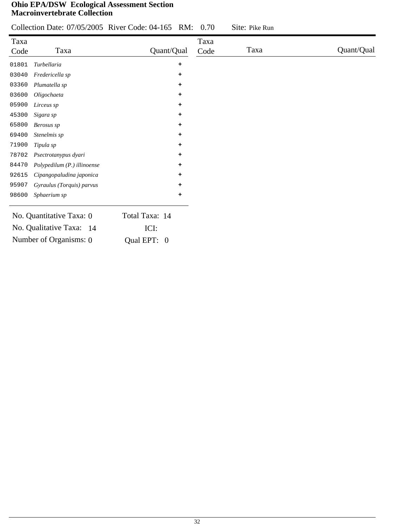Collection Date: 07/05/2005 River Code: 04-165 RM: 0.70 Site: Pike Run

| Taxa                     |                             |                | Taxa |      |            |
|--------------------------|-----------------------------|----------------|------|------|------------|
| Code                     | Taxa                        | Quant/Qual     | Code | Taxa | Quant/Qual |
| 01801                    | Turbellaria                 | ٠              |      |      |            |
| 03040                    | Fredericella sp             | ٠              |      |      |            |
| 03360                    | Plumatella sp               | $\ddot{}$      |      |      |            |
| 03600                    | Oligochaeta                 | ٠              |      |      |            |
| 05900                    | Lirceus sp                  | ٠              |      |      |            |
| 45300                    | Sigara sp                   | ٠              |      |      |            |
| 65800                    | Berosus sp                  | $\ddot{}$      |      |      |            |
| 69400                    | Stenelmis sp                | ٠              |      |      |            |
| 71900                    | Tipula sp                   | ٠              |      |      |            |
| 78702                    | Psectrotanypus dyari        | ٠              |      |      |            |
| 84470                    | Polypedilum (P.) illinoense | $\ddot{}$      |      |      |            |
| 92615                    | Cipangopaludina japonica    | ٠              |      |      |            |
| 95907                    | Gyraulus (Torquis) parvus   | ٠              |      |      |            |
| 98600                    | Sphaerium sp                | ٠              |      |      |            |
| No. Quantitative Taxa: 0 |                             | Total Taxa: 14 |      |      |            |
| No. Qualitative Taxa: 14 |                             | ICI:           |      |      |            |
| Number of Organisms: 0   |                             | Qual EPT: 0    |      |      |            |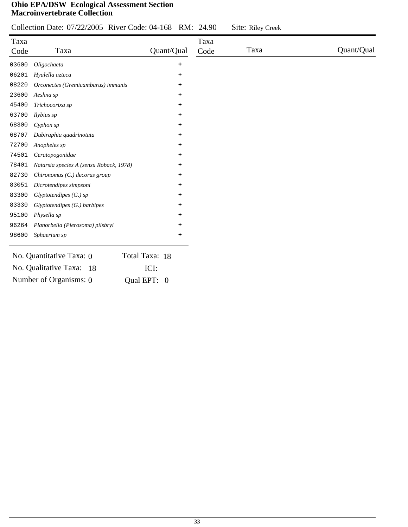Collection Date: 07/22/2005 River Code: 04-168 RM: 24.90 Site: Riley Creek

| Taxa                             |                                         |                | Taxa |      |            |
|----------------------------------|-----------------------------------------|----------------|------|------|------------|
| Code                             | Taxa                                    | Quant/Qual     | Code | Taxa | Quant/Qual |
| 03600                            | Oligochaeta                             | ٠              |      |      |            |
| 06201                            | Hyalella azteca                         | +              |      |      |            |
| 08220                            | Orconectes (Gremicambarus) immunis      | ٠              |      |      |            |
| 23600                            | Aeshna sp                               | ٠              |      |      |            |
| 45400                            | Trichocorixa sp                         | $\ddot{}$      |      |      |            |
| 63700                            | Ilybius sp                              | ٠              |      |      |            |
| 68300                            | Cyphon sp                               | +              |      |      |            |
| 68707                            | Dubiraphia quadrinotata                 | ٠              |      |      |            |
| 72700                            | Anopheles sp                            | +              |      |      |            |
| 74501                            | Ceratopogonidae                         | +              |      |      |            |
| 78401                            | Natarsia species A (sensu Roback, 1978) | ٠              |      |      |            |
| 82730                            | Chironomus (C.) decorus group           | ٠              |      |      |            |
| 83051                            | Dicrotendipes simpsoni                  | +              |      |      |            |
| 83300                            | $Glyptotendipes(G.)$ sp                 | +              |      |      |            |
| 83330                            | Glyptotendipes (G.) barbipes            | ٠              |      |      |            |
| 95100                            | Physella sp                             | ٠              |      |      |            |
| 96264                            | Planorbella (Pierosoma) pilsbryi        | ٠              |      |      |            |
| 98600                            | Sphaerium sp                            | ٠              |      |      |            |
|                                  | No. Quantitative Taxa: 0                | Total Taxa: 18 |      |      |            |
| No. Qualitative Taxa: 18<br>ICI: |                                         |                |      |      |            |
| Number of Organisms: 0           |                                         | Qual EPT: 0    |      |      |            |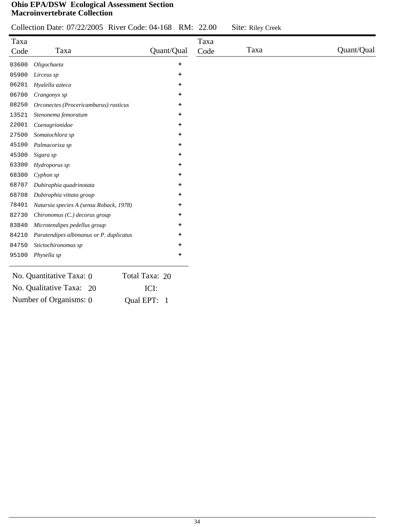Collection Date: 07/22/2005 River Code: 04-168 RM: 22.00 Site: Riley Creek

| Taxa                                  |                                         |                | Taxa |      |            |
|---------------------------------------|-----------------------------------------|----------------|------|------|------------|
| Code                                  | Taxa                                    | Quant/Qual     | Code | Taxa | Quant/Qual |
| 03600                                 | Oligochaeta                             | ٠              |      |      |            |
| 05900                                 | Lirceus sp                              | ٠              |      |      |            |
| 06201                                 | Hyalella azteca                         | ٠              |      |      |            |
| 06700                                 | Crangonyx sp                            |                |      |      |            |
| 08250                                 | Orconectes (Procericambarus) rusticus   | +              |      |      |            |
| 13521                                 | Stenonema femoratum                     | ٠              |      |      |            |
| 22001                                 | Coenagrionidae                          | ٠              |      |      |            |
| 27500                                 | Somatochlora sp                         | ٠              |      |      |            |
| 45100                                 | Palmacorixa sp                          | ٠              |      |      |            |
| 45300                                 | Sigara sp                               | +              |      |      |            |
| 63300                                 | Hydroporus sp                           | ٠              |      |      |            |
| 68300                                 | Cyphon sp                               | ٠              |      |      |            |
| 68707                                 | Dubiraphia quadrinotata                 | ٠              |      |      |            |
| 68708                                 | Dubiraphia vittata group                | ٠              |      |      |            |
| 78401                                 | Natarsia species A (sensu Roback, 1978) |                |      |      |            |
| 82730                                 | Chironomus (C.) decorus group           |                |      |      |            |
| 83840                                 | Microtendipes pedellus group            |                |      |      |            |
| 84210                                 | Paratendipes albimanus or P. duplicatus |                |      |      |            |
| 84750                                 | Stictochironomus sp                     | ٠              |      |      |            |
| 95100                                 | Physella sp                             |                |      |      |            |
|                                       | No. Quantitative Taxa: 0                | Total Taxa: 20 |      |      |            |
| No. Qualitative Taxa: 20<br>ICI:      |                                         |                |      |      |            |
| Number of Organisms: 0<br>Qual EPT: 1 |                                         |                |      |      |            |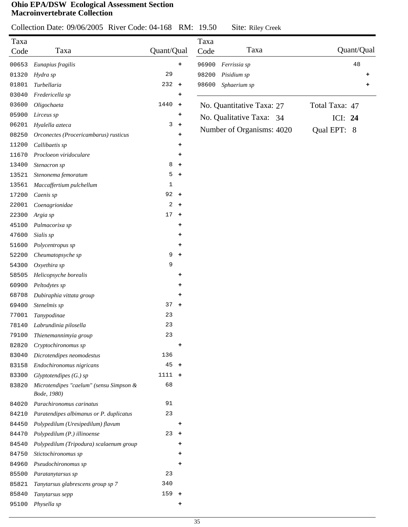| Taxa  |                                                        |                            | Taxa  |                           |                |
|-------|--------------------------------------------------------|----------------------------|-------|---------------------------|----------------|
| Code  | Taxa                                                   | Quant/Qual                 | Code  | Taxa                      | Quant/Qual     |
| 00653 | Eunapius fragilis                                      | $\ddot{}$                  | 96900 | Ferrissia sp              | 48             |
| 01320 | Hydra sp                                               | 29                         | 98200 | Pisidium sp               |                |
| 01801 | Turbellaria                                            | 232<br>$\ddot{}$           | 98600 | Sphaerium sp              | +              |
| 03040 | Fredericella sp                                        | $\ddot{}$                  |       |                           |                |
| 03600 | Oligochaeta                                            | 1440<br>$+$                |       | No. Quantitative Taxa: 27 | Total Taxa: 47 |
| 05900 | Lirceus sp                                             | ٠                          |       |                           |                |
| 06201 | Hyalella azteca                                        | 3<br>$\ddot{}$             |       | No. Qualitative Taxa: 34  | ICI: 24        |
| 08250 | Orconectes (Procericambarus) rusticus                  | ٠                          |       | Number of Organisms: 4020 | Qual EPT: 8    |
| 11200 | Callibaetis sp                                         | ۰                          |       |                           |                |
| 11670 | Procloeon viridoculare                                 | ٠                          |       |                           |                |
| 13400 | Stenacron sp                                           | 8<br>$\ddot{}$             |       |                           |                |
| 13521 | Stenonema femoratum                                    | 5<br>$\ddot{}$             |       |                           |                |
| 13561 | Maccaffertium pulchellum                               | 1                          |       |                           |                |
| 17200 | Caenis sp                                              | 92<br>$+$                  |       |                           |                |
| 22001 | Coenagrionidae                                         | 2<br>$\ddot{}$             |       |                           |                |
| 22300 | Argia sp                                               | 17<br>$\ddot{}$            |       |                           |                |
| 45100 | Palmacorixa sp                                         | ٠                          |       |                           |                |
| 47600 | Sialis sp                                              | ۰                          |       |                           |                |
| 51600 | Polycentropus sp                                       | ٠                          |       |                           |                |
| 52200 | Cheumatopsyche sp                                      | 9<br>$\ddot{}$             |       |                           |                |
| 54300 | Oxyethira sp                                           | 9                          |       |                           |                |
| 58505 | Helicopsyche borealis                                  | ٠                          |       |                           |                |
| 60900 | Peltodytes sp                                          | ٠                          |       |                           |                |
| 68708 | Dubiraphia vittata group                               | ٠                          |       |                           |                |
| 69400 | Stenelmis sp                                           | 37<br>$\ddot{\phantom{1}}$ |       |                           |                |
| 77001 | Tanypodinae                                            | 23                         |       |                           |                |
| 78140 | Labrundinia pilosella                                  | 23                         |       |                           |                |
| 79100 | Thienemannimyia group                                  | 23                         |       |                           |                |
| 82820 | Cryptochironomus sp                                    | $\ddot{}$                  |       |                           |                |
| 83040 | Dicrotendipes neomodestus                              | 136                        |       |                           |                |
| 83158 | Endochironomus nigricans                               | 45<br>$+$                  |       |                           |                |
| 83300 | $Glyptotendipes(G.)$ sp                                | $1111 +$                   |       |                           |                |
| 83820 | Microtendipes "caelum" (sensu Simpson &<br>Bode, 1980) | 68                         |       |                           |                |
| 84020 | Parachironomus carinatus                               | 91                         |       |                           |                |
| 84210 | Paratendipes albimanus or P. duplicatus                | 23                         |       |                           |                |
| 84450 | Polypedilum (Uresipedilum) flavum                      |                            |       |                           |                |
| 84470 | Polypedilum (P.) illinoense                            | 23<br>$+$                  |       |                           |                |
| 84540 | Polypedilum (Tripodura) scalaenum group                | ٠                          |       |                           |                |
| 84750 | Stictochironomus sp                                    |                            |       |                           |                |
| 84960 | Pseudochironomus sp                                    | ٠                          |       |                           |                |
| 85500 | Paratanytarsus sp                                      | 23                         |       |                           |                |
| 85821 | Tanytarsus glabrescens group sp 7                      | 340                        |       |                           |                |
| 85840 | Tanytarsus sepp                                        | $159 +$                    |       |                           |                |
| 95100 | Physella sp                                            | $\boldsymbol{+}$           |       |                           |                |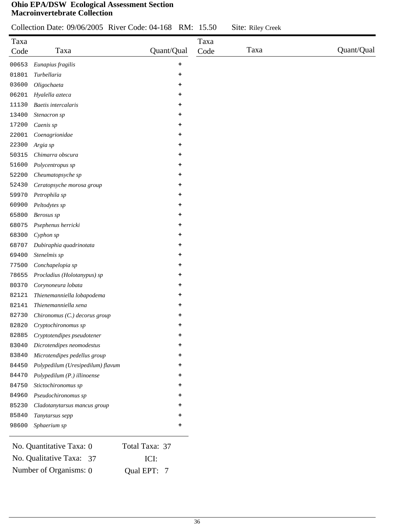Collection Date: 09/06/2005 River Code: 04-168 RM: 15.50 Site: Riley Creek

|                                   |                                                                                                                                                                                                                                                                                                                                                                                                                                                                                                                                             |                                                                             | Taxa |      |
|-----------------------------------|---------------------------------------------------------------------------------------------------------------------------------------------------------------------------------------------------------------------------------------------------------------------------------------------------------------------------------------------------------------------------------------------------------------------------------------------------------------------------------------------------------------------------------------------|-----------------------------------------------------------------------------|------|------|
| Taxa                              |                                                                                                                                                                                                                                                                                                                                                                                                                                                                                                                                             |                                                                             | Code | Taxa |
|                                   |                                                                                                                                                                                                                                                                                                                                                                                                                                                                                                                                             |                                                                             |      |      |
|                                   | +                                                                                                                                                                                                                                                                                                                                                                                                                                                                                                                                           |                                                                             |      |      |
|                                   | +                                                                                                                                                                                                                                                                                                                                                                                                                                                                                                                                           |                                                                             |      |      |
|                                   | +                                                                                                                                                                                                                                                                                                                                                                                                                                                                                                                                           |                                                                             |      |      |
| Baetis intercalaris               | +                                                                                                                                                                                                                                                                                                                                                                                                                                                                                                                                           |                                                                             |      |      |
|                                   | +                                                                                                                                                                                                                                                                                                                                                                                                                                                                                                                                           |                                                                             |      |      |
|                                   | +                                                                                                                                                                                                                                                                                                                                                                                                                                                                                                                                           |                                                                             |      |      |
|                                   | +                                                                                                                                                                                                                                                                                                                                                                                                                                                                                                                                           |                                                                             |      |      |
|                                   | +                                                                                                                                                                                                                                                                                                                                                                                                                                                                                                                                           |                                                                             |      |      |
|                                   |                                                                                                                                                                                                                                                                                                                                                                                                                                                                                                                                             |                                                                             |      |      |
|                                   |                                                                                                                                                                                                                                                                                                                                                                                                                                                                                                                                             |                                                                             |      |      |
|                                   |                                                                                                                                                                                                                                                                                                                                                                                                                                                                                                                                             |                                                                             |      |      |
|                                   |                                                                                                                                                                                                                                                                                                                                                                                                                                                                                                                                             |                                                                             |      |      |
|                                   |                                                                                                                                                                                                                                                                                                                                                                                                                                                                                                                                             |                                                                             |      |      |
|                                   |                                                                                                                                                                                                                                                                                                                                                                                                                                                                                                                                             |                                                                             |      |      |
|                                   |                                                                                                                                                                                                                                                                                                                                                                                                                                                                                                                                             |                                                                             |      |      |
|                                   |                                                                                                                                                                                                                                                                                                                                                                                                                                                                                                                                             |                                                                             |      |      |
|                                   |                                                                                                                                                                                                                                                                                                                                                                                                                                                                                                                                             |                                                                             |      |      |
|                                   |                                                                                                                                                                                                                                                                                                                                                                                                                                                                                                                                             |                                                                             |      |      |
|                                   |                                                                                                                                                                                                                                                                                                                                                                                                                                                                                                                                             |                                                                             |      |      |
|                                   |                                                                                                                                                                                                                                                                                                                                                                                                                                                                                                                                             |                                                                             |      |      |
|                                   | +                                                                                                                                                                                                                                                                                                                                                                                                                                                                                                                                           |                                                                             |      |      |
|                                   | +                                                                                                                                                                                                                                                                                                                                                                                                                                                                                                                                           |                                                                             |      |      |
|                                   | +                                                                                                                                                                                                                                                                                                                                                                                                                                                                                                                                           |                                                                             |      |      |
| Thienemanniella lobapodema        | ٠                                                                                                                                                                                                                                                                                                                                                                                                                                                                                                                                           |                                                                             |      |      |
| Thienemanniella xena              | $\ddot{}$                                                                                                                                                                                                                                                                                                                                                                                                                                                                                                                                   |                                                                             |      |      |
| Chironomus (C.) decorus group     | +                                                                                                                                                                                                                                                                                                                                                                                                                                                                                                                                           |                                                                             |      |      |
| Cryptochironomus sp               | $\ddot{}$                                                                                                                                                                                                                                                                                                                                                                                                                                                                                                                                   |                                                                             |      |      |
| Cryptotendipes pseudotener        | ٠                                                                                                                                                                                                                                                                                                                                                                                                                                                                                                                                           |                                                                             |      |      |
| Dicrotendipes neomodestus         | ۰.                                                                                                                                                                                                                                                                                                                                                                                                                                                                                                                                          |                                                                             |      |      |
| Microtendipes pedellus group      | ۰,                                                                                                                                                                                                                                                                                                                                                                                                                                                                                                                                          |                                                                             |      |      |
| Polypedilum (Uresipedilum) flavum | +                                                                                                                                                                                                                                                                                                                                                                                                                                                                                                                                           |                                                                             |      |      |
|                                   | ۰.                                                                                                                                                                                                                                                                                                                                                                                                                                                                                                                                          |                                                                             |      |      |
|                                   | +                                                                                                                                                                                                                                                                                                                                                                                                                                                                                                                                           |                                                                             |      |      |
|                                   | ۰,                                                                                                                                                                                                                                                                                                                                                                                                                                                                                                                                          |                                                                             |      |      |
|                                   |                                                                                                                                                                                                                                                                                                                                                                                                                                                                                                                                             |                                                                             |      |      |
| Tanytarsus sepp                   | ٠                                                                                                                                                                                                                                                                                                                                                                                                                                                                                                                                           |                                                                             |      |      |
|                                   |                                                                                                                                                                                                                                                                                                                                                                                                                                                                                                                                             |                                                                             |      |      |
|                                   | Eunapius fragilis<br>Turbellaria<br>Oligochaeta<br>Hyalella azteca<br>Stenacron sp<br>Caenis sp<br>Coenagrionidae<br>Argia sp<br>Chimarra obscura<br>Polycentropus sp<br>Cheumatopsyche sp<br>Ceratopsyche morosa group<br>Petrophila sp<br>Peltodytes sp<br>Berosus sp<br>Psephenus herricki<br>Cyphon sp<br>Dubiraphia quadrinotata<br>Stenelmis sp<br>Conchapelopia sp<br>Procladius (Holotanypus) sp<br>Corynoneura lobata<br>Polypedilum (P.) illinoense<br>Stictochironomus sp<br>Pseudochironomus sp<br>Cladotanytarsus mancus group | Quant/Qual<br>+<br>+<br>+<br>+<br>+<br>+<br>+<br>+<br>+<br>+<br>٠<br>+<br>٠ |      |      |

| No. Quantitative Taxa: 0 | Total Taxa: 37 |
|--------------------------|----------------|
| No. Qualitative Taxa: 37 | ICI:           |
| Number of Organisms: 0   | Qual EPT: 7    |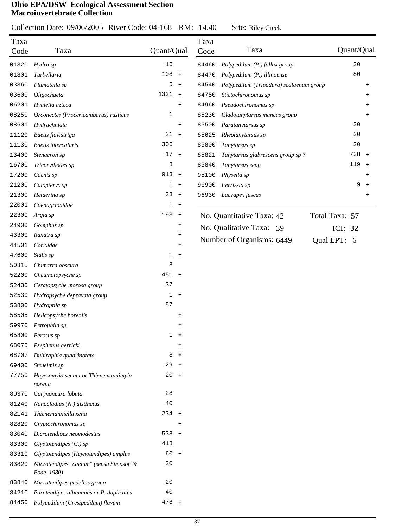Collection Date: 09/06/2005 River Code: 04-168 RM: 14.40 Site: Riley Creek

| Taxa  |                                                        |                 |                      | Taxa  |                                         |                |             |            |           |
|-------|--------------------------------------------------------|-----------------|----------------------|-------|-----------------------------------------|----------------|-------------|------------|-----------|
| Code  | Taxa                                                   | Quant/Qual      |                      | Code  | Taxa                                    |                |             | Quant/Qual |           |
| 01320 | Hydra sp                                               | 16              |                      | 84460 | Polypedilum (P.) fallax group           |                |             | 20         |           |
| 01801 | Turbellaria                                            | 108             | $\ddot{}$            | 84470 | Polypedilum (P.) illinoense             |                |             | 80         |           |
| 03360 | Plumatella sp                                          | 5               | $\ddot{}$            | 84540 | Polypedilum (Tripodura) scalaenum group |                |             |            |           |
| 03600 | Oligochaeta                                            | 1321            | $\ddot{}$            | 84750 | Stictochironomus sp                     |                |             |            |           |
| 06201 | Hyalella azteca                                        |                 | ٠                    | 84960 | Pseudochironomus sp                     |                |             |            |           |
| 08250 | Orconectes (Procericambarus) rusticus                  | $\mathbf{1}$    |                      | 85230 | Cladotanytarsus mancus group            |                |             |            | +         |
| 08601 | Hydrachnidia                                           |                 | ٠                    | 85500 | Paratanytarsus sp                       |                |             | 20         |           |
| 11120 | Baetis flavistriga                                     | $21 +$          |                      | 85625 | Rheotanytarsus sp                       |                |             | 20         |           |
| 11130 | <b>Baetis</b> intercalaris                             | 306             |                      | 85800 | Tanytarsus sp                           |                |             | 20         |           |
| 13400 | Stenacron sp                                           | 17 <sub>2</sub> | $\ddot{\phantom{1}}$ | 85821 | Tanytarsus glabrescens group sp 7       |                |             | 738        | $\ddot{}$ |
| 16700 | Tricorythodes sp                                       | 8               |                      | 85840 | Tanytarsus sepp                         |                |             | 119        | $\ddot{}$ |
| 17200 | Caenis sp                                              | 913             | $\ddot{}$            | 95100 | Physella sp                             |                |             |            | ٠         |
| 21200 | Calopteryx sp                                          | 1               | $\ddot{}$            | 96900 | Ferrissia sp                            |                |             | 9          | $\ddot{}$ |
| 21300 | Hetaerina sp                                           | 23              | $\ddot{}$            | 96930 | Laevapex fuscus                         |                |             |            | ۰         |
| 22001 | Coenagrionidae                                         | $\mathbf{1}$    | $\ddot{}$            |       |                                         |                |             |            |           |
| 22300 | Argia sp                                               | 193             | $\ddot{\phantom{1}}$ |       | No. Quantitative Taxa: 42               | Total Taxa: 57 |             |            |           |
| 24900 | Gomphus sp                                             |                 | +                    |       | No. Qualitative Taxa: 39                |                | ICI: $32$   |            |           |
| 43300 | Ranatra sp                                             |                 | ٠                    |       |                                         |                |             |            |           |
| 44501 | Corixidae                                              |                 | +                    |       | Number of Organisms: 6449               |                | Qual EPT: 6 |            |           |
| 47600 | Sialis sp                                              | $\mathbf{1}$    | $\pm$                |       |                                         |                |             |            |           |
| 50315 | Chimarra obscura                                       | 8               |                      |       |                                         |                |             |            |           |
| 52200 | Cheumatopsyche sp                                      | $451 +$         |                      |       |                                         |                |             |            |           |
| 52430 | Ceratopsyche morosa group                              | 37              |                      |       |                                         |                |             |            |           |
| 52530 | Hydropsyche depravata group                            | 1               | $\ddot{}$            |       |                                         |                |             |            |           |
| 53800 | Hydroptila sp                                          | 57              |                      |       |                                         |                |             |            |           |
| 58505 | Helicopsyche borealis                                  |                 | ٠                    |       |                                         |                |             |            |           |
| 59970 | Petrophila sp                                          |                 | ٠                    |       |                                         |                |             |            |           |
| 65800 | Berosus sp                                             |                 | $1 +$                |       |                                         |                |             |            |           |
| 68075 | Psephenus herricki                                     |                 | ٠                    |       |                                         |                |             |            |           |
| 68707 | Dubiraphia quadrinotata                                | 8               | $\ddot{\phantom{1}}$ |       |                                         |                |             |            |           |
| 69400 | Stenelmis sp                                           | 29              | $\ddot{}$            |       |                                         |                |             |            |           |
| 77750 | Hayesomyia senata or Thienemannimyia<br>norena         | 20              | $\ddot{\phantom{1}}$ |       |                                         |                |             |            |           |
| 80370 | Corynoneura lobata                                     | 28              |                      |       |                                         |                |             |            |           |
| 81240 | Nanocladius (N.) distinctus                            | 40              |                      |       |                                         |                |             |            |           |
| 82141 | Thienemanniella xena                                   | $234 +$         |                      |       |                                         |                |             |            |           |
| 82820 | Cryptochironomus sp                                    |                 | +                    |       |                                         |                |             |            |           |
| 83040 | Dicrotendipes neomodestus                              | $538 +$         |                      |       |                                         |                |             |            |           |
| 83300 | $Glyptotendipes(G.)$ sp                                | 418             |                      |       |                                         |                |             |            |           |
| 83310 | Glyptotendipes (Heynotendipes) amplus                  | 60              | $\ddot{}$            |       |                                         |                |             |            |           |
| 83820 | Microtendipes "caelum" (sensu Simpson &<br>Bode, 1980) | 20              |                      |       |                                         |                |             |            |           |
| 83840 | Microtendipes pedellus group                           | 20              |                      |       |                                         |                |             |            |           |
| 84210 | Paratendipes albimanus or P. duplicatus                | 40              |                      |       |                                         |                |             |            |           |
| 84450 | Polypedilum (Uresipedilum) flavum                      | $478 +$         |                      |       |                                         |                |             |            |           |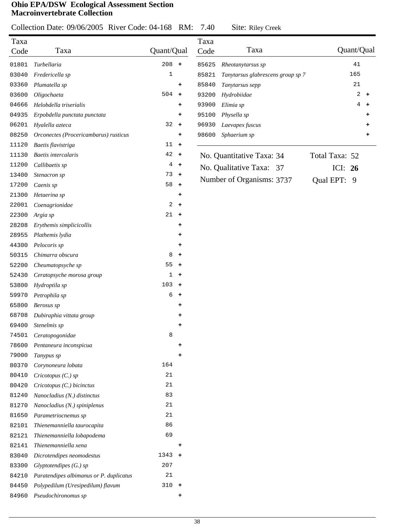Collection Date: 09/06/2005 River Code: 04-168 RM: 7.40 Site: Riley Creek

| Taxa  |                                         |              |           | Taxa  |                                   |                |            |           |
|-------|-----------------------------------------|--------------|-----------|-------|-----------------------------------|----------------|------------|-----------|
| Code  | Taxa                                    | Quant/Qual   |           | Code  | Taxa                              |                | Quant/Qual |           |
| 01801 | Turbellaria                             | 208          | $+$       | 85625 | Rheotanytarsus sp                 |                | 41         |           |
| 03040 | Fredericella sp                         | 1            |           | 85821 | Tanytarsus glabrescens group sp 7 |                | 165        |           |
| 03360 | Plumatella sp                           |              | +         | 85840 | Tanytarsus sepp                   |                | 21         |           |
| 03600 | Oligochaeta                             | 504          | $\ddot{}$ | 93200 | Hydrobiidae                       |                | 2          | $+$       |
| 04666 | Helobdella triserialis                  |              | +         | 93900 | Elimia sp                         |                | 4          | $\ddot{}$ |
| 04935 | Erpobdella punctata punctata            |              | +         | 95100 | Physella sp                       |                |            | +         |
| 06201 | Hyalella azteca                         | 32           | $\ddot{}$ | 96930 | Laevapex fuscus                   |                |            | +         |
| 08250 | Orconectes (Procericambarus) rusticus   |              | +         | 98600 | Sphaerium sp                      |                |            | +         |
| 11120 | Baetis flavistriga                      | 11           | $\ddot{}$ |       |                                   |                |            |           |
| 11130 | <b>Baetis</b> intercalaris              | $42 +$       |           |       | No. Quantitative Taxa: 34         | Total Taxa: 52 |            |           |
| 11200 | Callibaetis sp                          | $4 +$        |           |       | No. Qualitative Taxa: 37          | ICI: 26        |            |           |
| 13400 | Stenacron sp                            | 73           | $\ddot{}$ |       |                                   |                |            |           |
| 17200 | Caenis sp                               | 58           | $\ddot{}$ |       | Number of Organisms: 3737         | Qual EPT: 9    |            |           |
| 21300 | Hetaerina sp                            |              | +         |       |                                   |                |            |           |
| 22001 | Coenagrionidae                          | 2            | $\ddot{}$ |       |                                   |                |            |           |
| 22300 | Argia sp                                | $21 +$       |           |       |                                   |                |            |           |
| 28208 | Erythemis simplicicollis                |              | +         |       |                                   |                |            |           |
| 28955 | Plathemis lydia                         |              | +         |       |                                   |                |            |           |
| 44300 | Pelocoris sp                            |              | ٠         |       |                                   |                |            |           |
| 50315 | Chimarra obscura                        | 8            | $\ddag$   |       |                                   |                |            |           |
| 52200 | Cheumatopsyche sp                       | 55           | $\ddot{}$ |       |                                   |                |            |           |
| 52430 | Ceratopsyche morosa group               | $\mathbf{1}$ | $\ddot{}$ |       |                                   |                |            |           |
| 53800 | Hydroptila sp                           | 103          | $\ddot{}$ |       |                                   |                |            |           |
| 59970 | Petrophila sp                           | 6            | $\ddot{}$ |       |                                   |                |            |           |
| 65800 | Berosus sp                              |              | ٠         |       |                                   |                |            |           |
| 68708 | Dubiraphia vittata group                |              | ٠         |       |                                   |                |            |           |
| 69400 | Stenelmis sp                            |              | ٠         |       |                                   |                |            |           |
| 74501 | Ceratopogonidae                         | 8            |           |       |                                   |                |            |           |
| 78600 | Pentaneura inconspicua                  |              | +         |       |                                   |                |            |           |
| 79000 | Tanypus sp                              |              | ٠         |       |                                   |                |            |           |
| 80370 | Corynoneura lobata                      | 164          |           |       |                                   |                |            |           |
| 80410 | Cricotopus (C.) sp                      | 21           |           |       |                                   |                |            |           |
| 80420 | Cricotopus (C.) bicinctus               | 21           |           |       |                                   |                |            |           |
| 81240 | Nanocladius (N.) distinctus             | 83           |           |       |                                   |                |            |           |
| 81270 | Nanocladius (N.) spiniplenus            | 21           |           |       |                                   |                |            |           |
| 81650 | Parametriocnemus sp                     | 21           |           |       |                                   |                |            |           |
| 82101 | Thienemanniella taurocapita             | 86           |           |       |                                   |                |            |           |
| 82121 | Thienemanniella lobapodema              | 69           |           |       |                                   |                |            |           |
| 82141 | Thienemanniella xena                    |              | ٠         |       |                                   |                |            |           |
| 83040 | Dicrotendipes neomodestus               | $1343 +$     |           |       |                                   |                |            |           |
| 83300 | Glyptotendipes (G.) sp                  | 207          |           |       |                                   |                |            |           |
| 84210 | Paratendipes albimanus or P. duplicatus | 21           |           |       |                                   |                |            |           |
| 84450 | Polypedilum (Uresipedilum) flavum       | $310 +$      |           |       |                                   |                |            |           |
| 84960 | Pseudochironomus sp                     |              | +         |       |                                   |                |            |           |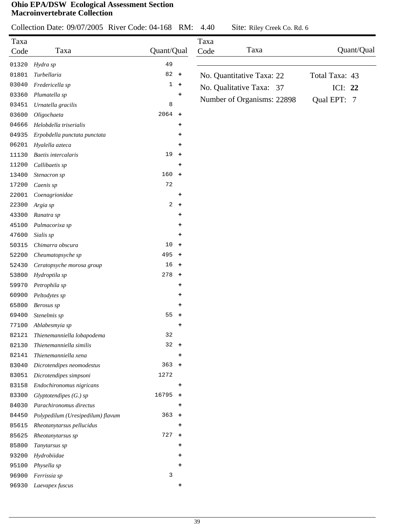Collection Date: 09/07/2005 River Code: 04-168 RM: 4.40 Site: Riley Creek Co. Rd. 6

| Taxa           |                                     |                         |                      | Taxa |                            |                |            |
|----------------|-------------------------------------|-------------------------|----------------------|------|----------------------------|----------------|------------|
| Code           | Taxa                                | Quant/Qual              |                      | Code | Taxa                       |                | Quant/Qual |
|                |                                     | 49                      |                      |      |                            |                |            |
| 01320          | Hydra sp                            | $82 +$                  |                      |      |                            |                |            |
| 01801<br>03040 | Turbellaria                         | $\mathbf{1}$            |                      |      | No. Quantitative Taxa: 22  | Total Taxa: 43 |            |
|                | Fredericella sp                     |                         | $\boldsymbol{+}$     |      | No. Qualitative Taxa: 37   | ICI: 22        |            |
| 03360<br>03451 | Plumatella sp<br>Urnatella gracilis | 8                       | ٠                    |      | Number of Organisms: 22898 | Qual EPT: 7    |            |
| 03600          | Oligochaeta                         | $2064 +$                |                      |      |                            |                |            |
| 04666          | Helobdella triserialis              |                         |                      |      |                            |                |            |
| 04935          |                                     |                         | +                    |      |                            |                |            |
| 06201          | Erpobdella punctata punctata        |                         | +                    |      |                            |                |            |
|                | Hyalella azteca                     | 19                      | +                    |      |                            |                |            |
| 11130          | Baetis intercalaris                 |                         | $\ddag$              |      |                            |                |            |
| 11200          | Callibaetis sp                      | 160                     | ٠                    |      |                            |                |            |
| 13400          | Stenacron sp                        | 72                      | $\ddot{\phantom{1}}$ |      |                            |                |            |
| 17200          | Caenis sp                           |                         |                      |      |                            |                |            |
| 22001          | Coenagrionidae                      | $\overline{\mathbf{c}}$ | ٠                    |      |                            |                |            |
| 22300          | Argia sp                            |                         | $\ddag$              |      |                            |                |            |
| 43300          | Ranatra sp                          |                         | ٠                    |      |                            |                |            |
| 45100          | Palmacorixa sp                      |                         | +                    |      |                            |                |            |
| 47600          | Sialis sp                           |                         | +                    |      |                            |                |            |
| 50315          | Chimarra obscura                    | 10                      | $\ddot{}$            |      |                            |                |            |
| 52200          | Cheumatopsyche sp                   | 495                     | $\ddag$              |      |                            |                |            |
| 52430          | Ceratopsyche morosa group           | 16                      | $\ddot{}$            |      |                            |                |            |
| 53800          | Hydroptila sp                       | 278                     | $\ddag$              |      |                            |                |            |
| 59970          | Petrophila sp                       |                         | +                    |      |                            |                |            |
| 60900          | Peltodytes sp                       |                         | +                    |      |                            |                |            |
| 65800          | Berosus sp                          |                         | +                    |      |                            |                |            |
| 69400          | Stenelmis sp                        | 55                      | $\ddot{\phantom{1}}$ |      |                            |                |            |
| 77100          | Ablabesmyia sp                      |                         | +                    |      |                            |                |            |
| 82121          | Thienemanniella lobapodema          | 32                      |                      |      |                            |                |            |
| 82130          | Thienemanniella similis             | $32 +$                  |                      |      |                            |                |            |
| 82141          | Thienemanniella xena                |                         | +                    |      |                            |                |            |
| 83040          | Dicrotendipes neomodestus           | $363 +$                 |                      |      |                            |                |            |
| 83051          | Dicrotendipes simpsoni              | 1272                    |                      |      |                            |                |            |
| 83158          | Endochironomus nigricans            |                         | ٠                    |      |                            |                |            |
| 83300          | $Glyptotendipes(G.)$ sp             | 16795                   | $+$                  |      |                            |                |            |
| 84030          | Parachironomus directus             |                         | ٠                    |      |                            |                |            |
| 84450          | Polypedilum (Uresipedilum) flavum   | 363                     | $\pm$                |      |                            |                |            |
| 85615          | Rheotanytarsus pellucidus           |                         | +                    |      |                            |                |            |
| 85625          | Rheotanytarsus sp                   | 727                     | $\ddot{}$            |      |                            |                |            |
| 85800          | Tanytarsus sp                       |                         | ٠                    |      |                            |                |            |
| 93200          | Hydrobiidae                         |                         | ٠                    |      |                            |                |            |
| 95100          | Physella sp                         |                         | ٠                    |      |                            |                |            |
| 96900          | Ferrissia sp                        | 3                       |                      |      |                            |                |            |
| 96930          | Laevapex fuscus                     |                         | +                    |      |                            |                |            |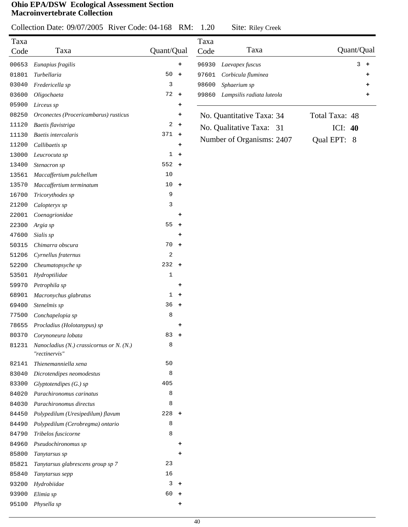| Collection Date: 09/07/2005 River Code: 04-168 RM: 1.20 |  |  | Site: Riley Creek |
|---------------------------------------------------------|--|--|-------------------|
|---------------------------------------------------------|--|--|-------------------|

| Taxa  | Taxa                                                        | Quant/Qual                  | Taxa  | Taxa                        | Quant/Qual     |
|-------|-------------------------------------------------------------|-----------------------------|-------|-----------------------------|----------------|
| Code  |                                                             |                             | Code  |                             |                |
| 00653 | Eunapius fragilis                                           | ٠                           | 96930 | Laevapex fuscus             | 3<br>$+$       |
| 01801 | Turbellaria                                                 | 50<br>$\ddot{\phantom{1}}$  | 97601 | Corbicula fluminea          | +              |
| 03040 | Fredericella sp                                             | 3                           | 98600 | Sphaerium sp                | +              |
| 03600 | Oligochaeta                                                 | 72<br>$+$                   | 99860 | Lampsilis radiata luteola   | +              |
| 05900 | Lirceus sp                                                  | +                           |       |                             |                |
| 08250 | Orconectes (Procericambarus) rusticus                       | +                           |       | No. Quantitative Taxa: 34   | Total Taxa: 48 |
| 11120 | Baetis flavistriga                                          | 2<br>$+$                    |       | No. Qualitative Taxa:<br>31 | <b>ICI: 40</b> |
| 11130 | Baetis intercalaris                                         | 371<br>$\ddot{\phantom{1}}$ |       | Number of Organisms: 2407   | Qual EPT: 8    |
| 11200 | Callibaetis sp                                              | +                           |       |                             |                |
| 13000 | Leucrocuta sp                                               | $\mathbf{1}$<br>$+$         |       |                             |                |
| 13400 | Stenacron sp                                                | $552 +$                     |       |                             |                |
| 13561 | Maccaffertium pulchellum                                    | 10                          |       |                             |                |
| 13570 | Maccaffertium terminatum                                    | 10<br>$+$                   |       |                             |                |
| 16700 | Tricorythodes sp                                            | 9                           |       |                             |                |
| 21200 | Calopteryx sp                                               | 3                           |       |                             |                |
| 22001 | Coenagrionidae                                              | ٠                           |       |                             |                |
| 22300 | Argia sp                                                    | 55<br>$\ddot{}$             |       |                             |                |
| 47600 | Sialis sp                                                   | ٠                           |       |                             |                |
| 50315 | Chimarra obscura                                            | 70<br>$\ddot{\phantom{1}}$  |       |                             |                |
| 51206 | Cyrnellus fraternus                                         | $\overline{c}$              |       |                             |                |
| 52200 | Cheumatopsyche sp                                           | $232 +$                     |       |                             |                |
| 53501 | Hydroptilidae                                               | $\mathbf 1$                 |       |                             |                |
| 59970 | Petrophila sp                                               | ٠                           |       |                             |                |
| 68901 | Macronychus glabratus                                       | $1 +$                       |       |                             |                |
| 69400 | Stenelmis sp                                                | 36<br>$+$                   |       |                             |                |
| 77500 | Conchapelopia sp                                            | 8                           |       |                             |                |
| 78655 | Procladius (Holotanypus) sp                                 | ٠                           |       |                             |                |
| 80370 | Corynoneura lobata                                          | $83 +$                      |       |                             |                |
| 81231 | Nanocladius (N.) crassicornus or $N. (N.)$<br>"rectinervis" | 8                           |       |                             |                |
| 82141 | Thienemanniella xena                                        | 50                          |       |                             |                |
| 83040 | Dicrotendipes neomodestus                                   | 8                           |       |                             |                |
| 83300 | $Glyptotendipes(G.)$ sp                                     | 405                         |       |                             |                |
| 84020 | Parachironomus carinatus                                    | 8                           |       |                             |                |
| 84030 | Parachironomus directus                                     | 8                           |       |                             |                |
| 84450 | Polypedilum (Uresipedilum) flavum                           | $228 +$                     |       |                             |                |
| 84490 | Polypedilum (Cerobregma) ontario                            | 8                           |       |                             |                |
| 84790 | Tribelos fuscicorne                                         | 8                           |       |                             |                |
| 84960 | Pseudochironomus sp                                         | ٠                           |       |                             |                |
| 85800 | Tanytarsus sp                                               | $\ddot{}$                   |       |                             |                |
| 85821 | Tanytarsus glabrescens group sp 7                           | 23                          |       |                             |                |
| 85840 | Tanytarsus sepp                                             | 16                          |       |                             |                |
| 93200 | Hydrobiidae                                                 | 3<br>$\ddot{}$              |       |                             |                |
| 93900 | Elimia sp                                                   | 60 +                        |       |                             |                |
| 95100 | Physella sp                                                 | ٠                           |       |                             |                |
|       |                                                             |                             |       |                             |                |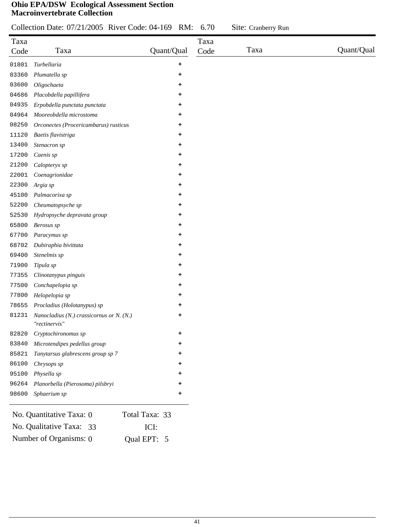Collection Date: 07/21/2005 River Code: 04-169 RM: 6.70 Site: Cranberry Run

| Taxa  |                                                           |                | Taxa |      |            |
|-------|-----------------------------------------------------------|----------------|------|------|------------|
| Code  | Taxa                                                      | Quant/Qual     | Code | Taxa | Quant/Qual |
| 01801 | Turbellaria                                               | ٠              |      |      |            |
| 03360 | Plumatella sp                                             | +              |      |      |            |
| 03600 | Oligochaeta                                               | ٠              |      |      |            |
| 04686 | Placobdella papillifera                                   |                |      |      |            |
| 04935 | Erpobdella punctata punctata                              | +              |      |      |            |
| 04964 | Mooreobdella microstoma                                   |                |      |      |            |
| 08250 | Orconectes (Procericambarus) rusticus                     |                |      |      |            |
| 11120 | Baetis flavistriga                                        |                |      |      |            |
| 13400 | Stenacron sp                                              | ٠              |      |      |            |
| 17200 | Caenis sp                                                 |                |      |      |            |
| 21200 | Calopteryx sp                                             | ٠              |      |      |            |
| 22001 | Coenagrionidae                                            | ٠              |      |      |            |
| 22300 | Argia sp                                                  | ٠              |      |      |            |
| 45100 | Palmacorixa sp                                            |                |      |      |            |
| 52200 | Cheumatopsyche sp                                         | ٠              |      |      |            |
| 52530 | Hydropsyche depravata group                               | ٠              |      |      |            |
| 65800 | Berosus sp                                                | ٠              |      |      |            |
| 67700 | Paracymus sp                                              |                |      |      |            |
| 68702 | Dubiraphia bivittata                                      |                |      |      |            |
| 69400 | Stenelmis sp                                              |                |      |      |            |
| 71900 | Tipula sp                                                 |                |      |      |            |
| 77355 | Clinotanypus pinguis                                      |                |      |      |            |
| 77500 | Conchapelopia sp                                          | ٠              |      |      |            |
| 77800 | Helopelopia sp                                            | ٠              |      |      |            |
| 78655 | Procladius (Holotanypus) sp                               | ٠              |      |      |            |
| 81231 | Nanocladius (N.) crassicornus or N. (N.)<br>"rectinervis" | ٠              |      |      |            |
| 82820 | Cryptochironomus sp                                       | ٠              |      |      |            |
| 83840 | Microtendipes pedellus group                              |                |      |      |            |
| 85821 | Tanytarsus glabrescens group sp 7                         |                |      |      |            |
| 86100 | Chrysops sp                                               |                |      |      |            |
| 95100 | Physella sp                                               |                |      |      |            |
| 96264 | Planorbella (Pierosoma) pilsbryi                          |                |      |      |            |
| 98600 | Sphaerium sp                                              |                |      |      |            |
|       | No. Quantitative Taxa: 0                                  | Total Taxa: 33 |      |      |            |

| TW. Qualititative Taxa. (1 | 10(a1 14A4. 55) |
|----------------------------|-----------------|
| No. Qualitative Taxa: 33   | ICI:            |
| Number of Organisms: 0     | Qual EPT: 5     |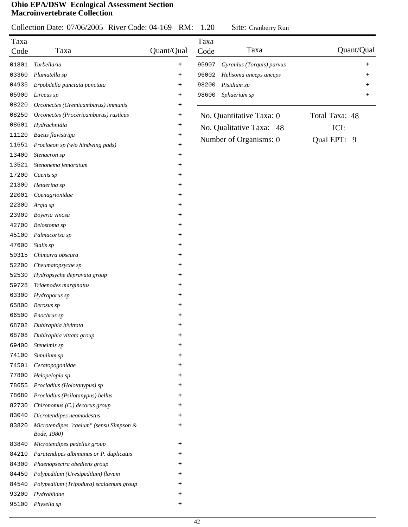| Collection Date: 07/06/2005 River Code: 04-169 RM: 1.20 |  |  | Site: Cranberry Run |
|---------------------------------------------------------|--|--|---------------------|
|---------------------------------------------------------|--|--|---------------------|

| Taxa  |                                                        |            | Taxa  |                           |                |
|-------|--------------------------------------------------------|------------|-------|---------------------------|----------------|
| Code  | Taxa                                                   | Quant/Qual | Code  | Taxa                      | Quant/Qual     |
| 01801 | Turbellaria                                            | ٠          | 95907 | Gyraulus (Torquis) parvus | +              |
| 03360 | Plumatella sp                                          | ٠          | 96002 | Helisoma anceps anceps    |                |
| 04935 | Erpobdella punctata punctata                           | +          | 98200 | Pisidium sp               | ٠              |
| 05900 | Lirceus sp                                             | +          | 98600 | Sphaerium sp              | ٠              |
| 08220 | Orconectes (Gremicambarus) immunis                     | ٠          |       |                           |                |
| 08250 | Orconectes (Procericambarus) rusticus                  | +          |       | No. Quantitative Taxa: 0  | Total Taxa: 48 |
| 08601 | Hydrachnidia                                           | +          |       | No. Qualitative Taxa: 48  | ICI:           |
| 11120 | Baetis flavistriga                                     | ٠          |       |                           |                |
| 11651 | Procloeon sp (w/o hindwing pads)                       | +          |       | Number of Organisms: 0    | Qual EPT: 9    |
| 13400 | Stenacron sp                                           | +          |       |                           |                |
| 13521 | Stenonema femoratum                                    | +          |       |                           |                |
| 17200 | Caenis sp                                              | +          |       |                           |                |
| 21300 | Hetaerina sp                                           | +          |       |                           |                |
| 22001 | Coenagrionidae                                         | ٠          |       |                           |                |
| 22300 | Argia sp                                               | +          |       |                           |                |
| 23909 | Boyeria vinosa                                         | ٠          |       |                           |                |
| 42700 | Belostoma sp                                           | +          |       |                           |                |
| 45100 | Palmacorixa sp                                         | ٠          |       |                           |                |
| 47600 | Sialis sp                                              | +          |       |                           |                |
| 50315 | Chimarra obscura                                       | ٠          |       |                           |                |
| 52200 | Cheumatopsyche sp                                      | +          |       |                           |                |
| 52530 | Hydropsyche depravata group                            | ٠          |       |                           |                |
| 59728 | Triaenodes marginatus                                  | ٠          |       |                           |                |
| 63300 | Hydroporus sp                                          | ٠          |       |                           |                |
| 65800 | Berosus sp                                             | +          |       |                           |                |
| 66500 | Enochrus sp                                            |            |       |                           |                |
| 68702 | Dubiraphia bivittata                                   | ÷          |       |                           |                |
| 68708 | Dubiraphia vittata group                               | ٠          |       |                           |                |
| 69400 | Stenelmis sp                                           | ٠          |       |                           |                |
| 74100 | Simulium sp                                            | ٠          |       |                           |                |
| 74501 | Ceratopogonidae                                        | ٠          |       |                           |                |
| 77800 | Helopelopia sp                                         | ٠          |       |                           |                |
| 78655 | Procladius (Holotanypus) sp                            | ٠          |       |                           |                |
| 78680 | Procladius (Psilotanypus) bellus                       | ٠          |       |                           |                |
| 82730 | Chironomus (C.) decorus group                          | ٠          |       |                           |                |
| 83040 | Dicrotendipes neomodestus                              | ٠          |       |                           |                |
| 83820 | Microtendipes "caelum" (sensu Simpson &<br>Bode, 1980) | +          |       |                           |                |
| 83840 | Microtendipes pedellus group                           | +          |       |                           |                |
| 84210 | Paratendipes albimanus or P. duplicatus                |            |       |                           |                |
| 84300 | Phaenopsectra obediens group                           |            |       |                           |                |
| 84450 | Polypedilum (Uresipedilum) flavum                      |            |       |                           |                |
| 84540 | Polypedilum (Tripodura) scalaenum group                | ٠          |       |                           |                |
| 93200 | Hydrobiidae                                            |            |       |                           |                |
| 95100 | Physella sp                                            | ٠          |       |                           |                |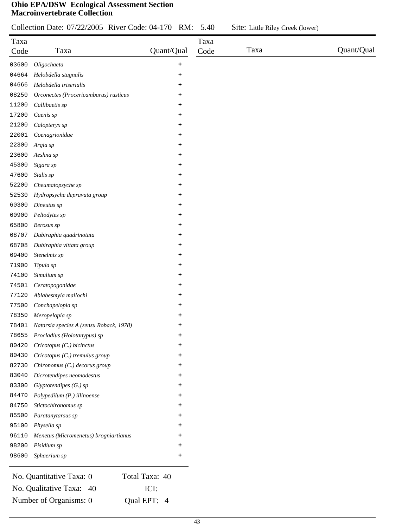Collection Date: 07/22/2005 River Code: 04-170 RM: 5.40 Site: Little Riley Creek (lower)

| Taxa  |                                         |                | Taxa |
|-------|-----------------------------------------|----------------|------|
| Code  | Taxa                                    | Quant/Qual     | Code |
| 03600 | Oligochaeta                             | +              |      |
| 04664 | Helobdella stagnalis                    | +              |      |
| 04666 | Helobdella triserialis                  | +              |      |
| 08250 | Orconectes (Procericambarus) rusticus   | +              |      |
| 11200 | Callibaetis sp                          | +              |      |
| 17200 | Caenis sp                               | +              |      |
| 21200 | Calopteryx sp                           | +              |      |
| 22001 | Coenagrionidae                          | +              |      |
| 22300 | Argia sp                                | +              |      |
| 23600 | Aeshna sp                               | ٠              |      |
| 45300 | Sigara sp                               | +              |      |
| 47600 | Sialis sp                               | ٠              |      |
| 52200 | Cheumatopsyche sp                       | ٠              |      |
| 52530 | Hydropsyche depravata group             | ٠              |      |
| 60300 | Dineutus sp                             | +              |      |
| 60900 | Peltodytes sp                           | ٠              |      |
| 65800 | Berosus sp                              | +              |      |
| 68707 | Dubiraphia quadrinotata                 | ٠              |      |
| 68708 | Dubiraphia vittata group                | +              |      |
| 69400 | Stenelmis sp                            | ٠              |      |
| 71900 | Tipula sp                               | +              |      |
| 74100 | Simulium sp                             | +              |      |
| 74501 | Ceratopogonidae                         | ٠              |      |
| 77120 | Ablabesmyia mallochi                    | +              |      |
| 77500 | Conchapelopia sp                        | ٠              |      |
| 78350 | Meropelopia sp                          | ٠              |      |
| 78401 | Natarsia species A (sensu Roback, 1978) | ٠              |      |
| 78655 | Procladius (Holotanypus) sp             | +              |      |
| 80420 | Cricotopus (C.) bicinctus               | ٠              |      |
| 80430 | Cricotopus (C.) tremulus group          | +              |      |
| 82730 | Chironomus (C.) decorus group           | +              |      |
| 83040 | Dicrotendipes neomodestus               | +              |      |
| 83300 | Glyptotendipes $(G.)$ sp                | +              |      |
| 84470 | Polypedilum (P.) illinoense             | +              |      |
| 84750 | Stictochironomus sp                     | +              |      |
| 85500 | Paratanytarsus sp                       |                |      |
| 95100 | Physella sp                             |                |      |
| 96110 | Menetus (Micromenetus) brogniartianus   |                |      |
| 98200 | Pisidium sp                             | ٠              |      |
| 98600 | Sphaerium sp                            | ٠              |      |
|       |                                         |                |      |
|       | No. Quantitative Taxa: 0                | Total Taxa: 40 |      |
|       | No. Qualitative Taxa: 40                |                |      |
|       |                                         | ICI:           |      |
|       | Number of Organisms: 0                  | Qual EPT: 4    |      |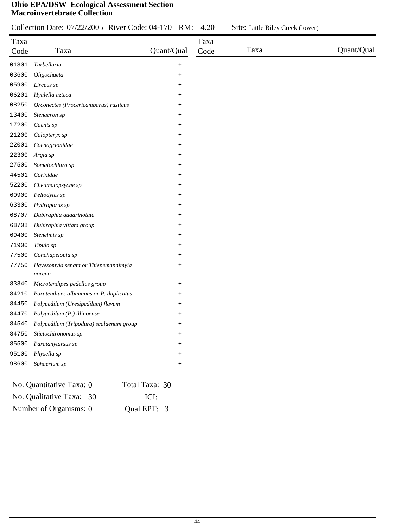Collection Date: 07/22/2005 River Code: 04-170 RM: 4.20 Site: Little Riley Creek (lower)

| Taxa  |                                                |                | Taxa |      |            |
|-------|------------------------------------------------|----------------|------|------|------------|
| Code  | Taxa                                           | Quant/Qual     | Code | Taxa | Quant/Qual |
| 01801 | Turbellaria                                    | ۰              |      |      |            |
| 03600 | Oligochaeta                                    | ٠              |      |      |            |
| 05900 | Lirceus sp                                     | +              |      |      |            |
| 06201 | Hyalella azteca                                | ٠              |      |      |            |
| 08250 | Orconectes (Procericambarus) rusticus          | ٠              |      |      |            |
| 13400 | Stenacron sp                                   | ٠              |      |      |            |
| 17200 | Caenis sp                                      | ٠              |      |      |            |
| 21200 | Calopteryx sp                                  | +              |      |      |            |
| 22001 | Coenagrionidae                                 | +              |      |      |            |
| 22300 | Argia sp                                       | ٠              |      |      |            |
| 27500 | Somatochlora sp                                | ٠              |      |      |            |
| 44501 | Corixidae                                      | ٠              |      |      |            |
| 52200 | Cheumatopsyche sp                              | ٠              |      |      |            |
| 60900 | Peltodytes sp                                  | ٠              |      |      |            |
| 63300 | Hydroporus sp                                  | ٠              |      |      |            |
| 68707 | Dubiraphia quadrinotata                        | ٠              |      |      |            |
| 68708 | Dubiraphia vittata group                       | ٠              |      |      |            |
| 69400 | Stenelmis sp                                   |                |      |      |            |
| 71900 | Tipula sp                                      | ٠              |      |      |            |
| 77500 | Conchapelopia sp                               | ٠              |      |      |            |
| 77750 | Hayesomyia senata or Thienemannimyia<br>norena | +              |      |      |            |
| 83840 | Microtendipes pedellus group                   | +              |      |      |            |
| 84210 | Paratendipes albimanus or P. duplicatus        | ٠              |      |      |            |
| 84450 | Polypedilum (Uresipedilum) flavum              | +              |      |      |            |
| 84470 | Polypedilum (P.) illinoense                    | ٠              |      |      |            |
| 84540 | Polypedilum (Tripodura) scalaenum group        | ٠              |      |      |            |
| 84750 | Stictochironomus sp                            | +              |      |      |            |
| 85500 | Paratanytarsus sp                              | ٠              |      |      |            |
| 95100 | Physella sp                                    | ٠              |      |      |            |
| 98600 | Sphaerium sp                                   | +              |      |      |            |
|       | No. Quantitative Taxa: 0                       | Total Taxa: 30 |      |      |            |
|       | No. Qualitative Taxa: 30                       | ICI:           |      |      |            |
|       | Number of Organisms: 0                         | Qual EPT: 3    |      |      |            |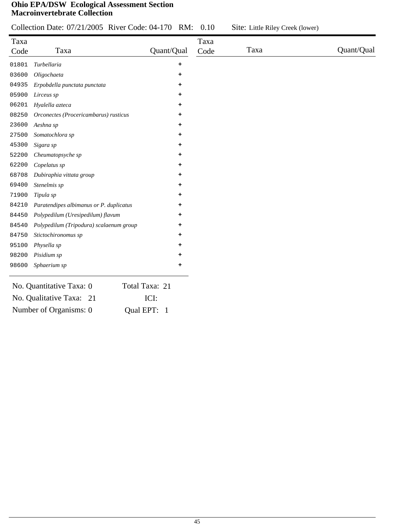Collection Date: 07/21/2005 River Code: 04-170 RM: 0.10 Site: Little Riley Creek (lower)

| Taxa  |                                         |                | Taxa |      |            |
|-------|-----------------------------------------|----------------|------|------|------------|
| Code  | Taxa                                    | Quant/Qual     | Code | Taxa | Quant/Qual |
| 01801 | Turbellaria                             | $\ddot{}$      |      |      |            |
| 03600 | Oligochaeta                             | ٠              |      |      |            |
| 04935 | Erpobdella punctata punctata            | ٠              |      |      |            |
| 05900 | Lirceus sp                              | ٠              |      |      |            |
| 06201 | Hyalella azteca                         | ٠              |      |      |            |
| 08250 | Orconectes (Procericambarus) rusticus   | ٠              |      |      |            |
| 23600 | Aeshna sp                               | ٠              |      |      |            |
| 27500 | Somatochlora sp                         | ٠              |      |      |            |
| 45300 | Sigara sp                               | ٠              |      |      |            |
| 52200 | Cheumatopsyche sp                       | ٠              |      |      |            |
| 62200 | Copelatus sp                            | ٠              |      |      |            |
| 68708 | Dubiraphia vittata group                | ٠              |      |      |            |
| 69400 | Stenelmis sp                            | ÷              |      |      |            |
| 71900 | Tipula sp                               |                |      |      |            |
| 84210 | Paratendipes albimanus or P. duplicatus | +              |      |      |            |
| 84450 | Polypedilum (Uresipedilum) flavum       | ٠              |      |      |            |
| 84540 | Polypedilum (Tripodura) scalaenum group | ٠              |      |      |            |
| 84750 | Stictochironomus sp                     | ٠              |      |      |            |
| 95100 | Physella sp                             | ÷              |      |      |            |
| 98200 | Pisidium sp                             | ٠              |      |      |            |
| 98600 | Sphaerium sp                            | +              |      |      |            |
|       | No. Quantitative Taxa: 0                | Total Taxa: 21 |      |      |            |
|       | No. Qualitative Taxa: 21                | ICI:           |      |      |            |
|       | Number of Organisms: 0                  | Qual EPT: 1    |      |      |            |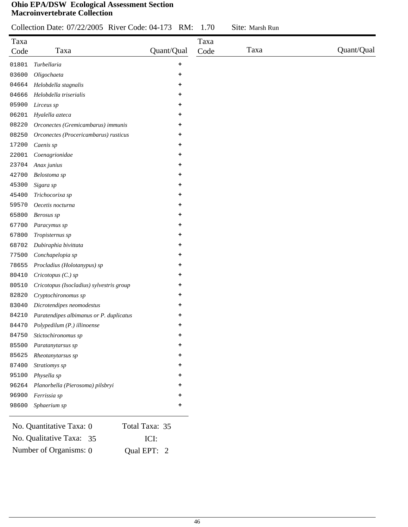Collection Date: 07/22/2005 River Code: 04-173 RM: 1.70 Site: Marsh Run

| Taxa  |                                          |            | Taxa |      |            |
|-------|------------------------------------------|------------|------|------|------------|
| Code  | Taxa                                     | Quant/Qual | Code | Taxa | Quant/Qual |
| 01801 | Turbellaria                              | ٠          |      |      |            |
| 03600 | Oligochaeta                              | ٠          |      |      |            |
| 04664 | Helobdella stagnalis                     | ٠          |      |      |            |
| 04666 | Helobdella triserialis                   | ٠          |      |      |            |
| 05900 | Lirceus sp                               | ٠          |      |      |            |
| 06201 | Hyalella azteca                          |            |      |      |            |
| 08220 | Orconectes (Gremicambarus) immunis       |            |      |      |            |
| 08250 | Orconectes (Procericambarus) rusticus    | ٠          |      |      |            |
| 17200 | Caenis sp                                | ٠          |      |      |            |
| 22001 | Coenagrionidae                           | ٠          |      |      |            |
| 23704 | Anax junius                              | ٠          |      |      |            |
| 42700 | Belostoma sp                             | ٠          |      |      |            |
| 45300 | Sigara sp                                | ٠          |      |      |            |
| 45400 | Trichocorixa sp                          | ٠          |      |      |            |
| 59570 | Oecetis nocturna                         | ٠          |      |      |            |
| 65800 | Berosus sp                               | ٠          |      |      |            |
| 67700 | Paracymus sp                             | +          |      |      |            |
| 67800 | Tropisternus sp                          | ٠          |      |      |            |
| 68702 | Dubiraphia bivittata                     | +          |      |      |            |
| 77500 | Conchapelopia sp                         | +          |      |      |            |
| 78655 | Procladius (Holotanypus) sp              | +          |      |      |            |
| 80410 | Cricotopus (C.) sp                       | ٠          |      |      |            |
| 80510 | Cricotopus (Isocladius) sylvestris group | ٠          |      |      |            |
| 82820 | Cryptochironomus sp                      | ٠          |      |      |            |
| 83040 | Dicrotendipes neomodestus                |            |      |      |            |
| 84210 | Paratendipes albimanus or P. duplicatus  |            |      |      |            |
| 84470 | Polypedilum (P.) illinoense              | ٠          |      |      |            |
| 84750 | Stictochironomus sp                      | ٠          |      |      |            |
| 85500 | Paratanytarsus sp                        |            |      |      |            |
| 85625 | Rheotanytarsus sp                        |            |      |      |            |
| 87400 | Stratiomys sp                            |            |      |      |            |
| 95100 | Physella sp                              |            |      |      |            |
| 96264 | Planorbella (Pierosoma) pilsbryi         |            |      |      |            |
| 96900 | Ferrissia sp                             |            |      |      |            |
| 98600 | Sphaerium sp                             | ٠          |      |      |            |

| No. Quantitative Taxa: 0 | Total Taxa: 35 |
|--------------------------|----------------|
| No. Qualitative Taxa: 35 | ICI:           |
| Number of Organisms: 0   | Qual EPT: 2    |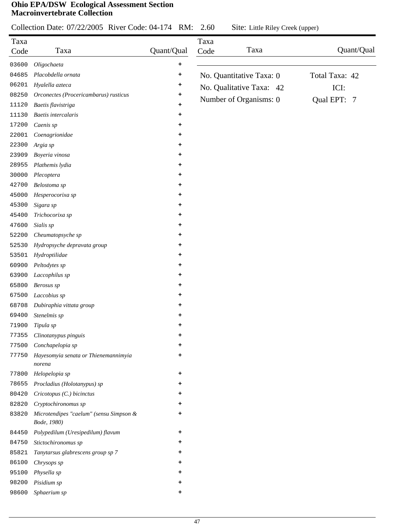Collection Date: 07/22/2005 River Code: 04-174 RM: 2.60 Site: Little Riley Creek (upper)

| Taxa  |                                                        |            | Taxa |                          |                |
|-------|--------------------------------------------------------|------------|------|--------------------------|----------------|
| Code  | Taxa                                                   | Quant/Qual | Code | Taxa                     | Quant/Qual     |
| 03600 | Oligochaeta                                            | ٠          |      |                          |                |
| 04685 | Placobdella ornata                                     | ۰          |      | No. Quantitative Taxa: 0 | Total Taxa: 42 |
| 06201 | Hyalella azteca                                        | ٠          |      | No. Qualitative Taxa: 42 | ICI:           |
| 08250 | Orconectes (Procericambarus) rusticus                  | ٠          |      | Number of Organisms: 0   |                |
| 11120 | Baetis flavistriga                                     | ٠          |      |                          | Qual EPT: 7    |
| 11130 | <b>Baetis</b> intercalaris                             | ٠          |      |                          |                |
| 17200 | Caenis sp                                              | ٠          |      |                          |                |
| 22001 | Coenagrionidae                                         | ٠          |      |                          |                |
| 22300 | Argia sp                                               | ٠          |      |                          |                |
| 23909 | Boyeria vinosa                                         |            |      |                          |                |
| 28955 | Plathemis lydia                                        | ٠          |      |                          |                |
| 30000 | Plecoptera                                             |            |      |                          |                |
| 42700 | Belostoma sp                                           | ٠          |      |                          |                |
| 45000 | Hesperocorixa sp                                       |            |      |                          |                |
| 45300 | Sigara sp                                              | ٠          |      |                          |                |
| 45400 | Trichocorixa sp                                        |            |      |                          |                |
| 47600 | Sialis sp                                              | ٠          |      |                          |                |
| 52200 | Cheumatopsyche sp                                      |            |      |                          |                |
| 52530 | Hydropsyche depravata group                            | ٠          |      |                          |                |
| 53501 | Hydroptilidae                                          | ٠          |      |                          |                |
| 60900 | Peltodytes sp                                          | ٠          |      |                          |                |
| 63900 | Laccophilus sp                                         |            |      |                          |                |
| 65800 | Berosus sp                                             | ٠          |      |                          |                |
| 67500 | Laccobius sp                                           |            |      |                          |                |
| 68708 | Dubiraphia vittata group                               |            |      |                          |                |
| 69400 | Stenelmis sp                                           |            |      |                          |                |
| 71900 | Tipula sp                                              |            |      |                          |                |
| 77355 | Clinotanypus pinguis                                   | ٠          |      |                          |                |
| 77500 | Conchapelopia sp                                       | ٠          |      |                          |                |
| 77750 | Hayesomyia senata or Thienemannimyia<br>norena         | ٠          |      |                          |                |
| 77800 | Helopelopia sp                                         | $\ddot{}$  |      |                          |                |
| 78655 | Procladius (Holotanypus) sp                            |            |      |                          |                |
| 80420 | Cricotopus (C.) bicinctus                              |            |      |                          |                |
| 82820 | Cryptochironomus sp                                    |            |      |                          |                |
| 83820 | Microtendipes "caelum" (sensu Simpson &<br>Bode, 1980) | ٠          |      |                          |                |
| 84450 | Polypedilum (Uresipedilum) flavum                      | ٠          |      |                          |                |
| 84750 | Stictochironomus sp                                    |            |      |                          |                |
| 85821 | Tanytarsus glabrescens group sp 7                      |            |      |                          |                |
| 86100 | Chrysops sp                                            |            |      |                          |                |
| 95100 | Physella sp                                            |            |      |                          |                |
| 98200 | Pisidium sp                                            |            |      |                          |                |
| 98600 | Sphaerium sp                                           | ٠          |      |                          |                |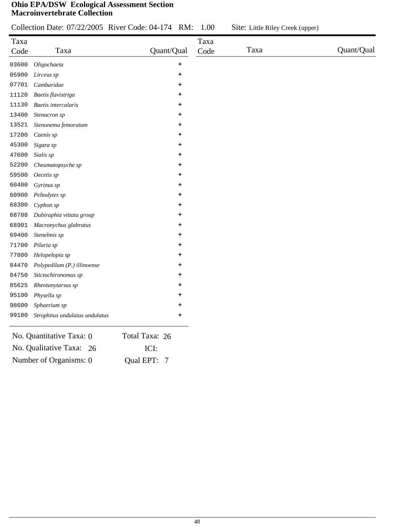Collection Date: 07/22/2005 River Code: 04-174 RM: 1.00 Site: Little Riley Creek (upper)

| Taxa<br>Code | Taxa                              | Quant/Qual            | Taxa<br>Code | Taxa | Quant/Qual |
|--------------|-----------------------------------|-----------------------|--------------|------|------------|
|              |                                   |                       |              |      |            |
| 03600        | Oligochaeta                       | +                     |              |      |            |
| 05900        | Lirceus sp                        | ٠                     |              |      |            |
| 07701        | Cambaridae                        | +                     |              |      |            |
| 11120        | Baetis flavistriga                | ÷                     |              |      |            |
| 11130        | Baetis intercalaris               | ٠                     |              |      |            |
| 13400        | Stenacron sp                      | +                     |              |      |            |
| 13521        | Stenonema femoratum               | +                     |              |      |            |
| 17200        | Caenis sp                         | ٠                     |              |      |            |
| 45300        | Sigara sp                         | ٠                     |              |      |            |
| 47600        | Sialis sp                         | ٠                     |              |      |            |
| 52200        | Cheumatopsyche sp                 | +                     |              |      |            |
| 59500        | Oecetis sp                        | ٠                     |              |      |            |
| 60400        | Gyrinus sp                        | ٠                     |              |      |            |
| 60900        | Peltodytes sp                     | ٠                     |              |      |            |
| 68300        | Cyphon sp                         | ٠                     |              |      |            |
| 68708        | Dubiraphia vittata group          | ٠                     |              |      |            |
| 68901        | Macronychus glabratus             | ٠                     |              |      |            |
| 69400        | Stenelmis sp                      | +                     |              |      |            |
| 71700        | Pilaria sp                        | ٠                     |              |      |            |
| 77800        | Helopelopia sp                    | ٠                     |              |      |            |
| 84470        | Polypedilum (P.) illinoense       | ٠                     |              |      |            |
| 84750        | Stictochironomus sp               | ٠                     |              |      |            |
| 85625        | Rheotanytarsus sp                 | ٠                     |              |      |            |
| 95100        | Physella sp                       | ٠                     |              |      |            |
| 98600        | Sphaerium sp                      | ٠                     |              |      |            |
| 99180        | Strophitus undulatus undulatus    | ٠                     |              |      |            |
|              | $N_0$ Quantitative Taxe: $\theta$ | Total <u>zara: 26</u> |              |      |            |

| No. Quantitative Taxa: 0 | Total Taxa: 26 |
|--------------------------|----------------|
| No. Qualitative Taxa: 26 | ICI:           |
| Number of Organisms: 0   | Qual EPT: 7    |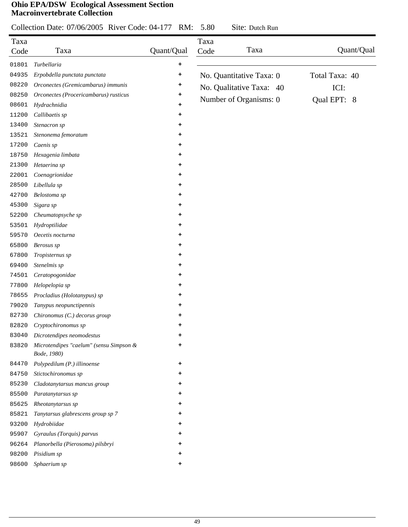|       | Collection Date: 07/06/2005 River Code: 04-177 RM:     |            | 5.80 | Site: Dutch Run          |                |
|-------|--------------------------------------------------------|------------|------|--------------------------|----------------|
| Taxa  |                                                        |            | Taxa |                          |                |
| Code  | Taxa                                                   | Quant/Qual | Code | Taxa                     | Quant/Qual     |
| 01801 | Turbellaria                                            |            |      |                          |                |
| 04935 | Erpobdella punctata punctata                           | ٠          |      | No. Quantitative Taxa: 0 | Total Taxa: 40 |
| 08220 | Orconectes (Gremicambarus) immunis                     | ٠          |      | No. Qualitative Taxa: 40 | ICI:           |
| 08250 | Orconectes (Procericambarus) rusticus                  | ٠          |      |                          |                |
| 08601 | Hydrachnidia                                           | ٠          |      | Number of Organisms: 0   | Qual EPT: 8    |
| 11200 | Callibaetis sp                                         | +          |      |                          |                |
| 13400 | Stenacron sp                                           | +          |      |                          |                |
| 13521 | Stenonema femoratum                                    | ٠          |      |                          |                |
| 17200 | Caenis sp                                              | +          |      |                          |                |
| 18750 | Hexagenia limbata                                      | ٠          |      |                          |                |
| 21300 | Hetaerina sp                                           |            |      |                          |                |
| 22001 | Coenagrionidae                                         | ٠          |      |                          |                |
| 28500 | Libellula sp                                           |            |      |                          |                |
| 42700 | Belostoma sp                                           | ٠          |      |                          |                |
| 45300 | Sigara sp                                              |            |      |                          |                |
| 52200 | Cheumatopsyche sp                                      | ٠          |      |                          |                |
| 53501 | Hydroptilidae                                          | +          |      |                          |                |
| 59570 | Oecetis nocturna                                       | ٠          |      |                          |                |
| 65800 | Berosus sp                                             |            |      |                          |                |
| 67800 | Tropisternus sp                                        | ٠          |      |                          |                |
| 69400 | Stenelmis sp                                           | ٠          |      |                          |                |
| 74501 | Ceratopogonidae                                        | ٠          |      |                          |                |
| 77800 | Helopelopia sp                                         |            |      |                          |                |
| 78655 | Procladius (Holotanypus) sp                            |            |      |                          |                |
| 79020 | Tanypus neopunctipennis                                |            |      |                          |                |
| 82730 | Chironomus (C.) decorus group                          | ٠          |      |                          |                |
| 82820 | Cryptochironomus sp                                    |            |      |                          |                |
| 83040 | Dicrotendipes neomodestus                              |            |      |                          |                |
| 83820 | Microtendipes "caelum" (sensu Simpson &<br>Bode, 1980) | ٠          |      |                          |                |
| 84470 | Polypedilum (P.) illinoense                            | ٠          |      |                          |                |
| 84750 | Stictochironomus sp                                    | ٠          |      |                          |                |
| 85230 | Cladotanytarsus mancus group                           |            |      |                          |                |
| 85500 | Paratanytarsus sp                                      |            |      |                          |                |
| 85625 | Rheotanytarsus sp                                      |            |      |                          |                |
| 85821 | Tanytarsus glabrescens group sp 7                      |            |      |                          |                |
| 93200 | Hydrobiidae                                            |            |      |                          |                |
| 95907 | Gyraulus (Torquis) parvus                              |            |      |                          |                |
| 96264 | Planorbella (Pierosoma) pilsbryi                       |            |      |                          |                |
| 98200 | Pisidium sp                                            |            |      |                          |                |
| 98600 | Sphaerium sp                                           |            |      |                          |                |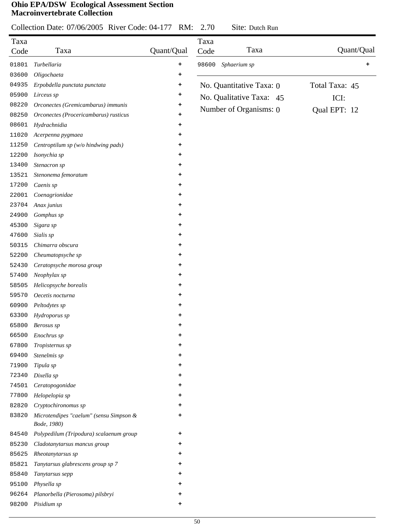| Taxa<br>Code | Taxa                                                   | Quant/Qual | Taxa<br>Code | Taxa                     | Quant/Qual     |
|--------------|--------------------------------------------------------|------------|--------------|--------------------------|----------------|
| 01801        |                                                        |            | 98600        |                          |                |
| 03600        | Turbellaria<br>Oligochaeta                             | +          |              | Sphaerium sp             | +              |
| 04935        |                                                        | +          |              |                          |                |
|              | Erpobdella punctata punctata                           | $\ddot{}$  |              | No. Quantitative Taxa: 0 | Total Taxa: 45 |
| 05900        | Lirceus sp                                             | +          |              | No. Qualitative Taxa: 45 | ICI:           |
| 08220        | Orconectes (Gremicambarus) immunis                     | +          |              | Number of Organisms: 0   | Qual EPT: 12   |
| 08250        | Orconectes (Procericambarus) rusticus                  | ٠          |              |                          |                |
| 08601        | Hydrachnidia                                           | ٠          |              |                          |                |
| 11020        | Acerpenna pygmaea                                      | ٠          |              |                          |                |
| 11250        | Centroptilum sp (w/o hindwing pads)                    | ٠          |              |                          |                |
| 12200        | Isonychia sp                                           |            |              |                          |                |
| 13400        | Stenacron sp                                           | ٠          |              |                          |                |
| 13521        | Stenonema femoratum                                    | ٠          |              |                          |                |
| 17200        | Caenis sp                                              | ٠          |              |                          |                |
| 22001        | Coenagrionidae                                         |            |              |                          |                |
| 23704        | Anax junius                                            | ٠          |              |                          |                |
| 24900        | Gomphus sp                                             | ٠          |              |                          |                |
| 45300        | Sigara sp                                              | ٠          |              |                          |                |
| 47600        | Sialis sp                                              | ٠          |              |                          |                |
| 50315        | Chimarra obscura                                       | ٠          |              |                          |                |
| 52200        | Cheumatopsyche sp                                      | ٠          |              |                          |                |
| 52430        | Ceratopsyche morosa group                              | ٠          |              |                          |                |
| 57400        | Neophylax sp                                           | ٠          |              |                          |                |
| 58505        | Helicopsyche borealis                                  | ٠          |              |                          |                |
| 59570        | Oecetis nocturna                                       | ٠          |              |                          |                |
| 60900        | Peltodytes sp                                          | ٠          |              |                          |                |
| 63300        | Hydroporus sp                                          | ٠          |              |                          |                |
| 65800        | Berosus sp                                             | ÷          |              |                          |                |
| 66500        | Enochrus sp                                            | ٠          |              |                          |                |
| 67800        | Tropisternus sp                                        | ٠          |              |                          |                |
| 69400        | Stenelmis sp                                           | ٠          |              |                          |                |
| 71900        | Tipula sp                                              | ٠          |              |                          |                |
| 72340        | Dixella sp                                             |            |              |                          |                |
| 74501        | Ceratopogonidae                                        | ٠          |              |                          |                |
| 77800        | Helopelopia sp                                         | ٠          |              |                          |                |
| 82820        | Cryptochironomus sp                                    |            |              |                          |                |
| 83820        | Microtendipes "caelum" (sensu Simpson &<br>Bode, 1980) |            |              |                          |                |
| 84540        | Polypedilum (Tripodura) scalaenum group                | ٠          |              |                          |                |
| 85230        | Cladotanytarsus mancus group                           | ٠          |              |                          |                |
| 85625        | Rheotanytarsus sp                                      |            |              |                          |                |
| 85821        | Tanytarsus glabrescens group sp 7                      |            |              |                          |                |
| 85840        | Tanytarsus sepp                                        |            |              |                          |                |
| 95100        | Physella sp                                            | ٠          |              |                          |                |
| 96264        | Planorbella (Pierosoma) pilsbryi                       |            |              |                          |                |
| 98200        | Pisidium sp                                            | $\ddot{}$  |              |                          |                |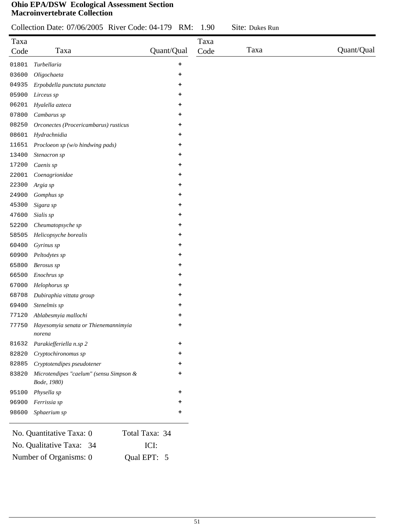Collection Date: 07/06/2005 River Code: 04-179 RM: 1.90 Site: Dukes Run

| Taxa  |                                                        |                | Taxa |      |            |
|-------|--------------------------------------------------------|----------------|------|------|------------|
| Code  | Taxa                                                   | Quant/Qual     | Code | Taxa | Quant/Qual |
| 01801 | Turbellaria                                            | ٠              |      |      |            |
| 03600 | Oligochaeta                                            | ٠              |      |      |            |
| 04935 | Erpobdella punctata punctata                           | ٠              |      |      |            |
| 05900 | Lirceus sp                                             | ٠              |      |      |            |
| 06201 | Hyalella azteca                                        | ٠              |      |      |            |
| 07800 | Cambarus sp                                            |                |      |      |            |
| 08250 | Orconectes (Procericambarus) rusticus                  |                |      |      |            |
| 08601 | Hydrachnidia                                           |                |      |      |            |
| 11651 | Procloeon sp (w/o hindwing pads)                       | ٠              |      |      |            |
| 13400 | Stenacron sp                                           | ٠              |      |      |            |
| 17200 | Caenis sp                                              | ٠              |      |      |            |
| 22001 | Coenagrionidae                                         | ٠              |      |      |            |
| 22300 | Argia sp                                               | ٠              |      |      |            |
| 24900 | Gomphus sp                                             | ٠              |      |      |            |
| 45300 | Sigara sp                                              | ٠              |      |      |            |
| 47600 | Sialis sp                                              | ٠              |      |      |            |
| 52200 | Cheumatopsyche sp                                      | ٠              |      |      |            |
| 58505 | Helicopsyche borealis                                  | ٠              |      |      |            |
| 60400 | Gyrinus sp                                             | ٠              |      |      |            |
| 60900 | Peltodytes sp                                          | ٠              |      |      |            |
| 65800 | Berosus sp                                             | +              |      |      |            |
| 66500 | Enochrus sp                                            | +              |      |      |            |
| 67000 | Helophorus sp                                          | ٠              |      |      |            |
| 68708 | Dubiraphia vittata group                               | ٠              |      |      |            |
| 69400 | Stenelmis sp                                           |                |      |      |            |
| 77120 | Ablabesmyia mallochi                                   |                |      |      |            |
| 77750 | Hayesomyia senata or Thienemannimyia<br>norena         | ٠              |      |      |            |
| 81632 | Parakiefferiella n.sp 2                                | ٠              |      |      |            |
| 82820 | Cryptochironomus sp                                    | ٠              |      |      |            |
| 82885 | Cryptotendipes pseudotener                             |                |      |      |            |
| 83820 | Microtendipes "caelum" (sensu Simpson &<br>Bode, 1980) |                |      |      |            |
| 95100 | Physella sp                                            | ٠              |      |      |            |
| 96900 | Ferrissia sp                                           |                |      |      |            |
| 98600 | Sphaerium sp                                           |                |      |      |            |
|       | No. Quantitative Taxa: 0                               | Total Taxa: 34 |      |      |            |

| No. Quantitative Taxa: 0 | Total Taxa: 34 |
|--------------------------|----------------|
| No. Qualitative Taxa: 34 | ICI:           |
| Number of Organisms: 0   | Qual EPT: 5    |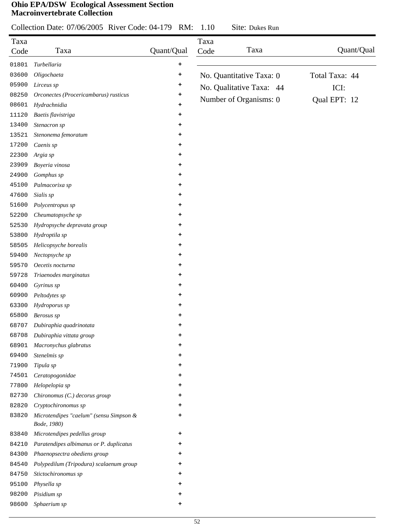*Physella sp* **+** *Pisidium sp* **+** *Sphaerium sp* **+**

|       | Collection Date: 07/06/2005 River Code: 04-179 RM:     |            | 1.10 | Site: Dukes Run          |                |
|-------|--------------------------------------------------------|------------|------|--------------------------|----------------|
| Taxa  |                                                        |            | Taxa |                          |                |
| Code  | Taxa                                                   | Quant/Qual | Code | Taxa                     | Quant/Qual     |
| 01801 | Turbellaria                                            | +          |      |                          |                |
| 03600 | Oligochaeta                                            | ۰          |      | No. Quantitative Taxa: 0 | Total Taxa: 44 |
| 05900 | Lirceus sp                                             | ٠          |      | No. Qualitative Taxa: 44 | ICI:           |
| 08250 | Orconectes (Procericambarus) rusticus                  | ٠          |      |                          |                |
| 08601 | Hydrachnidia                                           | $\ddot{}$  |      | Number of Organisms: 0   | Qual EPT: 12   |
| 11120 | Baetis flavistriga                                     | $\ddot{}$  |      |                          |                |
| 13400 | Stenacron sp                                           | ٠          |      |                          |                |
| 13521 | Stenonema femoratum                                    | ٠          |      |                          |                |
| 17200 | Caenis sp                                              | ٠          |      |                          |                |
| 22300 | Argia sp                                               | ٠          |      |                          |                |
| 23909 | Boyeria vinosa                                         |            |      |                          |                |
| 24900 | Gomphus sp                                             | ٠          |      |                          |                |
| 45100 | Palmacorixa sp                                         | ٠          |      |                          |                |
| 47600 | Sialis sp                                              | ٠          |      |                          |                |
| 51600 | Polycentropus sp                                       |            |      |                          |                |
| 52200 | Cheumatopsyche sp                                      | ٠          |      |                          |                |
| 52530 | Hydropsyche depravata group                            | ٠          |      |                          |                |
| 53800 | Hydroptila sp                                          | ٠          |      |                          |                |
| 58505 | Helicopsyche borealis                                  | ٠          |      |                          |                |
| 59400 | Nectopsyche sp                                         | ٠          |      |                          |                |
| 59570 | Oecetis nocturna                                       | ٠          |      |                          |                |
| 59728 | Triaenodes marginatus                                  | ٠          |      |                          |                |
| 60400 | Gyrinus sp                                             |            |      |                          |                |
| 60900 | Peltodytes sp                                          |            |      |                          |                |
| 63300 | Hydroporus sp                                          |            |      |                          |                |
|       |                                                        |            |      |                          |                |
| 65800 | Berosus sp                                             |            |      |                          |                |
| 68707 | Dubiraphia quadrinotata                                |            |      |                          |                |
| 68708 | Dubiraphia vittata group                               |            |      |                          |                |
| 68901 | Macronychus glabratus                                  |            |      |                          |                |
| 69400 | Stenelmis sp                                           | +          |      |                          |                |
| 71900 | Tipula sp                                              | ٠          |      |                          |                |
| 74501 | Ceratopogonidae                                        | +          |      |                          |                |
| 77800 | Helopelopia sp                                         |            |      |                          |                |
| 82730 | Chironomus (C.) decorus group                          |            |      |                          |                |
| 82820 | Cryptochironomus sp                                    |            |      |                          |                |
| 83820 | Microtendipes "caelum" (sensu Simpson &<br>Bode, 1980) | +          |      |                          |                |
| 83840 | Microtendipes pedellus group                           |            |      |                          |                |
| 84210 | Paratendipes albimanus or P. duplicatus                |            |      |                          |                |
| 84300 | Phaenopsectra obediens group                           |            |      |                          |                |
| 84540 | Polypedilum (Tripodura) scalaenum group                |            |      |                          |                |
| 84750 | Stictochironomus sp                                    | ٠          |      |                          |                |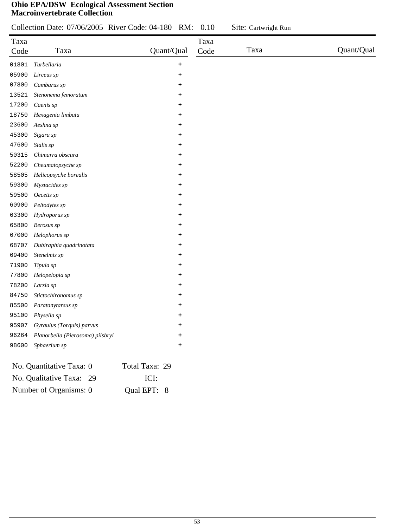Collection Date: 07/06/2005 River Code: 04-180 RM: 0.10 Site: Cartwright Run

| Taxa  |                                  |                | Taxa |      |            |
|-------|----------------------------------|----------------|------|------|------------|
| Code  | Taxa                             | Quant/Qual     | Code | Taxa | Quant/Qual |
| 01801 | Turbellaria                      | ٠              |      |      |            |
| 05900 | Lirceus sp                       | ٠              |      |      |            |
| 07800 | Cambarus sp                      | +              |      |      |            |
| 13521 | Stenonema femoratum              |                |      |      |            |
| 17200 | Caenis sp                        | ٠              |      |      |            |
| 18750 | Hexagenia limbata                | +              |      |      |            |
| 23600 | Aeshna sp                        |                |      |      |            |
| 45300 | Sigara sp                        | ٠              |      |      |            |
| 47600 | Sialis sp                        | ÷              |      |      |            |
| 50315 | Chimarra obscura                 |                |      |      |            |
| 52200 | Cheumatopsyche sp                |                |      |      |            |
| 58505 | Helicopsyche borealis            | ٠              |      |      |            |
| 59300 | Mystacides sp                    | ÷              |      |      |            |
| 59500 | Oecetis sp                       | ٠              |      |      |            |
| 60900 | Peltodytes sp                    |                |      |      |            |
| 63300 | Hydroporus sp                    | ٠              |      |      |            |
| 65800 | Berosus sp                       | $\ddot{}$      |      |      |            |
| 67000 | Helophorus sp                    |                |      |      |            |
| 68707 | Dubiraphia quadrinotata          |                |      |      |            |
| 69400 | Stenelmis sp                     |                |      |      |            |
| 71900 | Tipula sp                        |                |      |      |            |
| 77800 | Helopelopia sp                   |                |      |      |            |
| 78200 | Larsia sp                        |                |      |      |            |
| 84750 | Stictochironomus sp              | ٠              |      |      |            |
| 85500 | Paratanytarsus sp                | +              |      |      |            |
| 95100 | Physella sp                      |                |      |      |            |
| 95907 | Gyraulus (Torquis) parvus        |                |      |      |            |
| 96264 | Planorbella (Pierosoma) pilsbryi | ٠              |      |      |            |
| 98600 | Sphaerium sp                     | +              |      |      |            |
|       | No. Quantitative Taxa: 0         | Total Taxa: 29 |      |      |            |

| No. Qualitative Taxa: 29 | ICI:        |  |
|--------------------------|-------------|--|
| Number of Organisms: 0   | Qual EPT: 8 |  |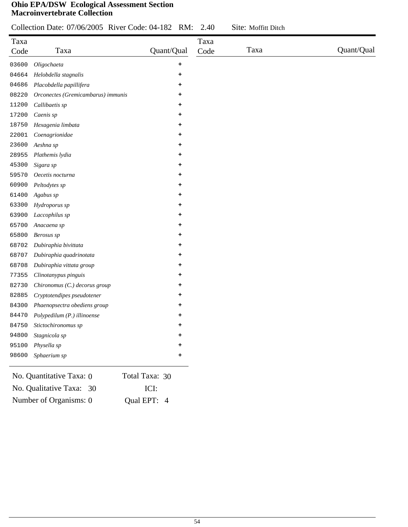Collection Date: 07/06/2005 River Code: 04-182 RM: 2.40 Site: Moffitt Ditch

| Taxa  |                                    |                | Taxa |      |            |
|-------|------------------------------------|----------------|------|------|------------|
| Code  | Taxa                               | Quant/Qual     | Code | Taxa | Quant/Qual |
| 03600 | Oligochaeta                        | ٠              |      |      |            |
| 04664 | Helobdella stagnalis               |                |      |      |            |
| 04686 | Placobdella papillifera            |                |      |      |            |
| 08220 | Orconectes (Gremicambarus) immunis | ٠              |      |      |            |
| 11200 | Callibaetis sp                     | +              |      |      |            |
| 17200 | Caenis sp                          | ٠              |      |      |            |
| 18750 | Hexagenia limbata                  | ٠              |      |      |            |
| 22001 | Coenagrionidae                     | $\ddot{}$      |      |      |            |
| 23600 | Aeshna sp                          | +              |      |      |            |
| 28955 | Plathemis lydia                    | +              |      |      |            |
| 45300 | Sigara sp                          | +              |      |      |            |
| 59570 | Oecetis nocturna                   | ٠              |      |      |            |
| 60900 | Peltodytes sp                      |                |      |      |            |
| 61400 | Agabus sp                          | +              |      |      |            |
| 63300 | Hydroporus sp                      | +              |      |      |            |
| 63900 | Laccophilus sp                     | ٠              |      |      |            |
| 65700 | Anacaena sp                        |                |      |      |            |
| 65800 | Berosus sp                         | ٠              |      |      |            |
| 68702 | Dubiraphia bivittata               | ٠              |      |      |            |
| 68707 | Dubiraphia quadrinotata            | ٠              |      |      |            |
| 68708 | Dubiraphia vittata group           |                |      |      |            |
| 77355 | Clinotanypus pinguis               | ٠              |      |      |            |
| 82730 | Chironomus (C.) decorus group      | ٠              |      |      |            |
| 82885 | Cryptotendipes pseudotener         |                |      |      |            |
| 84300 | Phaenopsectra obediens group       |                |      |      |            |
| 84470 | Polypedilum (P.) illinoense        |                |      |      |            |
| 84750 | Stictochironomus sp                |                |      |      |            |
| 94800 | Stagnicola sp                      | +              |      |      |            |
| 95100 | Physella sp                        | +              |      |      |            |
| 98600 | Sphaerium sp                       | +              |      |      |            |
|       | No. Quantitative Taxa: 0           | Total Taxa: 30 |      |      |            |
|       | No. Qualitative Taxa: 30           | ICI:           |      |      |            |

| Number of Organisms: 0 | Qual EPT: 4 |  |
|------------------------|-------------|--|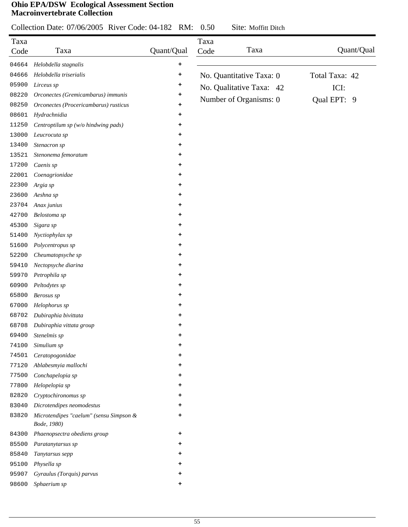|       | Concellon Date. 07/00/2009 Niver Code. 04-162          | IXIVI.     | 0.50 | OIIG. MOIIIII DIICII     |                |
|-------|--------------------------------------------------------|------------|------|--------------------------|----------------|
| Taxa  |                                                        |            | Taxa |                          |                |
| Code  | Taxa                                                   | Quant/Qual | Code | Taxa                     | Quant/Qual     |
| 04664 | Helobdella stagnalis                                   | +          |      |                          |                |
| 04666 | Helobdella triserialis                                 | ٠          |      | No. Quantitative Taxa: 0 | Total Taxa: 42 |
| 05900 | Lirceus sp                                             | +          |      | No. Qualitative Taxa: 42 | ICI:           |
| 08220 | Orconectes (Gremicambarus) immunis                     | +          |      |                          |                |
| 08250 | Orconectes (Procericambarus) rusticus                  | ٠          |      | Number of Organisms: 0   | Qual EPT: 9    |
| 08601 | Hydrachnidia                                           | ٠          |      |                          |                |
| 11250 | Centroptilum sp (w/o hindwing pads)                    | +          |      |                          |                |
| 13000 | Leucrocuta sp                                          | ٠          |      |                          |                |
| 13400 | Stenacron sp                                           | +          |      |                          |                |
| 13521 | Stenonema femoratum                                    | ٠          |      |                          |                |
| 17200 | Caenis sp                                              | +          |      |                          |                |
| 22001 | Coenagrionidae                                         | +          |      |                          |                |
| 22300 | Argia sp                                               | ٠          |      |                          |                |
| 23600 | Aeshna sp                                              | +          |      |                          |                |
| 23704 | Anax junius                                            | +          |      |                          |                |
| 42700 | Belostoma sp                                           | +          |      |                          |                |
| 45300 | Sigara sp                                              | +          |      |                          |                |
| 51400 | Nyctiophylax sp                                        | +          |      |                          |                |
| 51600 | Polycentropus sp                                       | +          |      |                          |                |
| 52200 | Cheumatopsyche sp                                      | +          |      |                          |                |
| 59410 | Nectopsyche diarina                                    | +          |      |                          |                |
| 59970 | Petrophila sp                                          | +          |      |                          |                |
| 60900 | Peltodytes sp                                          | ٠          |      |                          |                |
| 65800 | Berosus sp                                             | ٠          |      |                          |                |
| 67000 | Helophorus sp                                          | +          |      |                          |                |
| 68702 | Dubiraphia bivittata                                   | ٠          |      |                          |                |
| 68708 | Dubiraphia vittata group                               | +          |      |                          |                |
| 69400 | Stenelmis sp                                           | ٠          |      |                          |                |
| 74100 | Simulium sp                                            | ٠          |      |                          |                |
| 74501 | Ceratopogonidae                                        |            |      |                          |                |
| 77120 | Ablabesmyia mallochi                                   | ٠          |      |                          |                |
| 77500 | Conchapelopia sp                                       | ٠          |      |                          |                |
| 77800 | Helopelopia sp                                         | +          |      |                          |                |
| 82820 | Cryptochironomus sp                                    |            |      |                          |                |
| 83040 | Dicrotendipes neomodestus                              | ۰.         |      |                          |                |
| 83820 | Microtendipes "caelum" (sensu Simpson &<br>Bode, 1980) | +          |      |                          |                |
| 84300 | Phaenopsectra obediens group                           | +          |      |                          |                |
| 85500 | Paratanytarsus sp                                      | +          |      |                          |                |
| 85840 | Tanytarsus sepp                                        | +          |      |                          |                |
| 95100 | Physella sp                                            | +          |      |                          |                |
| 95907 | Gyraulus (Torquis) parvus                              | +          |      |                          |                |
| 98600 | Sphaerium sp                                           | ٠          |      |                          |                |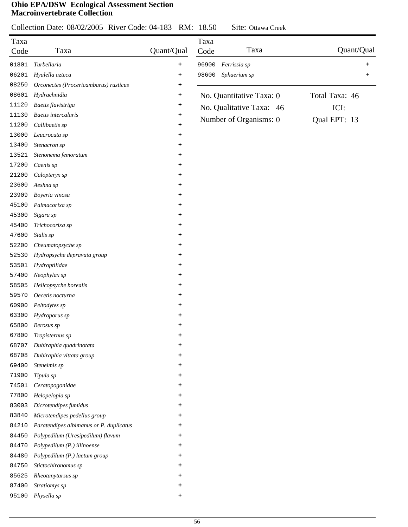|  |  |  | Collection Date: 08/02/2005 River Code: 04-183 RM: 18.50 |  |  | Site: Ottawa Creek |
|--|--|--|----------------------------------------------------------|--|--|--------------------|
|--|--|--|----------------------------------------------------------|--|--|--------------------|

| Taxa  |                                         |            | Taxa  |                          |                |
|-------|-----------------------------------------|------------|-------|--------------------------|----------------|
| Code  | Taxa                                    | Quant/Qual | Code  | Taxa                     | Quant/Qual     |
| 01801 | Turbellaria                             | $\ddot{}$  | 96900 | Ferrissia sp             | +              |
| 06201 | Hyalella azteca                         | +          | 98600 | Sphaerium sp             | +              |
| 08250 | Orconectes (Procericambarus) rusticus   | ٠          |       |                          |                |
| 08601 | Hydrachnidia                            | +          |       | No. Quantitative Taxa: 0 | Total Taxa: 46 |
| 11120 | Baetis flavistriga                      | ٠          |       |                          |                |
| 11130 | <b>Baetis</b> intercalaris              | +          |       | No. Qualitative Taxa: 46 | ICI:           |
| 11200 | Callibaetis sp                          |            |       | Number of Organisms: 0   | Qual EPT: 13   |
| 13000 | Leucrocuta sp                           |            |       |                          |                |
| 13400 | Stenacron sp                            | ٠          |       |                          |                |
| 13521 | Stenonema femoratum                     | ٠          |       |                          |                |
| 17200 | Caenis sp                               | ٠          |       |                          |                |
| 21200 | Calopteryx sp                           | +          |       |                          |                |
| 23600 | Aeshna sp                               | ٠          |       |                          |                |
| 23909 | Boyeria vinosa                          | ٠          |       |                          |                |
| 45100 | Palmacorixa sp                          | ٠          |       |                          |                |
| 45300 | Sigara sp                               | ٠          |       |                          |                |
| 45400 | Trichocorixa sp                         | ٠          |       |                          |                |
| 47600 | Sialis sp                               |            |       |                          |                |
| 52200 | Cheumatopsyche sp                       |            |       |                          |                |
| 52530 | Hydropsyche depravata group             |            |       |                          |                |
| 53501 | Hydroptilidae                           | ٠          |       |                          |                |
| 57400 | Neophylax sp                            |            |       |                          |                |
| 58505 | Helicopsyche borealis                   | ٠          |       |                          |                |
| 59570 | Oecetis nocturna                        | ٠          |       |                          |                |
| 60900 | Peltodytes sp                           | ٠          |       |                          |                |
| 63300 | Hydroporus sp                           |            |       |                          |                |
| 65800 | Berosus sp                              |            |       |                          |                |
| 67800 | Tropisternus sp                         | ٠          |       |                          |                |
| 68707 | Dubiraphia quadrinotata                 |            |       |                          |                |
| 68708 | Dubiraphia vittata group                |            |       |                          |                |
| 69400 | Stenelmis sp                            |            |       |                          |                |
| 71900 | Tipula sp                               |            |       |                          |                |
| 74501 | Ceratopogonidae                         |            |       |                          |                |
| 77800 | Helopelopia sp                          |            |       |                          |                |
| 83003 | Dicrotendipes fumidus                   | ٠          |       |                          |                |
| 83840 | Microtendipes pedellus group            | ٠          |       |                          |                |
| 84210 | Paratendipes albimanus or P. duplicatus | ٠          |       |                          |                |
| 84450 | Polypedilum (Uresipedilum) flavum       | ٠          |       |                          |                |
| 84470 | Polypedilum (P.) illinoense             | ٠          |       |                          |                |
| 84480 | Polypedilum (P.) laetum group           | ٠          |       |                          |                |
| 84750 | Stictochironomus sp                     | ٠          |       |                          |                |
| 85625 | Rheotanytarsus sp                       | ٠          |       |                          |                |
| 87400 | Stratiomys sp                           |            |       |                          |                |
| 95100 | Physella sp                             | +          |       |                          |                |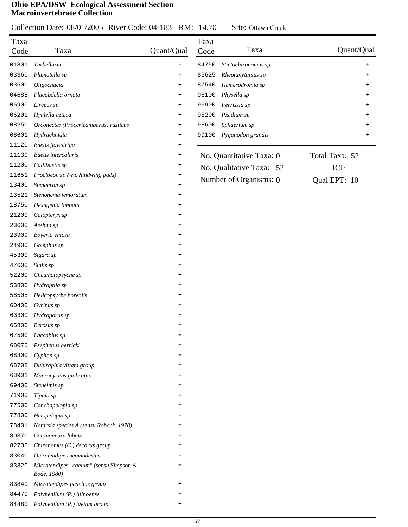Collection Date: 08/01/2005 River Code: 04-183 RM: 14.70 Site: Ottawa Creek

| Taxa  |                                         |            | Taxa  |                          |                |
|-------|-----------------------------------------|------------|-------|--------------------------|----------------|
| Code  | Taxa                                    | Quant/Qual | Code  | Taxa                     | Quant/Qual     |
| 01801 | Turbellaria                             | ٠          | 84750 | Stictochironomus sp      | +              |
| 03360 | Plumatella sp                           | +          | 85625 | Rheotanytarsus sp        | ۰              |
| 03600 | Oligochaeta                             | +          | 87540 | Hemerodromia sp          |                |
| 04685 | Placobdella ornata                      | +          | 95100 | Physella sp              | ٠              |
| 05900 | Lirceus sp                              | ٠          | 96900 | Ferrissia sp             | ٠              |
| 06201 | Hyalella azteca                         | +          | 98200 | Pisidium sp              | +              |
| 08250 | Orconectes (Procericambarus) rusticus   | ٠          | 98600 | Sphaerium sp             |                |
| 08601 | Hydrachnidia                            | +          | 99100 | Pyganodon grandis        | +              |
| 11120 | Baetis flavistriga                      | ۰          |       |                          |                |
| 11130 | <b>Baetis</b> intercalaris              | +          |       | No. Quantitative Taxa: 0 | Total Taxa: 52 |
| 11200 | Callibaetis sp                          | +          |       | No. Qualitative Taxa: 52 | ICI:           |
| 11651 | Procloeon sp (w/o hindwing pads)        | ۰          |       |                          |                |
| 13400 | Stenacron sp                            | +          |       | Number of Organisms: 0   | Qual EPT: 10   |
| 13521 | Stenonema femoratum                     | +          |       |                          |                |
| 18750 | Hexagenia limbata                       | ٠          |       |                          |                |
| 21200 | Calopteryx sp                           | +          |       |                          |                |
| 23600 | Aeshna sp                               | ٠          |       |                          |                |
| 23909 | Boyeria vinosa                          | ٠          |       |                          |                |
| 24900 | Gomphus sp                              | ٠          |       |                          |                |
| 45300 | Sigara sp                               | ٠          |       |                          |                |
| 47600 | Sialis sp                               | ٠          |       |                          |                |
| 52200 | Cheumatopsyche sp                       | ٠          |       |                          |                |
| 53800 | Hydroptila sp                           | ٠          |       |                          |                |
| 58505 | Helicopsyche borealis                   | ٠          |       |                          |                |
| 60400 | Gyrinus sp                              | ٠          |       |                          |                |
| 63300 | Hydroporus sp                           | ٠          |       |                          |                |
| 65800 | Berosus sp                              | ٠          |       |                          |                |
| 67500 | Laccobius sp                            | +          |       |                          |                |
| 68075 | Psephenus herricki                      | ٠          |       |                          |                |
| 68300 | Cyphon sp                               | ٠          |       |                          |                |
| 68708 | Dubiraphia vittata group                | ٠          |       |                          |                |
| 68901 | Macronychus glabratus                   | ٠          |       |                          |                |
| 69400 | Stenelmis sp                            | ٠          |       |                          |                |
| 71900 | Tipula sp                               | ٠          |       |                          |                |
| 77500 | Conchapelopia sp                        | ٠          |       |                          |                |
| 77800 | Helopelopia sp                          | ٠          |       |                          |                |
| 78401 | Natarsia species A (sensu Roback, 1978) | ٠          |       |                          |                |
| 80370 | Corynoneura lobata                      | ٠          |       |                          |                |
| 82730 | Chironomus (C.) decorus group           | ٠          |       |                          |                |
| 83040 | Dicrotendipes neomodestus               | ٠          |       |                          |                |
| 83820 | Microtendipes "caelum" (sensu Simpson & | ٠          |       |                          |                |
|       | Bode, 1980)                             |            |       |                          |                |
| 83840 | Microtendipes pedellus group            | ٠          |       |                          |                |
| 84470 | Polypedilum (P.) illinoense             | ٠          |       |                          |                |
| 84480 | Polypedilum (P.) laetum group           | ٠.         |       |                          |                |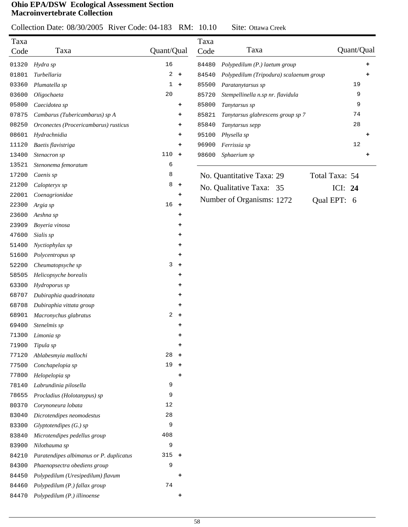Collection Date: 08/30/2005 River Code: 04-183 RM: 10.10 Site: Ottawa Creek

| Taxa  |                                         |              |           | Taxa  |                                         |                |
|-------|-----------------------------------------|--------------|-----------|-------|-----------------------------------------|----------------|
| Code  | Taxa                                    | Quant/Qual   |           | Code  | Taxa                                    | Quant/Qual     |
| 01320 | Hydra sp                                | 16           |           | 84480 | Polypedilum (P.) laetum group           |                |
| 01801 | Turbellaria                             | 2            | $\ddot{}$ | 84540 | Polypedilum (Tripodura) scalaenum group | ÷              |
| 03360 | Plumatella sp                           | $\mathbf{1}$ | $\ddot{}$ | 85500 | Paratanytarsus sp                       | 19             |
| 03600 | Oligochaeta                             | 20           |           | 85720 | Stempellinella n.sp nr. flavidula       | 9              |
| 05800 | Caecidotea sp                           |              | ٠         | 85800 | Tanytarsus sp                           | 9              |
| 07875 | Cambarus (Tubericambarus) sp A          |              | ٠         | 85821 | Tanytarsus glabrescens group sp 7       | 74             |
| 08250 | Orconectes (Procericambarus) rusticus   |              | ٠         | 85840 | Tanytarsus sepp                         | 28             |
| 08601 | Hydrachnidia                            |              | ٠         | 95100 | Physella sp                             |                |
| 11120 | Baetis flavistriga                      |              | ٠.        | 96900 | Ferrissia sp                            | 12             |
| 13400 | Stenacron sp                            | 110          | $\ddot{}$ | 98600 | Sphaerium sp                            | +              |
| 13521 | Stenonema femoratum                     | 6            |           |       |                                         |                |
| 17200 | Caenis sp                               | 8            |           |       | No. Quantitative Taxa: 29               | Total Taxa: 54 |
| 21200 | Calopteryx sp                           | 8            | $\ddot{}$ |       | No. Qualitative Taxa: 35                | ICI: 24        |
| 22001 | Coenagrionidae                          |              | ٠         |       |                                         | Qual EPT: 6    |
| 22300 | Argia sp                                | 16           | $\ddot{}$ |       | Number of Organisms: 1272               |                |
| 23600 | Aeshna sp                               |              | ٠         |       |                                         |                |
| 23909 | Boyeria vinosa                          |              | +         |       |                                         |                |
| 47600 | Sialis sp                               |              | +         |       |                                         |                |
| 51400 | Nyctiophylax sp                         |              | ٠         |       |                                         |                |
| 51600 | Polycentropus sp                        |              | ٠         |       |                                         |                |
| 52200 | Cheumatopsyche sp                       | 3            | $\ddot{}$ |       |                                         |                |
| 58505 | Helicopsyche borealis                   |              | +         |       |                                         |                |
| 63300 | Hydroporus sp                           |              | ٠         |       |                                         |                |
| 68707 | Dubiraphia quadrinotata                 |              | ٠         |       |                                         |                |
| 68708 | Dubiraphia vittata group                |              | ٠         |       |                                         |                |
| 68901 | Macronychus glabratus                   | 2            | $\ddot{}$ |       |                                         |                |
| 69400 | Stenelmis sp                            |              | ٠         |       |                                         |                |
| 71300 | Limonia sp                              |              | ٠         |       |                                         |                |
| 71900 | Tipula sp                               |              | ٠         |       |                                         |                |
| 77120 | Ablabesmyia mallochi                    | 28           | $\ddot{}$ |       |                                         |                |
| 77500 | Conchapelopia sp                        | 19           | $\ddot{}$ |       |                                         |                |
| 77800 | Helopelopia sp                          |              | ٠         |       |                                         |                |
| 78140 | Labrundinia pilosella                   | 9            |           |       |                                         |                |
| 78655 | Procladius (Holotanypus) sp             | 9            |           |       |                                         |                |
| 80370 | Corynoneura lobata                      | 12           |           |       |                                         |                |
| 83040 | Dicrotendipes neomodestus               | 28           |           |       |                                         |                |
| 83300 | $Glyptotendipes(G.)$ sp                 | 9            |           |       |                                         |                |
| 83840 | Microtendipes pedellus group            | 408          |           |       |                                         |                |
| 83900 | Nilothauma sp                           | 9            |           |       |                                         |                |
| 84210 | Paratendipes albimanus or P. duplicatus | $315 +$      |           |       |                                         |                |
| 84300 | Phaenopsectra obediens group            | 9            |           |       |                                         |                |
| 84450 | Polypedilum (Uresipedilum) flavum       |              | ٠         |       |                                         |                |
| 84460 | Polypedilum (P.) fallax group           | 74           |           |       |                                         |                |
| 84470 | Polypedilum (P.) illinoense             |              | +         |       |                                         |                |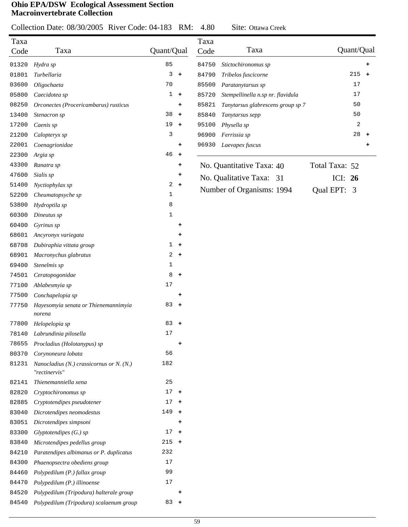Collection Date: 08/30/2005 River Code: 04-183 RM: 4.80 Site: Ottawa Creek

| Taxa  |                                                             |              |                      | Taxa  |                                   |                 |
|-------|-------------------------------------------------------------|--------------|----------------------|-------|-----------------------------------|-----------------|
| Code  | Taxa                                                        | Quant/Qual   |                      | Code  | Taxa                              | Quant/Qual      |
| 01320 | Hydra sp                                                    | 85           |                      | 84750 | Stictochironomus sp               | +               |
| 01801 | Turbellaria                                                 | 3            | $\ddot{\phantom{1}}$ | 84790 | Tribelos fuscicorne               | $215 +$         |
| 03600 | Oligochaeta                                                 | 70           |                      | 85500 | Paratanytarsus sp                 | 17              |
| 05800 | Caecidotea sp                                               | $\mathbf{1}$ | $\ddot{}$            | 85720 | Stempellinella n.sp nr. flavidula | 17              |
| 08250 | Orconectes (Procericambarus) rusticus                       |              | +                    | 85821 | Tanytarsus glabrescens group sp 7 | 50              |
| 13400 | Stenacron sp                                                | 38           | $\ddot{\phantom{1}}$ | 85840 | Tanytarsus sepp                   | 50              |
| 17200 | Caenis sp                                                   | 19           | $\ddot{}$            | 95100 | Physella sp                       | $\overline{2}$  |
| 21200 | Calopteryx sp                                               | 3            |                      | 96900 | Ferrissia sp                      | 28<br>$\ddot{}$ |
| 22001 | Coenagrionidae                                              |              | +                    | 96930 | Laevapex fuscus                   | +               |
| 22300 | Argia sp                                                    | 46           | $\ddot{}$            |       |                                   |                 |
| 43300 | Ranatra sp                                                  |              | +                    |       | No. Quantitative Taxa: 40         | Total Taxa: 52  |
| 47600 | Sialis sp                                                   |              | +                    |       | No. Qualitative Taxa:<br>31       | ICI: $26$       |
| 51400 | Nyctiophylax sp                                             | 2            | $+$                  |       | Number of Organisms: 1994         |                 |
| 52200 | Cheumatopsyche sp                                           | $\mathbf{1}$ |                      |       |                                   | Qual EPT: 3     |
| 53800 | Hydroptila sp                                               | 8            |                      |       |                                   |                 |
| 60300 | Dineutus sp                                                 | $\mathbf{1}$ |                      |       |                                   |                 |
| 60400 | Gyrinus sp                                                  |              | +                    |       |                                   |                 |
| 68601 | Ancyronyx variegata                                         |              | ٠                    |       |                                   |                 |
| 68708 | Dubiraphia vittata group                                    | 1            | $\ddot{}$            |       |                                   |                 |
| 68901 | Macronychus glabratus                                       | 2            | $\ddot{\phantom{1}}$ |       |                                   |                 |
| 69400 | Stenelmis sp                                                | $\mathbf{1}$ |                      |       |                                   |                 |
| 74501 | Ceratopogonidae                                             | 8            | $\ddot{\phantom{1}}$ |       |                                   |                 |
| 77100 | Ablabesmyia sp                                              | 17           |                      |       |                                   |                 |
| 77500 | Conchapelopia sp                                            |              | +                    |       |                                   |                 |
| 77750 | Hayesomyia senata or Thienemannimyia<br>norena              | 83           | $+$                  |       |                                   |                 |
| 77800 | Helopelopia sp                                              | $83 +$       |                      |       |                                   |                 |
| 78140 | Labrundinia pilosella                                       | 17           |                      |       |                                   |                 |
| 78655 | Procladius (Holotanypus) sp                                 |              | ٠                    |       |                                   |                 |
| 80370 | Corynoneura lobata                                          | 56           |                      |       |                                   |                 |
| 81231 | Nanocladius (N.) crassicornus or $N. (N.)$<br>"rectinervis" | 182          |                      |       |                                   |                 |
| 82141 | Thienemanniella xena                                        | 25           |                      |       |                                   |                 |
| 82820 | Cryptochironomus sp                                         | 17           | $+$                  |       |                                   |                 |
| 82885 | Cryptotendipes pseudotener                                  | 17           | $\ddot{}$            |       |                                   |                 |
| 83040 | Dicrotendipes neomodestus                                   | 149          | $\ddot{\phantom{1}}$ |       |                                   |                 |
| 83051 | Dicrotendipes simpsoni                                      |              | +                    |       |                                   |                 |
| 83300 | $Glyptotendipes$ $(G.)$ sp                                  | 17           | $\ddot{\phantom{1}}$ |       |                                   |                 |
| 83840 | Microtendipes pedellus group                                | $215 +$      |                      |       |                                   |                 |
| 84210 | Paratendipes albimanus or P. duplicatus                     | 232          |                      |       |                                   |                 |
| 84300 | Phaenopsectra obediens group                                | 17           |                      |       |                                   |                 |
| 84460 | Polypedilum (P.) fallax group                               | 99           |                      |       |                                   |                 |
| 84470 | Polypedilum (P.) illinoense                                 | 17           |                      |       |                                   |                 |
| 84520 | Polypedilum (Tripodura) halterale group                     |              | ٠                    |       |                                   |                 |
| 84540 | Polypedilum (Tripodura) scalaenum group                     | 83 +         |                      |       |                                   |                 |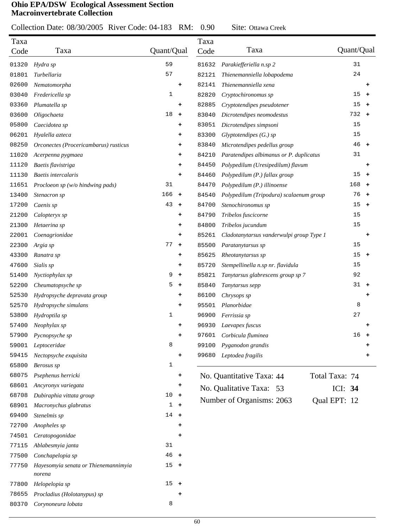Collection Date: 08/30/2005 River Code: 04-183 RM: 0.90 Site: Ottawa Creek

| Taxa  |                                                |                           | Taxa  |                                          |                      |
|-------|------------------------------------------------|---------------------------|-------|------------------------------------------|----------------------|
| Code  | Taxa                                           | Quant/Qual                | Code  | Taxa                                     | Quant/Qual           |
| 01320 | Hydra sp                                       | 59                        | 81632 | Parakiefferiella n.sp 2                  | 31                   |
| 01801 | Turbellaria                                    | 57                        | 82121 | Thienemanniella lobapodema               | 24                   |
| 02600 | Nematomorpha                                   | ٠                         | 82141 | Thienemanniella xena                     | +                    |
| 03040 | Fredericella sp                                | 1                         | 82820 | Cryptochironomus sp                      | 15<br>$+$            |
| 03360 | Plumatella sp                                  | ٠                         | 82885 | Cryptotendipes pseudotener               | 15<br>$\ddot{}$      |
| 03600 | Oligochaeta                                    | 18<br>$\pm$               | 83040 | Dicrotendipes neomodestus                | 732<br>$\ddot{}$     |
| 05800 | Caecidotea sp                                  | ٠                         | 83051 | Dicrotendipes simpsoni                   | 15                   |
| 06201 | Hyalella azteca                                | +                         | 83300 | Glyptotendipes (G.) sp                   | 15                   |
| 08250 | Orconectes (Procericambarus) rusticus          | +                         | 83840 | Microtendipes pedellus group             | 46<br>$\ddag$        |
| 11020 | Acerpenna pygmaea                              | ٠                         | 84210 | Paratendipes albimanus or P. duplicatus  | 31                   |
| 11120 | Baetis flavistriga                             | +                         | 84450 | Polypedilum (Uresipedilum) flavum        | +                    |
| 11130 | Baetis intercalaris                            | ٠                         | 84460 | Polypedilum (P.) fallax group            | 15<br>$\ddot{}$      |
| 11651 | Procloeon sp (w/o hindwing pads)               | 31                        | 84470 | Polypedilum (P.) illinoense              | 168<br>$\ddot{}$     |
| 13400 | Stenacron sp                                   | 166<br>$\ddot{}$          | 84540 | Polypedilum (Tripodura) scalaenum group  | 76<br>$\ddot{}$      |
| 17200 | Caenis sp                                      | 43<br>$\ddot{}$           | 84700 | Stenochironomus sp                       | 15<br>$\ddot{}$      |
| 21200 | Calopteryx sp                                  | +                         | 84790 | Tribelos fuscicorne                      | 15                   |
| 21300 | Hetaerina sp                                   | ٠                         | 84800 | Tribelos jucundum                        | 15                   |
| 22001 | Coenagrionidae                                 | $\ddot{}$                 | 85261 | Cladotanytarsus vanderwulpi group Type 1 | ٠                    |
| 22300 | Argia sp                                       | 77<br>$+$                 | 85500 | Paratanytarsus sp                        | 15                   |
| 43300 | Ranatra sp                                     | +                         | 85625 | Rheotanytarsus sp                        | 15<br>$\ddot{}$      |
| 47600 | Sialis sp                                      | $\ddot{}$                 | 85720 | Stempellinella n.sp nr. flavidula        | 15                   |
| 51400 | Nyctiophylax sp                                | 9<br>$\ddot{}$            | 85821 | Tanytarsus glabrescens group sp 7        | 92                   |
| 52200 | Cheumatopsyche sp                              | 5<br>$\ddot{}$            | 85840 | Tanytarsus sepp                          | 31<br>$\overline{+}$ |
| 52530 | Hydropsyche depravata group                    | +                         | 86100 | Chrysops sp                              |                      |
| 52570 | Hydropsyche simulans                           | ٠                         | 95501 | Planorbidae                              | 8                    |
| 53800 | Hydroptila sp                                  | $\mathbf{1}$              | 96900 | Ferrissia sp                             | 27                   |
| 57400 | Neophylax sp                                   | +                         | 96930 | Laevapex fuscus                          | +                    |
| 57900 | Pycnopsyche sp                                 | ٠                         | 97601 | Corbicula fluminea                       | 16<br>$\ddot{}$      |
| 59001 | Leptoceridae                                   | 8                         | 99100 | Pyganodon grandis                        |                      |
| 59415 | Nectopsyche exquisita                          | ٠                         | 99680 | Leptodea fragilis                        | +                    |
| 65800 | Berosus sp                                     | 1                         |       |                                          |                      |
| 68075 | Psephenus herricki                             | $\ddot{}$                 |       | No. Quantitative Taxa: 44                | Total Taxa: 74       |
| 68601 | Ancyronyx variegata                            | ٠                         |       | No. Qualitative Taxa: 53                 | ICI: 34              |
| 68708 | Dubiraphia vittata group                       | $10 +$                    |       | Number of Organisms: 2063                | Qual EPT: 12         |
| 68901 | Macronychus glabratus                          | $\mathbf{1}$<br>$\ddot{}$ |       |                                          |                      |
| 69400 | Stenelmis sp                                   | $14 +$                    |       |                                          |                      |
| 72700 | Anopheles sp                                   | ٠                         |       |                                          |                      |
| 74501 | Ceratopogonidae                                | ٠                         |       |                                          |                      |
| 77115 | Ablabesmyia janta                              | 31                        |       |                                          |                      |
| 77500 | Conchapelopia sp                               | 46<br>$\ddot{}$           |       |                                          |                      |
| 77750 | Hayesomyia senata or Thienemannimyia<br>norena | 15<br>$\ddot{}$           |       |                                          |                      |
| 77800 | Helopelopia sp                                 | $15 +$                    |       |                                          |                      |
| 78655 | Procladius (Holotanypus) sp                    | +                         |       |                                          |                      |

*Corynoneura lobata* 8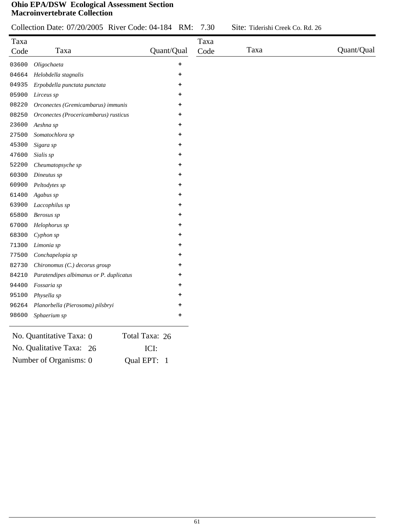Collection Date: 07/20/2005 River Code: 04-184 RM: 7.30 Site: Tiderishi Creek Co. Rd. 26

| Taxa                  |                                          |            | Taxa |      |            |
|-----------------------|------------------------------------------|------------|------|------|------------|
| Code                  | Taxa                                     | Quant/Qual | Code | Taxa | Quant/Qual |
| 03600                 | Oligochaeta                              | ٠          |      |      |            |
| 04664                 | Helobdella stagnalis                     | ٠          |      |      |            |
| 04935                 | Erpobdella punctata punctata             |            |      |      |            |
| 05900                 | Lirceus sp                               |            |      |      |            |
| 08220                 | Orconectes (Gremicambarus) immunis       |            |      |      |            |
| 08250                 | Orconectes (Procericambarus) rusticus    | ٠          |      |      |            |
| 23600                 | Aeshna sp                                |            |      |      |            |
| 27500                 | Somatochlora sp                          | ٠          |      |      |            |
| 45300                 | Sigara sp                                | ٠          |      |      |            |
| 47600                 | Sialis sp                                | ٠          |      |      |            |
| 52200                 | Cheumatopsyche sp                        |            |      |      |            |
| 60300                 | Dineutus sp                              |            |      |      |            |
| 60900                 | Peltodytes sp                            | ٠          |      |      |            |
| 61400                 | Agabus sp                                | ٠          |      |      |            |
| 63900                 | Laccophilus sp                           | ٠          |      |      |            |
| 65800                 | Berosus sp                               | +          |      |      |            |
| 67000                 | Helophorus sp                            | +          |      |      |            |
| 68300                 | Cyphon sp                                | ٠          |      |      |            |
| 71300                 | Limonia sp                               |            |      |      |            |
| 77500                 | Conchapelopia sp                         |            |      |      |            |
| 82730                 | Chironomus (C.) decorus group            |            |      |      |            |
| 84210                 | Paratendipes albimanus or P. duplicatus  |            |      |      |            |
| 94400                 | Fossaria sp                              | ٠          |      |      |            |
| 95100                 | Physella sp                              |            |      |      |            |
| 96264                 | Planorbella (Pierosoma) pilsbryi         |            |      |      |            |
| 98600                 | Sphaerium sp                             | $\ddot{}$  |      |      |            |
| $\mathbf{v}$ $\alpha$ | $\mathbf{r}$<br>$T \times 1 T$<br>$\sim$ | $\sim$     |      |      |            |

| No. Quantitative Taxa: 0 | Total Taxa: 26 |
|--------------------------|----------------|
| No. Qualitative Taxa: 26 | ICI:           |
| Number of Organisms: 0   | Qual EPT: 1    |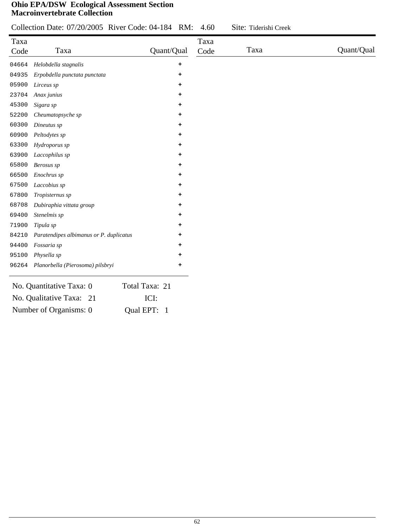Collection Date: 07/20/2005 River Code: 04-184 RM: 4.60 Site: Tiderishi Creek

| Taxa  |                                         |                             | Taxa |      |            |
|-------|-----------------------------------------|-----------------------------|------|------|------------|
| Code  | Taxa                                    | Quant/Qual                  | Code | Taxa | Quant/Qual |
| 04664 | Helobdella stagnalis                    | ٠.                          |      |      |            |
| 04935 | Erpobdella punctata punctata            | ٠                           |      |      |            |
| 05900 | Lirceus sp                              | ٠                           |      |      |            |
| 23704 | Anax junius                             | ٠.                          |      |      |            |
| 45300 | Sigara sp                               | ٠                           |      |      |            |
| 52200 | Cheumatopsyche sp                       | ٠                           |      |      |            |
| 60300 | Dineutus sp                             | ٠                           |      |      |            |
| 60900 | Peltodytes sp                           | ٠                           |      |      |            |
| 63300 | Hydroporus sp                           | ٠                           |      |      |            |
| 63900 | Laccophilus sp                          | +                           |      |      |            |
| 65800 | Berosus sp                              | ٠                           |      |      |            |
| 66500 | Enochrus sp                             | ٠                           |      |      |            |
| 67500 | Laccobius sp                            | ٠                           |      |      |            |
| 67800 | Tropisternus sp                         | ٠                           |      |      |            |
| 68708 | Dubiraphia vittata group                | ٠                           |      |      |            |
| 69400 | Stenelmis sp                            | ٠                           |      |      |            |
| 71900 | Tipula sp                               | ٠                           |      |      |            |
| 84210 | Paratendipes albimanus or P. duplicatus | +                           |      |      |            |
| 94400 | Fossaria sp                             | ٠                           |      |      |            |
| 95100 | Physella sp                             | ٠                           |      |      |            |
| 96264 | Planorbella (Pierosoma) pilsbryi        | +                           |      |      |            |
|       | No. Quantitative Taxa: 0                | Total Taxa: 21              |      |      |            |
|       | No. Qualitative Taxa: 21                | ICI:                        |      |      |            |
|       | Number of Organisms: 0                  | Qual EPT:<br>$\overline{1}$ |      |      |            |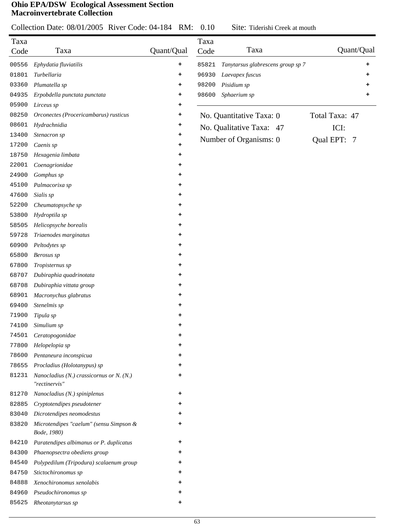| Collection Date: 08/01/2005 River Code: 04-184 RM: 0.10 |  |  | Site: Tiderishi Creek at mouth |
|---------------------------------------------------------|--|--|--------------------------------|
|---------------------------------------------------------|--|--|--------------------------------|

| Taxa  |                                                             |            | Taxa  |                                   |                |
|-------|-------------------------------------------------------------|------------|-------|-----------------------------------|----------------|
| Code  | Taxa                                                        | Quant/Qual | Code  | Taxa                              | Quant/Qual     |
| 00556 | Ephydatia fluviatilis                                       | ٠.         | 85821 | Tanytarsus glabrescens group sp 7 |                |
| 01801 | Turbellaria                                                 | ٠          | 96930 | Laevapex fuscus                   |                |
| 03360 | Plumatella sp                                               | +          | 98200 | Pisidium sp                       |                |
| 04935 | Erpobdella punctata punctata                                | +          | 98600 | Sphaerium sp                      | +              |
| 05900 | Lirceus sp                                                  | ٠          |       |                                   |                |
| 08250 | Orconectes (Procericambarus) rusticus                       | ۰          |       | No. Quantitative Taxa: 0          | Total Taxa: 47 |
| 08601 | Hydrachnidia                                                | ۰          |       | No. Qualitative Taxa: 47          | ICI:           |
| 13400 | Stenacron sp                                                | +          |       | Number of Organisms: 0            | Qual EPT: 7    |
| 17200 | Caenis sp                                                   | +          |       |                                   |                |
| 18750 | Hexagenia limbata                                           | ٠          |       |                                   |                |
| 22001 | Coenagrionidae                                              | ٠          |       |                                   |                |
| 24900 | Gomphus sp                                                  | ٠          |       |                                   |                |
| 45100 | Palmacorixa sp                                              | ٠          |       |                                   |                |
| 47600 | Sialis sp                                                   | ٠          |       |                                   |                |
| 52200 | Cheumatopsyche sp                                           | ٠          |       |                                   |                |
| 53800 | Hydroptila sp                                               | ٠          |       |                                   |                |
| 58505 | Helicopsyche borealis                                       | ٠          |       |                                   |                |
| 59728 | Triaenodes marginatus                                       | ٠          |       |                                   |                |
| 60900 | Peltodytes sp                                               | ٠          |       |                                   |                |
| 65800 | Berosus sp                                                  | ٠          |       |                                   |                |
| 67800 | Tropisternus sp                                             | ٠          |       |                                   |                |
| 68707 | Dubiraphia quadrinotata                                     | ٠          |       |                                   |                |
| 68708 | Dubiraphia vittata group                                    | ٠          |       |                                   |                |
| 68901 | Macronychus glabratus                                       | ٠          |       |                                   |                |
| 69400 | Stenelmis sp                                                |            |       |                                   |                |
| 71900 | Tipula sp                                                   |            |       |                                   |                |
| 74100 | Simulium sp                                                 |            |       |                                   |                |
| 74501 | Ceratopogonidae                                             | ٠          |       |                                   |                |
| 77800 | Helopelopia sp                                              |            |       |                                   |                |
| 78600 | Pentaneura inconspicua                                      | ٠          |       |                                   |                |
| 78655 | Procladius (Holotanypus) sp                                 |            |       |                                   |                |
| 81231 | Nanocladius (N.) crassicornus or $N. (N.)$<br>"rectinervis" | ٠          |       |                                   |                |
| 81270 | Nanocladius (N.) spiniplenus                                | ٠          |       |                                   |                |
| 82885 | Cryptotendipes pseudotener                                  | ٠          |       |                                   |                |
| 83040 | Dicrotendipes neomodestus                                   |            |       |                                   |                |
| 83820 | Microtendipes "caelum" (sensu Simpson &<br>Bode, 1980)      |            |       |                                   |                |
| 84210 | Paratendipes albimanus or P. duplicatus                     |            |       |                                   |                |
| 84300 | Phaenopsectra obediens group                                |            |       |                                   |                |
| 84540 | Polypedilum (Tripodura) scalaenum group                     |            |       |                                   |                |
| 84750 | Stictochironomus sp                                         |            |       |                                   |                |
| 84888 | Xenochironomus xenolabis                                    |            |       |                                   |                |
| 84960 | Pseudochironomus sp                                         |            |       |                                   |                |
| 85625 | Rheotanytarsus sp                                           | ٠          |       |                                   |                |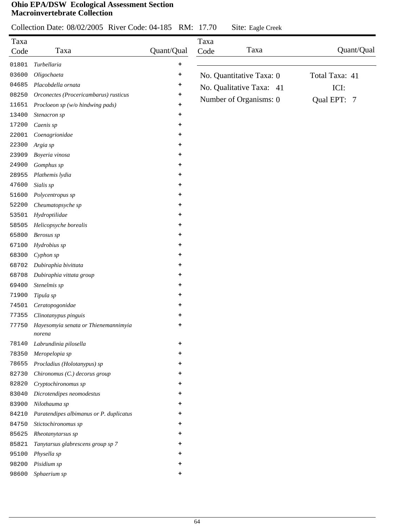| Collection Date: 08/02/2005 River Code: 04-185 RM: 17.70 |  |  |  |  | Site: Eagle Creek |
|----------------------------------------------------------|--|--|--|--|-------------------|
|----------------------------------------------------------|--|--|--|--|-------------------|

| Taxa  |                                         |            | Taxa | Taxa                     |                |
|-------|-----------------------------------------|------------|------|--------------------------|----------------|
| Code  | Taxa                                    | Quant/Qual | Code |                          | Quant/Qual     |
| 01801 | Turbellaria                             | ÷          |      |                          |                |
| 03600 | Oligochaeta                             | ۰          |      | No. Quantitative Taxa: 0 | Total Taxa: 41 |
| 04685 | Placobdella ornata                      | +          |      | No. Qualitative Taxa: 41 | ICI:           |
| 08250 | Orconectes (Procericambarus) rusticus   | ٠          |      | Number of Organisms: 0   | Qual EPT: 7    |
| 11651 | Procloeon sp (w/o hindwing pads)        | ٠          |      |                          |                |
| 13400 | Stenacron sp                            | ٠          |      |                          |                |
| 17200 | Caenis sp                               | ٠          |      |                          |                |
| 22001 | Coenagrionidae                          | ٠          |      |                          |                |
| 22300 | Argia sp                                | ٠          |      |                          |                |
| 23909 | Boyeria vinosa                          | ٠          |      |                          |                |
| 24900 | Gomphus sp                              | ٠          |      |                          |                |
| 28955 | Plathemis lydia                         | ۰          |      |                          |                |
| 47600 | Sialis sp                               | ٠          |      |                          |                |
| 51600 | Polycentropus sp                        | ٠          |      |                          |                |
| 52200 | Cheumatopsyche sp                       | ٠          |      |                          |                |
| 53501 | Hydroptilidae                           | ۰          |      |                          |                |
| 58505 | Helicopsyche borealis                   |            |      |                          |                |
| 65800 | Berosus sp                              |            |      |                          |                |
| 67100 | Hydrobius sp                            |            |      |                          |                |
| 68300 | Cyphon sp                               | ÷          |      |                          |                |
| 68702 | Dubiraphia bivittata                    |            |      |                          |                |
| 68708 | Dubiraphia vittata group                | ٠          |      |                          |                |
| 69400 | Stenelmis sp                            | ٠          |      |                          |                |
| 71900 | Tipula sp                               | ۰          |      |                          |                |
| 74501 | Ceratopogonidae                         |            |      |                          |                |
| 77355 | Clinotanypus pinguis                    |            |      |                          |                |
| 77750 | Hayesomyia senata or Thienemannimyia    | ۰          |      |                          |                |
|       | norena                                  |            |      |                          |                |
| 78140 | Labrundinia pilosella                   | ÷          |      |                          |                |
| 78350 | Meropelopia sp                          |            |      |                          |                |
| 78655 | Procladius (Holotanypus) sp             |            |      |                          |                |
| 82730 | Chironomus (C.) decorus group           |            |      |                          |                |
| 82820 | Cryptochironomus sp                     |            |      |                          |                |
| 83040 | Dicrotendipes neomodestus               |            |      |                          |                |
| 83900 | Nilothauma sp                           |            |      |                          |                |
| 84210 | Paratendipes albimanus or P. duplicatus |            |      |                          |                |
| 84750 | Stictochironomus sp                     |            |      |                          |                |
| 85625 | Rheotanytarsus sp                       | ÷          |      |                          |                |
| 85821 | Tanytarsus glabrescens group sp 7       | ٠          |      |                          |                |
| 95100 | Physella sp                             |            |      |                          |                |
| 98200 | Pisidium sp                             | ٠          |      |                          |                |
| 98600 | Sphaerium sp                            | ۰          |      |                          |                |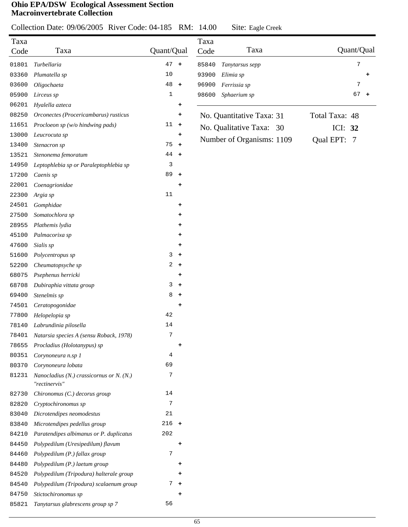Collection Date: 09/06/2005 River Code: 04-185 RM: 14.00 Site: Eagle Creek

| Taxa  |                                                           |                            | Taxa  |                           |                |
|-------|-----------------------------------------------------------|----------------------------|-------|---------------------------|----------------|
| Code  | Taxa                                                      | Quant/Qual                 | Code  | Taxa                      | Quant/Qual     |
| 01801 | Turbellaria                                               | 47<br>$\ddot{\phantom{1}}$ | 85840 | Tanytarsus sepp           | 7              |
| 03360 | Plumatella sp                                             | 10                         | 93900 | Elimia sp                 | +              |
| 03600 | Oligochaeta                                               | 48<br>$\ddot{\phantom{1}}$ | 96900 | Ferrissia sp              | 7              |
| 05900 | Lirceus sp                                                | 1                          | 98600 | Sphaerium sp              | $67 +$         |
| 06201 | Hyalella azteca                                           | $\ddot{}$                  |       |                           |                |
| 08250 | Orconectes (Procericambarus) rusticus                     | $\ddot{}$                  |       | No. Quantitative Taxa: 31 | Total Taxa: 48 |
| 11651 | Procloeon sp (w/o hindwing pads)                          | $11 +$                     |       | No. Qualitative Taxa: 30  | ICI: 32        |
| 13000 | Leucrocuta sp                                             |                            |       | Number of Organisms: 1109 |                |
| 13400 | Stenacron sp                                              | 75<br>$\ddot{}$            |       |                           | Qual EPT: 7    |
| 13521 | Stenonema femoratum                                       | 44<br>$\ddot{}$            |       |                           |                |
| 14950 | Leptophlebia sp or Paraleptophlebia sp                    | 3                          |       |                           |                |
| 17200 | Caenis sp                                                 | 89<br>$+$                  |       |                           |                |
| 22001 | Coenagrionidae                                            | $\ddot{}$                  |       |                           |                |
| 22300 | Argia sp                                                  | 11                         |       |                           |                |
| 24501 | Gomphidae                                                 | ٠                          |       |                           |                |
| 27500 | Somatochlora sp                                           | ٠                          |       |                           |                |
| 28955 | Plathemis lydia                                           | ٠                          |       |                           |                |
| 45100 | Palmacorixa sp                                            |                            |       |                           |                |
| 47600 | Sialis sp                                                 |                            |       |                           |                |
| 51600 | Polycentropus sp                                          | 3<br>$\ddot{}$             |       |                           |                |
| 52200 | Cheumatopsyche sp                                         | 2<br>$\ddot{\phantom{1}}$  |       |                           |                |
| 68075 | Psephenus herricki                                        | ٠                          |       |                           |                |
| 68708 | Dubiraphia vittata group                                  | 3<br>$\ddot{}$             |       |                           |                |
| 69400 | Stenelmis sp                                              | 8<br>$\ddot{}$             |       |                           |                |
| 74501 | Ceratopogonidae                                           | $\ddot{}$                  |       |                           |                |
| 77800 | Helopelopia sp                                            | 42                         |       |                           |                |
| 78140 | Labrundinia pilosella                                     | 14                         |       |                           |                |
| 78401 | Natarsia species A (sensu Roback, 1978)                   | 7                          |       |                           |                |
| 78655 | Procladius (Holotanypus) sp                               | ٠                          |       |                           |                |
| 80351 | Corynoneura n.sp 1                                        | 4                          |       |                           |                |
| 80370 | Corynoneura lobata                                        | 69                         |       |                           |                |
| 81231 | Nanocladius (N.) crassicornus or N. (N.)<br>"rectinervis" | 7                          |       |                           |                |
| 82730 | Chironomus (C.) decorus group                             | 14                         |       |                           |                |
| 82820 | Cryptochironomus sp                                       | 7                          |       |                           |                |
| 83040 | Dicrotendipes neomodestus                                 | 21                         |       |                           |                |
| 83840 | Microtendipes pedellus group                              | $216 +$                    |       |                           |                |
| 84210 | Paratendipes albimanus or P. duplicatus                   | 202                        |       |                           |                |
| 84450 | Polypedilum (Uresipedilum) flavum                         | $\ddot{}$                  |       |                           |                |
| 84460 | Polypedilum (P.) fallax group                             | 7                          |       |                           |                |
| 84480 | Polypedilum (P.) laetum group                             | ٠                          |       |                           |                |
| 84520 | Polypedilum (Tripodura) halterale group                   |                            |       |                           |                |
| 84540 | Polypedilum (Tripodura) scalaenum group                   | 7<br>$\ddot{}$             |       |                           |                |
| 84750 | Stictochironomus sp                                       | ٠                          |       |                           |                |
| 85821 | Tanytarsus glabrescens group sp 7                         | 56                         |       |                           |                |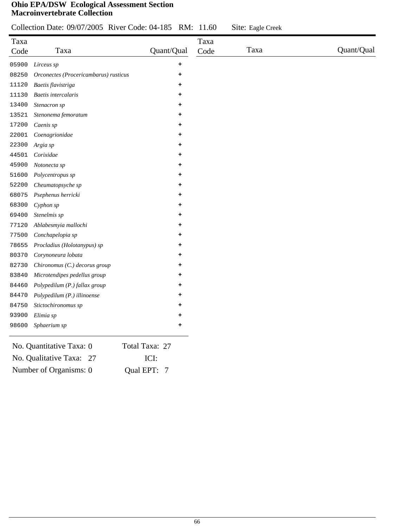Collection Date: 09/07/2005 River Code: 04-185 RM: 11.60 Site: Eagle Creek

| Taxa<br>Code | Taxa                                  | Quant/Qual     | Taxa<br>Code | Taxa | Quant/Qual |
|--------------|---------------------------------------|----------------|--------------|------|------------|
| 05900        | Lirceus sp                            | +              |              |      |            |
| 08250        | Orconectes (Procericambarus) rusticus | ٠              |              |      |            |
| 11120        | Baetis flavistriga                    |                |              |      |            |
| 11130        | <b>Baetis</b> intercalaris            |                |              |      |            |
| 13400        | Stenacron sp                          |                |              |      |            |
| 13521        | Stenonema femoratum                   |                |              |      |            |
| 17200        | Caenis sp                             | +              |              |      |            |
| 22001        | Coenagrionidae                        | +              |              |      |            |
| 22300        | Argia sp                              | ٠              |              |      |            |
| 44501        | Corixidae                             |                |              |      |            |
| 45900        | Notonecta sp                          |                |              |      |            |
| 51600        | Polycentropus sp                      |                |              |      |            |
| 52200        | Cheumatopsyche sp                     |                |              |      |            |
| 68075        | Psephenus herricki                    | ٠              |              |      |            |
| 68300        | Cyphon sp                             | ÷              |              |      |            |
| 69400        | Stenelmis sp                          |                |              |      |            |
| 77120        | Ablabesmyia mallochi                  | ÷              |              |      |            |
| 77500        | Conchapelopia sp                      | +              |              |      |            |
| 78655        | Procladius (Holotanypus) sp           | ٠              |              |      |            |
| 80370        | Corynoneura lobata                    |                |              |      |            |
| 82730        | Chironomus (C.) decorus group         | ٠              |              |      |            |
| 83840        | Microtendipes pedellus group          | ٠              |              |      |            |
| 84460        | Polypedilum (P.) fallax group         |                |              |      |            |
| 84470        | Polypedilum (P.) illinoense           | ٠              |              |      |            |
| 84750        | Stictochironomus sp                   | ٠              |              |      |            |
| 93900        | Elimia sp                             |                |              |      |            |
| 98600        | Sphaerium sp                          | ٠              |              |      |            |
|              | No. Quantitative Taxa: 0              | Total Taxa: 27 |              |      |            |

| $1.01$ $\vee$ admitsion $\vee$ $\vee$ $1.01$ and $\vee$ |  | $1 \cup \ldots$ internal $\cup$ |  |
|---------------------------------------------------------|--|---------------------------------|--|
| No. Qualitative Taxa: 27                                |  | ICI:                            |  |
| Number of Organisms: 0                                  |  | Qual EPT: 7                     |  |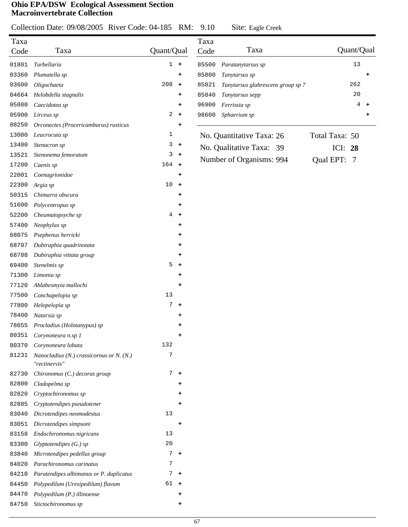#### Collection Date: 09/08/2005 River Code: 04-185 RM: 9.10 Site: Eagle Creek

| Taxa  |                                                           |                |           | Taxa  |                                   |                |
|-------|-----------------------------------------------------------|----------------|-----------|-------|-----------------------------------|----------------|
| Code  | Taxa                                                      | Quant/Qual     |           | Code  | Taxa                              | Quant/Qual     |
| 01801 | Turbellaria                                               | 1              | $\ddot{}$ | 85500 | Paratanytarsus sp                 | 13             |
| 03360 | Plumatella sp                                             |                | ٠         | 85800 | Tanytarsus sp                     | +              |
| 03600 | Oligochaeta                                               | 208            | $\ddot{}$ | 85821 | Tanytarsus glabrescens group sp 7 | 262            |
| 04664 | Helobdella stagnalis                                      |                | ٠         | 85840 | Tanytarsus sepp                   | 20             |
| 05800 | Caecidotea sp                                             |                | $\ddot{}$ | 96900 | Ferrissia sp                      | 4              |
| 05900 | Lirceus sp                                                | $\overline{a}$ | $\ddag$   | 98600 | Sphaerium sp                      | +              |
| 08250 | Orconectes (Procericambarus) rusticus                     |                | ٠         |       |                                   |                |
| 13000 | Leucrocuta sp                                             | 1              |           |       | No. Quantitative Taxa: 26         | Total Taxa: 50 |
| 13400 | Stenacron sp                                              | 3              | $\ddot{}$ |       | No. Qualitative Taxa:<br>-39      | <b>ICI: 28</b> |
| 13521 | Stenonema femoratum                                       | 3              | $\ddot{}$ |       |                                   |                |
| 17200 | Caenis sp                                                 | 164            | $\ddot{}$ |       | Number of Organisms: 994          | Qual EPT: 7    |
| 22001 | Coenagrionidae                                            |                | ٠         |       |                                   |                |
| 22300 | Argia sp                                                  | 10             | $\ddot{}$ |       |                                   |                |
| 50315 | Chimarra obscura                                          |                | ٠         |       |                                   |                |
| 51600 | Polycentropus sp                                          |                | ٠         |       |                                   |                |
| 52200 | Cheumatopsyche sp                                         | $\overline{4}$ | $\ddot{}$ |       |                                   |                |
| 57400 | Neophylax sp                                              |                | $\ddot{}$ |       |                                   |                |
| 68075 | Psephenus herricki                                        |                | ٠         |       |                                   |                |
| 68707 | Dubiraphia quadrinotata                                   |                | ٠         |       |                                   |                |
| 68708 | Dubiraphia vittata group                                  |                | +         |       |                                   |                |
| 69400 | Stenelmis sp                                              | 5              | $\ddot{}$ |       |                                   |                |
| 71300 | Limonia sp                                                |                | ٠         |       |                                   |                |
| 77120 | Ablabesmyia mallochi                                      |                | ٠         |       |                                   |                |
| 77500 | Conchapelopia sp                                          | 13             |           |       |                                   |                |
| 77800 | Helopelopia sp                                            | 7              | $\ddot{}$ |       |                                   |                |
| 78400 | Natarsia sp                                               |                | +         |       |                                   |                |
| 78655 | Procladius (Holotanypus) sp                               |                | ٠         |       |                                   |                |
| 80351 | Corynoneura n.sp 1                                        |                | $\ddot{}$ |       |                                   |                |
| 80370 | Corynoneura lobata                                        | 132            |           |       |                                   |                |
| 81231 | Nanocladius (N.) crassicornus or N. (N.)<br>"rectinervis" | 7              |           |       |                                   |                |
| 82730 | Chironomus (C.) decorus group                             | 7              | $\ddot{}$ |       |                                   |                |
| 82800 | Cladopelma sp                                             |                | ٠         |       |                                   |                |
| 82820 | Cryptochironomus sp                                       |                | ٠         |       |                                   |                |
| 82885 | Cryptotendipes pseudotener                                |                | ٠         |       |                                   |                |
| 83040 | Dicrotendipes neomodestus                                 | 13             |           |       |                                   |                |
| 83051 | Dicrotendipes simpsoni                                    |                | ٠         |       |                                   |                |
| 83158 | Endochironomus nigricans                                  | 13             |           |       |                                   |                |
| 83300 | $Glyptotendipes(G.)$ sp                                   | 20             |           |       |                                   |                |
| 83840 | Microtendipes pedellus group                              | $7\phantom{.}$ | $\ddot{}$ |       |                                   |                |
| 84020 | Parachironomus carinatus                                  | 7              |           |       |                                   |                |
| 84210 | Paratendipes albimanus or P. duplicatus                   | 7              | $\ddot{}$ |       |                                   |                |
| 84450 | Polypedilum (Uresipedilum) flavum                         | $61 +$         |           |       |                                   |                |
| 84470 | Polypedilum (P.) illinoense                               |                | ٠         |       |                                   |                |
| 84750 | Stictochironomus sp                                       |                | $\ddot{}$ |       |                                   |                |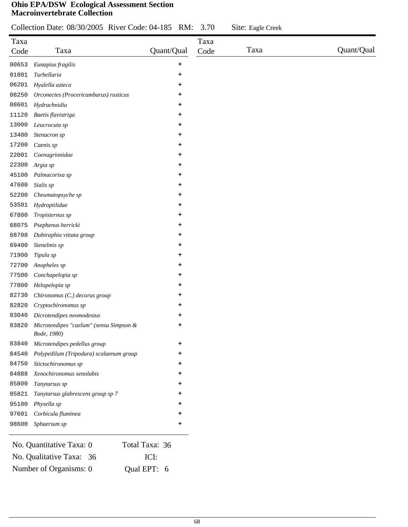Collection Date: 08/30/2005 River Code: 04-185 RM: 3.70 Site: Eagle Creek

| Taxa  |                                                        |            | Taxa |  |
|-------|--------------------------------------------------------|------------|------|--|
| Code  | Taxa                                                   | Quant/Qual | Code |  |
| 00653 | Eunapius fragilis                                      | ٠          |      |  |
| 01801 | Turbellaria                                            | ٠          |      |  |
| 06201 | Hyalella azteca                                        |            |      |  |
| 08250 | Orconectes (Procericambarus) rusticus                  | +          |      |  |
| 08601 | Hydrachnidia                                           | +          |      |  |
| 11120 | Baetis flavistriga                                     | +          |      |  |
| 13000 | Leucrocuta sp                                          | ٠          |      |  |
| 13400 | Stenacron sp                                           | $\ddot{}$  |      |  |
| 17200 | Caenis sp                                              | +          |      |  |
| 22001 | Coenagrionidae                                         | ٠          |      |  |
| 22300 | Argia sp                                               | +          |      |  |
| 45100 | Palmacorixa sp                                         | ٠          |      |  |
| 47600 | Sialis sp                                              |            |      |  |
| 52200 | Cheumatopsyche sp                                      | +          |      |  |
| 53501 | Hydroptilidae                                          | +          |      |  |
| 67800 | Tropisternus sp                                        | ٠          |      |  |
| 68075 | Psephenus herricki                                     |            |      |  |
| 68708 | Dubiraphia vittata group                               | ٠          |      |  |
| 69400 | Stenelmis sp                                           | ٠          |      |  |
| 71900 | Tipula sp                                              | ٠          |      |  |
| 72700 | Anopheles sp                                           |            |      |  |
| 77500 | Conchapelopia sp                                       | ٠          |      |  |
| 77800 | Helopelopia sp                                         | ٠          |      |  |
| 82730 | Chironomus (C.) decorus group                          |            |      |  |
| 82820 | Cryptochironomus sp                                    |            |      |  |
| 83040 | Dicrotendipes neomodestus                              |            |      |  |
| 83820 | Microtendipes "caelum" (sensu Simpson &<br>Bode, 1980) |            |      |  |
| 83840 | Microtendipes pedellus group                           | ٠          |      |  |
| 84540 | Polypedilum (Tripodura) scalaenum group                |            |      |  |
| 84750 | Stictochironomus sp                                    |            |      |  |
| 84888 | Xenochironomus xenolabis                               |            |      |  |
| 85800 | Tanytarsus sp                                          |            |      |  |
| 85821 | Tanytarsus glabrescens group sp 7                      |            |      |  |
| 95100 | Physella sp                                            |            |      |  |
| 97601 | Corbicula fluminea                                     |            |      |  |
| 98600 | Sphaerium sp                                           |            |      |  |

| No. Quantitative Taxa: 0 | Total Taxa: 36 |
|--------------------------|----------------|
| No. Qualitative Taxa: 36 | - ICI:         |
| Number of Organisms: 0   | Qual EPT: 6    |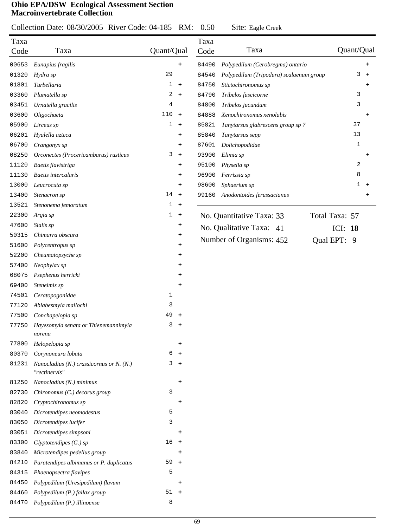*Polypedilum (P.) illinoense* 8

Collection Date: 08/30/2005 River Code: 04-185 RM: 0.50 Site: Eagle Creek

| Taxa  |                                                             |              |           | Taxa  |                                         |                |  |
|-------|-------------------------------------------------------------|--------------|-----------|-------|-----------------------------------------|----------------|--|
| Code  | Taxa                                                        | Quant/Qual   |           | Code  | Taxa                                    | Quant/Qual     |  |
| 00653 | Eunapius fragilis                                           |              | ٠         | 84490 | Polypedilum (Cerobregma) ontario        | +              |  |
| 01320 | Hydra sp                                                    | 29           |           | 84540 | Polypedilum (Tripodura) scalaenum group | 3<br>$\ddot{}$ |  |
| 01801 | Turbellaria                                                 | $\mathbf{1}$ | $\ddot{}$ | 84750 | Stictochironomus sp                     | ٠              |  |
| 03360 | Plumatella sp                                               | 2            | $\ddot{}$ | 84790 | Tribelos fuscicorne                     | 3              |  |
| 03451 | Urnatella gracilis                                          | 4            |           | 84800 | Tribelos jucundum                       | 3              |  |
| 03600 | Oligochaeta                                                 | 110          | $\ddot{}$ | 84888 | Xenochironomus xenolabis                | +              |  |
| 05900 | Lirceus sp                                                  | $\mathbf{1}$ | $\ddot{}$ | 85821 | Tanytarsus glabrescens group sp 7       | 37             |  |
| 06201 | Hyalella azteca                                             |              | ٠         | 85840 | Tanytarsus sepp                         | 13             |  |
| 06700 | Crangonyx sp                                                |              | +         | 87601 | Dolichopodidae                          | $\mathbf 1$    |  |
| 08250 | Orconectes (Procericambarus) rusticus                       | 3            | $\pm$     | 93900 | Elimia sp                               | ٠              |  |
| 11120 | Baetis flavistriga                                          |              | +         | 95100 | Physella sp                             | 2              |  |
| 11130 | <b>Baetis</b> intercalaris                                  |              | +         | 96900 | Ferrissia sp                            | 8              |  |
| 13000 | Leucrocuta sp                                               |              | ٠         | 98600 | Sphaerium sp                            | 1<br>$\ddot{}$ |  |
| 13400 | Stenacron sp                                                | $14 +$       |           | 99160 | Anodontoides ferussacianus              | +              |  |
| 13521 | Stenonema femoratum                                         | $\mathbf{1}$ | $\ddot{}$ |       |                                         |                |  |
| 22300 | Argia sp                                                    | $\mathbf{1}$ | $\pm$     |       | No. Quantitative Taxa: 33               | Total Taxa: 57 |  |
| 47600 | Sialis sp                                                   |              | +         |       | No. Qualitative Taxa: 41                | <b>ICI: 18</b> |  |
| 50315 | Chimarra obscura                                            |              | +         |       | Number of Organisms: 452                | Qual EPT: 9    |  |
| 51600 | Polycentropus sp                                            |              | +         |       |                                         |                |  |
| 52200 | Cheumatopsyche sp                                           |              | +         |       |                                         |                |  |
| 57400 | Neophylax sp                                                |              | +         |       |                                         |                |  |
| 68075 | Psephenus herricki                                          |              | +         |       |                                         |                |  |
| 69400 | Stenelmis sp                                                |              | ٠         |       |                                         |                |  |
| 74501 | Ceratopogonidae                                             | $\mathbf{1}$ |           |       |                                         |                |  |
| 77120 | Ablabesmyia mallochi                                        | 3            |           |       |                                         |                |  |
| 77500 | Conchapelopia sp                                            | 49           | $\ddot{}$ |       |                                         |                |  |
| 77750 | Hayesomyia senata or Thienemannimyia<br>norena              | 3            | $\ddot{}$ |       |                                         |                |  |
| 77800 | Helopelopia sp                                              |              | +         |       |                                         |                |  |
| 80370 | Corynoneura lobata                                          | 6            | $\ddot{}$ |       |                                         |                |  |
| 81231 | Nanocladius (N.) crassicornus or N. $(N.)$<br>"rectinervis" | 3            | $+$       |       |                                         |                |  |
| 81250 | Nanocladius (N.) minimus                                    |              | +         |       |                                         |                |  |
| 82730 | Chironomus (C.) decorus group                               | 3            |           |       |                                         |                |  |
| 82820 | Cryptochironomus sp                                         |              | ٠         |       |                                         |                |  |
| 83040 | Dicrotendipes neomodestus                                   | 5            |           |       |                                         |                |  |
| 83050 | Dicrotendipes lucifer                                       | 3            |           |       |                                         |                |  |
| 83051 | Dicrotendipes simpsoni                                      |              | +         |       |                                         |                |  |
| 83300 | Glyptotendipes (G.) sp                                      | 16           | $+$       |       |                                         |                |  |
| 83840 | Microtendipes pedellus group                                |              | +         |       |                                         |                |  |
| 84210 | Paratendipes albimanus or P. duplicatus                     | 59           | $\ddot{}$ |       |                                         |                |  |
| 84315 | Phaenopsectra flavipes                                      | 5            |           |       |                                         |                |  |
| 84450 | Polypedilum (Uresipedilum) flavum                           |              | +         |       |                                         |                |  |
| 84460 | Polypedilum (P.) fallax group                               | $51 +$       |           |       |                                         |                |  |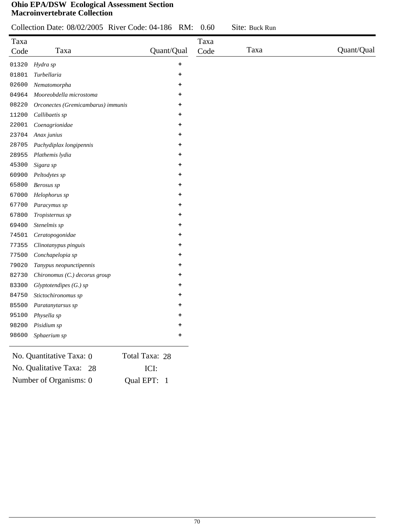Collection Date: 08/02/2005 River Code: 04-186 RM: 0.60 Site: Buck Run

| Taxa  |                                                                                           |                | Taxa |      |            |
|-------|-------------------------------------------------------------------------------------------|----------------|------|------|------------|
| Code  | Taxa                                                                                      | Quant/Qual     | Code | Taxa | Quant/Qual |
| 01320 | Hydra sp                                                                                  | ٠              |      |      |            |
| 01801 | Turbellaria                                                                               | +              |      |      |            |
| 02600 | Nematomorpha                                                                              |                |      |      |            |
| 04964 | Mooreobdella microstoma                                                                   |                |      |      |            |
| 08220 | Orconectes (Gremicambarus) immunis                                                        |                |      |      |            |
| 11200 | Callibaetis sp                                                                            |                |      |      |            |
| 22001 | Coenagrionidae                                                                            |                |      |      |            |
| 23704 | Anax junius                                                                               |                |      |      |            |
| 28705 | Pachydiplax longipennis                                                                   | +              |      |      |            |
| 28955 | Plathemis lydia                                                                           | ٠              |      |      |            |
| 45300 | Sigara sp                                                                                 | +              |      |      |            |
| 60900 | Peltodytes sp                                                                             | +              |      |      |            |
| 65800 | Berosus sp                                                                                | ٠              |      |      |            |
| 67000 | Helophorus sp                                                                             |                |      |      |            |
| 67700 | Paracymus sp                                                                              |                |      |      |            |
| 67800 | Tropisternus sp                                                                           |                |      |      |            |
| 69400 | Stenelmis sp                                                                              |                |      |      |            |
| 74501 | Ceratopogonidae                                                                           |                |      |      |            |
| 77355 | Clinotanypus pinguis                                                                      |                |      |      |            |
| 77500 | Conchapelopia sp                                                                          |                |      |      |            |
| 79020 | Tanypus neopunctipennis                                                                   |                |      |      |            |
| 82730 | Chironomus (C.) decorus group                                                             | ٠              |      |      |            |
| 83300 | Glyptotendipes (G.) sp                                                                    |                |      |      |            |
| 84750 | Stictochironomus sp                                                                       |                |      |      |            |
| 85500 | Paratanytarsus sp                                                                         |                |      |      |            |
| 95100 | Physella sp                                                                               | ٠              |      |      |            |
| 98200 | Pisidium sp                                                                               | ٠              |      |      |            |
| 98600 | Sphaerium sp                                                                              | ٠              |      |      |            |
|       |                                                                                           |                |      |      |            |
|       | No. Quantitative Taxa: 0<br>$\mathbf{r} = \mathbf{r}$ $\mathbf{r} = \mathbf{r}$<br>$\sim$ | Total Taxa: 28 |      |      |            |

| No. Quantitative Taxa: () | Total Taxa: 28 |
|---------------------------|----------------|
| No. Qualitative Taxa: 28  | ICI:           |
| Number of Organisms: 0    | Qual EPT: 1    |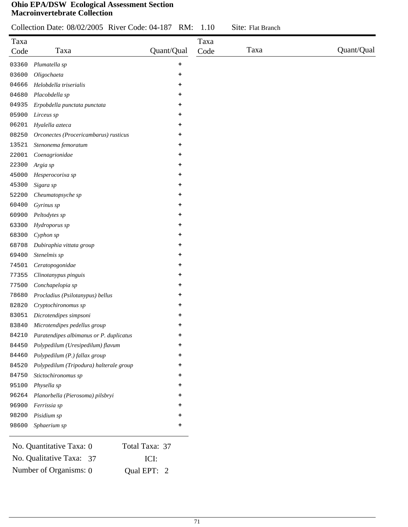Collection Date: 08/02/2005 River Code: 04-187 RM: 1.10 Site: Flat Branch

| Taxa  |                                         |            | Taxa |      |            |
|-------|-----------------------------------------|------------|------|------|------------|
| Code  | Taxa                                    | Quant/Qual | Code | Taxa | Quant/Qual |
| 03360 | Plumatella sp                           | ٠          |      |      |            |
| 03600 | Oligochaeta                             |            |      |      |            |
| 04666 | Helobdella triserialis                  |            |      |      |            |
| 04680 | Placobdella sp                          | +          |      |      |            |
| 04935 | Erpobdella punctata punctata            | ٠          |      |      |            |
| 05900 | Lirceus sp                              | +          |      |      |            |
| 06201 | Hyalella azteca                         | ٠          |      |      |            |
| 08250 | Orconectes (Procericambarus) rusticus   | ٠          |      |      |            |
| 13521 | Stenonema femoratum                     | ٠          |      |      |            |
| 22001 | Coenagrionidae                          | +          |      |      |            |
| 22300 | Argia sp                                | ٠          |      |      |            |
| 45000 | Hesperocorixa sp                        | +          |      |      |            |
| 45300 | Sigara sp                               | ٠          |      |      |            |
| 52200 | Cheumatopsyche sp                       |            |      |      |            |
| 60400 | Gyrinus sp                              | +          |      |      |            |
| 60900 | Peltodytes sp                           | +          |      |      |            |
| 63300 | Hydroporus sp                           | ٠          |      |      |            |
| 68300 | Cyphon sp                               |            |      |      |            |
| 68708 | Dubiraphia vittata group                | ٠          |      |      |            |
| 69400 | Stenelmis sp                            | ٠          |      |      |            |
| 74501 | Ceratopogonidae                         | ٠          |      |      |            |
| 77355 | Clinotanypus pinguis                    | +          |      |      |            |
| 77500 | Conchapelopia sp                        | ٠          |      |      |            |
| 78680 | Procladius (Psilotanypus) bellus        | ٠          |      |      |            |
| 82820 | Cryptochironomus sp                     |            |      |      |            |
| 83051 | Dicrotendipes simpsoni                  |            |      |      |            |
| 83840 | Microtendipes pedellus group            |            |      |      |            |
| 84210 | Paratendipes albimanus or P. duplicatus |            |      |      |            |
| 84450 | Polypedilum (Uresipedilum) flavum       |            |      |      |            |
| 84460 | Polypedilum (P.) fallax group           | ٠          |      |      |            |
| 84520 | Polypedilum (Tripodura) halterale group | +          |      |      |            |
| 84750 | Stictochironomus sp                     |            |      |      |            |
| 95100 | Physella sp                             |            |      |      |            |
| 96264 | Planorbella (Pierosoma) pilsbryi        | +          |      |      |            |
| 96900 | Ferrissia sp                            |            |      |      |            |
| 98200 | Pisidium sp                             |            |      |      |            |
| 98600 | Sphaerium sp                            | +          |      |      |            |

| No. Quantitative Taxa: 0 | Total Taxa: 37 |
|--------------------------|----------------|
| No. Qualitative Taxa: 37 | ICI:           |
| Number of Organisms: 0   | Qual EPT: 2    |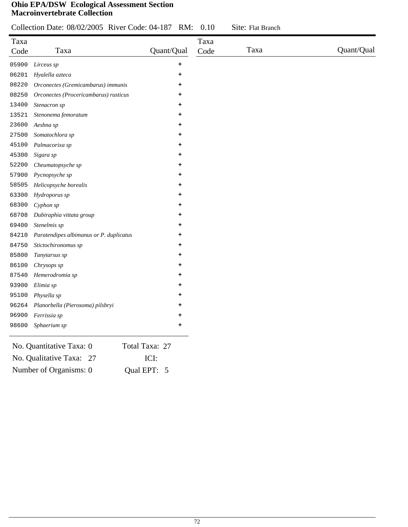Collection Date: 08/02/2005 River Code: 04-187 RM: 0.10 Site: Flat Branch

| Taxa<br>Code | Taxa                                    | Quant/Qual     | Taxa<br>Code | Taxa | Quant/Qual |
|--------------|-----------------------------------------|----------------|--------------|------|------------|
| 05900        | Lirceus sp                              | ÷              |              |      |            |
| 06201        | Hyalella azteca                         | ÷              |              |      |            |
| 08220        | Orconectes (Gremicambarus) immunis      |                |              |      |            |
| 08250        | Orconectes (Procericambarus) rusticus   |                |              |      |            |
| 13400        | Stenacron sp                            | ٠              |              |      |            |
| 13521        | Stenonema femoratum                     | +              |              |      |            |
| 23600        | Aeshna sp                               | ٠              |              |      |            |
| 27500        | Somatochlora sp                         | ÷              |              |      |            |
| 45100        | Palmacorixa sp                          |                |              |      |            |
| 45300        | Sigara sp                               |                |              |      |            |
| 52200        | Cheumatopsyche sp                       | $\ddot{}$      |              |      |            |
|              | Pycnopsyche sp                          |                |              |      |            |
| 57900        |                                         |                |              |      |            |
| 58505        | Helicopsyche borealis                   | ٠              |              |      |            |
| 63300        | Hydroporus sp                           | ÷              |              |      |            |
| 68300        | Cyphon sp                               |                |              |      |            |
| 68708        | Dubiraphia vittata group                |                |              |      |            |
| 69400        | Stenelmis sp                            |                |              |      |            |
| 84210        | Paratendipes albimanus or P. duplicatus | ÷              |              |      |            |
| 84750        | Stictochironomus sp                     | ٠              |              |      |            |
| 85800        | Tanytarsus sp                           |                |              |      |            |
| 86100        | Chrysops sp                             |                |              |      |            |
| 87540        | Hemerodromia sp                         |                |              |      |            |
| 93900        | Elimia sp                               | ٠              |              |      |            |
| 95100        | Physella sp                             |                |              |      |            |
| 96264        | Planorbella (Pierosoma) pilsbryi        | ٠              |              |      |            |
| 96900        | Ferrissia sp                            | +              |              |      |            |
| 98600        | Sphaerium sp                            |                |              |      |            |
|              | No. Quantitative Taxa: 0                | Total Taxa: 27 |              |      |            |

| IVO. Oualititative Taxa. (j | TUTAI TAAA. $\angle I$ |  |
|-----------------------------|------------------------|--|
| No. Qualitative Taxa: 27    | ICI:                   |  |
| Number of Organisms: 0      | Qual EPT: 5            |  |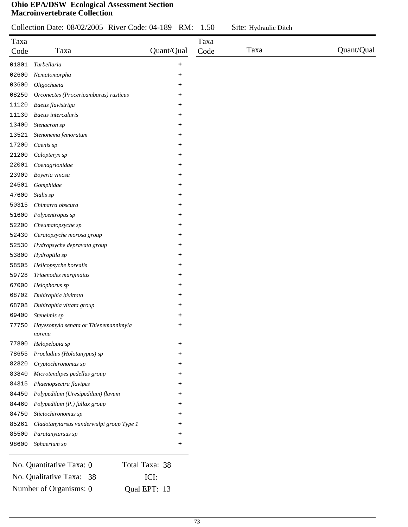Collection Date: 08/02/2005 River Code: 04-189 RM: 1.50 Site: Hydraulic Ditch

| Taxa           |                                                     |                | Taxa |      |            |
|----------------|-----------------------------------------------------|----------------|------|------|------------|
| Code           | Taxa                                                | Quant/Qual     | Code | Taxa | Quant/Qual |
| 01801          | Turbellaria                                         | ٠              |      |      |            |
| 02600          | Nematomorpha                                        |                |      |      |            |
| 03600          | Oligochaeta                                         |                |      |      |            |
| 08250          | Orconectes (Procericambarus) rusticus               | ٠              |      |      |            |
| 11120          | Baetis flavistriga                                  | ٠              |      |      |            |
| 11130          | <b>Baetis</b> intercalaris                          | ٠              |      |      |            |
| 13400          | Stenacron sp                                        | ٠              |      |      |            |
| 13521          | Stenonema femoratum                                 | ٠              |      |      |            |
| 17200          | Caenis sp                                           | ٠              |      |      |            |
| 21200          | Calopteryx sp                                       |                |      |      |            |
| 22001          | Coenagrionidae                                      |                |      |      |            |
| 23909          | Boyeria vinosa                                      |                |      |      |            |
| 24501          | Gomphidae                                           | ٠              |      |      |            |
| 47600          | Sialis sp                                           |                |      |      |            |
| 50315          | Chimarra obscura                                    |                |      |      |            |
| 51600          | Polycentropus sp                                    |                |      |      |            |
| 52200          | Cheumatopsyche sp                                   | ٠              |      |      |            |
| 52430          | Ceratopsyche morosa group                           |                |      |      |            |
| 52530          | Hydropsyche depravata group                         | ٠              |      |      |            |
| 53800          | Hydroptila sp                                       | ٠              |      |      |            |
| 58505          | Helicopsyche borealis                               | ٠              |      |      |            |
| 59728          | Triaenodes marginatus                               |                |      |      |            |
| 67000          | Helophorus sp                                       |                |      |      |            |
| 68702          | Dubiraphia bivittata                                |                |      |      |            |
| 68708          | Dubiraphia vittata group                            |                |      |      |            |
| 69400          | Stenelmis sp                                        |                |      |      |            |
| 77750          | Hayesomyia senata or Thienemannimyia                |                |      |      |            |
|                | norena                                              |                |      |      |            |
| 77800          | Helopelopia sp                                      | ٠              |      |      |            |
| 78655          | Procladius (Holotanypus) sp                         | ٠              |      |      |            |
| 82820          | Cryptochironomus sp<br>Microtendipes pedellus group | ٠              |      |      |            |
| 83840<br>84315 | Phaenopsectra flavipes                              | ٠              |      |      |            |
| 84450          | Polypedilum (Uresipedilum) flavum                   |                |      |      |            |
| 84460          | Polypedilum (P.) fallax group                       | ٠              |      |      |            |
| 84750          | Stictochironomus sp                                 |                |      |      |            |
| 85261          | Cladotanytarsus vanderwulpi group Type 1            |                |      |      |            |
| 85500          | Paratanytarsus sp                                   |                |      |      |            |
| 98600          | Sphaerium sp                                        | ٠              |      |      |            |
|                |                                                     |                |      |      |            |
|                | No. Quantitative Taxa: 0                            | Total Taxa: 38 |      |      |            |
|                | No. Qualitative Taxa: 38                            | ICI:           |      |      |            |
|                | Number of Organisms: 0                              | Qual EPT: 13   |      |      |            |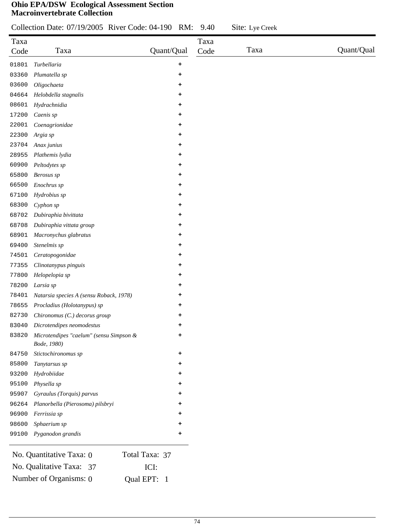Collection Date: 07/19/2005 River Code: 04-190 RM: 9.40 Site: Lye Creek

| Taxa  |                                                        |            | Taxa |      |            |
|-------|--------------------------------------------------------|------------|------|------|------------|
| Code  | Taxa                                                   | Quant/Qual | Code | Taxa | Quant/Qual |
| 01801 | Turbellaria                                            | +          |      |      |            |
| 03360 | Plumatella sp                                          | ٠          |      |      |            |
| 03600 | Oligochaeta                                            | ٠          |      |      |            |
| 04664 | Helobdella stagnalis                                   | ٠          |      |      |            |
| 08601 | Hydrachnidia                                           | ٠          |      |      |            |
| 17200 | Caenis sp                                              | ٠          |      |      |            |
| 22001 | Coenagrionidae                                         | ٠          |      |      |            |
| 22300 | Argia sp                                               | ٠          |      |      |            |
| 23704 | Anax junius                                            | ٠          |      |      |            |
| 28955 | Plathemis lydia                                        | ٠          |      |      |            |
| 60900 | Peltodytes sp                                          | ٠          |      |      |            |
| 65800 | Berosus sp                                             | +          |      |      |            |
| 66500 | Enochrus sp                                            | +          |      |      |            |
| 67100 |                                                        |            |      |      |            |
| 68300 | Hydrobius sp<br>Cyphon sp                              | +<br>٠     |      |      |            |
|       |                                                        |            |      |      |            |
| 68702 | Dubiraphia bivittata                                   | +          |      |      |            |
| 68708 | Dubiraphia vittata group                               | +          |      |      |            |
| 68901 | Macronychus glabratus                                  | ٠          |      |      |            |
| 69400 | Stenelmis sp                                           | ٠          |      |      |            |
| 74501 | Ceratopogonidae                                        | ٠          |      |      |            |
| 77355 | Clinotanypus pinguis                                   | +          |      |      |            |
| 77800 | Helopelopia sp                                         | +          |      |      |            |
| 78200 | Larsia sp                                              | ٠          |      |      |            |
| 78401 | Natarsia species A (sensu Roback, 1978)                | ٠          |      |      |            |
| 78655 | Procladius (Holotanypus) sp                            | ٠          |      |      |            |
| 82730 | Chironomus (C.) decorus group                          |            |      |      |            |
| 83040 | Dicrotendipes neomodestus                              | ÷          |      |      |            |
| 83820 | Microtendipes "caelum" (sensu Simpson &<br>Bode, 1980) | ٠          |      |      |            |
| 84750 | Stictochironomus sp                                    | +          |      |      |            |
| 85800 | Tanytarsus sp                                          | +          |      |      |            |
| 93200 | Hydrobiidae                                            | ٠          |      |      |            |
| 95100 | Physella sp                                            |            |      |      |            |
| 95907 | Gyraulus (Torquis) parvus                              |            |      |      |            |
| 96264 | Planorbella (Pierosoma) pilsbryi                       | +          |      |      |            |
| 96900 | Ferrissia sp                                           | ٠          |      |      |            |
| 98600 | Sphaerium sp                                           | ٠          |      |      |            |
| 99100 | Pyganodon grandis                                      | ٠          |      |      |            |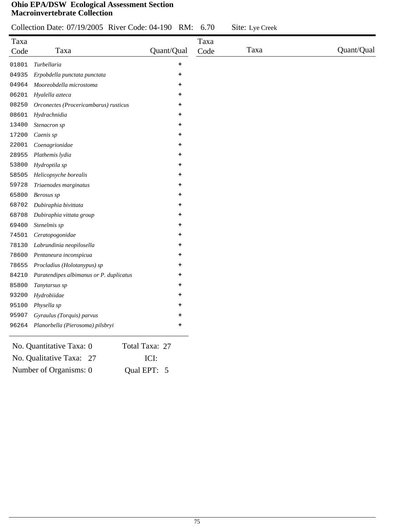Collection Date: 07/19/2005 River Code: 04-190 RM: 6.70 Site: Lye Creek

| Taxa  |                                                 |            | Taxa |      |            |
|-------|-------------------------------------------------|------------|------|------|------------|
| Code  | Taxa                                            | Quant/Qual | Code | Taxa | Quant/Qual |
| 01801 | Turbellaria                                     | +          |      |      |            |
| 04935 | Erpobdella punctata punctata                    | +          |      |      |            |
| 04964 | Mooreobdella microstoma                         |            |      |      |            |
| 06201 | Hyalella azteca                                 |            |      |      |            |
| 08250 | Orconectes (Procericambarus) rusticus           |            |      |      |            |
| 08601 | Hydrachnidia                                    |            |      |      |            |
| 13400 | Stenacron sp                                    | ٠          |      |      |            |
| 17200 | Caenis sp                                       |            |      |      |            |
| 22001 | Coenagrionidae                                  |            |      |      |            |
| 28955 | Plathemis lydia                                 | ٠          |      |      |            |
| 53800 | Hydroptila sp                                   |            |      |      |            |
| 58505 | Helicopsyche borealis                           | ٠          |      |      |            |
| 59728 | Triaenodes marginatus                           |            |      |      |            |
| 65800 | Berosus sp                                      |            |      |      |            |
| 68702 | Dubiraphia bivittata                            |            |      |      |            |
| 68708 | Dubiraphia vittata group                        | 4          |      |      |            |
| 69400 | Stenelmis sp                                    |            |      |      |            |
| 74501 | Ceratopogonidae                                 |            |      |      |            |
| 78130 | Labrundinia neopilosella                        |            |      |      |            |
| 78600 | Pentaneura inconspicua                          |            |      |      |            |
| 78655 | Procladius (Holotanypus) sp                     |            |      |      |            |
| 84210 | Paratendipes albimanus or P. duplicatus         |            |      |      |            |
| 85800 | Tanytarsus sp                                   |            |      |      |            |
| 93200 | Hydrobiidae                                     |            |      |      |            |
| 95100 | Physella sp                                     |            |      |      |            |
| 95907 | Gyraulus (Torquis) parvus                       |            |      |      |            |
| 96264 | Planorbella (Pierosoma) pilsbryi                |            |      |      |            |
|       | $\sim$ . $\sim$ . $\sim$<br>$\mathbf{r}$<br>1.5 |            |      |      |            |

| No. Quantitative Taxa: 0 | Total Taxa: 27 |
|--------------------------|----------------|
| No. Qualitative Taxa: 27 | ICI:           |
| Number of Organisms: 0   | Qual EPT: 5    |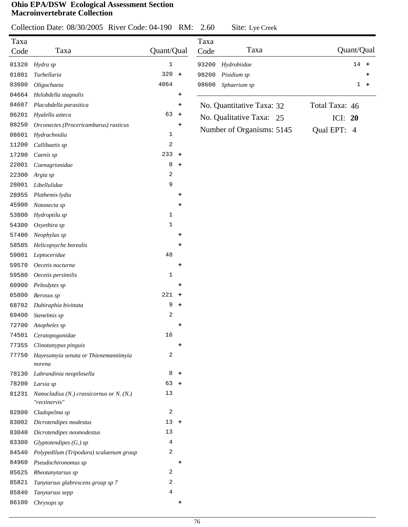| Taxa<br>Code | Taxa                                                        | Quant/Qual                  | Taxa<br>Code | Taxa                      | Quant/Qual     |  |
|--------------|-------------------------------------------------------------|-----------------------------|--------------|---------------------------|----------------|--|
|              |                                                             |                             |              |                           |                |  |
| 01320        | Hydra sp                                                    | $\mathbf 1$                 | 93200        | Hydrobiidae               | $14 +$         |  |
| 01801        | Turbellaria                                                 | 320<br>$+$                  | 98200        | Pisidium sp               |                |  |
| 03600        | Oligochaeta                                                 | 4064                        | 98600        | Sphaerium sp              | $1 +$          |  |
| 04664        | Helobdella stagnalis                                        | ٠                           |              |                           |                |  |
| 04687        | Placobdella parasitica                                      | $\ddot{}$                   |              | No. Quantitative Taxa: 32 | Total Taxa: 46 |  |
| 06201        | Hyalella azteca                                             | 63<br>$\ddag$               |              | No. Qualitative Taxa: 25  | ICI: 20        |  |
| 08250        | Orconectes (Procericambarus) rusticus                       | ٠                           |              | Number of Organisms: 5145 | Qual EPT: 4    |  |
| 08601        | Hydrachnidia                                                | 1                           |              |                           |                |  |
| 11200        | Callibaetis sp                                              | 2                           |              |                           |                |  |
| 17200        | Caenis sp                                                   | 233<br>$+$                  |              |                           |                |  |
| 22001        | Coenagrionidae                                              | 8<br>$\ddot{}$              |              |                           |                |  |
| 22300        | Argia sp                                                    | 2                           |              |                           |                |  |
| 28001        | Libellulidae                                                | 9                           |              |                           |                |  |
| 28955        | Plathemis lydia                                             | $\ddot{}$                   |              |                           |                |  |
| 45900        | Notonecta sp                                                | +                           |              |                           |                |  |
| 53800        | Hydroptila sp                                               | 1                           |              |                           |                |  |
| 54300        | Oxyethira sp                                                | $\mathbf{1}$                |              |                           |                |  |
| 57400        | Neophylax sp                                                | ٠                           |              |                           |                |  |
| 58505        | Helicopsyche borealis                                       | ٠                           |              |                           |                |  |
| 59001        | Leptoceridae                                                | 48                          |              |                           |                |  |
| 59570        | Oecetis nocturna                                            | ٠                           |              |                           |                |  |
| 59580        | Oecetis persimilis                                          | 1                           |              |                           |                |  |
| 60900        | Peltodytes sp                                               | ٠                           |              |                           |                |  |
| 65800        | Berosus sp                                                  | 221<br>$\ddot{\phantom{1}}$ |              |                           |                |  |
| 68702        | Dubiraphia bivittata                                        | 9<br>$\ddot{}$              |              |                           |                |  |
| 69400        | Stenelmis sp                                                | 2                           |              |                           |                |  |
| 72700        | Anopheles sp                                                | ٠                           |              |                           |                |  |
| 74501        | Ceratopogonidae                                             | 16                          |              |                           |                |  |
| 77355        | Clinotanypus pinguis                                        | ٠                           |              |                           |                |  |
| 77750        | Hayesomyia senata or Thienemannimyia<br>norena              | 2                           |              |                           |                |  |
| 78130        | Labrundinia neopilosella                                    | 8<br>$\ddot{}$              |              |                           |                |  |
| 78200        | Larsia sp                                                   | $63 +$                      |              |                           |                |  |
| 81231        | Nanocladius (N.) crassicornus or $N. (N.)$<br>"rectinervis" | 13                          |              |                           |                |  |
| 82800        | Cladopelma sp                                               | 2                           |              |                           |                |  |
| 83002        | Dicrotendipes modestus                                      | $13 +$                      |              |                           |                |  |
| 83040        | Dicrotendipes neomodestus                                   | 13                          |              |                           |                |  |
| 83300        | Glyptotendipes (G.) sp                                      | 4                           |              |                           |                |  |
| 84540        | Polypedilum (Tripodura) scalaenum group                     | 2                           |              |                           |                |  |
| 84960        | Pseudochironomus sp                                         | $\ddot{}$                   |              |                           |                |  |
| 85625        | Rheotanytarsus sp                                           | 2                           |              |                           |                |  |
| 85821        | Tanytarsus glabrescens group sp 7                           | 2                           |              |                           |                |  |
| 85840        | Tanytarsus sepp                                             | 4                           |              |                           |                |  |
| 86100        | Chrysops sp                                                 | $\ddot{}$                   |              |                           |                |  |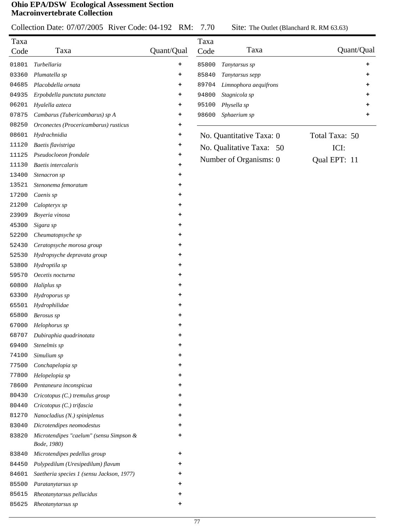Collection Date: 07/07/2005 River Code: 04-192 RM: 7.70 Site: The Outlet (Blanchard R. RM 63.63)

| Taxa  |                                                        |            | Taxa  |                          |                |
|-------|--------------------------------------------------------|------------|-------|--------------------------|----------------|
| Code  | Taxa                                                   | Quant/Qual | Code  | Taxa                     | Quant/Qual     |
| 01801 | Turbellaria                                            | +          | 85800 | Tanytarsus sp            | +              |
| 03360 | Plumatella sp                                          | +          | 85840 | Tanytarsus sepp          | +              |
| 04685 | Placobdella ornata                                     | +          | 89704 | Limnophora aequifrons    | +              |
| 04935 | Erpobdella punctata punctata                           | ٠          | 94800 | Stagnicola sp            | +              |
| 06201 | Hyalella azteca                                        | ٠          | 95100 | Physella sp              | +              |
| 07875 | Cambarus (Tubericambarus) sp A                         | +          | 98600 | Sphaerium sp             | +              |
| 08250 | Orconectes (Procericambarus) rusticus                  | +          |       |                          |                |
| 08601 | Hydrachnidia                                           | +          |       | No. Quantitative Taxa: 0 | Total Taxa: 50 |
| 11120 | Baetis flavistriga                                     | +          |       | No. Qualitative Taxa: 50 | ICI:           |
| 11125 | Pseudocloeon frondale                                  | ٠          |       |                          |                |
| 11130 | Baetis intercalaris                                    | ٠          |       | Number of Organisms: 0   | Qual EPT: 11   |
| 13400 | Stenacron sp                                           | ٠          |       |                          |                |
| 13521 | Stenonema femoratum                                    | ٠          |       |                          |                |
| 17200 | Caenis sp                                              | +          |       |                          |                |
| 21200 | Calopteryx sp                                          | ٠          |       |                          |                |
| 23909 | Boyeria vinosa                                         | +          |       |                          |                |
| 45300 | Sigara sp                                              | ٠          |       |                          |                |
| 52200 | Cheumatopsyche sp                                      | ٠          |       |                          |                |
| 52430 | Ceratopsyche morosa group                              | ٠          |       |                          |                |
| 52530 | Hydropsyche depravata group                            | ٠          |       |                          |                |
| 53800 | Hydroptila sp                                          | ٠          |       |                          |                |
| 59570 | Oecetis nocturna                                       | ٠          |       |                          |                |
| 60800 | Haliplus sp                                            | ٠          |       |                          |                |
| 63300 | Hydroporus sp                                          | ٠          |       |                          |                |
| 65501 | Hydrophilidae                                          | +          |       |                          |                |
| 65800 | Berosus sp                                             | ٠          |       |                          |                |
| 67000 | Helophorus sp                                          | ٠          |       |                          |                |
| 68707 | Dubiraphia quadrinotata                                | ٠          |       |                          |                |
| 69400 | Stenelmis sp                                           | +          |       |                          |                |
| 74100 | Simulium sp                                            | ٠          |       |                          |                |
| 77500 | Conchapelopia sp                                       | ٠          |       |                          |                |
| 77800 | Helopelopia sp                                         | ٠          |       |                          |                |
| 78600 | Pentaneura inconspicua                                 | ٠          |       |                          |                |
| 80430 | Cricotopus (C.) tremulus group                         | ٠          |       |                          |                |
| 80440 | Cricotopus (C.) trifascia                              | ٠          |       |                          |                |
| 81270 | Nanocladius (N.) spiniplenus                           | ٠          |       |                          |                |
| 83040 | Dicrotendipes neomodestus                              | ٠          |       |                          |                |
| 83820 | Microtendipes "caelum" (sensu Simpson &<br>Bode, 1980) | ٠          |       |                          |                |
| 83840 | Microtendipes pedellus group                           | +          |       |                          |                |
| 84450 | Polypedilum (Uresipedilum) flavum                      | ٠          |       |                          |                |
| 84601 | Saetheria species 1 (sensu Jackson, 1977)              | ٠          |       |                          |                |
| 85500 | Paratanytarsus sp                                      | ٠          |       |                          |                |
| 85615 | Rheotanytarsus pellucidus                              | ٠          |       |                          |                |
| 85625 | Rheotanytarsus sp                                      | ٠          |       |                          |                |
|       |                                                        |            |       |                          |                |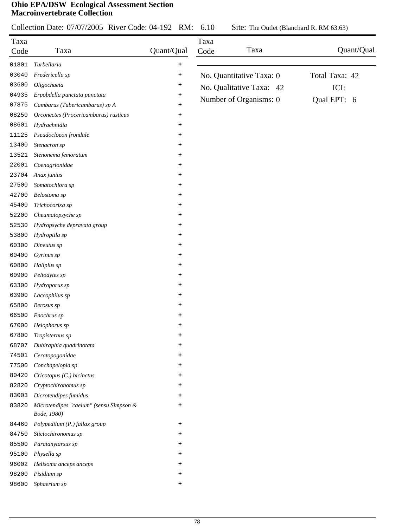Collection Date: 07/07/2005 River Code: 04-192 RM: 6.10 Site: The Outlet (Blanchard R. RM 63.63)

| Taxa  |                                                        |            | Taxa |                          |                |
|-------|--------------------------------------------------------|------------|------|--------------------------|----------------|
| Code  | Taxa                                                   | Quant/Qual | Code | Taxa                     | Quant/Qual     |
| 01801 | Turbellaria                                            |            |      |                          |                |
| 03040 | Fredericella sp                                        | ۰          |      | No. Quantitative Taxa: 0 | Total Taxa: 42 |
| 03600 | Oligochaeta                                            | +          |      |                          |                |
| 04935 | Erpobdella punctata punctata                           | ٠          |      | No. Qualitative Taxa: 42 | ICI:           |
| 07875 | Cambarus (Tubericambarus) sp A                         | +          |      | Number of Organisms: 0   | Qual EPT: 6    |
| 08250 | Orconectes (Procericambarus) rusticus                  | ٠          |      |                          |                |
| 08601 | Hydrachnidia                                           | +          |      |                          |                |
| 11125 | Pseudocloeon frondale                                  | ٠          |      |                          |                |
| 13400 | Stenacron sp                                           | +          |      |                          |                |
| 13521 | Stenonema femoratum                                    | ٠          |      |                          |                |
| 22001 | Coenagrionidae                                         | ٠          |      |                          |                |
| 23704 | Anax junius                                            | ٠          |      |                          |                |
| 27500 | Somatochlora sp                                        | +          |      |                          |                |
| 42700 | Belostoma sp                                           | ٠          |      |                          |                |
| 45400 | Trichocorixa sp                                        | ٠          |      |                          |                |
| 52200 | Cheumatopsyche sp                                      | ٠          |      |                          |                |
| 52530 | Hydropsyche depravata group                            | ٠          |      |                          |                |
| 53800 | Hydroptila sp                                          | ٠          |      |                          |                |
| 60300 | Dineutus sp                                            | ٠          |      |                          |                |
| 60400 | Gyrinus sp                                             | ٠          |      |                          |                |
| 60800 | Haliplus sp                                            | ٠          |      |                          |                |
| 60900 | Peltodytes sp                                          | ٠          |      |                          |                |
| 63300 | Hydroporus sp                                          |            |      |                          |                |
| 63900 | Laccophilus sp                                         |            |      |                          |                |
| 65800 | Berosus sp                                             |            |      |                          |                |
| 66500 | Enochrus sp                                            |            |      |                          |                |
| 67000 | Helophorus sp                                          |            |      |                          |                |
| 67800 | Tropisternus sp                                        | ٠          |      |                          |                |
| 68707 | Dubiraphia quadrinotata                                | ٠          |      |                          |                |
| 74501 | Ceratopogonidae                                        | +          |      |                          |                |
| 77500 | Conchapelopia sp                                       | ٠          |      |                          |                |
| 80420 | Cricotopus (C.) bicinctus                              | ٠          |      |                          |                |
| 82820 | Cryptochironomus sp                                    | ٠          |      |                          |                |
| 83003 | Dicrotendipes fumidus                                  | ٠          |      |                          |                |
| 83820 | Microtendipes "caelum" (sensu Simpson &<br>Bode, 1980) | ٠          |      |                          |                |
| 84460 | Polypedilum (P.) fallax group                          | ٠          |      |                          |                |
| 84750 | Stictochironomus sp                                    |            |      |                          |                |
| 85500 | Paratanytarsus sp                                      |            |      |                          |                |
| 95100 | Physella sp                                            |            |      |                          |                |
| 96002 | Helisoma anceps anceps                                 |            |      |                          |                |
| 98200 | Pisidium sp                                            |            |      |                          |                |
| 98600 | Sphaerium sp                                           | +          |      |                          |                |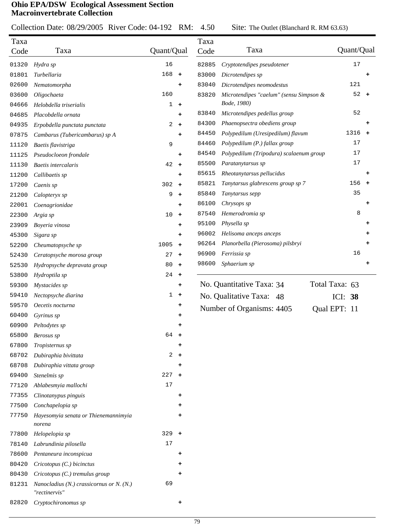Collection Date: 08/29/2005 River Code: 04-192 RM: 4.50 Site: The Outlet (Blanchard R. RM 63.63)

|  |  |  | Site: The Outlet (Blanchard R. RM 63.63) |  |  |  |  |
|--|--|--|------------------------------------------|--|--|--|--|
|--|--|--|------------------------------------------|--|--|--|--|

| Taxa  |                                                             |              |                      | Taxa  |                                         |                |           |
|-------|-------------------------------------------------------------|--------------|----------------------|-------|-----------------------------------------|----------------|-----------|
| Code  | Taxa                                                        | Quant/Qual   |                      | Code  | Taxa                                    | Quant/Qual     |           |
| 01320 | Hydra sp                                                    | 16           |                      | 82885 | Cryptotendipes pseudotener              | 17             |           |
| 01801 | Turbellaria                                                 | 168          | $\ddot{}$            | 83000 | Dicrotendipes sp                        |                | +         |
| 02600 | Nematomorpha                                                |              | ٠                    | 83040 | Dicrotendipes neomodestus               | 121            |           |
| 03600 | Oligochaeta                                                 | 160          |                      | 83820 | Microtendipes "caelum" (sensu Simpson & | 52             | $+$       |
| 04666 | Helobdella triserialis                                      | $\mathbf{1}$ | $\ddot{}$            |       | Bode, 1980)                             |                |           |
| 04685 | Placobdella ornata                                          |              | $\ddot{}$            | 83840 | Microtendipes pedellus group            | 52             |           |
| 04935 | Erpobdella punctata punctata                                | $2 +$        |                      | 84300 | Phaenopsectra obediens group            |                | ٠         |
| 07875 | Cambarus (Tubericambarus) sp A                              |              | $\ddot{}$            | 84450 | Polypedilum (Uresipedilum) flavum       | 1316           | $+$       |
| 11120 | Baetis flavistriga                                          | 9            |                      | 84460 | Polypedilum (P.) fallax group           | 17             |           |
| 11125 | Pseudocloeon frondale                                       |              | $\ddot{}$            | 84540 | Polypedilum (Tripodura) scalaenum group | 17             |           |
| 11130 | Baetis intercalaris                                         | 42           | $\ddot{}$            | 85500 | Paratanytarsus sp                       | 17             |           |
| 11200 | Callibaetis sp                                              |              | $\ddot{}$            | 85615 | Rheotanytarsus pellucidus               |                | +         |
| 17200 | Caenis sp                                                   | 302          | $\ddot{}$            | 85821 | Tanytarsus glabrescens group sp 7       | 156            | $\ddot{}$ |
| 21200 | Calopteryx sp                                               | 9            | $\ddot{}$            | 85840 | Tanytarsus sepp                         | 35             |           |
| 22001 | Coenagrionidae                                              |              | $\ddot{}$            | 86100 | Chrysops sp                             |                | +         |
| 22300 | Argia sp                                                    | 10           | $\ddot{}$            | 87540 | Hemerodromia sp                         | 8              |           |
| 23909 | Boyeria vinosa                                              |              | $\ddot{}$            | 95100 | Physella sp                             |                | +         |
| 45300 | Sigara sp                                                   |              | $\ddot{}$            | 96002 | Helisoma anceps anceps                  |                |           |
| 52200 | Cheumatopsyche sp                                           | 1005         | $\ddot{}$            | 96264 | Planorbella (Pierosoma) pilsbryi        |                | $\ddot{}$ |
| 52430 | Ceratopsyche morosa group                                   | 27           | $\ddot{}$            | 96900 | Ferrissia sp                            | 16             |           |
| 52530 | Hydropsyche depravata group                                 | 80           | $\ddot{}$            | 98600 | Sphaerium sp                            |                | ٠         |
| 53800 | Hydroptila sp                                               | 24           | $\ddot{}$            |       |                                         |                |           |
| 59300 | Mystacides sp                                               |              | ٠                    |       | No. Quantitative Taxa: 34               | Total Taxa: 63 |           |
| 59410 | Nectopsyche diarina                                         | $\mathbf{1}$ | $\ddot{\phantom{1}}$ |       | No. Qualitative Taxa: 48                | ICI: 38        |           |
| 59570 | Oecetis nocturna                                            |              | ٠                    |       | Number of Organisms: 4405               | Qual EPT: 11   |           |
| 60400 | Gyrinus sp                                                  |              | ٠                    |       |                                         |                |           |
| 60900 | Peltodytes sp                                               |              | ٠                    |       |                                         |                |           |
| 65800 | Berosus sp                                                  | 64           | $+$                  |       |                                         |                |           |
| 67800 | Tropisternus sp                                             |              |                      |       |                                         |                |           |
| 68702 | Dubiraphia bivittata                                        | 2            | $\ddot{}$            |       |                                         |                |           |
| 68708 | Dubiraphia vittata group                                    |              | ٠                    |       |                                         |                |           |
| 69400 | Stenelmis sp                                                | 227          | $\ddot{\phantom{1}}$ |       |                                         |                |           |
| 77120 | Ablabesmyia mallochi                                        | 17           |                      |       |                                         |                |           |
| 77355 | Clinotanypus pinguis                                        |              | ٠                    |       |                                         |                |           |
| 77500 | Conchapelopia sp                                            |              |                      |       |                                         |                |           |
| 77750 | Hayesomyia senata or Thienemannimyia<br>norena              |              | ٠                    |       |                                         |                |           |
| 77800 | Helopelopia sp                                              | 329          | $\ddot{}$            |       |                                         |                |           |
| 78140 | Labrundinia pilosella                                       | 17           |                      |       |                                         |                |           |
| 78600 | Pentaneura inconspicua                                      |              | ٠                    |       |                                         |                |           |
| 80420 | Cricotopus (C.) bicinctus                                   |              |                      |       |                                         |                |           |
| 80430 | Cricotopus (C.) tremulus group                              |              |                      |       |                                         |                |           |
| 81231 | Nanocladius (N.) crassicornus or $N. (N.)$<br>"rectinervis" | 69           |                      |       |                                         |                |           |
| 82820 | Cryptochironomus sp                                         |              | ٠                    |       |                                         |                |           |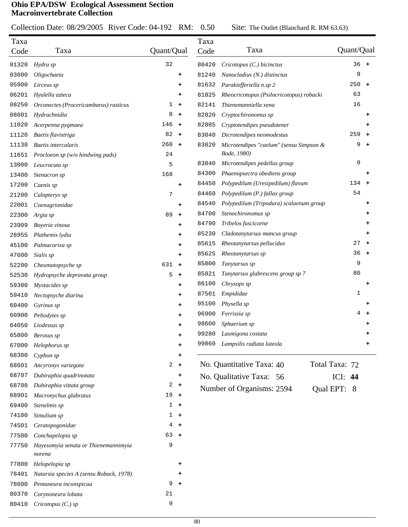Collection Date: 08/29/2005 River Code: 04-192 RM: 0.50 Site: The Outlet (Blanchard R. RM 63.63)

| Taxa  |                                                |                           | Taxa  |                                          |                  |
|-------|------------------------------------------------|---------------------------|-------|------------------------------------------|------------------|
| Code  | Taxa                                           | Quant/Qual                | Code  | Taxa                                     | Quant/Qual       |
| 01320 | Hydra sp                                       | 32                        | 80420 | Cricotopus (C.) bicinctus                | 36               |
| 03600 | Oligochaeta                                    | ٠                         | 81240 | Nanocladius (N.) distinctus              | 9                |
| 05900 | Lirceus sp                                     | ٠                         | 81632 | Parakiefferiella n.sp 2                  | 250<br>$+$       |
| 06201 | Hyalella azteca                                | ٠                         | 81825 | Rheocricotopus (Psilocricotopus) robacki | 63               |
| 08250 | Orconectes (Procericambarus) rusticus          | 1<br>$\ddot{}$            | 82141 | Thienemanniella xena                     | 16               |
| 08601 | Hydrachnidia                                   | 8<br>$\ddot{}$            | 82820 | Cryptochironomus sp                      |                  |
| 11020 | Acerpenna pygmaea                              | 146<br>$\ddot{}$          | 82885 | Cryptotendipes pseudotener               | +                |
| 11120 | Baetis flavistriga                             | 82<br>$\ddot{}$           | 83040 | Dicrotendipes neomodestus                | 259<br>$\ddot{}$ |
| 11130 | <b>Baetis</b> intercalaris                     | 260<br>$\ddot{}$          | 83820 | Microtendipes "caelum" (sensu Simpson &  | 9<br>$\ddot{}$   |
| 11651 | Procloeon sp (w/o hindwing pads)               | 24                        |       | Bode, 1980)                              |                  |
| 13000 | Leucrocuta sp                                  | 5                         | 83840 | Microtendipes pedellus group             | 9                |
| 13400 | Stenacron sp                                   | 168                       | 84300 | Phaenopsectra obediens group             | ٠                |
| 17200 | Caenis sp                                      | ٠                         | 84450 | Polypedilum (Uresipedilum) flavum        | 134<br>$\ddot{}$ |
| 21200 | Calopteryx sp                                  | 7                         | 84460 | Polypedilum (P.) fallax group            | 54               |
| 22001 | Coenagrionidae                                 | ٠                         | 84540 | Polypedilum (Tripodura) scalaenum group  | ٠                |
| 22300 | Argia sp                                       | 89<br>$\ddot{}$           | 84700 | Stenochironomus sp                       | ٠                |
| 23909 | Boyeria vinosa                                 | ٠                         | 84790 | Tribelos fuscicorne                      |                  |
| 28955 | Plathemis lydia                                | ٠                         | 85230 | Cladotanytarsus mancus group             | +                |
| 45100 | Palmacorixa sp                                 | $\ddot{}$                 | 85615 | Rheotanytarsus pellucidus                | 27<br>$\ddot{}$  |
| 47600 | Sialis sp                                      | $\ddot{}$                 | 85625 | Rheotanytarsus sp                        | 36<br>$\ddot{}$  |
| 52200 | Cheumatopsyche sp                              | 631<br>$\ddot{}$          | 85800 | Tanytarsus sp                            | 9                |
| 52530 | Hydropsyche depravata group                    | 5<br>$\ddot{}$            | 85821 | Tanytarsus glabrescens group sp 7        | 80               |
| 59300 | Mystacides sp                                  | ٠                         | 86100 | Chrysops sp                              | ÷                |
| 59410 | Nectopsyche diarina                            | $\ddot{}$                 | 87501 | Empididae                                | 1                |
| 60400 | Gyrinus sp                                     | ٠                         | 95100 | Physella sp                              |                  |
| 60900 | Peltodytes sp                                  | $\ddot{}$                 | 96900 | Ferrissia sp                             | 4<br>$\ddot{}$   |
| 64050 | Liodessus sp                                   | ٠                         | 98600 | Sphaerium sp                             | +                |
| 65800 | Berosus sp                                     |                           |       | 99280 Lasmigona costata                  |                  |
| 67000 | Helophorus sp                                  | ٠                         | 99860 | Lampsilis radiata luteola                | +                |
| 68300 | Cyphon sp                                      | +                         |       |                                          |                  |
| 68601 | Ancyronyx variegata                            | $2 +$                     |       | No. Quantitative Taxa: 40                | Total Taxa: 72   |
| 68707 | Dubiraphia quadrinotata                        | +                         |       |                                          |                  |
| 68708 | Dubiraphia vittata group                       | 2<br>$\ddot{\phantom{1}}$ |       | No. Qualitative Taxa:<br>- 56            | ICI: 44          |
| 68901 | Macronychus glabratus                          | $19 +$                    |       | Number of Organisms: 2594                | Qual EPT: 8      |
| 69400 | Stenelmis sp                                   | $\mathbf{1}$<br>$\ddot{}$ |       |                                          |                  |
|       | Simulium sp                                    | $\mathbf{1}$<br>$\ddot{}$ |       |                                          |                  |
| 74100 |                                                | 4                         |       |                                          |                  |
| 74501 | Ceratopogonidae                                | $\ddot{}$                 |       |                                          |                  |
| 77500 | Conchapelopia sp                               | 63 +                      |       |                                          |                  |
| 77750 | Hayesomyia senata or Thienemannimyia<br>norena | 9                         |       |                                          |                  |
| 77800 | Helopelopia sp                                 | ٠                         |       |                                          |                  |
| 78401 | Natarsia species A (sensu Roback, 1978)        | ٠                         |       |                                          |                  |
| 78600 | Pentaneura inconspicua                         | 9<br>$\ddot{\phantom{1}}$ |       |                                          |                  |
| 80370 | Corynoneura lobata                             | 21                        |       |                                          |                  |
| 80410 | Cricotopus (C.) sp                             | 9                         |       |                                          |                  |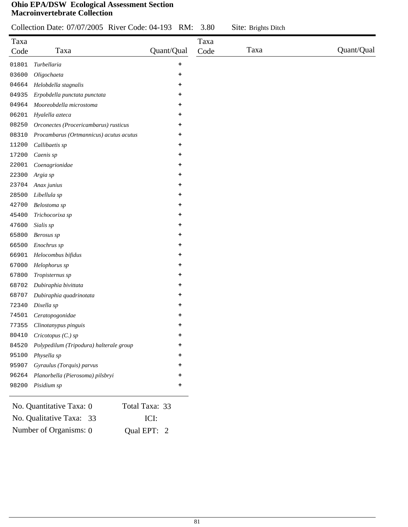Collection Date: 07/07/2005 River Code: 04-193 RM: 3.80 Site: Brights Ditch

| Taxa  |                                         |                | Taxa |      |            |
|-------|-----------------------------------------|----------------|------|------|------------|
| Code  | Taxa                                    | Quant/Qual     | Code | Taxa | Quant/Qual |
| 01801 | Turbellaria                             | ٠              |      |      |            |
| 03600 | Oligochaeta                             |                |      |      |            |
| 04664 | Helobdella stagnalis                    |                |      |      |            |
| 04935 | Erpobdella punctata punctata            | ٠              |      |      |            |
| 04964 | Mooreobdella microstoma                 | ٠              |      |      |            |
| 06201 | Hyalella azteca                         |                |      |      |            |
| 08250 | Orconectes (Procericambarus) rusticus   | ٠              |      |      |            |
| 08310 | Procambarus (Ortmannicus) acutus acutus | ٠              |      |      |            |
| 11200 | Callibaetis sp                          | ٠              |      |      |            |
| 17200 | Caenis sp                               |                |      |      |            |
| 22001 | Coenagrionidae                          |                |      |      |            |
| 22300 | Argia sp                                |                |      |      |            |
| 23704 | Anax junius                             | ٠              |      |      |            |
| 28500 | Libellula sp                            |                |      |      |            |
| 42700 | Belostoma sp                            |                |      |      |            |
| 45400 | Trichocorixa sp                         | ٠              |      |      |            |
| 47600 | Sialis sp                               | +              |      |      |            |
| 65800 | Berosus sp                              | +              |      |      |            |
| 66500 | Enochrus sp                             | +              |      |      |            |
| 66901 | Helocombus bifidus                      | ٠              |      |      |            |
| 67000 | Helophorus sp                           | +              |      |      |            |
| 67800 | Tropisternus sp                         | +              |      |      |            |
| 68702 | Dubiraphia bivittata                    | ٠              |      |      |            |
| 68707 | Dubiraphia quadrinotata                 | +              |      |      |            |
| 72340 | Dixella sp                              |                |      |      |            |
| 74501 | Ceratopogonidae                         |                |      |      |            |
| 77355 | Clinotanypus pinguis                    |                |      |      |            |
| 80410 | Cricotopus (C.) sp                      | ٠              |      |      |            |
| 84520 | Polypedilum (Tripodura) halterale group |                |      |      |            |
| 95100 | Physella sp                             | ٠              |      |      |            |
| 95907 | Gyraulus (Torquis) parvus               |                |      |      |            |
| 96264 | Planorbella (Pierosoma) pilsbryi        |                |      |      |            |
| 98200 | Pisidium sp                             | ٠              |      |      |            |
|       | No. Quantitative Taxa: 0                | Total Taxa: 33 |      |      |            |

| NO. Uuantitative Taxa: () | 10tal 1axa: 33 |
|---------------------------|----------------|
| No. Qualitative Taxa: 33  | ICI:           |
| Number of Organisms: 0    | Qual EPT: 2    |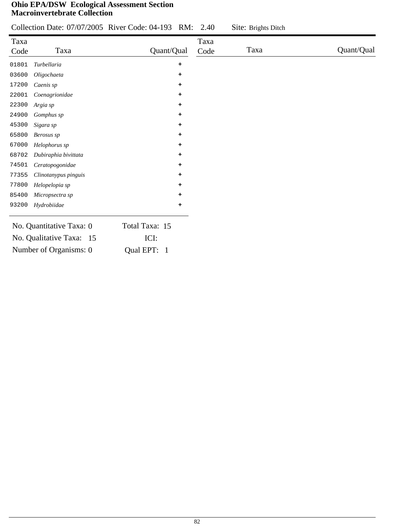Collection Date: 07/07/2005 River Code: 04-193 RM: 2.40 Site: Brights Ditch

| Taxa  | Taxa                     | Quant/Qual                  |           | Taxa | Taxa |
|-------|--------------------------|-----------------------------|-----------|------|------|
| Code  |                          |                             |           | Code |      |
| 01801 | Turbellaria              |                             | $\ddot{}$ |      |      |
| 03600 | Oligochaeta              |                             | ٠         |      |      |
| 17200 | Caenis sp                |                             | ٠         |      |      |
| 22001 | Coenagrionidae           |                             | ٠         |      |      |
| 22300 | Argia sp                 |                             | ٠         |      |      |
| 24900 | Gomphus sp               |                             | ٠         |      |      |
| 45300 | Sigara sp                |                             | ٠         |      |      |
| 65800 | Berosus sp               |                             | ٠         |      |      |
| 67000 | Helophorus sp            |                             | ٠         |      |      |
| 68702 | Dubiraphia bivittata     |                             | ٠         |      |      |
| 74501 | Ceratopogonidae          |                             | ٠         |      |      |
| 77355 | Clinotanypus pinguis     |                             | ٠         |      |      |
| 77800 | Helopelopia sp           |                             | ٠         |      |      |
| 85400 | Micropsectra sp          |                             | ٠         |      |      |
| 93200 | Hydrobiidae              |                             | ٠         |      |      |
|       |                          |                             |           |      |      |
|       | No. Quantitative Taxa: 0 | Total Taxa: 15              |           |      |      |
|       | No. Qualitative Taxa: 15 | ICI:                        |           |      |      |
|       | Number of Organisms: 0   | Qual EPT:<br>$\blacksquare$ |           |      |      |
|       |                          |                             |           |      |      |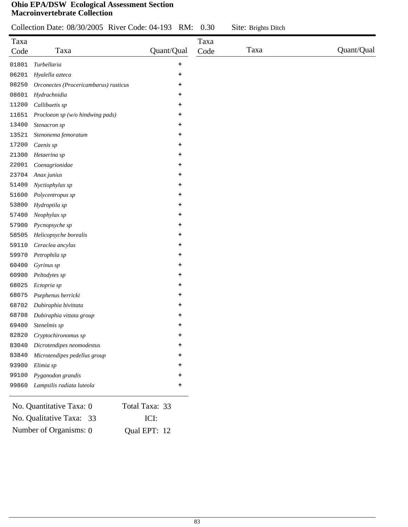Collection Date: 08/30/2005 River Code: 04-193 RM: 0.30 Site: Brights Ditch

| Taxa  |                                       |                | Taxa |      |            |
|-------|---------------------------------------|----------------|------|------|------------|
| Code  | Taxa                                  | Quant/Qual     | Code | Taxa | Quant/Qual |
| 01801 | Turbellaria                           | ٠              |      |      |            |
| 06201 | Hyalella azteca                       | +              |      |      |            |
| 08250 | Orconectes (Procericambarus) rusticus | ٠              |      |      |            |
| 08601 | Hydrachnidia                          | ٠              |      |      |            |
| 11200 | Callibaetis sp                        | ٠              |      |      |            |
| 11651 | Procloeon sp (w/o hindwing pads)      | ٠              |      |      |            |
| 13400 | Stenacron sp                          | ٠              |      |      |            |
| 13521 | Stenonema femoratum                   | ٠              |      |      |            |
| 17200 | Caenis sp                             | ٠              |      |      |            |
| 21300 | Hetaerina sp                          | +              |      |      |            |
| 22001 | Coenagrionidae                        | ٠              |      |      |            |
| 23704 | Anax junius                           | +              |      |      |            |
| 51400 | Nyctiophylax sp                       | ٠              |      |      |            |
| 51600 | Polycentropus sp                      | +              |      |      |            |
| 53800 | Hydroptila sp                         | ٠              |      |      |            |
| 57400 | Neophylax sp                          | +              |      |      |            |
| 57900 | Pycnopsyche sp                        | +              |      |      |            |
| 58505 | Helicopsyche borealis                 | +              |      |      |            |
| 59110 | Ceraclea ancylus                      | ٠              |      |      |            |
| 59970 | Petrophila sp                         | +              |      |      |            |
| 60400 | Gyrinus sp                            | +              |      |      |            |
| 60900 | Peltodytes sp                         | +              |      |      |            |
| 68025 | Ectopria sp                           | ٠              |      |      |            |
| 68075 | Psephenus herricki                    | +              |      |      |            |
| 68702 | Dubiraphia bivittata                  | ٠              |      |      |            |
| 68708 | Dubiraphia vittata group              | +              |      |      |            |
| 69400 | Stenelmis sp                          | ٠              |      |      |            |
| 82820 | Cryptochironomus sp                   | +              |      |      |            |
| 83040 | Dicrotendipes neomodestus             | ٠              |      |      |            |
| 83840 | Microtendipes pedellus group          | ٠              |      |      |            |
| 93900 | Elimia sp                             |                |      |      |            |
| 99100 | Pyganodon grandis                     | ٠              |      |      |            |
| 99860 | Lampsilis radiata luteola             | +              |      |      |            |
|       | No. Quantitative Taxa: 0              | Total Taxa: 33 |      |      |            |
|       | No. Qualitative Taxa: 33              | ICI:           |      |      |            |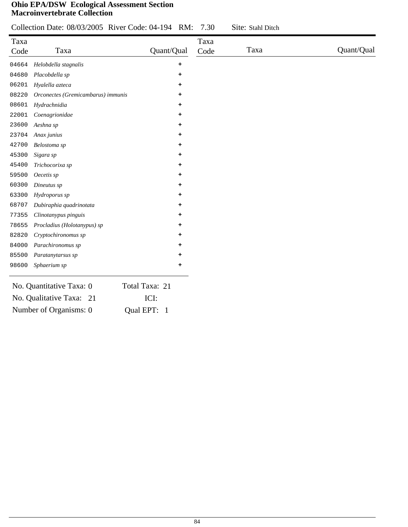Collection Date: 08/03/2005 River Code: 04-194 RM: 7.30 Site: Stahl Ditch

| Taxa  |                                    |                             | Taxa |      |            |
|-------|------------------------------------|-----------------------------|------|------|------------|
| Code  | Taxa                               | Quant/Qual                  | Code | Taxa | Quant/Qual |
| 04664 | Helobdella stagnalis               | ٠                           |      |      |            |
| 04680 | Placobdella sp                     | ٠                           |      |      |            |
| 06201 | Hyalella azteca                    | ٠                           |      |      |            |
| 08220 | Orconectes (Gremicambarus) immunis | ٠                           |      |      |            |
| 08601 | Hydrachnidia                       | ٠                           |      |      |            |
| 22001 | Coenagrionidae                     | ٠                           |      |      |            |
| 23600 | Aeshna sp                          | ٠                           |      |      |            |
| 23704 | Anax junius                        | ٠                           |      |      |            |
| 42700 | Belostoma sp                       | +                           |      |      |            |
| 45300 | Sigara sp                          | ٠                           |      |      |            |
| 45400 | Trichocorixa sp                    | ٠                           |      |      |            |
| 59500 | Oecetis sp                         | ٠                           |      |      |            |
| 60300 | Dineutus sp                        | ٠                           |      |      |            |
| 63300 | Hydroporus sp                      | ÷                           |      |      |            |
| 68707 | Dubiraphia quadrinotata            | +                           |      |      |            |
| 77355 | Clinotanypus pinguis               | ٠                           |      |      |            |
| 78655 | Procladius (Holotanypus) sp        | ٠                           |      |      |            |
| 82820 | Cryptochironomus sp                | ٠                           |      |      |            |
| 84000 | Parachironomus sp                  | ٠                           |      |      |            |
| 85500 | Paratanytarsus sp                  | ٠                           |      |      |            |
| 98600 | Sphaerium sp                       | ٠                           |      |      |            |
|       | No. Quantitative Taxa: 0           | Total Taxa: 21              |      |      |            |
|       | No. Qualitative Taxa: 21           | ICI:                        |      |      |            |
|       | Number of Organisms: 0             | Qual EPT:<br>$\overline{1}$ |      |      |            |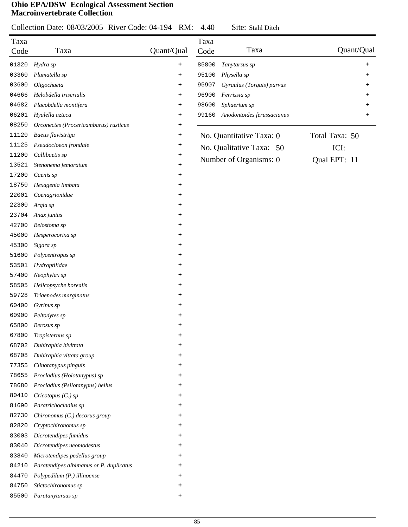Collection Date: 08/03/2005 River Code: 04-194 RM: 4.40 Site: Stahl Ditch

| Taxa  |                                         |            | Taxa  |                            |                |
|-------|-----------------------------------------|------------|-------|----------------------------|----------------|
| Code  | Taxa                                    | Quant/Qual | Code  | Taxa                       | Quant/Qual     |
| 01320 | Hydra sp                                | $\ddot{}$  | 85800 | Tanytarsus sp              | +              |
| 03360 | Plumatella sp                           | $\ddot{}$  | 95100 | Physella sp                |                |
| 03600 | Oligochaeta                             | $\ddot{}$  | 95907 | Gyraulus (Torquis) parvus  |                |
| 04666 | Helobdella triserialis                  | $\ddot{}$  | 96900 | Ferrissia sp               |                |
| 04682 | Placobdella montifera                   | $\ddot{}$  | 98600 | Sphaerium sp               |                |
| 06201 | Hyalella azteca                         | $\ddot{}$  | 99160 | Anodontoides ferussacianus | +              |
| 08250 | Orconectes (Procericambarus) rusticus   | ٠          |       |                            |                |
| 11120 | Baetis flavistriga                      | +          |       | No. Quantitative Taxa: 0   | Total Taxa: 50 |
| 11125 | Pseudocloeon frondale                   | $\ddot{}$  |       | No. Qualitative Taxa: 50   | ICI:           |
| 11200 | Callibaetis sp                          | ٠          |       |                            |                |
| 13521 | Stenonema femoratum                     |            |       | Number of Organisms: 0     | Qual EPT: 11   |
| 17200 | Caenis sp                               |            |       |                            |                |
| 18750 | Hexagenia limbata                       | ÷          |       |                            |                |
| 22001 | Coenagrionidae                          |            |       |                            |                |
| 22300 | Argia sp                                |            |       |                            |                |
| 23704 | Anax junius                             |            |       |                            |                |
| 42700 | Belostoma sp                            | $\ddot{}$  |       |                            |                |
| 45000 | Hesperocorixa sp                        | ٠          |       |                            |                |
| 45300 | Sigara sp                               | ٠          |       |                            |                |
| 51600 | Polycentropus sp                        | ٠          |       |                            |                |
| 53501 | Hydroptilidae                           | $\ddot{}$  |       |                            |                |
| 57400 | Neophylax sp                            | ٠          |       |                            |                |
| 58505 | Helicopsyche borealis                   | +          |       |                            |                |
| 59728 | Triaenodes marginatus                   | +          |       |                            |                |
| 60400 | Gyrinus sp                              | ٠          |       |                            |                |
| 60900 | Peltodytes sp                           |            |       |                            |                |
| 65800 | Berosus sp                              |            |       |                            |                |
| 67800 | Tropisternus sp                         | +          |       |                            |                |
| 68702 | Dubiraphia bivittata                    |            |       |                            |                |
| 68708 | Dubiraphia vittata group                |            |       |                            |                |
| 77355 | Clinotanypus pinguis                    | ٠          |       |                            |                |
| 78655 | Procladius (Holotanypus) sp             |            |       |                            |                |
| 78680 | Procladius (Psilotanypus) bellus        |            |       |                            |                |
| 80410 | Cricotopus (C.) sp                      |            |       |                            |                |
| 81690 | Paratrichocladius sp                    |            |       |                            |                |
| 82730 | Chironomus (C.) decorus group           |            |       |                            |                |
| 82820 | Cryptochironomus sp                     |            |       |                            |                |
| 83003 | Dicrotendipes fumidus                   |            |       |                            |                |
| 83040 | Dicrotendipes neomodestus               |            |       |                            |                |
| 83840 | Microtendipes pedellus group            |            |       |                            |                |
| 84210 | Paratendipes albimanus or P. duplicatus |            |       |                            |                |
| 84470 | Polypedilum (P.) illinoense             | ٠          |       |                            |                |
| 84750 | Stictochironomus sp                     | ٠          |       |                            |                |
| 85500 | Paratanytarsus sp                       | ٠          |       |                            |                |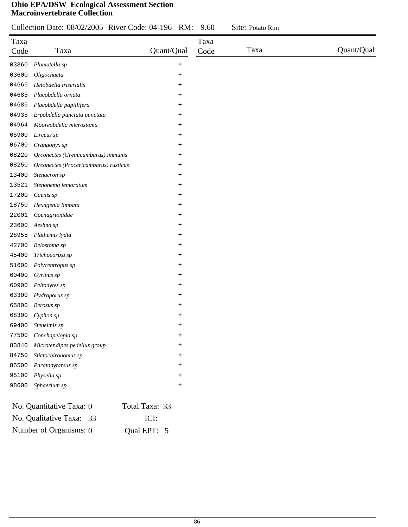Collection Date: 08/02/2005 River Code: 04-196 RM: 9.60 Site: Potato Run

| Taxa  |                                       |                | Taxa |      |            |
|-------|---------------------------------------|----------------|------|------|------------|
| Code  | Taxa                                  | Quant/Qual     | Code | Taxa | Quant/Qual |
| 03360 | Plumatella sp                         | ٠              |      |      |            |
| 03600 | Oligochaeta                           | ٠              |      |      |            |
| 04666 | Helobdella triserialis                | ٠              |      |      |            |
| 04685 | Placobdella ornata                    | ٠              |      |      |            |
| 04686 | Placobdella papillifera               | ٠              |      |      |            |
| 04935 | Erpobdella punctata punctata          | +              |      |      |            |
| 04964 | Mooreobdella microstoma               | +              |      |      |            |
| 05900 | Lirceus sp                            | ٠              |      |      |            |
| 06700 | Crangonyx sp                          | ٠              |      |      |            |
| 08220 | Orconectes (Gremicambarus) immunis    |                |      |      |            |
| 08250 | Orconectes (Procericambarus) rusticus |                |      |      |            |
| 13400 | Stenacron sp                          | ٠              |      |      |            |
| 13521 | Stenonema femoratum                   | ٠              |      |      |            |
| 17200 | Caenis sp                             |                |      |      |            |
| 18750 | Hexagenia limbata                     |                |      |      |            |
| 22001 | Coenagrionidae                        | ٠              |      |      |            |
| 23600 | Aeshna sp                             | ٠              |      |      |            |
| 28955 | Plathemis lydia                       |                |      |      |            |
| 42700 | Belostoma sp                          | ٠              |      |      |            |
| 45400 | Trichocorixa sp                       | ٠              |      |      |            |
| 51600 | Polycentropus sp                      | ٠              |      |      |            |
| 60400 | Gyrinus sp                            |                |      |      |            |
| 60900 | Peltodytes sp                         | ٠              |      |      |            |
| 63300 | Hydroporus sp                         |                |      |      |            |
| 65800 | Berosus sp                            |                |      |      |            |
| 68300 | Cyphon sp                             |                |      |      |            |
| 69400 | Stenelmis sp                          | ٠              |      |      |            |
| 77500 | Conchapelopia sp                      | ٠              |      |      |            |
| 83840 | Microtendipes pedellus group          | +              |      |      |            |
| 84750 | Stictochironomus sp                   | +              |      |      |            |
| 85500 | Paratanytarsus sp                     | ٠              |      |      |            |
| 95100 | Physella sp                           | +              |      |      |            |
| 98600 | Sphaerium sp                          | +              |      |      |            |
|       | No. Quantitative Taxa: 0              | Total Taxa: 33 |      |      |            |
|       | No. Qualitative Taxa: 33              | ICI:           |      |      |            |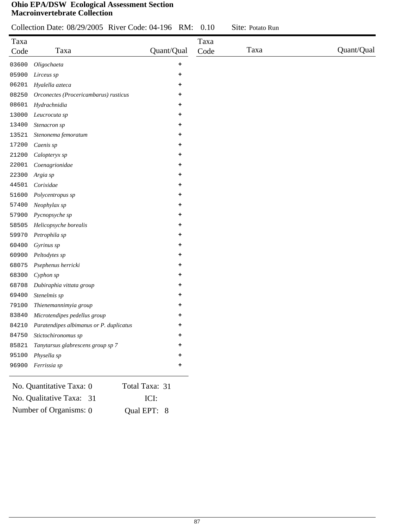Collection Date: 08/29/2005 River Code: 04-196 RM: 0.10 Site: Potato Run

| Taxa  |                                         |                | Taxa |      |            |
|-------|-----------------------------------------|----------------|------|------|------------|
| Code  | Taxa                                    | Quant/Qual     | Code | Taxa | Quant/Qual |
| 03600 | Oligochaeta                             | $\ddot{}$      |      |      |            |
| 05900 | Lirceus sp                              | ٠              |      |      |            |
| 06201 | Hyalella azteca                         | ٠              |      |      |            |
| 08250 | Orconectes (Procericambarus) rusticus   | ٠              |      |      |            |
| 08601 | Hydrachnidia                            | +              |      |      |            |
| 13000 | Leucrocuta sp                           | ٠              |      |      |            |
| 13400 | Stenacron sp                            | +              |      |      |            |
| 13521 | Stenonema femoratum                     | ٠              |      |      |            |
| 17200 | Caenis sp                               | +              |      |      |            |
| 21200 | Calopteryx sp                           | ٠              |      |      |            |
| 22001 | Coenagrionidae                          | ٠              |      |      |            |
| 22300 | Argia sp                                | ٠              |      |      |            |
| 44501 | Corixidae                               | +              |      |      |            |
| 51600 | Polycentropus sp                        | ٠              |      |      |            |
| 57400 | Neophylax sp                            | ٠              |      |      |            |
| 57900 | Pycnopsyche sp                          | ٠              |      |      |            |
| 58505 | Helicopsyche borealis                   | ٠              |      |      |            |
| 59970 | Petrophila sp                           | ٠              |      |      |            |
| 60400 | Gyrinus sp                              | +              |      |      |            |
| 60900 | Peltodytes sp                           | ٠              |      |      |            |
| 68075 | Psephenus herricki                      | ٠              |      |      |            |
| 68300 | Cyphon sp                               | ٠              |      |      |            |
| 68708 | Dubiraphia vittata group                | ٠              |      |      |            |
| 69400 | Stenelmis sp                            | ٠              |      |      |            |
| 79100 | Thienemannimyia group                   | +              |      |      |            |
| 83840 | Microtendipes pedellus group            | +              |      |      |            |
| 84210 | Paratendipes albimanus or P. duplicatus | ٠              |      |      |            |
| 84750 | Stictochironomus sp                     | ٠              |      |      |            |
| 85821 | Tanytarsus glabrescens group sp 7       |                |      |      |            |
| 95100 | Physella sp                             |                |      |      |            |
| 96900 | Ferrissia sp                            | ٠              |      |      |            |
|       | No. Quantitative Taxa: 0                | Total Taxa: 31 |      |      |            |
|       | No. Qualitative Taxa: 31                | ICI:           |      |      |            |
|       | Number of Organisms: 0                  | Qual EPT: 8    |      |      |            |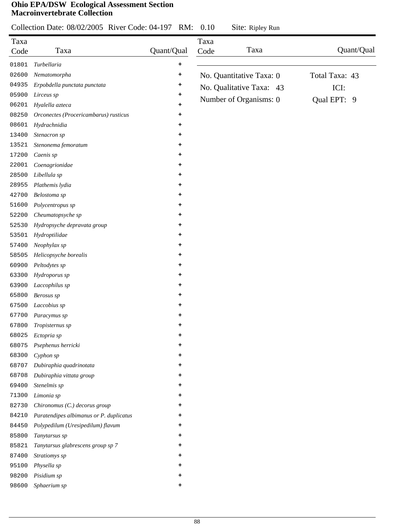|       | Collection Date: 08/02/2005 River Code: 04-197 RM: |            | 0.10 | Site: Ripley Run         |                |
|-------|----------------------------------------------------|------------|------|--------------------------|----------------|
| Taxa  |                                                    |            | Taxa |                          |                |
| Code  | Taxa                                               | Quant/Qual | Code | Taxa                     | Quant/Qual     |
| 01801 | Turbellaria                                        | ٠          |      |                          |                |
| 02600 | Nematomorpha                                       | +          |      | No. Quantitative Taxa: 0 | Total Taxa: 43 |
| 04935 | Erpobdella punctata punctata                       | ٠          |      | No. Qualitative Taxa: 43 | ICI:           |
| 05900 | Lirceus sp                                         | ٠          |      |                          |                |
| 06201 | Hyalella azteca                                    | ٠          |      | Number of Organisms: 0   | Qual EPT: 9    |
| 08250 | Orconectes (Procericambarus) rusticus              | ٠          |      |                          |                |
| 08601 | Hydrachnidia                                       |            |      |                          |                |
| 13400 | Stenacron sp                                       | ٠          |      |                          |                |
| 13521 | Stenonema femoratum                                | ٠          |      |                          |                |
| 17200 | Caenis sp                                          | ٠          |      |                          |                |
| 22001 | Coenagrionidae                                     | +          |      |                          |                |
| 28500 | Libellula sp                                       | ٠          |      |                          |                |
| 28955 | Plathemis lydia                                    | ٠          |      |                          |                |
| 42700 | Belostoma sp                                       | ٠          |      |                          |                |
| 51600 | Polycentropus sp                                   |            |      |                          |                |
| 52200 | Cheumatopsyche sp                                  | ٠          |      |                          |                |
| 52530 | Hydropsyche depravata group                        | ٠          |      |                          |                |
| 53501 | Hydroptilidae                                      | ٠          |      |                          |                |
| 57400 | Neophylax sp                                       |            |      |                          |                |
| 58505 | Helicopsyche borealis                              | +          |      |                          |                |
| 60900 | Peltodytes sp                                      | ٠          |      |                          |                |
| 63300 | Hydroporus sp                                      | ٠          |      |                          |                |
| 63900 | Laccophilus sp                                     | ٠          |      |                          |                |
| 65800 | Berosus sp                                         | ٠          |      |                          |                |
| 67500 | Laccobius sp                                       | +          |      |                          |                |
| 67700 | Paracymus sp                                       | ٠          |      |                          |                |
| 67800 | Tropisternus sp                                    | ٠          |      |                          |                |
| 68025 | Ectopria sp                                        | ٠          |      |                          |                |
| 68075 | Psephenus herricki                                 |            |      |                          |                |
| 68300 | Cyphon sp                                          |            |      |                          |                |
| 68707 | Dubiraphia quadrinotata                            |            |      |                          |                |
| 68708 | Dubiraphia vittata group                           |            |      |                          |                |
| 69400 | Stenelmis sp                                       |            |      |                          |                |
| 71300 | Limonia sp                                         |            |      |                          |                |
| 82730 | Chironomus (C.) decorus group                      |            |      |                          |                |
| 84210 | Paratendipes albimanus or P. duplicatus            |            |      |                          |                |
| 84450 | Polypedilum (Uresipedilum) flavum                  |            |      |                          |                |
| 85800 | Tanytarsus sp                                      |            |      |                          |                |
| 85821 | Tanytarsus glabrescens group sp 7                  | ٠          |      |                          |                |
| 87400 | Stratiomys sp                                      |            |      |                          |                |
| 95100 | Physella sp                                        |            |      |                          |                |
| 98200 | Pisidium sp                                        |            |      |                          |                |
| 98600 | Sphaerium sp                                       | ٠          |      |                          |                |

Collection Date: 08/02/2005 River Code: 04-197 RM: 0.10 Site: Ripley Run RM: 0.10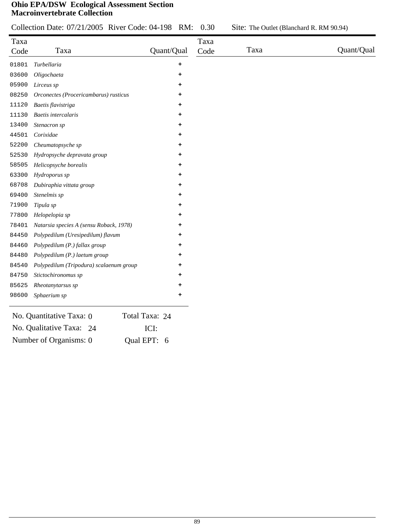Collection Date: 07/21/2005 River Code: 04-198 RM: 0.30 Site: The Outlet (Blanchard R. RM 90.94)

| Taxa  |                                         |                | Taxa |      |            |
|-------|-----------------------------------------|----------------|------|------|------------|
| Code  | Taxa                                    | Quant/Qual     | Code | Taxa | Quant/Qual |
| 01801 | Turbellaria                             | ٠              |      |      |            |
| 03600 | Oligochaeta                             | ٠              |      |      |            |
| 05900 | Lirceus sp                              |                |      |      |            |
| 08250 | Orconectes (Procericambarus) rusticus   | ٠              |      |      |            |
| 11120 | Baetis flavistriga                      | +              |      |      |            |
| 11130 | Baetis intercalaris                     | ٠              |      |      |            |
| 13400 | Stenacron sp                            | ٠              |      |      |            |
| 44501 | Corixidae                               | ٠              |      |      |            |
| 52200 | Cheumatopsyche sp                       | ٠              |      |      |            |
| 52530 | Hydropsyche depravata group             | ٠              |      |      |            |
| 58505 | Helicopsyche borealis                   | ٠              |      |      |            |
| 63300 | Hydroporus sp                           | +              |      |      |            |
| 68708 | Dubiraphia vittata group                | ٠              |      |      |            |
| 69400 | Stenelmis sp                            | ٠              |      |      |            |
| 71900 | Tipula sp                               | +              |      |      |            |
| 77800 | Helopelopia sp                          | +              |      |      |            |
| 78401 | Natarsia species A (sensu Roback, 1978) | +              |      |      |            |
| 84450 | Polypedilum (Uresipedilum) flavum       | ٠              |      |      |            |
| 84460 | Polypedilum (P.) fallax group           | ٠              |      |      |            |
| 84480 | Polypedilum (P.) laetum group           | ٠              |      |      |            |
| 84540 | Polypedilum (Tripodura) scalaenum group | ٠              |      |      |            |
| 84750 | Stictochironomus sp                     |                |      |      |            |
| 85625 | Rheotanytarsus sp                       | ٠              |      |      |            |
| 98600 | Sphaerium sp                            | +              |      |      |            |
|       | No. Quantitative Taxa: 0                | Total Taxa: 24 |      |      |            |
|       | No. Qualitative Taxa: 24                | ICI:           |      |      |            |

Number of Organisms: 0 Qual EPT: 6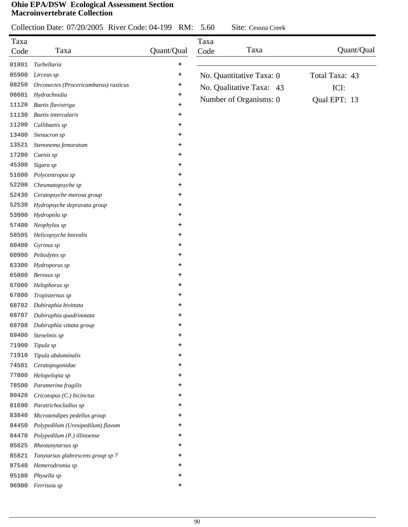|  | Collection Date: 07/20/2005 River Code: 04-199 RM: 5.60 |  | Site: Cessna Creek |
|--|---------------------------------------------------------|--|--------------------|
|  |                                                         |  |                    |

| Taxa  |                                       |            | Taxa |                          |                |            |
|-------|---------------------------------------|------------|------|--------------------------|----------------|------------|
| Code  | Taxa                                  | Quant/Qual | Code | Taxa                     |                | Quant/Qual |
| 01801 | Turbellaria                           | ÷          |      |                          |                |            |
| 05900 | Lirceus sp                            | +          |      | No. Quantitative Taxa: 0 | Total Taxa: 43 |            |
| 08250 | Orconectes (Procericambarus) rusticus | ۰          |      | No. Qualitative Taxa: 43 | ICI:           |            |
| 08601 | Hydrachnidia                          | ٠          |      | Number of Organisms: 0   | Qual EPT: 13   |            |
| 11120 | Baetis flavistriga                    | $\ddot{}$  |      |                          |                |            |
| 11130 | <b>Baetis</b> intercalaris            | ٠          |      |                          |                |            |
| 11200 | Callibaetis sp                        | ٠          |      |                          |                |            |
| 13400 | Stenacron sp                          | ٠          |      |                          |                |            |
| 13521 | Stenonema femoratum                   | ٠          |      |                          |                |            |
| 17200 | Caenis sp                             | ٠          |      |                          |                |            |
| 45300 | Sigara sp                             | ٠          |      |                          |                |            |
| 51600 | Polycentropus sp                      | ٠          |      |                          |                |            |
| 52200 | Cheumatopsyche sp                     | ٠          |      |                          |                |            |
| 52430 | Ceratopsyche morosa group             | ٠          |      |                          |                |            |
| 52530 | Hydropsyche depravata group           | ٠          |      |                          |                |            |
| 53800 | Hydroptila sp                         | ٠          |      |                          |                |            |
| 57400 | Neophylax sp                          | ٠          |      |                          |                |            |
| 58505 | Helicopsyche borealis                 | ٠          |      |                          |                |            |
| 60400 | Gyrinus sp                            | ٠          |      |                          |                |            |
| 60900 | Peltodytes sp                         | ٠          |      |                          |                |            |
| 63300 | Hydroporus sp                         |            |      |                          |                |            |
| 65800 | Berosus sp                            | ٠          |      |                          |                |            |
| 67000 | Helophorus sp                         | ٠          |      |                          |                |            |
| 67800 | Tropisternus sp                       | ٠          |      |                          |                |            |
| 68702 | Dubiraphia bivittata                  |            |      |                          |                |            |
| 68707 | Dubiraphia quadrinotata               | ٠          |      |                          |                |            |
| 68708 | Dubiraphia vittata group              | $\ddot{}$  |      |                          |                |            |
| 69400 | Stenelmis sp                          | $\ddot{}$  |      |                          |                |            |
| 71900 | Tipula sp                             |            |      |                          |                |            |
| 71910 | Tipula abdominalis                    |            |      |                          |                |            |
| 74501 | Ceratopogonidae                       |            |      |                          |                |            |
| 77800 | Helopelopia sp                        |            |      |                          |                |            |
| 78500 | Paramerina fragilis                   |            |      |                          |                |            |
| 80420 | Cricotopus (C.) bicinctus             |            |      |                          |                |            |
| 81690 | Paratrichocladius sp                  |            |      |                          |                |            |
| 83840 | Microtendipes pedellus group          |            |      |                          |                |            |
| 84450 | Polypedilum (Uresipedilum) flavum     |            |      |                          |                |            |
| 84470 | Polypedilum (P.) illinoense           | ٠          |      |                          |                |            |
| 85625 | Rheotanytarsus sp                     |            |      |                          |                |            |
| 85821 | Tanytarsus glabrescens group sp 7     |            |      |                          |                |            |
| 87540 | Hemerodromia sp                       |            |      |                          |                |            |
| 95100 | Physella sp                           |            |      |                          |                |            |
| 96900 | Ferrissia sp                          | ٠          |      |                          |                |            |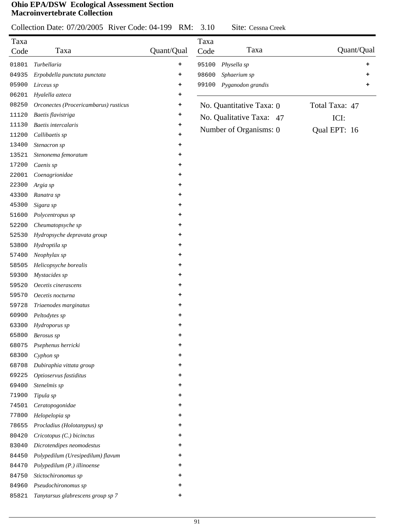| Collection Date: 07/20/2005 River Code: 04-199 RM: 3.10 |  | Site: Cessna Creek |
|---------------------------------------------------------|--|--------------------|
|                                                         |  |                    |

| Taxa  | Taxa                                  | Quant/Qual | Taxa<br>Code | Taxa                     | Quant/Qual     |
|-------|---------------------------------------|------------|--------------|--------------------------|----------------|
| Code  |                                       |            |              |                          |                |
| 01801 | Turbellaria                           | $\ddot{}$  | 95100        | Physella sp              | ÷              |
| 04935 | Erpobdella punctata punctata          | ۰          | 98600        | Sphaerium sp             |                |
| 05900 | Lirceus sp                            | ٠          | 99100        | Pyganodon grandis        |                |
| 06201 | Hyalella azteca                       | ٠          |              |                          |                |
| 08250 | Orconectes (Procericambarus) rusticus | ۰          |              | No. Quantitative Taxa: 0 | Total Taxa: 47 |
| 11120 | Baetis flavistriga                    | ٠          |              | No. Qualitative Taxa: 47 | ICI:           |
| 11130 | <b>Baetis</b> intercalaris            | ٠          |              | Number of Organisms: 0   | Qual EPT: 16   |
| 11200 | Callibaetis sp                        | ٠          |              |                          |                |
| 13400 | Stenacron sp                          | ٠          |              |                          |                |
| 13521 | Stenonema femoratum                   | ٠          |              |                          |                |
| 17200 | Caenis sp                             | ٠          |              |                          |                |
| 22001 | Coenagrionidae                        | ۰          |              |                          |                |
| 22300 | Argia sp                              | ٠          |              |                          |                |
| 43300 | Ranatra sp                            | ٠          |              |                          |                |
| 45300 | Sigara sp                             | ٠          |              |                          |                |
| 51600 | Polycentropus sp                      | ۰          |              |                          |                |
| 52200 | Cheumatopsyche sp                     | ٠          |              |                          |                |
| 52530 | Hydropsyche depravata group           | ٠          |              |                          |                |
| 53800 | Hydroptila sp                         | ٠          |              |                          |                |
| 57400 | Neophylax sp                          | ٠          |              |                          |                |
| 58505 | Helicopsyche borealis                 | ٠          |              |                          |                |
| 59300 | Mystacides sp                         | ÷          |              |                          |                |
| 59520 | Oecetis cinerascens                   | ٠          |              |                          |                |
| 59570 | Oecetis nocturna                      | ٠          |              |                          |                |
| 59728 | Triaenodes marginatus                 |            |              |                          |                |
| 60900 | Peltodytes sp                         |            |              |                          |                |
| 63300 | Hydroporus sp                         | ٠          |              |                          |                |
| 65800 | Berosus sp                            | ۰          |              |                          |                |
| 68075 | Psephenus herricki                    |            |              |                          |                |
| 68300 | Cyphon sp                             |            |              |                          |                |
| 68708 | Dubiraphia vittata group              |            |              |                          |                |
| 69225 | Optioservus fastiditus                |            |              |                          |                |
| 69400 | Stenelmis sp                          |            |              |                          |                |
| 71900 | Tipula sp                             | ÷          |              |                          |                |
| 74501 | Ceratopogonidae                       |            |              |                          |                |
| 77800 | Helopelopia sp                        | ÷          |              |                          |                |
| 78655 | Procladius (Holotanypus) sp           | ٠          |              |                          |                |
| 80420 | Cricotopus (C.) bicinctus             | ٠          |              |                          |                |
| 83040 | Dicrotendipes neomodestus             |            |              |                          |                |
| 84450 | Polypedilum (Uresipedilum) flavum     | ÷          |              |                          |                |
| 84470 | Polypedilum (P.) illinoense           | ٠          |              |                          |                |
| 84750 | Stictochironomus sp                   |            |              |                          |                |
| 84960 | Pseudochironomus sp                   |            |              |                          |                |
| 85821 | Tanytarsus glabrescens group sp 7     | ٠          |              |                          |                |
|       |                                       |            |              |                          |                |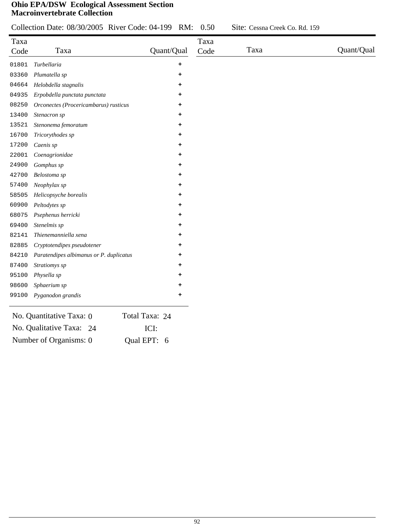Collection Date: 08/30/2005 River Code: 04-199 RM: 0.50 Site: Cessna Creek Co. Rd. 159

| Taxa  |                                            |                | Taxa |      |            |
|-------|--------------------------------------------|----------------|------|------|------------|
| Code  | Taxa                                       | Quant/Qual     | Code | Taxa | Quant/Qual |
| 01801 | Turbellaria                                | +              |      |      |            |
| 03360 | Plumatella sp                              | ٠              |      |      |            |
| 04664 | Helobdella stagnalis                       | ٠              |      |      |            |
| 04935 | Erpobdella punctata punctata               |                |      |      |            |
| 08250 | Orconectes (Procericambarus) rusticus      |                |      |      |            |
| 13400 | Stenacron sp                               | +              |      |      |            |
| 13521 | Stenonema femoratum                        | ٠              |      |      |            |
| 16700 | Tricorythodes sp                           | +              |      |      |            |
| 17200 | Caenis sp                                  |                |      |      |            |
| 22001 | Coenagrionidae                             | ٠              |      |      |            |
| 24900 | Gomphus sp                                 | +              |      |      |            |
| 42700 | Belostoma sp                               | +              |      |      |            |
| 57400 | Neophylax sp                               | +              |      |      |            |
| 58505 | Helicopsyche borealis                      |                |      |      |            |
| 60900 | Peltodytes sp                              | ٠              |      |      |            |
| 68075 | Psephenus herricki                         | ٠              |      |      |            |
| 69400 | Stenelmis sp                               | ٠              |      |      |            |
| 82141 | Thienemanniella xena                       |                |      |      |            |
| 82885 | Cryptotendipes pseudotener                 |                |      |      |            |
| 84210 | Paratendipes albimanus or P. duplicatus    |                |      |      |            |
| 87400 | Stratiomys sp                              | ٠              |      |      |            |
| 95100 | Physella sp                                | ٠              |      |      |            |
| 98600 | Sphaerium sp                               | ÷              |      |      |            |
| 99100 | Pyganodon grandis                          | ٠              |      |      |            |
|       | No. Quantitative Taxa: 0                   | Total Taxa: 24 |      |      |            |
|       | No. Qualitative Taxa: 24                   | ICI:           |      |      |            |
|       | Number of Organisms: 0<br><b>Qual EPT:</b> | 6              |      |      |            |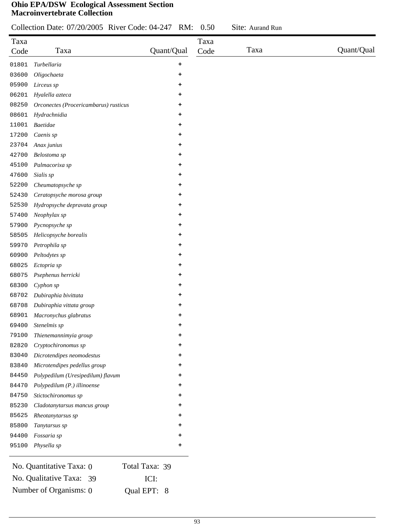Collection Date: 07/20/2005 River Code: 04-247 RM: 0.50 Site: Aurand Run

| Taxa  |                                       |                | Taxa |      |            |
|-------|---------------------------------------|----------------|------|------|------------|
| Code  | Taxa                                  | Quant/Qual     | Code | Taxa | Quant/Qual |
| 01801 | Turbellaria                           | +              |      |      |            |
| 03600 | Oligochaeta                           | +              |      |      |            |
| 05900 | Lirceus sp                            | ۰              |      |      |            |
| 06201 | Hyalella azteca                       | +              |      |      |            |
| 08250 | Orconectes (Procericambarus) rusticus | +              |      |      |            |
| 08601 | Hydrachnidia                          | ٠              |      |      |            |
| 11001 | <b>Baetidae</b>                       | ٠              |      |      |            |
| 17200 | Caenis sp                             | +              |      |      |            |
| 23704 | Anax junius                           | +              |      |      |            |
| 42700 | Belostoma sp                          | +              |      |      |            |
| 45100 | Palmacorixa sp                        | ٠              |      |      |            |
| 47600 | Sialis sp                             | ٠              |      |      |            |
| 52200 | Cheumatopsyche sp                     | ٠              |      |      |            |
| 52430 | Ceratopsyche morosa group             | +              |      |      |            |
| 52530 | Hydropsyche depravata group           | ٠              |      |      |            |
| 57400 | Neophylax sp                          | +              |      |      |            |
| 57900 | Pycnopsyche sp                        | ٠              |      |      |            |
| 58505 | Helicopsyche borealis                 | ٠              |      |      |            |
| 59970 | Petrophila sp                         | ٠              |      |      |            |
| 60900 | Peltodytes sp                         | +              |      |      |            |
| 68025 | Ectopria sp                           | ٠              |      |      |            |
| 68075 | Psephenus herricki                    | ٠              |      |      |            |
| 68300 | Cyphon sp                             | +              |      |      |            |
| 68702 | Dubiraphia bivittata                  | +              |      |      |            |
| 68708 | Dubiraphia vittata group              | +              |      |      |            |
| 68901 | Macronychus glabratus                 | +              |      |      |            |
| 69400 | Stenelmis sp                          | +              |      |      |            |
| 79100 | Thienemannimyia group                 | +              |      |      |            |
| 82820 | Cryptochironomus sp                   | ٠              |      |      |            |
| 83040 | Dicrotendipes neomodestus             | ٠              |      |      |            |
| 83840 | Microtendipes pedellus group          | ٠              |      |      |            |
| 84450 | Polypedilum (Uresipedilum) flavum     | ٠              |      |      |            |
| 84470 | Polypedilum (P.) illinoense           | ٠              |      |      |            |
| 84750 | Stictochironomus sp                   | ٠              |      |      |            |
| 85230 | Cladotanytarsus mancus group          | ٠              |      |      |            |
| 85625 | Rheotanytarsus sp                     | ٠              |      |      |            |
| 85800 | Tanytarsus sp                         | ٠              |      |      |            |
| 94400 | Fossaria sp                           | ٠              |      |      |            |
| 95100 | Physella sp                           | +              |      |      |            |
|       | No. Quantitative Taxa: 0              | Total Taxa: 39 |      |      |            |
|       | No. Qualitative Taxa: 39              | ICI:           |      |      |            |
|       | Number of Organisms: 0                | Qual EPT: 8    |      |      |            |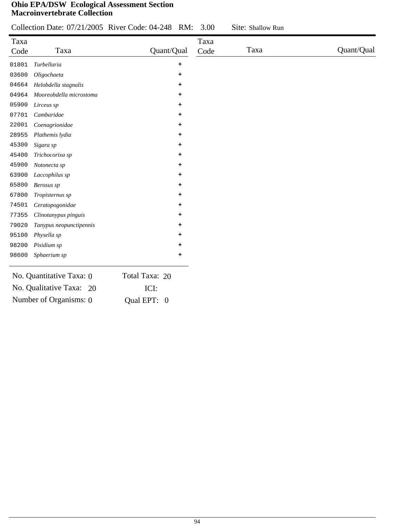Collection Date: 07/21/2005 River Code: 04-248 RM: 3.00 Site: Shallow Run

|              |                          |                                      | Taxa |      |
|--------------|--------------------------|--------------------------------------|------|------|
| Taxa<br>Code | Taxa                     | Quant/Qual                           | Code | Taxa |
|              |                          |                                      |      |      |
| 01801        | Turbellaria              | $\ddot{}$                            |      |      |
| 03600        | Oligochaeta              | ٠                                    |      |      |
| 04664        | Helobdella stagnalis     | +                                    |      |      |
| 04964        | Mooreobdella microstoma  | ٠                                    |      |      |
| 05900        | Lirceus sp               | ٠                                    |      |      |
| 07701        | Cambaridae               | ٠                                    |      |      |
| 22001        | Coenagrionidae           | ٠                                    |      |      |
| 28955        | Plathemis lydia          | ٠                                    |      |      |
| 45300        | Sigara sp                | ٠                                    |      |      |
| 45400        | Trichocorixa sp          | ٠                                    |      |      |
| 45900        | Notonecta sp             | ٠                                    |      |      |
| 63900        | Laccophilus sp           | ٠                                    |      |      |
| 65800        | Berosus sp               | ٠                                    |      |      |
| 67800        | Tropisternus sp          | ٠                                    |      |      |
| 74501        | Ceratopogonidae          | +                                    |      |      |
| 77355        | Clinotanypus pinguis     | ٠                                    |      |      |
| 79020        | Tanypus neopunctipennis  | ٠                                    |      |      |
| 95100        | Physella sp              | ٠                                    |      |      |
| 98200        | Pisidium sp              | ٠                                    |      |      |
| 98600        | Sphaerium sp             | ٠                                    |      |      |
|              | No. Quantitative Taxa: 0 | Total Taxa: 20                       |      |      |
|              | No. Qualitative Taxa: 20 | ICI:                                 |      |      |
|              | Number of Organisms: 0   | Qual EPT:<br>$\overline{\mathbf{0}}$ |      |      |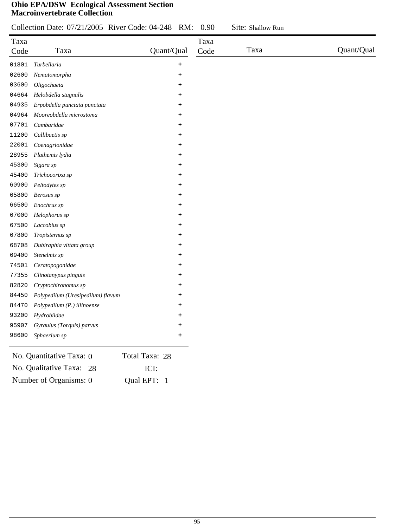Collection Date: 07/21/2005 River Code: 04-248 RM: 0.90 Site: Shallow Run

| Taxa  |                                   |                | Taxa |      |            |
|-------|-----------------------------------|----------------|------|------|------------|
| Code  | Taxa                              | Quant/Qual     | Code | Taxa | Quant/Qual |
| 01801 | Turbellaria                       | ÷              |      |      |            |
| 02600 | Nematomorpha                      | ÷              |      |      |            |
| 03600 | Oligochaeta                       | ÷              |      |      |            |
| 04664 | Helobdella stagnalis              | ٠              |      |      |            |
| 04935 | Erpobdella punctata punctata      |                |      |      |            |
| 04964 | Mooreobdella microstoma           |                |      |      |            |
| 07701 | Cambaridae                        |                |      |      |            |
| 11200 | Callibaetis sp                    | ٠              |      |      |            |
| 22001 | Coenagrionidae                    | +              |      |      |            |
| 28955 | Plathemis lydia                   |                |      |      |            |
| 45300 | Sigara sp                         | +              |      |      |            |
| 45400 | Trichocorixa sp                   | ٠              |      |      |            |
| 60900 | Peltodytes sp                     |                |      |      |            |
| 65800 | Berosus sp                        |                |      |      |            |
| 66500 | Enochrus sp                       |                |      |      |            |
| 67000 | Helophorus sp                     | ٠              |      |      |            |
| 67500 | Laccobius sp                      |                |      |      |            |
| 67800 | Tropisternus sp                   |                |      |      |            |
| 68708 | Dubiraphia vittata group          | +              |      |      |            |
| 69400 | Stenelmis sp                      | ٠              |      |      |            |
| 74501 | Ceratopogonidae                   |                |      |      |            |
| 77355 | Clinotanypus pinguis              |                |      |      |            |
| 82820 | Cryptochironomus sp               |                |      |      |            |
| 84450 | Polypedilum (Uresipedilum) flavum |                |      |      |            |
| 84470 | Polypedilum (P.) illinoense       |                |      |      |            |
| 93200 | Hydrobiidae                       |                |      |      |            |
| 95907 | Gyraulus (Torquis) parvus         | ٠              |      |      |            |
| 98600 | Sphaerium sp                      |                |      |      |            |
|       | No. Quantitative Taxa: 0          | Total Taxa: 28 |      |      |            |

| No. Quantitative Taxa: 0 | Total Taxa: 28 |
|--------------------------|----------------|
| No. Qualitative Taxa: 28 | ICI:           |
| Number of Organisms: 0   | Qual EPT: 1    |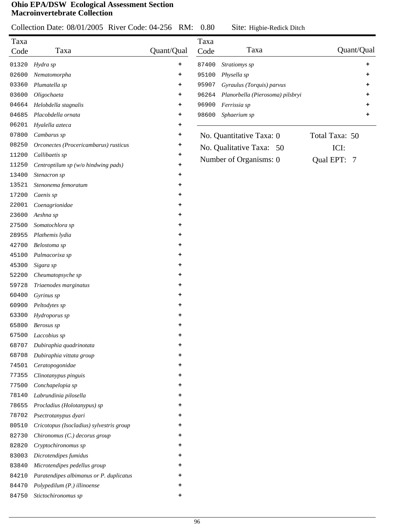Collection Date: 08/01/2005 River Code: 04-256 RM: 0.80 Site: Higbie-Redick Ditch

| Taxa  |                                          |            | Taxa  |                                  |                |
|-------|------------------------------------------|------------|-------|----------------------------------|----------------|
| Code  | Taxa                                     | Quant/Qual | Code  | Taxa                             | Quant/Qual     |
| 01320 | Hydra sp                                 | $\ddot{}$  | 87400 | Stratiomys sp                    | ٠              |
| 02600 | Nematomorpha                             | $\ddot{}$  | 95100 | Physella sp                      | ۰              |
| 03360 | Plumatella sp                            | $\ddot{}$  | 95907 | Gyraulus (Torquis) parvus        |                |
| 03600 | Oligochaeta                              | ٠          | 96264 | Planorbella (Pierosoma) pilsbryi | ٠              |
| 04664 | Helobdella stagnalis                     | $\ddot{}$  | 96900 | Ferrissia sp                     | ۰              |
| 04685 | Placobdella ornata                       | ٠          | 98600 | Sphaerium sp                     | ٠              |
| 06201 | Hyalella azteca                          | ٠          |       |                                  |                |
| 07800 | Cambarus sp                              | ٠          |       | No. Quantitative Taxa: 0         | Total Taxa: 50 |
| 08250 | Orconectes (Procericambarus) rusticus    | ٠          |       | No. Qualitative Taxa: 50         | ICI:           |
| 11200 | Callibaetis sp                           | ٠          |       |                                  |                |
| 11250 | Centroptilum sp (w/o hindwing pads)      | ٠          |       | Number of Organisms: 0           | Qual EPT: 7    |
| 13400 | Stenacron sp                             | +          |       |                                  |                |
| 13521 | Stenonema femoratum                      | +          |       |                                  |                |
| 17200 | Caenis sp                                | +          |       |                                  |                |
| 22001 | Coenagrionidae                           | ٠          |       |                                  |                |
| 23600 | Aeshna sp                                | +          |       |                                  |                |
| 27500 | Somatochlora sp                          | $\ddot{}$  |       |                                  |                |
| 28955 | Plathemis lydia                          | ٠          |       |                                  |                |
| 42700 | Belostoma sp                             | ٠          |       |                                  |                |
| 45100 | Palmacorixa sp                           | ٠          |       |                                  |                |
| 45300 | Sigara sp                                | $\ddot{}$  |       |                                  |                |
| 52200 | Cheumatopsyche sp                        | ٠          |       |                                  |                |
| 59728 | Triaenodes marginatus                    | ٠          |       |                                  |                |
| 60400 | Gyrinus sp                               | ٠          |       |                                  |                |
| 60900 | Peltodytes sp                            | ٠          |       |                                  |                |
| 63300 | Hydroporus sp                            | ٠          |       |                                  |                |
| 65800 | Berosus sp                               | ٠          |       |                                  |                |
| 67500 | Laccobius sp                             | ٠          |       |                                  |                |
| 68707 | Dubiraphia quadrinotata                  | ٠          |       |                                  |                |
| 68708 | Dubiraphia vittata group                 | +          |       |                                  |                |
| 74501 | Ceratopogonidae                          | ٠          |       |                                  |                |
| 77355 | Clinotanypus pinguis                     | +          |       |                                  |                |
| 77500 | Conchapelopia sp                         | ٠          |       |                                  |                |
| 78140 | Labrundinia pilosella                    | +          |       |                                  |                |
| 78655 | Procladius (Holotanypus) sp              | ٠          |       |                                  |                |
| 78702 | Psectrotanypus dyari                     | +          |       |                                  |                |
| 80510 | Cricotopus (Isocladius) sylvestris group | ٠          |       |                                  |                |
| 82730 | Chironomus (C.) decorus group            | ٠          |       |                                  |                |
| 82820 | Cryptochironomus sp                      | ٠          |       |                                  |                |
| 83003 | Dicrotendipes fumidus                    | ٠          |       |                                  |                |
| 83840 | Microtendipes pedellus group             | +          |       |                                  |                |
| 84210 | Paratendipes albimanus or P. duplicatus  | +          |       |                                  |                |
| 84470 | Polypedilum (P.) illinoense              | ٠          |       |                                  |                |
| 84750 | Stictochironomus sp                      | ٠          |       |                                  |                |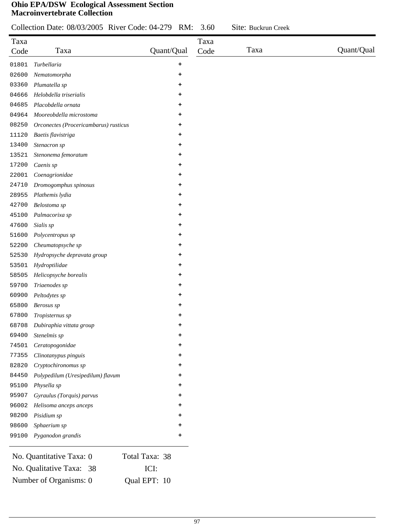Collection Date: 08/03/2005 River Code: 04-279 RM: 3.60 Site: Buckrun Creek

| Taxa<br>Code<br>01801<br>02600<br>03360 | Taxa<br>Turbellaria<br>Nematomorpha   | Quant/Qual     | Taxa<br>Code | Taxa | Quant/Qual |
|-----------------------------------------|---------------------------------------|----------------|--------------|------|------------|
|                                         |                                       |                |              |      |            |
|                                         |                                       | ٠              |              |      |            |
|                                         |                                       | ٠              |              |      |            |
|                                         | Plumatella sp                         | ٠              |              |      |            |
| 04666                                   | Helobdella triserialis                | ٠              |              |      |            |
| 04685                                   | Placobdella ornata                    | ٠              |              |      |            |
| 04964                                   | Mooreobdella microstoma               | ٠              |              |      |            |
| 08250                                   | Orconectes (Procericambarus) rusticus | ٠              |              |      |            |
| 11120                                   | Baetis flavistriga                    | ٠              |              |      |            |
| 13400                                   | Stenacron sp                          | ٠              |              |      |            |
| 13521                                   | Stenonema femoratum                   | ٠              |              |      |            |
| 17200                                   | Caenis sp                             | +              |              |      |            |
| 22001                                   | Coenagrionidae                        | +              |              |      |            |
| 24710                                   | Dromogomphus spinosus                 | +              |              |      |            |
| 28955                                   | Plathemis lydia                       | ٠              |              |      |            |
| 42700                                   | Belostoma sp                          | +              |              |      |            |
| 45100                                   | Palmacorixa sp                        | +              |              |      |            |
| 47600                                   | Sialis sp                             | ٠              |              |      |            |
| 51600                                   | Polycentropus sp                      | +              |              |      |            |
| 52200                                   | Cheumatopsyche sp                     | ٠              |              |      |            |
| 52530                                   | Hydropsyche depravata group           | +              |              |      |            |
| 53501                                   | Hydroptilidae                         | ٠              |              |      |            |
| 58505                                   | Helicopsyche borealis                 | ٠              |              |      |            |
| 59700                                   | Triaenodes sp                         | ٠              |              |      |            |
| 60900                                   | Peltodytes sp                         | ٠              |              |      |            |
| 65800                                   | Berosus sp                            | ٠              |              |      |            |
| 67800                                   | Tropisternus sp                       |                |              |      |            |
| 68708                                   | Dubiraphia vittata group              | ٠              |              |      |            |
| 69400                                   | Stenelmis sp                          | ٠              |              |      |            |
| 74501                                   | Ceratopogonidae                       | ٠              |              |      |            |
| 77355                                   | Clinotanypus pinguis                  | ٠              |              |      |            |
| 82820                                   | Cryptochironomus sp                   | ٠              |              |      |            |
| 84450                                   | Polypedilum (Uresipedilum) flavum     |                |              |      |            |
| 95100                                   | Physella sp                           | ٠              |              |      |            |
| 95907                                   | Gyraulus (Torquis) parvus             | ٠              |              |      |            |
| 96002                                   | Helisoma anceps anceps                | ٠              |              |      |            |
| 98200                                   | Pisidium sp                           | ٠              |              |      |            |
| 98600                                   | Sphaerium sp                          | ٠              |              |      |            |
| 99100                                   | Pyganodon grandis                     | +              |              |      |            |
|                                         |                                       |                |              |      |            |
|                                         | No. Quantitative Taxa: 0              | Total Taxa: 38 |              |      |            |
|                                         | No. Qualitative Taxa: 38              | ICI:           |              |      |            |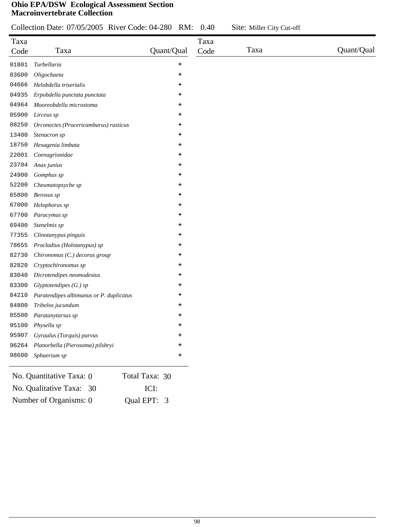Collection Date: 07/05/2005 River Code: 04-280 RM: 0.40 Site: Miller City Cut-off

| Taxa<br>Code | Taxa                                    | Quant/Qual     | Taxa<br>Code | Taxa | Quant/Qual |
|--------------|-----------------------------------------|----------------|--------------|------|------------|
| 01801        | Turbellaria                             | ÷              |              |      |            |
| 03600        | Oligochaeta                             | ٠              |              |      |            |
| 04666        | Helobdella triserialis                  | +              |              |      |            |
| 04935        | Erpobdella punctata punctata            | ٠              |              |      |            |
| 04964        | Mooreobdella microstoma                 | ٠              |              |      |            |
| 05900        | Lirceus sp                              | ٠              |              |      |            |
| 08250        | Orconectes (Procericambarus) rusticus   | ٠              |              |      |            |
| 13400        | Stenacron sp                            | ٠              |              |      |            |
| 18750        | Hexagenia limbata                       | ٠              |              |      |            |
| 22001        | Coenagrionidae                          | ٠              |              |      |            |
| 23704        | Anax junius                             | ٠              |              |      |            |
| 24900        | Gomphus sp                              | ٠              |              |      |            |
| 52200        | Cheumatopsyche sp                       | +              |              |      |            |
| 65800        | Berosus sp                              | ٠              |              |      |            |
| 67000        | Helophorus sp                           | ٠              |              |      |            |
| 67700        | Paracymus sp                            | ٠              |              |      |            |
| 69400        | Stenelmis sp                            |                |              |      |            |
| 77355        | Clinotanypus pinguis                    |                |              |      |            |
| 78655        | Procladius (Holotanypus) sp             |                |              |      |            |
| 82730        | Chironomus (C.) decorus group           | +              |              |      |            |
| 82820        | Cryptochironomus sp                     |                |              |      |            |
| 83040        | Dicrotendipes neomodestus               | +              |              |      |            |
| 83300        | Glyptotendipes (G.) sp                  |                |              |      |            |
| 84210        | Paratendipes albimanus or P. duplicatus |                |              |      |            |
| 84800        | Tribelos jucundum                       |                |              |      |            |
| 85500        | Paratanytarsus sp                       |                |              |      |            |
| 95100        | Physella sp                             |                |              |      |            |
| 95907        | Gyraulus (Torquis) parvus               |                |              |      |            |
| 96264        | Planorbella (Pierosoma) pilsbryi        |                |              |      |            |
| 98600        | Sphaerium sp                            | ٠              |              |      |            |
|              | No. Quantitative Taxa: 0                | Total Taxa: 30 |              |      |            |
|              | No. Qualitative Taxa: 30                | ICI:           |              |      |            |

Number of Organisms: 0 Qual EPT: 3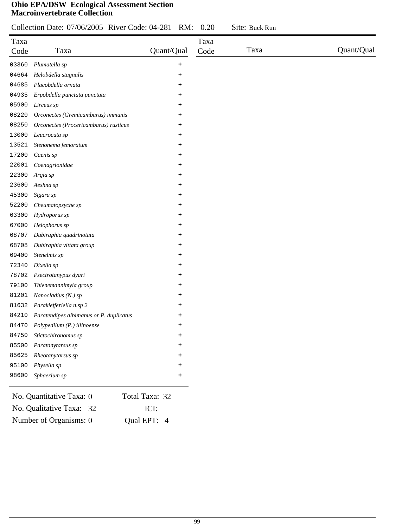Collection Date: 07/06/2005 River Code: 04-281 RM: 0.20 Site: Buck Run

| Taxa  |                                         |                | Taxa |      |            |
|-------|-----------------------------------------|----------------|------|------|------------|
| Code  | Taxa                                    | Quant/Qual     | Code | Taxa | Quant/Qual |
| 03360 | Plumatella sp                           | ٠              |      |      |            |
| 04664 | Helobdella stagnalis                    | +              |      |      |            |
| 04685 | Placobdella ornata                      | ٠              |      |      |            |
| 04935 | Erpobdella punctata punctata            | ٠              |      |      |            |
| 05900 | Lirceus sp                              | ٠              |      |      |            |
| 08220 | Orconectes (Gremicambarus) immunis      |                |      |      |            |
| 08250 | Orconectes (Procericambarus) rusticus   | ٠              |      |      |            |
| 13000 | Leucrocuta sp                           | ٠              |      |      |            |
| 13521 | Stenonema femoratum                     | ٠              |      |      |            |
| 17200 | Caenis sp                               | ٠              |      |      |            |
| 22001 | Coenagrionidae                          | ٠              |      |      |            |
| 22300 | Argia sp                                | ٠              |      |      |            |
| 23600 | Aeshna sp                               | ٠              |      |      |            |
| 45300 | Sigara sp                               | ٠              |      |      |            |
| 52200 | Cheumatopsyche sp                       | ٠              |      |      |            |
| 63300 | Hydroporus sp                           | ٠              |      |      |            |
| 67000 | Helophorus sp                           | ٠              |      |      |            |
| 68707 | Dubiraphia quadrinotata                 | ٠              |      |      |            |
| 68708 | Dubiraphia vittata group                | +              |      |      |            |
| 69400 | Stenelmis sp                            | +              |      |      |            |
| 72340 | Dixella sp                              | ٠              |      |      |            |
| 78702 | Psectrotanypus dyari                    | ٠              |      |      |            |
| 79100 | Thienemannimyia group                   | ٠              |      |      |            |
| 81201 | Nanocladius (N.) sp                     | ٠              |      |      |            |
| 81632 | Parakiefferiella n.sp 2                 | ٠              |      |      |            |
| 84210 | Paratendipes albimanus or P. duplicatus | ٠              |      |      |            |
| 84470 | Polypedilum (P.) illinoense             | ٠              |      |      |            |
| 84750 | Stictochironomus sp                     | +              |      |      |            |
| 85500 | Paratanytarsus sp                       | ٠              |      |      |            |
| 85625 | Rheotanytarsus sp                       | ٠              |      |      |            |
| 95100 | Physella sp                             | ٠              |      |      |            |
| 98600 | Sphaerium sp                            | ٠              |      |      |            |
|       | No. Quantitative Taxa: 0                | Total Taxa: 32 |      |      |            |
|       | No. Qualitative Taxa: 32                | ICI:           |      |      |            |

Number of Organisms: 0 Qual EPT: 4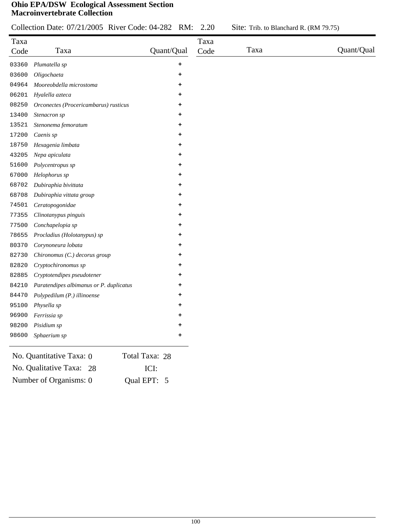Collection Date: 07/21/2005 River Code: 04-282 RM: 2.20 Site: Trib. to Blanchard R. (RM 79.75)

| Taxa  |                                         |                | Taxa |      |            |
|-------|-----------------------------------------|----------------|------|------|------------|
| Code  | Taxa                                    | Quant/Qual     | Code | Taxa | Quant/Qual |
| 03360 | Plumatella sp                           | ÷              |      |      |            |
| 03600 | Oligochaeta                             | ÷              |      |      |            |
| 04964 | Mooreobdella microstoma                 | ٠              |      |      |            |
| 06201 | Hyalella azteca                         | ٠              |      |      |            |
| 08250 | Orconectes (Procericambarus) rusticus   | ÷              |      |      |            |
| 13400 | Stenacron sp                            | ÷              |      |      |            |
| 13521 | Stenonema femoratum                     |                |      |      |            |
| 17200 | Caenis sp                               |                |      |      |            |
| 18750 | Hexagenia limbata                       | ٠              |      |      |            |
| 43205 | Nepa apiculata                          | ÷              |      |      |            |
| 51600 | Polycentropus sp                        | ٠              |      |      |            |
| 67000 | Helophorus sp                           | ÷              |      |      |            |
| 68702 | Dubiraphia bivittata                    | ÷              |      |      |            |
| 68708 | Dubiraphia vittata group                |                |      |      |            |
| 74501 | Ceratopogonidae                         | +              |      |      |            |
| 77355 | Clinotanypus pinguis                    | ÷              |      |      |            |
| 77500 | Conchapelopia sp                        |                |      |      |            |
| 78655 | Procladius (Holotanypus) sp             | ٠              |      |      |            |
| 80370 | Corynoneura lobata                      | ٠              |      |      |            |
| 82730 | Chironomus (C.) decorus group           | ÷              |      |      |            |
| 82820 | Cryptochironomus sp                     |                |      |      |            |
| 82885 | Cryptotendipes pseudotener              |                |      |      |            |
| 84210 | Paratendipes albimanus or P. duplicatus | ٠              |      |      |            |
| 84470 | Polypedilum (P.) illinoense             | ÷              |      |      |            |
| 95100 | Physella sp                             | ٠              |      |      |            |
| 96900 | Ferrissia sp                            | ٠              |      |      |            |
| 98200 | Pisidium sp                             | ٠              |      |      |            |
| 98600 | Sphaerium sp                            | ÷              |      |      |            |
|       | No. Quantitative Taxa: 0                | Total Taxa: 28 |      |      |            |

| NO. Quantitative Taxa: U | TOtal Taxa. Z8 |
|--------------------------|----------------|
| No. Qualitative Taxa: 28 | ICI:           |
| Number of Organisms: 0   | Qual EPT: 5    |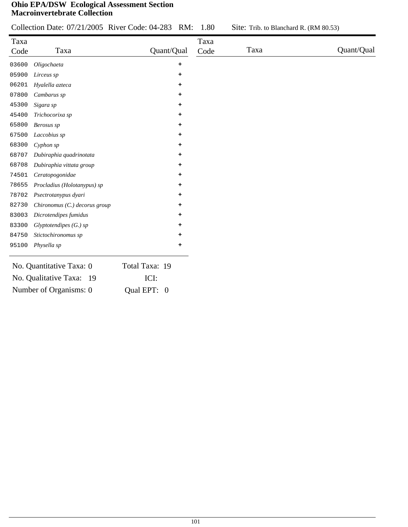Collection Date: 07/21/2005 River Code: 04-283 RM: 1.80 Site: Trib. to Blanchard R. (RM 80.53)

| Taxa  |                               |                             |   | Taxa |      |            |
|-------|-------------------------------|-----------------------------|---|------|------|------------|
| Code  | Taxa                          | Quant/Qual                  |   | Code | Taxa | Quant/Qual |
| 03600 | Oligochaeta                   |                             | ٠ |      |      |            |
| 05900 | Lirceus sp                    |                             | ٠ |      |      |            |
| 06201 | Hyalella azteca               |                             | ٠ |      |      |            |
| 07800 | Cambarus sp                   |                             | + |      |      |            |
| 45300 | Sigara sp                     |                             | ٠ |      |      |            |
| 45400 | Trichocorixa sp               |                             | ٠ |      |      |            |
| 65800 | Berosus sp                    |                             | ٠ |      |      |            |
| 67500 | Laccobius sp                  |                             | + |      |      |            |
| 68300 | Cyphon sp                     |                             | ٠ |      |      |            |
| 68707 | Dubiraphia quadrinotata       |                             | ٠ |      |      |            |
| 68708 | Dubiraphia vittata group      |                             | + |      |      |            |
| 74501 | Ceratopogonidae               |                             | + |      |      |            |
| 78655 | Procladius (Holotanypus) sp   |                             | + |      |      |            |
| 78702 | Psectrotanypus dyari          |                             | ٠ |      |      |            |
| 82730 | Chironomus (C.) decorus group |                             | + |      |      |            |
| 83003 | Dicrotendipes fumidus         |                             | + |      |      |            |
| 83300 | Glyptotendipes (G.) sp        |                             | ٠ |      |      |            |
| 84750 | Stictochironomus sp           |                             | ٠ |      |      |            |
| 95100 | Physella sp                   |                             | ٠ |      |      |            |
|       | No. Quantitative Taxa: 0      | Total Taxa: 19              |   |      |      |            |
|       | No. Qualitative Taxa: 19      | ICI:                        |   |      |      |            |
|       | Number of Organisms: 0        | Qual EPT:<br>$\overline{0}$ |   |      |      |            |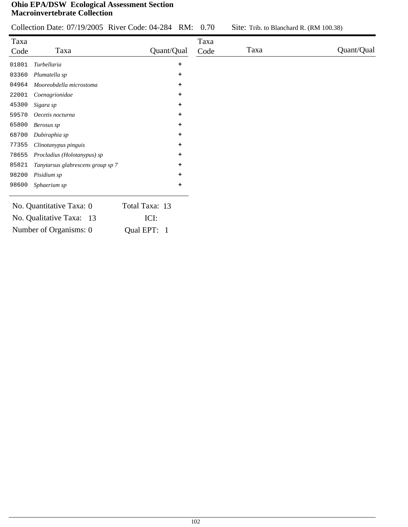Collection Date: 07/19/2005 River Code: 04-284 RM: 0.70 Site: Trib. to Blanchard R. (RM 100.38)

| Taxa  |                                   |                |            | Taxa |      |            |
|-------|-----------------------------------|----------------|------------|------|------|------------|
| Code  | Taxa                              |                | Quant/Qual | Code | Taxa | Quant/Qual |
| 01801 | Turbellaria                       |                | ٠          |      |      |            |
| 03360 | Plumatella sp                     |                | ٠          |      |      |            |
| 04964 | Mooreobdella microstoma           |                | +          |      |      |            |
| 22001 | Coenagrionidae                    |                | ٠          |      |      |            |
| 45300 | Sigara sp                         |                | +          |      |      |            |
| 59570 | Oecetis nocturna                  |                | +          |      |      |            |
| 65800 | Berosus sp                        |                | +          |      |      |            |
| 68700 | Dubiraphia sp                     |                | +          |      |      |            |
| 77355 | Clinotanypus pinguis              |                | ٠          |      |      |            |
| 78655 | Procladius (Holotanypus) sp       |                | +          |      |      |            |
| 85821 | Tanytarsus glabrescens group sp 7 |                | ٠          |      |      |            |
| 98200 | Pisidium sp                       |                | ٠          |      |      |            |
| 98600 | Sphaerium sp                      |                | ٠          |      |      |            |
|       | No. Quantitative Taxa: 0          | Total Taxa: 13 |            |      |      |            |
|       | No. Qualitative Taxa: 13          | ICI:           |            |      |      |            |
|       | Number of Organisms: 0            | Qual EPT: 1    |            |      |      |            |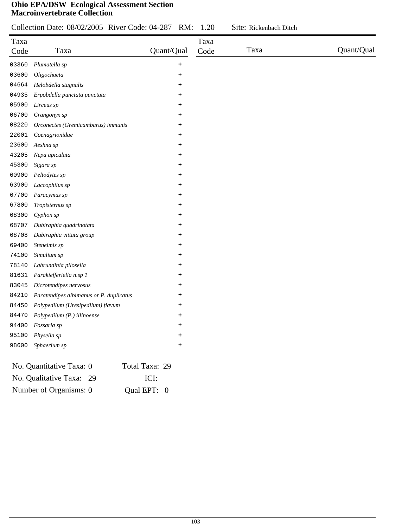Collection Date: 08/02/2005 River Code: 04-287 RM: 1.20 Site: Rickenbach Ditch

| Taxa<br>Code | Taxa                                    | Quant/Qual   | Taxa<br>Code | Taxa | Quant/Qual |
|--------------|-----------------------------------------|--------------|--------------|------|------------|
| 03360        | Plumatella sp                           | <sup>+</sup> |              |      |            |
| 03600        | Oligochaeta                             | +            |              |      |            |
| 04664        | Helobdella stagnalis                    | ٠            |              |      |            |
| 04935        | Erpobdella punctata punctata            | ٠            |              |      |            |
| 05900        | Lirceus sp                              | +            |              |      |            |
| 06700        | Crangonyx sp                            | ٠            |              |      |            |
| 08220        | Orconectes (Gremicambarus) immunis      |              |              |      |            |
| 22001        | Coenagrionidae                          |              |              |      |            |
| 23600        | Aeshna sp                               | ÷            |              |      |            |
| 43205        | Nepa apiculata                          | ٠            |              |      |            |
| 45300        | Sigara sp                               | ٠            |              |      |            |
| 60900        | Peltodytes sp                           | <sup>+</sup> |              |      |            |
| 63900        | Laccophilus sp                          | ٠            |              |      |            |
| 67700        | Paracymus sp                            | ٠            |              |      |            |
| 67800        | Tropisternus sp                         | +            |              |      |            |
| 68300        | Cyphon sp                               | ٠            |              |      |            |
| 68707        | Dubiraphia quadrinotata                 | ÷            |              |      |            |
| 68708        | Dubiraphia vittata group                | +            |              |      |            |
| 69400        | Stenelmis sp                            | $\ddot{}$    |              |      |            |
| 74100        | Simulium sp                             |              |              |      |            |
| 78140        | Labrundinia pilosella                   | ٠            |              |      |            |
| 81631        | Parakiefferiella n.sp 1                 | ٠            |              |      |            |
| 83045        | Dicrotendipes nervosus                  | ٠            |              |      |            |
| 84210        | Paratendipes albimanus or P. duplicatus | ٠            |              |      |            |
| 84450        | Polypedilum (Uresipedilum) flavum       | ÷            |              |      |            |
| 84470        | Polypedilum (P.) illinoense             | ٠            |              |      |            |
| 94400        | Fossaria sp                             | ٠            |              |      |            |
| 95100        | Physella sp                             | ٠            |              |      |            |
| 98600        | Sphaerium sp                            | ٠            |              |      |            |

| No. Qualitative Taxa: 29 | ICI:        |  |
|--------------------------|-------------|--|
| Number of Organisms: 0   | Qual EPT: 0 |  |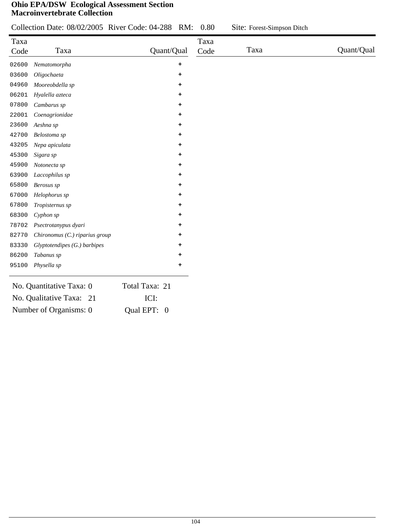Collection Date: 08/02/2005 River Code: 04-288 RM: 0.80 Site: Forest-Simpson Ditch

| Taxa  |                                |                                    | Taxa |      |            |
|-------|--------------------------------|------------------------------------|------|------|------------|
| Code  | Taxa                           | Quant/Qual                         | Code | Taxa | Quant/Qual |
| 02600 | Nematomorpha                   | ٠                                  |      |      |            |
| 03600 | Oligochaeta                    | ٠                                  |      |      |            |
| 04960 | Mooreobdella sp                | +                                  |      |      |            |
| 06201 | Hyalella azteca                | ٠.                                 |      |      |            |
| 07800 | Cambarus sp                    | ٠                                  |      |      |            |
| 22001 | Coenagrionidae                 | +                                  |      |      |            |
| 23600 | Aeshna sp                      | +                                  |      |      |            |
| 42700 | Belostoma sp                   | ٠                                  |      |      |            |
| 43205 | Nepa apiculata                 | ٠                                  |      |      |            |
| 45300 | Sigara sp                      | ٠                                  |      |      |            |
| 45900 | Notonecta sp                   | ٠                                  |      |      |            |
| 63900 | Laccophilus sp                 | ٠                                  |      |      |            |
| 65800 | Berosus sp                     | +                                  |      |      |            |
| 67000 | Helophorus sp                  | ٠                                  |      |      |            |
| 67800 | Tropisternus sp                | ٠                                  |      |      |            |
| 68300 | Cyphon sp                      | +                                  |      |      |            |
| 78702 | Psectrotanypus dyari           | ٠                                  |      |      |            |
| 82770 | Chironomus (C.) riparius group | +                                  |      |      |            |
| 83330 | Glyptotendipes (G.) barbipes   | ٠                                  |      |      |            |
| 86200 | Tabanus sp                     | ٠                                  |      |      |            |
| 95100 | Physella sp                    | ٠                                  |      |      |            |
|       | No. Quantitative Taxa: 0       | Total Taxa: 21                     |      |      |            |
|       | No. Qualitative Taxa: 21       | ICI:                               |      |      |            |
|       | Number of Organisms: 0         | <b>Qual EPT:</b><br>$\overline{0}$ |      |      |            |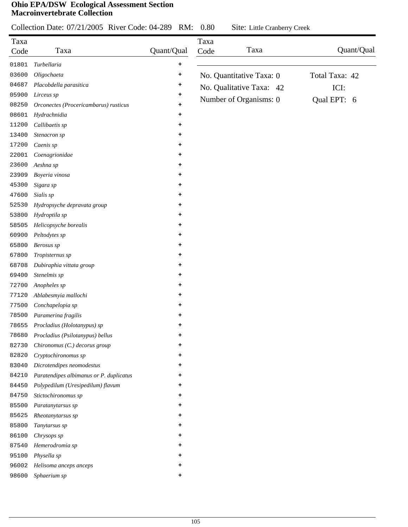|              | CONCERT Date: $0/21/2003$ Kevel Code: 0+-20) | TTIAT.     | v.ov         | DIW. LAUR CHANDLITY CIREN |                |            |
|--------------|----------------------------------------------|------------|--------------|---------------------------|----------------|------------|
| Taxa<br>Code | Taxa                                         | Quant/Qual | Taxa<br>Code | Taxa                      |                | Quant/Qual |
|              |                                              |            |              |                           |                |            |
| 01801        | Turbellaria                                  | ٠          |              |                           |                |            |
| 03600        | Oligochaeta                                  | +          |              | No. Quantitative Taxa: 0  | Total Taxa: 42 |            |
| 04687        | Placobdella parasitica                       | +          |              | No. Qualitative Taxa: 42  | ICI:           |            |
| 05900        | Lirceus sp                                   | +          |              | Number of Organisms: 0    | Qual EPT: 6    |            |
| 08250        | Orconectes (Procericambarus) rusticus        | +          |              |                           |                |            |
| 08601        | Hydrachnidia                                 | ٠          |              |                           |                |            |
| 11200        | Callibaetis sp                               | +          |              |                           |                |            |
| 13400        | Stenacron sp                                 | +          |              |                           |                |            |
| 17200        | Caenis sp                                    | ٠          |              |                           |                |            |
| 22001        | Coenagrionidae                               | ٠          |              |                           |                |            |
| 23600        | Aeshna sp                                    | ٠          |              |                           |                |            |
| 23909        | Boyeria vinosa                               | ٠          |              |                           |                |            |
| 45300        | Sigara sp                                    | ٠          |              |                           |                |            |
| 47600        | Sialis sp                                    | ٠          |              |                           |                |            |
| 52530        | Hydropsyche depravata group                  | ٠          |              |                           |                |            |
| 53800        | Hydroptila sp                                | ٠          |              |                           |                |            |
| 58505        | Helicopsyche borealis                        | ٠          |              |                           |                |            |
| 60900        | Peltodytes sp                                | ٠          |              |                           |                |            |
| 65800        | Berosus sp                                   | +          |              |                           |                |            |
| 67800        | Tropisternus sp                              | ٠          |              |                           |                |            |
| 68708        | Dubiraphia vittata group                     | ٠          |              |                           |                |            |
| 69400        | Stenelmis sp                                 | ٠          |              |                           |                |            |
| 72700        | Anopheles sp                                 | +          |              |                           |                |            |
| 77120        | Ablabesmyia mallochi                         | ٠          |              |                           |                |            |
| 77500        | Conchapelopia sp                             | ٠          |              |                           |                |            |
| 78500        | Paramerina fragilis                          |            |              |                           |                |            |
| 78655        | Procladius (Holotanypus) sp                  |            |              |                           |                |            |
| 78680        | Procladius (Psilotanypus) bellus             |            |              |                           |                |            |
| 82730        | Chironomus (C.) decorus group                | ٠          |              |                           |                |            |
| 82820        | Cryptochironomus sp                          |            |              |                           |                |            |
| 83040        | Dicrotendipes neomodestus                    |            |              |                           |                |            |
| 84210        | Paratendipes albimanus or P. duplicatus      |            |              |                           |                |            |
| 84450        | Polypedilum (Uresipedilum) flavum            |            |              |                           |                |            |
| 84750        | Stictochironomus sp                          |            |              |                           |                |            |
| 85500        | Paratanytarsus sp                            |            |              |                           |                |            |
| 85625        | Rheotanytarsus sp                            |            |              |                           |                |            |
| 85800        | Tanytarsus sp                                | ٠          |              |                           |                |            |
| 86100        | Chrysops sp                                  |            |              |                           |                |            |
| 87540        | Hemerodromia sp                              |            |              |                           |                |            |
| 95100        | Physella sp                                  |            |              |                           |                |            |
| 96002        | Helisoma anceps anceps                       |            |              |                           |                |            |
| 98600        | Sphaerium sp                                 | ٠          |              |                           |                |            |

Collection Date: 07/21/2005 River Code: 04-289 RM: 0.80 Site: Little Cranberry Creek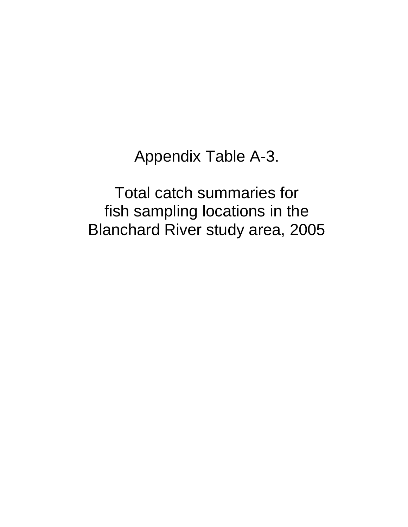Appendix Table A-3.

Total catch summaries for fish sampling locations in the Blanchard River study area, 2005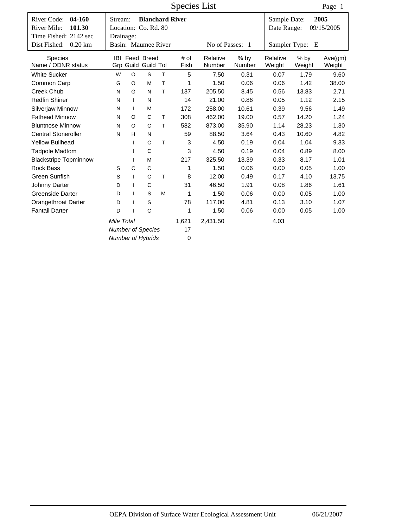Time Fished: 2142 sec Dist Fished: 0.20 km | Basin: Maumee River No of Passes: 1 Date Range: 09/15/2005 Species List # of Fish River Code: **04-160** Stream: **Blanchard River** Manuel 2011 Sample Date: Sampler Type: E **04-160 101.30 2005** Location: Co. Rd. 80 Dist Fished: 0.20 km Page 1 Number % by Number Weight % by Weight Ave(gm) Weight IBI Feed Breed # of Relative % by Relative Grp Guild Tol Guild Stream: Drainage: River Mile: Species Name / ODNR status White Sucker **5 7.50** 0.31 0.07 1.79 9.60 Common Carp GO MT 1 1.50 0.06 0.06 1.42 38.00 Creek Chub NG NT 137 205.50 8.45 0.56 13.83 2.71 Redfin Shiner NI N 14 21.00 0.86 0.05 1.12 2.15 Silverjaw Minnow  $N$  1 M  $172$  258.00 10.61 0.39 9.56 1.49 Fathead Minnow NO CT 308 462.00 19.00 0.57 14.20 1.24 Bluntnose Minnow N O C T 582 873.00 35.90 1.14 28.23 1.30 Central Stoneroller NH N 59 88.50 3.64 0.43 10.60 4.82 Yellow Bullhead **I** C T 3 4.50 0.19 0.04 1.04 9.33 Tadpole Madtom I C 3 4.50 0.19 0.04 0.89 8.00 Blackstripe Topminnow I M 217 325.50 13.39 0.33 8.17 1.01 Rock Bass SC C 1 1.50 0.06 0.00 0.05 1.00 Green Sunfish  $S$  I C T  $S$  12.00 0.49 0.17 4.10 13.75 Johnny Darter DI C 31 46.50 1.91 0.08 1.86 1.61 Greenside Darter  $D$  I S M 1 1.50 0.06 0.00 0.05 1.00 Orangethroat Darter  $D = 1$  S 78 117.00 4.81 0.13 3.10 1.07 Fantail Darter DI C 1 1.50 0.06 0.00 0.05 1.00 1,621 *Number of Species Number of Hybrids* 17 0 *Mile Total* 2,431.50 4.03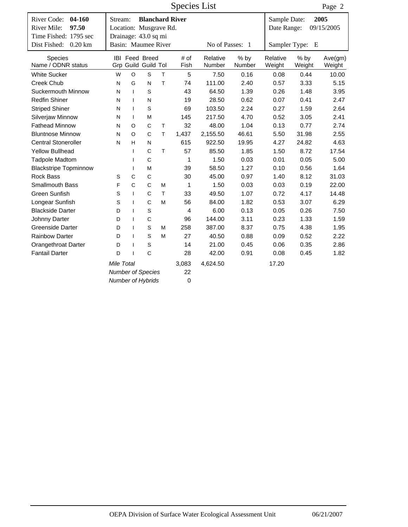|                                                                        |            |                                                |              |              | <b>Species List</b>    |                    |                  |                             |                  | Page 2             |
|------------------------------------------------------------------------|------------|------------------------------------------------|--------------|--------------|------------------------|--------------------|------------------|-----------------------------|------------------|--------------------|
| 04-160<br>River Code:<br>River Mile:<br>97.50<br>Time Fished: 1795 sec | Stream:    | Location: Musgrave Rd.<br>Drainage: 43.0 sq mi |              |              | <b>Blanchard River</b> |                    |                  | Sample Date:<br>Date Range: |                  | 2005<br>09/15/2005 |
| Dist Fished: 0.20 km                                                   |            | Basin: Maumee River                            |              |              |                        | No of Passes: 1    |                  | Sampler Type:               | E                |                    |
| Species<br>Name / ODNR status                                          |            | IBI Feed Breed<br>Grp Guild Guild Tol          |              |              | # of<br>Fish           | Relative<br>Number | $%$ by<br>Number | Relative<br>Weight          | $%$ by<br>Weight | Ave(gm)<br>Weight  |
| <b>White Sucker</b>                                                    | W          | $\circ$                                        | S            | T.           | 5                      | 7.50               | 0.16             | 0.08                        | 0.44             | 10.00              |
| Creek Chub                                                             | N          | G                                              | N            | T.           | 74                     | 111.00             | 2.40             | 0.57                        | 3.33             | 5.15               |
| <b>Suckermouth Minnow</b>                                              | N          | $\mathbf{I}$                                   | S            |              | 43                     | 64.50              | 1.39             | 0.26                        | 1.48             | 3.95               |
| <b>Redfin Shiner</b>                                                   | N          | $\mathbf{I}$                                   | N            |              | 19                     | 28.50              | 0.62             | 0.07                        | 0.41             | 2.47               |
| <b>Striped Shiner</b>                                                  | N          | $\mathbf{I}$                                   | S            |              | 69                     | 103.50             | 2.24             | 0.27                        | 1.59             | 2.64               |
| Silverjaw Minnow                                                       | N          | $\mathbf{I}$                                   | M            |              | 145                    | 217.50             | 4.70             | 0.52                        | 3.05             | 2.41               |
| <b>Fathead Minnow</b>                                                  | N          | O                                              | C            | T            | 32                     | 48.00              | 1.04             | 0.13                        | 0.77             | 2.74               |
| <b>Bluntnose Minnow</b>                                                | N          | $\circ$                                        | $\mathsf{C}$ | T.           | 1,437                  | 2,155.50           | 46.61            | 5.50                        | 31.98            | 2.55               |
| <b>Central Stoneroller</b>                                             | N          | H                                              | N            |              | 615                    | 922.50             | 19.95            | 4.27                        | 24.82            | 4.63               |
| <b>Yellow Bullhead</b>                                                 |            | $\mathbf{I}$                                   | $\mathsf{C}$ | T.           | 57                     | 85.50              | 1.85             | 1.50                        | 8.72             | 17.54              |
| <b>Tadpole Madtom</b>                                                  |            | ı                                              | $\mathsf C$  |              | 1                      | 1.50               | 0.03             | 0.01                        | 0.05             | 5.00               |
| <b>Blackstripe Topminnow</b>                                           |            | $\mathbf{I}$                                   | M            |              | 39                     | 58.50              | 1.27             | 0.10                        | 0.56             | 1.64               |
| <b>Rock Bass</b>                                                       | S          | $\mathsf{C}$                                   | C            |              | 30                     | 45.00              | 0.97             | 1.40                        | 8.12             | 31.03              |
| <b>Smallmouth Bass</b>                                                 | F          | $\mathbf C$                                    | $\mathsf{C}$ | M            | $\mathbf{1}$           | 1.50               | 0.03             | 0.03                        | 0.19             | 22.00              |
| <b>Green Sunfish</b>                                                   | S          | $\mathbf{I}$                                   | $\mathsf{C}$ | $\mathsf{T}$ | 33                     | 49.50              | 1.07             | 0.72                        | 4.17             | 14.48              |
| Longear Sunfish                                                        | S          | $\mathbf{I}$                                   | $\mathsf{C}$ | M            | 56                     | 84.00              | 1.82             | 0.53                        | 3.07             | 6.29               |
| <b>Blackside Darter</b>                                                | D          | $\mathbf{I}$                                   | S            |              | 4                      | 6.00               | 0.13             | 0.05                        | 0.26             | 7.50               |
| Johnny Darter                                                          | D          | $\mathbf{I}$                                   | $\mathsf{C}$ |              | 96                     | 144.00             | 3.11             | 0.23                        | 1.33             | 1.59               |
| <b>Greenside Darter</b>                                                | D          | $\mathbf{I}$                                   | S            | M            | 258                    | 387.00             | 8.37             | 0.75                        | 4.38             | 1.95               |
| <b>Rainbow Darter</b>                                                  | D          | $\mathbf{I}$                                   | S            | M            | 27                     | 40.50              | 0.88             | 0.09                        | 0.52             | 2.22               |
| Orangethroat Darter                                                    | D          | $\mathbf{I}$                                   | S            |              | 14                     | 21.00              | 0.45             | 0.06                        | 0.35             | 2.86               |
| <b>Fantail Darter</b>                                                  | D          | $\mathbf{I}$                                   | $\mathsf{C}$ |              | 28                     | 42.00              | 0.91             | 0.08                        | 0.45             | 1.82               |
|                                                                        | Mile Total |                                                |              |              | 3,083                  | 4,624.50           |                  | 17.20                       |                  |                    |
|                                                                        |            | <b>Number of Species</b>                       |              |              | 22                     |                    |                  |                             |                  |                    |
|                                                                        |            | Number of Hybrids                              |              |              | 0                      |                    |                  |                             |                  |                    |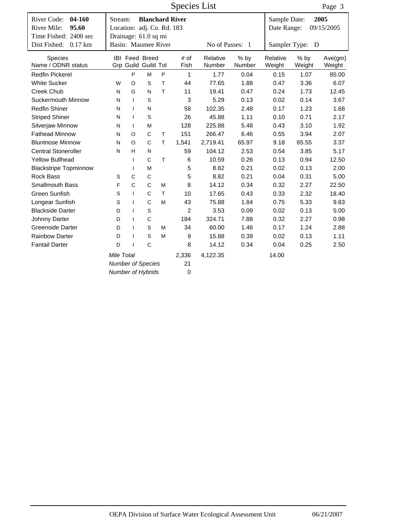|                                      |            |                |                                              |              | <b>Species List</b>    |                    |                  |                    |                  | Page 3            |
|--------------------------------------|------------|----------------|----------------------------------------------|--------------|------------------------|--------------------|------------------|--------------------|------------------|-------------------|
| River Code:<br>04-160                | Stream:    |                |                                              |              | <b>Blanchard River</b> |                    |                  | Sample Date:       |                  | 2005              |
| River Mile:<br>95.60                 |            |                | Location: adj. Co. Rd. 183                   |              |                        |                    |                  | Date Range:        |                  | 09/15/2005        |
| Time Fished: 2400 sec                |            |                | Drainage: 61.0 sq mi                         |              |                        |                    |                  |                    |                  |                   |
| Dist Fished:<br>$0.17$ km            |            |                | Basin: Maumee River                          |              |                        | No of Passes: 1    |                  | Sampler Type:      | - D              |                   |
| <b>Species</b><br>Name / ODNR status |            |                | <b>IBI</b> Feed Breed<br>Grp Guild Guild Tol |              | # of<br>Fish           | Relative<br>Number | $%$ by<br>Number | Relative<br>Weight | $%$ by<br>Weight | Ave(gm)<br>Weight |
| <b>Redfin Pickerel</b>               |            | $\mathsf{P}$   | M                                            | P            | $\mathbf{1}$           | 1.77               | 0.04             | 0.15               | 1.07             | 85.00             |
| <b>White Sucker</b>                  | W          | $\circ$        | S                                            | T            | 44                     | 77.65              | 1.88             | 0.47               | 3.36             | 6.07              |
| Creek Chub                           | N          | G              | N                                            | T            | 11                     | 19.41              | 0.47             | 0.24               | 1.73             | 12.45             |
| Suckermouth Minnow                   | N          | $\overline{1}$ | S                                            |              | 3                      | 5.29               | 0.13             | 0.02               | 0.14             | 3.67              |
| <b>Redfin Shiner</b>                 | N          | $\mathbf{I}$   | N                                            |              | 58                     | 102.35             | 2.48             | 0.17               | 1.23             | 1.68              |
| <b>Striped Shiner</b>                | N          | $\mathbf{I}$   | $\mathsf S$                                  |              | 26                     | 45.88              | 1.11             | 0.10               | 0.71             | 2.17              |
| Silverjaw Minnow                     | N          | $\mathbf{I}$   | M                                            |              | 128                    | 225.88             | 5.48             | 0.43               | 3.10             | 1.92              |
| <b>Fathead Minnow</b>                | N          | $\circ$        | C                                            | T            | 151                    | 266.47             | 6.46             | 0.55               | 3.94             | 2.07              |
| <b>Bluntnose Minnow</b>              | N          | $\circ$        | $\mathsf{C}$                                 | T            | 1,541                  | 2,719.41           | 65.97            | 9.18               | 65.55            | 3.37              |
| <b>Central Stoneroller</b>           | N          | H              | N                                            |              | 59                     | 104.12             | 2.53             | 0.54               | 3.85             | 5.17              |
| <b>Yellow Bullhead</b>               |            | $\mathbf{I}$   | C                                            | T            | 6                      | 10.59              | 0.26             | 0.13               | 0.94             | 12.50             |
| <b>Blackstripe Topminnow</b>         |            | $\mathbf{I}$   | M                                            |              | 5                      | 8.82               | 0.21             | 0.02               | 0.13             | 2.00              |
| <b>Rock Bass</b>                     | S          | $\mathsf{C}$   | $\mathsf{C}$                                 |              | 5                      | 8.82               | 0.21             | 0.04               | 0.31             | 5.00              |
| Smallmouth Bass                      | F          | $\mathsf{C}$   | $\mathsf{C}$                                 | м            | 8                      | 14.12              | 0.34             | 0.32               | 2.27             | 22.50             |
| <b>Green Sunfish</b>                 | S          | $\mathbf{I}$   | $\mathsf{C}$                                 | $\mathsf{T}$ | 10                     | 17.65              | 0.43             | 0.33               | 2.32             | 18.40             |
| Longear Sunfish                      | S          | $\mathbf{I}$   | C                                            | M            | 43                     | 75.88              | 1.84             | 0.75               | 5.33             | 9.83              |
| <b>Blackside Darter</b>              | D          | $\mathbf{I}$   | S                                            |              | $\overline{2}$         | 3.53               | 0.09             | 0.02               | 0.13             | 5.00              |
| Johnny Darter                        | D          | $\mathbf{I}$   | $\mathsf{C}$                                 |              | 184                    | 324.71             | 7.88             | 0.32               | 2.27             | 0.98              |
| <b>Greenside Darter</b>              | D          | $\mathbf{I}$   | S                                            | M            | 34                     | 60.00              | 1.46             | 0.17               | 1.24             | 2.88              |
| <b>Rainbow Darter</b>                | D          | $\overline{1}$ | S                                            | M            | 9                      | 15.88              | 0.39             | 0.02               | 0.13             | 1.11              |
| <b>Fantail Darter</b>                | D          | $\mathbf{I}$   | $\mathsf{C}$                                 |              | 8                      | 14.12              | 0.34             | 0.04               | 0.25             | 2.50              |
|                                      | Mile Total |                |                                              |              | 2,336                  | 4,122.35           |                  | 14.00              |                  |                   |
|                                      |            |                | <b>Number of Species</b>                     |              | 21                     |                    |                  |                    |                  |                   |
|                                      |            |                | <b>Number of Hybrids</b>                     |              | 0                      |                    |                  |                    |                  |                   |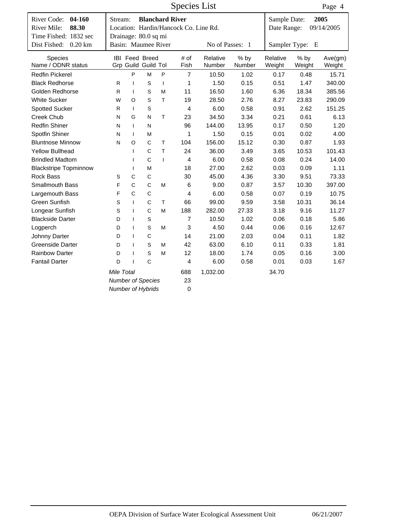|                                                                        |              |                                       |              |              | <b>Species List</b>                                             |                    |                |                             |                  | Page 4             |
|------------------------------------------------------------------------|--------------|---------------------------------------|--------------|--------------|-----------------------------------------------------------------|--------------------|----------------|-----------------------------|------------------|--------------------|
| River Code:<br>04-160<br>88.30<br>River Mile:<br>Time Fished: 1832 sec | Stream:      | Drainage: 80.0 sq mi                  |              |              | <b>Blanchard River</b><br>Location: Hardin/Hancock Co. Line Rd. |                    |                | Sample Date:<br>Date Range: |                  | 2005<br>09/14/2005 |
| Dist Fished:<br>$0.20$ km                                              |              | Basin: Maumee River                   |              |              |                                                                 | No of Passes: 1    |                | Sampler Type:               | E                |                    |
| Species<br>Name / ODNR status                                          |              | IBI Feed Breed<br>Grp Guild Guild Tol |              |              | # of<br>Fish                                                    | Relative<br>Number | % by<br>Number | Relative<br>Weight          | $%$ by<br>Weight | Ave(gm)<br>Weight  |
| <b>Redfin Pickerel</b>                                                 |              | P                                     | M            | P            | $\overline{7}$                                                  | 10.50              | 1.02           | 0.17                        | 0.48             | 15.71              |
| <b>Black Redhorse</b>                                                  | $\mathsf{R}$ | $\overline{1}$                        | $\mathbb S$  | $\mathbf{I}$ | 1                                                               | 1.50               | 0.15           | 0.51                        | 1.47             | 340.00             |
| Golden Redhorse                                                        | R            | $\mathbf{I}$                          | $\mathsf S$  | M            | 11                                                              | 16.50              | 1.60           | 6.36                        | 18.34            | 385.56             |
| <b>White Sucker</b>                                                    | W            | $\circ$                               | S            | T            | 19                                                              | 28.50              | 2.76           | 8.27                        | 23.83            | 290.09             |
| <b>Spotted Sucker</b>                                                  | R            | $\mathbf{I}$                          | $\mathsf S$  |              | $\overline{4}$                                                  | 6.00               | 0.58           | 0.91                        | 2.62             | 151.25             |
| Creek Chub                                                             | N            | G                                     | N            | T            | 23                                                              | 34.50              | 3.34           | 0.21                        | 0.61             | 6.13               |
| <b>Redfin Shiner</b>                                                   | N            | $\overline{1}$                        | N            |              | 96                                                              | 144.00             | 13.95          | 0.17                        | 0.50             | 1.20               |
| Spotfin Shiner                                                         | N            | $\mathbf{I}$                          | M            |              | 1                                                               | 1.50               | 0.15           | 0.01                        | 0.02             | 4.00               |
| <b>Bluntnose Minnow</b>                                                | N            | $\circ$                               | $\mathsf C$  | T            | 104                                                             | 156.00             | 15.12          | 0.30                        | 0.87             | 1.93               |
| <b>Yellow Bullhead</b>                                                 |              | $\mathbf{I}$                          | C            | $\top$       | 24                                                              | 36.00              | 3.49           | 3.65                        | 10.53            | 101.43             |
| <b>Brindled Madtom</b>                                                 |              | ı                                     | C            | $\mathbf{I}$ | $\overline{4}$                                                  | 6.00               | 0.58           | 0.08                        | 0.24             | 14.00              |
| <b>Blackstripe Topminnow</b>                                           |              | $\overline{1}$                        | M            |              | 18                                                              | 27.00              | 2.62           | 0.03                        | 0.09             | 1.11               |
| <b>Rock Bass</b>                                                       | S            | $\mathsf{C}$                          | $\mathsf{C}$ |              | 30                                                              | 45.00              | 4.36           | 3.30                        | 9.51             | 73.33              |
| <b>Smallmouth Bass</b>                                                 | F            | C                                     | C            | M            | 6                                                               | 9.00               | 0.87           | 3.57                        | 10.30            | 397.00             |
| Largemouth Bass                                                        | F            | C                                     | C            |              | 4                                                               | 6.00               | 0.58           | 0.07                        | 0.19             | 10.75              |
| Green Sunfish                                                          | S            | $\mathbf{I}$                          | C            | T            | 66                                                              | 99.00              | 9.59           | 3.58                        | 10.31            | 36.14              |
| Longear Sunfish                                                        | S            | $\overline{1}$                        | C            | M            | 188                                                             | 282.00             | 27.33          | 3.18                        | 9.16             | 11.27              |
| <b>Blackside Darter</b>                                                | D            | $\mathbf{I}$                          | $\mathsf S$  |              | 7                                                               | 10.50              | 1.02           | 0.06                        | 0.18             | 5.86               |
| Logperch                                                               | D            | $\mathbf{I}$                          | $\mathsf S$  | M            | 3                                                               | 4.50               | 0.44           | 0.06                        | 0.16             | 12.67              |
| Johnny Darter                                                          | D            | $\overline{1}$                        | $\mathsf{C}$ |              | 14                                                              | 21.00              | 2.03           | 0.04                        | 0.11             | 1.82               |
| <b>Greenside Darter</b>                                                | D            | $\mathbf{I}$                          | $\mathsf S$  | M            | 42                                                              | 63.00              | 6.10           | 0.11                        | 0.33             | 1.81               |
| <b>Rainbow Darter</b>                                                  | D            | $\overline{1}$                        | $\mathbb S$  | M            | 12                                                              | 18.00              | 1.74           | 0.05                        | 0.16             | 3.00               |
| <b>Fantail Darter</b>                                                  | D            | $\overline{1}$                        | $\mathsf{C}$ |              | 4                                                               | 6.00               | 0.58           | 0.01                        | 0.03             | 1.67               |
|                                                                        | Mile Total   |                                       |              |              | 688                                                             | 1,032.00           |                | 34.70                       |                  |                    |
|                                                                        |              | <b>Number of Species</b>              |              |              | 23                                                              |                    |                |                             |                  |                    |
|                                                                        |              | Number of Hybrids                     |              |              | 0                                                               |                    |                |                             |                  |                    |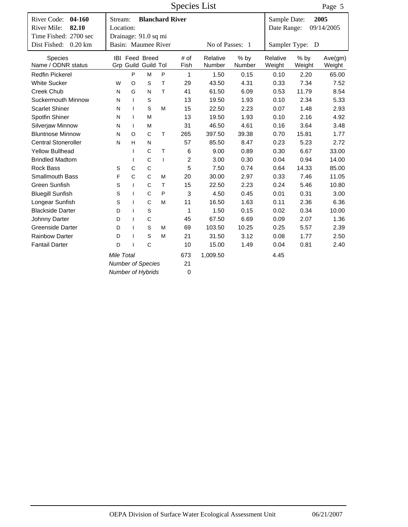|                                               |                      |                |                                              |              | $\sim$ poor $\sim$ $\sim$ $\sim$ $\sim$ |                    |                |                             |                 | $\log 1$           |
|-----------------------------------------------|----------------------|----------------|----------------------------------------------|--------------|-----------------------------------------|--------------------|----------------|-----------------------------|-----------------|--------------------|
| River Code:<br>04-160<br>River Mile:<br>82.10 | Stream:<br>Location: |                | <b>Blanchard River</b>                       |              |                                         |                    |                | Sample Date:<br>Date Range: |                 | 2005<br>09/14/2005 |
| Time Fished: 2700 sec                         |                      |                | Drainage: 91.0 sq mi                         |              |                                         |                    |                |                             |                 |                    |
| Dist Fished: 0.20 km                          |                      |                | Basin: Maumee River                          |              |                                         | No of Passes: 1    |                |                             | Sampler Type: D |                    |
| Species<br>Name / ODNR status                 |                      |                | <b>IBI</b> Feed Breed<br>Grp Guild Guild Tol |              | # of<br>Fish                            | Relative<br>Number | % by<br>Number | Relative<br>Weight          | % by<br>Weight  | Ave(gm)<br>Weight  |
| <b>Redfin Pickerel</b>                        |                      | P              | M                                            | P            | 1                                       | 1.50               | 0.15           | 0.10                        | 2.20            | 65.00              |
| <b>White Sucker</b>                           | W                    | $\circ$        | S                                            | $\top$       | 29                                      | 43.50              | 4.31           | 0.33                        | 7.34            | 7.52               |
| Creek Chub                                    | N                    | G              | N                                            | $\mathsf{T}$ | 41                                      | 61.50              | 6.09           | 0.53                        | 11.79           | 8.54               |
| <b>Suckermouth Minnow</b>                     | N                    | $\mathbf{I}$   | $\mathsf S$                                  |              | 13                                      | 19.50              | 1.93           | 0.10                        | 2.34            | 5.33               |
| <b>Scarlet Shiner</b>                         | ${\sf N}$            | $\mathbf{I}$   | $\mathsf S$                                  | M            | 15                                      | 22.50              | 2.23           | 0.07                        | 1.48            | 2.93               |
| Spotfin Shiner                                | N                    | $\mathbf{I}$   | M                                            |              | 13                                      | 19.50              | 1.93           | 0.10                        | 2.16            | 4.92               |
| Silverjaw Minnow                              | N                    | $\mathbf{I}$   | M                                            |              | 31                                      | 46.50              | 4.61           | 0.16                        | 3.64            | 3.48               |
| <b>Bluntnose Minnow</b>                       | N                    | $\circ$        | $\mathsf C$                                  | T            | 265                                     | 397.50             | 39.38          | 0.70                        | 15.81           | 1.77               |
| <b>Central Stoneroller</b>                    | N                    | H              | N                                            |              | 57                                      | 85.50              | 8.47           | 0.23                        | 5.23            | 2.72               |
| <b>Yellow Bullhead</b>                        |                      | $\mathbf{I}$   | $\mathsf C$                                  | $\mathsf{T}$ | 6                                       | 9.00               | 0.89           | 0.30                        | 6.67            | 33.00              |
| <b>Brindled Madtom</b>                        |                      | $\mathbf{I}$   | $\mathsf C$                                  | $\mathbf{I}$ | $\overline{c}$                          | 3.00               | 0.30           | 0.04                        | 0.94            | 14.00              |
| <b>Rock Bass</b>                              | S                    | $\mathsf C$    | $\mathsf{C}$                                 |              | 5                                       | 7.50               | 0.74           | 0.64                        | 14.33           | 85.00              |
| Smallmouth Bass                               | F                    | $\mathsf{C}$   | $\mathsf C$                                  | M            | 20                                      | 30.00              | 2.97           | 0.33                        | 7.46            | 11.05              |
| <b>Green Sunfish</b>                          | S                    | $\mathbf{I}$   | $\mathsf C$                                  | $\mathsf{T}$ | 15                                      | 22.50              | 2.23           | 0.24                        | 5.46            | 10.80              |
| <b>Bluegill Sunfish</b>                       | S                    | $\overline{1}$ | $\mathsf{C}$                                 | $\sf P$      | 3                                       | 4.50               | 0.45           | 0.01                        | 0.31            | 3.00               |
| Longear Sunfish                               | S                    | $\mathbf{I}$   | $\mathsf{C}$                                 | M            | 11                                      | 16.50              | 1.63           | 0.11                        | 2.36            | 6.36               |
| <b>Blackside Darter</b>                       | D                    | $\mathbf{I}$   | $\mathbb S$                                  |              | 1                                       | 1.50               | 0.15           | 0.02                        | 0.34            | 10.00              |
| Johnny Darter                                 | D                    | $\mathbf{I}$   | $\mathsf C$                                  |              | 45                                      | 67.50              | 6.69           | 0.09                        | 2.07            | 1.36               |
| <b>Greenside Darter</b>                       | D                    | $\mathbf{I}$   | $\mathsf S$                                  | M            | 69                                      | 103.50             | 10.25          | 0.25                        | 5.57            | 2.39               |
| Rainbow Darter                                | D                    | $\mathbf{I}$   | $\mathsf S$                                  | M            | 21                                      | 31.50              | 3.12           | 0.08                        | 1.77            | 2.50               |
| <b>Fantail Darter</b>                         | D                    | $\mathbf{I}$   | $\mathsf{C}$                                 |              | 10                                      | 15.00              | 1.49           | 0.04                        | 0.81            | 2.40               |
|                                               | Mile Total           |                |                                              |              | 673                                     | 1,009.50           |                | 4.45                        |                 |                    |
|                                               |                      |                | Number of Species                            |              | 21                                      |                    |                |                             |                 |                    |
|                                               |                      |                | Number of Hybrids                            |              | $\mathbf 0$                             |                    |                |                             |                 |                    |
|                                               |                      |                |                                              |              |                                         |                    |                |                             |                 |                    |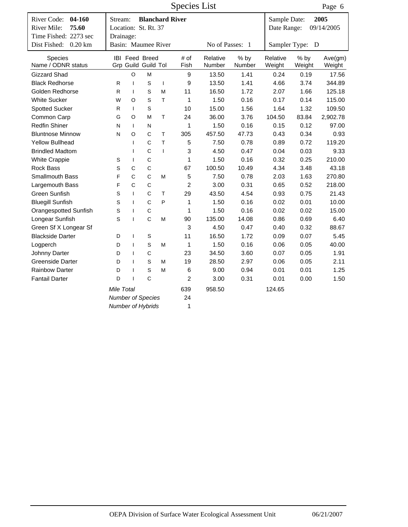|                                                                        |                          |                |                                                |              | <b>Species List</b> |                    |                  |                             |                  | Page 6             |
|------------------------------------------------------------------------|--------------------------|----------------|------------------------------------------------|--------------|---------------------|--------------------|------------------|-----------------------------|------------------|--------------------|
| River Code:<br>04-160<br>River Mile:<br>75.60<br>Time Fished: 2273 sec | Stream:<br>Drainage:     |                | <b>Blanchard River</b><br>Location: St. Rt. 37 |              |                     |                    |                  | Sample Date:<br>Date Range: |                  | 2005<br>09/14/2005 |
| Dist Fished:<br>$0.20$ km                                              |                          |                | Basin: Maumee River                            |              |                     | No of Passes: 1    |                  | Sampler Type:               | D                |                    |
| Species<br>Name / ODNR status                                          |                          |                | <b>IBI</b> Feed Breed<br>Grp Guild Guild Tol   |              | # of<br>Fish        | Relative<br>Number | $%$ by<br>Number | Relative<br>Weight          | $%$ by<br>Weight | Ave(gm)<br>Weight  |
| Gizzard Shad                                                           |                          | $\circ$        | M                                              |              | $\boldsymbol{9}$    | 13.50              | 1.41             | 0.24                        | 0.19             | 17.56              |
| <b>Black Redhorse</b>                                                  | R                        | $\overline{1}$ | S                                              | $\mathbf{I}$ | 9                   | 13.50              | 1.41             | 4.66                        | 3.74             | 344.89             |
| Golden Redhorse                                                        | R                        | $\mathbf{I}$   | S                                              | M            | 11                  | 16.50              | 1.72             | 2.07                        | 1.66             | 125.18             |
| <b>White Sucker</b>                                                    | W                        | $\circ$        | S                                              | T.           | $\mathbf{1}$        | 1.50               | 0.16             | 0.17                        | 0.14             | 115.00             |
| <b>Spotted Sucker</b>                                                  | R                        | $\mathbf{I}$   | S                                              |              | 10                  | 15.00              | 1.56             | 1.64                        | 1.32             | 109.50             |
| Common Carp                                                            | G                        | $\circ$        | M                                              | T.           | 24                  | 36.00              | 3.76             | 104.50                      | 83.84            | 2,902.78           |
| <b>Redfin Shiner</b>                                                   | N                        | $\mathbf{I}$   | N                                              |              | $\mathbf 1$         | 1.50               | 0.16             | 0.15                        | 0.12             | 97.00              |
| <b>Bluntnose Minnow</b>                                                | N                        | $\circ$        | $\mathsf{C}$                                   | T            | 305                 | 457.50             | 47.73            | 0.43                        | 0.34             | 0.93               |
| <b>Yellow Bullhead</b>                                                 |                          | $\mathbf{I}$   | C                                              | $\mathsf T$  | 5                   | 7.50               | 0.78             | 0.89                        | 0.72             | 119.20             |
| <b>Brindled Madtom</b>                                                 |                          | $\mathbf{I}$   | $\mathsf{C}$                                   | $\mathbf{I}$ | 3                   | 4.50               | 0.47             | 0.04                        | 0.03             | 9.33               |
| <b>White Crappie</b>                                                   | S                        | $\mathbf{I}$   | C                                              |              | 1                   | 1.50               | 0.16             | 0.32                        | 0.25             | 210.00             |
| <b>Rock Bass</b>                                                       | S                        | C              | $\mathsf{C}$                                   |              | 67                  | 100.50             | 10.49            | 4.34                        | 3.48             | 43.18              |
| Smallmouth Bass                                                        | F                        | $\mathsf{C}$   | C                                              | M            | 5                   | 7.50               | 0.78             | 2.03                        | 1.63             | 270.80             |
| Largemouth Bass                                                        | F                        | $\mathsf{C}$   | $\mathsf{C}$                                   |              | $\overline{2}$      | 3.00               | 0.31             | 0.65                        | 0.52             | 218.00             |
| <b>Green Sunfish</b>                                                   | S                        | $\mathbf{I}$   | C                                              | T            | 29                  | 43.50              | 4.54             | 0.93                        | 0.75             | 21.43              |
| <b>Bluegill Sunfish</b>                                                | S                        | $\mathbf{I}$   | $\mathsf{C}$                                   | P            | $\mathbf{1}$        | 1.50               | 0.16             | 0.02                        | 0.01             | 10.00              |
| <b>Orangespotted Sunfish</b>                                           | S                        | $\overline{1}$ | $\mathsf{C}$                                   |              | 1                   | 1.50               | 0.16             | 0.02                        | 0.02             | 15.00              |
| Longear Sunfish                                                        | S                        | $\mathbf{I}$   | $\mathsf{C}$                                   | M            | 90                  | 135.00             | 14.08            | 0.86                        | 0.69             | 6.40               |
| Green Sf X Longear Sf                                                  |                          |                |                                                |              | 3                   | 4.50               | 0.47             | 0.40                        | 0.32             | 88.67              |
| <b>Blackside Darter</b>                                                | D                        | $\mathbf{I}$   | $\mathsf S$                                    |              | 11                  | 16.50              | 1.72             | 0.09                        | 0.07             | 5.45               |
| Logperch                                                               | D                        | $\mathbf{I}$   | S                                              | M            | $\mathbf{1}$        | 1.50               | 0.16             | 0.06                        | 0.05             | 40.00              |
| Johnny Darter                                                          | D                        | $\mathbf{I}$   | $\mathsf{C}$                                   |              | 23                  | 34.50              | 3.60             | 0.07                        | 0.05             | 1.91               |
| Greenside Darter                                                       | D                        | $\mathbf{I}$   | S                                              | M            | 19                  | 28.50              | 2.97             | 0.06                        | 0.05             | 2.11               |
| <b>Rainbow Darter</b>                                                  | D                        | $\mathbf{I}$   | S                                              | M            | 6                   | 9.00               | 0.94             | 0.01                        | 0.01             | 1.25               |
| <b>Fantail Darter</b>                                                  | D                        | $\overline{1}$ | $\mathsf{C}$                                   |              | $\overline{2}$      | 3.00               | 0.31             | 0.01                        | 0.00             | 1.50               |
|                                                                        | Mile Total               |                |                                                |              | 639                 | 958.50             |                  | 124.65                      |                  |                    |
|                                                                        | <b>Number of Species</b> |                |                                                |              | 24                  |                    |                  |                             |                  |                    |
|                                                                        | Number of Hybrids        |                |                                                |              | 1                   |                    |                  |                             |                  |                    |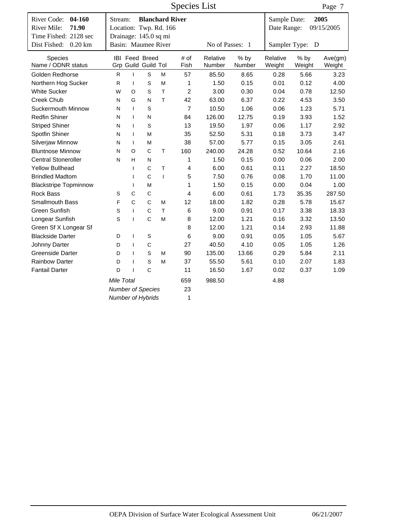|                                                                                                |                                                                                   |                |                                              |                | <b>Species List</b> |                    |                |                                              |                | Page 7             |
|------------------------------------------------------------------------------------------------|-----------------------------------------------------------------------------------|----------------|----------------------------------------------|----------------|---------------------|--------------------|----------------|----------------------------------------------|----------------|--------------------|
| River Code:<br>04-160<br>River Mile:<br>71.90<br>Time Fished: 2128 sec<br>Dist Fished: 0.20 km | Stream:<br>Location: Twp. Rd. 166<br>Drainage: 145.0 sq mi<br>Basin: Maumee River |                | <b>Blanchard River</b>                       |                |                     | No of Passes: 1    |                | Sample Date:<br>Date Range:<br>Sampler Type: | D              | 2005<br>09/15/2005 |
| Species<br>Name / ODNR status                                                                  |                                                                                   |                | <b>IBI Feed Breed</b><br>Grp Guild Guild Tol |                | # of<br>Fish        | Relative<br>Number | % by<br>Number | Relative<br>Weight                           | % by<br>Weight | Ave(gm)<br>Weight  |
| Golden Redhorse                                                                                | $\mathsf{R}$                                                                      | $\mathbf{I}$   | $\mathsf S$                                  | M              | 57                  | 85.50              | 8.65           | 0.28                                         | 5.66           | 3.23               |
| Northern Hog Sucker                                                                            | R                                                                                 | $\mathbf{I}$   | S                                            | M              | 1                   | 1.50               | 0.15           | 0.01                                         | 0.12           | 4.00               |
| <b>White Sucker</b>                                                                            | W                                                                                 | $\circ$        | $\mathsf S$                                  | $\top$         | $\overline{c}$      | 3.00               | 0.30           | 0.04                                         | 0.78           | 12.50              |
| Creek Chub                                                                                     | N                                                                                 | G              | N                                            | T.             | 42                  | 63.00              | 6.37           | 0.22                                         | 4.53           | 3.50               |
| <b>Suckermouth Minnow</b>                                                                      | N                                                                                 | $\mathbf{I}$   | $\mathsf S$                                  |                | $\overline{7}$      | 10.50              | 1.06           | 0.06                                         | 1.23           | 5.71               |
| <b>Redfin Shiner</b>                                                                           | N                                                                                 | $\mathbf{I}$   | N                                            |                | 84                  | 126.00             | 12.75          | 0.19                                         | 3.93           | 1.52               |
| <b>Striped Shiner</b>                                                                          | N                                                                                 | $\mathbf{I}$   | S                                            |                | 13                  | 19.50              | 1.97           | 0.06                                         | 1.17           | 2.92               |
| Spotfin Shiner                                                                                 | N                                                                                 | $\mathbf{I}$   | M                                            |                | 35                  | 52.50              | 5.31           | 0.18                                         | 3.73           | 3.47               |
| Silverjaw Minnow                                                                               | N                                                                                 | $\mathbf{I}$   | M                                            |                | 38                  | 57.00              | 5.77           | 0.15                                         | 3.05           | 2.61               |
| <b>Bluntnose Minnow</b>                                                                        | N                                                                                 | O              | $\mathsf{C}$                                 | T              | 160                 | 240.00             | 24.28          | 0.52                                         | 10.64          | 2.16               |
| <b>Central Stoneroller</b>                                                                     | N                                                                                 | H              | N                                            |                | 1                   | 1.50               | 0.15           | 0.00                                         | 0.06           | 2.00               |
| <b>Yellow Bullhead</b>                                                                         |                                                                                   | $\mathbf{I}$   | C                                            | T              | 4                   | 6.00               | 0.61           | 0.11                                         | 2.27           | 18.50              |
| <b>Brindled Madtom</b>                                                                         |                                                                                   | I              | $\mathsf{C}$                                 | $\overline{1}$ | 5                   | 7.50               | 0.76           | 0.08                                         | 1.70           | 11.00              |
| <b>Blackstripe Topminnow</b>                                                                   |                                                                                   | $\mathbf{I}$   | M                                            |                | 1                   | 1.50               | 0.15           | 0.00                                         | 0.04           | 1.00               |
| <b>Rock Bass</b>                                                                               | S                                                                                 | C              | C                                            |                | 4                   | 6.00               | 0.61           | 1.73                                         | 35.35          | 287.50             |
| Smallmouth Bass                                                                                | F                                                                                 | $\mathsf{C}$   | C                                            | M              | 12                  | 18.00              | 1.82           | 0.28                                         | 5.78           | 15.67              |
| <b>Green Sunfish</b>                                                                           | S                                                                                 | $\mathbf{I}$   | $\mathsf{C}$                                 | $\top$         | $6\phantom{1}6$     | 9.00               | 0.91           | 0.17                                         | 3.38           | 18.33              |
| Longear Sunfish                                                                                | S                                                                                 | $\mathbf{I}$   | C                                            | M              | 8                   | 12.00              | 1.21           | 0.16                                         | 3.32           | 13.50              |
| Green Sf X Longear Sf                                                                          |                                                                                   |                |                                              |                | 8                   | 12.00              | 1.21           | 0.14                                         | 2.93           | 11.88              |
| <b>Blackside Darter</b>                                                                        | D                                                                                 | $\mathbf{I}$   | $\mathbb S$                                  |                | 6                   | 9.00               | 0.91           | 0.05                                         | 1.05           | 5.67               |
| Johnny Darter                                                                                  | D                                                                                 | $\mathbf{I}$   | C                                            |                | 27                  | 40.50              | 4.10           | 0.05                                         | 1.05           | 1.26               |
| <b>Greenside Darter</b>                                                                        | D                                                                                 | $\mathbf{I}$   | $\mathsf S$                                  | M              | 90                  | 135.00             | 13.66          | 0.29                                         | 5.84           | 2.11               |
| <b>Rainbow Darter</b>                                                                          | D                                                                                 | $\overline{1}$ | $\mathsf S$                                  | M              | 37                  | 55.50              | 5.61           | 0.10                                         | 2.07           | 1.83               |
| <b>Fantail Darter</b>                                                                          | D                                                                                 | $\mathbf{I}$   | $\mathsf{C}$                                 |                | 11                  | 16.50              | 1.67           | 0.02                                         | 0.37           | 1.09               |
|                                                                                                | Mile Total                                                                        |                |                                              |                | 659                 | 988.50             |                | 4.88                                         |                |                    |
|                                                                                                | <b>Number of Species</b>                                                          |                |                                              |                | 23                  |                    |                |                                              |                |                    |
|                                                                                                | <b>Number of Hybrids</b>                                                          |                |                                              |                | 1                   |                    |                |                                              |                |                    |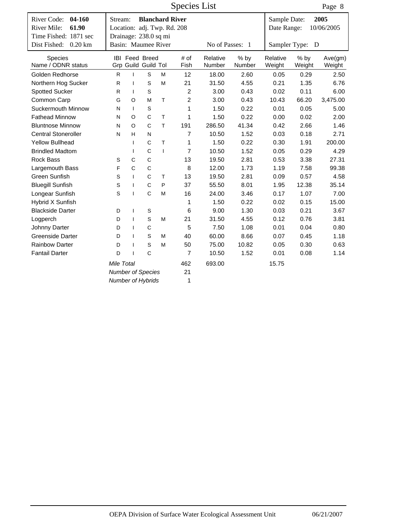|                                                                        |            |                          |                                              |              | <b>Species List</b>                                   |                    |                |                             |                | Page 8             |
|------------------------------------------------------------------------|------------|--------------------------|----------------------------------------------|--------------|-------------------------------------------------------|--------------------|----------------|-----------------------------|----------------|--------------------|
| River Code:<br>04-160<br>River Mile:<br>61.90<br>Time Fished: 1871 sec | Stream:    |                          | Drainage: 238.0 sq mi                        |              | <b>Blanchard River</b><br>Location: adj. Twp. Rd. 208 |                    |                | Sample Date:<br>Date Range: |                | 2005<br>10/06/2005 |
| Dist Fished: 0.20 km                                                   |            |                          | Basin: Maumee River                          |              |                                                       | No of Passes: 1    |                | Sampler Type:               | D              |                    |
| <b>Species</b><br>Name / ODNR status                                   |            |                          | <b>IBI Feed Breed</b><br>Grp Guild Guild Tol |              | # of<br>Fish                                          | Relative<br>Number | % by<br>Number | Relative<br>Weight          | % by<br>Weight | Ave(gm)<br>Weight  |
| Golden Redhorse                                                        | R          | $\mathbf{I}$             | S                                            | M            | 12                                                    | 18.00              | 2.60           | 0.05                        | 0.29           | 2.50               |
| Northern Hog Sucker                                                    | R          | $\mathbf{I}$             | S                                            | M            | 21                                                    | 31.50              | 4.55           | 0.21                        | 1.35           | 6.76               |
| <b>Spotted Sucker</b>                                                  | R          | $\mathbf{I}$             | S                                            |              | $\overline{2}$                                        | 3.00               | 0.43           | 0.02                        | 0.11           | 6.00               |
| Common Carp                                                            | G          | $\circ$                  | M                                            | T            | $\overline{2}$                                        | 3.00               | 0.43           | 10.43                       | 66.20          | 3,475.00           |
| Suckermouth Minnow                                                     | N          | $\mathbf{I}$             | S                                            |              | 1                                                     | 1.50               | 0.22           | 0.01                        | 0.05           | 5.00               |
| <b>Fathead Minnow</b>                                                  | N          | $\circ$                  | C                                            | $\mathsf{T}$ | 1                                                     | 1.50               | 0.22           | 0.00                        | 0.02           | 2.00               |
| <b>Bluntnose Minnow</b>                                                | N          | $\circ$                  | C                                            | T            | 191                                                   | 286.50             | 41.34          | 0.42                        | 2.66           | 1.46               |
| <b>Central Stoneroller</b>                                             | N          | H                        | N                                            |              | 7                                                     | 10.50              | 1.52           | 0.03                        | 0.18           | 2.71               |
| <b>Yellow Bullhead</b>                                                 |            | $\mathbf{I}$             | C                                            | T            | 1                                                     | 1.50               | 0.22           | 0.30                        | 1.91           | 200.00             |
| <b>Brindled Madtom</b>                                                 |            | $\mathbf{I}$             | $\mathsf{C}$                                 | $\mathbf{I}$ | $\overline{7}$                                        | 10.50              | 1.52           | 0.05                        | 0.29           | 4.29               |
| <b>Rock Bass</b>                                                       | S          | $\mathsf{C}$             | $\mathsf C$                                  |              | 13                                                    | 19.50              | 2.81           | 0.53                        | 3.38           | 27.31              |
| Largemouth Bass                                                        | F          | $\mathbf C$              | C                                            |              | 8                                                     | 12.00              | 1.73           | 1.19                        | 7.58           | 99.38              |
| <b>Green Sunfish</b>                                                   | S          | $\mathbf{I}$             | $\mathsf{C}$                                 | T            | 13                                                    | 19.50              | 2.81           | 0.09                        | 0.57           | 4.58               |
| <b>Bluegill Sunfish</b>                                                | S          | $\mathbf{I}$             | C                                            | P            | 37                                                    | 55.50              | 8.01           | 1.95                        | 12.38          | 35.14              |
| Longear Sunfish                                                        | S          | $\mathbf{I}$             | $\mathsf{C}$                                 | M            | 16                                                    | 24.00              | 3.46           | 0.17                        | 1.07           | 7.00               |
| Hybrid X Sunfish                                                       |            |                          |                                              |              | 1                                                     | 1.50               | 0.22           | 0.02                        | 0.15           | 15.00              |
| <b>Blackside Darter</b>                                                | D          | $\mathbf{I}$             | S                                            |              | 6                                                     | 9.00               | 1.30           | 0.03                        | 0.21           | 3.67               |
| Logperch                                                               | D          | $\mathbf{I}$             | S                                            | M            | 21                                                    | 31.50              | 4.55           | 0.12                        | 0.76           | 3.81               |
| Johnny Darter                                                          | D          | $\mathbf{I}$             | $\mathsf{C}$                                 |              | 5                                                     | 7.50               | 1.08           | 0.01                        | 0.04           | 0.80               |
| <b>Greenside Darter</b>                                                | D          | $\mathbf{I}$             | S                                            | M            | 40                                                    | 60.00              | 8.66           | 0.07                        | 0.45           | 1.18               |
| <b>Rainbow Darter</b>                                                  | D          | $\mathbf{I}$             | S                                            | M            | 50                                                    | 75.00              | 10.82          | 0.05                        | 0.30           | 0.63               |
| <b>Fantail Darter</b>                                                  | D          | $\overline{\phantom{a}}$ | $\mathsf{C}$                                 |              | $\overline{7}$                                        | 10.50              | 1.52           | 0.01                        | 0.08           | 1.14               |
|                                                                        | Mile Total |                          |                                              |              | 462                                                   | 693.00             |                | 15.75                       |                |                    |
|                                                                        |            |                          | <b>Number of Species</b>                     |              | 21                                                    |                    |                |                             |                |                    |
|                                                                        |            |                          | Number of Hybrids                            |              | 1                                                     |                    |                |                             |                |                    |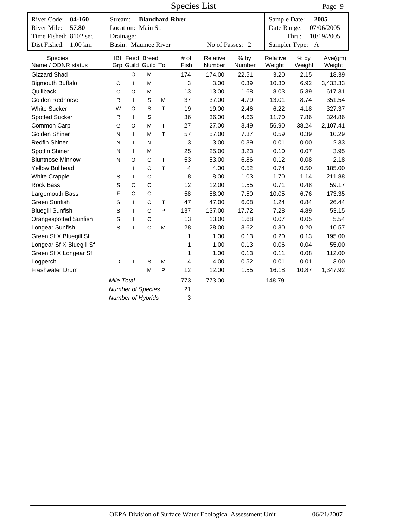|                                                                                                             |                                                                   |                          |                                              |              | <b>Species List</b> |                    |                |                                              |                       | Page 9                           |
|-------------------------------------------------------------------------------------------------------------|-------------------------------------------------------------------|--------------------------|----------------------------------------------|--------------|---------------------|--------------------|----------------|----------------------------------------------|-----------------------|----------------------------------|
| 04-160<br>River Code:<br>River Mile:<br>57.80<br>Time Fished: 8102 sec<br>Dist Fished:<br>$1.00 \text{ km}$ | Stream:<br>Location: Main St.<br>Drainage:<br>Basin: Maumee River |                          | <b>Blanchard River</b>                       |              |                     | No of Passes: 2    |                | Sample Date:<br>Date Range:<br>Sampler Type: | Thru:<br>$\mathbf{A}$ | 2005<br>07/06/2005<br>10/19/2005 |
| <b>Species</b><br>Name / ODNR status                                                                        |                                                                   |                          | <b>IBI</b> Feed Breed<br>Grp Guild Guild Tol |              | # of<br>Fish        | Relative<br>Number | % by<br>Number | Relative<br>Weight                           | $%$ by<br>Weight      | Ave(gm)<br>Weight                |
| Gizzard Shad                                                                                                |                                                                   | $\circ$                  | M                                            |              | 174                 | 174.00             | 22.51          | 3.20                                         | 2.15                  | 18.39                            |
| <b>Bigmouth Buffalo</b>                                                                                     | C                                                                 | $\mathbf{I}$             | M                                            |              | 3                   | 3.00               | 0.39           | 10.30                                        | 6.92                  | 3,433.33                         |
| Quillback                                                                                                   | $\mathsf{C}$                                                      | $\circ$                  | M                                            |              | 13                  | 13.00              | 1.68           | 8.03                                         | 5.39                  | 617.31                           |
| Golden Redhorse                                                                                             | R                                                                 | $\mathbf{I}$             | $\mathsf S$                                  | M            | 37                  | 37.00              | 4.79           | 13.01                                        | 8.74                  | 351.54                           |
| <b>White Sucker</b>                                                                                         | W                                                                 | O                        | $\mathsf S$                                  | T.           | 19                  | 19.00              | 2.46           | 6.22                                         | 4.18                  | 327.37                           |
| <b>Spotted Sucker</b>                                                                                       | R                                                                 | $\mathbf{I}$             | S                                            |              | 36                  | 36.00              | 4.66           | 11.70                                        | 7.86                  | 324.86                           |
| Common Carp                                                                                                 | G                                                                 | $\Omega$                 | M                                            | T.           | 27                  | 27.00              | 3.49           | 56.90                                        | 38.24                 | 2,107.41                         |
| Golden Shiner                                                                                               | N                                                                 | $\mathbf{I}$             | М                                            | $\top$       | 57                  | 57.00              | 7.37           | 0.59                                         | 0.39                  | 10.29                            |
| <b>Redfin Shiner</b>                                                                                        | N                                                                 | $\mathbf{I}$             | N                                            |              | 3                   | 3.00               | 0.39           | 0.01                                         | 0.00                  | 2.33                             |
| Spotfin Shiner                                                                                              | N                                                                 | $\mathbf{I}$             | М                                            |              | 25                  | 25.00              | 3.23           | 0.10                                         | 0.07                  | 3.95                             |
| <b>Bluntnose Minnow</b>                                                                                     | N                                                                 | $\circ$                  | C                                            | T.           | 53                  | 53.00              | 6.86           | 0.12                                         | 0.08                  | 2.18                             |
| <b>Yellow Bullhead</b>                                                                                      |                                                                   | $\mathbf{I}$             | $\mathsf{C}$                                 | $\mathsf T$  | $\overline{4}$      | 4.00               | 0.52           | 0.74                                         | 0.50                  | 185.00                           |
| <b>White Crappie</b>                                                                                        | S                                                                 | $\mathbf{I}$             | C                                            |              | 8                   | 8.00               | 1.03           | 1.70                                         | 1.14                  | 211.88                           |
| <b>Rock Bass</b>                                                                                            | S                                                                 | C                        | $\mathsf{C}$                                 |              | 12                  | 12.00              | 1.55           | 0.71                                         | 0.48                  | 59.17                            |
| Largemouth Bass                                                                                             | F                                                                 | $\mathsf{C}$             | $\mathsf{C}$                                 |              | 58                  | 58.00              | 7.50           | 10.05                                        | 6.76                  | 173.35                           |
| Green Sunfish                                                                                               | S                                                                 | $\mathbf{I}$             | $\mathsf{C}$                                 | $\sf T$      | 47                  | 47.00              | 6.08           | 1.24                                         | 0.84                  | 26.44                            |
| <b>Bluegill Sunfish</b>                                                                                     | S                                                                 | $\mathbf{I}$             | $\mathsf{C}$                                 | P            | 137                 | 137.00             | 17.72          | 7.28                                         | 4.89                  | 53.15                            |
| Orangespotted Sunfish                                                                                       | S                                                                 | $\mathbf{I}$             | C                                            |              | 13                  | 13.00              | 1.68           | 0.07                                         | 0.05                  | 5.54                             |
| Longear Sunfish                                                                                             | S                                                                 | $\mathbf{I}$             | $\mathsf{C}$                                 | M            | 28                  | 28.00              | 3.62           | 0.30                                         | 0.20                  | 10.57                            |
| Green Sf X Bluegill Sf                                                                                      |                                                                   |                          |                                              |              | 1                   | 1.00               | 0.13           | 0.20                                         | 0.13                  | 195.00                           |
| Longear Sf X Bluegill Sf                                                                                    |                                                                   |                          |                                              |              | 1                   | 1.00               | 0.13           | 0.06                                         | 0.04                  | 55.00                            |
| Green Sf X Longear Sf                                                                                       |                                                                   |                          |                                              |              | 1                   | 1.00               | 0.13           | 0.11                                         | 0.08                  | 112.00                           |
| Logperch                                                                                                    | D                                                                 | $\overline{\phantom{a}}$ | S                                            | M            | 4                   | 4.00               | 0.52           | 0.01                                         | 0.01                  | 3.00                             |
| Freshwater Drum                                                                                             |                                                                   |                          | M                                            | $\mathsf{P}$ | 12                  | 12.00              | 1.55           | 16.18                                        | 10.87                 | 1,347.92                         |
|                                                                                                             | Mile Total                                                        |                          |                                              |              | 773                 | 773.00             |                | 148.79                                       |                       |                                  |
|                                                                                                             | <b>Number of Species</b>                                          |                          |                                              |              | 21                  |                    |                |                                              |                       |                                  |
|                                                                                                             | <b>Number of Hybrids</b>                                          | 3                        |                                              |              |                     |                    |                |                                              |                       |                                  |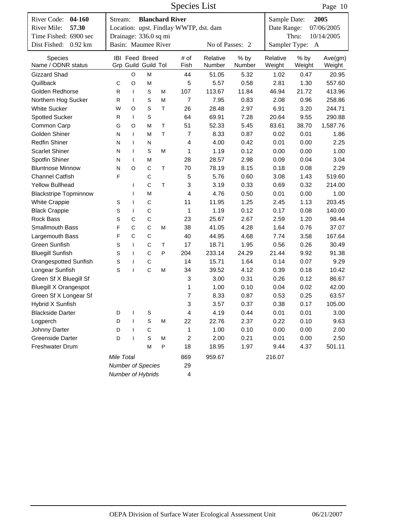|                              |                   |                          |                        |              | <b>Species List</b>                    |                 |        |               |        | Page 10    |
|------------------------------|-------------------|--------------------------|------------------------|--------------|----------------------------------------|-----------------|--------|---------------|--------|------------|
| River Code:<br>04-160        | Stream:           |                          | <b>Blanchard River</b> |              |                                        |                 |        | Sample Date:  |        | 2005       |
| River Mile:<br>57.30         |                   |                          |                        |              | Location: upst. Findlay WWTP, dst. dam |                 |        | Date Range:   |        | 07/06/2005 |
| Time Fished: 6900 sec        |                   |                          | Drainage: 336.0 sq mi  |              |                                        |                 |        |               | Thru:  | 10/14/2005 |
| Dist Fished: 0.92 km         |                   |                          | Basin: Maumee River    |              |                                        | No of Passes: 2 |        | Sampler Type: | A      |            |
| <b>Species</b>               |                   |                          | <b>IBI</b> Feed Breed  |              | # of                                   | Relative        | % by   | Relative      | $%$ by | Ave(gm)    |
| Name / ODNR status           |                   |                          | Grp Guild Guild Tol    |              | Fish                                   | Number          | Number | Weight        | Weight | Weight     |
| <b>Gizzard Shad</b>          |                   | O                        | M                      |              | 44                                     | 51.05           | 5.32   | 1.02          | 0.47   | 20.95      |
| Quillback                    | C                 | $\circ$                  | M                      |              | 5                                      | 5.57            | 0.58   | 2.81          | 1.30   | 557.60     |
| Golden Redhorse              | R                 | $\mathbf{I}$             | S                      | М            | 107                                    | 113.67          | 11.84  | 46.94         | 21.72  | 413.96     |
| Northern Hog Sucker          | R                 | $\mathbf{I}$             | S                      | M            | 7                                      | 7.95            | 0.83   | 2.08          | 0.96   | 258.86     |
| <b>White Sucker</b>          | W                 | $\circ$                  | S                      | $\mathsf{T}$ | 26                                     | 28.48           | 2.97   | 6.91          | 3.20   | 244.71     |
| <b>Spotted Sucker</b>        | R                 | $\mathbf{I}$             | S                      |              | 64                                     | 69.91           | 7.28   | 20.64         | 9.55   | 290.88     |
| Common Carp                  | G                 | O                        | М                      | T            | 51                                     | 52.33           | 5.45   | 83.61         | 38.70  | 1,587.76   |
| Golden Shiner                | N                 | $\mathbf{I}$             | М                      | T            | 7                                      | 8.33            | 0.87   | 0.02          | 0.01   | 1.86       |
| <b>Redfin Shiner</b>         | N                 | $\mathbf{I}$             | N                      |              | 4                                      | 4.00            | 0.42   | 0.01          | 0.00   | 2.25       |
| <b>Scarlet Shiner</b>        | N                 | $\mathbf{I}$             | S                      | M            | 1                                      | 1.19            | 0.12   | 0.00          | 0.00   | 1.00       |
| Spotfin Shiner               | N                 | $\mathbf{I}$             | М                      |              | 28                                     | 28.57           | 2.98   | 0.09          | 0.04   | 3.04       |
| <b>Bluntnose Minnow</b>      | N                 | $\circ$                  | $\mathsf C$            | T            | 70                                     | 78.19           | 8.15   | 0.18          | 0.08   | 2.29       |
| <b>Channel Catfish</b>       | F                 |                          | $\mathsf{C}$           |              | 5                                      | 5.76            | 0.60   | 3.08          | 1.43   | 519.60     |
| <b>Yellow Bullhead</b>       |                   | I                        | $\mathsf{C}$           | T            | 3                                      | 3.19            | 0.33   | 0.69          | 0.32   | 214.00     |
| <b>Blackstripe Topminnow</b> |                   | $\mathbf{I}$             | М                      |              | 4                                      | 4.76            | 0.50   | 0.01          | 0.00   | 1.00       |
| <b>White Crappie</b>         | S                 | $\mathbf{I}$             | $\mathsf{C}$           |              | 11                                     | 11.95           | 1.25   | 2.45          | 1.13   | 203.45     |
| <b>Black Crappie</b>         | S                 | $\mathbf{I}$             | $\mathsf{C}$           |              | 1                                      | 1.19            | 0.12   | 0.17          | 0.08   | 140.00     |
| <b>Rock Bass</b>             | S                 | С                        | $\mathsf{C}$           |              | 23                                     | 25.67           | 2.67   | 2.59          | 1.20   | 98.44      |
| Smallmouth Bass              | F                 | $\mathsf{C}$             | $\mathbf C$            | M            | 38                                     | 41.05           | 4.28   | 1.64          | 0.76   | 37.07      |
| Largemouth Bass              | F                 | C                        | $\mathsf{C}$           |              | 40                                     | 44.95           | 4.68   | 7.74          | 3.58   | 167.64     |
| Green Sunfish                | S                 | $\mathbf{I}$             | $\mathsf{C}$           | T            | 17                                     | 18.71           | 1.95   | 0.56          | 0.26   | 30.49      |
| <b>Bluegill Sunfish</b>      | S                 | $\mathbf{I}$             | $\mathsf{C}$           | $\mathsf{P}$ | 204                                    | 233.14          | 24.29  | 21.44         | 9.92   | 91.38      |
| Orangespotted Sunfish        | S                 | $\mathbf{I}$             | C                      |              | 14                                     | 15.71           | 1.64   | 0.14          | 0.07   | 9.29       |
| Longear Sunfish              | S                 | $\overline{1}$           | C                      | М            | 34                                     | 39.52           | 4.12   | 0.39          | 0.18   | 10.42      |
| Green Sf X Bluegill Sf       |                   |                          |                        |              | 3                                      | 3.00            | 0.31   | 0.26          | 0.12   | 86.67      |
| <b>Bluegill X Orangespot</b> |                   |                          |                        |              | 1                                      | 1.00            | 0.10   | 0.04          | 0.02   | 42.00      |
| Green Sf X Longear Sf        |                   |                          |                        |              | 7                                      | 8.33            | 0.87   | 0.53          | 0.25   | 63.57      |
| Hybrid X Sunfish             |                   |                          |                        |              | 3                                      | 3.57            | 0.37   | 0.38          | 0.17   | 105.00     |
| <b>Blackside Darter</b>      | D                 | $\mathsf{l}$             | $\mathbb S$            |              | $\overline{\mathbf{4}}$                | 4.19            | 0.44   | 0.01          | 0.01   | 3.00       |
| Logperch                     | D                 | $\mathbf{I}$             | S                      | M            | 22                                     | 22.76           | 2.37   | 0.22          | 0.10   | 9.63       |
| Johnny Darter                | D                 | $\mathbf{I}$             | $\mathsf C$            |              | 1                                      | 1.00            | 0.10   | 0.00          | 0.00   | 2.00       |
| Greenside Darter             | D                 | $\overline{\phantom{a}}$ | S                      | M            | $\overline{c}$                         | 2.00            | 0.21   | 0.01          | 0.00   | 2.50       |
| Freshwater Drum              |                   |                          | M                      | $\sf P$      | 18                                     | 18.95           | 1.97   | 9.44          | 4.37   | 501.11     |
|                              | Mile Total        |                          |                        |              | 869                                    | 959.67          |        | 216.07        |        |            |
|                              | Number of Species |                          |                        |              | 29                                     |                 |        |               |        |            |
|                              | Number of Hybrids |                          |                        |              | 4                                      |                 |        |               |        |            |
|                              |                   |                          |                        |              |                                        |                 |        |               |        |            |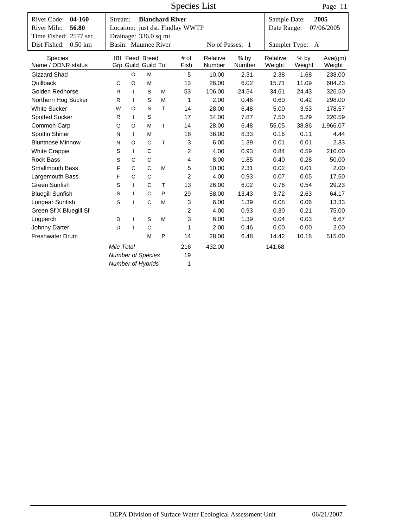| River Code:<br>04-160<br>River Mile:<br>56.80 | Stream:    |                |                                              | <b>Blanchard River</b> | Location: just dst. Findlay WWTP |                    | Sample Date:<br>Date Range: |                    | 2005<br>07/06/2005 |                   |
|-----------------------------------------------|------------|----------------|----------------------------------------------|------------------------|----------------------------------|--------------------|-----------------------------|--------------------|--------------------|-------------------|
| Time Fished: 2577 sec                         |            |                | Drainage: 336.0 sq mi                        |                        |                                  |                    |                             |                    |                    |                   |
| Dist Fished:<br>$0.50 \text{ km}$             |            |                | Basin: Maumee River                          |                        |                                  | No of Passes: 1    |                             | Sampler Type:      | A                  |                   |
| Species<br>Name / ODNR status                 |            |                | <b>IBI</b> Feed Breed<br>Grp Guild Guild Tol |                        | # of<br>Fish                     | Relative<br>Number | $%$ by<br>Number            | Relative<br>Weight | $%$ by<br>Weight   | Ave(gm)<br>Weight |
| <b>Gizzard Shad</b>                           |            | O              | M                                            |                        | 5                                | 10.00              | 2.31                        | 2.38               | 1.68               | 238.00            |
| Quillback                                     | C          | $\circ$        | M                                            |                        | 13                               | 26.00              | 6.02                        | 15.71              | 11.09              | 604.23            |
| Golden Redhorse                               | R          | $\mathbf{I}$   | $\mathsf S$                                  | M                      | 53                               | 106.00             | 24.54                       | 34.61              | 24.43              | 326.50            |
| Northern Hog Sucker                           | R          | $\mathbf{I}$   | $\mathsf S$                                  | M                      | 1                                | 2.00               | 0.46                        | 0.60               | 0.42               | 298.00            |
| <b>White Sucker</b>                           | W          | $\circ$        | S                                            | T                      | 14                               | 28.00              | 6.48                        | 5.00               | 3.53               | 178.57            |
| <b>Spotted Sucker</b>                         | R          | $\mathbf{I}$   | $\mathsf S$                                  |                        | 17                               | 34.00              | 7.87                        | 7.50               | 5.29               | 220.59            |
|                                               | G          | $\circ$        | M                                            | T                      | 14                               |                    |                             |                    |                    |                   |
| Common Carp                                   |            |                |                                              |                        |                                  | 28.00              | 6.48                        | 55.05              | 38.86              | 1,966.07          |
| Spotfin Shiner                                | ${\sf N}$  | $\mathbf{I}$   | M                                            |                        | 18                               | 36.00              | 8.33                        | 0.16               | 0.11               | 4.44              |
| <b>Bluntnose Minnow</b>                       | N          | O              | $\mathsf C$                                  | T                      | 3                                | 6.00               | 1.39                        | 0.01               | 0.01               | 2.33              |
| White Crappie                                 | S          | $\mathbf{I}$   | $\mathsf C$                                  |                        | $\overline{c}$                   | 4.00               | 0.93                        | 0.84               | 0.59               | 210.00            |
| <b>Rock Bass</b>                              | S          | C              | C                                            |                        | 4                                | 8.00               | 1.85                        | 0.40               | 0.28               | 50.00             |
| Smallmouth Bass                               | F          | C              | C                                            | M                      | 5                                | 10.00              | 2.31                        | 0.02               | 0.01               | 2.00              |
| Largemouth Bass                               | F          | C              | $\mathsf C$                                  |                        | $\overline{c}$                   | 4.00               | 0.93                        | 0.07               | 0.05               | 17.50             |
| Green Sunfish                                 | S          | $\mathbf{I}$   | $\mathsf C$                                  | T                      | 13                               | 26.00              | 6.02                        | 0.76               | 0.54               | 29.23             |
| <b>Bluegill Sunfish</b>                       | S          | $\overline{1}$ | $\mathsf{C}$                                 | P                      | 29                               | 58.00              | 13.43                       | 3.72               | 2.63               | 64.17             |
| Longear Sunfish                               | S          | $\overline{1}$ | $\mathbf C$                                  | М                      | 3                                | 6.00               | 1.39                        | 0.08               | 0.06               | 13.33             |
| Green Sf X Bluegill Sf                        |            |                |                                              |                        | $\overline{c}$                   | 4.00               | 0.93                        | 0.30               | 0.21               | 75.00             |
| Logperch                                      | D          | $\overline{1}$ | S                                            | M                      | 3                                | 6.00               | 1.39                        | 0.04               | 0.03               | 6.67              |
| Johnny Darter                                 | D          | I              | $\mathsf C$                                  |                        | 1                                | 2.00               | 0.46                        | 0.00               | 0.00               | 2.00              |
| Freshwater Drum                               |            |                | M                                            | P                      | 14                               | 28.00              | 6.48                        | 14.42              | 10.18              | 515.00            |
|                                               | Mile Total |                |                                              |                        | 216                              | 432.00             |                             | 141.68             |                    |                   |
|                                               |            |                | <b>Number of Species</b>                     |                        | 19                               |                    |                             |                    |                    |                   |
|                                               |            |                | Number of Hybrids                            |                        | 1                                |                    |                             |                    |                    |                   |
|                                               |            |                |                                              |                        |                                  |                    |                             |                    |                    |                   |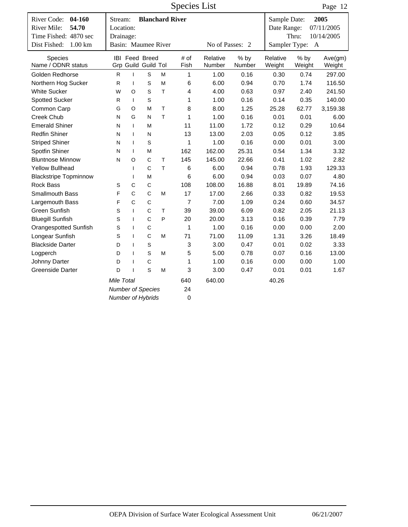|                                                                                                              |                                                          |                |                                              |    | <b>Species List</b> |                    |                |                                              |                       | Page 12                          |
|--------------------------------------------------------------------------------------------------------------|----------------------------------------------------------|----------------|----------------------------------------------|----|---------------------|--------------------|----------------|----------------------------------------------|-----------------------|----------------------------------|
| River Code:<br>04-160<br>River Mile:<br>54.70<br>Time Fished: 4870 sec<br>Dist Fished:<br>$1.00 \mathrm{km}$ | Stream:<br>Location:<br>Drainage:<br>Basin: Maumee River |                | <b>Blanchard River</b>                       |    |                     | No of Passes: 2    |                | Sample Date:<br>Date Range:<br>Sampler Type: | Thru:<br>$\mathbf{A}$ | 2005<br>07/11/2005<br>10/14/2005 |
| <b>Species</b><br>Name / ODNR status                                                                         |                                                          |                | <b>IBI</b> Feed Breed<br>Grp Guild Guild Tol |    | # of<br>Fish        | Relative<br>Number | % by<br>Number | Relative<br>Weight                           | % by<br>Weight        | Ave(gm)<br>Weight                |
| Golden Redhorse                                                                                              | $\mathsf{R}$                                             | $\overline{1}$ | S                                            | M  | 1                   | 1.00               | 0.16           | 0.30                                         | 0.74                  | 297.00                           |
| Northern Hog Sucker                                                                                          | R                                                        | $\mathbf{I}$   | S                                            | M  | 6                   | 6.00               | 0.94           | 0.70                                         | 1.74                  | 116.50                           |
| <b>White Sucker</b>                                                                                          | W                                                        | $\circ$        | S                                            | T. | 4                   | 4.00               | 0.63           | 0.97                                         | 2.40                  | 241.50                           |
| <b>Spotted Sucker</b>                                                                                        | R                                                        | $\mathbf{I}$   | $\mathsf S$                                  |    | 1                   | 1.00               | 0.16           | 0.14                                         | 0.35                  | 140.00                           |
| Common Carp                                                                                                  | G                                                        | O              | М                                            | T. | 8                   | 8.00               | 1.25           | 25.28                                        | 62.77                 | 3,159.38                         |
| Creek Chub                                                                                                   | N                                                        | G              | N                                            | т  | 1                   | 1.00               | 0.16           | 0.01                                         | 0.01                  | 6.00                             |
| <b>Emerald Shiner</b>                                                                                        | N                                                        | $\mathbf{I}$   | M                                            |    | 11                  | 11.00              | 1.72           | 0.12                                         | 0.29                  | 10.64                            |
| <b>Redfin Shiner</b>                                                                                         | N                                                        | $\mathbf{I}$   | N                                            |    | 13                  | 13.00              | 2.03           | 0.05                                         | 0.12                  | 3.85                             |
| <b>Striped Shiner</b>                                                                                        | N                                                        | $\mathbf{I}$   | S                                            |    | 1                   | 1.00               | 0.16           | 0.00                                         | 0.01                  | 3.00                             |
| Spotfin Shiner                                                                                               | N                                                        | $\mathbf{I}$   | М                                            |    | 162                 | 162.00             | 25.31          | 0.54                                         | 1.34                  | 3.32                             |
| <b>Bluntnose Minnow</b>                                                                                      | N                                                        | $\circ$        | $\mathsf{C}$                                 | T  | 145                 | 145.00             | 22.66          | 0.41                                         | 1.02                  | 2.82                             |
| <b>Yellow Bullhead</b>                                                                                       |                                                          | $\mathsf{I}$   | $\mathsf{C}$                                 | T. | 6                   | 6.00               | 0.94           | 0.78                                         | 1.93                  | 129.33                           |
| <b>Blackstripe Topminnow</b>                                                                                 |                                                          | T              | M                                            |    | 6                   | 6.00               | 0.94           | 0.03                                         | 0.07                  | 4.80                             |
| <b>Rock Bass</b>                                                                                             | S                                                        | $\mathsf{C}$   | $\mathsf C$                                  |    | 108                 | 108.00             | 16.88          | 8.01                                         | 19.89                 | 74.16                            |
| Smallmouth Bass                                                                                              | F                                                        | $\mathsf{C}$   | $\mathbf C$                                  | M  | 17                  | 17.00              | 2.66           | 0.33                                         | 0.82                  | 19.53                            |
| Largemouth Bass                                                                                              | F                                                        | $\mathsf{C}$   | $\mathbf C$                                  |    | $\overline{7}$      | 7.00               | 1.09           | 0.24                                         | 0.60                  | 34.57                            |
| Green Sunfish                                                                                                | S                                                        | $\mathbf{I}$   | $\mathsf C$                                  | T  | 39                  | 39.00              | 6.09           | 0.82                                         | 2.05                  | 21.13                            |
| <b>Bluegill Sunfish</b>                                                                                      | S                                                        | $\mathbf{I}$   | $\mathbf C$                                  | P  | 20                  | 20.00              | 3.13           | 0.16                                         | 0.39                  | 7.79                             |
| Orangespotted Sunfish                                                                                        | S                                                        | $\mathsf{I}$   | $\mathsf C$                                  |    | 1                   | 1.00               | 0.16           | 0.00                                         | 0.00                  | 2.00                             |
| Longear Sunfish                                                                                              | S                                                        | $\mathsf{I}$   | $\mathbf C$                                  | M  | 71                  | 71.00              | 11.09          | 1.31                                         | 3.26                  | 18.49                            |
| <b>Blackside Darter</b>                                                                                      | D                                                        | $\mathbf{I}$   | S                                            |    | 3                   | 3.00               | 0.47           | 0.01                                         | 0.02                  | 3.33                             |
| Logperch                                                                                                     | D                                                        | $\mathbf{I}$   | $\mathsf S$                                  | M  | 5                   | 5.00               | 0.78           | 0.07                                         | 0.16                  | 13.00                            |
| Johnny Darter                                                                                                | D                                                        | $\overline{1}$ | $\mathbf C$                                  |    | 1                   | 1.00               | 0.16           | 0.00                                         | 0.00                  | 1.00                             |
| <b>Greenside Darter</b>                                                                                      | D                                                        | $\overline{1}$ | S                                            | M  | 3                   | 3.00               | 0.47           | 0.01                                         | 0.01                  | 1.67                             |
|                                                                                                              | Mile Total                                               |                |                                              |    | 640                 | 640.00             |                | 40.26                                        |                       |                                  |
|                                                                                                              | Number of Species                                        |                |                                              |    | 24                  |                    |                |                                              |                       |                                  |
|                                                                                                              | <b>Number of Hybrids</b>                                 |                |                                              |    | $\mathbf{0}$        |                    |                |                                              |                       |                                  |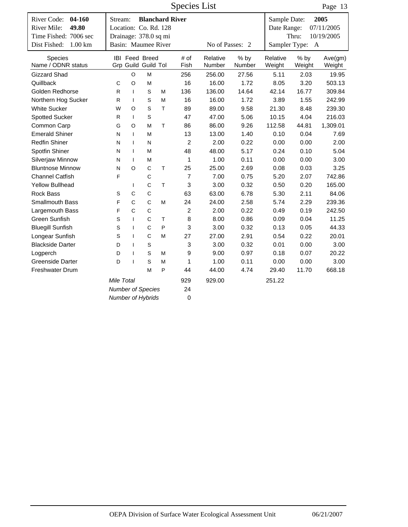|                                                                                                              |                                  |                          |                                                                        |              | <b>Species List</b> |                    |                |                                              |                       | Page 13                          |
|--------------------------------------------------------------------------------------------------------------|----------------------------------|--------------------------|------------------------------------------------------------------------|--------------|---------------------|--------------------|----------------|----------------------------------------------|-----------------------|----------------------------------|
| River Code:<br>04-160<br>River Mile:<br>49.80<br>Time Fished: 7006 sec<br>Dist Fished:<br>$1.00 \mathrm{km}$ | Stream:<br>Location: Co. Rd. 128 |                          | <b>Blanchard River</b><br>Drainage: 378.0 sq mi<br>Basin: Maumee River |              |                     | No of Passes: 2    |                | Sample Date:<br>Date Range:<br>Sampler Type: | Thru:<br>$\mathbf{A}$ | 2005<br>07/11/2005<br>10/19/2005 |
| <b>Species</b><br>Name / ODNR status                                                                         |                                  |                          | <b>IBI</b> Feed Breed<br>Grp Guild Guild Tol                           |              | # of<br>Fish        | Relative<br>Number | % by<br>Number | Relative<br>Weight                           | $%$ by<br>Weight      | Ave(gm)<br>Weight                |
| <b>Gizzard Shad</b>                                                                                          |                                  | O                        | M                                                                      |              | 256                 | 256.00             | 27.56          | 5.11                                         | 2.03                  | 19.95                            |
| Quillback                                                                                                    | C                                | $\circ$                  | M                                                                      |              | 16                  | 16.00              | 1.72           | 8.05                                         | 3.20                  | 503.13                           |
| Golden Redhorse                                                                                              | ${\sf R}$                        | $\overline{1}$           | $\mathsf S$                                                            | M            | 136                 | 136.00             | 14.64          | 42.14                                        | 16.77                 | 309.84                           |
| Northern Hog Sucker                                                                                          | R                                | $\mathbf{I}$             | $\mathsf S$                                                            | M            | 16                  | 16.00              | 1.72           | 3.89                                         | 1.55                  | 242.99                           |
| <b>White Sucker</b>                                                                                          | W                                | O                        | $\mathsf S$                                                            | T            | 89                  | 89.00              | 9.58           | 21.30                                        | 8.48                  | 239.30                           |
| <b>Spotted Sucker</b>                                                                                        | R                                | $\mathbf{I}$             | S                                                                      |              | 47                  | 47.00              | 5.06           | 10.15                                        | 4.04                  | 216.03                           |
| Common Carp                                                                                                  | G                                | $\circ$                  | M                                                                      | T            | 86                  | 86.00              | 9.26           | 112.58                                       | 44.81                 | 1,309.01                         |
| <b>Emerald Shiner</b>                                                                                        | Ν                                | $\mathbf{I}$             | M                                                                      |              | 13                  | 13.00              | 1.40           | 0.10                                         | 0.04                  | 7.69                             |
| <b>Redfin Shiner</b>                                                                                         | N                                | $\overline{1}$           | N                                                                      |              | $\overline{c}$      | 2.00               | 0.22           | 0.00                                         | 0.00                  | 2.00                             |
| Spotfin Shiner                                                                                               | N                                | $\mathbf{I}$             | М                                                                      |              | 48                  | 48.00              | 5.17           | 0.24                                         | 0.10                  | 5.04                             |
| Silverjaw Minnow                                                                                             | N                                | $\mathbf{I}$             | M                                                                      |              | $\mathbf{1}$        | 1.00               | 0.11           | 0.00                                         | 0.00                  | 3.00                             |
| <b>Bluntnose Minnow</b>                                                                                      | N                                | $\circ$                  | $\mathsf C$                                                            | $\top$       | 25                  | 25.00              | 2.69           | 0.08                                         | 0.03                  | 3.25                             |
| <b>Channel Catfish</b>                                                                                       | F                                |                          | $\mathsf C$                                                            |              | $\overline{7}$      | 7.00               | 0.75           | 5.20                                         | 2.07                  | 742.86                           |
| <b>Yellow Bullhead</b>                                                                                       |                                  | $\overline{\phantom{a}}$ | $\mathsf C$                                                            | T            | 3                   | 3.00               | 0.32           | 0.50                                         | 0.20                  | 165.00                           |
| <b>Rock Bass</b>                                                                                             | S                                | $\mathsf C$              | $\mathbf C$                                                            |              | 63                  | 63.00              | 6.78           | 5.30                                         | 2.11                  | 84.06                            |
| Smallmouth Bass                                                                                              | F                                | $\mathbf C$              | $\mathbf C$                                                            | M            | 24                  | 24.00              | 2.58           | 5.74                                         | 2.29                  | 239.36                           |
| Largemouth Bass                                                                                              | F                                | C                        | $\mathbf C$                                                            |              | $\overline{c}$      | 2.00               | 0.22           | 0.49                                         | 0.19                  | 242.50                           |
| Green Sunfish                                                                                                | S                                | $\mathbf{I}$             | $\mathsf C$                                                            | T            | 8                   | 8.00               | 0.86           | 0.09                                         | 0.04                  | 11.25                            |
| <b>Bluegill Sunfish</b>                                                                                      | S                                | $\mathbf{I}$             | $\mathsf{C}$                                                           | P            | 3                   | 3.00               | 0.32           | 0.13                                         | 0.05                  | 44.33                            |
| Longear Sunfish                                                                                              | S                                | $\overline{1}$           | $\mathsf C$                                                            | M            | 27                  | 27.00              | 2.91           | 0.54                                         | 0.22                  | 20.01                            |
| <b>Blackside Darter</b>                                                                                      | D                                | $\overline{1}$           | $\mathsf S$                                                            |              | 3                   | 3.00               | 0.32           | 0.01                                         | 0.00                  | 3.00                             |
| Logperch                                                                                                     | D                                | $\overline{1}$           | $\mathsf S$                                                            | M            | 9                   | 9.00               | 0.97           | 0.18                                         | 0.07                  | 20.22                            |
| <b>Greenside Darter</b>                                                                                      | D                                | $\overline{1}$           | S                                                                      | M            | 1                   | 1.00               | 0.11           | 0.00                                         | 0.00                  | 3.00                             |
| Freshwater Drum                                                                                              |                                  |                          | M                                                                      | $\mathsf{P}$ | 44                  | 44.00              | 4.74           | 29.40                                        | 11.70                 | 668.18                           |
|                                                                                                              | Mile Total                       |                          |                                                                        |              | 929                 | 929.00             |                | 251.22                                       |                       |                                  |
|                                                                                                              | <b>Number of Species</b>         |                          |                                                                        |              | 24                  |                    |                |                                              |                       |                                  |
|                                                                                                              | <b>Number of Hybrids</b>         |                          |                                                                        |              | 0                   |                    |                |                                              |                       |                                  |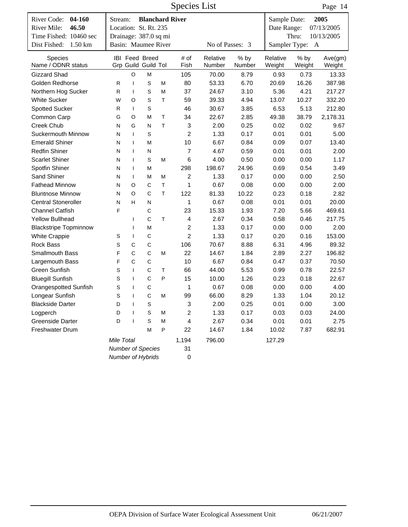| River Code:<br><b>Blanchard River</b><br>2005<br>04-160<br>Sample Date:<br>Stream:                          |            |  |  |
|-------------------------------------------------------------------------------------------------------------|------------|--|--|
| Location: St. Rt. 235<br>River Mile:<br>46.50<br>Date Range:<br>07/13/2005                                  |            |  |  |
| Time Fished: 10460 sec<br>Drainage: 387.0 sq mi<br>Thru:                                                    | 10/13/2005 |  |  |
| Dist Fished:<br>$1.50 \text{ km}$<br>Basin: Maumee River<br>No of Passes: 3<br>Sampler Type:<br>A           |            |  |  |
| <b>Species</b><br><b>IBI</b> Feed Breed<br>Relative<br>% by<br>Relative<br># of<br>$%$ by                   | Ave(gm)    |  |  |
| Name / ODNR status<br>Grp Guild Guild Tol<br>Fish<br>Number<br>Number<br>Weight<br>Weight                   | Weight     |  |  |
| <b>Gizzard Shad</b><br>70.00<br>8.79<br>0.73<br>O<br>105<br>0.93<br>М                                       | 13.33      |  |  |
| 6.70<br>Golden Redhorse<br>80<br>53.33<br>20.69<br>16.26<br>$\mathbf{I}$<br>S<br>R<br>М                     | 387.98     |  |  |
| S<br>$\mathbf{I}$<br>M<br>37<br>24.67<br>3.10<br>5.36<br>4.21<br>Northern Hog Sucker<br>R                   | 217.27     |  |  |
| S<br><b>White Sucker</b><br>O<br>T<br>59<br>39.33<br>4.94<br>13.07<br>10.27<br>W                            | 332.20     |  |  |
| S<br><b>Spotted Sucker</b><br>$\mathbf{I}$<br>46<br>30.67<br>3.85<br>6.53<br>5.13<br>R                      | 212.80     |  |  |
| $\circ$<br>T<br>34<br>22.67<br>2.85<br>49.38<br>38.79<br>Common Carp<br>G<br>М                              | 2,178.31   |  |  |
| Creek Chub<br>T<br>G<br>3<br>2.00<br>0.25<br>0.02<br>0.02<br>N<br>N                                         | 9.67       |  |  |
| S<br>2<br>1.33<br>0.17<br>0.01<br>0.01<br>Suckermouth Minnow<br>N<br>$\mathbf{I}$                           | 5.00       |  |  |
| <b>Emerald Shiner</b><br>10<br>6.67<br>0.84<br>0.09<br>0.07<br>N<br>$\mathbf{I}$<br>М                       | 13.40      |  |  |
| 7<br><b>Redfin Shiner</b><br>4.67<br>0.59<br>0.01<br>0.01<br>N<br>$\mathbf{I}$<br>N                         | 2.00       |  |  |
| 6<br><b>Scarlet Shiner</b><br>4.00<br>0.50<br>0.00<br>0.00<br>S<br>M<br>N<br>$\mathbf{I}$                   | 1.17       |  |  |
| Spotfin Shiner<br>298<br>198.67<br>0.69<br>$\overline{1}$<br>M<br>24.96<br>0.54<br>N                        | 3.49       |  |  |
| Sand Shiner<br>2<br>1.33<br>0.17<br>0.00<br>0.00<br>N<br>$\mathbf{I}$<br>М<br>М                             | 2.50       |  |  |
| <b>Fathead Minnow</b><br>$\top$<br>1<br>0.67<br>0.08<br>0.00<br>0.00<br>$\circ$<br>C<br>N                   | 2.00       |  |  |
| 122<br><b>Bluntnose Minnow</b><br>$\mathsf{C}$<br>T<br>81.33<br>10.22<br>0.23<br>0.18<br>$\circ$<br>N       | 2.82       |  |  |
| <b>Central Stoneroller</b><br>H<br>N<br>1<br>0.67<br>0.08<br>0.01<br>0.01<br>N                              | 20.00      |  |  |
| <b>Channel Catfish</b><br>F<br>C<br>23<br>15.33<br>1.93<br>7.20<br>5.66                                     | 469.61     |  |  |
| $\mathsf{C}$<br>T<br><b>Yellow Bullhead</b><br>4<br>2.67<br>0.34<br>0.58<br>0.46<br>$\mathsf{I}$            | 217.75     |  |  |
| 2<br>1.33<br>0.17<br>0.00<br>0.00<br><b>Blackstripe Topminnow</b><br>М<br>I                                 | 2.00       |  |  |
| $\mathsf{C}$<br>$\overline{c}$<br>$\mathbf{I}$<br>1.33<br>0.17<br>0.20<br>0.16<br><b>White Crappie</b><br>S | 153.00     |  |  |
| $\mathsf{C}$<br><b>Rock Bass</b><br>C<br>106<br>70.67<br>8.88<br>6.31<br>S<br>4.96                          | 89.32      |  |  |
| Smallmouth Bass<br>C<br>$\mathsf{C}$<br>22<br>14.67<br>1.84<br>2.89<br>2.27<br>F<br>М                       | 196.82     |  |  |
| $\mathsf{C}$<br>10<br>6.67<br>0.84<br>0.37<br>Largemouth Bass<br>F<br>С<br>0.47                             | 70.50      |  |  |
| Green Sunfish<br>$\mathsf{C}$<br>66<br>44.00<br>5.53<br>0.99<br>0.78<br>S<br>$\mathbf{I}$<br>T              | 22.57      |  |  |
| <b>Bluegill Sunfish</b><br>$\mathsf{C}$<br>15<br>10.00<br>1.26<br>0.23<br>S<br>P<br>0.18<br>$\mathbf{I}$    | 22.67      |  |  |
| S<br>$\mathsf{C}$<br>1<br>0.67<br>0.08<br>0.00<br>0.00<br>Orangespotted Sunfish<br>$\mathbf{I}$             | 4.00       |  |  |
| Longear Sunfish<br>C<br>99<br>8.29<br>1.33<br>1.04<br>S<br>M<br>66.00<br>$\mathbf{I}$                       | 20.12      |  |  |
| 3<br>S<br>2.00<br>0.25<br>0.01<br>0.00<br><b>Blackside Darter</b><br>D<br>$\mathbf{I}$                      | 3.00       |  |  |
| S<br>$\overline{c}$<br>Logperch<br>1.33<br>0.17<br>0.03<br>0.03<br>D<br>$\mathbf{I}$<br>M                   | 24.00      |  |  |
| S<br>Greenside Darter<br>$\overline{\phantom{a}}$<br>M<br>4<br>2.67<br>0.34<br>0.01<br>0.01<br>D            | 2.75       |  |  |
| Freshwater Drum<br>M<br>P<br>14.67<br>1.84<br>10.02<br>7.87<br>22                                           | 682.91     |  |  |
| Mile Total<br>1,194<br>796.00<br>127.29                                                                     |            |  |  |
| Number of Species<br>31                                                                                     |            |  |  |
| Number of Hybrids<br>0                                                                                      |            |  |  |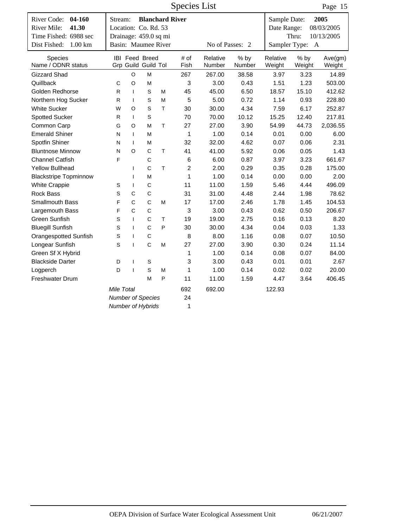|                                                                        |            |                                        |                                                                         |             | <b>Species List</b> |                                                                          |                  |                    |                               | Page 15           |  |
|------------------------------------------------------------------------|------------|----------------------------------------|-------------------------------------------------------------------------|-------------|---------------------|--------------------------------------------------------------------------|------------------|--------------------|-------------------------------|-------------------|--|
| River Code:<br>04-160<br>River Mile:<br>41.30<br>Time Fished: 6988 sec | Stream:    |                                        | <b>Blanchard River</b><br>Location: Co. Rd. 53<br>Drainage: 459.0 sq mi |             |                     | 2005<br>Sample Date:<br>08/03/2005<br>Date Range:<br>Thru:<br>10/13/2005 |                  |                    |                               |                   |  |
| $1.00 \mathrm{km}$<br>Dist Fished:                                     |            | Basin: Maumee River<br>No of Passes: 2 |                                                                         |             |                     |                                                                          |                  |                    | Sampler Type:<br>$\mathbf{A}$ |                   |  |
| <b>Species</b><br>Name / ODNR status                                   |            |                                        | <b>IBI Feed Breed</b><br>Grp Guild Guild Tol                            |             | # of<br>Fish        | Relative<br>Number                                                       | $%$ by<br>Number | Relative<br>Weight | $%$ by<br>Weight              | Ave(gm)<br>Weight |  |
| <b>Gizzard Shad</b>                                                    |            | $\circ$                                | M                                                                       |             | 267                 | 267.00                                                                   | 38.58            | 3.97               | 3.23                          | 14.89             |  |
| Quillback                                                              | С          | $\circ$                                | M                                                                       |             | 3                   | 3.00                                                                     | 0.43             | 1.51               | 1.23                          | 503.00            |  |
| Golden Redhorse                                                        | R          | $\mathbf{I}$                           | S                                                                       | M           | 45                  | 45.00                                                                    | 6.50             | 18.57              | 15.10                         | 412.62            |  |
| Northern Hog Sucker                                                    | R          | $\mathbf{I}$                           | S                                                                       | M           | 5                   | 5.00                                                                     | 0.72             | 1.14               | 0.93                          | 228.80            |  |
| <b>White Sucker</b>                                                    | W          | $\circ$                                | S                                                                       | $\mathsf T$ | 30                  | 30.00                                                                    | 4.34             | 7.59               | 6.17                          | 252.87            |  |
| <b>Spotted Sucker</b>                                                  | R          | $\mathbf{I}$                           | S                                                                       |             | 70                  | 70.00                                                                    | 10.12            | 15.25              | 12.40                         | 217.81            |  |
| Common Carp                                                            | G          | $\circ$                                | M                                                                       | T           | 27                  | 27.00                                                                    | 3.90             | 54.99              | 44.73                         | 2,036.55          |  |
| <b>Emerald Shiner</b>                                                  | N          | $\mathbf{I}$                           | M                                                                       |             | 1                   | 1.00                                                                     | 0.14             | 0.01               | 0.00                          | 6.00              |  |
| Spotfin Shiner                                                         | N          | $\mathbf{I}$                           | м                                                                       |             | 32                  | 32.00                                                                    | 4.62             | 0.07               | 0.06                          | 2.31              |  |
| <b>Bluntnose Minnow</b>                                                | N          | O                                      | $\mathsf{C}$                                                            | T.          | 41                  | 41.00                                                                    | 5.92             | 0.06               | 0.05                          | 1.43              |  |
| <b>Channel Catfish</b>                                                 | F          |                                        | $\mathsf{C}$                                                            |             | 6                   | 6.00                                                                     | 0.87             | 3.97               | 3.23                          | 661.67            |  |
| <b>Yellow Bullhead</b>                                                 |            | L                                      | $\mathsf C$                                                             | $\mathsf T$ | $\overline{c}$      | 2.00                                                                     | 0.29             | 0.35               | 0.28                          | 175.00            |  |
| <b>Blackstripe Topminnow</b>                                           |            | T                                      | M                                                                       |             | 1                   | 1.00                                                                     | 0.14             | 0.00               | 0.00                          | 2.00              |  |
| <b>White Crappie</b>                                                   | S          | $\mathbf{I}$                           | $\mathsf{C}$                                                            |             | 11                  | 11.00                                                                    | 1.59             | 5.46               | 4.44                          | 496.09            |  |
| <b>Rock Bass</b>                                                       | S          | C                                      | $\mathsf{C}$                                                            |             | 31                  | 31.00                                                                    | 4.48             | 2.44               | 1.98                          | 78.62             |  |
| Smallmouth Bass                                                        | F          | $\mathbf C$                            | $\mathbf C$                                                             | M           | 17                  | 17.00                                                                    | 2.46             | 1.78               | 1.45                          | 104.53            |  |
| Largemouth Bass                                                        | F          | $\mathsf{C}$                           | $\mathsf{C}$                                                            |             | 3                   | 3.00                                                                     | 0.43             | 0.62               | 0.50                          | 206.67            |  |
| <b>Green Sunfish</b>                                                   | S          | $\mathbf{I}$                           | $\mathsf{C}$                                                            | $\top$      | 19                  | 19.00                                                                    | 2.75             | 0.16               | 0.13                          | 8.20              |  |
| <b>Bluegill Sunfish</b>                                                | S          | $\mathbf{I}$                           | $\mathsf{C}$                                                            | P           | 30                  | 30.00                                                                    | 4.34             | 0.04               | 0.03                          | 1.33              |  |
| <b>Orangespotted Sunfish</b>                                           | S          | $\mathbf{I}$                           | $\mathsf C$                                                             |             | 8                   | 8.00                                                                     | 1.16             | 0.08               | 0.07                          | 10.50             |  |
| Longear Sunfish                                                        | S          | $\mathbf{I}$                           | $\mathsf{C}$                                                            | M           | 27                  | 27.00                                                                    | 3.90             | 0.30               | 0.24                          | 11.14             |  |
| Green Sf X Hybrid                                                      |            |                                        |                                                                         |             | 1                   | 1.00                                                                     | 0.14             | 0.08               | 0.07                          | 84.00             |  |
| <b>Blackside Darter</b>                                                | D          | $\overline{1}$                         | S                                                                       |             | 3                   | 3.00                                                                     | 0.43             | 0.01               | 0.01                          | 2.67              |  |
| Logperch                                                               | D          | $\overline{1}$                         | S                                                                       | M           | 1                   | 1.00                                                                     | 0.14             | 0.02               | 0.02                          | 20.00             |  |
| <b>Freshwater Drum</b>                                                 |            |                                        | M                                                                       | P           | 11                  | 11.00                                                                    | 1.59             | 4.47               | 3.64                          | 406.45            |  |
|                                                                        | Mile Total |                                        |                                                                         |             | 692                 | 692.00                                                                   |                  | 122.93             |                               |                   |  |
|                                                                        |            |                                        | <b>Number of Species</b>                                                |             | 24                  |                                                                          |                  |                    |                               |                   |  |
|                                                                        |            |                                        | <b>Number of Hybrids</b>                                                |             | 1                   |                                                                          |                  |                    |                               |                   |  |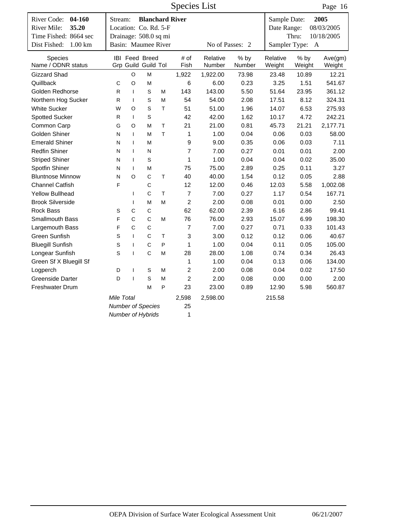| <b>Species List</b><br>Page 16                                         |                                                           |              |                                              |    |                 |                    |                                                                          |                    |                    |                   |  |
|------------------------------------------------------------------------|-----------------------------------------------------------|--------------|----------------------------------------------|----|-----------------|--------------------|--------------------------------------------------------------------------|--------------------|--------------------|-------------------|--|
| River Code:<br>04-160<br>River Mile:<br>35.20<br>Time Fished: 8664 sec | Stream:<br>Location: Co. Rd. 5-F<br>Drainage: 508.0 sq mi |              | <b>Blanchard River</b>                       |    |                 |                    | Sample Date:<br>2005<br>Date Range:<br>08/03/2005<br>Thru:<br>10/18/2005 |                    |                    |                   |  |
| Dist Fished:<br>$1.00 \mathrm{km}$                                     | Basin: Maumee River                                       |              |                                              |    | No of Passes: 2 |                    |                                                                          |                    | Sampler Type:<br>A |                   |  |
| Species<br>Name / ODNR status                                          |                                                           |              | <b>IBI</b> Feed Breed<br>Grp Guild Guild Tol |    | # of<br>Fish    | Relative<br>Number | % by<br>Number                                                           | Relative<br>Weight | $%$ by<br>Weight   | Ave(gm)<br>Weight |  |
| <b>Gizzard Shad</b>                                                    |                                                           | $\circ$      | M                                            |    | 1,922           | 1,922.00           | 73.98                                                                    | 23.48              | 10.89              | 12.21             |  |
| Quillback                                                              | С                                                         | O            | M                                            |    | 6               | 6.00               | 0.23                                                                     | 3.25               | 1.51               | 541.67            |  |
| Golden Redhorse                                                        | R                                                         | $\mathbf{I}$ | S                                            | М  | 143             | 143.00             | 5.50                                                                     | 51.64              | 23.95              | 361.12            |  |
| Northern Hog Sucker                                                    | R                                                         | $\mathbf{I}$ | S                                            | М  | 54              | 54.00              | 2.08                                                                     | 17.51              | 8.12               | 324.31            |  |
| <b>White Sucker</b>                                                    | W                                                         | O            | S                                            | T. | 51              | 51.00              | 1.96                                                                     | 14.07              | 6.53               | 275.93            |  |
| <b>Spotted Sucker</b>                                                  | R                                                         | $\mathbf{I}$ | S                                            |    | 42              | 42.00              | 1.62                                                                     | 10.17              | 4.72               | 242.21            |  |
| Common Carp                                                            | G                                                         | O            | М                                            | T  | 21              | 21.00              | 0.81                                                                     | 45.73              | 21.21              | 2,177.71          |  |
| Golden Shiner                                                          | N                                                         | $\mathbf{I}$ | М                                            | T. | $\mathbf{1}$    | 1.00               | 0.04                                                                     | 0.06               | 0.03               | 58.00             |  |
| <b>Emerald Shiner</b>                                                  | N                                                         | $\mathsf{I}$ | М                                            |    | 9               | 9.00               | 0.35                                                                     | 0.06               | 0.03               | 7.11              |  |
| <b>Redfin Shiner</b>                                                   | N                                                         | $\mathsf{I}$ | N                                            |    | 7               | 7.00               | 0.27                                                                     | 0.01               | 0.01               | 2.00              |  |
| <b>Striped Shiner</b>                                                  | N                                                         | $\mathsf{I}$ | S                                            |    | 1               | 1.00               | 0.04                                                                     | 0.04               | 0.02               | 35.00             |  |
| Spotfin Shiner                                                         | N                                                         | $\mathbf{I}$ | M                                            |    | 75              | 75.00              | 2.89                                                                     | 0.25               | 0.11               | 3.27              |  |
| <b>Bluntnose Minnow</b>                                                | N                                                         | O            | C                                            | T. | 40              | 40.00              | 1.54                                                                     | 0.12               | 0.05               | 2.88              |  |
| <b>Channel Catfish</b>                                                 | F                                                         |              | C                                            |    | 12              | 12.00              | 0.46                                                                     | 12.03              | 5.58               | 1,002.08          |  |
| <b>Yellow Bullhead</b>                                                 |                                                           | L            | C                                            | T. | $\overline{7}$  | 7.00               | 0.27                                                                     | 1.17               | 0.54               | 167.71            |  |
| <b>Brook Silverside</b>                                                |                                                           | $\mathbf{I}$ | M                                            | M  | $\overline{c}$  | 2.00               | 0.08                                                                     | 0.01               | 0.00               | 2.50              |  |
| <b>Rock Bass</b>                                                       | S                                                         | C            | C                                            |    | 62              | 62.00              | 2.39                                                                     | 6.16               | 2.86               | 99.41             |  |
| <b>Smallmouth Bass</b>                                                 | F                                                         | $\mathsf{C}$ | C                                            | M  | 76              | 76.00              | 2.93                                                                     | 15.07              | 6.99               | 198.30            |  |
| Largemouth Bass                                                        | F                                                         | C            | C                                            |    | $\overline{7}$  | 7.00               | 0.27                                                                     | 0.71               | 0.33               | 101.43            |  |
| Green Sunfish                                                          | S                                                         | $\mathbf{I}$ | C                                            | T. | 3               | 3.00               | 0.12                                                                     | 0.12               | 0.06               | 40.67             |  |
| <b>Bluegill Sunfish</b>                                                | S                                                         | $\mathbf{I}$ | $\mathsf{C}$                                 | P  | 1               | 1.00               | 0.04                                                                     | 0.11               | 0.05               | 105.00            |  |
| Longear Sunfish                                                        | S                                                         | L            | C                                            | M  | 28              | 28.00              | 1.08                                                                     | 0.74               | 0.34               | 26.43             |  |
| Green Sf X Bluegill Sf                                                 |                                                           |              |                                              |    | 1               | 1.00               | 0.04                                                                     | 0.13               | 0.06               | 134.00            |  |
| Logperch                                                               | D                                                         | $\mathbf{I}$ | S                                            | м  | $\overline{c}$  | 2.00               | 0.08                                                                     | 0.04               | 0.02               | 17.50             |  |
| Greenside Darter                                                       | D                                                         | $\mathsf{I}$ | S                                            | M  | $\overline{c}$  | 2.00               | 0.08                                                                     | 0.00               | 0.00               | 2.00              |  |
| <b>Freshwater Drum</b>                                                 |                                                           |              | M                                            | P  | 23              | 23.00              | 0.89                                                                     | 12.90              | 5.98               | 560.87            |  |
|                                                                        | Mile Total                                                |              |                                              |    | 2,598           | 2,598.00           |                                                                          | 215.58             |                    |                   |  |
|                                                                        |                                                           | 25           |                                              |    |                 |                    |                                                                          |                    |                    |                   |  |
|                                                                        | <b>Number of Species</b><br>Number of Hybrids             |              |                                              |    | $\mathbf 1$     |                    |                                                                          |                    |                    |                   |  |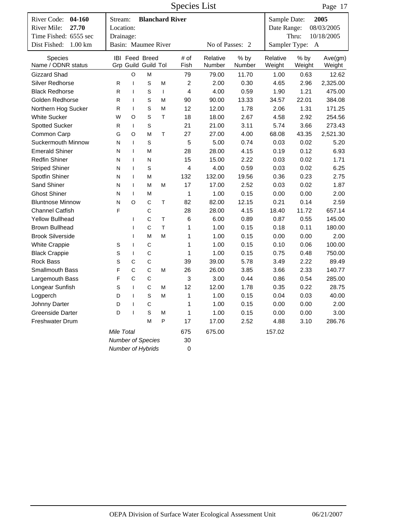|                                    |                     |                |                                       |              | <b>Species List</b> |                 |        |                      |                     | Page 17    |  |  |
|------------------------------------|---------------------|----------------|---------------------------------------|--------------|---------------------|-----------------|--------|----------------------|---------------------|------------|--|--|
| River Code:<br>04-160              | Stream:             |                | <b>Blanchard River</b>                |              |                     |                 |        | 2005<br>Sample Date: |                     |            |  |  |
| River Mile:<br>27.70               | Location:           |                |                                       |              |                     |                 |        | Date Range:          |                     | 08/03/2005 |  |  |
| Time Fished: 6555 sec              | Drainage:           |                |                                       |              |                     |                 |        |                      | Thru:<br>10/18/2005 |            |  |  |
| Dist Fished:<br>$1.00 \mathrm{km}$ | Basin: Maumee River |                |                                       |              |                     | No of Passes: 2 |        |                      | Sampler Type:<br>A  |            |  |  |
| Species<br>Name / ODNR status      |                     |                | IBI Feed Breed<br>Grp Guild Guild Tol |              | # of                | Relative        | $%$ by | Relative             | $%$ by              | Ave(gm)    |  |  |
| <b>Gizzard Shad</b>                |                     |                |                                       |              | Fish                | Number          | Number | Weight               | Weight              | Weight     |  |  |
|                                    |                     | $\circ$        | M                                     |              | 79                  | 79.00           | 11.70  | 1.00                 | 0.63                | 12.62      |  |  |
| Silver Redhorse                    | R                   | $\mathbf{I}$   | S                                     | M            | 2                   | 2.00            | 0.30   | 4.65                 | 2.96                | 2,325.00   |  |  |
| <b>Black Redhorse</b>              | R                   | $\mathbf{I}$   | S                                     | $\mathbf{I}$ | 4                   | 4.00            | 0.59   | 1.90                 | 1.21                | 475.00     |  |  |
| Golden Redhorse                    | R                   | $\mathbf{I}$   | $\mathsf S$                           | М            | 90                  | 90.00           | 13.33  | 34.57                | 22.01               | 384.08     |  |  |
| Northern Hog Sucker                | R                   | $\mathbf{I}$   | $\mathbb S$                           | M            | 12                  | 12.00           | 1.78   | 2.06                 | 1.31                | 171.25     |  |  |
| <b>White Sucker</b>                | W                   | $\circ$        | $\mathsf S$                           | $\top$       | 18                  | 18.00           | 2.67   | 4.58                 | 2.92                | 254.56     |  |  |
| <b>Spotted Sucker</b>              | R                   | $\mathbf{I}$   | $\mathbb S$                           |              | 21                  | 21.00           | 3.11   | 5.74                 | 3.66                | 273.43     |  |  |
| Common Carp                        | G                   | $\circ$        | М                                     | T            | 27                  | 27.00           | 4.00   | 68.08                | 43.35               | 2,521.30   |  |  |
| Suckermouth Minnow                 | N                   | $\mathbf{I}$   | S                                     |              | 5                   | 5.00            | 0.74   | 0.03                 | 0.02                | 5.20       |  |  |
| <b>Emerald Shiner</b>              | N                   | $\mathbf{I}$   | М                                     |              | 28                  | 28.00           | 4.15   | 0.19                 | 0.12                | 6.93       |  |  |
| <b>Redfin Shiner</b>               | N                   | $\overline{1}$ | $\mathsf{N}$                          |              | 15                  | 15.00           | 2.22   | 0.03                 | 0.02                | 1.71       |  |  |
| <b>Striped Shiner</b>              | N                   | $\mathbf{I}$   | S                                     |              | 4                   | 4.00            | 0.59   | 0.03                 | 0.02                | 6.25       |  |  |
| Spotfin Shiner                     | N                   | $\mathbf{I}$   | M                                     |              | 132                 | 132.00          | 19.56  | 0.36                 | 0.23                | 2.75       |  |  |
| Sand Shiner                        | N                   | $\mathbf{I}$   | М                                     | М            | 17                  | 17.00           | 2.52   | 0.03                 | 0.02                | 1.87       |  |  |
| <b>Ghost Shiner</b>                | N                   | $\mathbf{I}$   | M                                     |              | 1                   | 1.00            | 0.15   | 0.00                 | 0.00                | 2.00       |  |  |
| <b>Bluntnose Minnow</b>            | N                   | O              | $\mathsf C$                           | T            | 82                  | 82.00           | 12.15  | 0.21                 | 0.14                | 2.59       |  |  |
| <b>Channel Catfish</b>             | F                   |                | $\mathsf{C}$                          |              | 28                  | 28.00           | 4.15   | 18.40                | 11.72               | 657.14     |  |  |
| <b>Yellow Bullhead</b>             |                     | $\mathbf{I}$   | $\mathsf{C}$                          | T            | 6                   | 6.00            | 0.89   | 0.87                 | 0.55                | 145.00     |  |  |
| <b>Brown Bullhead</b>              |                     | $\mathsf{I}$   | $\mathsf C$                           | T            | 1                   | 1.00            | 0.15   | 0.18                 | 0.11                | 180.00     |  |  |
| <b>Brook Silverside</b>            |                     | $\mathbf{I}$   | М                                     | M            | 1                   | 1.00            | 0.15   | 0.00                 | 0.00                | 2.00       |  |  |
| <b>White Crappie</b>               | S                   | $\mathbf{I}$   | $\mathsf C$                           |              | 1                   | 1.00            | 0.15   | 0.10                 | 0.06                | 100.00     |  |  |
| <b>Black Crappie</b>               | S                   | $\mathbf{I}$   | $\mathsf{C}$                          |              | 1                   | 1.00            | 0.15   | 0.75                 | 0.48                | 750.00     |  |  |
| <b>Rock Bass</b>                   | S                   | $\mathsf{C}$   | $\mathsf{C}$                          |              | 39                  | 39.00           | 5.78   | 3.49                 | 2.22                | 89.49      |  |  |
| <b>Smallmouth Bass</b>             | F                   | C              | C                                     | M            | 26                  | 26.00           | 3.85   | 3.66                 | 2.33                | 140.77     |  |  |
| Largemouth Bass                    | F                   | $\mathsf{C}$   | $\mathsf{C}$                          |              | 3                   | 3.00            | 0.44   | 0.86                 | 0.54                | 285.00     |  |  |
| Longear Sunfish                    | S                   | $\overline{1}$ | C                                     | M            | 12                  | 12.00           | 1.78   | 0.35                 | 0.22                | 28.75      |  |  |
| Logperch                           | D                   | ı              | S                                     | М            | 1                   | 1.00            | 0.15   | 0.04                 | 0.03                | 40.00      |  |  |
| Johnny Darter                      | D                   | $\mathbf{I}$   | C                                     |              | 1                   | 1.00            | 0.15   | 0.00                 | 0.00                | 2.00       |  |  |
| Greenside Darter                   | D                   | $\mathbf{I}$   | S                                     | M            | 1                   | 1.00            | 0.15   | 0.00                 | 0.00                | 3.00       |  |  |
| Freshwater Drum                    |                     |                | M                                     | P            | 17                  | 17.00           | 2.52   | 4.88                 | 3.10                | 286.76     |  |  |
|                                    | Mile Total          |                |                                       |              | 675                 | 675.00          |        | 157.02               |                     |            |  |  |
|                                    | Number of Species   |                |                                       |              | $30\,$              |                 |        |                      |                     |            |  |  |
|                                    | Number of Hybrids   |                |                                       |              | $\pmb{0}$           |                 |        |                      |                     |            |  |  |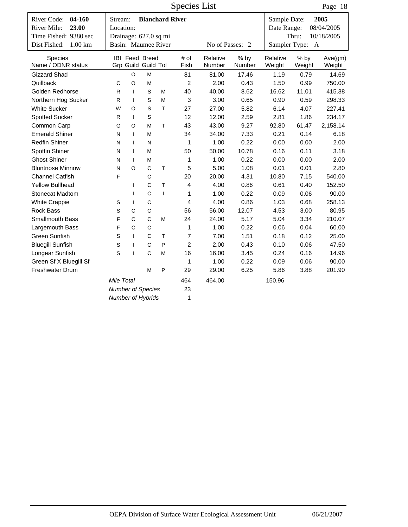|                                                                                                              |                          |              |                                                                        |                | <b>Species List</b> |                                                                                                           |                |                    |                  | Page 18           |
|--------------------------------------------------------------------------------------------------------------|--------------------------|--------------|------------------------------------------------------------------------|----------------|---------------------|-----------------------------------------------------------------------------------------------------------|----------------|--------------------|------------------|-------------------|
| River Code:<br>04-160<br>River Mile:<br>23.00<br>Time Fished: 9380 sec<br>Dist Fished:<br>$1.00 \mathrm{km}$ | Stream:<br>Location:     |              | <b>Blanchard River</b><br>Drainage: 627.0 sq mi<br>Basin: Maumee River |                |                     | Sample Date:<br>2005<br>Date Range:<br>08/04/2005<br>Thru:<br>10/18/2005<br>Sampler Type:<br>$\mathbf{A}$ |                |                    |                  |                   |
| <b>Species</b><br>Name / ODNR status                                                                         |                          |              | <b>IBI</b> Feed Breed<br>Grp Guild Guild Tol                           |                | # of<br>Fish        | Relative<br>Number                                                                                        | % by<br>Number | Relative<br>Weight | $%$ by<br>Weight | Ave(gm)<br>Weight |
| <b>Gizzard Shad</b>                                                                                          |                          | O            | M                                                                      |                | 81                  | 81.00                                                                                                     | 17.46          | 1.19               | 0.79             | 14.69             |
| Quillback                                                                                                    | C                        | $\circ$      | M                                                                      |                | $\overline{2}$      | 2.00                                                                                                      | 0.43           | 1.50               | 0.99             | 750.00            |
| Golden Redhorse                                                                                              | R                        | $\mathbf{I}$ | S                                                                      | M              | 40                  | 40.00                                                                                                     | 8.62           | 16.62              | 11.01            | 415.38            |
| Northern Hog Sucker                                                                                          | R                        | $\mathbf{I}$ | $\mathsf S$                                                            | M              | 3                   | 3.00                                                                                                      | 0.65           | 0.90               | 0.59             | 298.33            |
| <b>White Sucker</b>                                                                                          | W                        | O            | S                                                                      | $\mathsf T$    | 27                  | 27.00                                                                                                     | 5.82           | 6.14               | 4.07             | 227.41            |
| <b>Spotted Sucker</b>                                                                                        | R                        | $\mathbf{I}$ | $\mathsf S$                                                            |                | 12                  | 12.00                                                                                                     | 2.59           | 2.81               | 1.86             | 234.17            |
| Common Carp                                                                                                  | G                        | $\circ$      | M                                                                      | $\mathsf{T}$   | 43                  | 43.00                                                                                                     | 9.27           | 92.80              | 61.47            | 2,158.14          |
| <b>Emerald Shiner</b>                                                                                        | N                        | $\mathbf{I}$ | M                                                                      |                | 34                  | 34.00                                                                                                     | 7.33           | 0.21               | 0.14             | 6.18              |
| <b>Redfin Shiner</b>                                                                                         | N                        | $\mathbf{I}$ | N                                                                      |                | $\mathbf{1}$        | 1.00                                                                                                      | 0.22           | 0.00               | 0.00             | 2.00              |
| Spotfin Shiner                                                                                               | Ν                        | $\mathsf{I}$ | M                                                                      |                | 50                  | 50.00                                                                                                     | 10.78          | 0.16               | 0.11             | 3.18              |
| <b>Ghost Shiner</b>                                                                                          | N                        | $\mathbf{I}$ | М                                                                      |                | 1                   | 1.00                                                                                                      | 0.22           | 0.00               | 0.00             | 2.00              |
| <b>Bluntnose Minnow</b>                                                                                      | N                        | O            | $\mathsf{C}$                                                           | T              | 5                   | 5.00                                                                                                      | 1.08           | 0.01               | 0.01             | 2.80              |
| <b>Channel Catfish</b>                                                                                       | F                        |              | $\mathsf C$                                                            |                | 20                  | 20.00                                                                                                     | 4.31           | 10.80              | 7.15             | 540.00            |
| <b>Yellow Bullhead</b>                                                                                       |                          | $\mathsf{I}$ | $\mathsf{C}$                                                           | T              | $\overline{4}$      | 4.00                                                                                                      | 0.86           | 0.61               | 0.40             | 152.50            |
| <b>Stonecat Madtom</b>                                                                                       |                          | I            | $\mathsf{C}$                                                           | $\overline{1}$ | 1                   | 1.00                                                                                                      | 0.22           | 0.09               | 0.06             | 90.00             |
| <b>White Crappie</b>                                                                                         | S                        | $\mathbf{I}$ | $\mathbf C$                                                            |                | 4                   | 4.00                                                                                                      | 0.86           | 1.03               | 0.68             | 258.13            |
| <b>Rock Bass</b>                                                                                             | S                        | C            | $\mathbf C$                                                            |                | 56                  | 56.00                                                                                                     | 12.07          | 4.53               | 3.00             | 80.95             |
| Smallmouth Bass                                                                                              | F                        | $\mathsf C$  | $\mathbf C$                                                            | M              | 24                  | 24.00                                                                                                     | 5.17           | 5.04               | 3.34             | 210.07            |
| Largemouth Bass                                                                                              | F                        | C            | $\mathsf{C}$                                                           |                | $\mathbf{1}$        | 1.00                                                                                                      | 0.22           | 0.06               | 0.04             | 60.00             |
| Green Sunfish                                                                                                | S                        | $\mathbf{I}$ | $\mathsf C$                                                            | T              | $\overline{7}$      | 7.00                                                                                                      | 1.51           | 0.18               | 0.12             | 25.00             |
| <b>Bluegill Sunfish</b>                                                                                      | S                        | $\mathbf{I}$ | $\mathsf C$                                                            | P              | $\overline{2}$      | 2.00                                                                                                      | 0.43           | 0.10               | 0.06             | 47.50             |
| Longear Sunfish                                                                                              | S                        | I            | $\mathsf{C}$                                                           | M              | 16                  | 16.00                                                                                                     | 3.45           | 0.24               | 0.16             | 14.96             |
| Green Sf X Bluegill Sf                                                                                       |                          |              |                                                                        |                | 1                   | 1.00                                                                                                      | 0.22           | 0.09               | 0.06             | 90.00             |
| <b>Freshwater Drum</b>                                                                                       |                          |              | M                                                                      | P              | 29                  | 29.00                                                                                                     | 6.25           | 5.86               | 3.88             | 201.90            |
|                                                                                                              | Mile Total               |              |                                                                        |                |                     | 464.00                                                                                                    |                | 150.96             |                  |                   |
|                                                                                                              | <b>Number of Species</b> |              |                                                                        |                | 23                  |                                                                                                           |                |                    |                  |                   |
|                                                                                                              | Number of Hybrids        |              |                                                                        |                | 1                   |                                                                                                           |                |                    |                  |                   |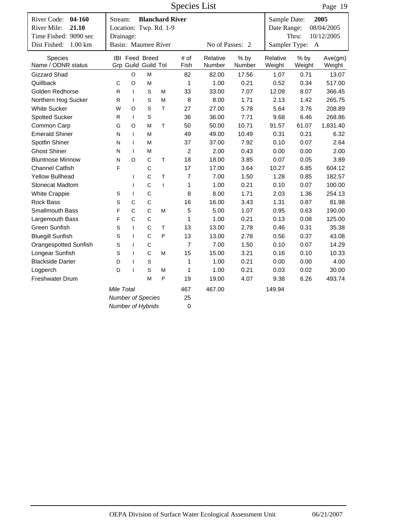|                                                                        |                          |                |                                                  | Page 19        |                |                                                                          |                  |                    |                               |                   |  |
|------------------------------------------------------------------------|--------------------------|----------------|--------------------------------------------------|----------------|----------------|--------------------------------------------------------------------------|------------------|--------------------|-------------------------------|-------------------|--|
| River Code:<br>04-160<br>River Mile:<br>21.10<br>Time Fished: 9090 sec | Stream:<br>Drainage:     |                | <b>Blanchard River</b><br>Location: Twp. Rd. 1-9 |                |                | 2005<br>Sample Date:<br>08/04/2005<br>Date Range:<br>Thru:<br>10/12/2005 |                  |                    |                               |                   |  |
| $1.00 \mathrm{km}$<br>Dist Fished:                                     |                          |                | Basin: Maumee River                              |                |                | No of Passes: 2                                                          |                  |                    | Sampler Type:<br>$\mathbf{A}$ |                   |  |
| <b>Species</b><br>Name / ODNR status                                   |                          |                | <b>IBI</b> Feed Breed<br>Grp Guild Guild Tol     |                | # of<br>Fish   | Relative<br>Number                                                       | $%$ by<br>Number | Relative<br>Weight | $%$ by<br>Weight              | Ave(gm)<br>Weight |  |
| <b>Gizzard Shad</b>                                                    |                          | $\circ$        | M                                                |                | 82             | 82.00                                                                    | 17.56            | 1.07               | 0.71                          | 13.07             |  |
| Quillback                                                              | C                        | O              | M                                                |                | $\mathbf{1}$   | 1.00                                                                     | 0.21             | 0.52               | 0.34                          | 517.00            |  |
| Golden Redhorse                                                        | R                        | $\mathbf{I}$   | $\mathsf S$                                      | M              | 33             | 33.00                                                                    | 7.07             | 12.09              | 8.07                          | 366.45            |  |
| Northern Hog Sucker                                                    | R                        | $\mathbf{I}$   | $\mathsf S$                                      | M              | 8              | 8.00                                                                     | 1.71             | 2.13               | 1.42                          | 265.75            |  |
| <b>White Sucker</b>                                                    | W                        | O              | $\mathsf S$                                      | $\mathsf T$    | 27             | 27.00                                                                    | 5.78             | 5.64               | 3.76                          | 208.89            |  |
| <b>Spotted Sucker</b>                                                  | R                        | $\mathbf{I}$   | $\mathsf S$                                      |                | 36             | 36.00                                                                    | 7.71             | 9.68               | 6.46                          | 268.86            |  |
| Common Carp                                                            | G                        | O              | M                                                | T              | 50             | 50.00                                                                    | 10.71            | 91.57              | 61.07                         | 1,831.40          |  |
| <b>Emerald Shiner</b>                                                  | N                        | $\mathbf{I}$   | M                                                |                | 49             | 49.00                                                                    | 10.49            | 0.31               | 0.21                          | 6.32              |  |
| Spotfin Shiner                                                         | N                        | $\mathbf{I}$   | М                                                |                | 37             | 37.00                                                                    | 7.92             | 0.10               | 0.07                          | 2.64              |  |
| <b>Ghost Shiner</b>                                                    | N                        | $\mathbf{I}$   | М                                                |                | $\overline{c}$ | 2.00                                                                     | 0.43             | 0.00               | 0.00                          | 2.00              |  |
| <b>Bluntnose Minnow</b>                                                | N                        | O              | C                                                | $\mathsf{T}$   | 18             | 18.00                                                                    | 3.85             | 0.07               | 0.05                          | 3.89              |  |
| <b>Channel Catfish</b>                                                 | F                        |                | $\mathsf C$                                      |                | 17             | 17.00                                                                    | 3.64             | 10.27              | 6.85                          | 604.12            |  |
| <b>Yellow Bullhead</b>                                                 |                          | $\mathsf{I}$   | $\mathsf{C}$                                     | $\sf T$        | $\overline{7}$ | 7.00                                                                     | 1.50             | 1.28               | 0.85                          | 182.57            |  |
| Stonecat Madtom                                                        |                          | $\mathbf{I}$   | $\mathsf{C}$                                     | $\overline{1}$ | $\mathbf{1}$   | 1.00                                                                     | 0.21             | 0.10               | 0.07                          | 100.00            |  |
| <b>White Crappie</b>                                                   | S                        | $\mathbf{I}$   | $\mathsf{C}$                                     |                | 8              | 8.00                                                                     | 1.71             | 2.03               | 1.36                          | 254.13            |  |
| <b>Rock Bass</b>                                                       | S                        | $\mathsf{C}$   | $\mathsf C$                                      |                | 16             | 16.00                                                                    | 3.43             | 1.31               | 0.87                          | 81.98             |  |
| Smallmouth Bass                                                        | F                        | $\mathsf{C}$   | $\mathsf{C}$                                     | M              | 5              | 5.00                                                                     | 1.07             | 0.95               | 0.63                          | 190.00            |  |
| Largemouth Bass                                                        | F                        | $\mathsf{C}$   | $\mathsf{C}$                                     |                | 1              | 1.00                                                                     | 0.21             | 0.13               | 0.08                          | 125.00            |  |
| Green Sunfish                                                          | S                        | $\mathbf{I}$   | C                                                | T              | 13             | 13.00                                                                    | 2.78             | 0.46               | 0.31                          | 35.38             |  |
| <b>Bluegill Sunfish</b>                                                | S                        | $\mathbf{I}$   | C                                                | P              | 13             | 13.00                                                                    | 2.78             | 0.56               | 0.37                          | 43.08             |  |
| <b>Orangespotted Sunfish</b>                                           | S                        | $\mathbf{I}$   | C                                                |                | $\overline{7}$ | 7.00                                                                     | 1.50             | 0.10               | 0.07                          | 14.29             |  |
| Longear Sunfish                                                        | S                        | $\mathbf{I}$   | $\mathsf{C}$                                     | M              | 15             | 15.00                                                                    | 3.21             | 0.16               | 0.10                          | 10.33             |  |
| <b>Blackside Darter</b>                                                | D                        | $\overline{1}$ | $\mathsf S$                                      |                | 1              | 1.00                                                                     | 0.21             | 0.00               | 0.00                          | 4.00              |  |
| Logperch                                                               | D                        | $\overline{1}$ | $\mathsf S$                                      | M              | 1              | 1.00                                                                     | 0.21             | 0.03               | 0.02                          | 30.00             |  |
| <b>Freshwater Drum</b>                                                 |                          |                | M                                                | P              | 19             | 19.00                                                                    | 4.07             | 9.38               | 6.26                          | 493.74            |  |
|                                                                        | Mile Total               |                |                                                  |                | 467            | 467.00                                                                   |                  | 149.94             |                               |                   |  |
|                                                                        | <b>Number of Species</b> |                |                                                  |                | 25             |                                                                          |                  |                    |                               |                   |  |
|                                                                        | <b>Number of Hybrids</b> |                |                                                  |                | $\Omega$       |                                                                          |                  |                    |                               |                   |  |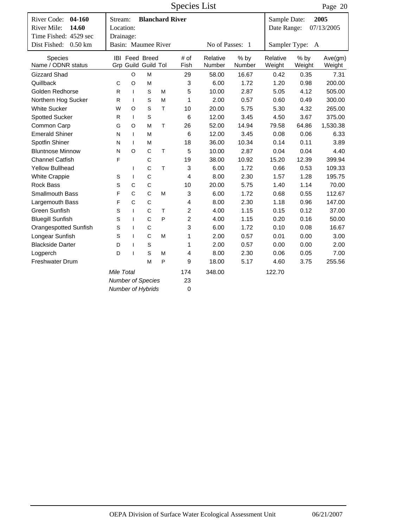| Dpoores List                                  |                          |                |                                       |                        |                         |                                                   |                |                    |                | $1$ agu $20$      |
|-----------------------------------------------|--------------------------|----------------|---------------------------------------|------------------------|-------------------------|---------------------------------------------------|----------------|--------------------|----------------|-------------------|
| River Code:<br>04-160<br>River Mile:<br>14.60 | Stream:<br>Location:     |                |                                       | <b>Blanchard River</b> |                         | 2005<br>Sample Date:<br>07/13/2005<br>Date Range: |                |                    |                |                   |
| Time Fished: 4529 sec                         | Drainage:                |                |                                       |                        |                         |                                                   |                |                    |                |                   |
| Dist Fished: 0.50 km                          | Basin: Maumee River      |                |                                       |                        |                         | No of Passes: 1                                   |                | Sampler Type:<br>A |                |                   |
| Species<br>Name / ODNR status                 |                          |                | IBI Feed Breed<br>Grp Guild Guild Tol |                        | # of<br>Fish            | Relative<br>Number                                | % by<br>Number | Relative<br>Weight | % by<br>Weight | Ave(gm)<br>Weight |
| <b>Gizzard Shad</b>                           |                          | $\circ$        | M                                     |                        | 29                      | 58.00                                             | 16.67          | 0.42               | 0.35           | 7.31              |
| Quillback                                     | C                        | O              | M                                     |                        | 3                       | 6.00                                              | 1.72           | 1.20               | 0.98           | 200.00            |
| Golden Redhorse                               | $\mathsf{R}$             | $\mathbf{I}$   | S                                     | M                      | 5                       | 10.00                                             | 2.87           | 5.05               | 4.12           | 505.00            |
| Northern Hog Sucker                           | R                        | $\mathbf{I}$   | S                                     | M                      | 1                       | 2.00                                              | 0.57           | 0.60               | 0.49           | 300.00            |
| <b>White Sucker</b>                           | W                        | O              | S                                     | $\mathsf T$            | 10                      | 20.00                                             | 5.75           | 5.30               | 4.32           | 265.00            |
| Spotted Sucker                                | $\mathsf{R}$             | $\mathbf{I}$   | S                                     |                        | 6                       | 12.00                                             | 3.45           | 4.50               | 3.67           | 375.00            |
| Common Carp                                   | G                        | $\circ$        | M                                     | T                      | 26                      | 52.00                                             | 14.94          | 79.58              | 64.86          | 1,530.38          |
| <b>Emerald Shiner</b>                         | N                        | $\mathbf{I}$   | M                                     |                        | 6                       | 12.00                                             | 3.45           | 0.08               | 0.06           | 6.33              |
| Spotfin Shiner                                | N                        | $\mathbf{I}$   | M                                     |                        | 18                      | 36.00                                             | 10.34          | 0.14               | 0.11           | 3.89              |
| <b>Bluntnose Minnow</b>                       | $\mathsf{N}$             | $\circ$        | $\mathsf{C}$                          | T.                     | 5                       | 10.00                                             | 2.87           | 0.04               | 0.04           | 4.40              |
| <b>Channel Catfish</b>                        | F                        |                | $\mathsf{C}$                          |                        | 19                      | 38.00                                             | 10.92          | 15.20              | 12.39          | 399.94            |
| <b>Yellow Bullhead</b>                        |                          | $\mathbf{I}$   | $\mathsf C$                           | T                      | 3                       | 6.00                                              | 1.72           | 0.66               | 0.53           | 109.33            |
| <b>White Crappie</b>                          | S                        | $\mathbf{I}$   | $\mathsf C$                           |                        | 4                       | 8.00                                              | 2.30           | 1.57               | 1.28           | 195.75            |
| Rock Bass                                     | S                        | $\mathsf C$    | $\mathsf C$                           |                        | 10                      | 20.00                                             | 5.75           | 1.40               | 1.14           | 70.00             |
| Smallmouth Bass                               | F                        | $\mathsf{C}$   | $\mathsf{C}$                          | M                      | 3                       | 6.00                                              | 1.72           | 0.68               | 0.55           | 112.67            |
| Largemouth Bass                               | F                        | $\mathsf C$    | $\mathsf{C}$                          |                        | $\overline{\mathbf{4}}$ | 8.00                                              | 2.30           | 1.18               | 0.96           | 147.00            |
| Green Sunfish                                 | S                        | $\mathbf{I}$   | $\mathsf C$                           | $\top$                 | $\boldsymbol{2}$        | 4.00                                              | 1.15           | 0.15               | 0.12           | 37.00             |
| <b>Bluegill Sunfish</b>                       | S                        | $\overline{1}$ | $\mathsf{C}$                          | P                      | $\overline{c}$          | 4.00                                              | 1.15           | 0.20               | 0.16           | 50.00             |
| <b>Orangespotted Sunfish</b>                  | S                        | $\mathbf{I}$   | $\mathbf C$                           |                        | 3                       | 6.00                                              | 1.72           | 0.10               | 0.08           | 16.67             |
| Longear Sunfish                               | S                        | $\mathbf{I}$   | $\mathsf{C}$                          | M                      | 1                       | 2.00                                              | 0.57           | 0.01               | 0.00           | 3.00              |
| <b>Blackside Darter</b>                       | D                        | $\mathbf{I}$   | S                                     |                        | 1                       | 2.00                                              | 0.57           | 0.00               | 0.00           | 2.00              |
| Logperch                                      | D                        | $\overline{1}$ | S                                     | M                      | 4                       | 8.00                                              | 2.30           | 0.06               | 0.05           | 7.00              |
| Freshwater Drum                               |                          |                | M                                     | P                      | 9                       | 18.00                                             | 5.17           | 4.60               | 3.75           | 255.56            |
|                                               | Mile Total               |                |                                       |                        | 174                     | 348.00                                            |                | 122.70             |                |                   |
|                                               | Number of Species        |                |                                       |                        | 23                      |                                                   |                |                    |                |                   |
|                                               | <b>Number of Hybrids</b> |                |                                       |                        | 0                       |                                                   |                |                    |                |                   |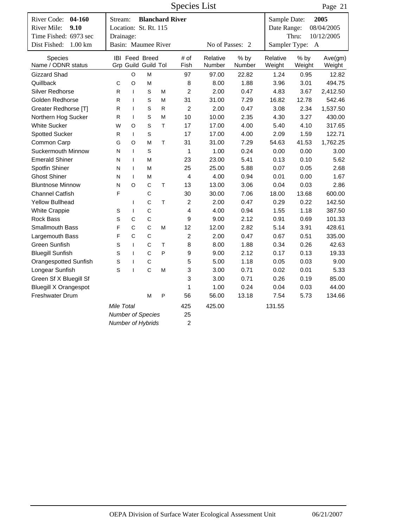|                                                                       |                                               |                          |                                              | <b>Species List</b>    |                  |                    | Page 21                                                                  |                    |                    |                   |  |
|-----------------------------------------------------------------------|-----------------------------------------------|--------------------------|----------------------------------------------|------------------------|------------------|--------------------|--------------------------------------------------------------------------|--------------------|--------------------|-------------------|--|
| 04-160<br>River Code:<br>River Mile:<br>9.10<br>Time Fished: 6973 sec | Stream:<br>Location: St. Rt. 115<br>Drainage: |                          |                                              | <b>Blanchard River</b> |                  |                    | Sample Date:<br>2005<br>Date Range:<br>08/04/2005<br>Thru:<br>10/12/2005 |                    |                    |                   |  |
| Dist Fished:<br>$1.00 \mathrm{km}$                                    | Basin: Maumee River                           |                          |                                              |                        |                  | No of Passes: 2    |                                                                          |                    | Sampler Type:<br>A |                   |  |
| Species<br>Name / ODNR status                                         |                                               |                          | <b>IBI</b> Feed Breed<br>Grp Guild Guild Tol |                        | # of<br>Fish     | Relative<br>Number | % by<br>Number                                                           | Relative<br>Weight | % by<br>Weight     | Ave(gm)<br>Weight |  |
| <b>Gizzard Shad</b>                                                   |                                               | $\circ$                  | M                                            |                        | 97               | 97.00              | 22.82                                                                    | 1.24               | 0.95               | 12.82             |  |
| Quillback                                                             | C                                             | O                        | M                                            |                        | 8                | 8.00               | 1.88                                                                     | 3.96               | 3.01               | 494.75            |  |
| <b>Silver Redhorse</b>                                                | R                                             | $\mathbf{I}$             | $\mathsf S$                                  | M                      | $\overline{c}$   | 2.00               | 0.47                                                                     | 4.83               | 3.67               | 2,412.50          |  |
| Golden Redhorse                                                       | R                                             | $\mathbf{I}$             | S                                            | M                      | 31               | 31.00              | 7.29                                                                     | 16.82              | 12.78              | 542.46            |  |
| Greater Redhorse [T]                                                  | R                                             | $\mathbf{I}$             | $\mathsf S$                                  | R                      | $\overline{c}$   | 2.00               | 0.47                                                                     | 3.08               | 2.34               | 1,537.50          |  |
| Northern Hog Sucker                                                   | R                                             | $\mathbf{I}$             | $\mathsf S$                                  | M                      | 10               | 10.00              | 2.35                                                                     | 4.30               | 3.27               | 430.00            |  |
| <b>White Sucker</b>                                                   | W                                             | O                        | $\mathsf S$                                  | T.                     | 17               | 17.00              | 4.00                                                                     | 5.40               | 4.10               | 317.65            |  |
| <b>Spotted Sucker</b>                                                 | R                                             | $\mathbf{I}$             | $\mathsf S$                                  |                        | 17               | 17.00              | 4.00                                                                     | 2.09               | 1.59               | 122.71            |  |
| Common Carp                                                           | G                                             | O                        | M                                            | $\top$                 | 31               | 31.00              | 7.29                                                                     | 54.63              | 41.53              | 1,762.25          |  |
| Suckermouth Minnow                                                    | N                                             | $\mathbf{I}$             | $\mathsf S$                                  |                        | $\mathbf{1}$     | 1.00               | 0.24                                                                     | 0.00               | 0.00               | 3.00              |  |
| <b>Emerald Shiner</b>                                                 | N                                             | $\mathbf{I}$             | M                                            |                        | 23               | 23.00              | 5.41                                                                     | 0.13               | 0.10               | 5.62              |  |
| Spotfin Shiner                                                        | N                                             | $\mathbf{I}$             | M                                            |                        | 25               | 25.00              | 5.88                                                                     | 0.07               | 0.05               | 2.68              |  |
| <b>Ghost Shiner</b>                                                   | N                                             | $\mathbf{I}$             | M                                            |                        | $\overline{4}$   | 4.00               | 0.94                                                                     | 0.01               | 0.00               | 1.67              |  |
| <b>Bluntnose Minnow</b>                                               | Ν                                             | O                        | $\mathsf{C}$                                 | Τ                      | 13               | 13.00              | 3.06                                                                     | 0.04               | 0.03               | 2.86              |  |
| <b>Channel Catfish</b>                                                | F                                             |                          | C                                            |                        | 30               | 30.00              | 7.06                                                                     | 18.00              | 13.68              | 600.00            |  |
| <b>Yellow Bullhead</b>                                                |                                               | $\overline{\phantom{a}}$ | $\mathsf{C}$                                 | T                      | $\overline{c}$   | 2.00               | 0.47                                                                     | 0.29               | 0.22               | 142.50            |  |
| <b>White Crappie</b>                                                  | S                                             | $\mathbf{I}$             | $\mathsf{C}$                                 |                        | 4                | 4.00               | 0.94                                                                     | 1.55               | 1.18               | 387.50            |  |
| <b>Rock Bass</b>                                                      | S                                             | C                        | $\mathsf{C}$                                 |                        | 9                | 9.00               | 2.12                                                                     | 0.91               | 0.69               | 101.33            |  |
| Smallmouth Bass                                                       | F                                             | $\mathsf{C}$             | $\mathsf{C}$                                 | M                      | 12               | 12.00              | 2.82                                                                     | 5.14               | 3.91               | 428.61            |  |
| Largemouth Bass                                                       | F                                             | C                        | C                                            |                        | $\boldsymbol{2}$ | 2.00               | 0.47                                                                     | 0.67               | 0.51               | 335.00            |  |
| Green Sunfish                                                         | S                                             | $\mathbf{I}$             | C                                            | T                      | 8                | 8.00               | 1.88                                                                     | 0.34               | 0.26               | 42.63             |  |
| <b>Bluegill Sunfish</b>                                               | S                                             | $\mathbf{I}$             | C                                            | P                      | 9                | 9.00               | 2.12                                                                     | 0.17               | 0.13               | 19.33             |  |
| <b>Orangespotted Sunfish</b>                                          | S                                             | $\mathbf{I}$             | $\mathsf C$                                  |                        | 5                | 5.00               | 1.18                                                                     | 0.05               | 0.03               | 9.00              |  |
| Longear Sunfish                                                       | S                                             | $\overline{1}$           | $\mathsf{C}$                                 | M                      | 3                | 3.00               | 0.71                                                                     | 0.02               | 0.01               | 5.33              |  |
| Green Sf X Bluegill Sf                                                |                                               |                          |                                              |                        | 3                | 3.00               | 0.71                                                                     | 0.26               | 0.19               | 85.00             |  |
| <b>Bluegill X Orangespot</b>                                          |                                               |                          |                                              |                        | 1                | 1.00               | 0.24                                                                     | 0.04               | 0.03               | 44.00             |  |
| Freshwater Drum                                                       |                                               |                          | M                                            | P                      | 56               | 56.00              | 13.18                                                                    | 7.54               | 5.73               | 134.66            |  |
|                                                                       | Mile Total                                    |                          |                                              |                        | 425              | 425.00             |                                                                          | 131.55             |                    |                   |  |
|                                                                       | <b>Number of Species</b>                      |                          |                                              |                        | 25               |                    |                                                                          |                    |                    |                   |  |
|                                                                       | Number of Hybrids                             |                          |                                              |                        | $\overline{2}$   |                    |                                                                          |                    |                    |                   |  |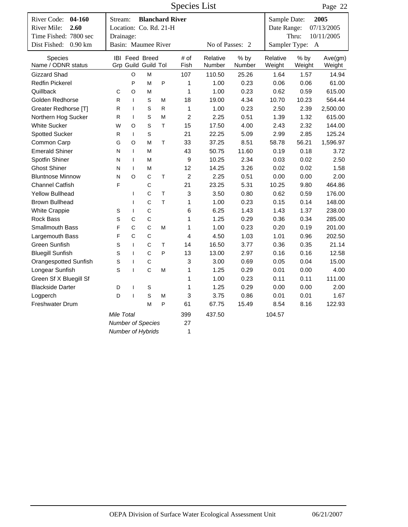|                               |                          |                          |                                              | <b>Species List</b> |                 |                    | Page 22          |                           |                                 |                   |  |
|-------------------------------|--------------------------|--------------------------|----------------------------------------------|---------------------|-----------------|--------------------|------------------|---------------------------|---------------------------------|-------------------|--|
| 04-160<br>River Code:         | Stream:                  |                          | <b>Blanchard River</b>                       |                     |                 |                    |                  | 2005<br>Sample Date:      |                                 |                   |  |
| River Mile:<br>2.60           | Location: Co. Rd. 21-H   |                          |                                              |                     |                 |                    |                  | Date Range:<br>07/13/2005 |                                 |                   |  |
| Time Fished: 7800 sec         | Drainage:                |                          |                                              |                     |                 |                    |                  | Thru:<br>10/11/2005       |                                 |                   |  |
| Dist Fished: 0.90 km          | Basin: Maumee River      |                          |                                              |                     |                 | No of Passes: 2    |                  |                           | Sampler Type:<br>$\overline{A}$ |                   |  |
| Species<br>Name / ODNR status |                          |                          | <b>IBI</b> Feed Breed<br>Grp Guild Guild Tol |                     | # of<br>Fish    | Relative<br>Number | $%$ by<br>Number | Relative<br>Weight        | % by<br>Weight                  | Ave(gm)<br>Weight |  |
| <b>Gizzard Shad</b>           |                          | O                        | M                                            |                     | 107             | 110.50             | 25.26            | 1.64                      | 1.57                            | 14.94             |  |
| <b>Redfin Pickerel</b>        |                          | P                        | M                                            | P                   | 1               | 1.00               | 0.23             | 0.06                      | 0.06                            | 61.00             |  |
| Quillback                     | С                        | O                        | M                                            |                     | $\mathbf{1}$    | 1.00               | 0.23             | 0.62                      | 0.59                            | 615.00            |  |
| Golden Redhorse               | R                        | $\mathbf{I}$             | S                                            | M                   | 18              | 19.00              | 4.34             | 10.70                     | 10.23                           | 564.44            |  |
| Greater Redhorse [T]          | R                        | $\mathbf{I}$             | S                                            | R                   | $\mathbf{1}$    | 1.00               | 0.23             | 2.50                      | 2.39                            | 2,500.00          |  |
| Northern Hog Sucker           | R                        | $\mathbf{I}$             | $\mathsf S$                                  | M                   | $\overline{c}$  | 2.25               | 0.51             | 1.39                      | 1.32                            | 615.00            |  |
| <b>White Sucker</b>           | W                        | O                        | $\mathsf S$                                  | T.                  | 15              | 17.50              | 4.00             | 2.43                      | 2.32                            | 144.00            |  |
| <b>Spotted Sucker</b>         | R                        | $\mathbf{I}$             | S                                            |                     | 21              | 22.25              | 5.09             | 2.99                      | 2.85                            | 125.24            |  |
| Common Carp                   | G                        | O                        | M                                            | T.                  | 33              | 37.25              | 8.51             | 58.78                     | 56.21                           | 1,596.97          |  |
| <b>Emerald Shiner</b>         | Ν                        | $\mathbf{I}$             | M                                            |                     | 43              | 50.75              | 11.60            | 0.19                      | 0.18                            | 3.72              |  |
| Spotfin Shiner                | Ν                        | $\mathbf{I}$             | M                                            |                     | 9               | 10.25              | 2.34             | 0.03                      | 0.02                            | 2.50              |  |
| <b>Ghost Shiner</b>           | N                        | $\mathbf{I}$             | M                                            |                     | 12              | 14.25              | 3.26             | 0.02                      | 0.02                            | 1.58              |  |
| <b>Bluntnose Minnow</b>       | N                        | O                        | $\mathsf{C}$                                 | Τ                   | $\overline{c}$  | 2.25               | 0.51             | 0.00                      | 0.00                            | 2.00              |  |
| <b>Channel Catfish</b>        | F                        |                          | C                                            |                     | 21              | 23.25              | 5.31             | 10.25                     | 9.80                            | 464.86            |  |
| <b>Yellow Bullhead</b>        |                          | I                        | C                                            | T                   | $\mathbf{3}$    | 3.50               | 0.80             | 0.62                      | 0.59                            | 176.00            |  |
| <b>Brown Bullhead</b>         |                          | $\overline{\phantom{a}}$ | $\mathsf{C}$                                 | T.                  | $\mathbf{1}$    | 1.00               | 0.23             | 0.15                      | 0.14                            | 148.00            |  |
| White Crappie                 | S                        | $\mathbf{I}$             | $\mathsf{C}$                                 |                     | $6\phantom{1}6$ | 6.25               | 1.43             | 1.43                      | 1.37                            | 238.00            |  |
| Rock Bass                     | S                        | $\mathsf{C}$             | $\mathsf C$                                  |                     | 1               | 1.25               | 0.29             | 0.36                      | 0.34                            | 285.00            |  |
| <b>Smallmouth Bass</b>        | F                        | $\mathsf{C}$             | C                                            | M                   | 1               | 1.00               | 0.23             | 0.20                      | 0.19                            | 201.00            |  |
| Largemouth Bass               | F                        | C                        | $\mathsf{C}$                                 |                     | $\overline{4}$  | 4.50               | 1.03             | 1.01                      | 0.96                            | 202.50            |  |
| Green Sunfish                 | S                        | $\mathbf{I}$             | C                                            | T                   | 14              | 16.50              | 3.77             | 0.36                      | 0.35                            | 21.14             |  |
| <b>Bluegill Sunfish</b>       | S                        | $\mathbf{I}$             | C                                            | P                   | 13              | 13.00              | 2.97             | 0.16                      | 0.16                            | 12.58             |  |
| <b>Orangespotted Sunfish</b>  | S                        | $\overline{\phantom{a}}$ | $\mathsf{C}$                                 |                     | $\mathbf{3}$    | 3.00               | 0.69             | 0.05                      | 0.04                            | 15.00             |  |
| Longear Sunfish               | S                        | $\overline{1}$           | $\mathsf{C}$                                 | M                   | 1               | 1.25               | 0.29             | 0.01                      | 0.00                            | 4.00              |  |
| Green Sf X Bluegill Sf        |                          |                          |                                              |                     | 1               | 1.00               | 0.23             | 0.11                      | 0.11                            | 111.00            |  |
| <b>Blackside Darter</b>       | D                        | $\mathsf{I}$             | S                                            |                     | 1               | 1.25               | 0.29             | 0.00                      | 0.00                            | 2.00              |  |
| Logperch                      | D                        | $\overline{1}$           | S                                            | M                   | 3               | 3.75               | 0.86             | 0.01                      | 0.01                            | 1.67              |  |
| Freshwater Drum               |                          |                          | M                                            | P                   | 61              | 67.75              | 15.49            | 8.54                      | 8.16                            | 122.93            |  |
|                               | Mile Total               |                          |                                              |                     | 399             | 437.50             |                  | 104.57                    |                                 |                   |  |
|                               | <b>Number of Species</b> |                          |                                              |                     | 27              |                    |                  |                           |                                 |                   |  |
|                               | Number of Hybrids        |                          |                                              |                     | $\mathbf 1$     |                    |                  |                           |                                 |                   |  |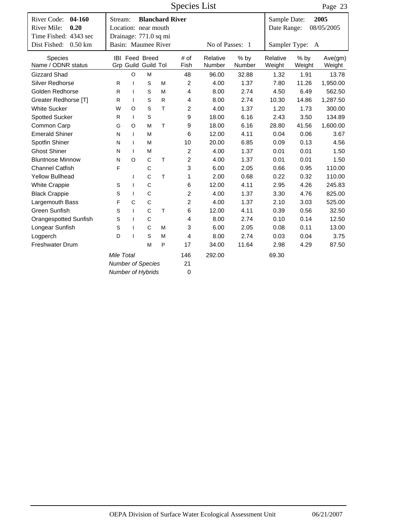|                               |                          |              |                                              |        |                |                    |                      |                    |                  | -00               |
|-------------------------------|--------------------------|--------------|----------------------------------------------|--------|----------------|--------------------|----------------------|--------------------|------------------|-------------------|
| River Code:<br>04-160         | Stream:                  |              | <b>Blanchard River</b>                       |        |                |                    | 2005<br>Sample Date: |                    |                  |                   |
| River Mile:<br>0.20           |                          |              | Location: near mouth                         |        |                |                    |                      | Date Range:        |                  | 08/05/2005        |
| Time Fished: 4343 sec         |                          |              | Drainage: 771.0 sq mi                        |        |                |                    |                      |                    |                  |                   |
| Dist Fished: 0.50 km          |                          |              | Basin: Maumee River                          |        |                | Sampler Type: A    |                      |                    |                  |                   |
| Species<br>Name / ODNR status |                          |              | <b>IBI Feed Breed</b><br>Grp Guild Guild Tol |        | # of<br>Fish   | Relative<br>Number | % by<br>Number       | Relative<br>Weight | $%$ by<br>Weight | Ave(gm)<br>Weight |
| <b>Gizzard Shad</b>           |                          | $\circ$      | M                                            |        | 48             | 96.00              | 32.88                | 1.32               | 1.91             | 13.78             |
| Silver Redhorse               | R                        | $\mathbf{I}$ | S                                            | M      | $\overline{c}$ | 4.00               | 1.37                 | 7.80               | 11.26            | 1,950.00          |
| Golden Redhorse               | R                        | $\mathbf{I}$ | $\mathsf S$                                  | M      | 4              | 8.00               | 2.74                 | 4.50               | 6.49             | 562.50            |
| Greater Redhorse [T]          | R.                       | $\mathbf{I}$ | S                                            | R      | 4              | 8.00               | 2.74                 | 10.30              | 14.86            | 1,287.50          |
| <b>White Sucker</b>           | W                        | $\circ$      | $\mathsf S$                                  | T      | $\overline{c}$ | 4.00               | 1.37                 | 1.20               | 1.73             | 300.00            |
| <b>Spotted Sucker</b>         | R                        | $\mathbf{I}$ | $\mathsf S$                                  |        | 9              | 18.00              | 6.16                 | 2.43               | 3.50             | 134.89            |
| Common Carp                   | G                        | $\circ$      | M                                            | T      | 9              | 18.00              | 6.16                 | 28.80              | 41.56            | 1,600.00          |
| <b>Emerald Shiner</b>         | N                        | $\mathbf{I}$ | M                                            |        | 6              | 12.00              | 4.11                 | 0.04               | 0.06             | 3.67              |
| Spotfin Shiner                | N                        | $\mathbf{I}$ | M                                            |        | 10             | 20.00              | 6.85                 | 0.09               | 0.13             | 4.56              |
| <b>Ghost Shiner</b>           | N                        | $\mathbf{I}$ | M                                            |        | $\overline{c}$ | 4.00               | 1.37                 | 0.01               | 0.01             | 1.50              |
| <b>Bluntnose Minnow</b>       | $\mathsf{N}$             | $\circ$      | $\mathsf C$                                  | T      | $\overline{c}$ | 4.00               | 1.37                 | 0.01               | 0.01             | 1.50              |
| <b>Channel Catfish</b>        | F                        |              | $\mathsf C$                                  |        | 3              | 6.00               | 2.05                 | 0.66               | 0.95             | 110.00            |
| <b>Yellow Bullhead</b>        |                          | $\mathbf{I}$ | C                                            | $\top$ | 1              | 2.00               | 0.68                 | 0.22               | 0.32             | 110.00            |
| <b>White Crappie</b>          | S                        | $\mathbf{I}$ | $\mathsf C$                                  |        | 6              | 12.00              | 4.11                 | 2.95               | 4.26             | 245.83            |
| <b>Black Crappie</b>          | S                        | $\mathbf{I}$ | $\mathsf{C}$                                 |        | $\overline{c}$ | 4.00               | 1.37                 | 3.30               | 4.76             | 825.00            |
| Largemouth Bass               | F                        | C            | $\mathsf C$                                  |        | 2              | 4.00               | 1.37                 | 2.10               | 3.03             | 525.00            |
| <b>Green Sunfish</b>          | S                        | $\mathbf{I}$ | $\mathsf{C}$                                 | T      | 6              | 12.00              | 4.11                 | 0.39               | 0.56             | 32.50             |
| Orangespotted Sunfish         | S                        | $\mathbf{I}$ | $\mathbf C$                                  |        | 4              | 8.00               | 2.74                 | 0.10               | 0.14             | 12.50             |
| Longear Sunfish               | S                        | $\mathbf{I}$ | $\mathsf C$                                  | M      | 3              | 6.00               | 2.05                 | 0.08               | 0.11             | 13.00             |
| Logperch                      | D                        | $\mathbf{I}$ | S                                            | M      | 4              | 8.00               | 2.74                 | 0.03               | 0.04             | 3.75              |
| Freshwater Drum               |                          |              | M                                            | P      | 17             | 34.00              | 11.64                | 2.98               | 4.29             | 87.50             |
|                               | Mile Total               |              |                                              |        | 146            | 292.00             |                      | 69.30              |                  |                   |
|                               | <b>Number of Species</b> |              |                                              |        | 21             |                    |                      |                    |                  |                   |
|                               |                          |              | Number of Hybrids                            |        | 0              |                    |                      |                    |                  |                   |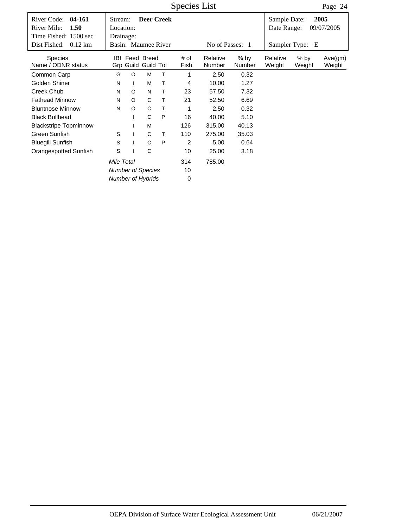| ■<br>39P |  |
|----------|--|
|          |  |

| River Code:<br>04-161<br>River Mile:<br>1.50 | Stream:<br>Location:     |              |                                   | <b>Deer Creek</b> |              |                    |                  | Sample Date:<br>Date Range: |                  | 2005<br>09/07/2005 |
|----------------------------------------------|--------------------------|--------------|-----------------------------------|-------------------|--------------|--------------------|------------------|-----------------------------|------------------|--------------------|
| Time Fished: 1500 sec                        | Drainage:                |              |                                   |                   |              |                    |                  |                             |                  |                    |
| Dist Fished:<br>$0.12 \text{ km}$            | Basin: Maumee River      |              |                                   |                   |              | No of Passes: 1    |                  |                             | Sampler Type: E  |                    |
| <b>Species</b><br>Name / ODNR status         | IBI                      |              | Feed Breed<br>Grp Guild Guild Tol |                   | # of<br>Fish | Relative<br>Number | $%$ by<br>Number | Relative<br>Weight          | $%$ by<br>Weight | Ave(gm)<br>Weight  |
| Common Carp                                  | G                        | O            | м                                 | т                 | 1            | 2.50               | 0.32             |                             |                  |                    |
| Golden Shiner                                | N                        | $\mathbf{I}$ | м                                 | т                 | 4            | 10.00              | 1.27             |                             |                  |                    |
| Creek Chub                                   | N                        | G            | N                                 | T                 | 23           | 57.50              | 7.32             |                             |                  |                    |
| <b>Fathead Minnow</b>                        | N                        | $\circ$      | C                                 | T                 | 21           | 52.50              | 6.69             |                             |                  |                    |
| <b>Bluntnose Minnow</b>                      | N                        | O            | C                                 | Т                 | 1            | 2.50               | 0.32             |                             |                  |                    |
| <b>Black Bullhead</b>                        |                          | I            | C                                 | P                 | 16           | 40.00              | 5.10             |                             |                  |                    |
| <b>Blackstripe Topminnow</b>                 |                          |              | M                                 |                   | 126          | 315.00             | 40.13            |                             |                  |                    |
| Green Sunfish                                | S                        |              | C                                 | т                 | 110          | 275.00             | 35.03            |                             |                  |                    |
| <b>Bluegill Sunfish</b>                      | S                        | $\mathbf{I}$ | C                                 | P                 | 2            | 5.00               | 0.64             |                             |                  |                    |
| Orangespotted Sunfish                        | S                        |              | C                                 |                   | 10           | 25.00              | 3.18             |                             |                  |                    |
|                                              | Mile Total               |              |                                   |                   | 314          | 785.00             |                  |                             |                  |                    |
|                                              | <b>Number of Species</b> |              |                                   |                   | 10           |                    |                  |                             |                  |                    |
|                                              | Number of Hybrids        |              |                                   |                   | 0            |                    |                  |                             |                  |                    |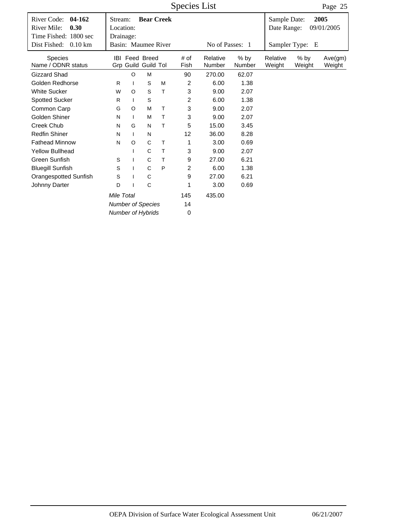| r.<br>1,<br>٠ |  |
|---------------|--|
|               |  |

|                                              |                      |              |                          |                   | л.          |                 |        |                             |                 |                    |
|----------------------------------------------|----------------------|--------------|--------------------------|-------------------|-------------|-----------------|--------|-----------------------------|-----------------|--------------------|
| River Code:<br>04-162<br>River Mile:<br>0.30 | Stream:<br>Location: |              |                          | <b>Bear Creek</b> |             |                 |        | Sample Date:<br>Date Range: |                 | 2005<br>09/01/2005 |
| Time Fished: 1800 sec                        | Drainage:            |              |                          |                   |             |                 |        |                             |                 |                    |
| Dist Fished:<br>$0.10 \mathrm{km}$           |                      |              | Basin: Maumee River      |                   |             | No of Passes: 1 |        |                             | Sampler Type: E |                    |
| <b>Species</b>                               |                      |              | <b>IBI</b> Feed Breed    |                   | # of        | Relative        | $%$ by | Relative                    | $%$ by          | Ave(gm)            |
| Name / ODNR status                           |                      |              | Grp Guild Guild Tol      |                   | Fish        | Number          | Number | Weight                      | Weight          | Weight             |
| <b>Gizzard Shad</b>                          |                      | O            | M                        |                   | 90          | 270.00          | 62.07  |                             |                 |                    |
| Golden Redhorse                              | R                    | $\mathsf{I}$ | S                        | м                 | 2           | 6.00            | 1.38   |                             |                 |                    |
| <b>White Sucker</b>                          | W                    | O            | S                        | т                 | 3           | 9.00            | 2.07   |                             |                 |                    |
| <b>Spotted Sucker</b>                        | R                    | $\mathsf{I}$ | S                        |                   | 2           | 6.00            | 1.38   |                             |                 |                    |
| Common Carp                                  | G                    | O            | M                        | т                 | 3           | 9.00            | 2.07   |                             |                 |                    |
| Golden Shiner                                | N                    | $\mathsf{I}$ | M                        | T                 | 3           | 9.00            | 2.07   |                             |                 |                    |
| Creek Chub                                   | N                    | G            | N                        | T                 | 5           | 15.00           | 3.45   |                             |                 |                    |
| <b>Redfin Shiner</b>                         | N                    | $\mathsf{I}$ | N                        |                   | 12          | 36.00           | 8.28   |                             |                 |                    |
| <b>Fathead Minnow</b>                        | N                    | O            | C                        | T                 | 1           | 3.00            | 0.69   |                             |                 |                    |
| <b>Yellow Bullhead</b>                       |                      | $\mathsf{I}$ | C                        | T                 | 3           | 9.00            | 2.07   |                             |                 |                    |
| Green Sunfish                                | S                    | I            | $\mathsf{C}$             | T                 | 9           | 27.00           | 6.21   |                             |                 |                    |
| <b>Bluegill Sunfish</b>                      | S                    | $\mathsf{I}$ | $\mathsf{C}$             | P                 | 2           | 6.00            | 1.38   |                             |                 |                    |
| Orangespotted Sunfish                        | S                    | $\mathsf{I}$ | C                        |                   | 9           | 27.00           | 6.21   |                             |                 |                    |
| Johnny Darter                                | D                    |              | C                        |                   | 1           | 3.00            | 0.69   |                             |                 |                    |
|                                              | Mile Total           |              |                          |                   | 145         | 435.00          |        |                             |                 |                    |
|                                              |                      |              | <b>Number of Species</b> |                   | 14          |                 |        |                             |                 |                    |
|                                              |                      |              | <b>Number of Hybrids</b> |                   | $\mathbf 0$ |                 |        |                             |                 |                    |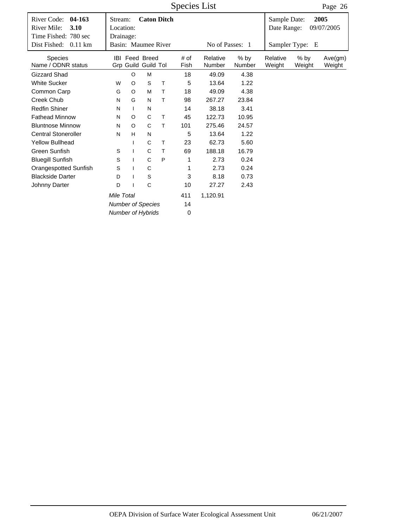| . .<br>-90 |  |
|------------|--|
|            |  |

| $04-163$<br>River Code:<br>River Mile:<br>3.10 | Stream:<br>Location:     |              |                       | <b>Caton Ditch</b> |      |                 |        | Sample Date:<br>Date Range: |                 | 2005<br>09/07/2005 |
|------------------------------------------------|--------------------------|--------------|-----------------------|--------------------|------|-----------------|--------|-----------------------------|-----------------|--------------------|
| Time Fished: 780 sec                           | Drainage:                |              |                       |                    |      |                 |        |                             |                 |                    |
| Dist Fished:<br>$0.11 \text{ km}$              | Basin: Maumee River      |              |                       |                    |      | No of Passes: 1 |        |                             | Sampler Type: E |                    |
| Species                                        |                          |              | <b>IBI</b> Feed Breed |                    | # of | Relative        | % by   | Relative                    | $%$ by          | Ave(gm)            |
| Name / ODNR status                             |                          |              | Grp Guild Guild Tol   |                    | Fish | Number          | Number | Weight                      | Weight          | Weight             |
| <b>Gizzard Shad</b>                            |                          | O            | M                     |                    | 18   | 49.09           | 4.38   |                             |                 |                    |
| <b>White Sucker</b>                            | W                        | O            | S                     | т                  | 5    | 13.64           | 1.22   |                             |                 |                    |
| Common Carp                                    | G                        | O            | М                     | т                  | 18   | 49.09           | 4.38   |                             |                 |                    |
| Creek Chub                                     | N                        | G            | N                     | $\top$             | 98   | 267.27          | 23.84  |                             |                 |                    |
| <b>Redfin Shiner</b>                           | N                        | $\mathbf{I}$ | N                     |                    | 14   | 38.18           | 3.41   |                             |                 |                    |
| <b>Fathead Minnow</b>                          | N                        | O            | С                     | Т                  | 45   | 122.73          | 10.95  |                             |                 |                    |
| <b>Bluntnose Minnow</b>                        | N                        | O            | C                     | Τ                  | 101  | 275.46          | 24.57  |                             |                 |                    |
| <b>Central Stoneroller</b>                     | N                        | H            | N                     |                    | 5    | 13.64           | 1.22   |                             |                 |                    |
| <b>Yellow Bullhead</b>                         |                          | $\mathsf{I}$ | C                     | т                  | 23   | 62.73           | 5.60   |                             |                 |                    |
| Green Sunfish                                  | S                        | $\mathbf{I}$ | C                     | т                  | 69   | 188.18          | 16.79  |                             |                 |                    |
| <b>Bluegill Sunfish</b>                        | S                        | $\mathbf{I}$ | C                     | P                  | 1    | 2.73            | 0.24   |                             |                 |                    |
| Orangespotted Sunfish                          | S                        | $\mathbf{I}$ | C                     |                    |      | 2.73            | 0.24   |                             |                 |                    |
| <b>Blackside Darter</b>                        | D                        | $\mathsf{I}$ | S                     |                    | 3    | 8.18            | 0.73   |                             |                 |                    |
| Johnny Darter                                  | D                        | ı            | C                     |                    | 10   | 27.27           | 2.43   |                             |                 |                    |
|                                                | Mile Total               |              |                       |                    | 411  | 1,120.91        |        |                             |                 |                    |
|                                                | <b>Number of Species</b> |              |                       |                    | 14   |                 |        |                             |                 |                    |
|                                                | Number of Hybrids        |              |                       |                    | 0    |                 |        |                             |                 |                    |
|                                                |                          |              |                       |                    |      |                 |        |                             |                 |                    |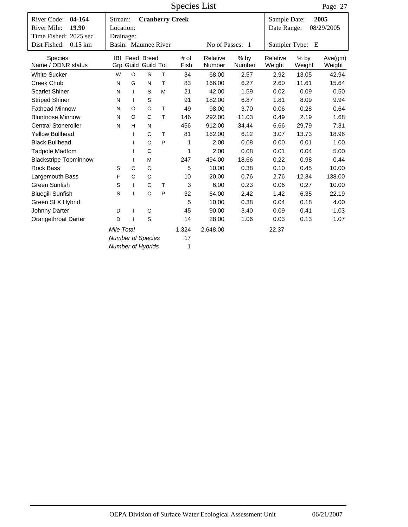|                                               |                      |                                              |                        |              | ------       |                                                   |                |                    |                    |                   |  |
|-----------------------------------------------|----------------------|----------------------------------------------|------------------------|--------------|--------------|---------------------------------------------------|----------------|--------------------|--------------------|-------------------|--|
| River Code:<br>04-164<br>River Mile:<br>19.90 | Stream:<br>Location: |                                              | <b>Cranberry Creek</b> |              |              | 2005<br>Sample Date:<br>08/29/2005<br>Date Range: |                |                    |                    |                   |  |
| Time Fished: 2025 sec                         | Drainage:            |                                              |                        |              |              |                                                   |                |                    |                    |                   |  |
| Dist Fished: 0.15 km                          |                      | Basin: Maumee River                          |                        |              |              | No of Passes: 1                                   |                |                    | Sampler Type:<br>E |                   |  |
| Species<br>Name / ODNR status                 |                      | <b>IBI Feed Breed</b><br>Grp Guild Guild Tol |                        |              | # of<br>Fish | Relative<br>Number                                | % by<br>Number | Relative<br>Weight | $%$ by<br>Weight   | Ave(gm)<br>Weight |  |
| <b>White Sucker</b>                           | W                    | $\circ$                                      | S                      | T.           | 34           | 68.00                                             | 2.57           | 2.92               | 13.05              | 42.94             |  |
| Creek Chub                                    | $\mathsf{N}$         | G                                            | ${\sf N}$              | $\mathsf{T}$ | 83           | 166.00                                            | 6.27           | 2.60               | 11.61              | 15.64             |  |
| <b>Scarlet Shiner</b>                         | N                    | $\mathbf{I}$                                 | S                      | M            | 21           | 42.00                                             | 1.59           | 0.02               | 0.09               | 0.50              |  |
| <b>Striped Shiner</b>                         | N                    | $\mathbf{I}$                                 | $\mathsf S$            |              | 91           | 182.00                                            | 6.87           | 1.81               | 8.09               | 9.94              |  |
| <b>Fathead Minnow</b>                         | N                    | $\circ$                                      | $\mathsf C$            | T            | 49           | 98.00                                             | 3.70           | 0.06               | 0.28               | 0.64              |  |
| <b>Bluntnose Minnow</b>                       | N                    | $\circ$                                      | $\mathsf{C}$           | T.           | 146          | 292.00                                            | 11.03          | 0.49               | 2.19               | 1.68              |  |
| <b>Central Stoneroller</b>                    | N                    | H                                            | N                      |              | 456          | 912.00                                            | 34.44          | 6.66               | 29.79              | 7.31              |  |
| <b>Yellow Bullhead</b>                        |                      | $\mathbf{I}$                                 | C                      | T.           | 81           | 162.00                                            | 6.12           | 3.07               | 13.73              | 18.96             |  |
| <b>Black Bullhead</b>                         |                      |                                              | $\mathsf C$            | P            | 1            | 2.00                                              | 0.08           | 0.00               | 0.01               | 1.00              |  |
| <b>Tadpole Madtom</b>                         |                      |                                              | $\mathsf C$            |              | 1            | 2.00                                              | 0.08           | 0.01               | 0.04               | 5.00              |  |
| <b>Blackstripe Topminnow</b>                  |                      | $\mathbf{I}$                                 | M                      |              | 247          | 494.00                                            | 18.66          | 0.22               | 0.98               | 0.44              |  |
| <b>Rock Bass</b>                              | S                    | $\mathsf C$                                  | $\mathsf C$            |              | 5            | 10.00                                             | 0.38           | 0.10               | 0.45               | 10.00             |  |
| Largemouth Bass                               | F                    | $\mathbf C$                                  | $\mathsf C$            |              | 10           | 20.00                                             | 0.76           | 2.76               | 12.34              | 138.00            |  |
| Green Sunfish                                 | S                    | $\mathbf{I}$                                 | $\mathsf C$            | $\mathsf{T}$ | 3            | 6.00                                              | 0.23           | 0.06               | 0.27               | 10.00             |  |
| <b>Bluegill Sunfish</b>                       | S                    | $\mathbf{I}$                                 | $\mathsf C$            | P            | 32           | 64.00                                             | 2.42           | 1.42               | 6.35               | 22.19             |  |
| Green Sf X Hybrid                             |                      |                                              |                        |              | 5            | 10.00                                             | 0.38           | 0.04               | 0.18               | 4.00              |  |
| Johnny Darter                                 | D                    | $\mathbf{I}$                                 | C                      |              | 45           | 90.00                                             | 3.40           | 0.09               | 0.41               | 1.03              |  |
| Orangethroat Darter                           | D                    |                                              | $\mathsf S$            |              | 14           | 28.00                                             | 1.06           | 0.03               | 0.13               | 1.07              |  |
|                                               | Mile Total           |                                              |                        |              | 1,324        | 2,648.00                                          |                | 22.37              |                    |                   |  |
|                                               |                      | <b>Number of Species</b>                     |                        |              | 17           |                                                   |                |                    |                    |                   |  |
|                                               |                      | <b>Number of Hybrids</b>                     |                        |              | 1            |                                                   |                |                    |                    |                   |  |
|                                               |                      |                                              |                        |              |              |                                                   |                |                    |                    |                   |  |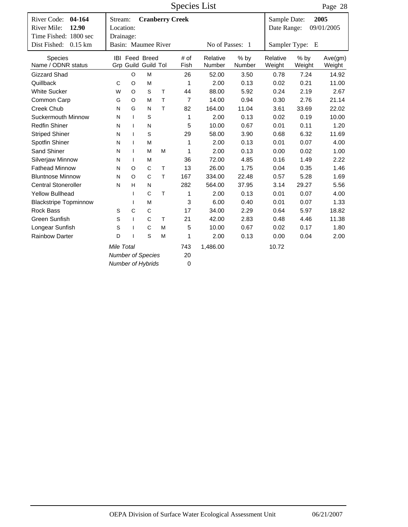| River Code:<br>04-164<br>River Mile:<br>12.90 | Stream:<br>Location:     |                          |                       | <b>Cranberry Creek</b> |                | 2005<br>Sample Date:<br>09/01/2005<br>Date Range: |        |               |        |         |  |
|-----------------------------------------------|--------------------------|--------------------------|-----------------------|------------------------|----------------|---------------------------------------------------|--------|---------------|--------|---------|--|
| Time Fished: 1800 sec                         |                          | Drainage:                |                       |                        |                |                                                   |        |               |        |         |  |
| Dist Fished: 0.15 km                          | Basin: Maumee River      |                          |                       |                        |                | No of Passes: 1                                   |        | Sampler Type: | E      |         |  |
|                                               |                          |                          |                       |                        |                |                                                   |        |               |        |         |  |
| Species                                       |                          |                          | <b>IBI</b> Feed Breed |                        | # of           | Relative                                          | $%$ by | Relative      | $%$ by | Ave(gm) |  |
| Name / ODNR status                            |                          |                          | Grp Guild Guild Tol   |                        | Fish           | Number                                            | Number | Weight        | Weight | Weight  |  |
| <b>Gizzard Shad</b>                           |                          | O                        | M                     |                        | 26             | 52.00                                             | 3.50   | 0.78          | 7.24   | 14.92   |  |
| Quillback                                     | C                        | $\circ$                  | M                     |                        | 1              | 2.00                                              | 0.13   | 0.02          | 0.21   | 11.00   |  |
| <b>White Sucker</b>                           | W                        | $\circ$                  | $\mathsf S$           | $\mathsf T$            | 44             | 88.00                                             | 5.92   | 0.24          | 2.19   | 2.67    |  |
| Common Carp                                   | G                        | $\circ$                  | M                     | $\top$                 | $\overline{7}$ | 14.00                                             | 0.94   | 0.30          | 2.76   | 21.14   |  |
| <b>Creek Chub</b>                             | $\mathsf{N}$             | G                        | ${\sf N}$             | $\top$                 | 82             | 164.00                                            | 11.04  | 3.61          | 33.69  | 22.02   |  |
| <b>Suckermouth Minnow</b>                     | N                        | $\mathbf{I}$             | $\mathsf S$           |                        | 1              | 2.00                                              | 0.13   | 0.02          | 0.19   | 10.00   |  |
| <b>Redfin Shiner</b>                          | N                        | $\mathbf{I}$             | N                     |                        | 5              | 10.00                                             | 0.67   | 0.01          | 0.11   | 1.20    |  |
| <b>Striped Shiner</b>                         | N                        | $\mathbf{I}$             | S                     |                        | 29             | 58.00                                             | 3.90   | 0.68          | 6.32   | 11.69   |  |
| Spotfin Shiner                                | N                        | $\mathsf{l}$             | M                     |                        | 1              | 2.00                                              | 0.13   | 0.01          | 0.07   | 4.00    |  |
| Sand Shiner                                   | N                        | $\mathbf{I}$             | M                     | M                      | 1              | 2.00                                              | 0.13   | 0.00          | 0.02   | 1.00    |  |
| Silverjaw Minnow                              | N                        | $\mathbf{I}$             | M                     |                        | 36             | 72.00                                             | 4.85   | 0.16          | 1.49   | 2.22    |  |
| <b>Fathead Minnow</b>                         | ${\sf N}$                | $\circ$                  | $\mathsf C$           | T.                     | 13             | 26.00                                             | 1.75   | 0.04          | 0.35   | 1.46    |  |
| <b>Bluntnose Minnow</b>                       | N                        | $\circ$                  | $\mathsf C$           | T                      | 167            | 334.00                                            | 22.48  | 0.57          | 5.28   | 1.69    |  |
| <b>Central Stoneroller</b>                    | N                        | H                        | $\mathsf{N}$          |                        | 282            | 564.00                                            | 37.95  | 3.14          | 29.27  | 5.56    |  |
| <b>Yellow Bullhead</b>                        |                          | $\mathbf{I}$             | $\mathsf{C}$          | T                      | 1              | 2.00                                              | 0.13   | 0.01          | 0.07   | 4.00    |  |
| <b>Blackstripe Topminnow</b>                  |                          | $\mathbf{I}$             | M                     |                        | 3              | 6.00                                              | 0.40   | 0.01          | 0.07   | 1.33    |  |
| <b>Rock Bass</b>                              | S                        | $\mathsf{C}$             | C                     |                        | 17             | 34.00                                             | 2.29   | 0.64          | 5.97   | 18.82   |  |
| Green Sunfish                                 | S                        | $\mathbf{I}$             | C                     | T.                     | 21             | 42.00                                             | 2.83   | 0.48          | 4.46   | 11.38   |  |
| Longear Sunfish                               | S                        | $\mathbf{I}$             | $\mathsf C$           | M                      | 5              | 10.00                                             | 0.67   | 0.02          | 0.17   | 1.80    |  |
| <b>Rainbow Darter</b>                         | D                        | $\overline{\phantom{a}}$ | S                     | M                      | 1              | 2.00                                              | 0.13   | 0.00          | 0.04   | 2.00    |  |
|                                               | Mile Total               |                          |                       |                        | 743            | 1,486.00                                          |        | 10.72         |        |         |  |
|                                               | <b>Number of Species</b> |                          |                       |                        | 20             |                                                   |        |               |        |         |  |
|                                               | Number of Hybrids        |                          |                       |                        | 0              |                                                   |        |               |        |         |  |
|                                               |                          |                          |                       |                        |                |                                                   |        |               |        |         |  |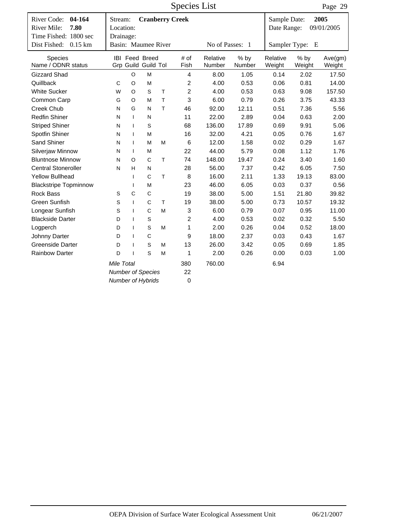|                                              |                      |                                              |              |                        | $_{\rm v}$ $_{\rm v}$ $_{\rm v}$ $_{\rm v}$ $_{\rm v}$ $_{\rm v}$ |                                                   |                  |                    |                 | $1 \, \mu_{\odot}$ $\sigma$ $\gtrsim$ |  |
|----------------------------------------------|----------------------|----------------------------------------------|--------------|------------------------|-------------------------------------------------------------------|---------------------------------------------------|------------------|--------------------|-----------------|---------------------------------------|--|
| River Code:<br>04-164<br>River Mile:<br>7.80 | Stream:<br>Location: |                                              |              | <b>Cranberry Creek</b> |                                                                   | 2005<br>Sample Date:<br>Date Range:<br>09/01/2005 |                  |                    |                 |                                       |  |
|                                              |                      |                                              |              |                        |                                                                   |                                                   |                  |                    |                 |                                       |  |
| Time Fished: 1800 sec                        | Drainage:            |                                              |              |                        |                                                                   |                                                   |                  |                    |                 |                                       |  |
| Dist Fished: 0.15 km                         |                      | Basin: Maumee River                          |              |                        |                                                                   | No of Passes: 1                                   |                  |                    | Sampler Type: E |                                       |  |
| Species<br>Name / ODNR status                |                      | <b>IBI</b> Feed Breed<br>Grp Guild Guild Tol |              |                        | # of<br>Fish                                                      | Relative<br>Number                                | $%$ by<br>Number | Relative<br>Weight | % by<br>Weight  | Ave(gm)<br>Weight                     |  |
| Gizzard Shad                                 |                      | $\circ$                                      | M            |                        | $\overline{\mathbf{4}}$                                           | 8.00                                              | 1.05             | 0.14               | 2.02            | 17.50                                 |  |
| Quillback                                    | C                    | $\circ$                                      | M            |                        | $\overline{c}$                                                    | 4.00                                              | 0.53             | 0.06               | 0.81            | 14.00                                 |  |
| <b>White Sucker</b>                          | W                    | $\circ$                                      | $\mathsf S$  | $\top$                 | $\overline{c}$                                                    | 4.00                                              | 0.53             | 0.63               | 9.08            | 157.50                                |  |
| Common Carp                                  | G                    | $\circ$                                      | M            | T                      | 3                                                                 | 6.00                                              | 0.79             | 0.26               | 3.75            | 43.33                                 |  |
| Creek Chub                                   | N                    | G                                            | $\mathsf{N}$ | T                      | 46                                                                | 92.00                                             | 12.11            | 0.51               | 7.36            | 5.56                                  |  |
| <b>Redfin Shiner</b>                         | N                    | $\overline{\phantom{a}}$                     | ${\sf N}$    |                        | 11                                                                | 22.00                                             | 2.89             | 0.04               | 0.63            | 2.00                                  |  |
| <b>Striped Shiner</b>                        | N                    | $\mathbf{I}$                                 | S            |                        | 68                                                                | 136.00                                            | 17.89            | 0.69               | 9.91            | 5.06                                  |  |
| Spotfin Shiner                               | $\mathsf{N}$         | $\overline{1}$                               | M            |                        | 16                                                                | 32.00                                             | 4.21             | 0.05               | 0.76            | 1.67                                  |  |
| Sand Shiner                                  | $\mathsf{N}$         | $\mathbf{I}$                                 | M            | M                      | 6                                                                 | 12.00                                             | 1.58             | 0.02               | 0.29            | 1.67                                  |  |
| Silverjaw Minnow                             | N                    | $\mathbf{I}$                                 | M            |                        | 22                                                                | 44.00                                             | 5.79             | 0.08               | 1.12            | 1.76                                  |  |
| <b>Bluntnose Minnow</b>                      | N                    | $\circ$                                      | $\mathbf C$  | $\mathsf{T}$           | 74                                                                | 148.00                                            | 19.47            | 0.24               | 3.40            | 1.60                                  |  |
| <b>Central Stoneroller</b>                   | N                    | $\mathsf H$                                  | $\mathsf{N}$ |                        | 28                                                                | 56.00                                             | 7.37             | 0.42               | 6.05            | 7.50                                  |  |
| <b>Yellow Bullhead</b>                       |                      | I                                            | $\mathsf C$  | T                      | 8                                                                 | 16.00                                             | 2.11             | 1.33               | 19.13           | 83.00                                 |  |
| <b>Blackstripe Topminnow</b>                 |                      | $\mathbf{I}$                                 | M            |                        | 23                                                                | 46.00                                             | 6.05             | 0.03               | 0.37            | 0.56                                  |  |
| <b>Rock Bass</b>                             | S                    | $\mathsf{C}$                                 | $\mathsf{C}$ |                        | 19                                                                | 38.00                                             | 5.00             | 1.51               | 21.80           | 39.82                                 |  |
| <b>Green Sunfish</b>                         | S                    | $\overline{\phantom{a}}$                     | $\mathsf C$  | $\top$                 | 19                                                                | 38.00                                             | 5.00             | 0.73               | 10.57           | 19.32                                 |  |
| Longear Sunfish                              | S                    | $\mathbf{I}$                                 | $\mathsf C$  | M                      | 3                                                                 | 6.00                                              | 0.79             | 0.07               | 0.95            | 11.00                                 |  |
| <b>Blackside Darter</b>                      | D                    | $\overline{1}$                               | $\mathsf S$  |                        | $\overline{c}$                                                    | 4.00                                              | 0.53             | 0.02               | 0.32            | 5.50                                  |  |
| Logperch                                     | D                    | $\mathbf{I}$                                 | S            | M                      | 1                                                                 | 2.00                                              | 0.26             | 0.04               | 0.52            | 18.00                                 |  |
| Johnny Darter                                | D                    | $\overline{1}$                               | $\mathsf C$  |                        | 9                                                                 | 18.00                                             | 2.37             | 0.03               | 0.43            | 1.67                                  |  |
| <b>Greenside Darter</b>                      | D                    | $\overline{1}$                               | $\mathsf S$  | M                      | 13                                                                | 26.00                                             | 3.42             | 0.05               | 0.69            | 1.85                                  |  |
| Rainbow Darter                               | D                    | I                                            | S            | M                      | 1                                                                 | 2.00                                              | 0.26             | 0.00               | 0.03            | 1.00                                  |  |
|                                              | Mile Total           |                                              |              |                        | 380                                                               | 760.00                                            |                  | 6.94               |                 |                                       |  |
|                                              |                      | <b>Number of Species</b>                     |              |                        | 22                                                                |                                                   |                  |                    |                 |                                       |  |
|                                              |                      | Number of Hybrids                            |              |                        | 0                                                                 |                                                   |                  |                    |                 |                                       |  |
|                                              |                      |                                              |              |                        |                                                                   |                                                   |                  |                    |                 |                                       |  |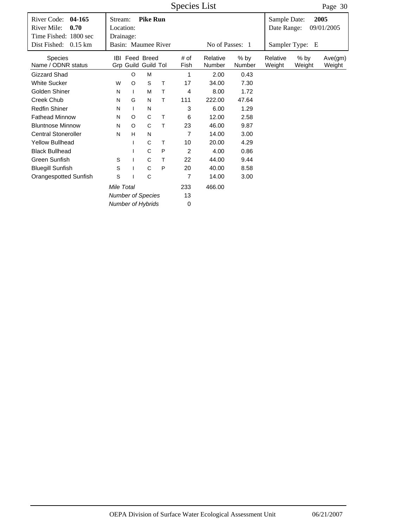| 74 O |  |
|------|--|
|      |  |

| River Code:<br>04-165<br>River Mile:<br>0.70 | Stream:<br>Location:     |              | <b>Pike Run</b>       |   |                |                 |        | Sample Date:<br>Date Range: |                 | 2005<br>09/01/2005 |  |
|----------------------------------------------|--------------------------|--------------|-----------------------|---|----------------|-----------------|--------|-----------------------------|-----------------|--------------------|--|
| Time Fished: 1800 sec                        | Drainage:                |              |                       |   |                |                 |        |                             |                 |                    |  |
| Dist Fished:<br>$0.15$ km                    | Basin: Maumee River      |              |                       |   |                | No of Passes: 1 |        |                             | Sampler Type: E |                    |  |
| <b>Species</b>                               |                          |              | <b>IBI</b> Feed Breed |   | # of           | Relative        | % by   | Relative                    | % by            | Ave(gm)            |  |
| Name / ODNR status                           |                          |              | Grp Guild Guild Tol   |   | Fish           | Number          | Number | Weight                      | Weight          | Weight             |  |
| <b>Gizzard Shad</b>                          |                          | O            | M                     |   | 1              | 2.00            | 0.43   |                             |                 |                    |  |
| <b>White Sucker</b>                          | W                        | $\circ$      | S                     | т | 17             | 34.00           | 7.30   |                             |                 |                    |  |
| Golden Shiner                                | N                        | $\mathbf{I}$ | M                     | т | 4              | 8.00            | 1.72   |                             |                 |                    |  |
| Creek Chub                                   | N                        | G            | N                     | т | 111            | 222.00          | 47.64  |                             |                 |                    |  |
| <b>Redfin Shiner</b>                         | N                        | $\mathbf{I}$ | N                     |   | 3              | 6.00            | 1.29   |                             |                 |                    |  |
| <b>Fathead Minnow</b>                        | N                        | O            | C                     | т | 6              | 12.00           | 2.58   |                             |                 |                    |  |
| <b>Bluntnose Minnow</b>                      | N                        | $\circ$      | C                     | Τ | 23             | 46.00           | 9.87   |                             |                 |                    |  |
| <b>Central Stoneroller</b>                   | N                        | H            | N                     |   | 7              | 14.00           | 3.00   |                             |                 |                    |  |
| <b>Yellow Bullhead</b>                       |                          |              | C                     | т | 10             | 20.00           | 4.29   |                             |                 |                    |  |
| <b>Black Bullhead</b>                        |                          |              | $\mathsf{C}$          | P | $\overline{2}$ | 4.00            | 0.86   |                             |                 |                    |  |
| Green Sunfish                                | S                        |              | C                     | Τ | 22             | 44.00           | 9.44   |                             |                 |                    |  |
| <b>Bluegill Sunfish</b>                      | S                        | T            | C                     | P | 20             | 40.00           | 8.58   |                             |                 |                    |  |
| Orangespotted Sunfish                        | S                        |              | C                     |   | 7              | 14.00           | 3.00   |                             |                 |                    |  |
|                                              | Mile Total               |              |                       |   | 233            | 466.00          |        |                             |                 |                    |  |
|                                              | <b>Number of Species</b> |              |                       |   | 13             |                 |        |                             |                 |                    |  |
|                                              | Number of Hybrids        |              |                       |   | 0              |                 |        |                             |                 |                    |  |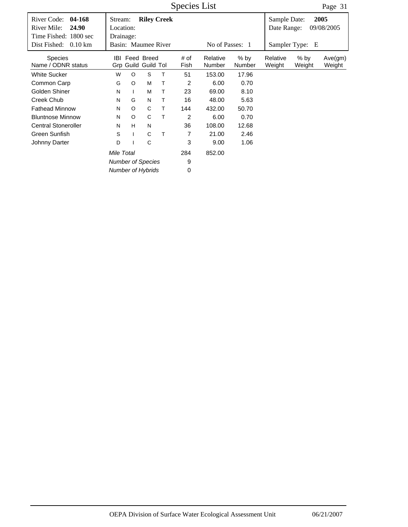| 49 |  |
|----|--|
|    |  |

| River Code:<br>04-168<br>River Mile:<br>24.90 | Stream:<br>Location:     |              |                                   | <b>Riley Creek</b> |              | 2005<br>Sample Date:<br>09/08/2005<br>Date Range: |                  |                    |                  |                   |
|-----------------------------------------------|--------------------------|--------------|-----------------------------------|--------------------|--------------|---------------------------------------------------|------------------|--------------------|------------------|-------------------|
| Time Fished: 1800 sec                         | Drainage:                |              |                                   |                    |              |                                                   |                  |                    |                  |                   |
| Dist Fished:<br>$0.10 \mathrm{km}$            | Basin: Maumee River      |              |                                   |                    |              | No of Passes: 1                                   |                  |                    | Sampler Type: E  |                   |
| <b>Species</b><br>Name / ODNR status          | IBI                      |              | Feed Breed<br>Grp Guild Guild Tol |                    | # of<br>Fish | Relative<br>Number                                | $%$ by<br>Number | Relative<br>Weight | $%$ by<br>Weight | Ave(gm)<br>Weight |
| <b>White Sucker</b>                           | W                        | $\circ$      | S                                 | т                  | 51           | 153.00                                            | 17.96            |                    |                  |                   |
| Common Carp                                   | G                        | $\circ$      | M                                 | т                  | 2            | 6.00                                              | 0.70             |                    |                  |                   |
| Golden Shiner                                 | N                        | $\mathbf{I}$ | М                                 | т                  | 23           | 69.00                                             | 8.10             |                    |                  |                   |
| Creek Chub                                    | N                        | G            | N                                 | Т                  | 16           | 48.00                                             | 5.63             |                    |                  |                   |
| <b>Fathead Minnow</b>                         | N                        | $\circ$      | C                                 | Т                  | 144          | 432.00                                            | 50.70            |                    |                  |                   |
| <b>Bluntnose Minnow</b>                       | N                        | $\circ$      | C                                 | Т                  | 2            | 6.00                                              | 0.70             |                    |                  |                   |
| <b>Central Stoneroller</b>                    | N                        | H            | N                                 |                    | 36           | 108.00                                            | 12.68            |                    |                  |                   |
| Green Sunfish                                 | S                        | $\mathbf{I}$ | C                                 | Τ                  | 7            | 21.00                                             | 2.46             |                    |                  |                   |
| Johnny Darter                                 | D                        |              | C                                 |                    | 3            | 9.00                                              | 1.06             |                    |                  |                   |
|                                               | Mile Total               |              |                                   |                    | 284          | 852.00                                            |                  |                    |                  |                   |
|                                               | <b>Number of Species</b> |              |                                   |                    | 9            |                                                   |                  |                    |                  |                   |
|                                               | Number of Hybrids        |              |                                   |                    | 0            |                                                   |                  |                    |                  |                   |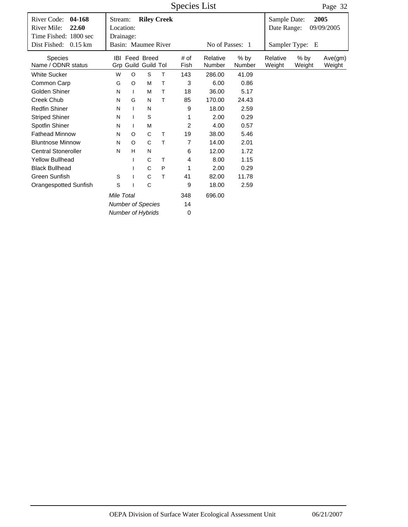|                                               |                                            |                                        |                          |   | Τ.   |          |        |                                                   |                 |         |  |
|-----------------------------------------------|--------------------------------------------|----------------------------------------|--------------------------|---|------|----------|--------|---------------------------------------------------|-----------------|---------|--|
| River Code:<br>04-168<br>River Mile:<br>22.60 | <b>Riley Creek</b><br>Stream:<br>Location: |                                        |                          |   |      |          |        | 2005<br>Sample Date:<br>09/09/2005<br>Date Range: |                 |         |  |
| Time Fished: 1800 sec                         | Drainage:                                  |                                        |                          |   |      |          |        |                                                   |                 |         |  |
| Dist Fished:<br>$0.15$ km                     |                                            | Basin: Maumee River<br>No of Passes: 1 |                          |   |      |          |        |                                                   | Sampler Type: E |         |  |
|                                               |                                            |                                        |                          |   |      |          |        |                                                   |                 |         |  |
| <b>Species</b>                                |                                            |                                        | <b>IBI</b> Feed Breed    |   | # of | Relative | $%$ by | Relative                                          | $%$ by          | Ave(gm) |  |
| Name / ODNR status                            |                                            |                                        | Grp Guild Guild Tol      |   | Fish | Number   | Number | Weight                                            | Weight          | Weight  |  |
| <b>White Sucker</b>                           | W                                          | O                                      | S                        | т | 143  | 286.00   | 41.09  |                                                   |                 |         |  |
| Common Carp                                   | G                                          | O                                      | M                        | т | 3    | 6.00     | 0.86   |                                                   |                 |         |  |
| Golden Shiner                                 | N                                          | $\mathsf{I}$                           | M                        | т | 18   | 36.00    | 5.17   |                                                   |                 |         |  |
| Creek Chub                                    | N                                          | G                                      | N                        | T | 85   | 170.00   | 24.43  |                                                   |                 |         |  |
| <b>Redfin Shiner</b>                          | N                                          | $\mathsf{I}$                           | N                        |   | 9    | 18.00    | 2.59   |                                                   |                 |         |  |
| <b>Striped Shiner</b>                         | N                                          | $\mathsf{I}$                           | S                        |   | 1    | 2.00     | 0.29   |                                                   |                 |         |  |
| Spotfin Shiner                                | N                                          | $\mathsf{I}$                           | М                        |   | 2    | 4.00     | 0.57   |                                                   |                 |         |  |
| <b>Fathead Minnow</b>                         | N                                          | O                                      | C                        | Τ | 19   | 38.00    | 5.46   |                                                   |                 |         |  |
| <b>Bluntnose Minnow</b>                       | N                                          | $\circ$                                | $\mathsf C$              | T | 7    | 14.00    | 2.01   |                                                   |                 |         |  |
| <b>Central Stoneroller</b>                    | N                                          | H                                      | N                        |   | 6    | 12.00    | 1.72   |                                                   |                 |         |  |
| <b>Yellow Bullhead</b>                        |                                            | $\mathsf{l}$                           | С                        | T | 4    | 8.00     | 1.15   |                                                   |                 |         |  |
| <b>Black Bullhead</b>                         |                                            |                                        | $\mathsf{C}$             | P | 1    | 2.00     | 0.29   |                                                   |                 |         |  |
| Green Sunfish                                 | S                                          | $\mathsf{I}$                           | С                        | т | 41   | 82.00    | 11.78  |                                                   |                 |         |  |
| Orangespotted Sunfish                         | S                                          |                                        | $\mathsf{C}$             |   | 9    | 18.00    | 2.59   |                                                   |                 |         |  |
|                                               | Mile Total                                 |                                        |                          |   | 348  | 696.00   |        |                                                   |                 |         |  |
|                                               | <b>Number of Species</b>                   |                                        |                          |   |      |          |        |                                                   |                 |         |  |
|                                               |                                            |                                        | <b>Number of Hybrids</b> |   | 0    |          |        |                                                   |                 |         |  |
|                                               |                                            |                                        |                          |   |      |          |        |                                                   |                 |         |  |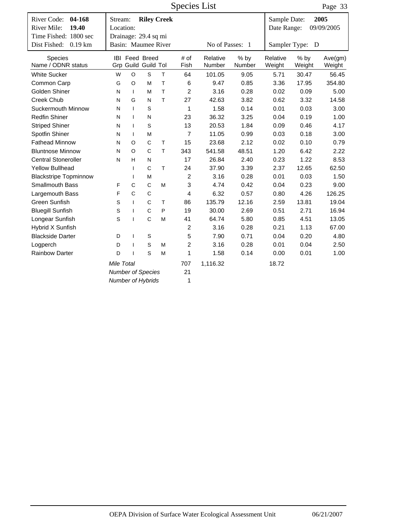|                                               |                   |                                            |                                              |              | $_{\rm{p}}$    |                    |                  |                    |                                                   | $1 \, \text{age}$ JJ |  |
|-----------------------------------------------|-------------------|--------------------------------------------|----------------------------------------------|--------------|----------------|--------------------|------------------|--------------------|---------------------------------------------------|----------------------|--|
| River Code:<br>04-168<br>River Mile:<br>19.40 |                   | <b>Riley Creek</b><br>Stream:<br>Location: |                                              |              |                |                    |                  |                    | 2005<br>Sample Date:<br>Date Range:<br>09/09/2005 |                      |  |
| Time Fished: 1800 sec                         |                   |                                            | Drainage: 29.4 sq mi                         |              |                |                    |                  |                    |                                                   |                      |  |
| Dist Fished: 0.19 km                          |                   |                                            | Basin: Maumee River                          |              |                | No of Passes: 1    |                  | Sampler Type: D    |                                                   |                      |  |
| Species<br>Name / ODNR status                 |                   |                                            | <b>IBI</b> Feed Breed<br>Grp Guild Guild Tol |              | # of<br>Fish   | Relative<br>Number | $%$ by<br>Number | Relative<br>Weight | $%$ by<br>Weight                                  | Ave(gm)<br>Weight    |  |
| <b>White Sucker</b>                           | W                 | $\circ$                                    | $\mathbb S$                                  | $\top$       | 64             | 101.05             | 9.05             | 5.71               | 30.47                                             | 56.45                |  |
| Common Carp                                   | G                 | $\circ$                                    | M                                            | $\top$       | 6              | 9.47               | 0.85             | 3.36               | 17.95                                             | 354.80               |  |
| Golden Shiner                                 | N                 | $\mathbf{I}$                               | M                                            | $\mathsf{T}$ | $\overline{c}$ | 3.16               | 0.28             | 0.02               | 0.09                                              | 5.00                 |  |
| <b>Creek Chub</b>                             | N                 | G                                          | $\mathsf{N}$                                 | $\top$       | 27             | 42.63              | 3.82             | 0.62               | 3.32                                              | 14.58                |  |
| Suckermouth Minnow                            | N                 | $\mathbf{I}$                               | S                                            |              | 1              | 1.58               | 0.14             | 0.01               | 0.03                                              | 3.00                 |  |
| <b>Redfin Shiner</b>                          | N                 | $\mathbf{I}$                               | N                                            |              | 23             | 36.32              | 3.25             | 0.04               | 0.19                                              | 1.00                 |  |
| <b>Striped Shiner</b>                         | N                 | $\mathbf{I}$                               | S                                            |              | 13             | 20.53              | 1.84             | 0.09               | 0.46                                              | 4.17                 |  |
| Spotfin Shiner                                | N                 | $\mathbf{I}$                               | M                                            |              | 7              | 11.05              | 0.99             | 0.03               | 0.18                                              | 3.00                 |  |
| <b>Fathead Minnow</b>                         | N                 | $\circ$                                    | C                                            | $\top$       | 15             | 23.68              | 2.12             | 0.02               | 0.10                                              | 0.79                 |  |
| <b>Bluntnose Minnow</b>                       | N                 | $\circ$                                    | $\mathbf C$                                  | T            | 343            | 541.58             | 48.51            | 1.20               | 6.42                                              | 2.22                 |  |
| <b>Central Stoneroller</b>                    | N                 | H                                          | N                                            |              | 17             | 26.84              | 2.40             | 0.23               | 1.22                                              | 8.53                 |  |
| <b>Yellow Bullhead</b>                        |                   | $\mathsf{I}$                               | $\mathsf{C}$                                 | $\top$       | 24             | 37.90              | 3.39             | 2.37               | 12.65                                             | 62.50                |  |
| <b>Blackstripe Topminnow</b>                  |                   | T                                          | M                                            |              | $\overline{c}$ | 3.16               | 0.28             | 0.01               | 0.03                                              | 1.50                 |  |
| <b>Smallmouth Bass</b>                        | F                 | $\mathsf{C}$                               | $\mathsf{C}$                                 | M            | 3              | 4.74               | 0.42             | 0.04               | 0.23                                              | 9.00                 |  |
| Largemouth Bass                               | F                 | $\mathsf{C}$                               | $\mathsf{C}$                                 |              | 4              | 6.32               | 0.57             | 0.80               | 4.26                                              | 126.25               |  |
| <b>Green Sunfish</b>                          | S                 | $\mathbf{I}$                               | $\mathbf C$                                  | T            | 86             | 135.79             | 12.16            | 2.59               | 13.81                                             | 19.04                |  |
| <b>Bluegill Sunfish</b>                       | S                 | $\mathbf{I}$                               | $\mathsf C$                                  | P            | 19             | 30.00              | 2.69             | 0.51               | 2.71                                              | 16.94                |  |
| Longear Sunfish                               | S                 | $\mathsf{I}$                               | $\mathsf C$                                  | M            | 41             | 64.74              | 5.80             | 0.85               | 4.51                                              | 13.05                |  |
| Hybrid X Sunfish                              |                   |                                            |                                              |              | 2              | 3.16               | 0.28             | 0.21               | 1.13                                              | 67.00                |  |
| <b>Blackside Darter</b>                       | D                 | $\mathsf{I}$                               | S                                            |              | 5              | 7.90               | 0.71             | 0.04               | 0.20                                              | 4.80                 |  |
| Logperch                                      | D                 | $\overline{\phantom{a}}$                   | S                                            | M            | $\overline{c}$ | 3.16               | 0.28             | 0.01               | 0.04                                              | 2.50                 |  |
| <b>Rainbow Darter</b>                         | D                 | I                                          | S                                            | M            | 1              | 1.58               | 0.14             | 0.00               | 0.01                                              | 1.00                 |  |
|                                               |                   | Mile Total                                 |                                              |              |                | 1,116.32           |                  | 18.72              |                                                   |                      |  |
|                                               | Number of Species |                                            |                                              |              | 21             |                    |                  |                    |                                                   |                      |  |
|                                               | Number of Hybrids |                                            |                                              |              | 1              |                    |                  |                    |                                                   |                      |  |
|                                               |                   |                                            |                                              |              |                |                    |                  |                    |                                                   |                      |  |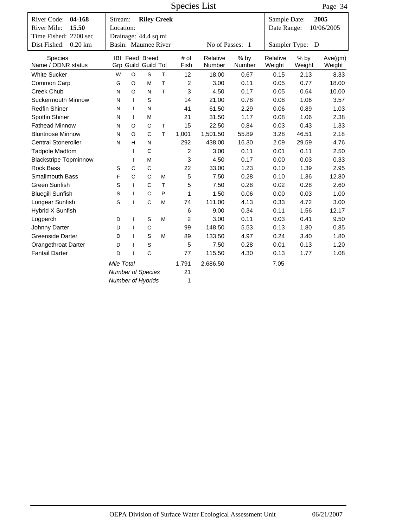|                                               |                                            |                          |                                              |              | ppeeres Libe     |                    |                  |                                                   |                  | $1 \, \text{a}$ gu $37$ |
|-----------------------------------------------|--------------------------------------------|--------------------------|----------------------------------------------|--------------|------------------|--------------------|------------------|---------------------------------------------------|------------------|-------------------------|
| River Code:<br>04-168<br>River Mile:<br>15.50 | <b>Riley Creek</b><br>Stream:<br>Location: |                          |                                              |              |                  |                    |                  | 2005<br>Sample Date:<br>10/06/2005<br>Date Range: |                  |                         |
| Time Fished: 2700 sec                         | Drainage: 44.4 sq mi                       |                          |                                              |              |                  |                    |                  |                                                   |                  |                         |
| Dist Fished: 0.20 km                          |                                            |                          | Basin: Maumee River                          |              |                  | No of Passes: 1    |                  | Sampler Type: D                                   |                  |                         |
| Species<br>Name / ODNR status                 |                                            |                          | <b>IBI Feed Breed</b><br>Grp Guild Guild Tol |              | # of<br>Fish     | Relative<br>Number | $%$ by<br>Number | Relative<br>Weight                                | $%$ by<br>Weight | Ave(gm)<br>Weight       |
| <b>White Sucker</b>                           | W                                          | $\circ$                  | S                                            | $\top$       | 12               | 18.00              | 0.67             | 0.15                                              | 2.13             | 8.33                    |
| Common Carp                                   | G                                          | $\circ$                  | M                                            | $\mathsf T$  | $\boldsymbol{2}$ | 3.00               | 0.11             | 0.05                                              | 0.77             | 18.00                   |
| Creek Chub                                    | N                                          | G                        | N                                            | $\top$       | 3                | 4.50               | 0.17             | 0.05                                              | 0.64             | 10.00                   |
| Suckermouth Minnow                            | N                                          | $\mathbf{I}$             | $\mathsf S$                                  |              | 14               | 21.00              | 0.78             | 0.08                                              | 1.06             | 3.57                    |
| <b>Redfin Shiner</b>                          | N                                          | $\mathbf{I}$             | $\mathsf{N}$                                 |              | 41               | 61.50              | 2.29             | 0.06                                              | 0.89             | 1.03                    |
| Spotfin Shiner                                | N                                          | $\mathbf{I}$             | M                                            |              | 21               | 31.50              | 1.17             | 0.08                                              | 1.06             | 2.38                    |
| <b>Fathead Minnow</b>                         | N                                          | O                        | C                                            | T            | 15               | 22.50              | 0.84             | 0.03                                              | 0.43             | 1.33                    |
| <b>Bluntnose Minnow</b>                       | $\mathsf{N}$                               | $\circ$                  | C                                            | $\mathsf{T}$ | 1,001            | 1,501.50           | 55.89            | 3.28                                              | 46.51            | 2.18                    |
| <b>Central Stoneroller</b>                    | N                                          | H                        | ${\sf N}$                                    |              | 292              | 438.00             | 16.30            | 2.09                                              | 29.59            | 4.76                    |
| <b>Tadpole Madtom</b>                         |                                            | $\mathbf{I}$             | $\mathsf{C}$                                 |              | $\overline{c}$   | 3.00               | 0.11             | 0.01                                              | 0.11             | 2.50                    |
| <b>Blackstripe Topminnow</b>                  |                                            | $\mathbf{I}$             | M                                            |              | 3                | 4.50               | 0.17             | 0.00                                              | 0.03             | 0.33                    |
| <b>Rock Bass</b>                              | S                                          | C                        | $\mathsf C$                                  |              | 22               | 33.00              | 1.23             | 0.10                                              | 1.39             | 2.95                    |
| Smallmouth Bass                               | F                                          | $\mathsf{C}$             | $\mathsf{C}$                                 | M            | 5                | 7.50               | 0.28             | 0.10                                              | 1.36             | 12.80                   |
| <b>Green Sunfish</b>                          | S                                          | $\mathbf{I}$             | C                                            | $\mathsf{T}$ | 5                | 7.50               | 0.28             | 0.02                                              | 0.28             | 2.60                    |
| <b>Bluegill Sunfish</b>                       | $\mathbb S$                                | $\mathbf{I}$             | $\mathsf{C}$                                 | $\sf P$      | 1                | 1.50               | 0.06             | 0.00                                              | 0.03             | 1.00                    |
| Longear Sunfish                               | S                                          | $\mathbf{I}$             | $\mathsf{C}$                                 | M            | 74               | 111.00             | 4.13             | 0.33                                              | 4.72             | 3.00                    |
| Hybrid X Sunfish                              |                                            |                          |                                              |              | 6                | 9.00               | 0.34             | 0.11                                              | 1.56             | 12.17                   |
| Logperch                                      | D                                          | $\mathbf{I}$             | S                                            | M            | $\overline{c}$   | 3.00               | 0.11             | 0.03                                              | 0.41             | 9.50                    |
| Johnny Darter                                 | D                                          | $\mathbf{I}$             | $\mathsf{C}$                                 |              | 99               | 148.50             | 5.53             | 0.13                                              | 1.80             | 0.85                    |
| <b>Greenside Darter</b>                       | D                                          | $\mathbf{I}$             | $\mathsf S$                                  | M            | 89               | 133.50             | 4.97             | 0.24                                              | 3.40             | 1.80                    |
| Orangethroat Darter                           | D                                          | $\mathbf{I}$             | $\mathbb S$                                  |              | 5                | 7.50               | 0.28             | 0.01                                              | 0.13             | 1.20                    |
| <b>Fantail Darter</b>                         | D                                          | $\overline{\phantom{a}}$ | $\mathbf C$                                  |              | 77               | 115.50             | 4.30             | 0.13                                              | 1.77             | 1.08                    |
|                                               | Mile Total                                 |                          |                                              |              | 1,791            | 2,686.50           |                  | 7.05                                              |                  |                         |
|                                               | <b>Number of Species</b>                   |                          |                                              |              | 21               |                    |                  |                                                   |                  |                         |
|                                               |                                            |                          | Number of Hybrids                            |              | 1                |                    |                  |                                                   |                  |                         |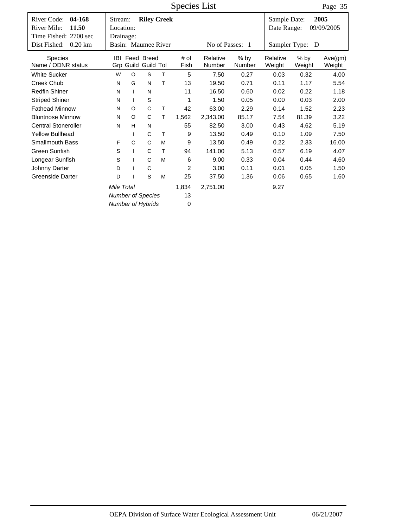| River Code:<br>04-168<br>River Mile:<br>11.50 | Stream:<br>Location:     |              | <b>Riley Creek</b>       |   |                |                 |        | Sample Date:<br>Date Range: |                 | 2005<br>09/09/2005 |
|-----------------------------------------------|--------------------------|--------------|--------------------------|---|----------------|-----------------|--------|-----------------------------|-----------------|--------------------|
| Time Fished: 2700 sec                         | Drainage:                |              |                          |   |                |                 |        |                             |                 |                    |
| Dist Fished:<br>$0.20$ km                     |                          |              | Basin: Maumee River      |   |                | No of Passes: 1 |        |                             | Sampler Type: D |                    |
| <b>Species</b>                                |                          |              | <b>IBI</b> Feed Breed    |   | # of           | Relative        | $%$ by | Relative                    | $%$ by          | Ave(gm)            |
| Name / ODNR status                            |                          |              | Grp Guild Guild Tol      |   | Fish           | Number          | Number | Weight                      | Weight          | Weight             |
| <b>White Sucker</b>                           | W                        | $\circ$      | S                        | T | 5              | 7.50            | 0.27   | 0.03                        | 0.32            | 4.00               |
| Creek Chub                                    | N                        | G            | N                        | Τ | 13             | 19.50           | 0.71   | 0.11                        | 1.17            | 5.54               |
| <b>Redfin Shiner</b>                          | N                        | $\mathbf{I}$ | N                        |   | 11             | 16.50           | 0.60   | 0.02                        | 0.22            | 1.18               |
| <b>Striped Shiner</b>                         | N                        | $\mathbf{I}$ | S                        |   | 1              | 1.50            | 0.05   | 0.00                        | 0.03            | 2.00               |
| <b>Fathead Minnow</b>                         | N                        | O            | C                        | Τ | 42             | 63.00           | 2.29   | 0.14                        | 1.52            | 2.23               |
| <b>Bluntnose Minnow</b>                       | N                        | $\circ$      | C                        | Τ | 1,562          | 2,343.00        | 85.17  | 7.54                        | 81.39           | 3.22               |
| <b>Central Stoneroller</b>                    | N                        | H            | N                        |   | 55             | 82.50           | 3.00   | 0.43                        | 4.62            | 5.19               |
| <b>Yellow Bullhead</b>                        |                          | ı            | C                        | Т | 9              | 13.50           | 0.49   | 0.10                        | 1.09            | 7.50               |
| Smallmouth Bass                               | F                        | C            | C                        | M | 9              | 13.50           | 0.49   | 0.22                        | 2.33            | 16.00              |
| Green Sunfish                                 | S                        | $\mathbf{I}$ | C                        | т | 94             | 141.00          | 5.13   | 0.57                        | 6.19            | 4.07               |
| Longear Sunfish                               | S                        | T            | C                        | M | 6              | 9.00            | 0.33   | 0.04                        | 0.44            | 4.60               |
| Johnny Darter                                 | D                        | $\mathsf{I}$ | $\mathsf{C}$             |   | $\overline{2}$ | 3.00            | 0.11   | 0.01                        | 0.05            | 1.50               |
| Greenside Darter                              | D                        |              | S                        | M | 25             | 37.50           | 1.36   | 0.06                        | 0.65            | 1.60               |
|                                               | Mile Total               |              |                          |   | 1,834          | 2,751.00        |        | 9.27                        |                 |                    |
|                                               | <b>Number of Species</b> |              |                          |   | 13             |                 |        |                             |                 |                    |
|                                               |                          |              | <b>Number of Hybrids</b> |   | 0              |                 |        |                             |                 |                    |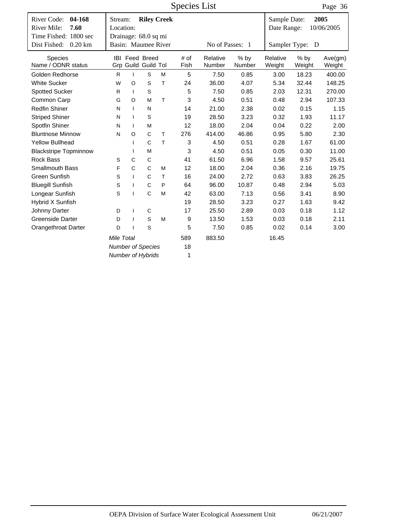|                                              |                      |                          |             |                    | Dpeeres List |                 |        |                             |                    | $1 \, \text{age}$ JV |  |
|----------------------------------------------|----------------------|--------------------------|-------------|--------------------|--------------|-----------------|--------|-----------------------------|--------------------|----------------------|--|
| River Code:<br>04-168<br>7.60<br>River Mile: | Stream:<br>Location: |                          |             | <b>Riley Creek</b> |              |                 |        | Sample Date:<br>Date Range: |                    | 2005<br>10/06/2005   |  |
| Time Fished: 1800 sec                        | Drainage: 68.0 sq mi |                          |             |                    |              |                 |        |                             |                    |                      |  |
| Dist Fished: 0.20 km                         | Basin: Maumee River  |                          |             |                    |              | No of Passes: 1 |        |                             | Sampler Type:<br>D |                      |  |
| <b>Species</b>                               |                      | <b>IBI</b> Feed Breed    |             |                    | # of         | Relative        | % by   | Relative                    | % by               | Ave(gm)              |  |
| Name / ODNR status                           |                      | Grp Guild Guild Tol      |             |                    | Fish         | Number          | Number | Weight                      | Weight             | Weight               |  |
| Golden Redhorse                              | R.                   | $\mathbf{I}$             | S           | M                  | 5            | 7.50            | 0.85   | 3.00                        | 18.23              | 400.00               |  |
| <b>White Sucker</b>                          | W                    | O                        | S           | T.                 | 24           | 36.00           | 4.07   | 5.34                        | 32.44              | 148.25               |  |
| <b>Spotted Sucker</b>                        | R                    | $\mathbf{I}$             | S           |                    | 5            | 7.50            | 0.85   | 2.03                        | 12.31              | 270.00               |  |
| Common Carp                                  | G                    | $\circ$                  | M           | T.                 | 3            | 4.50            | 0.51   | 0.48                        | 2.94               | 107.33               |  |
| <b>Redfin Shiner</b>                         | N                    | $\mathbf{I}$             | N           |                    | 14           | 21.00           | 2.38   | 0.02                        | 0.15               | 1.15                 |  |
| <b>Striped Shiner</b>                        | N                    | $\mathbf{I}$             | S           |                    | 19           | 28.50           | 3.23   | 0.32                        | 1.93               | 11.17                |  |
| Spotfin Shiner                               | N                    | $\mathbf{I}$             | M           |                    | 12           | 18.00           | 2.04   | 0.04                        | 0.22               | 2.00                 |  |
| <b>Bluntnose Minnow</b>                      | N                    | $\circ$                  | C           | T.                 | 276          | 414.00          | 46.86  | 0.95                        | 5.80               | 2.30                 |  |
| <b>Yellow Bullhead</b>                       |                      | $\mathbf{I}$             | C           | T                  | 3            | 4.50            | 0.51   | 0.28                        | 1.67               | 61.00                |  |
| <b>Blackstripe Topminnow</b>                 |                      | $\mathbf{I}$             | M           |                    | 3            | 4.50            | 0.51   | 0.05                        | 0.30               | 11.00                |  |
| <b>Rock Bass</b>                             | S                    | C                        | C           |                    | 41           | 61.50           | 6.96   | 1.58                        | 9.57               | 25.61                |  |
| <b>Smallmouth Bass</b>                       | F                    | $\mathsf{C}$             | $\mathbf C$ | M                  | 12           | 18.00           | 2.04   | 0.36                        | 2.16               | 19.75                |  |
| Green Sunfish                                | S                    | $\mathbf{I}$             | $\mathsf C$ | T.                 | 16           | 24.00           | 2.72   | 0.63                        | 3.83               | 26.25                |  |
| <b>Bluegill Sunfish</b>                      | S                    | $\mathbf{I}$             | C           | P                  | 64           | 96.00           | 10.87  | 0.48                        | 2.94               | 5.03                 |  |
| Longear Sunfish                              | S                    | $\mathbf{I}$             | $\mathsf C$ | M                  | 42           | 63.00           | 7.13   | 0.56                        | 3.41               | 8.90                 |  |
| Hybrid X Sunfish                             |                      |                          |             |                    | 19           | 28.50           | 3.23   | 0.27                        | 1.63               | 9.42                 |  |
| Johnny Darter                                | D                    | $\mathbf{I}$             | C           |                    | 17           | 25.50           | 2.89   | 0.03                        | 0.18               | 1.12                 |  |
| <b>Greenside Darter</b>                      | D                    | $\mathbf{I}$             | S           | M                  | 9            | 13.50           | 1.53   | 0.03                        | 0.18               | 2.11                 |  |
| Orangethroat Darter                          | D                    | $\overline{\phantom{a}}$ | S           |                    | 5            | 7.50            | 0.85   | 0.02                        | 0.14               | 3.00                 |  |
|                                              | Mile Total           |                          |             |                    | 589          | 883.50          |        | 16.45                       |                    |                      |  |
|                                              |                      | <b>Number of Species</b> |             |                    | 18           |                 |        |                             |                    |                      |  |
|                                              |                      | Number of Hybrids        |             |                    | 1            |                 |        |                             |                    |                      |  |
|                                              |                      |                          |             |                    |              |                 |        |                             |                    |                      |  |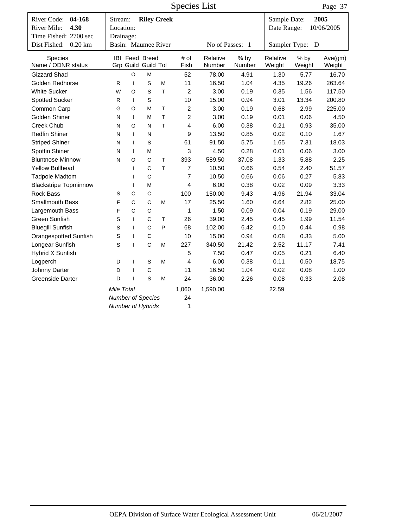|                              |                          |                          |                    |           |                         | $\cdots$        |        |              |                              | $\log c$ 37 |  |
|------------------------------|--------------------------|--------------------------|--------------------|-----------|-------------------------|-----------------|--------|--------------|------------------------------|-------------|--|
| River Code:<br>04-168        | Stream:                  |                          | <b>Riley Creek</b> |           |                         |                 |        | Sample Date: |                              | 2005        |  |
| River Mile:<br>4.30          | Location:                |                          |                    |           |                         |                 |        | Date Range:  |                              | 10/06/2005  |  |
| Time Fished: 2700 sec        | Drainage:                |                          |                    |           |                         |                 |        |              |                              |             |  |
| Dist Fished: 0.20 km         |                          | Basin: Maumee River      |                    |           |                         | No of Passes: 1 |        |              | Sampler Type:<br>$\mathbf D$ |             |  |
| Species                      |                          | <b>IBI</b> Feed Breed    |                    |           | # of                    | Relative        | $%$ by | Relative     | % by                         | Ave(gm)     |  |
| Name / ODNR status           |                          | Grp Guild Guild Tol      |                    |           | Fish                    | Number          | Number | Weight       | Weight                       | Weight      |  |
| <b>Gizzard Shad</b>          |                          | $\circ$                  | M                  |           | 52                      | 78.00           | 4.91   | 1.30         | 5.77                         | 16.70       |  |
| Golden Redhorse              | R                        | $\mathbf{I}$             | S                  | M         | 11                      | 16.50           | 1.04   | 4.35         | 19.26                        | 263.64      |  |
| <b>White Sucker</b>          | W                        | $\circ$                  | $\mathsf S$        | $\top$    | $\boldsymbol{2}$        | 3.00            | 0.19   | 0.35         | 1.56                         | 117.50      |  |
| <b>Spotted Sucker</b>        | $\mathsf{R}$             | $\mathbf{I}$             | S                  |           | 10                      | 15.00           | 0.94   | 3.01         | 13.34                        | 200.80      |  |
| Common Carp                  | G                        | O                        | M                  | T         | $\boldsymbol{2}$        | 3.00            | 0.19   | 0.68         | 2.99                         | 225.00      |  |
| Golden Shiner                | N                        | $\mathbf{I}$             | M                  | $\sf T$   | $\boldsymbol{2}$        | 3.00            | 0.19   | 0.01         | 0.06                         | 4.50        |  |
| Creek Chub                   | $\mathsf{N}$             | G                        | N                  | T         | $\overline{\mathbf{4}}$ | 6.00            | 0.38   | 0.21         | 0.93                         | 35.00       |  |
| <b>Redfin Shiner</b>         | N                        | $\mathbf{I}$             | ${\sf N}$          |           | 9                       | 13.50           | 0.85   | 0.02         | 0.10                         | 1.67        |  |
| <b>Striped Shiner</b>        | N                        | $\mathbf{I}$             | S                  |           | 61                      | 91.50           | 5.75   | 1.65         | 7.31                         | 18.03       |  |
| Spotfin Shiner               | N                        | $\mathbf{I}$             | M                  |           | 3                       | 4.50            | 0.28   | 0.01         | 0.06                         | 3.00        |  |
| <b>Bluntnose Minnow</b>      | N                        | $\circ$                  | $\mathsf{C}$       | $\top$    | 393                     | 589.50          | 37.08  | 1.33         | 5.88                         | 2.25        |  |
| <b>Yellow Bullhead</b>       |                          | $\mathbf{I}$             | $\mathsf{C}$       | $\top$    | $\overline{7}$          | 10.50           | 0.66   | 0.54         | 2.40                         | 51.57       |  |
| <b>Tadpole Madtom</b>        |                          | $\mathbf{I}$             | $\mathbf C$        |           | $\overline{7}$          | 10.50           | 0.66   | 0.06         | 0.27                         | 5.83        |  |
| <b>Blackstripe Topminnow</b> |                          | $\mathbf{I}$             | M                  |           | 4                       | 6.00            | 0.38   | 0.02         | 0.09                         | 3.33        |  |
| <b>Rock Bass</b>             | S                        | $\mathsf C$              | C                  |           | 100                     | 150.00          | 9.43   | 4.96         | 21.94                        | 33.04       |  |
| Smallmouth Bass              | F                        | $\mathbf C$              | $\mathsf C$        | ${\sf M}$ | 17                      | 25.50           | 1.60   | 0.64         | 2.82                         | 25.00       |  |
| Largemouth Bass              | F                        | $\mathsf{C}$             | $\mathsf{C}$       |           | 1                       | 1.50            | 0.09   | 0.04         | 0.19                         | 29.00       |  |
| Green Sunfish                | S                        | $\mathbf{I}$             | $\mathsf C$        | T         | 26                      | 39.00           | 2.45   | 0.45         | 1.99                         | 11.54       |  |
| <b>Bluegill Sunfish</b>      | S                        | $\mathbf{I}$             | $\mathsf C$        | P         | 68                      | 102.00          | 6.42   | 0.10         | 0.44                         | 0.98        |  |
| Orangespotted Sunfish        | S                        | $\mathbf{I}$             | $\mathsf{C}$       |           | 10                      | 15.00           | 0.94   | 0.08         | 0.33                         | 5.00        |  |
| Longear Sunfish              | $\mathsf S$              | $\mathbf{I}$             | $\mathsf{C}$       | M         | 227                     | 340.50          | 21.42  | 2.52         | 11.17                        | 7.41        |  |
| Hybrid X Sunfish             |                          |                          |                    |           | 5                       | 7.50            | 0.47   | 0.05         | 0.21                         | 6.40        |  |
| Logperch                     | D                        | $\mathbf{I}$             | S                  | M         | 4                       | 6.00            | 0.38   | 0.11         | 0.50                         | 18.75       |  |
| Johnny Darter                | D                        | $\mathbf{I}$             | $\mathsf C$        |           | 11                      | 16.50           | 1.04   | 0.02         | 0.08                         | 1.00        |  |
| <b>Greenside Darter</b>      | D                        | $\mathbf{I}$             | $\mathsf S$        | M         | 24                      | 36.00           | 2.26   | 0.08         | 0.33                         | 2.08        |  |
|                              | Mile Total               |                          |                    |           | 1,060                   | 1,590.00        |        | 22.59        |                              |             |  |
|                              | <b>Number of Species</b> |                          |                    |           | 24                      |                 |        |              |                              |             |  |
|                              |                          | <b>Number of Hybrids</b> |                    |           | 1                       |                 |        |              |                              |             |  |
|                              |                          |                          |                    |           |                         |                 |        |              |                              |             |  |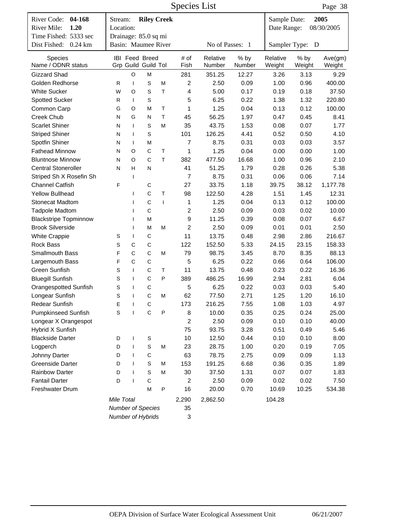|                                               |                          |                                              |                                                                                                            |                         |                    |                 |                             |                 | -07                |
|-----------------------------------------------|--------------------------|----------------------------------------------|------------------------------------------------------------------------------------------------------------|-------------------------|--------------------|-----------------|-----------------------------|-----------------|--------------------|
| River Code:<br>04-168<br>River Mile:<br>1.20  | Stream:<br>Location:     |                                              | <b>Riley Creek</b>                                                                                         |                         |                    |                 | Sample Date:<br>Date Range: |                 | 2005<br>08/30/2005 |
| Time Fished: 5333 sec<br>Dist Fished: 0.24 km |                          | Drainage: 85.0 sq mi<br>Basin: Maumee River  |                                                                                                            |                         |                    | No of Passes: 1 |                             | Sampler Type: D |                    |
| Species<br>Name / ODNR status                 |                          | <b>IBI</b> Feed Breed<br>Grp Guild Guild Tol |                                                                                                            | # of<br>Fish            | Relative<br>Number | % by<br>Number  | Relative<br>Weight          | % by<br>Weight  | Ave(gm)<br>Weight  |
| <b>Gizzard Shad</b>                           |                          | $\circ$<br>M                                 |                                                                                                            | 281                     | 351.25             | 12.27           | 3.26                        | 3.13            | 9.29               |
| Golden Redhorse                               | R                        | S<br>$\mathbf{I}$                            | M                                                                                                          | $\overline{c}$          | 2.50               | 0.09            | 1.00                        | 0.96            | 400.00             |
| <b>White Sucker</b>                           | W                        | S<br>O                                       | T.                                                                                                         | 4                       | 5.00               | 0.17            | 0.19                        | 0.18            | 37.50              |
| <b>Spotted Sucker</b>                         | R                        | $\mathsf S$<br>$\mathbf{I}$                  |                                                                                                            | 5                       | 6.25               | 0.22            | 1.38                        | 1.32            | 220.80             |
| Common Carp                                   | G                        | O<br>M                                       | T                                                                                                          | $\mathbf{1}$            | 1.25               | 0.04            | 0.13                        | 0.12            | 100.00             |
| Creek Chub                                    | N                        | G<br>N                                       | T                                                                                                          | 45                      | 56.25              | 1.97            | 0.47                        | 0.45            | 8.41               |
| <b>Scarlet Shiner</b>                         | N                        | $\mathsf S$<br>$\mathbf{I}$                  | M                                                                                                          | 35                      | 43.75              | 1.53            | 0.08                        | 0.07            | 1.77               |
| <b>Striped Shiner</b>                         | N                        | $\mathbb S$<br>$\mathbf{I}$                  |                                                                                                            | 101                     | 126.25             | 4.41            | 0.52                        | 0.50            | 4.10               |
| Spotfin Shiner                                | N                        | $\mathbf{I}$<br>M                            |                                                                                                            | $\overline{7}$          | 8.75               | 0.31            | 0.03                        | 0.03            | 3.57               |
| <b>Fathead Minnow</b>                         | N                        | O<br>C                                       | T                                                                                                          | 1                       | 1.25               | 0.04            | 0.00                        | 0.00            | 1.00               |
| <b>Bluntnose Minnow</b>                       | N                        | C<br>O                                       | $\top$                                                                                                     | 382                     | 477.50             | 16.68           | 1.00                        | 0.96            | 2.10               |
| <b>Central Stoneroller</b>                    | N                        | H<br>N                                       |                                                                                                            | 41                      | 51.25              | 1.79            | 0.28                        | 0.26            | 5.38               |
| Striped Sh X Rosefin Sh                       |                          | I                                            |                                                                                                            | $\overline{7}$          | 8.75               | 0.31            | 0.06                        | 0.06            | 7.14               |
| <b>Channel Catfish</b>                        | F                        | С                                            |                                                                                                            | 27                      | 33.75              | 1.18            | 39.75                       | 38.12           | 1,177.78           |
| <b>Yellow Bullhead</b>                        |                          | C<br>$\mathbf{I}$                            | T                                                                                                          | 98                      | 122.50             | 4.28            | 1.51                        | 1.45            | 12.31              |
| Stonecat Madtom                               |                          | $\mathsf C$<br>$\mathsf{l}$                  | $\mathbf{I}$                                                                                               | 1                       | 1.25               | 0.04            | 0.13                        | 0.12            | 100.00             |
| <b>Tadpole Madtom</b>                         |                          | $\mathsf C$                                  |                                                                                                            | $\boldsymbol{2}$        | 2.50               | 0.09            | 0.03                        | 0.02            | 10.00              |
| <b>Blackstripe Topminnow</b>                  |                          | M<br>L                                       |                                                                                                            | 9                       | 11.25              | 0.39            | 0.08                        | 0.07            | 6.67               |
| <b>Brook Silverside</b>                       |                          | M<br>$\mathbf{I}$                            | M                                                                                                          | $\overline{\mathbf{c}}$ | 2.50               | 0.09            | 0.01                        | 0.01            | 2.50               |
| <b>White Crappie</b>                          | S                        | $\mathsf C$<br>$\mathbf{I}$                  |                                                                                                            | 11                      | 13.75              | 0.48            | 2.98                        | 2.86            | 216.67             |
| <b>Rock Bass</b>                              | S                        | C<br>C                                       |                                                                                                            | 122                     | 152.50             | 5.33            | 24.15                       | 23.15           | 158.33             |
| Smallmouth Bass                               | F                        | $\mathbf C$<br>$\mathsf C$                   | M                                                                                                          | 79                      | 98.75              | 3.45            | 8.70                        | 8.35            | 88.13              |
| Largemouth Bass                               | F                        | $\mathsf C$<br>$\mathsf C$                   |                                                                                                            | 5                       | 6.25               | 0.22            | 0.66                        | 0.64            | 106.00             |
| <b>Green Sunfish</b>                          | S                        | C<br>$\mathbf{I}$                            | T                                                                                                          | 11                      | 13.75              | 0.48            | 0.23                        | 0.22            | 16.36              |
| <b>Bluegill Sunfish</b>                       | S                        | $\mathsf C$<br>$\mathbf{I}$                  | $\mathsf{P}$                                                                                               | 389                     | 486.25             | 16.99           | 2.94                        | 2.81            | 6.04               |
| Orangespotted Sunfish                         | S                        | $\mathsf C$<br>$\mathbf{I}$                  |                                                                                                            | 5                       | 6.25               | 0.22            | 0.03                        | 0.03            | 5.40               |
| Longear Sunfish                               | S                        | C<br>$\mathsf{I}$                            | M                                                                                                          | 62                      | 77.50              | 2.71            | 1.25                        | 1.20            | 16.10              |
| <b>Redear Sunfish</b>                         | E                        | C<br>$\mathsf{I}$                            |                                                                                                            | 173                     | 216.25             | 7.55            | 1.08                        | 1.03            | 4.97               |
| <b>Pumpkinseed Sunfish</b>                    | S                        | $\mathsf C$<br>$\mathbf{I}$                  | P                                                                                                          | 8                       | 10.00              | 0.35            | 0.25                        | 0.24            | 25.00              |
| Longear X Orangespot                          |                          |                                              |                                                                                                            | 2                       | 2.50               | 0.09            | 0.10                        | 0.10            | 40.00              |
| Hybrid X Sunfish                              |                          |                                              |                                                                                                            | 75                      | 93.75              | 3.28            | 0.51                        | 0.49            | 5.46               |
| <b>Blackside Darter</b>                       | D                        | $\mathbb S$<br>$\mathbf{I}$                  |                                                                                                            | 10                      | 12.50              | 0.44            | 0.10                        | 0.10            | 8.00               |
| Logperch                                      | D                        | S<br>$\mathbf{I}$                            | $\mathsf{M}% _{T}=\mathsf{M}_{T}\!\left( a,b\right) ,\ \mathsf{M}_{T}=\mathsf{M}_{T}\!\left( a,b\right) ,$ | 23                      | 28.75              | 1.00            | 0.20                        | 0.19            | 7.05               |
| Johnny Darter                                 | D                        | $\mathsf C$<br>$\mathbf{I}$                  |                                                                                                            | 63                      | 78.75              | 2.75            | 0.09                        | 0.09            | 1.13               |
| Greenside Darter                              | D                        | $\mathbb S$<br>$\mathbf{I}$                  | M                                                                                                          | 153                     | 191.25             | 6.68            | 0.36                        | 0.35            | 1.89               |
| <b>Rainbow Darter</b>                         | D                        | $\mathsf S$<br>$\mathbf{I}$                  | M                                                                                                          | $30\,$                  | 37.50              | 1.31            | 0.07                        | 0.07            | 1.83               |
| <b>Fantail Darter</b>                         | D                        | $\mathsf C$<br>$\mathbf{I}$                  |                                                                                                            | $\overline{c}$          | 2.50               | 0.09            | 0.02                        | 0.02            | 7.50               |
| Freshwater Drum                               |                          | M                                            | P                                                                                                          | 16                      | 20.00              | 0.70            | 10.69                       | 10.25           | 534.38             |
|                                               | Mile Total               |                                              |                                                                                                            | 2,290                   | 2,862.50           |                 | 104.28                      |                 |                    |
|                                               | <b>Number of Species</b> |                                              |                                                                                                            | 35                      |                    |                 |                             |                 |                    |
|                                               | Number of Hybrids        |                                              |                                                                                                            | 3                       |                    |                 |                             |                 |                    |
|                                               |                          |                                              |                                                                                                            |                         |                    |                 |                             |                 |                    |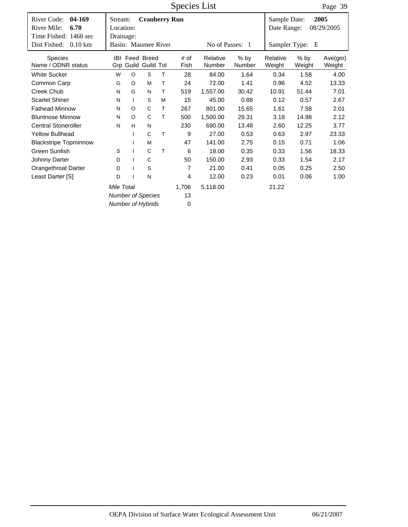|                                                                              |                                  |                          |                      |   |       |                                                   |        |                 |        | --0-    |
|------------------------------------------------------------------------------|----------------------------------|--------------------------|----------------------|---|-------|---------------------------------------------------|--------|-----------------|--------|---------|
| 04-169<br>River Code:<br><b>River Mile:</b><br>6.70<br>Time Fished: 1460 sec | Stream:<br>Location:             |                          | <b>Cranberry Run</b> |   |       | 2005<br>Sample Date:<br>08/29/2005<br>Date Range: |        |                 |        |         |
|                                                                              | Drainage:<br>Basin: Maumee River |                          |                      |   |       |                                                   |        | Sampler Type: E |        |         |
| Dist Fished:<br>0.10 km                                                      |                                  |                          |                      |   |       | No of Passes: 1                                   |        |                 |        |         |
| Species                                                                      |                                  |                          | IBI Feed Breed       |   | # of  | Relative                                          | $%$ by | Relative        | % by   | Ave(gm) |
| Name / ODNR status                                                           |                                  |                          | Grp Guild Guild Tol  |   | Fish  | Number                                            | Number | Weight          | Weight | Weight  |
| <b>White Sucker</b>                                                          | W                                | $\circ$                  | S                    | т | 28    | 84.00                                             | 1.64   | 0.34            | 1.58   | 4.00    |
| Common Carp                                                                  | G                                | $\circ$                  | M                    | т | 24    | 72.00                                             | 1.41   | 0.96            | 4.52   | 13.33   |
| Creek Chub                                                                   | N                                | G                        | N                    | т | 519   | 1,557.00                                          | 30.42  | 10.91           | 51.44  | 7.01    |
| <b>Scarlet Shiner</b>                                                        | N                                | $\mathbf{I}$             | S                    | M | 15    | 45.00                                             | 0.88   | 0.12            | 0.57   | 2.67    |
| <b>Fathead Minnow</b>                                                        | N                                | $\circ$                  | $\mathsf{C}$         | T | 267   | 801.00                                            | 15.65  | 1.61            | 7.58   | 2.01    |
| <b>Bluntnose Minnow</b>                                                      | N                                | $\circ$                  | $\mathsf{C}$         | T | 500   | 1,500.00                                          | 29.31  | 3.18            | 14.98  | 2.12    |
| <b>Central Stoneroller</b>                                                   | N                                | H                        | ${\sf N}$            |   | 230   | 690.00                                            | 13.48  | 2.60            | 12.25  | 3.77    |
| <b>Yellow Bullhead</b>                                                       |                                  |                          | C                    | Τ | 9     | 27.00                                             | 0.53   | 0.63            | 2.97   | 23.33   |
| <b>Blackstripe Topminnow</b>                                                 |                                  |                          | M                    |   | 47    | 141.00                                            | 2.75   | 0.15            | 0.71   | 1.06    |
| Green Sunfish                                                                | S                                | T                        | C                    | т | 6     | 18.00                                             | 0.35   | 0.33            | 1.56   | 18.33   |
| Johnny Darter                                                                | D                                | $\mathbf{I}$             | C                    |   | 50    | 150.00                                            | 2.93   | 0.33            | 1.54   | 2.17    |
| Orangethroat Darter                                                          | D                                | $\mathbf{I}$             | S                    |   | 7     | 21.00                                             | 0.41   | 0.05            | 0.25   | 2.50    |
| Least Darter [S]                                                             | D                                |                          | N                    |   | 4     | 12.00                                             | 0.23   | 0.01            | 0.06   | 1.00    |
|                                                                              | Mile Total                       |                          |                      |   | 1,706 | 5,118.00                                          |        | 21.22           |        |         |
|                                                                              |                                  | <b>Number of Species</b> |                      |   | 13    |                                                   |        |                 |        |         |
|                                                                              | Number of Hybrids                |                          |                      |   | 0     |                                                   |        |                 |        |         |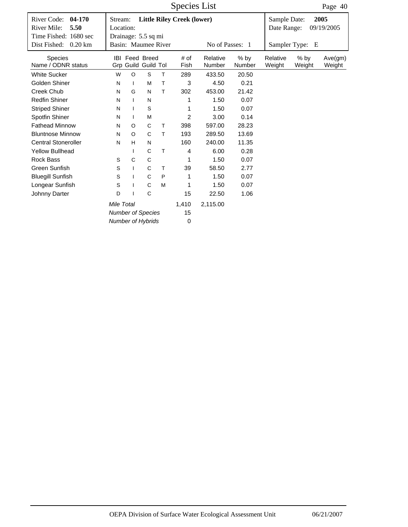|                                              |                          |              |                                   |   | pposto Libe    |                                                   |        |          |                 | 44.4    |
|----------------------------------------------|--------------------------|--------------|-----------------------------------|---|----------------|---------------------------------------------------|--------|----------|-----------------|---------|
| River Code:<br>04-170<br>River Mile:<br>5.50 | Stream:<br>Location:     |              | <b>Little Riley Creek (lower)</b> |   |                | 2005<br>Sample Date:<br>09/19/2005<br>Date Range: |        |          |                 |         |
| Time Fished: 1680 sec                        |                          |              |                                   |   |                |                                                   |        |          |                 |         |
|                                              | Drainage: 5.5 sq mi      |              |                                   |   |                |                                                   |        |          |                 |         |
| Dist Fished: 0.20 km                         | Basin: Maumee River      |              |                                   |   |                | No of Passes: 1                                   |        |          | Sampler Type: E |         |
| <b>Species</b>                               |                          |              | <b>IBI</b> Feed Breed             |   | # of           | Relative                                          | $%$ by | Relative | $%$ by          | Ave(gm) |
| Name / ODNR status                           |                          |              | Grp Guild Guild Tol               |   | Fish           | Number                                            | Number | Weight   | Weight          | Weight  |
| <b>White Sucker</b>                          | W                        | $\circ$      | S                                 | T | 289            | 433.50                                            | 20.50  |          |                 |         |
| Golden Shiner                                | N                        | $\mathbf{I}$ | M                                 | T | 3              | 4.50                                              | 0.21   |          |                 |         |
| Creek Chub                                   | N                        | G            | N                                 | T | 302            | 453.00                                            | 21.42  |          |                 |         |
| <b>Redfin Shiner</b>                         | N                        | $\mathbf{I}$ | N                                 |   | 1              | 1.50                                              | 0.07   |          |                 |         |
| <b>Striped Shiner</b>                        | N                        | $\mathbf{I}$ | S                                 |   | 1              | 1.50                                              | 0.07   |          |                 |         |
| Spotfin Shiner                               | N                        | $\mathbf{I}$ | M                                 |   | $\overline{c}$ | 3.00                                              | 0.14   |          |                 |         |
| <b>Fathead Minnow</b>                        | N                        | $\circ$      | C                                 | т | 398            | 597.00                                            | 28.23  |          |                 |         |
| <b>Bluntnose Minnow</b>                      | N                        | $\circ$      | C                                 | T | 193            | 289.50                                            | 13.69  |          |                 |         |
| <b>Central Stoneroller</b>                   | N                        | H            | N                                 |   | 160            | 240.00                                            | 11.35  |          |                 |         |
| <b>Yellow Bullhead</b>                       |                          | $\mathbf{I}$ | C                                 | T | 4              | 6.00                                              | 0.28   |          |                 |         |
| <b>Rock Bass</b>                             | S                        | $\mathsf C$  | $\mathsf{C}$                      |   | 1              | 1.50                                              | 0.07   |          |                 |         |
| Green Sunfish                                | S                        | $\mathbf{I}$ | $\mathbf C$                       | T | 39             | 58.50                                             | 2.77   |          |                 |         |
| <b>Bluegill Sunfish</b>                      | S                        | $\mathbf{I}$ | C                                 | P | 1              | 1.50                                              | 0.07   |          |                 |         |
| Longear Sunfish                              | S                        | $\mathbf{I}$ | $\mathsf{C}$                      | M | 1              | 1.50                                              | 0.07   |          |                 |         |
| Johnny Darter                                | D                        |              | C                                 |   | 15             | 22.50                                             | 1.06   |          |                 |         |
|                                              | Mile Total               |              |                                   |   | 1,410          | 2,115.00                                          |        |          |                 |         |
|                                              | <b>Number of Species</b> |              |                                   |   | 15             |                                                   |        |          |                 |         |
|                                              | Number of Hybrids        |              |                                   |   | 0              |                                                   |        |          |                 |         |
|                                              |                          |              |                                   |   |                |                                                   |        |          |                 |         |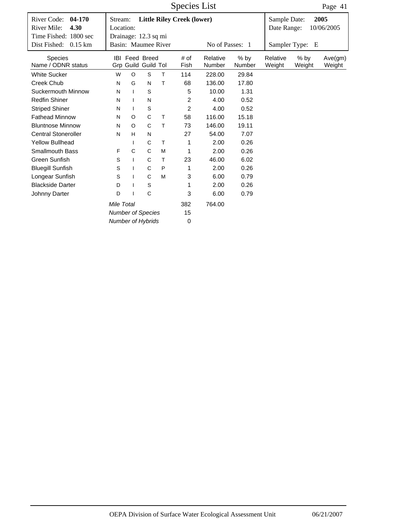| raoe |  |
|------|--|
|      |  |

| River Code:<br>$04 - 170$<br>River Mile:<br>4.30 | Stream:<br>Location:     |              |                       | <b>Little Riley Creek (lower)</b> |                | 2005<br>Sample Date:<br>10/06/2005<br>Date Range: |        |               |        |         |
|--------------------------------------------------|--------------------------|--------------|-----------------------|-----------------------------------|----------------|---------------------------------------------------|--------|---------------|--------|---------|
| Time Fished: 1800 sec                            | Drainage: 12.3 sq mi     |              |                       |                                   |                |                                                   |        |               |        |         |
| Dist Fished:<br>$0.15$ km                        | Basin: Maumee River      |              |                       |                                   |                | No of Passes: 1                                   |        | Sampler Type: | Ε      |         |
| <b>Species</b>                                   |                          |              | <b>IBI</b> Feed Breed |                                   | # of           | Relative                                          | % by   | Relative      | % by   | Ave(gm) |
| Name / ODNR status                               |                          |              | Grp Guild Guild Tol   |                                   | Fish           | Number                                            | Number | Weight        | Weight | Weight  |
| <b>White Sucker</b>                              | W                        | O            | S                     | Τ                                 | 114            | 228.00                                            | 29.84  |               |        |         |
| Creek Chub                                       | N                        | G            | N                     | T                                 | 68             | 136.00                                            | 17.80  |               |        |         |
| <b>Suckermouth Minnow</b>                        | N                        | $\mathbf{I}$ | S                     |                                   | 5              | 10.00                                             | 1.31   |               |        |         |
| <b>Redfin Shiner</b>                             | N                        | $\mathbf{I}$ | N                     |                                   | 2              | 4.00                                              | 0.52   |               |        |         |
| <b>Striped Shiner</b>                            | N                        | $\mathbf{I}$ | S                     |                                   | $\overline{c}$ | 4.00                                              | 0.52   |               |        |         |
| <b>Fathead Minnow</b>                            | N                        | O            | C                     | T                                 | 58             | 116.00                                            | 15.18  |               |        |         |
| <b>Bluntnose Minnow</b>                          | N                        | O            | C                     | T                                 | 73             | 146.00                                            | 19.11  |               |        |         |
| <b>Central Stoneroller</b>                       | N                        | H            | N                     |                                   | 27             | 54.00                                             | 7.07   |               |        |         |
| <b>Yellow Bullhead</b>                           |                          | $\mathbf{I}$ | C                     | T                                 | 1              | 2.00                                              | 0.26   |               |        |         |
| <b>Smallmouth Bass</b>                           | F                        | $\mathsf C$  | $\mathbf C$           | M                                 | 1              | 2.00                                              | 0.26   |               |        |         |
| Green Sunfish                                    | S                        | $\mathbf{I}$ | C                     | T                                 | 23             | 46.00                                             | 6.02   |               |        |         |
| <b>Bluegill Sunfish</b>                          | S                        | $\mathbf{I}$ | $\mathsf{C}$          | P                                 | 1              | 2.00                                              | 0.26   |               |        |         |
| Longear Sunfish                                  | S                        |              | C                     | M                                 | 3              | 6.00                                              | 0.79   |               |        |         |
| <b>Blackside Darter</b>                          | D                        | $\mathbf{I}$ | S                     |                                   | 1              | 2.00                                              | 0.26   |               |        |         |
| Johnny Darter                                    | D                        |              | $\mathsf C$           |                                   | 3              | 6.00                                              | 0.79   |               |        |         |
|                                                  | Mile Total               |              |                       |                                   | 382            | 764.00                                            |        |               |        |         |
|                                                  | <b>Number of Species</b> |              |                       |                                   | 15             |                                                   |        |               |        |         |
|                                                  | <b>Number of Hybrids</b> |              |                       |                                   | 0              |                                                   |        |               |        |         |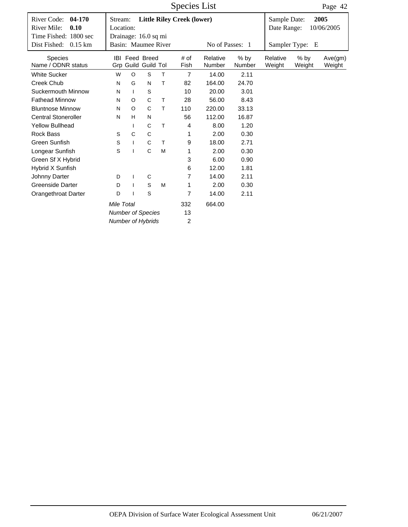|                                              |                      |              |                                              |              |                                                   |                    |                  |                    |                  | - 50              |
|----------------------------------------------|----------------------|--------------|----------------------------------------------|--------------|---------------------------------------------------|--------------------|------------------|--------------------|------------------|-------------------|
| 04-170<br>River Code:<br>River Mile:<br>0.10 | Stream:<br>Location: |              | <b>Little Riley Creek (lower)</b>            |              | Sample Date:<br>2005<br>10/06/2005<br>Date Range: |                    |                  |                    |                  |                   |
| Time Fished: 1800 sec                        |                      |              | Drainage: 16.0 sq mi                         |              |                                                   |                    |                  |                    |                  |                   |
| Dist Fished:<br>$0.15$ km                    |                      |              | Basin: Maumee River                          |              |                                                   | No of Passes: 1    |                  |                    | Sampler Type: E  |                   |
| <b>Species</b><br>Name / ODNR status         |                      |              | <b>IBI Feed Breed</b><br>Grp Guild Guild Tol |              | # of<br>Fish                                      | Relative<br>Number | $%$ by<br>Number | Relative<br>Weight | $%$ by<br>Weight | Ave(gm)<br>Weight |
| <b>White Sucker</b>                          | W                    | $\circ$      | S                                            | Τ            | 7                                                 | 14.00              | 2.11             |                    |                  |                   |
| <b>Creek Chub</b>                            | N                    | G            | N                                            | т            | 82                                                | 164.00             | 24.70            |                    |                  |                   |
| Suckermouth Minnow                           | N                    | $\mathbf{I}$ | S                                            |              | 10                                                | 20.00              | 3.01             |                    |                  |                   |
| <b>Fathead Minnow</b>                        | N                    | O            | C                                            | T            | 28                                                | 56.00              | 8.43             |                    |                  |                   |
| <b>Bluntnose Minnow</b>                      | N                    | $\circ$      | $\mathsf{C}$                                 | T            | 110                                               | 220.00             | 33.13            |                    |                  |                   |
| <b>Central Stoneroller</b>                   | N                    | H            | ${\sf N}$                                    |              | 56                                                | 112.00             | 16.87            |                    |                  |                   |
| <b>Yellow Bullhead</b>                       |                      | $\mathbf{I}$ | C                                            | T            | 4                                                 | 8.00               | 1.20             |                    |                  |                   |
| <b>Rock Bass</b>                             | S                    | $\mathsf{C}$ | $\mathsf C$                                  |              | 1                                                 | 2.00               | 0.30             |                    |                  |                   |
| Green Sunfish                                | S                    | $\mathbf{I}$ | C                                            | $\mathsf{T}$ | 9                                                 | 18.00              | 2.71             |                    |                  |                   |
| Longear Sunfish                              | S                    | I            | $\mathsf{C}$                                 | M            | 1                                                 | 2.00               | 0.30             |                    |                  |                   |
| Green Sf X Hybrid                            |                      |              |                                              |              | 3                                                 | 6.00               | 0.90             |                    |                  |                   |
| Hybrid X Sunfish                             |                      |              |                                              |              | 6                                                 | 12.00              | 1.81             |                    |                  |                   |
| Johnny Darter                                | D                    |              | C                                            |              | 7                                                 | 14.00              | 2.11             |                    |                  |                   |
| <b>Greenside Darter</b>                      | D                    |              | S                                            | M            | 1                                                 | 2.00               | 0.30             |                    |                  |                   |
| Orangethroat Darter                          | D                    |              | $\mathsf S$                                  |              | 7                                                 | 14.00              | 2.11             |                    |                  |                   |
|                                              | Mile Total           |              |                                              |              | 332                                               | 664.00             |                  |                    |                  |                   |
|                                              |                      |              | <b>Number of Species</b>                     |              | 13                                                |                    |                  |                    |                  |                   |
|                                              |                      |              | <b>Number of Hybrids</b>                     |              | $\overline{2}$                                    |                    |                  |                    |                  |                   |
|                                              |                      |              |                                              |              |                                                   |                    |                  |                    |                  |                   |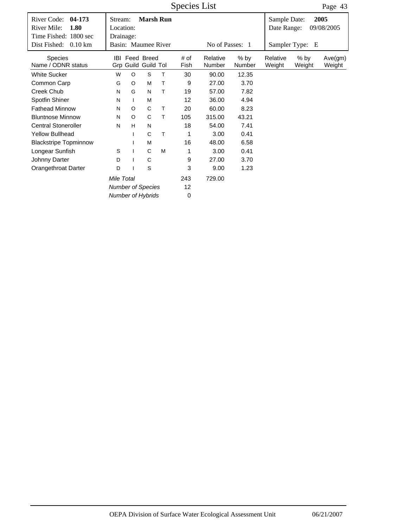| Pε<br>'aoe |  |
|------------|--|
|            |  |

| River Code:<br>04-173<br>River Mile:<br>1.80<br>Time Fished: 1800 sec | Stream:<br>Location:<br>Drainage: |                          |                                   | <b>Marsh Run</b> |              |                    |                  | Sample Date:<br>Date Range: |                  | 2005<br>09/08/2005 |
|-----------------------------------------------------------------------|-----------------------------------|--------------------------|-----------------------------------|------------------|--------------|--------------------|------------------|-----------------------------|------------------|--------------------|
| Dist Fished: 0.10 km                                                  | Basin: Maumee River               |                          |                                   |                  |              | No of Passes: 1    |                  |                             | Sampler Type: E  |                    |
| <b>Species</b><br>Name / ODNR status                                  | IBI                               |                          | Feed Breed<br>Grp Guild Guild Tol |                  | # of<br>Fish | Relative<br>Number | $%$ by<br>Number | Relative<br>Weight          | $%$ by<br>Weight | Ave(gm)<br>Weight  |
| <b>White Sucker</b>                                                   | W                                 | $\circ$                  | S                                 | Т                | 30           | 90.00              | 12.35            |                             |                  |                    |
| Common Carp                                                           | G                                 | O                        | M                                 | T                | 9            | 27.00              | 3.70             |                             |                  |                    |
| Creek Chub                                                            | N                                 | G                        | N                                 | Τ                | 19           | 57.00              | 7.82             |                             |                  |                    |
| Spotfin Shiner                                                        | N                                 | $\mathbf{I}$             | M                                 |                  | 12           | 36.00              | 4.94             |                             |                  |                    |
| <b>Fathead Minnow</b>                                                 | N                                 | O                        | C                                 | Τ                | 20           | 60.00              | 8.23             |                             |                  |                    |
| <b>Bluntnose Minnow</b>                                               | N                                 | $\circ$                  | C                                 | т                | 105          | 315.00             | 43.21            |                             |                  |                    |
| <b>Central Stoneroller</b>                                            | N                                 | H                        | ${\sf N}$                         |                  | 18           | 54.00              | 7.41             |                             |                  |                    |
| <b>Yellow Bullhead</b>                                                |                                   |                          | C                                 | Τ                | 1            | 3.00               | 0.41             |                             |                  |                    |
| <b>Blackstripe Topminnow</b>                                          |                                   |                          | M                                 |                  | 16           | 48.00              | 6.58             |                             |                  |                    |
| Longear Sunfish                                                       | S                                 |                          | C                                 | M                | 1            | 3.00               | 0.41             |                             |                  |                    |
| Johnny Darter                                                         | D                                 |                          | C                                 |                  | 9            | 27.00              | 3.70             |                             |                  |                    |
| Orangethroat Darter                                                   | D                                 |                          | S                                 |                  | 3            | 9.00               | 1.23             |                             |                  |                    |
|                                                                       | Mile Total                        |                          |                                   |                  | 243          | 729.00             |                  |                             |                  |                    |
|                                                                       |                                   | <b>Number of Species</b> |                                   |                  |              |                    |                  |                             |                  |                    |
|                                                                       | Number of Hybrids                 |                          |                                   |                  | 0            |                    |                  |                             |                  |                    |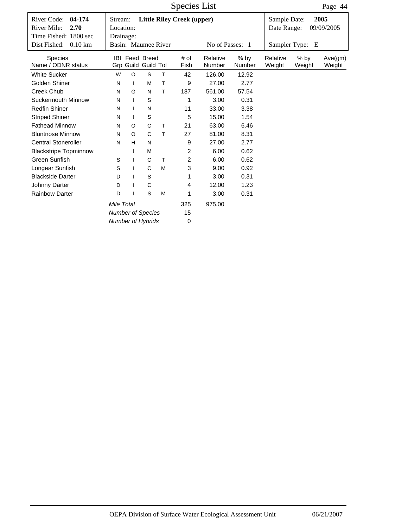| Page | 44 |
|------|----|
|      |    |

|                                                                       |                                   |              | - 50                                         |        |                                   |                    |                  |                             |                  |                    |
|-----------------------------------------------------------------------|-----------------------------------|--------------|----------------------------------------------|--------|-----------------------------------|--------------------|------------------|-----------------------------|------------------|--------------------|
| River Code:<br>04-174<br>River Mile:<br>2.70<br>Time Fished: 1800 sec | Stream:<br>Location:<br>Drainage: |              |                                              |        | <b>Little Riley Creek (upper)</b> |                    |                  | Sample Date:<br>Date Range: |                  | 2005<br>09/09/2005 |
| Dist Fished:<br>$0.10 \mathrm{km}$                                    |                                   |              | Basin: Maumee River                          |        |                                   | No of Passes: 1    |                  |                             | Sampler Type: E  |                    |
| <b>Species</b><br>Name / ODNR status                                  |                                   |              | <b>IBI</b> Feed Breed<br>Grp Guild Guild Tol |        | # of<br>Fish                      | Relative<br>Number | $%$ by<br>Number | Relative<br>Weight          | $%$ by<br>Weight | Ave(gm)<br>Weight  |
| <b>White Sucker</b>                                                   | W                                 | $\circ$      | S                                            | T      | 42                                | 126.00             | 12.92            |                             |                  |                    |
| Golden Shiner                                                         | N                                 | $\mathbf{I}$ | M                                            | т      | 9                                 | 27.00              | 2.77             |                             |                  |                    |
| <b>Creek Chub</b>                                                     | N                                 | G            | N                                            | т      | 187                               | 561.00             | 57.54            |                             |                  |                    |
| Suckermouth Minnow                                                    | N                                 | $\mathbf{I}$ | S                                            |        | 1                                 | 3.00               | 0.31             |                             |                  |                    |
| <b>Redfin Shiner</b>                                                  | N                                 | $\mathbf{I}$ | N                                            |        | 11                                | 33.00              | 3.38             |                             |                  |                    |
| <b>Striped Shiner</b>                                                 | N                                 | $\mathbf{I}$ | S                                            |        | 5                                 | 15.00              | 1.54             |                             |                  |                    |
| <b>Fathead Minnow</b>                                                 | N                                 | O            | C                                            | $\top$ | 21                                | 63.00              | 6.46             |                             |                  |                    |
| <b>Bluntnose Minnow</b>                                               | N                                 | $\circ$      | $\mathsf{C}$                                 | T      | 27                                | 81.00              | 8.31             |                             |                  |                    |
| <b>Central Stoneroller</b>                                            | N                                 | H            | N                                            |        | 9                                 | 27.00              | 2.77             |                             |                  |                    |
| <b>Blackstripe Topminnow</b>                                          |                                   | $\mathbf{I}$ | M                                            |        | 2                                 | 6.00               | 0.62             |                             |                  |                    |
| Green Sunfish                                                         | S                                 | $\mathbf{I}$ | C                                            | T      | 2                                 | 6.00               | 0.62             |                             |                  |                    |
| Longear Sunfish                                                       | S                                 | $\mathbf{I}$ | $\mathsf{C}$                                 | M      | 3                                 | 9.00               | 0.92             |                             |                  |                    |
| <b>Blackside Darter</b>                                               | D                                 | $\mathbf{I}$ | S                                            |        | 1                                 | 3.00               | 0.31             |                             |                  |                    |
| Johnny Darter                                                         | D                                 | $\mathbf{I}$ | С                                            |        | 4                                 | 12.00              | 1.23             |                             |                  |                    |
| <b>Rainbow Darter</b>                                                 | D                                 |              | $\mathsf S$                                  | M      | 1                                 | 3.00               | 0.31             |                             |                  |                    |
|                                                                       | Mile Total                        |              |                                              |        | 325                               | 975.00             |                  |                             |                  |                    |
|                                                                       |                                   |              | <b>Number of Species</b>                     |        | 15                                |                    |                  |                             |                  |                    |
|                                                                       |                                   |              | <b>Number of Hybrids</b>                     |        | 0                                 |                    |                  |                             |                  |                    |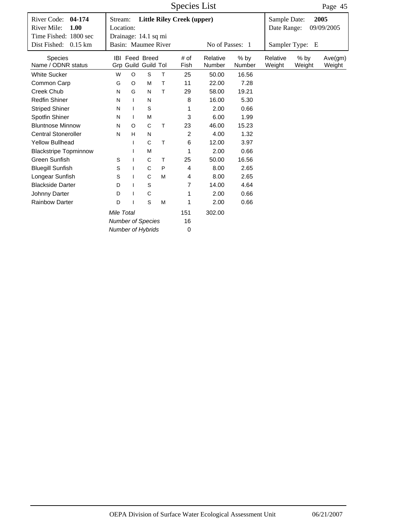|   |              |                                    |    |                                                                                                                                                     |          |                                                       |                           |        | - 50                                                     |
|---|--------------|------------------------------------|----|-----------------------------------------------------------------------------------------------------------------------------------------------------|----------|-------------------------------------------------------|---------------------------|--------|----------------------------------------------------------|
|   |              |                                    |    |                                                                                                                                                     |          |                                                       |                           |        | 2005<br>09/09/2005                                       |
|   |              |                                    |    |                                                                                                                                                     |          |                                                       |                           |        |                                                          |
|   |              |                                    |    |                                                                                                                                                     |          |                                                       |                           |        |                                                          |
|   |              |                                    |    | # of                                                                                                                                                | Relative | % by                                                  | Relative                  | % by   | Ave(gm)                                                  |
|   |              |                                    |    |                                                                                                                                                     |          |                                                       |                           |        | Weight                                                   |
| W | $\circ$      | $\mathsf S$                        | T  | 25                                                                                                                                                  | 50.00    | 16.56                                                 |                           |        |                                                          |
| G | O            | M                                  | T  | 11                                                                                                                                                  | 22.00    | 7.28                                                  |                           |        |                                                          |
| N | G            | N                                  | т  | 29                                                                                                                                                  | 58.00    | 19.21                                                 |                           |        |                                                          |
| N | $\mathbf{I}$ | N                                  |    | 8                                                                                                                                                   | 16.00    | 5.30                                                  |                           |        |                                                          |
| N | I            | S                                  |    | 1                                                                                                                                                   | 2.00     | 0.66                                                  |                           |        |                                                          |
| N | $\mathbf{I}$ | M                                  |    | 3                                                                                                                                                   | 6.00     | 1.99                                                  |                           |        |                                                          |
| N | $\circ$      | C                                  | T  | 23                                                                                                                                                  | 46.00    | 15.23                                                 |                           |        |                                                          |
| N | Н            | N                                  |    | 2                                                                                                                                                   | 4.00     | 1.32                                                  |                           |        |                                                          |
|   |              | C                                  | T  | 6                                                                                                                                                   | 12.00    | 3.97                                                  |                           |        |                                                          |
|   |              | M                                  |    | 1                                                                                                                                                   | 2.00     | 0.66                                                  |                           |        |                                                          |
| S |              | C                                  | T. | 25                                                                                                                                                  | 50.00    | 16.56                                                 |                           |        |                                                          |
| S | $\mathsf{I}$ | C                                  | P  | 4                                                                                                                                                   | 8.00     | 2.65                                                  |                           |        |                                                          |
| S | $\mathbf{I}$ | C                                  | M  | 4                                                                                                                                                   | 8.00     | 2.65                                                  |                           |        |                                                          |
| D |              | $\mathsf S$                        |    | 7                                                                                                                                                   | 14.00    | 4.64                                                  |                           |        |                                                          |
| D |              | С                                  |    | 1                                                                                                                                                   | 2.00     | 0.66                                                  |                           |        |                                                          |
| D |              | S                                  | M  | 1                                                                                                                                                   | 2.00     | 0.66                                                  |                           |        |                                                          |
|   |              |                                    |    | 151                                                                                                                                                 | 302.00   |                                                       |                           |        |                                                          |
|   |              |                                    |    | 16                                                                                                                                                  |          |                                                       |                           |        |                                                          |
|   |              |                                    |    | 0                                                                                                                                                   |          |                                                       |                           |        |                                                          |
|   |              | Stream:<br>Location:<br>Mile Total |    | Drainage: 14.1 sq mi<br>Basin: Maumee River<br><b>IBI Feed Breed</b><br>Grp Guild Guild Tol<br><b>Number of Species</b><br><b>Number of Hybrids</b> | Fish     | ------<br><b>Little Riley Creek (upper)</b><br>Number | No of Passes: 1<br>Number | Weight | Sample Date:<br>Date Range:<br>Sampler Type: E<br>Weight |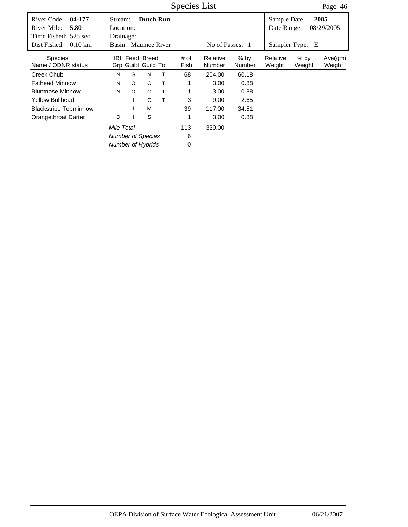| 46 |
|----|

| River Code:<br>04-177<br>5.80<br>River Mile: | Stream:<br>Location:     |                                   |   | <b>Dutch Run</b> |              | 2005<br>Sample Date:<br>08/29/2005<br>Date Range: |                  |                    |                  |                   |
|----------------------------------------------|--------------------------|-----------------------------------|---|------------------|--------------|---------------------------------------------------|------------------|--------------------|------------------|-------------------|
| Time Fished: 525 sec                         | Drainage:                |                                   |   |                  |              |                                                   |                  |                    |                  |                   |
| Dist Fished:<br>$0.10 \mathrm{km}$           | Basin: Maumee River      |                                   |   |                  |              | No of Passes: 1                                   | Sampler Type: E  |                    |                  |                   |
| <b>Species</b><br>Name / ODNR status         | IBI                      | Feed Breed<br>Grp Guild Guild Tol |   |                  | # of<br>Fish | Relative<br>Number                                | $%$ by<br>Number | Relative<br>Weight | $%$ by<br>Weight | Ave(gm)<br>Weight |
| Creek Chub                                   | N                        | G                                 | N | т                | 68           | 204.00                                            | 60.18            |                    |                  |                   |
| <b>Fathead Minnow</b>                        | N                        | $\circ$                           | C | т                |              | 3.00                                              | 0.88             |                    |                  |                   |
| <b>Bluntnose Minnow</b>                      | N                        | $\circ$                           | C | т                |              | 3.00                                              | 0.88             |                    |                  |                   |
| <b>Yellow Bullhead</b>                       |                          |                                   | C | т                | 3            | 9.00                                              | 2.65             |                    |                  |                   |
| <b>Blackstripe Topminnow</b>                 |                          |                                   | м |                  | 39           | 117.00                                            | 34.51            |                    |                  |                   |
| Orangethroat Darter                          | D                        |                                   | S |                  |              | 3.00                                              | 0.88             |                    |                  |                   |
|                                              | Mile Total               |                                   |   |                  | 113          | 339.00                                            |                  |                    |                  |                   |
|                                              | <b>Number of Species</b> |                                   |   |                  | 6            |                                                   |                  |                    |                  |                   |
|                                              | <b>Number of Hybrids</b> |                                   |   |                  | 0            |                                                   |                  |                    |                  |                   |
|                                              |                          |                                   |   |                  |              |                                                   |                  |                    |                  |                   |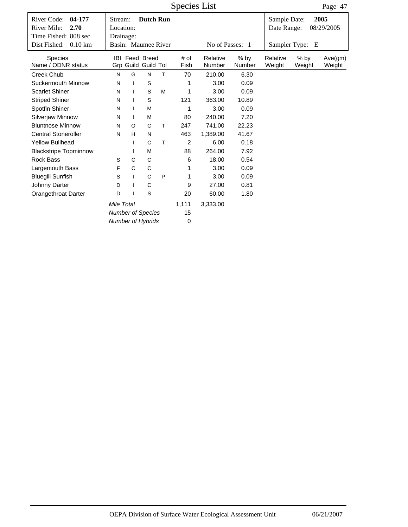| ш<br>age. |  |
|-----------|--|
|           |  |

| 04-177<br>River Code:<br>River Mile:<br>2.70 | Stream:<br>Location: |              | <b>Dutch Run</b>                                     |   |                            |                 |        | Sample Date:<br>Date Range: |                 | 2005<br>08/29/2005 |
|----------------------------------------------|----------------------|--------------|------------------------------------------------------|---|----------------------------|-----------------|--------|-----------------------------|-----------------|--------------------|
| Time Fished: 808 sec                         | Drainage:            |              |                                                      |   |                            |                 |        |                             |                 |                    |
| Dist Fished:<br>$0.10 \text{ km}$            |                      |              | Basin: Maumee River                                  |   |                            | No of Passes: 1 |        |                             | Sampler Type: E |                    |
| <b>Species</b>                               |                      |              | <b>IBI</b> Feed Breed                                |   | # of                       | Relative        | $%$ by | Relative                    | $%$ by          | Ave(gm)            |
| Name / ODNR status                           |                      |              | Grp Guild Guild Tol                                  |   | Fish                       | Number          | Number | Weight                      | Weight          | Weight             |
| <b>Creek Chub</b>                            | N                    | G            | N                                                    | т | 70                         | 210.00          | 6.30   |                             |                 |                    |
| <b>Suckermouth Minnow</b>                    | N                    | I            | S                                                    |   | 1                          | 3.00            | 0.09   |                             |                 |                    |
| <b>Scarlet Shiner</b>                        | N                    | $\mathsf{I}$ | S                                                    | M | 1                          | 3.00            | 0.09   |                             |                 |                    |
| <b>Striped Shiner</b>                        | N                    | $\mathsf{I}$ | S                                                    |   | 121                        | 363.00          | 10.89  |                             |                 |                    |
| Spotfin Shiner                               | N                    | $\mathsf{I}$ | M                                                    |   | 1                          | 3.00            | 0.09   |                             |                 |                    |
| Silverjaw Minnow                             | N                    | $\mathsf{I}$ | M                                                    |   | 80                         | 240.00          | 7.20   |                             |                 |                    |
| <b>Bluntnose Minnow</b>                      | N                    | $\circ$      | C                                                    | T | 247                        | 741.00          | 22.23  |                             |                 |                    |
| <b>Central Stoneroller</b>                   | N                    | H            | N                                                    |   | 463                        | 1,389.00        | 41.67  |                             |                 |                    |
| <b>Yellow Bullhead</b>                       |                      |              | C                                                    | T | 2                          | 6.00            | 0.18   |                             |                 |                    |
| <b>Blackstripe Topminnow</b>                 |                      | L            | M                                                    |   | 88                         | 264.00          | 7.92   |                             |                 |                    |
| Rock Bass                                    | S                    | C            | C                                                    |   | 6                          | 18.00           | 0.54   |                             |                 |                    |
| Largemouth Bass                              | F                    | $\mathsf C$  | C                                                    |   | 1                          | 3.00            | 0.09   |                             |                 |                    |
| <b>Bluegill Sunfish</b>                      | S                    | $\mathsf{I}$ | $\mathsf C$                                          | P | 1                          | 3.00            | 0.09   |                             |                 |                    |
| Johnny Darter                                | D                    | $\mathsf{I}$ | C                                                    |   | 9                          | 27.00           | 0.81   |                             |                 |                    |
| Orangethroat Darter                          | D                    |              | S                                                    |   | 20                         | 60.00           | 1.80   |                             |                 |                    |
|                                              | Mile Total           |              | <b>Number of Species</b><br><b>Number of Hybrids</b> |   | 1,111<br>15<br>$\mathbf 0$ | 3,333.00        |        |                             |                 |                    |
|                                              |                      |              |                                                      |   |                            |                 |        |                             |                 |                    |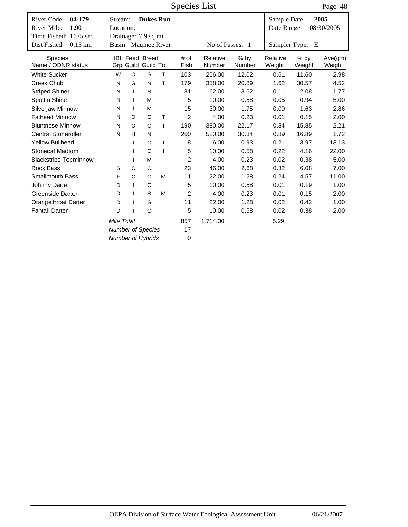|                                                                       |                                             |              |                                              |              | $_{\rm{pvec}}$ |                    |                  |                             |                  | $1 \, \mu_{\rm S}$ $\sigma$ $\alpha$ |
|-----------------------------------------------------------------------|---------------------------------------------|--------------|----------------------------------------------|--------------|----------------|--------------------|------------------|-----------------------------|------------------|--------------------------------------|
| 04-179<br>River Code:<br>River Mile:<br>1.90<br>Time Fished: 1675 sec | Stream:<br>Location:<br>Drainage: 7.9 sq mi |              | <b>Dukes Run</b>                             |              |                |                    |                  | Sample Date:<br>Date Range: |                  | 2005<br>08/30/2005                   |
| Dist Fished: 0.15 km                                                  | Basin: Maumee River                         |              |                                              |              |                | No of Passes: 1    |                  | Sampler Type: E             |                  |                                      |
| Species<br>Name / ODNR status                                         |                                             |              | <b>IBI</b> Feed Breed<br>Grp Guild Guild Tol |              | # of<br>Fish   | Relative<br>Number | $%$ by<br>Number | Relative<br>Weight          | $%$ by<br>Weight | Ave(gm)<br>Weight                    |
| <b>White Sucker</b>                                                   | W                                           | $\circ$      | S                                            | T            | 103            | 206.00             | 12.02            | 0.61                        | 11.60            | 2.98                                 |
| <b>Creek Chub</b>                                                     | N                                           | G            | N                                            | T            | 179            | 358.00             | 20.89            | 1.62                        | 30.57            | 4.52                                 |
| <b>Striped Shiner</b>                                                 | N                                           | $\mathbf{I}$ | S                                            |              | 31             | 62.00              | 3.62             | 0.11                        | 2.08             | 1.77                                 |
| Spotfin Shiner                                                        | N                                           | $\mathbf{I}$ | M                                            |              | 5              | 10.00              | 0.58             | 0.05                        | 0.94             | 5.00                                 |
| Silverjaw Minnow                                                      | N                                           | $\mathbf{I}$ | M                                            |              | 15             | 30.00              | 1.75             | 0.09                        | 1.63             | 2.86                                 |
| <b>Fathead Minnow</b>                                                 | N                                           | O            | C                                            | T            | $\overline{2}$ | 4.00               | 0.23             | 0.01                        | 0.15             | 2.00                                 |
| <b>Bluntnose Minnow</b>                                               | N                                           | $\circ$      | C                                            | T            | 190            | 380.00             | 22.17            | 0.84                        | 15.85            | 2.21                                 |
| <b>Central Stoneroller</b>                                            | N                                           | H            | N                                            |              | 260            | 520.00             | 30.34            | 0.89                        | 16.89            | 1.72                                 |
| <b>Yellow Bullhead</b>                                                |                                             | $\mathbf{I}$ | C                                            | T            | 8              | 16.00              | 0.93             | 0.21                        | 3.97             | 13.13                                |
| <b>Stonecat Madtom</b>                                                |                                             |              | $\mathsf{C}$                                 | $\mathbf{I}$ | 5              | 10.00              | 0.58             | 0.22                        | 4.16             | 22.00                                |
| <b>Blackstripe Topminnow</b>                                          |                                             | $\mathbf{I}$ | M                                            |              | $\overline{2}$ | 4.00               | 0.23             | 0.02                        | 0.38             | 5.00                                 |
| <b>Rock Bass</b>                                                      | S                                           | C            | C                                            |              | 23             | 46.00              | 2.68             | 0.32                        | 6.08             | 7.00                                 |
| Smallmouth Bass                                                       | F                                           | $\mathsf C$  | $\mathsf C$                                  | M            | 11             | 22.00              | 1.28             | 0.24                        | 4.57             | 11.00                                |
| Johnny Darter                                                         | D                                           | $\mathbf{I}$ | $\mathsf C$                                  |              | 5              | 10.00              | 0.58             | 0.01                        | 0.19             | 1.00                                 |
| <b>Greenside Darter</b>                                               | D                                           | $\mathbf{I}$ | S                                            | M            | $\overline{c}$ | 4.00               | 0.23             | 0.01                        | 0.15             | 2.00                                 |
| Orangethroat Darter                                                   | D                                           | $\mathbf{I}$ | $\mathsf S$                                  |              | 11             | 22.00              | 1.28             | 0.02                        | 0.42             | 1.00                                 |
| <b>Fantail Darter</b>                                                 | D                                           |              | C                                            |              | 5              | 10.00              | 0.58             | 0.02                        | 0.38             | 2.00                                 |
|                                                                       | Mile Total                                  |              |                                              |              | 857            | 1,714.00           |                  | 5.29                        |                  |                                      |
|                                                                       | <b>Number of Species</b>                    |              |                                              |              | 17             |                    |                  |                             |                  |                                      |
|                                                                       | <b>Number of Hybrids</b>                    |              |                                              |              | 0              |                    |                  |                             |                  |                                      |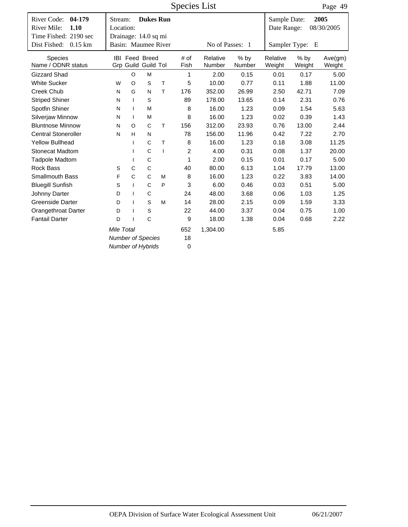|                                                                       |                                              |                          |                                          |              | pports and         |                 |                    |                             |                   | $1 \, \text{a}$ gu $-7$ |
|-----------------------------------------------------------------------|----------------------------------------------|--------------------------|------------------------------------------|--------------|--------------------|-----------------|--------------------|-----------------------------|-------------------|-------------------------|
| 04-179<br>River Code:<br>River Mile:<br>1.10<br>Time Fished: 2190 sec | Stream:<br>Location:                         |                          | <b>Dukes Run</b><br>Drainage: 14.0 sq mi |              |                    |                 |                    | Sample Date:<br>Date Range: |                   | 2005<br>08/30/2005      |
| Dist Fished:<br>$0.15$ km                                             |                                              |                          | Basin: Maumee River                      |              |                    | No of Passes: 1 |                    | Sampler Type:<br>E          |                   |                         |
| <b>Species</b><br>Name / ODNR status                                  | <b>IBI Feed Breed</b><br>Grp Guild Guild Tol |                          |                                          | # of<br>Fish | Relative<br>Number | % by<br>Number  | Relative<br>Weight | % by<br>Weight              | Ave(gm)<br>Weight |                         |
| <b>Gizzard Shad</b>                                                   |                                              | O                        | M                                        |              | 1                  | 2.00            | 0.15               | 0.01                        | 0.17              | 5.00                    |
| <b>White Sucker</b>                                                   | W                                            | $\circ$                  | S                                        | $\mathsf{T}$ | 5                  | 10.00           | 0.77               | 0.11                        | 1.88              | 11.00                   |
| Creek Chub                                                            | N                                            | G                        | N                                        | $\mathsf{T}$ | 176                | 352.00          | 26.99              | 2.50                        | 42.71             | 7.09                    |
| <b>Striped Shiner</b>                                                 | N                                            | $\overline{\phantom{a}}$ | S                                        |              | 89                 | 178.00          | 13.65              | 0.14                        | 2.31              | 0.76                    |
| Spotfin Shiner                                                        | N                                            | $\mathbf{I}$             | M                                        |              | 8                  | 16.00           | 1.23               | 0.09                        | 1.54              | 5.63                    |
| Silverjaw Minnow                                                      | N                                            | $\mathbf{I}$             | M                                        |              | 8                  | 16.00           | 1.23               | 0.02                        | 0.39              | 1.43                    |
| <b>Bluntnose Minnow</b>                                               | N                                            | $\circ$                  | $\mathsf{C}$                             | T            | 156                | 312.00          | 23.93              | 0.76                        | 13.00             | 2.44                    |
| <b>Central Stoneroller</b>                                            | N                                            | H                        | N                                        |              | 78                 | 156.00          | 11.96              | 0.42                        | 7.22              | 2.70                    |
| <b>Yellow Bullhead</b>                                                |                                              | ı                        | C                                        | T            | 8                  | 16.00           | 1.23               | 0.18                        | 3.08              | 11.25                   |
| <b>Stonecat Madtom</b>                                                |                                              |                          | $\mathsf C$                              | $\mathbf{I}$ | 2                  | 4.00            | 0.31               | 0.08                        | 1.37              | 20.00                   |
| <b>Tadpole Madtom</b>                                                 |                                              | I                        | $\mathsf{C}$                             |              | 1                  | 2.00            | 0.15               | 0.01                        | 0.17              | 5.00                    |
| <b>Rock Bass</b>                                                      | S                                            | $\mathsf C$              | $\mathsf{C}$                             |              | 40                 | 80.00           | 6.13               | 1.04                        | 17.79             | 13.00                   |
| Smallmouth Bass                                                       | F                                            | $\mathsf{C}$             | C                                        | M            | 8                  | 16.00           | 1.23               | 0.22                        | 3.83              | 14.00                   |
| <b>Bluegill Sunfish</b>                                               | S                                            | $\mathbf{I}$             | $\mathsf{C}$                             | P            | 3                  | 6.00            | 0.46               | 0.03                        | 0.51              | 5.00                    |
| Johnny Darter                                                         | D                                            | $\overline{1}$           | C                                        |              | 24                 | 48.00           | 3.68               | 0.06                        | 1.03              | 1.25                    |
| <b>Greenside Darter</b>                                               | D                                            | I                        | S                                        | M            | 14                 | 28.00           | 2.15               | 0.09                        | 1.59              | 3.33                    |
| Orangethroat Darter                                                   | D                                            | I                        | $\mathsf S$                              |              | 22                 | 44.00           | 3.37               | 0.04                        | 0.75              | 1.00                    |
| <b>Fantail Darter</b>                                                 | D                                            |                          | $\mathsf{C}$                             |              | 9                  | 18.00           | 1.38               | 0.04                        | 0.68              | 2.22                    |
|                                                                       | Mile Total                                   |                          |                                          |              | 652                | 1,304.00        |                    | 5.85                        |                   |                         |
|                                                                       | <b>Number of Species</b>                     |                          |                                          |              | 18                 |                 |                    |                             |                   |                         |
|                                                                       | Number of Hybrids                            |                          |                                          |              | 0                  |                 |                    |                             |                   |                         |
|                                                                       |                                              |                          |                                          |              |                    |                 |                    |                             |                   |                         |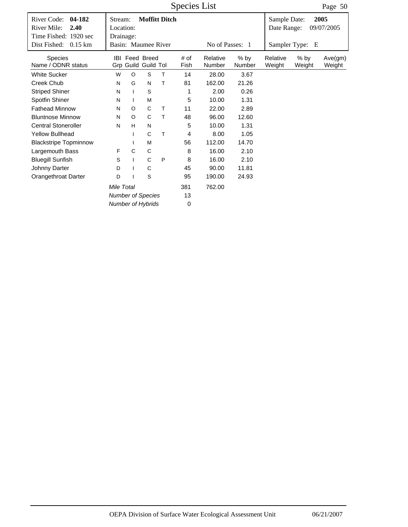| 710. |  |
|------|--|
|      |  |

|                                              |                          |              |                       |                      | л.          |                 |        |                             |        |                    |
|----------------------------------------------|--------------------------|--------------|-----------------------|----------------------|-------------|-----------------|--------|-----------------------------|--------|--------------------|
| River Code:<br>04-182<br>River Mile:<br>2.40 | Stream:<br>Location:     |              |                       | <b>Moffitt Ditch</b> |             |                 |        | Sample Date:<br>Date Range: |        | 2005<br>09/07/2005 |
| Time Fished: 1920 sec                        | Drainage:                |              |                       |                      |             |                 |        |                             |        |                    |
| Dist Fished: 0.15 km                         | Basin: Maumee River      |              |                       |                      |             | No of Passes: 1 |        | Sampler Type: E             |        |                    |
| <b>Species</b>                               |                          |              | <b>IBI</b> Feed Breed |                      | # of        | Relative        | % by   | Relative                    | $%$ by | Ave(gm)            |
| Name / ODNR status                           |                          |              | Grp Guild Guild Tol   |                      | Fish        | Number          | Number | Weight                      | Weight | Weight             |
| <b>White Sucker</b>                          | W                        | $\circ$      | S                     | T                    | 14          | 28.00           | 3.67   |                             |        |                    |
| Creek Chub                                   | N                        | G            | N                     | т                    | 81          | 162.00          | 21.26  |                             |        |                    |
| <b>Striped Shiner</b>                        | N                        | $\mathbf{I}$ | S                     |                      | 1           | 2.00            | 0.26   |                             |        |                    |
| Spotfin Shiner                               | N                        |              | M                     |                      | 5           | 10.00           | 1.31   |                             |        |                    |
| <b>Fathead Minnow</b>                        | N                        | $\circ$      | C                     | Т                    | 11          | 22.00           | 2.89   |                             |        |                    |
| <b>Bluntnose Minnow</b>                      | N                        | $\circ$      | $\mathsf{C}$          | T                    | 48          | 96.00           | 12.60  |                             |        |                    |
| <b>Central Stoneroller</b>                   | N                        | H            | N                     |                      | 5           | 10.00           | 1.31   |                             |        |                    |
| <b>Yellow Bullhead</b>                       |                          |              | С                     | T                    | 4           | 8.00            | 1.05   |                             |        |                    |
| <b>Blackstripe Topminnow</b>                 |                          |              | M                     |                      | 56          | 112.00          | 14.70  |                             |        |                    |
| Largemouth Bass                              | F                        | C            | C                     |                      | 8           | 16.00           | 2.10   |                             |        |                    |
| <b>Bluegill Sunfish</b>                      | S                        | $\mathbf{I}$ | C                     | P                    | 8           | 16.00           | 2.10   |                             |        |                    |
| Johnny Darter                                | D                        | $\mathsf{I}$ | C                     |                      | 45          | 90.00           | 11.81  |                             |        |                    |
| Orangethroat Darter                          | D                        |              | S                     |                      | 95          | 190.00          | 24.93  |                             |        |                    |
|                                              | Mile Total               |              |                       |                      | 381         | 762.00          |        |                             |        |                    |
|                                              | <b>Number of Species</b> |              |                       |                      | 13          |                 |        |                             |        |                    |
|                                              | <b>Number of Hybrids</b> |              |                       |                      | $\mathbf 0$ |                 |        |                             |        |                    |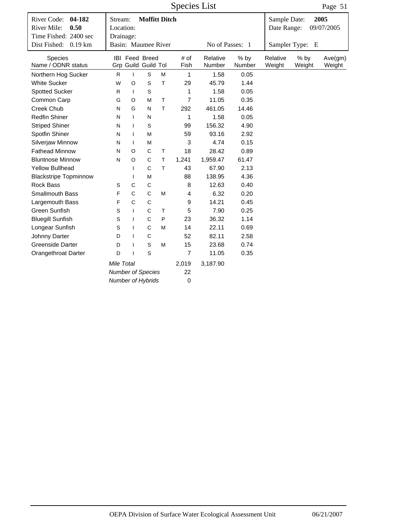| River Code:<br>04-182                | Stream:     |                                              | <b>Moffitt Ditch</b> |              |                | Sample Date:<br>2005 |                  |                    |                  |                   |
|--------------------------------------|-------------|----------------------------------------------|----------------------|--------------|----------------|----------------------|------------------|--------------------|------------------|-------------------|
| River Mile:<br>0.50                  | Location:   |                                              |                      |              |                |                      |                  | Date Range:        |                  | 09/07/2005        |
| Time Fished: 2400 sec                |             | Drainage:                                    |                      |              |                |                      |                  |                    |                  |                   |
| Dist Fished: 0.19 km                 |             | Basin: Maumee River                          |                      |              |                | No of Passes: 1      |                  | Sampler Type:<br>E |                  |                   |
| <b>Species</b><br>Name / ODNR status |             | <b>IBI</b> Feed Breed<br>Grp Guild Guild Tol |                      |              | # of<br>Fish   | Relative<br>Number   | $%$ by<br>Number | Relative<br>Weight | $%$ by<br>Weight | Ave(gm)<br>Weight |
| Northern Hog Sucker                  | R           | $\mathbf{I}$                                 | $\mathsf S$          | M            | 1              | 1.58                 | 0.05             |                    |                  |                   |
| <b>White Sucker</b>                  | W           | O                                            | $\mathsf S$          | T            | 29             | 45.79                | 1.44             |                    |                  |                   |
| <b>Spotted Sucker</b>                | R           | $\mathbf{I}$                                 | $\mathsf S$          |              | 1              | 1.58                 | 0.05             |                    |                  |                   |
| Common Carp                          | G           | O                                            | M                    | $\mathsf{T}$ | $\overline{7}$ | 11.05                | 0.35             |                    |                  |                   |
| Creek Chub                           | N           | G                                            | N                    | T.           | 292            | 461.05               | 14.46            |                    |                  |                   |
| Redfin Shiner                        | N           | $\overline{1}$                               | ${\sf N}$            |              | 1              | 1.58                 | 0.05             |                    |                  |                   |
| <b>Striped Shiner</b>                | N           | $\mathbf{I}$                                 | $\mathsf S$          |              | 99             | 156.32               | 4.90             |                    |                  |                   |
| Spotfin Shiner                       | N           | $\mathbf{I}$                                 | M                    |              | 59             | 93.16                | 2.92             |                    |                  |                   |
| Silverjaw Minnow                     | N           | $\mathbf{I}$                                 | M                    |              | 3              | 4.74                 | 0.15             |                    |                  |                   |
| <b>Fathead Minnow</b>                | N           | O                                            | $\mathsf C$          | T            | 18             | 28.42                | 0.89             |                    |                  |                   |
| <b>Bluntnose Minnow</b>              | N           | O                                            | C                    | T.           | 1,241          | 1,959.47             | 61.47            |                    |                  |                   |
| <b>Yellow Bullhead</b>               |             | $\mathbf{I}$                                 | $\mathsf C$          | T.           | 43             | 67.90                | 2.13             |                    |                  |                   |
| <b>Blackstripe Topminnow</b>         |             | $\mathbf{I}$                                 | M                    |              | 88             | 138.95               | 4.36             |                    |                  |                   |
| <b>Rock Bass</b>                     | S           | $\mathsf C$                                  | $\mathsf C$          |              | 8              | 12.63                | 0.40             |                    |                  |                   |
| Smallmouth Bass                      | F           | $\mathsf C$                                  | $\mathsf C$          | M            | 4              | 6.32                 | 0.20             |                    |                  |                   |
| Largemouth Bass                      | F           | $\mathsf C$                                  | $\mathsf C$          |              | 9              | 14.21                | 0.45             |                    |                  |                   |
| Green Sunfish                        | S           | $\overline{\phantom{a}}$                     | C                    | T            | 5              | 7.90                 | 0.25             |                    |                  |                   |
| <b>Bluegill Sunfish</b>              | S           | $\overline{1}$                               | $\mathsf{C}$         | P            | 23             | 36.32                | 1.14             |                    |                  |                   |
| Longear Sunfish                      | $\mathsf S$ | $\mathbf{I}$                                 | $\mathbf C$          | M            | 14             | 22.11                | 0.69             |                    |                  |                   |
| Johnny Darter                        | D           | $\overline{1}$                               | $\mathsf C$          |              | 52             | 82.11                | 2.58             |                    |                  |                   |
| Greenside Darter                     | D           | $\overline{1}$                               | $\mathsf S$          | M            | 15             | 23.68                | 0.74             |                    |                  |                   |
| Orangethroat Darter                  | D           | $\overline{\phantom{a}}$                     | S                    |              | $\overline{7}$ | 11.05                | 0.35             |                    |                  |                   |
|                                      | Mile Total  |                                              |                      |              | 2,019          | 3,187.90             |                  |                    |                  |                   |
|                                      |             | <b>Number of Species</b>                     |                      |              | 22             |                      |                  |                    |                  |                   |
|                                      |             | Number of Hybrids                            |                      |              | 0              |                      |                  |                    |                  |                   |
|                                      |             |                                              |                      |              |                |                      |                  |                    |                  |                   |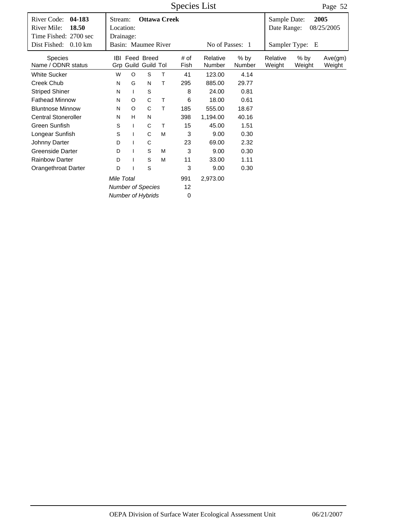| ш<br>-40 |  |
|----------|--|
|----------|--|

| River Code:<br>04-183<br>River Mile:<br>18.50<br>Time Fished: 2700 sec | Stream:<br>Location:<br>Drainage:                           |                                              | <b>Ottawa Creek</b> |   |                |                    |                  | Sample Date:<br>Date Range: |                  | 2005<br>08/25/2005 |
|------------------------------------------------------------------------|-------------------------------------------------------------|----------------------------------------------|---------------------|---|----------------|--------------------|------------------|-----------------------------|------------------|--------------------|
| Dist Fished: 0.10 km                                                   |                                                             | Basin: Maumee River                          |                     |   |                | No of Passes: 1    |                  |                             | Sampler Type: E  |                    |
| <b>Species</b><br>Name / ODNR status                                   |                                                             | <b>IBI Feed Breed</b><br>Grp Guild Guild Tol |                     |   | # of<br>Fish   | Relative<br>Number | $%$ by<br>Number | Relative<br>Weight          | $%$ by<br>Weight | Ave(gm)<br>Weight  |
| <b>White Sucker</b>                                                    | W                                                           | $\circ$                                      | S                   | Τ | 41             | 123.00             | 4.14             |                             |                  |                    |
| Creek Chub                                                             | N                                                           | G                                            | N                   | т | 295            | 885.00             | 29.77            |                             |                  |                    |
| <b>Striped Shiner</b>                                                  | N                                                           | $\mathbf{I}$                                 | S                   |   | 8              | 24.00              | 0.81             |                             |                  |                    |
| <b>Fathead Minnow</b>                                                  | N                                                           | $\circ$                                      | C                   | т | 6              | 18.00              | 0.61             |                             |                  |                    |
| <b>Bluntnose Minnow</b>                                                | N                                                           | $\circ$                                      | C                   | Т | 185            | 555.00             | 18.67            |                             |                  |                    |
| <b>Central Stoneroller</b>                                             | N                                                           | H                                            | N                   |   | 398            | 1,194.00           | 40.16            |                             |                  |                    |
| Green Sunfish                                                          | S                                                           | $\mathbf{I}$                                 | C                   | т | 15             | 45.00              | 1.51             |                             |                  |                    |
| Longear Sunfish                                                        | S                                                           | $\mathbf{I}$                                 | C                   | M | 3              | 9.00               | 0.30             |                             |                  |                    |
| Johnny Darter                                                          | D                                                           | $\mathbf{I}$                                 | C                   |   | 23             | 69.00              | 2.32             |                             |                  |                    |
| Greenside Darter                                                       | D                                                           | $\mathbf{I}$                                 | S                   | M | 3              | 9.00               | 0.30             |                             |                  |                    |
| <b>Rainbow Darter</b>                                                  | D                                                           |                                              | S                   | M | 11             | 33.00              | 1.11             |                             |                  |                    |
| Orangethroat Darter                                                    | D                                                           |                                              | S                   |   | 3              | 9.00               | 0.30             |                             |                  |                    |
|                                                                        | Mile Total<br><b>Number of Species</b><br>Number of Hybrids |                                              |                     |   | 991<br>12<br>0 | 2,973.00           |                  |                             |                  |                    |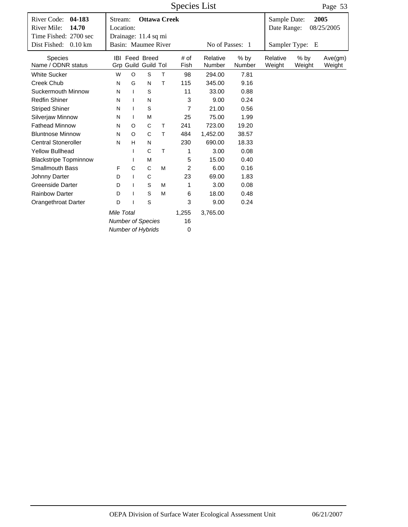| тc<br>и٠ |  |
|----------|--|
|          |  |

| River Code:<br>04-183        | Stream:    |              | <b>Ottawa Creek</b>      |   |                |          |                 | Sample Date: |                 | 2005       |  |
|------------------------------|------------|--------------|--------------------------|---|----------------|----------|-----------------|--------------|-----------------|------------|--|
| River Mile:<br>14.70         | Location:  |              |                          |   |                |          |                 | Date Range:  |                 | 08/25/2005 |  |
| Time Fished: 2700 sec        |            |              | Drainage: 11.4 sq mi     |   |                |          |                 |              |                 |            |  |
| Dist Fished: 0.10 km         |            |              | Basin: Maumee River      |   |                |          | No of Passes: 1 |              | Sampler Type: E |            |  |
| Species                      |            |              | <b>IBI Feed Breed</b>    |   | # of           | Relative | % by            | Relative     | % by            | Ave(gm)    |  |
| Name / ODNR status           |            |              | Grp Guild Guild Tol      |   | Fish           | Number   | Number          | Weight       | Weight          | Weight     |  |
| <b>White Sucker</b>          | W          | O            | S                        | Τ | 98             | 294.00   | 7.81            |              |                 |            |  |
| <b>Creek Chub</b>            | N          | G            | N                        | T | 115            | 345.00   | 9.16            |              |                 |            |  |
| Suckermouth Minnow           | N          |              | S                        |   | 11             | 33.00    | 0.88            |              |                 |            |  |
| <b>Redfin Shiner</b>         | N          |              | N                        |   | 3              | 9.00     | 0.24            |              |                 |            |  |
| <b>Striped Shiner</b>        | N          |              | S                        |   | 7              | 21.00    | 0.56            |              |                 |            |  |
| Silverjaw Minnow             | N          | I            | M                        |   | 25             | 75.00    | 1.99            |              |                 |            |  |
| <b>Fathead Minnow</b>        | N          | O            | C                        | T | 241            | 723.00   | 19.20           |              |                 |            |  |
| <b>Bluntnose Minnow</b>      | N          | $\circ$      | C                        | Τ | 484            | 1,452.00 | 38.57           |              |                 |            |  |
| <b>Central Stoneroller</b>   | N          | H            | N                        |   | 230            | 690.00   | 18.33           |              |                 |            |  |
| <b>Yellow Bullhead</b>       |            |              | C                        | T | 1              | 3.00     | 0.08            |              |                 |            |  |
| <b>Blackstripe Topminnow</b> |            | ı            | M                        |   | 5              | 15.00    | 0.40            |              |                 |            |  |
| <b>Smallmouth Bass</b>       | F          | $\mathsf{C}$ | $\mathbf C$              | M | $\overline{c}$ | 6.00     | 0.16            |              |                 |            |  |
| Johnny Darter                | D          | $\mathbf{I}$ | C                        |   | 23             | 69.00    | 1.83            |              |                 |            |  |
| <b>Greenside Darter</b>      | D          | I            | S                        | M | 1              | 3.00     | 0.08            |              |                 |            |  |
| <b>Rainbow Darter</b>        | D          |              | S                        | м | 6              | 18.00    | 0.48            |              |                 |            |  |
| Orangethroat Darter          | D          |              | $\mathsf S$              |   | 3              | 9.00     | 0.24            |              |                 |            |  |
|                              | Mile Total |              |                          |   | 1,255          | 3,765.00 |                 |              |                 |            |  |
|                              |            |              | Number of Species        |   | 16             |          |                 |              |                 |            |  |
|                              |            |              | <b>Number of Hybrids</b> |   | 0              |          |                 |              |                 |            |  |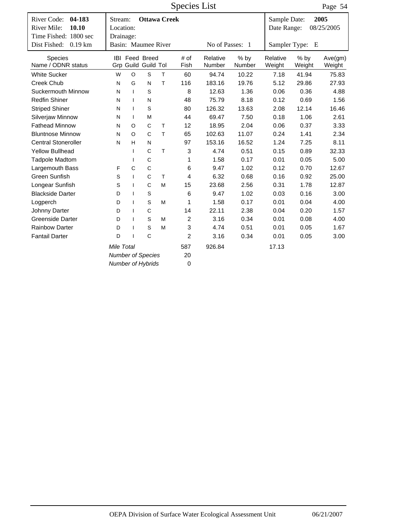|                                               |                      |              |                          |    |                |                                                   |        |               |        | $\cdots$ |
|-----------------------------------------------|----------------------|--------------|--------------------------|----|----------------|---------------------------------------------------|--------|---------------|--------|----------|
| River Code:<br>04-183<br>River Mile:<br>10.10 | Stream:<br>Location: |              | <b>Ottawa Creek</b>      |    |                | 2005<br>Sample Date:<br>Date Range:<br>08/25/2005 |        |               |        |          |
| Time Fished: 1800 sec                         | Drainage:            |              |                          |    |                |                                                   |        |               |        |          |
| Dist Fished: 0.19 km                          |                      |              | Basin: Maumee River      |    |                | No of Passes: 1                                   |        | Sampler Type: | E      |          |
| Species                                       |                      |              | <b>IBI Feed Breed</b>    |    | # of           | Relative                                          | % by   | Relative      | $%$ by | Ave(gm)  |
| Name / ODNR status                            |                      |              | Grp Guild Guild Tol      |    | Fish           | Number                                            | Number | Weight        | Weight | Weight   |
| <b>White Sucker</b>                           | W                    | $\circ$      | S                        | T. | 60             | 94.74                                             | 10.22  | 7.18          | 41.94  | 75.83    |
| Creek Chub                                    | N                    | G            | ${\sf N}$                | T. | 116            | 183.16                                            | 19.76  | 5.12          | 29.86  | 27.93    |
| Suckermouth Minnow                            | ${\sf N}$            | $\mathbf{I}$ | S                        |    | 8              | 12.63                                             | 1.36   | 0.06          | 0.36   | 4.88     |
| <b>Redfin Shiner</b>                          | N                    | $\mathbf{I}$ | ${\sf N}$                |    | 48             | 75.79                                             | 8.18   | 0.12          | 0.69   | 1.56     |
| <b>Striped Shiner</b>                         | N                    | $\mathbf{I}$ | S                        |    | 80             | 126.32                                            | 13.63  | 2.08          | 12.14  | 16.46    |
| Silverjaw Minnow                              | N                    | $\mathbf{I}$ | M                        |    | 44             | 69.47                                             | 7.50   | 0.18          | 1.06   | 2.61     |
| <b>Fathead Minnow</b>                         | N                    | $\circ$      | $\mathsf C$              | T  | 12             | 18.95                                             | 2.04   | 0.06          | 0.37   | 3.33     |
| <b>Bluntnose Minnow</b>                       | N                    | $\circ$      | $\mathsf{C}$             | T. | 65             | 102.63                                            | 11.07  | 0.24          | 1.41   | 2.34     |
| <b>Central Stoneroller</b>                    | N                    | H            | N                        |    | 97             | 153.16                                            | 16.52  | 1.24          | 7.25   | 8.11     |
| <b>Yellow Bullhead</b>                        |                      | L            | C                        | T  | 3              | 4.74                                              | 0.51   | 0.15          | 0.89   | 32.33    |
| <b>Tadpole Madtom</b>                         |                      | T            | $\mathbf C$              |    | 1              | 1.58                                              | 0.17   | 0.01          | 0.05   | 5.00     |
| Largemouth Bass                               | F                    | $\mathbf C$  | $\mathsf C$              |    | 6              | 9.47                                              | 1.02   | 0.12          | 0.70   | 12.67    |
| Green Sunfish                                 | S                    | $\mathbf{I}$ | $\mathsf{C}$             | T  | $\overline{4}$ | 6.32                                              | 0.68   | 0.16          | 0.92   | 25.00    |
| Longear Sunfish                               | S                    | $\mathbf{I}$ | C                        | M  | 15             | 23.68                                             | 2.56   | 0.31          | 1.78   | 12.87    |
| <b>Blackside Darter</b>                       | D                    | $\mathbf{I}$ | S                        |    | 6              | 9.47                                              | 1.02   | 0.03          | 0.16   | 3.00     |
| Logperch                                      | D                    | $\mathbf{I}$ | S                        | M  | 1              | 1.58                                              | 0.17   | 0.01          | 0.04   | 4.00     |
| Johnny Darter                                 | D                    | $\mathbf{I}$ | $\mathsf{C}$             |    | 14             | 22.11                                             | 2.38   | 0.04          | 0.20   | 1.57     |
| Greenside Darter                              | D                    | $\mathbf{I}$ | S                        | M  | $\overline{c}$ | 3.16                                              | 0.34   | 0.01          | 0.08   | 4.00     |
| <b>Rainbow Darter</b>                         | D                    | $\mathbf{I}$ | S                        | M  | 3              | 4.74                                              | 0.51   | 0.01          | 0.05   | 1.67     |
| <b>Fantail Darter</b>                         | D                    | $\mathbf{I}$ | $\mathsf C$              |    | $\overline{2}$ | 3.16                                              | 0.34   | 0.01          | 0.05   | 3.00     |
|                                               | Mile Total           |              |                          |    | 587            | 926.84                                            |        | 17.13         |        |          |
|                                               |                      |              | <b>Number of Species</b> |    | 20             |                                                   |        |               |        |          |
|                                               |                      |              | Number of Hybrids        |    | $\mathbf 0$    |                                                   |        |               |        |          |
|                                               |                      |              |                          |    |                |                                                   |        |               |        |          |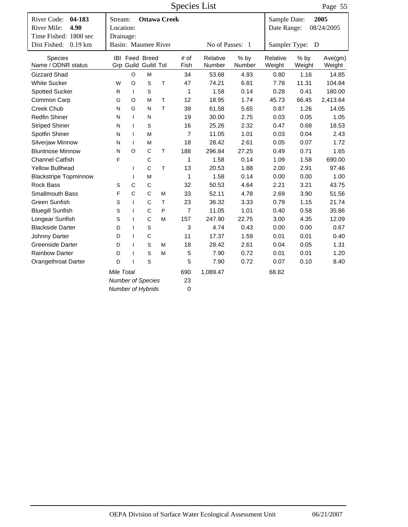|                                      |                                |                          |                                       |              | $\sim$ posses and |                    |                |                    |                      | $1 \, \mathrm{u}_\mathcal{S}$ $\mathcal{C}$ |  |  |
|--------------------------------------|--------------------------------|--------------------------|---------------------------------------|--------------|-------------------|--------------------|----------------|--------------------|----------------------|---------------------------------------------|--|--|
| River Code:<br>04-183                | <b>Ottawa Creek</b><br>Stream: |                          |                                       |              |                   |                    |                |                    | 2005<br>Sample Date: |                                             |  |  |
| River Mile:<br>4.90                  | Location:                      |                          |                                       |              | Date Range:       |                    | 08/24/2005     |                    |                      |                                             |  |  |
| Time Fished: 1800 sec                | Drainage:                      |                          |                                       |              |                   |                    |                |                    |                      |                                             |  |  |
| Dist Fished: 0.19 km                 |                                |                          | Basin: Maumee River                   |              |                   | No of Passes: 1    |                |                    | Sampler Type:<br>D   |                                             |  |  |
| <b>Species</b><br>Name / ODNR status |                                |                          | IBI Feed Breed<br>Grp Guild Guild Tol |              | # of<br>Fish      | Relative<br>Number | % by<br>Number | Relative<br>Weight | % by<br>Weight       | Ave(gm)<br>Weight                           |  |  |
| <b>Gizzard Shad</b>                  |                                | O                        | M                                     |              | 34                | 53.68              | 4.93           | 0.80               | 1.16                 | 14.85                                       |  |  |
| <b>White Sucker</b>                  | W                              | $\circ$                  | $\mathsf S$                           | $\mathsf T$  | 47                | 74.21              | 6.81           | 7.78               | 11.31                | 104.84                                      |  |  |
| <b>Spotted Sucker</b>                | $\mathsf{R}$                   | $\mathbf{I}$             | S                                     |              | 1                 | 1.58               | 0.14           | 0.28               | 0.41                 | 180.00                                      |  |  |
| Common Carp                          | G                              | O                        | M                                     | T            | 12                | 18.95              | 1.74           | 45.73              | 66.45                | 2,413.64                                    |  |  |
| <b>Creek Chub</b>                    | N                              | G                        | N                                     | $\mathsf{T}$ | 39                | 61.58              | 5.65           | 0.87               | 1.26                 | 14.05                                       |  |  |
| <b>Redfin Shiner</b>                 | N                              | $\mathbf{I}$             | N                                     |              | 19                | 30.00              | 2.75           | 0.03               | 0.05                 | 1.05                                        |  |  |
| <b>Striped Shiner</b>                | ${\sf N}$                      | $\overline{\phantom{a}}$ | S                                     |              | 16                | 25.26              | 2.32           | 0.47               | 0.68                 | 18.53                                       |  |  |
| Spotfin Shiner                       | N                              | $\mathbf{I}$             | M                                     |              | $\overline{7}$    | 11.05              | 1.01           | 0.03               | 0.04                 | 2.43                                        |  |  |
| Silverjaw Minnow                     | ${\sf N}$                      | $\mathbf{I}$             | M                                     |              | 18                | 28.42              | 2.61           | 0.05               | 0.07                 | 1.72                                        |  |  |
| <b>Bluntnose Minnow</b>              | N                              | $\Omega$                 | C                                     | $\mathsf{T}$ | 188               | 296.84             | 27.25          | 0.49               | 0.71                 | 1.65                                        |  |  |
| <b>Channel Catfish</b>               | F                              |                          | C                                     |              | 1                 | 1.58               | 0.14           | 1.09               | 1.58                 | 690.00                                      |  |  |
| <b>Yellow Bullhead</b>               |                                | $\mathsf{I}$             | C                                     | $\mathsf{T}$ | 13                | 20.53              | 1.88           | 2.00               | 2.91                 | 97.46                                       |  |  |
| <b>Blackstripe Topminnow</b>         |                                | $\mathbf{I}$             | M                                     |              | 1                 | 1.58               | 0.14           | 0.00               | 0.00                 | 1.00                                        |  |  |
| Rock Bass                            | S                              | $\mathsf C$              | $\mathsf C$                           |              | 32                | 50.53              | 4.64           | 2.21               | 3.21                 | 43.75                                       |  |  |
| Smallmouth Bass                      | F                              | C                        | C                                     | M            | 33                | 52.11              | 4.78           | 2.69               | 3.90                 | 51.56                                       |  |  |
| Green Sunfish                        | S                              | $\mathbf{I}$             | C                                     | T            | 23                | 36.32              | 3.33           | 0.79               | 1.15                 | 21.74                                       |  |  |
| <b>Bluegill Sunfish</b>              | S                              | $\mathbf{I}$             | C                                     | $\mathsf{P}$ | $\overline{7}$    | 11.05              | 1.01           | 0.40               | 0.58                 | 35.86                                       |  |  |
| Longear Sunfish                      | S                              | $\mathbf{I}$             | C                                     | M            | 157               | 247.90             | 22.75          | 3.00               | 4.35                 | 12.09                                       |  |  |
| <b>Blackside Darter</b>              | D                              | $\mathbf{I}$             | $\mathsf S$                           |              | 3                 | 4.74               | 0.43           | 0.00               | 0.00                 | 0.67                                        |  |  |
| Johnny Darter                        | D                              | $\mathbf{I}$             | C                                     |              | 11                | 17.37              | 1.59           | 0.01               | 0.01                 | 0.40                                        |  |  |
| Greenside Darter                     | D                              | $\mathbf{I}$             | $\mathbb S$                           | M            | 18                | 28.42              | 2.61           | 0.04               | 0.05                 | 1.31                                        |  |  |
| <b>Rainbow Darter</b>                | D                              | $\mathbf{I}$             | $\mathsf S$                           | M            | 5                 | 7.90               | 0.72           | 0.01               | 0.01                 | 1.20                                        |  |  |
| Orangethroat Darter                  | D                              | $\overline{1}$           | $\mathsf S$                           |              | 5                 | 7.90               | 0.72           | 0.07               | 0.10                 | 8.40                                        |  |  |
|                                      | Mile Total                     |                          |                                       |              | 690               | 1,089.47           |                | 68.82              |                      |                                             |  |  |
|                                      |                                |                          | <b>Number of Species</b>              |              | 23                |                    |                |                    |                      |                                             |  |  |
|                                      |                                |                          | <b>Number of Hybrids</b>              |              | $\mathbf 0$       |                    |                |                    |                      |                                             |  |  |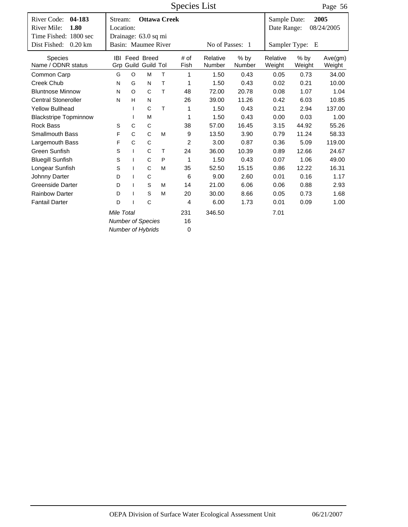|                                                                       |                      |              |                                              |              |              | $- - - - -$        |                  |                             |                  | $\log 20$          |
|-----------------------------------------------------------------------|----------------------|--------------|----------------------------------------------|--------------|--------------|--------------------|------------------|-----------------------------|------------------|--------------------|
| River Code:<br>04-183<br>River Mile:<br>1.80<br>Time Fished: 1800 sec | Stream:<br>Location: |              | <b>Ottawa Creek</b><br>Drainage: 63.0 sq mi  |              |              |                    |                  | Sample Date:<br>Date Range: |                  | 2005<br>08/24/2005 |
| Dist Fished:<br>$0.20 \mathrm{km}$                                    |                      |              | Basin: Maumee River                          |              |              | No of Passes: 1    |                  | Sampler Type:               | E                |                    |
| <b>Species</b><br>Name / ODNR status                                  |                      |              | <b>IBI</b> Feed Breed<br>Grp Guild Guild Tol |              | # of<br>Fish | Relative<br>Number | $%$ by<br>Number | Relative<br>Weight          | $%$ by<br>Weight | Ave(gm)<br>Weight  |
| Common Carp                                                           | G                    | $\circ$      | M                                            | $\mathsf{T}$ | 1            | 1.50               | 0.43             | 0.05                        | 0.73             | 34.00              |
| Creek Chub                                                            | N                    | G            | N                                            | $\top$       | 1            | 1.50               | 0.43             | 0.02                        | 0.21             | 10.00              |
| <b>Bluntnose Minnow</b>                                               | N                    | O            | C                                            | T            | 48           | 72.00              | 20.78            | 0.08                        | 1.07             | 1.04               |
| <b>Central Stoneroller</b>                                            | N                    | H            | N                                            |              | 26           | 39.00              | 11.26            | 0.42                        | 6.03             | 10.85              |
| <b>Yellow Bullhead</b>                                                |                      |              | C                                            | Τ            | 1            | 1.50               | 0.43             | 0.21                        | 2.94             | 137.00             |
| <b>Blackstripe Topminnow</b>                                          |                      | $\mathbf{I}$ | M                                            |              | 1            | 1.50               | 0.43             | 0.00                        | 0.03             | 1.00               |
| <b>Rock Bass</b>                                                      | S                    | C            | C                                            |              | 38           | 57.00              | 16.45            | 3.15                        | 44.92            | 55.26              |
| <b>Smallmouth Bass</b>                                                | F                    | C            | C                                            | M            | 9            | 13.50              | 3.90             | 0.79                        | 11.24            | 58.33              |
| Largemouth Bass                                                       | F                    | C            | C                                            |              | 2            | 3.00               | 0.87             | 0.36                        | 5.09             | 119.00             |
| Green Sunfish                                                         | S                    | $\mathbf{I}$ | C                                            | т            | 24           | 36.00              | 10.39            | 0.89                        | 12.66            | 24.67              |
| <b>Bluegill Sunfish</b>                                               | S                    | $\mathbf{I}$ | C                                            | P            | 1            | 1.50               | 0.43             | 0.07                        | 1.06             | 49.00              |
| Longear Sunfish                                                       | S                    | $\mathbf{I}$ | C                                            | M            | 35           | 52.50              | 15.15            | 0.86                        | 12.22            | 16.31              |
| <b>Johnny Darter</b>                                                  | D                    | $\mathbf{I}$ | C                                            |              | 6            | 9.00               | 2.60             | 0.01                        | 0.16             | 1.17               |
| Greenside Darter                                                      | D                    | $\mathbf{I}$ | S                                            | M            | 14           | 21.00              | 6.06             | 0.06                        | 0.88             | 2.93               |
| <b>Rainbow Darter</b>                                                 | D                    | $\mathbf{I}$ | $\mathsf S$                                  | M            | 20           | 30.00              | 8.66             | 0.05                        | 0.73             | 1.68               |
| <b>Fantail Darter</b>                                                 | D                    |              | C                                            |              | 4            | 6.00               | 1.73             | 0.01                        | 0.09             | 1.00               |
|                                                                       | Mile Total           |              |                                              |              | 231          | 346.50             |                  | 7.01                        |                  |                    |
|                                                                       |                      |              | <b>Number of Species</b>                     |              | 16           |                    |                  |                             |                  |                    |
|                                                                       |                      |              | <b>Number of Hybrids</b>                     |              | 0            |                    |                  |                             |                  |                    |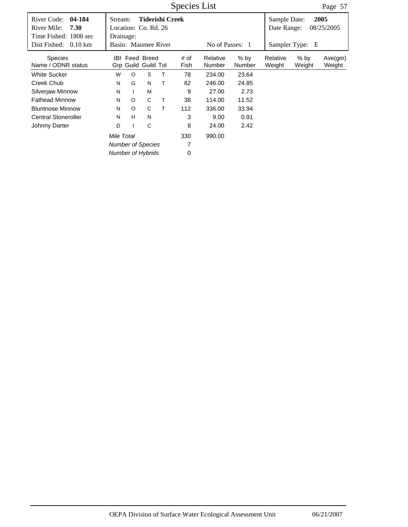| River Code:<br>04-184<br>7.30<br>River Mile:<br>Time Fished: 1800 sec | Stream:<br>Drainage:     |              | <b>Tiderishi Creek</b><br>Location: Co. Rd. 26 |   |              |                    |                  | Sample Date:<br>Date Range: |                 | 2005<br>08/25/2005 |  |
|-----------------------------------------------------------------------|--------------------------|--------------|------------------------------------------------|---|--------------|--------------------|------------------|-----------------------------|-----------------|--------------------|--|
| Dist Fished:<br>$0.10 \mathrm{km}$                                    |                          |              | Basin: Maumee River                            |   |              | No of Passes: 1    |                  |                             | Sampler Type: E |                    |  |
| <b>Species</b><br>Name / ODNR status                                  | IBL                      |              | Feed Breed<br>Grp Guild Guild Tol              |   | # of<br>Fish | Relative<br>Number | $%$ by<br>Number | Relative<br>Weight          | % by<br>Weight  | Ave(gm)<br>Weight  |  |
| <b>White Sucker</b>                                                   | W                        | $\circ$      | S                                              | т | 78           | 234.00             | 23.64            |                             |                 |                    |  |
| Creek Chub                                                            | N                        | G            | N                                              | т | 82           | 246.00             | 24.85            |                             |                 |                    |  |
| Silverjaw Minnow                                                      | N                        | $\mathbf{I}$ | M                                              |   | 9            | 27.00              | 2.73             |                             |                 |                    |  |
| <b>Fathead Minnow</b>                                                 | N                        | $\circ$      | C                                              | т | 38           | 114.00             | 11.52            |                             |                 |                    |  |
| <b>Bluntnose Minnow</b>                                               | N                        | $\circ$      | C                                              | т | 112          | 336.00             | 33.94            |                             |                 |                    |  |
| <b>Central Stoneroller</b>                                            | N                        | H            | N                                              |   | 3            | 9.00               | 0.91             |                             |                 |                    |  |
| Johnny Darter                                                         | D                        |              | С                                              |   | 8            | 24.00              | 2.42             |                             |                 |                    |  |
|                                                                       | Mile Total               |              |                                                |   | 330          | 990.00             |                  |                             |                 |                    |  |
|                                                                       | <b>Number of Species</b> |              |                                                |   | 7            |                    |                  |                             |                 |                    |  |
|                                                                       | Number of Hybrids        |              |                                                |   | 0            |                    |                  |                             |                 |                    |  |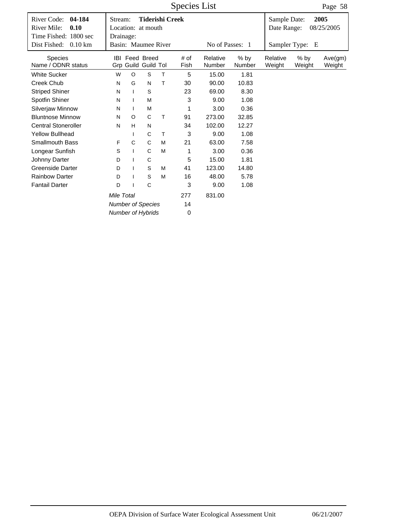| Page | ٦ |
|------|---|
|      |   |

| River Code:<br>04-184              | Stream:    |                          | <b>Tiderishi Creek</b> |   |             |                 |            | Sample Date: |                 | 2005    |
|------------------------------------|------------|--------------------------|------------------------|---|-------------|-----------------|------------|--------------|-----------------|---------|
| River Mile:<br>0.10                |            | Location: at mouth       |                        |   | Date Range: |                 | 08/25/2005 |              |                 |         |
| Time Fished: 1800 sec              | Drainage:  |                          |                        |   |             |                 |            |              |                 |         |
| Dist Fished:<br>$0.10 \mathrm{km}$ |            | Basin: Maumee River      |                        |   |             | No of Passes: 1 |            |              | Sampler Type: E |         |
| Species                            |            | <b>IBI</b> Feed Breed    |                        |   | # of        | Relative        | $%$ by     | Relative     | $%$ by          | Ave(gm) |
| Name / ODNR status                 |            | Grp Guild Guild Tol      |                        |   | Fish        | Number          | Number     | Weight       | Weight          | Weight  |
| <b>White Sucker</b>                | W          | $\circ$                  | S                      | т | 5           | 15.00           | 1.81       |              |                 |         |
| Creek Chub                         | N          | G                        | N                      | т | 30          | 90.00           | 10.83      |              |                 |         |
| <b>Striped Shiner</b>              | N          | I                        | S                      |   | 23          | 69.00           | 8.30       |              |                 |         |
| Spotfin Shiner                     | N          | ı                        | М                      |   | 3           | 9.00            | 1.08       |              |                 |         |
| Silverjaw Minnow                   | N          |                          | М                      |   | 1           | 3.00            | 0.36       |              |                 |         |
| <b>Bluntnose Minnow</b>            | N          | O                        | C                      | T | 91          | 273.00          | 32.85      |              |                 |         |
| <b>Central Stoneroller</b>         | N          | H                        | N                      |   | 34          | 102.00          | 12.27      |              |                 |         |
| <b>Yellow Bullhead</b>             |            | $\mathbf{I}$             | C                      | т | 3           | 9.00            | 1.08       |              |                 |         |
| <b>Smallmouth Bass</b>             | F          | C                        | C                      | M | 21          | 63.00           | 7.58       |              |                 |         |
| Longear Sunfish                    | S          | $\mathsf{I}$             | C                      | M | 1           | 3.00            | 0.36       |              |                 |         |
| Johnny Darter                      | D          | $\mathsf{I}$             | C                      |   | 5           | 15.00           | 1.81       |              |                 |         |
| <b>Greenside Darter</b>            | D          | $\mathbf{I}$             | S                      | M | 41          | 123.00          | 14.80      |              |                 |         |
| <b>Rainbow Darter</b>              | D          |                          | S                      | M | 16          | 48.00           | 5.78       |              |                 |         |
| <b>Fantail Darter</b>              | D          |                          | $\mathsf C$            |   | 3           | 9.00            | 1.08       |              |                 |         |
|                                    | Mile Total |                          |                        |   | 277         | 831.00          |            |              |                 |         |
|                                    |            | <b>Number of Species</b> |                        |   | 14          |                 |            |              |                 |         |
|                                    |            | <b>Number of Hybrids</b> |                        |   | 0           |                 |            |              |                 |         |
|                                    |            |                          |                        |   |             |                 |            |              |                 |         |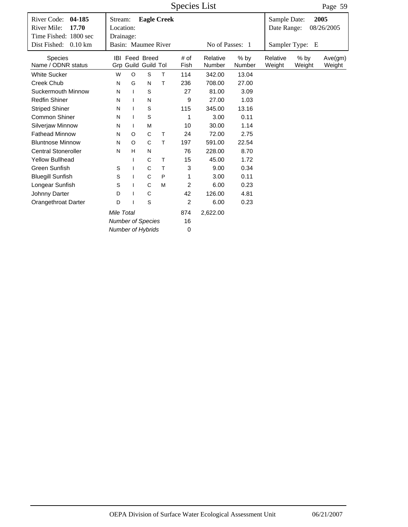| Ю.<br>-age |  |
|------------|--|
|            |  |

|                                               |                      |                                              |              |                    | Τ.           |                    |                  |                             |                  |                    |
|-----------------------------------------------|----------------------|----------------------------------------------|--------------|--------------------|--------------|--------------------|------------------|-----------------------------|------------------|--------------------|
| River Code:<br>04-185<br>River Mile:<br>17.70 | Stream:<br>Location: |                                              |              | <b>Eagle Creek</b> |              |                    |                  | Sample Date:<br>Date Range: |                  | 2005<br>08/26/2005 |
| Time Fished: 1800 sec                         | Drainage:            |                                              |              |                    |              |                    |                  |                             |                  |                    |
| Dist Fished: 0.10 km                          |                      | Basin: Maumee River                          |              |                    |              | No of Passes: 1    |                  |                             | Sampler Type: E  |                    |
| <b>Species</b><br>Name / ODNR status          |                      | <b>IBI Feed Breed</b><br>Grp Guild Guild Tol |              |                    | # of<br>Fish | Relative<br>Number | $%$ by<br>Number | Relative<br>Weight          | $%$ by<br>Weight | Ave(gm)<br>Weight  |
| <b>White Sucker</b>                           | W                    | $\circ$                                      | S            | $\top$             | 114          | 342.00             | 13.04            |                             |                  |                    |
| <b>Creek Chub</b>                             | N                    | G                                            | N            | Т                  | 236          | 708.00             | 27.00            |                             |                  |                    |
| <b>Suckermouth Minnow</b>                     | N                    | I                                            | S            |                    | 27           | 81.00              | 3.09             |                             |                  |                    |
| <b>Redfin Shiner</b>                          | N                    | I                                            | N            |                    | 9            | 27.00              | 1.03             |                             |                  |                    |
| <b>Striped Shiner</b>                         | N                    | I                                            | S            |                    | 115          | 345.00             | 13.16            |                             |                  |                    |
| Common Shiner                                 | N                    | I                                            | S            |                    | 1            | 3.00               | 0.11             |                             |                  |                    |
| Silverjaw Minnow                              | N                    | $\mathbf{I}$                                 | M            |                    | 10           | 30.00              | 1.14             |                             |                  |                    |
| <b>Fathead Minnow</b>                         | N                    | O                                            | C            | т                  | 24           | 72.00              | 2.75             |                             |                  |                    |
| <b>Bluntnose Minnow</b>                       | N                    | $\circ$                                      | C            | T                  | 197          | 591.00             | 22.54            |                             |                  |                    |
| <b>Central Stoneroller</b>                    | N                    | H                                            | $\mathsf{N}$ |                    | 76           | 228.00             | 8.70             |                             |                  |                    |
| <b>Yellow Bullhead</b>                        |                      | I                                            | C            | T                  | 15           | 45.00              | 1.72             |                             |                  |                    |
| Green Sunfish                                 | S                    |                                              | C            | Τ                  | 3            | 9.00               | 0.34             |                             |                  |                    |
| <b>Bluegill Sunfish</b>                       | S                    |                                              | C            | P                  | 1            | 3.00               | 0.11             |                             |                  |                    |
| Longear Sunfish                               | S                    |                                              | C            | M                  | 2            | 6.00               | 0.23             |                             |                  |                    |
| Johnny Darter                                 | D                    |                                              | C            |                    | 42           | 126.00             | 4.81             |                             |                  |                    |
| Orangethroat Darter                           | D                    |                                              | S            |                    | 2            | 6.00               | 0.23             |                             |                  |                    |
|                                               | Mile Total           |                                              |              |                    | 874          | 2,622.00           |                  |                             |                  |                    |
|                                               |                      | <b>Number of Species</b>                     |              |                    | 16           |                    |                  |                             |                  |                    |
|                                               |                      | <b>Number of Hybrids</b>                     |              |                    | 0            |                    |                  |                             |                  |                    |
|                                               |                      |                                              |              |                    |              |                    |                  |                             |                  |                    |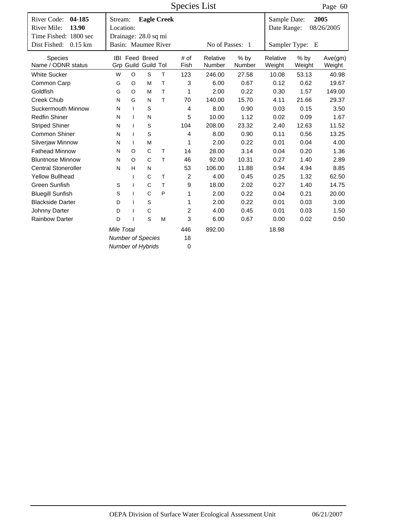| River Code:<br>04-185<br>River Mile:<br>13.90 | Stream:<br>Location: |              | <b>Eagle Creek</b>                           |   |                |                    |                | Sample Date:<br>Date Range: |                  | 2005<br>08/26/2005 |
|-----------------------------------------------|----------------------|--------------|----------------------------------------------|---|----------------|--------------------|----------------|-----------------------------|------------------|--------------------|
| Time Fished: 1800 sec                         |                      |              | Drainage: 28.0 sq mi                         |   |                |                    |                |                             |                  |                    |
| Dist Fished: 0.15 km                          |                      |              | Basin: Maumee River                          |   |                | No of Passes: 1    |                | Sampler Type:               | E                |                    |
| Species<br>Name / ODNR status                 |                      |              | <b>IBI</b> Feed Breed<br>Grp Guild Guild Tol |   | # of<br>Fish   | Relative<br>Number | % by<br>Number | Relative<br>Weight          | $%$ by<br>Weight | Ave(gm)<br>Weight  |
| <b>White Sucker</b>                           | W                    | $\circ$      | S                                            | T | 123            | 246.00             | 27.58          | 10.08                       | 53.13            | 40.98              |
| Common Carp                                   | G                    | $\circ$      | M                                            | T | 3              | 6.00               | 0.67           | 0.12                        | 0.62             | 19.67              |
| Goldfish                                      | G                    | $\circ$      | M                                            | T | 1              | 2.00               | 0.22           | 0.30                        | 1.57             | 149.00             |
| Creek Chub                                    | N                    | G            | N                                            | T | 70             | 140.00             | 15.70          | 4.11                        | 21.66            | 29.37              |
| Suckermouth Minnow                            | N                    | $\mathbf{I}$ | S                                            |   | 4              | 8.00               | 0.90           | 0.03                        | 0.15             | 3.50               |
| <b>Redfin Shiner</b>                          | N                    | $\mathbf{I}$ | N                                            |   | 5              | 10.00              | 1.12           | 0.02                        | 0.09             | 1.67               |
| <b>Striped Shiner</b>                         | N                    | $\mathbf{I}$ | S                                            |   | 104            | 208.00             | 23.32          | 2.40                        | 12.63            | 11.52              |
| Common Shiner                                 | N                    | $\mathbf{I}$ | S                                            |   | 4              | 8.00               | 0.90           | 0.11                        | 0.56             | 13.25              |
| Silverjaw Minnow                              | N                    | $\mathbf{I}$ | M                                            |   | 1              | 2.00               | 0.22           | 0.01                        | 0.04             | 4.00               |
| <b>Fathead Minnow</b>                         | N                    | $\circ$      | C                                            | T | 14             | 28.00              | 3.14           | 0.04                        | 0.20             | 1.36               |
| <b>Bluntnose Minnow</b>                       | N                    | $\circ$      | $\mathbf C$                                  | T | 46             | 92.00              | 10.31          | 0.27                        | 1.40             | 2.89               |
| <b>Central Stoneroller</b>                    | N                    | H            | N                                            |   | 53             | 106.00             | 11.88          | 0.94                        | 4.94             | 8.85               |
| <b>Yellow Bullhead</b>                        |                      | T            | C                                            | T | $\overline{c}$ | 4.00               | 0.45           | 0.25                        | 1.32             | 62.50              |
| Green Sunfish                                 | S                    | $\mathbf{I}$ | $\mathsf C$                                  | T | 9              | 18.00              | 2.02           | 0.27                        | 1.40             | 14.75              |
| <b>Bluegill Sunfish</b>                       | S                    | $\mathbf{I}$ | $\mathsf C$                                  | P | 1              | 2.00               | 0.22           | 0.04                        | 0.21             | 20.00              |
| <b>Blackside Darter</b>                       | D                    | $\mathbf{I}$ | S                                            |   | 1              | 2.00               | 0.22           | 0.01                        | 0.03             | 3.00               |
| Johnny Darter                                 | D                    | $\mathbf{I}$ | C                                            |   | 2              | 4.00               | 0.45           | 0.01                        | 0.03             | 1.50               |
| <b>Rainbow Darter</b>                         | D                    | ı            | S                                            | M | 3              | 6.00               | 0.67           | 0.00                        | 0.02             | 0.50               |
|                                               | Mile Total           |              |                                              |   | 446            | 892.00             |                | 18.98                       |                  |                    |
|                                               |                      |              | <b>Number of Species</b>                     |   | 18             |                    |                |                             |                  |                    |
|                                               |                      |              | Number of Hybrids                            |   | 0              |                    |                |                             |                  |                    |
|                                               |                      |              |                                              |   |                |                    |                |                             |                  |                    |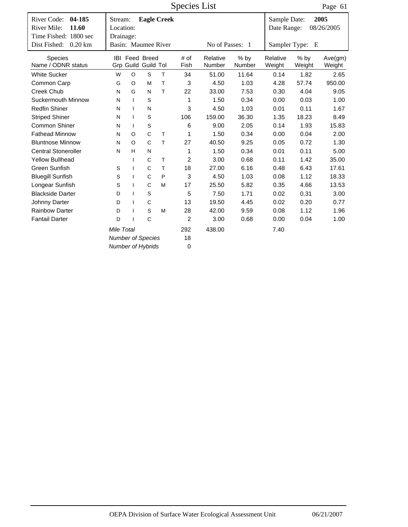| River Code:<br>04-185<br>River Mile:<br>11.60 | Stream:<br>Location: |                                              |             | <b>Eagle Creek</b> |                |                    |                | Sample Date:<br>Date Range: |                | 2005<br>08/26/2005 |
|-----------------------------------------------|----------------------|----------------------------------------------|-------------|--------------------|----------------|--------------------|----------------|-----------------------------|----------------|--------------------|
| Time Fished: 1800 sec<br>Dist Fished: 0.20 km |                      | Drainage:<br>Basin: Maumee River             |             |                    |                | No of Passes: 1    |                | Sampler Type:               | E              |                    |
|                                               |                      |                                              |             |                    |                |                    |                |                             |                |                    |
| Species<br>Name / ODNR status                 |                      | <b>IBI Feed Breed</b><br>Grp Guild Guild Tol |             |                    | # of<br>Fish   | Relative<br>Number | % by<br>Number | Relative<br>Weight          | % by<br>Weight | Ave(gm)<br>Weight  |
| <b>White Sucker</b>                           | W                    | $\circ$                                      | S           | T                  | 34             | 51.00              | 11.64          | 0.14                        | 1.82           | 2.65               |
| Common Carp                                   | G                    | $\circ$                                      | M           | $\top$             | 3              | 4.50               | 1.03           | 4.28                        | 57.74          | 950.00             |
| Creek Chub                                    | N                    | G                                            | N           | T                  | 22             | 33.00              | 7.53           | 0.30                        | 4.04           | 9.05               |
| Suckermouth Minnow                            | N                    | $\mathbf{I}$                                 | S           |                    | 1              | 1.50               | 0.34           | 0.00                        | 0.03           | 1.00               |
| <b>Redfin Shiner</b>                          | N                    | $\mathbf{I}$                                 | N           |                    | 3              | 4.50               | 1.03           | 0.01                        | 0.11           | 1.67               |
| <b>Striped Shiner</b>                         | N                    | $\mathbf{I}$                                 | S           |                    | 106            | 159.00             | 36.30          | 1.35                        | 18.23          | 8.49               |
| Common Shiner                                 | N                    | $\mathbf{I}$                                 | S           |                    | 6              | 9.00               | 2.05           | 0.14                        | 1.93           | 15.83              |
| <b>Fathead Minnow</b>                         | N                    | O                                            | $\mathsf C$ | $\top$             | 1              | 1.50               | 0.34           | 0.00                        | 0.04           | 2.00               |
| <b>Bluntnose Minnow</b>                       | N                    | $\circ$                                      | C           | T                  | 27             | 40.50              | 9.25           | 0.05                        | 0.72           | 1.30               |
| <b>Central Stoneroller</b>                    | N                    | Н                                            | N           |                    | 1              | 1.50               | 0.34           | 0.01                        | 0.11           | 5.00               |
| <b>Yellow Bullhead</b>                        |                      | $\mathsf{I}$                                 | C           | T                  | $\overline{c}$ | 3.00               | 0.68           | 0.11                        | 1.42           | 35.00              |
| Green Sunfish                                 | S                    | $\mathsf{I}$                                 | C           | T                  | 18             | 27.00              | 6.16           | 0.48                        | 6.43           | 17.61              |
| <b>Bluegill Sunfish</b>                       | S                    | $\mathbf{I}$                                 | C           | P                  | 3              | 4.50               | 1.03           | 0.08                        | 1.12           | 18.33              |
| Longear Sunfish                               | S                    | $\mathbf{I}$                                 | C           | M                  | 17             | 25.50              | 5.82           | 0.35                        | 4.66           | 13.53              |
| <b>Blackside Darter</b>                       | D                    | I                                            | $\mathsf S$ |                    | 5              | 7.50               | 1.71           | 0.02                        | 0.31           | 3.00               |
| Johnny Darter                                 | D                    | $\mathsf{l}$                                 | C           |                    | 13             | 19.50              | 4.45           | 0.02                        | 0.20           | 0.77               |
| <b>Rainbow Darter</b>                         | D                    |                                              | S           | M                  | 28             | 42.00              | 9.59           | 0.08                        | 1.12           | 1.96               |
| <b>Fantail Darter</b>                         | D                    |                                              | C           |                    | $\overline{2}$ | 3.00               | 0.68           | 0.00                        | 0.04           | 1.00               |
|                                               | Mile Total           |                                              |             |                    | 292            | 438.00             |                | 7.40                        |                |                    |
|                                               |                      | <b>Number of Species</b>                     |             |                    | 18             |                    |                |                             |                |                    |
|                                               | Number of Hybrids    |                                              |             |                    | 0              |                    |                |                             |                |                    |
|                                               |                      |                                              |             |                    |                |                    |                |                             |                |                    |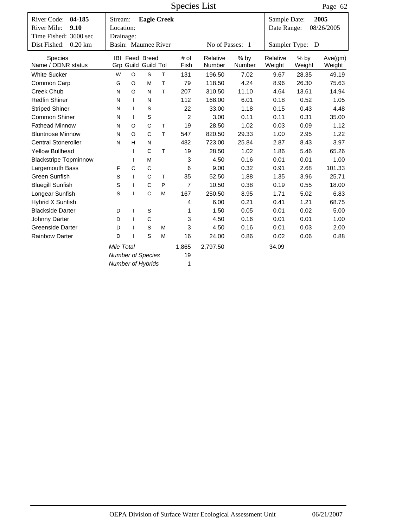|                              |                          |              |                       |    | л              |                 |        |              |                 | o          |
|------------------------------|--------------------------|--------------|-----------------------|----|----------------|-----------------|--------|--------------|-----------------|------------|
| River Code:<br>04-185        | Stream:                  |              | <b>Eagle Creek</b>    |    |                |                 |        | Sample Date: |                 | 2005       |
| River Mile:<br>9.10          | Location:                |              |                       |    |                |                 |        | Date Range:  |                 | 08/26/2005 |
| Time Fished: 3600 sec        | Drainage:                |              |                       |    |                |                 |        |              |                 |            |
| Dist Fished:<br>$0.20$ km    |                          |              | Basin: Maumee River   |    |                | No of Passes: 1 |        |              | Sampler Type: D |            |
| Species                      |                          |              | <b>IBI</b> Feed Breed |    | # of           | Relative        | % by   | Relative     | % by            | Ave(gm)    |
| Name / ODNR status           |                          |              | Grp Guild Guild Tol   |    | Fish           | Number          | Number | Weight       | Weight          | Weight     |
| <b>White Sucker</b>          | W                        | $\circ$      | S                     | T. | 131            | 196.50          | 7.02   | 9.67         | 28.35           | 49.19      |
| Common Carp                  | G                        | $\circ$      | M                     | T  | 79             | 118.50          | 4.24   | 8.96         | 26.30           | 75.63      |
| Creek Chub                   | N                        | G            | N                     | T. | 207            | 310.50          | 11.10  | 4.64         | 13.61           | 14.94      |
| <b>Redfin Shiner</b>         | N                        | $\mathbf{I}$ | N                     |    | 112            | 168.00          | 6.01   | 0.18         | 0.52            | 1.05       |
| <b>Striped Shiner</b>        | N                        | $\mathbf{I}$ | S                     |    | 22             | 33.00           | 1.18   | 0.15         | 0.43            | 4.48       |
| Common Shiner                | N                        | $\mathbf{I}$ | S                     |    | $\overline{2}$ | 3.00            | 0.11   | 0.11         | 0.31            | 35.00      |
| <b>Fathead Minnow</b>        | N                        | $\circ$      | $\mathsf{C}$          | T. | 19             | 28.50           | 1.02   | 0.03         | 0.09            | 1.12       |
| <b>Bluntnose Minnow</b>      | N                        | $\circ$      | C                     | T. | 547            | 820.50          | 29.33  | 1.00         | 2.95            | 1.22       |
| <b>Central Stoneroller</b>   | N                        | H            | N                     |    | 482            | 723.00          | 25.84  | 2.87         | 8.43            | 3.97       |
| <b>Yellow Bullhead</b>       |                          | T            | C                     | T. | 19             | 28.50           | 1.02   | 1.86         | 5.46            | 65.26      |
| <b>Blackstripe Topminnow</b> |                          | $\mathbf{I}$ | M                     |    | 3              | 4.50            | 0.16   | 0.01         | 0.01            | 1.00       |
| Largemouth Bass              | F                        | $\mathsf C$  | $\mathsf C$           |    | 6              | 9.00            | 0.32   | 0.91         | 2.68            | 101.33     |
| Green Sunfish                | S                        | $\mathbf{I}$ | C                     | T. | 35             | 52.50           | 1.88   | 1.35         | 3.96            | 25.71      |
| <b>Bluegill Sunfish</b>      | S                        | $\mathbf{I}$ | C                     | P  | $\overline{7}$ | 10.50           | 0.38   | 0.19         | 0.55            | 18.00      |
| Longear Sunfish              | S                        | L            | C                     | M  | 167            | 250.50          | 8.95   | 1.71         | 5.02            | 6.83       |
| Hybrid X Sunfish             |                          |              |                       |    | 4              | 6.00            | 0.21   | 0.41         | 1.21            | 68.75      |
| <b>Blackside Darter</b>      | D                        | $\mathbf{I}$ | S                     |    | 1              | 1.50            | 0.05   | 0.01         | 0.02            | 5.00       |
| Johnny Darter                | D                        | $\mathbf{I}$ | C                     |    | 3              | 4.50            | 0.16   | 0.01         | 0.01            | 1.00       |
| <b>Greenside Darter</b>      | D                        | T            | S                     | M  | 3              | 4.50            | 0.16   | 0.01         | 0.03            | 2.00       |
| Rainbow Darter               | D                        | I            | S                     | M  | 16             | 24.00           | 0.86   | 0.02         | 0.06            | 0.88       |
|                              | Mile Total               |              |                       |    | 1,865          | 2,797.50        |        | 34.09        |                 |            |
|                              | <b>Number of Species</b> |              |                       |    | 19             |                 |        |              |                 |            |
|                              | Number of Hybrids        |              |                       |    | 1              |                 |        |              |                 |            |
|                              |                          |              |                       |    |                |                 |        |              |                 |            |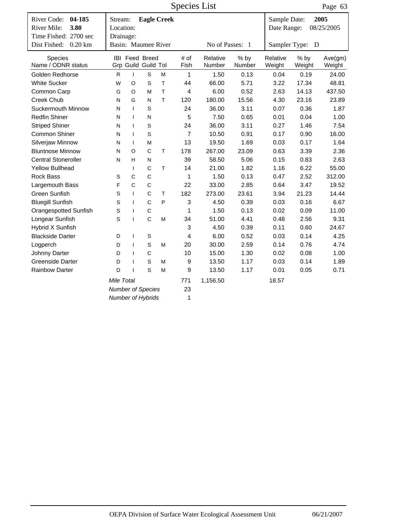|                              |                          |                |                       |                    | $_{\rm{speco\,max}}$ |                 |        |              |                               | $1 \, \text{a}$ <sub>6</sub> $\text{c}$ 0. |
|------------------------------|--------------------------|----------------|-----------------------|--------------------|----------------------|-----------------|--------|--------------|-------------------------------|--------------------------------------------|
| River Code:<br>04-185        | Stream:                  |                |                       | <b>Eagle Creek</b> |                      |                 |        | Sample Date: |                               | 2005                                       |
| River Mile:<br>3.80          | Location:                |                |                       |                    |                      |                 |        | Date Range:  |                               | 08/25/2005                                 |
| Time Fished: 2700 sec        | Drainage:                |                |                       |                    |                      |                 |        |              |                               |                                            |
| Dist Fished: 0.20 km         |                          |                | Basin: Maumee River   |                    |                      | No of Passes: 1 |        |              | Sampler Type:<br><sup>D</sup> |                                            |
| <b>Species</b>               |                          |                | <b>IBI</b> Feed Breed |                    | # of                 | Relative        | % by   | Relative     | $%$ by                        | Ave(gm)                                    |
| Name / ODNR status           |                          |                | Grp Guild Guild Tol   |                    | Fish                 | Number          | Number | Weight       | Weight                        | Weight                                     |
| Golden Redhorse              | $\mathsf R$              | $\mathbf{I}$   | $\mathsf S$           | M                  | $\mathbf{1}$         | 1.50            | 0.13   | 0.04         | 0.19                          | 24.00                                      |
| <b>White Sucker</b>          | W                        | $\circ$        | $\mathsf S$           | $\mathsf{T}$       | 44                   | 66.00           | 5.71   | 3.22         | 17.34                         | 48.81                                      |
| Common Carp                  | G                        | $\circ$        | M                     | $\mathsf T$        | $\overline{4}$       | 6.00            | 0.52   | 2.63         | 14.13                         | 437.50                                     |
| Creek Chub                   | ${\sf N}$                | G              | ${\sf N}$             | $\top$             | 120                  | 180.00          | 15.56  | 4.30         | 23.16                         | 23.89                                      |
| Suckermouth Minnow           | N                        | $\mathbf{I}$   | $\mathsf S$           |                    | 24                   | 36.00           | 3.11   | 0.07         | 0.36                          | 1.87                                       |
| <b>Redfin Shiner</b>         | N                        | $\mathbf{I}$   | N                     |                    | 5                    | 7.50            | 0.65   | 0.01         | 0.04                          | 1.00                                       |
| <b>Striped Shiner</b>        | N                        | $\mathbf{I}$   | $\mathbb S$           |                    | 24                   | 36.00           | 3.11   | 0.27         | 1.46                          | 7.54                                       |
| Common Shiner                | N                        | $\mathbf{I}$   | $\mathsf S$           |                    | $\overline{7}$       | 10.50           | 0.91   | 0.17         | 0.90                          | 16.00                                      |
| Silverjaw Minnow             | N                        | $\mathbf{I}$   | M                     |                    | 13                   | 19.50           | 1.69   | 0.03         | 0.17                          | 1.64                                       |
| <b>Bluntnose Minnow</b>      | ${\sf N}$                | O              | $\mathsf C$           | T                  | 178                  | 267.00          | 23.09  | 0.63         | 3.39                          | 2.36                                       |
| <b>Central Stoneroller</b>   | N                        | H              | ${\sf N}$             |                    | 39                   | 58.50           | 5.06   | 0.15         | 0.83                          | 2.63                                       |
| <b>Yellow Bullhead</b>       |                          | $\mathbf{I}$   | C                     | $\mathsf{T}$       | 14                   | 21.00           | 1.82   | 1.16         | 6.22                          | 55.00                                      |
| Rock Bass                    | S                        | $\mathsf{C}$   | $\mathsf C$           |                    | 1                    | 1.50            | 0.13   | 0.47         | 2.52                          | 312.00                                     |
| Largemouth Bass              | F                        | $\mathsf C$    | $\mathsf C$           |                    | 22                   | 33.00           | 2.85   | 0.64         | 3.47                          | 19.52                                      |
| Green Sunfish                | S                        | $\mathbf{I}$   | C                     | $\mathsf{T}$       | 182                  | 273.00          | 23.61  | 3.94         | 21.23                         | 14.44                                      |
| <b>Bluegill Sunfish</b>      | S                        | $\mathbf{I}$   | $\mathsf C$           | P                  | 3                    | 4.50            | 0.39   | 0.03         | 0.16                          | 6.67                                       |
| <b>Orangespotted Sunfish</b> | S                        | $\mathbf{I}$   | $\mathsf C$           |                    | $\mathbf{1}$         | 1.50            | 0.13   | 0.02         | 0.09                          | 11.00                                      |
| Longear Sunfish              | S                        | $\overline{1}$ | $\mathsf C$           | M                  | 34                   | 51.00           | 4.41   | 0.48         | 2.56                          | 9.31                                       |
| Hybrid X Sunfish             |                          |                |                       |                    | 3                    | 4.50            | 0.39   | 0.11         | 0.60                          | 24.67                                      |
| <b>Blackside Darter</b>      | D                        | $\mathbf{I}$   | $\mathsf S$           |                    | 4                    | 6.00            | 0.52   | 0.03         | 0.14                          | 4.25                                       |
| Logperch                     | D                        | $\mathbf{I}$   | $\mathsf S$           | M                  | 20                   | 30.00           | 2.59   | 0.14         | 0.76                          | 4.74                                       |
| Johnny Darter                | D                        | $\mathbf{I}$   | $\mathsf C$           |                    | 10                   | 15.00           | 1.30   | 0.02         | 0.08                          | 1.00                                       |
| Greenside Darter             | D                        | $\mathbf{I}$   | $\mathbb S$           | M                  | 9                    | 13.50           | 1.17   | 0.03         | 0.14                          | 1.89                                       |
| <b>Rainbow Darter</b>        | D                        | $\mathbf{I}$   | S                     | M                  | $\boldsymbol{9}$     | 13.50           | 1.17   | 0.01         | 0.05                          | 0.71                                       |
|                              | Mile Total               |                |                       |                    | 771                  | 1,156.50        |        | 18.57        |                               |                                            |
|                              | <b>Number of Species</b> |                |                       |                    | 23                   |                 |        |              |                               |                                            |
|                              | Number of Hybrids        |                |                       |                    | 1                    |                 |        |              |                               |                                            |
|                              |                          |                |                       |                    |                      |                 |        |              |                               |                                            |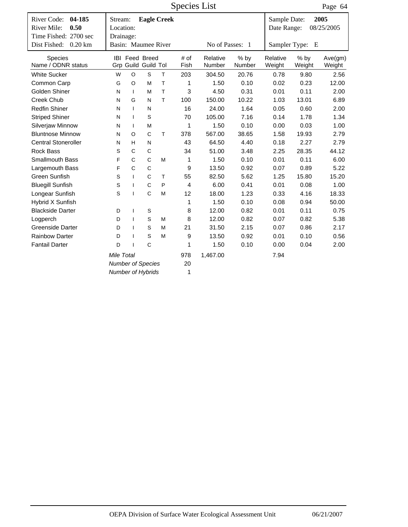|                                                     |                          |              |                                              |              |              |                    |                |                             |                 | - 50               |
|-----------------------------------------------------|--------------------------|--------------|----------------------------------------------|--------------|--------------|--------------------|----------------|-----------------------------|-----------------|--------------------|
| River Code:<br>04-185<br><b>River Mile:</b><br>0.50 | Stream:<br>Location:     |              | <b>Eagle Creek</b>                           |              |              |                    |                | Sample Date:<br>Date Range: |                 | 2005<br>08/25/2005 |
| Time Fished: 2700 sec                               | Drainage:                |              |                                              |              |              |                    |                |                             |                 |                    |
| Dist Fished:<br>$0.20 \text{ km}$                   |                          |              | Basin: Maumee River                          |              |              | No of Passes: 1    |                |                             | Sampler Type: E |                    |
|                                                     |                          |              |                                              |              |              |                    |                |                             |                 |                    |
| Species<br>Name / ODNR status                       |                          |              | <b>IBI</b> Feed Breed<br>Grp Guild Guild Tol |              | # of<br>Fish | Relative<br>Number | % by<br>Number | Relative<br>Weight          | % by<br>Weight  | Ave(gm)<br>Weight  |
| <b>White Sucker</b>                                 | W                        | $\circ$      | $\mathsf S$                                  | $\mathsf{T}$ | 203          | 304.50             | 20.76          | 0.78                        | 9.80            | 2.56               |
| Common Carp                                         | G                        | O            | M                                            | $\top$       | 1            | 1.50               | 0.10           | 0.02                        | 0.23            | 12.00              |
| Golden Shiner                                       | N                        | $\mathbf{I}$ | M                                            | $\mathsf{T}$ | 3            | 4.50               | 0.31           | 0.01                        | 0.11            | 2.00               |
| Creek Chub                                          | N                        | G            | N                                            | T            | 100          | 150.00             | 10.22          | 1.03                        | 13.01           | 6.89               |
| <b>Redfin Shiner</b>                                | N                        | $\mathbf{I}$ | ${\sf N}$                                    |              | 16           | 24.00              | 1.64           | 0.05                        | 0.60            | 2.00               |
| <b>Striped Shiner</b>                               | N                        | $\mathbf{I}$ | $\mathbb S$                                  |              | 70           | 105.00             | 7.16           | 0.14                        | 1.78            | 1.34               |
| Silverjaw Minnow                                    | N                        | $\mathbf{I}$ | M                                            |              | 1            | 1.50               | 0.10           | 0.00                        | 0.03            | 1.00               |
| <b>Bluntnose Minnow</b>                             | N                        | $\circ$      | $\mathsf C$                                  | $\mathsf T$  | 378          | 567.00             | 38.65          | 1.58                        | 19.93           | 2.79               |
| <b>Central Stoneroller</b>                          | N                        | H            | $\mathsf{N}$                                 |              | 43           | 64.50              | 4.40           | 0.18                        | 2.27            | 2.79               |
| <b>Rock Bass</b>                                    | S                        | $\mathsf{C}$ | $\mathsf C$                                  |              | 34           | 51.00              | 3.48           | 2.25                        | 28.35           | 44.12              |
| Smallmouth Bass                                     | F                        | $\mathsf C$  | $\mathsf C$                                  | M            | 1            | 1.50               | 0.10           | 0.01                        | 0.11            | 6.00               |
| Largemouth Bass                                     | F                        | $\mathsf C$  | $\mathsf{C}$                                 |              | 9            | 13.50              | 0.92           | 0.07                        | 0.89            | 5.22               |
| Green Sunfish                                       | $\mathsf S$              | $\mathbf{I}$ | $\mathsf C$                                  | $\mathsf{T}$ | 55           | 82.50              | 5.62           | 1.25                        | 15.80           | 15.20              |
| <b>Bluegill Sunfish</b>                             | S                        | $\mathbf{I}$ | $\mathsf{C}$                                 | $\sf P$      | 4            | 6.00               | 0.41           | 0.01                        | 0.08            | 1.00               |
| Longear Sunfish                                     | S                        | $\mathbf{I}$ | $\mathsf{C}$                                 | M            | 12           | 18.00              | 1.23           | 0.33                        | 4.16            | 18.33              |
| Hybrid X Sunfish                                    |                          |              |                                              |              | 1            | 1.50               | 0.10           | 0.08                        | 0.94            | 50.00              |
| <b>Blackside Darter</b>                             | D                        | $\mathbf{I}$ | S                                            |              | 8            | 12.00              | 0.82           | 0.01                        | 0.11            | 0.75               |
| Logperch                                            | D                        | $\mathbf{I}$ | $\mathbb S$                                  | M            | 8            | 12.00              | 0.82           | 0.07                        | 0.82            | 5.38               |
| <b>Greenside Darter</b>                             | D                        | $\mathbf{I}$ | $\mathsf S$                                  | M            | 21           | 31.50              | 2.15           | 0.07                        | 0.86            | 2.17               |
| <b>Rainbow Darter</b>                               | D                        | $\mathbf{I}$ | $\mathsf S$                                  | M            | 9            | 13.50              | 0.92           | 0.01                        | 0.10            | 0.56               |
| <b>Fantail Darter</b>                               | D                        | $\mathbf{I}$ | $\mathsf{C}$                                 |              | 1            | 1.50               | 0.10           | 0.00                        | 0.04            | 2.00               |
|                                                     | Mile Total               |              |                                              |              | 978          | 1,467.00           |                | 7.94                        |                 |                    |
|                                                     | <b>Number of Species</b> |              |                                              |              | 20           |                    |                |                             |                 |                    |
|                                                     | <b>Number of Hybrids</b> |              |                                              |              | 1            |                    |                |                             |                 |                    |
|                                                     |                          |              |                                              |              |              |                    |                |                             |                 |                    |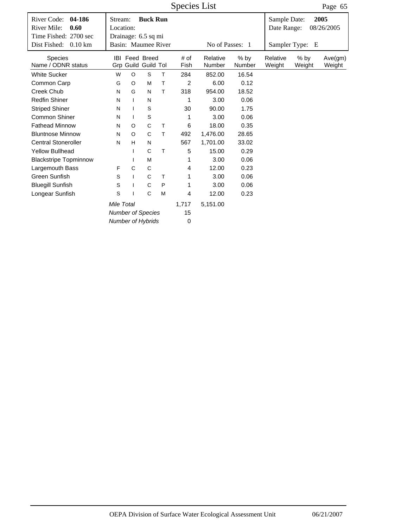| Page<br>n |  |
|-----------|--|
|-----------|--|

|                                              |                          |              |                       |   | л.    |                 |        |                             |                 |                    |
|----------------------------------------------|--------------------------|--------------|-----------------------|---|-------|-----------------|--------|-----------------------------|-----------------|--------------------|
| 04-186<br>River Code:<br>River Mile:<br>0.60 | Stream:<br>Location:     |              | <b>Buck Run</b>       |   |       |                 |        | Sample Date:<br>Date Range: |                 | 2005<br>08/26/2005 |
| Time Fished: 2700 sec                        | Drainage: 6.5 sq mi      |              |                       |   |       |                 |        |                             |                 |                    |
| Dist Fished:<br>$0.10 \text{ km}$            | Basin: Maumee River      |              |                       |   |       | No of Passes: 1 |        |                             | Sampler Type: E |                    |
| <b>Species</b>                               |                          |              | <b>IBI</b> Feed Breed |   | # of  | Relative        | % by   | Relative                    | $%$ by          | Ave(gm)            |
| Name / ODNR status                           |                          |              | Grp Guild Guild Tol   |   | Fish  | Number          | Number | Weight                      | Weight          | Weight             |
| <b>White Sucker</b>                          | W                        | $\circ$      | S                     | т | 284   | 852.00          | 16.54  |                             |                 |                    |
| Common Carp                                  | G                        | $\circ$      | M                     | т | 2     | 6.00            | 0.12   |                             |                 |                    |
| Creek Chub                                   | N                        | G            | N                     | т | 318   | 954.00          | 18.52  |                             |                 |                    |
| <b>Redfin Shiner</b>                         | N                        | $\mathbf{I}$ | N                     |   | 1     | 3.00            | 0.06   |                             |                 |                    |
| <b>Striped Shiner</b>                        | N                        | $\mathbf{I}$ | S                     |   | 30    | 90.00           | 1.75   |                             |                 |                    |
| Common Shiner                                | N                        | $\mathbf{I}$ | $\mathbb S$           |   | 1     | 3.00            | 0.06   |                             |                 |                    |
| <b>Fathead Minnow</b>                        | N                        | O            | C                     | T | 6     | 18.00           | 0.35   |                             |                 |                    |
| <b>Bluntnose Minnow</b>                      | N                        | $\circ$      | C                     | T | 492   | 1,476.00        | 28.65  |                             |                 |                    |
| <b>Central Stoneroller</b>                   | N                        | H            | ${\sf N}$             |   | 567   | 1,701.00        | 33.02  |                             |                 |                    |
| <b>Yellow Bullhead</b>                       |                          | $\mathsf{I}$ | C                     | T | 5     | 15.00           | 0.29   |                             |                 |                    |
| <b>Blackstripe Topminnow</b>                 |                          | I            | M                     |   | 1     | 3.00            | 0.06   |                             |                 |                    |
| Largemouth Bass                              | F                        | C            | C                     |   | 4     | 12.00           | 0.23   |                             |                 |                    |
| Green Sunfish                                | S                        | $\mathbf{I}$ | C                     | т | 1     | 3.00            | 0.06   |                             |                 |                    |
| <b>Bluegill Sunfish</b>                      | S                        | $\mathbf{I}$ | C                     | P |       | 3.00            | 0.06   |                             |                 |                    |
| Longear Sunfish                              | S                        | I            | C                     | M | 4     | 12.00           | 0.23   |                             |                 |                    |
|                                              | Mile Total               |              |                       |   | 1,717 | 5,151.00        |        |                             |                 |                    |
|                                              | <b>Number of Species</b> |              |                       |   | 15    |                 |        |                             |                 |                    |
|                                              | Number of Hybrids        |              |                       |   | 0     |                 |        |                             |                 |                    |
|                                              |                          |              |                       |   |       |                 |        |                             |                 |                    |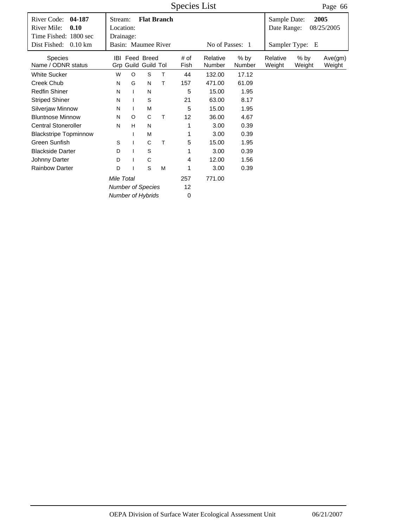|                                                                       |                          |                                              |   |                    |              |                    |                  |                             |                  | $   -$             |
|-----------------------------------------------------------------------|--------------------------|----------------------------------------------|---|--------------------|--------------|--------------------|------------------|-----------------------------|------------------|--------------------|
| River Code:<br>04-187<br>River Mile:<br>0.10<br>Time Fished: 1800 sec | Stream:<br>Location:     | Drainage:                                    |   | <b>Flat Branch</b> |              |                    |                  | Sample Date:<br>Date Range: |                  | 2005<br>08/25/2005 |
| Dist Fished:<br>$0.10 \mathrm{km}$                                    |                          | Basin: Maumee River                          |   |                    |              | No of Passes: 1    |                  |                             | Sampler Type: E  |                    |
| <b>Species</b><br>Name / ODNR status                                  |                          | <b>IBI</b> Feed Breed<br>Grp Guild Guild Tol |   |                    | # of<br>Fish | Relative<br>Number | $%$ by<br>Number | Relative<br>Weight          | $%$ by<br>Weight | Ave(gm)<br>Weight  |
| <b>White Sucker</b>                                                   | W                        | O                                            | S | т                  | 44           | 132.00             | 17.12            |                             |                  |                    |
| Creek Chub                                                            | N                        | G                                            | N | т                  | 157          | 471.00             | 61.09            |                             |                  |                    |
| <b>Redfin Shiner</b>                                                  | N                        | $\mathbf{I}$                                 | N |                    | 5            | 15.00              | 1.95             |                             |                  |                    |
| <b>Striped Shiner</b>                                                 | N                        | T                                            | S |                    | 21           | 63.00              | 8.17             |                             |                  |                    |
| Silverjaw Minnow                                                      | N                        | $\mathbf{I}$                                 | M |                    | 5            | 15.00              | 1.95             |                             |                  |                    |
| <b>Bluntnose Minnow</b>                                               | N                        | $\circ$                                      | C | Τ                  | 12           | 36.00              | 4.67             |                             |                  |                    |
| <b>Central Stoneroller</b>                                            | N                        | H                                            | N |                    |              | 3.00               | 0.39             |                             |                  |                    |
| <b>Blackstripe Topminnow</b>                                          |                          |                                              | M |                    |              | 3.00               | 0.39             |                             |                  |                    |
| Green Sunfish                                                         | S                        | $\mathbf{I}$                                 | C | т                  | 5            | 15.00              | 1.95             |                             |                  |                    |
| <b>Blackside Darter</b>                                               | D                        | $\mathbf{I}$                                 | S |                    |              | 3.00               | 0.39             |                             |                  |                    |
| Johnny Darter                                                         | D                        | $\mathbf{I}$                                 | C |                    | 4            | 12.00              | 1.56             |                             |                  |                    |
| <b>Rainbow Darter</b>                                                 | D                        |                                              | S | M                  | 1            | 3.00               | 0.39             |                             |                  |                    |
|                                                                       | Mile Total               |                                              |   |                    | 257          | 771.00             |                  |                             |                  |                    |
|                                                                       | <b>Number of Species</b> |                                              |   |                    |              |                    |                  |                             |                  |                    |
|                                                                       |                          | Number of Hybrids                            |   |                    | 0            |                    |                  |                             |                  |                    |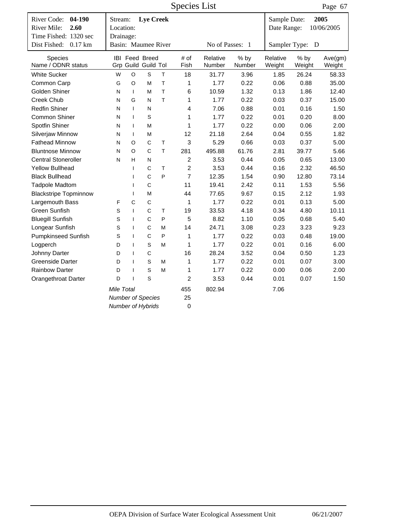|                                              |                      |                       |                  |              | х               |                 |        |                             |              | -07                |
|----------------------------------------------|----------------------|-----------------------|------------------|--------------|-----------------|-----------------|--------|-----------------------------|--------------|--------------------|
| River Code:<br>04-190<br>River Mile:<br>2.60 | Stream:<br>Location: |                       | <b>Lye Creek</b> |              |                 |                 |        | Sample Date:<br>Date Range: |              | 2005<br>10/06/2005 |
| Time Fished: 1320 sec                        | Drainage:            |                       |                  |              |                 |                 |        |                             |              |                    |
| Dist Fished: 0.17 km                         |                      | Basin: Maumee River   |                  |              |                 | No of Passes: 1 |        | Sampler Type:               | $\mathbf{D}$ |                    |
| Species                                      |                      | <b>IBI</b> Feed Breed |                  |              | # of            | Relative        | % by   | Relative                    | $%$ by       | Ave(gm)            |
| Name / ODNR status                           |                      | Grp Guild Guild Tol   |                  |              | Fish            | Number          | Number | Weight                      | Weight       | Weight             |
| <b>White Sucker</b>                          | W                    | $\circ$               | $\mathsf S$      | $\top$       | 18              | 31.77           | 3.96   | 1.85                        | 26.24        | 58.33              |
| Common Carp                                  | G                    | $\circ$               | M                | $\top$       | $\mathbf{1}$    | 1.77            | 0.22   | 0.06                        | 0.88         | 35.00              |
| Golden Shiner                                | N                    | $\mathbf{I}$          | M                | $\top$       | $6\phantom{1}6$ | 10.59           | 1.32   | 0.13                        | 1.86         | 12.40              |
| Creek Chub                                   | N                    | G                     | N                | T.           | 1               | 1.77            | 0.22   | 0.03                        | 0.37         | 15.00              |
| <b>Redfin Shiner</b>                         | N                    | $\mathbf{I}$          | N                |              | 4               | 7.06            | 0.88   | 0.01                        | 0.16         | 1.50               |
| Common Shiner                                | N                    | $\mathbf{I}$          | S                |              | 1               | 1.77            | 0.22   | 0.01                        | 0.20         | 8.00               |
| Spotfin Shiner                               | N                    | $\mathbf{I}$          | M                |              | 1               | 1.77            | 0.22   | 0.00                        | 0.06         | 2.00               |
| Silverjaw Minnow                             | N                    | $\mathbf{I}$          | M                |              | 12              | 21.18           | 2.64   | 0.04                        | 0.55         | 1.82               |
| <b>Fathead Minnow</b>                        | N                    | O                     | $\mathsf C$      | T            | 3               | 5.29            | 0.66   | 0.03                        | 0.37         | 5.00               |
| <b>Bluntnose Minnow</b>                      | N                    | $\circ$               | $\mathsf{C}$     | $\mathsf{T}$ | 281             | 495.88          | 61.76  | 2.81                        | 39.77        | 5.66               |
| <b>Central Stoneroller</b>                   | N                    | H                     | $\mathsf{N}$     |              | $\overline{c}$  | 3.53            | 0.44   | 0.05                        | 0.65         | 13.00              |
| <b>Yellow Bullhead</b>                       |                      | $\mathbf{I}$          | $\mathbf C$      | $\sf T$      | $\overline{c}$  | 3.53            | 0.44   | 0.16                        | 2.32         | 46.50              |
| <b>Black Bullhead</b>                        |                      | T                     | $\mathsf{C}$     | P            | $\overline{7}$  | 12.35           | 1.54   | 0.90                        | 12.80        | 73.14              |
| <b>Tadpole Madtom</b>                        |                      | $\mathbf{I}$          | $\mathbf C$      |              | 11              | 19.41           | 2.42   | 0.11                        | 1.53         | 5.56               |
| <b>Blackstripe Topminnow</b>                 |                      | $\mathbf{I}$          | M                |              | 44              | 77.65           | 9.67   | 0.15                        | 2.12         | 1.93               |
| Largemouth Bass                              | F                    | $\mathsf C$           | $\mathsf C$      |              | 1               | 1.77            | 0.22   | 0.01                        | 0.13         | 5.00               |
| Green Sunfish                                | S                    | $\mathbf{I}$          | $\mathsf C$      | T            | 19              | 33.53           | 4.18   | 0.34                        | 4.80         | 10.11              |
| <b>Bluegill Sunfish</b>                      | S                    | $\mathbf{I}$          | $\mathsf{C}$     | P            | 5               | 8.82            | 1.10   | 0.05                        | 0.68         | 5.40               |
| Longear Sunfish                              | S                    | $\mathbf{I}$          | $\mathsf{C}$     | M            | 14              | 24.71           | 3.08   | 0.23                        | 3.23         | 9.23               |
| <b>Pumpkinseed Sunfish</b>                   | S                    | $\mathbf{I}$          | C                | $\mathsf{P}$ | $\mathbf{1}$    | 1.77            | 0.22   | 0.03                        | 0.48         | 19.00              |
| Logperch                                     | D                    | $\mathbf{I}$          | S                | M            | 1               | 1.77            | 0.22   | 0.01                        | 0.16         | 6.00               |
| Johnny Darter                                | D                    | $\mathbf{I}$          | $\mathsf C$      |              | 16              | 28.24           | 3.52   | 0.04                        | 0.50         | 1.23               |
| Greenside Darter                             | D                    | $\mathbf{I}$          | $\mathsf S$      | M            | $\mathbf{1}$    | 1.77            | 0.22   | 0.01                        | 0.07         | 3.00               |
| <b>Rainbow Darter</b>                        | D                    | $\mathbf{I}$          | $\mathsf S$      | M            | 1               | 1.77            | 0.22   | 0.00                        | 0.06         | 2.00               |
| Orangethroat Darter                          | D                    | $\overline{1}$        | S                |              | $\overline{2}$  | 3.53            | 0.44   | 0.01                        | 0.07         | 1.50               |
|                                              | Mile Total           |                       |                  |              | 455             | 802.94          |        | 7.06                        |              |                    |
|                                              |                      | Number of Species     |                  |              | 25              |                 |        |                             |              |                    |
|                                              |                      | Number of Hybrids     |                  |              | $\mathbf 0$     |                 |        |                             |              |                    |
|                                              |                      |                       |                  |              |                 |                 |        |                             |              |                    |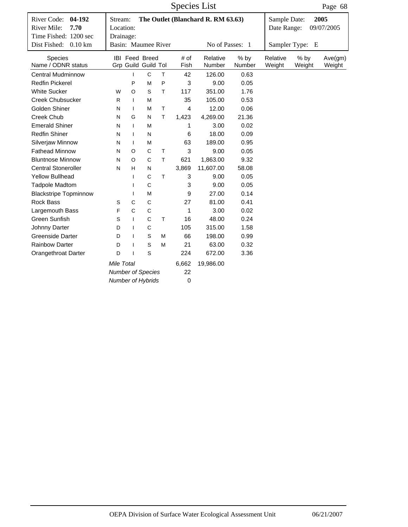|                              |                          |                          |                       |              |                           |                                    |        |              |                 | $\frac{1}{2}$ |
|------------------------------|--------------------------|--------------------------|-----------------------|--------------|---------------------------|------------------------------------|--------|--------------|-----------------|---------------|
| River Code:<br>04-192        | Stream:                  |                          |                       |              |                           | The Outlet (Blanchard R. RM 63.63) |        | Sample Date: |                 | 2005          |
| River Mile:<br>7.70          | Location:                |                          |                       |              |                           |                                    |        | Date Range:  |                 | 09/07/2005    |
| Time Fished: 1200 sec        | Drainage:                |                          |                       |              |                           |                                    |        |              |                 |               |
| Dist Fished: 0.10 km         | Basin: Maumee River      |                          |                       |              |                           | No of Passes: 1                    |        |              | Sampler Type: E |               |
| Species                      |                          |                          | <b>IBI</b> Feed Breed |              | # of                      | Relative                           | $%$ by | Relative     | $%$ by          | Ave(gm)       |
| Name / ODNR status           |                          |                          | Grp Guild Guild Tol   |              | Fish                      | Number                             | Number | Weight       | Weight          | Weight        |
| <b>Central Mudminnow</b>     |                          | $\mathbf{I}$             | $\mathsf C$           | $\top$       | 42                        | 126.00                             | 0.63   |              |                 |               |
| Redfin Pickerel              |                          | P                        | M                     | P            | $\ensuremath{\mathsf{3}}$ | 9.00                               | 0.05   |              |                 |               |
| <b>White Sucker</b>          | W                        | $\circ$                  | S                     | T.           | 117                       | 351.00                             | 1.76   |              |                 |               |
| Creek Chubsucker             | R                        | $\mathbf{I}$             | M                     |              | 35                        | 105.00                             | 0.53   |              |                 |               |
| Golden Shiner                | N                        | $\mathbf{I}$             | M                     | T            | 4                         | 12.00                              | 0.06   |              |                 |               |
| <b>Creek Chub</b>            | N                        | G                        | N                     | $\mathsf{T}$ | 1,423                     | 4,269.00                           | 21.36  |              |                 |               |
| <b>Emerald Shiner</b>        | N                        | $\mathbf{I}$             | M                     |              | 1                         | 3.00                               | 0.02   |              |                 |               |
| Redfin Shiner                | N                        | $\mathbf{I}$             | N                     |              | 6                         | 18.00                              | 0.09   |              |                 |               |
| Silverjaw Minnow             | N                        | $\mathbf{I}$             | M                     |              | 63                        | 189.00                             | 0.95   |              |                 |               |
| <b>Fathead Minnow</b>        | N                        | O                        | $\mathsf C$           | $\top$       | 3                         | 9.00                               | 0.05   |              |                 |               |
| <b>Bluntnose Minnow</b>      | N                        | $\circ$                  | $\mathsf C$           | $\top$       | 621                       | 1,863.00                           | 9.32   |              |                 |               |
| <b>Central Stoneroller</b>   | N                        | H                        | $\mathsf{N}$          |              | 3,869                     | 11,607.00                          | 58.08  |              |                 |               |
| <b>Yellow Bullhead</b>       |                          |                          | C                     | T            | 3                         | 9.00                               | 0.05   |              |                 |               |
| <b>Tadpole Madtom</b>        |                          | $\mathbf{I}$             | $\mathsf C$           |              | 3                         | 9.00                               | 0.05   |              |                 |               |
| <b>Blackstripe Topminnow</b> |                          | $\mathbf{I}$             | M                     |              | 9                         | 27.00                              | 0.14   |              |                 |               |
| <b>Rock Bass</b>             | S                        | $\mathsf{C}$             | C                     |              | 27                        | 81.00                              | 0.41   |              |                 |               |
| Largemouth Bass              | F                        | $\mathbf C$              | $\mathsf C$           |              | 1                         | 3.00                               | 0.02   |              |                 |               |
| <b>Green Sunfish</b>         | S                        | $\mathbf{I}$             | $\mathsf C$           | $\top$       | 16                        | 48.00                              | 0.24   |              |                 |               |
| Johnny Darter                | D                        | $\mathbf{I}$             | $\mathsf C$           |              | 105                       | 315.00                             | 1.58   |              |                 |               |
| <b>Greenside Darter</b>      | D                        | $\mathbf{I}$             | $\mathsf S$           | M            | 66                        | 198.00                             | 0.99   |              |                 |               |
| Rainbow Darter               | D                        | $\mathbf{I}$             | $\mathsf S$           | M            | 21                        | 63.00                              | 0.32   |              |                 |               |
| Orangethroat Darter          | D                        | $\overline{\phantom{a}}$ | S                     |              | 224                       | 672.00                             | 3.36   |              |                 |               |
|                              | Mile Total               |                          |                       |              | 6,662                     | 19,986.00                          |        |              |                 |               |
|                              | <b>Number of Species</b> |                          |                       |              | 22                        |                                    |        |              |                 |               |
|                              | Number of Hybrids        |                          |                       |              | $\mathbf 0$               |                                    |        |              |                 |               |
|                              |                          |                          |                       |              |                           |                                    |        |              |                 |               |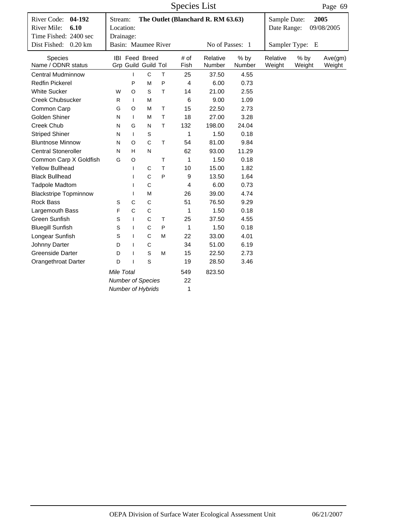|                              |                     |                          |                     |    |                         |                                    |        |              |                 | $    -$    |
|------------------------------|---------------------|--------------------------|---------------------|----|-------------------------|------------------------------------|--------|--------------|-----------------|------------|
| River Code:<br>04-192        | Stream:             |                          |                     |    |                         | The Outlet (Blanchard R. RM 63.63) |        | Sample Date: |                 | 2005       |
| River Mile:<br>6.10          | Location:           |                          |                     |    |                         |                                    |        | Date Range:  |                 | 09/08/2005 |
| Time Fished: 2400 sec        | Drainage:           |                          |                     |    |                         |                                    |        |              |                 |            |
| Dist Fished: 0.20 km         | Basin: Maumee River |                          |                     |    |                         | No of Passes: 1                    |        |              | Sampler Type: E |            |
| Species                      |                     |                          | IBI Feed Breed      |    | # of                    | Relative                           | % by   | Relative     | $%$ by          | Ave(gm)    |
| Name / ODNR status           |                     |                          | Grp Guild Guild Tol |    | Fish                    | Number                             | Number | Weight       | Weight          | Weight     |
| <b>Central Mudminnow</b>     |                     |                          | $\mathbf C$         | T  | 25                      | 37.50                              | 4.55   |              |                 |            |
| Redfin Pickerel              |                     | P                        | M                   | P  | $\overline{\mathbf{4}}$ | 6.00                               | 0.73   |              |                 |            |
| <b>White Sucker</b>          | W                   | $\circ$                  | S                   | T. | 14                      | 21.00                              | 2.55   |              |                 |            |
| Creek Chubsucker             | R                   | $\mathbf{I}$             | M                   |    | $\,6$                   | 9.00                               | 1.09   |              |                 |            |
| Common Carp                  | G                   | O                        | M                   | T  | 15                      | 22.50                              | 2.73   |              |                 |            |
| Golden Shiner                | N                   | $\mathbf{I}$             | M                   | T  | 18                      | 27.00                              | 3.28   |              |                 |            |
| Creek Chub                   | N                   | G                        | ${\sf N}$           | T  | 132                     | 198.00                             | 24.04  |              |                 |            |
| <b>Striped Shiner</b>        | N                   | $\mathbf{I}$             | S                   |    | 1                       | 1.50                               | 0.18   |              |                 |            |
| <b>Bluntnose Minnow</b>      | N                   | O                        | $\mathsf C$         | T  | 54                      | 81.00                              | 9.84   |              |                 |            |
| <b>Central Stoneroller</b>   | N                   | H                        | $\mathsf{N}$        |    | 62                      | 93.00                              | 11.29  |              |                 |            |
| Common Carp X Goldfish       | G                   | O                        |                     | T  | $\mathbf 1$             | 1.50                               | 0.18   |              |                 |            |
| <b>Yellow Bullhead</b>       |                     | $\mathsf{I}$             | C                   | T  | 10                      | 15.00                              | 1.82   |              |                 |            |
| <b>Black Bullhead</b>        |                     | I                        | $\mathbf C$         | P  | $\boldsymbol{9}$        | 13.50                              | 1.64   |              |                 |            |
| <b>Tadpole Madtom</b>        |                     |                          | C                   |    | 4                       | 6.00                               | 0.73   |              |                 |            |
| <b>Blackstripe Topminnow</b> |                     | $\mathbf{I}$             | M                   |    | 26                      | 39.00                              | 4.74   |              |                 |            |
| Rock Bass                    | S                   | $\mathsf C$              | $\mathsf C$         |    | 51                      | 76.50                              | 9.29   |              |                 |            |
| Largemouth Bass              | F                   | C                        | $\mathsf C$         |    | $\mathbf{1}$            | 1.50                               | 0.18   |              |                 |            |
| <b>Green Sunfish</b>         | S                   | $\mathbf{I}$             | $\mathsf C$         | Т  | 25                      | 37.50                              | 4.55   |              |                 |            |
| <b>Bluegill Sunfish</b>      | S                   | $\mathbf{I}$             | $\mathsf C$         | P  | $\mathbf{1}$            | 1.50                               | 0.18   |              |                 |            |
| Longear Sunfish              | S                   | $\mathbf{I}$             | $\mathsf C$         | M  | 22                      | 33.00                              | 4.01   |              |                 |            |
| Johnny Darter                | D                   | $\mathbf{I}$             | C                   |    | 34                      | 51.00                              | 6.19   |              |                 |            |
| <b>Greenside Darter</b>      | D                   | $\overline{\phantom{a}}$ | S                   | M  | 15                      | 22.50                              | 2.73   |              |                 |            |
| Orangethroat Darter          | D                   | $\mathbf{I}$             | S                   |    | 19                      | 28.50                              | 3.46   |              |                 |            |
|                              | Mile Total          |                          |                     |    | 549                     | 823.50                             |        |              |                 |            |
|                              | Number of Species   |                          |                     |    | 22                      |                                    |        |              |                 |            |
|                              | Number of Hybrids   |                          |                     |    | 1                       |                                    |        |              |                 |            |
|                              |                     |                          |                     |    |                         |                                    |        |              |                 |            |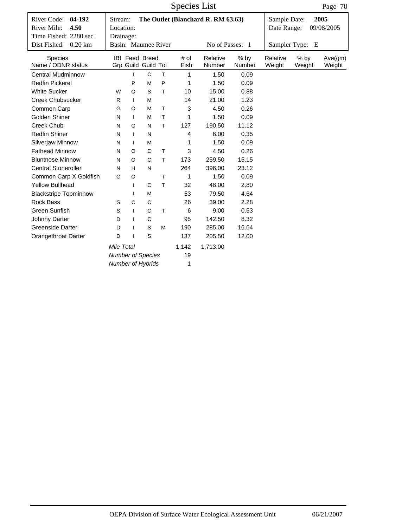| River Code:<br>04-192        | Stream:                  |              |                       |    |       | The Outlet (Blanchard R. RM 63.63) |        | Sample Date: |                 | 2005       |
|------------------------------|--------------------------|--------------|-----------------------|----|-------|------------------------------------|--------|--------------|-----------------|------------|
| River Mile:<br>4.50          | Location:                |              |                       |    |       |                                    |        | Date Range:  |                 | 09/08/2005 |
| Time Fished: 2280 sec        | Drainage:                |              |                       |    |       |                                    |        |              |                 |            |
| Dist Fished: 0.20 km         | Basin: Maumee River      |              |                       |    |       | No of Passes: 1                    |        |              | Sampler Type: E |            |
|                              |                          |              |                       |    |       |                                    |        |              |                 |            |
| <b>Species</b>               |                          |              | <b>IBI</b> Feed Breed |    | # of  | Relative                           | % by   | Relative     | $%$ by          | Ave(gm)    |
| Name / ODNR status           |                          |              | Grp Guild Guild Tol   |    | Fish  | Number                             | Number | Weight       | Weight          | Weight     |
| <b>Central Mudminnow</b>     |                          |              | $\mathsf C$           | T  | 1     | 1.50                               | 0.09   |              |                 |            |
| <b>Redfin Pickerel</b>       |                          | P            | M                     | P  | 1     | 1.50                               | 0.09   |              |                 |            |
| <b>White Sucker</b>          | W                        | O            | S                     | T. | 10    | 15.00                              | 0.88   |              |                 |            |
| <b>Creek Chubsucker</b>      | R                        | $\mathbf{I}$ | M                     |    | 14    | 21.00                              | 1.23   |              |                 |            |
| Common Carp                  | G                        | O            | M                     | T. | 3     | 4.50                               | 0.26   |              |                 |            |
| Golden Shiner                | N                        | $\mathbf{I}$ | M                     | T  | 1     | 1.50                               | 0.09   |              |                 |            |
| Creek Chub                   | N                        | G            | N                     | T. | 127   | 190.50                             | 11.12  |              |                 |            |
| <b>Redfin Shiner</b>         | N                        | $\mathbf{I}$ | N                     |    | 4     | 6.00                               | 0.35   |              |                 |            |
| Silverjaw Minnow             | N                        | $\mathbf{I}$ | M                     |    | 1     | 1.50                               | 0.09   |              |                 |            |
| <b>Fathead Minnow</b>        | N                        | $\circ$      | C                     | T  | 3     | 4.50                               | 0.26   |              |                 |            |
| <b>Bluntnose Minnow</b>      | N                        | $\circ$      | $\mathsf{C}$          | T. | 173   | 259.50                             | 15.15  |              |                 |            |
| <b>Central Stoneroller</b>   | N                        | H            | N                     |    | 264   | 396.00                             | 23.12  |              |                 |            |
| Common Carp X Goldfish       | G                        | O            |                       | T  | 1     | 1.50                               | 0.09   |              |                 |            |
| <b>Yellow Bullhead</b>       |                          |              | C                     | T  | 32    | 48.00                              | 2.80   |              |                 |            |
| <b>Blackstripe Topminnow</b> |                          |              | M                     |    | 53    | 79.50                              | 4.64   |              |                 |            |
| <b>Rock Bass</b>             | S                        | $\mathsf C$  | $\mathsf C$           |    | 26    | 39.00                              | 2.28   |              |                 |            |
| Green Sunfish                | S                        | $\mathbf{I}$ | C                     | Τ  | 6     | 9.00                               | 0.53   |              |                 |            |
| Johnny Darter                | D                        | $\mathbf{I}$ | $\mathsf C$           |    | 95    | 142.50                             | 8.32   |              |                 |            |
| <b>Greenside Darter</b>      | D                        | $\mathbf{I}$ | S                     | M  | 190   | 285.00                             | 16.64  |              |                 |            |
| Orangethroat Darter          | D                        | ı            | S                     |    | 137   | 205.50                             | 12.00  |              |                 |            |
|                              | Mile Total               |              |                       |    | 1,142 | 1,713.00                           |        |              |                 |            |
|                              | <b>Number of Species</b> |              |                       |    | 19    |                                    |        |              |                 |            |
|                              | Number of Hybrids        |              |                       |    | 1     |                                    |        |              |                 |            |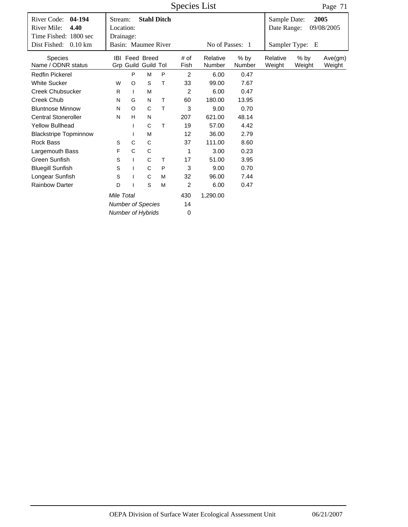|--|--|--|

|                                              |                          |              |                       |   |                |                 |        |                             |        | $   -$             |
|----------------------------------------------|--------------------------|--------------|-----------------------|---|----------------|-----------------|--------|-----------------------------|--------|--------------------|
| 04-194<br>River Code:<br>River Mile:<br>4.40 | Stream:<br>Location:     |              | <b>Stahl Ditch</b>    |   |                |                 |        | Sample Date:<br>Date Range: |        | 2005<br>09/08/2005 |
| Time Fished: 1800 sec                        | Drainage:                |              |                       |   |                |                 |        |                             |        |                    |
| Dist Fished:<br>$0.10 \mathrm{km}$           |                          |              | Basin: Maumee River   |   |                | No of Passes: 1 |        | Sampler Type: E             |        |                    |
| <b>Species</b>                               |                          |              | <b>IBI</b> Feed Breed |   | # of           | Relative        | % by   | Relative                    | $%$ by | Ave(gm)            |
| Name / ODNR status                           |                          |              | Grp Guild Guild Tol   |   | Fish           | Number          | Number | Weight                      | Weight | Weight             |
| <b>Redfin Pickerel</b>                       |                          | P            | M                     | P | 2              | 6.00            | 0.47   |                             |        |                    |
| <b>White Sucker</b>                          | W                        | O            | S                     | Τ | 33             | 99.00           | 7.67   |                             |        |                    |
| <b>Creek Chubsucker</b>                      | R                        | $\mathbf{I}$ | M                     |   | $\overline{c}$ | 6.00            | 0.47   |                             |        |                    |
| Creek Chub                                   | N                        | G            | N                     | т | 60             | 180.00          | 13.95  |                             |        |                    |
| <b>Bluntnose Minnow</b>                      | N                        | $\circ$      | C                     | Τ | 3              | 9.00            | 0.70   |                             |        |                    |
| <b>Central Stoneroller</b>                   | N                        | H            | N                     |   | 207            | 621.00          | 48.14  |                             |        |                    |
| <b>Yellow Bullhead</b>                       |                          | $\mathbf{I}$ | C                     | т | 19             | 57.00           | 4.42   |                             |        |                    |
| <b>Blackstripe Topminnow</b>                 |                          | $\mathbf{I}$ | M                     |   | 12             | 36.00           | 2.79   |                             |        |                    |
| <b>Rock Bass</b>                             | S                        | C            | C                     |   | 37             | 111.00          | 8.60   |                             |        |                    |
| Largemouth Bass                              | F                        | $\mathsf{C}$ | С                     |   | 1              | 3.00            | 0.23   |                             |        |                    |
| Green Sunfish                                | S                        | $\mathbf{I}$ | C                     | т | 17             | 51.00           | 3.95   |                             |        |                    |
| <b>Bluegill Sunfish</b>                      | S                        | $\mathbf{I}$ | C                     | P | 3              | 9.00            | 0.70   |                             |        |                    |
| Longear Sunfish                              | S                        | $\mathbf{I}$ | C                     | M | 32             | 96.00           | 7.44   |                             |        |                    |
| <b>Rainbow Darter</b>                        | D                        | ı            | S                     | M | 2              | 6.00            | 0.47   |                             |        |                    |
|                                              | Mile Total               |              |                       |   | 430            | 1,290.00        |        |                             |        |                    |
|                                              | <b>Number of Species</b> |              |                       |   | 14             |                 |        |                             |        |                    |
|                                              | Number of Hybrids        |              |                       |   | $\mathbf 0$    |                 |        |                             |        |                    |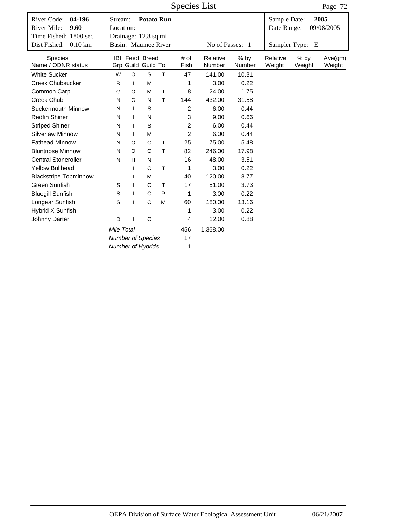| River Code:<br>04-196        | Stream:                  |              | <b>Potato Run</b>     |    |      |                 |        | Sample Date: |                    | 2005       |  |
|------------------------------|--------------------------|--------------|-----------------------|----|------|-----------------|--------|--------------|--------------------|------------|--|
| River Mile:<br>9.60          | Location:                |              |                       |    |      |                 |        | Date Range:  |                    | 09/08/2005 |  |
| Time Fished: 1800 sec        |                          |              | Drainage: 12.8 sq mi  |    |      |                 |        |              |                    |            |  |
| Dist Fished: 0.10 km         |                          |              | Basin: Maumee River   |    |      | No of Passes: 1 |        |              | Sampler Type:<br>E |            |  |
| <b>Species</b>               |                          |              | <b>IBI</b> Feed Breed |    | # of | Relative        | $%$ by | Relative     | $%$ by             | Ave(gm)    |  |
| Name / ODNR status           |                          |              | Grp Guild Guild Tol   |    | Fish | Number          | Number | Weight       | Weight             | Weight     |  |
| <b>White Sucker</b>          | W                        | $\circ$      | $\mathsf S$           | T. | 47   | 141.00          | 10.31  |              |                    |            |  |
| <b>Creek Chubsucker</b>      | R                        | $\mathbf{I}$ | M                     |    | 1    | 3.00            | 0.22   |              |                    |            |  |
| Common Carp                  | G                        | O            | м                     | T. | 8    | 24.00           | 1.75   |              |                    |            |  |
| <b>Creek Chub</b>            | N                        | G            | N                     | T  | 144  | 432.00          | 31.58  |              |                    |            |  |
| Suckermouth Minnow           | N                        | $\mathbf{I}$ | $\mathsf S$           |    | 2    | 6.00            | 0.44   |              |                    |            |  |
| <b>Redfin Shiner</b>         | N                        | $\mathbf{I}$ | N                     |    | 3    | 9.00            | 0.66   |              |                    |            |  |
| <b>Striped Shiner</b>        | N                        | $\mathsf{I}$ | S                     |    | 2    | 6.00            | 0.44   |              |                    |            |  |
| Silverjaw Minnow             | N                        | $\mathbf{I}$ | M                     |    | 2    | 6.00            | 0.44   |              |                    |            |  |
| <b>Fathead Minnow</b>        | N                        | O            | C                     | Τ  | 25   | 75.00           | 5.48   |              |                    |            |  |
| <b>Bluntnose Minnow</b>      | N                        | $\Omega$     | C                     | T. | 82   | 246.00          | 17.98  |              |                    |            |  |
| <b>Central Stoneroller</b>   | N                        | H            | ${\sf N}$             |    | 16   | 48.00           | 3.51   |              |                    |            |  |
| <b>Yellow Bullhead</b>       |                          | $\mathbf{I}$ | C                     | т  | 1    | 3.00            | 0.22   |              |                    |            |  |
| <b>Blackstripe Topminnow</b> |                          | ı            | M                     |    | 40   | 120.00          | 8.77   |              |                    |            |  |
| Green Sunfish                | S                        | $\mathbf{I}$ | C                     | T  | 17   | 51.00           | 3.73   |              |                    |            |  |
| <b>Bluegill Sunfish</b>      | S                        | $\mathbf{I}$ | C                     | P  | 1    | 3.00            | 0.22   |              |                    |            |  |
| Longear Sunfish              | S                        | $\mathbf{I}$ | C                     | M  | 60   | 180.00          | 13.16  |              |                    |            |  |
| Hybrid X Sunfish             |                          |              |                       |    | 1    | 3.00            | 0.22   |              |                    |            |  |
| Johnny Darter                | D                        |              | $\mathsf{C}$          |    | 4    | 12.00           | 0.88   |              |                    |            |  |
|                              | Mile Total               |              |                       |    | 456  | 1,368.00        |        |              |                    |            |  |
|                              | <b>Number of Species</b> |              |                       |    | 17   |                 |        |              |                    |            |  |
|                              | <b>Number of Hybrids</b> |              |                       |    | 1    |                 |        |              |                    |            |  |
|                              |                          |              |                       |    |      |                 |        |              |                    |            |  |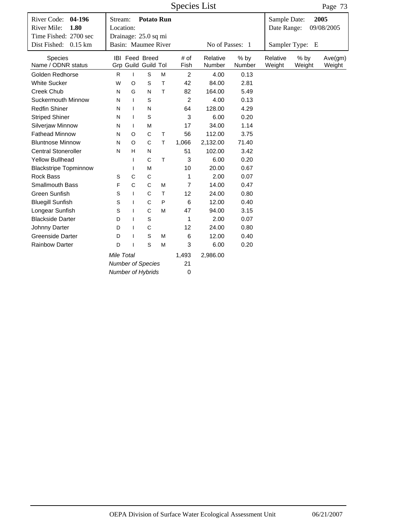| River Code:<br>04-196                | Stream:    |              | <b>Potato Run</b>                            |              |                |                    |                | Sample Date:       |                | 2005              |
|--------------------------------------|------------|--------------|----------------------------------------------|--------------|----------------|--------------------|----------------|--------------------|----------------|-------------------|
| River Mile:<br>1.80                  | Location:  |              |                                              |              | Date Range:    |                    | 09/08/2005     |                    |                |                   |
| Time Fished: 2700 sec                |            |              | Drainage: 25.0 sq mi                         |              |                |                    |                |                    |                |                   |
| Dist Fished: 0.15 km                 |            |              | Basin: Maumee River                          |              |                | No of Passes: 1    |                | Sampler Type: E    |                |                   |
| <b>Species</b><br>Name / ODNR status |            |              | <b>IBI</b> Feed Breed<br>Grp Guild Guild Tol |              | # of<br>Fish   | Relative<br>Number | % by<br>Number | Relative<br>Weight | % by<br>Weight | Ave(gm)<br>Weight |
| Golden Redhorse                      | R          | $\mathbf{I}$ | S                                            | M            | $\overline{c}$ | 4.00               | 0.13           |                    |                |                   |
| <b>White Sucker</b>                  | W          | $\circ$      | $\mathsf S$                                  | $\top$       | 42             | 84.00              | 2.81           |                    |                |                   |
| <b>Creek Chub</b>                    | N          | G            | ${\sf N}$                                    | $\mathsf{T}$ | 82             | 164.00             | 5.49           |                    |                |                   |
| <b>Suckermouth Minnow</b>            | N          | $\mathbf{I}$ | S                                            |              | $\overline{c}$ | 4.00               | 0.13           |                    |                |                   |
| <b>Redfin Shiner</b>                 | N          | $\mathbf{I}$ | N                                            |              | 64             | 128.00             | 4.29           |                    |                |                   |
| <b>Striped Shiner</b>                | N          | $\mathbf{I}$ | S                                            |              | 3              | 6.00               | 0.20           |                    |                |                   |
| Silverjaw Minnow                     | N          | $\mathbf{I}$ | M                                            |              | 17             | 34.00              | 1.14           |                    |                |                   |
| <b>Fathead Minnow</b>                | N          | $\circ$      | C                                            | $\top$       | 56             | 112.00             | 3.75           |                    |                |                   |
| <b>Bluntnose Minnow</b>              | N          | O            | $\mathbf C$                                  | T            | 1,066          | 2,132.00           | 71.40          |                    |                |                   |
| <b>Central Stoneroller</b>           | N          | H            | N                                            |              | 51             | 102.00             | 3.42           |                    |                |                   |
| <b>Yellow Bullhead</b>               |            | $\mathbf{I}$ | C                                            | T            | 3              | 6.00               | 0.20           |                    |                |                   |
| <b>Blackstripe Topminnow</b>         |            | $\mathbf{I}$ | M                                            |              | 10             | 20.00              | 0.67           |                    |                |                   |
| <b>Rock Bass</b>                     | S          | $\mathsf C$  | $\mathsf C$                                  |              | 1              | 2.00               | 0.07           |                    |                |                   |
| Smallmouth Bass                      | F          | $\mathsf C$  | $\mathsf C$                                  | M            | $\overline{7}$ | 14.00              | 0.47           |                    |                |                   |
| <b>Green Sunfish</b>                 | S          | $\mathbf{I}$ | $\mathsf{C}$                                 | $\mathsf{T}$ | 12             | 24.00              | 0.80           |                    |                |                   |
| <b>Bluegill Sunfish</b>              | S          | $\mathbf{I}$ | C                                            | P            | 6              | 12.00              | 0.40           |                    |                |                   |
| Longear Sunfish                      | S          | $\mathbf{I}$ | $\mathsf C$                                  | M            | 47             | 94.00              | 3.15           |                    |                |                   |
| <b>Blackside Darter</b>              | D          | $\mathbf{I}$ | S                                            |              | 1              | 2.00               | 0.07           |                    |                |                   |
| Johnny Darter                        | D          | $\mathbf{I}$ | С                                            |              | 12             | 24.00              | 0.80           |                    |                |                   |
| <b>Greenside Darter</b>              | D          | $\mathbf{I}$ | S                                            | M            | 6              | 12.00              | 0.40           |                    |                |                   |
| <b>Rainbow Darter</b>                | D          | $\mathbf{I}$ | S                                            | M            | 3              | 6.00               | 0.20           |                    |                |                   |
|                                      | Mile Total |              |                                              |              | 1,493          | 2,986.00           |                |                    |                |                   |
|                                      |            |              | <b>Number of Species</b>                     |              | 21             |                    |                |                    |                |                   |
|                                      |            |              | Number of Hybrids                            |              | 0              |                    |                |                    |                |                   |
|                                      |            |              |                                              |              |                |                    |                |                    |                |                   |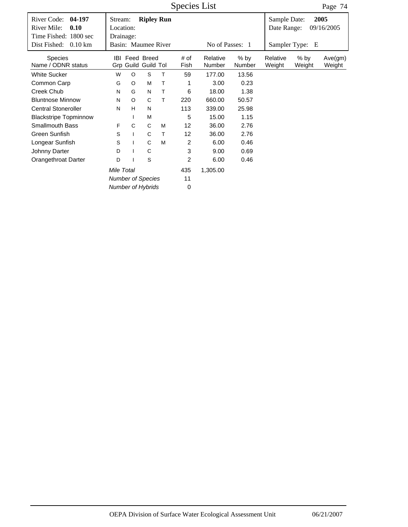| ш<br>I<br>аос |  |
|---------------|--|
|               |  |

|                                              |                          |              |                                   |   | $\mathbf{r}$      |                    |                  |                             |                  | $\circ$            |
|----------------------------------------------|--------------------------|--------------|-----------------------------------|---|-------------------|--------------------|------------------|-----------------------------|------------------|--------------------|
| River Code:<br>04-197<br>River Mile:<br>0.10 | Stream:<br>Location:     |              | <b>Ripley Run</b>                 |   |                   |                    |                  | Sample Date:<br>Date Range: |                  | 2005<br>09/16/2005 |
| Time Fished: 1800 sec                        | Drainage:                |              |                                   |   |                   |                    |                  |                             |                  |                    |
| Dist Fished:<br>$0.10 \mathrm{km}$           | Basin: Maumee River      |              |                                   |   |                   | No of Passes: 1    |                  | Sampler Type:<br>Е          |                  |                    |
| <b>Species</b><br>Name / ODNR status         | IBI                      |              | Feed Breed<br>Grp Guild Guild Tol |   | # of<br>Fish      | Relative<br>Number | $%$ by<br>Number | Relative<br>Weight          | $%$ by<br>Weight | Ave(gm)<br>Weight  |
| <b>White Sucker</b>                          | W                        | O            | S                                 | T | 59                | 177.00             | 13.56            |                             |                  |                    |
| Common Carp                                  | G                        | O            | M                                 | T | 1                 | 3.00               | 0.23             |                             |                  |                    |
| Creek Chub                                   | N                        | G            | N                                 | т | 6                 | 18.00              | 1.38             |                             |                  |                    |
| <b>Bluntnose Minnow</b>                      | N                        | O            | C                                 | т | 220               | 660.00             | 50.57            |                             |                  |                    |
| <b>Central Stoneroller</b>                   | N                        | H            | N                                 |   | 113               | 339.00             | 25.98            |                             |                  |                    |
| <b>Blackstripe Topminnow</b>                 |                          |              | M                                 |   | 5                 | 15.00              | 1.15             |                             |                  |                    |
| <b>Smallmouth Bass</b>                       | F                        | C            | C                                 | M | $12 \overline{ }$ | 36.00              | 2.76             |                             |                  |                    |
| Green Sunfish                                | S                        | $\mathbf{I}$ | C                                 | т | 12                | 36.00              | 2.76             |                             |                  |                    |
| Longear Sunfish                              | S                        | $\mathbf{I}$ | C                                 | M | 2                 | 6.00               | 0.46             |                             |                  |                    |
| Johnny Darter                                | D                        | $\mathbf{I}$ | C                                 |   | 3                 | 9.00               | 0.69             |                             |                  |                    |
| Orangethroat Darter                          | D                        |              | S                                 |   | 2                 | 6.00               | 0.46             |                             |                  |                    |
|                                              | Mile Total               |              |                                   |   | 435               | 1,305.00           |                  |                             |                  |                    |
|                                              | <b>Number of Species</b> |              |                                   |   | 11                |                    |                  |                             |                  |                    |
|                                              | Number of Hybrids        |              |                                   |   | 0                 |                    |                  |                             |                  |                    |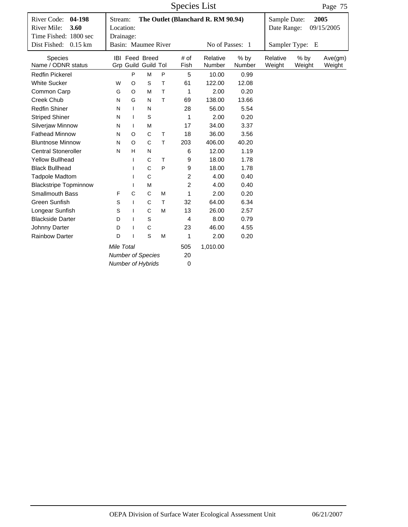| River Code:<br>04-198         | Stream:                  |              |                                              |              |              | The Outlet (Blanchard R. RM 90.94) |                | Sample Date:       |                 | 2005              |
|-------------------------------|--------------------------|--------------|----------------------------------------------|--------------|--------------|------------------------------------|----------------|--------------------|-----------------|-------------------|
| <b>River Mile:</b><br>3.60    | Location:                |              |                                              |              |              |                                    |                | Date Range:        |                 | 09/15/2005        |
| Time Fished: 1800 sec         | Drainage:                |              |                                              |              |              |                                    |                |                    |                 |                   |
| Dist Fished: 0.15 km          |                          |              | Basin: Maumee River                          |              |              | No of Passes: 1                    |                |                    | Sampler Type: E |                   |
| Species<br>Name / ODNR status |                          |              | <b>IBI Feed Breed</b><br>Grp Guild Guild Tol |              | # of<br>Fish | Relative<br>Number                 | % by<br>Number | Relative<br>Weight | % by<br>Weight  | Ave(gm)<br>Weight |
| <b>Redfin Pickerel</b>        |                          | P            | M                                            | P            | 5            | 10.00                              | 0.99           |                    |                 |                   |
| <b>White Sucker</b>           | W                        | $\circ$      | S                                            | $\mathsf{T}$ | 61           | 122.00                             | 12.08          |                    |                 |                   |
| Common Carp                   | G                        | O            | M                                            | T            | 1            | 2.00                               | 0.20           |                    |                 |                   |
| Creek Chub                    | N                        | G            | N                                            | T            | 69           | 138.00                             | 13.66          |                    |                 |                   |
| <b>Redfin Shiner</b>          | N                        | $\mathbf{I}$ | N                                            |              | 28           | 56.00                              | 5.54           |                    |                 |                   |
| <b>Striped Shiner</b>         | N                        | $\mathbf{I}$ | S                                            |              | 1            | 2.00                               | 0.20           |                    |                 |                   |
| Silverjaw Minnow              | N                        | $\mathbf{I}$ | M                                            |              | 17           | 34.00                              | 3.37           |                    |                 |                   |
| <b>Fathead Minnow</b>         | N                        | $\circ$      | $\mathsf C$                                  | $\top$       | 18           | 36.00                              | 3.56           |                    |                 |                   |
| <b>Bluntnose Minnow</b>       | N                        | $\circ$      | $\mathsf C$                                  | T            | 203          | 406.00                             | 40.20          |                    |                 |                   |
| <b>Central Stoneroller</b>    | N                        | н            | ${\sf N}$                                    |              | 6            | 12.00                              | 1.19           |                    |                 |                   |
| <b>Yellow Bullhead</b>        |                          | $\mathbf{I}$ | $\mathsf C$                                  | $\top$       | 9            | 18.00                              | 1.78           |                    |                 |                   |
| <b>Black Bullhead</b>         |                          | I.           | $\mathsf C$                                  | P            | 9            | 18.00                              | 1.78           |                    |                 |                   |
| <b>Tadpole Madtom</b>         |                          | ı            | $\mathsf C$                                  |              | 2            | 4.00                               | 0.40           |                    |                 |                   |
| <b>Blackstripe Topminnow</b>  |                          | $\mathbf{I}$ | M                                            |              | 2            | 4.00                               | 0.40           |                    |                 |                   |
| Smallmouth Bass               | F                        | $\mathsf C$  | C                                            | M            | 1            | 2.00                               | 0.20           |                    |                 |                   |
| <b>Green Sunfish</b>          | S                        | $\mathbf{I}$ | $\mathsf{C}$                                 | $\mathsf{T}$ | 32           | 64.00                              | 6.34           |                    |                 |                   |
| Longear Sunfish               | S                        | $\mathbf{I}$ | C                                            | M            | 13           | 26.00                              | 2.57           |                    |                 |                   |
| <b>Blackside Darter</b>       | D                        | $\mathbf{I}$ | $\mathbb S$                                  |              | 4            | 8.00                               | 0.79           |                    |                 |                   |
| Johnny Darter                 | D                        | $\mathbf{I}$ | $\mathsf C$                                  |              | 23           | 46.00                              | 4.55           |                    |                 |                   |
| <b>Rainbow Darter</b>         | D                        | $\mathbf{I}$ | S                                            | M            | 1            | 2.00                               | 0.20           |                    |                 |                   |
|                               | Mile Total               |              |                                              |              | 505          | 1,010.00                           |                |                    |                 |                   |
|                               | <b>Number of Species</b> |              |                                              |              | 20           |                                    |                |                    |                 |                   |
|                               | Number of Hybrids        |              |                                              |              | 0            |                                    |                |                    |                 |                   |
|                               |                          |              |                                              |              |              |                                    |                |                    |                 |                   |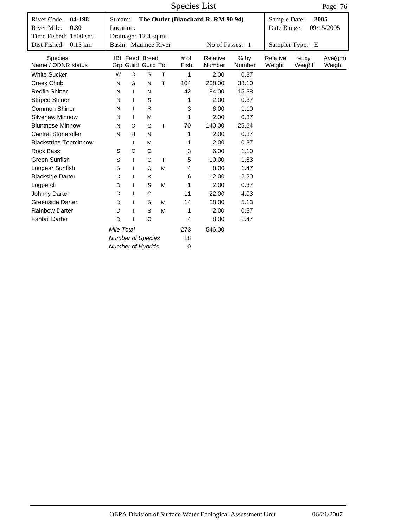| River Code:<br>04-198<br>River Mile:<br>0.30 | Stream:<br>Location: |              |                                              |              |              | The Outlet (Blanchard R. RM 90.94) |                  |                    | Sample Date:<br>2005<br>09/15/2005<br>Date Range: |                   |  |
|----------------------------------------------|----------------------|--------------|----------------------------------------------|--------------|--------------|------------------------------------|------------------|--------------------|---------------------------------------------------|-------------------|--|
| Time Fished: 1800 sec                        |                      |              | Drainage: 12.4 sq mi                         |              |              |                                    |                  |                    |                                                   |                   |  |
| Dist Fished: 0.15 km                         |                      |              | Basin: Maumee River                          |              |              | No of Passes: 1                    |                  |                    | Sampler Type: E                                   |                   |  |
| <b>Species</b><br>Name / ODNR status         |                      |              | <b>IBI</b> Feed Breed<br>Grp Guild Guild Tol |              | # of<br>Fish | Relative<br>Number                 | $%$ by<br>Number | Relative<br>Weight | $%$ by<br>Weight                                  | Ave(gm)<br>Weight |  |
| <b>White Sucker</b>                          | W                    | $\circ$      | S                                            | T            | 1            | 2.00                               | 0.37             |                    |                                                   |                   |  |
| Creek Chub                                   | N                    | G            | $\mathsf{N}$                                 | T            | 104          | 208.00                             | 38.10            |                    |                                                   |                   |  |
| <b>Redfin Shiner</b>                         | N                    | $\mathbf{I}$ | N                                            |              | 42           | 84.00                              | 15.38            |                    |                                                   |                   |  |
| <b>Striped Shiner</b>                        | N                    | $\mathbf{I}$ | S                                            |              | 1            | 2.00                               | 0.37             |                    |                                                   |                   |  |
| Common Shiner                                | N                    | $\mathbf{I}$ | S                                            |              | 3            | 6.00                               | 1.10             |                    |                                                   |                   |  |
| Silverjaw Minnow                             | N                    | $\mathbf{I}$ | M                                            |              | 1            | 2.00                               | 0.37             |                    |                                                   |                   |  |
| <b>Bluntnose Minnow</b>                      | N                    | $\circ$      | C                                            | T            | 70           | 140.00                             | 25.64            |                    |                                                   |                   |  |
| <b>Central Stoneroller</b>                   | N                    | H            | N                                            |              | 1            | 2.00                               | 0.37             |                    |                                                   |                   |  |
| <b>Blackstripe Topminnow</b>                 |                      | $\mathbf{I}$ | M                                            |              | 1            | 2.00                               | 0.37             |                    |                                                   |                   |  |
| Rock Bass                                    | S                    | C            | C                                            |              | 3            | 6.00                               | 1.10             |                    |                                                   |                   |  |
| Green Sunfish                                | S                    | $\mathbf{I}$ | $\mathsf C$                                  | $\mathsf{T}$ | 5            | 10.00                              | 1.83             |                    |                                                   |                   |  |
| Longear Sunfish                              | S                    | $\mathbf{I}$ | $\mathsf C$                                  | M            | 4            | 8.00                               | 1.47             |                    |                                                   |                   |  |
| <b>Blackside Darter</b>                      | D                    | $\mathbf{I}$ | $\mathsf S$                                  |              | 6            | 12.00                              | 2.20             |                    |                                                   |                   |  |
| Logperch                                     | D                    | $\mathbf{I}$ | $\mathbb S$                                  | M            | 1            | 2.00                               | 0.37             |                    |                                                   |                   |  |
| Johnny Darter                                | D                    | $\mathbf{I}$ | $\mathbf C$                                  |              | 11           | 22.00                              | 4.03             |                    |                                                   |                   |  |
| <b>Greenside Darter</b>                      | D                    | $\mathbf{I}$ | S                                            | M            | 14           | 28.00                              | 5.13             |                    |                                                   |                   |  |
| <b>Rainbow Darter</b>                        | D                    | $\mathbf{I}$ | $\mathsf S$                                  | M            | 1            | 2.00                               | 0.37             |                    |                                                   |                   |  |
| <b>Fantail Darter</b>                        | D                    | ı            | $\mathsf C$                                  |              | 4            | 8.00                               | 1.47             |                    |                                                   |                   |  |
|                                              | Mile Total           |              |                                              |              | 273          | 546.00                             |                  |                    |                                                   |                   |  |
|                                              |                      |              | <b>Number of Species</b>                     |              | 18           |                                    |                  |                    |                                                   |                   |  |
|                                              |                      |              | <b>Number of Hybrids</b>                     |              | 0            |                                    |                  |                    |                                                   |                   |  |
|                                              |                      |              |                                              |              |              |                                    |                  |                    |                                                   |                   |  |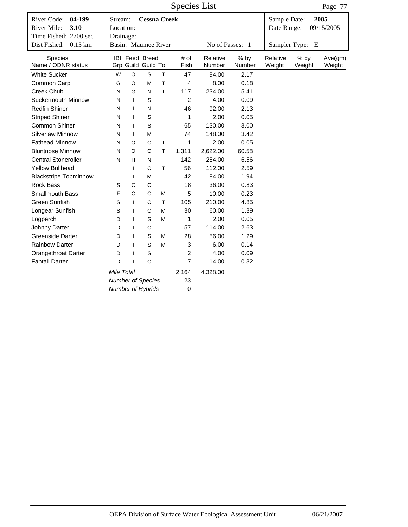|  | I.<br>۰. |  |
|--|----------|--|
|--|----------|--|

|                              |            |                          |                          |             |                  |                 |        |              |                    | --0-       |  |
|------------------------------|------------|--------------------------|--------------------------|-------------|------------------|-----------------|--------|--------------|--------------------|------------|--|
| River Code:<br>04-199        | Stream:    |                          | <b>Cessna Creek</b>      |             |                  |                 |        | Sample Date: |                    | 2005       |  |
| River Mile:<br>3.10          | Location:  |                          |                          |             |                  |                 |        | Date Range:  |                    | 09/15/2005 |  |
| Time Fished: 2700 sec        | Drainage:  |                          |                          |             |                  |                 |        |              |                    |            |  |
| Dist Fished: 0.15 km         |            |                          | Basin: Maumee River      |             |                  | No of Passes: 1 |        |              | Sampler Type:<br>E |            |  |
| Species                      |            |                          | IBI Feed Breed           |             | # of             | Relative        | % by   | Relative     | % by               | Ave(gm)    |  |
| Name / ODNR status           |            |                          | Grp Guild Guild Tol      |             | Fish             | Number          | Number | Weight       | Weight             | Weight     |  |
| <b>White Sucker</b>          | W          | $\circ$                  | $\mathsf S$              | T           | 47               | 94.00           | 2.17   |              |                    |            |  |
| Common Carp                  | G          | $\circ$                  | M                        | $\mathsf T$ | $\overline{4}$   | 8.00            | 0.18   |              |                    |            |  |
| <b>Creek Chub</b>            | N          | G                        | N                        | T           | 117              | 234.00          | 5.41   |              |                    |            |  |
| Suckermouth Minnow           | N          | $\mathbf{I}$             | S                        |             | $\overline{c}$   | 4.00            | 0.09   |              |                    |            |  |
| <b>Redfin Shiner</b>         | Ν          | $\overline{1}$           | $\mathsf{N}$             |             | 46               | 92.00           | 2.13   |              |                    |            |  |
| <b>Striped Shiner</b>        | N          | $\overline{1}$           | $\mathsf S$              |             | 1                | 2.00            | 0.05   |              |                    |            |  |
| Common Shiner                | N          | $\mathbf{I}$             | $\mathsf S$              |             | 65               | 130.00          | 3.00   |              |                    |            |  |
| Silverjaw Minnow             | N          | $\mathbf{I}$             | M                        |             | 74               | 148.00          | 3.42   |              |                    |            |  |
| <b>Fathead Minnow</b>        | Ν          | O                        | $\mathsf C$              | $\sf T$     | $\mathbf 1$      | 2.00            | 0.05   |              |                    |            |  |
| <b>Bluntnose Minnow</b>      | N          | $\circ$                  | $\mathsf C$              | T.          | 1,311            | 2,622.00        | 60.58  |              |                    |            |  |
| <b>Central Stoneroller</b>   | N          | H                        | $\mathsf{N}$             |             | 142              | 284.00          | 6.56   |              |                    |            |  |
| <b>Yellow Bullhead</b>       |            | $\mathbf{I}$             | C                        | T.          | 56               | 112.00          | 2.59   |              |                    |            |  |
| <b>Blackstripe Topminnow</b> |            | $\mathbf{I}$             | M                        |             | 42               | 84.00           | 1.94   |              |                    |            |  |
| Rock Bass                    | S          | C                        | $\mathsf C$              |             | 18               | 36.00           | 0.83   |              |                    |            |  |
| <b>Smallmouth Bass</b>       | F          | C                        | C                        | M           | 5                | 10.00           | 0.23   |              |                    |            |  |
| Green Sunfish                | S          | $\mathbf{I}$             | С                        | T           | 105              | 210.00          | 4.85   |              |                    |            |  |
| Longear Sunfish              | S          | $\mathbf{I}$             | C                        | M           | 30               | 60.00           | 1.39   |              |                    |            |  |
| Logperch                     | D          | $\mathbf{I}$             | $\mathbb S$              | М           | 1                | 2.00            | 0.05   |              |                    |            |  |
| Johnny Darter                | D          | $\overline{1}$           | $\mathsf C$              |             | 57               | 114.00          | 2.63   |              |                    |            |  |
| <b>Greenside Darter</b>      | D          | $\overline{1}$           | S                        | M           | 28               | 56.00           | 1.29   |              |                    |            |  |
| <b>Rainbow Darter</b>        | D          | $\mathbf{I}$             | $\mathsf S$              | M           | 3                | 6.00            | 0.14   |              |                    |            |  |
| Orangethroat Darter          | D          | $\overline{\phantom{a}}$ | $\mathsf S$              |             | $\boldsymbol{2}$ | 4.00            | 0.09   |              |                    |            |  |
| <b>Fantail Darter</b>        | D          | $\overline{\phantom{a}}$ | $\mathsf{C}$             |             | $\overline{7}$   | 14.00           | 0.32   |              |                    |            |  |
|                              | Mile Total |                          |                          |             | 2,164            | 4,328.00        |        |              |                    |            |  |
|                              |            |                          | <b>Number of Species</b> |             | 23               |                 |        |              |                    |            |  |
|                              |            |                          | Number of Hybrids        |             | $\mathbf 0$      |                 |        |              |                    |            |  |
|                              |            |                          |                          |             |                  |                 |        |              |                    |            |  |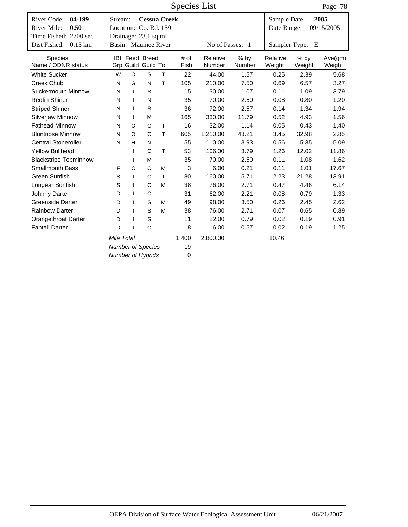|                                              |                          |              |                                              |              | $_{\rm{pvec}}$ |                 |        |                             | $1 \, \mu_{5}$ $0 \, \mu_{1}$ |                    |  |
|----------------------------------------------|--------------------------|--------------|----------------------------------------------|--------------|----------------|-----------------|--------|-----------------------------|-------------------------------|--------------------|--|
| 04-199<br>River Code:<br>River Mile:<br>0.50 | Stream:                  |              | <b>Cessna Creek</b><br>Location: Co. Rd. 159 |              |                |                 |        | Sample Date:<br>Date Range: |                               | 2005<br>09/15/2005 |  |
| Time Fished: 2700 sec                        |                          |              | Drainage: 23.1 sq mi                         |              |                |                 |        |                             |                               |                    |  |
| Dist Fished: 0.15 km                         |                          |              | Basin: Maumee River                          |              |                | No of Passes: 1 |        |                             | Sampler Type:<br>E            |                    |  |
| <b>Species</b>                               |                          |              | <b>IBI Feed Breed</b>                        |              | # of           | Relative        | $%$ by | Relative                    | $%$ by                        | Ave(gm)            |  |
| Name / ODNR status                           |                          |              | Grp Guild Guild Tol                          |              | Fish           | Number          | Number | Weight                      | Weight                        | Weight             |  |
| <b>White Sucker</b>                          | W                        | $\circ$      | S                                            | $\top$       | 22             | 44.00           | 1.57   | 0.25                        | 2.39                          | 5.68               |  |
| Creek Chub                                   | N                        | G            | N                                            | $\mathsf{T}$ | 105            | 210.00          | 7.50   | 0.69                        | 6.57                          | 3.27               |  |
| <b>Suckermouth Minnow</b>                    | N                        | $\mathbf{I}$ | $\mathsf S$                                  |              | 15             | 30.00           | 1.07   | 0.11                        | 1.09                          | 3.79               |  |
| <b>Redfin Shiner</b>                         | N                        | $\mathbf{I}$ | N                                            |              | 35             | 70.00           | 2.50   | 0.08                        | 0.80                          | 1.20               |  |
| <b>Striped Shiner</b>                        | N                        | $\mathbf{I}$ | $\mathbb S$                                  |              | 36             | 72.00           | 2.57   | 0.14                        | 1.34                          | 1.94               |  |
| Silverjaw Minnow                             | N                        | $\mathbf{I}$ | M                                            |              | 165            | 330.00          | 11.79  | 0.52                        | 4.93                          | 1.56               |  |
| <b>Fathead Minnow</b>                        | N                        | O            | $\mathsf{C}$                                 | $\top$       | 16             | 32.00           | 1.14   | 0.05                        | 0.43                          | 1.40               |  |
| <b>Bluntnose Minnow</b>                      | N                        | $\circ$      | $\mathsf C$                                  | $\top$       | 605            | 1,210.00        | 43.21  | 3.45                        | 32.98                         | 2.85               |  |
| <b>Central Stoneroller</b>                   | N                        | Н            | ${\sf N}$                                    |              | 55             | 110.00          | 3.93   | 0.56                        | 5.35                          | 5.09               |  |
| <b>Yellow Bullhead</b>                       |                          | $\mathsf{I}$ | $\mathsf{C}$                                 | T            | 53             | 106.00          | 3.79   | 1.26                        | 12.02                         | 11.86              |  |
| <b>Blackstripe Topminnow</b>                 |                          | $\mathbf{I}$ | M                                            |              | 35             | 70.00           | 2.50   | 0.11                        | 1.08                          | 1.62               |  |
| <b>Smallmouth Bass</b>                       | F                        | $\mathsf{C}$ | $\mathsf C$                                  | M            | 3              | 6.00            | 0.21   | 0.11                        | 1.01                          | 17.67              |  |
| <b>Green Sunfish</b>                         | S                        | $\mathbf{I}$ | C                                            | $\mathsf{T}$ | 80             | 160.00          | 5.71   | 2.23                        | 21.28                         | 13.91              |  |
| Longear Sunfish                              | S                        | $\mathbf{I}$ | C                                            | M            | 38             | 76.00           | 2.71   | 0.47                        | 4.46                          | 6.14               |  |
| Johnny Darter                                | D                        | $\mathbf{I}$ | $\mathsf C$                                  |              | 31             | 62.00           | 2.21   | 0.08                        | 0.79                          | 1.33               |  |
| <b>Greenside Darter</b>                      | D                        | $\mathbf{I}$ | $\mathsf S$                                  | M            | 49             | 98.00           | 3.50   | 0.26                        | 2.45                          | 2.62               |  |
| <b>Rainbow Darter</b>                        | D                        | $\mathbf{I}$ | S                                            | M            | 38             | 76.00           | 2.71   | 0.07                        | 0.65                          | 0.89               |  |
| Orangethroat Darter                          | D                        | $\mathbf{I}$ | $\mathsf S$                                  |              | 11             | 22.00           | 0.79   | 0.02                        | 0.19                          | 0.91               |  |
| <b>Fantail Darter</b>                        | D                        |              | $\mathsf C$                                  |              | 8              | 16.00           | 0.57   | 0.02                        | 0.19                          | 1.25               |  |
|                                              | Mile Total               |              |                                              |              | 1,400          | 2,800.00        |        | 10.46                       |                               |                    |  |
|                                              | <b>Number of Species</b> |              |                                              |              | 19             |                 |        |                             |                               |                    |  |
|                                              | Number of Hybrids        |              |                                              |              | 0              |                 |        |                             |                               |                    |  |
|                                              |                          |              |                                              |              |                |                 |        |                             |                               |                    |  |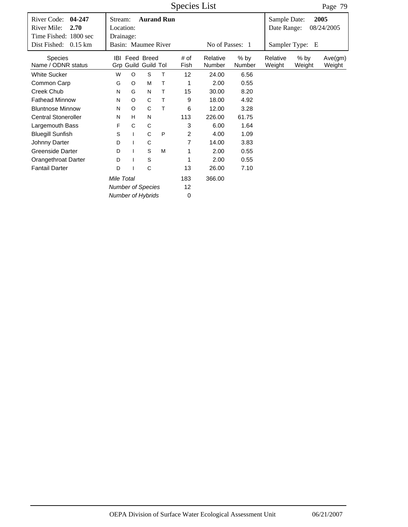| . .<br>age. |  |
|-------------|--|
|             |  |

| River Code:<br>04-247<br>River Mile:<br>2.70<br>Time Fished: 1800 sec | Stream:<br>Location:<br>Drainage: |                                   |   | <b>Aurand Run</b> |                   |                    |                  | Sample Date:<br>Date Range: |                  | 2005<br>08/24/2005 |  |
|-----------------------------------------------------------------------|-----------------------------------|-----------------------------------|---|-------------------|-------------------|--------------------|------------------|-----------------------------|------------------|--------------------|--|
| Dist Fished: 0.15 km                                                  |                                   | Basin: Maumee River               |   |                   |                   | No of Passes: 1    |                  |                             | Sampler Type: E  |                    |  |
| Species<br>Name / ODNR status                                         | IBI                               | Feed Breed<br>Grp Guild Guild Tol |   |                   | # of<br>Fish      | Relative<br>Number | $%$ by<br>Number | Relative<br>Weight          | $%$ by<br>Weight | Ave(gm)<br>Weight  |  |
| <b>White Sucker</b>                                                   | W                                 | $\circ$                           | S | T                 | $12 \overline{ }$ | 24.00              | 6.56             |                             |                  |                    |  |
| Common Carp                                                           | G                                 | O                                 | M | T                 | 1                 | 2.00               | 0.55             |                             |                  |                    |  |
| Creek Chub                                                            | N                                 | G                                 | N | T                 | 15                | 30.00              | 8.20             |                             |                  |                    |  |
| <b>Fathead Minnow</b>                                                 | N                                 | O                                 | С | T                 | 9                 | 18.00              | 4.92             |                             |                  |                    |  |
| <b>Bluntnose Minnow</b>                                               | N                                 | $\circ$                           | C | Τ                 | 6                 | 12.00              | 3.28             |                             |                  |                    |  |
| <b>Central Stoneroller</b>                                            | N                                 | H                                 | N |                   | 113               | 226.00             | 61.75            |                             |                  |                    |  |
| Largemouth Bass                                                       | F                                 | C                                 | C |                   | 3                 | 6.00               | 1.64             |                             |                  |                    |  |
| <b>Bluegill Sunfish</b>                                               | S                                 | $\mathbf{I}$                      | C | P                 | 2                 | 4.00               | 1.09             |                             |                  |                    |  |
| Johnny Darter                                                         | D                                 | $\mathbf{I}$                      | C |                   | 7                 | 14.00              | 3.83             |                             |                  |                    |  |
| <b>Greenside Darter</b>                                               | D                                 | $\mathbf{I}$                      | S | M                 | 1                 | 2.00               | 0.55             |                             |                  |                    |  |
| Orangethroat Darter                                                   | D                                 |                                   | S |                   | 1                 | 2.00               | 0.55             |                             |                  |                    |  |
| <b>Fantail Darter</b>                                                 | D                                 |                                   | C |                   | 13                | 26.00              | 7.10             |                             |                  |                    |  |
|                                                                       | Mile Total                        |                                   |   |                   | 183               | 366.00             |                  |                             |                  |                    |  |
|                                                                       |                                   | <b>Number of Species</b>          |   |                   | 12                |                    |                  |                             |                  |                    |  |
|                                                                       |                                   | Number of Hybrids                 |   |                   | 0                 |                    |                  |                             |                  |                    |  |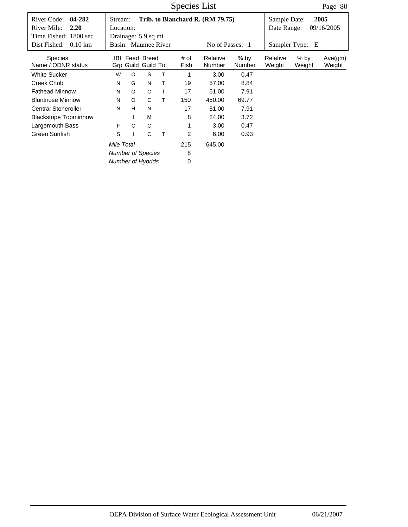Time Fished: 1800 sec Basin: Maumee River No of Passes: 1 Date Range: 09/16/2005 Species List # of Fish River Code: 04-282 | Stream: Trib. to Blanchard R. (RM 79.75) | Sample Date: Sampler Type: E **04-282 2.20 2005** Location: Dist Fished: 0.10 km Page 80 Number % by Number Weight % by Weight Ave(gm) Weight IBI Feed Breed # of Relative % by Relative Grp Guild Tol Guild Stream: Drainage: 5.9 sq mi River Mile: Species Name / ODNR status White Sucker M O S T 1 3.00 0.47 Creek Chub NG NT 19 57.00 8.84 Fathead Minnow  $N$  O C T 17 51.00 7.91 Bluntnose Minnow  $N$  O C T 150 450.00 69.77 Central Stoneroller NH N 17 51.00 7.91 Blackstripe Topminnow I M 8 24.00 3.72 Largemouth Bass F C C 1 3.00 0.47 Green Sunfish S I C T 2 6.00 0.93 215 *Number of Species Number of Hybrids* 8 0 *Mile Total* 645.00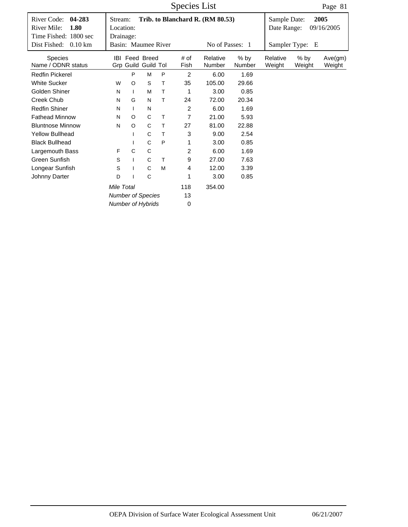| 04-283<br>River Code:<br>River Mile:<br>1.80 | Stream:<br>Location:     |              | Trib. to Blanchard R. (RM 80.53) |        |                | 2005<br>Sample Date:<br>09/16/2005<br>Date Range: |        |          |                 |         |
|----------------------------------------------|--------------------------|--------------|----------------------------------|--------|----------------|---------------------------------------------------|--------|----------|-----------------|---------|
| Time Fished: 1800 sec                        | Drainage:                |              |                                  |        |                |                                                   |        |          |                 |         |
| Dist Fished: 0.10 km                         | Basin: Maumee River      |              |                                  |        |                | No of Passes: 1                                   |        |          | Sampler Type: E |         |
| <b>Species</b>                               |                          |              | <b>IBI</b> Feed Breed            |        | # of           | Relative                                          | $%$ by | Relative | % by            | Ave(gm) |
| Name / ODNR status                           |                          |              | Grp Guild Guild Tol              |        | Fish           | Number                                            | Number | Weight   | Weight          | Weight  |
| <b>Redfin Pickerel</b>                       |                          | P            | M                                | P      | 2              | 6.00                                              | 1.69   |          |                 |         |
| <b>White Sucker</b>                          | W                        | O            | S                                | T      | 35             | 105.00                                            | 29.66  |          |                 |         |
| Golden Shiner                                | N                        | $\mathbf{I}$ | M                                | T      | 1              | 3.00                                              | 0.85   |          |                 |         |
| Creek Chub                                   | N                        | G            | N                                | T      | 24             | 72.00                                             | 20.34  |          |                 |         |
| <b>Redfin Shiner</b>                         | N                        | $\mathbf{I}$ | ${\sf N}$                        |        | 2              | 6.00                                              | 1.69   |          |                 |         |
| <b>Fathead Minnow</b>                        | N                        | O            | C                                | T      | $\overline{7}$ | 21.00                                             | 5.93   |          |                 |         |
| <b>Bluntnose Minnow</b>                      | N                        | $\circ$      | $\mathsf{C}$                     | $\top$ | 27             | 81.00                                             | 22.88  |          |                 |         |
| <b>Yellow Bullhead</b>                       |                          |              | C                                | Τ      | 3              | 9.00                                              | 2.54   |          |                 |         |
| <b>Black Bullhead</b>                        |                          |              | $\mathsf C$                      | P      | 1              | 3.00                                              | 0.85   |          |                 |         |
| Largemouth Bass                              | F                        | C            | $\mathsf C$                      |        | 2              | 6.00                                              | 1.69   |          |                 |         |
| Green Sunfish                                | S                        | $\mathbf{I}$ | C                                | T      | 9              | 27.00                                             | 7.63   |          |                 |         |
| Longear Sunfish                              | S                        | $\mathbf{I}$ | C                                | M      | 4              | 12.00                                             | 3.39   |          |                 |         |
| Johnny Darter                                | D                        | $\mathbf{I}$ | C                                |        | 1              | 3.00                                              | 0.85   |          |                 |         |
|                                              | Mile Total               |              |                                  |        | 118            | 354.00                                            |        |          |                 |         |
|                                              | <b>Number of Species</b> |              |                                  |        | 13             |                                                   |        |          |                 |         |
|                                              | <b>Number of Hybrids</b> |              |                                  |        | 0              |                                                   |        |          |                 |         |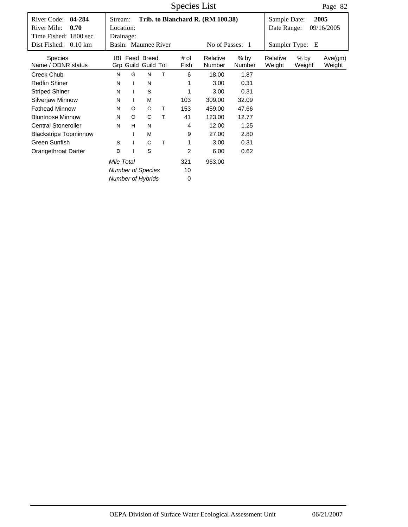|                                                                       |                                  |              |                     |                                   | л.   |                                                   |        |          |                 |         |  |
|-----------------------------------------------------------------------|----------------------------------|--------------|---------------------|-----------------------------------|------|---------------------------------------------------|--------|----------|-----------------|---------|--|
| 04-284<br>River Code:<br>River Mile:<br>0.70<br>Time Fished: 1800 sec | Stream:<br>Location:             |              |                     | Trib. to Blanchard R. (RM 100.38) |      | 2005<br>Sample Date:<br>09/16/2005<br>Date Range: |        |          |                 |         |  |
| Dist Fished:<br>$0.10 \mathrm{km}$                                    | Drainage:<br>Basin: Maumee River |              |                     |                                   |      | No of Passes: 1                                   |        |          | Sampler Type: E |         |  |
|                                                                       |                                  |              |                     |                                   |      |                                                   |        |          |                 |         |  |
| <b>Species</b>                                                        | IBI                              |              | Feed Breed          |                                   | # of | Relative                                          | $%$ by | Relative | $%$ by          | Ave(gm) |  |
| Name / ODNR status                                                    |                                  |              | Grp Guild Guild Tol |                                   | Fish | Number                                            | Number | Weight   | Weight          | Weight  |  |
| Creek Chub                                                            | N                                | G            | N                   | T                                 | 6    | 18.00                                             | 1.87   |          |                 |         |  |
| <b>Redfin Shiner</b>                                                  | N                                |              | N                   |                                   | 1    | 3.00                                              | 0.31   |          |                 |         |  |
| <b>Striped Shiner</b>                                                 | N                                | $\mathbf{I}$ | S                   |                                   | 1    | 3.00                                              | 0.31   |          |                 |         |  |
| Silverjaw Minnow                                                      | N                                | $\mathbf{I}$ | M                   |                                   | 103  | 309.00                                            | 32.09  |          |                 |         |  |
| <b>Fathead Minnow</b>                                                 | N                                | O            | C                   | т                                 | 153  | 459.00                                            | 47.66  |          |                 |         |  |
| <b>Bluntnose Minnow</b>                                               | N                                | O            | C                   | T                                 | 41   | 123.00                                            | 12.77  |          |                 |         |  |
| <b>Central Stoneroller</b>                                            | N                                | H            | N                   |                                   | 4    | 12.00                                             | 1.25   |          |                 |         |  |
| <b>Blackstripe Topminnow</b>                                          |                                  |              | M                   |                                   | 9    | 27.00                                             | 2.80   |          |                 |         |  |
| Green Sunfish                                                         | S                                | $\mathbf{I}$ | C                   | T                                 | 1    | 3.00                                              | 0.31   |          |                 |         |  |
| Orangethroat Darter                                                   | D                                |              | S                   |                                   | 2    | 6.00                                              | 0.62   |          |                 |         |  |
|                                                                       | Mile Total                       |              |                     |                                   | 321  | 963.00                                            |        |          |                 |         |  |
|                                                                       | <b>Number of Species</b>         |              |                     |                                   | 10   |                                                   |        |          |                 |         |  |
|                                                                       | Number of Hybrids                |              |                     |                                   | 0    |                                                   |        |          |                 |         |  |
|                                                                       |                                  |              |                     |                                   |      |                                                   |        |          |                 |         |  |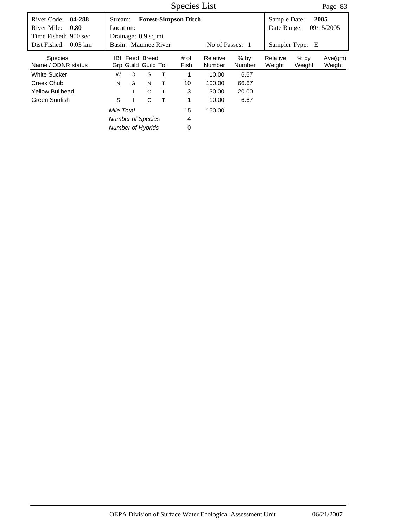| Page | Ω, |
|------|----|
|------|----|

| River Code: 04-288<br>River Mile:<br>0.80<br>Time Fished: 900 sec<br>Dist Fished: 0.03 km | Stream:<br>Location:<br>Drainage: 0.9 sq mi<br>Basin: Maumee River |            | <b>Forest-Simpson Ditch</b> | 2005<br>Sample Date:<br>09/15/2005<br>Date Range:<br>Sampler Type: E |                    |                         |                    |                  |                   |
|-------------------------------------------------------------------------------------------|--------------------------------------------------------------------|------------|-----------------------------|----------------------------------------------------------------------|--------------------|-------------------------|--------------------|------------------|-------------------|
| <b>Species</b><br>Name / ODNR status                                                      | IBL<br>Grp Guild Guild Tol                                         | Feed Breed |                             | # of<br>Fish                                                         | Relative<br>Number | $%$ by<br><b>Number</b> | Relative<br>Weight | $%$ by<br>Weight | Ave(gm)<br>Weight |
| <b>White Sucker</b>                                                                       | W<br>$\circ$                                                       | S          | т                           |                                                                      | 10.00              | 6.67                    |                    |                  |                   |
| Creek Chub                                                                                | G<br>N                                                             | N          | т                           | 10                                                                   | 100.00             | 66.67                   |                    |                  |                   |
| <b>Yellow Bullhead</b>                                                                    |                                                                    | C          | T                           | 3                                                                    | 30.00              | 20.00                   |                    |                  |                   |
| Green Sunfish                                                                             | S                                                                  | C          | Т                           | 1                                                                    | 10.00              | 6.67                    |                    |                  |                   |
|                                                                                           | Mile Total<br><b>Number of Species</b><br>Number of Hybrids        |            |                             | 15<br>4<br>0                                                         | 150.00             |                         |                    |                  |                   |